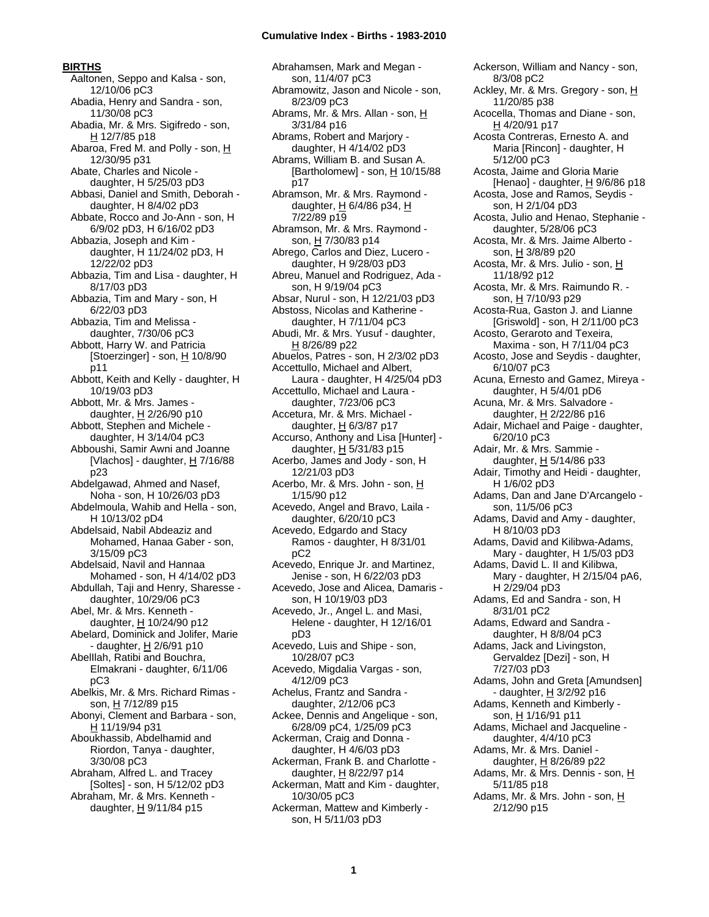#### **BIRTHS**

Aaltonen, Seppo and Kalsa - son, 12/10/06 pC3 Abadia, Henry and Sandra - son, 11/30/08 pC3 Abadia, Mr. & Mrs. Sigifredo - son, H 12/7/85 p18 Abaroa, Fred M. and Polly - son, H 12/30/95 p31 Abate, Charles and Nicole daughter, H 5/25/03 pD3 Abbasi, Daniel and Smith, Deborah daughter, H 8/4/02 pD3 Abbate, Rocco and Jo-Ann - son, H 6/9/02 pD3, H 6/16/02 pD3 Abbazia, Joseph and Kim daughter, H 11/24/02 pD3, H 12/22/02 pD3 Abbazia, Tim and Lisa - daughter, H 8/17/03 pD3 Abbazia, Tim and Mary - son, H 6/22/03 pD3 Abbazia, Tim and Melissa daughter, 7/30/06 pC3 Abbott, Harry W. and Patricia [Stoerzinger] - son,  $\underline{H}$  10/8/90 p11 Abbott, Keith and Kelly - daughter, H 10/19/03 pD3 Abbott, Mr. & Mrs. James daughter, H 2/26/90 p10 Abbott, Stephen and Michele daughter, H 3/14/04 pC3 Abboushi, Samir Awni and Joanne [Vlachos] - daughter, H 7/16/88 p23 Abdelgawad, Ahmed and Nasef, Noha - son, H 10/26/03 pD3 Abdelmoula, Wahib and Hella - son, H 10/13/02 pD4 Abdelsaid, Nabil Abdeaziz and Mohamed, Hanaa Gaber - son, 3/15/09 pC3 Abdelsaid, Navil and Hannaa Mohamed - son, H 4/14/02 pD3 Abdullah, Taji and Henry, Sharesse daughter, 10/29/06 pC3 Abel, Mr. & Mrs. Kenneth daughter, H 10/24/90 p12 Abelard, Dominick and Jolifer, Marie - daughter, H 2/6/91 p10 AbelIlah, Ratibi and Bouchra, Elmakrani - daughter, 6/11/06 pC3 Abelkis, Mr. & Mrs. Richard Rimas son, H 7/12/89 p15 Abonyi, Clement and Barbara - son, H 11/19/94 p31 Aboukhassib, Abdelhamid and Riordon, Tanya - daughter, 3/30/08 pC3 Abraham, Alfred L. and Tracey [Soltes] - son, H 5/12/02 pD3 Abraham, Mr. & Mrs. Kenneth daughter,  $H$  9/11/84 p15

Abrahamsen, Mark and Megan son, 11/4/07 pC3 Abramowitz, Jason and Nicole - son, 8/23/09 pC3 Abrams, Mr. & Mrs. Allan - son, H 3/31/84 p16 Abrams, Robert and Marjory daughter, H 4/14/02 pD3 Abrams, William B. and Susan A. [Bartholomew] - son,  $H$  10/15/88 p17 Abramson, Mr. & Mrs. Raymond daughter,  $H$  6/4/86 p34,  $H$ 7/22/89 p19 Abramson, Mr. & Mrs. Raymond son, H 7/30/83 p14 Abrego, Carlos and Diez, Lucero daughter, H 9/28/03 pD3 Abreu, Manuel and Rodriguez, Ada son, H 9/19/04 pC3 Absar, Nurul - son, H 12/21/03 pD3 Abstoss, Nicolas and Katherine daughter, H 7/11/04 pC3 Abudi, Mr. & Mrs. Yusuf - daughter, H 8/26/89 p22 Abuelos, Patres - son, H 2/3/02 pD3 Accettullo, Michael and Albert, Laura - daughter, H 4/25/04 pD3 Accettullo, Michael and Laura daughter, 7/23/06 pC3 Accetura, Mr. & Mrs. Michael daughter,  $H$  6/3/87 p17 Accurso, Anthony and Lisa [Hunter] daughter, H 5/31/83 p15 Acerbo, James and Jody - son, H 12/21/03 pD3 Acerbo, Mr. & Mrs. John - son, H 1/15/90 p12 Acevedo, Angel and Bravo, Laila daughter, 6/20/10 pC3 Acevedo, Edgardo and Stacy Ramos - daughter, H 8/31/01 pC2 Acevedo, Enrique Jr. and Martinez, Jenise - son, H 6/22/03 pD3 Acevedo, Jose and Alicea, Damaris son, H 10/19/03 pD3 Acevedo, Jr., Angel L. and Masi, Helene - daughter, H 12/16/01 pD3 Acevedo, Luis and Shipe - son, 10/28/07 pC3 Acevedo, Migdalia Vargas - son, 4/12/09 pC3 Achelus, Frantz and Sandra daughter, 2/12/06 pC3 Ackee, Dennis and Angelique - son, 6/28/09 pC4, 1/25/09 pC3 Ackerman, Craig and Donna daughter, H 4/6/03 pD3 Ackerman, Frank B. and Charlotte daughter, H 8/22/97 p14 Ackerman, Matt and Kim - daughter, 10/30/05 pC3 Ackerman, Mattew and Kimberly son, H 5/11/03 pD3

Ackerson, William and Nancy - son, 8/3/08 pC2 Ackley, Mr. & Mrs. Gregory - son, H 11/20/85 p38 Acocella, Thomas and Diane - son, H 4/20/91 p17 Acosta Contreras, Ernesto A. and Maria [Rincon] - daughter, H 5/12/00 pC3 Acosta, Jaime and Gloria Marie [Henao] - daughter, H 9/6/86 p18 Acosta, Jose and Ramos, Seydis son, H 2/1/04 pD3 Acosta, Julio and Henao, Stephanie daughter, 5/28/06 pC3 Acosta, Mr. & Mrs. Jaime Alberto son, H 3/8/89 p20 Acosta, Mr. & Mrs. Julio - son, H 11/18/92 p12 Acosta, Mr. & Mrs. Raimundo R. son, H 7/10/93 p29 Acosta-Rua, Gaston J. and Lianne [Griswold] - son, H 2/11/00 pC3 Acosto, Geraroto and Texeira, Maxima - son, H 7/11/04 pC3 Acosto, Jose and Seydis - daughter, 6/10/07 pC3 Acuna, Ernesto and Gamez, Mireya daughter, H 5/4/01 pD6 Acuna, Mr. & Mrs. Salvadore daughter, H 2/22/86 p16 Adair, Michael and Paige - daughter, 6/20/10 pC3 Adair, Mr. & Mrs. Sammie daughter, H 5/14/86 p33 Adair, Timothy and Heidi - daughter, H 1/6/02 pD3 Adams, Dan and Jane D'Arcangelo son, 11/5/06 pC3 Adams, David and Amy - daughter, H 8/10/03 pD3 Adams, David and Kilibwa-Adams, Mary - daughter, H 1/5/03 pD3 Adams, David L. II and Kilibwa, Mary - daughter, H 2/15/04 pA6, H 2/29/04 pD3 Adams, Ed and Sandra - son, H 8/31/01 pC2 Adams, Edward and Sandra daughter, H 8/8/04 pC3 Adams, Jack and Livingston, Gervaldez [Dezi] - son, H 7/27/03 pD3 Adams, John and Greta [Amundsen] - daughter, H 3/2/92 p16 Adams, Kenneth and Kimberly son, H 1/16/91 p11 Adams, Michael and Jacqueline daughter, 4/4/10 pC3 Adams, Mr. & Mrs. Daniel daughter,  $H$  8/26/89 p22 Adams, Mr. & Mrs. Dennis - son, H 5/11/85 p18 Adams, Mr. & Mrs. John - son, H 2/12/90 p15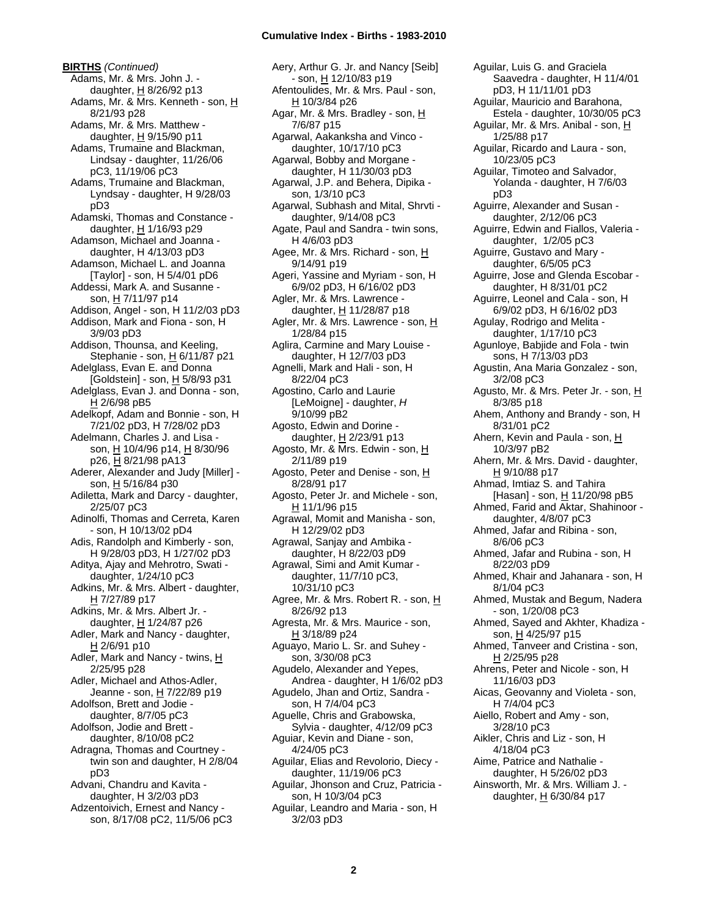**BIRTHS** *(Continued)* Adams, Mr. & Mrs. John J. daughter,  $H$  8/26/92 p13 Adams, Mr. & Mrs. Kenneth - son, H 8/21/93 p28 Adams, Mr. & Mrs. Matthew daughter,  $H$  9/15/90 p11 Adams, Trumaine and Blackman, Lindsay - daughter, 11/26/06 pC3, 11/19/06 pC3 Adams, Trumaine and Blackman, Lyndsay - daughter, H 9/28/03 pD3 Adamski, Thomas and Constance daughter,  $H$  1/16/93 p29 Adamson, Michael and Joanna daughter, H 4/13/03 pD3 Adamson, Michael L. and Joanna [Taylor] - son, H 5/4/01 pD6 Addessi, Mark A. and Susanne son, H 7/11/97 p14 Addison, Angel - son, H 11/2/03 pD3 Addison, Mark and Fiona - son, H 3/9/03 pD3 Addison, Thounsa, and Keeling, Stephanie - son, H 6/11/87 p21 Adelglass, Evan E. and Donna [Goldstein] - son,  $H$  5/8/93 p31 Adelglass, Evan J. and Donna - son, H 2/6/98 pB5 Adelkopf, Adam and Bonnie - son, H 7/21/02 pD3, H 7/28/02 pD3 Adelmann, Charles J. and Lisa son, H 10/4/96 p14, H 8/30/96 p26, H 8/21/98 pA13 Aderer, Alexander and Judy [Miller] son, H 5/16/84 p30 Adiletta, Mark and Darcy - daughter, 2/25/07 pC3 Adinolfi, Thomas and Cerreta, Karen - son, H 10/13/02 pD4 Adis, Randolph and Kimberly - son, H 9/28/03 pD3, H 1/27/02 pD3 Aditya, Ajay and Mehrotro, Swati daughter, 1/24/10 pC3 Adkins, Mr. & Mrs. Albert - daughter, H 7/27/89 p17 Adkins, Mr. & Mrs. Albert Jr. daughter,  $H$  1/24/87 p26 Adler, Mark and Nancy - daughter, H 2/6/91 p10 Adler, Mark and Nancy - twins, H 2/25/95 p28 Adler, Michael and Athos-Adler, Jeanne - son, H 7/22/89 p19 Adolfson, Brett and Jodie daughter, 8/7/05 pC3 Adolfson, Jodie and Brett daughter, 8/10/08 pC2 Adragna, Thomas and Courtney twin son and daughter, H 2/8/04 pD3 Advani, Chandru and Kavita daughter, H 3/2/03 pD3 Adzentoivich, Ernest and Nancy -

son, 8/17/08 pC2, 11/5/06 pC3

Aery, Arthur G. Jr. and Nancy [Seib] - son, H 12/10/83 p19 Afentoulides, Mr. & Mrs. Paul - son,  $H$  10/3/84 p26 Agar, Mr. & Mrs. Bradley - son, H 7/6/87 p15 Agarwal, Aakanksha and Vinco daughter, 10/17/10 pC3 Agarwal, Bobby and Morgane daughter, H 11/30/03 pD3 Agarwal, J.P. and Behera, Dipika son, 1/3/10 pC3 Agarwal, Subhash and Mital, Shrvti daughter, 9/14/08 pC3 Agate, Paul and Sandra - twin sons, H 4/6/03 pD3 Agee, Mr. & Mrs. Richard - son, H 9/14/91 p19 Ageri, Yassine and Myriam - son, H 6/9/02 pD3, H 6/16/02 pD3 Agler, Mr. & Mrs. Lawrence daughter, H 11/28/87 p18 Agler, Mr. & Mrs. Lawrence - son, H 1/28/84 p15 Aglira, Carmine and Mary Louise daughter, H 12/7/03 pD3 Agnelli, Mark and Hali - son, H 8/22/04 pC3 Agostino, Carlo and Laurie [LeMoigne] - daughter, *H* 9/10/99 pB2 Agosto, Edwin and Dorine daughter,  $H$  2/23/91 p13 Agosto, Mr. & Mrs. Edwin - son, H 2/11/89 p19 Agosto, Peter and Denise - son, H 8/28/91 p17 Agosto, Peter Jr. and Michele - son, H 11/1/96 p15 Agrawal, Momit and Manisha - son, H 12/29/02 pD3 Agrawal, Sanjay and Ambika daughter, H 8/22/03 pD9 Agrawal, Simi and Amit Kumar daughter, 11/7/10 pC3, 10/31/10 pC3 Agree, Mr. & Mrs. Robert R. - son, H 8/26/92 p13 Agresta, Mr. & Mrs. Maurice - son, H 3/18/89 p24 Aguayo, Mario L. Sr. and Suhey son, 3/30/08 pC3 Agudelo, Alexander and Yepes, Andrea - daughter, H 1/6/02 pD3 Agudelo, Jhan and Ortiz, Sandra son, H 7/4/04 pC3 Aguelle, Chris and Grabowska, Sylvia - daughter, 4/12/09 pC3 Aguiar, Kevin and Diane - son, 4/24/05 pC3 Aguilar, Elias and Revolorio, Diecy daughter, 11/19/06 pC3 Aguilar, Jhonson and Cruz, Patricia son, H 10/3/04 pC3 Aguilar, Leandro and Maria - son, H 3/2/03 pD3

Aguilar, Luis G. and Graciela Saavedra - daughter, H 11/4/01 pD3, H 11/11/01 pD3 Aguilar, Mauricio and Barahona, Estela - daughter, 10/30/05 pC3 Aguilar, Mr. & Mrs. Anibal - son, H 1/25/88 p17 Aguilar, Ricardo and Laura - son, 10/23/05 pC3 Aguilar, Timoteo and Salvador, Yolanda - daughter, H 7/6/03 pD3 Aguirre, Alexander and Susan daughter, 2/12/06 pC3 Aguirre, Edwin and Fiallos, Valeria daughter, 1/2/05 pC3 Aguirre, Gustavo and Mary daughter, 6/5/05 pC3 Aguirre, Jose and Glenda Escobar daughter, H 8/31/01 pC2 Aguirre, Leonel and Cala - son, H 6/9/02 pD3, H 6/16/02 pD3 Agulay, Rodrigo and Melita daughter, 1/17/10 pC3 Agunloye, Babjide and Fola - twin sons, H 7/13/03 pD3 Agustin, Ana Maria Gonzalez - son, 3/2/08 pC3 Agusto, Mr. & Mrs. Peter Jr. - son, H 8/3/85 p18 Ahem, Anthony and Brandy - son, H 8/31/01 pC2 Ahern, Kevin and Paula - son, H 10/3/97 pB2 Ahern, Mr. & Mrs. David - daughter, H 9/10/88 p17 Ahmad, Imtiaz S. and Tahira [Hasan] - son, H 11/20/98 pB5 Ahmed, Farid and Aktar, Shahinoor daughter, 4/8/07 pC3 Ahmed, Jafar and Ribina - son, 8/6/06 pC3 Ahmed, Jafar and Rubina - son, H 8/22/03 pD9 Ahmed, Khair and Jahanara - son, H 8/1/04 pC3 Ahmed, Mustak and Begum, Nadera - son, 1/20/08 pC3 Ahmed, Sayed and Akhter, Khadiza son, <u>H</u> 4/25/97 p15 Ahmed, Tanveer and Cristina - son, H 2/25/95 p28 Ahrens, Peter and Nicole - son, H 11/16/03 pD3 Aicas, Geovanny and Violeta - son, H 7/4/04 pC3 Aiello, Robert and Amy - son, 3/28/10 pC3 Aikler, Chris and Liz - son, H 4/18/04 pC3 Aime, Patrice and Nathalie daughter, H 5/26/02 pD3 Ainsworth, Mr. & Mrs. William J. daughter,  $H$  6/30/84 p17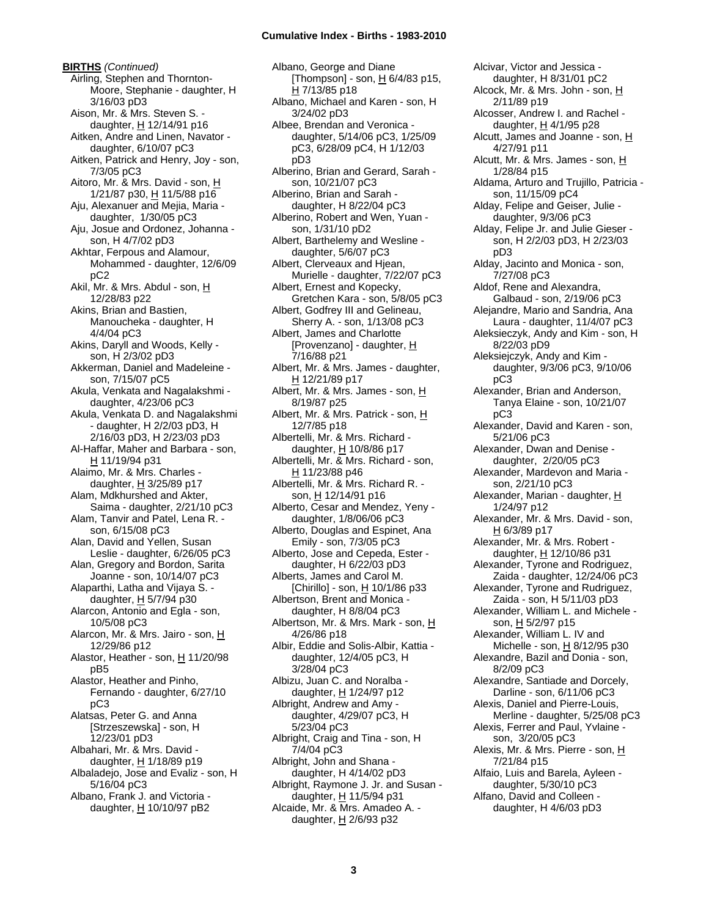**BIRTHS** *(Continued)* Airling, Stephen and Thornton-Moore, Stephanie - daughter, H 3/16/03 pD3 Aison, Mr. & Mrs. Steven S. daughter, H 12/14/91 p16 Aitken, Andre and Linen, Navator daughter, 6/10/07 pC3 Aitken, Patrick and Henry, Joy - son, 7/3/05 pC3 Aitoro, Mr. & Mrs. David - son, H 1/21/87 p30, H 11/5/88 p16 Aju, Alexanuer and Mejia, Maria daughter, 1/30/05 pC3 Aju, Josue and Ordonez, Johanna son, H 4/7/02 pD3 Akhtar, Ferpous and Alamour, Mohammed - daughter, 12/6/09 pC2 Akil, Mr. & Mrs. Abdul - son, H 12/28/83 p22 Akins, Brian and Bastien, Manoucheka - daughter, H 4/4/04 pC3 Akins, Daryll and Woods, Kelly son, H 2/3/02 pD3 Akkerman, Daniel and Madeleine son, 7/15/07 pC5 Akula, Venkata and Nagalakshmi daughter, 4/23/06 pC3 Akula, Venkata D. and Nagalakshmi - daughter, H 2/2/03 pD3, H 2/16/03 pD3, H 2/23/03 pD3 Al-Haffar, Maher and Barbara - son, H 11/19/94 p31 Alaimo, Mr. & Mrs. Charles daughter, H 3/25/89 p17 Alam, Mdkhurshed and Akter, Saima - daughter, 2/21/10 pC3 Alam, Tanvir and Patel, Lena R. son, 6/15/08 pC3 Alan, David and Yellen, Susan Leslie - daughter, 6/26/05 pC3 Alan, Gregory and Bordon, Sarita Joanne - son, 10/14/07 pC3 Alaparthi, Latha and Vijaya S. daughter, H 5/7/94 p30 Alarcon, Antonio and Egla - son, 10/5/08 pC3 Alarcon, Mr. & Mrs. Jairo - son, H 12/29/86 p12 Alastor, Heather - son, H 11/20/98 pB5 Alastor, Heather and Pinho, Fernando - daughter, 6/27/10 pC3 Alatsas, Peter G. and Anna [Strzeszewska] - son, H 12/23/01 pD3 Albahari, Mr. & Mrs. David daughter,  $H$  1/18/89 p19 Albaladejo, Jose and Evaliz - son, H 5/16/04 pC3 Albano, Frank J. and Victoria daughter, H 10/10/97 pB2

Albano, George and Diane [Thompson] - son, H 6/4/83 p15, H 7/13/85 p18 Albano, Michael and Karen - son, H 3/24/02 pD3 Albee, Brendan and Veronica daughter, 5/14/06 pC3, 1/25/09 pC3, 6/28/09 pC4, H 1/12/03 pD3 Alberino, Brian and Gerard, Sarah son, 10/21/07 pC3 Alberino, Brian and Sarah daughter, H 8/22/04 pC3 Alberino, Robert and Wen, Yuan son, 1/31/10 pD2 Albert, Barthelemy and Wesline daughter, 5/6/07 pC3 Albert, Clerveaux and Hjean, Murielle - daughter, 7/22/07 pC3 Albert, Ernest and Kopecky, Gretchen Kara - son, 5/8/05 pC3 Albert, Godfrey III and Gelineau, Sherry A. - son, 1/13/08 pC3 Albert, James and Charlotte [Provenzano] - daughter, H 7/16/88 p21 Albert, Mr. & Mrs. James - daughter, H 12/21/89 p17 Albert, Mr. & Mrs. James - son, H 8/19/87 p25 Albert, Mr. & Mrs. Patrick - son, H 12/7/85 p18 Albertelli, Mr. & Mrs. Richard daughter, H 10/8/86 p17 Albertelli, Mr. & Mrs. Richard - son, H 11/23/88 p46 Albertelli, Mr. & Mrs. Richard R. son, H 12/14/91 p16 Alberto, Cesar and Mendez, Yeny daughter, 1/8/06/06 pC3 Alberto, Douglas and Espinet, Ana Emily - son, 7/3/05 pC3 Alberto, Jose and Cepeda, Ester daughter, H 6/22/03 pD3 Alberts, James and Carol M. [Chirillo] - son,  $H$  10/1/86 p33 Albertson, Brent and Monica daughter, H 8/8/04 pC3 Albertson, Mr. & Mrs. Mark - son, H 4/26/86 p18 Albir, Eddie and Solis-Albir, Kattia daughter, 12/4/05 pC3, H 3/28/04 pC3 Albizu, Juan C. and Noralba daughter, H 1/24/97 p12 Albright, Andrew and Amy daughter, 4/29/07 pC3, H 5/23/04 pC3 Albright, Craig and Tina - son, H 7/4/04 pC3 Albright, John and Shana daughter, H 4/14/02 pD3 Albright, Raymone J. Jr. and Susan daughter, H 11/5/94 p31 Alcaide, Mr. & Mrs. Amadeo A. daughter,  $H$  2/6/93 p32

Alcivar, Victor and Jessica daughter, H 8/31/01 pC2 Alcock, Mr. & Mrs. John - son, H 2/11/89 p19 Alcosser, Andrew I. and Rachel daughter, H 4/1/95 p28 Alcutt, James and Joanne - son,  $H$ 4/27/91 p11 Alcutt, Mr. & Mrs. James - son, H 1/28/84 p15 Aldama, Arturo and Trujillo, Patricia son, 11/15/09 pC4 Alday, Felipe and Geiser, Julie daughter, 9/3/06 pC3 Alday, Felipe Jr. and Julie Gieser son, H 2/2/03 pD3, H 2/23/03 pD3 Alday, Jacinto and Monica - son, 7/27/08 pC3 Aldof, Rene and Alexandra, Galbaud - son, 2/19/06 pC3 Alejandre, Mario and Sandria, Ana Laura - daughter, 11/4/07 pC3 Aleksieczyk, Andy and Kim - son, H 8/22/03 pD9 Aleksiejczyk, Andy and Kim daughter, 9/3/06 pC3, 9/10/06 pC3 Alexander, Brian and Anderson, Tanya Elaine - son, 10/21/07 pC3 Alexander, David and Karen - son, 5/21/06 pC3 Alexander, Dwan and Denise daughter, 2/20/05 pC3 Alexander, Mardevon and Maria son, 2/21/10 pC3 Alexander, Marian - daughter, H 1/24/97 p12 Alexander, Mr. & Mrs. David - son, H 6/3/89 p17 Alexander, Mr. & Mrs. Robert daughter, H 12/10/86 p31 Alexander, Tyrone and Rodriguez, Zaida - daughter, 12/24/06 pC3 Alexander, Tyrone and Rudriguez, Zaida - son, H 5/11/03 pD3 Alexander, William L. and Michele son, H 5/2/97 p15 Alexander, William L. IV and Michelle - son,  $H$  8/12/95 p30 Alexandre, Bazil and Donia - son, 8/2/09 pC3 Alexandre, Santiade and Dorcely, Darline - son, 6/11/06 pC3 Alexis, Daniel and Pierre-Louis, Merline - daughter, 5/25/08 pC3 Alexis, Ferrer and Paul, Yvlaine son, 3/20/05 pC3 Alexis, Mr. & Mrs. Pierre - son, H 7/21/84 p15 Alfaio, Luis and Barela, Ayleen daughter, 5/30/10 pC3 Alfano, David and Colleen daughter, H 4/6/03 pD3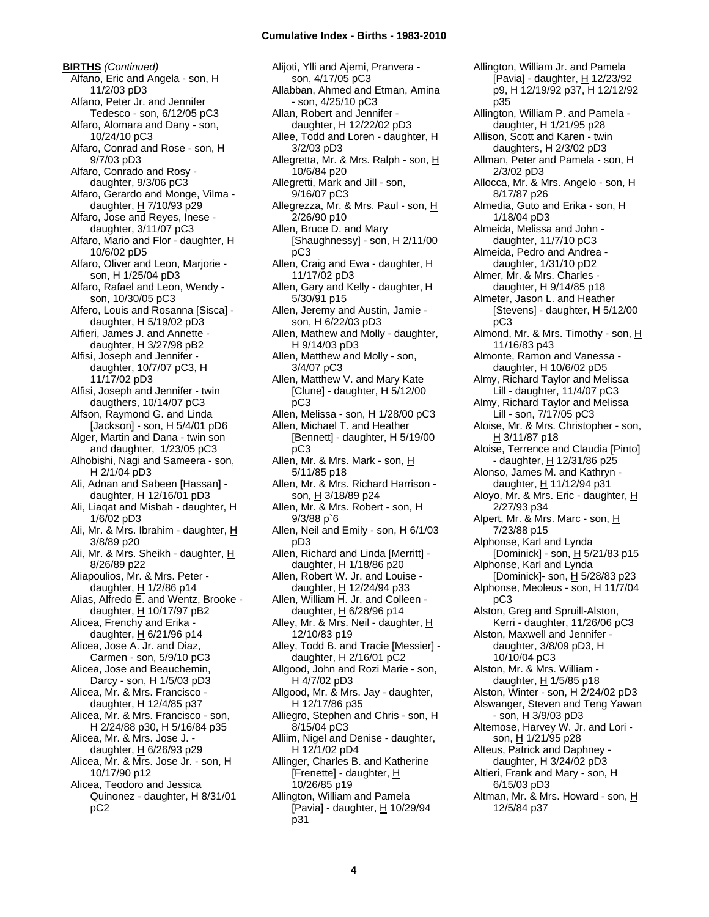**BIRTHS** *(Continued)* Alfano, Eric and Angela - son, H 11/2/03 pD3 Alfano, Peter Jr. and Jennifer Tedesco - son, 6/12/05 pC3 Alfaro, Alomara and Dany - son, 10/24/10 pC3 Alfaro, Conrad and Rose - son, H 9/7/03 pD3 Alfaro, Conrado and Rosy daughter, 9/3/06 pC3 Alfaro, Gerardo and Monge, Vilma daughter,  $H$  7/10/93 p29 Alfaro, Jose and Reyes, Inese daughter, 3/11/07 pC3 Alfaro, Mario and Flor - daughter, H 10/6/02 pD5 Alfaro, Oliver and Leon, Marjorie son, H 1/25/04 pD3 Alfaro, Rafael and Leon, Wendy son, 10/30/05 pC3 Alfero, Louis and Rosanna [Sisca] daughter, H 5/19/02 pD3 Alfieri, James J. and Annette daughter,  $H$  3/27/98 pB2 Alfisi, Joseph and Jennifer daughter, 10/7/07 pC3, H 11/17/02 pD3 Alfisi, Joseph and Jennifer - twin daugthers, 10/14/07 pC3 Alfson, Raymond G. and Linda [Jackson] - son, H 5/4/01 pD6 Alger, Martin and Dana - twin son and daughter, 1/23/05 pC3 Alhobishi, Nagi and Sameera - son, H 2/1/04 pD3 Ali, Adnan and Sabeen [Hassan] daughter, H 12/16/01 pD3 Ali, Liaqat and Misbah - daughter, H 1/6/02 pD3 Ali, Mr. & Mrs. Ibrahim - daughter, H 3/8/89 p20 Ali, Mr. & Mrs. Sheikh - daughter, H 8/26/89 p22 Aliapoulios, Mr. & Mrs. Peter daughter,  $H$  1/2/86 p14 Alias, Alfredo E. and Wentz, Brooke daughter, H 10/17/97 pB2 Alicea, Frenchy and Erika daughter,  $\underline{H}$  6/21/96 p14 Alicea, Jose A. Jr. and Diaz, Carmen - son, 5/9/10 pC3 Alicea, Jose and Beauchemin, Darcy - son, H 1/5/03 pD3 Alicea, Mr. & Mrs. Francisco daughter, H 12/4/85 p37 Alicea, Mr. & Mrs. Francisco - son, H 2/24/88 p30, H 5/16/84 p35 Alicea, Mr. & Mrs. Jose J. daughter,  $H$  6/26/93 p29 Alicea, Mr. & Mrs. Jose Jr. - son, H 10/17/90 p12 Alicea, Teodoro and Jessica Quinonez - daughter, H 8/31/01 pC2

Alijoti, Ylli and Ajemi, Pranvera son, 4/17/05 pC3 Allabban, Ahmed and Etman, Amina - son, 4/25/10 pC3 Allan, Robert and Jennifer daughter, H 12/22/02 pD3 Allee, Todd and Loren - daughter, H 3/2/03 pD3 Allegretta, Mr. & Mrs. Ralph - son, H 10/6/84 p20 Allegretti, Mark and Jill - son, 9/16/07 pC3 Allegrezza, Mr. & Mrs. Paul - son, H 2/26/90 p10 Allen, Bruce D. and Mary [Shaughnessy] - son, H 2/11/00 pC3 Allen, Craig and Ewa - daughter, H 11/17/02 pD3 Allen, Gary and Kelly - daughter,  $H$ 5/30/91 p15 Allen, Jeremy and Austin, Jamie son, H 6/22/03 pD3 Allen, Mathew and Molly - daughter, H 9/14/03 pD3 Allen, Matthew and Molly - son, 3/4/07 pC3 Allen, Matthew V. and Mary Kate [Clune] - daughter, H 5/12/00 pC3 Allen, Melissa - son, H 1/28/00 pC3 Allen, Michael T. and Heather [Bennett] - daughter, H 5/19/00 pC3 Allen, Mr. & Mrs. Mark - son, H 5/11/85 p18 Allen, Mr. & Mrs. Richard Harrison son, H 3/18/89 p24 Allen, Mr. & Mrs. Robert - son, H 9/3/88 p`6 Allen, Neil and Emily - son, H 6/1/03 pD3 Allen, Richard and Linda [Merritt] daughter, H 1/18/86 p20 Allen, Robert W. Jr. and Louise daughter, H 12/24/94 p33 Allen, William H. Jr. and Colleen daughter,  $H$  6/28/96 p14 Alley, Mr. & Mrs. Neil - daughter, H 12/10/83 p19 Alley, Todd B. and Tracie [Messier] daughter, H 2/16/01 pC2 Allgood, John and Rozi Marie - son, H 4/7/02 pD3 Allgood, Mr. & Mrs. Jay - daughter, H 12/17/86 p35 Alliegro, Stephen and Chris - son, H 8/15/04 pC3 Alliim, Nigel and Denise - daughter, H 12/1/02 pD4 Allinger, Charles B. and Katherine [Frenette] - daughter, H 10/26/85 p19 Allington, William and Pamela [Pavia] - daughter,  $H$  10/29/94 p31

Allington, William Jr. and Pamela [Pavia] - daughter, H 12/23/92 p9, H 12/19/92 p37, H 12/12/92 p35 Allington, William P. and Pamela daughter, H 1/21/95 p28 Allison, Scott and Karen - twin daughters, H 2/3/02 pD3 Allman, Peter and Pamela - son, H 2/3/02 pD3 Allocca, Mr. & Mrs. Angelo - son, H 8/17/87 p26 Almedia, Guto and Erika - son, H 1/18/04 pD3 Almeida, Melissa and John daughter, 11/7/10 pC3 Almeida, Pedro and Andrea daughter, 1/31/10 pD2 Almer, Mr. & Mrs. Charles daughter, H 9/14/85 p18 Almeter, Jason L. and Heather [Stevens] - daughter, H 5/12/00 pC3 Almond, Mr. & Mrs. Timothy - son, H 11/16/83 p43 Almonte, Ramon and Vanessa daughter, H 10/6/02 pD5 Almy, Richard Taylor and Melissa Lill - daughter, 11/4/07 pC3 Almy, Richard Taylor and Melissa Lill - son, 7/17/05 pC3 Aloise, Mr. & Mrs. Christopher - son, H 3/11/87 p18 Aloise, Terrence and Claudia [Pinto] - daughter, H 12/31/86 p25 Alonso, James M. and Kathryn daughter, H 11/12/94 p31 Aloyo, Mr. & Mrs. Eric - daughter, H 2/27/93 p34 Alpert, Mr. & Mrs. Marc - son, H 7/23/88 p15 Alphonse, Karl and Lynda [Dominick] - son,  $H$  5/21/83 p15 Alphonse, Karl and Lynda [Dominick]- son, H 5/28/83 p23 Alphonse, Meoleus - son, H 11/7/04 pC3 Alston, Greg and Spruill-Alston, Kerri - daughter, 11/26/06 pC3 Alston, Maxwell and Jennifer daughter, 3/8/09 pD3, H 10/10/04 pC3 Alston, Mr. & Mrs. William daughter,  $H$  1/5/85 p18 Alston, Winter - son, H 2/24/02 pD3 Alswanger, Steven and Teng Yawan - son, H 3/9/03 pD3 Altemose, Harvey W. Jr. and Lori son, H 1/21/95 p28 Alteus, Patrick and Daphney daughter, H 3/24/02 pD3 Altieri, Frank and Mary - son, H 6/15/03 pD3 Altman, Mr. & Mrs. Howard - son, H 12/5/84 p37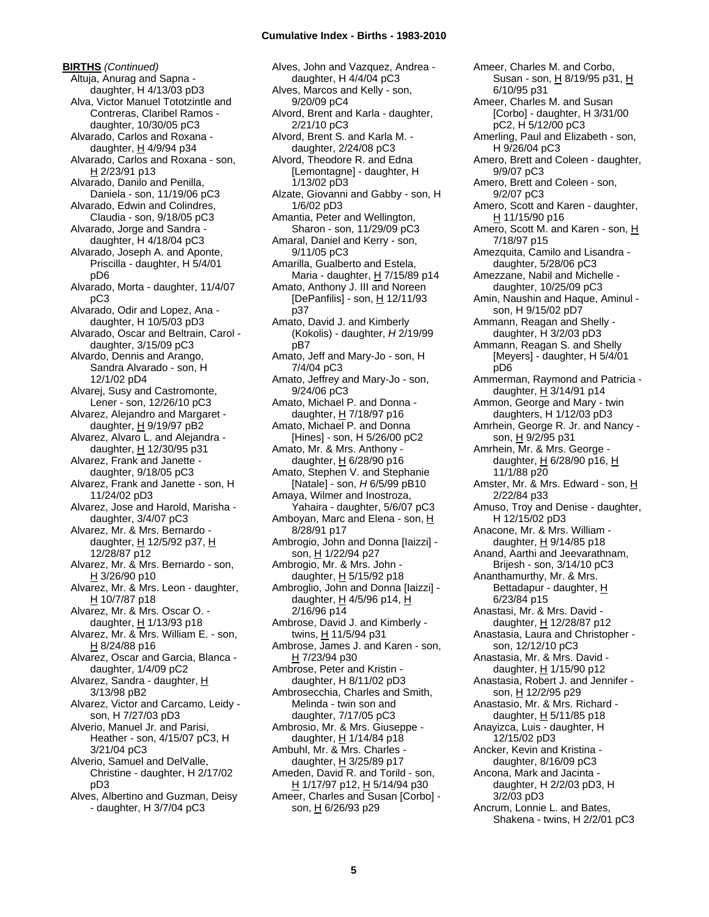**BIRTHS** *(Continued)* Altuja, Anurag and Sapna daughter, H 4/13/03 pD3 Alva, Victor Manuel Tototzintle and Contreras, Claribel Ramos daughter, 10/30/05 pC3 Alvarado, Carlos and Roxana daughter, H 4/9/94 p34 Alvarado, Carlos and Roxana - son, H 2/23/91 p13 Alvarado, Danilo and Penilla, Daniela - son, 11/19/06 pC3 Alvarado, Edwin and Colindres, Claudia - son, 9/18/05 pC3 Alvarado, Jorge and Sandra daughter, H 4/18/04 pC3 Alvarado, Joseph A. and Aponte, Priscilla - daughter, H 5/4/01 pD6 Alvarado, Morta - daughter, 11/4/07 pC3 Alvarado, Odir and Lopez, Ana daughter, H 10/5/03 pD3 Alvarado, Oscar and Beltrain, Carol daughter, 3/15/09 pC3 Alvardo, Dennis and Arango, Sandra Alvarado - son, H 12/1/02 pD4 Alvarej, Susy and Castromonte, Lener - son, 12/26/10 pC3 Alvarez, Alejandro and Margaret daughter,  $H$  9/19/97 pB2 Alvarez, Alvaro L. and Alejandra daughter, H 12/30/95 p31 Alvarez, Frank and Janette daughter, 9/18/05 pC3 Alvarez, Frank and Janette - son, H 11/24/02 pD3 Alvarez, Jose and Harold, Marisha daughter, 3/4/07 pC3 Alvarez, Mr. & Mrs. Bernardo daughter, H 12/5/92 p37, H 12/28/87 p12 Alvarez, Mr. & Mrs. Bernardo - son, H 3/26/90 p10 Alvarez, Mr. & Mrs. Leon - daughter, H 10/7/87 p18 Alvarez, Mr. & Mrs. Oscar O. daughter,  $H$  1/13/93 p18 Alvarez, Mr. & Mrs. William E. - son, H 8/24/88 p16 Alvarez, Oscar and Garcia, Blanca daughter, 1/4/09 pC2 Alvarez, Sandra - daughter, H 3/13/98 pB2 Alvarez, Victor and Carcamo, Leidy son, H 7/27/03 pD3 Alverio, Manuel Jr. and Parisi, Heather - son, 4/15/07 pC3, H 3/21/04 pC3 Alverio, Samuel and DelValle, Christine - daughter, H 2/17/02 pD3 Alves, Albertino and Guzman, Deisy - daughter, H 3/7/04 pC3

Alves, John and Vazquez, Andrea daughter, H 4/4/04 pC3 Alves, Marcos and Kelly - son, 9/20/09 pC4 Alvord, Brent and Karla - daughter, 2/21/10 pC3 Alvord, Brent S. and Karla M. daughter, 2/24/08 pC3 Alvord, Theodore R. and Edna [Lemontagne] - daughter, H 1/13/02 pD3 Alzate, Giovanni and Gabby - son, H 1/6/02 pD3 Amantia, Peter and Wellington, Sharon - son, 11/29/09 pC3 Amaral, Daniel and Kerry - son, 9/11/05 pC3 Amarilla, Gualberto and Estela, Maria - daughter,  $H$  7/15/89 p14 Amato, Anthony J. III and Noreen [DePanfilis] - son,  $H$  12/11/93 p37 Amato, David J. and Kimberly (Kokolis) - daughter, *H* 2/19/99 pB7 Amato, Jeff and Mary-Jo - son, H 7/4/04 pC3 Amato, Jeffrey and Mary-Jo - son, 9/24/06 pC3 Amato, Michael P. and Donna daughter,  $H$  7/18/97 p16 Amato, Michael P. and Donna [Hines] - son, H 5/26/00 pC2 Amato, Mr. & Mrs. Anthony daughter, H 6/28/90 p16 Amato, Stephen V. and Stephanie [Natale] - son, *H* 6/5/99 pB10 Amaya, Wilmer and Inostroza, Yahaira - daughter, 5/6/07 pC3 Amboyan, Marc and Elena - son, H 8/28/91 p17 Ambrogio, John and Donna [Iaizzi] son, H 1/22/94 p27 Ambrogio, Mr. & Mrs. John daughter,  $H$  5/15/92 p18 Ambroglio, John and Donna [Iaizzi] daughter, H 4/5/96 p14, H 2/16/96 p14 Ambrose, David J. and Kimberly twins, H 11/5/94 p31 Ambrose, James J. and Karen - son, H 7/23/94 p30 Ambrose, Peter and Kristin daughter, H 8/11/02 pD3 Ambrosecchia, Charles and Smith, Melinda - twin son and daughter, 7/17/05 pC3 Ambrosio, Mr. & Mrs. Giuseppe daughter, H 1/14/84 p18 Ambuhl, Mr. & Mrs. Charles daughter,  $H$  3/25/89 p17 Ameden, David R. and Torild - son, H 1/17/97 p12, H 5/14/94 p30 Ameer, Charles and Susan [Corbo] son, H 6/26/93 p29

Ameer, Charles M. and Corbo, Susan - son, H 8/19/95 p31, H 6/10/95 p31 Ameer, Charles M. and Susan [Corbo] - daughter, H 3/31/00 pC2, H 5/12/00 pC3 Amerling, Paul and Elizabeth - son, H 9/26/04 pC3 Amero, Brett and Coleen - daughter, 9/9/07 pC3 Amero, Brett and Coleen - son, 9/2/07 pC3 Amero, Scott and Karen - daughter, H 11/15/90 p16 Amero, Scott M. and Karen - son, H 7/18/97 p15 Amezquita, Camilo and Lisandra daughter, 5/28/06 pC3 Amezzane, Nabil and Michelle daughter, 10/25/09 pC3 Amin, Naushin and Haque, Aminul son, H 9/15/02 pD7 Ammann, Reagan and Shelly daughter, H 3/2/03 pD3 Ammann, Reagan S. and Shelly [Meyers] - daughter, H 5/4/01 pD6 Ammerman, Raymond and Patricia daughter, H 3/14/91 p14 Ammon, George and Mary - twin daughters, H 1/12/03 pD3 Amrhein, George R. Jr. and Nancy son, H 9/2/95 p31 Amrhein, Mr. & Mrs. George daughter, H 6/28/90 p16, H 11/1/88 p20 Amster, Mr. & Mrs. Edward - son, H 2/22/84 p33 Amuso, Troy and Denise - daughter, H 12/15/02 pD3 Anacone, Mr. & Mrs. William daughter,  $H$  9/14/85 p18 Anand, Aarthi and Jeevarathnam, Brijesh - son, 3/14/10 pC3 Ananthamurthy, Mr. & Mrs. Bettadapur - daughter, H 6/23/84 p15 Anastasi, Mr. & Mrs. David daughter, H 12/28/87 p12 Anastasia, Laura and Christopher son, 12/12/10 pC3 Anastasia, Mr. & Mrs. David daughter, H 1/15/90 p12 Anastasia, Robert J. and Jennifer son, H 12/2/95 p29 Anastasio, Mr. & Mrs. Richard daughter,  $H$  5/11/85 p18 Anayizca, Luis - daughter, H 12/15/02 pD3 Ancker, Kevin and Kristina daughter, 8/16/09 pC3 Ancona, Mark and Jacinta daughter, H 2/2/03 pD3, H 3/2/03 pD3 Ancrum, Lonnie L. and Bates, Shakena - twins, H 2/2/01 pC3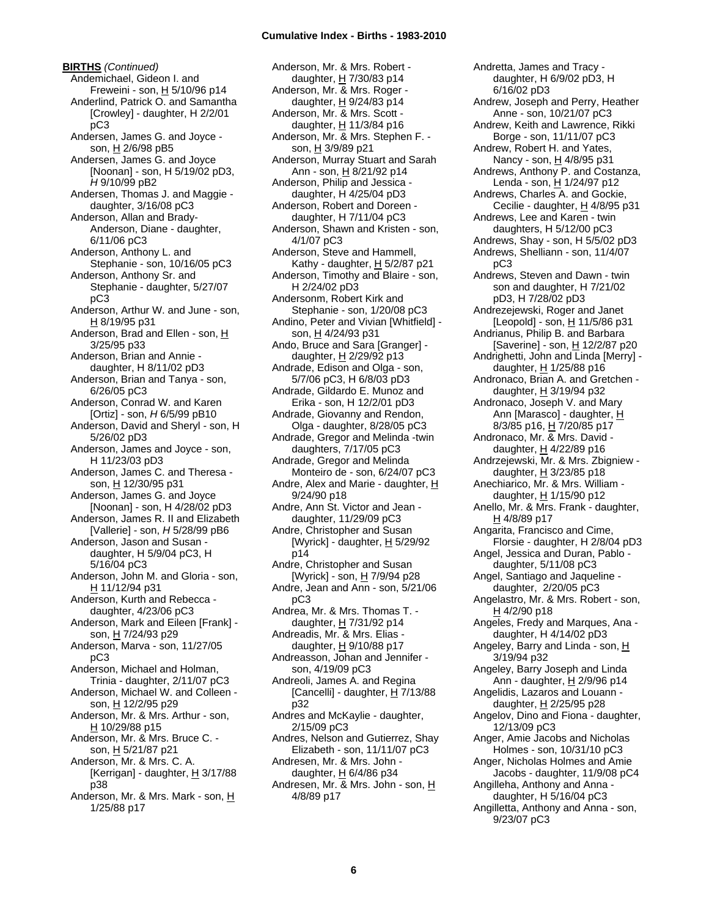**BIRTHS** *(Continued)* Andemichael, Gideon I. and Freweini - son, H 5/10/96 p14 Anderlind, Patrick O. and Samantha [Crowley] - daughter, H 2/2/01 pC3 Andersen, James G. and Joyce son, H 2/6/98 pB5 Andersen, James G. and Joyce [Noonan] - son, H 5/19/02 pD3, *H* 9/10/99 pB2 Andersen, Thomas J. and Maggie daughter, 3/16/08 pC3 Anderson, Allan and Brady-Anderson, Diane - daughter, 6/11/06 pC3 Anderson, Anthony L. and Stephanie - son, 10/16/05 pC3 Anderson, Anthony Sr. and Stephanie - daughter, 5/27/07 pC3 Anderson, Arthur W. and June - son, H 8/19/95 p31 Anderson, Brad and Ellen - son, H 3/25/95 p33 Anderson, Brian and Annie daughter, H 8/11/02 pD3 Anderson, Brian and Tanya - son, 6/26/05 pC3 Anderson, Conrad W. and Karen [Ortiz] - son, *H* 6/5/99 pB10 Anderson, David and Sheryl - son, H 5/26/02 pD3 Anderson, James and Joyce - son, H 11/23/03 pD3 Anderson, James C. and Theresa son, H 12/30/95 p31 Anderson, James G. and Joyce [Noonan] - son, H 4/28/02 pD3 Anderson, James R. II and Elizabeth [Vallerie] - son, *H* 5/28/99 pB6 Anderson, Jason and Susan daughter, H 5/9/04 pC3, H 5/16/04 pC3 Anderson, John M. and Gloria - son, H 11/12/94 p31 Anderson, Kurth and Rebecca daughter, 4/23/06 pC3 Anderson, Mark and Eileen [Frank] son, H 7/24/93 p29 Anderson, Marva - son, 11/27/05 pC3 Anderson, Michael and Holman, Trinia - daughter, 2/11/07 pC3 Anderson, Michael W. and Colleen son, H 12/2/95 p29 Anderson, Mr. & Mrs. Arthur - son, H 10/29/88 p15 Anderson, Mr. & Mrs. Bruce C. son, H 5/21/87 p21 Anderson, Mr. & Mrs. C. A. [Kerrigan] - daughter,  $H$  3/17/88 p38

Anderson, Mr. & Mrs. Mark - son, H 1/25/88 p17

Anderson, Mr. & Mrs. Robert daughter, H 7/30/83 p14 Anderson, Mr. & Mrs. Roger daughter,  $H$  9/24/83 p14 Anderson, Mr. & Mrs. Scott daughter, H 11/3/84 p16 Anderson, Mr. & Mrs. Stephen F. son, H 3/9/89 p21 Anderson, Murray Stuart and Sarah Ann - son,  $H$  8/21/92 p14 Anderson, Philip and Jessica daughter, H 4/25/04 pD3 Anderson, Robert and Doreen daughter, H 7/11/04 pC3 Anderson, Shawn and Kristen - son, 4/1/07 pC3 Anderson, Steve and Hammell, Kathy - daughter,  $H$  5/2/87 p21 Anderson, Timothy and Blaire - son, H 2/24/02 pD3 Andersonm, Robert Kirk and Stephanie - son, 1/20/08 pC3 Andino, Peter and Vivian [Whitfield] son, H 4/24/93 p31 Ando, Bruce and Sara [Granger] daughter, H 2/29/92 p13 Andrade, Edison and Olga - son, 5/7/06 pC3, H 6/8/03 pD3 Andrade, Gildardo E. Munoz and Erika - son, H 12/2/01 pD3 Andrade, Giovanny and Rendon, Olga - daughter, 8/28/05 pC3 Andrade, Gregor and Melinda -twin daughters, 7/17/05 pC3 Andrade, Gregor and Melinda Monteiro de - son, 6/24/07 pC3 Andre, Alex and Marie - daughter,  $H$ 9/24/90 p18 Andre, Ann St. Victor and Jean daughter, 11/29/09 pC3 Andre, Christopher and Susan [Wyrick] - daughter,  $H$  5/29/92 p14 Andre, Christopher and Susan [Wyrick] - son, <u>H</u> 7/9/94 p28 Andre, Jean and Ann - son, 5/21/06 pC3 Andrea, Mr. & Mrs. Thomas T. daughter,  $H$  7/31/92 p14 Andreadis, Mr. & Mrs. Elias daughter,  $H$  9/10/88 p17 Andreasson, Johan and Jennifer son, 4/19/09 pC3 Andreoli, James A. and Regina [Cancelli] - daughter,  $H$  7/13/88 p32 Andres and McKaylie - daughter, 2/15/09 pC3 Andres, Nelson and Gutierrez, Shay Elizabeth - son, 11/11/07 pC3 Andresen, Mr. & Mrs. John daughter, H 6/4/86 p34 Andresen, Mr. & Mrs. John - son, H 4/8/89 p17

Andretta, James and Tracy daughter, H 6/9/02 pD3, H 6/16/02 pD3 Andrew, Joseph and Perry, Heather Anne - son, 10/21/07 pC3 Andrew, Keith and Lawrence, Rikki Borge - son, 11/11/07 pC3 Andrew, Robert H. and Yates, Nancy - son, H 4/8/95 p31 Andrews, Anthony P. and Costanza, Lenda - son, H 1/24/97 p12 Andrews, Charles A. and Gockie, Cecilie - daughter,  $H$  4/8/95 p31 Andrews, Lee and Karen - twin daughters, H 5/12/00 pC3 Andrews, Shay - son, H 5/5/02 pD3 Andrews, Shelliann - son, 11/4/07 pC3 Andrews, Steven and Dawn - twin son and daughter, H 7/21/02 pD3, H 7/28/02 pD3 Andrezejewski, Roger and Janet [Leopold] - son, H 11/5/86 p31 Andrianus, Philip B. and Barbara [Saverine] - son, H 12/2/87 p20 Andrighetti, John and Linda [Merry] daughter,  $H$  1/25/88 p16 Andronaco, Brian A. and Gretchen daughter, H 3/19/94 p32 Andronaco, Joseph V. and Mary Ann [Marasco] - daughter, H 8/3/85 p16, H 7/20/85 p17 Andronaco, Mr. & Mrs. David daughter, H 4/22/89 p16 Andrzejewski, Mr. & Mrs. Zbigniew daughter,  $H$  3/23/85 p18 Anechiarico, Mr. & Mrs. William daughter, H 1/15/90 p12 Anello, Mr. & Mrs. Frank - daughter, H 4/8/89 p17 Angarita, Francisco and Cime, Florsie - daughter, H 2/8/04 pD3 Angel, Jessica and Duran, Pablo daughter, 5/11/08 pC3 Angel, Santiago and Jaqueline daughter, 2/20/05 pC3 Angelastro, Mr. & Mrs. Robert - son, H 4/2/90 p18 Angeles, Fredy and Marques, Ana daughter, H 4/14/02 pD3 Angeley, Barry and Linda - son, H 3/19/94 p32 Angeley, Barry Joseph and Linda Ann - daughter, H 2/9/96 p14 Angelidis, Lazaros and Louann daughter, H 2/25/95 p28 Angelov, Dino and Fiona - daughter, 12/13/09 pC3 Anger, Amie Jacobs and Nicholas Holmes - son, 10/31/10 pC3 Anger, Nicholas Holmes and Amie Jacobs - daughter, 11/9/08 pC4 Angilleha, Anthony and Anna daughter, H 5/16/04 pC3 Angilletta, Anthony and Anna - son, 9/23/07 pC3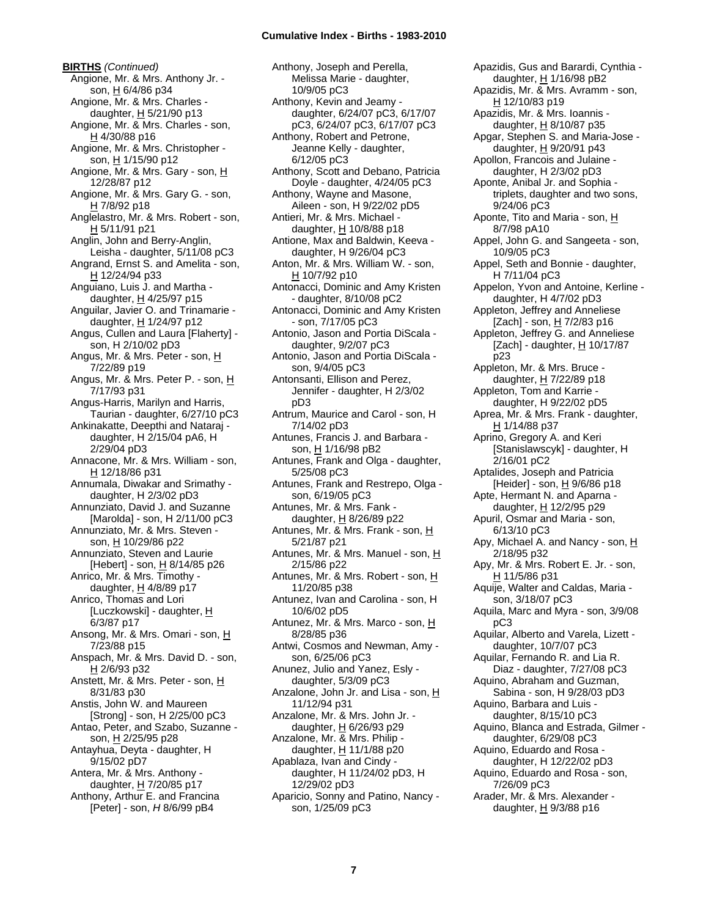**BIRTHS** *(Continued)* Angione, Mr. & Mrs. Anthony Jr. son, H 6/4/86 p34 Angione, Mr. & Mrs. Charles daughter, H 5/21/90 p13 Angione, Mr. & Mrs. Charles - son, H 4/30/88 p16 Angione, Mr. & Mrs. Christopher son, H 1/15/90 p12 Angione, Mr. & Mrs. Gary - son, H 12/28/87 p12 Angione, Mr. & Mrs. Gary G. - son,  $H$  7/8/92 p18 Anglelastro, Mr. & Mrs. Robert - son, H 5/11/91 p21 Anglin, John and Berry-Anglin, Leisha - daughter, 5/11/08 pC3 Angrand, Ernst S. and Amelita - son, H 12/24/94 p33 Anguiano, Luis J. and Martha daughter,  $H$  4/25/97 p15 Anguilar, Javier O. and Trinamarie daughter, H 1/24/97 p12 Angus, Cullen and Laura [Flaherty] son, H 2/10/02 pD3 Angus, Mr. & Mrs. Peter - son, H 7/22/89 p19 Angus, Mr. & Mrs. Peter P. - son, H 7/17/93 p31 Angus-Harris, Marilyn and Harris, Taurian - daughter, 6/27/10 pC3 Ankinakatte, Deepthi and Nataraj daughter, H 2/15/04 pA6, H 2/29/04 pD3 Annacone, Mr. & Mrs. William - son, H 12/18/86 p31 Annumala, Diwakar and Srimathy daughter, H 2/3/02 pD3 Annunziato, David J. and Suzanne [Marolda] - son, H 2/11/00 pC3 Annunziato, Mr. & Mrs. Steven son, H 10/29/86 p22 Annunziato, Steven and Laurie [Hebert] - son, H 8/14/85 p26 Anrico, Mr. & Mrs. Timothy daughter,  $H$  4/8/89 p17 Anrico, Thomas and Lori [Luczkowski] - daughter, H 6/3/87 p17 Ansong, Mr. & Mrs. Omari - son, H 7/23/88 p15 Anspach, Mr. & Mrs. David D. - son, H 2/6/93 p32 Anstett, Mr. & Mrs. Peter - son, H 8/31/83 p30 Anstis, John W. and Maureen [Strong] - son, H 2/25/00 pC3 Antao, Peter, and Szabo, Suzanne son, H 2/25/95 p28 Antayhua, Deyta - daughter, H 9/15/02 pD7 Antera, Mr. & Mrs. Anthony daughter, H 7/20/85 p17 Anthony, Arthur E. and Francina [Peter] - son, *H* 8/6/99 pB4

Anthony, Joseph and Perella, Melissa Marie - daughter, 10/9/05 pC3 Anthony, Kevin and Jeamy daughter, 6/24/07 pC3, 6/17/07 pC3, 6/24/07 pC3, 6/17/07 pC3 Anthony, Robert and Petrone, Jeanne Kelly - daughter, 6/12/05 pC3 Anthony, Scott and Debano, Patricia Doyle - daughter, 4/24/05 pC3 Anthony, Wayne and Masone, Aileen - son, H 9/22/02 pD5 Antieri, Mr. & Mrs. Michael daughter,  $H$  10/8/88 p18 Antione, Max and Baldwin, Keeva daughter, H 9/26/04 pC3 Anton, Mr. & Mrs. William W. - son, H 10/7/92 p10 Antonacci, Dominic and Amy Kristen - daughter, 8/10/08 pC2 Antonacci, Dominic and Amy Kristen - son, 7/17/05 pC3 Antonio, Jason and Portia DiScala daughter, 9/2/07 pC3 Antonio, Jason and Portia DiScala son, 9/4/05 pC3 Antonsanti, Ellison and Perez, Jennifer - daughter, H 2/3/02 pD3 Antrum, Maurice and Carol - son, H 7/14/02 pD3 Antunes, Francis J. and Barbara son, H 1/16/98 pB2 Antunes, Frank and Olga - daughter, 5/25/08 pC3 Antunes, Frank and Restrepo, Olga son, 6/19/05 pC3 Antunes, Mr. & Mrs. Fank daughter,  $H$  8/26/89 p22 Antunes, Mr. & Mrs. Frank - son, H 5/21/87 p21 Antunes, Mr. & Mrs. Manuel - son, H 2/15/86 p22 Antunes, Mr. & Mrs. Robert - son, H 11/20/85 p38 Antunez, Ivan and Carolina - son, H 10/6/02 pD5 Antunez, Mr. & Mrs. Marco - son, H 8/28/85 p36 Antwi, Cosmos and Newman, Amy son, 6/25/06 pC3 Anunez, Julio and Yanez, Esly daughter, 5/3/09 pC3 Anzalone, John Jr. and Lisa - son, H 11/12/94 p31 Anzalone, Mr. & Mrs. John Jr. daughter, H 6/26/93 p29 Anzalone, Mr. & Mrs. Philip daughter, H 11/1/88 p20 Apablaza, Ivan and Cindy daughter, H 11/24/02 pD3, H 12/29/02 pD3 Aparicio, Sonny and Patino, Nancy son, 1/25/09 pC3

Apazidis, Gus and Barardi, Cynthia daughter, H 1/16/98 pB2 Apazidis, Mr. & Mrs. Avramm - son, H 12/10/83 p19 Apazidis, Mr. & Mrs. Ioannis daughter, H 8/10/87 p35 Apgar, Stephen S. and Maria-Jose daughter, H 9/20/91 p43 Apollon, Francois and Julaine daughter, H 2/3/02 pD3 Aponte, Anibal Jr. and Sophia triplets, daughter and two sons, 9/24/06 pC3 Aponte, Tito and Maria - son, H 8/7/98 pA10 Appel, John G. and Sangeeta - son, 10/9/05 pC3 Appel, Seth and Bonnie - daughter, H 7/11/04 pC3 Appelon, Yvon and Antoine, Kerline daughter, H 4/7/02 pD3 Appleton, Jeffrey and Anneliese [Zach] - son, <u>H</u> 7/2/83 p16 Appleton, Jeffrey G. and Anneliese [Zach] - daughter,  $H$  10/17/87 p23 Appleton, Mr. & Mrs. Bruce daughter,  $H$  7/22/89 p18 Appleton, Tom and Karrie daughter, H 9/22/02 pD5 Aprea, Mr. & Mrs. Frank - daughter, H 1/14/88 p37 Aprino, Gregory A. and Keri [Stanislawscyk] - daughter, H 2/16/01 pC2 Aptalides, Joseph and Patricia [Heider] - son, H 9/6/86 p18 Apte, Hermant N. and Aparna daughter, H 12/2/95 p29 Apuril, Osmar and Maria - son, 6/13/10 pC3 Apy, Michael A. and Nancy - son, H 2/18/95 p32 Apy, Mr. & Mrs. Robert E. Jr. - son, H 11/5/86 p31 Aquije, Walter and Caldas, Maria son, 3/18/07 pC3 Aquila, Marc and Myra - son, 3/9/08 pC3 Aquilar, Alberto and Varela, Lizett daughter, 10/7/07 pC3 Aquilar, Fernando R. and Lia R. Diaz - daughter, 7/27/08 pC3 Aquino, Abraham and Guzman, Sabina - son, H 9/28/03 pD3 Aquino, Barbara and Luis daughter, 8/15/10 pC3 Aquino, Blanca and Estrada, Gilmer daughter, 6/29/08 pC3 Aquino, Eduardo and Rosa daughter, H 12/22/02 pD3 Aquino, Eduardo and Rosa - son, 7/26/09 pC3 Arader, Mr. & Mrs. Alexander daughter, H 9/3/88 p16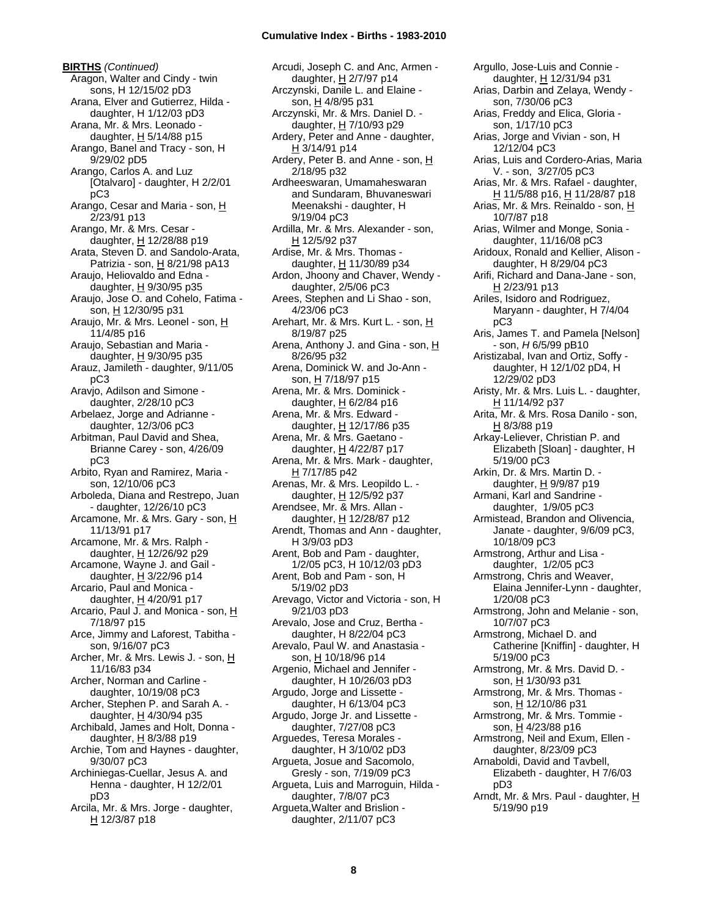**BIRTHS** *(Continued)* Aragon, Walter and Cindy - twin sons, H 12/15/02 pD3 Arana, Elver and Gutierrez, Hilda daughter, H 1/12/03 pD3 Arana, Mr. & Mrs. Leonado daughter,  $H$  5/14/88 p15 Arango, Banel and Tracy - son, H 9/29/02 pD5 Arango, Carlos A. and Luz [Otalvaro] - daughter, H 2/2/01 pC3 Arango, Cesar and Maria - son, H 2/23/91 p13 Arango, Mr. & Mrs. Cesar daughter, H 12/28/88 p19 Arata, Steven D. and Sandolo-Arata, Patrizia - son, H 8/21/98 pA13 Araujo, Heliovaldo and Edna daughter,  $H$  9/30/95 p35 Araujo, Jose O. and Cohelo, Fatima son, H 12/30/95 p31 Araujo, Mr. & Mrs. Leonel - son, H 11/4/85 p16 Araujo, Sebastian and Maria daughter,  $H$  9/30/95 p35 Arauz, Jamileth - daughter, 9/11/05 pC3 Aravjo, Adilson and Simone daughter, 2/28/10 pC3 Arbelaez, Jorge and Adrianne daughter, 12/3/06 pC3 Arbitman, Paul David and Shea, Brianne Carey - son, 4/26/09 pC3 Arbito, Ryan and Ramirez, Maria son, 12/10/06 pC3 Arboleda, Diana and Restrepo, Juan - daughter, 12/26/10 pC3 Arcamone, Mr. & Mrs. Gary - son, H 11/13/91 p17 Arcamone, Mr. & Mrs. Ralph daughter, H 12/26/92 p29 Arcamone, Wayne J. and Gail daughter,  $H$  3/22/96 p14 Arcario, Paul and Monica daughter, H 4/20/91 p17 Arcario, Paul J. and Monica - son, H 7/18/97 p15 Arce, Jimmy and Laforest, Tabitha son, 9/16/07 pC3 Archer, Mr. & Mrs. Lewis J. - son, H 11/16/83 p34 Archer, Norman and Carline daughter, 10/19/08 pC3 Archer, Stephen P. and Sarah A. daughter,  $H$  4/30/94 p35 Archibald, James and Holt, Donna daughter,  $H$  8/3/88 p19 Archie, Tom and Haynes - daughter, 9/30/07 pC3 Archiniegas-Cuellar, Jesus A. and Henna - daughter, H 12/2/01 pD3 Arcila, Mr. & Mrs. Jorge - daughter, H 12/3/87 p18

Arcudi, Joseph C. and Anc, Armen daughter, H 2/7/97 p14 Arczynski, Danile L. and Elaine son,  $H$  4/8/95 p31 Arczynski, Mr. & Mrs. Daniel D. daughter, H 7/10/93 p29 Ardery, Peter and Anne - daughter, H 3/14/91 p14 Ardery, Peter B. and Anne - son, H 2/18/95 p32 Ardheeswaran, Umamaheswaran and Sundaram, Bhuvaneswari Meenakshi - daughter, H 9/19/04 pC3 Ardilla, Mr. & Mrs. Alexander - son, H 12/5/92 p37 Ardise, Mr. & Mrs. Thomas daughter, H 11/30/89 p34 Ardon, Jhoony and Chaver, Wendy daughter, 2/5/06 pC3 Arees, Stephen and Li Shao - son, 4/23/06 pC3 Arehart, Mr. & Mrs. Kurt L. - son, H 8/19/87 p25 Arena, Anthony J. and Gina - son, H 8/26/95 p32 Arena, Dominick W. and Jo-Ann son, H 7/18/97 p15 Arena, Mr. & Mrs. Dominick daughter, H 6/2/84 p16 Arena, Mr. & Mrs. Edward daughter, H 12/17/86 p35 Arena, Mr. & Mrs. Gaetano daughter, H 4/22/87 p17 Arena, Mr. & Mrs. Mark - daughter, H 7/17/85 p42 Arenas, Mr. & Mrs. Leopildo L. daughter, H 12/5/92 p37 Arendsee, Mr. & Mrs. Allan daughter,  $H$  12/28/87 p12 Arendt, Thomas and Ann - daughter, H 3/9/03 pD3 Arent, Bob and Pam - daughter, 1/2/05 pC3, H 10/12/03 pD3 Arent, Bob and Pam - son, H 5/19/02 pD3 Arevago, Victor and Victoria - son, H 9/21/03 pD3 Arevalo, Jose and Cruz, Bertha daughter, H 8/22/04 pC3 Arevalo, Paul W. and Anastasia son, H 10/18/96 p14 Argenio, Michael and Jennifer daughter, H 10/26/03 pD3 Argudo, Jorge and Lissette daughter, H 6/13/04 pC3 Argudo, Jorge Jr. and Lissette daughter, 7/27/08 pC3 Arguedes, Teresa Morales daughter, H 3/10/02 pD3 Argueta, Josue and Sacomolo, Gresly - son, 7/19/09 pC3 Argueta, Luis and Marroguin, Hilda daughter, 7/8/07 pC3 Argueta,Walter and Brislion daughter, 2/11/07 pC3

Argullo, Jose-Luis and Connie daughter, H 12/31/94 p31 Arias, Darbin and Zelaya, Wendy son, 7/30/06 pC3 Arias, Freddy and Elica, Gloria son, 1/17/10 pC3 Arias, Jorge and Vivian - son, H 12/12/04 pC3 Arias, Luis and Cordero-Arias, Maria V. - son, 3/27/05 pC3 Arias, Mr. & Mrs. Rafael - daughter, H 11/5/88 p16, H 11/28/87 p18 Arias, Mr. & Mrs. Reinaldo - son, H 10/7/87 p18 Arias, Wilmer and Monge, Sonia daughter, 11/16/08 pC3 Aridoux, Ronald and Kellier, Alison daughter, H 8/29/04 pC3 Arifi, Richard and Dana-Jane - son, H 2/23/91 p13 Ariles, Isidoro and Rodriguez, Maryann - daughter, H 7/4/04 pC3 Aris, James T. and Pamela [Nelson] - son, *H* 6/5/99 pB10 Aristizabal, Ivan and Ortiz, Soffy daughter, H 12/1/02 pD4, H 12/29/02 pD3 Aristy, Mr. & Mrs. Luis L. - daughter, H 11/14/92 p37 Arita, Mr. & Mrs. Rosa Danilo - son,  $H$  8/3/88 p19 Arkay-Leliever, Christian P. and Elizabeth [Sloan] - daughter, H 5/19/00 pC3 Arkin, Dr. & Mrs. Martin D. daughter, H 9/9/87 p19 Armani, Karl and Sandrine daughter, 1/9/05 pC3 Armistead, Brandon and Olivencia, Janate - daughter, 9/6/09 pC3, 10/18/09 pC3 Armstrong, Arthur and Lisa daughter, 1/2/05 pC3 Armstrong, Chris and Weaver, Elaina Jennifer-Lynn - daughter, 1/20/08 pC3 Armstrong, John and Melanie - son, 10/7/07 pC3 Armstrong, Michael D. and Catherine [Kniffin] - daughter, H 5/19/00 pC3 Armstrong, Mr. & Mrs. David D. son, H 1/30/93 p31 Armstrong, Mr. & Mrs. Thomas son, H 12/10/86 p31 Armstrong, Mr. & Mrs. Tommie son, H 4/23/88 p16 Armstrong, Neil and Exum, Ellen daughter, 8/23/09 pC3 Arnaboldi, David and Tavbell, Elizabeth - daughter, H 7/6/03 pD3 Arndt, Mr. & Mrs. Paul - daughter, H 5/19/90 p19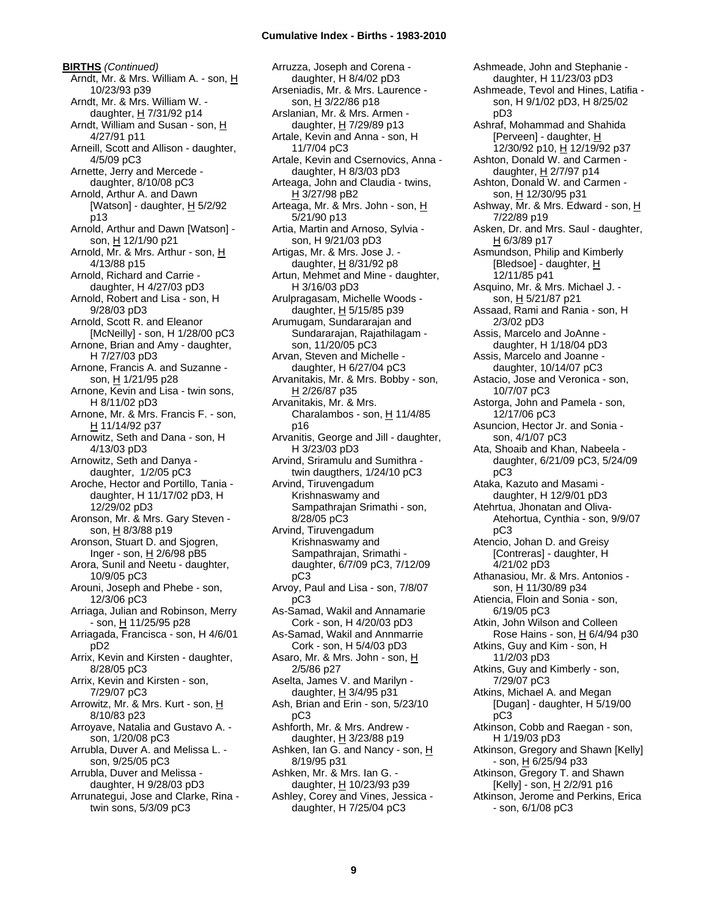**BIRTHS** *(Continued)* Arndt, Mr. & Mrs. William A. - son, H 10/23/93 p39 Arndt, Mr. & Mrs. William W. daughter, H 7/31/92 p14 Arndt, William and Susan - son, H 4/27/91 p11 Arneill, Scott and Allison - daughter, 4/5/09 pC3 Arnette, Jerry and Mercede daughter, 8/10/08 pC3 Arnold, Arthur A. and Dawn [Watson] - daughter,  $H$  5/2/92 p13 Arnold, Arthur and Dawn [Watson] son, H 12/1/90 p21 Arnold, Mr. & Mrs. Arthur - son, H 4/13/88 p15 Arnold, Richard and Carrie daughter, H 4/27/03 pD3 Arnold, Robert and Lisa - son, H 9/28/03 pD3 Arnold, Scott R. and Eleanor [McNeilly] - son, H 1/28/00 pC3 Arnone, Brian and Amy - daughter, H 7/27/03 pD3 Arnone, Francis A. and Suzanne son, H 1/21/95 p28 Arnone, Kevin and Lisa - twin sons, H 8/11/02 pD3 Arnone, Mr. & Mrs. Francis F. - son, H 11/14/92 p37 Arnowitz, Seth and Dana - son, H 4/13/03 pD3 Arnowitz, Seth and Danya daughter, 1/2/05 pC3 Aroche, Hector and Portillo, Tania daughter, H 11/17/02 pD3, H 12/29/02 pD3 Aronson, Mr. & Mrs. Gary Steven son, H 8/3/88 p19 Aronson, Stuart D. and Sjogren, Inger - son, H 2/6/98 pB5 Arora, Sunil and Neetu - daughter, 10/9/05 pC3 Arouni, Joseph and Phebe - son, 12/3/06 pC3 Arriaga, Julian and Robinson, Merry - son, H 11/25/95 p28 Arriagada, Francisca - son, H 4/6/01 pD2 Arrix, Kevin and Kirsten - daughter, 8/28/05 pC3 Arrix, Kevin and Kirsten - son, 7/29/07 pC3 Arrowitz, Mr. & Mrs. Kurt - son, H 8/10/83 p23 Arroyave, Natalia and Gustavo A. son, 1/20/08 pC3 Arrubla, Duver A. and Melissa L. son, 9/25/05 pC3 Arrubla, Duver and Melissa daughter, H 9/28/03 pD3 Arrunategui, Jose and Clarke, Rina twin sons, 5/3/09 pC3

Arruzza, Joseph and Corena daughter, H 8/4/02 pD3 Arseniadis, Mr. & Mrs. Laurence son, H 3/22/86 p18 Arslanian, Mr. & Mrs. Armen daughter, H 7/29/89 p13 Artale, Kevin and Anna - son, H 11/7/04 pC3 Artale, Kevin and Csernovics, Anna daughter, H 8/3/03 pD3 Arteaga, John and Claudia - twins, H 3/27/98 pB2 Arteaga, Mr. & Mrs. John - son, H 5/21/90 p13 Artia, Martin and Arnoso, Sylvia son, H 9/21/03 pD3 Artigas, Mr. & Mrs. Jose J. daughter, H 8/31/92 p8 Artun, Mehmet and Mine - daughter, H 3/16/03 pD3 Arulpragasam, Michelle Woods daughter,  $H$  5/15/85 p39 Arumugam, Sundararajan and Sundararajan, Rajathilagam son, 11/20/05 pC3 Arvan, Steven and Michelle daughter, H 6/27/04 pC3 Arvanitakis, Mr. & Mrs. Bobby - son, H 2/26/87 p35 Arvanitakis, Mr. & Mrs. Charalambos - son,  $H$  11/4/85 p16 Arvanitis, George and Jill - daughter, H 3/23/03 pD3 Arvind, Sriramulu and Sumithra twin daugthers, 1/24/10 pC3 Arvind, Tiruvengadum Krishnaswamy and Sampathrajan Srimathi - son, 8/28/05 pC3 Arvind, Tiruvengadum Krishnaswamy and Sampathrajan, Srimathi daughter, 6/7/09 pC3, 7/12/09 pC3 Arvoy, Paul and Lisa - son, 7/8/07 pC3 As-Samad, Wakil and Annamarie Cork - son, H 4/20/03 pD3 As-Samad, Wakil and Annmarrie Cork - son, H 5/4/03 pD3 Asaro, Mr. & Mrs. John - son, H 2/5/86 p27 Aselta, James V. and Marilyn daughter,  $H$  3/4/95 p31 Ash, Brian and Erin - son, 5/23/10 pC3 Ashforth, Mr. & Mrs. Andrew daughter, H 3/23/88 p19 Ashken, Ian G. and Nancy - son, H 8/19/95 p31 Ashken, Mr. & Mrs. Ian G. daughter, H 10/23/93 p39 Ashley, Corey and Vines, Jessica daughter, H 7/25/04 pC3

Ashmeade, John and Stephanie daughter, H 11/23/03 pD3 Ashmeade, Tevol and Hines, Latifia son, H 9/1/02 pD3, H 8/25/02 pD3 Ashraf, Mohammad and Shahida [Perveen] - daughter, H 12/30/92 p10, H 12/19/92 p37 Ashton, Donald W. and Carmen daughter, H 2/7/97 p14 Ashton, Donald W. and Carmen son, H 12/30/95 p31 Ashway, Mr. & Mrs. Edward - son, H 7/22/89 p19 Asken, Dr. and Mrs. Saul - daughter, H 6/3/89 p17 Asmundson, Philip and Kimberly [Bledsoe] - daughter, H 12/11/85 p41 Asquino, Mr. & Mrs. Michael J. son, H 5/21/87 p21 Assaad, Rami and Rania - son, H 2/3/02 pD3 Assis, Marcelo and JoAnne daughter, H 1/18/04 pD3 Assis, Marcelo and Joanne daughter, 10/14/07 pC3 Astacio, Jose and Veronica - son, 10/7/07 pC3 Astorga, John and Pamela - son, 12/17/06 pC3 Asuncion, Hector Jr. and Sonia son, 4/1/07 pC3 Ata, Shoaib and Khan, Nabeela daughter, 6/21/09 pC3, 5/24/09 pC3 Ataka, Kazuto and Masami daughter, H 12/9/01 pD3 Atehrtua, Jhonatan and Oliva-Atehortua, Cynthia - son, 9/9/07 pC3 Atencio, Johan D. and Greisy [Contreras] - daughter, H 4/21/02 pD3 Athanasiou, Mr. & Mrs. Antonios son, H 11/30/89 p34 Atiencia, Floin and Sonia - son, 6/19/05 pC3 Atkin, John Wilson and Colleen Rose Hains - son, H 6/4/94 p30 Atkins, Guy and Kim - son, H 11/2/03 pD3 Atkins, Guy and Kimberly - son, 7/29/07 pC3 Atkins, Michael A. and Megan [Dugan] - daughter, H 5/19/00 pC3 Atkinson, Cobb and Raegan - son, H 1/19/03 pD3 Atkinson, Gregory and Shawn [Kelly] - son, H 6/25/94 p33 Atkinson, Gregory T. and Shawn [Kelly] - son, H 2/2/91 p16 Atkinson, Jerome and Perkins, Erica - son, 6/1/08 pC3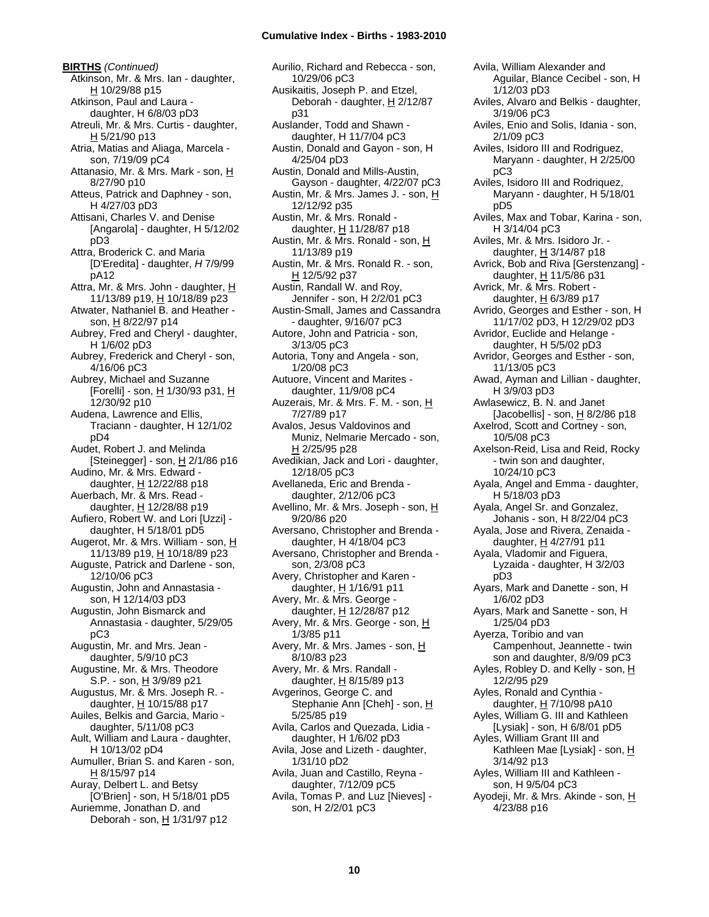**BIRTHS** *(Continued)* Atkinson, Mr. & Mrs. Ian - daughter, H 10/29/88 p15 Atkinson, Paul and Laura daughter, H 6/8/03 pD3 Atreuli, Mr. & Mrs. Curtis - daughter, H 5/21/90 p13 Atria, Matias and Aliaga, Marcela son, 7/19/09 pC4 Attanasio, Mr. & Mrs. Mark - son, H 8/27/90 p10 Atteus, Patrick and Daphney - son, H 4/27/03 pD3 Attisani, Charles V. and Denise [Angarola] - daughter, H 5/12/02 pD3 Attra, Broderick C. and Maria [D'Eredita] - daughter, *H* 7/9/99 pA12 Attra, Mr. & Mrs. John - daughter, H 11/13/89 p19, H 10/18/89 p23 Atwater, Nathaniel B. and Heather son, H 8/22/97 p14 Aubrey, Fred and Cheryl - daughter, H 1/6/02 pD3 Aubrey, Frederick and Cheryl - son, 4/16/06 pC3 Aubrey, Michael and Suzanne [Forelli] - son, H 1/30/93 p31, H 12/30/92 p10 Audena, Lawrence and Ellis, Traciann - daughter, H 12/1/02 pD4 Audet, Robert J. and Melinda [Steinegger] - son, H 2/1/86 p16 Audino, Mr. & Mrs. Edward daughter,  $H$  12/22/88 p18 Auerbach, Mr. & Mrs. Read daughter, H 12/28/88 p19 Aufiero, Robert W. and Lori [Uzzi] daughter, H 5/18/01 pD5 Augerot, Mr. & Mrs. William - son, H 11/13/89 p19, H 10/18/89 p23 Auguste, Patrick and Darlene - son, 12/10/06 pC3 Augustin, John and Annastasia son, H 12/14/03 pD3 Augustin, John Bismarck and Annastasia - daughter, 5/29/05 pC3 Augustin, Mr. and Mrs. Jean daughter, 5/9/10 pC3 Augustine, Mr. & Mrs. Theodore S.P. - son, H 3/9/89 p21 Augustus, Mr. & Mrs. Joseph R. daughter, H 10/15/88 p17 Auiles, Belkis and Garcia, Mario daughter, 5/11/08 pC3 Ault, William and Laura - daughter, H 10/13/02 pD4 Aumuller, Brian S. and Karen - son, H 8/15/97 p14 Auray, Delbert L. and Betsy [O'Brien] - son, H 5/18/01 pD5 Auriemme, Jonathan D. and Deborah - son, H 1/31/97 p12

Aurilio, Richard and Rebecca - son, 10/29/06 pC3 Ausikaitis, Joseph P. and Etzel, Deborah - daughter, H 2/12/87 p31 Auslander, Todd and Shawn daughter, H 11/7/04 pC3 Austin, Donald and Gayon - son, H 4/25/04 pD3 Austin, Donald and Mills-Austin, Gayson - daughter, 4/22/07 pC3 Austin, Mr. & Mrs. James J. - son, H 12/12/92 p35 Austin, Mr. & Mrs. Ronald daughter,  $H$  11/28/87 p18 Austin, Mr. & Mrs. Ronald - son, H 11/13/89 p19 Austin, Mr. & Mrs. Ronald R. - son, H 12/5/92 p37 Austin, Randall W. and Roy, Jennifer - son, H 2/2/01 pC3 Austin-Small, James and Cassandra - daughter, 9/16/07 pC3 Autore, John and Patricia - son, 3/13/05 pC3 Autoria, Tony and Angela - son, 1/20/08 pC3 Autuore, Vincent and Marites daughter, 11/9/08 pC4 Auzerais, Mr. & Mrs. F. M. - son, H 7/27/89 p17 Avalos, Jesus Valdovinos and Muniz, Nelmarie Mercado - son, H 2/25/95 p28 Avedikian, Jack and Lori - daughter, 12/18/05 pC3 Avellaneda, Eric and Brenda daughter, 2/12/06 pC3 Avellino, Mr. & Mrs. Joseph - son, H 9/20/86 p20 Aversano, Christopher and Brenda daughter, H 4/18/04 pC3 Aversano, Christopher and Brenda son, 2/3/08 pC3 Avery, Christopher and Karen daughter, H 1/16/91 p11 Avery, Mr. & Mrs. George daughter,  $H$  12/28/87 p12 Avery, Mr. & Mrs. George - son, H 1/3/85 p11 Avery, Mr. & Mrs. James - son, H 8/10/83 p23 Avery, Mr. & Mrs. Randall daughter,  $H$  8/15/89 p13 Avgerinos, George C. and Stephanie Ann [Cheh] - son, H 5/25/85 p19 Avila, Carlos and Quezada, Lidia daughter, H 1/6/02 pD3 Avila, Jose and Lizeth - daughter, 1/31/10 pD2 Avila, Juan and Castillo, Reyna daughter, 7/12/09 pC5 Avila, Tomas P. and Luz [Nieves] son, H 2/2/01 pC3

1/12/03 pD3 Aviles, Alvaro and Belkis - daughter, 3/19/06 pC3 Aviles, Enio and Solis, Idania - son, 2/1/09 pC3 Aviles, Isidoro III and Rodriguez, Maryann - daughter, H 2/25/00 pC3 Aviles, Isidoro III and Rodriquez, Maryann - daughter, H 5/18/01 pD5 Aviles, Max and Tobar, Karina - son, H 3/14/04 pC3 Aviles, Mr. & Mrs. Isidoro Jr. daughter, H 3/14/87 p18 Avrick, Bob and Riva [Gerstenzang] daughter, H 11/5/86 p31 Avrick, Mr. & Mrs. Robert daughter,  $H$  6/3/89 p17 Avrido, Georges and Esther - son, H 11/17/02 pD3, H 12/29/02 pD3 Avridor, Euclide and Helange daughter, H 5/5/02 pD3 Avridor, Georges and Esther - son, 11/13/05 pC3 Awad, Ayman and Lillian - daughter, H 3/9/03 pD3 Awlasewicz, B. N. and Janet [Jacobellis] - son,  $\underline{H}$  8/2/86 p18 Axelrod, Scott and Cortney - son, 10/5/08 pC3 Axelson-Reid, Lisa and Reid, Rocky - twin son and daughter, 10/24/10 pC3 Ayala, Angel and Emma - daughter, H 5/18/03 pD3 Ayala, Angel Sr. and Gonzalez, Johanis - son, H 8/22/04 pC3 Ayala, Jose and Rivera, Zenaida daughter,  $H$  4/27/91 p11 Ayala, Vladomir and Figuera, Lyzaida - daughter, H 3/2/03 pD3 Ayars, Mark and Danette - son, H 1/6/02 pD3 Ayars, Mark and Sanette - son, H 1/25/04 pD3 Ayerza, Toribio and van Campenhout, Jeannette - twin son and daughter, 8/9/09 pC3 Ayles, Robley D. and Kelly - son, H 12/2/95 p29 Ayles, Ronald and Cynthia daughter, H 7/10/98 pA10 Ayles, William G. III and Kathleen [Lysiak] - son, H 6/8/01 pD5 Ayles, William Grant III and Kathleen Mae [Lysiak] - son, H 3/14/92 p13 Ayles, William III and Kathleen son, H 9/5/04 pC3 Ayodeji, Mr. & Mrs. Akinde - son, H 4/23/88 p16

Avila, William Alexander and

Aguilar, Blance Cecibel - son, H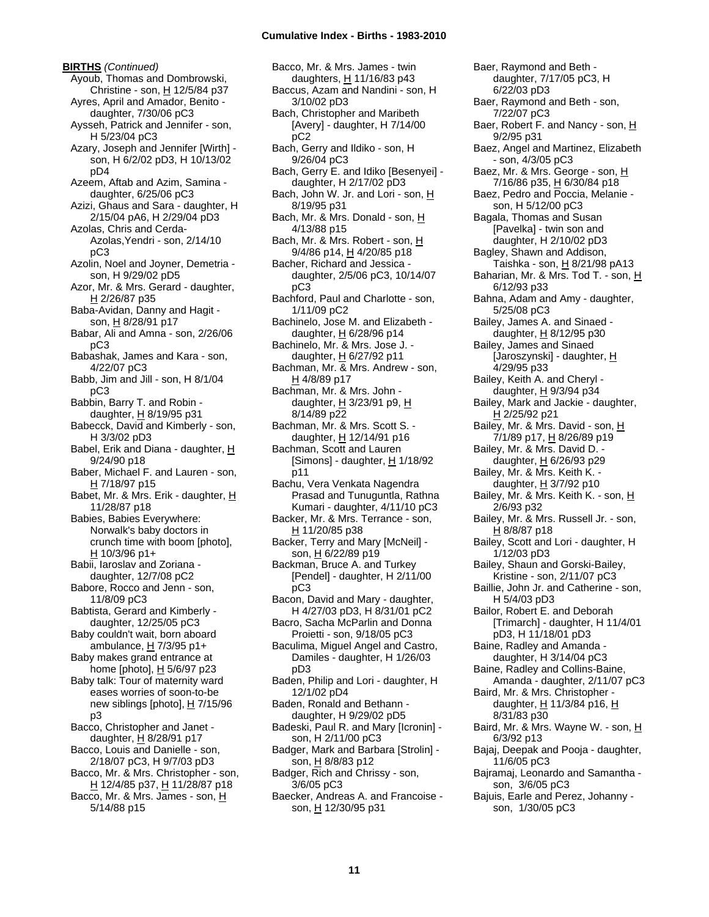**BIRTHS** *(Continued)* Ayoub, Thomas and Dombrowski, Christine - son,  $H$  12/5/84 p37 Ayres, April and Amador, Benito daughter, 7/30/06 pC3 Aysseh, Patrick and Jennifer - son, H 5/23/04 pC3 Azary, Joseph and Jennifer [Wirth] son, H 6/2/02 pD3, H 10/13/02 pD4 Azeem, Aftab and Azim, Samina daughter, 6/25/06 pC3 Azizi, Ghaus and Sara - daughter, H 2/15/04 pA6, H 2/29/04 pD3 Azolas, Chris and Cerda-Azolas,Yendri - son, 2/14/10 pC3 Azolin, Noel and Joyner, Demetria son, H 9/29/02 pD5 Azor, Mr. & Mrs. Gerard - daughter, H 2/26/87 p35 Baba-Avidan, Danny and Hagit son, H 8/28/91 p17 Babar, Ali and Amna - son, 2/26/06 pC3 Babashak, James and Kara - son, 4/22/07 pC3 Babb, Jim and Jill - son, H 8/1/04 pC3 Babbin, Barry T. and Robin daughter,  $H$  8/19/95 p31 Babecck, David and Kimberly - son, H 3/3/02 pD3 Babel, Erik and Diana - daughter, H 9/24/90 p18 Baber, Michael F. and Lauren - son,  $H$  7/18/97 p15 Babet, Mr. & Mrs. Erik - daughter, H 11/28/87 p18 Babies, Babies Everywhere: Norwalk's baby doctors in crunch time with boom [photo], H 10/3/96 p1+ Babii, Iaroslav and Zoriana daughter, 12/7/08 pC2 Babore, Rocco and Jenn - son, 11/8/09 pC3 Babtista, Gerard and Kimberly daughter, 12/25/05 pC3 Baby couldn't wait, born aboard ambulance,  $H$  7/3/95 p1+ Baby makes grand entrance at home [photo], H 5/6/97 p23 Baby talk: Tour of maternity ward eases worries of soon-to-be new siblings [photo],  $H$  7/15/96 p3 Bacco, Christopher and Janet daughter, H 8/28/91 p17 Bacco, Louis and Danielle - son, 2/18/07 pC3, H 9/7/03 pD3 Bacco, Mr. & Mrs. Christopher - son, H 12/4/85 p37, H 11/28/87 p18 Bacco, Mr. & Mrs. James - son, H 5/14/88 p15

Bacco, Mr. & Mrs. James - twin daughters, H 11/16/83 p43 Baccus, Azam and Nandini - son, H 3/10/02 pD3 Bach, Christopher and Maribeth [Avery] - daughter, H 7/14/00 pC2 Bach, Gerry and Ildiko - son, H 9/26/04 pC3 Bach, Gerry E. and Idiko [Besenyei] daughter, H 2/17/02 pD3 Bach, John W. Jr. and Lori - son, H 8/19/95 p31 Bach, Mr. & Mrs. Donald - son, H 4/13/88 p15 Bach, Mr. & Mrs. Robert - son, H 9/4/86 p14, H 4/20/85 p18 Bacher, Richard and Jessica daughter, 2/5/06 pC3, 10/14/07 pC3 Bachford, Paul and Charlotte - son, 1/11/09 pC2 Bachinelo, Jose M. and Elizabeth daughter, H 6/28/96 p14 Bachinelo, Mr. & Mrs. Jose J. daughter, H 6/27/92 p11 Bachman, Mr. & Mrs. Andrew - son, H 4/8/89 p17 Bachman, Mr. & Mrs. John daughter, H 3/23/91 p9, H 8/14/89 p22 Bachman, Mr. & Mrs. Scott S. daughter, H 12/14/91 p16 Bachman, Scott and Lauren [Simons] - daughter, H 1/18/92 p11 Bachu, Vera Venkata Nagendra Prasad and Tunuguntla, Rathna Kumari - daughter, 4/11/10 pC3 Backer, Mr. & Mrs. Terrance - son, H 11/20/85 p38 Backer, Terry and Mary [McNeil] son, H 6/22/89 p19 Backman, Bruce A. and Turkey [Pendel] - daughter, H 2/11/00 pC3 Bacon, David and Mary - daughter, H 4/27/03 pD3, H 8/31/01 pC2 Bacro, Sacha McParlin and Donna Proietti - son, 9/18/05 pC3 Baculima, Miguel Angel and Castro, Damiles - daughter, H 1/26/03 pD3 Baden, Philip and Lori - daughter, H 12/1/02 pD4 Baden, Ronald and Bethann daughter, H 9/29/02 pD5 Badeski, Paul R. and Mary [Icronin] son, H 2/11/00 pC3 Badger, Mark and Barbara [Strolin] son, H 8/8/83 p12 Badger, Rich and Chrissy - son, 3/6/05 pC3 Baecker, Andreas A. and Francoise son, H 12/30/95 p31

Baer, Raymond and Beth daughter, 7/17/05 pC3, H 6/22/03 pD3 Baer, Raymond and Beth - son, 7/22/07 pC3 Baer, Robert F. and Nancy - son, H 9/2/95 p31 Baez, Angel and Martinez, Elizabeth - son, 4/3/05 pC3 Baez, Mr. & Mrs. George - son, H 7/16/86 p35, H 6/30/84 p18 Baez, Pedro and Poccia, Melanie son, H 5/12/00 pC3 Bagala, Thomas and Susan [Pavelka] - twin son and daughter, H 2/10/02 pD3 Bagley, Shawn and Addison, Taishka - son,  $\underline{H}$  8/21/98 pA13 Baharian, Mr. & Mrs. Tod T. - son, H 6/12/93 p33 Bahna, Adam and Amy - daughter, 5/25/08 pC3 Bailey, James A. and Sinaed daughter, H 8/12/95 p30 Bailey, James and Sinaed [Jaroszynski] - daughter, H 4/29/95 p33 Bailey, Keith A. and Cheryl daughter, H 9/3/94 p34 Bailey, Mark and Jackie - daughter, H 2/25/92 p21 Bailey, Mr. & Mrs. David - son, H 7/1/89 p17, H 8/26/89 p19 Bailey, Mr. & Mrs. David D. daughter, H 6/26/93 p29 Bailey, Mr. & Mrs. Keith K. daughter, H 3/7/92 p10 Bailey, Mr. & Mrs. Keith K. - son, H 2/6/93 p32 Bailey, Mr. & Mrs. Russell Jr. - son, H 8/8/87 p18 Bailey, Scott and Lori - daughter, H 1/12/03 pD3 Bailey, Shaun and Gorski-Bailey, Kristine - son, 2/11/07 pC3 Baillie, John Jr. and Catherine - son, H 5/4/03 pD3 Bailor, Robert E. and Deborah [Trimarch] - daughter, H 11/4/01 pD3, H 11/18/01 pD3 Baine, Radley and Amanda daughter, H 3/14/04 pC3 Baine, Radley and Collins-Baine, Amanda - daughter, 2/11/07 pC3 Baird, Mr. & Mrs. Christopher daughter, H 11/3/84 p16, H 8/31/83 p30 Baird, Mr. & Mrs. Wayne W. - son, H 6/3/92 p13 Bajaj, Deepak and Pooja - daughter, 11/6/05 pC3 Bajramaj, Leonardo and Samantha son, 3/6/05 pC3 Bajuis, Earle and Perez, Johanny son, 1/30/05 pC3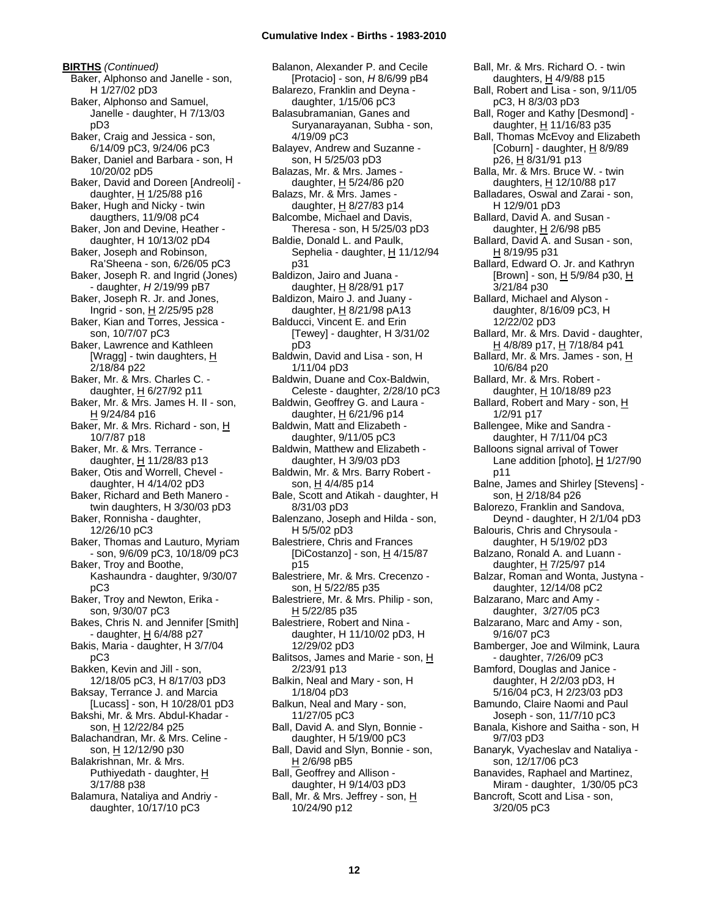**BIRTHS** *(Continued)* Baker, Alphonso and Janelle - son, H 1/27/02 pD3 Baker, Alphonso and Samuel, Janelle - daughter, H 7/13/03 pD3 Baker, Craig and Jessica - son, 6/14/09 pC3, 9/24/06 pC3 Baker, Daniel and Barbara - son, H 10/20/02 pD5 Baker, David and Doreen [Andreoli] daughter,  $H$  1/25/88 p16 Baker, Hugh and Nicky - twin daugthers, 11/9/08 pC4 Baker, Jon and Devine, Heather daughter, H 10/13/02 pD4 Baker, Joseph and Robinson, Ra'Sheena - son, 6/26/05 pC3 Baker, Joseph R. and Ingrid (Jones) - daughter, *H* 2/19/99 pB7 Baker, Joseph R. Jr. and Jones, Ingrid - son, H 2/25/95 p28 Baker, Kian and Torres, Jessica son, 10/7/07 pC3 Baker, Lawrence and Kathleen [Wragg] - twin daughters, H 2/18/84 p22 Baker, Mr. & Mrs. Charles C. daughter, H 6/27/92 p11 Baker, Mr. & Mrs. James H. II - son,  $H$  9/24/84 p16 Baker, Mr. & Mrs. Richard - son, H 10/7/87 p18 Baker, Mr. & Mrs. Terrance daughter, H 11/28/83 p13 Baker, Otis and Worrell, Chevel daughter, H 4/14/02 pD3 Baker, Richard and Beth Manero twin daughters, H 3/30/03 pD3 Baker, Ronnisha - daughter, 12/26/10 pC3 Baker, Thomas and Lauturo, Myriam - son, 9/6/09 pC3, 10/18/09 pC3 Baker, Troy and Boothe, Kashaundra - daughter, 9/30/07 pC3 Baker, Troy and Newton, Erika son, 9/30/07 pC3 Bakes, Chris N. and Jennifer [Smith] - daughter, H 6/4/88 p27 Bakis, Maria - daughter, H 3/7/04 pC3 Bakken, Kevin and Jill - son, 12/18/05 pC3, H 8/17/03 pD3 Baksay, Terrance J. and Marcia [Lucass] - son, H 10/28/01 pD3 Bakshi, Mr. & Mrs. Abdul-Khadar son, H 12/22/84 p25 Balachandran, Mr. & Mrs. Celine son, H 12/12/90 p30 Balakrishnan, Mr. & Mrs. Puthiyedath - daughter, H 3/17/88 p38 Balamura, Nataliya and Andriy daughter, 10/17/10 pC3

Balanon, Alexander P. and Cecile [Protacio] - son, *H* 8/6/99 pB4 Balarezo, Franklin and Deyna daughter, 1/15/06 pC3 Balasubramanian, Ganes and Suryanarayanan, Subha - son, 4/19/09 pC3 Balayev, Andrew and Suzanne son, H 5/25/03 pD3 Balazas, Mr. & Mrs. James daughter, H 5/24/86 p20 Balazs, Mr. & Mrs. James daughter,  $H$  8/27/83 p14 Balcombe, Michael and Davis, Theresa - son, H 5/25/03 pD3 Baldie, Donald L. and Paulk, Sephelia - daughter, H 11/12/94 p31 Baldizon, Jairo and Juana daughter, H 8/28/91 p17 Baldizon, Mairo J. and Juany daughter,  $H$  8/21/98 pA13 Balducci, Vincent E. and Erin [Tewey] - daughter, H 3/31/02 pD3 Baldwin, David and Lisa - son, H 1/11/04 pD3 Baldwin, Duane and Cox-Baldwin, Celeste - daughter, 2/28/10 pC3 Baldwin, Geoffrey G. and Laura daughter,  $H$  6/21/96 p14 Baldwin, Matt and Elizabeth daughter, 9/11/05 pC3 Baldwin, Matthew and Elizabeth daughter, H 3/9/03 pD3 Baldwin, Mr. & Mrs. Barry Robert son, H 4/4/85 p14 Bale, Scott and Atikah - daughter, H 8/31/03 pD3 Balenzano, Joseph and Hilda - son, H 5/5/02 pD3 Balestriere, Chris and Frances [DiCostanzo] - son,  $\underline{H}$  4/15/87 p15 Balestriere, Mr. & Mrs. Crecenzo son, H 5/22/85 p35 Balestriere, Mr. & Mrs. Philip - son, H 5/22/85 p35 Balestriere, Robert and Nina daughter, H 11/10/02 pD3, H 12/29/02 pD3 Balitsos, James and Marie - son, H 2/23/91 p13 Balkin, Neal and Mary - son, H 1/18/04 pD3 Balkun, Neal and Mary - son, 11/27/05 pC3 Ball, David A. and Slyn, Bonnie daughter, H 5/19/00 pC3 Ball, David and Slyn, Bonnie - son, H 2/6/98 pB5 Ball, Geoffrey and Allison daughter, H 9/14/03 pD3 Ball, Mr. & Mrs. Jeffrey - son, H 10/24/90 p12

Ball, Mr. & Mrs. Richard O. - twin daughters, H 4/9/88 p15 Ball, Robert and Lisa - son, 9/11/05 pC3, H 8/3/03 pD3 Ball, Roger and Kathy [Desmond] daughter, H 11/16/83 p35 Ball, Thomas McEvoy and Elizabeth [Coburn] - daughter, H 8/9/89 p26, H 8/31/91 p13 Balla, Mr. & Mrs. Bruce W. - twin daughters, H 12/10/88 p17 Balladares, Oswal and Zarai - son, H 12/9/01 pD3 Ballard, David A. and Susan daughter,  $H$  2/6/98 pB5 Ballard, David A. and Susan - son, H 8/19/95 p31 Ballard, Edward O. Jr. and Kathryn [Brown] - son, H 5/9/84 p30, H 3/21/84 p30 Ballard, Michael and Alyson daughter, 8/16/09 pC3, H 12/22/02 pD3 Ballard, Mr. & Mrs. David - daughter, H 4/8/89 p17, H 7/18/84 p41 Ballard, Mr. & Mrs. James - son, H 10/6/84 p20 Ballard, Mr. & Mrs. Robert daughter, H 10/18/89 p23 Ballard, Robert and Mary - son, H 1/2/91 p17 Ballengee, Mike and Sandra daughter, H 7/11/04 pC3 Balloons signal arrival of Tower Lane addition [photo], H 1/27/90 p11 Balne, James and Shirley [Stevens] son, H 2/18/84 p26 Balorezo, Franklin and Sandova, Deynd - daughter, H 2/1/04 pD3 Balouris, Chris and Chrysoula daughter, H 5/19/02 pD3 Balzano, Ronald A. and Luann daughter, H 7/25/97 p14 Balzar, Roman and Wonta, Justyna daughter, 12/14/08 pC2 Balzarano, Marc and Amy daughter, 3/27/05 pC3 Balzarano, Marc and Amy - son, 9/16/07 pC3 Bamberger, Joe and Wilmink, Laura - daughter, 7/26/09 pC3 Bamford, Douglas and Janice daughter, H 2/2/03 pD3, H 5/16/04 pC3, H 2/23/03 pD3 Bamundo, Claire Naomi and Paul Joseph - son, 11/7/10 pC3 Banala, Kishore and Saitha - son, H 9/7/03 pD3 Banaryk, Vyacheslav and Nataliya son, 12/17/06 pC3 Banavides, Raphael and Martinez, Miram - daughter, 1/30/05 pC3 Bancroft, Scott and Lisa - son, 3/20/05 pC3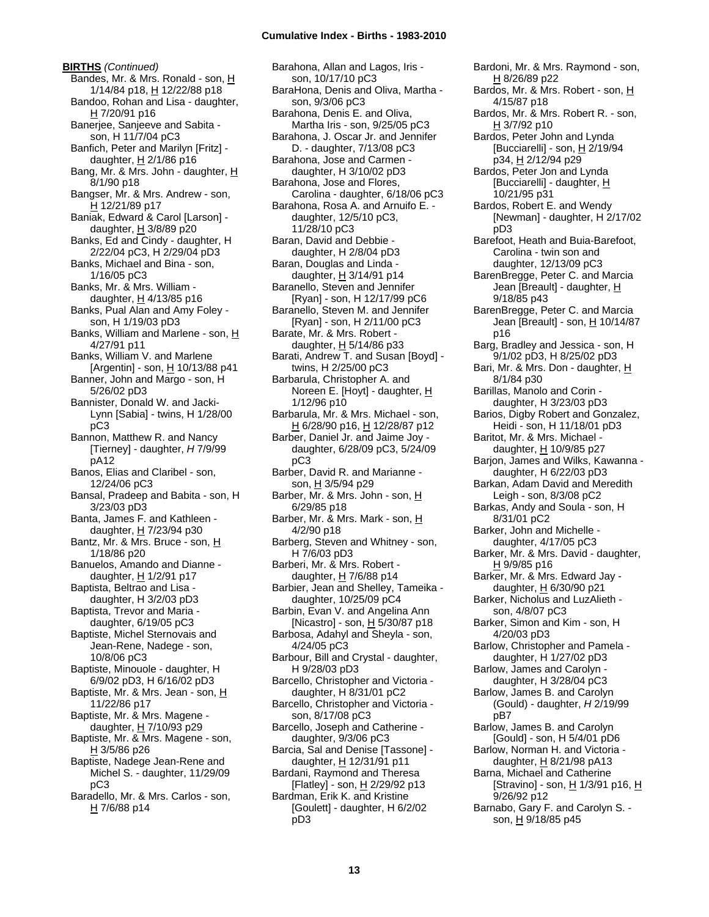**BIRTHS** *(Continued)* Bandes, Mr. & Mrs. Ronald - son, H 1/14/84 p18, H 12/22/88 p18 Bandoo, Rohan and Lisa - daughter, H 7/20/91 p16 Banerjee, Sanjeeve and Sabita son, H 11/7/04 pC3 Banfich, Peter and Marilyn [Fritz] daughter,  $H$  2/1/86 p16 Bang, Mr. & Mrs. John - daughter, H 8/1/90 p18 Bangser, Mr. & Mrs. Andrew - son, H 12/21/89 p17 Baniak, Edward & Carol [Larson] daughter, H 3/8/89 p20 Banks, Ed and Cindy - daughter, H 2/22/04 pC3, H 2/29/04 pD3 Banks, Michael and Bina - son, 1/16/05 pC3 Banks, Mr. & Mrs. William daughter,  $H$  4/13/85 p16 Banks, Pual Alan and Amy Foley son, H 1/19/03 pD3 Banks, William and Marlene - son, H 4/27/91 p11 Banks, William V. and Marlene [Argentin] - son,  $\underline{H}$  10/13/88 p41 Banner, John and Margo - son, H 5/26/02 pD3 Bannister, Donald W. and Jacki-Lynn [Sabia] - twins, H 1/28/00 pC3 Bannon, Matthew R. and Nancy [Tierney] - daughter, *H* 7/9/99 pA12 Banos, Elias and Claribel - son, 12/24/06 pC3 Bansal, Pradeep and Babita - son, H 3/23/03 pD3 Banta, James F. and Kathleen daughter, H 7/23/94 p30 Bantz, Mr. & Mrs. Bruce - son, H 1/18/86 p20 Banuelos, Amando and Dianne daughter,  $H$  1/2/91 p17 Baptista, Beltrao and Lisa daughter, H 3/2/03 pD3 Baptista, Trevor and Maria daughter, 6/19/05 pC3 Baptiste, Michel Sternovais and Jean-Rene, Nadege - son, 10/8/06 pC3 Baptiste, Minouole - daughter, H 6/9/02 pD3, H 6/16/02 pD3 Baptiste, Mr. & Mrs. Jean - son, H 11/22/86 p17 Baptiste, Mr. & Mrs. Magene daughter, H 7/10/93 p29 Baptiste, Mr. & Mrs. Magene - son,  $H$  3/5/86 p26 Baptiste, Nadege Jean-Rene and Michel S. - daughter, 11/29/09 pC3 Baradello, Mr. & Mrs. Carlos - son, H 7/6/88 p14

Barahona, Allan and Lagos, Iris son, 10/17/10 pC3 BaraHona, Denis and Oliva, Martha son, 9/3/06 pC3 Barahona, Denis E. and Oliva, Martha Iris - son, 9/25/05 pC3 Barahona, J. Oscar Jr. and Jennifer D. - daughter, 7/13/08 pC3 Barahona, Jose and Carmen daughter, H 3/10/02 pD3 Barahona, Jose and Flores, Carolina - daughter, 6/18/06 pC3 Barahona, Rosa A. and Arnuifo E. daughter, 12/5/10 pC3, 11/28/10 pC3 Baran, David and Debbie daughter, H 2/8/04 pD3 Baran, Douglas and Linda daughter,  $H$  3/14/91 p14 Baranello, Steven and Jennifer [Ryan] - son, H 12/17/99 pC6 Baranello, Steven M. and Jennifer [Ryan] - son, H 2/11/00 pC3 Barate, Mr. & Mrs. Robert daughter,  $H$  5/14/86 p33 Barati, Andrew T. and Susan [Boyd] twins, H 2/25/00 pC3 Barbarula, Christopher A. and Noreen E. [Hoyt] - daughter, H 1/12/96 p10 Barbarula, Mr. & Mrs. Michael - son, H 6/28/90 p16, H 12/28/87 p12 Barber, Daniel Jr. and Jaime Joy daughter, 6/28/09 pC3, 5/24/09 pC3 Barber, David R. and Marianne son, H 3/5/94 p29 Barber, Mr. & Mrs. John - son, H 6/29/85 p18 Barber, Mr. & Mrs. Mark - son, H 4/2/90 p18 Barberg, Steven and Whitney - son, H 7/6/03 pD3 Barberi, Mr. & Mrs. Robert daughter,  $H$  7/6/88 p14 Barbier, Jean and Shelley, Tameika daughter, 10/25/09 pC4 Barbin, Evan V. and Angelina Ann [Nicastro] - son,  $\underline{H}$  5/30/87 p18 Barbosa, Adahyl and Sheyla - son, 4/24/05 pC3 Barbour, Bill and Crystal - daughter, H 9/28/03 pD3 Barcello, Christopher and Victoria daughter, H 8/31/01 pC2 Barcello, Christopher and Victoria son, 8/17/08 pC3 Barcello, Joseph and Catherine daughter, 9/3/06 pC3 Barcia, Sal and Denise [Tassone] daughter, H 12/31/91 p11 Bardani, Raymond and Theresa [Flatley] - son, H 2/29/92 p13 Bardman, Erik K. and Kristine [Goulett] - daughter, H 6/2/02 pD3

Bardoni, Mr. & Mrs. Raymond - son, H 8/26/89 p22 Bardos, Mr. & Mrs. Robert - son, H 4/15/87 p18 Bardos, Mr. & Mrs. Robert R. - son, H 3/7/92 p10 Bardos, Peter John and Lynda [Bucciarelli] - son, H 2/19/94 p34, H 2/12/94 p29 Bardos, Peter Jon and Lynda [Bucciarelli] - daughter, H 10/21/95 p31 Bardos, Robert E. and Wendy [Newman] - daughter, H 2/17/02 pD3 Barefoot, Heath and Buia-Barefoot, Carolina - twin son and daughter, 12/13/09 pC3 BarenBregge, Peter C. and Marcia Jean [Breault] - daughter, H 9/18/85 p43 BarenBregge, Peter C. and Marcia Jean [Breault] - son, H 10/14/87 p16 Barg, Bradley and Jessica - son, H 9/1/02 pD3, H 8/25/02 pD3 Bari, Mr. & Mrs. Don - daughter, H 8/1/84 p30 Barillas, Manolo and Corin daughter, H 3/23/03 pD3 Barios, Digby Robert and Gonzalez, Heidi - son, H 11/18/01 pD3 Baritot, Mr. & Mrs. Michael daughter, H 10/9/85 p27 Barjon, James and Wilks, Kawanna daughter, H 6/22/03 pD3 Barkan, Adam David and Meredith Leigh - son, 8/3/08 pC2 Barkas, Andy and Soula - son, H 8/31/01 pC2 Barker, John and Michelle daughter, 4/17/05 pC3 Barker, Mr. & Mrs. David - daughter, H 9/9/85 p16 Barker, Mr. & Mrs. Edward Jay daughter, H 6/30/90 p21 Barker, Nicholus and LuzAlieth son, 4/8/07 pC3 Barker, Simon and Kim - son, H 4/20/03 pD3 Barlow, Christopher and Pamela daughter, H 1/27/02 pD3 Barlow, James and Carolyn daughter, H 3/28/04 pC3 Barlow, James B. and Carolyn (Gould) - daughter, *H* 2/19/99 pB7 Barlow, James B. and Carolyn [Gould] - son, H 5/4/01 pD6 Barlow, Norman H. and Victoria daughter,  $H$  8/21/98 pA13 Barna, Michael and Catherine [Stravino] - son, H 1/3/91 p16, H 9/26/92 p12 Barnabo, Gary F. and Carolyn S. son, H 9/18/85 p45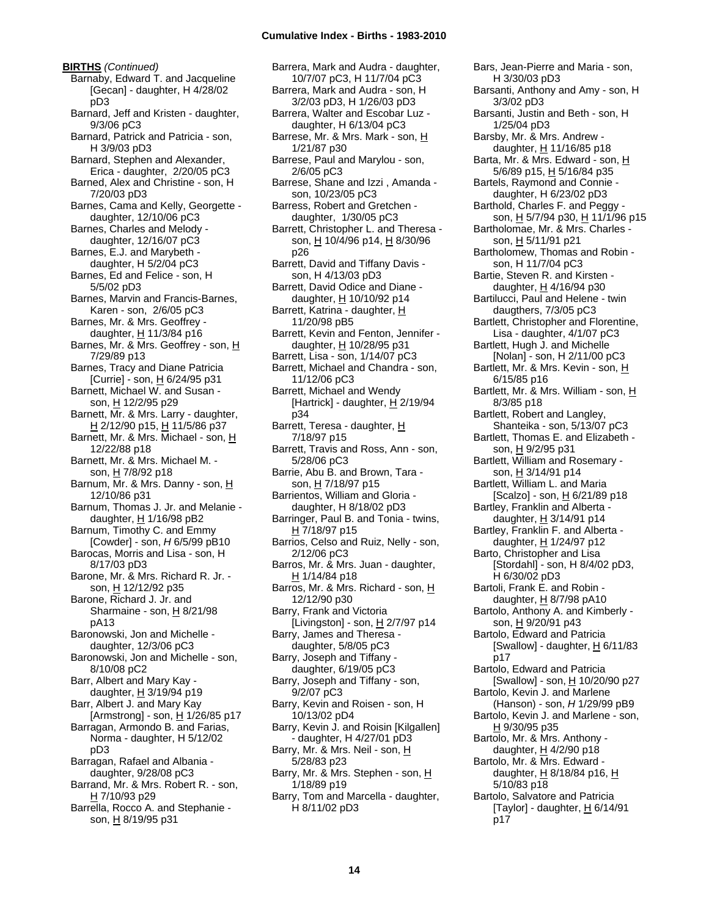**BIRTHS** *(Continued)* Barnaby, Edward T. and Jacqueline [Gecan] - daughter, H 4/28/02 pD3 Barnard, Jeff and Kristen - daughter, 9/3/06 pC3 Barnard, Patrick and Patricia - son, H 3/9/03 pD3 Barnard, Stephen and Alexander, Erica - daughter, 2/20/05 pC3 Barned, Alex and Christine - son, H 7/20/03 pD3 Barnes, Cama and Kelly, Georgette daughter, 12/10/06 pC3 Barnes, Charles and Melody daughter, 12/16/07 pC3 Barnes, E.J. and Marybeth daughter, H 5/2/04 pC3 Barnes, Ed and Felice - son, H 5/5/02 pD3 Barnes, Marvin and Francis-Barnes, Karen - son, 2/6/05 pC3 Barnes, Mr. & Mrs. Geoffrey daughter,  $H$  11/3/84 p16 Barnes, Mr. & Mrs. Geoffrey - son, H 7/29/89 p13 Barnes, Tracy and Diane Patricia [Currie] - son,  $H_6/24/95$  p31 Barnett, Michael W. and Susan son, H 12/2/95 p29 Barnett, Mr. & Mrs. Larry - daughter, H 2/12/90 p15, H 11/5/86 p37 Barnett, Mr. & Mrs. Michael - son, H 12/22/88 p18 Barnett, Mr. & Mrs. Michael M. son, H 7/8/92 p18 Barnum, Mr. & Mrs. Danny - son, H 12/10/86 p31 Barnum, Thomas J. Jr. and Melanie daughter,  $H$  1/16/98 pB2 Barnum, Timothy C. and Emmy [Cowder] - son, *H* 6/5/99 pB10 Barocas, Morris and Lisa - son, H 8/17/03 pD3 Barone, Mr. & Mrs. Richard R. Jr. son, H 12/12/92 p35 Barone, Richard J. Jr. and Sharmaine - son,  $H_8$  8/21/98 pA13 Baronowski, Jon and Michelle daughter, 12/3/06 pC3 Baronowski, Jon and Michelle - son, 8/10/08 pC2 Barr, Albert and Mary Kay daughter, H 3/19/94 p19 Barr, Albert J. and Mary Kay [Armstrong] - son,  $\underline{H}$  1/26/85 p17 Barragan, Armondo B. and Farias, Norma - daughter, H 5/12/02 pD3 Barragan, Rafael and Albania daughter, 9/28/08 pC3 Barrand, Mr. & Mrs. Robert R. - son,  $H$  7/10/93 p29 Barrella, Rocco A. and Stephanie son, H 8/19/95 p31

Barrera, Mark and Audra - daughter, 10/7/07 pC3, H 11/7/04 pC3 Barrera, Mark and Audra - son, H 3/2/03 pD3, H 1/26/03 pD3 Barrera, Walter and Escobar Luz daughter, H 6/13/04 pC3 Barrese, Mr. & Mrs. Mark - son, H 1/21/87 p30 Barrese, Paul and Marylou - son, 2/6/05 pC3 Barrese, Shane and Izzi , Amanda son, 10/23/05 pC3 Barress, Robert and Gretchen daughter, 1/30/05 pC3 Barrett, Christopher L. and Theresa son, H 10/4/96 p14, H 8/30/96 p26 Barrett, David and Tiffany Davis son, H 4/13/03 pD3 Barrett, David Odice and Diane daughter, H 10/10/92 p14 Barrett, Katrina - daughter, H 11/20/98 pB5 Barrett, Kevin and Fenton, Jennifer daughter, H 10/28/95 p31 Barrett, Lisa - son, 1/14/07 pC3 Barrett, Michael and Chandra - son, 11/12/06 pC3 Barrett, Michael and Wendy [Hartrick] - daughter, H 2/19/94 p34 Barrett, Teresa - daughter, H 7/18/97 p15 Barrett, Travis and Ross, Ann - son, 5/28/06 pC3 Barrie, Abu B. and Brown, Tara son, H 7/18/97 p15 Barrientos, William and Gloria daughter, H 8/18/02 pD3 Barringer, Paul B. and Tonia - twins, H 7/18/97 p15 Barrios, Celso and Ruiz, Nelly - son, 2/12/06 pC3 Barros, Mr. & Mrs. Juan - daughter, H 1/14/84 p18 Barros, Mr. & Mrs. Richard - son, H 12/12/90 p30 Barry, Frank and Victoria [Livingston] - son,  $H$  2/7/97 p14 Barry, James and Theresa daughter, 5/8/05 pC3 Barry, Joseph and Tiffany daughter, 6/19/05 pC3 Barry, Joseph and Tiffany - son, 9/2/07 pC3 Barry, Kevin and Roisen - son, H 10/13/02 pD4 Barry, Kevin J. and Roisin [Kilgallen] - daughter, H 4/27/01 pD3 Barry, Mr. & Mrs. Neil - son, H 5/28/83 p23 Barry, Mr. & Mrs. Stephen - son, H 1/18/89 p19 Barry, Tom and Marcella - daughter, H 8/11/02 pD3

Bars, Jean-Pierre and Maria - son, H 3/30/03 pD3 Barsanti, Anthony and Amy - son, H 3/3/02 pD3 Barsanti, Justin and Beth - son, H 1/25/04 pD3 Barsby, Mr. & Mrs. Andrew daughter, H 11/16/85 p18 Barta, Mr. & Mrs. Edward - son, H 5/6/89 p15, H 5/16/84 p35 Bartels, Raymond and Connie daughter, H 6/23/02 pD3 Barthold, Charles F. and Peggy son, H 5/7/94 p30, H 11/1/96 p15 Bartholomae, Mr. & Mrs. Charles son, H 5/11/91 p21 Bartholomew, Thomas and Robin son, H 11/7/04 pC3 Bartie, Steven R. and Kirsten daughter, H 4/16/94 p30 Bartilucci, Paul and Helene - twin daugthers, 7/3/05 pC3 Bartlett, Christopher and Florentine, Lisa - daughter, 4/1/07 pC3 Bartlett, Hugh J. and Michelle [Nolan] - son, H 2/11/00 pC3 Bartlett, Mr. & Mrs. Kevin - son, H 6/15/85 p16 Bartlett, Mr. & Mrs. William - son, H 8/3/85 p18 Bartlett, Robert and Langley, Shanteika - son, 5/13/07 pC3 Bartlett, Thomas E. and Elizabeth son, H 9/2/95 p31 Bartlett, William and Rosemary son, <u>H</u> 3/14/91 p14 Bartlett, William L. and Maria [Scalzo] - son, H 6/21/89 p18 Bartley, Franklin and Alberta daughter, H 3/14/91 p14 Bartley, Franklin F. and Alberta daughter, H 1/24/97 p12 Barto, Christopher and Lisa [Stordahl] - son, H 8/4/02 pD3, H 6/30/02 pD3 Bartoli, Frank E. and Robin daughter, H 8/7/98 pA10 Bartolo, Anthony A. and Kimberly son, H 9/20/91 p43 Bartolo, Edward and Patricia [Swallow] - daughter,  $H$  6/11/83 p17 Bartolo, Edward and Patricia [Swallow] - son,  $H$  10/20/90 p27 Bartolo, Kevin J. and Marlene (Hanson) - son, *H* 1/29/99 pB9 Bartolo, Kevin J. and Marlene - son, H 9/30/95 p35 Bartolo, Mr. & Mrs. Anthony daughter,  $H$  4/2/90 p18 Bartolo, Mr. & Mrs. Edward daughter, H 8/18/84 p16, H 5/10/83 p18 Bartolo, Salvatore and Patricia [Taylor] - daughter,  $H$  6/14/91 p17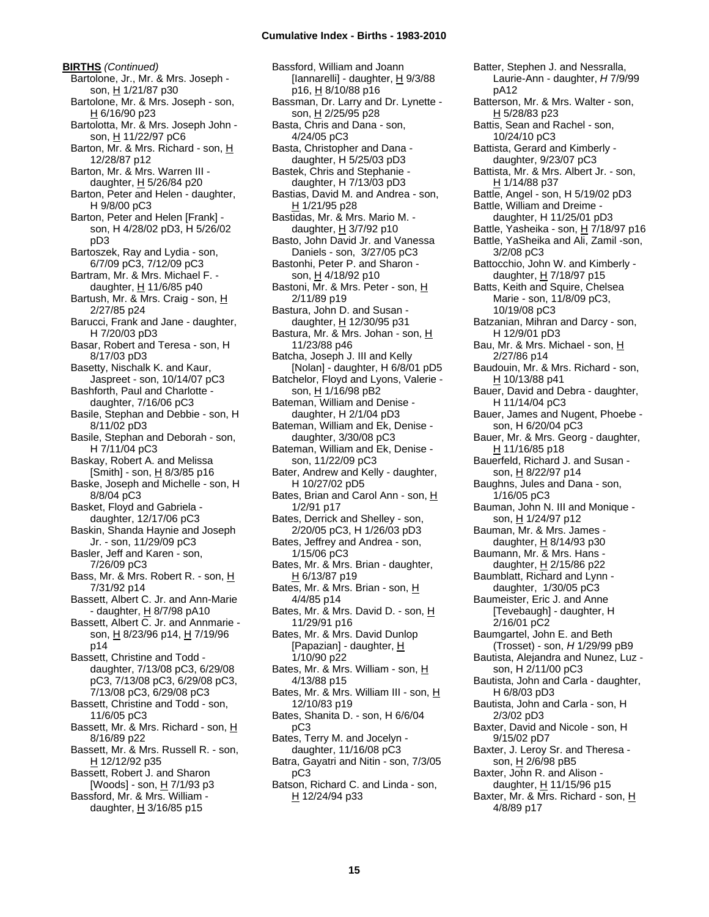**BIRTHS** *(Continued)* Bartolone, Jr., Mr. & Mrs. Joseph son, H 1/21/87 p30 Bartolone, Mr. & Mrs. Joseph - son, H 6/16/90 p23 Bartolotta, Mr. & Mrs. Joseph John son, H 11/22/97 pC6 Barton, Mr. & Mrs. Richard - son, H 12/28/87 p12 Barton, Mr. & Mrs. Warren III daughter, H 5/26/84 p20 Barton, Peter and Helen - daughter, H 9/8/00 pC3 Barton, Peter and Helen [Frank] son, H 4/28/02 pD3, H 5/26/02 pD3 Bartoszek, Ray and Lydia - son, 6/7/09 pC3, 7/12/09 pC3 Bartram, Mr. & Mrs. Michael F. daughter,  $H$  11/6/85 p40 Bartush, Mr. & Mrs. Craig - son, H 2/27/85 p24 Barucci, Frank and Jane - daughter, H 7/20/03 pD3 Basar, Robert and Teresa - son, H 8/17/03 pD3 Basetty, Nischalk K. and Kaur, Jaspreet - son, 10/14/07 pC3 Bashforth, Paul and Charlotte daughter, 7/16/06 pC3 Basile, Stephan and Debbie - son, H 8/11/02 pD3 Basile, Stephan and Deborah - son, H 7/11/04 pC3 Baskay, Robert A. and Melissa  $[Smith]$  - son,  $H$  8/3/85 p16 Baske, Joseph and Michelle - son, H 8/8/04 pC3 Basket, Floyd and Gabriela daughter, 12/17/06 pC3 Baskin, Shanda Haynie and Joseph Jr. - son, 11/29/09 pC3 Basler, Jeff and Karen - son, 7/26/09 pC3 Bass, Mr. & Mrs. Robert R. - son, H 7/31/92 p14 Bassett, Albert C. Jr. and Ann-Marie - daughter, H 8/7/98 pA10 Bassett, Albert C. Jr. and Annmarie son, H 8/23/96 p14, H 7/19/96 p14 Bassett, Christine and Todd daughter, 7/13/08 pC3, 6/29/08 pC3, 7/13/08 pC3, 6/29/08 pC3, 7/13/08 pC3, 6/29/08 pC3 Bassett, Christine and Todd - son, 11/6/05 pC3 Bassett, Mr. & Mrs. Richard - son, H 8/16/89 p22 Bassett, Mr. & Mrs. Russell R. - son, H 12/12/92 p35 Bassett, Robert J. and Sharon [Woods] - son, H 7/1/93 p3 Bassford, Mr. & Mrs. William daughter,  $H$  3/16/85 p15

Bassford, William and Joann [Iannarelli] - daughter, H 9/3/88 p16, <u>H</u> 8/10/88 p16 Bassman, Dr. Larry and Dr. Lynette son, H 2/25/95 p28 Basta, Chris and Dana - son, 4/24/05 pC3 Basta, Christopher and Dana daughter, H 5/25/03 pD3 Bastek, Chris and Stephanie daughter, H 7/13/03 pD3 Bastias, David M. and Andrea - son,  $H$  1/21/95 p28 Bastidas, Mr. & Mrs. Mario M. daughter,  $H$  3/7/92 p10 Basto, John David Jr. and Vanessa Daniels - son, 3/27/05 pC3 Bastonhi, Peter P. and Sharon son, H 4/18/92 p10 Bastoni, Mr. & Mrs. Peter - son, H 2/11/89 p19 Bastura, John D. and Susan daughter, H 12/30/95 p31 Bastura, Mr. & Mrs. Johan - son, H 11/23/88 p46 Batcha, Joseph J. III and Kelly [Nolan] - daughter, H 6/8/01 pD5 Batchelor, Floyd and Lyons, Valerie son, H 1/16/98 pB2 Bateman, William and Denise daughter, H 2/1/04 pD3 Bateman, William and Ek, Denise daughter, 3/30/08 pC3 Bateman, William and Ek, Denise son, 11/22/09 pC3 Bater, Andrew and Kelly - daughter, H 10/27/02 pD5 Bates, Brian and Carol Ann - son, H 1/2/91 p17 Bates, Derrick and Shelley - son, 2/20/05 pC3, H 1/26/03 pD3 Bates, Jeffrey and Andrea - son, 1/15/06 pC3 Bates, Mr. & Mrs. Brian - daughter, H 6/13/87 p19 Bates, Mr. & Mrs. Brian - son, H 4/4/85 p14 Bates, Mr. & Mrs. David D. - son, H 11/29/91 p16 Bates, Mr. & Mrs. David Dunlop [Papazian] - daughter,  $H$ 1/10/90 p22 Bates, Mr. & Mrs. William - son, H 4/13/88 p15 Bates, Mr. & Mrs. William III - son, H 12/10/83 p19 Bates, Shanita D. - son, H 6/6/04 pC3 Bates, Terry M. and Jocelyn daughter, 11/16/08 pC3 Batra, Gayatri and Nitin - son, 7/3/05 pC3 Batson, Richard C. and Linda - son, H 12/24/94 p33

Batter, Stephen J. and Nessralla, Laurie-Ann - daughter, *H* 7/9/99 pA12 Batterson, Mr. & Mrs. Walter - son, H 5/28/83 p23 Battis, Sean and Rachel - son, 10/24/10 pC3 Battista, Gerard and Kimberly daughter, 9/23/07 pC3 Battista, Mr. & Mrs. Albert Jr. - son, H 1/14/88 p37 Battle, Angel - son, H 5/19/02 pD3 Battle, William and Dreime daughter, H 11/25/01 pD3 Battle, Yasheika - son, H 7/18/97 p16 Battle, YaSheika and Ali, Zamil -son, 3/2/08 pC3 Battocchio, John W. and Kimberly daughter,  $H$  7/18/97 p15 Batts, Keith and Squire, Chelsea Marie - son, 11/8/09 pC3, 10/19/08 pC3 Batzanian, Mihran and Darcy - son, H 12/9/01 pD3 Bau, Mr. & Mrs. Michael - son, H 2/27/86 p14 Baudouin, Mr. & Mrs. Richard - son, H 10/13/88 p41 Bauer, David and Debra - daughter, H 11/14/04 pC3 Bauer, James and Nugent, Phoebe son, H 6/20/04 pC3 Bauer, Mr. & Mrs. Georg - daughter, H 11/16/85 p18 Bauerfeld, Richard J. and Susan son, <u>H</u> 8/22/97 p14 Baughns, Jules and Dana - son, 1/16/05 pC3 Bauman, John N. III and Monique son, H 1/24/97 p12 Bauman, Mr. & Mrs. James daughter,  $H$  8/14/93 p30 Baumann, Mr. & Mrs. Hans daughter, H 2/15/86 p22 Baumblatt, Richard and Lynn daughter, 1/30/05 pC3 Baumeister, Eric J. and Anne [Tevebaugh] - daughter, H 2/16/01 pC2 Baumgartel, John E. and Beth (Trosset) - son, *H* 1/29/99 pB9 Bautista, Alejandra and Nunez, Luz son, H 2/11/00 pC3 Bautista, John and Carla - daughter, H 6/8/03 pD3 Bautista, John and Carla - son, H 2/3/02 pD3 Baxter, David and Nicole - son, H 9/15/02 pD7 Baxter, J. Leroy Sr. and Theresa son, H 2/6/98 pB5 Baxter, John R. and Alison daughter, H 11/15/96 p15 Baxter, Mr. & Mrs. Richard - son, H 4/8/89 p17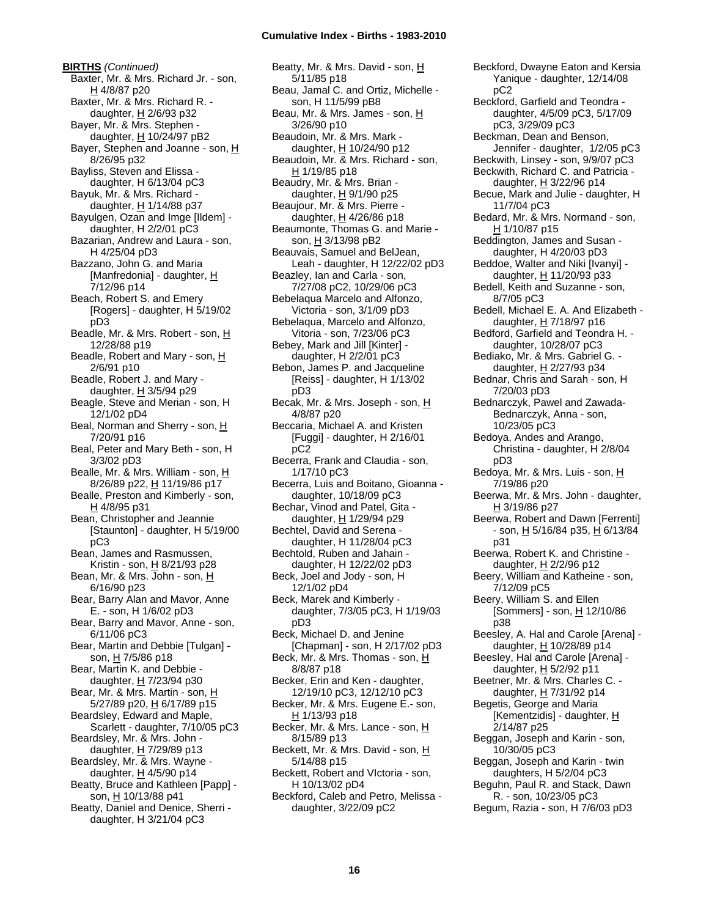**BIRTHS** *(Continued)* Baxter, Mr. & Mrs. Richard Jr. - son, H 4/8/87 p20 Baxter, Mr. & Mrs. Richard R. daughter, H 2/6/93 p32 Bayer, Mr. & Mrs. Stephen daughter,  $H$  10/24/97 pB2 Bayer, Stephen and Joanne - son, H 8/26/95 p32 Bayliss, Steven and Elissa daughter, H 6/13/04 pC3 Bayuk, Mr. & Mrs. Richard daughter,  $H$  1/14/88 p37 Bayulgen, Ozan and Imge [Ildem] daughter, H 2/2/01 pC3 Bazarian, Andrew and Laura - son, H 4/25/04 pD3 Bazzano, John G. and Maria [Manfredonia] - daughter, H 7/12/96 p14 Beach, Robert S. and Emery [Rogers] - daughter, H 5/19/02 pD3 Beadle, Mr. & Mrs. Robert - son, H 12/28/88 p19 Beadle, Robert and Mary - son, H 2/6/91 p10 Beadle, Robert J. and Mary daughter, H 3/5/94 p29 Beagle, Steve and Merian - son, H 12/1/02 pD4 Beal, Norman and Sherry - son, H 7/20/91 p16 Beal, Peter and Mary Beth - son, H 3/3/02 pD3 Bealle, Mr. & Mrs. William - son, H 8/26/89 p22, H 11/19/86 p17 Bealle, Preston and Kimberly - son, H 4/8/95 p31 Bean, Christopher and Jeannie [Staunton] - daughter, H 5/19/00 pC3 Bean, James and Rasmussen, Kristin - son, H 8/21/93 p28 Bean, Mr. & Mrs. John - son, H 6/16/90 p23 Bear, Barry Alan and Mavor, Anne E. - son, H 1/6/02 pD3 Bear, Barry and Mavor, Anne - son, 6/11/06 pC3 Bear, Martin and Debbie [Tulgan] son,  $H$  7/5/86 p18 Bear, Martin K. and Debbie daughter, H 7/23/94 p30 Bear, Mr. & Mrs. Martin - son, H 5/27/89 p20, H 6/17/89 p15 Beardsley, Edward and Maple, Scarlett - daughter, 7/10/05 pC3 Beardsley, Mr. & Mrs. John daughter,  $H$  7/29/89 p13 Beardsley, Mr. & Mrs. Wayne daughter, H 4/5/90 p14 Beatty, Bruce and Kathleen [Papp] son, H 10/13/88 p41 Beatty, Daniel and Denice, Sherri daughter, H 3/21/04 pC3

Beatty, Mr. & Mrs. David - son, H 5/11/85 p18 Beau, Jamal C. and Ortiz, Michelle son, H 11/5/99 pB8 Beau, Mr. & Mrs. James - son, H 3/26/90 p10 Beaudoin, Mr. & Mrs. Mark daughter, H 10/24/90 p12 Beaudoin, Mr. & Mrs. Richard - son,  $H$  1/19/85 p18 Beaudry, Mr. & Mrs. Brian daughter,  $H$  9/1/90 p25 Beaujour, Mr. & Mrs. Pierre daughter, H 4/26/86 p18 Beaumonte, Thomas G. and Marie son, H 3/13/98 pB2 Beauvais, Samuel and BelJean, Leah - daughter, H 12/22/02 pD3 Beazley, Ian and Carla - son, 7/27/08 pC2, 10/29/06 pC3 Bebelaqua Marcelo and Alfonzo, Victoria - son, 3/1/09 pD3 Bebelaqua, Marcelo and Alfonzo, Vitoria - son, 7/23/06 pC3 Bebey, Mark and Jill [Kinter] daughter, H 2/2/01 pC3 Bebon, James P. and Jacqueline [Reiss] - daughter, H 1/13/02 pD3 Becak, Mr. & Mrs. Joseph - son, H 4/8/87 p20 Beccaria, Michael A. and Kristen [Fuggi] - daughter, H 2/16/01 pC2 Becerra, Frank and Claudia - son, 1/17/10 pC3 Becerra, Luis and Boitano, Gioanna daughter, 10/18/09 pC3 Bechar, Vinod and Patel, Gita daughter, H 1/29/94 p29 Bechtel, David and Serena daughter, H 11/28/04 pC3 Bechtold, Ruben and Jahain daughter, H 12/22/02 pD3 Beck, Joel and Jody - son, H 12/1/02 pD4 Beck, Marek and Kimberly daughter, 7/3/05 pC3, H 1/19/03 pD3 Beck, Michael D. and Jenine [Chapman] - son, H 2/17/02 pD3 Beck, Mr. & Mrs. Thomas - son, H 8/8/87 p18 Becker, Erin and Ken - daughter, 12/19/10 pC3, 12/12/10 pC3 Becker, Mr. & Mrs. Eugene E.- son, H 1/13/93 p18 Becker, Mr. & Mrs. Lance - son, H 8/15/89 p13 Beckett, Mr. & Mrs. David - son, H 5/14/88 p15 Beckett, Robert and VIctoria - son, H 10/13/02 pD4 Beckford, Caleb and Petro, Melissa daughter, 3/22/09 pC2

Beckford, Dwayne Eaton and Kersia Yanique - daughter, 12/14/08 pC2 Beckford, Garfield and Teondra daughter, 4/5/09 pC3, 5/17/09 pC3, 3/29/09 pC3 Beckman, Dean and Benson, Jennifer - daughter, 1/2/05 pC3 Beckwith, Linsey - son, 9/9/07 pC3 Beckwith, Richard C. and Patricia daughter, H 3/22/96 p14 Becue, Mark and Julie - daughter, H 11/7/04 pC3 Bedard, Mr. & Mrs. Normand - son, H 1/10/87 p15 Beddington, James and Susan daughter, H 4/20/03 pD3 Beddoe, Walter and Niki [Ivanyi] daughter,  $H$  11/20/93 p33 Bedell, Keith and Suzanne - son, 8/7/05 pC3 Bedell, Michael E. A. And Elizabeth daughter, H 7/18/97 p16 Bedford, Garfield and Teondra H. daughter, 10/28/07 pC3 Bediako, Mr. & Mrs. Gabriel G. daughter, H 2/27/93 p34 Bednar, Chris and Sarah - son, H 7/20/03 pD3 Bednarczyk, Pawel and Zawada-Bednarczyk, Anna - son, 10/23/05 pC3 Bedoya, Andes and Arango, Christina - daughter, H 2/8/04 pD3 Bedoya, Mr. & Mrs. Luis - son, H 7/19/86 p20 Beerwa, Mr. & Mrs. John - daughter, H 3/19/86 p27 Beerwa, Robert and Dawn [Ferrenti] - son, <u>H</u> 5/16/84 p35, <u>H</u> 6/13/84 p31 Beerwa, Robert K. and Christine daughter, H 2/2/96 p12 Beery, William and Katheine - son, 7/12/09 pC5 Beery, William S. and Ellen [Sommers] - son, H 12/10/86 p38 Beesley, A. Hal and Carole [Arena] daughter, H 10/28/89 p14 Beesley, Hal and Carole [Arena] daughter, H 5/2/92 p11 Beetner, Mr. & Mrs. Charles C. daughter, H 7/31/92 p14 Begetis, George and Maria [Kementzidis] - daughter, H 2/14/87 p25 Beggan, Joseph and Karin - son, 10/30/05 pC3 Beggan, Joseph and Karin - twin daughters, H 5/2/04 pC3 Beguhn, Paul R. and Stack, Dawn R. - son, 10/23/05 pC3 Begum, Razia - son, H 7/6/03 pD3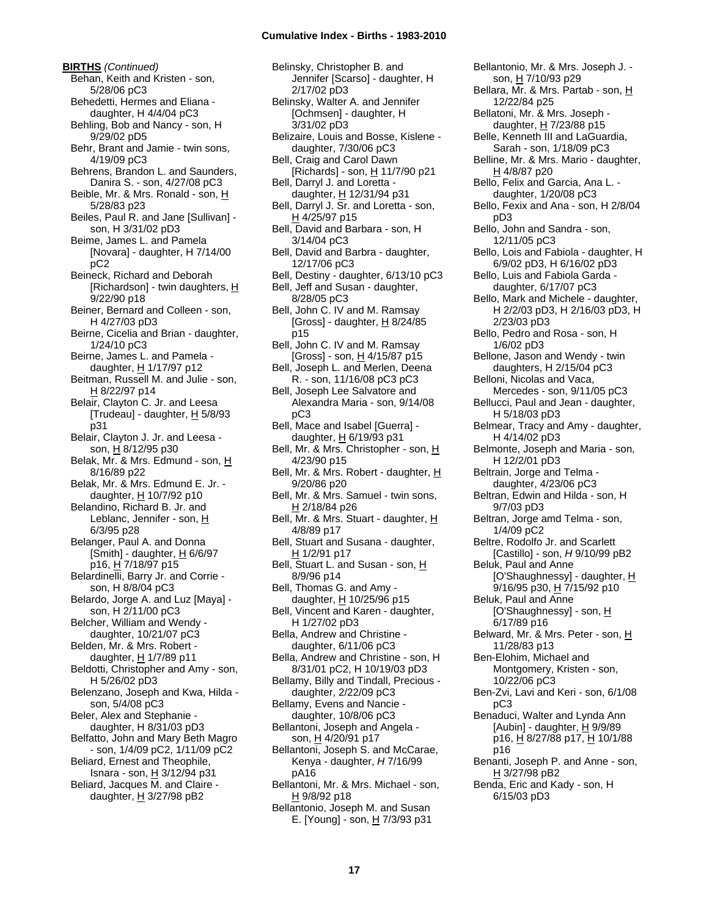**BIRTHS** *(Continued)* Behan, Keith and Kristen - son, 5/28/06 pC3 Behedetti, Hermes and Eliana daughter, H 4/4/04 pC3 Behling, Bob and Nancy - son, H 9/29/02 pD5 Behr, Brant and Jamie - twin sons, 4/19/09 pC3 Behrens, Brandon L. and Saunders, Danira S. - son, 4/27/08 pC3 Beible, Mr. & Mrs. Ronald - son, H 5/28/83 p23 Beiles, Paul R. and Jane [Sullivan] son, H 3/31/02 pD3 Beime, James L. and Pamela [Novara] - daughter, H 7/14/00 pC2 Beineck, Richard and Deborah [Richardson] - twin daughters,  $H$ 9/22/90 p18 Beiner, Bernard and Colleen - son, H 4/27/03 pD3 Beirne, Cicelia and Brian - daughter, 1/24/10 pC3 Beirne, James L. and Pamela daughter,  $H$  1/17/97 p12 Beitman, Russell M. and Julie - son, H 8/22/97 p14 Belair, Clayton C. Jr. and Leesa [Trudeau] - daughter, H 5/8/93 p31 Belair, Clayton J. Jr. and Leesa son, H 8/12/95 p30 Belak, Mr. & Mrs. Edmund - son, H 8/16/89 p22 Belak, Mr. & Mrs. Edmund E. Jr. daughter, H 10/7/92 p10 Belandino, Richard B. Jr. and Leblanc, Jennifer - son, H 6/3/95 p28 Belanger, Paul A. and Donna [Smith] - daughter,  $H$  6/6/97 p16, H 7/18/97 p15 Belardinelli, Barry Jr. and Corrie son, H 8/8/04 pC3 Belardo, Jorge A. and Luz [Maya] son, H 2/11/00 pC3 Belcher, William and Wendy daughter, 10/21/07 pC3 Belden, Mr. & Mrs. Robert daughter,  $H$  1/7/89 p11 Beldotti, Christopher and Amy - son, H 5/26/02 pD3 Belenzano, Joseph and Kwa, Hilda son, 5/4/08 pC3 Beler, Alex and Stephanie daughter, H 8/31/03 pD3 Belfatto, John and Mary Beth Magro - son, 1/4/09 pC2, 1/11/09 pC2 Beliard, Ernest and Theophile, Isnara - son, H 3/12/94 p31 Beliard, Jacques M. and Claire daughter,  $H$  3/27/98 pB2

Belinsky, Christopher B. and Jennifer [Scarso] - daughter, H 2/17/02 pD3 Belinsky, Walter A. and Jennifer [Ochmsen] - daughter, H 3/31/02 pD3 Belizaire, Louis and Bosse, Kislene daughter, 7/30/06 pC3 Bell, Craig and Carol Dawn [Richards] - son, H 11/7/90 p21 Bell, Darryl J. and Loretta daughter, H 12/31/94 p31 Bell, Darryl J. Sr. and Loretta - son, H 4/25/97 p15 Bell, David and Barbara - son, H 3/14/04 pC3 Bell, David and Barbra - daughter, 12/17/06 pC3 Bell, Destiny - daughter, 6/13/10 pC3 Bell, Jeff and Susan - daughter, 8/28/05 pC3 Bell, John C. IV and M. Ramsay [Gross] - daughter,  $\underline{H}$  8/24/85 p15 Bell, John C. IV and M. Ramsay [Gross] - son, H 4/15/87 p15 Bell, Joseph L. and Merlen, Deena R. - son, 11/16/08 pC3 pC3 Bell, Joseph Lee Salvatore and Alexandra Maria - son, 9/14/08 pC3 Bell, Mace and Isabel [Guerra] daughter, H 6/19/93 p31 Bell, Mr. & Mrs. Christopher - son, H 4/23/90 p15 Bell, Mr. & Mrs. Robert - daughter, H 9/20/86 p20 Bell, Mr. & Mrs. Samuel - twin sons, H 2/18/84 p26 Bell, Mr. & Mrs. Stuart - daughter, H 4/8/89 p17 Bell, Stuart and Susana - daughter, H 1/2/91 p17 Bell, Stuart L. and Susan - son, H 8/9/96 p14 Bell, Thomas G. and Amy daughter, H 10/25/96 p15 Bell, Vincent and Karen - daughter, H 1/27/02 pD3 Bella, Andrew and Christine daughter, 6/11/06 pC3 Bella, Andrew and Christine - son, H 8/31/01 pC2, H 10/19/03 pD3 Bellamy, Billy and Tindall, Precious daughter, 2/22/09 pC3 Bellamy, Evens and Nancie daughter, 10/8/06 pC3 Bellantoni, Joseph and Angela son, H 4/20/91 p17 Bellantoni, Joseph S. and McCarae, Kenya - daughter, *H* 7/16/99 pA16

- Bellantoni, Mr. & Mrs. Michael son, H 9/8/92 p18
- Bellantonio, Joseph M. and Susan E. [Young] - son,  $H$  7/3/93 p31

Bellantonio, Mr. & Mrs. Joseph J. son, H 7/10/93 p29 Bellara, Mr. & Mrs. Partab - son, H 12/22/84 p25 Bellatoni, Mr. & Mrs. Joseph daughter, H 7/23/88 p15 Belle, Kenneth III and LaGuardia, Sarah - son, 1/18/09 pC3 Belline, Mr. & Mrs. Mario - daughter, H 4/8/87 p20 Bello, Felix and Garcia, Ana L. daughter, 1/20/08 pC3 Bello, Fexix and Ana - son, H 2/8/04 pD3 Bello, John and Sandra - son, 12/11/05 pC3 Bello, Lois and Fabiola - daughter, H 6/9/02 pD3, H 6/16/02 pD3 Bello, Luis and Fabiola Garda daughter, 6/17/07 pC3 Bello, Mark and Michele - daughter, H 2/2/03 pD3, H 2/16/03 pD3, H 2/23/03 pD3 Bello, Pedro and Rosa - son, H 1/6/02 pD3 Bellone, Jason and Wendy - twin daughters, H 2/15/04 pC3 Belloni, Nicolas and Vaca, Mercedes - son, 9/11/05 pC3 Bellucci, Paul and Jean - daughter, H 5/18/03 pD3 Belmear, Tracy and Amy - daughter, H 4/14/02 pD3 Belmonte, Joseph and Maria - son, H 12/2/01 pD3 Beltrain, Jorge and Telma daughter, 4/23/06 pC3 Beltran, Edwin and Hilda - son, H 9/7/03 pD3 Beltran, Jorge amd Telma - son, 1/4/09 pC2 Beltre, Rodolfo Jr. and Scarlett [Castillo] - son, *H* 9/10/99 pB2 Beluk, Paul and Anne [O'Shaughnessy] - daughter, H 9/16/95 p30, H 7/15/92 p10 Beluk, Paul and Anne [O'Shaughnessy] - son, H 6/17/89 p16 Belward, Mr. & Mrs. Peter - son, H 11/28/83 p13 Ben-Elohim, Michael and Montgomery, Kristen - son, 10/22/06 pC3 Ben-Zvi, Lavi and Keri - son, 6/1/08 pC3 Benaduci, Walter and Lynda Ann [Aubin] - daughter,  $H$  9/9/89 p16, <u>H</u> 8/27/88 p17, <u>H</u> 10/1/88 p16 Benanti, Joseph P. and Anne - son, H 3/27/98 pB2 Benda, Eric and Kady - son, H 6/15/03 pD3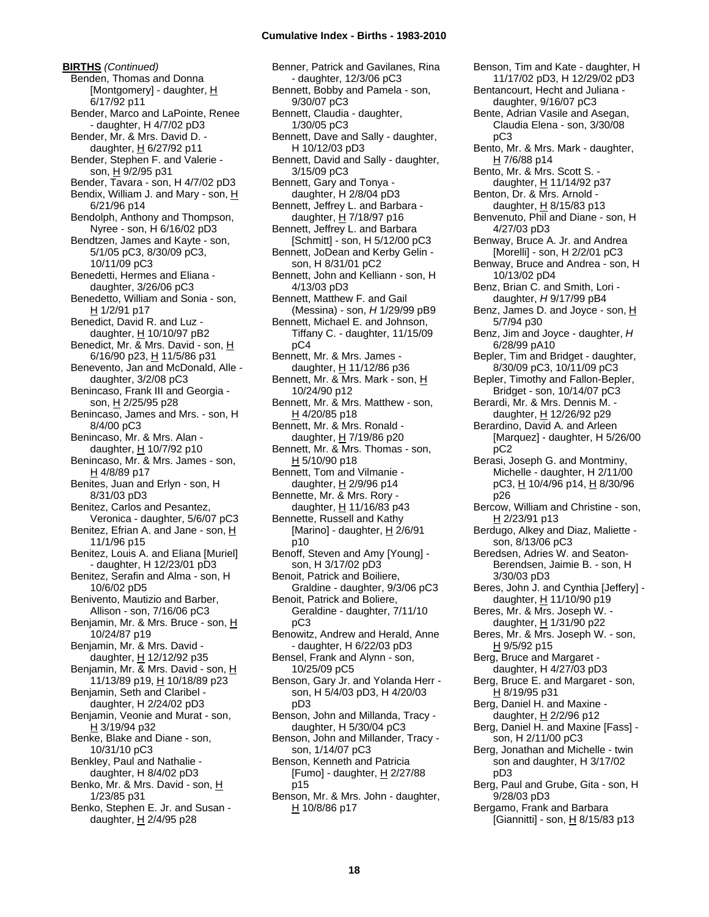**BIRTHS** *(Continued)* Benden, Thomas and Donna [Montgomery] - daughter, H 6/17/92 p11 Bender, Marco and LaPointe, Renee - daughter, H 4/7/02 pD3 Bender, Mr. & Mrs. David D. daughter, H 6/27/92 p11 Bender, Stephen F. and Valerie son, H 9/2/95 p31 Bender, Tavara - son, H 4/7/02 pD3 Bendix, William J. and Mary - son, H 6/21/96 p14 Bendolph, Anthony and Thompson, Nyree - son, H 6/16/02 pD3 Bendtzen, James and Kayte - son, 5/1/05 pC3, 8/30/09 pC3, 10/11/09 pC3 Benedetti, Hermes and Eliana daughter, 3/26/06 pC3 Benedetto, William and Sonia - son, H 1/2/91 p17 Benedict, David R. and Luz daughter, H 10/10/97 pB2 Benedict, Mr. & Mrs. David - son, H 6/16/90 p23, H 11/5/86 p31 Benevento, Jan and McDonald, Alle daughter, 3/2/08 pC3 Benincaso, Frank III and Georgia son, H 2/25/95 p28 Benincaso, James and Mrs. - son, H 8/4/00 pC3 Benincaso, Mr. & Mrs. Alan daughter, H 10/7/92 p10 Benincaso, Mr. & Mrs. James - son, H 4/8/89 p17 Benites, Juan and Erlyn - son, H 8/31/03 pD3 Benitez, Carlos and Pesantez, Veronica - daughter, 5/6/07 pC3 Benitez, Efrian A. and Jane - son, H 11/1/96 p15 Benitez, Louis A. and Eliana [Muriel] - daughter, H 12/23/01 pD3 Benitez, Serafin and Alma - son, H 10/6/02 pD5 Benivento, Mautizio and Barber, Allison - son, 7/16/06 pC3 Benjamin, Mr. & Mrs. Bruce - son, H 10/24/87 p19 Benjamin, Mr. & Mrs. David daughter, H 12/12/92 p35 Benjamin, Mr. & Mrs. David - son, H 11/13/89 p19, H 10/18/89 p23 Benjamin, Seth and Claribel daughter, H 2/24/02 pD3 Benjamin, Veonie and Murat - son, H 3/19/94 p32 Benke, Blake and Diane - son, 10/31/10 pC3 Benkley, Paul and Nathalie daughter, H 8/4/02 pD3 Benko, Mr. & Mrs. David - son, H 1/23/85 p31 Benko, Stephen E. Jr. and Susan daughter,  $H$  2/4/95 p28

Benner, Patrick and Gavilanes, Rina - daughter, 12/3/06 pC3 Bennett, Bobby and Pamela - son, 9/30/07 pC3 Bennett, Claudia - daughter, 1/30/05 pC3 Bennett, Dave and Sally - daughter, H 10/12/03 pD3 Bennett, David and Sally - daughter, 3/15/09 pC3 Bennett, Gary and Tonya daughter, H 2/8/04 pD3 Bennett, Jeffrey L. and Barbara daughter, H 7/18/97 p16 Bennett, Jeffrey L. and Barbara [Schmitt] - son, H 5/12/00 pC3 Bennett, JoDean and Kerby Gelin son, H 8/31/01 pC2 Bennett, John and Kelliann - son, H 4/13/03 pD3 Bennett, Matthew F. and Gail (Messina) - son, *H* 1/29/99 pB9 Bennett, Michael E. and Johnson, Tiffany C. - daughter, 11/15/09 pC4 Bennett, Mr. & Mrs. James daughter, H 11/12/86 p36 Bennett, Mr. & Mrs. Mark - son, H 10/24/90 p12 Bennett, Mr. & Mrs. Matthew - son,  $H$  4/20/85 p18 Bennett, Mr. & Mrs. Ronald daughter,  $H$  7/19/86 p20 Bennett, Mr. & Mrs. Thomas - son, H 5/10/90 p18 Bennett, Tom and Vilmanie daughter, H 2/9/96 p14 Bennette, Mr. & Mrs. Rory daughter, H 11/16/83 p43 Bennette, Russell and Kathy [Marino] - daughter, H 2/6/91 p10 Benoff, Steven and Amy [Young] son, H 3/17/02 pD3 Benoit, Patrick and Boiliere, Graldine - daughter, 9/3/06 pC3 Benoit, Patrick and Boliere, Geraldine - daughter, 7/11/10 pC3 Benowitz, Andrew and Herald, Anne - daughter, H 6/22/03 pD3 Bensel, Frank and Alynn - son, 10/25/09 pC5 Benson, Gary Jr. and Yolanda Herr son, H 5/4/03 pD3, H 4/20/03 pD3 Benson, John and Millanda, Tracy daughter, H 5/30/04 pC3 Benson, John and Millander, Tracy son, 1/14/07 pC3 Benson, Kenneth and Patricia [Fumo] - daughter, H 2/27/88 p15 Benson, Mr. & Mrs. John - daughter, H 10/8/86 p17

Benson, Tim and Kate - daughter, H 11/17/02 pD3, H 12/29/02 pD3 Bentancourt, Hecht and Juliana daughter, 9/16/07 pC3 Bente, Adrian Vasile and Asegan, Claudia Elena - son, 3/30/08 pC3 Bento, Mr. & Mrs. Mark - daughter,  $H$  7/6/88 p14 Bento, Mr. & Mrs. Scott S. daughter, H 11/14/92 p37 Benton, Dr. & Mrs. Arnold daughter,  $H$  8/15/83 p13 Benvenuto, Phil and Diane - son, H 4/27/03 pD3 Benway, Bruce A. Jr. and Andrea [Morelli] - son, H 2/2/01 pC3 Benway, Bruce and Andrea - son, H 10/13/02 pD4 Benz, Brian C. and Smith, Lori daughter, *H* 9/17/99 pB4 Benz, James D. and Joyce - son, H 5/7/94 p30 Benz, Jim and Joyce - daughter, *H* 6/28/99 pA10 Bepler, Tim and Bridget - daughter, 8/30/09 pC3, 10/11/09 pC3 Bepler, Timothy and Fallon-Bepler, Bridget - son, 10/14/07 pC3 Berardi, Mr. & Mrs. Dennis M. daughter, H 12/26/92 p29 Berardino, David A. and Arleen [Marquez] - daughter, H 5/26/00 pC2 Berasi, Joseph G. and Montminy, Michelle - daughter, H 2/11/00 pC3, H 10/4/96 p14, H 8/30/96 p26 Bercow, William and Christine - son, H 2/23/91 p13 Berdugo, Alkey and Diaz, Maliette son, 8/13/06 pC3 Beredsen, Adries W. and Seaton-Berendsen, Jaimie B. - son, H 3/30/03 pD3 Beres, John J. and Cynthia [Jeffery] daughter, H 11/10/90 p19 Beres, Mr. & Mrs. Joseph W. daughter,  $H$  1/31/90 p22 Beres, Mr. & Mrs. Joseph W. - son, H 9/5/92 p15 Berg, Bruce and Margaret daughter, H 4/27/03 pD3 Berg, Bruce E. and Margaret - son, H 8/19/95 p31 Berg, Daniel H. and Maxine daughter, H 2/2/96 p12 Berg, Daniel H. and Maxine [Fass] son, H 2/11/00 pC3 Berg, Jonathan and Michelle - twin son and daughter, H 3/17/02 pD3 Berg, Paul and Grube, Gita - son, H 9/28/03 pD3 Bergamo, Frank and Barbara [Giannitti] - son,  $\underline{H}$  8/15/83 p13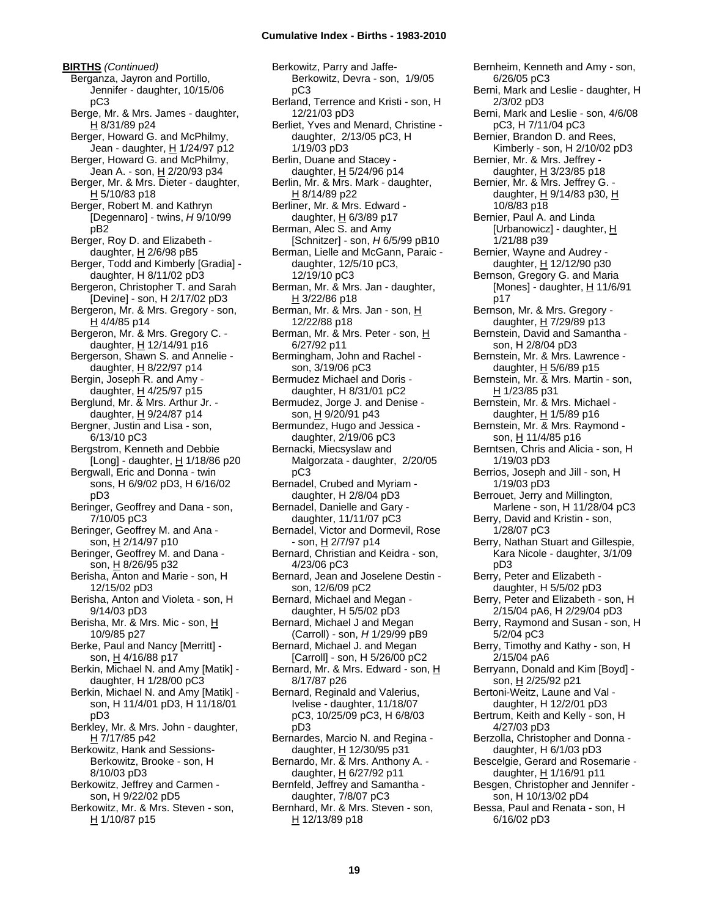**BIRTHS** *(Continued)* Berganza, Jayron and Portillo, Jennifer - daughter, 10/15/06 pC3 Berge, Mr. & Mrs. James - daughter, H 8/31/89 p24 Berger, Howard G. and McPhilmy, Jean - daughter, H 1/24/97 p12 Berger, Howard G. and McPhilmy, Jean A. - son, H 2/20/93 p34 Berger, Mr. & Mrs. Dieter - daughter, H 5/10/83 p18 Berger, Robert M. and Kathryn [Degennaro] - twins, *H* 9/10/99 pB2 Berger, Roy D. and Elizabeth daughter,  $H$  2/6/98 pB5 Berger, Todd and Kimberly [Gradia] daughter, H 8/11/02 pD3 Bergeron, Christopher T. and Sarah [Devine] - son, H 2/17/02 pD3 Bergeron, Mr. & Mrs. Gregory - son, H 4/4/85 p14 Bergeron, Mr. & Mrs. Gregory C. daughter,  $H$  12/14/91 p16 Bergerson, Shawn S. and Annelie daughter,  $H$  8/22/97 p14 Bergin, Joseph R. and Amy daughter,  $\underline{H}$  4/25/97 p15 Berglund, Mr. & Mrs. Arthur Jr. daughter,  $H$  9/24/87 p14 Bergner, Justin and Lisa - son, 6/13/10 pC3 Bergstrom, Kenneth and Debbie [Long] - daughter, H 1/18/86 p20 Bergwall, Eric and Donna - twin sons, H 6/9/02 pD3, H 6/16/02 pD3 Beringer, Geoffrey and Dana - son, 7/10/05 pC3 Beringer, Geoffrey M. and Ana son, H 2/14/97 p10 Beringer, Geoffrey M. and Dana son, H 8/26/95 p32 Berisha, Anton and Marie - son, H 12/15/02 pD3 Berisha, Anton and Violeta - son, H 9/14/03 pD3 Berisha, Mr. & Mrs. Mic - son, H 10/9/85 p27 Berke, Paul and Nancy [Merritt] son, H 4/16/88 p17 Berkin, Michael N. and Amy [Matik] daughter, H 1/28/00 pC3 Berkin, Michael N. and Amy [Matik] son, H 11/4/01 pD3, H 11/18/01 pD3 Berkley, Mr. & Mrs. John - daughter, H 7/17/85 p42 Berkowitz, Hank and Sessions-Berkowitz, Brooke - son, H 8/10/03 pD3

Berkowitz, Jeffrey and Carmen son, H 9/22/02 pD5 Berkowitz, Mr. & Mrs. Steven - son,

H 1/10/87 p15

Berkowitz, Parry and Jaffe-Berkowitz, Devra - son, 1/9/05 pC3 Berland, Terrence and Kristi - son, H 12/21/03 pD3 Berliet, Yves and Menard, Christine daughter, 2/13/05 pC3, H 1/19/03 pD3 Berlin, Duane and Stacey daughter,  $H$  5/24/96 p14 Berlin, Mr. & Mrs. Mark - daughter, H 8/14/89 p22 Berliner, Mr. & Mrs. Edward daughter, H 6/3/89 p17 Berman, Alec S. and Amy [Schnitzer] - son, *H* 6/5/99 pB10 Berman, Lielle and McGann, Paraic daughter, 12/5/10 pC3, 12/19/10 pC3 Berman, Mr. & Mrs. Jan - daughter, H 3/22/86 p18 Berman, Mr. & Mrs. Jan - son, H 12/22/88 p18 Berman, Mr. & Mrs. Peter - son, H 6/27/92 p11 Bermingham, John and Rachel son, 3/19/06 pC3 Bermudez Michael and Doris daughter, H 8/31/01 pC2 Bermudez, Jorge J. and Denise son, H 9/20/91 p43 Bermundez, Hugo and Jessica daughter, 2/19/06 pC3 Bernacki, Miecsyslaw and Malgorzata - daughter, 2/20/05 pC3 Bernadel, Crubed and Myriam daughter, H 2/8/04 pD3 Bernadel, Danielle and Gary daughter, 11/11/07 pC3 Bernadel, Victor and Dormevil, Rose - son, H 2/7/97 p14 Bernard, Christian and Keidra - son, 4/23/06 pC3 Bernard, Jean and Joselene Destin son, 12/6/09 pC2 Bernard, Michael and Megan daughter, H 5/5/02 pD3 Bernard, Michael J and Megan (Carroll) - son, *H* 1/29/99 pB9 Bernard, Michael J. and Megan [Carroll] - son, H 5/26/00 pC2 Bernard, Mr. & Mrs. Edward - son, H 8/17/87 p26 Bernard, Reginald and Valerius, Ivelise - daughter, 11/18/07 pC3, 10/25/09 pC3, H 6/8/03 pD3 Bernardes, Marcio N. and Regina daughter, H 12/30/95 p31 Bernardo, Mr. & Mrs. Anthony A. daughter, H 6/27/92 p11 Bernfeld, Jeffrey and Samantha daughter, 7/8/07 pC3 Bernhard, Mr. & Mrs. Steven - son,

H 12/13/89 p18

Bernheim, Kenneth and Amy - son, 6/26/05 pC3 Berni, Mark and Leslie - daughter, H 2/3/02 pD3 Berni, Mark and Leslie - son, 4/6/08 pC3, H 7/11/04 pC3 Bernier, Brandon D. and Rees, Kimberly - son, H 2/10/02 pD3 Bernier, Mr. & Mrs. Jeffrey daughter,  $H$  3/23/85 p18 Bernier, Mr. & Mrs. Jeffrey G. daughter, H 9/14/83 p30, H 10/8/83 p18 Bernier, Paul A. and Linda [Urbanowicz] - daughter, H 1/21/88 p39 Bernier, Wayne and Audrey daughter, H 12/12/90 p30 Bernson, Gregory G. and Maria [Mones] - daughter,  $H$  11/6/91 p17 Bernson, Mr. & Mrs. Gregory daughter, H 7/29/89 p13 Bernstein, David and Samantha son, H 2/8/04 pD3 Bernstein, Mr. & Mrs. Lawrence daughter,  $H$  5/6/89 p15 Bernstein, Mr. & Mrs. Martin - son, H 1/23/85 p31 Bernstein, Mr. & Mrs. Michael daughter, H 1/5/89 p16 Bernstein, Mr. & Mrs. Raymond son, H 11/4/85 p16 Berntsen, Chris and Alicia - son, H 1/19/03 pD3 Berrios, Joseph and Jill - son, H 1/19/03 pD3 Berrouet, Jerry and Millington, Marlene - son, H 11/28/04 pC3 Berry, David and Kristin - son, 1/28/07 pC3 Berry, Nathan Stuart and Gillespie, Kara Nicole - daughter, 3/1/09 pD3 Berry, Peter and Elizabeth daughter, H 5/5/02 pD3 Berry, Peter and Elizabeth - son, H 2/15/04 pA6, H 2/29/04 pD3 Berry, Raymond and Susan - son, H 5/2/04 pC3 Berry, Timothy and Kathy - son, H 2/15/04 pA6 Berryann, Donald and Kim [Boyd] son, H 2/25/92 p21 Bertoni-Weitz, Laune and Val daughter, H 12/2/01 pD3 Bertrum, Keith and Kelly - son, H 4/27/03 pD3 Berzolla, Christopher and Donna daughter, H 6/1/03 pD3 Bescelgie, Gerard and Rosemarie daughter, H 1/16/91 p11 Besgen, Christopher and Jennifer son, H 10/13/02 pD4 Bessa, Paul and Renata - son, H

6/16/02 pD3

**19**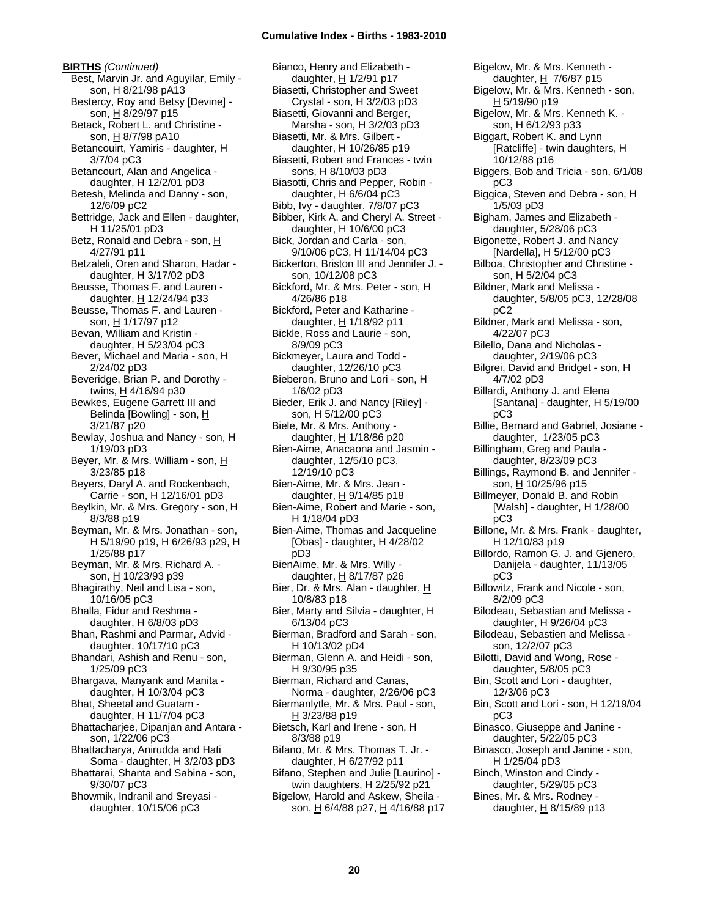**BIRTHS** *(Continued)* Best, Marvin Jr. and Aguyilar, Emily son, H 8/21/98 pA13 Bestercy, Roy and Betsy [Devine] son, H 8/29/97 p15 Betack, Robert L. and Christine son, H 8/7/98 pA10 Betancouirt, Yamiris - daughter, H 3/7/04 pC3 Betancourt, Alan and Angelica daughter, H 12/2/01 pD3 Betesh, Melinda and Danny - son, 12/6/09 pC2 Bettridge, Jack and Ellen - daughter, H 11/25/01 pD3 Betz, Ronald and Debra - son, H 4/27/91 p11 Betzaleli, Oren and Sharon, Hadar daughter, H 3/17/02 pD3 Beusse, Thomas F. and Lauren daughter, H 12/24/94 p33 Beusse, Thomas F. and Lauren son, H 1/17/97 p12 Bevan, William and Kristin daughter, H 5/23/04 pC3 Bever, Michael and Maria - son, H 2/24/02 pD3 Beveridge, Brian P. and Dorothy twins, H 4/16/94 p30 Bewkes, Eugene Garrett III and Belinda [Bowling] - son, H 3/21/87 p20 Bewlay, Joshua and Nancy - son, H 1/19/03 pD3 Beyer, Mr. & Mrs. William - son, H 3/23/85 p18 Beyers, Daryl A. and Rockenbach, Carrie - son, H 12/16/01 pD3 Beylkin, Mr. & Mrs. Gregory - son, H 8/3/88 p19 Beyman, Mr. & Mrs. Jonathan - son, H 5/19/90 p19, H 6/26/93 p29, H 1/25/88 p17 Beyman, Mr. & Mrs. Richard A. son, H 10/23/93 p39 Bhagirathy, Neil and Lisa - son, 10/16/05 pC3 Bhalla, Fidur and Reshma daughter, H 6/8/03 pD3 Bhan, Rashmi and Parmar, Advid daughter, 10/17/10 pC3 Bhandari, Ashish and Renu - son, 1/25/09 pC3 Bhargava, Manyank and Manita daughter, H 10/3/04 pC3 Bhat, Sheetal and Guatam daughter, H 11/7/04 pC3 Bhattacharjee, Dipanjan and Antara son, 1/22/06 pC3 Bhattacharya, Anirudda and Hati Soma - daughter, H 3/2/03 pD3 Bhattarai, Shanta and Sabina - son, 9/30/07 pC3 Bhowmik, Indranil and Sreyasi daughter, 10/15/06 pC3

Bianco, Henry and Elizabeth daughter, H 1/2/91 p17 Biasetti, Christopher and Sweet Crystal - son, H 3/2/03 pD3 Biasetti, Giovanni and Berger, Marsha - son, H 3/2/03 pD3 Biasetti, Mr. & Mrs. Gilbert daughter, H 10/26/85 p19 Biasetti, Robert and Frances - twin sons, H 8/10/03 pD3 Biasotti, Chris and Pepper, Robin daughter, H 6/6/04 pC3 Bibb, Ivy - daughter, 7/8/07 pC3 Bibber, Kirk A. and Cheryl A. Street daughter, H 10/6/00 pC3 Bick, Jordan and Carla - son, 9/10/06 pC3, H 11/14/04 pC3 Bickerton, Briston III and Jennifer J. son, 10/12/08 pC3 Bickford, Mr. & Mrs. Peter - son, H 4/26/86 p18 Bickford, Peter and Katharine daughter, H 1/18/92 p11 Bickle, Ross and Laurie - son, 8/9/09 pC3 Bickmeyer, Laura and Todd daughter, 12/26/10 pC3 Bieberon, Bruno and Lori - son, H 1/6/02 pD3 Bieder, Erik J. and Nancy [Riley] son, H 5/12/00 pC3 Biele, Mr. & Mrs. Anthony daughter,  $H$  1/18/86 p20 Bien-Aime, Anacaona and Jasmin daughter, 12/5/10 pC3, 12/19/10 pC3 Bien-Aime, Mr. & Mrs. Jean daughter, H 9/14/85 p18 Bien-Aime, Robert and Marie - son, H 1/18/04 pD3 Bien-Aime, Thomas and Jacqueline [Obas] - daughter, H 4/28/02 pD3 BienAime, Mr. & Mrs. Willy daughter,  $H$  8/17/87 p26 Bier, Dr. & Mrs. Alan - daughter, H 10/8/83 p18 Bier, Marty and Silvia - daughter, H 6/13/04 pC3 Bierman, Bradford and Sarah - son, H 10/13/02 pD4 Bierman, Glenn A. and Heidi - son, H 9/30/95 p35 Bierman, Richard and Canas, Norma - daughter, 2/26/06 pC3 Biermanlytle, Mr. & Mrs. Paul - son, H 3/23/88 p19 Bietsch, Karl and Irene - son, H 8/3/88 p19 Bifano, Mr. & Mrs. Thomas T. Jr. daughter,  $H$  6/27/92 p11 Bifano, Stephen and Julie [Laurino] twin daughters, H 2/25/92 p21 Bigelow, Harold and Askew, Sheila son, H 6/4/88 p27, H 4/16/88 p17

Bigelow, Mr. & Mrs. Kenneth daughter, H 7/6/87 p15 Bigelow, Mr. & Mrs. Kenneth - son, H 5/19/90 p19 Bigelow, Mr. & Mrs. Kenneth K. son, H 6/12/93 p33 Biggart, Robert K. and Lynn [Ratcliffe] - twin daughters, H 10/12/88 p16 Biggers, Bob and Tricia - son, 6/1/08 pC3 Biggica, Steven and Debra - son, H 1/5/03 pD3 Bigham, James and Elizabeth daughter, 5/28/06 pC3 Bigonette, Robert J. and Nancy [Nardella], H 5/12/00 pC3 Bilboa, Christopher and Christine son, H 5/2/04 pC3 Bildner, Mark and Melissa daughter, 5/8/05 pC3, 12/28/08 pC2 Bildner, Mark and Melissa - son, 4/22/07 pC3 Bilello, Dana and Nicholas daughter, 2/19/06 pC3 Bilgrei, David and Bridget - son, H 4/7/02 pD3 Billardi, Anthony J. and Elena [Santana] - daughter, H 5/19/00 pC3 Billie, Bernard and Gabriel, Josiane daughter, 1/23/05 pC3 Billingham, Greg and Paula daughter, 8/23/09 pC3 Billings, Raymond B. and Jennifer son, H 10/25/96 p15 Billmeyer, Donald B. and Robin [Walsh] - daughter, H 1/28/00 pC3 Billone, Mr. & Mrs. Frank - daughter, H 12/10/83 p19 Billordo, Ramon G. J. and Gjenero, Danijela - daughter, 11/13/05 pC3 Billowitz, Frank and Nicole - son, 8/2/09 pC3 Bilodeau, Sebastian and Melissa daughter, H 9/26/04 pC3 Bilodeau, Sebastien and Melissa son, 12/2/07 pC3 Bilotti, David and Wong, Rose daughter, 5/8/05 pC3 Bin, Scott and Lori - daughter, 12/3/06 pC3 Bin, Scott and Lori - son, H 12/19/04 pC3 Binasco, Giuseppe and Janine daughter, 5/22/05 pC3 Binasco, Joseph and Janine - son, H 1/25/04 pD3 Binch, Winston and Cindy daughter, 5/29/05 pC3 Bines, Mr. & Mrs. Rodney daughter,  $H$  8/15/89 p13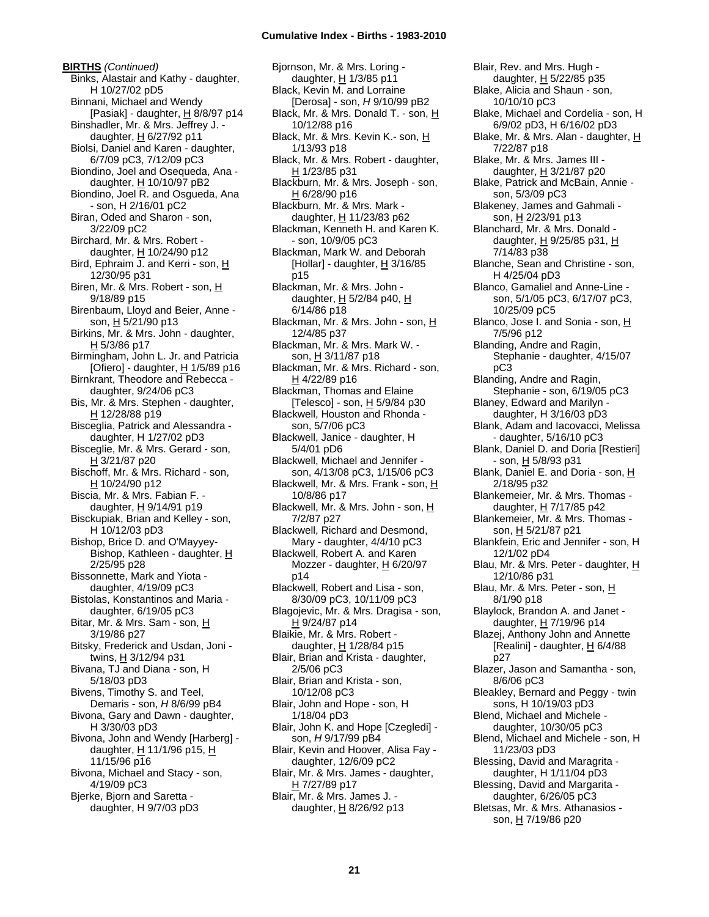**BIRTHS** *(Continued)* Binks, Alastair and Kathy - daughter, H 10/27/02 pD5 Binnani, Michael and Wendy [Pasiak] - daughter, H 8/8/97 p14 Binshadler, Mr. & Mrs. Jeffrey J. daughter,  $H$  6/27/92 p11 Biolsi, Daniel and Karen - daughter, 6/7/09 pC3, 7/12/09 pC3 Biondino, Joel and Osequeda, Ana daughter, H 10/10/97 pB2 Biondino, Joel R. and Osgueda, Ana - son, H 2/16/01 pC2 Biran, Oded and Sharon - son, 3/22/09 pC2 Birchard, Mr. & Mrs. Robert daughter, H 10/24/90 p12 Bird, Ephraim J. and Kerri - son, H 12/30/95 p31 Biren, Mr. & Mrs. Robert - son, H 9/18/89 p15 Birenbaum, Lloyd and Beier, Anne son, H 5/21/90 p13 Birkins, Mr. & Mrs. John - daughter, H 5/3/86 p17 Birmingham, John L. Jr. and Patricia [Ofiero] - daughter,  $H$  1/5/89 p16 Birnkrant, Theodore and Rebecca daughter, 9/24/06 pC3 Bis, Mr. & Mrs. Stephen - daughter, H 12/28/88 p19 Bisceglia, Patrick and Alessandra daughter, H 1/27/02 pD3 Bisceglie, Mr. & Mrs. Gerard - son, H 3/21/87 p20 Bischoff, Mr. & Mrs. Richard - son, H 10/24/90 p12 Biscia, Mr. & Mrs. Fabian F. daughter, H 9/14/91 p19 Bisckupiak, Brian and Kelley - son, H 10/12/03 pD3 Bishop, Brice D. and O'Mayyey-Bishop, Kathleen - daughter, H 2/25/95 p28 Bissonnette, Mark and Yiota daughter, 4/19/09 pC3 Bistolas, Konstantinos and Maria daughter, 6/19/05 pC3 Bitar, Mr. & Mrs. Sam - son, H 3/19/86 p27 Bitsky, Frederick and Usdan, Joni twins, H 3/12/94 p31 Bivana, TJ and Diana - son, H 5/18/03 pD3 Bivens, Timothy S. and Teel, Demaris - son, *H* 8/6/99 pB4 Bivona, Gary and Dawn - daughter, H 3/30/03 pD3 Bivona, John and Wendy [Harberg] daughter, H 11/1/96 p15, H 11/15/96 p16 Bivona, Michael and Stacy - son, 4/19/09 pC3 Bjerke, Bjorn and Saretta daughter, H 9/7/03 pD3

Bjornson, Mr. & Mrs. Loring daughter, H 1/3/85 p11 Black, Kevin M. and Lorraine [Derosa] - son, *H* 9/10/99 pB2 Black, Mr. & Mrs. Donald T. - son, H 10/12/88 p16 Black, Mr. & Mrs. Kevin K.- son, H 1/13/93 p18 Black, Mr. & Mrs. Robert - daughter, H 1/23/85 p31 Blackburn, Mr. & Mrs. Joseph - son, H 6/28/90 p16 Blackburn, Mr. & Mrs. Mark daughter, H 11/23/83 p62 Blackman, Kenneth H. and Karen K. - son, 10/9/05 pC3 Blackman, Mark W. and Deborah [Hollar] - daughter,  $H$  3/16/85 p15 Blackman, Mr. & Mrs. John daughter,  $H$  5/2/84 p40,  $H$ 6/14/86 p18 Blackman, Mr. & Mrs. John - son, H 12/4/85 p37 Blackman, Mr. & Mrs. Mark W. son, H 3/11/87 p18 Blackman, Mr. & Mrs. Richard - son,  $H$  4/22/89 p16 Blackman, Thomas and Elaine [Telesco] - son, H 5/9/84 p30 Blackwell, Houston and Rhonda son, 5/7/06 pC3 Blackwell, Janice - daughter, H 5/4/01 pD6 Blackwell, Michael and Jennifer son, 4/13/08 pC3, 1/15/06 pC3 Blackwell, Mr. & Mrs. Frank - son, H 10/8/86 p17 Blackwell, Mr. & Mrs. John - son, H 7/2/87 p27 Blackwell, Richard and Desmond, Mary - daughter, 4/4/10 pC3 Blackwell, Robert A. and Karen Mozzer - daughter, H 6/20/97 p14 Blackwell, Robert and Lisa - son, 8/30/09 pC3, 10/11/09 pC3 Blagojevic, Mr. & Mrs. Dragisa - son, H 9/24/87 p14 Blaikie, Mr. & Mrs. Robert daughter,  $H$  1/28/84 p15 Blair, Brian and Krista - daughter, 2/5/06 pC3 Blair, Brian and Krista - son, 10/12/08 pC3 Blair, John and Hope - son, H 1/18/04 pD3 Blair, John K. and Hope [Czegledi] son, *H* 9/17/99 pB4 Blair, Kevin and Hoover, Alisa Fay daughter, 12/6/09 pC2 Blair, Mr. & Mrs. James - daughter, H 7/27/89 p17 Blair, Mr. & Mrs. James J. daughter,  $\underline{H}$  8/26/92 p13

Blair, Rev. and Mrs. Hugh daughter, H 5/22/85 p35 Blake, Alicia and Shaun - son, 10/10/10 pC3 Blake, Michael and Cordelia - son, H 6/9/02 pD3, H 6/16/02 pD3 Blake, Mr. & Mrs. Alan - daughter, H 7/22/87 p18 Blake, Mr. & Mrs. James III daughter, H 3/21/87 p20 Blake, Patrick and McBain, Annie son, 5/3/09 pC3 Blakeney, James and Gahmali son, H 2/23/91 p13 Blanchard, Mr. & Mrs. Donald daughter,  $H$  9/25/85 p31,  $H$ 7/14/83 p38 Blanche, Sean and Christine - son, H 4/25/04 pD3 Blanco, Gamaliel and Anne-Line son, 5/1/05 pC3, 6/17/07 pC3, 10/25/09 pC5 Blanco, Jose I. and Sonia - son, H 7/5/96 p12 Blanding, Andre and Ragin, Stephanie - daughter, 4/15/07 pC3 Blanding, Andre and Ragin, Stephanie - son, 6/19/05 pC3 Blaney, Edward and Marilyn daughter, H 3/16/03 pD3 Blank, Adam and Iacovacci, Melissa - daughter, 5/16/10 pC3 Blank, Daniel D. and Doria [Restieri] - son, H 5/8/93 p31 Blank, Daniel E. and Doria - son, H 2/18/95 p32 Blankemeier, Mr. & Mrs. Thomas daughter, H 7/17/85 p42 Blankemeier, Mr. & Mrs. Thomas son, H 5/21/87 p21 Blankfein, Eric and Jennifer - son, H 12/1/02 pD4 Blau, Mr. & Mrs. Peter - daughter, H 12/10/86 p31 Blau, Mr. & Mrs. Peter - son, H 8/1/90 p18 Blaylock, Brandon A. and Janet daughter,  $H$  7/19/96 p14 Blazej, Anthony John and Annette [Realini] - daughter,  $H$  6/4/88 p27 Blazer, Jason and Samantha - son, 8/6/06 pC3 Bleakley, Bernard and Peggy - twin sons, H 10/19/03 pD3 Blend, Michael and Michele daughter, 10/30/05 pC3 Blend, Michael and Michele - son, H 11/23/03 pD3 Blessing, David and Maragrita daughter, H 1/11/04 pD3 Blessing, David and Margarita daughter, 6/26/05 pC3 Bletsas, Mr. & Mrs. Athanasios son, H 7/19/86 p20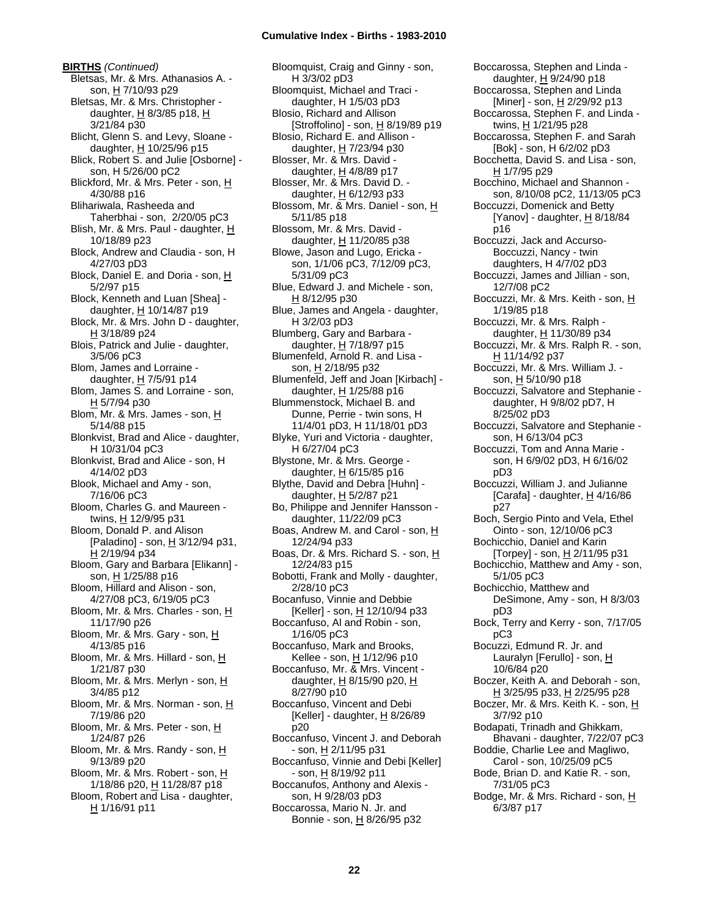**BIRTHS** *(Continued)* Bletsas, Mr. & Mrs. Athanasios A. son, H 7/10/93 p29 Bletsas, Mr. & Mrs. Christopher daughter,  $H$  8/3/85 p18,  $H$ 3/21/84 p30 Blicht, Glenn S. and Levy, Sloane daughter,  $H$  10/25/96 p15 Blick, Robert S. and Julie [Osborne] son, H 5/26/00 pC2 Blickford, Mr. & Mrs. Peter - son, H 4/30/88 p16 Blihariwala, Rasheeda and Taherbhai - son, 2/20/05 pC3 Blish, Mr. & Mrs. Paul - daughter, H 10/18/89 p23 Block, Andrew and Claudia - son, H 4/27/03 pD3 Block, Daniel E. and Doria - son, H 5/2/97 p15 Block, Kenneth and Luan [Shea] daughter,  $H$  10/14/87 p19 Block, Mr. & Mrs. John D - daughter, H 3/18/89 p24 Blois, Patrick and Julie - daughter, 3/5/06 pC3 Blom, James and Lorraine daughter,  $H$  7/5/91 p14 Blom, James S. and Lorraine - son, H 5/7/94 p30 Blom, Mr. & Mrs. James - son, H 5/14/88 p15 Blonkvist, Brad and Alice - daughter, H 10/31/04 pC3 Blonkvist, Brad and Alice - son, H 4/14/02 pD3 Blook, Michael and Amy - son, 7/16/06 pC3 Bloom, Charles G. and Maureen twins, H 12/9/95 p31 Bloom, Donald P. and Alison [Paladino] - son,  $H$  3/12/94 p31, H 2/19/94 p34 Bloom, Gary and Barbara [Elikann] son, H 1/25/88 p16 Bloom, Hillard and Alison - son, 4/27/08 pC3, 6/19/05 pC3 Bloom, Mr. & Mrs. Charles - son, H 11/17/90 p26 Bloom, Mr. & Mrs. Gary - son, H 4/13/85 p16 Bloom, Mr. & Mrs. Hillard - son, H 1/21/87 p30 Bloom, Mr. & Mrs. Merlyn - son, H 3/4/85 p12 Bloom, Mr. & Mrs. Norman - son, H 7/19/86 p20 Bloom, Mr. & Mrs. Peter - son, H 1/24/87 p26 Bloom, Mr. & Mrs. Randy - son, H 9/13/89 p20 Bloom, Mr. & Mrs. Robert - son, H 1/18/86 p20, H 11/28/87 p18 Bloom, Robert and Lisa - daughter, H 1/16/91 p11

Bloomquist, Craig and Ginny - son, H 3/3/02 pD3 Bloomquist, Michael and Traci daughter, H 1/5/03 pD3 Blosio, Richard and Allison [Stroffolino] - son, H 8/19/89 p19 Blosio, Richard E. and Allison daughter, H 7/23/94 p30 Blosser, Mr. & Mrs. David daughter,  $H$  4/8/89 p17 Blosser, Mr. & Mrs. David D. daughter,  $H$  6/12/93 p33 Blossom, Mr. & Mrs. Daniel - son, H 5/11/85 p18 Blossom, Mr. & Mrs. David daughter,  $H$  11/20/85 p38 Blowe, Jason and Lugo, Ericka son, 1/1/06 pC3, 7/12/09 pC3, 5/31/09 pC3 Blue, Edward J. and Michele - son, H 8/12/95 p30 Blue, James and Angela - daughter, H 3/2/03 pD3 Blumberg, Gary and Barbara daughter,  $H$  7/18/97 p15 Blumenfeld, Arnold R. and Lisa son, H 2/18/95 p32 Blumenfeld, Jeff and Joan [Kirbach] daughter, H 1/25/88 p16 Blummenstock, Michael B. and Dunne, Perrie - twin sons, H 11/4/01 pD3, H 11/18/01 pD3 Blyke, Yuri and Victoria - daughter, H 6/27/04 pC3 Blystone, Mr. & Mrs. George daughter,  $H$  6/15/85 p16 Blythe, David and Debra [Huhn] daughter, H 5/2/87 p21 Bo, Philippe and Jennifer Hansson daughter, 11/22/09 pC3 Boas, Andrew M. and Carol - son, H 12/24/94 p33 Boas, Dr. & Mrs. Richard S. - son, H 12/24/83 p15 Bobotti, Frank and Molly - daughter, 2/28/10 pC3 Bocanfuso, Vinnie and Debbie [Keller] - son, H 12/10/94 p33 Boccanfuso, Al and Robin - son, 1/16/05 pC3 Boccanfuso, Mark and Brooks, Kellee - son, H 1/12/96 p10 Boccanfuso, Mr. & Mrs. Vincent daughter,  $H$  8/15/90 p20,  $H$ 8/27/90 p10 Boccanfuso, Vincent and Debi [Keller] - daughter,  $H$  8/26/89 p20 Boccanfuso, Vincent J. and Deborah - son, <u>H</u> 2/11/95 p31 Boccanfuso, Vinnie and Debi [Keller] - son, H 8/19/92 p11 Boccanufos, Anthony and Alexis son, H 9/28/03 pD3 Boccarossa, Mario N. Jr. and Bonnie - son, H 8/26/95 p32

Boccarossa, Stephen and Linda daughter, H 9/24/90 p18 Boccarossa, Stephen and Linda [Miner] - son, H 2/29/92 p13 Boccarossa, Stephen F. and Linda twins, H 1/21/95 p28 Boccarossa, Stephen F. and Sarah [Bok] - son, H 6/2/02 pD3 Bocchetta, David S. and Lisa - son, H 1/7/95 p29 Bocchino, Michael and Shannon son, 8/10/08 pC2, 11/13/05 pC3 Boccuzzi, Domenick and Betty [Yanov] - daughter, H 8/18/84 p16 Boccuzzi, Jack and Accurso-Boccuzzi, Nancy - twin daughters, H 4/7/02 pD3 Boccuzzi, James and Jillian - son, 12/7/08 pC2 Boccuzzi, Mr. & Mrs. Keith - son, H 1/19/85 p18 Boccuzzi, Mr. & Mrs. Ralph daughter, H 11/30/89 p34 Boccuzzi, Mr. & Mrs. Ralph R. - son, <u>H</u> 11/14/92 p37 Boccuzzi, Mr. & Mrs. William J. son, H 5/10/90 p18 Boccuzzi, Salvatore and Stephanie daughter, H 9/8/02 pD7, H 8/25/02 pD3 Boccuzzi, Salvatore and Stephanie son, H 6/13/04 pC3 Boccuzzi, Tom and Anna Marie son, H 6/9/02 pD3, H 6/16/02 pD3 Boccuzzi, William J. and Julianne [Carafa] - daughter,  $H$  4/16/86 p27 Boch, Sergio Pinto and Vela, Ethel Ointo - son, 12/10/06 pC3 Bochicchio, Daniel and Karin [Torpey] - son,  $H$  2/11/95 p31 Bochicchio, Matthew and Amy - son, 5/1/05 pC3 Bochicchio, Matthew and DeSimone, Amy - son, H 8/3/03 pD3 Bock, Terry and Kerry - son, 7/17/05 pC3 Bocuzzi, Edmund R. Jr. and Lauralyn [Ferullo] - son, H 10/6/84 p20 Boczer, Keith A. and Deborah - son, H 3/25/95 p33, H 2/25/95 p28 Boczer, Mr. & Mrs. Keith K. - son, H 3/7/92 p10 Bodapati, Trinadh and Ghikkam, Bhavani - daughter, 7/22/07 pC3 Boddie, Charlie Lee and Magliwo, Carol - son, 10/25/09 pC5 Bode, Brian D. and Katie R. - son, 7/31/05 pC3 Bodge, Mr. & Mrs. Richard - son, H 6/3/87 p17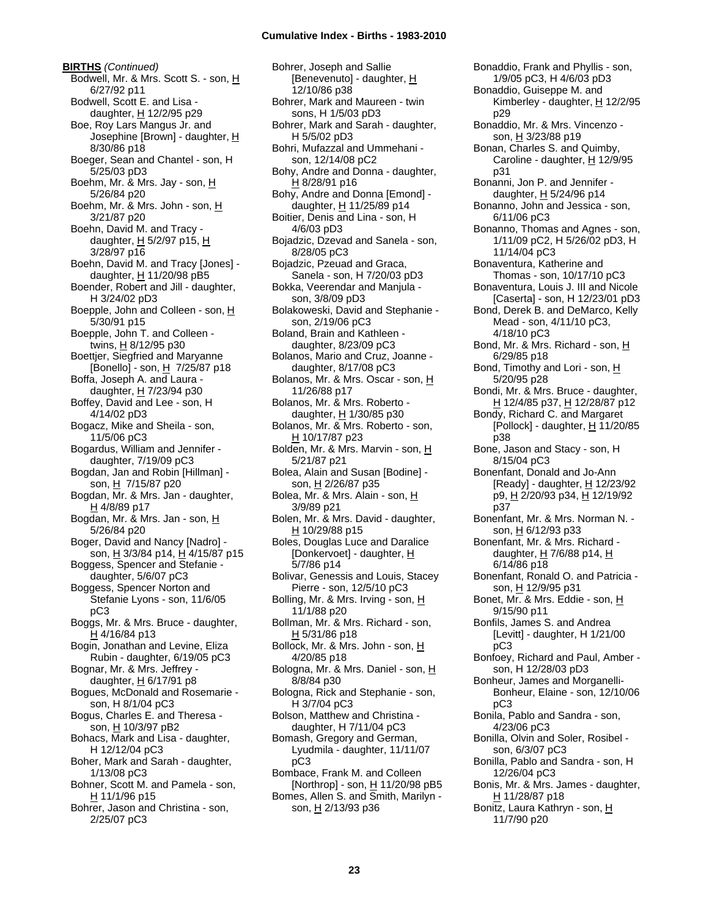**BIRTHS** *(Continued)* Bodwell, Mr. & Mrs. Scott S. - son, H 6/27/92 p11 Bodwell, Scott E. and Lisa daughter, H 12/2/95 p29 Boe, Roy Lars Mangus Jr. and Josephine [Brown] - daughter, H 8/30/86 p18 Boeger, Sean and Chantel - son, H 5/25/03 pD3 Boehm, Mr. & Mrs. Jay - son, H 5/26/84 p20 Boehm, Mr. & Mrs. John - son, H 3/21/87 p20 Boehn, David M. and Tracy daughter,  $H$  5/2/97 p15,  $H$ 3/28/97 p16 Boehn, David M. and Tracy [Jones] daughter,  $H$  11/20/98 pB5 Boender, Robert and Jill - daughter, H 3/24/02 pD3 Boepple, John and Colleen - son, H 5/30/91 p15 Boepple, John T. and Colleen twins, H 8/12/95 p30 Boettjer, Siegfried and Maryanne [Bonello] - son,  $H$  7/25/87 p18 Boffa, Joseph A. and Laura daughter, H 7/23/94 p30 Boffey, David and Lee - son, H 4/14/02 pD3 Bogacz, Mike and Sheila - son, 11/5/06 pC3 Bogardus, William and Jennifer daughter, 7/19/09 pC3 Bogdan, Jan and Robin [Hillman] son, H 7/15/87 p20 Bogdan, Mr. & Mrs. Jan - daughter, H 4/8/89 p17 Bogdan, Mr. & Mrs. Jan - son, H 5/26/84 p20 Boger, David and Nancy [Nadro] son, H 3/3/84 p14, H 4/15/87 p15 Boggess, Spencer and Stefanie daughter, 5/6/07 pC3 Boggess, Spencer Norton and Stefanie Lyons - son, 11/6/05 pC3 Boggs, Mr. & Mrs. Bruce - daughter, H 4/16/84 p13 Bogin, Jonathan and Levine, Eliza Rubin - daughter, 6/19/05 pC3 Bognar, Mr. & Mrs. Jeffrey daughter,  $H$  6/17/91 p8 Bogues, McDonald and Rosemarie son, H 8/1/04 pC3 Bogus, Charles E. and Theresa son, H 10/3/97 pB2 Bohacs, Mark and Lisa - daughter, H 12/12/04 pC3 Boher, Mark and Sarah - daughter, 1/13/08 pC3 Bohner, Scott M. and Pamela - son,  $H$  11/1/96 p15 Bohrer, Jason and Christina - son, 2/25/07 pC3

Bohrer, Joseph and Sallie [Benevenuto] - daughter, H 12/10/86 p38 Bohrer, Mark and Maureen - twin sons, H 1/5/03 pD3 Bohrer, Mark and Sarah - daughter, H 5/5/02 pD3 Bohri, Mufazzal and Ummehani son, 12/14/08 pC2 Bohy, Andre and Donna - daughter, H 8/28/91 p16 Bohy, Andre and Donna [Emond] daughter, H 11/25/89 p14 Boitier, Denis and Lina - son, H 4/6/03 pD3 Bojadzic, Dzevad and Sanela - son, 8/28/05 pC3 Bojadzic, Pzeuad and Graca, Sanela - son, H 7/20/03 pD3 Bokka, Veerendar and Manjula son, 3/8/09 pD3 Bolakoweski, David and Stephanie son, 2/19/06 pC3 Boland, Brain and Kathleen daughter, 8/23/09 pC3 Bolanos, Mario and Cruz, Joanne daughter, 8/17/08 pC3 Bolanos, Mr. & Mrs. Oscar - son, H 11/26/88 p17 Bolanos, Mr. & Mrs. Roberto daughter,  $H$  1/30/85 p30 Bolanos, Mr. & Mrs. Roberto - son, H 10/17/87 p23 Bolden, Mr. & Mrs. Marvin - son, H 5/21/87 p21 Bolea, Alain and Susan [Bodine] son, H 2/26/87 p35 Bolea, Mr. & Mrs. Alain - son, H 3/9/89 p21 Bolen, Mr. & Mrs. David - daughter, H 10/29/88 p15 Boles, Douglas Luce and Daralice [Donkervoet] - daughter, H 5/7/86 p14 Bolivar, Genessis and Louis, Stacey Pierre - son, 12/5/10 pC3 Bolling, Mr. & Mrs. Irving - son, H 11/1/88 p20 Bollman, Mr. & Mrs. Richard - son, H 5/31/86 p18 Bollock, Mr. & Mrs. John - son, H 4/20/85 p18 Bologna, Mr. & Mrs. Daniel - son, H 8/8/84 p30 Bologna, Rick and Stephanie - son, H 3/7/04 pC3 Bolson, Matthew and Christina daughter, H 7/11/04 pC3 Bomash, Gregory and German, Lyudmila - daughter, 11/11/07 pC3 Bombace, Frank M. and Colleen [Northrop] - son, H 11/20/98 pB5 Bomes, Allen S. and Smith, Marilyn son, H 2/13/93 p36

Bonaddio, Frank and Phyllis - son, 1/9/05 pC3, H 4/6/03 pD3 Bonaddio, Guiseppe M. and Kimberley - daughter, H 12/2/95 p29 Bonaddio, Mr. & Mrs. Vincenzo son, H 3/23/88 p19 Bonan, Charles S. and Quimby, Caroline - daughter,  $H$  12/9/95 p31 Bonanni, Jon P. and Jennifer daughter, H 5/24/96 p14 Bonanno, John and Jessica - son, 6/11/06 pC3 Bonanno, Thomas and Agnes - son, 1/11/09 pC2, H 5/26/02 pD3, H 11/14/04 pC3 Bonaventura, Katherine and Thomas - son, 10/17/10 pC3 Bonaventura, Louis J. III and Nicole [Caserta] - son, H 12/23/01 pD3 Bond, Derek B. and DeMarco, Kelly Mead - son, 4/11/10 pC3, 4/18/10 pC3 Bond, Mr. & Mrs. Richard - son, H 6/29/85 p18 Bond, Timothy and Lori - son, H 5/20/95 p28 Bondi, Mr. & Mrs. Bruce - daughter, H 12/4/85 p37, H 12/28/87 p12 Bondy, Richard C. and Margaret [Pollock] - daughter,  $H$  11/20/85 p38 Bone, Jason and Stacy - son, H 8/15/04 pC3 Bonenfant, Donald and Jo-Ann [Ready] - daughter,  $H$  12/23/92 p9, H 2/20/93 p34, H 12/19/92 p37 Bonenfant, Mr. & Mrs. Norman N. son, H 6/12/93 p33 Bonenfant, Mr. & Mrs. Richard daughter,  $H$  7/6/88 p14,  $H$ 6/14/86 p18 Bonenfant, Ronald O. and Patricia son, H 12/9/95 p31 Bonet, Mr. & Mrs. Eddie - son, H 9/15/90 p11 Bonfils, James S. and Andrea [Levitt] - daughter, H 1/21/00 pC3 Bonfoey, Richard and Paul, Amber son, H 12/28/03 pD3 Bonheur, James and Morganelli-Bonheur, Elaine - son, 12/10/06 pC3 Bonila, Pablo and Sandra - son, 4/23/06 pC3 Bonilla, Olvin and Soler, Rosibel son, 6/3/07 pC3 Bonilla, Pablo and Sandra - son, H 12/26/04 pC3 Bonis, Mr. & Mrs. James - daughter,  $H$  11/28/87 p18 Bonitz, Laura Kathryn - son, H 11/7/90 p20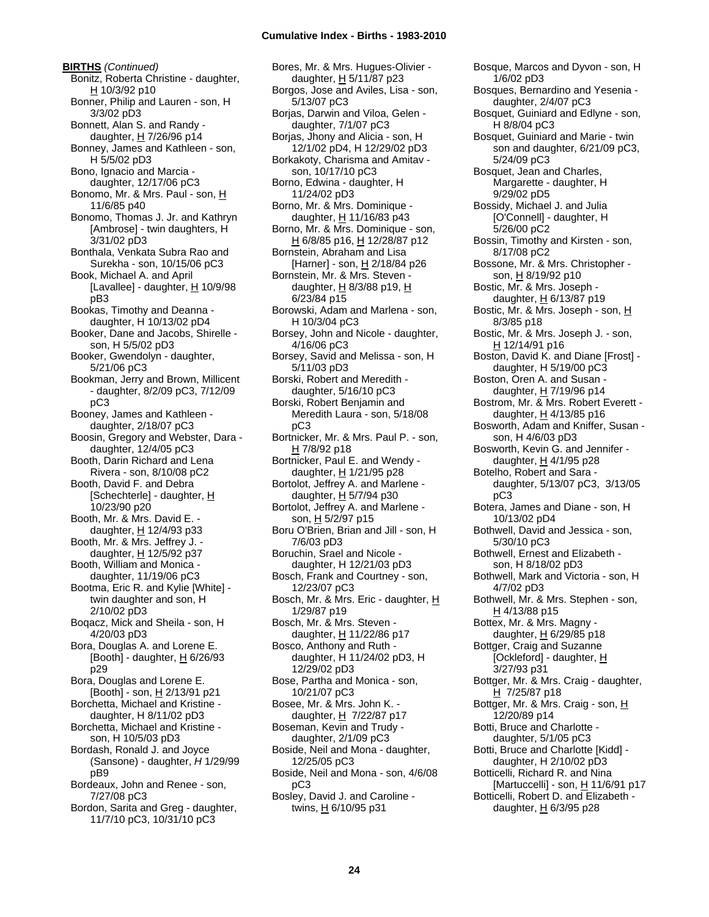**BIRTHS** *(Continued)* Bonitz, Roberta Christine - daughter,  $H 10/3/92$  p10 Bonner, Philip and Lauren - son, H 3/3/02 pD3 Bonnett, Alan S. and Randy daughter,  $H$  7/26/96 p14 Bonney, James and Kathleen - son, H 5/5/02 pD3 Bono, Ignacio and Marcia daughter, 12/17/06 pC3 Bonomo, Mr. & Mrs. Paul - son, H 11/6/85 p40 Bonomo, Thomas J. Jr. and Kathryn [Ambrose] - twin daughters, H 3/31/02 pD3 Bonthala, Venkata Subra Rao and Surekha - son, 10/15/06 pC3 Book, Michael A. and April [Lavallee] - daughter,  $\underline{H}$  10/9/98 pB3 Bookas, Timothy and Deanna daughter, H 10/13/02 pD4 Booker, Dane and Jacobs, Shirelle son, H 5/5/02 pD3 Booker, Gwendolyn - daughter, 5/21/06 pC3 Bookman, Jerry and Brown, Millicent - daughter, 8/2/09 pC3, 7/12/09 pC3 Booney, James and Kathleen daughter, 2/18/07 pC3 Boosin, Gregory and Webster, Dara daughter, 12/4/05 pC3 Booth, Darin Richard and Lena Rivera - son, 8/10/08 pC2 Booth, David F. and Debra [Schechterle] - daughter, H 10/23/90 p20 Booth, Mr. & Mrs. David E. daughter, H 12/4/93 p33 Booth, Mr. & Mrs. Jeffrey J. daughter, H 12/5/92 p37 Booth, William and Monica daughter, 11/19/06 pC3 Bootma, Eric R. and Kylie [White] twin daughter and son, H 2/10/02 pD3 Boqacz, Mick and Sheila - son, H 4/20/03 pD3 Bora, Douglas A. and Lorene E.  $[Booth]$  - daughter,  $H$  6/26/93 p29 Bora, Douglas and Lorene E. [Booth] - son, H 2/13/91 p21 Borchetta, Michael and Kristine daughter, H 8/11/02 pD3 Borchetta, Michael and Kristine son, H 10/5/03 pD3 Bordash, Ronald J. and Joyce (Sansone) - daughter, *H* 1/29/99 pB9 Bordeaux, John and Renee - son, 7/27/08 pC3 Bordon, Sarita and Greg - daughter, 11/7/10 pC3, 10/31/10 pC3

Bores, Mr. & Mrs. Hugues-Olivier daughter, H 5/11/87 p23 Borgos, Jose and Aviles, Lisa - son, 5/13/07 pC3 Borjas, Darwin and Viloa, Gelen daughter, 7/1/07 pC3 Borjas, Jhony and Alicia - son, H 12/1/02 pD4, H 12/29/02 pD3 Borkakoty, Charisma and Amitav son, 10/17/10 pC3 Borno, Edwina - daughter, H 11/24/02 pD3 Borno, Mr. & Mrs. Dominique daughter, H 11/16/83 p43 Borno, Mr. & Mrs. Dominique - son, H 6/8/85 p16, H 12/28/87 p12 Bornstein, Abraham and Lisa [Harner] - son, H 2/18/84 p26 Bornstein, Mr. & Mrs. Steven daughter, H 8/3/88 p19, H 6/23/84 p15 Borowski, Adam and Marlena - son, H 10/3/04 pC3 Borsey, John and Nicole - daughter, 4/16/06 pC3 Borsey, Savid and Melissa - son, H 5/11/03 pD3 Borski, Robert and Meredith daughter, 5/16/10 pC3 Borski, Robert Benjamin and Meredith Laura - son, 5/18/08 pC3 Bortnicker, Mr. & Mrs. Paul P. - son, H 7/8/92 p18 Bortnicker, Paul E. and Wendy daughter, H 1/21/95 p28 Bortolot, Jeffrey A. and Marlene daughter,  $H$  5/7/94 p30 Bortolot, Jeffrey A. and Marlene son, H 5/2/97 p15 Boru O'Brien, Brian and Jill - son, H 7/6/03 pD3 Boruchin, Srael and Nicole daughter, H 12/21/03 pD3 Bosch, Frank and Courtney - son, 12/23/07 pC3 Bosch, Mr. & Mrs. Eric - daughter, H 1/29/87 p19 Bosch, Mr. & Mrs. Steven daughter, H 11/22/86 p17 Bosco, Anthony and Ruth daughter, H 11/24/02 pD3, H 12/29/02 pD3 Bose, Partha and Monica - son, 10/21/07 pC3 Bosee, Mr. & Mrs. John K. daughter,  $H$  7/22/87 p17 Boseman, Kevin and Trudy daughter, 2/1/09 pC3 Boside, Neil and Mona - daughter, 12/25/05 pC3 Boside, Neil and Mona - son, 4/6/08 pC3 Bosley, David J. and Caroline twins, H 6/10/95 p31

Bosque, Marcos and Dyvon - son, H 1/6/02 pD3 Bosques, Bernardino and Yesenia daughter, 2/4/07 pC3 Bosquet, Guiniard and Edlyne - son, H 8/8/04 pC3 Bosquet, Guiniard and Marie - twin son and daughter, 6/21/09 pC3, 5/24/09 pC3 Bosquet, Jean and Charles, Margarette - daughter, H 9/29/02 pD5 Bossidy, Michael J. and Julia [O'Connell] - daughter, H 5/26/00 pC2 Bossin, Timothy and Kirsten - son, 8/17/08 pC2 Bossone, Mr. & Mrs. Christopher son, H 8/19/92 p10 Bostic, Mr. & Mrs. Joseph daughter,  $H$  6/13/87 p19 Bostic, Mr. & Mrs. Joseph - son, H 8/3/85 p18 Bostic, Mr. & Mrs. Joseph J. - son,  $H$  12/14/91 p16 Boston, David K. and Diane [Frost] daughter, H 5/19/00 pC3 Boston, Oren A. and Susan daughter, H 7/19/96 p14 Bostrom, Mr. & Mrs. Robert Everett daughter,  $H$  4/13/85 p16 Bosworth, Adam and Kniffer, Susan son, H 4/6/03 pD3 Bosworth, Kevin G. and Jennifer daughter, H 4/1/95 p28 Botelho, Robert and Sara daughter, 5/13/07 pC3, 3/13/05 pC3 Botera, James and Diane - son, H 10/13/02 pD4 Bothwell, David and Jessica - son, 5/30/10 pC3 Bothwell, Ernest and Elizabeth son, H 8/18/02 pD3 Bothwell, Mark and Victoria - son, H 4/7/02 pD3 Bothwell, Mr. & Mrs. Stephen - son, H 4/13/88 p15 Bottex, Mr. & Mrs. Magny daughter,  $H$  6/29/85 p18 Bottger, Craig and Suzanne [Ockleford] - daughter, H 3/27/93 p31 Bottger, Mr. & Mrs. Craig - daughter, H 7/25/87 p18 Bottger, Mr. & Mrs. Craig - son, H 12/20/89 p14 Botti, Bruce and Charlotte daughter, 5/1/05 pC3 Botti, Bruce and Charlotte [Kidd] daughter, H 2/10/02 pD3 Botticelli, Richard R. and Nina [Martuccelli] - son, H 11/6/91 p17 Botticelli, Robert D. and Elizabeth daughter, H 6/3/95 p28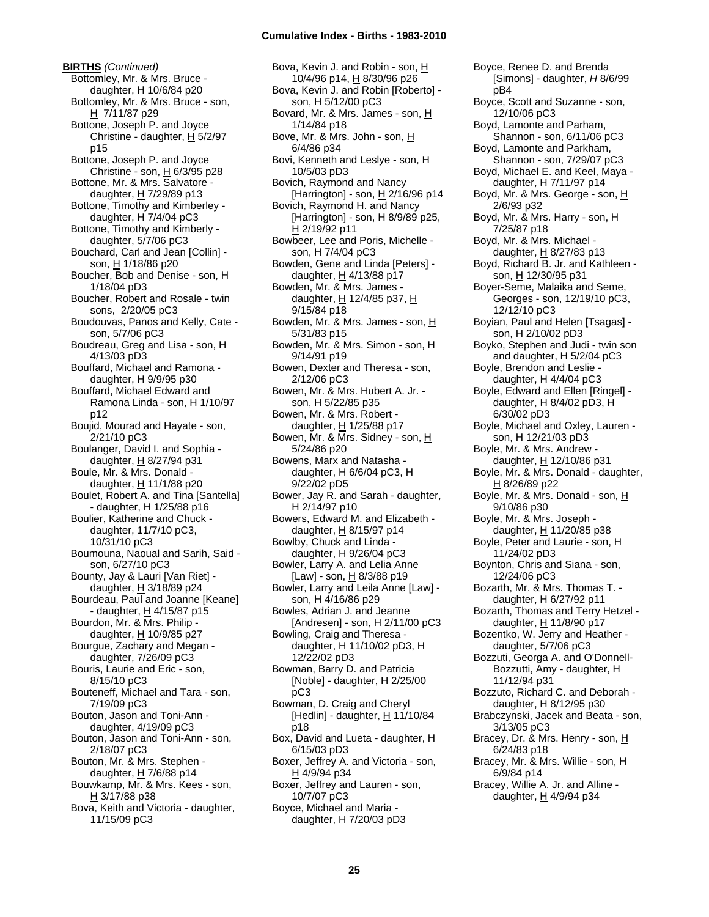**BIRTHS** *(Continued)* Bottomley, Mr. & Mrs. Bruce daughter,  $H$  10/6/84 p20 Bottomley, Mr. & Mrs. Bruce - son, H 7/11/87 p29 Bottone, Joseph P. and Joyce Christine - daughter, H 5/2/97 p15 Bottone, Joseph P. and Joyce Christine - son,  $\underline{H}$  6/3/95 p28 Bottone, Mr. & Mrs. Salvatore daughter, H 7/29/89 p13 Bottone, Timothy and Kimberley daughter, H 7/4/04 pC3 Bottone, Timothy and Kimberly daughter, 5/7/06 pC3 Bouchard, Carl and Jean [Collin] son, H 1/18/86 p20 Boucher, Bob and Denise - son, H 1/18/04 pD3 Boucher, Robert and Rosale - twin sons, 2/20/05 pC3 Boudouvas, Panos and Kelly, Cate son, 5/7/06 pC3 Boudreau, Greg and Lisa - son, H 4/13/03 pD3 Bouffard, Michael and Ramona daughter,  $H$  9/9/95 p30 Bouffard, Michael Edward and Ramona Linda - son, H 1/10/97 p12 Boujid, Mourad and Hayate - son, 2/21/10 pC3 Boulanger, David I. and Sophia daughter, H 8/27/94 p31 Boule, Mr. & Mrs. Donald daughter, H 11/1/88 p20 Boulet, Robert A. and Tina [Santella] - daughter, H 1/25/88 p16 Boulier, Katherine and Chuck daughter, 11/7/10 pC3, 10/31/10 pC3 Boumouna, Naoual and Sarih, Said son, 6/27/10 pC3 Bounty, Jay & Lauri [Van Riet] daughter,  $H$  3/18/89 p24 Bourdeau, Paul and Joanne [Keane] - daughter,  $H$  4/15/87 p15 Bourdon, Mr. & Mrs. Philip daughter, H 10/9/85 p27 Bourgue, Zachary and Megan daughter, 7/26/09 pC3 Bouris, Laurie and Eric - son, 8/15/10 pC3 Bouteneff, Michael and Tara - son, 7/19/09 pC3 Bouton, Jason and Toni-Ann daughter, 4/19/09 pC3 Bouton, Jason and Toni-Ann - son, 2/18/07 pC3 Bouton, Mr. & Mrs. Stephen daughter, H 7/6/88 p14 Bouwkamp, Mr. & Mrs. Kees - son,  $H$  3/17/88 p38 Bova, Keith and Victoria - daughter, 11/15/09 pC3

Bova, Kevin J. and Robin - son, H 10/4/96 p14, H 8/30/96 p26 Bova, Kevin J. and Robin [Roberto] son, H 5/12/00 pC3 Bovard, Mr. & Mrs. James - son, H 1/14/84 p18 Bove, Mr. & Mrs. John - son, H 6/4/86 p34 Bovi, Kenneth and Leslye - son, H 10/5/03 pD3 Bovich, Raymond and Nancy [Harrington] - son, H 2/16/96 p14 Bovich, Raymond H. and Nancy [Harrington] - son,  $\underline{H}$  8/9/89 p25, H 2/19/92 p11 Bowbeer, Lee and Poris, Michelle son, H 7/4/04 pC3 Bowden, Gene and Linda [Peters] daughter,  $H$  4/13/88 p17 Bowden, Mr. & Mrs. James daughter, H 12/4/85 p37, H 9/15/84 p18 Bowden, Mr. & Mrs. James - son, H 5/31/83 p15 Bowden, Mr. & Mrs. Simon - son, H 9/14/91 p19 Bowen, Dexter and Theresa - son, 2/12/06 pC3 Bowen, Mr. & Mrs. Hubert A. Jr. son, H 5/22/85 p35 Bowen, Mr. & Mrs. Robert daughter,  $H$  1/25/88 p17 Bowen, Mr. & Mrs. Sidney - son, H 5/24/86 p20 Bowens, Marx and Natasha daughter, H 6/6/04 pC3, H 9/22/02 pD5 Bower, Jay R. and Sarah - daughter, H 2/14/97 p10 Bowers, Edward M. and Elizabeth daughter, H 8/15/97 p14 Bowlby, Chuck and Linda daughter, H 9/26/04 pC3 Bowler, Larry A. and Lelia Anne [Law] - son, <u>H</u> 8/3/88 p19 Bowler, Larry and Leila Anne [Law] son, H 4/16/86 p29 Bowles, Adrian J. and Jeanne [Andresen] - son, H 2/11/00 pC3 Bowling, Craig and Theresa daughter, H 11/10/02 pD3, H 12/22/02 pD3 Bowman, Barry D. and Patricia [Noble] - daughter, H 2/25/00 pC3 Bowman, D. Craig and Cheryl [Hedlin] - daughter, H 11/10/84 p18 Box, David and Lueta - daughter, H 6/15/03 pD3 Boxer, Jeffrey A. and Victoria - son, H 4/9/94 p34 Boxer, Jeffrey and Lauren - son, 10/7/07 pC3 Boyce, Michael and Maria daughter, H 7/20/03 pD3

Boyce, Renee D. and Brenda [Simons] - daughter, *H* 8/6/99 pB4 Boyce, Scott and Suzanne - son, 12/10/06 pC3 Boyd, Lamonte and Parham, Shannon - son, 6/11/06 pC3 Boyd, Lamonte and Parkham, Shannon - son, 7/29/07 pC3 Boyd, Michael E. and Keel, Maya daughter, H 7/11/97 p14 Boyd, Mr. & Mrs. George - son, H 2/6/93 p32 Boyd, Mr. & Mrs. Harry - son, H 7/25/87 p18 Boyd, Mr. & Mrs. Michael daughter, H 8/27/83 p13 Boyd, Richard B. Jr. and Kathleen son, H 12/30/95 p31 Boyer-Seme, Malaika and Seme, Georges - son, 12/19/10 pC3, 12/12/10 pC3 Boyian, Paul and Helen [Tsagas] son, H 2/10/02 pD3 Boyko, Stephen and Judi - twin son and daughter, H 5/2/04 pC3 Boyle, Brendon and Leslie daughter, H 4/4/04 pC3 Boyle, Edward and Ellen [Ringel] daughter, H 8/4/02 pD3, H 6/30/02 pD3 Boyle, Michael and Oxley, Lauren son, H 12/21/03 pD3 Boyle, Mr. & Mrs. Andrew daughter, H 12/10/86 p31 Boyle, Mr. & Mrs. Donald - daughter, H 8/26/89 p22 Boyle, Mr. & Mrs. Donald - son, H 9/10/86 p30 Boyle, Mr. & Mrs. Joseph daughter, H 11/20/85 p38 Boyle, Peter and Laurie - son, H 11/24/02 pD3 Boynton, Chris and Siana - son, 12/24/06 pC3 Bozarth, Mr. & Mrs. Thomas T. daughter, H 6/27/92 p11 Bozarth, Thomas and Terry Hetzel daughter, H 11/8/90 p17 Bozentko, W. Jerry and Heather daughter, 5/7/06 pC3 Bozzuti, Georga A. and O'Donnell-Bozzutti, Amy - daughter, H 11/12/94 p31 Bozzuto, Richard C. and Deborah daughter, H 8/12/95 p30 Brabczynski, Jacek and Beata - son, 3/13/05 pC3 Bracey, Dr. & Mrs. Henry - son, H 6/24/83 p18 Bracey, Mr. & Mrs. Willie - son, H 6/9/84 p14 Bracey, Willie A. Jr. and Alline daughter,  $H$  4/9/94 p34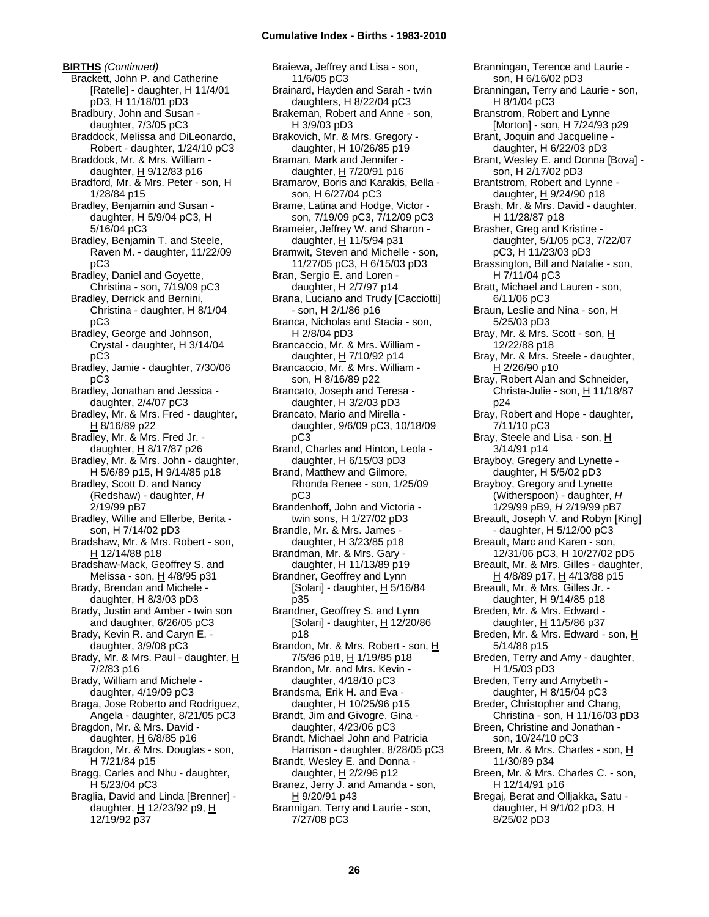**BIRTHS** *(Continued)* Brackett, John P. and Catherine [Ratelle] - daughter, H 11/4/01 pD3, H 11/18/01 pD3 Bradbury, John and Susan daughter, 7/3/05 pC3 Braddock, Melissa and DiLeonardo, Robert - daughter, 1/24/10 pC3 Braddock, Mr. & Mrs. William daughter,  $H$  9/12/83 p16 Bradford, Mr. & Mrs. Peter - son, H 1/28/84 p15 Bradley, Benjamin and Susan daughter, H 5/9/04 pC3, H 5/16/04 pC3 Bradley, Benjamin T. and Steele, Raven M. - daughter, 11/22/09 pC3 Bradley, Daniel and Goyette, Christina - son, 7/19/09 pC3 Bradley, Derrick and Bernini, Christina - daughter, H 8/1/04 pC3 Bradley, George and Johnson, Crystal - daughter, H 3/14/04 pC3 Bradley, Jamie - daughter, 7/30/06 pC3 Bradley, Jonathan and Jessica daughter, 2/4/07 pC3 Bradley, Mr. & Mrs. Fred - daughter, H 8/16/89 p22 Bradley, Mr. & Mrs. Fred Jr. daughter,  $H$  8/17/87 p26 Bradley, Mr. & Mrs. John - daughter, H 5/6/89 p15, H 9/14/85 p18 Bradley, Scott D. and Nancy (Redshaw) - daughter, *H* 2/19/99 pB7 Bradley, Willie and Ellerbe, Berita son, H 7/14/02 pD3 Bradshaw, Mr. & Mrs. Robert - son, H 12/14/88 p18 Bradshaw-Mack, Geoffrey S. and Melissa - son, H 4/8/95 p31 Brady, Brendan and Michele daughter, H 8/3/03 pD3 Brady, Justin and Amber - twin son and daughter, 6/26/05 pC3 Brady, Kevin R. and Caryn E. daughter, 3/9/08 pC3 Brady, Mr. & Mrs. Paul - daughter, H 7/2/83 p16 Brady, William and Michele daughter, 4/19/09 pC3 Braga, Jose Roberto and Rodriguez, Angela - daughter, 8/21/05 pC3 Bragdon, Mr. & Mrs. David daughter,  $H$  6/8/85 p16 Bragdon, Mr. & Mrs. Douglas - son, H 7/21/84 p15 Bragg, Carles and Nhu - daughter, H 5/23/04 pC3 Braglia, David and Linda [Brenner] daughter, H 12/23/92 p9, H 12/19/92 p37

Braiewa, Jeffrey and Lisa - son, 11/6/05 pC3 Brainard, Hayden and Sarah - twin daughters, H 8/22/04 pC3 Brakeman, Robert and Anne - son, H 3/9/03 pD3 Brakovich, Mr. & Mrs. Gregory daughter, H 10/26/85 p19 Braman, Mark and Jennifer daughter,  $H$  7/20/91 p16 Bramarov, Boris and Karakis, Bella son, H 6/27/04 pC3 Brame, Latina and Hodge, Victor son, 7/19/09 pC3, 7/12/09 pC3 Brameier, Jeffrey W. and Sharon daughter, H 11/5/94 p31 Bramwit, Steven and Michelle - son, 11/27/05 pC3, H 6/15/03 pD3 Bran, Sergio E. and Loren daughter,  $H$  2/7/97 p14 Brana, Luciano and Trudy [Cacciotti]  $-$  son,  $H$  2/1/86 p16 Branca, Nicholas and Stacia - son, H 2/8/04 pD3 Brancaccio, Mr. & Mrs. William daughter, H 7/10/92 p14 Brancaccio, Mr. & Mrs. William son, H 8/16/89 p22 Brancato, Joseph and Teresa daughter, H 3/2/03 pD3 Brancato, Mario and Mirella daughter, 9/6/09 pC3, 10/18/09 pC3 Brand, Charles and Hinton, Leola daughter, H 6/15/03 pD3 Brand, Matthew and Gilmore, Rhonda Renee - son, 1/25/09 pC3 Brandenhoff, John and Victoria twin sons, H 1/27/02 pD3 Brandle, Mr. & Mrs. James daughter,  $H$  3/23/85 p18 Brandman, Mr. & Mrs. Gary daughter, H 11/13/89 p19 Brandner, Geoffrey and Lynn [Solari] - daughter,  $H$  5/16/84 p35 Brandner, Geoffrey S. and Lynn [Solari] - daughter,  $H$  12/20/86 p18 Brandon, Mr. & Mrs. Robert - son, H 7/5/86 p18, H 1/19/85 p18 Brandon, Mr. and Mrs. Kevin daughter, 4/18/10 pC3 Brandsma, Erik H. and Eva daughter, H 10/25/96 p15 Brandt, Jim and Givogre, Gina daughter, 4/23/06 pC3 Brandt, Michael John and Patricia Harrison - daughter, 8/28/05 pC3 Brandt, Wesley E. and Donna daughter, H 2/2/96 p12 Branez, Jerry J. and Amanda - son,  $H$  9/20/91 p43 Brannigan, Terry and Laurie - son, 7/27/08 pC3

Branningan, Terence and Laurie son, H 6/16/02 pD3 Branningan, Terry and Laurie - son, H 8/1/04 pC3 Branstrom, Robert and Lynne [Morton] - son, H 7/24/93 p29 Brant, Joquin and Jacqueline daughter, H 6/22/03 pD3 Brant, Wesley E. and Donna [Bova] son, H 2/17/02 pD3 Brantstrom, Robert and Lynne daughter, H 9/24/90 p18 Brash, Mr. & Mrs. David - daughter, H 11/28/87 p18 Brasher, Greg and Kristine daughter, 5/1/05 pC3, 7/22/07 pC3, H 11/23/03 pD3 Brassington, Bill and Natalie - son, H 7/11/04 pC3 Bratt, Michael and Lauren - son, 6/11/06 pC3 Braun, Leslie and Nina - son, H 5/25/03 pD3 Bray, Mr. & Mrs. Scott - son, H 12/22/88 p18 Bray, Mr. & Mrs. Steele - daughter,  $H$  2/26/90 p10 Bray, Robert Alan and Schneider, Christa-Julie - son, H 11/18/87 p24 Bray, Robert and Hope - daughter, 7/11/10 pC3 Bray, Steele and Lisa - son, H 3/14/91 p14 Brayboy, Gregery and Lynette daughter, H 5/5/02 pD3 Brayboy, Gregory and Lynette (Witherspoon) - daughter, *H* 1/29/99 pB9, *H* 2/19/99 pB7 Breault, Joseph V. and Robyn [King] - daughter, H 5/12/00 pC3 Breault, Marc and Karen - son, 12/31/06 pC3, H 10/27/02 pD5 Breault, Mr. & Mrs. Gilles - daughter, H 4/8/89 p17, H 4/13/88 p15 Breault, Mr. & Mrs. Gilles Jr. daughter,  $H$  9/14/85 p18 Breden, Mr. & Mrs. Edward daughter,  $H$  11/5/86 p37 Breden, Mr. & Mrs. Edward - son, H 5/14/88 p15 Breden, Terry and Amy - daughter, H 1/5/03 pD3 Breden, Terry and Amybeth daughter, H 8/15/04 pC3 Breder, Christopher and Chang, Christina - son, H 11/16/03 pD3 Breen, Christine and Jonathan son, 10/24/10 pC3 Breen, Mr. & Mrs. Charles - son, H 11/30/89 p34 Breen, Mr. & Mrs. Charles C. - son, H 12/14/91 p16 Bregaj, Berat and Olljakka, Satu daughter, H 9/1/02 pD3, H 8/25/02 pD3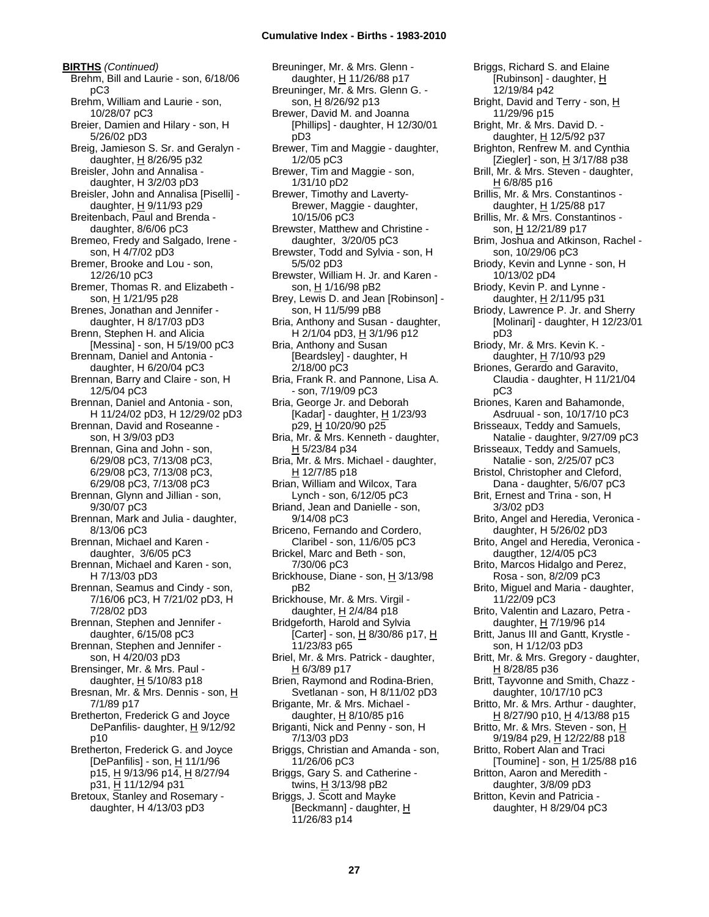**BIRTHS** *(Continued)* Brehm, Bill and Laurie - son, 6/18/06 pC3 Brehm, William and Laurie - son, 10/28/07 pC3 Breier, Damien and Hilary - son, H 5/26/02 pD3 Breig, Jamieson S. Sr. and Geralyn daughter,  $H$  8/26/95 p32 Breisler, John and Annalisa daughter, H 3/2/03 pD3 Breisler, John and Annalisa [Piselli] daughter,  $H$  9/11/93 p29 Breitenbach, Paul and Brenda daughter, 8/6/06 pC3 Bremeo, Fredy and Salgado, Irene son, H 4/7/02 pD3 Bremer, Brooke and Lou - son, 12/26/10 pC3 Bremer, Thomas R. and Elizabeth son, H 1/21/95 p28 Brenes, Jonathan and Jennifer daughter, H 8/17/03 pD3 Brenn, Stephen H. and Alicia [Messina] - son, H 5/19/00 pC3 Brennam, Daniel and Antonia daughter, H 6/20/04 pC3 Brennan, Barry and Claire - son, H 12/5/04 pC3 Brennan, Daniel and Antonia - son, H 11/24/02 pD3, H 12/29/02 pD3 Brennan, David and Roseanne son, H 3/9/03 pD3 Brennan, Gina and John - son, 6/29/08 pC3, 7/13/08 pC3, 6/29/08 pC3, 7/13/08 pC3, 6/29/08 pC3, 7/13/08 pC3 Brennan, Glynn and Jillian - son, 9/30/07 pC3 Brennan, Mark and Julia - daughter, 8/13/06 pC3 Brennan, Michael and Karen daughter, 3/6/05 pC3 Brennan, Michael and Karen - son, H 7/13/03 pD3 Brennan, Seamus and Cindy - son, 7/16/06 pC3, H 7/21/02 pD3, H 7/28/02 pD3 Brennan, Stephen and Jennifer daughter, 6/15/08 pC3 Brennan, Stephen and Jennifer son, H 4/20/03 pD3 Brensinger, Mr. & Mrs. Paul daughter,  $H$  5/10/83 p18 Bresnan, Mr. & Mrs. Dennis - son, H 7/1/89 p17 Bretherton, Frederick G and Joyce DePanfilis- daughter, H 9/12/92 p10 Bretherton, Frederick G. and Joyce [DePanfilis] - son,  $H$  11/1/96 p15, H 9/13/96 p14, H 8/27/94 p31, H 11/12/94 p31 Bretoux, Stanley and Rosemary -

daughter, H 4/13/03 pD3

Breuninger, Mr. & Mrs. Glenn daughter, H 11/26/88 p17 Breuninger, Mr. & Mrs. Glenn G. son, H 8/26/92 p13 Brewer, David M. and Joanna [Phillips] - daughter, H 12/30/01 pD3 Brewer, Tim and Maggie - daughter, 1/2/05 pC3 Brewer, Tim and Maggie - son, 1/31/10 pD2 Brewer, Timothy and Laverty-Brewer, Maggie - daughter, 10/15/06 pC3 Brewster, Matthew and Christine daughter, 3/20/05 pC3 Brewster, Todd and Sylvia - son, H 5/5/02 pD3 Brewster, William H. Jr. and Karen son, H 1/16/98 pB2 Brey, Lewis D. and Jean [Robinson] son, H 11/5/99 pB8 Bria, Anthony and Susan - daughter, H 2/1/04 pD3, H 3/1/96 p12 Bria, Anthony and Susan [Beardsley] - daughter, H 2/18/00 pC3 Bria, Frank R. and Pannone, Lisa A. - son, 7/19/09 pC3 Bria, George Jr. and Deborah [Kadar] - daughter,  $H$  1/23/93 p29, H 10/20/90 p25 Bria, Mr. & Mrs. Kenneth - daughter, H 5/23/84 p34 Bria, Mr. & Mrs. Michael - daughter, H 12/7/85 p18 Brian, William and Wilcox, Tara Lynch - son, 6/12/05 pC3 Briand, Jean and Danielle - son, 9/14/08 pC3 Briceno, Fernando and Cordero, Claribel - son, 11/6/05 pC3 Brickel, Marc and Beth - son, 7/30/06 pC3 Brickhouse, Diane - son, H 3/13/98 pB2 Brickhouse, Mr. & Mrs. Virgil daughter,  $H$  2/4/84 p18 Bridgeforth, Harold and Sylvia [Carter] - son, H 8/30/86 p17, H 11/23/83 p65 Briel, Mr. & Mrs. Patrick - daughter, H 6/3/89 p17 Brien, Raymond and Rodina-Brien, Svetlanan - son, H 8/11/02 pD3 Brigante, Mr. & Mrs. Michael daughter, H 8/10/85 p16 Briganti, Nick and Penny - son, H 7/13/03 pD3 Briggs, Christian and Amanda - son, 11/26/06 pC3 Briggs, Gary S. and Catherine twins, H 3/13/98 pB2 Briggs, J. Scott and Mayke [Beckmann] - daughter, H 11/26/83 p14

Briggs, Richard S. and Elaine [Rubinson] - daughter, H 12/19/84 p42 Bright, David and Terry - son, H 11/29/96 p15 Bright, Mr. & Mrs. David D. daughter, H 12/5/92 p37 Brighton, Renfrew M. and Cynthia [Ziegler] - son,  $\underline{H}$  3/17/88 p38 Brill, Mr. & Mrs. Steven - daughter, H 6/8/85 p16 Brillis, Mr. & Mrs. Constantinos daughter,  $H$  1/25/88 p17 Brillis, Mr. & Mrs. Constantinos son, H 12/21/89 p17 Brim, Joshua and Atkinson, Rachel son, 10/29/06 pC3 Briody, Kevin and Lynne - son, H 10/13/02 pD4 Briody, Kevin P. and Lynne daughter, H 2/11/95 p31 Briody, Lawrence P. Jr. and Sherry [Molinari] - daughter, H 12/23/01 pD3 Briody, Mr. & Mrs. Kevin K. daughter, H 7/10/93 p29 Briones, Gerardo and Garavito, Claudia - daughter, H 11/21/04 pC3 Briones, Karen and Bahamonde, Asdruual - son, 10/17/10 pC3 Brisseaux, Teddy and Samuels, Natalie - daughter, 9/27/09 pC3 Brisseaux, Teddy and Samuels, Natalie - son, 2/25/07 pC3 Bristol, Christopher and Cleford, Dana - daughter, 5/6/07 pC3 Brit, Ernest and Trina - son, H 3/3/02 pD3 Brito, Angel and Heredia, Veronica daughter, H 5/26/02 pD3 Brito, Angel and Heredia, Veronica daugther, 12/4/05 pC3 Brito, Marcos Hidalgo and Perez, Rosa - son, 8/2/09 pC3 Brito, Miguel and Maria - daughter, 11/22/09 pC3 Brito, Valentin and Lazaro, Petra daughter, H 7/19/96 p14 Britt, Janus III and Gantt, Krystle son, H 1/12/03 pD3 Britt, Mr. & Mrs. Gregory - daughter, H 8/28/85 p36 Britt, Tayvonne and Smith, Chazz daughter, 10/17/10 pC3 Britto, Mr. & Mrs. Arthur - daughter, H 8/27/90 p10, H 4/13/88 p15 Britto, Mr. & Mrs. Steven - son, H 9/19/84 p29, H 12/22/88 p18 Britto, Robert Alan and Traci [Toumine] - son,  $H$  1/25/88 p16 Britton, Aaron and Meredith daughter, 3/8/09 pD3 Britton, Kevin and Patricia daughter, H 8/29/04 pC3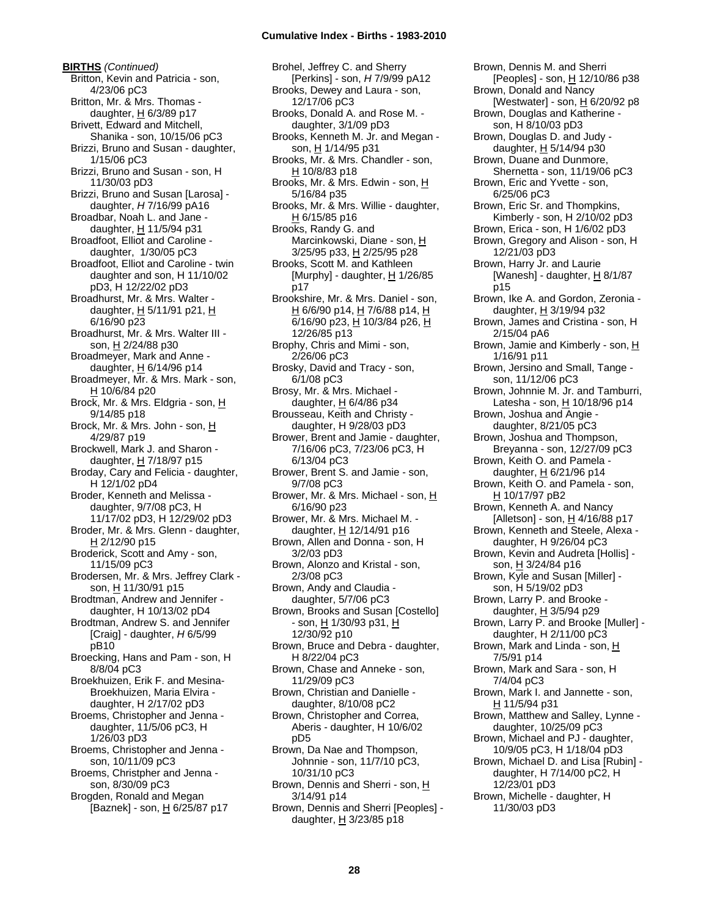**BIRTHS** *(Continued)* Britton, Kevin and Patricia - son, 4/23/06 pC3 Britton, Mr. & Mrs. Thomas daughter, H 6/3/89 p17 Brivett, Edward and Mitchell, Shanika - son, 10/15/06 pC3 Brizzi, Bruno and Susan - daughter, 1/15/06 pC3 Brizzi, Bruno and Susan - son, H 11/30/03 pD3 Brizzi, Bruno and Susan [Larosa] daughter, *H* 7/16/99 pA16 Broadbar, Noah L. and Jane daughter, H 11/5/94 p31 Broadfoot, Elliot and Caroline daughter, 1/30/05 pC3 Broadfoot, Elliot and Caroline - twin daughter and son, H 11/10/02 pD3, H 12/22/02 pD3 Broadhurst, Mr. & Mrs. Walter daughter,  $H$  5/11/91 p21,  $H$ 6/16/90 p23 Broadhurst, Mr. & Mrs. Walter III son, H 2/24/88 p30 Broadmeyer, Mark and Anne daughter,  $H$  6/14/96 p14 Broadmeyer, Mr. & Mrs. Mark - son, H 10/6/84 p20 Brock, Mr. & Mrs. Eldgria - son, H 9/14/85 p18 Brock, Mr. & Mrs. John - son, H 4/29/87 p19 Brockwell, Mark J. and Sharon daughter, H 7/18/97 p15 Broday, Cary and Felicia - daughter, H 12/1/02 pD4 Broder, Kenneth and Melissa daughter, 9/7/08 pC3, H 11/17/02 pD3, H 12/29/02 pD3 Broder, Mr. & Mrs. Glenn - daughter,  $H$  2/12/90 p15 Broderick, Scott and Amy - son, 11/15/09 pC3 Brodersen, Mr. & Mrs. Jeffrey Clark son, H 11/30/91 p15 Brodtman, Andrew and Jennifer daughter, H 10/13/02 pD4 Brodtman, Andrew S. and Jennifer [Craig] - daughter, *H* 6/5/99 pB10 Broecking, Hans and Pam - son, H 8/8/04 pC3 Broekhuizen, Erik F. and Mesina-Broekhuizen, Maria Elvira daughter, H 2/17/02 pD3 Broems, Christopher and Jenna daughter, 11/5/06 pC3, H 1/26/03 pD3 Broems, Christopher and Jenna son, 10/11/09 pC3 Broems, Christpher and Jenna son, 8/30/09 pC3 Brogden, Ronald and Megan [Baznek] - son, H 6/25/87 p17

Brohel, Jeffrey C. and Sherry [Perkins] - son, *H* 7/9/99 pA12 Brooks, Dewey and Laura - son, 12/17/06 pC3 Brooks, Donald A. and Rose M. daughter, 3/1/09 pD3 Brooks, Kenneth M. Jr. and Megan son, H 1/14/95 p31 Brooks, Mr. & Mrs. Chandler - son, H 10/8/83 p18 Brooks, Mr. & Mrs. Edwin - son, H 5/16/84 p35 Brooks, Mr. & Mrs. Willie - daughter, H 6/15/85 p16 Brooks, Randy G. and Marcinkowski, Diane - son, H 3/25/95 p33, H 2/25/95 p28 Brooks, Scott M. and Kathleen [Murphy] - daughter,  $H$  1/26/85 p17 Brookshire, Mr. & Mrs. Daniel - son, H 6/6/90 p14, H 7/6/88 p14, H  $\overline{6}$ /16/90 p23,  $\underline{H}$  10/3/84 p26,  $\underline{H}$ 12/26/85 p13 Brophy, Chris and Mimi - son, 2/26/06 pC3 Brosky, David and Tracy - son, 6/1/08 pC3 Brosy, Mr. & Mrs. Michael daughter, H 6/4/86 p34 Brousseau, Keith and Christy daughter, H 9/28/03 pD3 Brower, Brent and Jamie - daughter, 7/16/06 pC3, 7/23/06 pC3, H 6/13/04 pC3 Brower, Brent S. and Jamie - son, 9/7/08 pC3 Brower, Mr. & Mrs. Michael - son, H 6/16/90 p23 Brower, Mr. & Mrs. Michael M. daughter, H 12/14/91 p16 Brown, Allen and Donna - son, H 3/2/03 pD3 Brown, Alonzo and Kristal - son, 2/3/08 pC3 Brown, Andy and Claudia daughter, 5/7/06 pC3 Brown, Brooks and Susan [Costello] - son, H 1/30/93 p31, H 12/30/92 p10 Brown, Bruce and Debra - daughter, H 8/22/04 pC3 Brown, Chase and Anneke - son, 11/29/09 pC3 Brown, Christian and Danielle daughter, 8/10/08 pC2 Brown, Christopher and Correa, Aberis - daughter, H 10/6/02 pD5 Brown, Da Nae and Thompson, Johnnie - son, 11/7/10 pC3, 10/31/10 pC3 Brown, Dennis and Sherri - son, H 3/14/91 p14 Brown, Dennis and Sherri [Peoples] daughter,  $H$  3/23/85 p18

Brown, Dennis M. and Sherri [Peoples] - son, H 12/10/86 p38 Brown, Donald and Nancy [Westwater] - son,  $H$  6/20/92 p8 Brown, Douglas and Katherine son, H 8/10/03 pD3 Brown, Douglas D. and Judy daughter, H 5/14/94 p30 Brown, Duane and Dunmore, Shernetta - son, 11/19/06 pC3 Brown, Eric and Yvette - son, 6/25/06 pC3 Brown, Eric Sr. and Thompkins, Kimberly - son, H 2/10/02 pD3 Brown, Erica - son, H 1/6/02 pD3 Brown, Gregory and Alison - son, H 12/21/03 pD3 Brown, Harry Jr. and Laurie [Wanesh] - daughter,  $H$  8/1/87 p15 Brown, Ike A. and Gordon, Zeronia daughter,  $H$  3/19/94 p32 Brown, James and Cristina - son, H 2/15/04 pA6 Brown, Jamie and Kimberly - son, H 1/16/91 p11 Brown, Jersino and Small, Tange son, 11/12/06 pC3 Brown, Johnnie M. Jr. and Tamburri, Latesha - son, H 10/18/96 p14 Brown, Joshua and Angie daughter, 8/21/05 pC3 Brown, Joshua and Thompson, Breyanna - son, 12/27/09 pC3 Brown, Keith O. and Pamela daughter, H 6/21/96 p14 Brown, Keith O. and Pamela - son, H 10/17/97 pB2 Brown, Kenneth A. and Nancy [Alletson] - son,  $H$  4/16/88 p17 Brown, Kenneth and Steele, Alexa daughter, H 9/26/04 pC3 Brown, Kevin and Audreta [Hollis] son, H 3/24/84 p16 Brown, Kyle and Susan [Miller] son, H 5/19/02 pD3 Brown, Larry P. and Brooke daughter, H 3/5/94 p29 Brown, Larry P. and Brooke [Muller] daughter, H 2/11/00 pC3 Brown, Mark and Linda - son, H 7/5/91 p14 Brown, Mark and Sara - son, H 7/4/04 pC3 Brown, Mark I. and Jannette - son, H 11/5/94 p31 Brown, Matthew and Salley, Lynne daughter, 10/25/09 pC3 Brown, Michael and PJ - daughter, 10/9/05 pC3, H 1/18/04 pD3 Brown, Michael D. and Lisa [Rubin] daughter, H 7/14/00 pC2, H 12/23/01 pD3 Brown, Michelle - daughter, H 11/30/03 pD3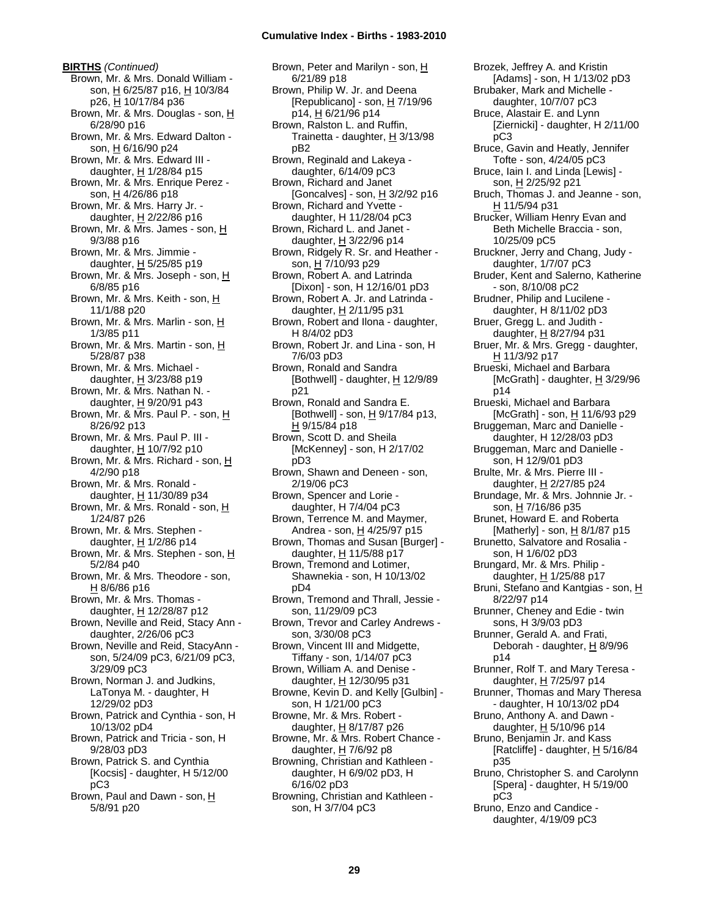**BIRTHS** *(Continued)* Brown, Mr. & Mrs. Donald William son, H 6/25/87 p16, H 10/3/84 p26, H 10/17/84 p36 Brown, Mr. & Mrs. Douglas - son, H 6/28/90 p16 Brown, Mr. & Mrs. Edward Dalton son, H 6/16/90 p24 Brown, Mr. & Mrs. Edward III daughter,  $H$  1/28/84 p15 Brown, Mr. & Mrs. Enrique Perez son, H 4/26/86 p18 Brown, Mr. & Mrs. Harry Jr. daughter,  $H$  2/22/86 p16 Brown, Mr. & Mrs. James - son, H 9/3/88 p16 Brown, Mr. & Mrs. Jimmie daughter,  $H$  5/25/85 p19 Brown, Mr. & Mrs. Joseph - son, H 6/8/85 p16 Brown, Mr. & Mrs. Keith - son, H 11/1/88 p20 Brown, Mr. & Mrs. Marlin - son, H 1/3/85 p11 Brown, Mr. & Mrs. Martin - son, H 5/28/87 p38 Brown, Mr. & Mrs. Michael daughter,  $H$  3/23/88 p19 Brown, Mr. & Mrs. Nathan N. daughter, H 9/20/91 p43 Brown, Mr. & Mrs. Paul P. - son, H 8/26/92 p13 Brown, Mr. & Mrs. Paul P. III daughter,  $H$  10/7/92 p10 Brown, Mr. & Mrs. Richard - son, H 4/2/90 p18 Brown, Mr. & Mrs. Ronald daughter, H 11/30/89 p34 Brown, Mr. & Mrs. Ronald - son, H 1/24/87 p26 Brown, Mr. & Mrs. Stephen daughter,  $H$  1/2/86 p14 Brown, Mr. & Mrs. Stephen - son, H 5/2/84 p40 Brown, Mr. & Mrs. Theodore - son,  $H$  8/6/86 p16 Brown, Mr. & Mrs. Thomas daughter, H 12/28/87 p12 Brown, Neville and Reid, Stacy Ann daughter, 2/26/06 pC3 Brown, Neville and Reid, StacyAnn son, 5/24/09 pC3, 6/21/09 pC3, 3/29/09 pC3 Brown, Norman J. and Judkins, LaTonya M. - daughter, H 12/29/02 pD3 Brown, Patrick and Cynthia - son, H 10/13/02 pD4 Brown, Patrick and Tricia - son, H 9/28/03 pD3 Brown, Patrick S. and Cynthia [Kocsis] - daughter, H 5/12/00 pC3 Brown, Paul and Dawn - son, H 5/8/91 p20

Brown, Peter and Marilyn - son, H 6/21/89 p18 Brown, Philip W. Jr. and Deena [Republicano] - son,  $H$  7/19/96 p14, H 6/21/96 p14 Brown, Ralston L. and Ruffin, Trainetta - daughter,  $H$  3/13/98 pB2 Brown, Reginald and Lakeya daughter, 6/14/09 pC3 Brown, Richard and Janet [Goncalves] - son,  $H$  3/2/92 p16 Brown, Richard and Yvette daughter, H 11/28/04 pC3 Brown, Richard L. and Janet daughter,  $H$  3/22/96 p14 Brown, Ridgely R. Sr. and Heather son, H 7/10/93 p29 Brown, Robert A. and Latrinda [Dixon] - son, H 12/16/01 pD3 Brown, Robert A. Jr. and Latrinda daughter,  $H$  2/11/95 p31 Brown, Robert and Ilona - daughter, H 8/4/02 pD3 Brown, Robert Jr. and Lina - son, H 7/6/03 pD3 Brown, Ronald and Sandra [Bothwell] - daughter,  $H$  12/9/89 p21 Brown, Ronald and Sandra E. [Bothwell] - son,  $\underline{H}$  9/17/84 p13, H 9/15/84 p18 Brown, Scott D. and Sheila [McKenney] - son, H 2/17/02 pD3 Brown, Shawn and Deneen - son, 2/19/06 pC3 Brown, Spencer and Lorie daughter, H 7/4/04 pC3 Brown, Terrence M. and Maymer, Andrea - son, H 4/25/97 p15 Brown, Thomas and Susan [Burger] daughter, H 11/5/88 p17 Brown, Tremond and Lotimer, Shawnekia - son, H 10/13/02 pD4 Brown, Tremond and Thrall, Jessie son, 11/29/09 pC3 Brown, Trevor and Carley Andrews son, 3/30/08 pC3 Brown, Vincent III and Midgette, Tiffany - son, 1/14/07 pC3 Brown, William A. and Denise daughter, H 12/30/95 p31 Browne, Kevin D. and Kelly [Gulbin] son, H 1/21/00 pC3 Browne, Mr. & Mrs. Robert daughter,  $H$  8/17/87 p26 Browne, Mr. & Mrs. Robert Chance daughter,  $H$  7/6/92 p8 Browning, Christian and Kathleen daughter, H 6/9/02 pD3, H 6/16/02 pD3 Browning, Christian and Kathleen son, H 3/7/04 pC3

Brozek, Jeffrey A. and Kristin [Adams] - son, H 1/13/02 pD3 Brubaker, Mark and Michelle daughter, 10/7/07 pC3 Bruce, Alastair E. and Lynn [Ziernicki] - daughter, H 2/11/00 pC3 Bruce, Gavin and Heatly, Jennifer Tofte - son, 4/24/05 pC3 Bruce, Iain I. and Linda [Lewis] son, H 2/25/92 p21 Bruch, Thomas J. and Jeanne - son, H 11/5/94 p31 Brucker, William Henry Evan and Beth Michelle Braccia - son, 10/25/09 pC5 Bruckner, Jerry and Chang, Judy daughter, 1/7/07 pC3 Bruder, Kent and Salerno, Katherine - son, 8/10/08 pC2 Brudner, Philip and Lucilene daughter, H 8/11/02 pD3 Bruer, Gregg L. and Judith daughter, H 8/27/94 p31 Bruer, Mr. & Mrs. Gregg - daughter, H 11/3/92 p17 Brueski, Michael and Barbara [McGrath] - daughter,  $H$  3/29/96 p14 Brueski, Michael and Barbara [McGrath] - son,  $H$  11/6/93 p29 Bruggeman, Marc and Danielle daughter, H 12/28/03 pD3 Bruggeman, Marc and Danielle son, H 12/9/01 pD3 Brulte, Mr. & Mrs. Pierre III daughter, H 2/27/85 p24 Brundage, Mr. & Mrs. Johnnie Jr. son, H 7/16/86 p35 Brunet, Howard E. and Roberta [Matherly] - son,  $H$  8/1/87 p15 Brunetto, Salvatore and Rosalia son, H 1/6/02 pD3 Brungard, Mr. & Mrs. Philip daughter, H 1/25/88 p17 Bruni, Stefano and Kantgias - son, H 8/22/97 p14 Brunner, Cheney and Edie - twin sons, H 3/9/03 pD3 Brunner, Gerald A. and Frati, Deborah - daughter, H 8/9/96 p14 Brunner, Rolf T. and Mary Teresa daughter, H 7/25/97 p14 Brunner, Thomas and Mary Theresa - daughter, H 10/13/02 pD4 Bruno, Anthony A. and Dawn daughter,  $H$  5/10/96 p14 Bruno, Benjamin Jr. and Kass [Ratcliffe] - daughter,  $\underline{H}$  5/16/84 p35 Bruno, Christopher S. and Carolynn [Spera] - daughter, H 5/19/00 pC3 Bruno, Enzo and Candice daughter, 4/19/09 pC3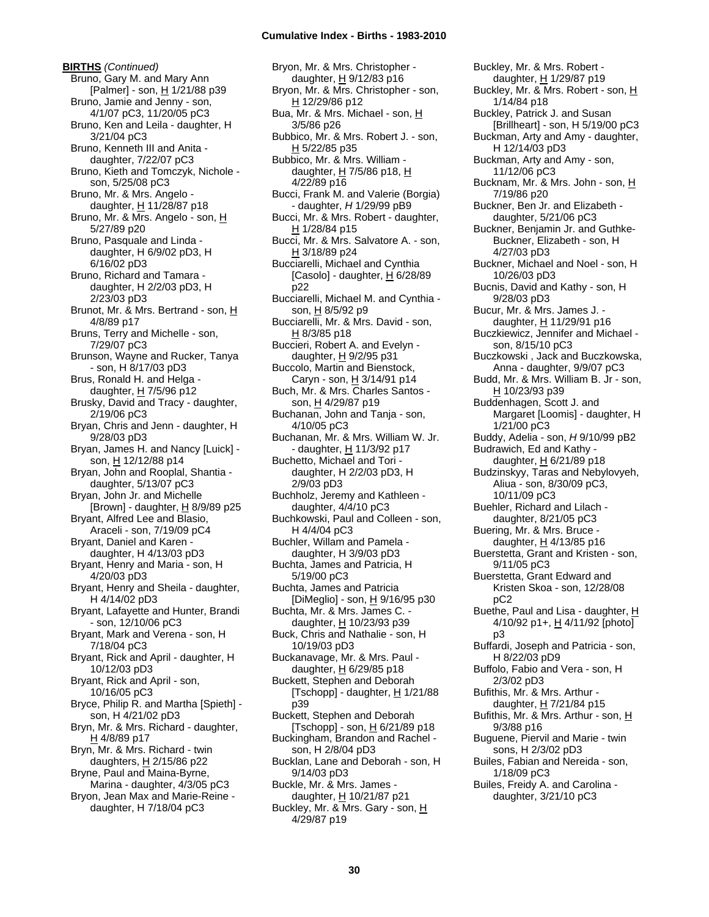**BIRTHS** *(Continued)* Bruno, Gary M. and Mary Ann [Palmer] - son, H 1/21/88 p39 Bruno, Jamie and Jenny - son, 4/1/07 pC3, 11/20/05 pC3 Bruno, Ken and Leila - daughter, H 3/21/04 pC3 Bruno, Kenneth III and Anita daughter, 7/22/07 pC3 Bruno, Kieth and Tomczyk, Nichole son, 5/25/08 pC3 Bruno, Mr. & Mrs. Angelo daughter,  $H$  11/28/87 p18 Bruno, Mr. & Mrs. Angelo - son, H 5/27/89 p20 Bruno, Pasquale and Linda daughter, H 6/9/02 pD3, H 6/16/02 pD3 Bruno, Richard and Tamara daughter, H 2/2/03 pD3, H 2/23/03 pD3 Brunot, Mr. & Mrs. Bertrand - son, H 4/8/89 p17 Bruns, Terry and Michelle - son, 7/29/07 pC3 Brunson, Wayne and Rucker, Tanya - son, H 8/17/03 pD3 Brus, Ronald H. and Helga daughter, H 7/5/96 p12 Brusky, David and Tracy - daughter, 2/19/06 pC3 Bryan, Chris and Jenn - daughter, H 9/28/03 pD3 Bryan, James H. and Nancy [Luick] son, H 12/12/88 p14 Bryan, John and Rooplal, Shantia daughter, 5/13/07 pC3 Bryan, John Jr. and Michelle [Brown] - daughter,  $\underline{H}$  8/9/89 p25 Bryant, Alfred Lee and Blasio, Araceli - son, 7/19/09 pC4 Bryant, Daniel and Karen daughter, H 4/13/03 pD3 Bryant, Henry and Maria - son, H 4/20/03 pD3 Bryant, Henry and Sheila - daughter, H 4/14/02 pD3 Bryant, Lafayette and Hunter, Brandi - son, 12/10/06 pC3 Bryant, Mark and Verena - son, H 7/18/04 pC3 Bryant, Rick and April - daughter, H 10/12/03 pD3 Bryant, Rick and April - son, 10/16/05 pC3 Bryce, Philip R. and Martha [Spieth] son, H 4/21/02 pD3 Bryn, Mr. & Mrs. Richard - daughter, H 4/8/89 p17 Bryn, Mr. & Mrs. Richard - twin daughters,  $H$  2/15/86 p22 Bryne, Paul and Maina-Byrne, Marina - daughter, 4/3/05 pC3 Bryon, Jean Max and Marie-Reine daughter, H 7/18/04 pC3

Bryon, Mr. & Mrs. Christopher daughter, H 9/12/83 p16 Bryon, Mr. & Mrs. Christopher - son, H 12/29/86 p12 Bua, Mr. & Mrs. Michael - son, H 3/5/86 p26 Bubbico, Mr. & Mrs. Robert J. - son, H 5/22/85 p35 Bubbico, Mr. & Mrs. William daughter,  $H$  7/5/86 p18,  $H$ 4/22/89 p16 Bucci, Frank M. and Valerie (Borgia) - daughter, *H* 1/29/99 pB9 Bucci, Mr. & Mrs. Robert - daughter, H 1/28/84 p15 Bucci, Mr. & Mrs. Salvatore A. - son, H 3/18/89 p24 Bucciarelli, Michael and Cynthia [Casolo] - daughter, H 6/28/89 p22 Bucciarelli, Michael M. and Cynthia son, H 8/5/92 p9 Bucciarelli, Mr. & Mrs. David - son, H 8/3/85 p18 Buccieri, Robert A. and Evelyn daughter, H 9/2/95 p31 Buccolo, Martin and Bienstock, Caryn - son, H 3/14/91 p14 Buch, Mr. & Mrs. Charles Santos son, H 4/29/87 p19 Buchanan, John and Tanja - son, 4/10/05 pC3 Buchanan, Mr. & Mrs. William W. Jr. - daughter, H 11/3/92 p17 Buchetto, Michael and Tori daughter, H 2/2/03 pD3, H 2/9/03 pD3 Buchholz, Jeremy and Kathleen daughter, 4/4/10 pC3 Buchkowski, Paul and Colleen - son, H 4/4/04 pC3 Buchler, Willam and Pamela daughter, H 3/9/03 pD3 Buchta, James and Patricia, H 5/19/00 pC3 Buchta, James and Patricia [DiMeglio] - son, H 9/16/95 p30 Buchta, Mr. & Mrs. James C. daughter, H 10/23/93 p39 Buck, Chris and Nathalie - son, H 10/19/03 pD3 Buckanavage, Mr. & Mrs. Paul daughter, H 6/29/85 p18 Buckett, Stephen and Deborah [Tschopp] - daughter,  $H$  1/21/88 p39 Buckett, Stephen and Deborah [Tschopp] - son,  $H$  6/21/89 p18 Buckingham, Brandon and Rachel son, H 2/8/04 pD3 Bucklan, Lane and Deborah - son, H 9/14/03 pD3 Buckle, Mr. & Mrs. James daughter,  $H$  10/21/87 p21 Buckley, Mr. & Mrs. Gary - son, H 4/29/87 p19

Buckley, Mr. & Mrs. Robert daughter, H 1/29/87 p19 Buckley, Mr. & Mrs. Robert - son, H 1/14/84 p18 Buckley, Patrick J. and Susan [Brillheart] - son, H 5/19/00 pC3 Buckman, Arty and Amy - daughter, H 12/14/03 pD3 Buckman, Arty and Amy - son, 11/12/06 pC3 Bucknam, Mr. & Mrs. John - son, H 7/19/86 p20 Buckner, Ben Jr. and Elizabeth daughter, 5/21/06 pC3 Buckner, Benjamin Jr. and Guthke-Buckner, Elizabeth - son, H 4/27/03 pD3 Buckner, Michael and Noel - son, H 10/26/03 pD3 Bucnis, David and Kathy - son, H 9/28/03 pD3 Bucur, Mr. & Mrs. James J. daughter, H 11/29/91 p16 Buczkiewicz, Jennifer and Michael son, 8/15/10 pC3 Buczkowski , Jack and Buczkowska, Anna - daughter, 9/9/07 pC3 Budd, Mr. & Mrs. William B. Jr - son, H 10/23/93 p39 Buddenhagen, Scott J. and Margaret [Loomis] - daughter, H 1/21/00 pC3 Buddy, Adelia - son, *H* 9/10/99 pB2 Budrawich, Ed and Kathy daughter, H 6/21/89 p18 Budzinskyy, Taras and Nebylovyeh, Aliua - son, 8/30/09 pC3, 10/11/09 pC3 Buehler, Richard and Lilach daughter, 8/21/05 pC3 Buering, Mr. & Mrs. Bruce daughter,  $H$  4/13/85 p16 Buerstetta, Grant and Kristen - son, 9/11/05 pC3 Buerstetta, Grant Edward and Kristen Skoa - son, 12/28/08 pC2 Buethe, Paul and Lisa - daughter, H 4/10/92 p1+, H 4/11/92 [photo] p3 Buffardi, Joseph and Patricia - son, H 8/22/03 pD9 Buffolo, Fabio and Vera - son, H 2/3/02 pD3 Bufithis, Mr. & Mrs. Arthur daughter, H 7/21/84 p15 Bufithis, Mr. & Mrs. Arthur - son, H 9/3/88 p16 Buguene, Piervil and Marie - twin sons, H 2/3/02 pD3 Builes, Fabian and Nereida - son, 1/18/09 pC3 Builes, Freidy A. and Carolina daughter, 3/21/10 pC3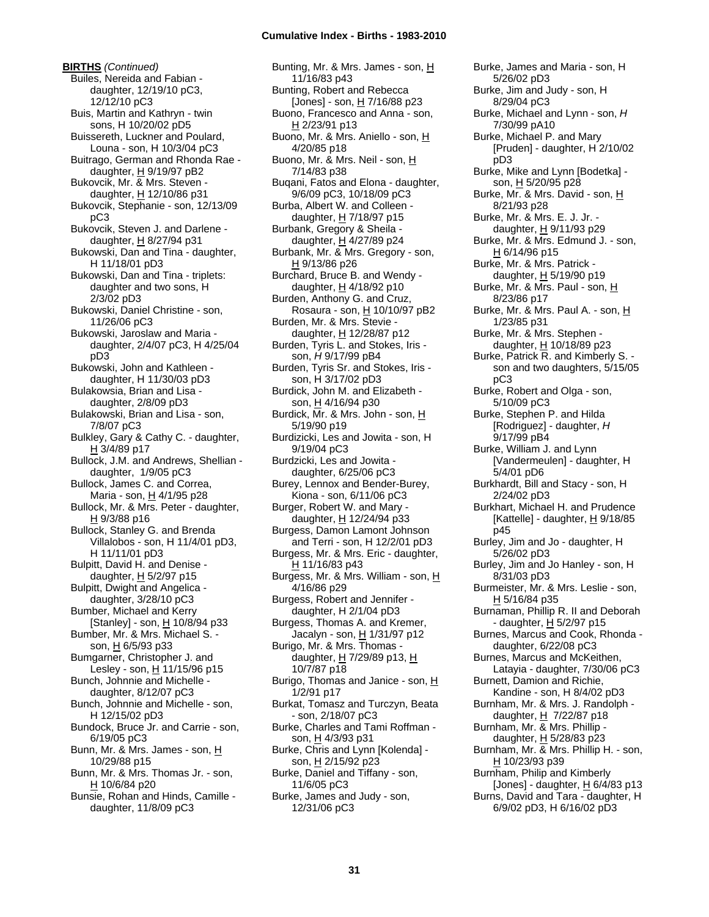**BIRTHS** *(Continued)* Builes, Nereida and Fabian daughter, 12/19/10 pC3, 12/12/10 pC3 Buis, Martin and Kathryn - twin sons, H 10/20/02 pD5 Buissereth, Luckner and Poulard, Louna - son, H 10/3/04 pC3 Buitrago, German and Rhonda Rae daughter,  $H$  9/19/97 pB2 Bukovcik, Mr. & Mrs. Steven daughter,  $H$  12/10/86 p31 Bukovcik, Stephanie - son, 12/13/09 pC3 Bukovcik, Steven J. and Darlene daughter, H 8/27/94 p31 Bukowski, Dan and Tina - daughter, H 11/18/01 pD3 Bukowski, Dan and Tina - triplets: daughter and two sons, H 2/3/02 pD3 Bukowski, Daniel Christine - son, 11/26/06 pC3 Bukowski, Jaroslaw and Maria daughter, 2/4/07 pC3, H 4/25/04 pD3 Bukowski, John and Kathleen daughter, H 11/30/03 pD3 Bulakowsia, Brian and Lisa daughter, 2/8/09 pD3 Bulakowski, Brian and Lisa - son, 7/8/07 pC3 Bulkley, Gary & Cathy C. - daughter, H 3/4/89 p17 Bullock, J.M. and Andrews, Shellian daughter, 1/9/05 pC3 Bullock, James C. and Correa, Maria - son, H 4/1/95 p28 Bullock, Mr. & Mrs. Peter - daughter, H 9/3/88 p16 Bullock, Stanley G. and Brenda Villalobos - son, H 11/4/01 pD3, H 11/11/01 pD3 Bulpitt, David H. and Denise daughter,  $H$  5/2/97 p15 Bulpitt, Dwight and Angelica daughter, 3/28/10 pC3 Bumber, Michael and Kerry [Stanley] - son,  $H$  10/8/94 p33 Bumber, Mr. & Mrs. Michael S. son, H 6/5/93 p33 Bumgarner, Christopher J. and Lesley - son, H 11/15/96 p15 Bunch, Johnnie and Michelle daughter, 8/12/07 pC3 Bunch, Johnnie and Michelle - son, H 12/15/02 pD3 Bundock, Bruce Jr. and Carrie - son, 6/19/05 pC3 Bunn, Mr. & Mrs. James - son, H 10/29/88 p15 Bunn, Mr. & Mrs. Thomas Jr. - son, H 10/6/84 p20 Bunsie, Rohan and Hinds, Camille -

daughter, 11/8/09 pC3

Bunting, Mr. & Mrs. James - son, H 11/16/83 p43 Bunting, Robert and Rebecca [Jones] - son, H 7/16/88 p23 Buono, Francesco and Anna - son, H 2/23/91 p13 Buono, Mr. & Mrs. Aniello - son, H 4/20/85 p18 Buono, Mr. & Mrs. Neil - son, H 7/14/83 p38 Buqani, Fatos and Elona - daughter, 9/6/09 pC3, 10/18/09 pC3 Burba, Albert W. and Colleen daughter, H 7/18/97 p15 Burbank, Gregory & Sheila daughter,  $H$  4/27/89 p24 Burbank, Mr. & Mrs. Gregory - son, H 9/13/86 p26 Burchard, Bruce B. and Wendy daughter, H 4/18/92 p10 Burden, Anthony G. and Cruz, Rosaura - son,  $H$  10/10/97 pB2 Burden, Mr. & Mrs. Stevie daughter, H 12/28/87 p12 Burden, Tyris L. and Stokes, Iris son, *H* 9/17/99 pB4 Burden, Tyris Sr. and Stokes, Iris son, H 3/17/02 pD3 Burdick, John M. and Elizabeth son, H 4/16/94 p30 Burdick, Mr. & Mrs. John - son, H 5/19/90 p19 Burdizicki, Les and Jowita - son, H 9/19/04 pC3 Burdzicki, Les and Jowita daughter, 6/25/06 pC3 Burey, Lennox and Bender-Burey, Kiona - son, 6/11/06 pC3 Burger, Robert W. and Mary daughter,  $H$  12/24/94 p33 Burgess, Damon Lamont Johnson and Terri - son, H 12/2/01 pD3 Burgess, Mr. & Mrs. Eric - daughter, H 11/16/83 p43 Burgess, Mr. & Mrs. William - son, H 4/16/86 p29 Burgess, Robert and Jennifer daughter, H 2/1/04 pD3 Burgess, Thomas A. and Kremer, Jacalyn - son, H 1/31/97 p12 Burigo, Mr. & Mrs. Thomas daughter, H 7/29/89 p13, H 10/7/87 p18 Burigo, Thomas and Janice - son, H 1/2/91 p17 Burkat, Tomasz and Turczyn, Beata - son, 2/18/07 pC3 Burke, Charles and Tami Roffman son, <u>H</u> 4/3/93 p31 Burke, Chris and Lynn [Kolenda] son, H 2/15/92 p23 Burke, Daniel and Tiffany - son, 11/6/05 pC3 Burke, James and Judy - son,

5/26/02 pD3 Burke, Jim and Judy - son, H 8/29/04 pC3 Burke, Michael and Lynn - son, *H* 7/30/99 pA10 Burke, Michael P. and Mary [Pruden] - daughter, H 2/10/02 pD3 Burke, Mike and Lynn [Bodetka] son, H 5/20/95 p28 Burke, Mr. & Mrs. David - son, H 8/21/93 p28 Burke, Mr. & Mrs. E. J. Jr. daughter, H 9/11/93 p29 Burke, Mr. & Mrs. Edmund J. - son, H 6/14/96 p15 Burke, Mr. & Mrs. Patrick daughter, H 5/19/90 p19 Burke, Mr. & Mrs. Paul - son, H 8/23/86 p17 Burke, Mr. & Mrs. Paul A. - son, H 1/23/85 p31 Burke, Mr. & Mrs. Stephen daughter,  $H$  10/18/89 p23 Burke, Patrick R. and Kimberly S. son and two daughters, 5/15/05 pC3 Burke, Robert and Olga - son, 5/10/09 pC3 Burke, Stephen P. and Hilda [Rodriguez] - daughter, *H* 9/17/99 pB4 Burke, William J. and Lynn [Vandermeulen] - daughter, H 5/4/01 pD6 Burkhardt, Bill and Stacy - son, H 2/24/02 pD3 Burkhart, Michael H. and Prudence [Kattelle] - daughter,  $H$  9/18/85 p45 Burley, Jim and Jo - daughter, H 5/26/02 pD3 Burley, Jim and Jo Hanley - son, H 8/31/03 pD3 Burmeister, Mr. & Mrs. Leslie - son, H 5/16/84 p35 Burnaman, Phillip R. II and Deborah - daughter, H 5/2/97 p15 Burnes, Marcus and Cook, Rhonda daughter, 6/22/08 pC3 Burnes, Marcus and McKeithen, Latayia - daughter, 7/30/06 pC3 Burnett, Damion and Richie, Kandine - son, H 8/4/02 pD3 Burnham, Mr. & Mrs. J. Randolph daughter, H 7/22/87 p18 Burnham, Mr. & Mrs. Phillip daughter,  $H$  5/28/83 p23 Burnham, Mr. & Mrs. Phillip H. - son, H 10/23/93 p39 Burnham, Philip and Kimberly [Jones] - daughter, H 6/4/83 p13 Burns, David and Tara - daughter, H 6/9/02 pD3, H 6/16/02 pD3

Burke, James and Maria - son, H

12/31/06 pC3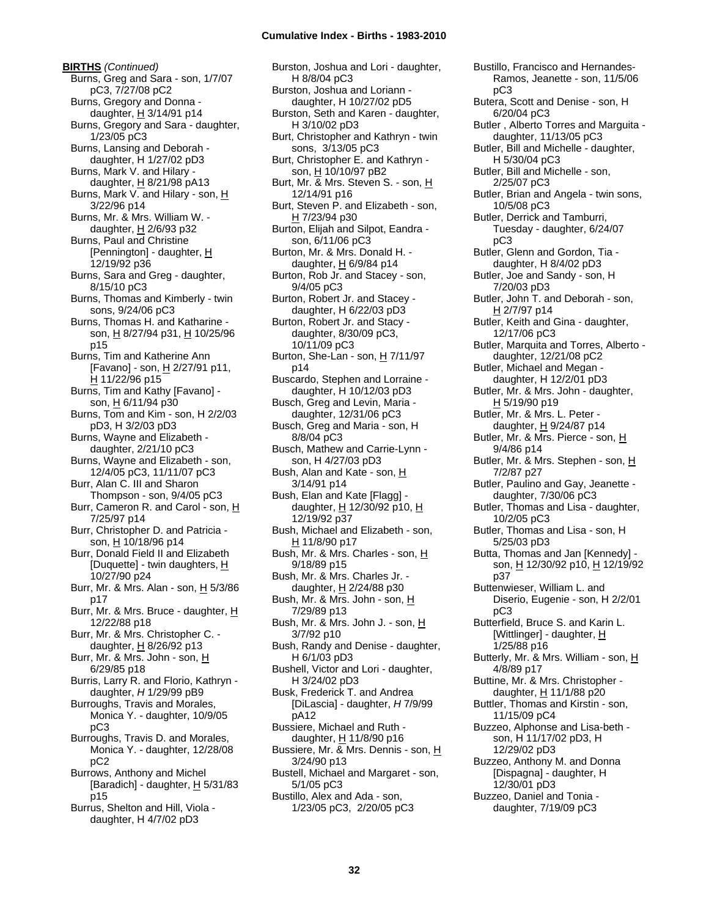**BIRTHS** *(Continued)* Burns, Greg and Sara - son, 1/7/07 pC3, 7/27/08 pC2 Burns, Gregory and Donna daughter, H 3/14/91 p14 Burns, Gregory and Sara - daughter, 1/23/05 pC3 Burns, Lansing and Deborah daughter, H 1/27/02 pD3 Burns, Mark V. and Hilary daughter, H 8/21/98 pA13 Burns, Mark V. and Hilary - son, H 3/22/96 p14 Burns, Mr. & Mrs. William W. daughter,  $H$  2/6/93 p32 Burns, Paul and Christine [Pennington] - daughter, H 12/19/92 p36 Burns, Sara and Greg - daughter, 8/15/10 pC3 Burns, Thomas and Kimberly - twin sons, 9/24/06 pC3 Burns, Thomas H. and Katharine son, H 8/27/94 p31, H 10/25/96 p15 Burns, Tim and Katherine Ann [Favano] - son, H 2/27/91 p11, H 11/22/96 p15 Burns, Tim and Kathy [Favano] son, H 6/11/94 p30 Burns, Tom and Kim - son, H 2/2/03 pD3, H 3/2/03 pD3 Burns, Wayne and Elizabeth daughter, 2/21/10 pC3 Burns, Wayne and Elizabeth - son, 12/4/05 pC3, 11/11/07 pC3 Burr, Alan C. III and Sharon Thompson - son, 9/4/05 pC3 Burr, Cameron R. and Carol - son, H 7/25/97 p14 Burr, Christopher D. and Patricia son, H 10/18/96 p14 Burr, Donald Field II and Elizabeth [Duquette] - twin daughters, H 10/27/90 p24 Burr, Mr. & Mrs. Alan - son, H 5/3/86 p17 Burr, Mr. & Mrs. Bruce - daughter, H 12/22/88 p18 Burr, Mr. & Mrs. Christopher C. daughter,  $H$  8/26/92 p13 Burr, Mr. & Mrs. John - son, H 6/29/85 p18 Burris, Larry R. and Florio, Kathryn daughter, *H* 1/29/99 pB9 Burroughs, Travis and Morales, Monica Y. - daughter, 10/9/05 pC3 Burroughs, Travis D. and Morales, Monica Y. - daughter, 12/28/08 pC2 Burrows, Anthony and Michel [Baradich] - daughter, H 5/31/83 p15 Burrus, Shelton and Hill, Viola daughter, H 4/7/02 pD3

Burston, Joshua and Lori - daughter, H 8/8/04 pC3 Burston, Joshua and Loriann daughter, H 10/27/02 pD5 Burston, Seth and Karen - daughter, H 3/10/02 pD3 Burt, Christopher and Kathryn - twin sons, 3/13/05 pC3 Burt, Christopher E. and Kathryn son, H 10/10/97 pB2 Burt, Mr. & Mrs. Steven S. - son, H 12/14/91 p16 Burt, Steven P. and Elizabeth - son, H 7/23/94 p30 Burton, Elijah and Silpot, Eandra son, 6/11/06 pC3 Burton, Mr. & Mrs. Donald H. daughter,  $H$  6/9/84 p14 Burton, Rob Jr. and Stacey - son, 9/4/05 pC3 Burton, Robert Jr. and Stacey daughter, H 6/22/03 pD3 Burton, Robert Jr. and Stacy daughter, 8/30/09 pC3, 10/11/09 pC3 Burton, She-Lan - son,  $H$  7/11/97 p14 Buscardo, Stephen and Lorraine daughter, H 10/12/03 pD3 Busch, Greg and Levin, Maria daughter, 12/31/06 pC3 Busch, Greg and Maria - son, H 8/8/04 pC3 Busch, Mathew and Carrie-Lynn son, H 4/27/03 pD3 Bush, Alan and Kate - son, H 3/14/91 p14 Bush, Elan and Kate [Flagg] daughter, H 12/30/92 p10, H 12/19/92 p37 Bush, Michael and Elizabeth - son, H 11/8/90 p17 Bush, Mr. & Mrs. Charles - son, H 9/18/89 p15 Bush, Mr. & Mrs. Charles Jr. daughter, H 2/24/88 p30 Bush, Mr. & Mrs. John - son, H 7/29/89 p13 Bush, Mr. & Mrs. John J. - son, H 3/7/92 p10 Bush, Randy and Denise - daughter, H 6/1/03 pD3 Bushell, Victor and Lori - daughter, H 3/24/02 pD3 Busk, Frederick T. and Andrea [DiLascia] - daughter, *H* 7/9/99 pA12 Bussiere, Michael and Ruth daughter, H 11/8/90 p16 Bussiere, Mr. & Mrs. Dennis - son, H 3/24/90 p13 Bustell, Michael and Margaret - son, 5/1/05 pC3 Bustillo, Alex and Ada - son, 1/23/05 pC3, 2/20/05 pC3

Bustillo, Francisco and Hernandes-Ramos, Jeanette - son, 11/5/06 pC3 Butera, Scott and Denise - son, H 6/20/04 pC3 Butler , Alberto Torres and Marguita daughter, 11/13/05 pC3 Butler, Bill and Michelle - daughter, H 5/30/04 pC3 Butler, Bill and Michelle - son, 2/25/07 pC3 Butler, Brian and Angela - twin sons, 10/5/08 pC3 Butler, Derrick and Tamburri, Tuesday - daughter, 6/24/07 pC3 Butler, Glenn and Gordon, Tia daughter, H 8/4/02 pD3 Butler, Joe and Sandy - son, H 7/20/03 pD3 Butler, John T. and Deborah - son, H 2/7/97 p14 Butler, Keith and Gina - daughter, 12/17/06 pC3 Butler, Marquita and Torres, Alberto daughter, 12/21/08 pC2 Butler, Michael and Megan daughter, H 12/2/01 pD3 Butler, Mr. & Mrs. John - daughter, H 5/19/90 p19 Butler, Mr. & Mrs. L. Peter daughter, H 9/24/87 p14 Butler, Mr. & Mrs. Pierce - son, H 9/4/86 p14 Butler, Mr. & Mrs. Stephen - son, H 7/2/87 p27 Butler, Paulino and Gay, Jeanette daughter, 7/30/06 pC3 Butler, Thomas and Lisa - daughter, 10/2/05 pC3 Butler, Thomas and Lisa - son, H 5/25/03 pD3 Butta, Thomas and Jan [Kennedy] son, H 12/30/92 p10, H 12/19/92 p37 Buttenwieser, William L. and Diserio, Eugenie - son, H 2/2/01 pC3 Butterfield, Bruce S. and Karin L. [Wittlinger] - daughter, H 1/25/88 p16 Butterly, Mr. & Mrs. William - son, H 4/8/89 p17 Buttine, Mr. & Mrs. Christopher daughter, H 11/1/88 p20 Buttler, Thomas and Kirstin - son, 11/15/09 pC4 Buzzeo, Alphonse and Lisa-beth son, H 11/17/02 pD3, H 12/29/02 pD3 Buzzeo, Anthony M. and Donna [Dispagna] - daughter, H 12/30/01 pD3 Buzzeo, Daniel and Tonia daughter, 7/19/09 pC3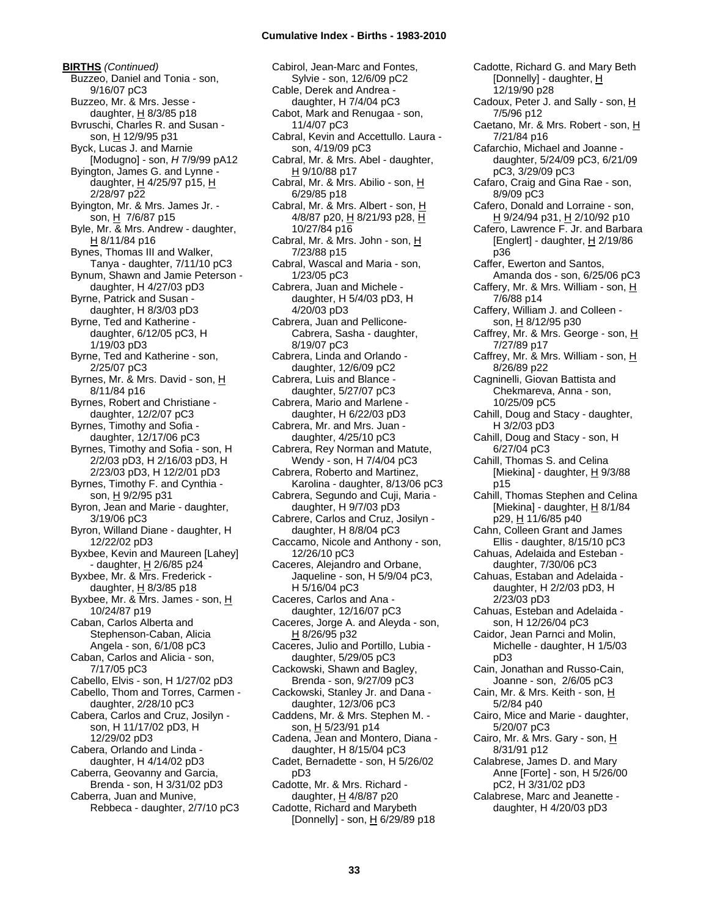**BIRTHS** *(Continued)* Buzzeo, Daniel and Tonia - son, 9/16/07 pC3 Buzzeo, Mr. & Mrs. Jesse daughter, H 8/3/85 p18 Bvruschi, Charles R. and Susan son, H 12/9/95 p31 Byck, Lucas J. and Marnie [Modugno] - son, *H* 7/9/99 pA12 Byington, James G. and Lynne daughter, H 4/25/97 p15, H 2/28/97 p22 Byington, Mr. & Mrs. James Jr. son, H 7/6/87 p15 Byle, Mr. & Mrs. Andrew - daughter,  $H$  8/11/84 p16 Bynes, Thomas III and Walker, Tanya - daughter, 7/11/10 pC3 Bynum, Shawn and Jamie Peterson daughter, H 4/27/03 pD3 Byrne, Patrick and Susan daughter, H 8/3/03 pD3 Byrne, Ted and Katherine daughter, 6/12/05 pC3, H 1/19/03 pD3 Byrne, Ted and Katherine - son, 2/25/07 pC3 Byrnes, Mr. & Mrs. David - son, H 8/11/84 p16 Byrnes, Robert and Christiane daughter, 12/2/07 pC3 Byrnes, Timothy and Sofia daughter, 12/17/06 pC3 Byrnes, Timothy and Sofia - son, H 2/2/03 pD3, H 2/16/03 pD3, H 2/23/03 pD3, H 12/2/01 pD3 Byrnes, Timothy F. and Cynthia son, H 9/2/95 p31 Byron, Jean and Marie - daughter, 3/19/06 pC3 Byron, Willand Diane - daughter, H 12/22/02 pD3 Byxbee, Kevin and Maureen [Lahey] - daughter, H 2/6/85 p24 Byxbee, Mr. & Mrs. Frederick daughter,  $H$  8/3/85 p18 Byxbee, Mr. & Mrs. James - son, H 10/24/87 p19 Caban, Carlos Alberta and Stephenson-Caban, Alicia Angela - son, 6/1/08 pC3 Caban, Carlos and Alicia - son, 7/17/05 pC3 Cabello, Elvis - son, H 1/27/02 pD3 Cabello, Thom and Torres, Carmen daughter, 2/28/10 pC3 Cabera, Carlos and Cruz, Josilyn son, H 11/17/02 pD3, H 12/29/02 pD3 Cabera, Orlando and Linda daughter, H 4/14/02 pD3 Caberra, Geovanny and Garcia, Brenda - son, H 3/31/02 pD3 Caberra, Juan and Munive, Rebbeca - daughter, 2/7/10 pC3

Cabirol, Jean-Marc and Fontes, Sylvie - son, 12/6/09 pC2 Cable, Derek and Andrea daughter, H 7/4/04 pC3 Cabot, Mark and Renugaa - son, 11/4/07 pC3 Cabral, Kevin and Accettullo. Laura son, 4/19/09 pC3 Cabral, Mr. & Mrs. Abel - daughter, H 9/10/88 p17 Cabral, Mr. & Mrs. Abilio - son, H 6/29/85 p18 Cabral, Mr. & Mrs. Albert - son, H 4/8/87 p20, H 8/21/93 p28, H 10/27/84 p16 Cabral, Mr. & Mrs. John - son, H 7/23/88 p15 Cabral, Wascal and Maria - son, 1/23/05 pC3 Cabrera, Juan and Michele daughter, H 5/4/03 pD3, H 4/20/03 pD3 Cabrera, Juan and Pellicone-Cabrera, Sasha - daughter, 8/19/07 pC3 Cabrera, Linda and Orlando daughter, 12/6/09 pC2 Cabrera, Luis and Blance daughter, 5/27/07 pC3 Cabrera, Mario and Marlene daughter, H 6/22/03 pD3 Cabrera, Mr. and Mrs. Juan daughter, 4/25/10 pC3 Cabrera, Rey Norman and Matute, Wendy - son, H 7/4/04 pC3 Cabrera, Roberto and Martinez, Karolina - daughter, 8/13/06 pC3 Cabrera, Segundo and Cuji, Maria daughter, H 9/7/03 pD3 Cabrere, Carlos and Cruz, Josilyn daughter, H 8/8/04 pC3 Caccamo, Nicole and Anthony - son, 12/26/10 pC3 Caceres, Alejandro and Orbane, Jaqueline - son, H 5/9/04 pC3, H 5/16/04 pC3 Caceres, Carlos and Ana daughter, 12/16/07 pC3 Caceres, Jorge A. and Aleyda - son, H 8/26/95 p32 Caceres, Julio and Portillo, Lubia daughter, 5/29/05 pC3 Cackowski, Shawn and Bagley, Brenda - son, 9/27/09 pC3 Cackowski, Stanley Jr. and Dana daughter, 12/3/06 pC3 Caddens, Mr. & Mrs. Stephen M. son, H 5/23/91 p14 Cadena, Jean and Montero, Diana daughter, H 8/15/04 pC3 Cadet, Bernadette - son, H 5/26/02 pD3 Cadotte, Mr. & Mrs. Richard daughter,  $H$  4/8/87 p20 Cadotte, Richard and Marybeth [Donnelly] - son,  $\underline{H}$  6/29/89 p18

Cadotte, Richard G. and Mary Beth [Donnelly] - daughter, H 12/19/90 p28 Cadoux, Peter J. and Sally - son, H 7/5/96 p12 Caetano, Mr. & Mrs. Robert - son, H 7/21/84 p16 Cafarchio, Michael and Joanne daughter, 5/24/09 pC3, 6/21/09 pC3, 3/29/09 pC3 Cafaro, Craig and Gina Rae - son, 8/9/09 pC3 Cafero, Donald and Lorraine - son, H 9/24/94 p31, H 2/10/92 p10 Cafero, Lawrence F. Jr. and Barbara [Englert] - daughter,  $H$  2/19/86 p36 Caffer, Ewerton and Santos, Amanda dos - son, 6/25/06 pC3 Caffery, Mr. & Mrs. William - son, H 7/6/88 p14 Caffery, William J. and Colleen son, H 8/12/95 p30 Caffrey, Mr. & Mrs. George - son, H 7/27/89 p17 Caffrey, Mr. & Mrs. William - son, H 8/26/89 p22 Cagninelli, Giovan Battista and Chekmareva, Anna - son, 10/25/09 pC5 Cahill, Doug and Stacy - daughter, H 3/2/03 pD3 Cahill, Doug and Stacy - son, H 6/27/04 pC3 Cahill, Thomas S. and Celina [Miekina] - daughter,  $H \frac{9}{3}$ 88 p15 Cahill, Thomas Stephen and Celina [Miekina] - daughter,  $H$  8/1/84 p29, H 11/6/85 p40 Cahn, Colleen Grant and James Ellis - daughter, 8/15/10 pC3 Cahuas, Adelaida and Esteban daughter, 7/30/06 pC3 Cahuas, Estaban and Adelaida daughter, H 2/2/03 pD3, H 2/23/03 pD3 Cahuas, Esteban and Adelaida son, H 12/26/04 pC3 Caidor, Jean Parnci and Molin, Michelle - daughter, H 1/5/03 pD3 Cain, Jonathan and Russo-Cain, Joanne - son, 2/6/05 pC3 Cain, Mr. & Mrs. Keith - son, H 5/2/84 p40 Cairo, Mice and Marie - daughter, 5/20/07 pC3 Cairo, Mr. & Mrs. Gary - son, H 8/31/91 p12 Calabrese, James D. and Mary Anne [Forte] - son, H 5/26/00 pC2, H 3/31/02 pD3 Calabrese, Marc and Jeanette daughter, H 4/20/03 pD3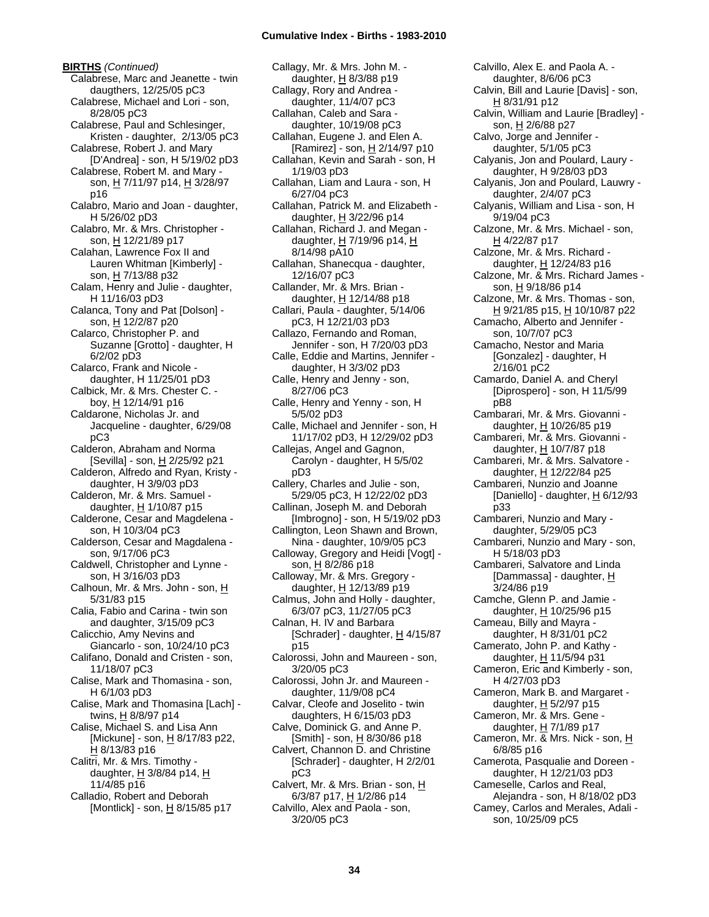**BIRTHS** *(Continued)* Calabrese, Marc and Jeanette - twin daugthers, 12/25/05 pC3 Calabrese, Michael and Lori - son, 8/28/05 pC3 Calabrese, Paul and Schlesinger, Kristen - daughter, 2/13/05 pC3 Calabrese, Robert J. and Mary [D'Andrea] - son, H 5/19/02 pD3 Calabrese, Robert M. and Mary son, H 7/11/97 p14, H 3/28/97 p16 Calabro, Mario and Joan - daughter, H 5/26/02 pD3 Calabro, Mr. & Mrs. Christopher son, H 12/21/89 p17 Calahan, Lawrence Fox II and Lauren Whitman [Kimberly] son, H 7/13/88 p32 Calam, Henry and Julie - daughter, H 11/16/03 pD3 Calanca, Tony and Pat [Dolson] son, H 12/2/87 p20 Calarco, Christopher P. and Suzanne [Grotto] - daughter, H 6/2/02 pD3 Calarco, Frank and Nicole daughter, H 11/25/01 pD3 Calbick, Mr. & Mrs. Chester C. boy, H 12/14/91 p16 Caldarone, Nicholas Jr. and Jacqueline - daughter, 6/29/08 pC3 Calderon, Abraham and Norma [Sevilla] - son, H 2/25/92 p21 Calderon, Alfredo and Ryan, Kristy daughter, H 3/9/03 pD3 Calderon, Mr. & Mrs. Samuel daughter, H 1/10/87 p15 Calderone, Cesar and Magdelena son, H 10/3/04 pC3 Calderson, Cesar and Magdalena son, 9/17/06 pC3 Caldwell, Christopher and Lynne son, H 3/16/03 pD3 Calhoun, Mr. & Mrs. John - son, H 5/31/83 p15 Calia, Fabio and Carina - twin son and daughter, 3/15/09 pC3 Calicchio, Amy Nevins and Giancarlo - son, 10/24/10 pC3 Califano, Donald and Cristen - son, 11/18/07 pC3 Calise, Mark and Thomasina - son, H 6/1/03 pD3 Calise, Mark and Thomasina [Lach] twins, H 8/8/97 p14 Calise, Michael S. and Lisa Ann [Mickune] - son, H 8/17/83 p22, H 8/13/83 p16 Calitri, Mr. & Mrs. Timothy daughter,  $H$  3/8/84 p14,  $H$ 11/4/85 p16 Calladio, Robert and Deborah [Montlick] - son,  $\underline{H}$  8/15/85 p17

Callagy, Mr. & Mrs. John M. daughter, H 8/3/88 p19 Callagy, Rory and Andrea daughter, 11/4/07 pC3 Callahan, Caleb and Sara daughter, 10/19/08 pC3 Callahan, Eugene J. and Elen A. [Ramirez] - son, H 2/14/97 p10 Callahan, Kevin and Sarah - son, H 1/19/03 pD3 Callahan, Liam and Laura - son, H 6/27/04 pC3 Callahan, Patrick M. and Elizabeth daughter, H 3/22/96 p14 Callahan, Richard J. and Megan daughter,  $H$  7/19/96 p14,  $H$ 8/14/98 pA10 Callahan, Shanecqua - daughter, 12/16/07 pC3 Callander, Mr. & Mrs. Brian daughter, H 12/14/88 p18 Callari, Paula - daughter, 5/14/06 pC3, H 12/21/03 pD3 Callazo, Fernando and Roman, Jennifer - son, H 7/20/03 pD3 Calle, Eddie and Martins, Jennifer daughter, H 3/3/02 pD3 Calle, Henry and Jenny - son, 8/27/06 pC3 Calle, Henry and Yenny - son, H 5/5/02 pD3 Calle, Michael and Jennifer - son, H 11/17/02 pD3, H 12/29/02 pD3 Callejas, Angel and Gagnon, Carolyn - daughter, H 5/5/02 pD3 Callery, Charles and Julie - son, 5/29/05 pC3, H 12/22/02 pD3 Callinan, Joseph M. and Deborah [Imbrogno] - son, H 5/19/02 pD3 Callington, Leon Shawn and Brown, Nina - daughter, 10/9/05 pC3 Calloway, Gregory and Heidi [Vogt] son, H 8/2/86 p18 Calloway, Mr. & Mrs. Gregory daughter, H 12/13/89 p19 Calmus, John and Holly - daughter, 6/3/07 pC3, 11/27/05 pC3 Calnan, H. IV and Barbara [Schrader] - daughter,  $H$  4/15/87 p15 Calorossi, John and Maureen - son, 3/20/05 pC3 Calorossi, John Jr. and Maureen daughter, 11/9/08 pC4 Calvar, Cleofe and Joselito - twin daughters, H 6/15/03 pD3 Calve, Dominick G. and Anne P. [Smith] - son, H 8/30/86 p18 Calvert, Channon D. and Christine [Schrader] - daughter, H 2/2/01 pC3 Calvert, Mr. & Mrs. Brian - son, H 6/3/87 p17, H 1/2/86 p14 Calvillo, Alex and Paola - son, 3/20/05 pC3

Calvillo, Alex E. and Paola A. daughter, 8/6/06 pC3 Calvin, Bill and Laurie [Davis] - son, H 8/31/91 p12 Calvin, William and Laurie [Bradley] son, H 2/6/88 p27 Calvo, Jorge and Jennifer daughter, 5/1/05 pC3 Calyanis, Jon and Poulard, Laury daughter, H 9/28/03 pD3 Calyanis, Jon and Poulard, Lauwry daughter, 2/4/07 pC3 Calyanis, William and Lisa - son, H 9/19/04 pC3 Calzone, Mr. & Mrs. Michael - son, H 4/22/87 p17 Calzone, Mr. & Mrs. Richard daughter, H 12/24/83 p16 Calzone, Mr. & Mrs. Richard James son, H 9/18/86 p14 Calzone, Mr. & Mrs. Thomas - son, H 9/21/85 p15, H 10/10/87 p22 Camacho, Alberto and Jennifer son, 10/7/07 pC3 Camacho, Nestor and Maria [Gonzalez] - daughter, H 2/16/01 pC2 Camardo, Daniel A. and Cheryl [Diprospero] - son, H 11/5/99 pB8 Cambarari, Mr. & Mrs. Giovanni daughter, H 10/26/85 p19 Cambareri, Mr. & Mrs. Giovanni daughter, H 10/7/87 p18 Cambareri, Mr. & Mrs. Salvatore daughter, H 12/22/84 p25 Cambareri, Nunzio and Joanne [Daniello] - daughter,  $H$  6/12/93 p33 Cambareri, Nunzio and Mary daughter, 5/29/05 pC3 Cambareri, Nunzio and Mary - son, H 5/18/03 pD3 Cambareri, Salvatore and Linda [Dammassa] - daughter, H 3/24/86 p19 Camche, Glenn P. and Jamie daughter,  $H$  10/25/96 p15 Cameau, Billy and Mayra daughter, H 8/31/01 pC2 Camerato, John P. and Kathy daughter, H 11/5/94 p31 Cameron, Eric and Kimberly - son, H 4/27/03 pD3 Cameron, Mark B. and Margaret daughter,  $H$  5/2/97 p15 Cameron, Mr. & Mrs. Gene daughter,  $H$  7/1/89 p17 Cameron, Mr. & Mrs. Nick - son, H 6/8/85 p16 Camerota, Pasqualie and Doreen daughter, H 12/21/03 pD3 Cameselle, Carlos and Real, Alejandra - son, H 8/18/02 pD3 Camey, Carlos and Merales, Adali son, 10/25/09 pC5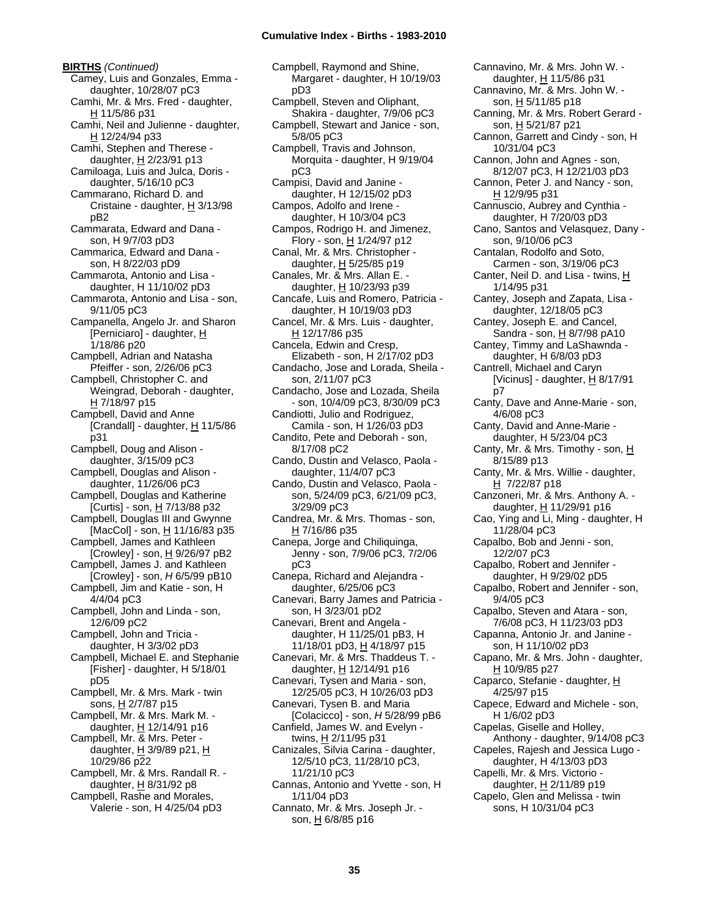**BIRTHS** *(Continued)* Camey, Luis and Gonzales, Emma daughter, 10/28/07 pC3 Camhi, Mr. & Mrs. Fred - daughter, H 11/5/86 p31 Camhi, Neil and Julienne - daughter, H 12/24/94 p33 Camhi, Stephen and Therese daughter,  $H$  2/23/91 p13 Camiloaga, Luis and Julca, Doris daughter, 5/16/10 pC3 Cammarano, Richard D. and Cristaine - daughter,  $H$  3/13/98 pB2 Cammarata, Edward and Dana son, H 9/7/03 pD3 Cammarica, Edward and Dana son, H 8/22/03 pD9 Cammarota, Antonio and Lisa daughter, H 11/10/02 pD3 Cammarota, Antonio and Lisa - son, 9/11/05 pC3 Campanella, Angelo Jr. and Sharon [Perniciaro] - daughter, H 1/18/86 p20 Campbell, Adrian and Natasha Pfeiffer - son, 2/26/06 pC3 Campbell, Christopher C. and Weingrad, Deborah - daughter, H 7/18/97 p15 Campbell, David and Anne [Crandall] - daughter,  $H$  11/5/86 p31 Campbell, Doug and Alison daughter, 3/15/09 pC3 Campbell, Douglas and Alison daughter, 11/26/06 pC3 Campbell, Douglas and Katherine [Curtis] - son, H 7/13/88 p32 Campbell, Douglas III and Gwynne [MacCol] - son, H 11/16/83 p35 Campbell, James and Kathleen [Crowley] - son,  $H$  9/26/97 pB2 Campbell, James J. and Kathleen [Crowley] - son, *H* 6/5/99 pB10 Campbell, Jim and Katie - son, H 4/4/04 pC3 Campbell, John and Linda - son, 12/6/09 pC2 Campbell, John and Tricia daughter, H 3/3/02 pD3 Campbell, Michael E. and Stephanie [Fisher] - daughter, H 5/18/01 pD5 Campbell, Mr. & Mrs. Mark - twin sons, H 2/7/87 p15 Campbell, Mr. & Mrs. Mark M. daughter,  $H$  12/14/91 p16 Campbell, Mr. & Mrs. Peter daughter,  $H$  3/9/89 p21,  $H$ 10/29/86 p22 Campbell, Mr. & Mrs. Randall R. daughter, H 8/31/92 p8 Campbell, Rashe and Morales, Valerie - son, H 4/25/04 pD3

Campbell, Raymond and Shine, Margaret - daughter, H 10/19/03 pD3 Campbell, Steven and Oliphant, Shakira - daughter, 7/9/06 pC3 Campbell, Stewart and Janice - son, 5/8/05 pC3 Campbell, Travis and Johnson, Morquita - daughter, H 9/19/04 pC3 Campisi, David and Janine daughter, H 12/15/02 pD3 Campos, Adolfo and Irene daughter, H 10/3/04 pC3 Campos, Rodrigo H. and Jimenez, Flory - son,  $H$  1/24/97 p12 Canal, Mr. & Mrs. Christopher daughter,  $H$  5/25/85 p19 Canales, Mr. & Mrs. Allan E. daughter, H 10/23/93 p39 Cancafe, Luis and Romero, Patricia daughter, H 10/19/03 pD3 Cancel, Mr. & Mrs. Luis - daughter, H 12/17/86 p35 Cancela, Edwin and Cresp, Elizabeth - son, H 2/17/02 pD3 Candacho, Jose and Lorada, Sheila son, 2/11/07 pC3 Candacho, Jose and Lozada, Sheila - son, 10/4/09 pC3, 8/30/09 pC3 Candiotti, Julio and Rodriguez, Camila - son, H 1/26/03 pD3 Candito, Pete and Deborah - son, 8/17/08 pC2 Cando, Dustin and Velasco, Paola daughter, 11/4/07 pC3 Cando, Dustin and Velasco, Paola son, 5/24/09 pC3, 6/21/09 pC3, 3/29/09 pC3 Candrea, Mr. & Mrs. Thomas - son, H 7/16/86 p35 Canepa, Jorge and Chiliquinga, Jenny - son, 7/9/06 pC3, 7/2/06 pC3 Canepa, Richard and Alejandra daughter, 6/25/06 pC3 Canevari, Barry James and Patricia son, H 3/23/01 pD2 Canevari, Brent and Angela daughter, H 11/25/01 pB3, H 11/18/01 pD3, H 4/18/97 p15 Canevari, Mr. & Mrs. Thaddeus T. daughter, H 12/14/91 p16 Canevari, Tysen and Maria - son, 12/25/05 pC3, H 10/26/03 pD3 Canevari, Tysen B. and Maria [Colacicco] - son, *H* 5/28/99 pB6 Canfield, James W. and Evelyn twins, <u>H</u> 2/11/95 p31 Canizales, Silvia Carina - daughter, 12/5/10 pC3, 11/28/10 pC3, 11/21/10 pC3 Cannas, Antonio and Yvette - son, H 1/11/04 pD3 Cannato, Mr. & Mrs. Joseph Jr. son, H 6/8/85 p16

Cannavino, Mr. & Mrs. John W. daughter, H 11/5/86 p31 Cannavino, Mr. & Mrs. John W. son, H 5/11/85 p18 Canning, Mr. & Mrs. Robert Gerard son, H 5/21/87 p21 Cannon, Garrett and Cindy - son, H 10/31/04 pC3 Cannon, John and Agnes - son, 8/12/07 pC3, H 12/21/03 pD3 Cannon, Peter J. and Nancy - son, H 12/9/95 p31 Cannuscio, Aubrey and Cynthia daughter, H 7/20/03 pD3 Cano, Santos and Velasquez, Dany son, 9/10/06 pC3 Cantalan, Rodolfo and Soto, Carmen - son, 3/19/06 pC3 Canter, Neil D. and Lisa - twins, H 1/14/95 p31 Cantey, Joseph and Zapata, Lisa daughter, 12/18/05 pC3 Cantey, Joseph E. and Cancel, Sandra - son, H 8/7/98 pA10 Cantey, Timmy and LaShawnda daughter, H 6/8/03 pD3 Cantrell, Michael and Caryn [Vicinus] - daughter,  $H$  8/17/91 p7 Canty, Dave and Anne-Marie - son, 4/6/08 pC3 Canty, David and Anne-Marie daughter, H 5/23/04 pC3 Canty, Mr. & Mrs. Timothy - son, H 8/15/89 p13 Canty, Mr. & Mrs. Willie - daughter, H 7/22/87 p18 Canzoneri, Mr. & Mrs. Anthony A. daughter, H 11/29/91 p16 Cao, Ying and Li, Ming - daughter, H 11/28/04 pC3 Capalbo, Bob and Jenni - son, 12/2/07 pC3 Capalbo, Robert and Jennifer daughter, H 9/29/02 pD5 Capalbo, Robert and Jennifer - son, 9/4/05 pC3 Capalbo, Steven and Atara - son, 7/6/08 pC3, H 11/23/03 pD3 Capanna, Antonio Jr. and Janine son, H 11/10/02 pD3 Capano, Mr. & Mrs. John - daughter, H 10/9/85 p27 Caparco, Stefanie - daughter, H 4/25/97 p15 Capece, Edward and Michele - son, H 1/6/02 pD3 Capelas, Giselle and Holley, Anthony - daughter, 9/14/08 pC3 Capeles, Rajesh and Jessica Lugo daughter, H 4/13/03 pD3 Capelli, Mr. & Mrs. Victorio daughter, H 2/11/89 p19 Capelo, Glen and Melissa - twin sons, H 10/31/04 pC3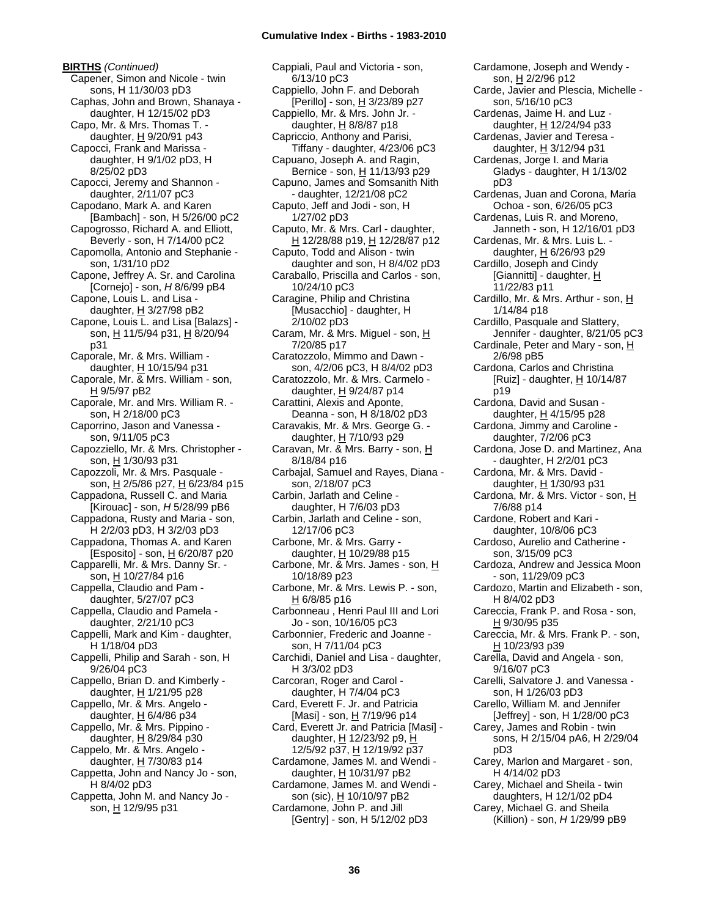**BIRTHS** *(Continued)* Capener, Simon and Nicole - twin sons, H 11/30/03 pD3 Caphas, John and Brown, Shanaya daughter, H 12/15/02 pD3 Capo, Mr. & Mrs. Thomas T. daughter,  $H$  9/20/91 p43 Capocci, Frank and Marissa daughter, H 9/1/02 pD3, H 8/25/02 pD3 Capocci, Jeremy and Shannon daughter, 2/11/07 pC3 Capodano, Mark A. and Karen [Bambach] - son, H 5/26/00 pC2 Capogrosso, Richard A. and Elliott, Beverly - son, H 7/14/00 pC2 Capomolla, Antonio and Stephanie son, 1/31/10 pD2 Capone, Jeffrey A. Sr. and Carolina [Cornejo] - son, *H* 8/6/99 pB4 Capone, Louis L. and Lisa daughter,  $H$  3/27/98 pB2 Capone, Louis L. and Lisa [Balazs] son, H 11/5/94 p31, H 8/20/94 p31 Caporale, Mr. & Mrs. William daughter,  $H$  10/15/94 p31 Caporale, Mr. & Mrs. William - son, H 9/5/97 pB2 Caporale, Mr. and Mrs. William R. son, H 2/18/00 pC3 Caporrino, Jason and Vanessa son, 9/11/05 pC3 Capozziello, Mr. & Mrs. Christopher son, H 1/30/93 p31 Capozzoli, Mr. & Mrs. Pasquale son, H 2/5/86 p27, H 6/23/84 p15 Cappadona, Russell C. and Maria [Kirouac] - son, *H* 5/28/99 pB6 Cappadona, Rusty and Maria - son, H 2/2/03 pD3, H 3/2/03 pD3 Cappadona, Thomas A. and Karen [Esposito] - son,  $H$  6/20/87 p20 Capparelli, Mr. & Mrs. Danny Sr. son, H 10/27/84 p16 Cappella, Claudio and Pam daughter, 5/27/07 pC3 Cappella, Claudio and Pamela daughter, 2/21/10 pC3 Cappelli, Mark and Kim - daughter, H 1/18/04 pD3 Cappelli, Philip and Sarah - son, H 9/26/04 pC3 Cappello, Brian D. and Kimberly daughter, H 1/21/95 p28 Cappello, Mr. & Mrs. Angelo daughter,  $H$  6/4/86 p34 Cappello, Mr. & Mrs. Pippino daughter, H 8/29/84 p30 Cappelo, Mr. & Mrs. Angelo daughter,  $H$  7/30/83 p14 Cappetta, John and Nancy Jo - son, H 8/4/02 pD3 Cappetta, John M. and Nancy Jo son, H 12/9/95 p31

Cappiali, Paul and Victoria - son, 6/13/10 pC3 Cappiello, John F. and Deborah [Perillo] - son, H 3/23/89 p27 Cappiello, Mr. & Mrs. John Jr. daughter, H 8/8/87 p18 Capriccio, Anthony and Parisi, Tiffany - daughter, 4/23/06 pC3 Capuano, Joseph A. and Ragin, Bernice - son, H 11/13/93 p29 Capuno, James and Somsanith Nith - daughter, 12/21/08 pC2 Caputo, Jeff and Jodi - son, H 1/27/02 pD3 Caputo, Mr. & Mrs. Carl - daughter, H 12/28/88 p19, H 12/28/87 p12 Caputo, Todd and Alison - twin daughter and son, H 8/4/02 pD3 Caraballo, Priscilla and Carlos - son, 10/24/10 pC3 Caragine, Philip and Christina [Musacchio] - daughter, H 2/10/02 pD3 Caram, Mr. & Mrs. Miguel - son, H 7/20/85 p17 Caratozzolo, Mimmo and Dawn son, 4/2/06 pC3, H 8/4/02 pD3 Caratozzolo, Mr. & Mrs. Carmelo daughter, H 9/24/87 p14 Carattini, Alexis and Aponte, Deanna - son, H 8/18/02 pD3 Caravakis, Mr. & Mrs. George G. daughter,  $H$  7/10/93 p29 Caravan, Mr. & Mrs. Barry - son, H 8/18/84 p16 Carbajal, Samuel and Rayes, Diana son, 2/18/07 pC3 Carbin, Jarlath and Celine daughter, H 7/6/03 pD3 Carbin, Jarlath and Celine - son, 12/17/06 pC3 Carbone, Mr. & Mrs. Garry daughter,  $H$  10/29/88 p15 Carbone, Mr. & Mrs. James - son, H 10/18/89 p23 Carbone, Mr. & Mrs. Lewis P. - son, H 6/8/85 p16 Carbonneau , Henri Paul III and Lori Jo - son, 10/16/05 pC3 Carbonnier, Frederic and Joanne son, H 7/11/04 pC3 Carchidi, Daniel and Lisa - daughter, H 3/3/02 pD3 Carcoran, Roger and Carol daughter, H 7/4/04 pC3 Card, Everett F. Jr. and Patricia [Masi] - son, H 7/19/96 p14 Card, Everett Jr. and Patricia [Masi] daughter, H 12/23/92 p9, H 12/5/92 p37, H 12/19/92 p37 Cardamone, James M. and Wendi daughter, H 10/31/97 pB2 Cardamone, James M. and Wendi son (sic), H 10/10/97 pB2 Cardamone, John P. and Jill [Gentry] - son, H 5/12/02 pD3

Cardamone, Joseph and Wendy son, H 2/2/96 p12 Carde, Javier and Plescia, Michelle son, 5/16/10 pC3 Cardenas, Jaime H. and Luz daughter, H 12/24/94 p33 Cardenas, Javier and Teresa daughter, H 3/12/94 p31 Cardenas, Jorge I. and Maria Gladys - daughter, H 1/13/02 pD3 Cardenas, Juan and Corona, Maria Ochoa - son, 6/26/05 pC3 Cardenas, Luis R. and Moreno, Janneth - son, H 12/16/01 pD3 Cardenas, Mr. & Mrs. Luis L. daughter, H 6/26/93 p29 Cardillo, Joseph and Cindy [Giannitti] - daughter, H 11/22/83 p11 Cardillo, Mr. & Mrs. Arthur - son,  $H$ 1/14/84 p18 Cardillo, Pasquale and Slattery, Jennifer - daughter, 8/21/05 pC3 Cardinale, Peter and Mary - son, H 2/6/98 pB5 Cardona, Carlos and Christina [Ruiz] - daughter, H 10/14/87 p19 Cardona, David and Susan daughter, H 4/15/95 p28 Cardona, Jimmy and Caroline daughter, 7/2/06 pC3 Cardona, Jose D. and Martinez, Ana - daughter, H 2/2/01 pC3 Cardona, Mr. & Mrs. David daughter, H 1/30/93 p31 Cardona, Mr. & Mrs. Victor - son, H 7/6/88 p14 Cardone, Robert and Kari daughter, 10/8/06 pC3 Cardoso, Aurelio and Catherine son, 3/15/09 pC3 Cardoza, Andrew and Jessica Moon - son, 11/29/09 pC3 Cardozo, Martin and Elizabeth - son, H 8/4/02 pD3 Careccia, Frank P. and Rosa - son, H 9/30/95 p35 Careccia, Mr. & Mrs. Frank P. - son, H 10/23/93 p39 Carella, David and Angela - son, 9/16/07 pC3 Carelli, Salvatore J. and Vanessa son, H 1/26/03 pD3 Carello, William M. and Jennifer [Jeffrey] - son, H 1/28/00 pC3 Carey, James and Robin - twin sons, H 2/15/04 pA6, H 2/29/04 pD3 Carey, Marlon and Margaret - son, H 4/14/02 pD3 Carey, Michael and Sheila - twin daughters, H 12/1/02 pD4 Carey, Michael G. and Sheila (Killion) - son, *H* 1/29/99 pB9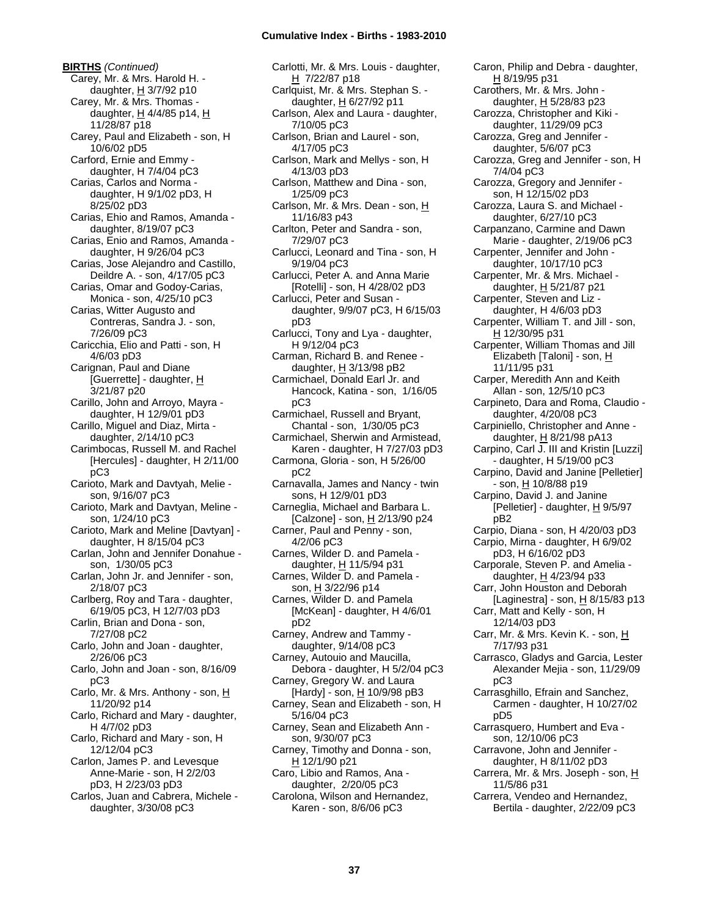**BIRTHS** *(Continued)* Carey, Mr. & Mrs. Harold H. daughter,  $H$  3/7/92 p10 Carey, Mr. & Mrs. Thomas daughter,  $H$  4/4/85 p14,  $H$ 11/28/87 p18 Carey, Paul and Elizabeth - son, H 10/6/02 pD5 Carford, Ernie and Emmy daughter, H 7/4/04 pC3 Carias, Carlos and Norma daughter, H 9/1/02 pD3, H 8/25/02 pD3 Carias, Ehio and Ramos, Amanda daughter, 8/19/07 pC3 Carias, Enio and Ramos, Amanda daughter, H 9/26/04 pC3 Carias, Jose Alejandro and Castillo, Deildre A. - son, 4/17/05 pC3 Carias, Omar and Godoy-Carias, Monica - son, 4/25/10 pC3 Carias, Witter Augusto and Contreras, Sandra J. - son, 7/26/09 pC3 Caricchia, Elio and Patti - son, H 4/6/03 pD3 Carignan, Paul and Diane [Guerrette] - daughter, H 3/21/87 p20 Carillo, John and Arroyo, Mayra daughter, H 12/9/01 pD3 Carillo, Miguel and Diaz, Mirta daughter, 2/14/10 pC3 Carimbocas, Russell M. and Rachel [Hercules] - daughter, H 2/11/00 pC3 Carioto, Mark and Davtyah, Melie son, 9/16/07 pC3 Carioto, Mark and Davtyan, Meline son, 1/24/10 pC3 Carioto, Mark and Meline [Davtyan] daughter, H 8/15/04 pC3 Carlan, John and Jennifer Donahue son, 1/30/05 pC3 Carlan, John Jr. and Jennifer - son, 2/18/07 pC3 Carlberg, Roy and Tara - daughter, 6/19/05 pC3, H 12/7/03 pD3 Carlin, Brian and Dona - son, 7/27/08 pC2 Carlo, John and Joan - daughter, 2/26/06 pC3 Carlo, John and Joan - son, 8/16/09 pC3 Carlo, Mr. & Mrs. Anthony - son, H 11/20/92 p14 Carlo, Richard and Mary - daughter, H 4/7/02 pD3 Carlo, Richard and Mary - son, H 12/12/04 pC3 Carlon, James P. and Levesque Anne-Marie - son, H 2/2/03 pD3, H 2/23/03 pD3 Carlos, Juan and Cabrera, Michele daughter, 3/30/08 pC3

Carlotti, Mr. & Mrs. Louis - daughter, H 7/22/87 p18 Carlquist, Mr. & Mrs. Stephan S. daughter, H 6/27/92 p11 Carlson, Alex and Laura - daughter, 7/10/05 pC3 Carlson, Brian and Laurel - son, 4/17/05 pC3 Carlson, Mark and Mellys - son, H 4/13/03 pD3 Carlson, Matthew and Dina - son, 1/25/09 pC3 Carlson, Mr. & Mrs. Dean - son, H 11/16/83 p43 Carlton, Peter and Sandra - son, 7/29/07 pC3 Carlucci, Leonard and Tina - son, H 9/19/04 pC3 Carlucci, Peter A. and Anna Marie [Rotelli] - son, H 4/28/02 pD3 Carlucci, Peter and Susan daughter, 9/9/07 pC3, H 6/15/03 pD3 Carlucci, Tony and Lya - daughter, H 9/12/04 pC3 Carman, Richard B. and Renee daughter,  $H$  3/13/98 pB2 Carmichael, Donald Earl Jr. and Hancock, Katina - son, 1/16/05 pC3 Carmichael, Russell and Bryant, Chantal - son, 1/30/05 pC3 Carmichael, Sherwin and Armistead, Karen - daughter, H 7/27/03 pD3 Carmona, Gloria - son, H 5/26/00 pC2 Carnavalla, James and Nancy - twin sons, H 12/9/01 pD3 Carneglia, Michael and Barbara L. [Calzone] - son,  $H$  2/13/90 p24 Carner, Paul and Penny - son, 4/2/06 pC3 Carnes, Wilder D. and Pamela daughter, H 11/5/94 p31 Carnes, Wilder D. and Pamela son, H 3/22/96 p14 Carnes, Wilder D. and Pamela [McKean] - daughter, H 4/6/01 pD2 Carney, Andrew and Tammy daughter, 9/14/08 pC3 Carney, Autouio and Maucilla, Debora - daughter, H 5/2/04 pC3 Carney, Gregory W. and Laura [Hardy] - son, H 10/9/98 pB3 Carney, Sean and Elizabeth - son, H 5/16/04 pC3 Carney, Sean and Elizabeth Ann son, 9/30/07 pC3 Carney, Timothy and Donna - son, H 12/1/90 p21 Caro, Libio and Ramos, Ana daughter, 2/20/05 pC3 Carolona, Wilson and Hernandez, Karen - son, 8/6/06 pC3

Caron, Philip and Debra - daughter, H 8/19/95 p31 Carothers, Mr. & Mrs. John daughter,  $H$  5/28/83 p23 Carozza, Christopher and Kiki daughter, 11/29/09 pC3 Carozza, Greg and Jennifer daughter, 5/6/07 pC3 Carozza, Greg and Jennifer - son, H 7/4/04 pC3 Carozza, Gregory and Jennifer son, H 12/15/02 pD3 Carozza, Laura S. and Michael daughter, 6/27/10 pC3 Carpanzano, Carmine and Dawn Marie - daughter, 2/19/06 pC3 Carpenter, Jennifer and John daughter, 10/17/10 pC3 Carpenter, Mr. & Mrs. Michael daughter, H 5/21/87 p21 Carpenter, Steven and Liz daughter, H 4/6/03 pD3 Carpenter, William T. and Jill - son, H 12/30/95 p31 Carpenter, William Thomas and Jill Elizabeth [Taloni] - son, H 11/11/95 p31 Carper, Meredith Ann and Keith Allan - son, 12/5/10 pC3 Carpineto, Dara and Roma, Claudio daughter, 4/20/08 pC3 Carpiniello, Christopher and Anne daughter, H 8/21/98 pA13 Carpino, Carl J. III and Kristin [Luzzi] - daughter, H 5/19/00 pC3 Carpino, David and Janine [Pelletier] - son, H 10/8/88 p19 Carpino, David J. and Janine [Pelletier] - daughter, H 9/5/97 pB2 Carpio, Diana - son, H 4/20/03 pD3 Carpio, Mirna - daughter, H 6/9/02 pD3, H 6/16/02 pD3 Carporale, Steven P. and Amelia daughter, H 4/23/94 p33 Carr, John Houston and Deborah [Laginestra] - son,  $\underline{H}$  8/15/83 p13 Carr, Matt and Kelly - son, H 12/14/03 pD3 Carr, Mr. & Mrs. Kevin K. - son, H 7/17/93 p31 Carrasco, Gladys and Garcia, Lester Alexander Mejia - son, 11/29/09 pC3 Carrasghillo, Efrain and Sanchez, Carmen - daughter, H 10/27/02 pD5 Carrasquero, Humbert and Eva son, 12/10/06 pC3 Carravone, John and Jennifer daughter, H 8/11/02 pD3 Carrera, Mr. & Mrs. Joseph - son, H 11/5/86 p31 Carrera, Vendeo and Hernandez, Bertila - daughter, 2/22/09 pC3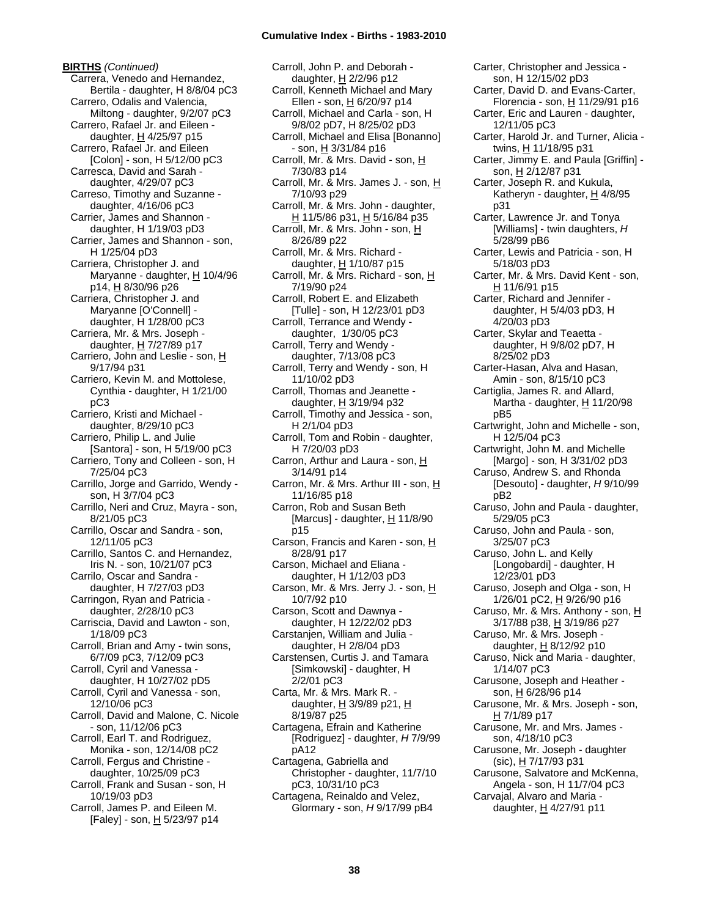**BIRTHS** *(Continued)* Carrera, Venedo and Hernandez, Bertila - daughter, H 8/8/04 pC3 Carrero, Odalis and Valencia, Miltong - daughter, 9/2/07 pC3 Carrero, Rafael Jr. and Eileen daughter,  $H$  4/25/97 p15 Carrero, Rafael Jr. and Eileen [Colon] - son, H 5/12/00 pC3 Carresca, David and Sarah daughter, 4/29/07 pC3 Carreso, Timothy and Suzanne daughter, 4/16/06 pC3 Carrier, James and Shannon daughter, H 1/19/03 pD3 Carrier, James and Shannon - son, H 1/25/04 pD3 Carriera, Christopher J. and Maryanne - daughter, H 10/4/96 p14, H 8/30/96 p26 Carriera, Christopher J. and Maryanne [O'Connell] daughter, H 1/28/00 pC3 Carriera, Mr. & Mrs. Joseph daughter, H 7/27/89 p17 Carriero, John and Leslie - son, H 9/17/94 p31 Carriero, Kevin M. and Mottolese, Cynthia - daughter, H 1/21/00 pC3 Carriero, Kristi and Michael daughter, 8/29/10 pC3 Carriero, Philip L. and Julie [Santora] - son, H 5/19/00 pC3 Carriero, Tony and Colleen - son, H 7/25/04 pC3 Carrillo, Jorge and Garrido, Wendy son, H 3/7/04 pC3 Carrillo, Neri and Cruz, Mayra - son, 8/21/05 pC3 Carrillo, Oscar and Sandra - son, 12/11/05 pC3 Carrillo, Santos C. and Hernandez, Iris N. - son, 10/21/07 pC3 Carrilo, Oscar and Sandra daughter, H 7/27/03 pD3 Carringon, Ryan and Patricia daughter, 2/28/10 pC3 Carriscia, David and Lawton - son, 1/18/09 pC3 Carroll, Brian and Amy - twin sons, 6/7/09 pC3, 7/12/09 pC3 Carroll, Cyril and Vanessa daughter, H 10/27/02 pD5 Carroll, Cyril and Vanessa - son, 12/10/06 pC3 Carroll, David and Malone, C. Nicole - son, 11/12/06 pC3 Carroll, Earl T. and Rodriguez, Monika - son, 12/14/08 pC2 Carroll, Fergus and Christine daughter, 10/25/09 pC3 Carroll, Frank and Susan - son, H 10/19/03 pD3 Carroll, James P. and Eileen M. [Faley] - son, H 5/23/97 p14

Carroll, John P. and Deborah daughter, H 2/2/96 p12 Carroll, Kenneth Michael and Mary Ellen - son, H 6/20/97 p14 Carroll, Michael and Carla - son, H 9/8/02 pD7, H 8/25/02 pD3 Carroll, Michael and Elisa [Bonanno] - son, H 3/31/84 p16 Carroll, Mr. & Mrs. David - son, H 7/30/83 p14 Carroll, Mr. & Mrs. James J. - son, H 7/10/93 p29 Carroll, Mr. & Mrs. John - daughter, H 11/5/86 p31, H 5/16/84 p35 Carroll, Mr. & Mrs. John - son, H 8/26/89 p22 Carroll, Mr. & Mrs. Richard daughter,  $H$  1/10/87 p15 Carroll, Mr. & Mrs. Richard - son, H 7/19/90 p24 Carroll, Robert E. and Elizabeth [Tulle] - son, H 12/23/01 pD3 Carroll, Terrance and Wendy daughter, 1/30/05 pC3 Carroll, Terry and Wendy daughter, 7/13/08 pC3 Carroll, Terry and Wendy - son, H 11/10/02 pD3 Carroll, Thomas and Jeanette daughter, H 3/19/94 p32 Carroll, Timothy and Jessica - son, H 2/1/04 pD3 Carroll, Tom and Robin - daughter, H 7/20/03 pD3 Carron, Arthur and Laura - son, H 3/14/91 p14 Carron, Mr. & Mrs. Arthur III - son, H 11/16/85 p18 Carron, Rob and Susan Beth [Marcus] - daughter,  $H$  11/8/90 p15 Carson, Francis and Karen - son, H 8/28/91 p17 Carson, Michael and Eliana daughter, H 1/12/03 pD3 Carson, Mr. & Mrs. Jerry J. - son, H 10/7/92 p10 Carson, Scott and Dawnya daughter, H 12/22/02 pD3 Carstanjen, William and Julia daughter, H 2/8/04 pD3 Carstensen, Curtis J. and Tamara [Simkowski] - daughter, H 2/2/01 pC3 Carta, Mr. & Mrs. Mark R. daughter,  $H$  3/9/89 p21,  $H$ 8/19/87 p25 Cartagena, Efrain and Katherine [Rodriguez] - daughter, *H* 7/9/99 pA12 Cartagena, Gabriella and Christopher - daughter, 11/7/10 pC3, 10/31/10 pC3 Cartagena, Reinaldo and Velez, Glormary - son, *H* 9/17/99 pB4

son, H 12/15/02 pD3 Carter, David D. and Evans-Carter, Florencia - son, H 11/29/91 p16 Carter, Eric and Lauren - daughter, 12/11/05 pC3 Carter, Harold Jr. and Turner, Alicia twins, H 11/18/95 p31 Carter, Jimmy E. and Paula [Griffin] son, H 2/12/87 p31 Carter, Joseph R. and Kukula, Katheryn - daughter,  $H$  4/8/95 p31 Carter, Lawrence Jr. and Tonya [Williams] - twin daughters, *H* 5/28/99 pB6 Carter, Lewis and Patricia - son, H 5/18/03 pD3 Carter, Mr. & Mrs. David Kent - son, H 11/6/91 p15 Carter, Richard and Jennifer daughter, H 5/4/03 pD3, H 4/20/03 pD3 Carter, Skylar and Teaetta daughter, H 9/8/02 pD7, H 8/25/02 pD3 Carter-Hasan, Alva and Hasan, Amin - son, 8/15/10 pC3 Cartiglia, James R. and Allard, Martha - daughter, H 11/20/98 pB5 Cartwright, John and Michelle - son, H 12/5/04 pC3 Cartwright, John M. and Michelle [Margo] - son, H 3/31/02 pD3 Caruso, Andrew S. and Rhonda [Desouto] - daughter, *H* 9/10/99 pB2 Caruso, John and Paula - daughter, 5/29/05 pC3 Caruso, John and Paula - son, 3/25/07 pC3 Caruso, John L. and Kelly [Longobardi] - daughter, H 12/23/01 pD3 Caruso, Joseph and Olga - son, H 1/26/01 pC2, H 9/26/90 p16 Caruso, Mr. & Mrs. Anthony - son, H 3/17/88 p38, H 3/19/86 p27 Caruso, Mr. & Mrs. Joseph daughter,  $H$  8/12/92 p10 Caruso, Nick and Maria - daughter, 1/14/07 pC3 Carusone, Joseph and Heather son, H 6/28/96 p14 Carusone, Mr. & Mrs. Joseph - son, H 7/1/89 p17 Carusone, Mr. and Mrs. James son, 4/18/10 pC3 Carusone, Mr. Joseph - daughter (sic), H 7/17/93 p31 Carusone, Salvatore and McKenna, Angela - son, H 11/7/04 pC3 Carvajal, Alvaro and Maria daughter, H 4/27/91 p11

Carter, Christopher and Jessica -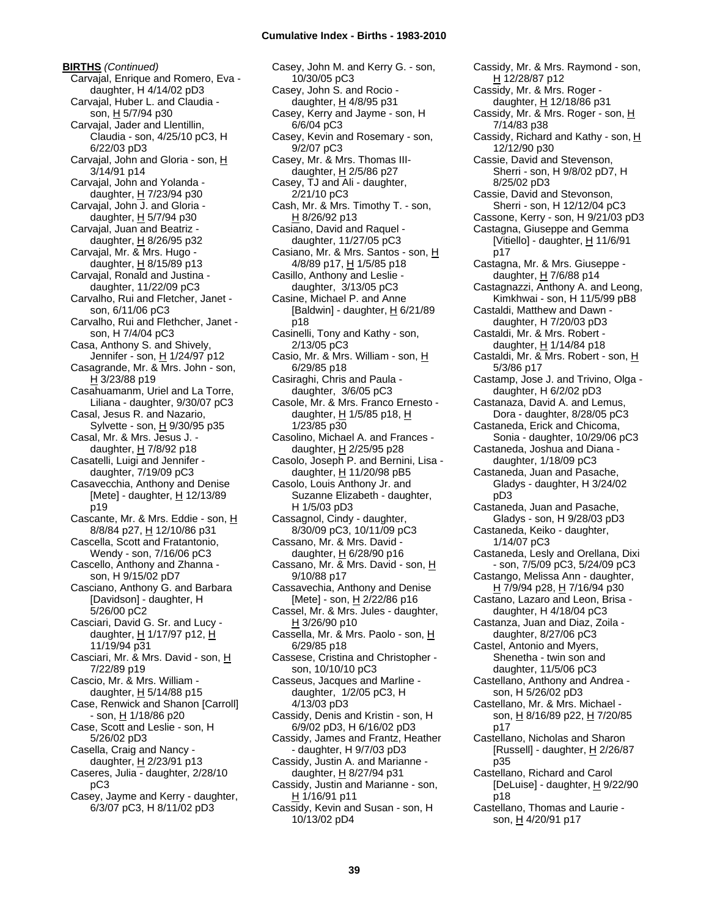**BIRTHS** *(Continued)* Carvajal, Enrique and Romero, Eva daughter, H 4/14/02 pD3 Carvajal, Huber L. and Claudia son, H 5/7/94 p30 Carvajal, Jader and Llentillin, Claudia - son, 4/25/10 pC3, H 6/22/03 pD3 Carvajal, John and Gloria - son, H 3/14/91 p14 Carvajal, John and Yolanda daughter, H 7/23/94 p30 Carvajal, John J. and Gloria daughter,  $H$  5/7/94 p30 Carvajal, Juan and Beatriz daughter, H 8/26/95 p32 Carvajal, Mr. & Mrs. Hugo daughter,  $H$  8/15/89 p13 Carvajal, Ronald and Justina daughter, 11/22/09 pC3 Carvalho, Rui and Fletcher, Janet son, 6/11/06 pC3 Carvalho, Rui and Flethcher, Janet son, H 7/4/04 pC3 Casa, Anthony S. and Shively, Jennifer - son, H 1/24/97 p12 Casagrande, Mr. & Mrs. John - son, H 3/23/88 p19 Casahuamanm, Uriel and La Torre, Liliana - daughter, 9/30/07 pC3 Casal, Jesus R. and Nazario, Sylvette - son, H 9/30/95 p35 Casal, Mr. & Mrs. Jesus J. daughter, H 7/8/92 p18 Casatelli, Luigi and Jennifer daughter, 7/19/09 pC3 Casavecchia, Anthony and Denise [Mete] - daughter,  $H$  12/13/89 p19 Cascante, Mr. & Mrs. Eddie - son, H 8/8/84 p27, H 12/10/86 p31 Cascella, Scott and Fratantonio, Wendy - son, 7/16/06 pC3 Cascello, Anthony and Zhanna son, H 9/15/02 pD7 Casciano, Anthony G. and Barbara [Davidson] - daughter, H 5/26/00 pC2 Casciari, David G. Sr. and Lucy daughter, H 1/17/97 p12, H 11/19/94 p31 Casciari, Mr. & Mrs. David - son, H 7/22/89 p19 Cascio, Mr. & Mrs. William daughter,  $H$  5/14/88 p15 Case, Renwick and Shanon [Carroll] - son, H 1/18/86 p20 Case, Scott and Leslie - son, H 5/26/02 pD3 Casella, Craig and Nancy daughter,  $H$  2/23/91 p13 Caseres, Julia - daughter, 2/28/10 pC3 Casey, Jayme and Kerry - daughter, 6/3/07 pC3, H 8/11/02 pD3

Casey, John M. and Kerry G. - son, 10/30/05 pC3 Casey, John S. and Rocio daughter, H 4/8/95 p31 Casey, Kerry and Jayme - son, H 6/6/04 pC3 Casey, Kevin and Rosemary - son, 9/2/07 pC3 Casey, Mr. & Mrs. Thomas IIIdaughter,  $H$  2/5/86 p27 Casey, TJ and Ali - daughter, 2/21/10 pC3 Cash, Mr. & Mrs. Timothy T. - son, H 8/26/92 p13 Casiano, David and Raquel daughter, 11/27/05 pC3 Casiano, Mr. & Mrs. Santos - son, H 4/8/89 p17, H 1/5/85 p18 Casillo, Anthony and Leslie daughter, 3/13/05 pC3 Casine, Michael P. and Anne [Baldwin] - daughter,  $H$  6/21/89 p18 Casinelli, Tony and Kathy - son, 2/13/05 pC3 Casio, Mr. & Mrs. William - son, H 6/29/85 p18 Casiraghi, Chris and Paula daughter, 3/6/05 pC3 Casole, Mr. & Mrs. Franco Ernesto daughter,  $H$  1/5/85 p18,  $H$ 1/23/85 p30 Casolino, Michael A. and Frances daughter, H 2/25/95 p28 Casolo, Joseph P. and Bernini, Lisa daughter, H 11/20/98 pB5 Casolo, Louis Anthony Jr. and Suzanne Elizabeth - daughter, H 1/5/03 pD3 Cassagnol, Cindy - daughter, 8/30/09 pC3, 10/11/09 pC3 Cassano, Mr. & Mrs. David daughter, H 6/28/90 p16 Cassano, Mr. & Mrs. David - son, H 9/10/88 p17 Cassavechia, Anthony and Denise [Mete] - son, H 2/22/86 p16 Cassel, Mr. & Mrs. Jules - daughter,  $H$  3/26/90 p10 Cassella, Mr. & Mrs. Paolo - son, H 6/29/85 p18 Cassese, Cristina and Christopher son, 10/10/10 pC3 Casseus, Jacques and Marline daughter, 1/2/05 pC3, H 4/13/03 pD3 Cassidy, Denis and Kristin - son, H 6/9/02 pD3, H 6/16/02 pD3 Cassidy, James and Frantz, Heather - daughter, H 9/7/03 pD3 Cassidy, Justin A. and Marianne daughter, H 8/27/94 p31 Cassidy, Justin and Marianne - son,  $H$  1/16/91 p11 Cassidy, Kevin and Susan - son, H 10/13/02 pD4

Cassidy, Mr. & Mrs. Raymond - son, H 12/28/87 p12 Cassidy, Mr. & Mrs. Roger daughter,  $H$  12/18/86 p31 Cassidy, Mr. & Mrs. Roger - son, H 7/14/83 p38 Cassidy, Richard and Kathy - son, H 12/12/90 p30 Cassie, David and Stevenson, Sherri - son, H 9/8/02 pD7, H 8/25/02 pD3 Cassie, David and Stevonson, Sherri - son, H 12/12/04 pC3 Cassone, Kerry - son, H 9/21/03 pD3 Castagna, Giuseppe and Gemma [Vitiello] - daughter,  $H$  11/6/91 p17 Castagna, Mr. & Mrs. Giuseppe daughter,  $H$  7/6/88 p14 Castagnazzi, Anthony A. and Leong, Kimkhwai - son, H 11/5/99 pB8 Castaldi, Matthew and Dawn daughter, H 7/20/03 pD3 Castaldi, Mr. & Mrs. Robert daughter,  $H$  1/14/84 p18 Castaldi, Mr. & Mrs. Robert - son, H 5/3/86 p17 Castamp, Jose J. and Trivino, Olga daughter, H 6/2/02 pD3 Castanaza, David A. and Lemus, Dora - daughter, 8/28/05 pC3 Castaneda, Erick and Chicoma, Sonia - daughter, 10/29/06 pC3 Castaneda, Joshua and Diana daughter, 1/18/09 pC3 Castaneda, Juan and Pasache, Gladys - daughter, H 3/24/02 pD3 Castaneda, Juan and Pasache, Gladys - son, H 9/28/03 pD3 Castaneda, Keiko - daughter, 1/14/07 pC3 Castaneda, Lesly and Orellana, Dixi - son, 7/5/09 pC3, 5/24/09 pC3 Castango, Melissa Ann - daughter, H 7/9/94 p28, H 7/16/94 p30 Castano, Lazaro and Leon, Brisa daughter, H 4/18/04 pC3 Castanza, Juan and Diaz, Zoila daughter, 8/27/06 pC3 Castel, Antonio and Myers, Shenetha - twin son and daughter, 11/5/06 pC3 Castellano, Anthony and Andrea son, H 5/26/02 pD3 Castellano, Mr. & Mrs. Michael son, H 8/16/89 p22, H 7/20/85 p17 Castellano, Nicholas and Sharon [Russell] - daughter,  $H$  2/26/87 p35 Castellano, Richard and Carol [DeLuise] - daughter, H 9/22/90 p18

Castellano, Thomas and Laurie son, H 4/20/91 p17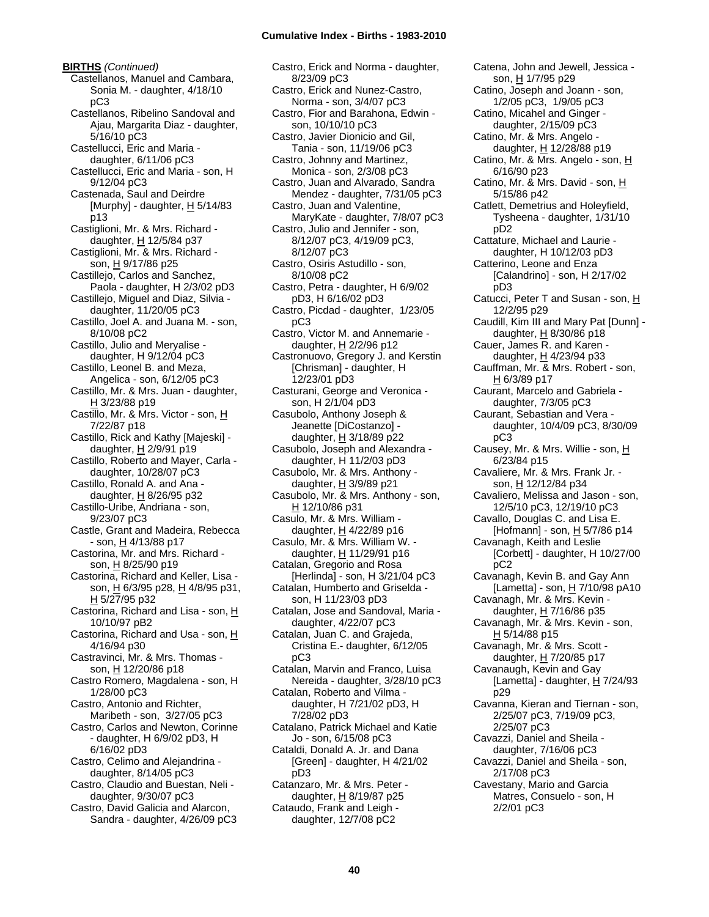**BIRTHS** *(Continued)* Castellanos, Manuel and Cambara, Sonia M. - daughter, 4/18/10 pC3 Castellanos, Ribelino Sandoval and Ajau, Margarita Diaz - daughter, 5/16/10 pC3 Castellucci, Eric and Maria daughter, 6/11/06 pC3 Castellucci, Eric and Maria - son, H 9/12/04 pC3 Castenada, Saul and Deirdre [Murphy] - daughter,  $H$  5/14/83 p13 Castiglioni, Mr. & Mrs. Richard daughter,  $H$  12/5/84 p37 Castiglioni, Mr. & Mrs. Richard son, H 9/17/86 p25 Castillejo, Carlos and Sanchez, Paola - daughter, H 2/3/02 pD3 Castillejo, Miguel and Diaz, Silvia daughter, 11/20/05 pC3 Castillo, Joel A. and Juana M. - son, 8/10/08 pC2 Castillo, Julio and Meryalise daughter, H 9/12/04 pC3 Castillo, Leonel B. and Meza, Angelica - son, 6/12/05 pC3 Castillo, Mr. & Mrs. Juan - daughter, H 3/23/88 p19 Castillo, Mr. & Mrs. Victor - son, H 7/22/87 p18 Castillo, Rick and Kathy [Majeski] daughter, H 2/9/91 p19 Castillo, Roberto and Mayer, Carla daughter, 10/28/07 pC3 Castillo, Ronald A. and Ana daughter,  $H$  8/26/95 p32 Castillo-Uribe, Andriana - son, 9/23/07 pC3 Castle, Grant and Madeira, Rebecca  $-$  son,  $\underline{H}$  4/13/88 p17 Castorina, Mr. and Mrs. Richard son, H 8/25/90 p19 Castorina, Richard and Keller, Lisa son, H 6/3/95 p28, H 4/8/95 p31, H 5/27/95 p32 Castorina, Richard and Lisa - son, H 10/10/97 pB2 Castorina, Richard and Usa - son, H 4/16/94 p30 Castravinci, Mr. & Mrs. Thomas son, H 12/20/86 p18 Castro Romero, Magdalena - son, H 1/28/00 pC3 Castro, Antonio and Richter, Maribeth - son, 3/27/05 pC3 Castro, Carlos and Newton, Corinne - daughter, H 6/9/02 pD3, H 6/16/02 pD3 Castro, Celimo and Alejandrina daughter, 8/14/05 pC3 Castro, Claudio and Buestan, Neli daughter, 9/30/07 pC3 Castro, David Galicia and Alarcon, Sandra - daughter, 4/26/09 pC3

Castro, Erick and Norma - daughter, 8/23/09 pC3 Castro, Erick and Nunez-Castro, Norma - son, 3/4/07 pC3 Castro, Fior and Barahona, Edwin son, 10/10/10 pC3 Castro, Javier Dionicio and Gil, Tania - son, 11/19/06 pC3 Castro, Johnny and Martinez, Monica - son, 2/3/08 pC3 Castro, Juan and Alvarado, Sandra Mendez - daughter, 7/31/05 pC3 Castro, Juan and Valentine, MaryKate - daughter, 7/8/07 pC3 Castro, Julio and Jennifer - son, 8/12/07 pC3, 4/19/09 pC3, 8/12/07 pC3 Castro, Osiris Astudillo - son, 8/10/08 pC2 Castro, Petra - daughter, H 6/9/02 pD3, H 6/16/02 pD3 Castro, Picdad - daughter, 1/23/05 pC3 Castro, Victor M. and Annemarie daughter,  $H$  2/2/96 p12 Castronuovo, Gregory J. and Kerstin [Chrisman] - daughter, H 12/23/01 pD3 Casturani, George and Veronica son, H 2/1/04 pD3 Casubolo, Anthony Joseph & Jeanette [DiCostanzo] daughter,  $H$  3/18/89 p22 Casubolo, Joseph and Alexandra daughter, H 11/2/03 pD3 Casubolo, Mr. & Mrs. Anthony daughter,  $H$  3/9/89 p21 Casubolo, Mr. & Mrs. Anthony - son, H 12/10/86 p31 Casulo, Mr. & Mrs. William daughter, H 4/22/89 p16 Casulo, Mr. & Mrs. William W. daughter, H 11/29/91 p16 Catalan, Gregorio and Rosa [Herlinda] - son, H 3/21/04 pC3 Catalan, Humberto and Griselda son, H 11/23/03 pD3 Catalan, Jose and Sandoval, Maria daughter, 4/22/07 pC3 Catalan, Juan C. and Grajeda, Cristina E.- daughter, 6/12/05 pC3 Catalan, Marvin and Franco, Luisa Nereida - daughter, 3/28/10 pC3 Catalan, Roberto and Vilma daughter, H 7/21/02 pD3, H 7/28/02 pD3 Catalano, Patrick Michael and Katie Jo - son, 6/15/08 pC3 Cataldi, Donald A. Jr. and Dana [Green] - daughter, H 4/21/02 pD3 Catanzaro, Mr. & Mrs. Peter daughter,  $H$  8/19/87 p25 Cataudo, Frank and Leigh daughter, 12/7/08 pC2

Catena, John and Jewell, Jessica son, H 1/7/95 p29 Catino, Joseph and Joann - son, 1/2/05 pC3, 1/9/05 pC3 Catino, Micahel and Ginger daughter, 2/15/09 pC3 Catino, Mr. & Mrs. Angelo daughter, H 12/28/88 p19 Catino, Mr. & Mrs. Angelo - son, H 6/16/90 p23 Catino, Mr. & Mrs. David - son, H 5/15/86 p42 Catlett, Demetrius and Holeyfield, Tysheena - daughter, 1/31/10 pD2 Cattature, Michael and Laurie daughter, H 10/12/03 pD3 Catterino, Leone and Enza [Calandrino] - son, H 2/17/02 pD3 Catucci, Peter T and Susan - son, H 12/2/95 p29 Caudill, Kim III and Mary Pat [Dunn] daughter, H 8/30/86 p18 Cauer, James R. and Karen daughter, H 4/23/94 p33 Cauffman, Mr. & Mrs. Robert - son, H 6/3/89 p17 Caurant, Marcelo and Gabriela daughter, 7/3/05 pC3 Caurant, Sebastian and Vera daughter, 10/4/09 pC3, 8/30/09 pC3 Causey, Mr. & Mrs. Willie - son, H 6/23/84 p15 Cavaliere, Mr. & Mrs. Frank Jr. son, H 12/12/84 p34 Cavaliero, Melissa and Jason - son, 12/5/10 pC3, 12/19/10 pC3 Cavallo, Douglas C. and Lisa E. [Hofmann] - son, H 5/7/86 p14 Cavanagh, Keith and Leslie [Corbett] - daughter, H 10/27/00 pC2 Cavanagh, Kevin B. and Gay Ann [Lametta] - son,  $H$  7/10/98 pA10 Cavanagh, Mr. & Mrs. Kevin daughter, H 7/16/86 p35 Cavanagh, Mr. & Mrs. Kevin - son, H 5/14/88 p15 Cavanagh, Mr. & Mrs. Scott daughter,  $H$  7/20/85 p17 Cavanaugh, Kevin and Gay [Lametta] - daughter,  $H$  7/24/93 p29 Cavanna, Kieran and Tiernan - son, 2/25/07 pC3, 7/19/09 pC3, 2/25/07 pC3 Cavazzi, Daniel and Sheila daughter, 7/16/06 pC3 Cavazzi, Daniel and Sheila - son, 2/17/08 pC3 Cavestany, Mario and Garcia Matres, Consuelo - son, H 2/2/01 pC3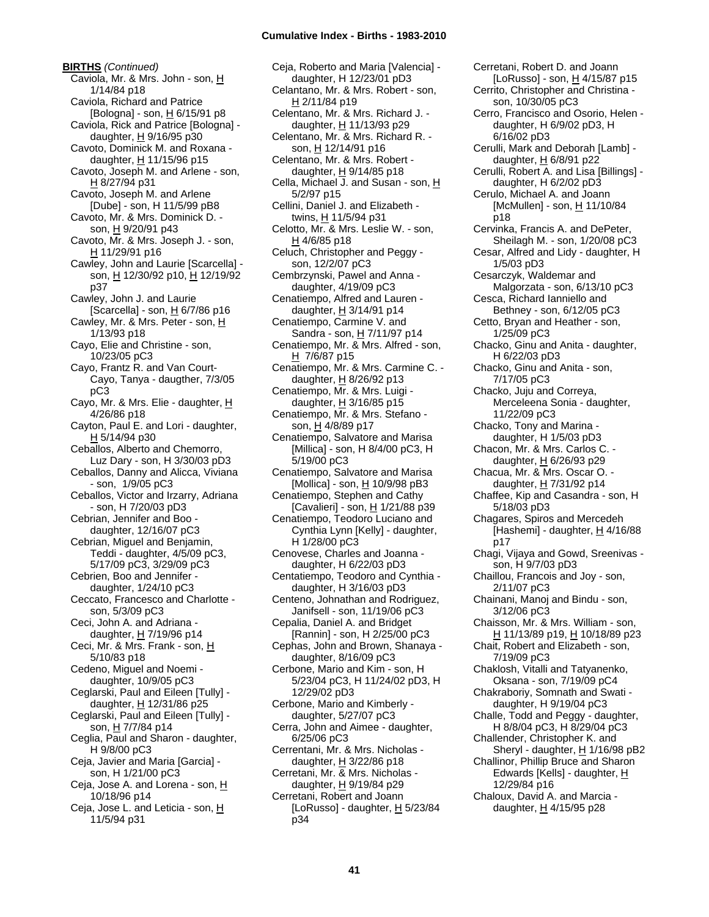**BIRTHS** *(Continued)* Caviola, Mr. & Mrs. John - son, H 1/14/84 p18 Caviola, Richard and Patrice [Bologna] - son, H 6/15/91 p8 Caviola, Rick and Patrice [Bologna] daughter,  $H$  9/16/95 p30 Cavoto, Dominick M. and Roxana daughter,  $H$  11/15/96 p15 Cavoto, Joseph M. and Arlene - son, H 8/27/94 p31 Cavoto, Joseph M. and Arlene [Dube] - son, H 11/5/99 pB8 Cavoto, Mr. & Mrs. Dominick D. son, H 9/20/91 p43 Cavoto, Mr. & Mrs. Joseph J. - son, H 11/29/91 p16 Cawley, John and Laurie [Scarcella] son, H 12/30/92 p10, H 12/19/92 p37 Cawley, John J. and Laurie [Scarcella] - son,  $H$  6/7/86 p16 Cawley, Mr. & Mrs. Peter - son, H 1/13/93 p18 Cayo, Elie and Christine - son, 10/23/05 pC3 Cayo, Frantz R. and Van Court-Cayo, Tanya - daugther, 7/3/05 pC3 Cayo, Mr. & Mrs. Elie - daughter, H 4/26/86 p18 Cayton, Paul E. and Lori - daughter, H 5/14/94 p30 Ceballos, Alberto and Chemorro, Luz Dary - son, H 3/30/03 pD3 Ceballos, Danny and Alicca, Viviana - son, 1/9/05 pC3 Ceballos, Victor and Irzarry, Adriana - son, H 7/20/03 pD3 Cebrian, Jennifer and Boo daughter, 12/16/07 pC3 Cebrian, Miguel and Benjamin, Teddi - daughter, 4/5/09 pC3, 5/17/09 pC3, 3/29/09 pC3 Cebrien, Boo and Jennifer daughter, 1/24/10 pC3 Ceccato, Francesco and Charlotte son, 5/3/09 pC3 Ceci, John A. and Adriana daughter, H 7/19/96 p14 Ceci, Mr. & Mrs. Frank - son, H 5/10/83 p18 Cedeno, Miguel and Noemi daughter, 10/9/05 pC3 Ceglarski, Paul and Eileen [Tully] daughter,  $H$  12/31/86 p25 Ceglarski, Paul and Eileen [Tully] son, H 7/7/84 p14 Ceglia, Paul and Sharon - daughter, H 9/8/00 pC3 Ceja, Javier and Maria [Garcia] son, H 1/21/00 pC3 Ceja, Jose A. and Lorena - son, H 10/18/96 p14 Ceja, Jose L. and Leticia - son, H 11/5/94 p31

Ceja, Roberto and Maria [Valencia] daughter, H 12/23/01 pD3 Celantano, Mr. & Mrs. Robert - son,  $H$  2/11/84 p19 Celentano, Mr. & Mrs. Richard J. daughter, H 11/13/93 p29 Celentano, Mr. & Mrs. Richard R. son, H 12/14/91 p16 Celentano, Mr. & Mrs. Robert daughter,  $H$  9/14/85 p18 Cella, Michael J. and Susan - son, H 5/2/97 p15 Cellini, Daniel J. and Elizabeth twins, H 11/5/94 p31 Celotto, Mr. & Mrs. Leslie W. - son,  $H$  4/6/85 p18 Celuch, Christopher and Peggy son, 12/2/07 pC3 Cembrzynski, Pawel and Anna daughter, 4/19/09 pC3 Cenatiempo, Alfred and Lauren daughter,  $H$  3/14/91 p14 Cenatiempo, Carmine V. and Sandra - son, H 7/11/97 p14 Cenatiempo, Mr. & Mrs. Alfred - son, H 7/6/87 p15 Cenatiempo, Mr. & Mrs. Carmine C. daughter,  $H$  8/26/92 p13 Cenatiempo, Mr. & Mrs. Luigi daughter, H 3/16/85 p15 Cenatiempo, Mr. & Mrs. Stefano son, H 4/8/89 p17 Cenatiempo, Salvatore and Marisa [Millica] - son, H 8/4/00 pC3, H 5/19/00 pC3 Cenatiempo, Salvatore and Marisa [Mollica] - son,  $\underline{H}$  10/9/98 pB3 Cenatiempo, Stephen and Cathy [Cavalieri] - son, H 1/21/88 p39 Cenatiempo, Teodoro Luciano and Cynthia Lynn [Kelly] - daughter, H 1/28/00 pC3 Cenovese, Charles and Joanna daughter, H 6/22/03 pD3 Centatiempo, Teodoro and Cynthia daughter, H 3/16/03 pD3 Centeno, Johnathan and Rodriguez, Janifsell - son, 11/19/06 pC3 Cepalia, Daniel A. and Bridget [Rannin] - son, H 2/25/00 pC3 Cephas, John and Brown, Shanaya daughter, 8/16/09 pC3 Cerbone, Mario and Kim - son, H 5/23/04 pC3, H 11/24/02 pD3, H 12/29/02 pD3 Cerbone, Mario and Kimberly daughter, 5/27/07 pC3 Cerra, John and Aimee - daughter, 6/25/06 pC3 Cerrentani, Mr. & Mrs. Nicholas daughter,  $H$  3/22/86 p18 Cerretani, Mr. & Mrs. Nicholas daughter, H 9/19/84 p29 Cerretani, Robert and Joann [LoRusso] - daughter,  $H$  5/23/84 p34

Cerretani, Robert D. and Joann [LoRusso] - son, H 4/15/87 p15 Cerrito, Christopher and Christina son, 10/30/05 pC3 Cerro, Francisco and Osorio, Helen daughter, H 6/9/02 pD3, H 6/16/02 pD3 Cerulli, Mark and Deborah [Lamb] daughter, H 6/8/91 p22 Cerulli, Robert A. and Lisa [Billings] daughter, H 6/2/02 pD3 Cerulo, Michael A. and Joann  $[McMullen] - son, H 11/10/84$ p18 Cervinka, Francis A. and DePeter, Sheilagh M. - son, 1/20/08 pC3 Cesar, Alfred and Lidy - daughter, H 1/5/03 pD3 Cesarczyk, Waldemar and Malgorzata - son, 6/13/10 pC3 Cesca, Richard Ianniello and Bethney - son, 6/12/05 pC3 Cetto, Bryan and Heather - son, 1/25/09 pC3 Chacko, Ginu and Anita - daughter, H 6/22/03 pD3 Chacko, Ginu and Anita - son, 7/17/05 pC3 Chacko, Juju and Correya, Merceleena Sonia - daughter, 11/22/09 pC3 Chacko, Tony and Marina daughter, H 1/5/03 pD3 Chacon, Mr. & Mrs. Carlos C. daughter, H 6/26/93 p29 Chacua, Mr. & Mrs. Oscar O. daughter, H 7/31/92 p14 Chaffee, Kip and Casandra - son, H 5/18/03 pD3 Chagares, Spiros and Mercedeh [Hashemi] - daughter, H 4/16/88 p17 Chagi, Vijaya and Gowd, Sreenivas son, H 9/7/03 pD3 Chaillou, Francois and Joy - son, 2/11/07 pC3 Chainani, Manoj and Bindu - son, 3/12/06 pC3 Chaisson, Mr. & Mrs. William - son, H 11/13/89 p19, H 10/18/89 p23 Chait, Robert and Elizabeth - son, 7/19/09 pC3 Chaklosh, Vitalli and Tatyanenko, Oksana - son, 7/19/09 pC4 Chakraboriy, Somnath and Swati daughter, H 9/19/04 pC3 Challe, Todd and Peggy - daughter, H 8/8/04 pC3, H 8/29/04 pC3 Challender, Christopher K. and Sheryl - daughter,  $H$  1/16/98 pB2 Challinor, Phillip Bruce and Sharon Edwards [Kells] - daughter, H 12/29/84 p16 Chaloux, David A. and Marcia daughter,  $H$  4/15/95 p28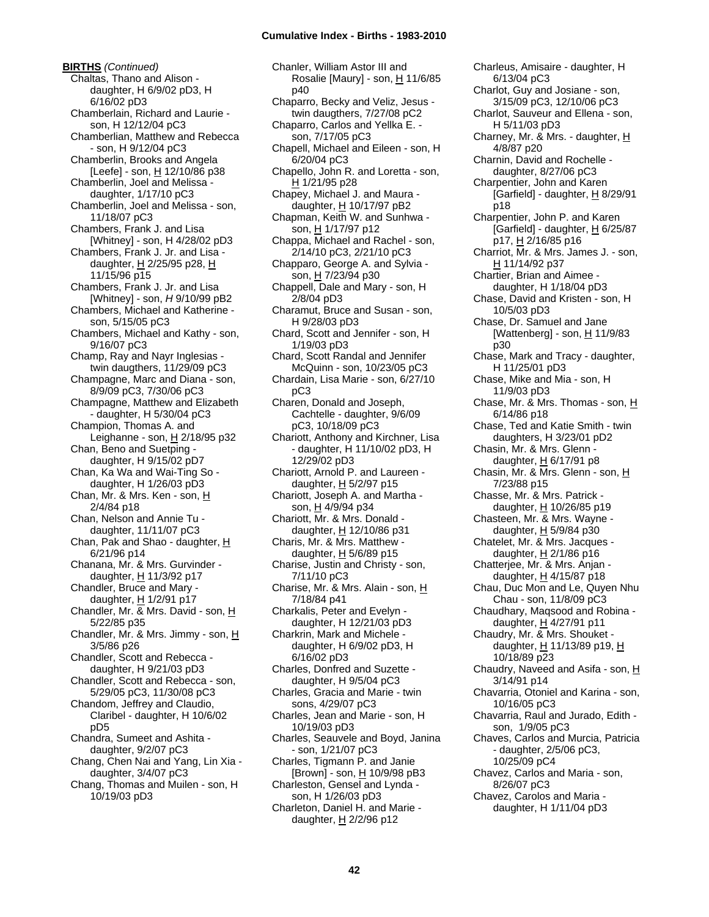**BIRTHS** *(Continued)* Chaltas, Thano and Alison daughter, H 6/9/02 pD3, H 6/16/02 pD3 Chamberlain, Richard and Laurie son, H 12/12/04 pC3 Chamberlian, Matthew and Rebecca - son, H 9/12/04 pC3 Chamberlin, Brooks and Angela [Leefe] - son,  $\underline{H}$  12/10/86 p38 Chamberlin, Joel and Melissa daughter, 1/17/10 pC3 Chamberlin, Joel and Melissa - son, 11/18/07 pC3 Chambers, Frank J. and Lisa [Whitney] - son, H 4/28/02 pD3 Chambers, Frank J. Jr. and Lisa daughter, H 2/25/95 p28, H 11/15/96 p15 Chambers, Frank J. Jr. and Lisa [Whitney] - son, *H* 9/10/99 pB2 Chambers, Michael and Katherine son, 5/15/05 pC3 Chambers, Michael and Kathy - son, 9/16/07 pC3 Champ, Ray and Nayr Inglesias twin daugthers, 11/29/09 pC3 Champagne, Marc and Diana - son, 8/9/09 pC3, 7/30/06 pC3 Champagne, Matthew and Elizabeth - daughter, H 5/30/04 pC3 Champion, Thomas A. and Leighanne - son, H 2/18/95 p32 Chan, Beno and Suetping daughter, H 9/15/02 pD7 Chan, Ka Wa and Wai-Ting So daughter, H 1/26/03 pD3 Chan, Mr. & Mrs. Ken - son, H 2/4/84 p18 Chan, Nelson and Annie Tu daughter, 11/11/07 pC3 Chan, Pak and Shao - daughter, H 6/21/96 p14 Chanana, Mr. & Mrs. Gurvinder daughter,  $H$  11/3/92 p17 Chandler, Bruce and Mary daughter, H 1/2/91 p17 Chandler, Mr. & Mrs. David - son, H 5/22/85 p35 Chandler, Mr. & Mrs. Jimmy - son, H 3/5/86 p26 Chandler, Scott and Rebecca daughter, H 9/21/03 pD3 Chandler, Scott and Rebecca - son, 5/29/05 pC3, 11/30/08 pC3 Chandom, Jeffrey and Claudio, Claribel - daughter, H 10/6/02 pD5 Chandra, Sumeet and Ashita daughter, 9/2/07 pC3 Chang, Chen Nai and Yang, Lin Xia daughter, 3/4/07 pC3 Chang, Thomas and Muilen - son, H 10/19/03 pD3

Chanler, William Astor III and Rosalie [Maury] - son, H 11/6/85 p40 Chaparro, Becky and Veliz, Jesus twin daugthers, 7/27/08 pC2 Chaparro, Carlos and Yellka E. son, 7/17/05 pC3 Chapell, Michael and Eileen - son, H 6/20/04 pC3 Chapello, John R. and Loretta - son, H 1/21/95 p28 Chapey, Michael J. and Maura daughter,  $H$  10/17/97 pB2 Chapman, Keith W. and Sunhwa son, H 1/17/97 p12 Chappa, Michael and Rachel - son, 2/14/10 pC3, 2/21/10 pC3 Chapparo, George A. and Sylvia son, H 7/23/94 p30 Chappell, Dale and Mary - son, H 2/8/04 pD3 Charamut, Bruce and Susan - son, H 9/28/03 pD3 Chard, Scott and Jennifer - son, H 1/19/03 pD3 Chard, Scott Randal and Jennifer McQuinn - son, 10/23/05 pC3 Chardain, Lisa Marie - son, 6/27/10 pC3 Charen, Donald and Joseph, Cachtelle - daughter, 9/6/09 pC3, 10/18/09 pC3 Chariott, Anthony and Kirchner, Lisa - daughter, H 11/10/02 pD3, H 12/29/02 pD3 Chariott, Arnold P. and Laureen daughter,  $H$  5/2/97 p15 Chariott, Joseph A. and Martha son, H 4/9/94 p34 Chariott, Mr. & Mrs. Donald daughter, H 12/10/86 p31 Charis, Mr. & Mrs. Matthew daughter, H 5/6/89 p15 Charise, Justin and Christy - son, 7/11/10 pC3 Charise, Mr. & Mrs. Alain - son, H 7/18/84 p41 Charkalis, Peter and Evelyn daughter, H 12/21/03 pD3 Charkrin, Mark and Michele daughter, H 6/9/02 pD3, H 6/16/02 pD3 Charles, Donfred and Suzette daughter, H 9/5/04 pC3 Charles, Gracia and Marie - twin sons, 4/29/07 pC3 Charles, Jean and Marie - son, H 10/19/03 pD3 Charles, Seauvele and Boyd, Janina - son, 1/21/07 pC3 Charles, Tigmann P. and Janie [Brown] - son, H 10/9/98 pB3 Charleston, Gensel and Lynda son, H 1/26/03 pD3 Charleton, Daniel H. and Marie daughter,  $H$  2/2/96 p12

Charleus, Amisaire - daughter, H 6/13/04 pC3 Charlot, Guy and Josiane - son, 3/15/09 pC3, 12/10/06 pC3 Charlot, Sauveur and Ellena - son, H 5/11/03 pD3 Charney, Mr. & Mrs. - daughter,  $H$ 4/8/87 p20 Charnin, David and Rochelle daughter, 8/27/06 pC3 Charpentier, John and Karen [Garfield] - daughter,  $H$  8/29/91 p18 Charpentier, John P. and Karen [Garfield] - daughter,  $H_0$  6/25/87 p17, H 2/16/85 p16 Charriot, Mr. & Mrs. James J. - son, H 11/14/92 p37 Chartier, Brian and Aimee daughter, H 1/18/04 pD3 Chase, David and Kristen - son, H 10/5/03 pD3 Chase, Dr. Samuel and Jane [Wattenberg] - son, H 11/9/83 p30 Chase, Mark and Tracy - daughter, H 11/25/01 pD3 Chase, Mike and Mia - son, H 11/9/03 pD3 Chase, Mr. & Mrs. Thomas - son, H 6/14/86 p18 Chase, Ted and Katie Smith - twin daughters, H 3/23/01 pD2 Chasin, Mr. & Mrs. Glenn daughter, H 6/17/91 p8 Chasin, Mr. & Mrs. Glenn - son, H 7/23/88 p15 Chasse, Mr. & Mrs. Patrick daughter, H 10/26/85 p19 Chasteen, Mr. & Mrs. Wayne daughter, H 5/9/84 p30 Chatelet, Mr. & Mrs. Jacques daughter, H 2/1/86 p16 Chatterjee, Mr. & Mrs. Anjan daughter,  $H$  4/15/87 p18 Chau, Duc Mon and Le, Quyen Nhu Chau - son, 11/8/09 pC3 Chaudhary, Maqsood and Robina daughter, H 4/27/91 p11 Chaudry, Mr. & Mrs. Shouket daughter, H 11/13/89 p19, H 10/18/89 p23 Chaudry, Naveed and Asifa - son,  $H$ 3/14/91 p14 Chavarria, Otoniel and Karina - son, 10/16/05 pC3 Chavarria, Raul and Jurado, Edith son, 1/9/05 pC3 Chaves, Carlos and Murcia, Patricia - daughter, 2/5/06 pC3, 10/25/09 pC4 Chavez, Carlos and Maria - son, 8/26/07 pC3 Chavez, Carolos and Maria daughter, H 1/11/04 pD3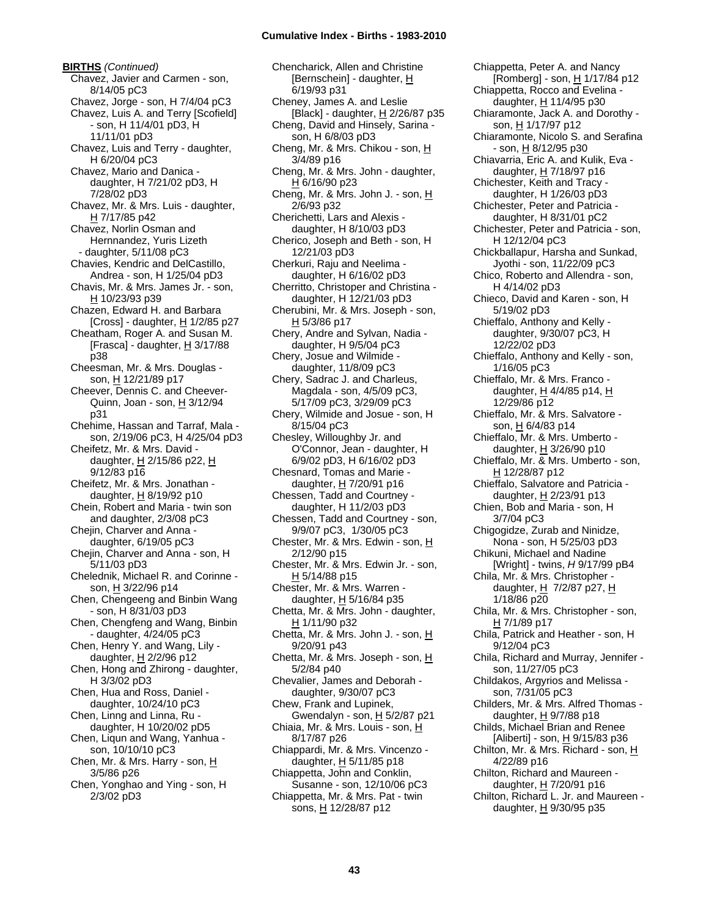**BIRTHS** *(Continued)* Chavez, Javier and Carmen - son, 8/14/05 pC3 Chavez, Jorge - son, H 7/4/04 pC3 Chavez, Luis A. and Terry [Scofield] - son, H 11/4/01 pD3, H 11/11/01 pD3 Chavez, Luis and Terry - daughter, H 6/20/04 pC3 Chavez, Mario and Danica daughter, H 7/21/02 pD3, H 7/28/02 pD3 Chavez, Mr. & Mrs. Luis - daughter, H 7/17/85 p42 Chavez, Norlin Osman and Hernnandez, Yuris Lizeth - daughter, 5/11/08 pC3 Chavies, Kendric and DelCastillo, Andrea - son, H 1/25/04 pD3 Chavis, Mr. & Mrs. James Jr. - son, H 10/23/93 p39 Chazen, Edward H. and Barbara [Cross] - daughter, H 1/2/85 p27 Cheatham, Roger A. and Susan M. [Frasca] - daughter,  $H$  3/17/88 p38 Cheesman, Mr. & Mrs. Douglas son, H 12/21/89 p17 Cheever, Dennis C. and Cheever-Quinn, Joan - son, H 3/12/94 p31 Chehime, Hassan and Tarraf, Mala son, 2/19/06 pC3, H 4/25/04 pD3 Cheifetz, Mr. & Mrs. David daughter, H 2/15/86 p22, H 9/12/83 p16 Cheifetz, Mr. & Mrs. Jonathan daughter, H 8/19/92 p10 Chein, Robert and Maria - twin son and daughter, 2/3/08 pC3 Chejin, Charver and Anna daughter, 6/19/05 pC3 Chejin, Charver and Anna - son, H 5/11/03 pD3 Chelednik, Michael R. and Corinne son, H 3/22/96 p14 Chen, Chengeeng and Binbin Wang - son, H 8/31/03 pD3 Chen, Chengfeng and Wang, Binbin - daughter, 4/24/05 pC3 Chen, Henry Y. and Wang, Lily daughter, H 2/2/96 p12 Chen, Hong and Zhirong - daughter, H 3/3/02 pD3 Chen, Hua and Ross, Daniel daughter, 10/24/10 pC3 Chen, Linng and Linna, Ru daughter, H 10/20/02 pD5 Chen, Liqun and Wang, Yanhua son, 10/10/10 pC3 Chen, Mr. & Mrs. Harry - son, H 3/5/86 p26 Chen, Yonghao and Ying - son, H 2/3/02 pD3

Chencharick, Allen and Christine [Bernschein] - daughter, H 6/19/93 p31 Cheney, James A. and Leslie [Black] - daughter, H 2/26/87 p35 Cheng, David and Hinsely, Sarina son, H 6/8/03 pD3 Cheng, Mr. & Mrs. Chikou - son, H 3/4/89 p16 Cheng, Mr. & Mrs. John - daughter, H 6/16/90 p23 Cheng, Mr. & Mrs. John J. - son,  $H$ 2/6/93 p32 Cherichetti, Lars and Alexis daughter, H 8/10/03 pD3 Cherico, Joseph and Beth - son, H 12/21/03 pD3 Cherkuri, Raju and Neelima daughter, H 6/16/02 pD3 Cherritto, Christoper and Christina daughter, H 12/21/03 pD3 Cherubini, Mr. & Mrs. Joseph - son, H 5/3/86 p17 Chery, Andre and Sylvan, Nadia daughter, H 9/5/04 pC3 Chery, Josue and Wilmide daughter, 11/8/09 pC3 Chery, Sadrac J. and Charleus, Magdala - son, 4/5/09 pC3, 5/17/09 pC3, 3/29/09 pC3 Chery, Wilmide and Josue - son, H 8/15/04 pC3 Chesley, Willoughby Jr. and O'Connor, Jean - daughter, H 6/9/02 pD3, H 6/16/02 pD3 Chesnard, Tomas and Marie daughter, H 7/20/91 p16 Chessen, Tadd and Courtney daughter, H 11/2/03 pD3 Chessen, Tadd and Courtney - son, 9/9/07 pC3, 1/30/05 pC3 Chester, Mr. & Mrs. Edwin - son, H 2/12/90 p15 Chester, Mr. & Mrs. Edwin Jr. - son, H 5/14/88 p15 Chester, Mr. & Mrs. Warren daughter, H 5/16/84 p35 Chetta, Mr. & Mrs. John - daughter, H 1/11/90 p32 Chetta, Mr. & Mrs. John J. - son,  $\underline{H}$ 9/20/91 p43 Chetta, Mr. & Mrs. Joseph - son, H 5/2/84 p40 Chevalier, James and Deborah daughter, 9/30/07 pC3 Chew, Frank and Lupinek, Gwendalyn - son, H 5/2/87 p21 Chiaia, Mr. & Mrs. Louis - son, H 8/17/87 p26 Chiappardi, Mr. & Mrs. Vincenzo daughter,  $H$  5/11/85 p18 Chiappetta, John and Conklin, Susanne - son, 12/10/06 pC3 Chiappetta, Mr. & Mrs. Pat - twin sons, H 12/28/87 p12

Chiappetta, Peter A. and Nancy [Romberg] - son, H 1/17/84 p12 Chiappetta, Rocco and Evelina daughter, H 11/4/95 p30 Chiaramonte, Jack A. and Dorothy son, H 1/17/97 p12 Chiaramonte, Nicolo S. and Serafina - son, H 8/12/95 p30 Chiavarria, Eric A. and Kulik, Eva daughter, H 7/18/97 p16 Chichester, Keith and Tracy daughter, H 1/26/03 pD3 Chichester, Peter and Patricia daughter, H 8/31/01 pC2 Chichester, Peter and Patricia - son, H 12/12/04 pC3 Chickballapur, Harsha and Sunkad, Jyothi - son, 11/22/09 pC3 Chico, Roberto and Allendra - son, H 4/14/02 pD3 Chieco, David and Karen - son, H 5/19/02 pD3 Chieffalo, Anthony and Kelly daughter, 9/30/07 pC3, H 12/22/02 pD3 Chieffalo, Anthony and Kelly - son, 1/16/05 pC3 Chieffalo, Mr. & Mrs. Franco daughter, H 4/4/85 p14, H 12/29/86 p12 Chieffalo, Mr. & Mrs. Salvatore son, H 6/4/83 p14 Chieffalo, Mr. & Mrs. Umberto daughter, H 3/26/90 p10 Chieffalo, Mr. & Mrs. Umberto - son, H 12/28/87 p12 Chieffalo, Salvatore and Patricia daughter, H 2/23/91 p13 Chien, Bob and Maria - son, H 3/7/04 pC3 Chigogidze, Zurab and Ninidze, Nona - son, H 5/25/03 pD3 Chikuni, Michael and Nadine [Wright] - twins, *H* 9/17/99 pB4 Chila, Mr. & Mrs. Christopher daughter,  $H$  7/2/87 p27,  $H$ 1/18/86 p20 Chila, Mr. & Mrs. Christopher - son, H 7/1/89 p17 Chila, Patrick and Heather - son, H 9/12/04 pC3 Chila, Richard and Murray, Jennifer son, 11/27/05 pC3 Childakos, Argyrios and Melissa son, 7/31/05 pC3 Childers, Mr. & Mrs. Alfred Thomas daughter, H 9/7/88 p18 Childs, Michael Brian and Renee [Aliberti] - son, H 9/15/83 p36 Chilton, Mr. & Mrs. Richard - son, H 4/22/89 p16 Chilton, Richard and Maureen daughter, H 7/20/91 p16 Chilton, Richard L. Jr. and Maureen -

daughter, H 9/30/95 p35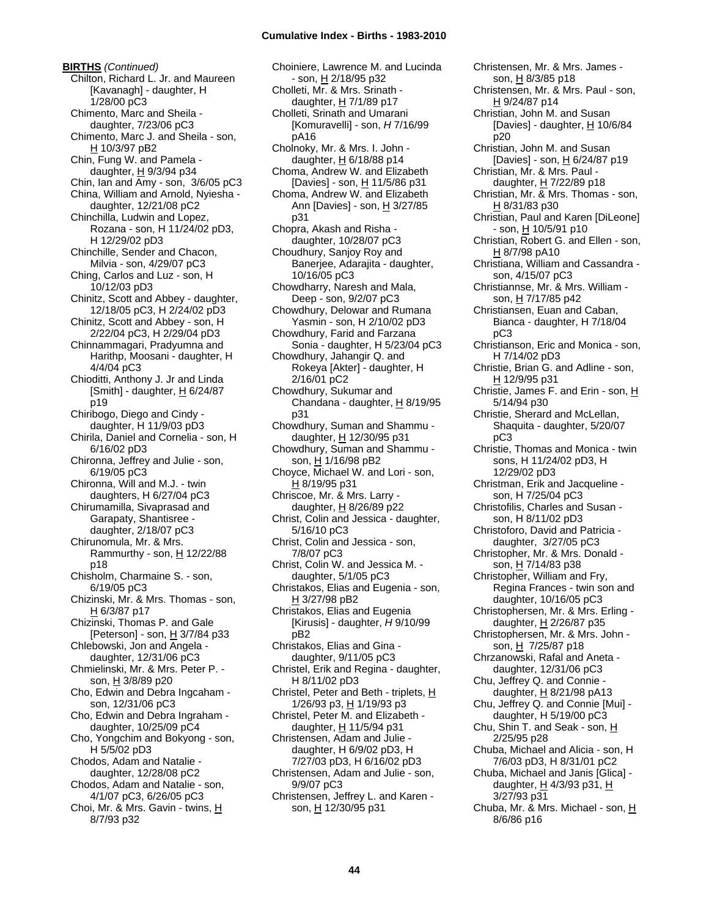**BIRTHS** *(Continued)* Chilton, Richard L. Jr. and Maureen [Kavanagh] - daughter, H 1/28/00 pC3 Chimento, Marc and Sheila daughter, 7/23/06 pC3 Chimento, Marc J. and Sheila - son, H 10/3/97 pB2 Chin, Fung W. and Pamela daughter, H 9/3/94 p34 Chin, Ian and Amy - son, 3/6/05 pC3 China, William and Arnold, Nyiesha daughter, 12/21/08 pC2 Chinchilla, Ludwin and Lopez, Rozana - son, H 11/24/02 pD3, H 12/29/02 pD3 Chinchille, Sender and Chacon, Milvia - son, 4/29/07 pC3 Ching, Carlos and Luz - son, H 10/12/03 pD3 Chinitz, Scott and Abbey - daughter, 12/18/05 pC3, H 2/24/02 pD3 Chinitz, Scott and Abbey - son, H 2/22/04 pC3, H 2/29/04 pD3 Chinnammagari, Pradyumna and Harithp, Moosani - daughter, H 4/4/04 pC3 Chioditti, Anthony J. Jr and Linda [Smith] - daughter,  $H$  6/24/87 p19 Chiribogo, Diego and Cindy daughter, H 11/9/03 pD3 Chirila, Daniel and Cornelia - son, H 6/16/02 pD3 Chironna, Jeffrey and Julie - son, 6/19/05 pC3 Chironna, Will and M.J. - twin daughters, H 6/27/04 pC3 Chirumamilla, Sivaprasad and Garapaty, Shantisree daughter, 2/18/07 pC3 Chirunomula, Mr. & Mrs. Rammurthy - son,  $H$  12/22/88 p18 Chisholm, Charmaine S. - son, 6/19/05 pC3 Chizinski, Mr. & Mrs. Thomas - son, H 6/3/87 p17 Chizinski, Thomas P. and Gale [Peterson] - son,  $\underline{H}$  3/7/84 p33 Chlebowski, Jon and Angela daughter, 12/31/06 pC3 Chmielinski, Mr. & Mrs. Peter P. son, H 3/8/89 p20 Cho, Edwin and Debra Ingcaham son, 12/31/06 pC3 Cho, Edwin and Debra Ingraham daughter, 10/25/09 pC4 Cho, Yongchim and Bokyong - son, H 5/5/02 pD3 Chodos, Adam and Natalie daughter, 12/28/08 pC2 Chodos, Adam and Natalie - son, 4/1/07 pC3, 6/26/05 pC3 Choi, Mr. & Mrs. Gavin - twins, H 8/7/93 p32

Choiniere, Lawrence M. and Lucinda - son, H 2/18/95 p32 Cholleti, Mr. & Mrs. Srinath daughter, H 7/1/89 p17 Cholleti, Srinath and Umarani [Komuravelli] - son, *H* 7/16/99 pA16 Cholnoky, Mr. & Mrs. I. John daughter,  $H$  6/18/88 p14 Choma, Andrew W. and Elizabeth [Davies] - son, H 11/5/86 p31 Choma, Andrew W. and Elizabeth Ann [Davies] - son, H 3/27/85 p31 Chopra, Akash and Risha daughter, 10/28/07 pC3 Choudhury, Sanjoy Roy and Banerjee, Adarajita - daughter, 10/16/05 pC3 Chowdharry, Naresh and Mala, Deep - son, 9/2/07 pC3 Chowdhury, Delowar and Rumana Yasmin - son, H 2/10/02 pD3 Chowdhury, Farid and Farzana Sonia - daughter, H 5/23/04 pC3 Chowdhury, Jahangir Q. and Rokeya [Akter] - daughter, H 2/16/01 pC2 Chowdhury, Sukumar and Chandana - daughter, H 8/19/95 p31 Chowdhury, Suman and Shammu daughter, H 12/30/95 p31 Chowdhury, Suman and Shammu son, H 1/16/98 pB2 Choyce, Michael W. and Lori - son, H 8/19/95 p31 Chriscoe, Mr. & Mrs. Larry daughter, H 8/26/89 p22 Christ, Colin and Jessica - daughter, 5/16/10 pC3 Christ, Colin and Jessica - son, 7/8/07 pC3 Christ, Colin W. and Jessica M. daughter, 5/1/05 pC3 Christakos, Elias and Eugenia - son, H 3/27/98 pB2 Christakos, Elias and Eugenia [Kirusis] - daughter, *H* 9/10/99 pB2 Christakos, Elias and Gina daughter, 9/11/05 pC3 Christel, Erik and Regina - daughter, H 8/11/02 pD3 Christel, Peter and Beth - triplets, H 1/26/93 p3, H 1/19/93 p3 Christel, Peter M. and Elizabeth daughter, H 11/5/94 p31 Christensen, Adam and Julie daughter, H 6/9/02 pD3, H 7/27/03 pD3, H 6/16/02 pD3 Christensen, Adam and Julie - son, 9/9/07 pC3 Christensen, Jeffrey L. and Karen son, H 12/30/95 p31

Christensen, Mr. & Mrs. Paul - son, H 9/24/87 p14 Christian, John M. and Susan [Davies] - daughter, H 10/6/84 p20 Christian, John M. and Susan [Davies] - son, H 6/24/87 p19 Christian, Mr. & Mrs. Paul daughter, H 7/22/89 p18 Christian, Mr. & Mrs. Thomas - son, H 8/31/83 p30 Christian, Paul and Karen [DiLeone]  $-$  son,  $\underline{H}$  10/5/91 p10 Christian, Robert G. and Ellen - son, H 8/7/98 pA10 Christiana, William and Cassandra son, 4/15/07 pC3 Christiannse, Mr. & Mrs. William son, H 7/17/85 p42 Christiansen, Euan and Caban, Bianca - daughter, H 7/18/04 pC3 Christianson, Eric and Monica - son, H 7/14/02 pD3 Christie, Brian G. and Adline - son, H 12/9/95 p31 Christie, James F. and Erin - son,  $H$ 5/14/94 p30 Christie, Sherard and McLellan, Shaquita - daughter, 5/20/07 pC3 Christie, Thomas and Monica - twin sons, H 11/24/02 pD3, H 12/29/02 pD3 Christman, Erik and Jacqueline son, H 7/25/04 pC3 Christofilis, Charles and Susan son, H 8/11/02 pD3 Christoforo, David and Patricia daughter, 3/27/05 pC3 Christopher, Mr. & Mrs. Donald son, H 7/14/83 p38 Christopher, William and Fry, Regina Frances - twin son and daughter, 10/16/05 pC3 Christophersen, Mr. & Mrs. Erling daughter, H 2/26/87 p35 Christophersen, Mr. & Mrs. John son, H 7/25/87 p18 Chrzanowski, Rafal and Aneta daughter, 12/31/06 pC3 Chu, Jeffrey Q. and Connie daughter, H 8/21/98 pA13 Chu, Jeffrey Q. and Connie [Mui] daughter, H 5/19/00 pC3 Chu, Shin T. and Seak - son, H 2/25/95 p28 Chuba, Michael and Alicia - son, H 7/6/03 pD3, H 8/31/01 pC2 Chuba, Michael and Janis [Glica] daughter, H 4/3/93 p31, H 3/27/93 p31 Chuba, Mr. & Mrs. Michael - son, H 8/6/86 p16

Christensen, Mr. & Mrs. James son, H 8/3/85 p18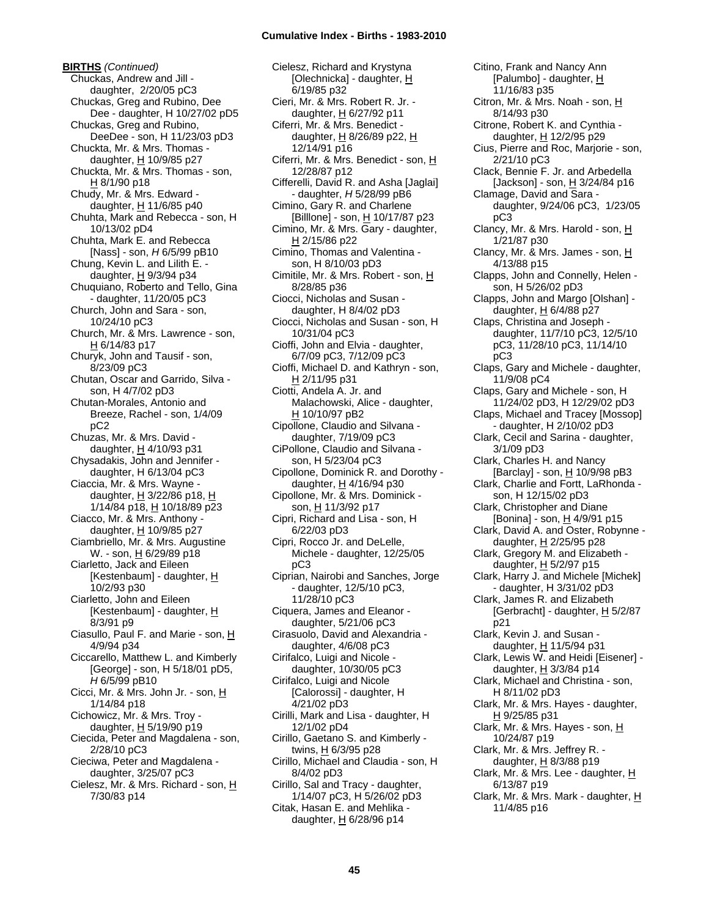**BIRTHS** *(Continued)* Chuckas, Andrew and Jill daughter, 2/20/05 pC3 Chuckas, Greg and Rubino, Dee Dee - daughter, H 10/27/02 pD5 Chuckas, Greg and Rubino, DeeDee - son, H 11/23/03 pD3 Chuckta, Mr. & Mrs. Thomas daughter, H 10/9/85 p27 Chuckta, Mr. & Mrs. Thomas - son, H 8/1/90 p18 Chudy, Mr. & Mrs. Edward daughter, H 11/6/85 p40 Chuhta, Mark and Rebecca - son, H 10/13/02 pD4 Chuhta, Mark E. and Rebecca [Nass] - son, *H* 6/5/99 pB10 Chung, Kevin L. and Lilith E. daughter,  $H$  9/3/94 p34 Chuquiano, Roberto and Tello, Gina - daughter, 11/20/05 pC3 Church, John and Sara - son, 10/24/10 pC3 Church, Mr. & Mrs. Lawrence - son, H 6/14/83 p17 Churyk, John and Tausif - son, 8/23/09 pC3 Chutan, Oscar and Garrido, Silva son, H 4/7/02 pD3 Chutan-Morales, Antonio and Breeze, Rachel - son, 1/4/09 pC2 Chuzas, Mr. & Mrs. David daughter, H 4/10/93 p31 Chysadakis, John and Jennifer daughter, H 6/13/04 pC3 Ciaccia, Mr. & Mrs. Wayne daughter,  $H$  3/22/86 p18,  $H$ 1/14/84 p18, H 10/18/89 p23 Ciacco, Mr. & Mrs. Anthony daughter, H 10/9/85 p27 Ciambriello, Mr. & Mrs. Augustine W. - son, H 6/29/89 p18 Ciarletto, Jack and Eileen [Kestenbaum] - daughter, H 10/2/93 p30 Ciarletto, John and Eileen [Kestenbaum] - daughter, H 8/3/91 p9 Ciasullo, Paul F. and Marie - son, H 4/9/94 p34 Ciccarello, Matthew L. and Kimberly [George] - son, H 5/18/01 pD5, *H* 6/5/99 pB10 Cicci, Mr. & Mrs. John Jr. - son, H 1/14/84 p18 Cichowicz, Mr. & Mrs. Troy daughter,  $H$  5/19/90 p19 Ciecida, Peter and Magdalena - son, 2/28/10 pC3 Cieciwa, Peter and Magdalena daughter, 3/25/07 pC3 Cielesz, Mr. & Mrs. Richard - son, H 7/30/83 p14

Cielesz, Richard and Krystyna [Olechnicka] - daughter, H 6/19/85 p32 Cieri, Mr. & Mrs. Robert R. Jr. daughter, H 6/27/92 p11 Ciferri, Mr. & Mrs. Benedict daughter,  $H$  8/26/89 p22,  $H$ 12/14/91 p16 Ciferri, Mr. & Mrs. Benedict - son, H 12/28/87 p12 Cifferelli, David R. and Asha [Jaglai] - daughter, *H* 5/28/99 pB6 Cimino, Gary R. and Charlene [Billlone] - son, H 10/17/87 p23 Cimino, Mr. & Mrs. Gary - daughter, H 2/15/86 p22 Cimino, Thomas and Valentina son, H 8/10/03 pD3 Cimitile, Mr. & Mrs. Robert - son, H 8/28/85 p36 Ciocci, Nicholas and Susan daughter, H 8/4/02 pD3 Ciocci, Nicholas and Susan - son, H 10/31/04 pC3 Cioffi, John and Elvia - daughter, 6/7/09 pC3, 7/12/09 pC3 Cioffi, Michael D. and Kathryn - son, H 2/11/95 p31 Ciotti, Andela A. Jr. and Malachowski, Alice - daughter, H 10/10/97 pB2 Cipollone, Claudio and Silvana daughter, 7/19/09 pC3 CiPollone, Claudio and Silvana son, H 5/23/04 pC3 Cipollone, Dominick R. and Dorothy daughter, H 4/16/94 p30 Cipollone, Mr. & Mrs. Dominick son, H 11/3/92 p17 Cipri, Richard and Lisa - son, H 6/22/03 pD3 Cipri, Rocco Jr. and DeLelle, Michele - daughter, 12/25/05 pC3 Ciprian, Nairobi and Sanches, Jorge - daughter, 12/5/10 pC3, 11/28/10 pC3 Ciquera, James and Eleanor daughter, 5/21/06 pC3 Cirasuolo, David and Alexandria daughter, 4/6/08 pC3 Cirifalco, Luigi and Nicole daughter, 10/30/05 pC3 Cirifalco, Luigi and Nicole [Calorossi] - daughter, H 4/21/02 pD3 Cirilli, Mark and Lisa - daughter, H 12/1/02 pD4 Cirillo, Gaetano S. and Kimberly twins, H 6/3/95 p28 Cirillo, Michael and Claudia - son, H 8/4/02 pD3 Cirillo, Sal and Tracy - daughter, 1/14/07 pC3, H 5/26/02 pD3 Citak, Hasan E. and Mehlika daughter,  $H$  6/28/96 p14

Citino, Frank and Nancy Ann [Palumbo] - daughter, H 11/16/83 p35 Citron, Mr. & Mrs. Noah - son, H 8/14/93 p30 Citrone, Robert K. and Cynthia daughter,  $H$  12/2/95 p29 Cius, Pierre and Roc, Marjorie - son, 2/21/10 pC3 Clack, Bennie F. Jr. and Arbedella [Jackson] - son, H 3/24/84 p16 Clamage, David and Sara daughter, 9/24/06 pC3, 1/23/05 pC3 Clancy, Mr. & Mrs. Harold - son, H 1/21/87 p30 Clancy, Mr. & Mrs. James - son, H 4/13/88 p15 Clapps, John and Connelly, Helen son, H 5/26/02 pD3 Clapps, John and Margo [Olshan] daughter,  $H$  6/4/88 p27 Claps, Christina and Joseph daughter, 11/7/10 pC3, 12/5/10 pC3, 11/28/10 pC3, 11/14/10 pC3 Claps, Gary and Michele - daughter, 11/9/08 pC4 Claps, Gary and Michele - son, H 11/24/02 pD3, H 12/29/02 pD3 Claps, Michael and Tracey [Mossop] - daughter, H 2/10/02 pD3 Clark, Cecil and Sarina - daughter, 3/1/09 pD3 Clark, Charles H. and Nancy [Barclay] - son, H 10/9/98 pB3 Clark, Charlie and Fortt, LaRhonda son, H 12/15/02 pD3 Clark, Christopher and Diane [Bonina] - son, H 4/9/91 p15 Clark, David A. and Oster, Robynne daughter, H 2/25/95 p28 Clark, Gregory M. and Elizabeth daughter, H 5/2/97 p15 Clark, Harry J. and Michele [Michek] - daughter, H 3/31/02 pD3 Clark, James R. and Elizabeth [Gerbracht] - daughter,  $H$  5/2/87 p21 Clark, Kevin J. and Susan daughter, H 11/5/94 p31 Clark, Lewis W. and Heidi [Eisener] daughter, H 3/3/84 p14 Clark, Michael and Christina - son, H 8/11/02 pD3 Clark, Mr. & Mrs. Hayes - daughter, H 9/25/85 p31 Clark, Mr. & Mrs. Hayes - son, H 10/24/87 p19 Clark, Mr. & Mrs. Jeffrey R. daughter,  $H$  8/3/88 p19 Clark, Mr. & Mrs. Lee - daughter, H 6/13/87 p19 Clark, Mr. & Mrs. Mark - daughter, H 11/4/85 p16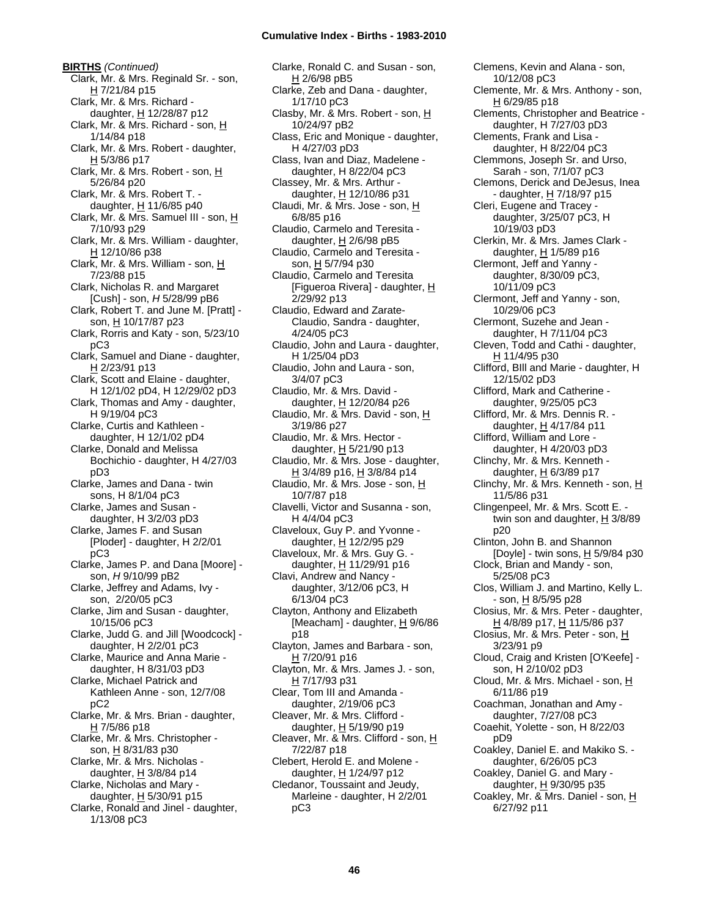**BIRTHS** *(Continued)* Clark, Mr. & Mrs. Reginald Sr. - son, H 7/21/84 p15 Clark, Mr. & Mrs. Richard daughter, H 12/28/87 p12 Clark, Mr. & Mrs. Richard - son, H 1/14/84 p18 Clark, Mr. & Mrs. Robert - daughter, H 5/3/86 p17 Clark, Mr. & Mrs. Robert - son, H 5/26/84 p20 Clark, Mr. & Mrs. Robert T. daughter,  $H$  11/6/85 p40 Clark, Mr. & Mrs. Samuel III - son, H 7/10/93 p29 Clark, Mr. & Mrs. William - daughter, H 12/10/86 p38 Clark, Mr. & Mrs. William - son, H 7/23/88 p15 Clark, Nicholas R. and Margaret [Cush] - son, *H* 5/28/99 pB6 Clark, Robert T. and June M. [Pratt] son, H 10/17/87 p23 Clark, Rorris and Katy - son, 5/23/10 pC3 Clark, Samuel and Diane - daughter, H 2/23/91 p13 Clark, Scott and Elaine - daughter, H 12/1/02 pD4, H 12/29/02 pD3 Clark, Thomas and Amy - daughter, H 9/19/04 pC3 Clarke, Curtis and Kathleen daughter, H 12/1/02 pD4 Clarke, Donald and Melissa Bochichio - daughter, H 4/27/03 pD3 Clarke, James and Dana - twin sons, H 8/1/04 pC3 Clarke, James and Susan daughter, H 3/2/03 pD3 Clarke, James F. and Susan [Ploder] - daughter, H 2/2/01 pC3 Clarke, James P. and Dana [Moore] son, *H* 9/10/99 pB2 Clarke, Jeffrey and Adams, Ivy son, 2/20/05 pC3 Clarke, Jim and Susan - daughter, 10/15/06 pC3 Clarke, Judd G. and Jill [Woodcock] daughter, H 2/2/01 pC3 Clarke, Maurice and Anna Marie daughter, H 8/31/03 pD3 Clarke, Michael Patrick and Kathleen Anne - son, 12/7/08 pC2 Clarke, Mr. & Mrs. Brian - daughter,  $H$  7/5/86 p18 Clarke, Mr. & Mrs. Christopher son, H 8/31/83 p30 Clarke, Mr. & Mrs. Nicholas daughter, H 3/8/84 p14 Clarke, Nicholas and Mary daughter,  $H$  5/30/91 p15 Clarke, Ronald and Jinel - daughter, 1/13/08 pC3

Clarke, Ronald C. and Susan - son, H 2/6/98 pB5 Clarke, Zeb and Dana - daughter, 1/17/10 pC3 Clasby, Mr. & Mrs. Robert - son, H 10/24/97 pB2 Class, Eric and Monique - daughter, H 4/27/03 pD3 Class, Ivan and Diaz, Madelene daughter, H 8/22/04 pC3 Classey, Mr. & Mrs. Arthur daughter, H 12/10/86 p31 Claudi, Mr. & Mrs. Jose - son, H 6/8/85 p16 Claudio, Carmelo and Teresita daughter,  $H$  2/6/98 pB5 Claudio, Carmelo and Teresita son, H 5/7/94 p30 Claudio, Carmelo and Teresita [Figueroa Rivera] - daughter, H 2/29/92 p13 Claudio, Edward and Zarate-Claudio, Sandra - daughter, 4/24/05 pC3 Claudio, John and Laura - daughter, H 1/25/04 pD3 Claudio, John and Laura - son, 3/4/07 pC3 Claudio, Mr. & Mrs. David daughter, H 12/20/84 p26 Claudio, Mr. & Mrs. David - son, H 3/19/86 p27 Claudio, Mr. & Mrs. Hector daughter, H 5/21/90 p13 Claudio, Mr. & Mrs. Jose - daughter, <u>H</u> 3/4/89 p16, <u>H</u> 3/8/84 p14 Claudio, Mr. & Mrs. Jose - son, H 10/7/87 p18 Clavelli, Victor and Susanna - son, H 4/4/04 pC3 Claveloux, Guy P. and Yvonne daughter, H 12/2/95 p29 Claveloux, Mr. & Mrs. Guy G. daughter, H 11/29/91 p16 Clavi, Andrew and Nancy daughter, 3/12/06 pC3, H 6/13/04 pC3 Clayton, Anthony and Elizabeth [Meacham] - daughter,  $H$  9/6/86 p18 Clayton, James and Barbara - son, H 7/20/91 p16 Clayton, Mr. & Mrs. James J. - son, H 7/17/93 p31 Clear, Tom III and Amanda daughter, 2/19/06 pC3 Cleaver, Mr. & Mrs. Clifford daughter,  $H$  5/19/90 p19 Cleaver, Mr. & Mrs. Clifford - son, H 7/22/87 p18 Clebert, Herold E. and Molene daughter, H 1/24/97 p12 Cledanor, Toussaint and Jeudy, Marleine - daughter, H 2/2/01 pC3

Clemens, Kevin and Alana - son, 10/12/08 pC3 Clemente, Mr. & Mrs. Anthony - son, H 6/29/85 p18 Clements, Christopher and Beatrice daughter, H 7/27/03 pD3 Clements, Frank and Lisa daughter, H 8/22/04 pC3 Clemmons, Joseph Sr. and Urso, Sarah - son, 7/1/07 pC3 Clemons, Derick and DeJesus, Inea - daughter, H 7/18/97 p15 Cleri, Eugene and Tracey daughter, 3/25/07 pC3, H 10/19/03 pD3 Clerkin, Mr. & Mrs. James Clark daughter, H 1/5/89 p16 Clermont, Jeff and Yanny daughter, 8/30/09 pC3, 10/11/09 pC3 Clermont, Jeff and Yanny - son, 10/29/06 pC3 Clermont, Suzehe and Jean daughter, H 7/11/04 pC3 Cleven, Todd and Cathi - daughter, H 11/4/95 p30 Clifford, BIll and Marie - daughter, H 12/15/02 pD3 Clifford, Mark and Catherine daughter, 9/25/05 pC3 Clifford, Mr. & Mrs. Dennis R. daughter, H 4/17/84 p11 Clifford, William and Lore daughter, H 4/20/03 pD3 Clinchy, Mr. & Mrs. Kenneth daughter,  $H$  6/3/89 p17 Clinchy, Mr. & Mrs. Kenneth - son, H 11/5/86 p31 Clingenpeel, Mr. & Mrs. Scott E. twin son and daughter,  $H$  3/8/89 p20 Clinton, John B. and Shannon [Doyle] - twin sons, H 5/9/84 p30 Clock, Brian and Mandy - son, 5/25/08 pC3 Clos, William J. and Martino, Kelly L. - son, H 8/5/95 p28 Closius, Mr. & Mrs. Peter - daughter, H 4/8/89 p17, H 11/5/86 p37 Closius, Mr. & Mrs. Peter - son, H 3/23/91 p9 Cloud, Craig and Kristen [O'Keefe] son, H 2/10/02 pD3 Cloud, Mr. & Mrs. Michael - son, H 6/11/86 p19 Coachman, Jonathan and Amy daughter, 7/27/08 pC3 Coaehit, Yolette - son, H 8/22/03 pD9 Coakley, Daniel E. and Makiko S. daughter, 6/26/05 pC3 Coakley, Daniel G. and Mary daughter, H 9/30/95 p35 Coakley, Mr. & Mrs. Daniel - son, H 6/27/92 p11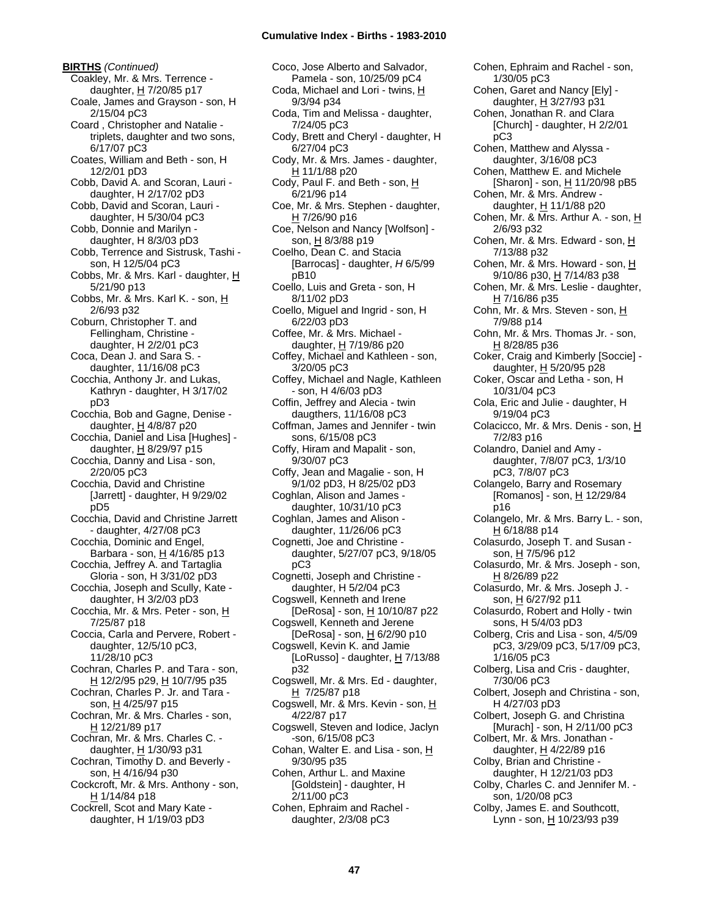**BIRTHS** *(Continued)* Coakley, Mr. & Mrs. Terrence daughter,  $H$  7/20/85 p17 Coale, James and Grayson - son, H 2/15/04 pC3 Coard , Christopher and Natalie triplets, daughter and two sons, 6/17/07 pC3 Coates, William and Beth - son, H 12/2/01 pD3 Cobb, David A. and Scoran, Lauri daughter, H 2/17/02 pD3 Cobb, David and Scoran, Lauri daughter, H 5/30/04 pC3 Cobb, Donnie and Marilyn daughter, H 8/3/03 pD3 Cobb, Terrence and Sistrusk, Tashi son, H 12/5/04 pC3 Cobbs, Mr. & Mrs. Karl - daughter, H 5/21/90 p13 Cobbs, Mr. & Mrs. Karl K. - son, H 2/6/93 p32 Coburn, Christopher T. and Fellingham, Christine daughter, H 2/2/01 pC3 Coca, Dean J. and Sara S. daughter, 11/16/08 pC3 Cocchia, Anthony Jr. and Lukas, Kathryn - daughter, H 3/17/02 pD3 Cocchia, Bob and Gagne, Denise daughter,  $H$  4/8/87 p20 Cocchia, Daniel and Lisa [Hughes] daughter, H 8/29/97 p15 Cocchia, Danny and Lisa - son, 2/20/05 pC3 Cocchia, David and Christine [Jarrett] - daughter, H 9/29/02 pD5 Cocchia, David and Christine Jarrett - daughter, 4/27/08 pC3 Cocchia, Dominic and Engel, Barbara - son, H 4/16/85 p13 Cocchia, Jeffrey A. and Tartaglia Gloria - son, H 3/31/02 pD3 Cocchia, Joseph and Scully, Kate daughter, H 3/2/03 pD3 Cocchia, Mr. & Mrs. Peter - son, H 7/25/87 p18 Coccia, Carla and Pervere, Robert daughter, 12/5/10 pC3, 11/28/10 pC3 Cochran, Charles P. and Tara - son, H 12/2/95 p29, H 10/7/95 p35 Cochran, Charles P. Jr. and Tara son, H 4/25/97 p15 Cochran, Mr. & Mrs. Charles - son, H 12/21/89 p17 Cochran, Mr. & Mrs. Charles C. daughter,  $H$  1/30/93 p31 Cochran, Timothy D. and Beverly son, H 4/16/94 p30 Cockcroft, Mr. & Mrs. Anthony - son, H 1/14/84 p18 Cockrell, Scot and Mary Kate daughter, H 1/19/03 pD3

Coco, Jose Alberto and Salvador, Pamela - son, 10/25/09 pC4 Coda, Michael and Lori - twins, H 9/3/94 p34 Coda, Tim and Melissa - daughter, 7/24/05 pC3 Cody, Brett and Cheryl - daughter, H 6/27/04 pC3 Cody, Mr. & Mrs. James - daughter, H 11/1/88 p20 Cody, Paul F. and Beth - son, H 6/21/96 p14 Coe, Mr. & Mrs. Stephen - daughter, H 7/26/90 p16 Coe, Nelson and Nancy [Wolfson] son, H 8/3/88 p19 Coelho, Dean C. and Stacia [Barrocas] - daughter, *H* 6/5/99 pB10 Coello, Luis and Greta - son, H 8/11/02 pD3 Coello, Miguel and Ingrid - son, H 6/22/03 pD3 Coffee, Mr. & Mrs. Michael daughter,  $H$  7/19/86 p20 Coffey, Michael and Kathleen - son, 3/20/05 pC3 Coffey, Michael and Nagle, Kathleen - son, H 4/6/03 pD3 Coffin, Jeffrey and Alecia - twin daugthers, 11/16/08 pC3 Coffman, James and Jennifer - twin sons, 6/15/08 pC3 Coffy, Hiram and Mapalit - son, 9/30/07 pC3 Coffy, Jean and Magalie - son, H 9/1/02 pD3, H 8/25/02 pD3 Coghlan, Alison and James daughter, 10/31/10 pC3 Coghlan, James and Alison daughter, 11/26/06 pC3 Cognetti, Joe and Christine daughter, 5/27/07 pC3, 9/18/05 pC3 Cognetti, Joseph and Christine daughter, H 5/2/04 pC3 Cogswell, Kenneth and Irene [DeRosa] - son, H 10/10/87 p22 Cogswell, Kenneth and Jerene [DeRosa] - son, H 6/2/90 p10 Cogswell, Kevin K. and Jamie [LoRusso] - daughter, H 7/13/88 p32 Cogswell, Mr. & Mrs. Ed - daughter,  $H$  7/25/87 p18 Cogswell, Mr. & Mrs. Kevin - son, H 4/22/87 p17 Cogswell, Steven and Iodice, Jaclyn -son, 6/15/08 pC3 Cohan, Walter E. and Lisa - son, H 9/30/95 p35 Cohen, Arthur L. and Maxine [Goldstein] - daughter, H 2/11/00 pC3 Cohen, Ephraim and Rachel daughter, 2/3/08 pC3

Cohen, Ephraim and Rachel - son, 1/30/05 pC3 Cohen, Garet and Nancy [Ely] daughter, H 3/27/93 p31 Cohen, Jonathan R. and Clara [Church] - daughter, H 2/2/01 pC3 Cohen, Matthew and Alyssa daughter, 3/16/08 pC3 Cohen, Matthew E. and Michele [Sharon] - son, H 11/20/98 pB5 Cohen, Mr. & Mrs. Andrew daughter,  $H$  11/1/88 p20 Cohen, Mr. & Mrs. Arthur A. - son, H 2/6/93 p32 Cohen, Mr. & Mrs. Edward - son, H 7/13/88 p32 Cohen, Mr. & Mrs. Howard - son, H 9/10/86 p30, H 7/14/83 p38 Cohen, Mr. & Mrs. Leslie - daughter, H 7/16/86 p35 Cohn, Mr. & Mrs. Steven - son, H 7/9/88 p14 Cohn, Mr. & Mrs. Thomas Jr. - son, H 8/28/85 p36 Coker, Craig and Kimberly [Soccie] daughter,  $H$  5/20/95 p28 Coker, Oscar and Letha - son, H 10/31/04 pC3 Cola, Eric and Julie - daughter, H 9/19/04 pC3 Colacicco, Mr. & Mrs. Denis - son, H 7/2/83 p16 Colandro, Daniel and Amy daughter, 7/8/07 pC3, 1/3/10 pC3, 7/8/07 pC3 Colangelo, Barry and Rosemary [Romanos] - son, H 12/29/84 p16 Colangelo, Mr. & Mrs. Barry L. - son, H 6/18/88 p14 Colasurdo, Joseph T. and Susan son, H 7/5/96 p12 Colasurdo, Mr. & Mrs. Joseph - son, H 8/26/89 p22 Colasurdo, Mr. & Mrs. Joseph J. son, H 6/27/92 p11 Colasurdo, Robert and Holly - twin sons, H 5/4/03 pD3 Colberg, Cris and Lisa - son, 4/5/09 pC3, 3/29/09 pC3, 5/17/09 pC3, 1/16/05 pC3 Colberg, Lisa and Cris - daughter, 7/30/06 pC3 Colbert, Joseph and Christina - son, H 4/27/03 pD3 Colbert, Joseph G. and Christina [Murach] - son, H 2/11/00 pC3 Colbert, Mr. & Mrs. Jonathan daughter,  $H$  4/22/89 p16 Colby, Brian and Christine daughter, H 12/21/03 pD3 Colby, Charles C. and Jennifer M. son, 1/20/08 pC3 Colby, James E. and Southcott, Lynn - son, H 10/23/93 p39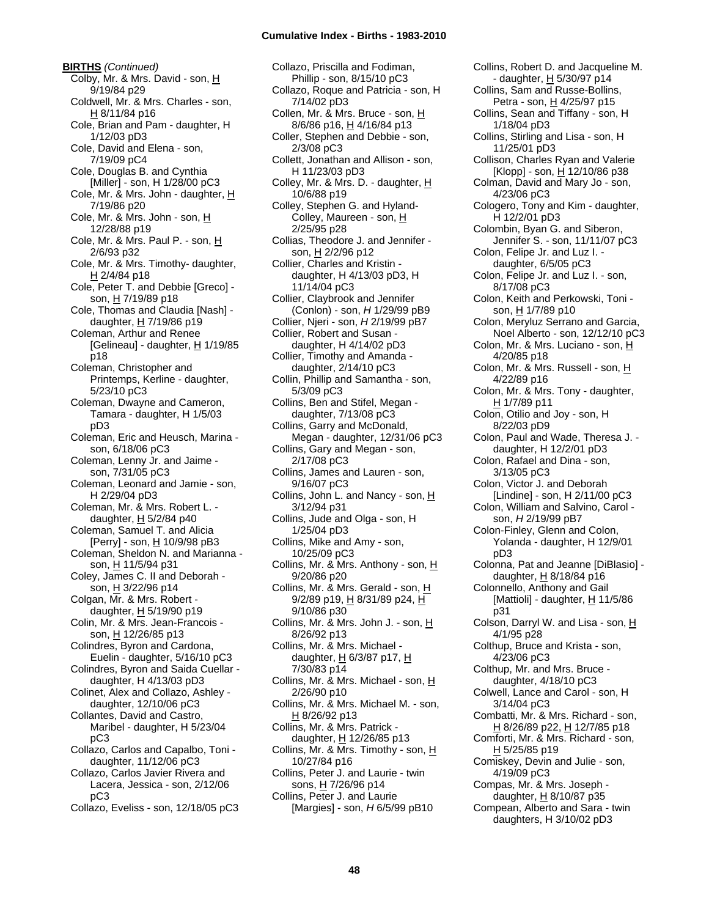**BIRTHS** *(Continued)* Colby, Mr. & Mrs. David - son, H 9/19/84 p29 Coldwell, Mr. & Mrs. Charles - son, H 8/11/84 p16 Cole, Brian and Pam - daughter, H 1/12/03 pD3 Cole, David and Elena - son, 7/19/09 pC4 Cole, Douglas B. and Cynthia [Miller] - son, H 1/28/00 pC3 Cole, Mr. & Mrs. John - daughter,  $\underline{H}$ 7/19/86 p20 Cole, Mr. & Mrs. John - son, H 12/28/88 p19 Cole, Mr. & Mrs. Paul P. - son, H 2/6/93 p32 Cole, Mr. & Mrs. Timothy- daughter, H 2/4/84 p18 Cole, Peter T. and Debbie [Greco] son, H 7/19/89 p18 Cole, Thomas and Claudia [Nash] daughter, H 7/19/86 p19 Coleman, Arthur and Renee [Gelineau] - daughter,  $H$  1/19/85 p18 Coleman, Christopher and Printemps, Kerline - daughter, 5/23/10 pC3 Coleman, Dwayne and Cameron, Tamara - daughter, H 1/5/03 pD3 Coleman, Eric and Heusch, Marina son, 6/18/06 pC3 Coleman, Lenny Jr. and Jaime son, 7/31/05 pC3 Coleman, Leonard and Jamie - son, H 2/29/04 pD3 Coleman, Mr. & Mrs. Robert L. daughter,  $H$  5/2/84 p40 Coleman, Samuel T. and Alicia [Perry] - son, H 10/9/98 pB3 Coleman, Sheldon N. and Marianna son, H 11/5/94 p31 Coley, James C. II and Deborah son, H 3/22/96 p14 Colgan, Mr. & Mrs. Robert daughter, H 5/19/90 p19 Colin, Mr. & Mrs. Jean-Francois son, H 12/26/85 p13 Colindres, Byron and Cardona, Euelin - daughter, 5/16/10 pC3 Colindres, Byron and Saida Cuellar daughter, H 4/13/03 pD3 Colinet, Alex and Collazo, Ashley daughter, 12/10/06 pC3 Collantes, David and Castro, Maribel - daughter, H 5/23/04 pC3 Collazo, Carlos and Capalbo, Toni daughter, 11/12/06 pC3 Collazo, Carlos Javier Rivera and Lacera, Jessica - son, 2/12/06 pC3

Collazo, Eveliss - son, 12/18/05 pC3

Collazo, Priscilla and Fodiman, Phillip - son, 8/15/10 pC3 Collazo, Roque and Patricia - son, H 7/14/02 pD3 Collen, Mr. & Mrs. Bruce - son, H 8/6/86 p16, H 4/16/84 p13 Coller, Stephen and Debbie - son, 2/3/08 pC3 Collett, Jonathan and Allison - son, H 11/23/03 pD3 Colley, Mr. & Mrs. D. - daughter, H 10/6/88 p19 Colley, Stephen G. and Hyland-Colley, Maureen - son, H 2/25/95 p28 Collias, Theodore J. and Jennifer son, H 2/2/96 p12 Collier, Charles and Kristin daughter, H 4/13/03 pD3, H 11/14/04 pC3 Collier, Claybrook and Jennifer (Conlon) - son, *H* 1/29/99 pB9 Collier, Njeri - son, *H* 2/19/99 pB7 Collier, Robert and Susan daughter, H 4/14/02 pD3 Collier, Timothy and Amanda daughter, 2/14/10 pC3 Collin, Phillip and Samantha - son, 5/3/09 pC3 Collins, Ben and Stifel, Megan daughter, 7/13/08 pC3 Collins, Garry and McDonald, Megan - daughter, 12/31/06 pC3 Collins, Gary and Megan - son, 2/17/08 pC3 Collins, James and Lauren - son, 9/16/07 pC3 Collins, John L. and Nancy - son, H 3/12/94 p31 Collins, Jude and Olga - son, H 1/25/04 pD3 Collins, Mike and Amy - son, 10/25/09 pC3 Collins, Mr. & Mrs. Anthony - son, H 9/20/86 p20 Collins, Mr. & Mrs. Gerald - son, H 9/2/89 p19, H 8/31/89 p24, H 9/10/86 p30 Collins, Mr. & Mrs. John J. - son,  $H$ 8/26/92 p13 Collins, Mr. & Mrs. Michael daughter, H 6/3/87 p17, H 7/30/83 p14 Collins, Mr. & Mrs. Michael - son,  $H$ 2/26/90 p10 Collins, Mr. & Mrs. Michael M. - son, H 8/26/92 p13 Collins, Mr. & Mrs. Patrick daughter, H 12/26/85 p13 Collins, Mr. & Mrs. Timothy - son,  $H$ 10/27/84 p16 Collins, Peter J. and Laurie - twin sons, H 7/26/96 p14 Collins, Peter J. and Laurie [Margies] - son, *H* 6/5/99 pB10

Collins, Robert D. and Jacqueline M. - daughter, H 5/30/97 p14 Collins, Sam and Russe-Bollins, Petra - son, H 4/25/97 p15 Collins, Sean and Tiffany - son, H 1/18/04 pD3 Collins, Stirling and Lisa - son, H 11/25/01 pD3 Collison, Charles Ryan and Valerie  $[Klop]$  - son,  $H$  12/10/86 p38 Colman, David and Mary Jo - son, 4/23/06 pC3 Cologero, Tony and Kim - daughter, H 12/2/01 pD3 Colombin, Byan G. and Siberon, Jennifer S. - son, 11/11/07 pC3 Colon, Felipe Jr. and Luz I. daughter, 6/5/05 pC3 Colon, Felipe Jr. and Luz I. - son, 8/17/08 pC3 Colon, Keith and Perkowski, Toni son, H 1/7/89 p10 Colon, Meryluz Serrano and Garcia, Noel Alberto - son, 12/12/10 pC3 Colon, Mr. & Mrs. Luciano - son, H 4/20/85 p18 Colon, Mr. & Mrs. Russell - son, H 4/22/89 p16 Colon, Mr. & Mrs. Tony - daughter, H 1/7/89 p11 Colon, Otilio and Joy - son, H 8/22/03 pD9 Colon, Paul and Wade, Theresa J. daughter, H 12/2/01 pD3 Colon, Rafael and Dina - son, 3/13/05 pC3 Colon, Victor J. and Deborah [Lindine] - son, H 2/11/00 pC3 Colon, William and Salvino, Carol son, *H* 2/19/99 pB7 Colon-Finley, Glenn and Colon, Yolanda - daughter, H 12/9/01 pD3 Colonna, Pat and Jeanne [DiBlasio] daughter, H 8/18/84 p16 Colonnello, Anthony and Gail [Mattioli] - daughter, H 11/5/86 p31 Colson, Darryl W. and Lisa - son, H 4/1/95 p28 Colthup, Bruce and Krista - son, 4/23/06 pC3 Colthup, Mr. and Mrs. Bruce daughter, 4/18/10 pC3 Colwell, Lance and Carol - son, H 3/14/04 pC3 Combatti, Mr. & Mrs. Richard - son, H 8/26/89 p22, H 12/7/85 p18 Comforti, Mr. & Mrs. Richard - son, H 5/25/85 p19 Comiskey, Devin and Julie - son, 4/19/09 pC3 Compas, Mr. & Mrs. Joseph daughter,  $H$  8/10/87 p35 Compean, Alberto and Sara - twin daughters, H 3/10/02 pD3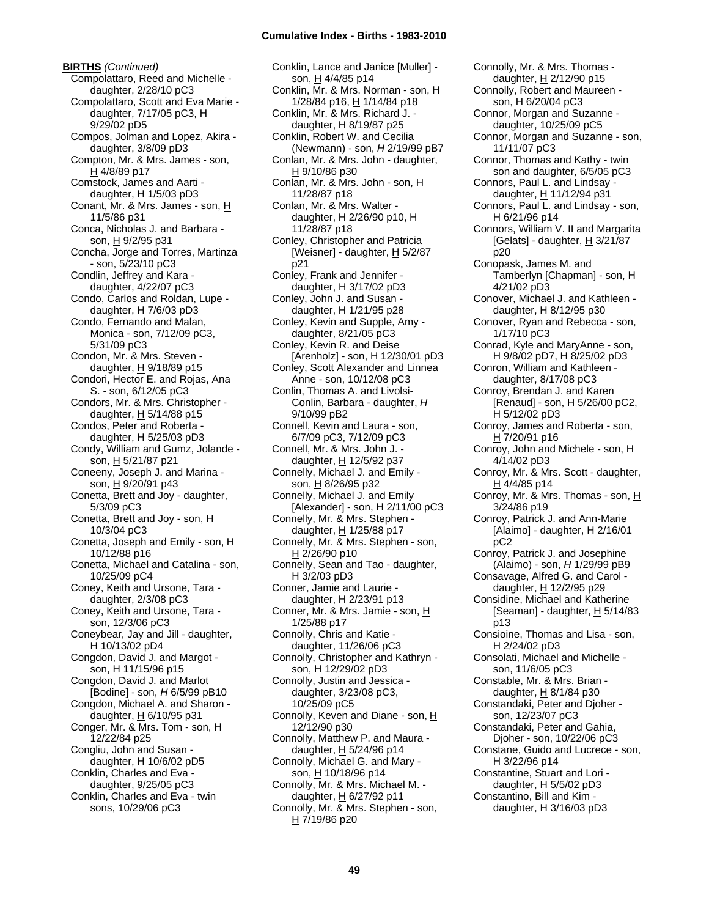**BIRTHS** *(Continued)* Compolattaro, Reed and Michelle daughter, 2/28/10 pC3 Compolattaro, Scott and Eva Marie daughter, 7/17/05 pC3, H 9/29/02 pD5 Compos, Jolman and Lopez, Akira daughter, 3/8/09 pD3 Compton, Mr. & Mrs. James - son, H 4/8/89 p17 Comstock, James and Aarti daughter, H 1/5/03 pD3 Conant, Mr. & Mrs. James - son, H 11/5/86 p31 Conca, Nicholas J. and Barbara son, H 9/2/95 p31 Concha, Jorge and Torres, Martinza - son, 5/23/10 pC3 Condlin, Jeffrey and Kara daughter, 4/22/07 pC3 Condo, Carlos and Roldan, Lupe daughter, H 7/6/03 pD3 Condo, Fernando and Malan, Monica - son, 7/12/09 pC3, 5/31/09 pC3 Condon, Mr. & Mrs. Steven daughter,  $H$  9/18/89 p15 Condori, Hector E. and Rojas, Ana S. - son, 6/12/05 pC3 Condors, Mr. & Mrs. Christopher daughter,  $H$  5/14/88 p15 Condos, Peter and Roberta daughter, H 5/25/03 pD3 Condy, William and Gumz, Jolande son, H 5/21/87 p21 Coneeny, Joseph J. and Marina son, H 9/20/91 p43 Conetta, Brett and Joy - daughter, 5/3/09 pC3 Conetta, Brett and Joy - son, H 10/3/04 pC3 Conetta, Joseph and Emily - son,  $H$ 10/12/88 p16 Conetta, Michael and Catalina - son, 10/25/09 pC4 Coney, Keith and Ursone, Tara daughter, 2/3/08 pC3 Coney, Keith and Ursone, Tara son, 12/3/06 pC3 Coneybear, Jay and Jill - daughter, H 10/13/02 pD4 Congdon, David J. and Margot son, H 11/15/96 p15 Congdon, David J. and Marlot [Bodine] - son, *H* 6/5/99 pB10 Congdon, Michael A. and Sharon daughter, H 6/10/95 p31 Conger, Mr. & Mrs. Tom - son, H 12/22/84 p25 Congliu, John and Susan daughter, H 10/6/02 pD5 Conklin, Charles and Eva daughter, 9/25/05 pC3 Conklin, Charles and Eva - twin sons, 10/29/06 pC3

Conklin, Lance and Janice [Muller] son, H 4/4/85 p14 Conklin, Mr. & Mrs. Norman - son, H 1/28/84 p16, H 1/14/84 p18 Conklin, Mr. & Mrs. Richard J. daughter, H 8/19/87 p25 Conklin, Robert W. and Cecilia (Newmann) - son, *H* 2/19/99 pB7 Conlan, Mr. & Mrs. John - daughter, H 9/10/86 p30 Conlan, Mr. & Mrs. John - son, H 11/28/87 p18 Conlan, Mr. & Mrs. Walter daughter, H 2/26/90 p10, H 11/28/87 p18 Conley, Christopher and Patricia [Weisner] - daughter,  $\underline{H}$  5/2/87 p21 Conley, Frank and Jennifer daughter, H 3/17/02 pD3 Conley, John J. and Susan daughter, H 1/21/95 p28 Conley, Kevin and Supple, Amy daughter, 8/21/05 pC3 Conley, Kevin R. and Deise [Arenholz] - son, H 12/30/01 pD3 Conley, Scott Alexander and Linnea Anne - son, 10/12/08 pC3 Conlin, Thomas A. and Livolsi-Conlin, Barbara - daughter, *H* 9/10/99 pB2 Connell, Kevin and Laura - son, 6/7/09 pC3, 7/12/09 pC3 Connell, Mr. & Mrs. John J. daughter, H 12/5/92 p37 Connelly, Michael J. and Emily son, H 8/26/95 p32 Connelly, Michael J. and Emily [Alexander] - son, H 2/11/00 pC3 Connelly, Mr. & Mrs. Stephen daughter, H 1/25/88 p17 Connelly, Mr. & Mrs. Stephen - son, H 2/26/90 p10 Connelly, Sean and Tao - daughter, H 3/2/03 pD3 Conner, Jamie and Laurie daughter, H 2/23/91 p13 Conner, Mr. & Mrs. Jamie - son, H 1/25/88 p17 Connolly, Chris and Katie daughter, 11/26/06 pC3 Connolly, Christopher and Kathryn son, H 12/29/02 pD3 Connolly, Justin and Jessica daughter, 3/23/08 pC3, 10/25/09 pC5 Connolly, Keven and Diane - son, H 12/12/90 p30 Connolly, Matthew P. and Maura daughter,  $H$  5/24/96 p14 Connolly, Michael G. and Mary son, H 10/18/96 p14 Connolly, Mr. & Mrs. Michael M. daughter,  $H$  6/27/92 p11 Connolly, Mr. & Mrs. Stephen - son, H 7/19/86 p20

Connolly, Mr. & Mrs. Thomas daughter, H 2/12/90 p15 Connolly, Robert and Maureen son, H 6/20/04 pC3 Connor, Morgan and Suzanne daughter, 10/25/09 pC5 Connor, Morgan and Suzanne - son, 11/11/07 pC3 Connor, Thomas and Kathy - twin son and daughter, 6/5/05 pC3 Connors, Paul L. and Lindsay daughter, H 11/12/94 p31 Connors, Paul L. and Lindsay - son, H 6/21/96 p14 Connors, William V. II and Margarita [Gelats] - daughter,  $H$  3/21/87 p20 Conopask, James M. and Tamberlyn [Chapman] - son, H 4/21/02 pD3 Conover, Michael J. and Kathleen daughter,  $H$  8/12/95 p30 Conover, Ryan and Rebecca - son, 1/17/10 pC3 Conrad, Kyle and MaryAnne - son, H 9/8/02 pD7, H 8/25/02 pD3 Conron, William and Kathleen daughter, 8/17/08 pC3 Conroy, Brendan J. and Karen [Renaud] - son, H 5/26/00 pC2, H 5/12/02 pD3 Conroy, James and Roberta - son,  $H$  7/20/91 p16 Conroy, John and Michele - son, H 4/14/02 pD3 Conroy, Mr. & Mrs. Scott - daughter, H 4/4/85 p14 Conroy, Mr. & Mrs. Thomas - son, H 3/24/86 p19 Conroy, Patrick J. and Ann-Marie [Alaimo] - daughter, H 2/16/01 pC2 Conroy, Patrick J. and Josephine (Alaimo) - son, *H* 1/29/99 pB9 Consavage, Alfred G. and Carol daughter, H 12/2/95 p29 Considine, Michael and Katherine [Seaman] - daughter,  $\underline{H}$  5/14/83 p13 Consioine, Thomas and Lisa - son, H 2/24/02 pD3 Consolati, Michael and Michelle son, 11/6/05 pC3 Constable, Mr. & Mrs. Brian daughter,  $H$  8/1/84 p30 Constandaki, Peter and Djoher son, 12/23/07 pC3 Constandaki, Peter and Gahia, Djoher - son, 10/22/06 pC3 Constane, Guido and Lucrece - son, H 3/22/96 p14 Constantine, Stuart and Lori daughter, H 5/5/02 pD3 Constantino, Bill and Kim daughter, H 3/16/03 pD3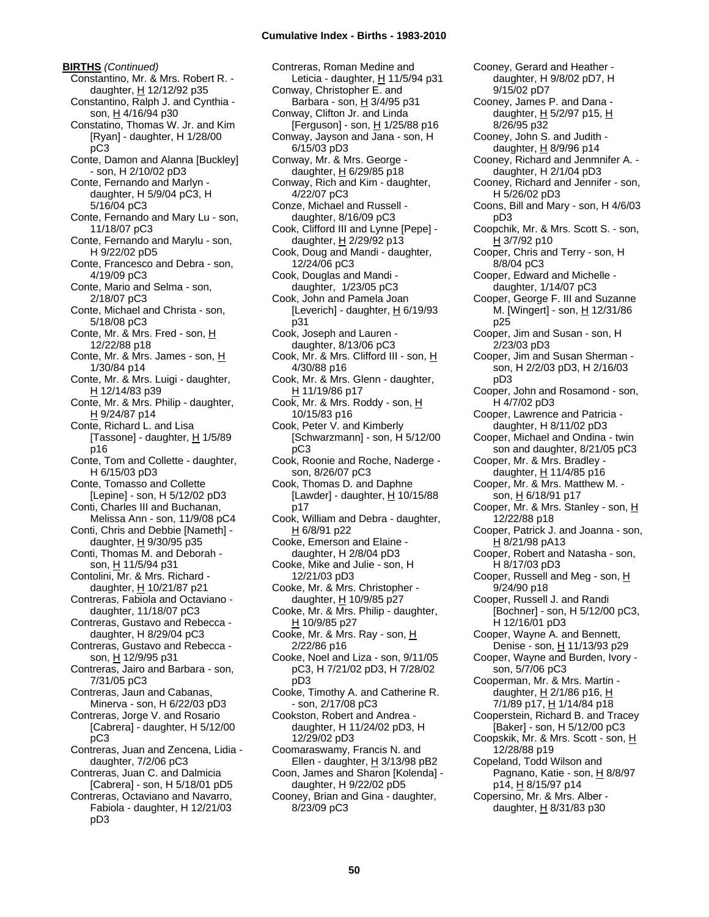**BIRTHS** *(Continued)* Constantino, Mr. & Mrs. Robert R. daughter, H 12/12/92 p35 Constantino, Ralph J. and Cynthia son, H 4/16/94 p30 Constatino, Thomas W. Jr. and Kim [Ryan] - daughter, H 1/28/00 pC3 Conte, Damon and Alanna [Buckley] - son, H 2/10/02 pD3 Conte, Fernando and Marlyn daughter, H 5/9/04 pC3, H 5/16/04 pC3 Conte, Fernando and Mary Lu - son, 11/18/07 pC3 Conte, Fernando and Marylu - son, H 9/22/02 pD5 Conte, Francesco and Debra - son, 4/19/09 pC3 Conte, Mario and Selma - son, 2/18/07 pC3 Conte, Michael and Christa - son, 5/18/08 pC3 Conte, Mr. & Mrs. Fred - son, H 12/22/88 p18 Conte, Mr. & Mrs. James - son, H 1/30/84 p14 Conte, Mr. & Mrs. Luigi - daughter, H 12/14/83 p39 Conte, Mr. & Mrs. Philip - daughter,  $H$  9/24/87 p14 Conte, Richard L. and Lisa [Tassone] - daughter,  $H$  1/5/89 p16 Conte, Tom and Collette - daughter, H 6/15/03 pD3 Conte, Tomasso and Collette [Lepine] - son, H 5/12/02 pD3 Conti, Charles III and Buchanan, Melissa Ann - son, 11/9/08 pC4 Conti, Chris and Debbie [Nameth] daughter,  $H$  9/30/95 p35 Conti, Thomas M. and Deborah son, H 11/5/94 p31 Contolini, Mr. & Mrs. Richard daughter, H 10/21/87 p21 Contreras, Fabiola and Octaviano daughter, 11/18/07 pC3 Contreras, Gustavo and Rebecca daughter, H 8/29/04 pC3 Contreras, Gustavo and Rebecca son, H 12/9/95 p31 Contreras, Jairo and Barbara - son, 7/31/05 pC3 Contreras, Jaun and Cabanas, Minerva - son, H 6/22/03 pD3 Contreras, Jorge V. and Rosario [Cabrera] - daughter, H 5/12/00 pC3 Contreras, Juan and Zencena, Lidia daughter, 7/2/06 pC3 Contreras, Juan C. and Dalmicia [Cabrera] - son, H 5/18/01 pD5 Contreras, Octaviano and Navarro, Fabiola - daughter, H 12/21/03

pD3

Contreras, Roman Medine and Leticia - daughter, H 11/5/94 p31 Conway, Christopher E. and Barbara - son,  $H$  3/4/95 p31 Conway, Clifton Jr. and Linda [Ferguson] - son, H 1/25/88 p16 Conway, Jayson and Jana - son, H 6/15/03 pD3 Conway, Mr. & Mrs. George daughter,  $H$  6/29/85 p18 Conway, Rich and Kim - daughter, 4/22/07 pC3 Conze, Michael and Russell daughter, 8/16/09 pC3 Cook, Clifford III and Lynne [Pepe] daughter,  $H$  2/29/92 p13 Cook, Doug and Mandi - daughter, 12/24/06 pC3 Cook, Douglas and Mandi daughter, 1/23/05 pC3 Cook, John and Pamela Joan [Leverich] - daughter,  $H$  6/19/93 p31 Cook, Joseph and Lauren daughter, 8/13/06 pC3 Cook, Mr. & Mrs. Clifford III - son, H 4/30/88 p16 Cook, Mr. & Mrs. Glenn - daughter, H 11/19/86 p17 Cook, Mr. & Mrs. Roddy - son, H 10/15/83 p16 Cook, Peter V. and Kimberly [Schwarzmann] - son, H 5/12/00 pC3 Cook, Roonie and Roche, Naderge son, 8/26/07 pC3 Cook, Thomas D. and Daphne [Lawder] - daughter,  $H$  10/15/88 p17 Cook, William and Debra - daughter, H 6/8/91 p22 Cooke, Emerson and Elaine daughter, H 2/8/04 pD3 Cooke, Mike and Julie - son, H 12/21/03 pD3 Cooke, Mr. & Mrs. Christopher daughter, H 10/9/85 p27 Cooke, Mr. & Mrs. Philip - daughter, H 10/9/85 p27 Cooke, Mr. & Mrs. Ray - son, H 2/22/86 p16 Cooke, Noel and Liza - son, 9/11/05 pC3, H 7/21/02 pD3, H 7/28/02 pD3 Cooke, Timothy A. and Catherine R. - son, 2/17/08 pC3 Cookston, Robert and Andrea daughter, H 11/24/02 pD3, H 12/29/02 pD3 Coomaraswamy, Francis N. and Ellen - daughter,  $H$  3/13/98 pB2 Coon, James and Sharon [Kolenda] daughter, H 9/22/02 pD5 Cooney, Brian and Gina - daughter, 8/23/09 pC3

Cooney, Gerard and Heather daughter, H 9/8/02 pD7, H 9/15/02 pD7 Cooney, James P. and Dana daughter, H 5/2/97 p15, H 8/26/95 p32 Cooney, John S. and Judith daughter, H 8/9/96 p14 Cooney, Richard and Jenmnifer A. daughter, H 2/1/04 pD3 Cooney, Richard and Jennifer - son, H 5/26/02 pD3 Coons, Bill and Mary - son, H 4/6/03 pD3 Coopchik, Mr. & Mrs. Scott S. - son,  $H$  3/7/92 p10 Cooper, Chris and Terry - son, H 8/8/04 pC3 Cooper, Edward and Michelle daughter, 1/14/07 pC3 Cooper, George F. III and Suzanne M. [Wingert] - son, H 12/31/86 p25 Cooper, Jim and Susan - son, H 2/23/03 pD3 Cooper, Jim and Susan Sherman son, H 2/2/03 pD3, H 2/16/03 pD3 Cooper, John and Rosamond - son, H 4/7/02 pD3 Cooper, Lawrence and Patricia daughter, H 8/11/02 pD3 Cooper, Michael and Ondina - twin son and daughter, 8/21/05 pC3 Cooper, Mr. & Mrs. Bradley daughter, H 11/4/85 p16 Cooper, Mr. & Mrs. Matthew M. son, H 6/18/91 p17 Cooper, Mr. & Mrs. Stanley - son, H 12/22/88 p18 Cooper, Patrick J. and Joanna - son, H 8/21/98 pA13 Cooper, Robert and Natasha - son, H 8/17/03 pD3 Cooper, Russell and Meg - son, H 9/24/90 p18 Cooper, Russell J. and Randi [Bochner] - son, H 5/12/00 pC3, H 12/16/01 pD3 Cooper, Wayne A. and Bennett, Denise - son, H 11/13/93 p29 Cooper, Wayne and Burden, Ivory son, 5/7/06 pC3 Cooperman, Mr. & Mrs. Martin daughter,  $H$  2/1/86 p16,  $H$ 7/1/89 p17, H 1/14/84 p18 Cooperstein, Richard B. and Tracey [Baker] - son, H 5/12/00 pC3 Coopskik, Mr. & Mrs. Scott - son, H 12/28/88 p19 Copeland, Todd Wilson and Pagnano, Katie - son, H 8/8/97 p14, H 8/15/97 p14 Copersino, Mr. & Mrs. Alber daughter,  $H$  8/31/83 p30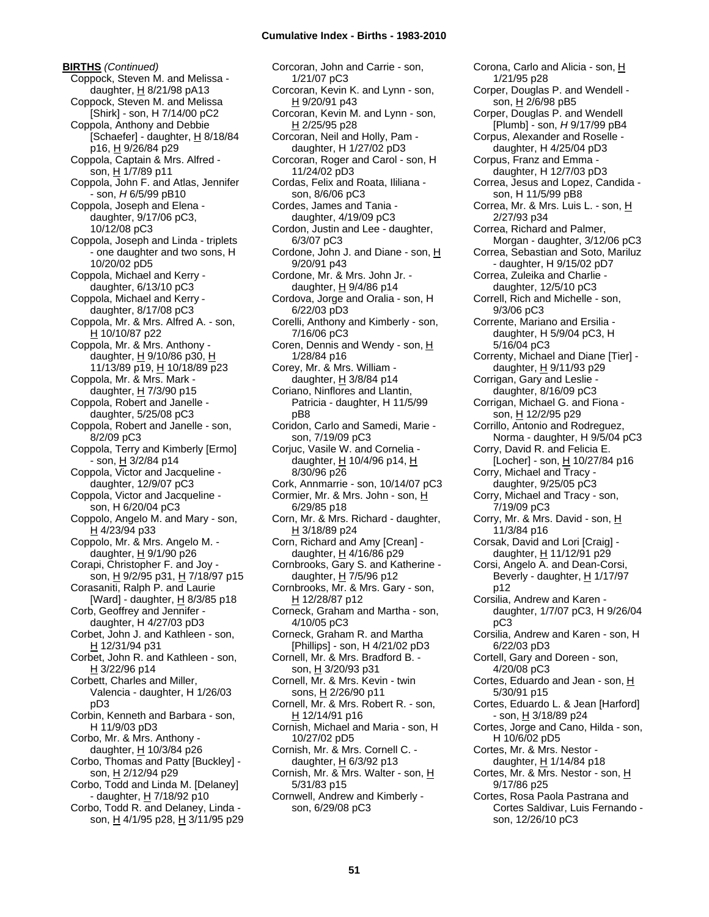**BIRTHS** *(Continued)* Coppock, Steven M. and Melissa daughter,  $H$  8/21/98 pA13 Coppock, Steven M. and Melissa [Shirk] - son, H 7/14/00 pC2 Coppola, Anthony and Debbie [Schaefer] - daughter,  $H_8$  8/18/84 p16, H 9/26/84 p29 Coppola, Captain & Mrs. Alfred son, H 1/7/89 p11 Coppola, John F. and Atlas, Jennifer - son, *H* 6/5/99 pB10 Coppola, Joseph and Elena daughter, 9/17/06 pC3, 10/12/08 pC3 Coppola, Joseph and Linda - triplets - one daughter and two sons, H 10/20/02 pD5 Coppola, Michael and Kerry daughter, 6/13/10 pC3 Coppola, Michael and Kerry daughter, 8/17/08 pC3 Coppola, Mr. & Mrs. Alfred A. - son, H 10/10/87 p22 Coppola, Mr. & Mrs. Anthony daughter, H 9/10/86 p30, H 11/13/89 p19, H 10/18/89 p23 Coppola, Mr. & Mrs. Mark daughter, H 7/3/90 p15 Coppola, Robert and Janelle daughter, 5/25/08 pC3 Coppola, Robert and Janelle - son, 8/2/09 pC3 Coppola, Terry and Kimberly [Ermo] - son, H 3/2/84 p14 Coppola, Victor and Jacqueline daughter, 12/9/07 pC3 Coppola, Victor and Jacqueline son, H 6/20/04 pC3 Coppolo, Angelo M. and Mary - son, H 4/23/94 p33 Coppolo, Mr. & Mrs. Angelo M. daughter, H 9/1/90 p26 Corapi, Christopher F. and Joy son, H 9/2/95 p31, H 7/18/97 p15 Corasaniti, Ralph P. and Laurie [Ward] - daughter, H 8/3/85 p18 Corb, Geoffrey and Jennifer daughter, H 4/27/03 pD3 Corbet, John J. and Kathleen - son, H 12/31/94 p31 Corbet, John R. and Kathleen - son, H 3/22/96 p14 Corbett, Charles and Miller, Valencia - daughter, H 1/26/03 pD3 Corbin, Kenneth and Barbara - son, H 11/9/03 pD3 Corbo, Mr. & Mrs. Anthony daughter,  $H$  10/3/84 p26 Corbo, Thomas and Patty [Buckley] son, H 2/12/94 p29 Corbo, Todd and Linda M. [Delaney] - daughter, H 7/18/92 p10 Corbo, Todd R. and Delaney, Linda son, H 4/1/95 p28, H 3/11/95 p29

Corcoran, John and Carrie - son, 1/21/07 pC3 Corcoran, Kevin K. and Lynn - son, H 9/20/91 p43 Corcoran, Kevin M. and Lynn - son, H 2/25/95 p28 Corcoran, Neil and Holly, Pam daughter, H 1/27/02 pD3 Corcoran, Roger and Carol - son, H 11/24/02 pD3 Cordas, Felix and Roata, Ililiana son, 8/6/06 pC3 Cordes, James and Tania daughter, 4/19/09 pC3 Cordon, Justin and Lee - daughter, 6/3/07 pC3 Cordone, John J. and Diane - son, H 9/20/91 p43 Cordone, Mr. & Mrs. John Jr. daughter, H 9/4/86 p14 Cordova, Jorge and Oralia - son, H 6/22/03 pD3 Corelli, Anthony and Kimberly - son, 7/16/06 pC3 Coren, Dennis and Wendy - son, H 1/28/84 p16 Corey, Mr. & Mrs. William daughter,  $H$  3/8/84 p14 Coriano, Ninflores and Llantin, Patricia - daughter, H 11/5/99 pB8 Coridon, Carlo and Samedi, Marie son, 7/19/09 pC3 Corjuc, Vasile W. and Cornelia daughter, H 10/4/96 p14, H 8/30/96 p26 Cork, Annmarrie - son, 10/14/07 pC3 Cormier, Mr. & Mrs. John - son, H 6/29/85 p18 Corn, Mr. & Mrs. Richard - daughter, H 3/18/89 p24 Corn, Richard and Amy [Crean] daughter, H 4/16/86 p29 Cornbrooks, Gary S. and Katherine daughter, H 7/5/96 p12 Cornbrooks, Mr. & Mrs. Gary - son, H 12/28/87 p12 Corneck, Graham and Martha - son, 4/10/05 pC3 Corneck, Graham R. and Martha [Phillips] - son, H 4/21/02 pD3 Cornell, Mr. & Mrs. Bradford B. son, H 3/20/93 p31 Cornell, Mr. & Mrs. Kevin - twin sons, H 2/26/90 p11 Cornell, Mr. & Mrs. Robert R. - son, H 12/14/91 p16 Cornish, Michael and Maria - son, H 10/27/02 pD5 Cornish, Mr. & Mrs. Cornell C. daughter,  $H$  6/3/92 p13 Cornish, Mr. & Mrs. Walter - son, H 5/31/83 p15 Cornwell, Andrew and Kimberly son, 6/29/08 pC3

Corona, Carlo and Alicia - son, H 1/21/95 p28 Corper, Douglas P. and Wendell son,  $H \overline{2/6}$ /98 pB5 Corper, Douglas P. and Wendell [Plumb] - son, *H* 9/17/99 pB4 Corpus, Alexander and Roselle daughter, H 4/25/04 pD3 Corpus, Franz and Emma daughter, H 12/7/03 pD3 Correa, Jesus and Lopez, Candida son, H 11/5/99 pB8 Correa, Mr. & Mrs. Luis L. - son, H 2/27/93 p34 Correa, Richard and Palmer, Morgan - daughter, 3/12/06 pC3 Correa, Sebastian and Soto, Mariluz - daughter, H 9/15/02 pD7 Correa, Zuleika and Charlie daughter, 12/5/10 pC3 Correll, Rich and Michelle - son, 9/3/06 pC3 Corrente, Mariano and Ersilia daughter, H 5/9/04 pC3, H 5/16/04 pC3 Correnty, Michael and Diane [Tier] daughter, H 9/11/93 p29 Corrigan, Gary and Leslie daughter, 8/16/09 pC3 Corrigan, Michael G. and Fiona son, H 12/2/95 p29 Corrillo, Antonio and Rodreguez, Norma - daughter, H 9/5/04 pC3 Corry, David R. and Felicia E. [Locher] - son, H 10/27/84 p16 Corry, Michael and Tracy daughter, 9/25/05 pC3 Corry, Michael and Tracy - son, 7/19/09 pC3 Corry, Mr. & Mrs. David - son, H 11/3/84 p16 Corsak, David and Lori [Craig] daughter,  $H$  11/12/91 p29 Corsi, Angelo A. and Dean-Corsi, Beverly - daughter,  $H$  1/17/97 p12 Corsilia, Andrew and Karen daughter, 1/7/07 pC3, H 9/26/04 pC3 Corsilia, Andrew and Karen - son, H 6/22/03 pD3 Cortell, Gary and Doreen - son, 4/20/08 pC3 Cortes, Eduardo and Jean - son,  $H$ 5/30/91 p15 Cortes, Eduardo L. & Jean [Harford] - son, H 3/18/89 p24 Cortes, Jorge and Cano, Hilda - son, H 10/6/02 pD5 Cortes, Mr. & Mrs. Nestor daughter,  $H$  1/14/84 p18 Cortes, Mr. & Mrs. Nestor - son, H 9/17/86 p25 Cortes, Rosa Paola Pastrana and Cortes Saldivar, Luis Fernando -

son, 12/26/10 pC3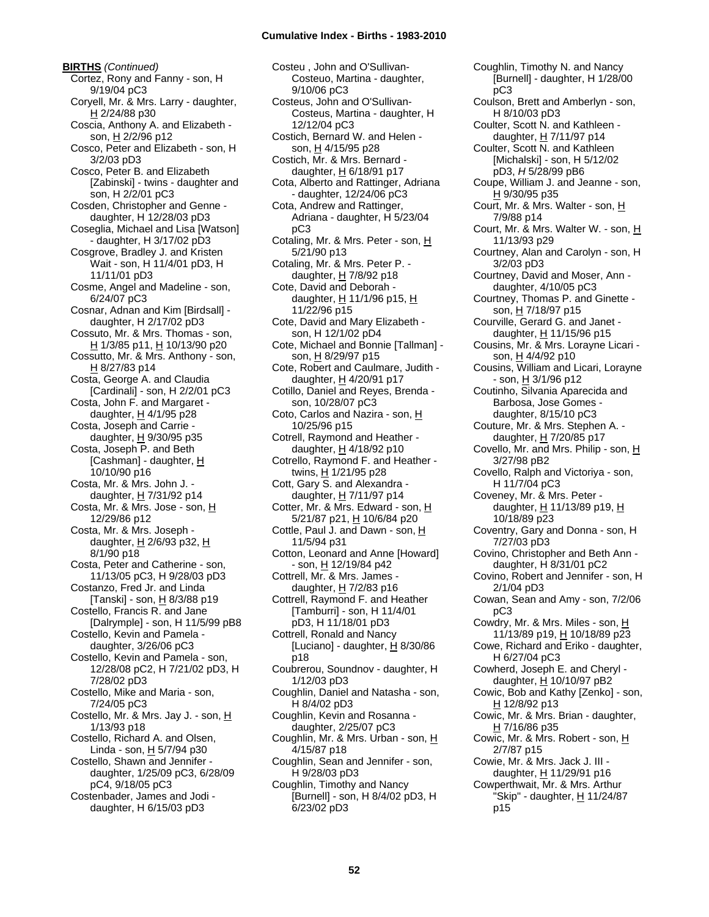**BIRTHS** *(Continued)* Cortez, Rony and Fanny - son, H 9/19/04 pC3 Coryell, Mr. & Mrs. Larry - daughter, H 2/24/88 p30 Coscia, Anthony A. and Elizabeth son, H 2/2/96 p12 Cosco, Peter and Elizabeth - son, H 3/2/03 pD3 Cosco, Peter B. and Elizabeth [Zabinski] - twins - daughter and son, H 2/2/01 pC3 Cosden, Christopher and Genne daughter, H 12/28/03 pD3 Coseglia, Michael and Lisa [Watson] - daughter, H 3/17/02 pD3 Cosgrove, Bradley J. and Kristen Wait - son, H 11/4/01 pD3, H 11/11/01 pD3 Cosme, Angel and Madeline - son, 6/24/07 pC3 Cosnar, Adnan and Kim [Birdsall] daughter, H 2/17/02 pD3 Cossuto, Mr. & Mrs. Thomas - son, H 1/3/85 p11, H 10/13/90 p20 Cossutto, Mr. & Mrs. Anthony - son, H 8/27/83 p14 Costa, George A. and Claudia [Cardinali] - son, H 2/2/01 pC3 Costa, John F. and Margaret daughter,  $H$  4/1/95 p28 Costa, Joseph and Carrie daughter, H 9/30/95 p35 Costa, Joseph P. and Beth [Cashman] - daughter, H 10/10/90 p16 Costa, Mr. & Mrs. John J. daughter, H 7/31/92 p14 Costa, Mr. & Mrs. Jose - son, H 12/29/86 p12 Costa, Mr. & Mrs. Joseph daughter,  $H$  2/6/93 p32,  $H$ 8/1/90 p18 Costa, Peter and Catherine - son, 11/13/05 pC3, H 9/28/03 pD3 Costanzo, Fred Jr. and Linda [Tanski] - son, H 8/3/88 p19 Costello, Francis R. and Jane [Dalrymple] - son, H 11/5/99 pB8 Costello, Kevin and Pamela daughter, 3/26/06 pC3 Costello, Kevin and Pamela - son, 12/28/08 pC2, H 7/21/02 pD3, H 7/28/02 pD3 Costello, Mike and Maria - son, 7/24/05 pC3 Costello, Mr. & Mrs. Jay J. - son, H 1/13/93 p18 Costello, Richard A. and Olsen, Linda - son,  $H$  5/7/94 p30 Costello, Shawn and Jennifer daughter, 1/25/09 pC3, 6/28/09 pC4, 9/18/05 pC3 Costenbader, James and Jodi daughter, H 6/15/03 pD3

Costeu , John and O'Sullivan-Costeuo, Martina - daughter, 9/10/06 pC3 Costeus, John and O'Sullivan-Costeus, Martina - daughter, H 12/12/04 pC3 Costich, Bernard W. and Helen son, H 4/15/95 p28 Costich, Mr. & Mrs. Bernard daughter,  $H$  6/18/91 p17 Cota, Alberto and Rattinger, Adriana - daughter, 12/24/06 pC3 Cota, Andrew and Rattinger, Adriana - daughter, H 5/23/04 pC3 Cotaling, Mr. & Mrs. Peter - son, H 5/21/90 p13 Cotaling, Mr. & Mrs. Peter P. daughter,  $H$  7/8/92 p18 Cote, David and Deborah daughter, H 11/1/96 p15, H 11/22/96 p15 Cote, David and Mary Elizabeth son, H 12/1/02 pD4 Cote, Michael and Bonnie [Tallman] son, H 8/29/97 p15 Cote, Robert and Caulmare, Judith daughter, H 4/20/91 p17 Cotillo, Daniel and Reyes, Brenda son, 10/28/07 pC3 Coto, Carlos and Nazira - son, H 10/25/96 p15 Cotrell, Raymond and Heather daughter, H 4/18/92 p10 Cotrello, Raymond F. and Heather twins, H 1/21/95 p28 Cott, Gary S. and Alexandra daughter, H 7/11/97 p14 Cotter, Mr. & Mrs. Edward - son, H 5/21/87 p21, H 10/6/84 p20 Cottle, Paul J. and Dawn - son, H 11/5/94 p31 Cotton, Leonard and Anne [Howard] - son, H 12/19/84 p42 Cottrell, Mr. & Mrs. James daughter,  $H$  7/2/83 p16 Cottrell, Raymond F. and Heather [Tamburri] - son, H 11/4/01 pD3, H 11/18/01 pD3 Cottrell, Ronald and Nancy [Luciano] - daughter,  $H$  8/30/86 p18 Coubrerou, Soundnov - daughter, H 1/12/03 pD3 Coughlin, Daniel and Natasha - son, H 8/4/02 pD3 Coughlin, Kevin and Rosanna daughter, 2/25/07 pC3 Coughlin, Mr. & Mrs. Urban - son, H 4/15/87 p18 Coughlin, Sean and Jennifer - son, H 9/28/03 pD3 Coughlin, Timothy and Nancy [Burnell] - son, H 8/4/02 pD3, H 6/23/02 pD3

Coughlin, Timothy N. and Nancy [Burnell] - daughter, H 1/28/00 pC3 Coulson, Brett and Amberlyn - son, H 8/10/03 pD3 Coulter, Scott N. and Kathleen daughter,  $H$  7/11/97 p14 Coulter, Scott N. and Kathleen [Michalski] - son, H 5/12/02 pD3, *H* 5/28/99 pB6 Coupe, William J. and Jeanne - son, H 9/30/95 p35 Court, Mr. & Mrs. Walter - son, H 7/9/88 p14 Court, Mr. & Mrs. Walter W. - son, H 11/13/93 p29 Courtney, Alan and Carolyn - son, H 3/2/03 pD3 Courtney, David and Moser, Ann daughter, 4/10/05 pC3 Courtney, Thomas P. and Ginette son, H 7/18/97 p15 Courville, Gerard G. and Janet daughter, H 11/15/96 p15 Cousins, Mr. & Mrs. Lorayne Licari son, <u>H</u> 4/4/92 p10 Cousins, William and Licari, Lorayne  $-$  son,  $H$  3/1/96 p12 Coutinho, Silvania Aparecida and Barbosa, Jose Gomes daughter, 8/15/10 pC3 Couture, Mr. & Mrs. Stephen A. daughter, H 7/20/85 p17 Covello, Mr. and Mrs. Philip - son, H 3/27/98 pB2 Covello, Ralph and Victoriya - son, H 11/7/04 pC3 Coveney, Mr. & Mrs. Peter daughter, H 11/13/89 p19, H 10/18/89 p23 Coventry, Gary and Donna - son, H 7/27/03 pD3 Covino, Christopher and Beth Ann daughter, H 8/31/01 pC2 Covino, Robert and Jennifer - son, H 2/1/04 pD3 Cowan, Sean and Amy - son, 7/2/06 pC3 Cowdry, Mr. & Mrs. Miles - son, H 11/13/89 p19, H 10/18/89 p23 Cowe, Richard and Eriko - daughter, H 6/27/04 pC3 Cowherd, Joseph E. and Cheryl daughter, H 10/10/97 pB2 Cowic, Bob and Kathy [Zenko] - son, H 12/8/92 p13 Cowic, Mr. & Mrs. Brian - daughter, H 7/16/86 p35 Cowic, Mr. & Mrs. Robert - son, H 2/7/87 p15 Cowie, Mr. & Mrs. Jack J. III daughter, H 11/29/91 p16 Cowperthwait, Mr. & Mrs. Arthur "Skip" - daughter, H 11/24/87 p15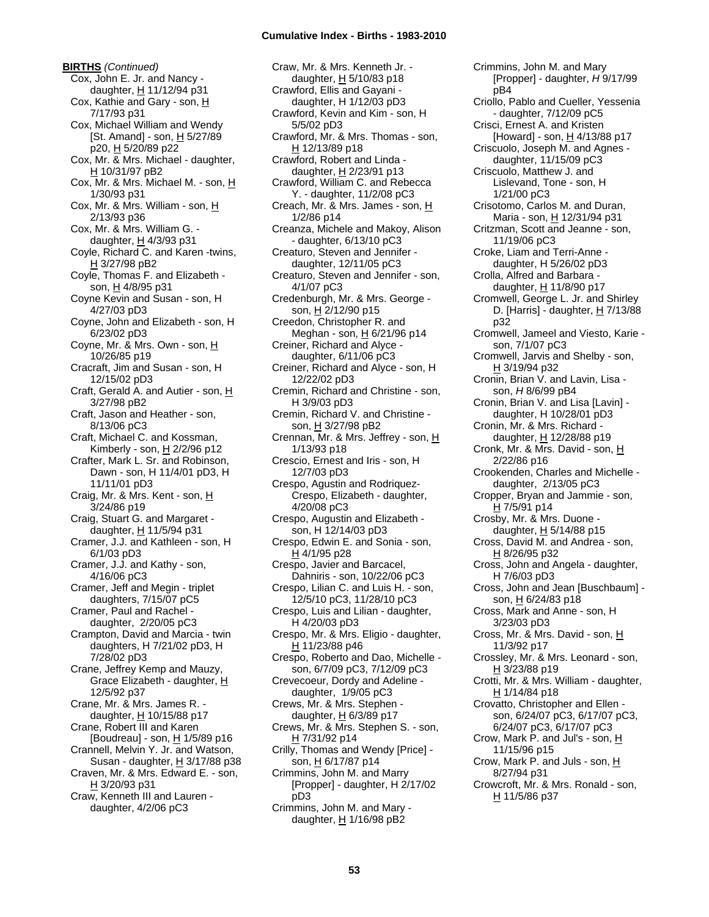**BIRTHS** *(Continued)* Cox, John E. Jr. and Nancy daughter, H 11/12/94 p31 Cox, Kathie and Gary - son, H 7/17/93 p31 Cox, Michael William and Wendy [St. Amand] - son,  $H$  5/27/89 p20, H 5/20/89 p22 Cox, Mr. & Mrs. Michael - daughter, H 10/31/97 pB2 Cox, Mr. & Mrs. Michael M. - son, H 1/30/93 p31 Cox, Mr. & Mrs. William - son, H 2/13/93 p36 Cox, Mr. & Mrs. William G. daughter,  $H$  4/3/93 p31 Coyle, Richard C. and Karen -twins, H 3/27/98 pB2 Coyle, Thomas F. and Elizabeth son, H 4/8/95 p31 Coyne Kevin and Susan - son, H 4/27/03 pD3 Coyne, John and Elizabeth - son, H 6/23/02 pD3 Coyne, Mr. & Mrs. Own - son, H 10/26/85 p19 Cracraft, Jim and Susan - son, H 12/15/02 pD3 Craft, Gerald A. and Autier - son, H 3/27/98 pB2 Craft, Jason and Heather - son, 8/13/06 pC3 Craft, Michael C. and Kossman, Kimberly - son, H 2/2/96 p12 Crafter, Mark L. Sr. and Robinson, Dawn - son, H 11/4/01 pD3, H 11/11/01 pD3 Craig, Mr. & Mrs. Kent - son, H 3/24/86 p19 Craig, Stuart G. and Margaret daughter, H 11/5/94 p31 Cramer, J.J. and Kathleen - son, H 6/1/03 pD3 Cramer, J.J. and Kathy - son, 4/16/06 pC3 Cramer, Jeff and Megin - triplet daughters, 7/15/07 pC5 Cramer, Paul and Rachel daughter, 2/20/05 pC3 Crampton, David and Marcia - twin daughters, H 7/21/02 pD3, H 7/28/02 pD3 Crane, Jeffrey Kemp and Mauzy, Grace Elizabeth - daughter, H 12/5/92 p37 Crane, Mr. & Mrs. James R. daughter,  $H$  10/15/88 p17 Crane, Robert III and Karen [Boudreau] - son, H 1/5/89 p16 Crannell, Melvin Y. Jr. and Watson, Susan - daughter,  $H$  3/17/88 p38 Craven, Mr. & Mrs. Edward E. - son, H 3/20/93 p31 Craw, Kenneth III and Lauren daughter, 4/2/06 pC3

Craw, Mr. & Mrs. Kenneth Jr. daughter, H 5/10/83 p18 Crawford, Ellis and Gayani daughter, H 1/12/03 pD3 Crawford, Kevin and Kim - son, H 5/5/02 pD3 Crawford, Mr. & Mrs. Thomas - son, H 12/13/89 p18 Crawford, Robert and Linda daughter,  $H$  2/23/91 p13 Crawford, William C. and Rebecca Y. - daughter, 11/2/08 pC3 Creach, Mr. & Mrs. James - son, H 1/2/86 p14 Creanza, Michele and Makoy, Alison - daughter, 6/13/10 pC3 Creaturo, Steven and Jennifer daughter, 12/11/05 pC3 Creaturo, Steven and Jennifer - son, 4/1/07 pC3 Credenburgh, Mr. & Mrs. George son, H 2/12/90 p15 Creedon, Christopher R. and Meghan - son, H 6/21/96 p14 Creiner, Richard and Alyce daughter, 6/11/06 pC3 Creiner, Richard and Alyce - son, H 12/22/02 pD3 Cremin, Richard and Christine - son, H 3/9/03 pD3 Cremin, Richard V. and Christine son, H 3/27/98 pB2 Crennan, Mr. & Mrs. Jeffrey - son, H 1/13/93 p18 Crescio, Ernest and Iris - son, H 12/7/03 pD3 Crespo, Agustin and Rodriquez-Crespo, Elizabeth - daughter, 4/20/08 pC3 Crespo, Augustin and Elizabeth son, H 12/14/03 pD3 Crespo, Edwin E. and Sonia - son,  $H$  4/1/95 p28 Crespo, Javier and Barcacel, Dahniris - son, 10/22/06 pC3 Crespo, Lilian C. and Luis H. - son, 12/5/10 pC3, 11/28/10 pC3 Crespo, Luis and Lilian - daughter, H 4/20/03 pD3 Crespo, Mr. & Mrs. Eligio - daughter, H 11/23/88 p46 Crespo, Roberto and Dao, Michelle son, 6/7/09 pC3, 7/12/09 pC3 Crevecoeur, Dordy and Adeline daughter, 1/9/05 pC3 Crews, Mr. & Mrs. Stephen daughter, H 6/3/89 p17 Crews, Mr. & Mrs. Stephen S. - son, H 7/31/92 p14 Crilly, Thomas and Wendy [Price] son, H 6/17/87 p14 Crimmins, John M. and Marry [Propper] - daughter, H 2/17/02 pD3 Crimmins, John M. and Mary daughter,  $H$  1/16/98 pB2

Crimmins, John M. and Mary [Propper] - daughter, *H* 9/17/99 pB4 Criollo, Pablo and Cueller, Yessenia - daughter, 7/12/09 pC5 Crisci, Ernest A. and Kristen [Howard] - son,  $\underline{H}$  4/13/88 p17 Criscuolo, Joseph M. and Agnes daughter, 11/15/09 pC3 Criscuolo, Matthew J. and Lislevand, Tone - son, H 1/21/00 pC3 Crisotomo, Carlos M. and Duran, Maria - son, H 12/31/94 p31 Critzman, Scott and Jeanne - son, 11/19/06 pC3 Croke, Liam and Terri-Anne daughter, H 5/26/02 pD3 Crolla, Alfred and Barbara daughter, H 11/8/90 p17 Cromwell, George L. Jr. and Shirley D. [Harris] - daughter,  $H$  7/13/88 p32 Cromwell, Jameel and Viesto, Karie son, 7/1/07 pC3 Cromwell, Jarvis and Shelby - son, H 3/19/94 p32 Cronin, Brian V. and Lavin, Lisa son, *H* 8/6/99 pB4 Cronin, Brian V. and Lisa [Lavin] daughter, H 10/28/01 pD3 Cronin, Mr. & Mrs. Richard daughter, H 12/28/88 p19 Cronk, Mr. & Mrs. David - son, H 2/22/86 p16 Crookenden, Charles and Michelle daughter, 2/13/05 pC3 Cropper, Bryan and Jammie - son, H 7/5/91 p14 Crosby, Mr. & Mrs. Duone daughter, H 5/14/88 p15 Cross, David M. and Andrea - son, H 8/26/95 p32 Cross, John and Angela - daughter, H 7/6/03 pD3 Cross, John and Jean [Buschbaum] son, H 6/24/83 p18 Cross, Mark and Anne - son, H 3/23/03 pD3 Cross, Mr. & Mrs. David - son, H 11/3/92 p17 Crossley, Mr. & Mrs. Leonard - son, H 3/23/88 p19 Crotti, Mr. & Mrs. William - daughter,  $H$  1/14/84 p18 Crovatto, Christopher and Ellen son, 6/24/07 pC3, 6/17/07 pC3, 6/24/07 pC3, 6/17/07 pC3 Crow, Mark P. and Jul's - son, H 11/15/96 p15 Crow, Mark P. and Juls - son, H 8/27/94 p31 Crowcroft, Mr. & Mrs. Ronald - son,  $H$  11/5/86 p37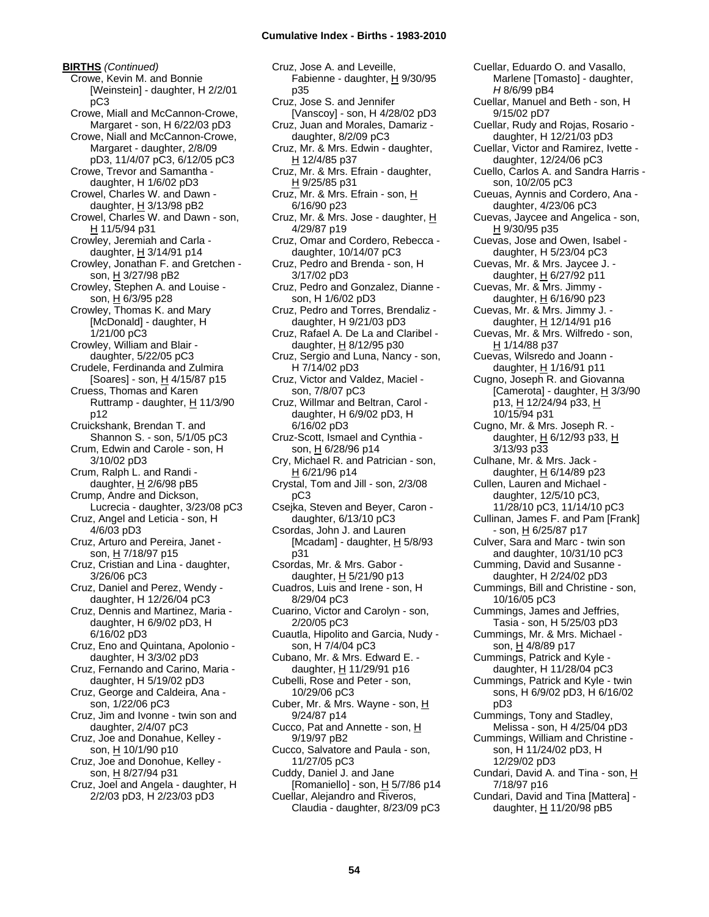**BIRTHS** *(Continued)* Crowe, Kevin M. and Bonnie [Weinstein] - daughter, H 2/2/01 pC3 Crowe, Miall and McCannon-Crowe, Margaret - son, H 6/22/03 pD3 Crowe, Niall and McCannon-Crowe, Margaret - daughter, 2/8/09 pD3, 11/4/07 pC3, 6/12/05 pC3 Crowe, Trevor and Samantha daughter, H 1/6/02 pD3 Crowel, Charles W. and Dawn daughter,  $H$  3/13/98 pB2 Crowel, Charles W. and Dawn - son, H 11/5/94 p31 Crowley, Jeremiah and Carla daughter,  $H$  3/14/91 p14 Crowley, Jonathan F. and Gretchen son, H 3/27/98 pB2 Crowley, Stephen A. and Louise son, H 6/3/95 p28 Crowley, Thomas K. and Mary [McDonald] - daughter, H 1/21/00 pC3 Crowley, William and Blair daughter, 5/22/05 pC3 Crudele, Ferdinanda and Zulmira [Soares] - son, H 4/15/87 p15 Cruess, Thomas and Karen Ruttramp - daughter, H 11/3/90 p12 Cruickshank, Brendan T. and Shannon S. - son, 5/1/05 pC3 Crum, Edwin and Carole - son, H 3/10/02 pD3 Crum, Ralph L. and Randi daughter,  $H$  2/6/98 pB5 Crump, Andre and Dickson, Lucrecia - daughter, 3/23/08 pC3 Cruz, Angel and Leticia - son, H 4/6/03 pD3 Cruz, Arturo and Pereira, Janet son, H 7/18/97 p15 Cruz, Cristian and Lina - daughter, 3/26/06 pC3 Cruz, Daniel and Perez, Wendy daughter, H 12/26/04 pC3 Cruz, Dennis and Martinez, Maria daughter, H 6/9/02 pD3, H 6/16/02 pD3 Cruz, Eno and Quintana, Apolonio daughter, H 3/3/02 pD3 Cruz, Fernando and Carino, Maria daughter, H 5/19/02 pD3 Cruz, George and Caldeira, Ana son, 1/22/06 pC3 Cruz, Jim and Ivonne - twin son and daughter, 2/4/07 pC3 Cruz, Joe and Donahue, Kelley son, H 10/1/90 p10 Cruz, Joe and Donohue, Kelley son, H 8/27/94 p31 Cruz, Joel and Angela - daughter, H 2/2/03 pD3, H 2/23/03 pD3

Cruz, Jose A. and Leveille, Fabienne - daughter, H 9/30/95 p35 Cruz, Jose S. and Jennifer [Vanscoy] - son, H 4/28/02 pD3 Cruz, Juan and Morales, Damariz daughter, 8/2/09 pC3 Cruz, Mr. & Mrs. Edwin - daughter, H 12/4/85 p37 Cruz, Mr. & Mrs. Efrain - daughter, H 9/25/85 p31 Cruz, Mr. & Mrs. Efrain - son, H 6/16/90 p23 Cruz, Mr. & Mrs. Jose - daughter, H 4/29/87 p19 Cruz, Omar and Cordero, Rebecca daughter, 10/14/07 pC3 Cruz, Pedro and Brenda - son, H 3/17/02 pD3 Cruz, Pedro and Gonzalez, Dianne son, H 1/6/02 pD3 Cruz, Pedro and Torres, Brendaliz daughter, H 9/21/03 pD3 Cruz, Rafael A. De La and Claribel daughter,  $H$  8/12/95 p30 Cruz, Sergio and Luna, Nancy - son, H 7/14/02 pD3 Cruz, Victor and Valdez, Maciel son, 7/8/07 pC3 Cruz, Willmar and Beltran, Carol daughter, H 6/9/02 pD3, H 6/16/02 pD3 Cruz-Scott, Ismael and Cynthia son, H 6/28/96 p14 Cry, Michael R. and Patrician - son, H 6/21/96 p14 Crystal, Tom and Jill - son, 2/3/08 pC3 Csejka, Steven and Beyer, Caron daughter, 6/13/10 pC3 Csordas, John J. and Lauren [Mcadam] - daughter,  $H$  5/8/93 p31 Csordas, Mr. & Mrs. Gabor daughter,  $H$  5/21/90 p13 Cuadros, Luis and Irene - son, H 8/29/04 pC3 Cuarino, Victor and Carolyn - son, 2/20/05 pC3 Cuautla, Hipolito and Garcia, Nudy son, H 7/4/04 pC3 Cubano, Mr. & Mrs. Edward E. daughter, H 11/29/91 p16 Cubelli, Rose and Peter - son, 10/29/06 pC3 Cuber, Mr. & Mrs. Wayne - son, H 9/24/87 p14 Cucco, Pat and Annette - son, H 9/19/97 pB2 Cucco, Salvatore and Paula - son, 11/27/05 pC3 Cuddy, Daniel J. and Jane [Romaniello] - son, H 5/7/86 p14 Cuellar, Alejandro and Riveros, Claudia - daughter, 8/23/09 pC3

Cuellar, Eduardo O. and Vasallo, Marlene [Tomasto] - daughter, *H* 8/6/99 pB4 Cuellar, Manuel and Beth - son, H 9/15/02 pD7 Cuellar, Rudy and Rojas, Rosario daughter, H 12/21/03 pD3 Cuellar, Victor and Ramirez, Ivette daughter, 12/24/06 pC3 Cuello, Carlos A. and Sandra Harris son, 10/2/05 pC3 Cueuas, Aynnis and Cordero, Ana daughter, 4/23/06 pC3 Cuevas, Jaycee and Angelica - son, H 9/30/95 p35 Cuevas, Jose and Owen, Isabel daughter, H 5/23/04 pC3 Cuevas, Mr. & Mrs. Jaycee J. daughter, H 6/27/92 p11 Cuevas, Mr. & Mrs. Jimmy daughter,  $H$  6/16/90 p23 Cuevas, Mr. & Mrs. Jimmy J. daughter, H 12/14/91 p16 Cuevas, Mr. & Mrs. Wilfredo - son, H 1/14/88 p37 Cuevas, Wilsredo and Joann daughter, H 1/16/91 p11 Cugno, Joseph R. and Giovanna [Camerota] - daughter, H 3/3/90 p13, H 12/24/94 p33, H 10/15/94 p31 Cugno, Mr. & Mrs. Joseph R. daughter,  $H$  6/12/93 p33,  $H$ 3/13/93 p33 Culhane, Mr. & Mrs. Jack daughter,  $H$  6/14/89 p23 Cullen, Lauren and Michael daughter, 12/5/10 pC3, 11/28/10 pC3, 11/14/10 pC3 Cullinan, James F. and Pam [Frank] - son, H 6/25/87 p17 Culver, Sara and Marc - twin son and daughter, 10/31/10 pC3 Cumming, David and Susanne daughter, H 2/24/02 pD3 Cummings, Bill and Christine - son, 10/16/05 pC3 Cummings, James and Jeffries, Tasia - son, H 5/25/03 pD3 Cummings, Mr. & Mrs. Michael son, H 4/8/89 p17 Cummings, Patrick and Kyle daughter, H 11/28/04 pC3 Cummings, Patrick and Kyle - twin sons, H 6/9/02 pD3, H 6/16/02 pD3 Cummings, Tony and Stadley, Melissa - son, H 4/25/04 pD3 Cummings, William and Christine son, H 11/24/02 pD3, H 12/29/02 pD3 Cundari, David A. and Tina - son, H 7/18/97 p16 Cundari, David and Tina [Mattera] daughter, H 11/20/98 pB5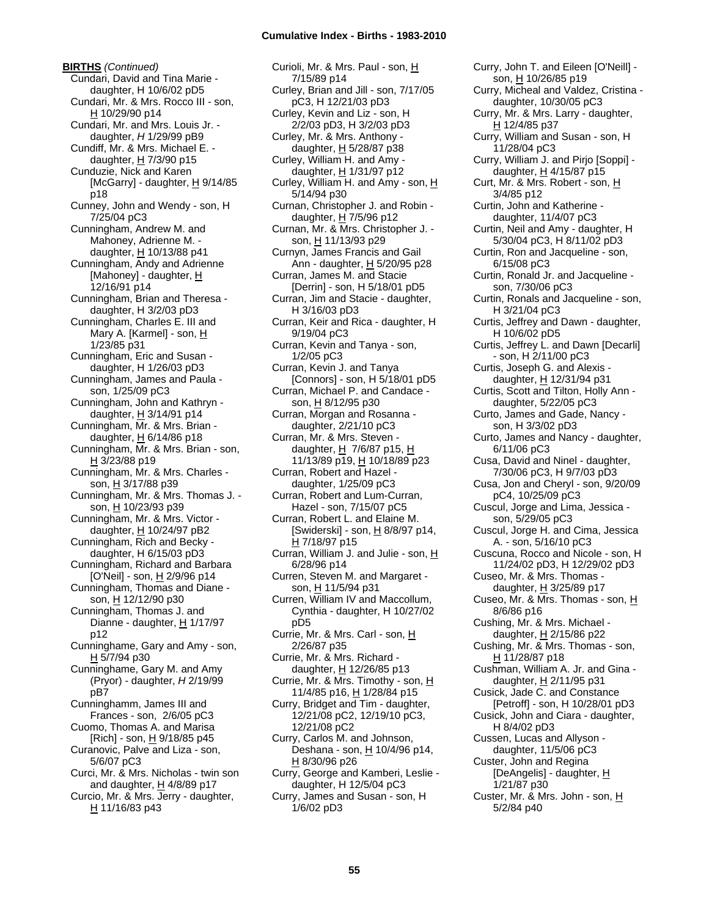**BIRTHS** *(Continued)* Cundari, David and Tina Marie daughter, H 10/6/02 pD5 Cundari, Mr. & Mrs. Rocco III - son, H 10/29/90 p14 Cundari, Mr. and Mrs. Louis Jr. daughter, *H* 1/29/99 pB9 Cundiff, Mr. & Mrs. Michael E. daughter,  $H$  7/3/90 p15 Cunduzie, Nick and Karen [McGarry] - daughter,  $H$  9/14/85 p18 Cunney, John and Wendy - son, H 7/25/04 pC3 Cunningham, Andrew M. and Mahoney, Adrienne M. daughter, H 10/13/88 p41 Cunningham, Andy and Adrienne [Mahoney] - daughter, H 12/16/91 p14 Cunningham, Brian and Theresa daughter, H 3/2/03 pD3 Cunningham, Charles E. III and Mary A. [Karmel] - son, H 1/23/85 p31 Cunningham, Eric and Susan daughter, H 1/26/03 pD3 Cunningham, James and Paula son, 1/25/09 pC3 Cunningham, John and Kathryn daughter,  $H$  3/14/91 p14 Cunningham, Mr. & Mrs. Brian daughter, H 6/14/86 p18 Cunningham, Mr. & Mrs. Brian - son, H 3/23/88 p19 Cunningham, Mr. & Mrs. Charles son, H 3/17/88 p39 Cunningham, Mr. & Mrs. Thomas J. son, H 10/23/93 p39 Cunningham, Mr. & Mrs. Victor daughter, H 10/24/97 pB2 Cunningham, Rich and Becky daughter, H 6/15/03 pD3 Cunningham, Richard and Barbara [O'Neil] - son,  $\underline{H}$  2/9/96 p14 Cunningham, Thomas and Diane son, H 12/12/90 p30 Cunningham, Thomas J. and Dianne - daughter, H 1/17/97 p12 Cunninghame, Gary and Amy - son, H 5/7/94 p30 Cunninghame, Gary M. and Amy (Pryor) - daughter, *H* 2/19/99 pB7 Cunninghamm, James III and Frances - son, 2/6/05 pC3 Cuomo, Thomas A. and Marisa [Rich] - son, H 9/18/85 p45 Curanovic, Palve and Liza - son, 5/6/07 pC3 Curci, Mr. & Mrs. Nicholas - twin son and daughter, H 4/8/89 p17 Curcio, Mr. & Mrs. Jerry - daughter,

H 11/16/83 p43

Curioli, Mr. & Mrs. Paul - son, H 7/15/89 p14 Curley, Brian and Jill - son, 7/17/05 pC3, H 12/21/03 pD3 Curley, Kevin and Liz - son, H 2/2/03 pD3, H 3/2/03 pD3 Curley, Mr. & Mrs. Anthony daughter, H 5/28/87 p38 Curley, William H. and Amy daughter, H 1/31/97 p12 Curley, William H. and Amy - son, H 5/14/94 p30 Curnan, Christopher J. and Robin daughter, H 7/5/96 p12 Curnan, Mr. & Mrs. Christopher J. son, H 11/13/93 p29 Curnyn, James Francis and Gail Ann - daughter, H 5/20/95 p28 Curran, James M. and Stacie [Derrin] - son, H 5/18/01 pD5 Curran, Jim and Stacie - daughter, H 3/16/03 pD3 Curran, Keir and Rica - daughter, H 9/19/04 pC3 Curran, Kevin and Tanya - son, 1/2/05 pC3 Curran, Kevin J. and Tanya [Connors] - son, H 5/18/01 pD5 Curran, Michael P. and Candace son, H 8/12/95 p30 Curran, Morgan and Rosanna daughter, 2/21/10 pC3 Curran, Mr. & Mrs. Steven daughter, H 7/6/87 p15, H 11/13/89 p19, H 10/18/89 p23 Curran, Robert and Hazel daughter, 1/25/09 pC3 Curran, Robert and Lum-Curran, Hazel - son, 7/15/07 pC5 Curran, Robert L. and Elaine M. [Swiderski] - son, H 8/8/97 p14, H 7/18/97 p15 Curran, William J. and Julie - son, H 6/28/96 p14 Curren, Steven M. and Margaret son, H 11/5/94 p31 Curren, William IV and Maccollum, Cynthia - daughter, H 10/27/02 pD5 Currie, Mr. & Mrs. Carl - son, H 2/26/87 p35 Currie, Mr. & Mrs. Richard daughter, H 12/26/85 p13 Currie, Mr. & Mrs. Timothy - son, H 11/4/85 p16, H 1/28/84 p15 Curry, Bridget and Tim - daughter, 12/21/08 pC2, 12/19/10 pC3, 12/21/08 pC2 Curry, Carlos M. and Johnson, Deshana - son, H 10/4/96 p14, H 8/30/96 p26 Curry, George and Kamberi, Leslie daughter, H 12/5/04 pC3 Curry, James and Susan - son, H 1/6/02 pD3

Curry, John T. and Eileen [O'Neill] son, H 10/26/85 p19 Curry, Micheal and Valdez, Cristina daughter, 10/30/05 pC3 Curry, Mr. & Mrs. Larry - daughter, H 12/4/85 p37 Curry, William and Susan - son, H 11/28/04 pC3 Curry, William J. and Pirjo [Soppi] daughter,  $H$  4/15/87 p15 Curt, Mr. & Mrs. Robert - son, H 3/4/85 p12 Curtin, John and Katherine daughter, 11/4/07 pC3 Curtin, Neil and Amy - daughter, H 5/30/04 pC3, H 8/11/02 pD3 Curtin, Ron and Jacqueline - son, 6/15/08 pC3 Curtin, Ronald Jr. and Jacqueline son, 7/30/06 pC3 Curtin, Ronals and Jacqueline - son, H 3/21/04 pC3 Curtis, Jeffrey and Dawn - daughter, H 10/6/02 pD5 Curtis, Jeffrey L. and Dawn [Decarli] - son, H 2/11/00 pC3 Curtis, Joseph G. and Alexis daughter, H 12/31/94 p31 Curtis, Scott and Tilton, Holly Ann daughter, 5/22/05 pC3 Curto, James and Gade, Nancy son, H 3/3/02 pD3 Curto, James and Nancy - daughter, 6/11/06 pC3 Cusa, David and Ninel - daughter, 7/30/06 pC3, H 9/7/03 pD3 Cusa, Jon and Cheryl - son, 9/20/09 pC4, 10/25/09 pC3 Cuscul, Jorge and Lima, Jessica son, 5/29/05 pC3 Cuscul, Jorge H. and Cima, Jessica A. - son, 5/16/10 pC3 Cuscuna, Rocco and Nicole - son, H 11/24/02 pD3, H 12/29/02 pD3 Cuseo, Mr. & Mrs. Thomas daughter,  $H$  3/25/89 p17 Cuseo, Mr. & Mrs. Thomas - son, H 8/6/86 p16 Cushing, Mr. & Mrs. Michael daughter, H 2/15/86 p22 Cushing, Mr. & Mrs. Thomas - son, H 11/28/87 p18 Cushman, William A. Jr. and Gina daughter, H 2/11/95 p31 Cusick, Jade C. and Constance [Petroff] - son, H 10/28/01 pD3 Cusick, John and Ciara - daughter, H 8/4/02 pD3 Cussen, Lucas and Allyson daughter, 11/5/06 pC3 Custer, John and Regina [DeAngelis] - daughter, H 1/21/87 p30 Custer, Mr. & Mrs. John - son, H 5/2/84 p40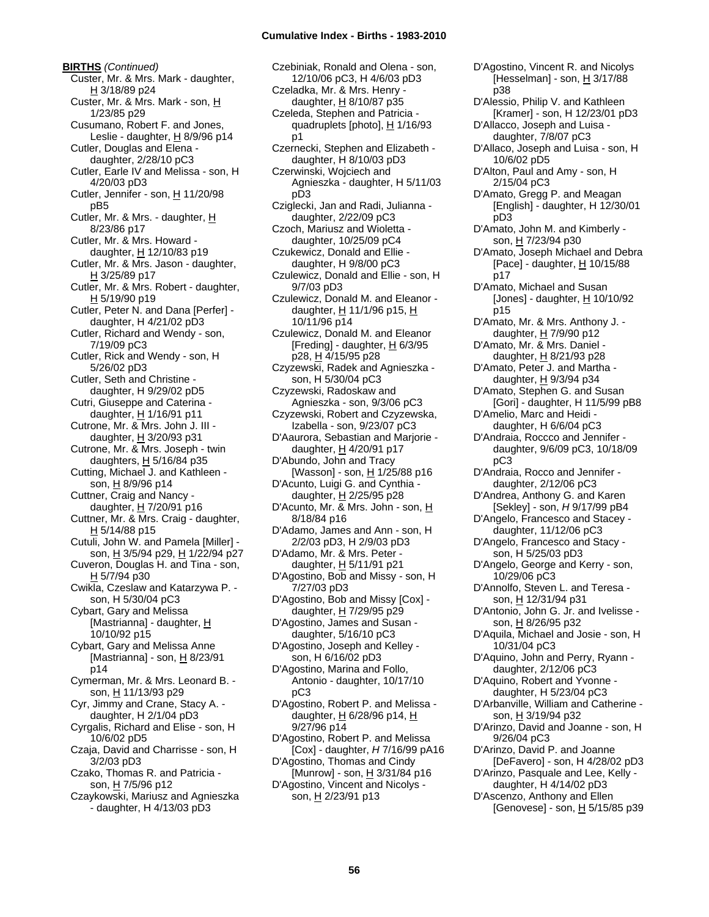**BIRTHS** *(Continued)* Custer, Mr. & Mrs. Mark - daughter, H 3/18/89 p24 Custer, Mr. & Mrs. Mark - son, H 1/23/85 p29 Cusumano, Robert F. and Jones, Leslie - daughter,  $H$  8/9/96 p14 Cutler, Douglas and Elena daughter, 2/28/10 pC3 Cutler, Earle IV and Melissa - son, H 4/20/03 pD3 Cutler, Jennifer - son,  $\underline{H}$  11/20/98 pB5 Cutler, Mr. & Mrs. - daughter, H 8/23/86 p17 Cutler, Mr. & Mrs. Howard daughter, H 12/10/83 p19 Cutler, Mr. & Mrs. Jason - daughter, H 3/25/89 p17 Cutler, Mr. & Mrs. Robert - daughter, H 5/19/90 p19 Cutler, Peter N. and Dana [Perfer] daughter, H 4/21/02 pD3 Cutler, Richard and Wendy - son, 7/19/09 pC3 Cutler, Rick and Wendy - son, H 5/26/02 pD3 Cutler, Seth and Christine daughter, H 9/29/02 pD5 Cutri, Giuseppe and Caterina daughter, H 1/16/91 p11 Cutrone, Mr. & Mrs. John J. III daughter,  $H$  3/20/93 p31 Cutrone, Mr. & Mrs. Joseph - twin daughters, H 5/16/84 p35 Cutting, Michael J. and Kathleen son, H 8/9/96 p14 Cuttner, Craig and Nancy daughter, H 7/20/91 p16 Cuttner, Mr. & Mrs. Craig - daughter, H 5/14/88 p15 Cutuli, John W. and Pamela [Miller] son, H 3/5/94 p29, H 1/22/94 p27 Cuveron, Douglas H. and Tina - son, H 5/7/94 p30 Cwikla, Czeslaw and Katarzywa P. son, H 5/30/04 pC3 Cybart, Gary and Melissa [Mastrianna] - daughter, H 10/10/92 p15 Cybart, Gary and Melissa Anne [Mastrianna] - son,  $H$  8/23/91 p14 Cymerman, Mr. & Mrs. Leonard B. son, H 11/13/93 p29 Cyr, Jimmy and Crane, Stacy A. daughter, H 2/1/04 pD3 Cyrgalis, Richard and Elise - son, H 10/6/02 pD5 Czaja, David and Charrisse - son, H 3/2/03 pD3 Czako, Thomas R. and Patricia son, H 7/5/96 p12 Czaykowski, Mariusz and Agnieszka - daughter, H 4/13/03 pD3

Czebiniak, Ronald and Olena - son, 12/10/06 pC3, H 4/6/03 pD3 Czeladka, Mr. & Mrs. Henry daughter,  $H$  8/10/87 p35 Czeleda, Stephen and Patricia quadruplets [photo], H 1/16/93 p1 Czernecki, Stephen and Elizabeth daughter, H 8/10/03 pD3 Czerwinski, Wojciech and Agnieszka - daughter, H 5/11/03 pD3 Cziglecki, Jan and Radi, Julianna daughter, 2/22/09 pC3 Czoch, Mariusz and Wioletta daughter, 10/25/09 pC4 Czukewicz, Donald and Ellie daughter, H 9/8/00 pC3 Czulewicz, Donald and Ellie - son, H 9/7/03 pD3 Czulewicz, Donald M. and Eleanor daughter,  $H$  11/1/96 p15,  $H$ 10/11/96 p14 Czulewicz, Donald M. and Eleanor [Freding] - daughter,  $H$  6/3/95 p28, H 4/15/95 p28 Czyzewski, Radek and Agnieszka son, H 5/30/04 pC3 Czyzewski, Radoskaw and Agnieszka - son, 9/3/06 pC3 Czyzewski, Robert and Czyzewska, Izabella - son, 9/23/07 pC3 D'Aaurora, Sebastian and Marjorie daughter, H 4/20/91 p17 D'Abundo, John and Tracy [Wasson] - son, H 1/25/88 p16 D'Acunto, Luigi G. and Cynthia daughter, H 2/25/95 p28 D'Acunto, Mr. & Mrs. John - son, H 8/18/84 p16 D'Adamo, James and Ann - son, H 2/2/03 pD3, H 2/9/03 pD3 D'Adamo, Mr. & Mrs. Peter daughter, H 5/11/91 p21 D'Agostino, Bob and Missy - son, H 7/27/03 pD3 D'Agostino, Bob and Missy [Cox] daughter, H 7/29/95 p29 D'Agostino, James and Susan daughter, 5/16/10 pC3 D'Agostino, Joseph and Kelley son, H 6/16/02 pD3 D'Agostino, Marina and Follo, Antonio - daughter, 10/17/10 pC3 D'Agostino, Robert P. and Melissa daughter,  $H$  6/28/96 p14,  $H$ 9/27/96 p14 D'Agostino, Robert P. and Melissa [Cox] - daughter, *H* 7/16/99 pA16 D'Agostino, Thomas and Cindy [Munrow] - son, H 3/31/84 p16 D'Agostino, Vincent and Nicolys son, H 2/23/91 p13

p38 D'Alessio, Philip V. and Kathleen [Kramer] - son, H 12/23/01 pD3 D'Allacco, Joseph and Luisa daughter, 7/8/07 pC3 D'Allaco, Joseph and Luisa - son, H 10/6/02 pD5 D'Alton, Paul and Amy - son, H 2/15/04 pC3 D'Amato, Gregg P. and Meagan [English] - daughter, H 12/30/01 pD3 D'Amato, John M. and Kimberly son, H 7/23/94 p30 D'Amato, Joseph Michael and Debra [Pace] - daughter,  $H$  10/15/88 p17 D'Amato, Michael and Susan [Jones] - daughter,  $H$  10/10/92 p15 D'Amato, Mr. & Mrs. Anthony J. daughter, H 7/9/90 p12 D'Amato, Mr. & Mrs. Daniel daughter, H 8/21/93 p28 D'Amato, Peter J. and Martha daughter, H 9/3/94 p34 D'Amato, Stephen G. and Susan [Gori] - daughter, H 11/5/99 pB8 D'Amelio, Marc and Heidi daughter, H 6/6/04 pC3 D'Andraia, Roccco and Jennifer daughter, 9/6/09 pC3, 10/18/09 pC3 D'Andraia, Rocco and Jennifer daughter, 2/12/06 pC3 D'Andrea, Anthony G. and Karen [Sekley] - son, *H* 9/17/99 pB4 D'Angelo, Francesco and Stacey daughter, 11/12/06 pC3 D'Angelo, Francesco and Stacy son, H 5/25/03 pD3 D'Angelo, George and Kerry - son, 10/29/06 pC3 D'Annolfo, Steven L. and Teresa son, H 12/31/94 p31 D'Antonio, John G. Jr. and Ivelisse son, H 8/26/95 p32 D'Aquila, Michael and Josie - son, H 10/31/04 pC3 D'Aquino, John and Perry, Ryann daughter, 2/12/06 pC3 D'Aquino, Robert and Yvonne daughter, H 5/23/04 pC3 D'Arbanville, William and Catherine son, H 3/19/94 p32 D'Arinzo, David and Joanne - son, H 9/26/04 pC3 D'Arinzo, David P. and Joanne [DeFavero] - son, H 4/28/02 pD3 D'Arinzo, Pasquale and Lee, Kelly daughter, H 4/14/02 pD3 D'Ascenzo, Anthony and Ellen [Genovese] - son,  $\underline{H}$  5/15/85 p39

D'Agostino, Vincent R. and Nicolys [Hesselman] - son, H 3/17/88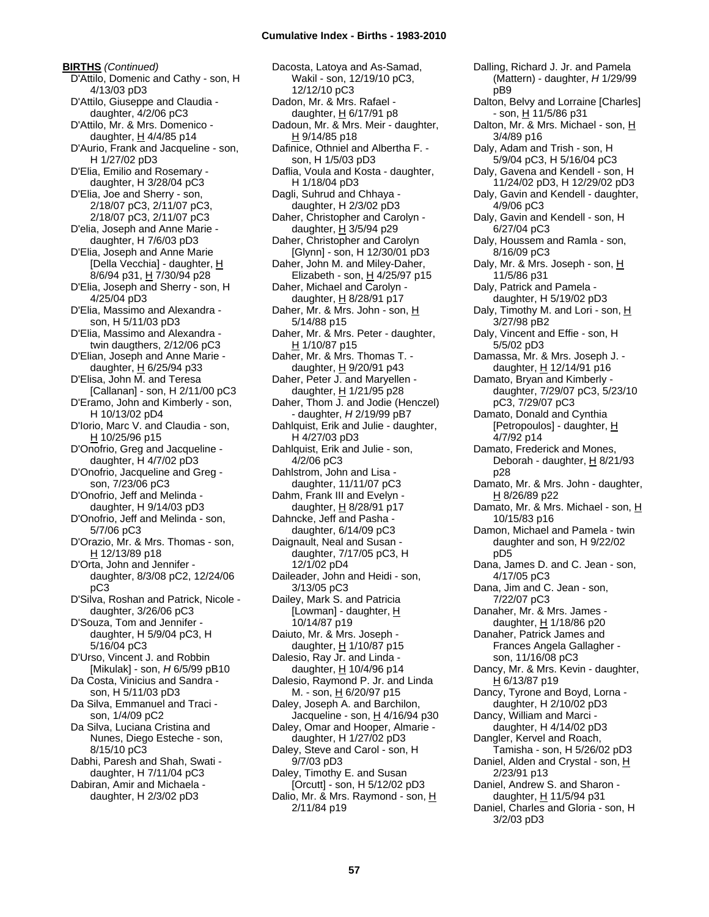Dacosta, Latoya and As-Samad,

**BIRTHS** *(Continued)* D'Attilo, Domenic and Cathy - son, H 4/13/03 pD3 D'Attilo, Giuseppe and Claudia daughter, 4/2/06 pC3 D'Attilo, Mr. & Mrs. Domenico daughter,  $H$  4/4/85 p14 D'Aurio, Frank and Jacqueline - son, H 1/27/02 pD3 D'Elia, Emilio and Rosemary daughter, H 3/28/04 pC3 D'Elia, Joe and Sherry - son, 2/18/07 pC3, 2/11/07 pC3, 2/18/07 pC3, 2/11/07 pC3 D'elia, Joseph and Anne Marie daughter, H 7/6/03 pD3 D'Elia, Joseph and Anne Marie [Della Vecchia] - daughter, H 8/6/94 p31, H 7/30/94 p28 D'Elia, Joseph and Sherry - son, H 4/25/04 pD3 D'Elia, Massimo and Alexandra son, H 5/11/03 pD3 D'Elia, Massimo and Alexandra twin daugthers, 2/12/06 pC3 D'Elian, Joseph and Anne Marie daughter,  $H$  6/25/94 p33 D'Elisa, John M. and Teresa [Callanan] - son, H 2/11/00 pC3 D'Eramo, John and Kimberly - son, H 10/13/02 pD4 D'Iorio, Marc V. and Claudia - son, H 10/25/96 p15 D'Onofrio, Greg and Jacqueline daughter, H 4/7/02 pD3 D'Onofrio, Jacqueline and Greg son, 7/23/06 pC3 D'Onofrio, Jeff and Melinda daughter, H 9/14/03 pD3 D'Onofrio, Jeff and Melinda - son, 5/7/06 pC3 D'Orazio, Mr. & Mrs. Thomas - son, H 12/13/89 p18 D'Orta, John and Jennifer daughter, 8/3/08 pC2, 12/24/06 pC3 D'Silva, Roshan and Patrick, Nicole daughter, 3/26/06 pC3 D'Souza, Tom and Jennifer daughter, H 5/9/04 pC3, H 5/16/04 pC3 D'Urso, Vincent J. and Robbin [Mikulak] - son, *H* 6/5/99 pB10 Da Costa, Vinicius and Sandra son, H 5/11/03 pD3 Da Silva, Emmanuel and Traci son, 1/4/09 pC2 Da Silva, Luciana Cristina and Nunes, Diego Esteche - son, 8/15/10 pC3 Dabhi, Paresh and Shah, Swati daughter, H 7/11/04 pC3 Dabiran, Amir and Michaela daughter, H 2/3/02 pD3

Wakil - son, 12/19/10 pC3, 12/12/10 pC3 Dadon, Mr. & Mrs. Rafael daughter, H 6/17/91 p8 Dadoun, Mr. & Mrs. Meir - daughter, H 9/14/85 p18 Dafinice, Othniel and Albertha F. son, H 1/5/03 pD3 Daflia, Voula and Kosta - daughter, H 1/18/04 pD3 Dagli, Suhrud and Chhaya daughter, H 2/3/02 pD3 Daher, Christopher and Carolyn daughter, H 3/5/94 p29 Daher, Christopher and Carolyn [Glynn] - son, H 12/30/01 pD3 Daher, John M. and Miley-Daher, Elizabeth - son,  $H$  4/25/97 p15 Daher, Michael and Carolyn daughter, H 8/28/91 p17 Daher, Mr. & Mrs. John - son, H 5/14/88 p15 Daher, Mr. & Mrs. Peter - daughter,  $H$  1/10/87 p15 Daher, Mr. & Mrs. Thomas T. daughter,  $H$  9/20/91 p43 Daher, Peter J. and Maryellen daughter, H 1/21/95 p28 Daher, Thom J. and Jodie (Henczel) - daughter, *H* 2/19/99 pB7 Dahlquist, Erik and Julie - daughter, H 4/27/03 pD3 Dahlquist, Erik and Julie - son, 4/2/06 pC3 Dahlstrom, John and Lisa daughter, 11/11/07 pC3 Dahm, Frank III and Evelyn daughter, H 8/28/91 p17 Dahncke, Jeff and Pasha daughter, 6/14/09 pC3 Daignault, Neal and Susan daughter, 7/17/05 pC3, H 12/1/02 pD4 Daileader, John and Heidi - son, 3/13/05 pC3 Dailey, Mark S. and Patricia [Lowman] - daughter,  $H$ 10/14/87 p19 Daiuto, Mr. & Mrs. Joseph daughter,  $H$  1/10/87 p15 Dalesio, Ray Jr. and Linda daughter, H 10/4/96 p14 Dalesio, Raymond P. Jr. and Linda M. - son, H 6/20/97 p15 Daley, Joseph A. and Barchilon, Jacqueline - son, H 4/16/94 p30 Daley, Omar and Hooper, Almarie daughter, H 1/27/02 pD3 Daley, Steve and Carol - son, H 9/7/03 pD3 Daley, Timothy E. and Susan [Orcutt] - son, H 5/12/02 pD3 Dalio, Mr. & Mrs. Raymond - son, H 2/11/84 p19

Dalling, Richard J. Jr. and Pamela (Mattern) - daughter, *H* 1/29/99 pB9 Dalton, Belvy and Lorraine [Charles] - son, H 11/5/86 p31 Dalton, Mr. & Mrs. Michael - son, H 3/4/89 p16 Daly, Adam and Trish - son, H 5/9/04 pC3, H 5/16/04 pC3 Daly, Gavena and Kendell - son, H 11/24/02 pD3, H 12/29/02 pD3 Daly, Gavin and Kendell - daughter, 4/9/06 pC3 Daly, Gavin and Kendell - son, H 6/27/04 pC3 Daly, Houssem and Ramla - son, 8/16/09 pC3 Daly, Mr. & Mrs. Joseph - son, H 11/5/86 p31 Daly, Patrick and Pamela daughter, H 5/19/02 pD3 Daly, Timothy M. and Lori - son, H 3/27/98 pB2 Daly, Vincent and Effie - son, H 5/5/02 pD3 Damassa, Mr. & Mrs. Joseph J. daughter, H 12/14/91 p16 Damato, Bryan and Kimberly daughter, 7/29/07 pC3, 5/23/10 pC3, 7/29/07 pC3 Damato, Donald and Cynthia [Petropoulos] - daughter, H 4/7/92 p14 Damato, Frederick and Mones, Deborah - daughter, H 8/21/93 p28 Damato, Mr. & Mrs. John - daughter, H 8/26/89 p22 Damato, Mr. & Mrs. Michael - son, H 10/15/83 p16 Damon, Michael and Pamela - twin daughter and son, H 9/22/02 pD5 Dana, James D. and C. Jean - son, 4/17/05 pC3 Dana, Jim and C. Jean - son, 7/22/07 pC3 Danaher, Mr. & Mrs. James daughter,  $H$  1/18/86 p20 Danaher, Patrick James and Frances Angela Gallagher son, 11/16/08 pC3 Dancy, Mr. & Mrs. Kevin - daughter, H 6/13/87 p19 Dancy, Tyrone and Boyd, Lorna daughter, H 2/10/02 pD3 Dancy, William and Marci daughter, H 4/14/02 pD3 Dangler, Kervel and Roach, Tamisha - son, H 5/26/02 pD3 Daniel, Alden and Crystal - son, H 2/23/91 p13 Daniel, Andrew S. and Sharon daughter, H 11/5/94 p31 Daniel, Charles and Gloria - son, H 3/2/03 pD3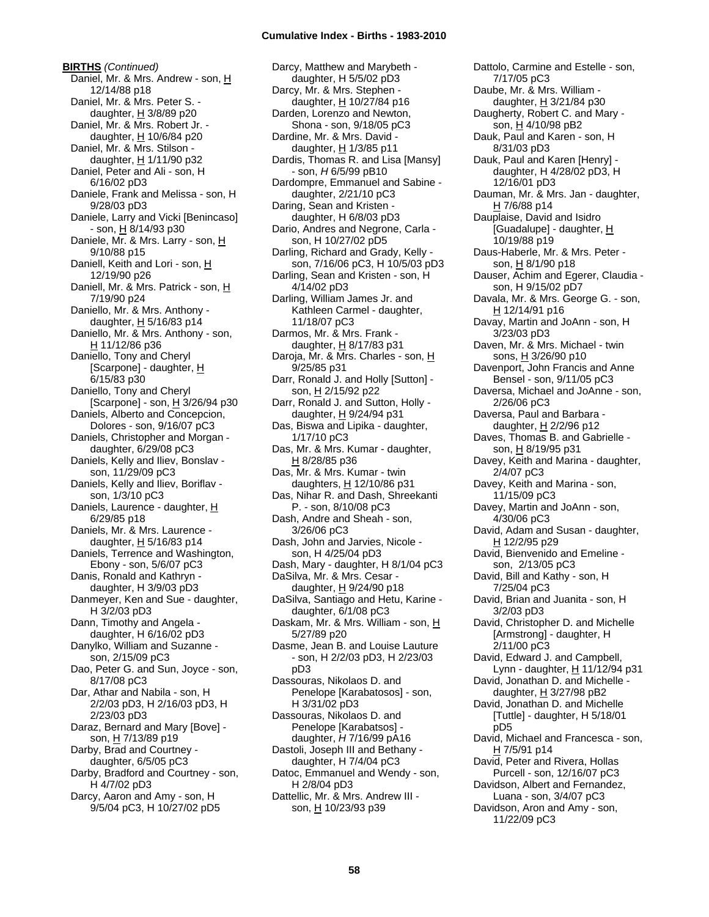**BIRTHS** *(Continued)* Daniel, Mr. & Mrs. Andrew - son, H 12/14/88 p18 Daniel, Mr. & Mrs. Peter S. daughter, H 3/8/89 p20 Daniel, Mr. & Mrs. Robert Jr. daughter,  $H$  10/6/84 p20 Daniel, Mr. & Mrs. Stilson daughter, H 1/11/90 p32 Daniel, Peter and Ali - son, H 6/16/02 pD3 Daniele, Frank and Melissa - son, H 9/28/03 pD3 Daniele, Larry and Vicki [Benincaso]  $-$  son,  $\underline{H}$  8/14/93 p30 Daniele, Mr. & Mrs. Larry - son, H 9/10/88 p15 Daniell, Keith and Lori - son, H 12/19/90 p26 Daniell, Mr. & Mrs. Patrick - son, H 7/19/90 p24 Daniello, Mr. & Mrs. Anthony daughter, H 5/16/83 p14 Daniello, Mr. & Mrs. Anthony - son, H 11/12/86 p36 Daniello, Tony and Cheryl [Scarpone] - daughter, H 6/15/83 p30 Daniello, Tony and Cheryl [Scarpone] - son, H 3/26/94 p30 Daniels, Alberto and Concepcion, Dolores - son, 9/16/07 pC3 Daniels, Christopher and Morgan daughter, 6/29/08 pC3 Daniels, Kelly and Iliev, Bonslav son, 11/29/09 pC3 Daniels, Kelly and Iliev, Boriflav son, 1/3/10 pC3 Daniels, Laurence - daughter, H 6/29/85 p18 Daniels, Mr. & Mrs. Laurence daughter,  $H$  5/16/83 p14 Daniels, Terrence and Washington, Ebony - son, 5/6/07 pC3 Danis, Ronald and Kathryn daughter, H 3/9/03 pD3 Danmeyer, Ken and Sue - daughter, H 3/2/03 pD3 Dann, Timothy and Angela daughter, H 6/16/02 pD3 Danylko, William and Suzanne son, 2/15/09 pC3 Dao, Peter G. and Sun, Joyce - son, 8/17/08 pC3 Dar, Athar and Nabila - son, H 2/2/03 pD3, H 2/16/03 pD3, H 2/23/03 pD3 Daraz, Bernard and Mary [Bove] son, H 7/13/89 p19 Darby, Brad and Courtney daughter, 6/5/05 pC3 Darby, Bradford and Courtney - son, H 4/7/02 pD3 Darcy, Aaron and Amy - son, H 9/5/04 pC3, H 10/27/02 pD5

Darcy, Matthew and Marybeth daughter, H 5/5/02 pD3 Darcy, Mr. & Mrs. Stephen daughter,  $H$  10/27/84 p16 Darden, Lorenzo and Newton, Shona - son, 9/18/05 pC3 Dardine, Mr. & Mrs. David daughter, H 1/3/85 p11 Dardis, Thomas R. and Lisa [Mansy] - son, *H* 6/5/99 pB10 Dardompre, Emmanuel and Sabine daughter, 2/21/10 pC3 Daring, Sean and Kristen daughter, H 6/8/03 pD3 Dario, Andres and Negrone, Carla son, H 10/27/02 pD5 Darling, Richard and Grady, Kelly son, 7/16/06 pC3, H 10/5/03 pD3 Darling, Sean and Kristen - son, H 4/14/02 pD3 Darling, William James Jr. and Kathleen Carmel - daughter, 11/18/07 pC3 Darmos, Mr. & Mrs. Frank daughter,  $H$  8/17/83 p31 Daroja, Mr. & Mrs. Charles - son, H 9/25/85 p31 Darr, Ronald J. and Holly [Sutton] son, H 2/15/92 p22 Darr, Ronald J. and Sutton, Holly daughter, H 9/24/94 p31 Das, Biswa and Lipika - daughter, 1/17/10 pC3 Das, Mr. & Mrs. Kumar - daughter, H 8/28/85 p36 Das, Mr. & Mrs. Kumar - twin daughters,  $H$  12/10/86 p31 Das, Nihar R. and Dash, Shreekanti P. - son, 8/10/08 pC3 Dash, Andre and Sheah - son, 3/26/06 pC3 Dash, John and Jarvies, Nicole son, H 4/25/04 pD3 Dash, Mary - daughter, H 8/1/04 pC3 DaSilva, Mr. & Mrs. Cesar daughter,  $H$  9/24/90 p18 DaSilva, Santiago and Hetu, Karine daughter, 6/1/08 pC3 Daskam, Mr. & Mrs. William - son, H 5/27/89 p20 Dasme, Jean B. and Louise Lauture - son, H 2/2/03 pD3, H 2/23/03 pD3 Dassouras, Nikolaos D. and Penelope [Karabatosos] - son, H 3/31/02 pD3 Dassouras, Nikolaos D. and Penelope [Karabatsos] daughter, *H* 7/16/99 pA16 Dastoli, Joseph III and Bethany daughter, H 7/4/04 pC3 Datoc, Emmanuel and Wendy - son, H 2/8/04 pD3 Dattellic, Mr. & Mrs. Andrew III son, H 10/23/93 p39

Dattolo, Carmine and Estelle - son, 7/17/05 pC3 Daube, Mr. & Mrs. William daughter, H 3/21/84 p30 Daugherty, Robert C. and Mary son, H 4/10/98 pB2 Dauk, Paul and Karen - son, H 8/31/03 pD3 Dauk, Paul and Karen [Henry] daughter, H 4/28/02 pD3, H 12/16/01 pD3 Dauman, Mr. & Mrs. Jan - daughter, H 7/6/88 p14 Dauplaise, David and Isidro [Guadalupe] - daughter, H 10/19/88 p19 Daus-Haberle, Mr. & Mrs. Peter son, H 8/1/90 p18 Dauser, Achim and Egerer, Claudia son, H 9/15/02 pD7 Davala, Mr. & Mrs. George G. - son, H 12/14/91 p16 Davay, Martin and JoAnn - son, H 3/23/03 pD3 Daven, Mr. & Mrs. Michael - twin sons, H 3/26/90 p10 Davenport, John Francis and Anne Bensel - son, 9/11/05 pC3 Daversa, Michael and JoAnne - son, 2/26/06 pC3 Daversa, Paul and Barbara daughter, H 2/2/96 p12 Daves, Thomas B. and Gabrielle son, H 8/19/95 p31 Davey, Keith and Marina - daughter, 2/4/07 pC3 Davey, Keith and Marina - son, 11/15/09 pC3 Davey, Martin and JoAnn - son, 4/30/06 pC3 David, Adam and Susan - daughter, H 12/2/95 p29 David, Bienvenido and Emeline son, 2/13/05 pC3 David, Bill and Kathy - son, H 7/25/04 pC3 David, Brian and Juanita - son, H 3/2/03 pD3 David, Christopher D. and Michelle [Armstrong] - daughter, H 2/11/00 pC3 David, Edward J. and Campbell, Lynn - daughter, H 11/12/94 p31 David, Jonathan D. and Michelle daughter,  $H$  3/27/98 pB2 David, Jonathan D. and Michelle [Tuttle] - daughter, H 5/18/01 pD5 David, Michael and Francesca - son, H 7/5/91 p14 David, Peter and Rivera, Hollas Purcell - son, 12/16/07 pC3 Davidson, Albert and Fernandez, Luana - son, 3/4/07 pC3 Davidson, Aron and Amy - son, 11/22/09 pC3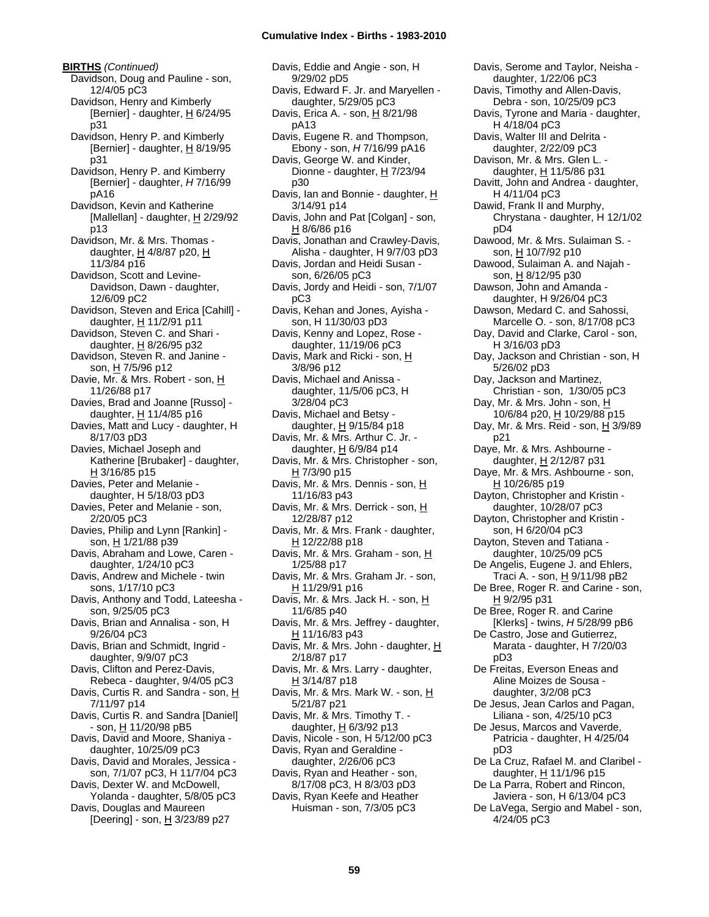**BIRTHS** *(Continued)* Davidson, Doug and Pauline - son, 12/4/05 pC3 Davidson, Henry and Kimberly [Bernier] - daughter,  $H$  6/24/95 p31 Davidson, Henry P. and Kimberly [Bernier] - daughter, H 8/19/95 p31 Davidson, Henry P. and Kimberry [Bernier] - daughter, *H* 7/16/99 pA16 Davidson, Kevin and Katherine [Mallellan] - daughter,  $H$  2/29/92 p13 Davidson, Mr. & Mrs. Thomas daughter, H 4/8/87 p20, H 11/3/84 p16 Davidson, Scott and Levine-Davidson, Dawn - daughter, 12/6/09 pC2 Davidson, Steven and Erica [Cahill] daughter, H 11/2/91 p11 Davidson, Steven C. and Shari daughter, H 8/26/95 p32 Davidson, Steven R. and Janine son, H 7/5/96 p12 Davie, Mr. & Mrs. Robert - son, H 11/26/88 p17 Davies, Brad and Joanne [Russo] daughter,  $H$  11/4/85 p16 Davies, Matt and Lucy - daughter, H 8/17/03 pD3 Davies, Michael Joseph and Katherine [Brubaker] - daughter, H 3/16/85 p15 Davies, Peter and Melanie daughter, H 5/18/03 pD3 Davies, Peter and Melanie - son, 2/20/05 pC3 Davies, Philip and Lynn [Rankin] son, H 1/21/88 p39 Davis, Abraham and Lowe, Caren daughter, 1/24/10 pC3 Davis, Andrew and Michele - twin sons, 1/17/10 pC3 Davis, Anthony and Todd, Lateesha son, 9/25/05 pC3 Davis, Brian and Annalisa - son, H 9/26/04 pC3 Davis, Brian and Schmidt, Ingrid daughter, 9/9/07 pC3 Davis, Clifton and Perez-Davis, Rebeca - daughter, 9/4/05 pC3 Davis, Curtis R. and Sandra - son, H 7/11/97 p14 Davis, Curtis R. and Sandra [Daniel] - son, H 11/20/98 pB5 Davis, David and Moore, Shaniya daughter, 10/25/09 pC3 Davis, David and Morales, Jessica son, 7/1/07 pC3, H 11/7/04 pC3 Davis, Dexter W. and McDowell, Yolanda - daughter, 5/8/05 pC3 Davis, Douglas and Maureen [Deering] - son,  $\underline{H}$  3/23/89 p27

Davis, Eddie and Angie - son, H 9/29/02 pD5 Davis, Edward F. Jr. and Maryellen daughter, 5/29/05 pC3 Davis, Erica A. - son, H 8/21/98 pA13 Davis, Eugene R. and Thompson, Ebony - son, *H* 7/16/99 pA16 Davis, George W. and Kinder, Dionne - daughter, H 7/23/94 p30 Davis, Ian and Bonnie - daughter, H 3/14/91 p14 Davis, John and Pat [Colgan] - son,  $H$  8/6/86 p16 Davis, Jonathan and Crawley-Davis, Alisha - daughter, H 9/7/03 pD3 Davis, Jordan and Heidi Susan son, 6/26/05 pC3 Davis, Jordy and Heidi - son, 7/1/07 pC3 Davis, Kehan and Jones, Ayisha son, H 11/30/03 pD3 Davis, Kenny and Lopez, Rose daughter, 11/19/06 pC3 Davis, Mark and Ricki - son, H 3/8/96 p12 Davis, Michael and Anissa daughter, 11/5/06 pC3, H 3/28/04 pC3 Davis, Michael and Betsy daughter,  $\underline{H}$  9/15/84 p18 Davis, Mr. & Mrs. Arthur C. Jr. daughter, H 6/9/84 p14 Davis, Mr. & Mrs. Christopher - son, H 7/3/90 p15 Davis, Mr. & Mrs. Dennis - son, H 11/16/83 p43 Davis, Mr. & Mrs. Derrick - son, H 12/28/87 p12 Davis, Mr. & Mrs. Frank - daughter, H 12/22/88 p18 Davis, Mr. & Mrs. Graham - son, H 1/25/88 p17 Davis, Mr. & Mrs. Graham Jr. - son,  $H$  11/29/91 p16 Davis, Mr. & Mrs. Jack H. - son, H 11/6/85 p40 Davis, Mr. & Mrs. Jeffrey - daughter, H 11/16/83 p43 Davis, Mr. & Mrs. John - daughter, H 2/18/87 p17 Davis, Mr. & Mrs. Larry - daughter,  $H$  3/14/87 p18 Davis, Mr. & Mrs. Mark W. - son, H 5/21/87 p21 Davis, Mr. & Mrs. Timothy T. daughter,  $H$  6/3/92 p13 Davis, Nicole - son, H 5/12/00 pC3 Davis, Ryan and Geraldine daughter, 2/26/06 pC3 Davis, Ryan and Heather - son, 8/17/08 pC3, H 8/3/03 pD3 Davis, Ryan Keefe and Heather Huisman - son, 7/3/05 pC3

Davis, Serome and Taylor, Neisha daughter, 1/22/06 pC3 Davis, Timothy and Allen-Davis, Debra - son, 10/25/09 pC3 Davis, Tyrone and Maria - daughter, H 4/18/04 pC3 Davis, Walter III and Delrita daughter, 2/22/09 pC3 Davison, Mr. & Mrs. Glen L. daughter, H 11/5/86 p31 Davitt, John and Andrea - daughter, H 4/11/04 pC3 Dawid, Frank II and Murphy, Chrystana - daughter, H 12/1/02 pD4 Dawood, Mr. & Mrs. Sulaiman S. son, H 10/7/92 p10 Dawood, Sulaiman A. and Najah son, H 8/12/95 p30 Dawson, John and Amanda daughter, H 9/26/04 pC3 Dawson, Medard C. and Sahossi, Marcelle O. - son, 8/17/08 pC3 Day, David and Clarke, Carol - son, H 3/16/03 pD3 Day, Jackson and Christian - son, H 5/26/02 pD3 Day, Jackson and Martinez, Christian - son, 1/30/05 pC3 Day, Mr. & Mrs. John - son, H 10/6/84 p20, H 10/29/88 p15 Day, Mr. & Mrs. Reid - son, H 3/9/89 p21 Daye, Mr. & Mrs. Ashbourne daughter, H 2/12/87 p31 Daye, Mr. & Mrs. Ashbourne - son, H 10/26/85 p19 Dayton, Christopher and Kristin daughter, 10/28/07 pC3 Dayton, Christopher and Kristin son, H 6/20/04 pC3 Dayton, Steven and Tatiana daughter, 10/25/09 pC5 De Angelis, Eugene J. and Ehlers, Traci A. - son, <u>H</u> 9/11/98 pB2 De Bree, Roger R. and Carine - son, H 9/2/95 p31 De Bree, Roger R. and Carine [Klerks] - twins, *H* 5/28/99 pB6 De Castro, Jose and Gutierrez, Marata - daughter, H 7/20/03 pD3 De Freitas, Everson Eneas and Aline Moizes de Sousa daughter, 3/2/08 pC3 De Jesus, Jean Carlos and Pagan, Liliana - son, 4/25/10 pC3 De Jesus, Marcos and Vaverde, Patricia - daughter, H 4/25/04 pD3 De La Cruz, Rafael M. and Claribel daughter, H 11/1/96 p15 De La Parra, Robert and Rincon, Javiera - son, H 6/13/04 pC3

De LaVega, Sergio and Mabel - son, 4/24/05 pC3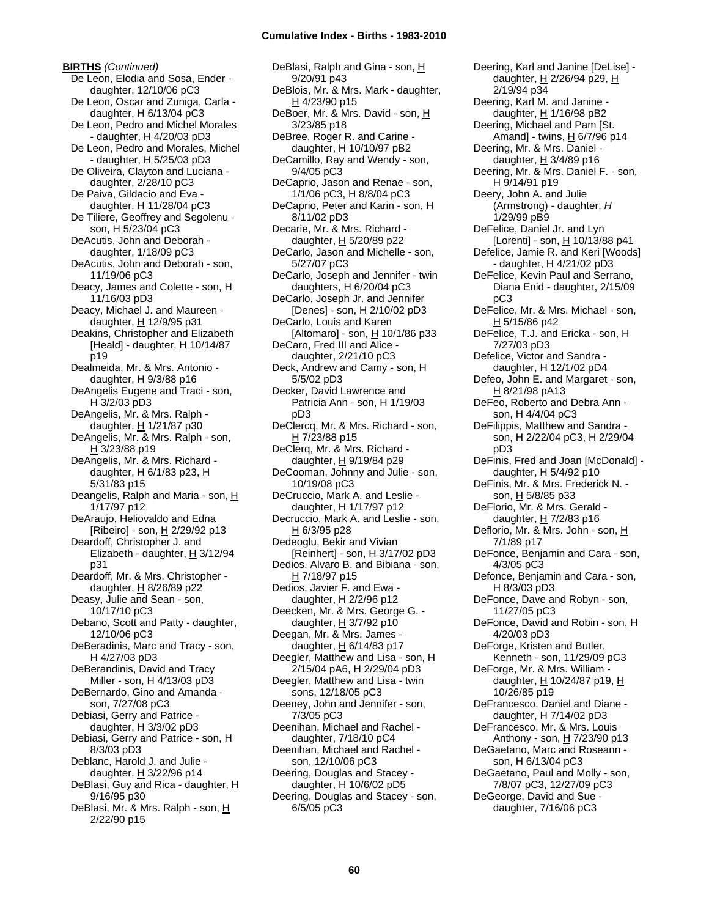**BIRTHS** *(Continued)* De Leon, Elodia and Sosa, Ender daughter, 12/10/06 pC3 De Leon, Oscar and Zuniga, Carla daughter, H 6/13/04 pC3 De Leon, Pedro and Michel Morales - daughter, H 4/20/03 pD3 De Leon, Pedro and Morales, Michel - daughter, H 5/25/03 pD3 De Oliveira, Clayton and Luciana daughter, 2/28/10 pC3 De Paiva, Gildacio and Eva daughter, H 11/28/04 pC3 De Tiliere, Geoffrey and Segolenu son, H 5/23/04 pC3 DeAcutis, John and Deborah daughter, 1/18/09 pC3 DeAcutis, John and Deborah - son, 11/19/06 pC3 Deacy, James and Colette - son, H 11/16/03 pD3 Deacy, Michael J. and Maureen daughter, H 12/9/95 p31 Deakins, Christopher and Elizabeth [Heald] - daughter,  $H$  10/14/87 p19 Dealmeida, Mr. & Mrs. Antonio daughter,  $H$  9/3/88 p16 DeAngelis Eugene and Traci - son, H 3/2/03 pD3 DeAngelis, Mr. & Mrs. Ralph daughter,  $H$  1/21/87 p30 DeAngelis, Mr. & Mrs. Ralph - son, H 3/23/88 p19 DeAngelis, Mr. & Mrs. Richard daughter,  $H$  6/1/83 p23,  $H$ 5/31/83 p15 Deangelis, Ralph and Maria - son, H 1/17/97 p12 DeAraujo, Heliovaldo and Edna [Ribeiro] - son, H 2/29/92 p13 Deardoff, Christopher J. and Elizabeth - daughter,  $H$  3/12/94 p31 Deardoff, Mr. & Mrs. Christopher daughter,  $H$  8/26/89 p22 Deasy, Julie and Sean - son, 10/17/10 pC3 Debano, Scott and Patty - daughter, 12/10/06 pC3 DeBeradinis, Marc and Tracy - son, H 4/27/03 pD3 DeBerandinis, David and Tracy Miller - son, H 4/13/03 pD3 DeBernardo, Gino and Amanda son, 7/27/08 pC3 Debiasi, Gerry and Patrice daughter, H 3/3/02 pD3 Debiasi, Gerry and Patrice - son, H 8/3/03 pD3 Deblanc, Harold J. and Julie daughter, H 3/22/96 p14 DeBlasi, Guy and Rica - daughter, H 9/16/95 p30 DeBlasi, Mr. & Mrs. Ralph - son, H 2/22/90 p15

DeBlasi, Ralph and Gina - son, H 9/20/91 p43 DeBlois, Mr. & Mrs. Mark - daughter,  $H$  4/23/90 p15 DeBoer, Mr. & Mrs. David - son, H 3/23/85 p18 DeBree, Roger R. and Carine daughter, H 10/10/97 pB2 DeCamillo, Ray and Wendy - son, 9/4/05 pC3 DeCaprio, Jason and Renae - son, 1/1/06 pC3, H 8/8/04 pC3 DeCaprio, Peter and Karin - son, H 8/11/02 pD3 Decarie, Mr. & Mrs. Richard daughter,  $H$  5/20/89 p22 DeCarlo, Jason and Michelle - son, 5/27/07 pC3 DeCarlo, Joseph and Jennifer - twin daughters, H 6/20/04 pC3 DeCarlo, Joseph Jr. and Jennifer [Denes] - son, H 2/10/02 pD3 DeCarlo, Louis and Karen [Altomaro] - son, H 10/1/86 p33 DeCaro, Fred III and Alice daughter, 2/21/10 pC3 Deck, Andrew and Camy - son, H 5/5/02 pD3 Decker, David Lawrence and Patricia Ann - son, H 1/19/03 pD3 DeClercq, Mr. & Mrs. Richard - son, H 7/23/88 p15 DeClerq, Mr. & Mrs. Richard daughter, H 9/19/84 p29 DeCooman, Johnny and Julie - son, 10/19/08 pC3 DeCruccio, Mark A. and Leslie daughter, H 1/17/97 p12 Decruccio, Mark A. and Leslie - son, H 6/3/95 p28 Dedeoglu, Bekir and Vivian [Reinhert] - son, H 3/17/02 pD3 Dedios, Alvaro B. and Bibiana - son, H 7/18/97 p15 Dedios, Javier F. and Ewa daughter, H 2/2/96 p12 Deecken, Mr. & Mrs. George G. daughter,  $H$  3/7/92 p10 Deegan, Mr. & Mrs. James daughter,  $H$  6/14/83 p17 Deegler, Matthew and Lisa - son, H 2/15/04 pA6, H 2/29/04 pD3 Deegler, Matthew and Lisa - twin sons, 12/18/05 pC3 Deeney, John and Jennifer - son, 7/3/05 pC3 Deenihan, Michael and Rachel daughter, 7/18/10 pC4 Deenihan, Michael and Rachel son, 12/10/06 pC3 Deering, Douglas and Stacey daughter, H 10/6/02 pD5 Deering, Douglas and Stacey - son, 6/5/05 pC3

Deering, Karl and Janine [DeLise] daughter, H 2/26/94 p29, H 2/19/94 p34 Deering, Karl M. and Janine daughter, H 1/16/98 pB2 Deering, Michael and Pam [St. Amand] - twins,  $H$  6/7/96 p14 Deering, Mr. & Mrs. Daniel daughter,  $H$  3/4/89 p16 Deering, Mr. & Mrs. Daniel F. - son, H 9/14/91 p19 Deery, John A. and Julie (Armstrong) - daughter, *H* 1/29/99 pB9 DeFelice, Daniel Jr. and Lyn [Lorenti] - son,  $H$  10/13/88 p41 Defelice, Jamie R. and Keri [Woods] - daughter, H 4/21/02 pD3 DeFelice, Kevin Paul and Serrano, Diana Enid - daughter, 2/15/09 pC3 DeFelice, Mr. & Mrs. Michael - son, H 5/15/86 p42 DeFelice, T.J. and Ericka - son, H 7/27/03 pD3 Defelice, Victor and Sandra daughter, H 12/1/02 pD4 Defeo, John E. and Margaret - son, H 8/21/98 pA13 DeFeo, Roberto and Debra Ann son, H 4/4/04 pC3 DeFilippis, Matthew and Sandra son, H 2/22/04 pC3, H 2/29/04 pD3 DeFinis, Fred and Joan [McDonald] daughter, H 5/4/92 p10 DeFinis, Mr. & Mrs. Frederick N. son, H 5/8/85 p33 DeFlorio, Mr. & Mrs. Gerald daughter,  $H$  7/2/83 p16 Deflorio, Mr. & Mrs. John - son, H 7/1/89 p17 DeFonce, Benjamin and Cara - son, 4/3/05 pC3 Defonce, Benjamin and Cara - son, H 8/3/03 pD3 DeFonce, Dave and Robyn - son, 11/27/05 pC3 DeFonce, David and Robin - son, H 4/20/03 pD3 DeForge, Kristen and Butler, Kenneth - son, 11/29/09 pC3 DeForge, Mr. & Mrs. William daughter, H 10/24/87 p19, H 10/26/85 p19 DeFrancesco, Daniel and Diane daughter, H 7/14/02 pD3 DeFrancesco, Mr. & Mrs. Louis Anthony - son, H 7/23/90 p13 DeGaetano, Marc and Roseann son, H 6/13/04 pC3 DeGaetano, Paul and Molly - son, 7/8/07 pC3, 12/27/09 pC3 DeGeorge, David and Sue daughter, 7/16/06 pC3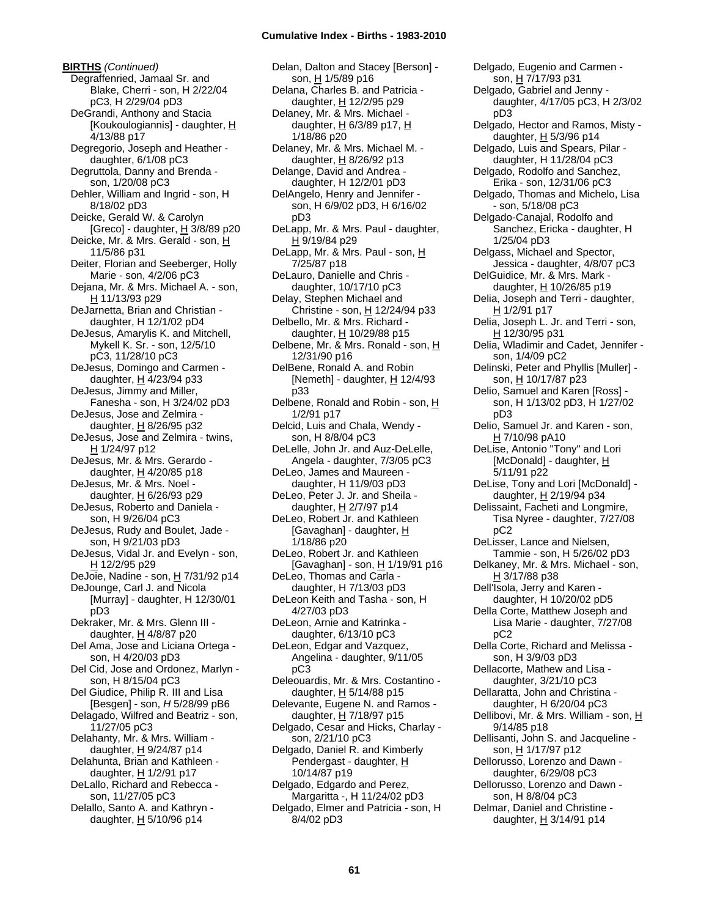**BIRTHS** *(Continued)* Degraffenried, Jamaal Sr. and Blake, Cherri - son, H 2/22/04 pC3, H 2/29/04 pD3 DeGrandi, Anthony and Stacia [Koukoulogiannis] - daughter, H 4/13/88 p17 Degregorio, Joseph and Heather daughter, 6/1/08 pC3 Degruttola, Danny and Brenda son, 1/20/08 pC3 Dehler, William and Ingrid - son, H 8/18/02 pD3 Deicke, Gerald W. & Carolyn [Greco] - daughter,  $H$  3/8/89 p20 Deicke, Mr. & Mrs. Gerald - son, H 11/5/86 p31 Deiter, Florian and Seeberger, Holly Marie - son, 4/2/06 pC3 Dejana, Mr. & Mrs. Michael A. - son, H 11/13/93 p29 DeJarnetta, Brian and Christian daughter, H 12/1/02 pD4 DeJesus, Amarylis K. and Mitchell, Mykell K. Sr. - son, 12/5/10 pC3, 11/28/10 pC3 DeJesus, Domingo and Carmen daughter, H 4/23/94 p33 DeJesus, Jimmy and Miller, Fanesha - son, H 3/24/02 pD3 DeJesus, Jose and Zelmira daughter, H 8/26/95 p32 DeJesus, Jose and Zelmira - twins, H 1/24/97 p12 DeJesus, Mr. & Mrs. Gerardo daughter,  $H$  4/20/85 p18 DeJesus, Mr. & Mrs. Noel daughter, H 6/26/93 p29 DeJesus, Roberto and Daniela son, H 9/26/04 pC3 DeJesus, Rudy and Boulet, Jade son, H 9/21/03 pD3 DeJesus, Vidal Jr. and Evelyn - son, H 12/2/95 p29 DeJoie, Nadine - son, H 7/31/92 p14 DeJounge, Carl J. and Nicola [Murray] - daughter, H 12/30/01 pD3 Dekraker, Mr. & Mrs. Glenn III daughter, H 4/8/87 p20 Del Ama, Jose and Liciana Ortega son, H 4/20/03 pD3 Del Cid, Jose and Ordonez, Marlyn son, H 8/15/04 pC3 Del Giudice, Philip R. III and Lisa [Besgen] - son, *H* 5/28/99 pB6 Delagado, Wilfred and Beatriz - son, 11/27/05 pC3 Delahanty, Mr. & Mrs. William daughter,  $H$  9/24/87 p14 Delahunta, Brian and Kathleen daughter, H 1/2/91 p17 DeLallo, Richard and Rebecca son, 11/27/05 pC3 Delallo, Santo A. and Kathryn daughter,  $H$  5/10/96 p14

Delan, Dalton and Stacey [Berson] son, H 1/5/89 p16 Delana, Charles B. and Patricia daughter, H 12/2/95 p29 Delaney, Mr. & Mrs. Michael daughter, H 6/3/89 p17, H 1/18/86 p20 Delaney, Mr. & Mrs. Michael M. daughter,  $\underline{H}$  8/26/92 p13 Delange, David and Andrea daughter, H 12/2/01 pD3 DelAngelo, Henry and Jennifer son, H 6/9/02 pD3, H 6/16/02 pD3 DeLapp, Mr. & Mrs. Paul - daughter, H 9/19/84 p29 DeLapp, Mr. & Mrs. Paul - son, H 7/25/87 p18 DeLauro, Danielle and Chris daughter, 10/17/10 pC3 Delay, Stephen Michael and Christine - son,  $H$  12/24/94 p33 Delbello, Mr. & Mrs. Richard daughter, H 10/29/88 p15 Delbene, Mr. & Mrs. Ronald - son, H 12/31/90 p16 DelBene, Ronald A. and Robin [Nemeth] - daughter,  $H$  12/4/93 p33 Delbene, Ronald and Robin - son, H 1/2/91 p17 Delcid, Luis and Chala, Wendy son, H 8/8/04 pC3 DeLelle, John Jr. and Auz-DeLelle, Angela - daughter, 7/3/05 pC3 DeLeo, James and Maureen daughter, H 11/9/03 pD3 DeLeo, Peter J. Jr. and Sheila daughter, H 2/7/97 p14 DeLeo, Robert Jr. and Kathleen [Gavaghan] - daughter, H 1/18/86 p20 DeLeo, Robert Jr. and Kathleen [Gavaghan] - son, H 1/19/91 p16 DeLeo, Thomas and Carla daughter, H 7/13/03 pD3 DeLeon Keith and Tasha - son, H 4/27/03 pD3 DeLeon, Arnie and Katrinka daughter, 6/13/10 pC3 DeLeon, Edgar and Vazquez, Angelina - daughter, 9/11/05 pC3 Deleouardis, Mr. & Mrs. Costantino daughter,  $H$  5/14/88 p15 Delevante, Eugene N. and Ramos daughter, H 7/18/97 p15 Delgado, Cesar and Hicks, Charlay son, 2/21/10 pC3 Delgado, Daniel R. and Kimberly Pendergast - daughter, H 10/14/87 p19 Delgado, Edgardo and Perez, Margaritta -, H 11/24/02 pD3 Delgado, Elmer and Patricia - son, H 8/4/02 pD3

Delgado, Eugenio and Carmen son, H 7/17/93 p31 Delgado, Gabriel and Jenny daughter, 4/17/05 pC3, H 2/3/02 pD3 Delgado, Hector and Ramos, Misty daughter,  $H$  5/3/96 p14 Delgado, Luis and Spears, Pilar daughter, H 11/28/04 pC3 Delgado, Rodolfo and Sanchez, Erika - son, 12/31/06 pC3 Delgado, Thomas and Michelo, Lisa - son, 5/18/08 pC3 Delgado-Canajal, Rodolfo and Sanchez, Ericka - daughter, H 1/25/04 pD3 Delgass, Michael and Spector, Jessica - daughter, 4/8/07 pC3 DelGuidice, Mr. & Mrs. Mark daughter, H 10/26/85 p19 Delia, Joseph and Terri - daughter, H 1/2/91 p17 Delia, Joseph L. Jr. and Terri - son, H 12/30/95 p31 Delia, Wladimir and Cadet, Jennifer son, 1/4/09 pC2 Delinski, Peter and Phyllis [Muller] son, H 10/17/87 p23 Delio, Samuel and Karen [Ross] son, H 1/13/02 pD3, H 1/27/02 pD3 Delio, Samuel Jr. and Karen - son, H 7/10/98 pA10 DeLise, Antonio "Tony" and Lori [McDonald] - daughter, H 5/11/91 p22 DeLise, Tony and Lori [McDonald] daughter, H 2/19/94 p34 Delissaint, Facheti and Longmire, Tisa Nyree - daughter, 7/27/08 pC2 DeLisser, Lance and Nielsen, Tammie - son, H 5/26/02 pD3 Delkaney, Mr. & Mrs. Michael - son, H 3/17/88 p38 Dell'Isola, Jerry and Karen daughter, H 10/20/02 pD5 Della Corte, Matthew Joseph and Lisa Marie - daughter, 7/27/08 pC2 Della Corte, Richard and Melissa son, H 3/9/03 pD3 Dellacorte, Mathew and Lisa daughter, 3/21/10 pC3 Dellaratta, John and Christina daughter, H 6/20/04 pC3 Dellibovi, Mr. & Mrs. William - son, H 9/14/85 p18 Dellisanti, John S. and Jacqueline son, H 1/17/97 p12 Dellorusso, Lorenzo and Dawn daughter, 6/29/08 pC3 Dellorusso, Lorenzo and Dawn son, H 8/8/04 pC3 Delmar, Daniel and Christine daughter,  $H$  3/14/91 p14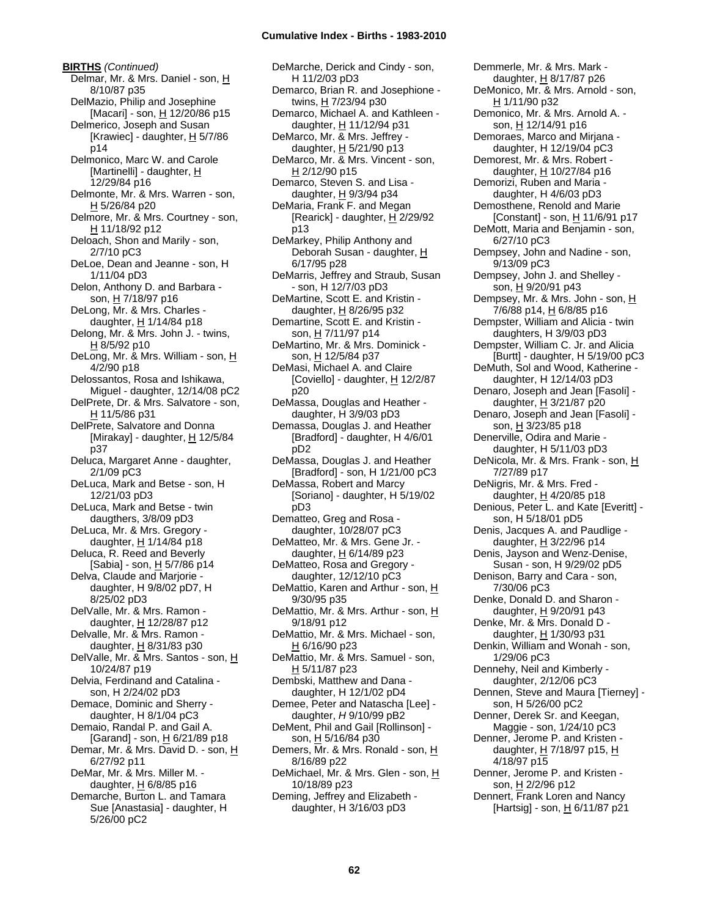**BIRTHS** *(Continued)* Delmar, Mr. & Mrs. Daniel - son, H 8/10/87 p35 DelMazio, Philip and Josephine [Macari] - son, H 12/20/86 p15 Delmerico, Joseph and Susan [Krawiec] - daughter,  $H$  5/7/86 p14 Delmonico, Marc W. and Carole [Martinelli] - daughter, H 12/29/84 p16 Delmonte, Mr. & Mrs. Warren - son, H 5/26/84 p20 Delmore, Mr. & Mrs. Courtney - son, H 11/18/92 p12 Deloach, Shon and Marily - son, 2/7/10 pC3 DeLoe, Dean and Jeanne - son, H 1/11/04 pD3 Delon, Anthony D. and Barbara son, H 7/18/97 p16 DeLong, Mr. & Mrs. Charles daughter, H 1/14/84 p18 Delong, Mr. & Mrs. John J. - twins,  $H$  8/5/92 p10 DeLong, Mr. & Mrs. William - son, H 4/2/90 p18 Delossantos, Rosa and Ishikawa, Miguel - daughter, 12/14/08 pC2 DelPrete, Dr. & Mrs. Salvatore - son, H 11/5/86 p31 DelPrete, Salvatore and Donna [Mirakay] - daughter,  $H$  12/5/84 p37 Deluca, Margaret Anne - daughter, 2/1/09 pC3 DeLuca, Mark and Betse - son, H 12/21/03 pD3 DeLuca, Mark and Betse - twin daugthers, 3/8/09 pD3 DeLuca, Mr. & Mrs. Gregory daughter,  $H$  1/14/84 p18 Deluca, R. Reed and Beverly [Sabia] - son, H 5/7/86 p14 Delva, Claude and Marjorie daughter, H 9/8/02 pD7, H 8/25/02 pD3 DelValle, Mr. & Mrs. Ramon daughter,  $H$  12/28/87 p12 Delvalle, Mr. & Mrs. Ramon daughter,  $H$  8/31/83 p30 DelValle, Mr. & Mrs. Santos - son, H 10/24/87 p19 Delvia, Ferdinand and Catalina son, H 2/24/02 pD3 Demace, Dominic and Sherry daughter, H 8/1/04 pC3 Demaio, Randal P. and Gail A. [Garand] - son, H 6/21/89 p18 Demar, Mr. & Mrs. David D. - son, H 6/27/92 p11 DeMar, Mr. & Mrs. Miller M. daughter, H 6/8/85 p16 Demarche, Burton L. and Tamara Sue [Anastasia] - daughter, H 5/26/00 pC2

DeMarche, Derick and Cindy - son, H 11/2/03 pD3 Demarco, Brian R. and Josephione twins, H 7/23/94 p30 Demarco, Michael A. and Kathleen daughter, H 11/12/94 p31 DeMarco, Mr. & Mrs. Jeffrey daughter, H 5/21/90 p13 DeMarco, Mr. & Mrs. Vincent - son, H 2/12/90 p15 Demarco, Steven S. and Lisa daughter, H 9/3/94 p34 DeMaria, Frank F. and Megan [Rearick] - daughter,  $H$  2/29/92 p13 DeMarkey, Philip Anthony and Deborah Susan - daughter, H 6/17/95 p28 DeMarris, Jeffrey and Straub, Susan - son, H 12/7/03 pD3 DeMartine, Scott E. and Kristin daughter,  $H$  8/26/95 p32 Demartine, Scott E. and Kristin son, H 7/11/97 p14 DeMartino, Mr. & Mrs. Dominick son, H 12/5/84 p37 DeMasi, Michael A. and Claire [Coviello] - daughter,  $H$  12/2/87 p20 DeMassa, Douglas and Heather daughter, H 3/9/03 pD3 Demassa, Douglas J. and Heather [Bradford] - daughter, H 4/6/01 pD2 DeMassa, Douglas J. and Heather [Bradford] - son, H 1/21/00 pC3 DeMassa, Robert and Marcy [Soriano] - daughter, H 5/19/02 pD3 Dematteo, Greg and Rosa daughter, 10/28/07 pC3 DeMatteo, Mr. & Mrs. Gene Jr. daughter, H 6/14/89 p23 DeMatteo, Rosa and Gregory daughter, 12/12/10 pC3 DeMattio, Karen and Arthur - son, H 9/30/95 p35 DeMattio, Mr. & Mrs. Arthur - son, H 9/18/91 p12 DeMattio, Mr. & Mrs. Michael - son, H 6/16/90 p23 DeMattio, Mr. & Mrs. Samuel - son, H 5/11/87 p23 Dembski, Matthew and Dana daughter, H 12/1/02 pD4 Demee, Peter and Natascha [Lee] daughter, *H* 9/10/99 pB2 DeMent, Phil and Gail [Rollinson] son, H 5/16/84 p30 Demers, Mr. & Mrs. Ronald - son, H 8/16/89 p22 DeMichael, Mr. & Mrs. Glen - son, H 10/18/89 p23 Deming, Jeffrey and Elizabeth daughter, H 3/16/03 pD3

Demmerle, Mr. & Mrs. Mark daughter, H 8/17/87 p26 DeMonico, Mr. & Mrs. Arnold - son, H 1/11/90 p32 Demonico, Mr. & Mrs. Arnold A. son, H 12/14/91 p16 Demoraes, Marco and Mirjana daughter, H 12/19/04 pC3 Demorest, Mr. & Mrs. Robert daughter,  $H$  10/27/84 p16 Demorizi, Ruben and Maria daughter, H 4/6/03 pD3 Demosthene, Renold and Marie [Constant] - son, H 11/6/91 p17 DeMott, Maria and Benjamin - son, 6/27/10 pC3 Dempsey, John and Nadine - son, 9/13/09 pC3 Dempsey, John J. and Shelley son, H 9/20/91 p43 Dempsey, Mr. & Mrs. John - son, H 7/6/88 p14, H 6/8/85 p16 Dempster, William and Alicia - twin daughters, H 3/9/03 pD3 Dempster, William C. Jr. and Alicia [Burtt] - daughter, H 5/19/00 pC3 DeMuth, Sol and Wood, Katherine daughter, H 12/14/03 pD3 Denaro, Joseph and Jean [Fasoli] daughter, H 3/21/87 p20 Denaro, Joseph and Jean [Fasoli] son, H 3/23/85 p18 Denerville, Odira and Marie daughter, H 5/11/03 pD3 DeNicola, Mr. & Mrs. Frank - son, H 7/27/89 p17 DeNigris, Mr. & Mrs. Fred daughter, H 4/20/85 p18 Denious, Peter L. and Kate [Everitt] son, H 5/18/01 pD5 Denis, Jacques A. and Paudlige daughter,  $H$  3/22/96 p14 Denis, Jayson and Wenz-Denise, Susan - son, H 9/29/02 pD5 Denison, Barry and Cara - son, 7/30/06 pC3 Denke, Donald D. and Sharon daughter,  $H$  9/20/91 p43 Denke, Mr. & Mrs. Donald D daughter, H 1/30/93 p31 Denkin, William and Wonah - son, 1/29/06 pC3 Dennehy, Neil and Kimberly daughter, 2/12/06 pC3 Dennen, Steve and Maura [Tierney] son, H 5/26/00 pC2 Denner, Derek Sr. and Keegan, Maggie - son, 1/24/10 pC3 Denner, Jerome P. and Kristen daughter,  $H$  7/18/97 p15,  $H$ 4/18/97 p15 Denner, Jerome P. and Kristen son, H 2/2/96 p12 Dennert, Frank Loren and Nancy [Hartsig] - son, H 6/11/87 p21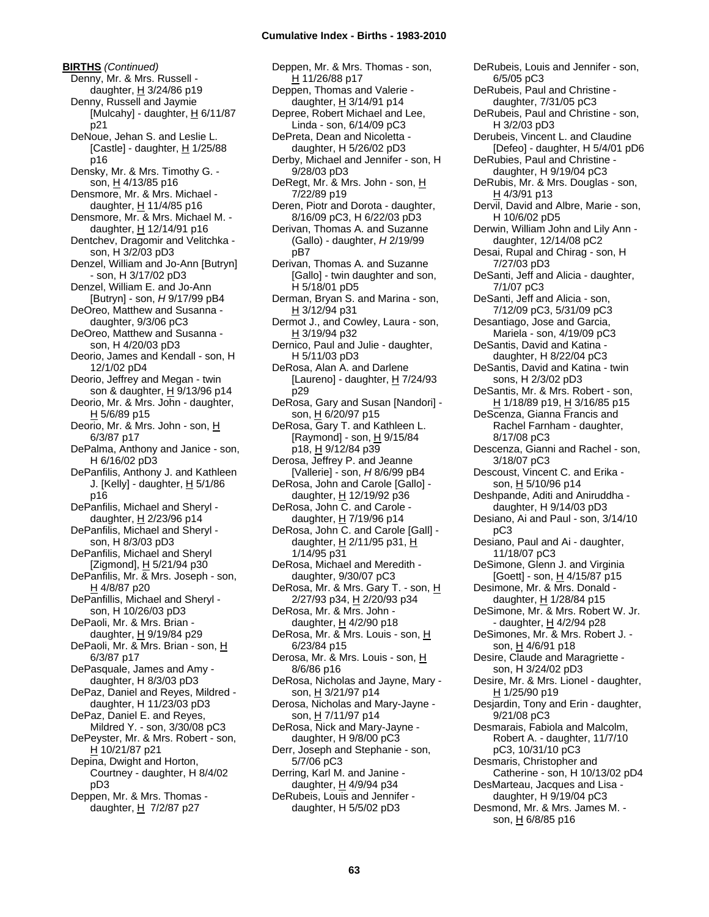**BIRTHS** *(Continued)* Denny, Mr. & Mrs. Russell daughter,  $H$  3/24/86 p19 Denny, Russell and Jaymie [Mulcahy] - daughter,  $H$  6/11/87 p21 DeNoue, Jehan S. and Leslie L. [Castle] - daughter, H 1/25/88 p16 Densky, Mr. & Mrs. Timothy G. son, H 4/13/85 p16 Densmore, Mr. & Mrs. Michael daughter,  $H$  11/4/85 p16 Densmore, Mr. & Mrs. Michael M. daughter,  $\underline{H}$  12/14/91 p16 Dentchev, Dragomir and Velitchka son, H 3/2/03 pD3 Denzel, William and Jo-Ann [Butryn] - son, H 3/17/02 pD3 Denzel, William E. and Jo-Ann [Butryn] - son, *H* 9/17/99 pB4 DeOreo, Matthew and Susanna daughter, 9/3/06 pC3 DeOreo, Matthew and Susanna son, H 4/20/03 pD3 Deorio, James and Kendall - son, H 12/1/02 pD4 Deorio, Jeffrey and Megan - twin son & daughter, H 9/13/96 p14 Deorio, Mr. & Mrs. John - daughter,  $H$  5/6/89 p15 Deorio, Mr. & Mrs. John - son, H 6/3/87 p17 DePalma, Anthony and Janice - son, H 6/16/02 pD3 DePanfilis, Anthony J. and Kathleen J. [Kelly] - daughter,  $H$  5/1/86 p16 DePanfilis, Michael and Sheryl daughter,  $H$  2/23/96 p14 DePanfilis, Michael and Sheryl son, H 8/3/03 pD3 DePanfilis, Michael and Sheryl [Zigmond], H 5/21/94 p30 DePanfilis, Mr. & Mrs. Joseph - son, H 4/8/87 p20 DePanfillis, Michael and Sheryl son, H 10/26/03 pD3 DePaoli, Mr. & Mrs. Brian daughter, H 9/19/84 p29 DePaoli, Mr. & Mrs. Brian - son, H 6/3/87 p17 DePasquale, James and Amy daughter, H 8/3/03 pD3 DePaz, Daniel and Reyes, Mildred daughter, H 11/23/03 pD3 DePaz, Daniel E. and Reyes, Mildred Y. - son, 3/30/08 pC3 DePeyster, Mr. & Mrs. Robert - son, H 10/21/87 p21 Depina, Dwight and Horton, Courtney - daughter, H 8/4/02 pD3 Deppen, Mr. & Mrs. Thomas daughter,  $H$  7/2/87 p27

Deppen, Mr. & Mrs. Thomas - son, H 11/26/88 p17 Deppen, Thomas and Valerie daughter, H 3/14/91 p14 Depree, Robert Michael and Lee, Linda - son, 6/14/09 pC3 DePreta, Dean and Nicoletta daughter, H 5/26/02 pD3 Derby, Michael and Jennifer - son, H 9/28/03 pD3 DeRegt, Mr. & Mrs. John - son, H 7/22/89 p19 Deren, Piotr and Dorota - daughter, 8/16/09 pC3, H 6/22/03 pD3 Derivan, Thomas A. and Suzanne (Gallo) - daughter, *H* 2/19/99 pB7 Derivan, Thomas A. and Suzanne [Gallo] - twin daughter and son, H 5/18/01 pD5 Derman, Bryan S. and Marina - son, H 3/12/94 p31 Dermot J., and Cowley, Laura - son, H 3/19/94 p32 Dernico, Paul and Julie - daughter, H 5/11/03 pD3 DeRosa, Alan A. and Darlene [Laureno] - daughter,  $H$  7/24/93 p29 DeRosa, Gary and Susan [Nandori] son, H 6/20/97 p15 DeRosa, Gary T. and Kathleen L. [Raymond] - son,  $\underline{H}$  9/15/84 p18, H 9/12/84 p39 Derosa, Jeffrey P. and Jeanne [Vallerie] - son, *H* 8/6/99 pB4 DeRosa, John and Carole [Gallo] daughter, H 12/19/92 p36 DeRosa, John C. and Carole daughter,  $H$  7/19/96 p14 DeRosa, John C. and Carole [Gall] daughter,  $H$  2/11/95 p31,  $H$ 1/14/95 p31 DeRosa, Michael and Meredith daughter, 9/30/07 pC3 DeRosa, Mr. & Mrs. Gary T. - son, H 2/27/93 p34, H 2/20/93 p34 DeRosa, Mr. & Mrs. John daughter,  $H$  4/2/90 p18 DeRosa, Mr. & Mrs. Louis - son, H 6/23/84 p15 Derosa, Mr. & Mrs. Louis - son, H 8/6/86 p16 DeRosa, Nicholas and Jayne, Mary son, H 3/21/97 p14 Derosa, Nicholas and Mary-Jayne son, H 7/11/97 p14 DeRosa, Nick and Mary-Jayne daughter, H 9/8/00 pC3 Derr, Joseph and Stephanie - son, 5/7/06 pC3 Derring, Karl M. and Janine daughter, H 4/9/94 p34 DeRubeis, Louis and Jennifer daughter, H 5/5/02 pD3

6/5/05 pC3 DeRubeis, Paul and Christine daughter, 7/31/05 pC3 DeRubeis, Paul and Christine - son, H 3/2/03 pD3 Derubeis, Vincent L. and Claudine [Defeo] - daughter, H 5/4/01 pD6 DeRubies, Paul and Christine daughter, H 9/19/04 pC3 DeRubis, Mr. & Mrs. Douglas - son, H 4/3/91 p13 Dervil, David and Albre, Marie - son, H 10/6/02 pD5 Derwin, William John and Lily Ann daughter, 12/14/08 pC2 Desai, Rupal and Chirag - son, H 7/27/03 pD3 DeSanti, Jeff and Alicia - daughter, 7/1/07 pC3 DeSanti, Jeff and Alicia - son, 7/12/09 pC3, 5/31/09 pC3 Desantiago, Jose and Garcia, Mariela - son, 4/19/09 pC3 DeSantis, David and Katina daughter, H 8/22/04 pC3 DeSantis, David and Katina - twin sons, H 2/3/02 pD3 DeSantis, Mr. & Mrs. Robert - son, H 1/18/89 p19, H 3/16/85 p15 DeScenza, Gianna Francis and Rachel Farnham - daughter, 8/17/08 pC3 Descenza, Gianni and Rachel - son, 3/18/07 pC3 Descoust, Vincent C. and Erika son, H 5/10/96 p14 Deshpande, Aditi and Aniruddha daughter, H 9/14/03 pD3 Desiano, Ai and Paul - son, 3/14/10 pC3 Desiano, Paul and Ai - daughter, 11/18/07 pC3 DeSimone, Glenn J. and Virginia [Goett] - son, <u>H</u> 4/15/87 p15 Desimone, Mr. & Mrs. Donald daughter, H 1/28/84 p15 DeSimone, Mr. & Mrs. Robert W. Jr. - daughter, H 4/2/94 p28 DeSimones, Mr. & Mrs. Robert J. son, H 4/6/91 p18 Desire, Claude and Maragriette son, H 3/24/02 pD3 Desire, Mr. & Mrs. Lionel - daughter, H 1/25/90 p19 Desjardin, Tony and Erin - daughter, 9/21/08 pC3 Desmarais, Fabiola and Malcolm, Robert A. - daughter, 11/7/10 pC3, 10/31/10 pC3 Desmaris, Christopher and Catherine - son, H 10/13/02 pD4 DesMarteau, Jacques and Lisa daughter, H 9/19/04 pC3 Desmond, Mr. & Mrs. James M. son, H 6/8/85 p16

DeRubeis, Louis and Jennifer - son,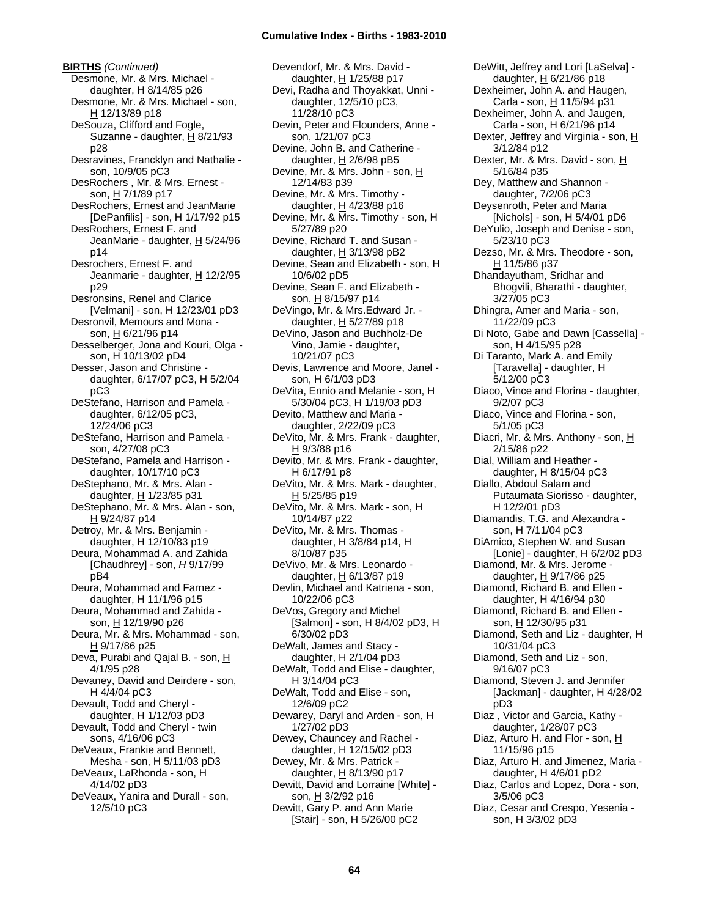**BIRTHS** *(Continued)* Desmone, Mr. & Mrs. Michael daughter,  $H$  8/14/85 p26 Desmone, Mr. & Mrs. Michael - son, H 12/13/89 p18 DeSouza, Clifford and Fogle, Suzanne - daughter, H 8/21/93 p28 Desravines, Francklyn and Nathalie son, 10/9/05 pC3 DesRochers , Mr. & Mrs. Ernest son, H 7/1/89 p17 DesRochers, Ernest and JeanMarie [DePanfilis] - son, H 1/17/92 p15 DesRochers, Ernest F. and JeanMarie - daughter, H 5/24/96 p14 Desrochers, Ernest F. and Jeanmarie - daughter, H 12/2/95 p29 Desronsins, Renel and Clarice [Velmani] - son, H 12/23/01 pD3 Desronvil, Memours and Mona son, H 6/21/96 p14 Desselberger, Jona and Kouri, Olga son, H 10/13/02 pD4 Desser, Jason and Christine daughter, 6/17/07 pC3, H 5/2/04 pC3 DeStefano, Harrison and Pamela daughter, 6/12/05 pC3, 12/24/06 pC3 DeStefano, Harrison and Pamela son, 4/27/08 pC3 DeStefano, Pamela and Harrison daughter, 10/17/10 pC3 DeStephano, Mr. & Mrs. Alan daughter, H 1/23/85 p31 DeStephano, Mr. & Mrs. Alan - son, H 9/24/87 p14 Detroy, Mr. & Mrs. Benjamin daughter, H 12/10/83 p19 Deura, Mohammad A. and Zahida [Chaudhrey] - son, *H* 9/17/99 pB4 Deura, Mohammad and Farnez daughter, H 11/1/96 p15 Deura, Mohammad and Zahida son, H 12/19/90 p26 Deura, Mr. & Mrs. Mohammad - son, H 9/17/86 p25 Deva, Purabi and Qajal B. - son, H 4/1/95 p28 Devaney, David and Deirdere - son, H 4/4/04 pC3 Devault, Todd and Cheryl daughter, H 1/12/03 pD3 Devault, Todd and Cheryl - twin sons, 4/16/06 pC3 DeVeaux, Frankie and Bennett, Mesha - son, H 5/11/03 pD3 DeVeaux, LaRhonda - son, H 4/14/02 pD3 DeVeaux, Yanira and Durall - son, 12/5/10 pC3

Devendorf, Mr. & Mrs. David daughter, H 1/25/88 p17 Devi, Radha and Thoyakkat, Unni daughter, 12/5/10 pC3, 11/28/10 pC3 Devin, Peter and Flounders, Anne son, 1/21/07 pC3 Devine, John B. and Catherine daughter,  $H$  2/6/98 pB5 Devine, Mr. & Mrs. John - son, H 12/14/83 p39 Devine, Mr. & Mrs. Timothy daughter,  $H$  4/23/88 p16 Devine, Mr. & Mrs. Timothy - son, H 5/27/89 p20 Devine, Richard T. and Susan daughter, H 3/13/98 pB2 Devine, Sean and Elizabeth - son, H 10/6/02 pD5 Devine, Sean F. and Elizabeth son, H 8/15/97 p14 DeVingo, Mr. & Mrs.Edward Jr. daughter, H 5/27/89 p18 DeVino, Jason and Buchholz-De Vino, Jamie - daughter, 10/21/07 pC3 Devis, Lawrence and Moore, Janel son, H 6/1/03 pD3 DeVita, Ennio and Melanie - son, H 5/30/04 pC3, H 1/19/03 pD3 Devito, Matthew and Maria daughter, 2/22/09 pC3 DeVito, Mr. & Mrs. Frank - daughter, H 9/3/88 p16 Devito, Mr. & Mrs. Frank - daughter,  $H$  6/17/91 p8 DeVito, Mr. & Mrs. Mark - daughter, H 5/25/85 p19 DeVito, Mr. & Mrs. Mark - son, H 10/14/87 p22 DeVito, Mr. & Mrs. Thomas daughter,  $H$  3/8/84 p14,  $H$ 8/10/87 p35 DeVivo, Mr. & Mrs. Leonardo daughter,  $H$  6/13/87 p19 Devlin, Michael and Katriena - son, 10/22/06 pC3 DeVos, Gregory and Michel [Salmon] - son, H 8/4/02 pD3, H 6/30/02 pD3 DeWalt, James and Stacy daughter, H 2/1/04 pD3 DeWalt, Todd and Elise - daughter, H 3/14/04 pC3 DeWalt, Todd and Elise - son, 12/6/09 pC2 Dewarey, Daryl and Arden - son, H 1/27/02 pD3 Dewey, Chauncey and Rachel daughter, H 12/15/02 pD3 Dewey, Mr. & Mrs. Patrick daughter, H 8/13/90 p17 Dewitt, David and Lorraine [White] son, H 3/2/92 p16 Dewitt, Gary P. and Ann Marie [Stair] - son, H 5/26/00 pC2

DeWitt, Jeffrey and Lori [LaSelva] daughter, H 6/21/86 p18 Dexheimer, John A. and Haugen, Carla - son, H 11/5/94 p31 Dexheimer, John A. and Jaugen, Carla - son, H 6/21/96 p14 Dexter, Jeffrey and Virginia - son, H 3/12/84 p12 Dexter, Mr. & Mrs. David - son, H 5/16/84 p35 Dey, Matthew and Shannon daughter, 7/2/06 pC3 Deysenroth, Peter and Maria [Nichols] - son, H 5/4/01 pD6 DeYulio, Joseph and Denise - son, 5/23/10 pC3 Dezso, Mr. & Mrs. Theodore - son, H 11/5/86 p37 Dhandayutham, Sridhar and Bhogvili, Bharathi - daughter, 3/27/05 pC3 Dhingra, Amer and Maria - son, 11/22/09 pC3 Di Noto, Gabe and Dawn [Cassella] son, H 4/15/95 p28 Di Taranto, Mark A. and Emily [Taravella] - daughter, H 5/12/00 pC3 Diaco, Vince and Florina - daughter, 9/2/07 pC3 Diaco, Vince and Florina - son, 5/1/05 pC3 Diacri, Mr. & Mrs. Anthony - son, H 2/15/86 p22 Dial, William and Heather daughter, H 8/15/04 pC3 Diallo, Abdoul Salam and Putaumata Siorisso - daughter, H 12/2/01 pD3 Diamandis, T.G. and Alexandra son, H 7/11/04 pC3 DiAmico, Stephen W. and Susan [Lonie] - daughter, H 6/2/02 pD3 Diamond, Mr. & Mrs. Jerome daughter, H 9/17/86 p25 Diamond, Richard B. and Ellen daughter, H 4/16/94 p30 Diamond, Richard B. and Ellen son, H 12/30/95 p31 Diamond, Seth and Liz - daughter, H 10/31/04 pC3 Diamond, Seth and Liz - son, 9/16/07 pC3 Diamond, Steven J. and Jennifer [Jackman] - daughter, H 4/28/02 pD3 Diaz , Victor and Garcia, Kathy daughter, 1/28/07 pC3 Diaz, Arturo H. and Flor - son, H 11/15/96 p15 Diaz, Arturo H. and Jimenez, Maria daughter, H 4/6/01 pD2 Diaz, Carlos and Lopez, Dora - son, 3/5/06 pC3 Diaz, Cesar and Crespo, Yesenia son, H 3/3/02 pD3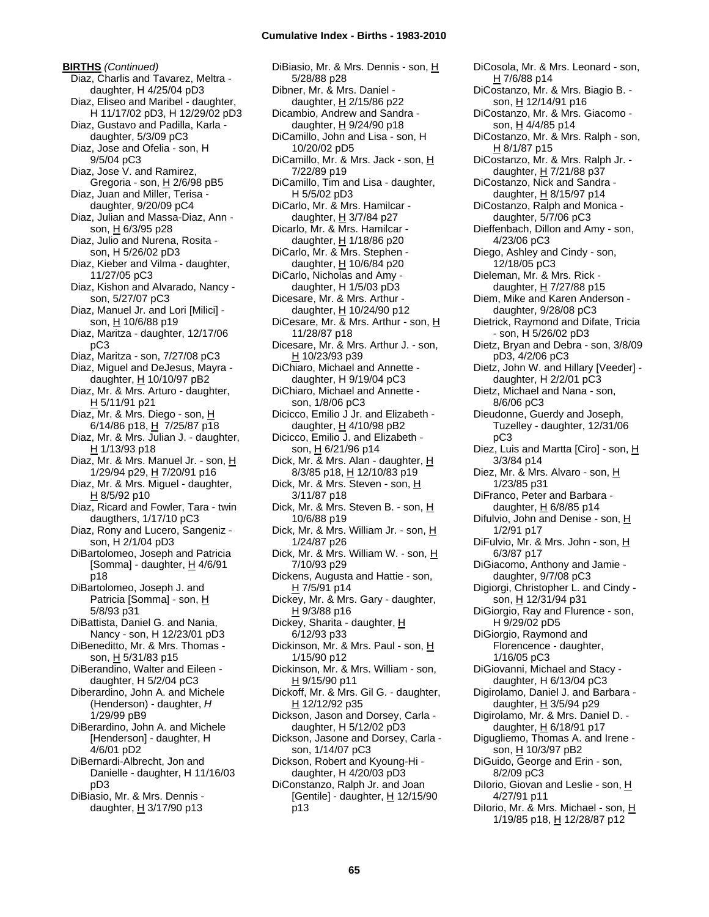**BIRTHS** *(Continued)* Diaz, Charlis and Tavarez, Meltra daughter, H 4/25/04 pD3 Diaz, Eliseo and Maribel - daughter, H 11/17/02 pD3, H 12/29/02 pD3 Diaz, Gustavo and Padilla, Karla daughter, 5/3/09 pC3 Diaz, Jose and Ofelia - son, H 9/5/04 pC3 Diaz, Jose V. and Ramirez, Gregoria - son, H 2/6/98 pB5 Diaz, Juan and Miller, Terisa daughter, 9/20/09 pC4 Diaz, Julian and Massa-Diaz, Ann son, H 6/3/95 p28 Diaz, Julio and Nurena, Rosita son, H 5/26/02 pD3 Diaz, Kieber and Vilma - daughter, 11/27/05 pC3 Diaz, Kishon and Alvarado, Nancy son, 5/27/07 pC3 Diaz, Manuel Jr. and Lori [Milici] son, H 10/6/88 p19 Diaz, Maritza - daughter, 12/17/06 pC3 Diaz, Maritza - son, 7/27/08 pC3 Diaz, Miguel and DeJesus, Mayra daughter, H 10/10/97 pB2 Diaz, Mr. & Mrs. Arturo - daughter, H 5/11/91 p21 Diaz, Mr. & Mrs. Diego - son, H 6/14/86 p18, H 7/25/87 p18 Diaz, Mr. & Mrs. Julian J. - daughter, H 1/13/93 p18 Diaz, Mr. & Mrs. Manuel Jr. - son, H 1/29/94 p29, H 7/20/91 p16 Diaz, Mr. & Mrs. Miguel - daughter, H 8/5/92 p10 Diaz, Ricard and Fowler, Tara - twin daugthers, 1/17/10 pC3 Diaz, Rony and Lucero, Sangeniz son, H 2/1/04 pD3 DiBartolomeo, Joseph and Patricia [Somma] - daughter, H 4/6/91 p18 DiBartolomeo, Joseph J. and Patricia [Somma] - son, H 5/8/93 p31 DiBattista, Daniel G. and Nania, Nancy - son, H 12/23/01 pD3 DiBeneditto, Mr. & Mrs. Thomas son, H 5/31/83 p15 DiBerandino, Walter and Eileen daughter, H 5/2/04 pC3 Diberardino, John A. and Michele (Henderson) - daughter, *H* 1/29/99 pB9 DiBerardino, John A. and Michele [Henderson] - daughter, H 4/6/01 pD2 DiBernardi-Albrecht, Jon and Danielle - daughter, H 11/16/03 pD3 DiBiasio, Mr. & Mrs. Dennis daughter,  $H$  3/17/90 p13

DiBiasio, Mr. & Mrs. Dennis - son, H 5/28/88 p28 Dibner, Mr. & Mrs. Daniel daughter, H 2/15/86 p22 Dicambio, Andrew and Sandra daughter, H 9/24/90 p18 DiCamillo, John and Lisa - son, H 10/20/02 pD5 DiCamillo, Mr. & Mrs. Jack - son, H 7/22/89 p19 DiCamillo, Tim and Lisa - daughter, H 5/5/02 pD3 DiCarlo, Mr. & Mrs. Hamilcar daughter, H 3/7/84 p27 Dicarlo, Mr. & Mrs. Hamilcar daughter,  $H$  1/18/86 p20 DiCarlo, Mr. & Mrs. Stephen daughter,  $H$  10/6/84 p20 DiCarlo, Nicholas and Amy daughter, H 1/5/03 pD3 Dicesare, Mr. & Mrs. Arthur daughter, H 10/24/90 p12 DiCesare, Mr. & Mrs. Arthur - son, H 11/28/87 p18 Dicesare, Mr. & Mrs. Arthur J. - son, H 10/23/93 p39 DiChiaro, Michael and Annette daughter, H 9/19/04 pC3 DiChiaro, Michael and Annette son, 1/8/06 pC3 Dicicco, Emilio J Jr. and Elizabeth daughter,  $H$  4/10/98 pB2 Dicicco, Emilio J. and Elizabeth son, H 6/21/96 p14 Dick, Mr. & Mrs. Alan - daughter, H 8/3/85 p18, <u>H</u> 12/10/83 p19 Dick, Mr. & Mrs. Steven - son, H 3/11/87 p18 Dick, Mr. & Mrs. Steven B. - son, H 10/6/88 p19 Dick, Mr. & Mrs. William Jr. - son, H 1/24/87 p26 Dick, Mr. & Mrs. William W. - son, H 7/10/93 p29 Dickens, Augusta and Hattie - son,  $H$  7/5/91 p14 Dickey, Mr. & Mrs. Gary - daughter, H 9/3/88 p16 Dickey, Sharita - daughter, H 6/12/93 p33 Dickinson, Mr. & Mrs. Paul - son, H 1/15/90 p12 Dickinson, Mr. & Mrs. William - son, H 9/15/90 p11 Dickoff, Mr. & Mrs. Gil G. - daughter, H 12/12/92 p35 Dickson, Jason and Dorsey, Carla daughter, H 5/12/02 pD3 Dickson, Jasone and Dorsey, Carla son, 1/14/07 pC3 Dickson, Robert and Kyoung-Hi daughter, H 4/20/03 pD3 DiConstanzo, Ralph Jr. and Joan [Gentile] - daughter,  $H$  12/15/90 p13

DiCosola, Mr. & Mrs. Leonard - son, H 7/6/88 p14 DiCostanzo, Mr. & Mrs. Biagio B. son, H 12/14/91 p16 DiCostanzo, Mr. & Mrs. Giacomo son, H 4/4/85 p14 DiCostanzo, Mr. & Mrs. Ralph - son, H 8/1/87 p15 DiCostanzo, Mr. & Mrs. Ralph Jr. daughter, H 7/21/88 p37 DiCostanzo, Nick and Sandra daughter, H 8/15/97 p14 DiCostanzo, Ralph and Monica daughter, 5/7/06 pC3 Dieffenbach, Dillon and Amy - son, 4/23/06 pC3 Diego, Ashley and Cindy - son, 12/18/05 pC3 Dieleman, Mr. & Mrs. Rick daughter, H 7/27/88 p15 Diem, Mike and Karen Anderson daughter, 9/28/08 pC3 Dietrick, Raymond and Difate, Tricia - son, H 5/26/02 pD3 Dietz, Bryan and Debra - son, 3/8/09 pD3, 4/2/06 pC3 Dietz, John W. and Hillary [Veeder] daughter, H 2/2/01 pC3 Dietz, Michael and Nana - son, 8/6/06 pC3 Dieudonne, Guerdy and Joseph, Tuzelley - daughter, 12/31/06 pC3 Diez, Luis and Martta [Ciro] - son, H 3/3/84 p14 Diez, Mr. & Mrs. Alvaro - son, H 1/23/85 p31 DiFranco, Peter and Barbara daughter, H 6/8/85 p14 Difulvio, John and Denise - son, H 1/2/91 p17 DiFulvio, Mr. & Mrs. John - son, H 6/3/87 p17 DiGiacomo, Anthony and Jamie daughter, 9/7/08 pC3 Digiorgi, Christopher L. and Cindy son, H 12/31/94 p31 DiGiorgio, Ray and Flurence - son, H 9/29/02 pD5 DiGiorgio, Raymond and Florencence - daughter, 1/16/05 pC3 DiGiovanni, Michael and Stacy daughter, H 6/13/04 pC3 Digirolamo, Daniel J. and Barbara daughter, H 3/5/94 p29 Digirolamo, Mr. & Mrs. Daniel D. daughter, H 6/18/91 p17 Digugliemo, Thomas A. and Irene son, H 10/3/97 pB2 DiGuido, George and Erin - son, 8/2/09 pC3 Dilorio, Giovan and Leslie - son, H 4/27/91 p11 Dilorio, Mr. & Mrs. Michael - son, H 1/19/85 p18, H 12/28/87 p12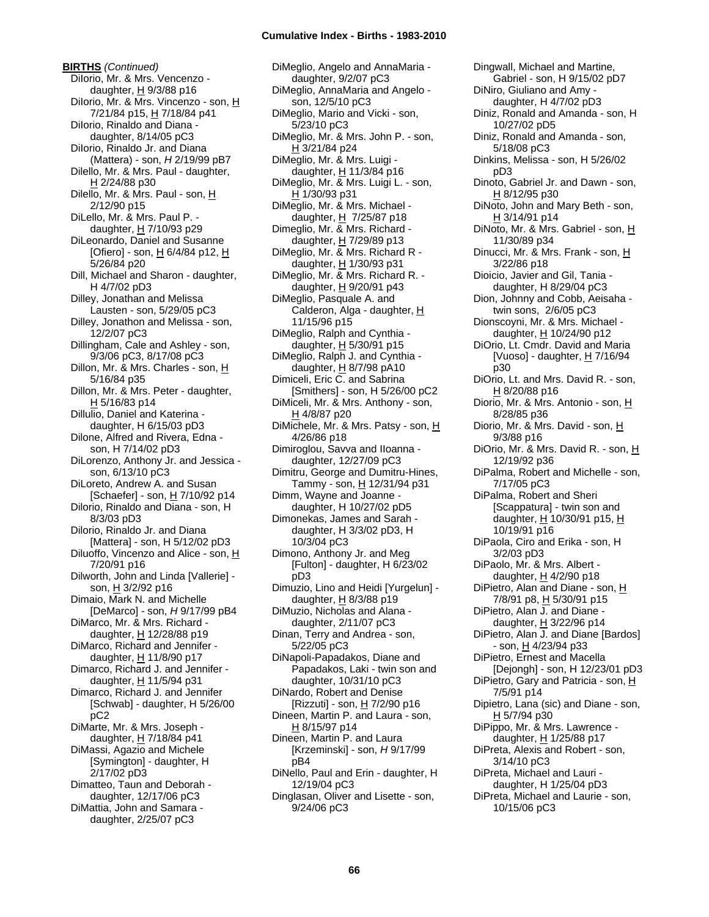**BIRTHS** *(Continued)* DiIorio, Mr. & Mrs. Vencenzo daughter,  $H$  9/3/88 p16 Dilorio, Mr. & Mrs. Vincenzo - son, H 7/21/84 p15, H 7/18/84 p41 Dilorio, Rinaldo and Diana daughter, 8/14/05 pC3 DiIorio, Rinaldo Jr. and Diana (Mattera) - son, *H* 2/19/99 pB7 Dilello, Mr. & Mrs. Paul - daughter, H 2/24/88 p30 Dilello, Mr. & Mrs. Paul - son, H 2/12/90 p15 DiLello, Mr. & Mrs. Paul P. daughter,  $H$  7/10/93 p29 DiLeonardo, Daniel and Susanne [Ofiero] - son, H 6/4/84 p12, H 5/26/84 p20 Dill, Michael and Sharon - daughter, H 4/7/02 pD3 Dilley, Jonathan and Melissa Lausten - son, 5/29/05 pC3 Dilley, Jonathon and Melissa - son, 12/2/07 pC3 Dillingham, Cale and Ashley - son, 9/3/06 pC3, 8/17/08 pC3 Dillon, Mr. & Mrs. Charles - son, H 5/16/84 p35 Dillon, Mr. & Mrs. Peter - daughter, H 5/16/83 p14 Dillulio, Daniel and Katerina daughter, H 6/15/03 pD3 Dilone, Alfred and Rivera, Edna son, H 7/14/02 pD3 DiLorenzo, Anthony Jr. and Jessica son, 6/13/10 pC3 DiLoreto, Andrew A. and Susan [Schaefer] - son, H 7/10/92 p14 Dilorio, Rinaldo and Diana - son, H 8/3/03 pD3 Dilorio, Rinaldo Jr. and Diana [Mattera] - son, H 5/12/02 pD3 Diluoffo, Vincenzo and Alice - son, H 7/20/91 p16 Dilworth, John and Linda [Vallerie] son, H 3/2/92 p16 Dimaio, Mark N. and Michelle [DeMarco] - son, *H* 9/17/99 pB4 DiMarco, Mr. & Mrs. Richard daughter, H 12/28/88 p19 DiMarco, Richard and Jennifer daughter, H 11/8/90 p17 Dimarco, Richard J. and Jennifer daughter,  $H$  11/5/94 p31 Dimarco, Richard J. and Jennifer [Schwab] - daughter, H 5/26/00 pC2 DiMarte, Mr. & Mrs. Joseph daughter, H 7/18/84 p41 DiMassi, Agazio and Michele [Symington] - daughter, H 2/17/02 pD3 Dimatteo, Taun and Deborah daughter, 12/17/06 pC3 DiMattia, John and Samara daughter, 2/25/07 pC3

DiMeglio, Angelo and AnnaMaria daughter, 9/2/07 pC3 DiMeglio, AnnaMaria and Angelo son, 12/5/10 pC3 DiMeglio, Mario and Vicki - son, 5/23/10 pC3 DiMeglio, Mr. & Mrs. John P. - son, H 3/21/84 p24 DiMeglio, Mr. & Mrs. Luigi daughter,  $H$  11/3/84 p16 DiMeglio, Mr. & Mrs. Luigi L. - son, H 1/30/93 p31 DiMeglio, Mr. & Mrs. Michael daughter, H 7/25/87 p18 Dimeglio, Mr. & Mrs. Richard daughter,  $H$  7/29/89 p13 DiMeglio, Mr. & Mrs. Richard R daughter, H 1/30/93 p31 DiMeglio, Mr. & Mrs. Richard R. daughter, H 9/20/91 p43 DiMeglio, Pasquale A. and Calderon, Alga - daughter, H 11/15/96 p15 DiMeglio, Ralph and Cynthia daughter,  $H$  5/30/91 p15 DiMeglio, Ralph J. and Cynthia daughter, H 8/7/98 pA10 Dimiceli, Eric C. and Sabrina [Smithers] - son, H 5/26/00 pC2 DiMiceli, Mr. & Mrs. Anthony - son, H 4/8/87 p20 DiMichele, Mr. & Mrs. Patsy - son, H 4/26/86 p18 Dimiroglou, Savva and IIoanna daughter, 12/27/09 pC3 Dimitru, George and Dumitru-Hines, Tammy - son, H 12/31/94 p31 Dimm, Wayne and Joanne daughter, H 10/27/02 pD5 Dimonekas, James and Sarah daughter, H 3/3/02 pD3, H 10/3/04 pC3 Dimono, Anthony Jr. and Meg [Fulton] - daughter, H 6/23/02 pD3 Dimuzio, Lino and Heidi [Yurgelun] daughter, H 8/3/88 p19 DiMuzio, Nicholas and Alana daughter, 2/11/07 pC3 Dinan, Terry and Andrea - son, 5/22/05 pC3 DiNapoli-Papadakos, Diane and Papadakos, Laki - twin son and daughter, 10/31/10 pC3 DiNardo, Robert and Denise [Rizzuti] - son, H 7/2/90 p16 Dineen, Martin P. and Laura - son, H 8/15/97 p14 Dineen, Martin P. and Laura [Krzeminski] - son, *H* 9/17/99 pB4 DiNello, Paul and Erin - daughter, H 12/19/04 pC3 Dinglasan, Oliver and Lisette - son, 9/24/06 pC3

Dingwall, Michael and Martine, Gabriel - son, H 9/15/02 pD7 DiNiro, Giuliano and Amy daughter, H 4/7/02 pD3 Diniz, Ronald and Amanda - son, H 10/27/02 pD5 Diniz, Ronald and Amanda - son, 5/18/08 pC3 Dinkins, Melissa - son, H 5/26/02 pD3 Dinoto, Gabriel Jr. and Dawn - son, H 8/12/95 p30 DiNoto, John and Mary Beth - son, H 3/14/91 p14 DiNoto, Mr. & Mrs. Gabriel - son, H 11/30/89 p34 Dinucci, Mr. & Mrs. Frank - son, H 3/22/86 p18 Dioicio, Javier and Gil, Tania daughter, H 8/29/04 pC3 Dion, Johnny and Cobb, Aeisaha twin sons, 2/6/05 pC3 Dionscoyni, Mr. & Mrs. Michael daughter, H 10/24/90 p12 DiOrio, Lt. Cmdr. David and Maria [Vuoso] - daughter,  $\underline{H}$  7/16/94 p30 DiOrio, Lt. and Mrs. David R. - son, H 8/20/88 p16 Diorio, Mr. & Mrs. Antonio - son, H 8/28/85 p36 Diorio, Mr. & Mrs. David - son, H 9/3/88 p16 DiOrio, Mr. & Mrs. David R. - son, H 12/19/92 p36 DiPalma, Robert and Michelle - son, 7/17/05 pC3 DiPalma, Robert and Sheri [Scappatura] - twin son and daughter, H 10/30/91 p15, H 10/19/91 p16 DiPaola, Ciro and Erika - son, H 3/2/03 pD3 DiPaolo, Mr. & Mrs. Albert daughter,  $H$  4/2/90 p18 DiPietro, Alan and Diane - son, H 7/8/91 p8, H 5/30/91 p15 DiPietro, Alan J. and Diane daughter,  $H$  3/22/96 p14 DiPietro, Alan J. and Diane [Bardos] - son, H 4/23/94 p33 DiPietro, Ernest and Macella [Dejongh] - son, H 12/23/01 pD3 DiPietro, Gary and Patricia - son, H 7/5/91 p14 Dipietro, Lana (sic) and Diane - son, H 5/7/94 p30 DiPippo, Mr. & Mrs. Lawrence daughter, H 1/25/88 p17 DiPreta, Alexis and Robert - son, 3/14/10 pC3 DiPreta, Michael and Lauri daughter, H 1/25/04 pD3 DiPreta, Michael and Laurie - son, 10/15/06 pC3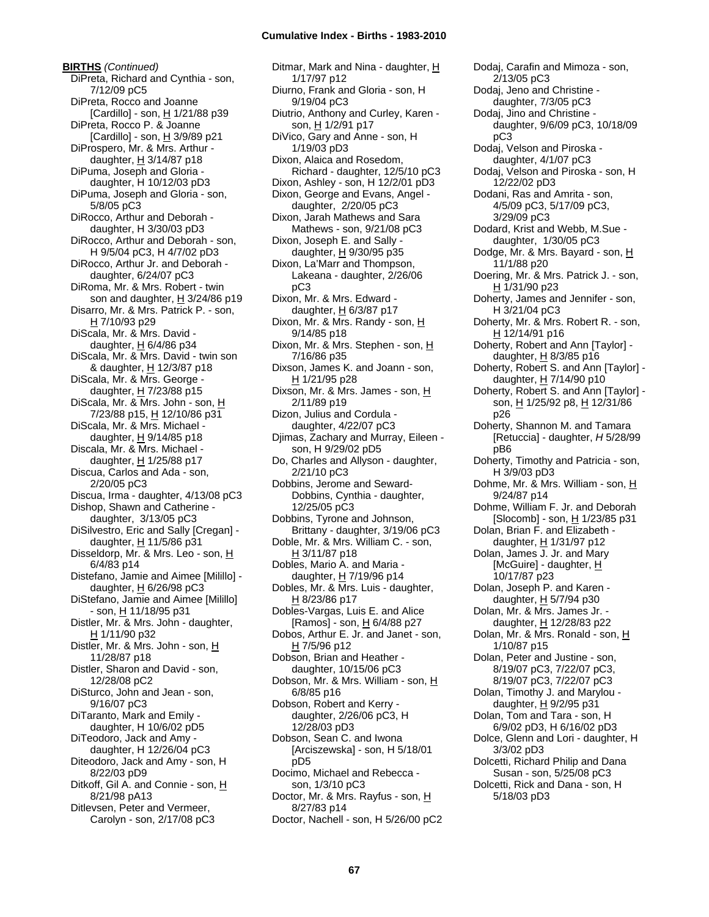**BIRTHS** *(Continued)* DiPreta, Richard and Cynthia - son, 7/12/09 pC5 DiPreta, Rocco and Joanne [Cardillo] - son, H 1/21/88 p39 DiPreta, Rocco P. & Joanne [Cardillo] - son,  $H$  3/9/89 p21 DiProspero, Mr. & Mrs. Arthur daughter,  $H$  3/14/87 p18 DiPuma, Joseph and Gloria daughter, H 10/12/03 pD3 DiPuma, Joseph and Gloria - son, 5/8/05 pC3 DiRocco, Arthur and Deborah daughter, H 3/30/03 pD3 DiRocco, Arthur and Deborah - son, H 9/5/04 pC3, H 4/7/02 pD3 DiRocco, Arthur Jr. and Deborah daughter, 6/24/07 pC3 DiRoma, Mr. & Mrs. Robert - twin son and daughter,  $H$  3/24/86 p19 Disarro, Mr. & Mrs. Patrick P. - son, H 7/10/93 p29 DiScala, Mr. & Mrs. David daughter,  $H$  6/4/86 p34 DiScala, Mr. & Mrs. David - twin son & daughter, H 12/3/87 p18 DiScala, Mr. & Mrs. George daughter, H 7/23/88 p15 DiScala, Mr. & Mrs. John - son, H 7/23/88 p15, H 12/10/86 p31 DiScala, Mr. & Mrs. Michael daughter,  $H$  9/14/85 p18 Discala, Mr. & Mrs. Michael daughter, H 1/25/88 p17 Discua, Carlos and Ada - son, 2/20/05 pC3 Discua, Irma - daughter, 4/13/08 pC3 Dishop, Shawn and Catherine daughter, 3/13/05 pC3 DiSilvestro, Eric and Sally [Cregan] daughter,  $H$  11/5/86 p31 Disseldorp, Mr. & Mrs. Leo - son, H 6/4/83 p14 Distefano, Jamie and Aimee [Milillo] daughter,  $H$  6/26/98 pC3 DiStefano, Jamie and Aimee [Milillo]  $-$  son,  $\underline{H}$  11/18/95 p31 Distler, Mr. & Mrs. John - daughter, H 1/11/90 p32 Distler, Mr. & Mrs. John - son, H 11/28/87 p18 Distler, Sharon and David - son, 12/28/08 pC2 DiSturco, John and Jean - son, 9/16/07 pC3 DiTaranto, Mark and Emily daughter, H 10/6/02 pD5 DiTeodoro, Jack and Amy daughter, H 12/26/04 pC3 Diteodoro, Jack and Amy - son, H 8/22/03 pD9 Ditkoff, Gil A. and Connie - son, H 8/21/98 pA13 Ditlevsen, Peter and Vermeer, Carolyn - son, 2/17/08 pC3

Ditmar, Mark and Nina - daughter, H 1/17/97 p12 Diurno, Frank and Gloria - son, H 9/19/04 pC3 Diutrio, Anthony and Curley, Karen son, H 1/2/91 p17 DiVico, Gary and Anne - son, H 1/19/03 pD3 Dixon, Alaica and Rosedom, Richard - daughter, 12/5/10 pC3 Dixon, Ashley - son, H 12/2/01 pD3 Dixon, George and Evans, Angel daughter, 2/20/05 pC3 Dixon, Jarah Mathews and Sara Mathews - son, 9/21/08 pC3 Dixon, Joseph E. and Sally daughter, H 9/30/95 p35 Dixon, La'Marr and Thompson, Lakeana - daughter, 2/26/06 pC3 Dixon, Mr. & Mrs. Edward daughter,  $H$  6/3/87 p17 Dixon, Mr. & Mrs. Randy - son, H 9/14/85 p18 Dixon, Mr. & Mrs. Stephen - son, H 7/16/86 p35 Dixson, James K. and Joann - son,  $H$  1/21/95 p28 Dixson, Mr. & Mrs. James - son, H 2/11/89 p19 Dizon, Julius and Cordula daughter, 4/22/07 pC3 Djimas, Zachary and Murray, Eileen son, H 9/29/02 pD5 Do, Charles and Allyson - daughter, 2/21/10 pC3 Dobbins, Jerome and Seward-Dobbins, Cynthia - daughter, 12/25/05 pC3 Dobbins, Tyrone and Johnson, Brittany - daughter, 3/19/06 pC3 Doble, Mr. & Mrs. William C. - son, H 3/11/87 p18 Dobles, Mario A. and Maria daughter, H 7/19/96 p14 Dobles, Mr. & Mrs. Luis - daughter, H 8/23/86 p17 Dobles-Vargas, Luis E. and Alice [Ramos] - son, H 6/4/88 p27 Dobos, Arthur E. Jr. and Janet - son, H 7/5/96 p12 Dobson, Brian and Heather daughter, 10/15/06 pC3 Dobson, Mr. & Mrs. William - son, H 6/8/85 p16 Dobson, Robert and Kerry daughter, 2/26/06 pC3, H 12/28/03 pD3 Dobson, Sean C. and Iwona [Arciszewska] - son, H 5/18/01 pD5 Docimo, Michael and Rebecca son, 1/3/10 pC3 Doctor, Mr. & Mrs. Rayfus - son, H 8/27/83 p14 Doctor, Nachell - son, H 5/26/00 pC2

2/13/05 pC3 Dodaj, Jeno and Christine daughter, 7/3/05 pC3 Dodaj, Jino and Christine daughter, 9/6/09 pC3, 10/18/09 pC3 Dodaj, Velson and Piroska daughter, 4/1/07 pC3 Dodaj, Velson and Piroska - son, H 12/22/02 pD3 Dodani, Ras and Amrita - son, 4/5/09 pC3, 5/17/09 pC3, 3/29/09 pC3 Dodard, Krist and Webb, M.Sue daughter, 1/30/05 pC3 Dodge, Mr. & Mrs. Bayard - son, H 11/1/88 p20 Doering, Mr. & Mrs. Patrick J. - son, H 1/31/90 p23 Doherty, James and Jennifer - son, H 3/21/04 pC3 Doherty, Mr. & Mrs. Robert R. - son, H 12/14/91 p16 Doherty, Robert and Ann [Taylor] daughter, H 8/3/85 p16 Doherty, Robert S. and Ann [Taylor] daughter, H 7/14/90 p10 Doherty, Robert S. and Ann [Taylor] son, H 1/25/92 p8, H 12/31/86 p26 Doherty, Shannon M. and Tamara [Retuccia] - daughter, *H* 5/28/99 pB6 Doherty, Timothy and Patricia - son, H 3/9/03 pD3 Dohme, Mr. & Mrs. William - son, H 9/24/87 p14 Dohme, William F. Jr. and Deborah  $[Slocomb]$  - son,  $H$  1/23/85 p31 Dolan, Brian F. and Elizabeth daughter, H 1/31/97 p12 Dolan, James J. Jr. and Mary [McGuire] - daughter, H 10/17/87 p23 Dolan, Joseph P. and Karen daughter,  $H$  5/7/94 p30 Dolan, Mr. & Mrs. James Jr. daughter, H 12/28/83 p22 Dolan, Mr. & Mrs. Ronald - son, H 1/10/87 p15 Dolan, Peter and Justine - son, 8/19/07 pC3, 7/22/07 pC3, 8/19/07 pC3, 7/22/07 pC3 Dolan, Timothy J. and Marylou daughter, H 9/2/95 p31 Dolan, Tom and Tara - son, H 6/9/02 pD3, H 6/16/02 pD3 Dolce, Glenn and Lori - daughter, H 3/3/02 pD3 Dolcetti, Richard Philip and Dana Susan - son, 5/25/08 pC3 Dolcetti, Rick and Dana - son, H 5/18/03 pD3

Dodaj, Carafin and Mimoza - son,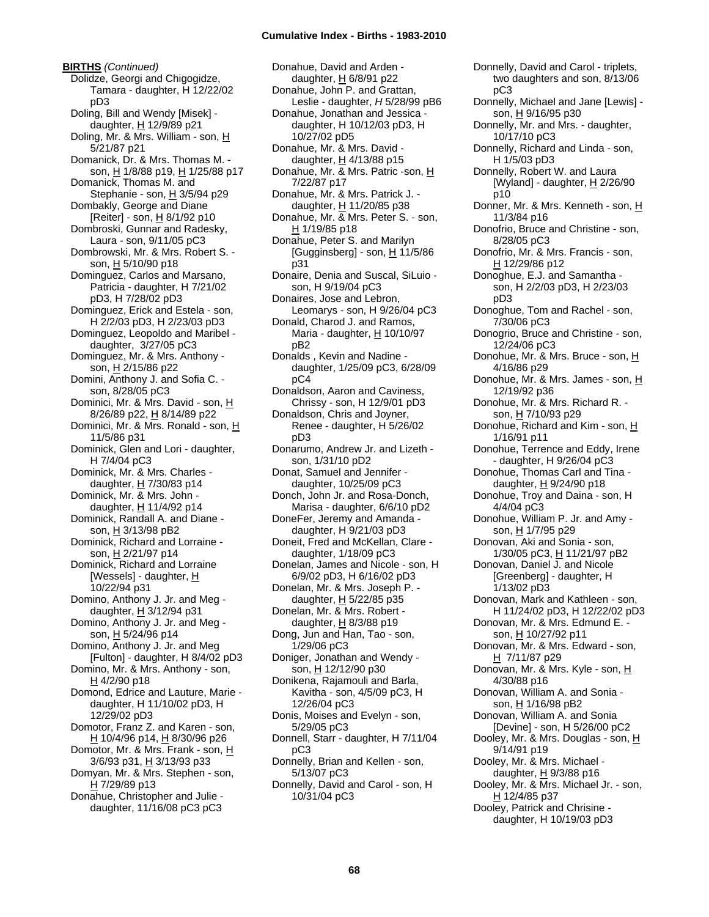**BIRTHS** *(Continued)* Dolidze, Georgi and Chigogidze, Tamara - daughter, H 12/22/02 pD3 Doling, Bill and Wendy [Misek] daughter, H 12/9/89 p21 Doling, Mr. & Mrs. William - son, H 5/21/87 p21 Domanick, Dr. & Mrs. Thomas M. son, H 1/8/88 p19, H 1/25/88 p17 Domanick, Thomas M. and Stephanie - son, H 3/5/94 p29 Dombakly, George and Diane [Reiter] - son, H 8/1/92 p10 Dombroski, Gunnar and Radesky, Laura - son, 9/11/05 pC3 Dombrowski, Mr. & Mrs. Robert S. son, H 5/10/90 p18 Dominguez, Carlos and Marsano, Patricia - daughter, H 7/21/02 pD3, H 7/28/02 pD3 Dominguez, Erick and Estela - son, H 2/2/03 pD3, H 2/23/03 pD3 Dominguez, Leopoldo and Maribel daughter, 3/27/05 pC3 Dominguez, Mr. & Mrs. Anthony son, H 2/15/86 p22 Domini, Anthony J. and Sofia C. son, 8/28/05 pC3 Dominici, Mr. & Mrs. David - son, H 8/26/89 p22, H 8/14/89 p22 Dominici, Mr. & Mrs. Ronald - son, H 11/5/86 p31 Dominick, Glen and Lori - daughter, H 7/4/04 pC3 Dominick, Mr. & Mrs. Charles daughter, H 7/30/83 p14 Dominick, Mr. & Mrs. John daughter, H 11/4/92 p14 Dominick, Randall A. and Diane son, H 3/13/98 pB2 Dominick, Richard and Lorraine son, H 2/21/97 p14 Dominick, Richard and Lorraine [Wessels] - daughter, H 10/22/94 p31 Domino, Anthony J. Jr. and Meg daughter,  $H$  3/12/94 p31 Domino, Anthony J. Jr. and Meg son, H 5/24/96 p14 Domino, Anthony J. Jr. and Meg [Fulton] - daughter, H 8/4/02 pD3 Domino, Mr. & Mrs. Anthony - son, H 4/2/90 p18 Domond, Edrice and Lauture, Marie daughter, H 11/10/02 pD3, H 12/29/02 pD3 Domotor, Franz Z. and Karen - son, H 10/4/96 p14, H 8/30/96 p26 Domotor, Mr. & Mrs. Frank - son, H 3/6/93 p31, H 3/13/93 p33 Domyan, Mr. & Mrs. Stephen - son, H 7/29/89 p13 Donahue, Christopher and Julie daughter, 11/16/08 pC3 pC3

Donahue, David and Arden daughter, H 6/8/91 p22 Donahue, John P. and Grattan, Leslie - daughter, *H* 5/28/99 pB6 Donahue, Jonathan and Jessica daughter, H 10/12/03 pD3, H 10/27/02 pD5 Donahue, Mr. & Mrs. David daughter,  $H$  4/13/88 p15 Donahue, Mr. & Mrs. Patric -son, H 7/22/87 p17 Donahue, Mr. & Mrs. Patrick J. daughter,  $H$  11/20/85 p38 Donahue, Mr. & Mrs. Peter S. - son, H 1/19/85 p18 Donahue, Peter S. and Marilyn [Gugginsberg] - son,  $\underline{H}$  11/5/86 p31 Donaire, Denia and Suscal, SiLuio son, H 9/19/04 pC3 Donaires, Jose and Lebron, Leomarys - son, H 9/26/04 pC3 Donald, Charod J. and Ramos, Maria - daughter, H 10/10/97 pB2 Donalds , Kevin and Nadine daughter, 1/25/09 pC3, 6/28/09  $nC<sub>4</sub>$ Donaldson, Aaron and Caviness, Chrissy - son, H 12/9/01 pD3 Donaldson, Chris and Joyner, Renee - daughter, H 5/26/02 pD3 Donarumo, Andrew Jr. and Lizeth son, 1/31/10 pD2 Donat, Samuel and Jennifer daughter, 10/25/09 pC3 Donch, John Jr. and Rosa-Donch, Marisa - daughter, 6/6/10 pD2 DoneFer, Jeremy and Amanda daughter, H 9/21/03 pD3 Doneit, Fred and McKellan, Clare daughter, 1/18/09 pC3 Donelan, James and Nicole - son, H 6/9/02 pD3, H 6/16/02 pD3 Donelan, Mr. & Mrs. Joseph P. daughter, H 5/22/85 p35 Donelan, Mr. & Mrs. Robert daughter,  $H$  8/3/88 p19 Dong, Jun and Han, Tao - son, 1/29/06 pC3 Doniger, Jonathan and Wendy son, H 12/12/90 p30 Donikena, Rajamouli and Barla, Kavitha - son, 4/5/09 pC3, H 12/26/04 pC3 Donis, Moises and Evelyn - son, 5/29/05 pC3 Donnell, Starr - daughter, H 7/11/04 pC3 Donnelly, Brian and Kellen - son, 5/13/07 pC3 Donnelly, David and Carol - son, H 10/31/04 pC3

pC3 Donnelly, Michael and Jane [Lewis] son, H 9/16/95 p30 Donnelly, Mr. and Mrs. - daughter, 10/17/10 pC3 Donnelly, Richard and Linda - son, H 1/5/03 pD3 Donnelly, Robert W. and Laura [Wyland] - daughter, H 2/26/90 p10 Donner, Mr. & Mrs. Kenneth - son, H 11/3/84 p16 Donofrio, Bruce and Christine - son, 8/28/05 pC3 Donofrio, Mr. & Mrs. Francis - son, <u>H</u> 12/29/86 p12 Donoghue, E.J. and Samantha son, H 2/2/03 pD3, H 2/23/03 pD3 Donoghue, Tom and Rachel - son, 7/30/06 pC3 Donogrio, Bruce and Christine - son, 12/24/06 pC3 Donohue, Mr. & Mrs. Bruce - son, H 4/16/86 p29 Donohue, Mr. & Mrs. James - son, H 12/19/92 p36 Donohue, Mr. & Mrs. Richard R. son, H 7/10/93 p29 Donohue, Richard and Kim - son, H 1/16/91 p11 Donohue, Terrence and Eddy, Irene - daughter, H 9/26/04 pC3 Donohue, Thomas Carl and Tina daughter, H 9/24/90 p18 Donohue, Troy and Daina - son, H 4/4/04 pC3 Donohue, William P. Jr. and Amy son, H 1/7/95 p29 Donovan, Aki and Sonia - son, 1/30/05 pC3, H 11/21/97 pB2 Donovan, Daniel J. and Nicole [Greenberg] - daughter, H 1/13/02 pD3 Donovan, Mark and Kathleen - son, H 11/24/02 pD3, H 12/22/02 pD3 Donovan, Mr. & Mrs. Edmund E. son, <u>H</u> 10/27/92 p11 Donovan, Mr. & Mrs. Edward - son, H 7/11/87 p29 Donovan, Mr. & Mrs. Kyle - son, H 4/30/88 p16 Donovan, William A. and Sonia son, H 1/16/98 pB2 Donovan, William A. and Sonia [Devine] - son, H 5/26/00 pC2 Dooley, Mr. & Mrs. Douglas - son, H 9/14/91 p19 Dooley, Mr. & Mrs. Michael daughter, H 9/3/88 p16 Dooley, Mr. & Mrs. Michael Jr. - son, H 12/4/85 p37 Dooley, Patrick and Chrisine daughter, H 10/19/03 pD3

Donnelly, David and Carol - triplets, two daughters and son, 8/13/06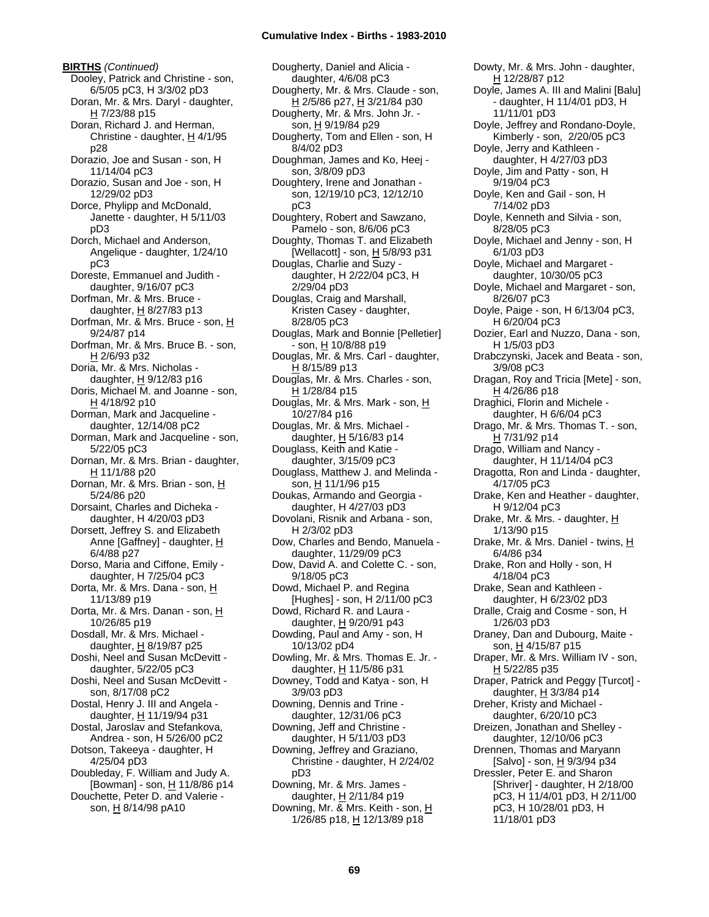**BIRTHS** *(Continued)* Dooley, Patrick and Christine - son, 6/5/05 pC3, H 3/3/02 pD3 Doran, Mr. & Mrs. Daryl - daughter, H 7/23/88 p15 Doran, Richard J. and Herman, Christine - daughter,  $H$  4/1/95 p28 Dorazio, Joe and Susan - son, H 11/14/04 pC3 Dorazio, Susan and Joe - son, H 12/29/02 pD3 Dorce, Phylipp and McDonald, Janette - daughter, H 5/11/03 pD3 Dorch, Michael and Anderson, Angelique - daughter, 1/24/10 pC3 Doreste, Emmanuel and Judith daughter, 9/16/07 pC3 Dorfman, Mr. & Mrs. Bruce daughter,  $H$  8/27/83 p13 Dorfman, Mr. & Mrs. Bruce - son, H 9/24/87 p14 Dorfman, Mr. & Mrs. Bruce B. - son, H 2/6/93 p32 Doria, Mr. & Mrs. Nicholas daughter,  $H$  9/12/83 p16 Doris, Michael M. and Joanne - son, H 4/18/92 p10 Dorman, Mark and Jacqueline daughter, 12/14/08 pC2 Dorman, Mark and Jacqueline - son, 5/22/05 pC3 Dornan, Mr. & Mrs. Brian - daughter, H 11/1/88 p20 Dornan, Mr. & Mrs. Brian - son, H 5/24/86 p20 Dorsaint, Charles and Dicheka daughter, H 4/20/03 pD3 Dorsett, Jeffrey S. and Elizabeth Anne [Gaffney] - daughter, H 6/4/88 p27 Dorso, Maria and Ciffone, Emily daughter, H 7/25/04 pC3 Dorta, Mr. & Mrs. Dana - son, H 11/13/89 p19 Dorta, Mr. & Mrs. Danan - son, H 10/26/85 p19 Dosdall, Mr. & Mrs. Michael daughter,  $H$  8/19/87 p25 Doshi, Neel and Susan McDevitt daughter, 5/22/05 pC3 Doshi, Neel and Susan McDevitt son, 8/17/08 pC2 Dostal, Henry J. III and Angela daughter, H 11/19/94 p31 Dostal, Jaroslav and Stefankova, Andrea - son, H 5/26/00 pC2 Dotson, Takeeya - daughter, H 4/25/04 pD3 Doubleday, F. William and Judy A. [Bowman] - son, H 11/8/86 p14 Douchette, Peter D. and Valerie son, H 8/14/98 pA10

Dougherty, Daniel and Alicia daughter, 4/6/08 pC3 Dougherty, Mr. & Mrs. Claude - son, H 2/5/86 p27, H 3/21/84 p30 Dougherty, Mr. & Mrs. John Jr. son, H 9/19/84 p29 Dougherty, Tom and Ellen - son, H 8/4/02 pD3 Doughman, James and Ko, Heej son, 3/8/09 pD3 Doughtery, Irene and Jonathan son, 12/19/10 pC3, 12/12/10 pC3 Doughtery, Robert and Sawzano, Pamelo - son, 8/6/06 pC3 Doughty, Thomas T. and Elizabeth [Wellacott] - son,  $H$  5/8/93 p31 Douglas, Charlie and Suzy daughter, H 2/22/04 pC3, H 2/29/04 pD3 Douglas, Craig and Marshall, Kristen Casey - daughter, 8/28/05 pC3 Douglas, Mark and Bonnie [Pelletier] - son, H 10/8/88 p19 Douglas, Mr. & Mrs. Carl - daughter,  $H$  8/15/89 p13 Douglas, Mr. & Mrs. Charles - son, H 1/28/84 p15 Douglas, Mr. & Mrs. Mark - son, H 10/27/84 p16 Douglas, Mr. & Mrs. Michael daughter,  $\underline{H}$  5/16/83 p14 Douglass, Keith and Katie daughter, 3/15/09 pC3 Douglass, Matthew J. and Melinda son, H 11/1/96 p15 Doukas, Armando and Georgia daughter, H 4/27/03 pD3 Dovolani, Risnik and Arbana - son, H 2/3/02 pD3 Dow, Charles and Bendo, Manuela daughter, 11/29/09 pC3 Dow, David A. and Colette C. - son, 9/18/05 pC3 Dowd, Michael P. and Regina [Hughes] - son, H 2/11/00 pC3 Dowd, Richard R. and Laura daughter,  $H$  9/20/91 p43 Dowding, Paul and Amy - son, H 10/13/02 pD4 Dowling, Mr. & Mrs. Thomas E. Jr. daughter,  $H$  11/5/86 p31 Downey, Todd and Katya - son, H 3/9/03 pD3 Downing, Dennis and Trine daughter, 12/31/06 pC3 Downing, Jeff and Christine daughter, H 5/11/03 pD3 Downing, Jeffrey and Graziano, Christine - daughter, H 2/24/02 pD3 Downing, Mr. & Mrs. James daughter,  $H$  2/11/84 p19 Downing, Mr. & Mrs. Keith - son, H 1/26/85 p18, H 12/13/89 p18

Dowty, Mr. & Mrs. John - daughter, H 12/28/87 p12 Doyle, James A. III and Malini [Balu] - daughter, H 11/4/01 pD3, H 11/11/01 pD3 Doyle, Jeffrey and Rondano-Doyle, Kimberly - son, 2/20/05 pC3 Doyle, Jerry and Kathleen daughter, H 4/27/03 pD3 Doyle, Jim and Patty - son, H 9/19/04 pC3 Doyle, Ken and Gail - son, H 7/14/02 pD3 Doyle, Kenneth and Silvia - son, 8/28/05 pC3 Doyle, Michael and Jenny - son, H 6/1/03 pD3 Doyle, Michael and Margaret daughter, 10/30/05 pC3 Doyle, Michael and Margaret - son, 8/26/07 pC3 Doyle, Paige - son, H 6/13/04 pC3, H 6/20/04 pC3 Dozier, Earl and Nuzzo, Dana - son, H 1/5/03 pD3 Drabczynski, Jacek and Beata - son, 3/9/08 pC3 Dragan, Roy and Tricia [Mete] - son, H 4/26/86 p18 Draghici, Florin and Michele daughter, H 6/6/04 pC3 Drago, Mr. & Mrs. Thomas T. - son, H 7/31/92 p14 Drago, William and Nancy daughter, H 11/14/04 pC3 Dragotta, Ron and Linda - daughter, 4/17/05 pC3 Drake, Ken and Heather - daughter, H 9/12/04 pC3 Drake, Mr. & Mrs. - daughter, H 1/13/90 p15 Drake, Mr. & Mrs. Daniel - twins, H 6/4/86 p34 Drake, Ron and Holly - son, H 4/18/04 pC3 Drake, Sean and Kathleen daughter, H 6/23/02 pD3 Dralle, Craig and Cosme - son, H 1/26/03 pD3 Draney, Dan and Dubourg, Maite son, H 4/15/87 p15 Draper, Mr. & Mrs. William IV - son, H 5/22/85 p35 Draper, Patrick and Peggy [Turcot] daughter,  $H$  3/3/84 p14 Dreher, Kristy and Michael daughter, 6/20/10 pC3 Dreizen, Jonathan and Shelley daughter, 12/10/06 pC3 Drennen, Thomas and Maryann [Salvo] - son, H 9/3/94 p34 Dressler, Peter E. and Sharon [Shriver] - daughter, H 2/18/00 pC3, H 11/4/01 pD3, H 2/11/00 pC3, H 10/28/01 pD3, H 11/18/01 pD3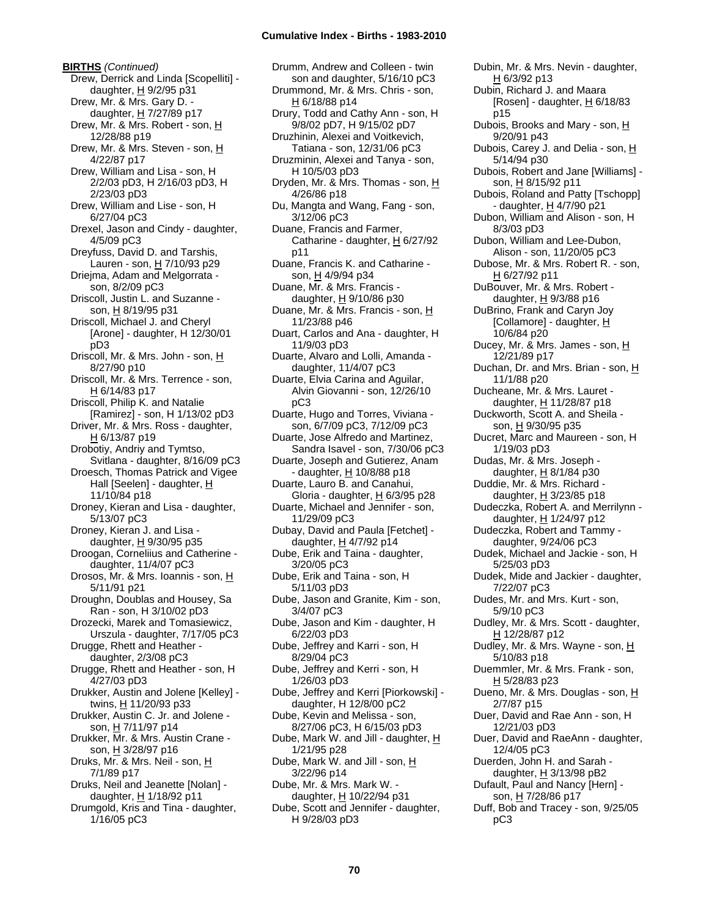**BIRTHS** *(Continued)* Drew, Derrick and Linda [Scopelliti] daughter,  $H$  9/2/95 p31 Drew, Mr. & Mrs. Gary D. daughter, H 7/27/89 p17 Drew, Mr. & Mrs. Robert - son, H 12/28/88 p19 Drew, Mr. & Mrs. Steven - son, H 4/22/87 p17 Drew, William and Lisa - son, H 2/2/03 pD3, H 2/16/03 pD3, H 2/23/03 pD3 Drew, William and Lise - son, H 6/27/04 pC3 Drexel, Jason and Cindy - daughter, 4/5/09 pC3 Dreyfuss, David D. and Tarshis, Lauren - son, H 7/10/93 p29 Driejma, Adam and Melgorrata son, 8/2/09 pC3 Driscoll, Justin L. and Suzanne son, H 8/19/95 p31 Driscoll, Michael J. and Cheryl [Arone] - daughter, H 12/30/01 pD3 Driscoll, Mr. & Mrs. John - son, H 8/27/90 p10 Driscoll, Mr. & Mrs. Terrence - son, H 6/14/83 p17 Driscoll, Philip K. and Natalie [Ramirez] - son, H 1/13/02 pD3 Driver, Mr. & Mrs. Ross - daughter, H 6/13/87 p19 Drobotiy, Andriy and Tymtso, Svitlana - daughter, 8/16/09 pC3 Droesch, Thomas Patrick and Vigee Hall [Seelen] - daughter, H 11/10/84 p18 Droney, Kieran and Lisa - daughter, 5/13/07 pC3 Droney, Kieran J. and Lisa daughter,  $H$  9/30/95 p35 Droogan, Corneliius and Catherine daughter, 11/4/07 pC3 Drosos, Mr. & Mrs. Ioannis - son, H 5/11/91 p21 Droughn, Doublas and Housey, Sa Ran - son, H 3/10/02 pD3 Drozecki, Marek and Tomasiewicz, Urszula - daughter, 7/17/05 pC3 Drugge, Rhett and Heather daughter, 2/3/08 pC3 Drugge, Rhett and Heather - son, H 4/27/03 pD3 Drukker, Austin and Jolene [Kelley] twins, H 11/20/93 p33 Drukker, Austin C. Jr. and Jolene son, H 7/11/97 p14 Drukker, Mr. & Mrs. Austin Crane son, H 3/28/97 p16 Druks, Mr. & Mrs. Neil - son, H 7/1/89 p17 Druks, Neil and Jeanette [Nolan] daughter,  $H$  1/18/92 p11 Drumgold, Kris and Tina - daughter, 1/16/05 pC3

Drumm, Andrew and Colleen - twin son and daughter, 5/16/10 pC3 Drummond, Mr. & Mrs. Chris - son, H 6/18/88 p14 Drury, Todd and Cathy Ann - son, H 9/8/02 pD7, H 9/15/02 pD7 Druzhinin, Alexei and Voitkevich, Tatiana - son, 12/31/06 pC3 Druzminin, Alexei and Tanya - son, H 10/5/03 pD3 Dryden, Mr. & Mrs. Thomas - son, H 4/26/86 p18 Du, Mangta and Wang, Fang - son, 3/12/06 pC3 Duane, Francis and Farmer, Catharine - daughter,  $H$  6/27/92 p11 Duane, Francis K. and Catharine son, H 4/9/94 p34 Duane, Mr. & Mrs. Francis daughter,  $H$  9/10/86 p30 Duane, Mr. & Mrs. Francis - son, H 11/23/88 p46 Duart, Carlos and Ana - daughter, H 11/9/03 pD3 Duarte, Alvaro and Lolli, Amanda daughter, 11/4/07 pC3 Duarte, Elvia Carina and Aguilar, Alvin Giovanni - son, 12/26/10 pC3 Duarte, Hugo and Torres, Viviana son, 6/7/09 pC3, 7/12/09 pC3 Duarte, Jose Alfredo and Martinez, Sandra Isavel - son, 7/30/06 pC3 Duarte, Joseph and Gutierez, Anam - daughter, H 10/8/88 p18 Duarte, Lauro B. and Canahui, Gloria - daughter,  $H$  6/3/95 p28 Duarte, Michael and Jennifer - son, 11/29/09 pC3 Dubay, David and Paula [Fetchet] daughter,  $H$  4/7/92 p14 Dube, Erik and Taina - daughter, 3/20/05 pC3 Dube, Erik and Taina - son, H 5/11/03 pD3 Dube, Jason and Granite, Kim - son, 3/4/07 pC3 Dube, Jason and Kim - daughter, H 6/22/03 pD3 Dube, Jeffrey and Karri - son, H 8/29/04 pC3 Dube, Jeffrey and Kerri - son, H 1/26/03 pD3 Dube, Jeffrey and Kerri [Piorkowski] daughter, H 12/8/00 pC2 Dube, Kevin and Melissa - son, 8/27/06 pC3, H 6/15/03 pD3 Dube, Mark W. and Jill - daughter, H 1/21/95 p28 Dube, Mark W. and Jill - son, H 3/22/96 p14 Dube, Mr. & Mrs. Mark W. daughter, H 10/22/94 p31 Dube, Scott and Jennifer - daughter, H 9/28/03 pD3

Dubin, Mr. & Mrs. Nevin - daughter, H 6/3/92 p13 Dubin, Richard J. and Maara [Rosen] - daughter,  $H$  6/18/83 p15 Dubois, Brooks and Mary - son, H 9/20/91 p43 Dubois, Carey J. and Delia - son, H 5/14/94 p30 Dubois, Robert and Jane [Williams] son, H 8/15/92 p11 Dubois, Roland and Patty [Tschopp] - daughter,  $H$  4/7/90 p21 Dubon, William and Alison - son, H 8/3/03 pD3 Dubon, William and Lee-Dubon, Alison - son, 11/20/05 pC3 Dubose, Mr. & Mrs. Robert R. - son, H 6/27/92 p11 DuBouver, Mr. & Mrs. Robert daughter,  $H$  9/3/88 p16 DuBrino, Frank and Caryn Joy [Collamore] - daughter, H 10/6/84 p20 Ducey, Mr. & Mrs. James - son, H 12/21/89 p17 Duchan, Dr. and Mrs. Brian - son, H 11/1/88 p20 Ducheane, Mr. & Mrs. Lauret daughter, H 11/28/87 p18 Duckworth, Scott A. and Sheila son, H 9/30/95 p35 Ducret, Marc and Maureen - son, H 1/19/03 pD3 Dudas, Mr. & Mrs. Joseph daughter, H 8/1/84 p30 Duddie, Mr. & Mrs. Richard daughter,  $H$  3/23/85 p18 Dudeczka, Robert A. and Merrilynn daughter,  $H$  1/24/97 p12 Dudeczka, Robert and Tammy daughter, 9/24/06 pC3 Dudek, Michael and Jackie - son, H 5/25/03 pD3 Dudek, Mide and Jackier - daughter, 7/22/07 pC3 Dudes, Mr. and Mrs. Kurt - son, 5/9/10 pC3 Dudley, Mr. & Mrs. Scott - daughter, H 12/28/87 p12 Dudley, Mr. & Mrs. Wayne - son, H 5/10/83 p18 Duemmler, Mr. & Mrs. Frank - son, H 5/28/83 p23 Dueno, Mr. & Mrs. Douglas - son, H 2/7/87 p15 Duer, David and Rae Ann - son, H 12/21/03 pD3 Duer, David and RaeAnn - daughter, 12/4/05 pC3 Duerden, John H. and Sarah daughter, H 3/13/98 pB2 Dufault, Paul and Nancy [Hern] son, H 7/28/86 p17 Duff, Bob and Tracey - son, 9/25/05 pC3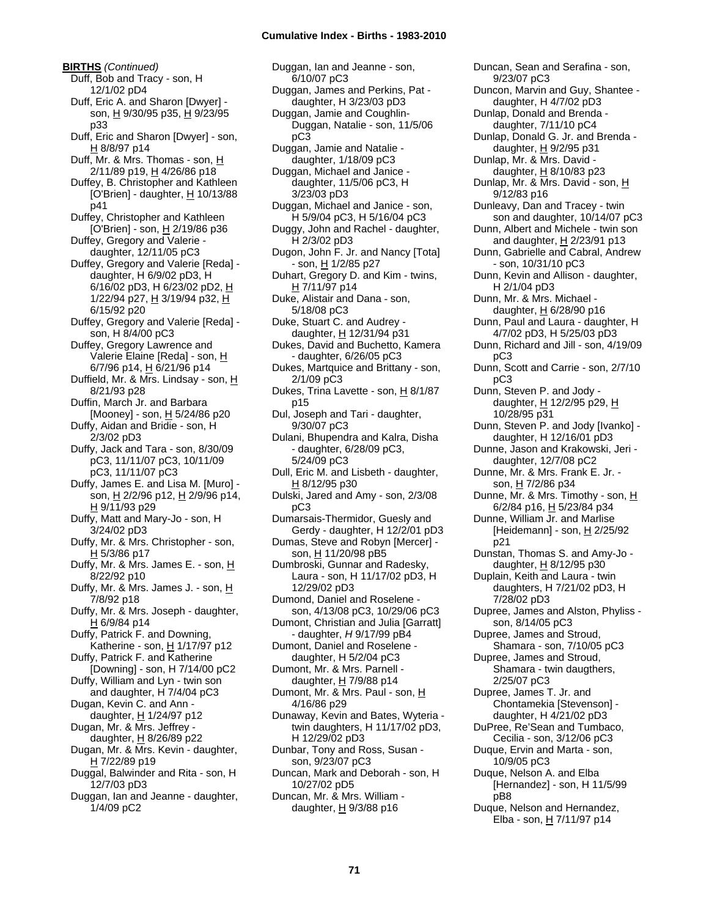**BIRTHS** *(Continued)* Duff, Bob and Tracy - son, H 12/1/02 pD4 Duff, Eric A. and Sharon [Dwyer] son, H 9/30/95 p35, H 9/23/95 p33 Duff, Eric and Sharon [Dwyer] - son, H 8/8/97 p14 Duff, Mr. & Mrs. Thomas - son, H 2/11/89 p19, H 4/26/86 p18 Duffey, B. Christopher and Kathleen [O'Brien] - daughter,  $H$  10/13/88 p41 Duffey, Christopher and Kathleen [O'Brien] - son, H 2/19/86 p36 Duffey, Gregory and Valerie daughter, 12/11/05 pC3 Duffey, Gregory and Valerie [Reda] daughter, H 6/9/02 pD3, H 6/16/02 pD3, H 6/23/02 pD2, H 1/22/94 p27, H 3/19/94 p32, H 6/15/92 p20 Duffey, Gregory and Valerie [Reda] son, H 8/4/00 pC3 Duffey, Gregory Lawrence and Valerie Elaine [Reda] - son, H 6/7/96 p14, H 6/21/96 p14 Duffield, Mr. & Mrs. Lindsay - son, H 8/21/93 p28 Duffin, March Jr. and Barbara [Mooney] - son, H 5/24/86 p20 Duffy, Aidan and Bridie - son, H 2/3/02 pD3 Duffy, Jack and Tara - son, 8/30/09 pC3, 11/11/07 pC3, 10/11/09 pC3, 11/11/07 pC3 Duffy, James E. and Lisa M. [Muro] son, H 2/2/96 p12, H 2/9/96 p14, H 9/11/93 p29 Duffy, Matt and Mary-Jo - son, H 3/24/02 pD3 Duffy, Mr. & Mrs. Christopher - son, H 5/3/86 p17 Duffy, Mr. & Mrs. James E. - son, H 8/22/92 p10 Duffy, Mr. & Mrs. James J. - son, H 7/8/92 p18 Duffy, Mr. & Mrs. Joseph - daughter, H 6/9/84 p14 Duffy, Patrick F. and Downing, Katherine - son,  $H$  1/17/97 p12 Duffy, Patrick F. and Katherine [Downing] - son, H 7/14/00 pC2 Duffy, William and Lyn - twin son and daughter, H 7/4/04 pC3 Dugan, Kevin C. and Ann daughter,  $H$  1/24/97 p12 Dugan, Mr. & Mrs. Jeffrey daughter, H 8/26/89 p22 Dugan, Mr. & Mrs. Kevin - daughter, H 7/22/89 p19 Duggal, Balwinder and Rita - son, H 12/7/03 pD3 Duggan, Ian and Jeanne - daughter, 1/4/09 pC2

Duggan, Ian and Jeanne - son, 6/10/07 pC3 Duggan, James and Perkins, Pat daughter, H 3/23/03 pD3 Duggan, Jamie and Coughlin-Duggan, Natalie - son, 11/5/06 pC3 Duggan, Jamie and Natalie daughter, 1/18/09 pC3 Duggan, Michael and Janice daughter, 11/5/06 pC3, H 3/23/03 pD3 Duggan, Michael and Janice - son, H 5/9/04 pC3, H 5/16/04 pC3 Duggy, John and Rachel - daughter, H 2/3/02 pD3 Dugon, John F. Jr. and Nancy [Tota] - son, H 1/2/85 p27 Duhart, Gregory D. and Kim - twins, H 7/11/97 p14 Duke, Alistair and Dana - son, 5/18/08 pC3 Duke, Stuart C. and Audrey daughter, H 12/31/94 p31 Dukes, David and Buchetto, Kamera - daughter, 6/26/05 pC3 Dukes, Martquice and Brittany - son, 2/1/09 pC3 Dukes, Trina Lavette - son, H 8/1/87 p15 Dul, Joseph and Tari - daughter, 9/30/07 pC3 Dulani, Bhupendra and Kalra, Disha - daughter, 6/28/09 pC3, 5/24/09 pC3 Dull, Eric M. and Lisbeth - daughter, H 8/12/95 p30 Dulski, Jared and Amy - son, 2/3/08 pC3 Dumarsais-Thermidor, Guesly and Gerdy - daughter, H 12/2/01 pD3 Dumas, Steve and Robyn [Mercer] son, H 11/20/98 pB5 Dumbroski, Gunnar and Radesky, Laura - son, H 11/17/02 pD3, H 12/29/02 pD3 Dumond, Daniel and Roselene son, 4/13/08 pC3, 10/29/06 pC3 Dumont, Christian and Julia [Garratt] - daughter, *H* 9/17/99 pB4 Dumont, Daniel and Roselene daughter, H 5/2/04 pC3 Dumont, Mr. & Mrs. Parnell daughter,  $H$  7/9/88 p14 Dumont, Mr. & Mrs. Paul - son, H 4/16/86 p29 Dunaway, Kevin and Bates, Wyteria twin daughters, H 11/17/02 pD3, H 12/29/02 pD3 Dunbar, Tony and Ross, Susan son, 9/23/07 pC3 Duncan, Mark and Deborah - son, H 10/27/02 pD5 Duncan, Mr. & Mrs. William daughter,  $H$  9/3/88 p16

Duncan, Sean and Serafina - son, 9/23/07 pC3 Duncon, Marvin and Guy, Shantee daughter, H 4/7/02 pD3 Dunlap, Donald and Brenda daughter, 7/11/10 pC4 Dunlap, Donald G. Jr. and Brenda daughter, H 9/2/95 p31 Dunlap, Mr. & Mrs. David daughter,  $H$  8/10/83 p23 Dunlap, Mr. & Mrs. David - son, H 9/12/83 p16 Dunleavy, Dan and Tracey - twin son and daughter, 10/14/07 pC3 Dunn, Albert and Michele - twin son and daughter,  $H$  2/23/91 p13 Dunn, Gabrielle and Cabral, Andrew - son, 10/31/10 pC3 Dunn, Kevin and Allison - daughter, H 2/1/04 pD3 Dunn, Mr. & Mrs. Michael daughter,  $H$  6/28/90 p16 Dunn, Paul and Laura - daughter, H 4/7/02 pD3, H 5/25/03 pD3 Dunn, Richard and Jill - son, 4/19/09 pC3 Dunn, Scott and Carrie - son, 2/7/10 pC3 Dunn, Steven P. and Jody daughter, H 12/2/95 p29, H 10/28/95 p31 Dunn, Steven P. and Jody [Ivanko] daughter, H 12/16/01 pD3 Dunne, Jason and Krakowski, Jeri daughter, 12/7/08 pC2 Dunne, Mr. & Mrs. Frank E. Jr. son, H 7/2/86 p34 Dunne, Mr. & Mrs. Timothy - son, H 6/2/84 p16, H 5/23/84 p34 Dunne, William Jr. and Marlise [Heidemann] - son, H 2/25/92 p21 Dunstan, Thomas S. and Amy-Jo daughter, H 8/12/95 p30 Duplain, Keith and Laura - twin daughters, H 7/21/02 pD3, H 7/28/02 pD3 Dupree, James and Alston, Phyliss son, 8/14/05 pC3 Dupree, James and Stroud, Shamara - son, 7/10/05 pC3 Dupree, James and Stroud, Shamara - twin daugthers, 2/25/07 pC3 Dupree, James T. Jr. and Chontamekia [Stevenson] daughter, H 4/21/02 pD3 DuPree, Re'Sean and Tumbaco, Cecilia - son, 3/12/06 pC3 Duque, Ervin and Marta - son, 10/9/05 pC3 Duque, Nelson A. and Elba [Hernandez] - son, H 11/5/99 pB8 Duque, Nelson and Hernandez, Elba - son, H 7/11/97 p14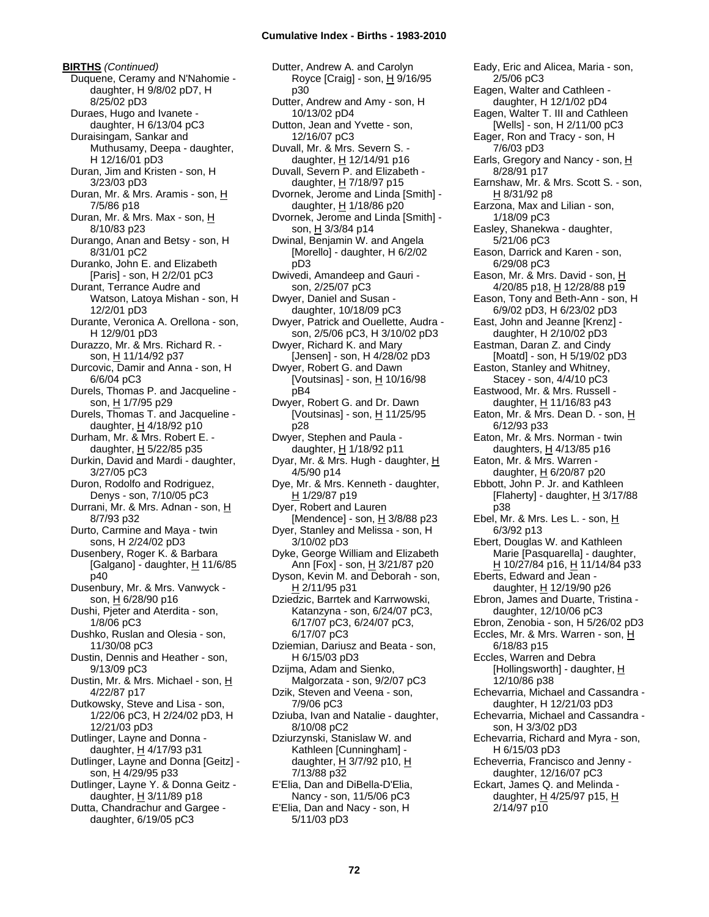**BIRTHS** *(Continued)* Duquene, Ceramy and N'Nahomie daughter, H 9/8/02 pD7, H 8/25/02 pD3 Duraes, Hugo and Ivanete daughter, H 6/13/04 pC3 Duraisingam, Sankar and Muthusamy, Deepa - daughter, H 12/16/01 pD3 Duran, Jim and Kristen - son, H 3/23/03 pD3 Duran, Mr. & Mrs. Aramis - son, H 7/5/86 p18 Duran, Mr. & Mrs. Max - son, H 8/10/83 p23 Durango, Anan and Betsy - son, H 8/31/01 pC2 Duranko, John E. and Elizabeth [Paris] - son, H 2/2/01 pC3 Durant, Terrance Audre and Watson, Latoya Mishan - son, H 12/2/01 pD3 Durante, Veronica A. Orellona - son, H 12/9/01 pD3 Durazzo, Mr. & Mrs. Richard R. son, H 11/14/92 p37 Durcovic, Damir and Anna - son, H 6/6/04 pC3 Durels, Thomas P. and Jacqueline son, H 1/7/95 p29 Durels, Thomas T. and Jacqueline daughter,  $H$  4/18/92 p10 Durham, Mr. & Mrs. Robert E. daughter, H 5/22/85 p35 Durkin, David and Mardi - daughter, 3/27/05 pC3 Duron, Rodolfo and Rodriguez, Denys - son, 7/10/05 pC3 Durrani, Mr. & Mrs. Adnan - son, H 8/7/93 p32 Durto, Carmine and Maya - twin sons, H 2/24/02 pD3 Dusenbery, Roger K. & Barbara [Galgano] - daughter, H 11/6/85 p40 Dusenbury, Mr. & Mrs. Vanwyck son, H 6/28/90 p16 Dushi, Pjeter and Aterdita - son, 1/8/06 pC3 Dushko, Ruslan and Olesia - son, 11/30/08 pC3 Dustin, Dennis and Heather - son, 9/13/09 pC3 Dustin, Mr. & Mrs. Michael - son, H 4/22/87 p17 Dutkowsky, Steve and Lisa - son, 1/22/06 pC3, H 2/24/02 pD3, H 12/21/03 pD3 Dutlinger, Layne and Donna daughter,  $H$  4/17/93 p31 Dutlinger, Layne and Donna [Geitz] son, H 4/29/95 p33 Dutlinger, Layne Y. & Donna Geitz daughter,  $H$  3/11/89 p18 Dutta, Chandrachur and Gargee daughter, 6/19/05 pC3

Dutter, Andrew A. and Carolyn Royce [Craig] - son, H 9/16/95 p30 Dutter, Andrew and Amy - son, H 10/13/02 pD4 Dutton, Jean and Yvette - son, 12/16/07 pC3 Duvall, Mr. & Mrs. Severn S. daughter, H 12/14/91 p16 Duvall, Severn P. and Elizabeth daughter, H 7/18/97 p15 Dvornek, Jerome and Linda [Smith] daughter,  $H$  1/18/86 p20 Dvornek, Jerome and Linda [Smith] son, H 3/3/84 p14 Dwinal, Benjamin W. and Angela [Morello] - daughter, H 6/2/02 pD3 Dwivedi, Amandeep and Gauri son, 2/25/07 pC3 Dwyer, Daniel and Susan daughter, 10/18/09 pC3 Dwyer, Patrick and Ouellette, Audra son, 2/5/06 pC3, H 3/10/02 pD3 Dwyer, Richard K. and Mary [Jensen] - son, H 4/28/02 pD3 Dwyer, Robert G. and Dawn [Voutsinas] - son,  $H$  10/16/98 pB4 Dwyer, Robert G. and Dr. Dawn [Voutsinas] - son,  $H$  11/25/95 p28 Dwyer, Stephen and Paula daughter, H 1/18/92 p11 Dyar, Mr. & Mrs. Hugh - daughter, H 4/5/90 p14 Dye, Mr. & Mrs. Kenneth - daughter, H 1/29/87 p19 Dyer, Robert and Lauren [Mendence] - son,  $H$  3/8/88 p23 Dyer, Stanley and Melissa - son, H 3/10/02 pD3 Dyke, George William and Elizabeth Ann [Fox] - son, H 3/21/87 p20 Dyson, Kevin M. and Deborah - son,  $H$  2/11/95 p31 Dziedzic, Barrtek and Karrwowski, Katanzyna - son, 6/24/07 pC3, 6/17/07 pC3, 6/24/07 pC3, 6/17/07 pC3 Dziemian, Dariusz and Beata - son, H 6/15/03 pD3 Dzijma, Adam and Sienko, Malgorzata - son, 9/2/07 pC3 Dzik, Steven and Veena - son, 7/9/06 pC3 Dziuba, Ivan and Natalie - daughter, 8/10/08 pC2 Dziurzynski, Stanislaw W. and Kathleen [Cunningham] daughter,  $H$  3/7/92 p10,  $H$ 7/13/88 p32 E'Elia, Dan and DiBella-D'Elia, Nancy - son, 11/5/06 pC3 E'Elia, Dan and Nacy - son, H 5/11/03 pD3

Eady, Eric and Alicea, Maria - son, 2/5/06 pC3 Eagen, Walter and Cathleen daughter, H 12/1/02 pD4 Eagen, Walter T. III and Cathleen [Wells] - son, H 2/11/00 pC3 Eager, Ron and Tracy - son, H 7/6/03 pD3 Earls, Gregory and Nancy - son, H 8/28/91 p17 Earnshaw, Mr. & Mrs. Scott S. - son, H 8/31/92 p8 Earzona, Max and Lilian - son, 1/18/09 pC3 Easley, Shanekwa - daughter, 5/21/06 pC3 Eason, Darrick and Karen - son, 6/29/08 pC3 Eason, Mr. & Mrs. David - son, H 4/20/85 p18, H 12/28/88 p19 Eason, Tony and Beth-Ann - son, H 6/9/02 pD3, H 6/23/02 pD3 East, John and Jeanne [Krenz] daughter, H 2/10/02 pD3 Eastman, Daran Z. and Cindy [Moatd] - son, H 5/19/02 pD3 Easton, Stanley and Whitney, Stacey - son, 4/4/10 pC3 Eastwood, Mr. & Mrs. Russell daughter, H 11/16/83 p43 Eaton, Mr. & Mrs. Dean D. - son, H 6/12/93 p33 Eaton, Mr. & Mrs. Norman - twin daughters,  $H$  4/13/85 p16 Eaton, Mr. & Mrs. Warren daughter, H 6/20/87 p20 Ebbott, John P. Jr. and Kathleen [Flaherty] - daughter,  $H$  3/17/88 p38 Ebel, Mr. & Mrs. Les L. - son, H 6/3/92 p13 Ebert, Douglas W. and Kathleen Marie [Pasquarella] - daughter, H 10/27/84 p16, H 11/14/84 p33 Eberts, Edward and Jean daughter, H 12/19/90 p26 Ebron, James and Duarte, Tristina daughter, 12/10/06 pC3 Ebron, Zenobia - son, H 5/26/02 pD3 Eccles, Mr. & Mrs. Warren - son, H 6/18/83 p15 Eccles, Warren and Debra [Hollingsworth] - daughter, H 12/10/86 p38 Echevarria, Michael and Cassandra daughter, H 12/21/03 pD3 Echevarria, Michael and Cassandra son, H 3/3/02 pD3 Echevarria, Richard and Myra - son, H 6/15/03 pD3 Echeverria, Francisco and Jenny daughter, 12/16/07 pC3 Eckart, James Q. and Melinda daughter,  $H$  4/25/97 p15,  $H$ 2/14/97 p10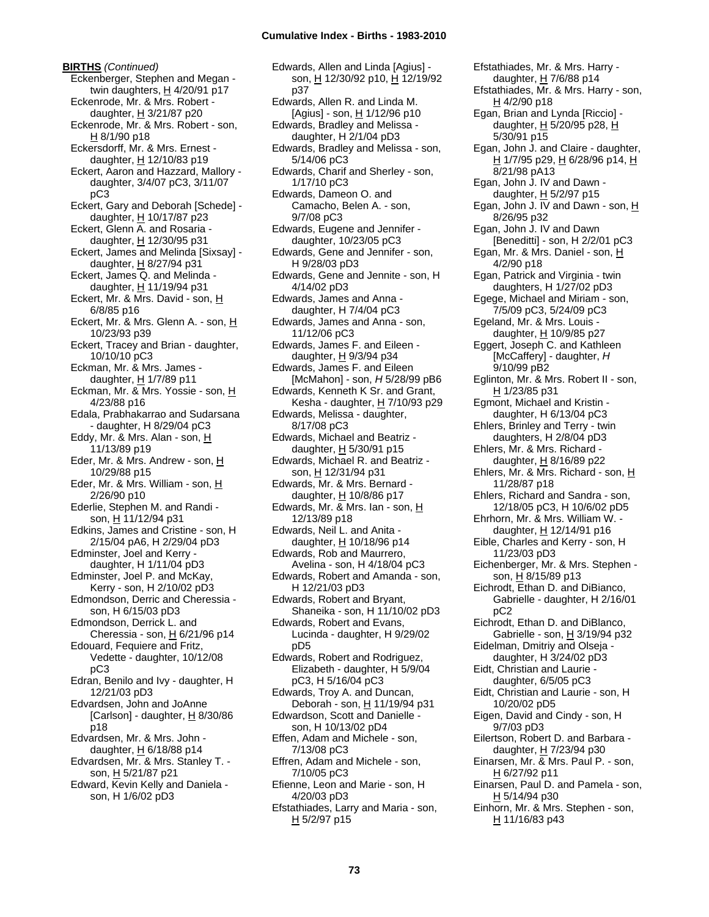**BIRTHS** *(Continued)* Eckenberger, Stephen and Megan twin daughters,  $H$  4/20/91 p17 Eckenrode, Mr. & Mrs. Robert daughter, H 3/21/87 p20 Eckenrode, Mr. & Mrs. Robert - son, H 8/1/90 p18 Eckersdorff, Mr. & Mrs. Ernest daughter,  $H$  12/10/83 p19 Eckert, Aaron and Hazzard, Mallory daughter, 3/4/07 pC3, 3/11/07 pC3 Eckert, Gary and Deborah [Schede] daughter, H 10/17/87 p23 Eckert, Glenn A. and Rosaria daughter, H 12/30/95 p31 Eckert, James and Melinda [Sixsay] daughter, H 8/27/94 p31 Eckert, James Q. and Melinda daughter, H 11/19/94 p31 Eckert, Mr. & Mrs. David - son, H 6/8/85 p16 Eckert, Mr. & Mrs. Glenn A. - son, H 10/23/93 p39 Eckert, Tracey and Brian - daughter, 10/10/10 pC3 Eckman, Mr. & Mrs. James daughter, H 1/7/89 p11 Eckman, Mr. & Mrs. Yossie - son, H 4/23/88 p16 Edala, Prabhakarrao and Sudarsana - daughter, H 8/29/04 pC3 Eddy, Mr. & Mrs. Alan - son, H 11/13/89 p19 Eder, Mr. & Mrs. Andrew - son, H 10/29/88 p15 Eder, Mr. & Mrs. William - son, H 2/26/90 p10 Ederlie, Stephen M. and Randi son, H 11/12/94 p31 Edkins, James and Cristine - son, H 2/15/04 pA6, H 2/29/04 pD3 Edminster, Joel and Kerry daughter, H 1/11/04 pD3 Edminster, Joel P. and McKay, Kerry - son, H 2/10/02 pD3 Edmondson, Derric and Cheressia son, H 6/15/03 pD3 Edmondson, Derrick L. and Cheressia - son,  $H$  6/21/96 p14 Edouard, Fequiere and Fritz, Vedette - daughter, 10/12/08 pC3 Edran, Benilo and Ivy - daughter, H 12/21/03 pD3 Edvardsen, John and JoAnne [Carlson] - daughter,  $H$  8/30/86 p18 Edvardsen, Mr. & Mrs. John daughter,  $H$  6/18/88 p14 Edvardsen, Mr. & Mrs. Stanley T. son, H 5/21/87 p21 Edward, Kevin Kelly and Daniela son, H 1/6/02 pD3

Edwards, Allen and Linda [Agius] son, H 12/30/92 p10, H 12/19/92 p37 Edwards, Allen R. and Linda M. [Agius] - son, H 1/12/96 p10 Edwards, Bradley and Melissa daughter, H 2/1/04 pD3 Edwards, Bradley and Melissa - son, 5/14/06 pC3 Edwards, Charif and Sherley - son, 1/17/10 pC3 Edwards, Dameon O. and Camacho, Belen A. - son, 9/7/08 pC3 Edwards, Eugene and Jennifer daughter, 10/23/05 pC3 Edwards, Gene and Jennifer - son, H 9/28/03 pD3 Edwards, Gene and Jennite - son, H 4/14/02 pD3 Edwards, James and Anna daughter, H 7/4/04 pC3 Edwards, James and Anna - son, 11/12/06 pC3 Edwards, James F. and Eileen daughter, H 9/3/94 p34 Edwards, James F. and Eileen [McMahon] - son, *H* 5/28/99 pB6 Edwards, Kenneth K Sr. and Grant, Kesha - daughter, H 7/10/93 p29 Edwards, Melissa - daughter, 8/17/08 pC3 Edwards, Michael and Beatriz daughter, H 5/30/91 p15 Edwards, Michael R. and Beatriz son, H 12/31/94 p31 Edwards, Mr. & Mrs. Bernard daughter, H 10/8/86 p17 Edwards, Mr. & Mrs. Ian - son, H 12/13/89 p18 Edwards, Neil L. and Anita daughter, H 10/18/96 p14 Edwards, Rob and Maurrero, Avelina - son, H 4/18/04 pC3 Edwards, Robert and Amanda - son, H 12/21/03 pD3 Edwards, Robert and Bryant, Shaneika - son, H 11/10/02 pD3 Edwards, Robert and Evans, Lucinda - daughter, H 9/29/02 pD5 Edwards, Robert and Rodriguez, Elizabeth - daughter, H 5/9/04 pC3, H 5/16/04 pC3 Edwards, Troy A. and Duncan, Deborah - son, H 11/19/94 p31 Edwardson, Scott and Danielle son, H 10/13/02 pD4 Effen, Adam and Michele - son, 7/13/08 pC3 Effren, Adam and Michele - son, 7/10/05 pC3 Efienne, Leon and Marie - son, H 4/20/03 pD3 Efstathiades, Larry and Maria - son, H 5/2/97 p15

Efstathiades, Mr. & Mrs. Harry daughter, H 7/6/88 p14 Efstathiades, Mr. & Mrs. Harry - son,  $H$  4/2/90 p18 Egan, Brian and Lynda [Riccio] daughter, H 5/20/95 p28, H 5/30/91 p15 Egan, John J. and Claire - daughter, H 1/7/95 p29, H 6/28/96 p14, H 8/21/98 pA13 Egan, John J. IV and Dawn daughter,  $H$  5/2/97 p15 Egan, John J. IV and Dawn - son,  $H$ 8/26/95 p32 Egan, John J. IV and Dawn [Beneditti] - son, H 2/2/01 pC3 Egan, Mr. & Mrs. Daniel - son, H 4/2/90 p18 Egan, Patrick and Virginia - twin daughters, H 1/27/02 pD3 Egege, Michael and Miriam - son, 7/5/09 pC3, 5/24/09 pC3 Egeland, Mr. & Mrs. Louis daughter, H 10/9/85 p27 Eggert, Joseph C. and Kathleen [McCaffery] - daughter, *H* 9/10/99 pB2 Eglinton, Mr. & Mrs. Robert II - son, H 1/23/85 p31 Egmont, Michael and Kristin daughter, H 6/13/04 pC3 Ehlers, Brinley and Terry - twin daughters, H 2/8/04 pD3 Ehlers, Mr. & Mrs. Richard daughter, H 8/16/89 p22 Ehlers, Mr. & Mrs. Richard - son, H 11/28/87 p18 Ehlers, Richard and Sandra - son, 12/18/05 pC3, H 10/6/02 pD5 Ehrhorn, Mr. & Mrs. William W. daughter, H 12/14/91 p16 Eible, Charles and Kerry - son, H 11/23/03 pD3 Eichenberger, Mr. & Mrs. Stephen son, <u>H</u> 8/15/89 p13 Eichrodt, Ethan D. and DiBianco, Gabrielle - daughter, H 2/16/01 pC2 Eichrodt, Ethan D. and DiBlanco, Gabrielle - son,  $H$  3/19/94 p32 Eidelman, Dmitriy and Olseja daughter, H 3/24/02 pD3 Eidt, Christian and Laurie daughter, 6/5/05 pC3 Eidt, Christian and Laurie - son, H 10/20/02 pD5 Eigen, David and Cindy - son, H 9/7/03 pD3 Eilertson, Robert D. and Barbara daughter, H 7/23/94 p30 Einarsen, Mr. & Mrs. Paul P. - son, H 6/27/92 p11 Einarsen, Paul D. and Pamela - son, H 5/14/94 p30 Einhorn, Mr. & Mrs. Stephen - son, H 11/16/83 p43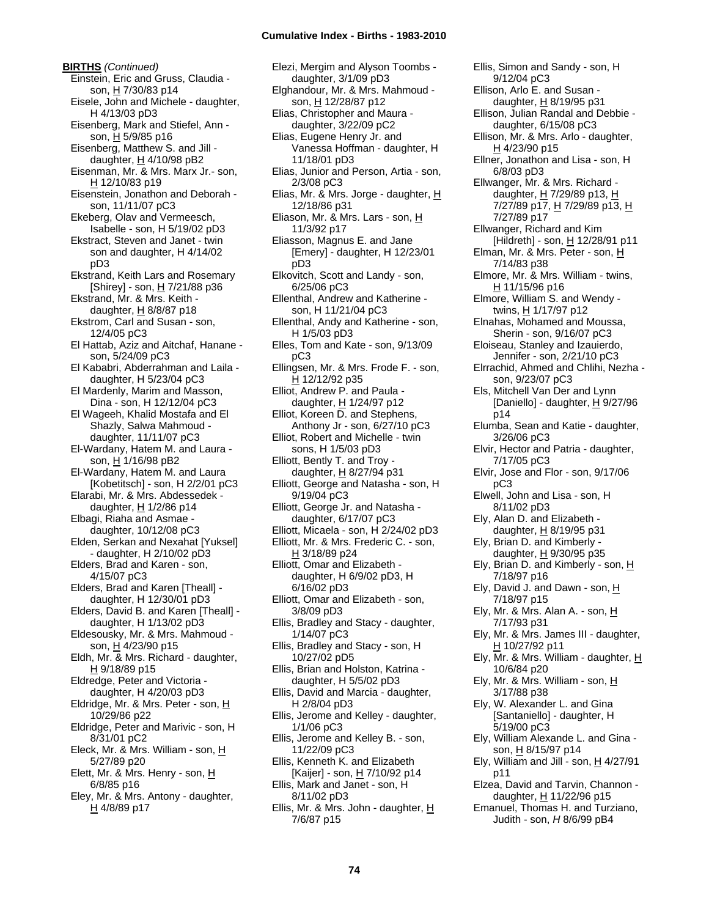**BIRTHS** *(Continued)* Einstein, Eric and Gruss, Claudia son, H 7/30/83 p14 Eisele, John and Michele - daughter, H 4/13/03 pD3 Eisenberg, Mark and Stiefel, Ann son, H 5/9/85 p16 Eisenberg, Matthew S. and Jill daughter,  $H$  4/10/98 pB2 Eisenman, Mr. & Mrs. Marx Jr.- son, H 12/10/83 p19 Eisenstein, Jonathon and Deborah son, 11/11/07 pC3 Ekeberg, Olav and Vermeesch, Isabelle - son, H 5/19/02 pD3 Ekstract, Steven and Janet - twin son and daughter, H 4/14/02 pD3 Ekstrand, Keith Lars and Rosemary [Shirey] - son, H 7/21/88 p36 Ekstrand, Mr. & Mrs. Keith daughter,  $H$  8/8/87 p18 Ekstrom, Carl and Susan - son, 12/4/05 pC3 El Hattab, Aziz and Aitchaf, Hanane son, 5/24/09 pC3 El Kababri, Abderrahman and Laila daughter, H 5/23/04 pC3 El Mardenly, Marim and Masson, Dina - son, H 12/12/04 pC3 El Wageeh, Khalid Mostafa and El Shazly, Salwa Mahmoud daughter, 11/11/07 pC3 El-Wardany, Hatem M. and Laura son, H 1/16/98 pB2 El-Wardany, Hatem M. and Laura [Kobetitsch] - son, H 2/2/01 pC3 Elarabi, Mr. & Mrs. Abdessedek daughter, H 1/2/86 p14 Elbagi, Riaha and Asmae daughter, 10/12/08 pC3 Elden, Serkan and Nexahat [Yuksel] - daughter, H 2/10/02 pD3 Elders, Brad and Karen - son, 4/15/07 pC3 Elders, Brad and Karen [Theall] daughter, H 12/30/01 pD3 Elders, David B. and Karen [Theall] daughter, H 1/13/02 pD3 Eldesousky, Mr. & Mrs. Mahmoud son, H 4/23/90 p15 Eldh, Mr. & Mrs. Richard - daughter, H 9/18/89 p15 Eldredge, Peter and Victoria daughter, H 4/20/03 pD3 Eldridge, Mr. & Mrs. Peter - son, H 10/29/86 p22 Eldridge, Peter and Marivic - son, H 8/31/01 pC2 Eleck, Mr. & Mrs. William - son, H 5/27/89 p20 Elett, Mr. & Mrs. Henry - son, H 6/8/85 p16 Eley, Mr. & Mrs. Antony - daughter,

H 4/8/89 p17

Elezi, Mergim and Alyson Toombs daughter, 3/1/09 pD3 Elghandour, Mr. & Mrs. Mahmoud son, H 12/28/87 p12 Elias, Christopher and Maura daughter, 3/22/09 pC2 Elias, Eugene Henry Jr. and Vanessa Hoffman - daughter, H 11/18/01 pD3 Elias, Junior and Person, Artia - son, 2/3/08 pC3 Elias, Mr. & Mrs. Jorge - daughter, H 12/18/86 p31 Eliason, Mr. & Mrs. Lars - son, H 11/3/92 p17 Eliasson, Magnus E. and Jane [Emery] - daughter, H 12/23/01 pD3 Elkovitch, Scott and Landy - son, 6/25/06 pC3 Ellenthal, Andrew and Katherine son, H 11/21/04 pC3 Ellenthal, Andy and Katherine - son, H 1/5/03 pD3 Elles, Tom and Kate - son, 9/13/09 pC3 Ellingsen, Mr. & Mrs. Frode F. - son, H 12/12/92 p35 Elliot, Andrew P. and Paula daughter, H 1/24/97 p12 Elliot, Koreen D. and Stephens, Anthony Jr - son, 6/27/10 pC3 Elliot, Robert and Michelle - twin sons, H 1/5/03 pD3 Elliott, Bently T. and Troy daughter, H 8/27/94 p31 Elliott, George and Natasha - son, H 9/19/04 pC3 Elliott, George Jr. and Natasha daughter, 6/17/07 pC3 Elliott, Micaela - son, H 2/24/02 pD3 Elliott, Mr. & Mrs. Frederic C. - son, H 3/18/89 p24 Elliott, Omar and Elizabeth daughter, H 6/9/02 pD3, H 6/16/02 pD3 Elliott, Omar and Elizabeth - son, 3/8/09 pD3 Ellis, Bradley and Stacy - daughter, 1/14/07 pC3 Ellis, Bradley and Stacy - son, H 10/27/02 pD5 Ellis, Brian and Holston, Katrina daughter, H 5/5/02 pD3 Ellis, David and Marcia - daughter, H 2/8/04 pD3 Ellis, Jerome and Kelley - daughter, 1/1/06 pC3 Ellis, Jerome and Kelley B. - son, 11/22/09 pC3 Ellis, Kenneth K. and Elizabeth [Kaijer] - son, H 7/10/92 p14 Ellis, Mark and Janet - son, H 8/11/02 pD3 Ellis, Mr. & Mrs. John - daughter, H 7/6/87 p15

Ellis, Simon and Sandy - son, H 9/12/04 pC3 Ellison, Arlo E. and Susan daughter, H 8/19/95 p31 Ellison, Julian Randal and Debbie daughter, 6/15/08 pC3 Ellison, Mr. & Mrs. Arlo - daughter, H 4/23/90 p15 Ellner, Jonathon and Lisa - son, H 6/8/03 pD3 Ellwanger, Mr. & Mrs. Richard daughter, H 7/29/89 p13, H 7/27/89 p17, H 7/29/89 p13, H 7/27/89 p17 Ellwanger, Richard and Kim [Hildreth] - son,  $H$  12/28/91 p11 Elman, Mr. & Mrs. Peter - son, H 7/14/83 p38 Elmore, Mr. & Mrs. William - twins, H 11/15/96 p16 Elmore, William S. and Wendy twins, H 1/17/97 p12 Elnahas, Mohamed and Moussa, Sherin - son, 9/16/07 pC3 Eloiseau, Stanley and Izauierdo, Jennifer - son, 2/21/10 pC3 Elrrachid, Ahmed and Chlihi, Nezha son, 9/23/07 pC3 Els, Mitchell Van Der and Lynn [Daniello] - daughter, H 9/27/96 p14 Elumba, Sean and Katie - daughter, 3/26/06 pC3 Elvir, Hector and Patria - daughter, 7/17/05 pC3 Elvir, Jose and Flor - son, 9/17/06 pC3 Elwell, John and Lisa - son, H 8/11/02 pD3 Ely, Alan D. and Elizabeth daughter, H 8/19/95 p31 Ely, Brian D. and Kimberly daughter, H 9/30/95 p35 Ely, Brian D. and Kimberly - son, H 7/18/97 p16 Ely, David J. and Dawn - son,  $H$ 7/18/97 p15 Ely, Mr. & Mrs. Alan A. - son,  $\underline{H}$ 7/17/93 p31 Ely, Mr. & Mrs. James III - daughter, H 10/27/92 p11 Ely, Mr. & Mrs. William - daughter, H 10/6/84 p20 Ely, Mr. & Mrs. William - son,  $\underline{H}$ 3/17/88 p38 Ely, W. Alexander L. and Gina [Santaniello] - daughter, H 5/19/00 pC3 Ely, William Alexande L. and Gina son, H 8/15/97 p14 Ely, William and Jill - son,  $H$  4/27/91 p11 Elzea, David and Tarvin, Channon daughter,  $H$  11/22/96 p15 Emanuel, Thomas H. and Turziano, Judith - son, *H* 8/6/99 pB4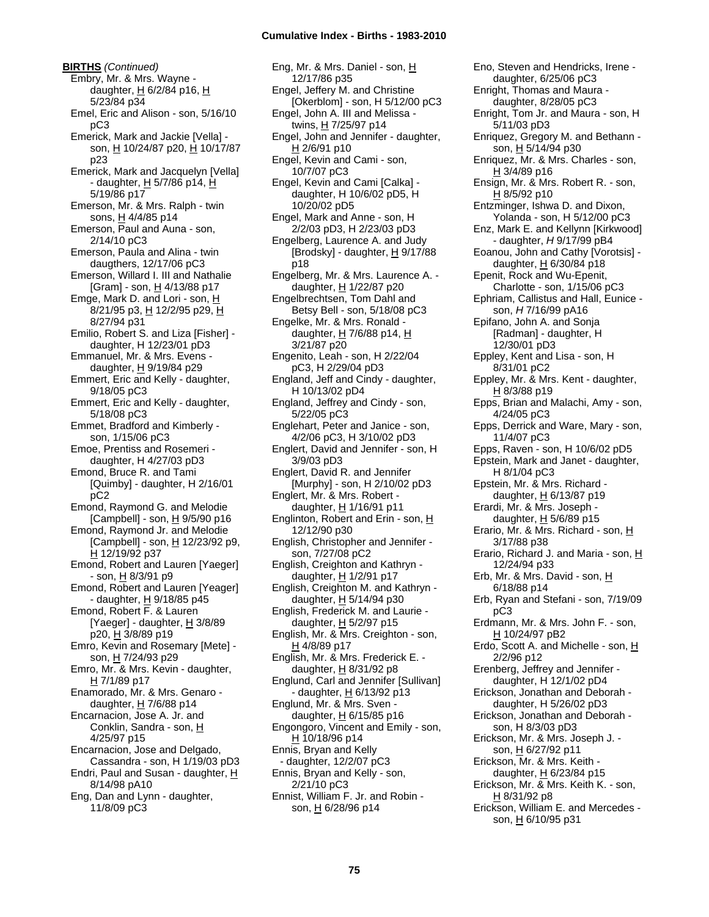**BIRTHS** *(Continued)* Embry, Mr. & Mrs. Wayne daughter,  $H$  6/2/84 p16,  $H$ 5/23/84 p34 Emel, Eric and Alison - son, 5/16/10 pC3 Emerick, Mark and Jackie [Vella] son, H 10/24/87 p20, H 10/17/87 p23 Emerick, Mark and Jacquelyn [Vella] - daughter, H 5/7/86 p14, H 5/19/86 p17 Emerson, Mr. & Mrs. Ralph - twin sons, H 4/4/85 p14 Emerson, Paul and Auna - son, 2/14/10 pC3 Emerson, Paula and Alina - twin daugthers, 12/17/06 pC3 Emerson, Willard I. III and Nathalie [Gram] - son, H 4/13/88 p17 Emge, Mark D. and Lori - son, H 8/21/95 p3, H 12/2/95 p29, H 8/27/94 p31 Emilio, Robert S. and Liza [Fisher] daughter, H 12/23/01 pD3 Emmanuel, Mr. & Mrs. Evens daughter,  $H$  9/19/84 p29 Emmert, Eric and Kelly - daughter, 9/18/05 pC3 Emmert, Eric and Kelly - daughter, 5/18/08 pC3 Emmet, Bradford and Kimberly son, 1/15/06 pC3 Emoe, Prentiss and Rosemeri daughter, H 4/27/03 pD3 Emond, Bruce R. and Tami [Quimby] - daughter, H 2/16/01 pC2 Emond, Raymond G. and Melodie [Campbell] - son,  $H$  9/5/90 p16 Emond, Raymond Jr. and Melodie [Campbell] - son,  $\underline{H}$  12/23/92 p9, H 12/19/92 p37 Emond, Robert and Lauren [Yaeger] - son, <u>H</u> 8/3/91 p9 Emond, Robert and Lauren [Yeager] - daughter,  $H$  9/18/85 p45 Emond, Robert F. & Lauren [Yaeger] - daughter,  $H$  3/8/89 p20, H 3/8/89 p19 Emro, Kevin and Rosemary [Mete] son, H 7/24/93 p29 Emro, Mr. & Mrs. Kevin - daughter, H 7/1/89 p17 Enamorado, Mr. & Mrs. Genaro daughter,  $H$  7/6/88 p14 Encarnacion, Jose A. Jr. and Conklin, Sandra - son, H 4/25/97 p15 Encarnacion, Jose and Delgado, Cassandra - son, H 1/19/03 pD3 Endri, Paul and Susan - daughter, H 8/14/98 pA10 Eng, Dan and Lynn - daughter, 11/8/09 pC3

Eng, Mr. & Mrs. Daniel - son, H 12/17/86 p35 Engel, Jeffery M. and Christine [Okerblom] - son, H 5/12/00 pC3 Engel, John A. III and Melissa twins, H 7/25/97 p14 Engel, John and Jennifer - daughter, H 2/6/91 p10 Engel, Kevin and Cami - son, 10/7/07 pC3 Engel, Kevin and Cami [Calka] daughter, H 10/6/02 pD5, H 10/20/02 pD5 Engel, Mark and Anne - son, H 2/2/03 pD3, H 2/23/03 pD3 Engelberg, Laurence A. and Judy [Brodsky] - daughter,  $H$  9/17/88 p18 Engelberg, Mr. & Mrs. Laurence A. daughter, H 1/22/87 p20 Engelbrechtsen, Tom Dahl and Betsy Bell - son, 5/18/08 pC3 Engelke, Mr. & Mrs. Ronald daughter, H 7/6/88 p14, H 3/21/87 p20 Engenito, Leah - son, H 2/22/04 pC3, H 2/29/04 pD3 England, Jeff and Cindy - daughter, H 10/13/02 pD4 England, Jeffrey and Cindy - son, 5/22/05 pC3 Englehart, Peter and Janice - son, 4/2/06 pC3, H 3/10/02 pD3 Englert, David and Jennifer - son, H 3/9/03 pD3 Englert, David R. and Jennifer [Murphy] - son, H 2/10/02 pD3 Englert, Mr. & Mrs. Robert daughter, H 1/16/91 p11 Englinton, Robert and Erin - son,  $H$ 12/12/90 p30 English, Christopher and Jennifer son, 7/27/08 pC2 English, Creighton and Kathryn daughter, H 1/2/91 p17 English, Creighton M. and Kathryn daughter, H 5/14/94 p30 English, Frederick M. and Laurie daughter,  $H$  5/2/97 p15 English, Mr. & Mrs. Creighton - son, H 4/8/89 p17 English, Mr. & Mrs. Frederick E. daughter,  $H$  8/31/92 p8 Englund, Carl and Jennifer [Sullivan] - daughter, H 6/13/92 p13 Englund, Mr. & Mrs. Sven daughter,  $H$  6/15/85 p16 Engongoro, Vincent and Emily - son, <u>H</u> 10/18/96 p14 Ennis, Bryan and Kelly - daughter, 12/2/07 pC3 Ennis, Bryan and Kelly - son, 2/21/10 pC3 Ennist, William F. Jr. and Robin son, H 6/28/96 p14

Eno, Steven and Hendricks, Irene daughter, 6/25/06 pC3 Enright, Thomas and Maura daughter, 8/28/05 pC3 Enright, Tom Jr. and Maura - son, H 5/11/03 pD3 Enriquez, Gregory M. and Bethann son, H 5/14/94 p30 Enriquez, Mr. & Mrs. Charles - son, H 3/4/89 p16 Ensign, Mr. & Mrs. Robert R. - son, H 8/5/92 p10 Entzminger, Ishwa D. and Dixon, Yolanda - son, H 5/12/00 pC3 Enz, Mark E. and Kellynn [Kirkwood] - daughter, *H* 9/17/99 pB4 Eoanou, John and Cathy [Vorotsis] daughter, H 6/30/84 p18 Epenit, Rock and Wu-Epenit, Charlotte - son, 1/15/06 pC3 Ephriam, Callistus and Hall, Eunice son, *H* 7/16/99 pA16 Epifano, John A. and Sonja [Radman] - daughter, H 12/30/01 pD3 Eppley, Kent and Lisa - son, H 8/31/01 pC2 Eppley, Mr. & Mrs. Kent - daughter, H 8/3/88 p19 Epps, Brian and Malachi, Amy - son, 4/24/05 pC3 Epps, Derrick and Ware, Mary - son, 11/4/07 pC3 Epps, Raven - son, H 10/6/02 pD5 Epstein, Mark and Janet - daughter, H 8/1/04 pC3 Epstein, Mr. & Mrs. Richard daughter, H 6/13/87 p19 Erardi, Mr. & Mrs. Joseph daughter,  $H$  5/6/89 p15 Erario, Mr. & Mrs. Richard - son, H 3/17/88 p38 Erario, Richard J. and Maria - son, H 12/24/94 p33 Erb, Mr. & Mrs. David - son, H 6/18/88 p14 Erb, Ryan and Stefani - son, 7/19/09 pC3 Erdmann, Mr. & Mrs. John F. - son, H 10/24/97 pB2 Erdo, Scott A. and Michelle - son, H 2/2/96 p12 Erenberg, Jeffrey and Jennifer daughter, H 12/1/02 pD4 Erickson, Jonathan and Deborah daughter, H 5/26/02 pD3 Erickson, Jonathan and Deborah son, H 8/3/03 pD3 Erickson, Mr. & Mrs. Joseph J. son, H 6/27/92 p11 Erickson, Mr. & Mrs. Keith daughter, H 6/23/84 p15 Erickson, Mr. & Mrs. Keith K. - son,  $H$  8/31/92 p8 Erickson, William E. and Mercedes -

son, H 6/10/95 p31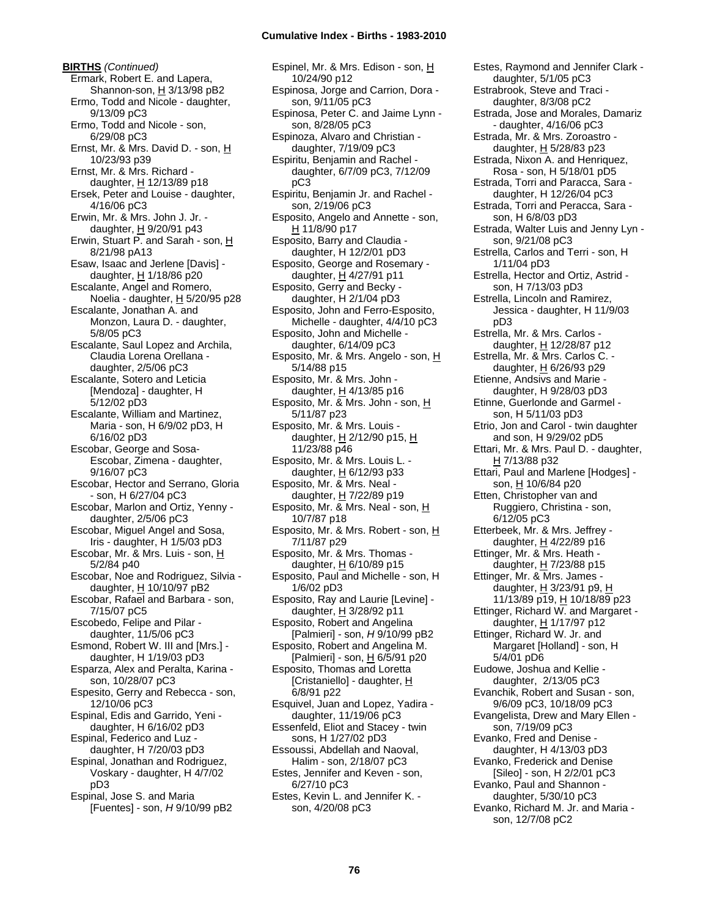**BIRTHS** *(Continued)* Ermark, Robert E. and Lapera, Shannon-son,  $H$  3/13/98 pB2 Ermo, Todd and Nicole - daughter, 9/13/09 pC3 Ermo, Todd and Nicole - son, 6/29/08 pC3 Ernst, Mr. & Mrs. David D. - son, H 10/23/93 p39 Ernst, Mr. & Mrs. Richard daughter, H 12/13/89 p18 Ersek, Peter and Louise - daughter, 4/16/06 pC3 Erwin, Mr. & Mrs. John J. Jr. daughter,  $\underline{H}$  9/20/91 p43 Erwin, Stuart P. and Sarah - son, H 8/21/98 pA13 Esaw, Isaac and Jerlene [Davis] daughter, H 1/18/86 p20 Escalante, Angel and Romero, Noelia - daughter,  $H$  5/20/95 p28 Escalante, Jonathan A. and Monzon, Laura D. - daughter, 5/8/05 pC3 Escalante, Saul Lopez and Archila, Claudia Lorena Orellana daughter, 2/5/06 pC3 Escalante, Sotero and Leticia [Mendoza] - daughter, H 5/12/02 pD3 Escalante, William and Martinez, Maria - son, H 6/9/02 pD3, H 6/16/02 pD3 Escobar, George and Sosa-Escobar, Zimena - daughter, 9/16/07 pC3 Escobar, Hector and Serrano, Gloria - son, H 6/27/04 pC3 Escobar, Marlon and Ortiz, Yenny daughter, 2/5/06 pC3 Escobar, Miguel Angel and Sosa, Iris - daughter, H 1/5/03 pD3 Escobar, Mr. & Mrs. Luis - son, H 5/2/84 p40 Escobar, Noe and Rodriguez, Silvia daughter,  $H$  10/10/97 pB2 Escobar, Rafael and Barbara - son, 7/15/07 pC5 Escobedo, Felipe and Pilar daughter, 11/5/06 pC3 Esmond, Robert W. III and [Mrs.] daughter, H 1/19/03 pD3 Esparza, Alex and Peralta, Karina son, 10/28/07 pC3 Espesito, Gerry and Rebecca - son, 12/10/06 pC3 Espinal, Edis and Garrido, Yeni daughter, H 6/16/02 pD3 Espinal, Federico and Luz daughter, H 7/20/03 pD3 Espinal, Jonathan and Rodriguez, Voskary - daughter, H 4/7/02 pD3 Espinal, Jose S. and Maria [Fuentes] - son, *H* 9/10/99 pB2

Espinel, Mr. & Mrs. Edison - son, H 10/24/90 p12 Espinosa, Jorge and Carrion, Dora son, 9/11/05 pC3 Espinosa, Peter C. and Jaime Lynn son, 8/28/05 pC3 Espinoza, Alvaro and Christian daughter, 7/19/09 pC3 Espiritu, Benjamin and Rachel daughter, 6/7/09 pC3, 7/12/09 pC3 Espiritu, Benjamin Jr. and Rachel son, 2/19/06 pC3 Esposito, Angelo and Annette - son, H 11/8/90 p17 Esposito, Barry and Claudia daughter, H 12/2/01 pD3 Esposito, George and Rosemary daughter, H 4/27/91 p11 Esposito, Gerry and Becky daughter, H 2/1/04 pD3 Esposito, John and Ferro-Esposito, Michelle - daughter, 4/4/10 pC3 Esposito, John and Michelle daughter, 6/14/09 pC3 Esposito, Mr. & Mrs. Angelo - son, H 5/14/88 p15 Esposito, Mr. & Mrs. John daughter, H 4/13/85 p16 Esposito, Mr. & Mrs. John - son, H 5/11/87 p23 Esposito, Mr. & Mrs. Louis daughter,  $H$  2/12/90 p15,  $H$ 11/23/88 p46 Esposito, Mr. & Mrs. Louis L. daughter,  $H$  6/12/93 p33 Esposito, Mr. & Mrs. Neal daughter, H 7/22/89 p19 Esposito, Mr. & Mrs. Neal - son, H 10/7/87 p18 Esposito, Mr. & Mrs. Robert - son, H 7/11/87 p29 Esposito, Mr. & Mrs. Thomas daughter, H 6/10/89 p15 Esposito, Paul and Michelle - son, H 1/6/02 pD3 Esposito, Ray and Laurie [Levine] daughter,  $\underline{H}$  3/28/92 p11 Esposito, Robert and Angelina [Palmieri] - son, *H* 9/10/99 pB2 Esposito, Robert and Angelina M. [Palmieri] - son, H 6/5/91 p20 Esposito, Thomas and Loretta [Cristaniello] - daughter, H 6/8/91 p22 Esquivel, Juan and Lopez, Yadira daughter, 11/19/06 pC3 Essenfeld, Eliot and Stacey - twin sons, H 1/27/02 pD3 Essoussi, Abdellah and Naoval, Halim - son, 2/18/07 pC3 Estes, Jennifer and Keven - son, 6/27/10 pC3 Estes, Kevin L. and Jennifer K. son, 4/20/08 pC3

Estes, Raymond and Jennifer Clark daughter, 5/1/05 pC3 Estrabrook, Steve and Traci daughter, 8/3/08 pC2 Estrada, Jose and Morales, Damariz - daughter, 4/16/06 pC3 Estrada, Mr. & Mrs. Zoroastro daughter, H 5/28/83 p23 Estrada, Nixon A. and Henriquez, Rosa - son, H 5/18/01 pD5 Estrada, Torri and Paracca, Sara daughter, H 12/26/04 pC3 Estrada, Torri and Peracca, Sara son, H 6/8/03 pD3 Estrada, Walter Luis and Jenny Lyn son, 9/21/08 pC3 Estrella, Carlos and Terri - son, H 1/11/04 pD3 Estrella, Hector and Ortiz, Astrid son, H 7/13/03 pD3 Estrella, Lincoln and Ramirez, Jessica - daughter, H 11/9/03 pD3 Estrella, Mr. & Mrs. Carlos daughter, H 12/28/87 p12 Estrella, Mr. & Mrs. Carlos C. daughter,  $H$  6/26/93 p29 Etienne, Andsivs and Marie daughter, H 9/28/03 pD3 Etinne, Guerlonde and Garmel son, H 5/11/03 pD3 Etrio, Jon and Carol - twin daughter and son, H 9/29/02 pD5 Ettari, Mr. & Mrs. Paul D. - daughter, H 7/13/88 p32 Ettari, Paul and Marlene [Hodges] son, H 10/6/84 p20 Etten, Christopher van and Ruggiero, Christina - son, 6/12/05 pC3 Etterbeek, Mr. & Mrs. Jeffrey daughter, H 4/22/89 p16 Ettinger, Mr. & Mrs. Heath daughter, H 7/23/88 p15 Ettinger, Mr. & Mrs. James daughter,  $H$  3/23/91 p9,  $H$ 11/13/89 p19, H 10/18/89 p23 Ettinger, Richard W. and Margaret daughter,  $H$  1/17/97 p12 Ettinger, Richard W. Jr. and Margaret [Holland] - son, H 5/4/01 pD6 Eudowe, Joshua and Kellie daughter, 2/13/05 pC3 Evanchik, Robert and Susan - son, 9/6/09 pC3, 10/18/09 pC3 Evangelista, Drew and Mary Ellen son, 7/19/09 pC3 Evanko, Fred and Denise daughter, H 4/13/03 pD3 Evanko, Frederick and Denise [Sileo] - son, H 2/2/01 pC3 Evanko, Paul and Shannon daughter, 5/30/10 pC3 Evanko, Richard M. Jr. and Maria son, 12/7/08 pC2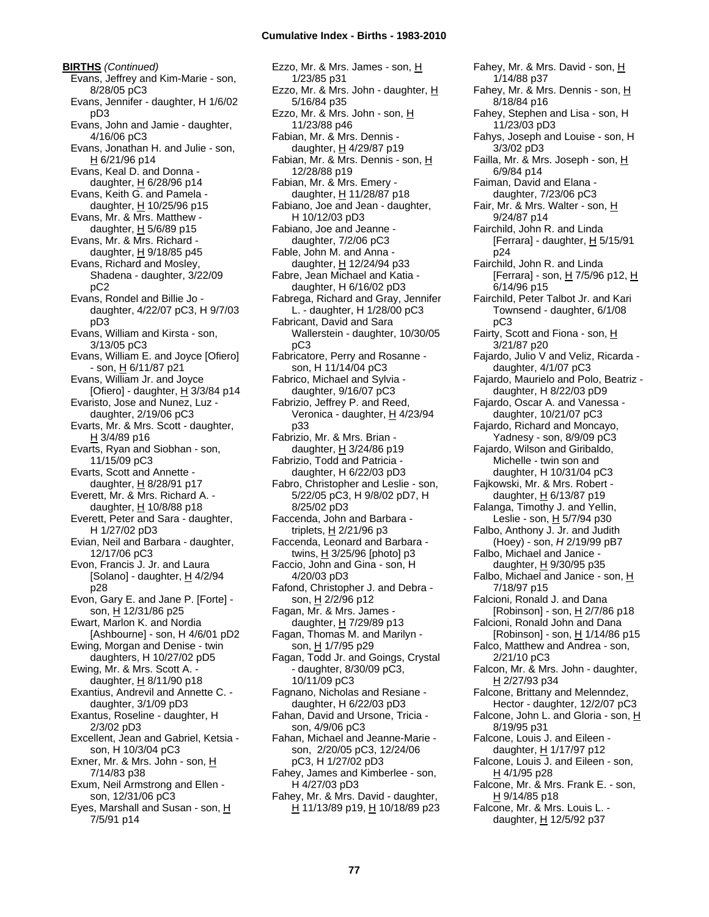**BIRTHS** *(Continued)* Evans, Jeffrey and Kim-Marie - son, 8/28/05 pC3 Evans, Jennifer - daughter, H 1/6/02 pD3 Evans, John and Jamie - daughter, 4/16/06 pC3 Evans, Jonathan H. and Julie - son, H 6/21/96 p14 Evans, Keal D. and Donna daughter, H 6/28/96 p14 Evans, Keith G. and Pamela daughter,  $H$  10/25/96 p15 Evans, Mr. & Mrs. Matthew daughter,  $H$  5/6/89 p15 Evans, Mr. & Mrs. Richard daughter,  $H$  9/18/85 p45 Evans, Richard and Mosley, Shadena - daughter, 3/22/09 pC2 Evans, Rondel and Billie Jo daughter, 4/22/07 pC3, H 9/7/03 pD3 Evans, William and Kirsta - son, 3/13/05 pC3 Evans, William E. and Joyce [Ofiero] - son, H 6/11/87 p21 Evans, William Jr. and Joyce [Ofiero] - daughter,  $H$  3/3/84 p14 Evaristo, Jose and Nunez, Luz daughter, 2/19/06 pC3 Evarts, Mr. & Mrs. Scott - daughter, H 3/4/89 p16 Evarts, Ryan and Siobhan - son, 11/15/09 pC3 Evarts, Scott and Annette daughter, H 8/28/91 p17 Everett, Mr. & Mrs. Richard A. daughter, H 10/8/88 p18 Everett, Peter and Sara - daughter, H 1/27/02 pD3 Evian, Neil and Barbara - daughter, 12/17/06 pC3 Evon, Francis J. Jr. and Laura [Solano] - daughter,  $H$  4/2/94 p28 Evon, Gary E. and Jane P. [Forte] son, H 12/31/86 p25 Ewart, Marlon K. and Nordia [Ashbourne] - son, H 4/6/01 pD2 Ewing, Morgan and Denise - twin daughters, H 10/27/02 pD5 Ewing, Mr. & Mrs. Scott A. daughter,  $H$  8/11/90 p18 Exantius, Andrevil and Annette C. daughter, 3/1/09 pD3 Exantus, Roseline - daughter, H 2/3/02 pD3 Excellent, Jean and Gabriel, Ketsia son, H 10/3/04 pC3 Exner, Mr. & Mrs. John - son, H 7/14/83 p38 Exum, Neil Armstrong and Ellen son, 12/31/06 pC3 Eyes, Marshall and Susan - son, H 7/5/91 p14

Ezzo, Mr. & Mrs. James - son, H 1/23/85 p31 Ezzo, Mr. & Mrs. John - daughter, H 5/16/84 p35 Ezzo, Mr. & Mrs. John - son, H 11/23/88 p46 Fabian, Mr. & Mrs. Dennis daughter, H 4/29/87 p19 Fabian, Mr. & Mrs. Dennis - son, H 12/28/88 p19 Fabian, Mr. & Mrs. Emery daughter, H 11/28/87 p18 Fabiano, Joe and Jean - daughter, H 10/12/03 pD3 Fabiano, Joe and Jeanne daughter, 7/2/06 pC3 Fable, John M. and Anna daughter, H 12/24/94 p33 Fabre, Jean Michael and Katia daughter, H 6/16/02 pD3 Fabrega, Richard and Gray, Jennifer L. - daughter, H 1/28/00 pC3 Fabricant, David and Sara Wallerstein - daughter, 10/30/05 pC3 Fabricatore, Perry and Rosanne son, H 11/14/04 pC3 Fabrico, Michael and Sylvia daughter, 9/16/07 pC3 Fabrizio, Jeffrey P. and Reed, Veronica - daughter, H 4/23/94 p33 Fabrizio, Mr. & Mrs. Brian daughter, H 3/24/86 p19 Fabrizio, Todd and Patricia daughter, H 6/22/03 pD3 Fabro, Christopher and Leslie - son, 5/22/05 pC3, H 9/8/02 pD7, H 8/25/02 pD3 Faccenda, John and Barbara triplets, H 2/21/96 p3 Faccenda, Leonard and Barbara twins,  $H$  3/25/96 [photo] p3 Faccio, John and Gina - son, H 4/20/03 pD3 Fafond, Christopher J. and Debra son, H 2/2/96 p12 Fagan, Mr. & Mrs. James daughter,  $H$  7/29/89 p13 Fagan, Thomas M. and Marilyn son, H 1/7/95 p29 Fagan, Todd Jr. and Goings, Crystal - daughter, 8/30/09 pC3, 10/11/09 pC3 Fagnano, Nicholas and Resiane daughter, H 6/22/03 pD3 Fahan, David and Ursone, Tricia son, 4/9/06 pC3 Fahan, Michael and Jeanne-Marie son, 2/20/05 pC3, 12/24/06 pC3, H 1/27/02 pD3 Fahey, James and Kimberlee - son, H 4/27/03 pD3 Fahey, Mr. & Mrs. David - daughter, H 11/13/89 p19, H 10/18/89 p23

Fahey, Mr. & Mrs. David - son, H 1/14/88 p37 Fahey, Mr. & Mrs. Dennis - son, H 8/18/84 p16 Fahey, Stephen and Lisa - son, H 11/23/03 pD3 Fahys, Joseph and Louise - son, H 3/3/02 pD3 Failla, Mr. & Mrs. Joseph - son, H 6/9/84 p14 Faiman, David and Elana daughter, 7/23/06 pC3 Fair, Mr. & Mrs. Walter - son, H 9/24/87 p14 Fairchild, John R. and Linda [Ferrara] - daughter,  $H$  5/15/91 p24 Fairchild, John R. and Linda [Ferrara] - son, H 7/5/96 p12, H 6/14/96 p15 Fairchild, Peter Talbot Jr. and Kari Townsend - daughter, 6/1/08 pC3 Fairty, Scott and Fiona - son, H 3/21/87 p20 Fajardo, Julio V and Veliz, Ricarda daughter, 4/1/07 pC3 Fajardo, Maurielo and Polo, Beatriz daughter, H 8/22/03 pD9 Fajardo, Oscar A. and Vanessa daughter, 10/21/07 pC3 Fajardo, Richard and Moncayo, Yadnesy - son, 8/9/09 pC3 Fajardo, Wilson and Giribaldo, Michelle - twin son and daughter, H 10/31/04 pC3 Fajkowski, Mr. & Mrs. Robert daughter, H 6/13/87 p19 Falanga, Timothy J. and Yellin, Leslie - son,  $H$  5/7/94 p30 Falbo, Anthony J. Jr. and Judith (Hoey) - son, *H* 2/19/99 pB7 Falbo, Michael and Janice daughter, H 9/30/95 p35 Falbo, Michael and Janice - son, H 7/18/97 p15 Falcioni, Ronald J. and Dana [Robinson] - son, H 2/7/86 p18 Falcioni, Ronald John and Dana [Robinson] - son,  $\underline{H}$  1/14/86 p15 Falco, Matthew and Andrea - son, 2/21/10 pC3 Falcon, Mr. & Mrs. John - daughter, H 2/27/93 p34 Falcone, Brittany and Melenndez, Hector - daughter, 12/2/07 pC3 Falcone, John L. and Gloria - son, H 8/19/95 p31 Falcone, Louis J. and Eileen daughter, H 1/17/97 p12 Falcone, Louis J. and Eileen - son, H 4/1/95 p28 Falcone, Mr. & Mrs. Frank E. - son, H 9/14/85 p18 Falcone, Mr. & Mrs. Louis L. daughter, H 12/5/92 p37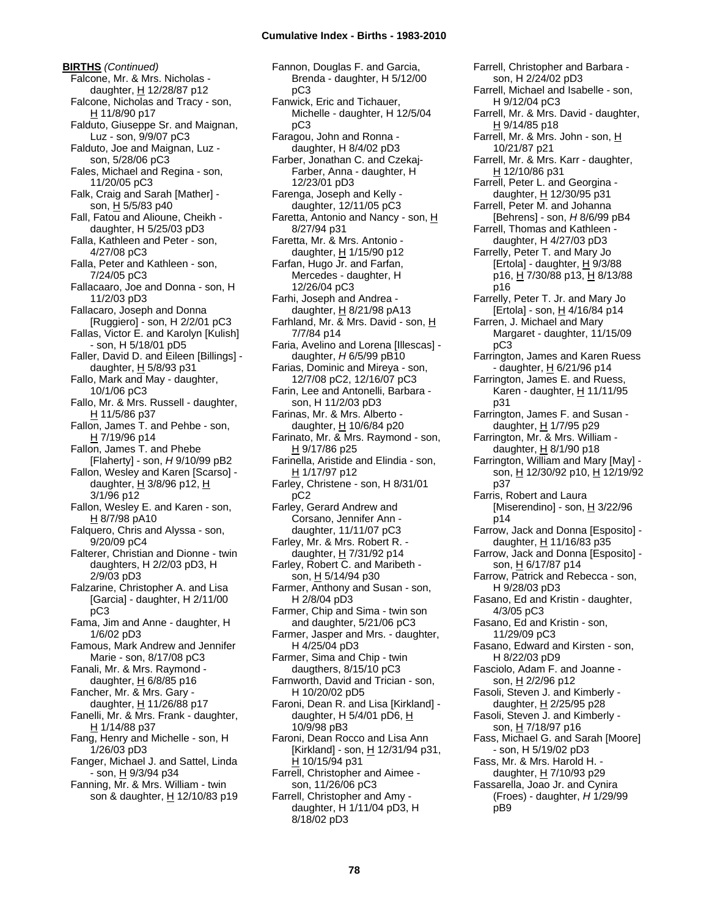**BIRTHS** *(Continued)* Falcone, Mr. & Mrs. Nicholas daughter, H 12/28/87 p12 Falcone, Nicholas and Tracy - son, H 11/8/90 p17 Falduto, Giuseppe Sr. and Maignan, Luz - son, 9/9/07 pC3 Falduto, Joe and Maignan, Luz son, 5/28/06 pC3 Fales, Michael and Regina - son, 11/20/05 pC3 Falk, Craig and Sarah [Mather] son,  $H$  5/5/83 p40 Fall, Fatou and Alioune, Cheikh daughter, H 5/25/03 pD3 Falla, Kathleen and Peter - son, 4/27/08 pC3 Falla, Peter and Kathleen - son, 7/24/05 pC3 Fallacaaro, Joe and Donna - son, H 11/2/03 pD3 Fallacaro, Joseph and Donna [Ruggiero] - son, H 2/2/01 pC3 Fallas, Victor E. and Karolyn [Kulish] - son, H 5/18/01 pD5 Faller, David D. and Eileen [Billings] daughter,  $H$  5/8/93 p31 Fallo, Mark and May - daughter, 10/1/06 pC3 Fallo, Mr. & Mrs. Russell - daughter, H 11/5/86 p37 Fallon, James T. and Pehbe - son, H 7/19/96 p14 Fallon, James T. and Phebe [Flaherty] - son, *H* 9/10/99 pB2 Fallon, Wesley and Karen [Scarso] daughter,  $H$  3/8/96 p12,  $H$ 3/1/96 p12 Fallon, Wesley E. and Karen - son,  $H$  8/7/98 pA10 Falquero, Chris and Alyssa - son, 9/20/09 pC4 Falterer, Christian and Dionne - twin daughters, H 2/2/03 pD3, H 2/9/03 pD3 Falzarine, Christopher A. and Lisa [Garcia] - daughter, H 2/11/00 pC3 Fama, Jim and Anne - daughter, H 1/6/02 pD3 Famous, Mark Andrew and Jennifer Marie - son, 8/17/08 pC3 Fanali, Mr. & Mrs. Raymond daughter,  $H$  6/8/85 p16 Fancher, Mr. & Mrs. Gary daughter, H 11/26/88 p17 Fanelli, Mr. & Mrs. Frank - daughter, H 1/14/88 p37 Fang, Henry and Michelle - son, H 1/26/03 pD3 Fanger, Michael J. and Sattel, Linda - son, H 9/3/94 p34 Fanning, Mr. & Mrs. William - twin son & daughter, H 12/10/83 p19

Fannon, Douglas F. and Garcia, Brenda - daughter, H 5/12/00 pC3 Fanwick, Eric and Tichauer, Michelle - daughter, H 12/5/04 pC3 Faragou, John and Ronna daughter, H 8/4/02 pD3 Farber, Jonathan C. and Czekaj-Farber, Anna - daughter, H 12/23/01 pD3 Farenga, Joseph and Kelly daughter, 12/11/05 pC3 Faretta, Antonio and Nancy - son, H 8/27/94 p31 Faretta, Mr. & Mrs. Antonio daughter, H 1/15/90 p12 Farfan, Hugo Jr. and Farfan, Mercedes - daughter, H 12/26/04 pC3 Farhi, Joseph and Andrea daughter,  $H$  8/21/98 pA13 Farhland, Mr. & Mrs. David - son, H 7/7/84 p14 Faria, Avelino and Lorena [Illescas] daughter, *H* 6/5/99 pB10 Farias, Dominic and Mireya - son, 12/7/08 pC2, 12/16/07 pC3 Farin, Lee and Antonelli, Barbara son, H 11/2/03 pD3 Farinas, Mr. & Mrs. Alberto daughter,  $H$  10/6/84 p20 Farinato, Mr. & Mrs. Raymond - son, H 9/17/86 p25 Farinella, Aristide and Elindia - son, H 1/17/97 p12 Farley, Christene - son, H 8/31/01 pC2 Farley, Gerard Andrew and Corsano, Jennifer Ann daughter, 11/11/07 pC3 Farley, Mr. & Mrs. Robert R. daughter, H 7/31/92 p14 Farley, Robert C. and Maribeth son, <u>H</u> 5/14/94 p30 Farmer, Anthony and Susan - son, H 2/8/04 pD3 Farmer, Chip and Sima - twin son and daughter, 5/21/06 pC3 Farmer, Jasper and Mrs. - daughter, H 4/25/04 pD3 Farmer, Sima and Chip - twin daugthers, 8/15/10 pC3 Farnworth, David and Trician - son, H 10/20/02 pD5 Faroni, Dean R. and Lisa [Kirkland] daughter, H 5/4/01 pD6, H 10/9/98 pB3 Faroni, Dean Rocco and Lisa Ann [Kirkland] - son, H 12/31/94 p31, H 10/15/94 p31 Farrell, Christopher and Aimee son, 11/26/06 pC3 Farrell, Christopher and Amy daughter, H 1/11/04 pD3, H 8/18/02 pD3

Farrell, Christopher and Barbara son, H 2/24/02 pD3 Farrell, Michael and Isabelle - son, H 9/12/04 pC3 Farrell, Mr. & Mrs. David - daughter, H 9/14/85 p18 Farrell, Mr. & Mrs. John - son, H 10/21/87 p21 Farrell, Mr. & Mrs. Karr - daughter, H 12/10/86 p31 Farrell, Peter L. and Georgina daughter,  $H$  12/30/95 p31 Farrell, Peter M. and Johanna [Behrens] - son, *H* 8/6/99 pB4 Farrell, Thomas and Kathleen daughter, H 4/27/03 pD3 Farrelly, Peter T. and Mary Jo [Ertola] - daughter,  $\underline{H}$  9/3/88 p16, H 7/30/88 p13, H 8/13/88 p16 Farrelly, Peter T. Jr. and Mary Jo  $[Ertola] - son, H$  4/16/84 p14 Farren, J. Michael and Mary Margaret - daughter, 11/15/09 pC3 Farrington, James and Karen Ruess - daughter,  $H_6/21/96$  p14 Farrington, James E. and Ruess, Karen - daughter, H 11/11/95 p31 Farrington, James F. and Susan daughter, H 1/7/95 p29 Farrington, Mr. & Mrs. William daughter, H 8/1/90 p18 Farrington, William and Mary [May] son, H 12/30/92 p10, H 12/19/92 p37 Farris, Robert and Laura [Miserendino] - son,  $\underline{H}$  3/22/96 p14 Farrow, Jack and Donna [Esposito] daughter,  $H$  11/16/83 p35 Farrow, Jack and Donna [Esposito] son, H 6/17/87 p14 Farrow, Patrick and Rebecca - son, H 9/28/03 pD3 Fasano, Ed and Kristin - daughter, 4/3/05 pC3 Fasano, Ed and Kristin - son, 11/29/09 pC3 Fasano, Edward and Kirsten - son, H 8/22/03 pD9 Fasciolo, Adam F. and Joanne son, H 2/2/96 p12 Fasoli, Steven J. and Kimberly daughter, H 2/25/95 p28 Fasoli, Steven J. and Kimberly son, H 7/18/97 p16 Fass, Michael G. and Sarah [Moore] - son, H 5/19/02 pD3 Fass, Mr. & Mrs. Harold H. daughter, H 7/10/93 p29 Fassarella, Joao Jr. and Cynira (Froes) - daughter, *H* 1/29/99 pB9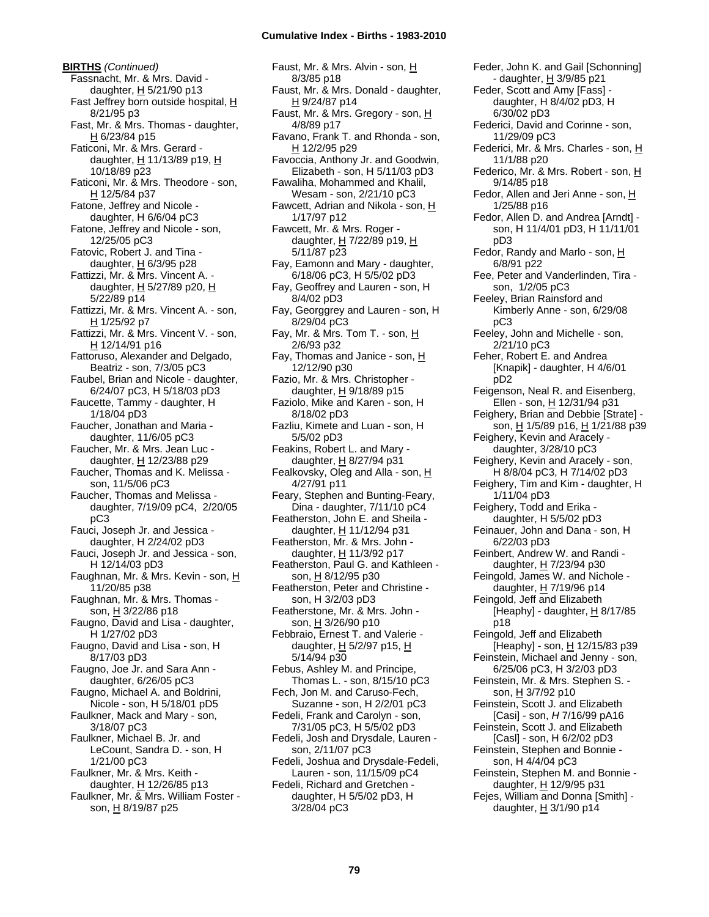**BIRTHS** *(Continued)* Fassnacht, Mr. & Mrs. David daughter,  $H$  5/21/90 p13 Fast Jeffrey born outside hospital, H 8/21/95 p3 Fast, Mr. & Mrs. Thomas - daughter, H 6/23/84 p15 Faticoni, Mr. & Mrs. Gerard daughter,  $H$  11/13/89 p19,  $H$ 10/18/89 p23 Faticoni, Mr. & Mrs. Theodore - son, H 12/5/84 p37 Fatone, Jeffrey and Nicole daughter, H 6/6/04 pC3 Fatone, Jeffrey and Nicole - son, 12/25/05 pC3 Fatovic, Robert J. and Tina daughter,  $H$  6/3/95 p28 Fattizzi, Mr. & Mrs. Vincent A. daughter, H 5/27/89 p20, H 5/22/89 p14 Fattizzi, Mr. & Mrs. Vincent A. - son, H 1/25/92 p7 Fattizzi, Mr. & Mrs. Vincent V. - son, H 12/14/91 p16 Fattoruso, Alexander and Delgado, Beatriz - son, 7/3/05 pC3 Faubel, Brian and Nicole - daughter, 6/24/07 pC3, H 5/18/03 pD3 Faucette, Tammy - daughter, H 1/18/04 pD3 Faucher, Jonathan and Maria daughter, 11/6/05 pC3 Faucher, Mr. & Mrs. Jean Luc daughter, H 12/23/88 p29 Faucher, Thomas and K. Melissa son, 11/5/06 pC3 Faucher, Thomas and Melissa daughter, 7/19/09 pC4, 2/20/05 pC3 Fauci, Joseph Jr. and Jessica daughter, H 2/24/02 pD3 Fauci, Joseph Jr. and Jessica - son, H 12/14/03 pD3 Faughnan, Mr. & Mrs. Kevin - son, H 11/20/85 p38 Faughnan, Mr. & Mrs. Thomas son, H 3/22/86 p18 Faugno, David and Lisa - daughter, H 1/27/02 pD3 Faugno, David and Lisa - son, H 8/17/03 pD3 Faugno, Joe Jr. and Sara Ann daughter, 6/26/05 pC3 Faugno, Michael A. and Boldrini, Nicole - son, H 5/18/01 pD5 Faulkner, Mack and Mary - son, 3/18/07 pC3 Faulkner, Michael B. Jr. and LeCount, Sandra D. - son, H 1/21/00 pC3 Faulkner, Mr. & Mrs. Keith daughter, H 12/26/85 p13 Faulkner, Mr. & Mrs. William Foster son, H 8/19/87 p25

Faust, Mr. & Mrs. Alvin - son, H 8/3/85 p18 Faust, Mr. & Mrs. Donald - daughter, H 9/24/87 p14 Faust, Mr. & Mrs. Gregory - son, H 4/8/89 p17 Favano, Frank T. and Rhonda - son, H 12/2/95 p29 Favoccia, Anthony Jr. and Goodwin, Elizabeth - son, H 5/11/03 pD3 Fawaliha, Mohammed and Khalil, Wesam - son, 2/21/10 pC3 Fawcett, Adrian and Nikola - son,  $H$ 1/17/97 p12 Fawcett, Mr. & Mrs. Roger daughter,  $H$  7/22/89 p19,  $H$ 5/11/87 p23 Fay, Eamonn and Mary - daughter, 6/18/06 pC3, H 5/5/02 pD3 Fay, Geoffrey and Lauren - son, H 8/4/02 pD3 Fay, Georggrey and Lauren - son, H 8/29/04 pC3 Fay, Mr. & Mrs. Tom T. - son, H 2/6/93 p32 Fay, Thomas and Janice - son,  $H$ 12/12/90 p30 Fazio, Mr. & Mrs. Christopher daughter, H 9/18/89 p15 Faziolo, Mike and Karen - son, H 8/18/02 pD3 Fazliu, Kimete and Luan - son, H 5/5/02 pD3 Feakins, Robert L. and Mary daughter, H 8/27/94 p31 Fealkovsky, Oleg and Alla - son, H 4/27/91 p11 Feary, Stephen and Bunting-Feary, Dina - daughter, 7/11/10 pC4 Featherston, John E. and Sheila daughter, H 11/12/94 p31 Featherston, Mr. & Mrs. John daughter, H 11/3/92 p17 Featherston, Paul G. and Kathleen son, <u>H</u> 8/12/95 p30 Featherston, Peter and Christine son, H 3/2/03 pD3 Featherstone, Mr. & Mrs. John son, H 3/26/90 p10 Febbraio, Ernest T. and Valerie daughter,  $H$  5/2/97 p15,  $H$ 5/14/94 p30 Febus, Ashley M. and Principe, Thomas L. - son, 8/15/10 pC3 Fech, Jon M. and Caruso-Fech, Suzanne - son, H 2/2/01 pC3 Fedeli, Frank and Carolyn - son, 7/31/05 pC3, H 5/5/02 pD3 Fedeli, Josh and Drysdale, Lauren son, 2/11/07 pC3 Fedeli, Joshua and Drysdale-Fedeli, Lauren - son, 11/15/09 pC4 Fedeli, Richard and Gretchen daughter, H 5/5/02 pD3, H 3/28/04 pC3

Feder, John K. and Gail [Schonning] - daughter, H 3/9/85 p21 Feder, Scott and Amy [Fass] daughter, H 8/4/02 pD3, H 6/30/02 pD3 Federici, David and Corinne - son, 11/29/09 pC3 Federici, Mr. & Mrs. Charles - son, H 11/1/88 p20 Federico, Mr. & Mrs. Robert - son, H 9/14/85 p18 Fedor, Allen and Jeri Anne - son, H 1/25/88 p16 Fedor, Allen D. and Andrea [Arndt] son, H 11/4/01 pD3, H 11/11/01 pD3 Fedor, Randy and Marlo - son, H 6/8/91 p22 Fee, Peter and Vanderlinden, Tira son, 1/2/05 pC3 Feeley, Brian Rainsford and Kimberly Anne - son, 6/29/08 pC3 Feeley, John and Michelle - son, 2/21/10 pC3 Feher, Robert E. and Andrea [Knapik] - daughter, H 4/6/01 pD2 Feigenson, Neal R. and Eisenberg, Ellen - son, H 12/31/94 p31 Feighery, Brian and Debbie [Strate] son, H 1/5/89 p16, H 1/21/88 p39 Feighery, Kevin and Aracely daughter, 3/28/10 pC3 Feighery, Kevin and Aracely - son, H 8/8/04 pC3, H 7/14/02 pD3 Feighery, Tim and Kim - daughter, H 1/11/04 pD3 Feighery, Todd and Erika daughter, H 5/5/02 pD3 Feinauer, John and Dana - son, H 6/22/03 pD3 Feinbert, Andrew W. and Randi daughter, H 7/23/94 p30 Feingold, James W. and Nichole daughter,  $H$  7/19/96 p14 Feingold, Jeff and Elizabeth [Heaphy] - daughter,  $H$  8/17/85 p18 Feingold, Jeff and Elizabeth [Heaphy] - son,  $H$  12/15/83 p39 Feinstein, Michael and Jenny - son, 6/25/06 pC3, H 3/2/03 pD3 Feinstein, Mr. & Mrs. Stephen S. son, H 3/7/92 p10 Feinstein, Scott J. and Elizabeth [Casi] - son, *H* 7/16/99 pA16 Feinstein, Scott J. and Elizabeth [Casl] - son, H 6/2/02 pD3 Feinstein, Stephen and Bonnie son, H 4/4/04 pC3 Feinstein, Stephen M. and Bonnie daughter, H 12/9/95 p31 Fejes, William and Donna [Smith] daughter,  $H$  3/1/90 p14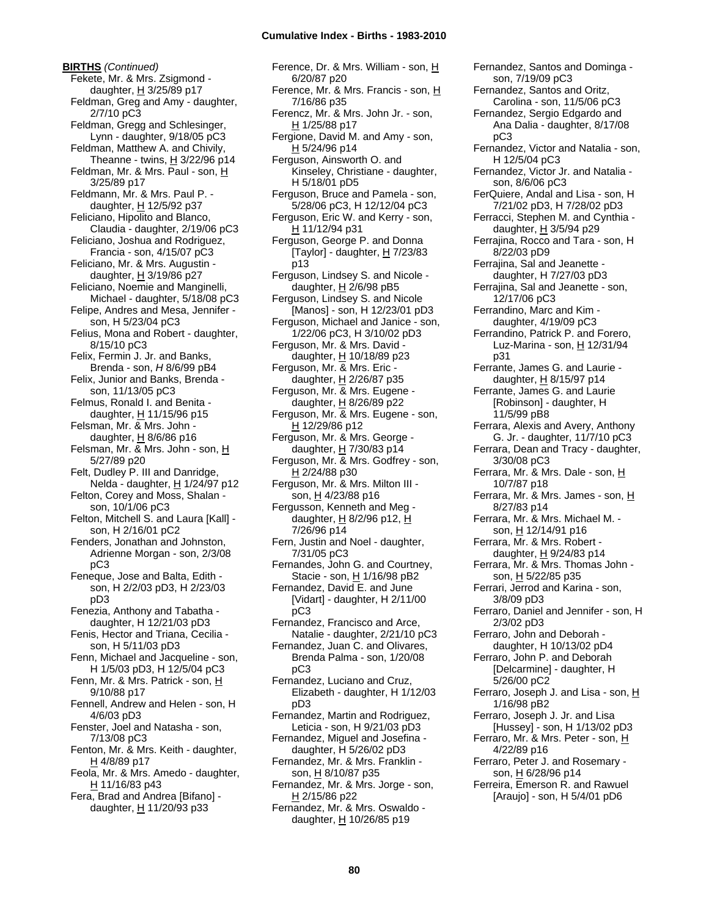**BIRTHS** *(Continued)* Fekete, Mr. & Mrs. Zsigmond daughter,  $H$  3/25/89 p17 Feldman, Greg and Amy - daughter, 2/7/10 pC3 Feldman, Gregg and Schlesinger, Lynn - daughter, 9/18/05 pC3 Feldman, Matthew A. and Chivily, Theanne - twins,  $H$  3/22/96 p14 Feldman, Mr. & Mrs. Paul - son, H 3/25/89 p17 Feldmann, Mr. & Mrs. Paul P. daughter,  $H$  12/5/92 p37 Feliciano, Hipolito and Blanco, Claudia - daughter, 2/19/06 pC3 Feliciano, Joshua and Rodriguez, Francia - son, 4/15/07 pC3 Feliciano, Mr. & Mrs. Augustin daughter,  $H$  3/19/86 p27 Feliciano, Noemie and Manginelli, Michael - daughter, 5/18/08 pC3 Felipe, Andres and Mesa, Jennifer son, H 5/23/04 pC3 Felius, Mona and Robert - daughter, 8/15/10 pC3 Felix, Fermin J. Jr. and Banks, Brenda - son, *H* 8/6/99 pB4 Felix, Junior and Banks, Brenda son, 11/13/05 pC3 Felmus, Ronald I. and Benita daughter, H 11/15/96 p15 Felsman, Mr. & Mrs. John daughter,  $H$  8/6/86 p16 Felsman, Mr. & Mrs. John - son, H 5/27/89 p20 Felt, Dudley P. III and Danridge, Nelda - daughter, H 1/24/97 p12 Felton, Corey and Moss, Shalan son, 10/1/06 pC3 Felton, Mitchell S. and Laura [Kall] son, H 2/16/01 pC2 Fenders, Jonathan and Johnston, Adrienne Morgan - son, 2/3/08 pC3 Feneque, Jose and Balta, Edith son, H 2/2/03 pD3, H 2/23/03 pD3 Fenezia, Anthony and Tabatha daughter, H 12/21/03 pD3 Fenis, Hector and Triana, Cecilia son, H 5/11/03 pD3 Fenn, Michael and Jacqueline - son, H 1/5/03 pD3, H 12/5/04 pC3 Fenn, Mr. & Mrs. Patrick - son, H 9/10/88 p17 Fennell, Andrew and Helen - son, H 4/6/03 pD3 Fenster, Joel and Natasha - son, 7/13/08 pC3 Fenton, Mr. & Mrs. Keith - daughter, H 4/8/89 p17 Feola, Mr. & Mrs. Amedo - daughter, H 11/16/83 p43 Fera, Brad and Andrea [Bifano] daughter,  $H$  11/20/93 p33

Ference, Dr. & Mrs. William - son, H 6/20/87 p20 Ference, Mr. & Mrs. Francis - son, H 7/16/86 p35 Ferencz, Mr. & Mrs. John Jr. - son, H 1/25/88 p17 Fergione, David M. and Amy - son, H 5/24/96 p14 Ferguson, Ainsworth O. and Kinseley, Christiane - daughter, H 5/18/01 pD5 Ferguson, Bruce and Pamela - son, 5/28/06 pC3, H 12/12/04 pC3 Ferguson, Eric W. and Kerry - son, H 11/12/94 p31 Ferguson, George P. and Donna [Taylor] - daughter,  $\underline{H}$  7/23/83 p13 Ferguson, Lindsey S. and Nicole daughter, H 2/6/98 pB5 Ferguson, Lindsey S. and Nicole [Manos] - son, H 12/23/01 pD3 Ferguson, Michael and Janice - son, 1/22/06 pC3, H 3/10/02 pD3 Ferguson, Mr. & Mrs. David daughter, H 10/18/89 p23 Ferguson, Mr. & Mrs. Eric daughter, H 2/26/87 p35 Ferguson, Mr. & Mrs. Eugene daughter, H 8/26/89 p22 Ferguson, Mr. & Mrs. Eugene - son, H 12/29/86 p12 Ferguson, Mr. & Mrs. George daughter, H 7/30/83 p14 Ferguson, Mr. & Mrs. Godfrey - son, H 2/24/88 p30 Ferguson, Mr. & Mrs. Milton III son, H 4/23/88 p16 Fergusson, Kenneth and Meg daughter,  $H$  8/2/96 p12,  $H$ 7/26/96 p14 Fern, Justin and Noel - daughter, 7/31/05 pC3 Fernandes, John G. and Courtney, Stacie - son, H 1/16/98 pB2 Fernandez, David E. and June [Vidart] - daughter, H 2/11/00 pC3 Fernandez, Francisco and Arce, Natalie - daughter, 2/21/10 pC3 Fernandez, Juan C. and Olivares, Brenda Palma - son, 1/20/08 pC3 Fernandez, Luciano and Cruz, Elizabeth - daughter, H 1/12/03 pD3 Fernandez, Martin and Rodriguez, Leticia - son, H 9/21/03 pD3 Fernandez, Miguel and Josefina daughter, H 5/26/02 pD3 Fernandez, Mr. & Mrs. Franklin son, H 8/10/87 p35 Fernandez, Mr. & Mrs. Jorge - son,  $H$  2/15/86 p22 Fernandez, Mr. & Mrs. Oswaldo daughter,  $H$  10/26/85 p19

son, 7/19/09 pC3 Fernandez, Santos and Oritz, Carolina - son, 11/5/06 pC3 Fernandez, Sergio Edgardo and Ana Dalia - daughter, 8/17/08 pC3 Fernandez, Victor and Natalia - son, H 12/5/04 pC3 Fernandez, Victor Jr. and Natalia son, 8/6/06 pC3 FerQuiere, Andal and Lisa - son, H 7/21/02 pD3, H 7/28/02 pD3 Ferracci, Stephen M. and Cynthia daughter,  $H$  3/5/94 p29 Ferrajina, Rocco and Tara - son, H 8/22/03 pD9 Ferrajina, Sal and Jeanette daughter, H 7/27/03 pD3 Ferrajina, Sal and Jeanette - son, 12/17/06 pC3 Ferrandino, Marc and Kim daughter, 4/19/09 pC3 Ferrandino, Patrick P. and Forero, Luz-Marina - son,  $H$  12/31/94 p31 Ferrante, James G. and Laurie daughter,  $H$  8/15/97 p14 Ferrante, James G. and Laurie [Robinson] - daughter, H 11/5/99 pB8 Ferrara, Alexis and Avery, Anthony G. Jr. - daughter, 11/7/10 pC3 Ferrara, Dean and Tracy - daughter, 3/30/08 pC3 Ferrara, Mr. & Mrs. Dale - son, H 10/7/87 p18 Ferrara, Mr. & Mrs. James - son, H 8/27/83 p14 Ferrara, Mr. & Mrs. Michael M. son, H 12/14/91 p16 Ferrara, Mr. & Mrs. Robert daughter,  $H$  9/24/83 p14 Ferrara, Mr. & Mrs. Thomas John son, <u>H</u> 5/22/85 p35 Ferrari, Jerrod and Karina - son, 3/8/09 pD3 Ferraro, Daniel and Jennifer - son, H 2/3/02 pD3 Ferraro, John and Deborah daughter, H 10/13/02 pD4 Ferraro, John P. and Deborah [Delcarmine] - daughter, H 5/26/00 pC2 Ferraro, Joseph J. and Lisa - son, H 1/16/98 pB2 Ferraro, Joseph J. Jr. and Lisa [Hussey] - son, H 1/13/02 pD3 Ferraro, Mr. & Mrs. Peter - son, H 4/22/89 p16 Ferraro, Peter J. and Rosemary son, H 6/28/96 p14 Ferreira, Emerson R. and Rawuel [Araujo] - son, H 5/4/01 pD6

Fernandez, Santos and Dominga -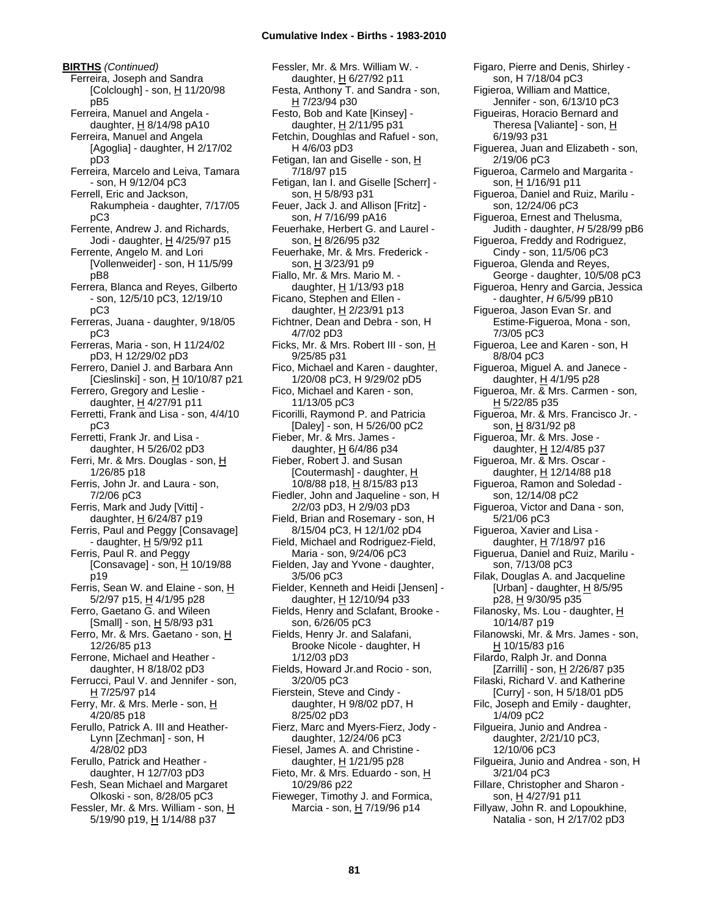**BIRTHS** *(Continued)* Ferreira, Joseph and Sandra  $[Colclough]$  - son,  $H$  11/20/98 pB5 Ferreira, Manuel and Angela daughter, H 8/14/98 pA10 Ferreira, Manuel and Angela [Agoglia] - daughter, H 2/17/02 pD3 Ferreira, Marcelo and Leiva, Tamara - son, H 9/12/04 pC3 Ferrell, Eric and Jackson, Rakumpheia - daughter, 7/17/05 pC3 Ferrente, Andrew J. and Richards, Jodi - daughter, H 4/25/97 p15 Ferrente, Angelo M. and Lori [Vollenweider] - son, H 11/5/99 pB8 Ferrera, Blanca and Reyes, Gilberto - son, 12/5/10 pC3, 12/19/10 pC3 Ferreras, Juana - daughter, 9/18/05 pC3 Ferreras, Maria - son, H 11/24/02 pD3, H 12/29/02 pD3 Ferrero, Daniel J. and Barbara Ann [Cieslinski] - son, H 10/10/87 p21 Ferrero, Gregory and Leslie daughter, H 4/27/91 p11 Ferretti, Frank and Lisa - son, 4/4/10 pC3 Ferretti, Frank Jr. and Lisa daughter, H 5/26/02 pD3 Ferri, Mr. & Mrs. Douglas - son, H 1/26/85 p18 Ferris, John Jr. and Laura - son, 7/2/06 pC3 Ferris, Mark and Judy [Vitti] daughter,  $H$  6/24/87 p19 Ferris, Paul and Peggy [Consavage] - daughter,  $H$  5/9/92 p11 Ferris, Paul R. and Peggy [Consavage] - son, H 10/19/88 p19 Ferris, Sean W. and Elaine - son, H 5/2/97 p15, H 4/1/95 p28 Ferro, Gaetano G. and Wileen [Small] - son, H 5/8/93 p31 Ferro, Mr. & Mrs. Gaetano - son, H 12/26/85 p13 Ferrone, Michael and Heather daughter, H 8/18/02 pD3 Ferrucci, Paul V. and Jennifer - son,  $H$  7/25/97 p14 Ferry, Mr. & Mrs. Merle - son, H 4/20/85 p18 Ferullo, Patrick A. III and Heather-Lynn [Zechman] - son, H 4/28/02 pD3 Ferullo, Patrick and Heather daughter, H 12/7/03 pD3 Fesh, Sean Michael and Margaret Olkoski - son, 8/28/05 pC3 Fessler, Mr. & Mrs. William - son, H 5/19/90 p19, H 1/14/88 p37

Fessler, Mr. & Mrs. William W. daughter, H 6/27/92 p11 Festa, Anthony T. and Sandra - son, H 7/23/94 p30 Festo, Bob and Kate [Kinsey] daughter, H 2/11/95 p31 Fetchin, Doughlas and Rafuel - son, H 4/6/03 pD3 Fetigan, Ian and Giselle - son, H 7/18/97 p15 Fetigan, Ian I. and Giselle [Scherr] son, H 5/8/93 p31 Feuer, Jack J. and Allison [Fritz] son, *H* 7/16/99 pA16 Feuerhake, Herbert G. and Laurel son, H 8/26/95 p32 Feuerhake, Mr. & Mrs. Frederick son, H 3/23/91 p9 Fiallo, Mr. & Mrs. Mario M. daughter, H 1/13/93 p18 Ficano, Stephen and Ellen daughter,  $H$  2/23/91 p13 Fichtner, Dean and Debra - son, H 4/7/02 pD3 Ficks, Mr. & Mrs. Robert III - son, H 9/25/85 p31 Fico, Michael and Karen - daughter, 1/20/08 pC3, H 9/29/02 pD5 Fico, Michael and Karen - son, 11/13/05 pC3 Ficorilli, Raymond P. and Patricia [Daley] - son, H 5/26/00 pC2 Fieber, Mr. & Mrs. James daughter, H 6/4/86 p34 Fieber, Robert J. and Susan [Coutermash] - daughter, H 10/8/88 p18, H 8/15/83 p13 Fiedler, John and Jaqueline - son, H 2/2/03 pD3, H 2/9/03 pD3 Field, Brian and Rosemary - son, H 8/15/04 pC3, H 12/1/02 pD4 Field, Michael and Rodriguez-Field, Maria - son, 9/24/06 pC3 Fielden, Jay and Yvone - daughter, 3/5/06 pC3 Fielder, Kenneth and Heidi [Jensen] daughter, H 12/10/94 p33 Fields, Henry and Sclafant, Brooke son, 6/26/05 pC3 Fields, Henry Jr. and Salafani, Brooke Nicole - daughter, H 1/12/03 pD3 Fields, Howard Jr.and Rocio - son, 3/20/05 pC3 Fierstein, Steve and Cindy daughter, H 9/8/02 pD7, H 8/25/02 pD3 Fierz, Marc and Myers-Fierz, Jody daughter, 12/24/06 pC3 Fiesel, James A. and Christine daughter,  $H$  1/21/95 p28 Fieto, Mr. & Mrs. Eduardo - son, H 10/29/86 p22 Fieweger, Timothy J. and Formica, Marcia - son, H 7/19/96 p14

son, H 7/18/04 pC3 Figieroa, William and Mattice, Jennifer - son, 6/13/10 pC3 Figueiras, Horacio Bernard and Theresa [Valiante] - son, H 6/19/93 p31 Figuerea, Juan and Elizabeth - son, 2/19/06 pC3 Figueroa, Carmelo and Margarita son, H 1/16/91 p11 Figueroa, Daniel and Ruiz, Marilu son, 12/24/06 pC3 Figueroa, Ernest and Thelusma, Judith - daughter, *H* 5/28/99 pB6 Figueroa, Freddy and Rodriguez, Cindy - son, 11/5/06 pC3 Figueroa, Glenda and Reyes, George - daughter, 10/5/08 pC3 Figueroa, Henry and Garcia, Jessica - daughter, *H* 6/5/99 pB10 Figueroa, Jason Evan Sr. and Estime-Figueroa, Mona - son, 7/3/05 pC3 Figueroa, Lee and Karen - son, H 8/8/04 pC3 Figueroa, Miguel A. and Janece daughter, H 4/1/95 p28 Figueroa, Mr. & Mrs. Carmen - son, H 5/22/85 p35 Figueroa, Mr. & Mrs. Francisco Jr. son, H 8/31/92 p8 Figueroa, Mr. & Mrs. Jose daughter, H 12/4/85 p37 Figueroa, Mr. & Mrs. Oscar daughter, H 12/14/88 p18 Figueroa, Ramon and Soledad son, 12/14/08 pC2 Figueroa, Victor and Dana - son, 5/21/06 pC3 Figueroa, Xavier and Lisa daughter, H 7/18/97 p16 Figuerua, Daniel and Ruiz, Marilu son, 7/13/08 pC3 Filak, Douglas A. and Jacqueline [Urban] - daughter,  $H$  8/5/95 p28, H 9/30/95 p35 Filanosky, Ms. Lou - daughter, H 10/14/87 p19 Filanowski, Mr. & Mrs. James - son, H 10/15/83 p16 Filardo, Ralph Jr. and Donna [Zarrilli] - son, H 2/26/87 p35 Filaski, Richard V. and Katherine [Curry] - son, H 5/18/01 pD5 Filc, Joseph and Emily - daughter, 1/4/09 pC2 Filgueira, Junio and Andrea daughter, 2/21/10 pC3, 12/10/06 pC3 Filgueira, Junio and Andrea - son, H 3/21/04 pC3 Fillare, Christopher and Sharon son, H 4/27/91 p11 Fillyaw, John R. and Lopoukhine, Natalia - son, H 2/17/02 pD3

Figaro, Pierre and Denis, Shirley -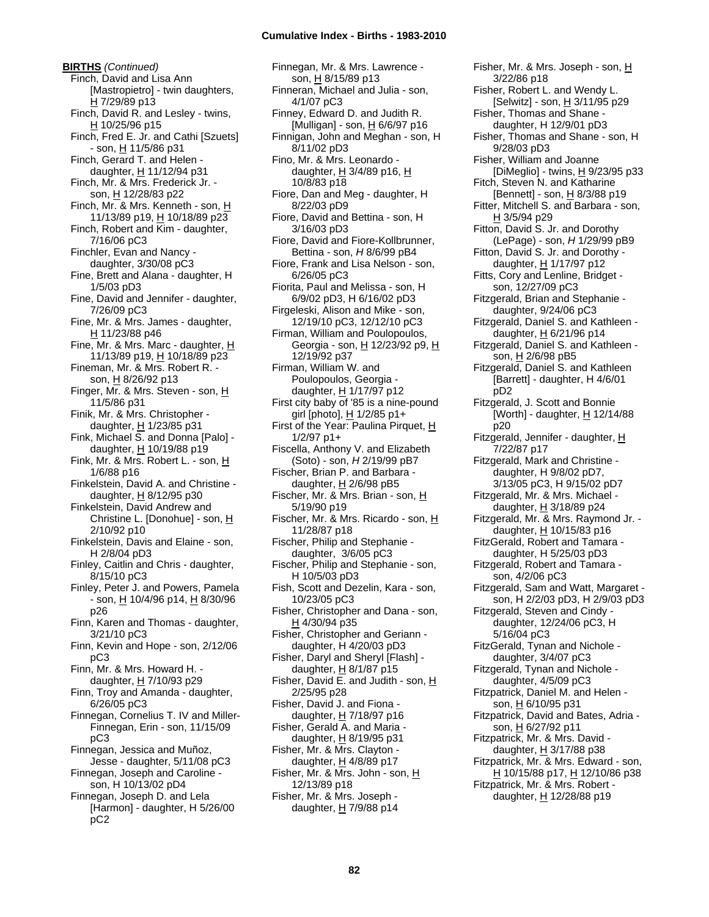**BIRTHS** *(Continued)* Finch, David and Lisa Ann [Mastropietro] - twin daughters, H 7/29/89 p13 Finch, David R. and Lesley - twins, H 10/25/96 p15 Finch, Fred E. Jr. and Cathi [Szuets] - son, H 11/5/86 p31 Finch, Gerard T. and Helen daughter, H 11/12/94 p31 Finch, Mr. & Mrs. Frederick Jr. son, H 12/28/83 p22 Finch, Mr. & Mrs. Kenneth - son, H 11/13/89 p19, H 10/18/89 p23 Finch, Robert and Kim - daughter, 7/16/06 pC3 Finchler, Evan and Nancy daughter, 3/30/08 pC3 Fine, Brett and Alana - daughter, H 1/5/03 pD3 Fine, David and Jennifer - daughter, 7/26/09 pC3 Fine, Mr. & Mrs. James - daughter, H 11/23/88 p46 Fine, Mr. & Mrs. Marc - daughter,  $H$ 11/13/89 p19, H 10/18/89 p23 Fineman, Mr. & Mrs. Robert R. son, H 8/26/92 p13 Finger, Mr. & Mrs. Steven - son, H 11/5/86 p31 Finik, Mr. & Mrs. Christopher daughter,  $H$  1/23/85 p31 Fink, Michael S. and Donna [Palo] daughter,  $H$  10/19/88 p19 Fink, Mr. & Mrs. Robert L. - son, H 1/6/88 p16 Finkelstein, David A. and Christine daughter,  $H$  8/12/95 p30 Finkelstein, David Andrew and Christine L. [Donohue] - son, H 2/10/92 p10 Finkelstein, Davis and Elaine - son, H 2/8/04 pD3 Finley, Caitlin and Chris - daughter, 8/15/10 pC3 Finley, Peter J. and Powers, Pamela - son, H 10/4/96 p14, H 8/30/96 p26 Finn, Karen and Thomas - daughter, 3/21/10 pC3 Finn, Kevin and Hope - son, 2/12/06 pC3 Finn, Mr. & Mrs. Howard H. daughter,  $H$  7/10/93 p29 Finn, Troy and Amanda - daughter, 6/26/05 pC3 Finnegan, Cornelius T. IV and Miller-Finnegan, Erin - son, 11/15/09 pC3 Finnegan, Jessica and Muñoz, Jesse - daughter, 5/11/08 pC3 Finnegan, Joseph and Caroline -

son, H 10/13/02 pD4 Finnegan, Joseph D. and Lela [Harmon] - daughter, H 5/26/00 pC2

Finnegan, Mr. & Mrs. Lawrence son, H 8/15/89 p13 Finneran, Michael and Julia - son, 4/1/07 pC3 Finney, Edward D. and Judith R. [Mulligan] - son, H 6/6/97 p16 Finnigan, John and Meghan - son, H 8/11/02 pD3 Fino, Mr. & Mrs. Leonardo daughter,  $H$  3/4/89 p16,  $H$ 10/8/83 p18 Fiore, Dan and Meg - daughter, H 8/22/03 pD9 Fiore, David and Bettina - son, H 3/16/03 pD3 Fiore, David and Fiore-Kollbrunner, Bettina - son, *H* 8/6/99 pB4 Fiore, Frank and Lisa Nelson - son, 6/26/05 pC3 Fiorita, Paul and Melissa - son, H 6/9/02 pD3, H 6/16/02 pD3 Firgeleski, Alison and Mike - son, 12/19/10 pC3, 12/12/10 pC3 Firman, William and Poulopoulos, Georgia - son, H 12/23/92 p9, H 12/19/92 p37 Firman, William W. and Poulopoulos, Georgia daughter, H 1/17/97 p12 First city baby of '85 is a nine-pound girl [photo], H 1/2/85 p1+ First of the Year: Paulina Pirquet,  $H$ 1/2/97 p1+ Fiscella, Anthony V. and Elizabeth (Soto) - son, *H* 2/19/99 pB7 Fischer, Brian P. and Barbara daughter,  $H$  2/6/98 pB5 Fischer, Mr. & Mrs. Brian - son, H 5/19/90 p19 Fischer, Mr. & Mrs. Ricardo - son, H 11/28/87 p18 Fischer, Philip and Stephanie daughter, 3/6/05 pC3 Fischer, Philip and Stephanie - son, H 10/5/03 pD3 Fish, Scott and Dezelin, Kara - son, 10/23/05 pC3 Fisher, Christopher and Dana - son, H 4/30/94 p35 Fisher, Christopher and Geriann daughter, H 4/20/03 pD3 Fisher, Daryl and Sheryl [Flash] daughter,  $H$  8/1/87 p15 Fisher, David E. and Judith - son,  $H$ 2/25/95 p28 Fisher, David J. and Fiona daughter, H 7/18/97 p16 Fisher, Gerald A. and Maria daughter, H 8/19/95 p31 Fisher, Mr. & Mrs. Clayton daughter, H 4/8/89 p17 Fisher, Mr. & Mrs. John - son, H 12/13/89 p18 Fisher, Mr. & Mrs. Joseph daughter, H 7/9/88 p14

Fisher, Mr. & Mrs. Joseph - son, H 3/22/86 p18 Fisher, Robert L. and Wendy L. [Selwitz] - son, H 3/11/95 p29 Fisher, Thomas and Shane daughter, H 12/9/01 pD3 Fisher, Thomas and Shane - son, H 9/28/03 pD3 Fisher, William and Joanne  $[DiMeglio] - twins, H. 9/23/95 p33$ Fitch, Steven N. and Katharine [Bennett] - son,  $H$  8/3/88 p19 Fitter, Mitchell S. and Barbara - son, H 3/5/94 p29 Fitton, David S. Jr. and Dorothy (LePage) - son, *H* 1/29/99 pB9 Fitton, David S. Jr. and Dorothy daughter, H 1/17/97 p12 Fitts, Cory and Lenline, Bridget son, 12/27/09 pC3 Fitzgerald, Brian and Stephanie daughter, 9/24/06 pC3 Fitzgerald, Daniel S. and Kathleen daughter, H 6/21/96 p14 Fitzgerald, Daniel S. and Kathleen son, H 2/6/98 pB5 Fitzgerald, Daniel S. and Kathleen [Barrett] - daughter, H 4/6/01 pD2 Fitzgerald, J. Scott and Bonnie [Worth] - daughter,  $H$  12/14/88 p20 Fitzgerald, Jennifer - daughter, H 7/22/87 p17 Fitzgerald, Mark and Christine daughter, H 9/8/02 pD7, 3/13/05 pC3, H 9/15/02 pD7 Fitzgerald, Mr. & Mrs. Michael daughter, H 3/18/89 p24 Fitzgerald, Mr. & Mrs. Raymond Jr. daughter, H 10/15/83 p16 FitzGerald, Robert and Tamara daughter, H 5/25/03 pD3 Fitzgerald, Robert and Tamara son, 4/2/06 pC3 Fitzgerald, Sam and Watt, Margaret son, H 2/2/03 pD3, H 2/9/03 pD3 Fitzgerald, Steven and Cindy daughter, 12/24/06 pC3, H 5/16/04 pC3 FitzGerald, Tynan and Nichole daughter, 3/4/07 pC3 Fitzgerald, Tynan and Nichole daughter, 4/5/09 pC3 Fitzpatrick, Daniel M. and Helen son, <u>H</u> 6/10/95 p31 Fitzpatrick, David and Bates, Adria son, H 6/27/92 p11 Fitzpatrick, Mr. & Mrs. David daughter,  $H$  3/17/88 p38 Fitzpatrick, Mr. & Mrs. Edward - son, H 10/15/88 p17, H 12/10/86 p38 Fitzpatrick, Mr. & Mrs. Robert daughter,  $H$  12/28/88 p19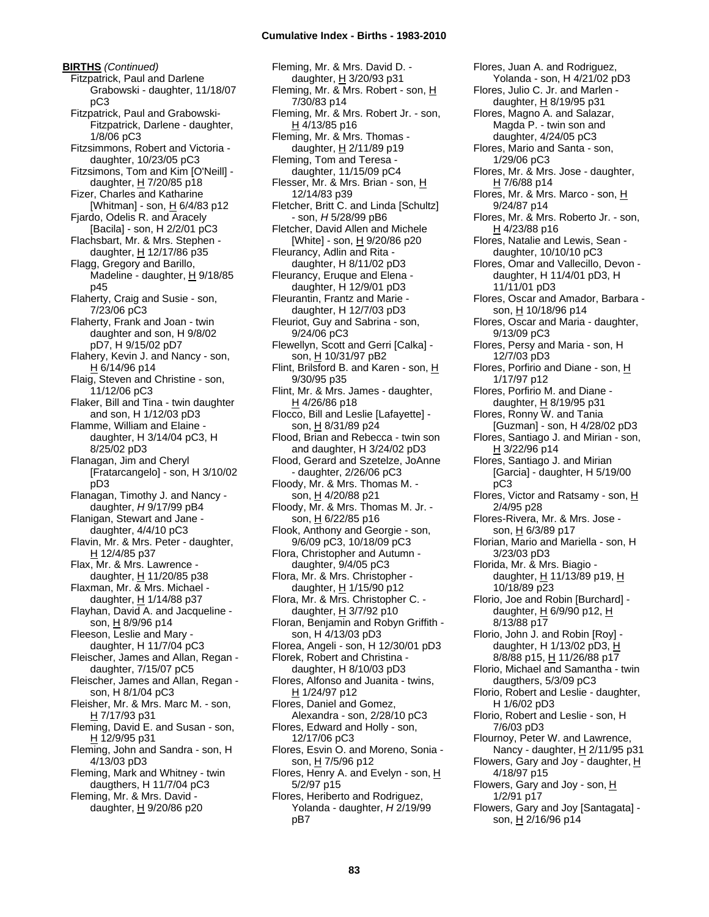**BIRTHS** *(Continued)* Fitzpatrick, Paul and Darlene Grabowski - daughter, 11/18/07 pC3 Fitzpatrick, Paul and Grabowski-Fitzpatrick, Darlene - daughter, 1/8/06 pC3 Fitzsimmons, Robert and Victoria daughter, 10/23/05 pC3 Fitzsimons, Tom and Kim [O'Neill] daughter, H 7/20/85 p18 Fizer, Charles and Katharine [Whitman] - son,  $H$  6/4/83 p12 Fjardo, Odelis R. and Aracely [Bacila] - son, H 2/2/01 pC3 Flachsbart, Mr. & Mrs. Stephen daughter, H 12/17/86 p35 Flagg, Gregory and Barillo, Madeline - daughter,  $H$  9/18/85 p45 Flaherty, Craig and Susie - son, 7/23/06 pC3 Flaherty, Frank and Joan - twin daughter and son, H 9/8/02 pD7, H 9/15/02 pD7 Flahery, Kevin J. and Nancy - son, H 6/14/96 p14 Flaig, Steven and Christine - son, 11/12/06 pC3 Flaker, Bill and Tina - twin daughter and son, H 1/12/03 pD3 Flamme, William and Elaine daughter, H 3/14/04 pC3, H 8/25/02 pD3 Flanagan, Jim and Cheryl [Fratarcangelo] - son, H 3/10/02 pD3 Flanagan, Timothy J. and Nancy daughter, *H* 9/17/99 pB4 Flanigan, Stewart and Jane daughter, 4/4/10 pC3 Flavin, Mr. & Mrs. Peter - daughter, H 12/4/85 p37 Flax, Mr. & Mrs. Lawrence daughter,  $H$  11/20/85 p38 Flaxman, Mr. & Mrs. Michael daughter, H 1/14/88 p37 Flayhan, David A. and Jacqueline son, H 8/9/96 p14 Fleeson, Leslie and Mary daughter, H 11/7/04 pC3 Fleischer, James and Allan, Regan daughter, 7/15/07 pC5 Fleischer, James and Allan, Regan son, H 8/1/04 pC3 Fleisher, Mr. & Mrs. Marc M. - son, H 7/17/93 p31 Fleming, David E. and Susan - son, H 12/9/95 p31 Fleming, John and Sandra - son, H 4/13/03 pD3 Fleming, Mark and Whitney - twin daugthers, H 11/7/04 pC3 Fleming, Mr. & Mrs. David daughter, H 9/20/86 p20

Fleming, Mr. & Mrs. David D. daughter, H 3/20/93 p31 Fleming, Mr. & Mrs. Robert - son, H 7/30/83 p14 Fleming, Mr. & Mrs. Robert Jr. - son, H 4/13/85 p16 Fleming, Mr. & Mrs. Thomas daughter, H 2/11/89 p19 Fleming, Tom and Teresa daughter, 11/15/09 pC4 Flesser, Mr. & Mrs. Brian - son, H 12/14/83 p39 Fletcher, Britt C. and Linda [Schultz] - son, *H* 5/28/99 pB6 Fletcher, David Allen and Michele [White] - son, H 9/20/86 p20 Fleurancy, Adlin and Rita daughter, H 8/11/02 pD3 Fleurancy, Eruque and Elena daughter, H 12/9/01 pD3 Fleurantin, Frantz and Marie daughter, H 12/7/03 pD3 Fleuriot, Guy and Sabrina - son, 9/24/06 pC3 Flewellyn, Scott and Gerri [Calka] son, H 10/31/97 pB2 Flint, Brilsford B. and Karen - son, H 9/30/95 p35 Flint, Mr. & Mrs. James - daughter, H 4/26/86 p18 Flocco, Bill and Leslie [Lafayette] son, H 8/31/89 p24 Flood, Brian and Rebecca - twin son and daughter, H 3/24/02 pD3 Flood, Gerard and Szetelze, JoAnne - daughter, 2/26/06 pC3 Floody, Mr. & Mrs. Thomas M. son, H 4/20/88 p21 Floody, Mr. & Mrs. Thomas M. Jr. son, H 6/22/85 p16 Flook, Anthony and Georgie - son, 9/6/09 pC3, 10/18/09 pC3 Flora, Christopher and Autumn daughter, 9/4/05 pC3 Flora, Mr. & Mrs. Christopher daughter,  $H$  1/15/90 p12 Flora, Mr. & Mrs. Christopher C. daughter,  $H$  3/7/92 p10 Floran, Benjamin and Robyn Griffith son, H 4/13/03 pD3 Florea, Angeli - son, H 12/30/01 pD3 Florek, Robert and Christina daughter, H 8/10/03 pD3 Flores, Alfonso and Juanita - twins,  $H$  1/24/97 p12 Flores, Daniel and Gomez, Alexandra - son, 2/28/10 pC3 Flores, Edward and Holly - son, 12/17/06 pC3 Flores, Esvin O. and Moreno, Sonia son, H 7/5/96 p12 Flores, Henry A. and Evelyn - son, H 5/2/97 p15 Flores, Heriberto and Rodriguez, Yolanda - daughter, *H* 2/19/99 pB7

Flores, Juan A. and Rodriguez, Yolanda - son, H 4/21/02 pD3 Flores, Julio C. Jr. and Marlen daughter, H 8/19/95 p31 Flores, Magno A. and Salazar, Magda P. - twin son and daughter, 4/24/05 pC3 Flores, Mario and Santa - son, 1/29/06 pC3 Flores, Mr. & Mrs. Jose - daughter, H 7/6/88 p14 Flores, Mr. & Mrs. Marco - son, H 9/24/87 p14 Flores, Mr. & Mrs. Roberto Jr. - son, H 4/23/88 p16 Flores, Natalie and Lewis, Sean daughter, 10/10/10 pC3 Flores, Omar and Vallecillo, Devon daughter, H 11/4/01 pD3, H 11/11/01 pD3 Flores, Oscar and Amador, Barbara son, H 10/18/96 p14 Flores, Oscar and Maria - daughter, 9/13/09 pC3 Flores, Persy and Maria - son, H 12/7/03 pD3 Flores, Porfirio and Diane - son,  $\underline{H}$ 1/17/97 p12 Flores, Porfirio M. and Diane daughter, H 8/19/95 p31 Flores, Ronny W. and Tania [Guzman] - son, H 4/28/02 pD3 Flores, Santiago J. and Mirian - son, H 3/22/96 p14 Flores, Santiago J. and Mirian [Garcia] - daughter, H 5/19/00 pC3 Flores, Victor and Ratsamy - son,  $H$ 2/4/95 p28 Flores-Rivera, Mr. & Mrs. Jose son, H 6/3/89 p17 Florian, Mario and Mariella - son, H 3/23/03 pD3 Florida, Mr. & Mrs. Biagio daughter, H 11/13/89 p19, H 10/18/89 p23 Florio, Joe and Robin [Burchard] daughter,  $H$  6/9/90 p12,  $H$ 8/13/88 p17 Florio, John J. and Robin [Roy] daughter, H 1/13/02 pD3, H 8/8/88 p15, H 11/26/88 p17 Florio, Michael and Samantha - twin daugthers, 5/3/09 pC3 Florio, Robert and Leslie - daughter, H 1/6/02 pD3 Florio, Robert and Leslie - son, H 7/6/03 pD3 Flournoy, Peter W. and Lawrence, Nancy - daughter,  $H$  2/11/95 p31 Flowers, Gary and Joy - daughter,  $H$ 4/18/97 p15 Flowers, Gary and Joy - son, H 1/2/91 p17 Flowers, Gary and Joy [Santagata] son, H 2/16/96 p14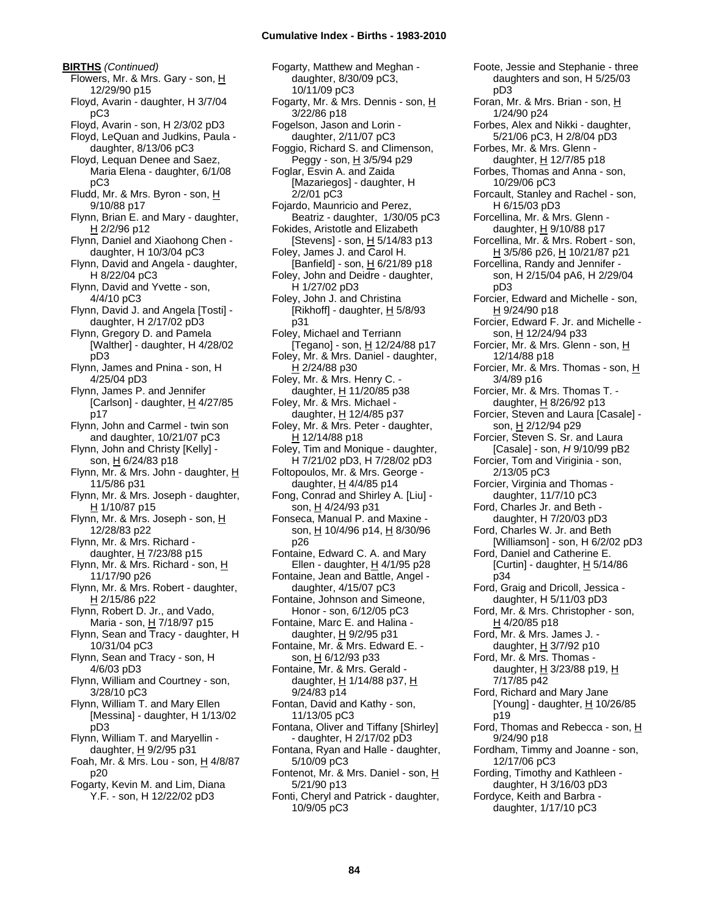**BIRTHS** *(Continued)* Flowers, Mr. & Mrs. Gary - son, H 12/29/90 p15 Floyd, Avarin - daughter, H 3/7/04 pC3 Floyd, Avarin - son, H 2/3/02 pD3 Floyd, LeQuan and Judkins, Paula daughter, 8/13/06 pC3 Floyd, Lequan Denee and Saez, Maria Elena - daughter, 6/1/08 pC3 Fludd, Mr. & Mrs. Byron - son, H 9/10/88 p17 Flynn, Brian E. and Mary - daughter, H 2/2/96 p12 Flynn, Daniel and Xiaohong Chen daughter, H 10/3/04 pC3 Flynn, David and Angela - daughter, H 8/22/04 pC3 Flynn, David and Yvette - son, 4/4/10 pC3 Flynn, David J. and Angela [Tosti] daughter, H 2/17/02 pD3 Flynn, Gregory D. and Pamela [Walther] - daughter, H 4/28/02 pD3 Flynn, James and Pnina - son, H 4/25/04 pD3 Flynn, James P. and Jennifer [Carlson] - daughter, H 4/27/85 p17 Flynn, John and Carmel - twin son and daughter, 10/21/07 pC3 Flynn, John and Christy [Kelly] son, H 6/24/83 p18 Flynn, Mr. & Mrs. John - daughter, H 11/5/86 p31 Flynn, Mr. & Mrs. Joseph - daughter, H 1/10/87 p15 Flynn, Mr. & Mrs. Joseph - son, H 12/28/83 p22 Flynn, Mr. & Mrs. Richard daughter, H 7/23/88 p15 Flynn, Mr. & Mrs. Richard - son, H 11/17/90 p26 Flynn, Mr. & Mrs. Robert - daughter, H 2/15/86 p22 Flynn, Robert D. Jr., and Vado, Maria - son, H 7/18/97 p15 Flynn, Sean and Tracy - daughter, H 10/31/04 pC3 Flynn, Sean and Tracy - son, H 4/6/03 pD3 Flynn, William and Courtney - son, 3/28/10 pC3 Flynn, William T. and Mary Ellen [Messina] - daughter, H 1/13/02 pD3 Flynn, William T. and Maryellin daughter,  $H$  9/2/95 p31 Foah, Mr. & Mrs. Lou - son, H 4/8/87 p20 Fogarty, Kevin M. and Lim, Diana Y.F. - son, H 12/22/02 pD3

Fogarty, Matthew and Meghan daughter, 8/30/09 pC3, 10/11/09 pC3 Fogarty, Mr. & Mrs. Dennis - son, H 3/22/86 p18 Fogelson, Jason and Lorin daughter, 2/11/07 pC3 Foggio, Richard S. and Climenson, Peggy - son, H 3/5/94 p29 Foglar, Esvin A. and Zaida [Mazariegos] - daughter, H 2/2/01 pC3 Fojardo, Maunricio and Perez, Beatriz - daughter, 1/30/05 pC3 Fokides, Aristotle and Elizabeth [Stevens] - son,  $H$  5/14/83 p13 Foley, James J. and Carol H. [Banfield] - son,  $H$  6/21/89 p18 Foley, John and Deidre - daughter, H 1/27/02 pD3 Foley, John J. and Christina [Rikhoff] - daughter,  $H$  5/8/93 p31 Foley, Michael and Terriann [Tegano] - son,  $H$  12/24/88 p17 Foley, Mr. & Mrs. Daniel - daughter, H 2/24/88 p30 Foley, Mr. & Mrs. Henry C. daughter, H 11/20/85 p38 Foley, Mr. & Mrs. Michael daughter, H 12/4/85 p37 Foley, Mr. & Mrs. Peter - daughter, H 12/14/88 p18 Foley, Tim and Monique - daughter, H 7/21/02 pD3, H 7/28/02 pD3 Foltopoulos, Mr. & Mrs. George daughter,  $\underline{H}$  4/4/85 p14 Fong, Conrad and Shirley A. [Liu] son, H 4/24/93 p31 Fonseca, Manual P. and Maxine son, H 10/4/96 p14, H 8/30/96 p26 Fontaine, Edward C. A. and Mary Ellen - daughter, H 4/1/95 p28 Fontaine, Jean and Battle, Angel daughter, 4/15/07 pC3 Fontaine, Johnson and Simeone, Honor - son, 6/12/05 pC3 Fontaine, Marc E. and Halina daughter, H 9/2/95 p31 Fontaine, Mr. & Mrs. Edward E. son, H 6/12/93 p33 Fontaine, Mr. & Mrs. Gerald daughter, H 1/14/88 p37, H 9/24/83 p14 Fontan, David and Kathy - son, 11/13/05 pC3 Fontana, Oliver and Tiffany [Shirley] - daughter, H 2/17/02 pD3 Fontana, Ryan and Halle - daughter, 5/10/09 pC3 Fontenot, Mr. & Mrs. Daniel - son, H 5/21/90 p13 Fonti, Cheryl and Patrick - daughter, 10/9/05 pC3

Foote, Jessie and Stephanie - three daughters and son, H 5/25/03 pD3 Foran, Mr. & Mrs. Brian - son, H 1/24/90 p24 Forbes, Alex and Nikki - daughter, 5/21/06 pC3, H 2/8/04 pD3 Forbes, Mr. & Mrs. Glenn daughter, H 12/7/85 p18 Forbes, Thomas and Anna - son, 10/29/06 pC3 Forcault, Stanley and Rachel - son, H 6/15/03 pD3 Forcellina, Mr. & Mrs. Glenn daughter,  $H$  9/10/88 p17 Forcellina, Mr. & Mrs. Robert - son, <u>H</u> 3/5/86 p26, <u>H</u> 10/21/87 p21 Forcellina, Randy and Jennifer son, H 2/15/04 pA6, H 2/29/04 pD3 Forcier, Edward and Michelle - son, H 9/24/90 p18 Forcier, Edward F. Jr. and Michelle son, H 12/24/94 p33 Forcier, Mr. & Mrs. Glenn - son, H 12/14/88 p18 Forcier, Mr. & Mrs. Thomas - son, H 3/4/89 p16 Forcier, Mr. & Mrs. Thomas T. daughter, H 8/26/92 p13 Forcier, Steven and Laura [Casale] son, H 2/12/94 p29 Forcier, Steven S. Sr. and Laura [Casale] - son, *H* 9/10/99 pB2 Forcier, Tom and Viriginia - son, 2/13/05 pC3 Forcier, Virginia and Thomas daughter, 11/7/10 pC3 Ford, Charles Jr. and Beth daughter, H 7/20/03 pD3 Ford, Charles W. Jr. and Beth [Williamson] - son, H 6/2/02 pD3 Ford, Daniel and Catherine E. [Curtin] - daughter, H 5/14/86 p34 Ford, Graig and Dricoll, Jessica daughter, H 5/11/03 pD3 Ford, Mr. & Mrs. Christopher - son,  $H$  4/20/85 p18 Ford, Mr. & Mrs. James J. daughter,  $H$  3/7/92 p10 Ford, Mr. & Mrs. Thomas daughter,  $H$  3/23/88 p19,  $H$ 7/17/85 p42 Ford, Richard and Mary Jane [Young] - daughter,  $\underline{H}$  10/26/85 p19 Ford, Thomas and Rebecca - son, H 9/24/90 p18 Fordham, Timmy and Joanne - son, 12/17/06 pC3 Fording, Timothy and Kathleen daughter, H 3/16/03 pD3 Fordyce, Keith and Barbra daughter, 1/17/10 pC3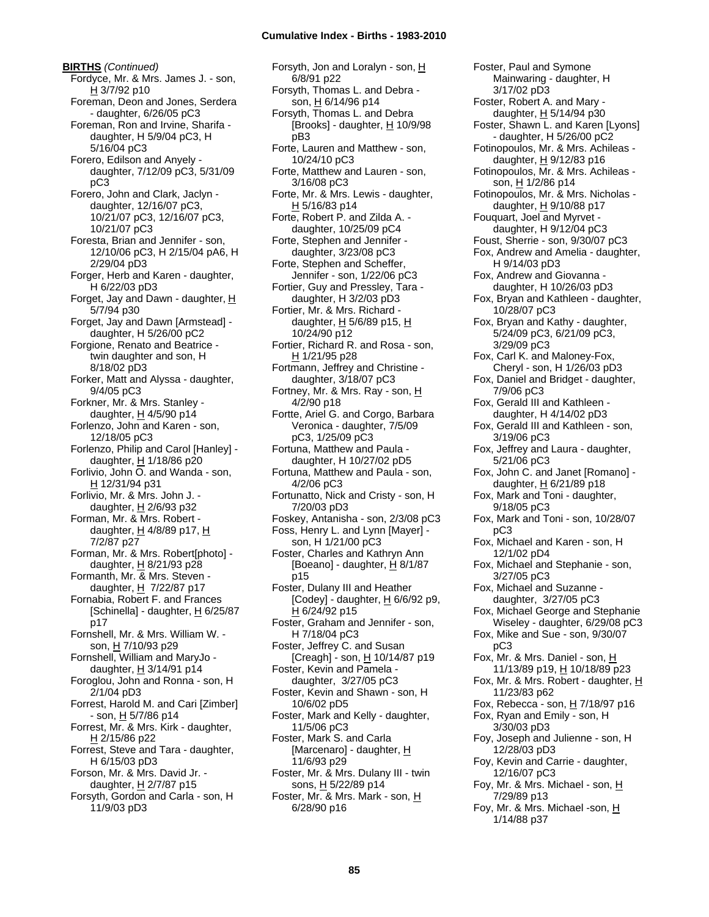**BIRTHS** *(Continued)* Fordyce, Mr. & Mrs. James J. - son,  $H$  3/7/92 p10 Foreman, Deon and Jones, Serdera - daughter, 6/26/05 pC3 Foreman, Ron and Irvine, Sharifa daughter, H 5/9/04 pC3, H 5/16/04 pC3 Forero, Edilson and Anyely daughter, 7/12/09 pC3, 5/31/09 pC3 Forero, John and Clark, Jaclyn daughter, 12/16/07 pC3, 10/21/07 pC3, 12/16/07 pC3, 10/21/07 pC3 Foresta, Brian and Jennifer - son, 12/10/06 pC3, H 2/15/04 pA6, H 2/29/04 pD3 Forger, Herb and Karen - daughter, H 6/22/03 pD3 Forget, Jay and Dawn - daughter,  $H$ 5/7/94 p30 Forget, Jay and Dawn [Armstead] daughter, H 5/26/00 pC2 Forgione, Renato and Beatrice twin daughter and son, H 8/18/02 pD3 Forker, Matt and Alyssa - daughter, 9/4/05 pC3 Forkner, Mr. & Mrs. Stanley daughter,  $H$  4/5/90 p14 Forlenzo, John and Karen - son, 12/18/05 pC3 Forlenzo, Philip and Carol [Hanley] daughter, H 1/18/86 p20 Forlivio, John O. and Wanda - son, H 12/31/94 p31 Forlivio, Mr. & Mrs. John J. daughter,  $H$  2/6/93 p32 Forman, Mr. & Mrs. Robert daughter,  $H$  4/8/89 p17,  $H$ 7/2/87 p27 Forman, Mr. & Mrs. Robert[photo] daughter, H 8/21/93 p28 Formanth, Mr. & Mrs. Steven daughter,  $H$  7/22/87 p17 Fornabia, Robert F. and Frances [Schinella] - daughter,  $\underline{H}$  6/25/87 p17 Fornshell, Mr. & Mrs. William W. son, H 7/10/93 p29 Fornshell, William and MaryJo daughter,  $H$  3/14/91 p14 Foroglou, John and Ronna - son, H 2/1/04 pD3 Forrest, Harold M. and Cari [Zimber]  $-$  son,  $\underline{H}$  5/7/86 p14 Forrest, Mr. & Mrs. Kirk - daughter, H 2/15/86 p22 Forrest, Steve and Tara - daughter, H 6/15/03 pD3 Forson, Mr. & Mrs. David Jr. daughter, H 2/7/87 p15 Forsyth, Gordon and Carla - son, H 11/9/03 pD3

Forsyth, Jon and Loralyn - son, H 6/8/91 p22 Forsyth, Thomas L. and Debra son,  $H_6$ /14/96 p14 Forsyth, Thomas L. and Debra [Brooks] - daughter, H 10/9/98 pB3 Forte, Lauren and Matthew - son, 10/24/10 pC3 Forte, Matthew and Lauren - son, 3/16/08 pC3 Forte, Mr. & Mrs. Lewis - daughter,  $H$  5/16/83 p14 Forte, Robert P. and Zilda A. daughter, 10/25/09 pC4 Forte, Stephen and Jennifer daughter, 3/23/08 pC3 Forte, Stephen and Scheffer, Jennifer - son, 1/22/06 pC3 Fortier, Guy and Pressley, Tara daughter, H 3/2/03 pD3 Fortier, Mr. & Mrs. Richard daughter,  $\underline{H}$  5/6/89 p15,  $\underline{H}$ 10/24/90 p12 Fortier, Richard R. and Rosa - son, H 1/21/95 p28 Fortmann, Jeffrey and Christine daughter, 3/18/07 pC3 Fortney, Mr. & Mrs. Ray - son, H 4/2/90 p18 Fortte, Ariel G. and Corgo, Barbara Veronica - daughter, 7/5/09 pC3, 1/25/09 pC3 Fortuna, Matthew and Paula daughter, H 10/27/02 pD5 Fortuna, Matthew and Paula - son, 4/2/06 pC3 Fortunatto, Nick and Cristy - son, H 7/20/03 pD3 Foskey, Antanisha - son, 2/3/08 pC3 Foss, Henry L. and Lynn [Mayer] son, H 1/21/00 pC3 Foster, Charles and Kathryn Ann [Boeano] - daughter, H 8/1/87 p15 Foster, Dulany III and Heather [Codey] - daughter,  $H$  6/6/92 p9, H 6/24/92 p15 Foster, Graham and Jennifer - son, H 7/18/04 pC3 Foster, Jeffrey C. and Susan [Creagh] - son, H 10/14/87 p19 Foster, Kevin and Pamela daughter, 3/27/05 pC3 Foster, Kevin and Shawn - son, H 10/6/02 pD5 Foster, Mark and Kelly - daughter, 11/5/06 pC3 Foster, Mark S. and Carla [Marcenaro] - daughter, H 11/6/93 p29 Foster, Mr. & Mrs. Dulany III - twin sons, H 5/22/89 p14 Foster, Mr. & Mrs. Mark - son, H 6/28/90 p16

Foster, Paul and Symone Mainwaring - daughter, H 3/17/02 pD3 Foster, Robert A. and Mary daughter, H 5/14/94 p30 Foster, Shawn L. and Karen [Lyons] - daughter, H 5/26/00 pC2 Fotinopoulos, Mr. & Mrs. Achileas daughter,  $H$  9/12/83 p16 Fotinopoulos, Mr. & Mrs. Achileas son, H 1/2/86 p14 Fotinopoulos, Mr. & Mrs. Nicholas daughter,  $H$  9/10/88 p17 Fouquart, Joel and Myrvet daughter, H 9/12/04 pC3 Foust, Sherrie - son, 9/30/07 pC3 Fox, Andrew and Amelia - daughter, H 9/14/03 pD3 Fox, Andrew and Giovanna daughter, H 10/26/03 pD3 Fox, Bryan and Kathleen - daughter, 10/28/07 pC3 Fox, Bryan and Kathy - daughter, 5/24/09 pC3, 6/21/09 pC3, 3/29/09 pC3 Fox, Carl K. and Maloney-Fox, Cheryl - son, H 1/26/03 pD3 Fox, Daniel and Bridget - daughter, 7/9/06 pC3 Fox, Gerald III and Kathleen daughter, H 4/14/02 pD3 Fox, Gerald III and Kathleen - son, 3/19/06 pC3 Fox, Jeffrey and Laura - daughter, 5/21/06 pC3 Fox, John C. and Janet [Romano] daughter,  $H$  6/21/89 p18 Fox, Mark and Toni - daughter, 9/18/05 pC3 Fox, Mark and Toni - son, 10/28/07 pC3 Fox, Michael and Karen - son, H 12/1/02 pD4 Fox, Michael and Stephanie - son, 3/27/05 pC3 Fox, Michael and Suzanne daughter, 3/27/05 pC3 Fox, Michael George and Stephanie Wiseley - daughter, 6/29/08 pC3 Fox, Mike and Sue - son, 9/30/07 pC3 Fox, Mr. & Mrs. Daniel - son, H 11/13/89 p19, H 10/18/89 p23 Fox, Mr. & Mrs. Robert - daughter, H 11/23/83 p62 Fox, Rebecca - son, H 7/18/97 p16 Fox, Ryan and Emily - son, H 3/30/03 pD3 Foy, Joseph and Julienne - son, H 12/28/03 pD3 Foy, Kevin and Carrie - daughter, 12/16/07 pC3 Foy, Mr. & Mrs. Michael - son, H 7/29/89 p13 Foy, Mr. & Mrs. Michael -son, H 1/14/88 p37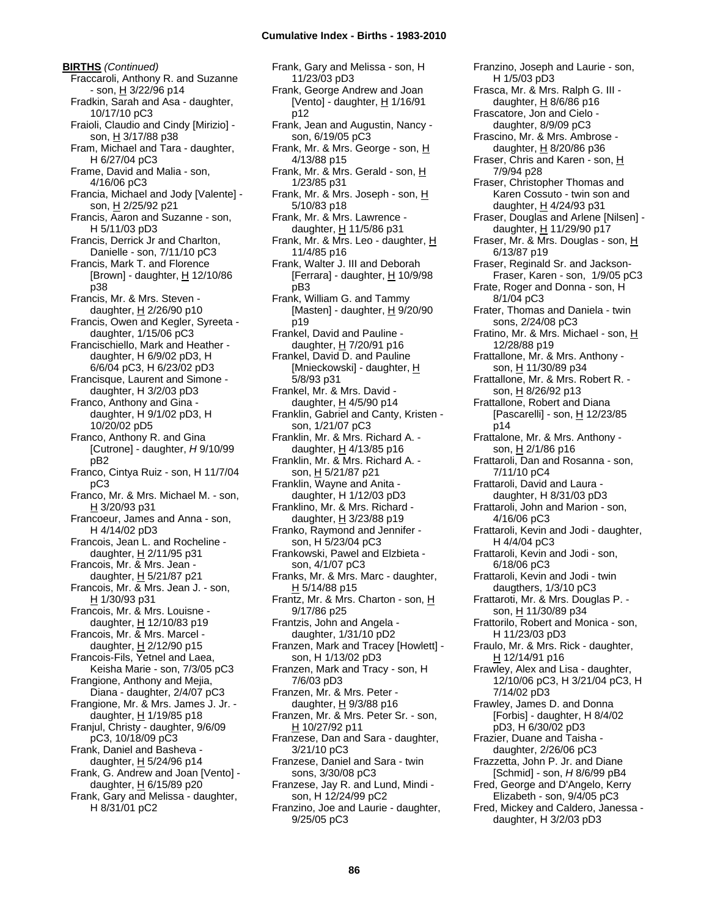**BIRTHS** *(Continued)* Fraccaroli, Anthony R. and Suzanne - son, <u>H</u> 3/22/96 p14 Fradkin, Sarah and Asa - daughter, 10/17/10 pC3 Fraioli, Claudio and Cindy [Mirizio] son, H 3/17/88 p38 Fram, Michael and Tara - daughter, H 6/27/04 pC3 Frame, David and Malia - son, 4/16/06 pC3 Francia, Michael and Jody [Valente] son, H 2/25/92 p21 Francis, Aaron and Suzanne - son, H 5/11/03 pD3 Francis, Derrick Jr and Charlton, Danielle - son, 7/11/10 pC3 Francis, Mark T. and Florence [Brown] - daughter, H 12/10/86 p38 Francis, Mr. & Mrs. Steven daughter, H 2/26/90 p10 Francis, Owen and Kegler, Syreeta daughter, 1/15/06 pC3 Francischiello, Mark and Heather daughter, H 6/9/02 pD3, H 6/6/04 pC3, H 6/23/02 pD3 Francisque, Laurent and Simone daughter, H 3/2/03 pD3 Franco, Anthony and Gina daughter, H 9/1/02 pD3, H 10/20/02 pD5 Franco, Anthony R. and Gina [Cutrone] - daughter, *H* 9/10/99 pB2 Franco, Cintya Ruiz - son, H 11/7/04 pC3 Franco, Mr. & Mrs. Michael M. - son, H 3/20/93 p31 Francoeur, James and Anna - son, H 4/14/02 pD3 Francois, Jean L. and Rocheline daughter, H 2/11/95 p31 Francois, Mr. & Mrs. Jean daughter,  $H$  5/21/87 p21 Francois, Mr. & Mrs. Jean J. - son, H 1/30/93 p31 Francois, Mr. & Mrs. Louisne daughter, H 12/10/83 p19 Francois, Mr. & Mrs. Marcel daughter,  $H$  2/12/90 p15 Francois-Fils, Yetnel and Laea, Keisha Marie - son, 7/3/05 pC3 Frangione, Anthony and Mejia, Diana - daughter, 2/4/07 pC3 Frangione, Mr. & Mrs. James J. Jr. daughter,  $H$  1/19/85 p18 Franjul, Christy - daughter, 9/6/09 pC3, 10/18/09 pC3 Frank, Daniel and Basheva daughter,  $H$  5/24/96 p14 Frank, G. Andrew and Joan [Vento] daughter, H 6/15/89 p20 Frank, Gary and Melissa - daughter, H 8/31/01 pC2

Frank, Gary and Melissa - son, H 11/23/03 pD3 Frank, George Andrew and Joan [Vento] - daughter,  $H$  1/16/91 p12 Frank, Jean and Augustin, Nancy son, 6/19/05 pC3 Frank, Mr. & Mrs. George - son, H 4/13/88 p15 Frank, Mr. & Mrs. Gerald - son, H 1/23/85 p31 Frank, Mr. & Mrs. Joseph - son, H 5/10/83 p18 Frank, Mr. & Mrs. Lawrence daughter,  $\underline{H}$  11/5/86 p31 Frank, Mr. & Mrs. Leo - daughter, H 11/4/85 p16 Frank, Walter J. III and Deborah [Ferrara] - daughter,  $H$  10/9/98 pB3 Frank, William G. and Tammy [Masten] - daughter,  $H$  9/20/90 p19 Frankel, David and Pauline daughter,  $H$  7/20/91 p16 Frankel, David D. and Pauline [Mnieckowski] - daughter, H 5/8/93 p31 Frankel, Mr. & Mrs. David daughter, H 4/5/90 p14 Franklin, Gabriel and Canty, Kristen son, 1/21/07 pC3 Franklin, Mr. & Mrs. Richard A. daughter, H 4/13/85 p16 Franklin, Mr. & Mrs. Richard A. son, H 5/21/87 p21 Franklin, Wayne and Anita daughter, H 1/12/03 pD3 Franklino, Mr. & Mrs. Richard daughter,  $H$  3/23/88 p19 Franko, Raymond and Jennifer son, H 5/23/04 pC3 Frankowski, Pawel and Elzbieta son, 4/1/07 pC3 Franks, Mr. & Mrs. Marc - daughter, H 5/14/88 p15 Frantz, Mr. & Mrs. Charton - son, H 9/17/86 p25 Frantzis, John and Angela daughter, 1/31/10 pD2 Franzen, Mark and Tracey [Howlett] son, H 1/13/02 pD3 Franzen, Mark and Tracy - son, H 7/6/03 pD3 Franzen, Mr. & Mrs. Peter daughter,  $H$  9/3/88 p16 Franzen, Mr. & Mrs. Peter Sr. - son, H 10/27/92 p11 Franzese, Dan and Sara - daughter, 3/21/10 pC3 Franzese, Daniel and Sara - twin sons, 3/30/08 pC3 Franzese, Jay R. and Lund, Mindi son, H 12/24/99 pC2 Franzino, Joe and Laurie - daughter, 9/25/05 pC3

Franzino, Joseph and Laurie - son, H 1/5/03 pD3 Frasca, Mr. & Mrs. Ralph G. III daughter, H 8/6/86 p16 Frascatore, Jon and Cielo daughter, 8/9/09 pC3 Frascino, Mr. & Mrs. Ambrose daughter, H 8/20/86 p36 Fraser, Chris and Karen - son, H 7/9/94 p28 Fraser, Christopher Thomas and Karen Cossuto - twin son and daughter,  $H$  4/24/93 p31 Fraser, Douglas and Arlene [Nilsen] daughter, H 11/29/90 p17 Fraser, Mr. & Mrs. Douglas - son, H 6/13/87 p19 Fraser, Reginald Sr. and Jackson-Fraser, Karen - son, 1/9/05 pC3 Frate, Roger and Donna - son, H 8/1/04 pC3 Frater, Thomas and Daniela - twin sons, 2/24/08 pC3 Fratino, Mr. & Mrs. Michael - son, H 12/28/88 p19 Frattallone, Mr. & Mrs. Anthony son, H 11/30/89 p34 Frattallone, Mr. & Mrs. Robert R. son, H 8/26/92 p13 Frattallone, Robert and Diana [Pascarelli] - son,  $H$  12/23/85 p14 Frattalone, Mr. & Mrs. Anthony son, H 2/1/86 p16 Frattaroli, Dan and Rosanna - son, 7/11/10 pC4 Frattaroli, David and Laura daughter, H 8/31/03 pD3 Frattaroli, John and Marion - son, 4/16/06 pC3 Frattaroli, Kevin and Jodi - daughter, H 4/4/04 pC3 Frattaroli, Kevin and Jodi - son, 6/18/06 pC3 Frattaroli, Kevin and Jodi - twin daugthers, 1/3/10 pC3 Frattaroti, Mr. & Mrs. Douglas P. son, H 11/30/89 p34 Frattorilo, Robert and Monica - son, H 11/23/03 pD3 Fraulo, Mr. & Mrs. Rick - daughter, H 12/14/91 p16 Frawley, Alex and Lisa - daughter, 12/10/06 pC3, H 3/21/04 pC3, H 7/14/02 pD3 Frawley, James D. and Donna [Forbis] - daughter, H 8/4/02 pD3, H 6/30/02 pD3 Frazier, Duane and Taisha daughter, 2/26/06 pC3 Frazzetta, John P. Jr. and Diane [Schmid] - son, *H* 8/6/99 pB4 Fred, George and D'Angelo, Kerry Elizabeth - son, 9/4/05 pC3 Fred, Mickey and Caldero, Janessa daughter, H 3/2/03 pD3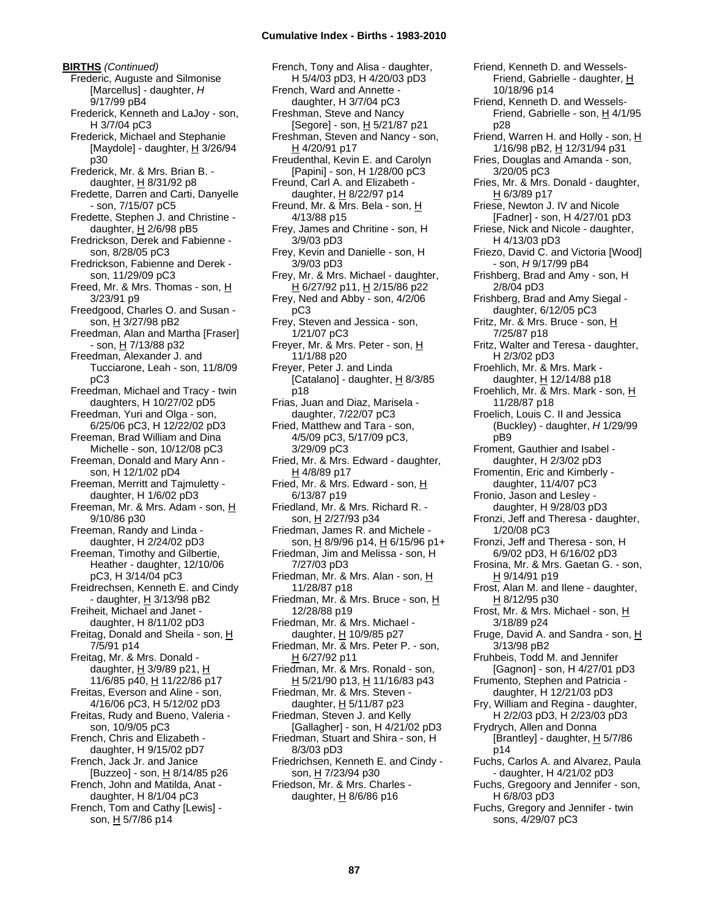**BIRTHS** *(Continued)* Frederic, Auguste and Silmonise [Marcellus] - daughter, *H* 9/17/99 pB4 Frederick, Kenneth and LaJoy - son, H 3/7/04 pC3 Frederick, Michael and Stephanie [Maydole] - daughter, H 3/26/94 p30 Frederick, Mr. & Mrs. Brian B. daughter, H 8/31/92 p8 Fredette, Darren and Carti, Danyelle - son, 7/15/07 pC5 Fredette, Stephen J. and Christine daughter, H 2/6/98 pB5 Fredrickson, Derek and Fabienne son, 8/28/05 pC3 Fredrickson, Fabienne and Derek son, 11/29/09 pC3 Freed, Mr. & Mrs. Thomas - son, H 3/23/91 p9 Freedgood, Charles O. and Susan son, H 3/27/98 pB2 Freedman, Alan and Martha [Fraser]  $-$  son, H 7/13/88 p32 Freedman, Alexander J. and Tucciarone, Leah - son, 11/8/09 pC3 Freedman, Michael and Tracy - twin daughters, H 10/27/02 pD5 Freedman, Yuri and Olga - son, 6/25/06 pC3, H 12/22/02 pD3 Freeman, Brad William and Dina Michelle - son, 10/12/08 pC3 Freeman, Donald and Mary Ann son, H 12/1/02 pD4 Freeman, Merritt and Tajmuletty daughter, H 1/6/02 pD3 Freeman, Mr. & Mrs. Adam - son, H 9/10/86 p30 Freeman, Randy and Linda daughter, H 2/24/02 pD3 Freeman, Timothy and Gilbertie, Heather - daughter, 12/10/06 pC3, H 3/14/04 pC3 Freidrechsen, Kenneth E. and Cindy - daughter, H 3/13/98 pB2 Freiheit, Michael and Janet daughter, H 8/11/02 pD3 Freitag, Donald and Sheila - son, H 7/5/91 p14 Freitag, Mr. & Mrs. Donald daughter, H 3/9/89 p21, H 11/6/85 p40, H 11/22/86 p17 Freitas, Everson and Aline - son, 4/16/06 pC3, H 5/12/02 pD3 Freitas, Rudy and Bueno, Valeria son, 10/9/05 pC3 French, Chris and Elizabeth daughter, H 9/15/02 pD7 French, Jack Jr. and Janice [Buzzeo] - son, H 8/14/85 p26 French, John and Matilda, Anat daughter, H 8/1/04 pC3 French, Tom and Cathy [Lewis] son, H 5/7/86 p14

French, Tony and Alisa - daughter, H 5/4/03 pD3, H 4/20/03 pD3 French, Ward and Annette daughter, H 3/7/04 pC3 Freshman, Steve and Nancy [Segore] - son, H 5/21/87 p21 Freshman, Steven and Nancy - son, H 4/20/91 p17 Freudenthal, Kevin E. and Carolyn [Papini] - son, H 1/28/00 pC3 Freund, Carl A. and Elizabeth daughter,  $H$  8/22/97 p14 Freund, Mr. & Mrs. Bela - son, H 4/13/88 p15 Frey, James and Chritine - son, H 3/9/03 pD3 Frey, Kevin and Danielle - son, H 3/9/03 pD3 Frey, Mr. & Mrs. Michael - daughter, H 6/27/92 p11, H 2/15/86 p22 Frey, Ned and Abby - son, 4/2/06 pC3 Frey, Steven and Jessica - son, 1/21/07 pC3 Freyer, Mr. & Mrs. Peter - son, H 11/1/88 p20 Freyer, Peter J. and Linda [Catalano] - daughter,  $H_8$  8/3/85 p18 Frias, Juan and Diaz, Marisela daughter, 7/22/07 pC3 Fried, Matthew and Tara - son, 4/5/09 pC3, 5/17/09 pC3, 3/29/09 pC3 Fried, Mr. & Mrs. Edward - daughter, H 4/8/89 p17 Fried, Mr. & Mrs. Edward - son, H 6/13/87 p19 Friedland, Mr. & Mrs. Richard R. son, H 2/27/93 p34 Friedman, James R. and Michele son, H 8/9/96 p14, H 6/15/96 p1+ Friedman, Jim and Melissa - son, H 7/27/03 pD3 Friedman, Mr. & Mrs. Alan - son, H 11/28/87 p18 Friedman, Mr. & Mrs. Bruce - son, H 12/28/88 p19 Friedman, Mr. & Mrs. Michael daughter, H 10/9/85 p27 Friedman, Mr. & Mrs. Peter P. - son, H 6/27/92 p11 Friedman, Mr. & Mrs. Ronald - son,  $H$  5/21/90 p13,  $H$  11/16/83 p43 Friedman, Mr. & Mrs. Steven daughter,  $H$  5/11/87 p23 Friedman, Steven J. and Kelly [Gallagher] - son, H 4/21/02 pD3 Friedman, Stuart and Shira - son, H 8/3/03 pD3 Friedrichsen, Kenneth E. and Cindy son, H 7/23/94 p30 Friedson, Mr. & Mrs. Charles daughter,  $H$  8/6/86 p16

Friend, Kenneth D. and Wessels-Friend, Gabrielle - daughter, H 10/18/96 p14 Friend, Kenneth D. and Wessels-Friend, Gabrielle - son, H 4/1/95 p28 Friend, Warren H. and Holly - son, H 1/16/98 pB2, H 12/31/94 p31 Fries, Douglas and Amanda - son, 3/20/05 pC3 Fries, Mr. & Mrs. Donald - daughter,  $H$  6/3/89 p17 Friese, Newton J. IV and Nicole [Fadner] - son, H 4/27/01 pD3 Friese, Nick and Nicole - daughter, H 4/13/03 pD3 Friezo, David C. and Victoria [Wood] - son, *H* 9/17/99 pB4 Frishberg, Brad and Amy - son, H 2/8/04 pD3 Frishberg, Brad and Amy Siegal daughter, 6/12/05 pC3 Fritz, Mr. & Mrs. Bruce - son, H 7/25/87 p18 Fritz, Walter and Teresa - daughter, H 2/3/02 pD3 Froehlich, Mr. & Mrs. Mark daughter, H 12/14/88 p18 Froehlich, Mr. & Mrs. Mark - son, H 11/28/87 p18 Froelich, Louis C. II and Jessica (Buckley) - daughter, *H* 1/29/99 pB9 Froment, Gauthier and Isabel daughter, H 2/3/02 pD3 Fromentin, Eric and Kimberly daughter, 11/4/07 pC3 Fronio, Jason and Lesley daughter, H 9/28/03 pD3 Fronzi, Jeff and Theresa - daughter, 1/20/08 pC3 Fronzi, Jeff and Theresa - son, H 6/9/02 pD3, H 6/16/02 pD3 Frosina, Mr. & Mrs. Gaetan G. - son, H 9/14/91 p19 Frost, Alan M. and Ilene - daughter, H 8/12/95 p30 Frost, Mr. & Mrs. Michael - son, H 3/18/89 p24 Fruge, David A. and Sandra - son, H 3/13/98 pB2 Fruhbeis, Todd M. and Jennifer [Gagnon] - son, H 4/27/01 pD3 Frumento, Stephen and Patricia daughter, H 12/21/03 pD3 Fry, William and Regina - daughter, H 2/2/03 pD3, H 2/23/03 pD3 Frydrych, Allen and Donna [Brantley] - daughter,  $H$  5/7/86 p14 Fuchs, Carlos A. and Alvarez, Paula - daughter, H 4/21/02 pD3 Fuchs, Gregoory and Jennifer - son, H 6/8/03 pD3 Fuchs, Gregory and Jennifer - twin sons, 4/29/07 pC3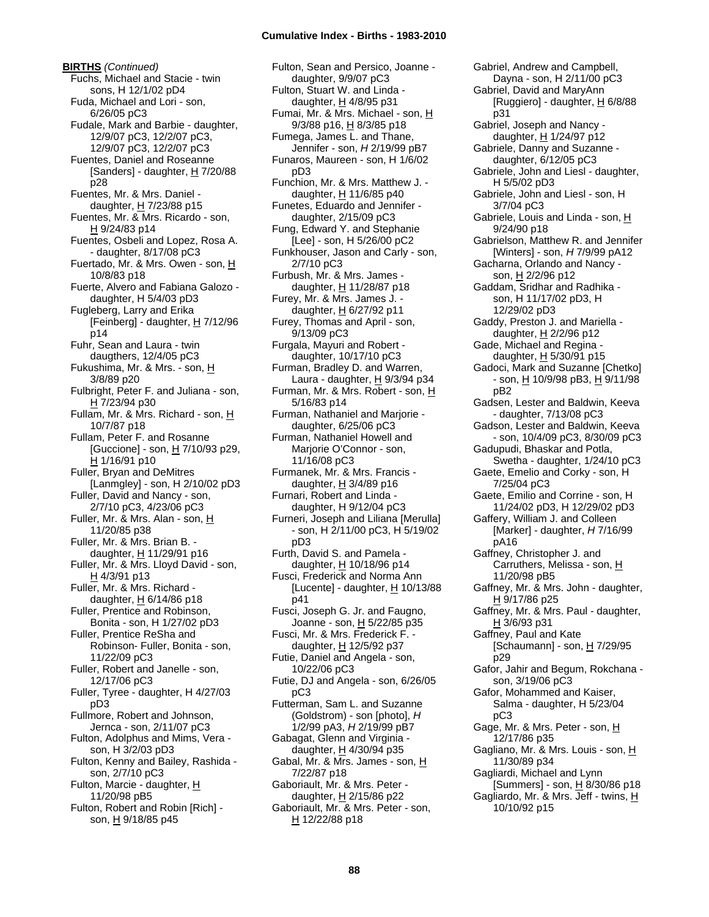**BIRTHS** *(Continued)* Fuchs, Michael and Stacie - twin sons, H 12/1/02 pD4 Fuda, Michael and Lori - son, 6/26/05 pC3 Fudale, Mark and Barbie - daughter, 12/9/07 pC3, 12/2/07 pC3, 12/9/07 pC3, 12/2/07 pC3 Fuentes, Daniel and Roseanne [Sanders] - daughter,  $H$  7/20/88 p28 Fuentes, Mr. & Mrs. Daniel daughter,  $H$  7/23/88 p15 Fuentes, Mr. & Mrs. Ricardo - son, H 9/24/83 p14 Fuentes, Osbeli and Lopez, Rosa A. - daughter, 8/17/08 pC3 Fuertado, Mr. & Mrs. Owen - son, H 10/8/83 p18 Fuerte, Alvero and Fabiana Galozo daughter, H 5/4/03 pD3 Fugleberg, Larry and Erika [Feinberg] - daughter,  $H$  7/12/96 p14 Fuhr, Sean and Laura - twin daugthers, 12/4/05 pC3 Fukushima, Mr. & Mrs. - son, H 3/8/89 p20 Fulbright, Peter F. and Juliana - son, H 7/23/94 p30 Fullam, Mr. & Mrs. Richard - son, H 10/7/87 p18 Fullam, Peter F. and Rosanne [Guccione] - son,  $H$  7/10/93 p29, H 1/16/91 p10 Fuller, Bryan and DeMitres [Lanmgley] - son, H 2/10/02 pD3 Fuller, David and Nancy - son, 2/7/10 pC3, 4/23/06 pC3 Fuller, Mr. & Mrs. Alan - son, H 11/20/85 p38 Fuller, Mr. & Mrs. Brian B. daughter,  $H$  11/29/91 p16 Fuller, Mr. & Mrs. Lloyd David - son, H 4/3/91 p13 Fuller, Mr. & Mrs. Richard daughter, H 6/14/86 p18 Fuller, Prentice and Robinson, Bonita - son, H 1/27/02 pD3 Fuller, Prentice ReSha and Robinson- Fuller, Bonita - son, 11/22/09 pC3 Fuller, Robert and Janelle - son, 12/17/06 pC3 Fuller, Tyree - daughter, H 4/27/03 pD3 Fullmore, Robert and Johnson, Jernca - son, 2/11/07 pC3 Fulton, Adolphus and Mims, Vera son, H 3/2/03 pD3 Fulton, Kenny and Bailey, Rashida son, 2/7/10 pC3 Fulton, Marcie - daughter, H 11/20/98 pB5 Fulton, Robert and Robin [Rich] son, H 9/18/85 p45

Fulton, Sean and Persico, Joanne daughter, 9/9/07 pC3 Fulton, Stuart W. and Linda daughter,  $H$  4/8/95 p31 Fumai, Mr. & Mrs. Michael - son, H 9/3/88 p16, H 8/3/85 p18 Fumega, James L. and Thane, Jennifer - son, *H* 2/19/99 pB7 Funaros, Maureen - son, H 1/6/02 pD3 Funchion, Mr. & Mrs. Matthew J. daughter,  $H$  11/6/85 p40 Funetes, Eduardo and Jennifer daughter, 2/15/09 pC3 Fung, Edward Y. and Stephanie [Lee] - son, H 5/26/00 pC2 Funkhouser, Jason and Carly - son, 2/7/10 pC3 Furbush, Mr. & Mrs. James daughter, H 11/28/87 p18 Furey, Mr. & Mrs. James J. daughter,  $H$  6/27/92 p11 Furey, Thomas and April - son, 9/13/09 pC3 Furgala, Mayuri and Robert daughter, 10/17/10 pC3 Furman, Bradley D. and Warren, Laura - daughter,  $H$  9/3/94 p34 Furman, Mr. & Mrs. Robert - son, H 5/16/83 p14 Furman, Nathaniel and Marjorie daughter, 6/25/06 pC3 Furman, Nathaniel Howell and Marjorie O'Connor - son, 11/16/08 pC3 Furmanek, Mr. & Mrs. Francis daughter,  $\underline{H}$  3/4/89 p16 Furnari, Robert and Linda daughter, H 9/12/04 pC3 Furneri, Joseph and Liliana [Merulla] - son, H 2/11/00 pC3, H 5/19/02 pD3 Furth, David S. and Pamela daughter, H 10/18/96 p14 Fusci, Frederick and Norma Ann [Lucente] - daughter,  $\underline{H}$  10/13/88 p41 Fusci, Joseph G. Jr. and Faugno, Joanne - son, H 5/22/85 p35 Fusci, Mr. & Mrs. Frederick F. daughter,  $H$  12/5/92 p37 Futie, Daniel and Angela - son, 10/22/06 pC3 Futie, DJ and Angela - son, 6/26/05 pC3 Futterman, Sam L. and Suzanne (Goldstrom) - son [photo], *H* 1/2/99 pA3, *H* 2/19/99 pB7 Gabagat, Glenn and Virginia daughter,  $H$  4/30/94 p35 Gabal, Mr. & Mrs. James - son, H 7/22/87 p18 Gaboriault, Mr. & Mrs. Peter daughter,  $H$  2/15/86 p22 Gaboriault, Mr. & Mrs. Peter - son, H 12/22/88 p18

Gabriel, Andrew and Campbell, Dayna - son, H 2/11/00 pC3 Gabriel, David and MaryAnn [Ruggiero] - daughter,  $H$  6/8/88 p31 Gabriel, Joseph and Nancy daughter, H 1/24/97 p12 Gabriele, Danny and Suzanne daughter, 6/12/05 pC3 Gabriele, John and Liesl - daughter, H 5/5/02 pD3 Gabriele, John and Liesl - son, H 3/7/04 pC3 Gabriele, Louis and Linda - son, H 9/24/90 p18 Gabrielson, Matthew R. and Jennifer [Winters] - son, *H* 7/9/99 pA12 Gacharna, Orlando and Nancy son, H 2/2/96 p12 Gaddam, Sridhar and Radhika son, H 11/17/02 pD3, H 12/29/02 pD3 Gaddy, Preston J. and Mariella daughter, H 2/2/96 p12 Gade, Michael and Regina daughter, H 5/30/91 p15 Gadoci, Mark and Suzanne [Chetko]  $-$  son,  $\underline{H}$  10/9/98 pB3,  $\underline{H}$  9/11/98 pB2 Gadsen, Lester and Baldwin, Keeva - daughter, 7/13/08 pC3 Gadson, Lester and Baldwin, Keeva - son, 10/4/09 pC3, 8/30/09 pC3 Gadupudi, Bhaskar and Potla, Swetha - daughter, 1/24/10 pC3 Gaete, Emelio and Corky - son, H 7/25/04 pC3 Gaete, Emilio and Corrine - son, H 11/24/02 pD3, H 12/29/02 pD3 Gaffery, William J. and Colleen [Marker] - daughter, *H* 7/16/99 pA16 Gaffney, Christopher J. and Carruthers, Melissa - son, H 11/20/98 pB5 Gaffney, Mr. & Mrs. John - daughter, H 9/17/86 p25 Gaffney, Mr. & Mrs. Paul - daughter, H 3/6/93 p31 Gaffney, Paul and Kate [Schaumann] - son,  $H$  7/29/95 p29 Gafor, Jahir and Begum, Rokchana son, 3/19/06 pC3 Gafor, Mohammed and Kaiser, Salma - daughter, H 5/23/04 pC3 Gage, Mr. & Mrs. Peter - son, H 12/17/86 p35 Gagliano, Mr. & Mrs. Louis - son, H 11/30/89 p34 Gagliardi, Michael and Lynn [Summers] - son, H 8/30/86 p18 Gagliardo, Mr. & Mrs. Jeff - twins,  $H$ 10/10/92 p15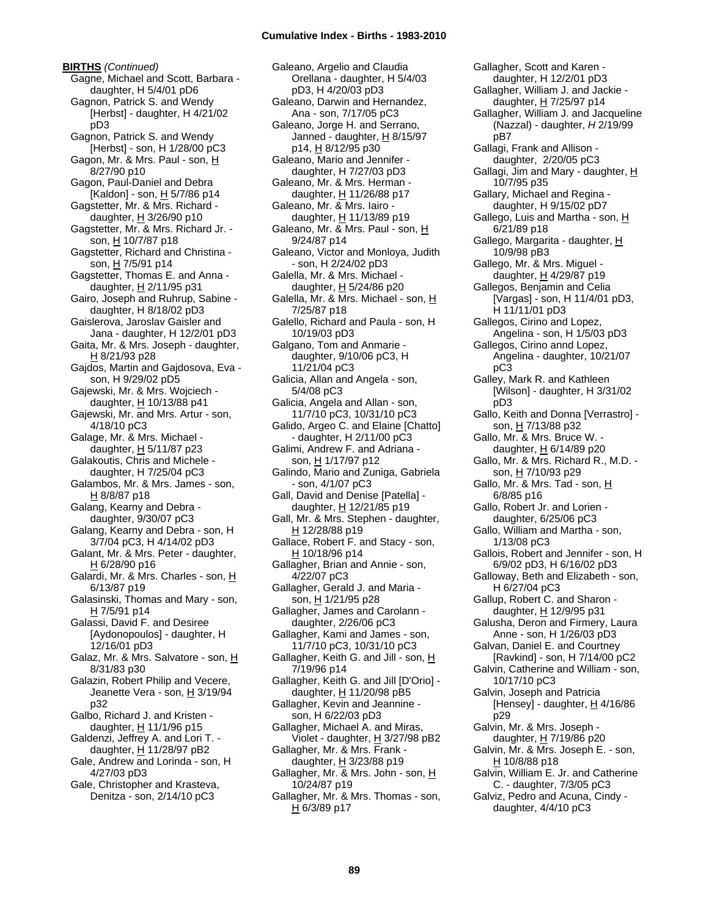**BIRTHS** *(Continued)* Gagne, Michael and Scott, Barbara daughter, H 5/4/01 pD6 Gagnon, Patrick S. and Wendy [Herbst] - daughter, H 4/21/02 pD3 Gagnon, Patrick S. and Wendy [Herbst] - son, H 1/28/00 pC3 Gagon, Mr. & Mrs. Paul - son, H 8/27/90 p10 Gagon, Paul-Daniel and Debra [Kaldon] - son,  $\underline{H}$  5/7/86 p14 Gagstetter, Mr. & Mrs. Richard daughter,  $H$  3/26/90 p10 Gagstetter, Mr. & Mrs. Richard Jr. son, H 10/7/87 p18 Gagstetter, Richard and Christina son, H 7/5/91 p14 Gagstetter, Thomas E. and Anna daughter, H 2/11/95 p31 Gairo, Joseph and Ruhrup, Sabine daughter, H 8/18/02 pD3 Gaislerova, Jaroslav Gaisler and Jana - daughter, H 12/2/01 pD3 Gaita, Mr. & Mrs. Joseph - daughter, H 8/21/93 p28 Gajdos, Martin and Gajdosova, Eva son, H 9/29/02 pD5 Gajewski, Mr. & Mrs. Wojciech daughter, H 10/13/88 p41 Gajewski, Mr. and Mrs. Artur - son, 4/18/10 pC3 Galage, Mr. & Mrs. Michael daughter, H 5/11/87 p23 Galakoutis, Chris and Michele daughter, H 7/25/04 pC3 Galambos, Mr. & Mrs. James - son, H 8/8/87 p18 Galang, Kearny and Debra daughter, 9/30/07 pC3 Galang, Kearny and Debra - son, H 3/7/04 pC3, H 4/14/02 pD3 Galant, Mr. & Mrs. Peter - daughter, H 6/28/90 p16 Galardi, Mr. & Mrs. Charles - son, H 6/13/87 p19 Galasinski, Thomas and Mary - son,  $H$  7/5/91 p14 Galassi, David F. and Desiree [Aydonopoulos] - daughter, H 12/16/01 pD3 Galaz, Mr. & Mrs. Salvatore - son, H 8/31/83 p30 Galazin, Robert Philip and Vecere, Jeanette Vera - son, H 3/19/94 p32 Galbo, Richard J. and Kristen daughter,  $H$  11/1/96 p15 Galdenzi, Jeffrey A. and Lori T. daughter, H 11/28/97 pB2 Gale, Andrew and Lorinda - son, H 4/27/03 pD3 Gale, Christopher and Krasteva, Denitza - son, 2/14/10 pC3

Galeano, Argelio and Claudia Orellana - daughter, H 5/4/03 pD3, H 4/20/03 pD3 Galeano, Darwin and Hernandez, Ana - son, 7/17/05 pC3 Galeano, Jorge H. and Serrano, Janned - daughter,  $H$  8/15/97 p14, H 8/12/95 p30 Galeano, Mario and Jennifer daughter, H 7/27/03 pD3 Galeano, Mr. & Mrs. Herman daughter, H 11/26/88 p17 Galeano, Mr. & Mrs. Iairo daughter, H 11/13/89 p19 Galeano, Mr. & Mrs. Paul - son, H 9/24/87 p14 Galeano, Victor and Monloya, Judith - son, H 2/24/02 pD3 Galella, Mr. & Mrs. Michael daughter, H 5/24/86 p20 Galella, Mr. & Mrs. Michael - son, H 7/25/87 p18 Galello, Richard and Paula - son, H 10/19/03 pD3 Galgano, Tom and Anmarie daughter, 9/10/06 pC3, H 11/21/04 pC3 Galicia, Allan and Angela - son, 5/4/08 pC3 Galicia, Angela and Allan - son, 11/7/10 pC3, 10/31/10 pC3 Galido, Argeo C. and Elaine [Chatto] - daughter, H 2/11/00 pC3 Galimi, Andrew F. and Adriana son, H 1/17/97 p12 Galindo, Mario and Zuniga, Gabriela - son, 4/1/07 pC3 Gall, David and Denise [Patella] daughter, H 12/21/85 p19 Gall, Mr. & Mrs. Stephen - daughter, H 12/28/88 p19 Gallace, Robert F. and Stacy - son, H 10/18/96 p14 Gallagher, Brian and Annie - son, 4/22/07 pC3 Gallagher, Gerald J. and Maria son, H 1/21/95 p28 Gallagher, James and Carolann daughter, 2/26/06 pC3 Gallagher, Kami and James - son, 11/7/10 pC3, 10/31/10 pC3 Gallagher, Keith G. and Jill - son, H 7/19/96 p14 Gallagher, Keith G. and Jill [D'Orio] daughter, H 11/20/98 pB5 Gallagher, Kevin and Jeannine son, H 6/22/03 pD3 Gallagher, Michael A. and Miras, Violet - daughter,  $H$  3/27/98 pB2 Gallagher, Mr. & Mrs. Frank daughter,  $H$  3/23/88 p19 Gallagher, Mr. & Mrs. John - son, H 10/24/87 p19 Gallagher, Mr. & Mrs. Thomas - son, H 6/3/89 p17

Gallagher, Scott and Karen daughter, H 12/2/01 pD3 Gallagher, William J. and Jackie daughter, H 7/25/97 p14 Gallagher, William J. and Jacqueline (Nazzal) - daughter, *H* 2/19/99 pB7 Gallagi, Frank and Allison daughter, 2/20/05 pC3 Gallagi, Jim and Mary - daughter, H 10/7/95 p35 Gallary, Michael and Regina daughter, H 9/15/02 pD7 Gallego, Luis and Martha - son, H 6/21/89 p18 Gallego, Margarita - daughter, H 10/9/98 pB3 Gallego, Mr. & Mrs. Miguel daughter,  $H$  4/29/87 p19 Gallegos, Benjamin and Celia [Vargas] - son, H 11/4/01 pD3, H 11/11/01 pD3 Gallegos, Cirino and Lopez, Angelina - son, H 1/5/03 pD3 Gallegos, Cirino annd Lopez, Angelina - daughter, 10/21/07 pC3 Galley, Mark R. and Kathleen [Wilson] - daughter, H 3/31/02 pD3 Gallo, Keith and Donna [Verrastro] son, H 7/13/88 p32 Gallo, Mr. & Mrs. Bruce W. daughter,  $H$  6/14/89 p20 Gallo, Mr. & Mrs. Richard R., M.D. son, <u>H</u> 7/10/93 p29 Gallo, Mr. & Mrs. Tad - son, H 6/8/85 p16 Gallo, Robert Jr. and Lorien daughter, 6/25/06 pC3 Gallo, William and Martha - son, 1/13/08 pC3 Gallois, Robert and Jennifer - son, H 6/9/02 pD3, H 6/16/02 pD3 Galloway, Beth and Elizabeth - son, H 6/27/04 pC3 Gallup, Robert C. and Sharon daughter, H 12/9/95 p31 Galusha, Deron and Firmery, Laura Anne - son, H 1/26/03 pD3 Galvan, Daniel E. and Courtney [Ravkind] - son, H 7/14/00 pC2 Galvin, Catherine and William - son, 10/17/10 pC3 Galvin, Joseph and Patricia [Hensey] - daughter,  $\underline{H}$  4/16/86 p29 Galvin, Mr. & Mrs. Joseph daughter, H 7/19/86 p20 Galvin, Mr. & Mrs. Joseph E. - son, H 10/8/88 p18 Galvin, William E. Jr. and Catherine C. - daughter, 7/3/05 pC3 Galviz, Pedro and Acuna, Cindy daughter, 4/4/10 pC3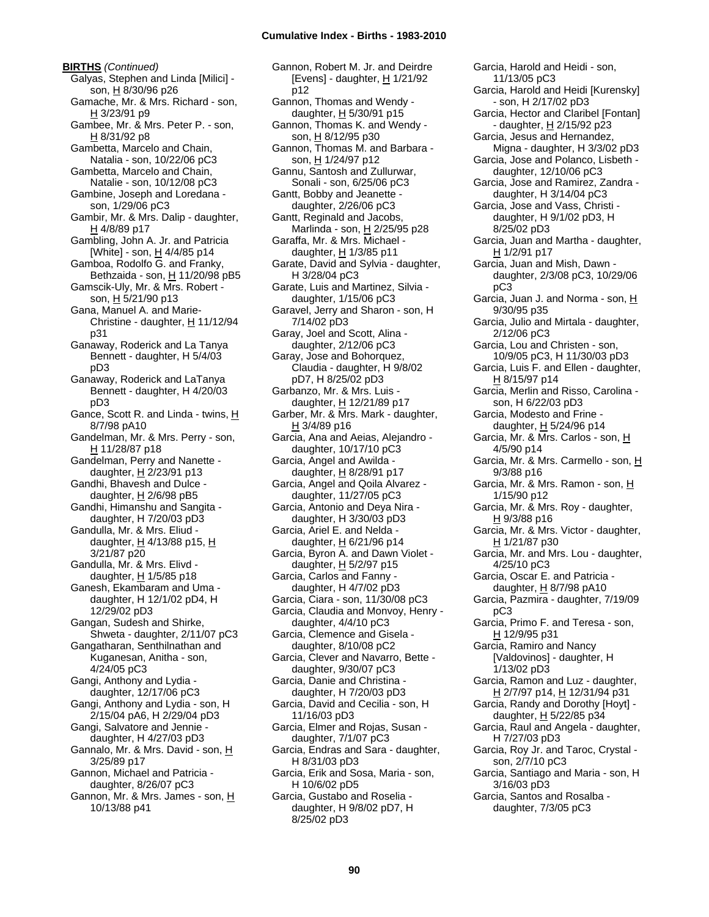**BIRTHS** *(Continued)* Galyas, Stephen and Linda [Milici] son, H 8/30/96 p26 Gamache, Mr. & Mrs. Richard - son, H 3/23/91 p9 Gambee, Mr. & Mrs. Peter P. - son, H 8/31/92 p8 Gambetta, Marcelo and Chain, Natalia - son, 10/22/06 pC3 Gambetta, Marcelo and Chain, Natalie - son, 10/12/08 pC3 Gambine, Joseph and Loredana son, 1/29/06 pC3 Gambir, Mr. & Mrs. Dalip - daughter, H 4/8/89 p17 Gambling, John A. Jr. and Patricia [White] - son, H 4/4/85 p14 Gamboa, Rodolfo G. and Franky, Bethzaida - son,  $H$  11/20/98 pB5 Gamscik-Uly, Mr. & Mrs. Robert son, H 5/21/90 p13 Gana, Manuel A. and Marie-Christine - daughter,  $H$  11/12/94 p31 Ganaway, Roderick and La Tanya Bennett - daughter, H 5/4/03 pD3 Ganaway, Roderick and LaTanya Bennett - daughter, H 4/20/03 pD3 Gance, Scott R. and Linda - twins, H 8/7/98 pA10 Gandelman, Mr. & Mrs. Perry - son, H 11/28/87 p18 Gandelman, Perry and Nanette daughter,  $H$  2/23/91 p13 Gandhi, Bhavesh and Dulce daughter, H 2/6/98 pB5 Gandhi, Himanshu and Sangita daughter, H 7/20/03 pD3 Gandulla, Mr. & Mrs. Eliud daughter,  $H$  4/13/88 p15,  $H$ 3/21/87 p20 Gandulla, Mr. & Mrs. Elivd daughter, H 1/5/85 p18 Ganesh, Ekambaram and Uma daughter, H 12/1/02 pD4, H 12/29/02 pD3 Gangan, Sudesh and Shirke, Shweta - daughter, 2/11/07 pC3 Gangatharan, Senthilnathan and Kuganesan, Anitha - son, 4/24/05 pC3 Gangi, Anthony and Lydia daughter, 12/17/06 pC3 Gangi, Anthony and Lydia - son, H 2/15/04 pA6, H 2/29/04 pD3 Gangi, Salvatore and Jennie daughter, H 4/27/03 pD3 Gannalo, Mr. & Mrs. David - son, H 3/25/89 p17 Gannon, Michael and Patricia daughter, 8/26/07 pC3 Gannon, Mr. & Mrs. James - son, H 10/13/88 p41

Gannon, Robert M. Jr. and Deirdre [Evens] - daughter, H 1/21/92 p12 Gannon, Thomas and Wendy daughter, H 5/30/91 p15 Gannon, Thomas K. and Wendy son, H 8/12/95 p30 Gannon, Thomas M. and Barbara son, H 1/24/97 p12 Gannu, Santosh and Zullurwar, Sonali - son, 6/25/06 pC3 Gantt, Bobby and Jeanette daughter, 2/26/06 pC3 Gantt, Reginald and Jacobs, Marlinda - son, H 2/25/95 p28 Garaffa, Mr. & Mrs. Michael daughter, H 1/3/85 p11 Garate, David and Sylvia - daughter, H 3/28/04 pC3 Garate, Luis and Martinez, Silvia daughter, 1/15/06 pC3 Garavel, Jerry and Sharon - son, H 7/14/02 pD3 Garay, Joel and Scott, Alina daughter, 2/12/06 pC3 Garay, Jose and Bohorquez, Claudia - daughter, H 9/8/02 pD7, H 8/25/02 pD3 Garbanzo, Mr. & Mrs. Luis daughter, H 12/21/89 p17 Garber, Mr. & Mrs. Mark - daughter, H 3/4/89 p16 Garcia, Ana and Aeias, Alejandro daughter, 10/17/10 pC3 Garcia, Angel and Awilda daughter, H 8/28/91 p17 Garcia, Angel and Qoila Alvarez daughter, 11/27/05 pC3 Garcia, Antonio and Deya Nira daughter, H 3/30/03 pD3 Garcia, Ariel E. and Nelda daughter,  $H$  6/21/96 p14 Garcia, Byron A. and Dawn Violet daughter, H 5/2/97 p15 Garcia, Carlos and Fanny daughter, H 4/7/02 pD3 Garcia, Ciara - son, 11/30/08 pC3 Garcia, Claudia and Monvoy, Henry daughter, 4/4/10 pC3 Garcia, Clemence and Gisela daughter, 8/10/08 pC2 Garcia, Clever and Navarro, Bette daughter, 9/30/07 pC3 Garcia, Danie and Christina daughter, H 7/20/03 pD3 Garcia, David and Cecilia - son, H 11/16/03 pD3 Garcia, Elmer and Rojas, Susan daughter, 7/1/07 pC3 Garcia, Endras and Sara - daughter, H 8/31/03 pD3 Garcia, Erik and Sosa, Maria - son, H 10/6/02 pD5 Garcia, Gustabo and Roselia daughter, H 9/8/02 pD7, H

Garcia, Harold and Heidi - son, 11/13/05 pC3 Garcia, Harold and Heidi [Kurensky] - son, H 2/17/02 pD3 Garcia, Hector and Claribel [Fontan] - daughter, H 2/15/92 p23 Garcia, Jesus and Hernandez, Migna - daughter, H 3/3/02 pD3 Garcia, Jose and Polanco, Lisbeth daughter, 12/10/06 pC3 Garcia, Jose and Ramirez, Zandra daughter, H 3/14/04 pC3 Garcia, Jose and Vass, Christi daughter, H 9/1/02 pD3, H 8/25/02 pD3 Garcia, Juan and Martha - daughter, H 1/2/91 p17 Garcia, Juan and Mish, Dawn daughter, 2/3/08 pC3, 10/29/06 pC3 Garcia, Juan J. and Norma - son, H 9/30/95 p35 Garcia, Julio and Mirtala - daughter, 2/12/06 pC3 Garcia, Lou and Christen - son, 10/9/05 pC3, H 11/30/03 pD3 Garcia, Luis F. and Ellen - daughter, H 8/15/97 p14 Garcia, Merlin and Risso, Carolina son, H 6/22/03 pD3 Garcia, Modesto and Frine daughter, H 5/24/96 p14 Garcia, Mr. & Mrs. Carlos - son, H 4/5/90 p14 Garcia, Mr. & Mrs. Carmello - son, H 9/3/88 p16 Garcia, Mr. & Mrs. Ramon - son, H 1/15/90 p12 Garcia, Mr. & Mrs. Roy - daughter, H 9/3/88 p16 Garcia, Mr. & Mrs. Victor - daughter, H 1/21/87 p30 Garcia, Mr. and Mrs. Lou - daughter, 4/25/10 pC3 Garcia, Oscar E. and Patricia daughter,  $H$  8/7/98 pA10 Garcia, Pazmira - daughter, 7/19/09 pC3 Garcia, Primo F. and Teresa - son, H 12/9/95 p31 Garcia, Ramiro and Nancy [Valdovinos] - daughter, H 1/13/02 pD3 Garcia, Ramon and Luz - daughter, H 2/7/97 p14, H 12/31/94 p31 Garcia, Randy and Dorothy [Hoyt] daughter,  $H$  5/22/85 p34 Garcia, Raul and Angela - daughter, H 7/27/03 pD3 Garcia, Roy Jr. and Taroc, Crystal son, 2/7/10 pC3 Garcia, Santiago and Maria - son, H 3/16/03 pD3 Garcia, Santos and Rosalba daughter, 7/3/05 pC3

8/25/02 pD3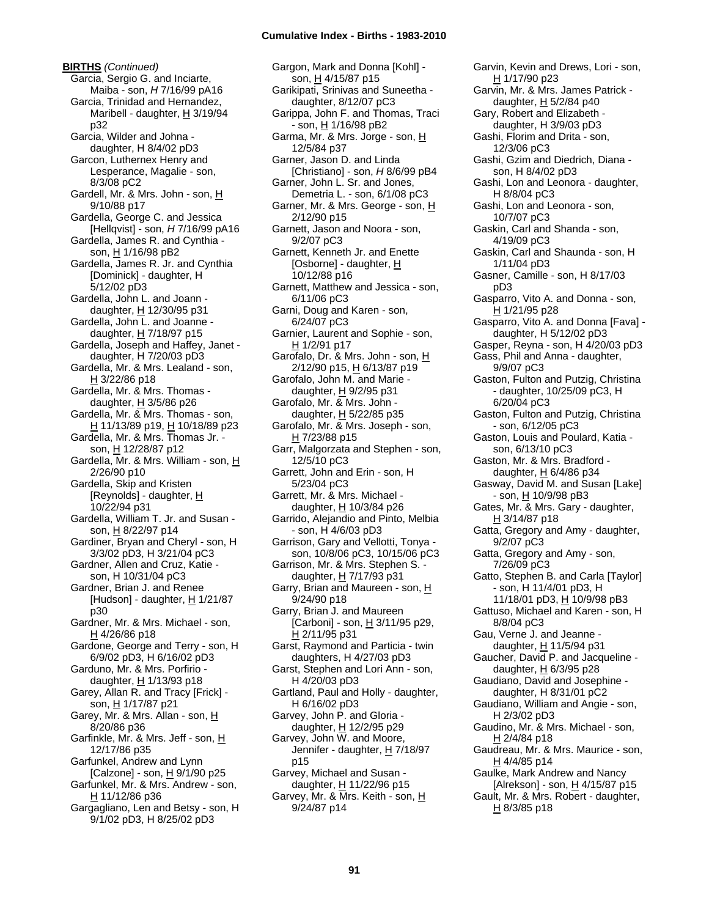**BIRTHS** *(Continued)* Garcia, Sergio G. and Inciarte, Maiba - son, *H* 7/16/99 pA16 Garcia, Trinidad and Hernandez, Maribell - daughter, H 3/19/94 p32 Garcia, Wilder and Johna daughter, H 8/4/02 pD3 Garcon, Luthernex Henry and Lesperance, Magalie - son, 8/3/08 pC2 Gardell, Mr. & Mrs. John - son, H 9/10/88 p17 Gardella, George C. and Jessica [Hellqvist] - son, *H* 7/16/99 pA16 Gardella, James R. and Cynthia son, H 1/16/98 pB2 Gardella, James R. Jr. and Cynthia [Dominick] - daughter, H 5/12/02 pD3 Gardella, John L. and Joann daughter, H 12/30/95 p31 Gardella, John L. and Joanne daughter, H 7/18/97 p15 Gardella, Joseph and Haffey, Janet daughter, H 7/20/03 pD3 Gardella, Mr. & Mrs. Lealand - son,  $H$  3/22/86 p18 Gardella, Mr. & Mrs. Thomas daughter, H 3/5/86 p26 Gardella, Mr. & Mrs. Thomas - son, H 11/13/89 p19, H 10/18/89 p23 Gardella, Mr. & Mrs. Thomas Jr. son, H 12/28/87 p12 Gardella, Mr. & Mrs. William - son, H 2/26/90 p10 Gardella, Skip and Kristen [Reynolds] - daughter, H 10/22/94 p31 Gardella, William T. Jr. and Susan son, H 8/22/97 p14 Gardiner, Bryan and Cheryl - son, H 3/3/02 pD3, H 3/21/04 pC3 Gardner, Allen and Cruz, Katie son, H 10/31/04 pC3 Gardner, Brian J. and Renee [Hudson] - daughter, H 1/21/87 p30 Gardner, Mr. & Mrs. Michael - son, H 4/26/86 p18 Gardone, George and Terry - son, H 6/9/02 pD3, H 6/16/02 pD3 Garduno, Mr. & Mrs. Porfirio daughter,  $H$  1/13/93 p18 Garey, Allan R. and Tracy [Frick] son, H 1/17/87 p21 Garey, Mr. & Mrs. Allan - son, H 8/20/86 p36 Garfinkle, Mr. & Mrs. Jeff - son, H 12/17/86 p35 Garfunkel, Andrew and Lynn [Calzone] - son, H 9/1/90 p25 Garfunkel, Mr. & Mrs. Andrew - son,  $H$  11/12/86 p36 Gargagliano, Len and Betsy - son, H 9/1/02 pD3, H 8/25/02 pD3

Gargon, Mark and Donna [Kohl] son, H 4/15/87 p15 Garikipati, Srinivas and Suneetha daughter, 8/12/07 pC3 Garippa, John F. and Thomas, Traci - son, H 1/16/98 pB2 Garma, Mr. & Mrs. Jorge - son, H 12/5/84 p37 Garner, Jason D. and Linda [Christiano] - son, *H* 8/6/99 pB4 Garner, John L. Sr. and Jones, Demetria L. - son, 6/1/08 pC3 Garner, Mr. & Mrs. George - son, H 2/12/90 p15 Garnett, Jason and Noora - son, 9/2/07 pC3 Garnett, Kenneth Jr. and Enette [Osborne] - daughter, H 10/12/88 p16 Garnett, Matthew and Jessica - son, 6/11/06 pC3 Garni, Doug and Karen - son, 6/24/07 pC3 Garnier, Laurent and Sophie - son, H 1/2/91 p17 Garofalo, Dr. & Mrs. John - son, H 2/12/90 p15, H 6/13/87 p19 Garofalo, John M. and Marie daughter, H 9/2/95 p31 Garofalo, Mr. & Mrs. John daughter,  $H$  5/22/85 p35 Garofalo, Mr. & Mrs. Joseph - son, H 7/23/88 p15 Garr, Malgorzata and Stephen - son, 12/5/10 pC3 Garrett, John and Erin - son, H 5/23/04 pC3 Garrett, Mr. & Mrs. Michael daughter, H 10/3/84 p26 Garrido, Alejandio and Pinto, Melbia - son, H 4/6/03 pD3 Garrison, Gary and Vellotti, Tonya son, 10/8/06 pC3, 10/15/06 pC3 Garrison, Mr. & Mrs. Stephen S. daughter, H 7/17/93 p31 Garry, Brian and Maureen - son, H 9/24/90 p18 Garry, Brian J. and Maureen [Carboni] - son, H 3/11/95 p29, H 2/11/95 p31 Garst, Raymond and Particia - twin daughters, H 4/27/03 pD3 Garst, Stephen and Lori Ann - son, H 4/20/03 pD3 Gartland, Paul and Holly - daughter, H 6/16/02 pD3 Garvey, John P. and Gloria daughter, H 12/2/95 p29 Garvey, John W. and Moore, Jennifer - daughter, H 7/18/97 p15 Garvey, Michael and Susan daughter, H 11/22/96 p15 Garvey, Mr. & Mrs. Keith - son, H 9/24/87 p14

Garvin, Kevin and Drews, Lori - son, H 1/17/90 p23 Garvin, Mr. & Mrs. James Patrick daughter, H 5/2/84 p40 Gary, Robert and Elizabeth daughter, H 3/9/03 pD3 Gashi, Florim and Drita - son, 12/3/06 pC3 Gashi, Gzim and Diedrich, Diana son, H 8/4/02 pD3 Gashi, Lon and Leonora - daughter, H 8/8/04 pC3 Gashi, Lon and Leonora - son, 10/7/07 pC3 Gaskin, Carl and Shanda - son, 4/19/09 pC3 Gaskin, Carl and Shaunda - son, H 1/11/04 pD3 Gasner, Camille - son, H 8/17/03 pD3 Gasparro, Vito A. and Donna - son, H 1/21/95 p28 Gasparro, Vito A. and Donna [Fava] daughter, H 5/12/02 pD3 Gasper, Reyna - son, H 4/20/03 pD3 Gass, Phil and Anna - daughter, 9/9/07 pC3 Gaston, Fulton and Putzig, Christina - daughter, 10/25/09 pC3, H 6/20/04 pC3 Gaston, Fulton and Putzig, Christina - son, 6/12/05 pC3 Gaston, Louis and Poulard, Katia son, 6/13/10 pC3 Gaston, Mr. & Mrs. Bradford daughter,  $H$  6/4/86 p34 Gasway, David M. and Susan [Lake] - son, H 10/9/98 pB3 Gates, Mr. & Mrs. Gary - daughter,  $H$  3/14/87 p18 Gatta, Gregory and Amy - daughter, 9/2/07 pC3 Gatta, Gregory and Amy - son, 7/26/09 pC3 Gatto, Stephen B. and Carla [Taylor] - son, H 11/4/01 pD3, H 11/18/01 pD3, H 10/9/98 pB3 Gattuso, Michael and Karen - son, H 8/8/04 pC3 Gau, Verne J. and Jeanne daughter, H 11/5/94 p31 Gaucher, David P. and Jacqueline daughter, H 6/3/95 p28 Gaudiano, David and Josephine daughter, H 8/31/01 pC2 Gaudiano, William and Angie - son, H 2/3/02 pD3 Gaudino, Mr. & Mrs. Michael - son, H 2/4/84 p18 Gaudreau, Mr. & Mrs. Maurice - son, H 4/4/85 p14 Gaulke, Mark Andrew and Nancy [Alrekson] - son, H 4/15/87 p15 Gault, Mr. & Mrs. Robert - daughter,  $H$  8/3/85 p18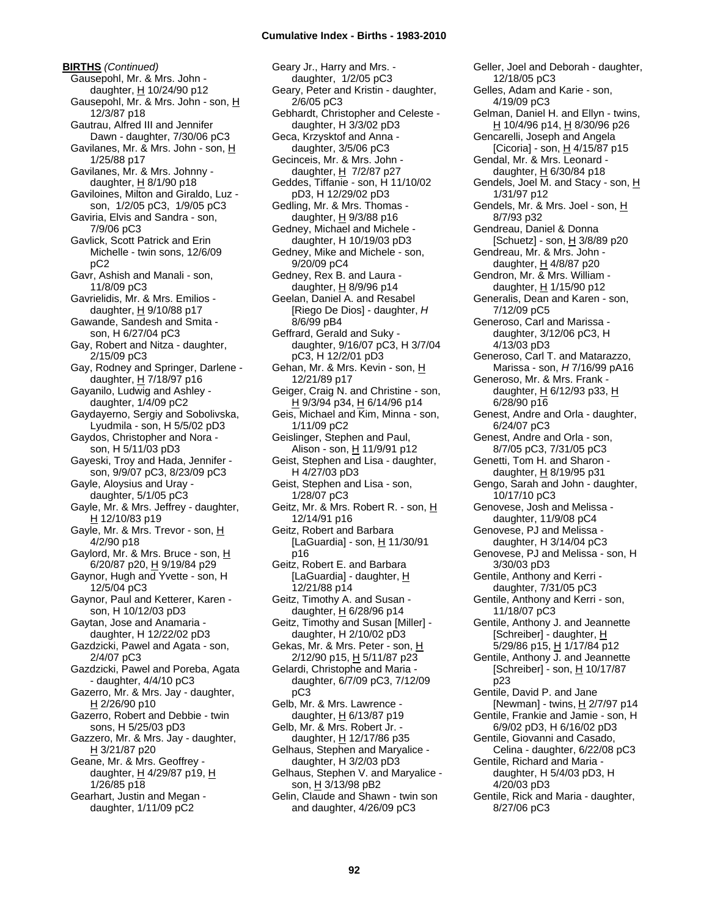**BIRTHS** *(Continued)* Gausepohl, Mr. & Mrs. John daughter, H 10/24/90 p12 Gausepohl, Mr. & Mrs. John - son, H 12/3/87 p18 Gautrau, Alfred III and Jennifer Dawn - daughter, 7/30/06 pC3 Gavilanes, Mr. & Mrs. John - son, H 1/25/88 p17 Gavilanes, Mr. & Mrs. Johnny daughter, H 8/1/90 p18 Gaviloines, Milton and Giraldo, Luz son, 1/2/05 pC3, 1/9/05 pC3 Gaviria, Elvis and Sandra - son, 7/9/06 pC3 Gavlick, Scott Patrick and Erin Michelle - twin sons, 12/6/09 pC2 Gavr, Ashish and Manali - son, 11/8/09 pC3 Gavrielidis, Mr. & Mrs. Emilios daughter,  $H$  9/10/88 p17 Gawande, Sandesh and Smita son, H 6/27/04 pC3 Gay, Robert and Nitza - daughter, 2/15/09 pC3 Gay, Rodney and Springer, Darlene daughter,  $H$  7/18/97 p16 Gayanilo, Ludwig and Ashley daughter, 1/4/09 pC2 Gaydayerno, Sergiy and Sobolivska, Lyudmila - son, H 5/5/02 pD3 Gaydos, Christopher and Nora son, H 5/11/03 pD3 Gayeski, Troy and Hada, Jennifer son, 9/9/07 pC3, 8/23/09 pC3 Gayle, Aloysius and Uray daughter, 5/1/05 pC3 Gayle, Mr. & Mrs. Jeffrey - daughter,  $H$  12/10/83 p19 Gayle, Mr. & Mrs. Trevor - son, H 4/2/90 p18 Gaylord, Mr. & Mrs. Bruce - son, H 6/20/87 p20, H 9/19/84 p29 Gaynor, Hugh and Yvette - son, H 12/5/04 pC3 Gaynor, Paul and Ketterer, Karen son, H 10/12/03 pD3 Gaytan, Jose and Anamaria daughter, H 12/22/02 pD3 Gazdzicki, Pawel and Agata - son, 2/4/07 pC3 Gazdzicki, Pawel and Poreba, Agata - daughter, 4/4/10 pC3 Gazerro, Mr. & Mrs. Jay - daughter, H 2/26/90 p10 Gazerro, Robert and Debbie - twin sons, H 5/25/03 pD3 Gazzero, Mr. & Mrs. Jay - daughter, H 3/21/87 p20 Geane, Mr. & Mrs. Geoffrey daughter, H 4/29/87 p19, H 1/26/85 p18 Gearhart, Justin and Megan daughter, 1/11/09 pC2

Geary Jr., Harry and Mrs. daughter, 1/2/05 pC3 Geary, Peter and Kristin - daughter, 2/6/05 pC3 Gebhardt, Christopher and Celeste daughter, H 3/3/02 pD3 Geca, Krzysktof and Anna daughter, 3/5/06 pC3 Gecinceis, Mr. & Mrs. John daughter,  $H$  7/2/87 p27 Geddes, Tiffanie - son, H 11/10/02 pD3, H 12/29/02 pD3 Gedling, Mr. & Mrs. Thomas daughter, H 9/3/88 p16 Gedney, Michael and Michele daughter, H 10/19/03 pD3 Gedney, Mike and Michele - son, 9/20/09 pC4 Gedney, Rex B. and Laura daughter, H 8/9/96 p14 Geelan, Daniel A. and Resabel [Riego De Dios] - daughter, *H* 8/6/99 pB4 Geffrard, Gerald and Suky daughter, 9/16/07 pC3, H 3/7/04 pC3, H 12/2/01 pD3 Gehan, Mr. & Mrs. Kevin - son, H 12/21/89 p17 Geiger, Craig N. and Christine - son, H 9/3/94 p34, H 6/14/96 p14 Geis, Michael and Kim, Minna - son, 1/11/09 pC2 Geislinger, Stephen and Paul, Alison - son, H 11/9/91 p12 Geist, Stephen and Lisa - daughter, H 4/27/03 pD3 Geist, Stephen and Lisa - son, 1/28/07 pC3 Geitz, Mr. & Mrs. Robert R. - son, H 12/14/91 p16 Geitz, Robert and Barbara [LaGuardia] - son,  $H$  11/30/91 p16 Geitz, Robert E. and Barbara [LaGuardia] - daughter, H 12/21/88 p14 Geitz, Timothy A. and Susan daughter,  $H$  6/28/96 p14 Geitz, Timothy and Susan [Miller] daughter, H 2/10/02 pD3 Gekas, Mr. & Mrs. Peter - son, H 2/12/90 p15, H 5/11/87 p23 Gelardi, Christophe and Maria daughter, 6/7/09 pC3, 7/12/09 pC3 Gelb, Mr. & Mrs. Lawrence daughter,  $H$  6/13/87 p19 Gelb, Mr. & Mrs. Robert Jr. daughter, H 12/17/86 p35 Gelhaus, Stephen and Maryalice daughter, H 3/2/03 pD3 Gelhaus, Stephen V. and Maryalice son, H 3/13/98 pB2 Gelin, Claude and Shawn - twin son and daughter, 4/26/09 pC3

Geller, Joel and Deborah - daughter, 12/18/05 pC3 Gelles, Adam and Karie - son, 4/19/09 pC3 Gelman, Daniel H. and Ellyn - twins, H 10/4/96 p14, H 8/30/96 p26 Gencarelli, Joseph and Angela [Cicoria] - son,  $H$  4/15/87 p15 Gendal, Mr. & Mrs. Leonard daughter,  $H$  6/30/84 p18 Gendels, Joel M. and Stacy - son, H 1/31/97 p12 Gendels, Mr. & Mrs. Joel - son, H 8/7/93 p32 Gendreau, Daniel & Donna [Schuetz] - son,  $H$  3/8/89 p20 Gendreau, Mr. & Mrs. John daughter,  $H$  4/8/87 p20 Gendron, Mr. & Mrs. William daughter, H 1/15/90 p12 Generalis, Dean and Karen - son, 7/12/09 pC5 Generoso, Carl and Marissa daughter, 3/12/06 pC3, H 4/13/03 pD3 Generoso, Carl T. and Matarazzo, Marissa - son, *H* 7/16/99 pA16 Generoso, Mr. & Mrs. Frank daughter, H 6/12/93 p33, H 6/28/90 p16 Genest, Andre and Orla - daughter, 6/24/07 pC3 Genest, Andre and Orla - son, 8/7/05 pC3, 7/31/05 pC3 Genetti, Tom H. and Sharon daughter, H 8/19/95 p31 Gengo, Sarah and John - daughter, 10/17/10 pC3 Genovese, Josh and Melissa daughter, 11/9/08 pC4 Genovese, PJ and Melissa daughter, H 3/14/04 pC3 Genovese, PJ and Melissa - son, H 3/30/03 pD3 Gentile, Anthony and Kerri daughter, 7/31/05 pC3 Gentile, Anthony and Kerri - son, 11/18/07 pC3 Gentile, Anthony J. and Jeannette [Schreiber] - daughter, H 5/29/86 p15, H 1/17/84 p12 Gentile, Anthony J. and Jeannette [Schreiber] - son, H 10/17/87 p23 Gentile, David P. and Jane [Newman] - twins, H 2/7/97 p14 Gentile, Frankie and Jamie - son, H 6/9/02 pD3, H 6/16/02 pD3 Gentile, Giovanni and Casado, Celina - daughter, 6/22/08 pC3 Gentile, Richard and Maria daughter, H 5/4/03 pD3, H 4/20/03 pD3 Gentile, Rick and Maria - daughter, 8/27/06 pC3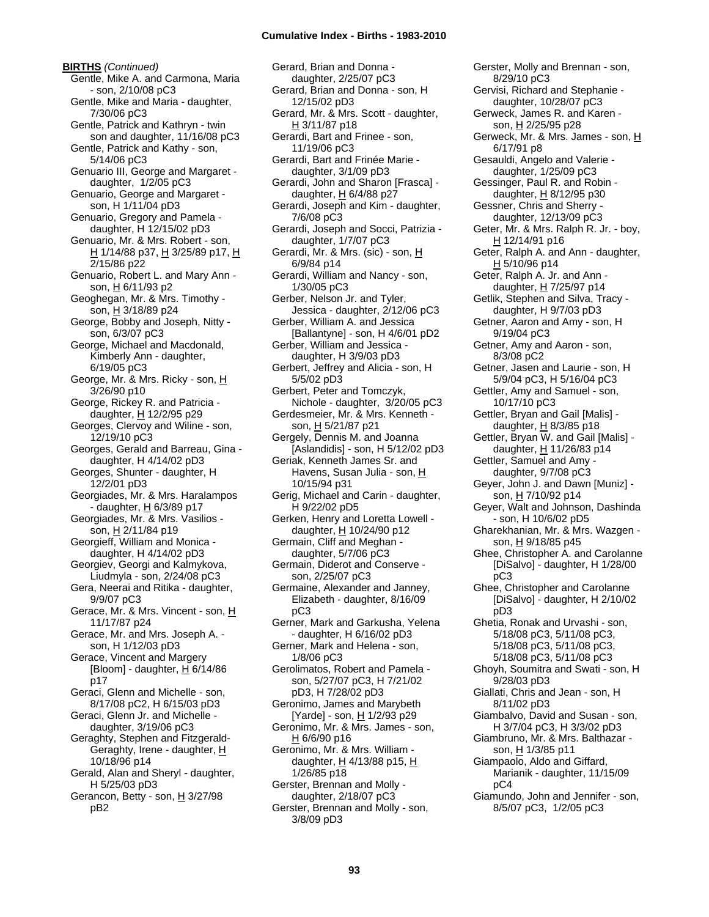**BIRTHS** *(Continued)* Gentle, Mike A. and Carmona, Maria - son, 2/10/08 pC3 Gentle, Mike and Maria - daughter, 7/30/06 pC3 Gentle, Patrick and Kathryn - twin son and daughter, 11/16/08 pC3 Gentle, Patrick and Kathy - son, 5/14/06 pC3 Genuario III, George and Margaret daughter, 1/2/05 pC3 Genuario, George and Margaret son, H 1/11/04 pD3 Genuario, Gregory and Pamela daughter, H 12/15/02 pD3 Genuario, Mr. & Mrs. Robert - son, H 1/14/88 p37, H 3/25/89 p17, H 2/15/86 p22 Genuario, Robert L. and Mary Ann son, H 6/11/93 p2 Geoghegan, Mr. & Mrs. Timothy son, H 3/18/89 p24 George, Bobby and Joseph, Nitty son, 6/3/07 pC3 George, Michael and Macdonald, Kimberly Ann - daughter, 6/19/05 pC3 George, Mr. & Mrs. Ricky - son, H 3/26/90 p10 George, Rickey R. and Patricia daughter, H 12/2/95 p29 Georges, Clervoy and Wiline - son, 12/19/10 pC3 Georges, Gerald and Barreau, Gina daughter, H 4/14/02 pD3 Georges, Shunter - daughter, H 12/2/01 pD3 Georgiades, Mr. & Mrs. Haralampos - daughter, H 6/3/89 p17 Georgiades, Mr. & Mrs. Vasilios son, H 2/11/84 p19 Georgieff, William and Monica daughter, H 4/14/02 pD3 Georgiev, Georgi and Kalmykova, Liudmyla - son, 2/24/08 pC3 Gera, Neerai and Ritika - daughter, 9/9/07 pC3 Gerace, Mr. & Mrs. Vincent - son, H 11/17/87 p24 Gerace, Mr. and Mrs. Joseph A. son, H 1/12/03 pD3 Gerace, Vincent and Margery [Bloom] - daughter,  $H$  6/14/86 p17 Geraci, Glenn and Michelle - son, 8/17/08 pC2, H 6/15/03 pD3 Geraci, Glenn Jr. and Michelle daughter, 3/19/06 pC3 Geraghty, Stephen and Fitzgerald-Geraghty, Irene - daughter, H 10/18/96 p14 Gerald, Alan and Sheryl - daughter, H 5/25/03 pD3 Gerancon, Betty - son,  $H$  3/27/98 pB2

Gerard, Brian and Donna daughter, 2/25/07 pC3 Gerard, Brian and Donna - son, H 12/15/02 pD3 Gerard, Mr. & Mrs. Scott - daughter, H 3/11/87 p18 Gerardi, Bart and Frinee - son, 11/19/06 pC3 Gerardi, Bart and Frinée Marie daughter, 3/1/09 pD3 Gerardi, John and Sharon [Frasca] daughter,  $H$  6/4/88 p27 Gerardi, Joseph and Kim - daughter, 7/6/08 pC3 Gerardi, Joseph and Socci, Patrizia daughter, 1/7/07 pC3 Gerardi, Mr. & Mrs. (sic) - son, H 6/9/84 p14 Gerardi, William and Nancy - son, 1/30/05 pC3 Gerber, Nelson Jr. and Tyler, Jessica - daughter, 2/12/06 pC3 Gerber, William A. and Jessica [Ballantyne] - son, H 4/6/01 pD2 Gerber, William and Jessica daughter, H 3/9/03 pD3 Gerbert, Jeffrey and Alicia - son, H 5/5/02 pD3 Gerbert, Peter and Tomczyk, Nichole - daughter, 3/20/05 pC3 Gerdesmeier, Mr. & Mrs. Kenneth son, H 5/21/87 p21 Gergely, Dennis M. and Joanna [Aslandidis] - son, H 5/12/02 pD3 Geriak, Kenneth James Sr. and Havens, Susan Julia - son, H 10/15/94 p31 Gerig, Michael and Carin - daughter, H 9/22/02 pD5 Gerken, Henry and Loretta Lowell daughter, H 10/24/90 p12 Germain, Cliff and Meghan daughter, 5/7/06 pC3 Germain, Diderot and Conserve son, 2/25/07 pC3 Germaine, Alexander and Janney, Elizabeth - daughter, 8/16/09 pC3 Gerner, Mark and Garkusha, Yelena - daughter, H 6/16/02 pD3 Gerner, Mark and Helena - son, 1/8/06 pC3 Gerolimatos, Robert and Pamela son, 5/27/07 pC3, H 7/21/02 pD3, H 7/28/02 pD3 Geronimo, James and Marybeth [Yarde] - son, H 1/2/93 p29 Geronimo, Mr. & Mrs. James - son, H 6/6/90 p16 Geronimo, Mr. & Mrs. William daughter,  $H$  4/13/88 p15,  $H$ 1/26/85 p18 Gerster, Brennan and Molly daughter, 2/18/07 pC3 Gerster, Brennan and Molly - son, 3/8/09 pD3

Gerster, Molly and Brennan - son, 8/29/10 pC3 Gervisi, Richard and Stephanie daughter, 10/28/07 pC3 Gerweck, James R. and Karen son, H 2/25/95 p28 Gerweck, Mr. & Mrs. James - son, H 6/17/91 p8 Gesauldi, Angelo and Valerie daughter, 1/25/09 pC3 Gessinger, Paul R. and Robin daughter, H 8/12/95 p30 Gessner, Chris and Sherry daughter, 12/13/09 pC3 Geter, Mr. & Mrs. Ralph R. Jr. - boy, H 12/14/91 p16 Geter, Ralph A. and Ann - daughter, H 5/10/96 p14 Geter, Ralph A. Jr. and Ann daughter, H 7/25/97 p14 Getlik, Stephen and Silva, Tracy daughter, H 9/7/03 pD3 Getner, Aaron and Amy - son, H 9/19/04 pC3 Getner, Amy and Aaron - son, 8/3/08 pC2 Getner, Jasen and Laurie - son, H 5/9/04 pC3, H 5/16/04 pC3 Gettler, Amy and Samuel - son, 10/17/10 pC3 Gettler, Bryan and Gail [Malis] daughter, H 8/3/85 p18 Gettler, Bryan W. and Gail [Malis] daughter, H 11/26/83 p14 Gettler, Samuel and Amy daughter, 9/7/08 pC3 Geyer, John J. and Dawn [Muniz] son, H 7/10/92 p14 Geyer, Walt and Johnson, Dashinda - son, H 10/6/02 pD5 Gharekhanian, Mr. & Mrs. Wazgen son, H 9/18/85 p45 Ghee, Christopher A. and Carolanne [DiSalvo] - daughter, H 1/28/00 pC3 Ghee, Christopher and Carolanne [DiSalvo] - daughter, H 2/10/02 pD3 Ghetia, Ronak and Urvashi - son, 5/18/08 pC3, 5/11/08 pC3, 5/18/08 pC3, 5/11/08 pC3, 5/18/08 pC3, 5/11/08 pC3 Ghoyh, Soumitra and Swati - son, H 9/28/03 pD3 Giallati, Chris and Jean - son, H 8/11/02 pD3 Giambalvo, David and Susan - son, H 3/7/04 pC3, H 3/3/02 pD3 Giambruno, Mr. & Mrs. Balthazar son, H 1/3/85 p11 Giampaolo, Aldo and Giffard, Marianik - daughter, 11/15/09 pC4 Giamundo, John and Jennifer - son, 8/5/07 pC3, 1/2/05 pC3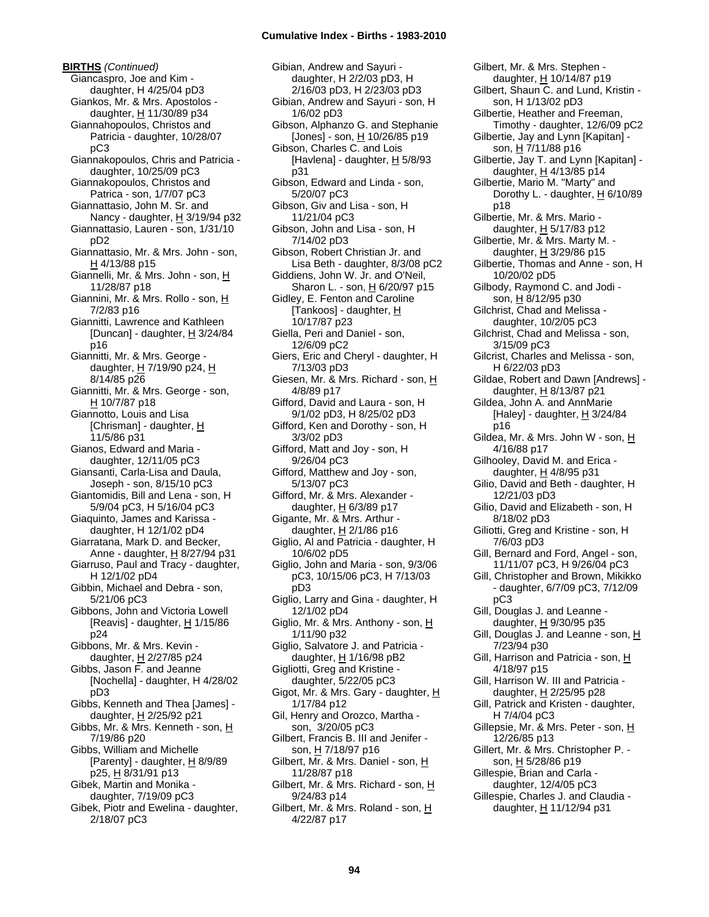**BIRTHS** *(Continued)* Giancaspro, Joe and Kim daughter, H 4/25/04 pD3 Giankos, Mr. & Mrs. Apostolos daughter, H 11/30/89 p34 Giannahopoulos, Christos and Patricia - daughter, 10/28/07 pC3 Giannakopoulos, Chris and Patricia daughter, 10/25/09 pC3 Giannakopoulos, Christos and Patrica - son, 1/7/07 pC3 Giannattasio, John M. Sr. and Nancy - daughter, H 3/19/94 p32 Giannattasio, Lauren - son, 1/31/10 pD2 Giannattasio, Mr. & Mrs. John - son, H 4/13/88 p15 Giannelli, Mr. & Mrs. John - son, H 11/28/87 p18 Giannini, Mr. & Mrs. Rollo - son, H 7/2/83 p16 Giannitti, Lawrence and Kathleen [Duncan] - daughter, H 3/24/84 p16 Giannitti, Mr. & Mrs. George daughter, H 7/19/90 p24, H 8/14/85 p26 Giannitti, Mr. & Mrs. George - son, H 10/7/87 p18 Giannotto, Louis and Lisa [Chrisman] - daughter, H 11/5/86 p31 Gianos, Edward and Maria daughter, 12/11/05 pC3 Giansanti, Carla-Lisa and Daula, Joseph - son, 8/15/10 pC3 Giantomidis, Bill and Lena - son, H 5/9/04 pC3, H 5/16/04 pC3 Giaquinto, James and Karissa daughter, H 12/1/02 pD4 Giarratana, Mark D. and Becker, Anne - daughter, H 8/27/94 p31 Giarruso, Paul and Tracy - daughter, H 12/1/02 pD4 Gibbin, Michael and Debra - son, 5/21/06 pC3 Gibbons, John and Victoria Lowell [Reavis] - daughter,  $H$  1/15/86 p24 Gibbons, Mr. & Mrs. Kevin daughter, H 2/27/85 p24 Gibbs, Jason F. and Jeanne [Nochella] - daughter, H 4/28/02 pD3 Gibbs, Kenneth and Thea [James] daughter, H 2/25/92 p21 Gibbs, Mr. & Mrs. Kenneth - son, H 7/19/86 p20 Gibbs, William and Michelle [Parenty] - daughter, H 8/9/89 p25, H 8/31/91 p13 Gibek, Martin and Monika daughter, 7/19/09 pC3 Gibek, Piotr and Ewelina - daughter, 2/18/07 pC3

Gibian, Andrew and Sayuri daughter, H 2/2/03 pD3, H 2/16/03 pD3, H 2/23/03 pD3 Gibian, Andrew and Sayuri - son, H 1/6/02 pD3 Gibson, Alphanzo G. and Stephanie  $[Jones] - son, H 10/26/85 p19$ Gibson, Charles C. and Lois [Havlena] - daughter,  $H$  5/8/93 p31 Gibson, Edward and Linda - son, 5/20/07 pC3 Gibson, Giv and Lisa - son, H 11/21/04 pC3 Gibson, John and Lisa - son, H 7/14/02 pD3 Gibson, Robert Christian Jr. and Lisa Beth - daughter, 8/3/08 pC2 Giddiens, John W. Jr. and O'Neil, Sharon L. - son, H 6/20/97 p15 Gidley, E. Fenton and Caroline [Tankoos] - daughter, H 10/17/87 p23 Giella, Peri and Daniel - son, 12/6/09 pC2 Giers, Eric and Cheryl - daughter, H 7/13/03 pD3 Giesen, Mr. & Mrs. Richard - son, H 4/8/89 p17 Gifford, David and Laura - son, H 9/1/02 pD3, H 8/25/02 pD3 Gifford, Ken and Dorothy - son, H 3/3/02 pD3 Gifford, Matt and Joy - son, H 9/26/04 pC3 Gifford, Matthew and Joy - son, 5/13/07 pC3 Gifford, Mr. & Mrs. Alexander daughter, H 6/3/89 p17 Gigante, Mr. & Mrs. Arthur daughter, H 2/1/86 p16 Giglio, Al and Patricia - daughter, H 10/6/02 pD5 Giglio, John and Maria - son, 9/3/06 pC3, 10/15/06 pC3, H 7/13/03 pD3 Giglio, Larry and Gina - daughter, H 12/1/02 pD4 Giglio, Mr. & Mrs. Anthony - son, H 1/11/90 p32 Giglio, Salvatore J. and Patricia daughter, H 1/16/98 pB2 Gigliotti, Greg and Kristine daughter, 5/22/05 pC3 Gigot, Mr. & Mrs. Gary - daughter, H 1/17/84 p12 Gil, Henry and Orozco, Martha son, 3/20/05 pC3 Gilbert, Francis B. III and Jenifer son, H 7/18/97 p16 Gilbert, Mr. & Mrs. Daniel - son, H 11/28/87 p18 Gilbert, Mr. & Mrs. Richard - son, H 9/24/83 p14 Gilbert, Mr. & Mrs. Roland - son, H 4/22/87 p17

Gilbert, Mr. & Mrs. Stephen daughter, H 10/14/87 p19 Gilbert, Shaun C. and Lund, Kristin son, H 1/13/02 pD3 Gilbertie, Heather and Freeman, Timothy - daughter, 12/6/09 pC2 Gilbertie, Jay and Lynn [Kapitan] son, H 7/11/88 p16 Gilbertie, Jay T. and Lynn [Kapitan] daughter, H 4/13/85 p14 Gilbertie, Mario M. "Marty" and Dorothy L. - daughter, H 6/10/89 p18 Gilbertie, Mr. & Mrs. Mario daughter,  $H$  5/17/83 p12 Gilbertie, Mr. & Mrs. Marty M. daughter, H 3/29/86 p15 Gilbertie, Thomas and Anne - son, H 10/20/02 pD5 Gilbody, Raymond C. and Jodi son, H 8/12/95 p30 Gilchrist, Chad and Melissa daughter, 10/2/05 pC3 Gilchrist, Chad and Melissa - son, 3/15/09 pC3 Gilcrist, Charles and Melissa - son, H 6/22/03 pD3 Gildae, Robert and Dawn [Andrews] daughter, H 8/13/87 p21 Gildea, John A. and AnnMarie [Haley] - daughter,  $H$  3/24/84 p16 Gildea, Mr. & Mrs. John W - son,  $H$ 4/16/88 p17 Gilhooley, David M. and Erica daughter, H 4/8/95 p31 Gilio, David and Beth - daughter, H 12/21/03 pD3 Gilio, David and Elizabeth - son, H 8/18/02 pD3 Giliotti, Greg and Kristine - son, H 7/6/03 pD3 Gill, Bernard and Ford, Angel - son, 11/11/07 pC3, H 9/26/04 pC3 Gill, Christopher and Brown, Mikikko - daughter, 6/7/09 pC3, 7/12/09 pC3 Gill, Douglas J. and Leanne daughter,  $H$  9/30/95 p35 Gill, Douglas J. and Leanne - son, H 7/23/94 p30 Gill, Harrison and Patricia - son, H 4/18/97 p15 Gill, Harrison W. III and Patricia daughter,  $H$  2/25/95 p28 Gill, Patrick and Kristen - daughter, H 7/4/04 pC3 Gillepsie, Mr. & Mrs. Peter - son, H 12/26/85 p13 Gillert, Mr. & Mrs. Christopher P. son, H 5/28/86 p19 Gillespie, Brian and Carla daughter, 12/4/05 pC3 Gillespie, Charles J. and Claudia daughter, H 11/12/94 p31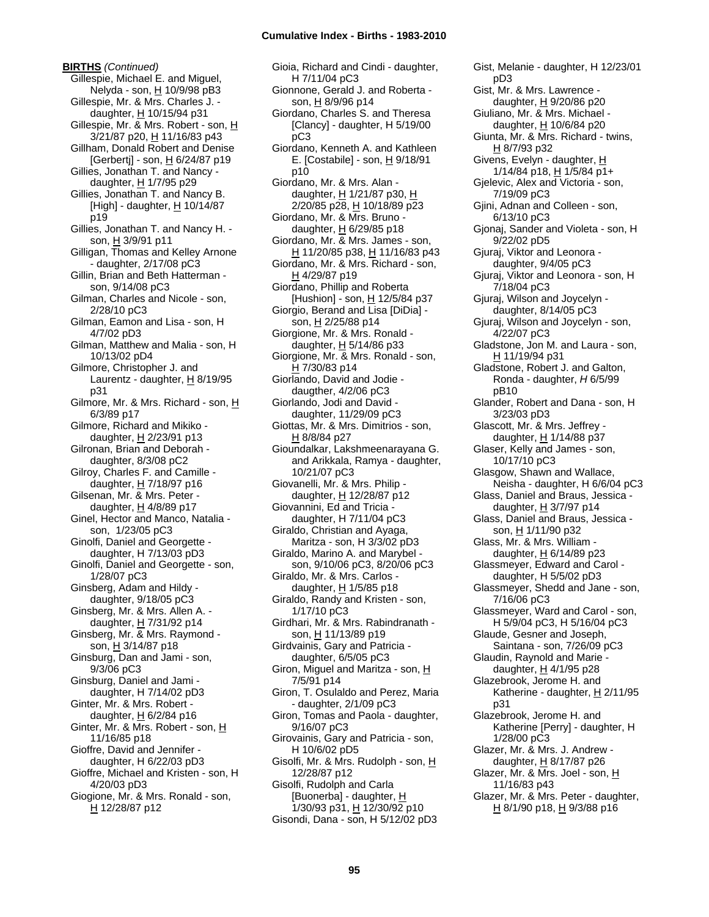**BIRTHS** *(Continued)* Gillespie, Michael E. and Miguel, Nelyda - son, H 10/9/98 pB3 Gillespie, Mr. & Mrs. Charles J. daughter, H 10/15/94 p31 Gillespie, Mr. & Mrs. Robert - son, H 3/21/87 p20, H 11/16/83 p43 Gillham, Donald Robert and Denise [Gerbertj] - son,  $\underline{H}$  6/24/87 p19 Gillies, Jonathan T. and Nancy daughter, H 1/7/95 p29 Gillies, Jonathan T. and Nancy B. [High] - daughter,  $H$  10/14/87 p19 Gillies, Jonathan T. and Nancy H. son, H 3/9/91 p11 Gilligan, Thomas and Kelley Arnone - daughter, 2/17/08 pC3 Gillin, Brian and Beth Hatterman son, 9/14/08 pC3 Gilman, Charles and Nicole - son, 2/28/10 pC3 Gilman, Eamon and Lisa - son, H 4/7/02 pD3 Gilman, Matthew and Malia - son, H 10/13/02 pD4 Gilmore, Christopher J. and Laurentz - daughter,  $H_8$  8/19/95 p31 Gilmore, Mr. & Mrs. Richard - son, H 6/3/89 p17 Gilmore, Richard and Mikiko daughter,  $H$  2/23/91 p13 Gilronan, Brian and Deborah daughter, 8/3/08 pC2 Gilroy, Charles F. and Camille daughter,  $H$  7/18/97 p16 Gilsenan, Mr. & Mrs. Peter daughter, H 4/8/89 p17 Ginel, Hector and Manco, Natalia son, 1/23/05 pC3 Ginolfi, Daniel and Georgette daughter, H 7/13/03 pD3 Ginolfi, Daniel and Georgette - son, 1/28/07 pC3 Ginsberg, Adam and Hildy daughter, 9/18/05 pC3 Ginsberg, Mr. & Mrs. Allen A. daughter,  $H$  7/31/92 p14 Ginsberg, Mr. & Mrs. Raymond son, H 3/14/87 p18 Ginsburg, Dan and Jami - son, 9/3/06 pC3 Ginsburg, Daniel and Jami daughter, H 7/14/02 pD3 Ginter, Mr. & Mrs. Robert daughter, H 6/2/84 p16 Ginter, Mr. & Mrs. Robert - son, H 11/16/85 p18 Gioffre, David and Jennifer daughter, H 6/22/03 pD3 Gioffre, Michael and Kristen - son, H 4/20/03 pD3 Giogione, Mr. & Mrs. Ronald - son, H 12/28/87 p12

Gioia, Richard and Cindi - daughter, H 7/11/04 pC3 Gionnone, Gerald J. and Roberta son, H 8/9/96 p14 Giordano, Charles S. and Theresa [Clancy] - daughter, H 5/19/00 pC3 Giordano, Kenneth A. and Kathleen E. [Costabile] - son,  $\underline{H}$  9/18/91 p10 Giordano, Mr. & Mrs. Alan daughter, H 1/21/87 p30, H 2/20/85 p28, H 10/18/89 p23 Giordano, Mr. & Mrs. Bruno daughter,  $H$  6/29/85 p18 Giordano, Mr. & Mrs. James - son, H 11/20/85 p38, H 11/16/83 p43 Giordano, Mr. & Mrs. Richard - son, H 4/29/87 p19 Giordano, Phillip and Roberta [Hushion] - son, H 12/5/84 p37 Giorgio, Berand and Lisa [DiDia] son, H 2/25/88 p14 Giorgione, Mr. & Mrs. Ronald daughter,  $H$  5/14/86 p33 Giorgione, Mr. & Mrs. Ronald - son, H 7/30/83 p14 Giorlando, David and Jodie daugther, 4/2/06 pC3 Giorlando, Jodi and David daughter, 11/29/09 pC3 Giottas, Mr. & Mrs. Dimitrios - son, H 8/8/84 p27 Gioundalkar, Lakshmeenarayana G. and Arikkala, Ramya - daughter, 10/21/07 pC3 Giovanelli, Mr. & Mrs. Philip daughter, H 12/28/87 p12 Giovannini, Ed and Tricia daughter, H 7/11/04 pC3 Giraldo, Christian and Ayaga, Maritza - son, H 3/3/02 pD3 Giraldo, Marino A. and Marybel son, 9/10/06 pC3, 8/20/06 pC3 Giraldo, Mr. & Mrs. Carlos daughter,  $H$  1/5/85 p18 Giraldo, Randy and Kristen - son, 1/17/10 pC3 Girdhari, Mr. & Mrs. Rabindranath son, H 11/13/89 p19 Girdvainis, Gary and Patricia daughter, 6/5/05 pC3 Giron, Miguel and Maritza - son, H 7/5/91 p14 Giron, T. Osulaldo and Perez, Maria - daughter, 2/1/09 pC3 Giron, Tomas and Paola - daughter, 9/16/07 pC3 Girovainis, Gary and Patricia - son, H 10/6/02 pD5 Gisolfi, Mr. & Mrs. Rudolph - son, H 12/28/87 p12 Gisolfi, Rudolph and Carla [Buonerba] - daughter, H 1/30/93 p31, H 12/30/92 p10 Gisondi, Dana - son, H 5/12/02 pD3

Gist, Melanie - daughter, H 12/23/01 pD3 Gist, Mr. & Mrs. Lawrence daughter,  $H$  9/20/86 p20 Giuliano, Mr. & Mrs. Michael daughter, H 10/6/84 p20 Giunta, Mr. & Mrs. Richard - twins, H 8/7/93 p32 Givens, Evelyn - daughter, H 1/14/84 p18, H 1/5/84 p1+ Gjelevic, Alex and Victoria - son, 7/19/09 pC3 Gjini, Adnan and Colleen - son, 6/13/10 pC3 Gjonaj, Sander and Violeta - son, H 9/22/02 pD5 Gjuraj, Viktor and Leonora daughter, 9/4/05 pC3 Gjuraj, Viktor and Leonora - son, H 7/18/04 pC3 Gjuraj, Wilson and Joycelyn daughter, 8/14/05 pC3 Gjuraj, Wilson and Joycelyn - son, 4/22/07 pC3 Gladstone, Jon M. and Laura - son, <u>H</u> 11/19/94 p31 Gladstone, Robert J. and Galton, Ronda - daughter, *H* 6/5/99 pB10 Glander, Robert and Dana - son, H 3/23/03 pD3 Glascott, Mr. & Mrs. Jeffrey daughter, H 1/14/88 p37 Glaser, Kelly and James - son, 10/17/10 pC3 Glasgow, Shawn and Wallace, Neisha - daughter, H 6/6/04 pC3 Glass, Daniel and Braus, Jessica daughter, H 3/7/97 p14 Glass, Daniel and Braus, Jessica son, H 1/11/90 p32 Glass, Mr. & Mrs. William daughter, H 6/14/89 p23 Glassmeyer, Edward and Carol daughter, H 5/5/02 pD3 Glassmeyer, Shedd and Jane - son, 7/16/06 pC3 Glassmeyer, Ward and Carol - son, H 5/9/04 pC3, H 5/16/04 pC3 Glaude, Gesner and Joseph, Saintana - son, 7/26/09 pC3 Glaudin, Raynold and Marie daughter, H 4/1/95 p28 Glazebrook, Jerome H. and Katherine - daughter,  $H$  2/11/95 p31 Glazebrook, Jerome H. and Katherine [Perry] - daughter, H 1/28/00 pC3 Glazer, Mr. & Mrs. J. Andrew daughter,  $H$  8/17/87 p26 Glazer, Mr. & Mrs. Joel - son, H 11/16/83 p43 Glazer, Mr. & Mrs. Peter - daughter, H 8/1/90 p18, H 9/3/88 p16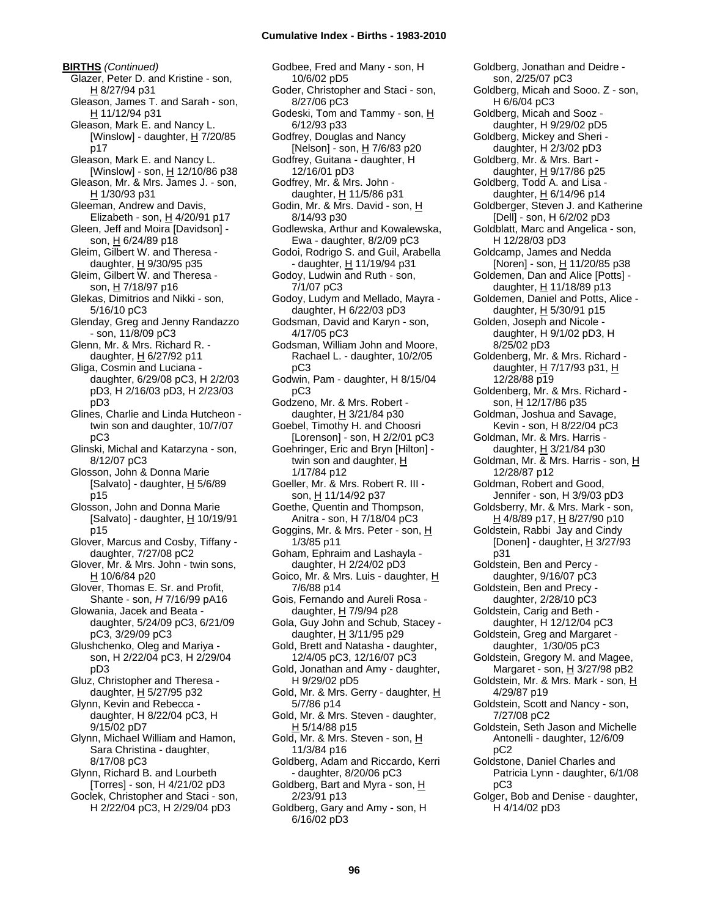**BIRTHS** *(Continued)* Glazer, Peter D. and Kristine - son, H 8/27/94 p31 Gleason, James T. and Sarah - son, H 11/12/94 p31 Gleason, Mark E. and Nancy L. [Winslow] - daughter,  $H$  7/20/85 p17 Gleason, Mark E. and Nancy L. [Winslow] - son,  $\underline{H}$  12/10/86 p38 Gleason, Mr. & Mrs. James J. - son, H 1/30/93 p31 Gleeman, Andrew and Davis, Elizabeth - son, H 4/20/91 p17 Gleen, Jeff and Moira [Davidson] son, H 6/24/89 p18 Gleim, Gilbert W. and Theresa daughter,  $H$  9/30/95 p35 Gleim, Gilbert W. and Theresa son, H 7/18/97 p16 Glekas, Dimitrios and Nikki - son, 5/16/10 pC3 Glenday, Greg and Jenny Randazzo - son, 11/8/09 pC3 Glenn, Mr. & Mrs. Richard R. daughter, H 6/27/92 p11 Gliga, Cosmin and Luciana daughter, 6/29/08 pC3, H 2/2/03 pD3, H 2/16/03 pD3, H 2/23/03 pD3 Glines, Charlie and Linda Hutcheon twin son and daughter, 10/7/07 pC3 Glinski, Michal and Katarzyna - son, 8/12/07 pC3 Glosson, John & Donna Marie [Salvato] - daughter, H 5/6/89 p15 Glosson, John and Donna Marie [Salvato] - daughter,  $H$  10/19/91 p15 Glover, Marcus and Cosby, Tiffany daughter, 7/27/08 pC2 Glover, Mr. & Mrs. John - twin sons, H 10/6/84 p20 Glover, Thomas E. Sr. and Profit, Shante - son, *H* 7/16/99 pA16 Glowania, Jacek and Beata daughter, 5/24/09 pC3, 6/21/09 pC3, 3/29/09 pC3 Glushchenko, Oleg and Mariya son, H 2/22/04 pC3, H 2/29/04 pD3 Gluz, Christopher and Theresa daughter, H 5/27/95 p32 Glynn, Kevin and Rebecca daughter, H 8/22/04 pC3, H 9/15/02 pD7 Glynn, Michael William and Hamon, Sara Christina - daughter, 8/17/08 pC3 Glynn, Richard B. and Lourbeth [Torres] - son, H 4/21/02 pD3 Goclek, Christopher and Staci - son, H 2/22/04 pC3, H 2/29/04 pD3

Godbee, Fred and Many - son, H 10/6/02 pD5 Goder, Christopher and Staci - son, 8/27/06 pC3 Godeski, Tom and Tammy - son, H 6/12/93 p33 Godfrey, Douglas and Nancy [Nelson] - son, H 7/6/83 p20 Godfrey, Guitana - daughter, H 12/16/01 pD3 Godfrey, Mr. & Mrs. John daughter,  $H$  11/5/86 p31 Godin, Mr. & Mrs. David - son, H 8/14/93 p30 Godlewska, Arthur and Kowalewska, Ewa - daughter, 8/2/09 pC3 Godoi, Rodrigo S. and Guil, Arabella - daughter, H 11/19/94 p31 Godoy, Ludwin and Ruth - son, 7/1/07 pC3 Godoy, Ludym and Mellado, Mayra daughter, H 6/22/03 pD3 Godsman, David and Karyn - son, 4/17/05 pC3 Godsman, William John and Moore, Rachael L. - daughter, 10/2/05 pC3 Godwin, Pam - daughter, H 8/15/04 pC3 Godzeno, Mr. & Mrs. Robert daughter,  $H$  3/21/84 p30 Goebel, Timothy H. and Choosri [Lorenson] - son, H 2/2/01 pC3 Goehringer, Eric and Bryn [Hilton] twin son and daughter, H 1/17/84 p12 Goeller, Mr. & Mrs. Robert R. III son, H 11/14/92 p37 Goethe, Quentin and Thompson, Anitra - son, H 7/18/04 pC3 Goggins, Mr. & Mrs. Peter - son, H 1/3/85 p11 Goham, Ephraim and Lashayla daughter, H 2/24/02 pD3 Goico, Mr. & Mrs. Luis - daughter, H 7/6/88 p14 Gois, Fernando and Aureli Rosa daughter, H 7/9/94 p28 Gola, Guy John and Schub, Stacey daughter, H 3/11/95 p29 Gold, Brett and Natasha - daughter, 12/4/05 pC3, 12/16/07 pC3 Gold, Jonathan and Amy - daughter, H 9/29/02 pD5 Gold, Mr. & Mrs. Gerry - daughter, H 5/7/86 p14 Gold, Mr. & Mrs. Steven - daughter, H 5/14/88 p15 Gold, Mr. & Mrs. Steven - son, H 11/3/84 p16 Goldberg, Adam and Riccardo, Kerri - daughter, 8/20/06 pC3 Goldberg, Bart and Myra - son, H 2/23/91 p13 Goldberg, Gary and Amy - son, H 6/16/02 pD3

Goldberg, Jonathan and Deidre son, 2/25/07 pC3 Goldberg, Micah and Sooo. Z - son, H 6/6/04 pC3 Goldberg, Micah and Sooz daughter, H 9/29/02 pD5 Goldberg, Mickey and Sheri daughter, H 2/3/02 pD3 Goldberg, Mr. & Mrs. Bart daughter,  $H$  9/17/86 p25 Goldberg, Todd A. and Lisa daughter,  $H$  6/14/96 p14 Goldberger, Steven J. and Katherine [Dell] - son, H 6/2/02 pD3 Goldblatt, Marc and Angelica - son, H 12/28/03 pD3 Goldcamp, James and Nedda [Noren] - son, H 11/20/85 p38 Goldemen, Dan and Alice [Potts] daughter, H 11/18/89 p13 Goldemen, Daniel and Potts, Alice daughter,  $H$  5/30/91 p15 Golden, Joseph and Nicole daughter, H 9/1/02 pD3, H 8/25/02 pD3 Goldenberg, Mr. & Mrs. Richard daughter,  $H$  7/17/93 p31,  $H$ 12/28/88 p19 Goldenberg, Mr. & Mrs. Richard son, H 12/17/86 p35 Goldman, Joshua and Savage, Kevin - son, H 8/22/04 pC3 Goldman, Mr. & Mrs. Harris daughter, H 3/21/84 p30 Goldman, Mr. & Mrs. Harris - son, H 12/28/87 p12 Goldman, Robert and Good, Jennifer - son, H 3/9/03 pD3 Goldsberry, Mr. & Mrs. Mark - son, H 4/8/89 p17, H 8/27/90 p10 Goldstein, Rabbi Jay and Cindy [Donen] - daughter,  $H \frac{3}{27/93}$ p31 Goldstein, Ben and Percy daughter, 9/16/07 pC3 Goldstein, Ben and Precy daughter, 2/28/10 pC3 Goldstein, Carig and Beth daughter, H 12/12/04 pC3 Goldstein, Greg and Margaret daughter, 1/30/05 pC3 Goldstein, Gregory M. and Magee, Margaret - son, H 3/27/98 pB2 Goldstein, Mr. & Mrs. Mark - son, H 4/29/87 p19 Goldstein, Scott and Nancy - son, 7/27/08 pC2 Goldstein, Seth Jason and Michelle Antonelli - daughter, 12/6/09 pC2 Goldstone, Daniel Charles and Patricia Lynn - daughter, 6/1/08 pC3 Golger, Bob and Denise - daughter, H 4/14/02 pD3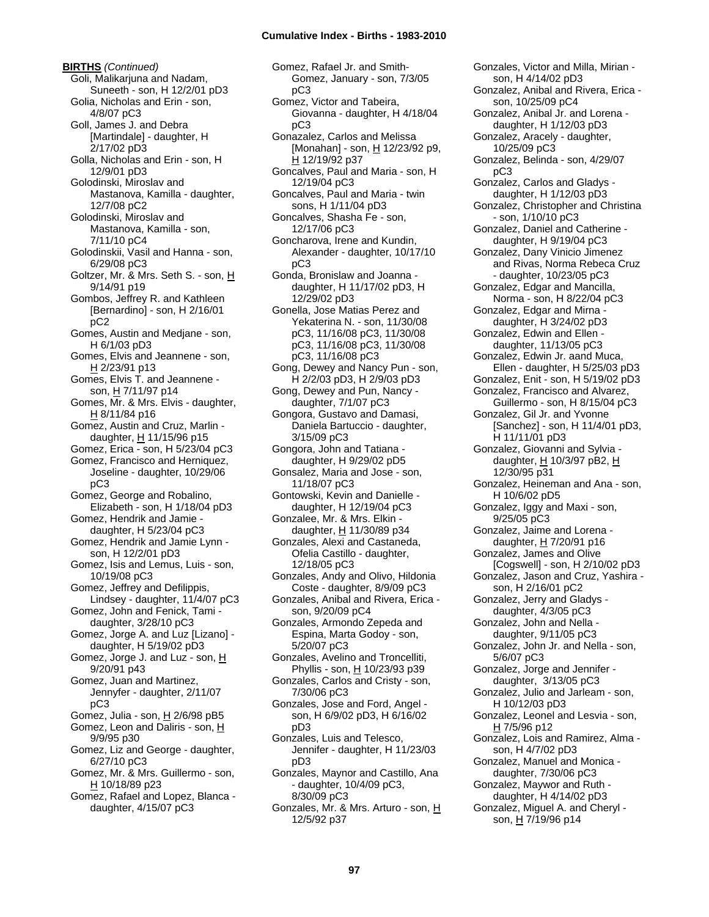**BIRTHS** *(Continued)* Goli, Malikarjuna and Nadam, Suneeth - son, H 12/2/01 pD3 Golia, Nicholas and Erin - son, 4/8/07 pC3 Goll, James J. and Debra [Martindale] - daughter, H 2/17/02 pD3 Golla, Nicholas and Erin - son, H 12/9/01 pD3 Golodinski, Miroslav and Mastanova, Kamilla - daughter, 12/7/08 pC2 Golodinski, Miroslav and Mastanova, Kamilla - son, 7/11/10 pC4 Golodinskii, Vasil and Hanna - son, 6/29/08 pC3 Goltzer, Mr. & Mrs. Seth S. - son, H 9/14/91 p19 Gombos, Jeffrey R. and Kathleen [Bernardino] - son, H 2/16/01 pC2 Gomes, Austin and Medjane - son, H 6/1/03 pD3 Gomes, Elvis and Jeannene - son, H 2/23/91 p13 Gomes, Elvis T. and Jeannene son, H 7/11/97 p14 Gomes, Mr. & Mrs. Elvis - daughter,  $H$  8/11/84 p16 Gomez, Austin and Cruz, Marlin daughter,  $H$  11/15/96 p15 Gomez, Erica - son, H 5/23/04 pC3 Gomez, Francisco and Herniquez, Joseline - daughter, 10/29/06 pC3 Gomez, George and Robalino, Elizabeth - son, H 1/18/04 pD3 Gomez, Hendrik and Jamie daughter, H 5/23/04 pC3 Gomez, Hendrik and Jamie Lynn son, H 12/2/01 pD3 Gomez, Isis and Lemus, Luis - son, 10/19/08 pC3 Gomez, Jeffrey and Defilippis, Lindsey - daughter, 11/4/07 pC3 Gomez, John and Fenick, Tami daughter, 3/28/10 pC3 Gomez, Jorge A. and Luz [Lizano] daughter, H 5/19/02 pD3 Gomez, Jorge J. and Luz - son, H 9/20/91 p43 Gomez, Juan and Martinez, Jennyfer - daughter, 2/11/07 pC3 Gomez, Julia - son, H 2/6/98 pB5 Gomez, Leon and Daliris - son, H 9/9/95 p30 Gomez, Liz and George - daughter, 6/27/10 pC3 Gomez, Mr. & Mrs. Guillermo - son, H 10/18/89 p23 Gomez, Rafael and Lopez, Blanca daughter, 4/15/07 pC3

Gomez, Rafael Jr. and Smith-Gomez, January - son, 7/3/05 pC3 Gomez, Victor and Tabeira, Giovanna - daughter, H 4/18/04 pC3 Gonazalez, Carlos and Melissa [Monahan] - son, H 12/23/92 p9, H 12/19/92 p37 Goncalves, Paul and Maria - son, H 12/19/04 pC3 Goncalves, Paul and Maria - twin sons, H 1/11/04 pD3 Goncalves, Shasha Fe - son, 12/17/06 pC3 Goncharova, Irene and Kundin, Alexander - daughter, 10/17/10 pC3 Gonda, Bronislaw and Joanna daughter, H 11/17/02 pD3, H 12/29/02 pD3 Gonella, Jose Matias Perez and Yekaterina N. - son, 11/30/08 pC3, 11/16/08 pC3, 11/30/08 pC3, 11/16/08 pC3, 11/30/08 pC3, 11/16/08 pC3 Gong, Dewey and Nancy Pun - son, H 2/2/03 pD3, H 2/9/03 pD3 Gong, Dewey and Pun, Nancy daughter, 7/1/07 pC3 Gongora, Gustavo and Damasi, Daniela Bartuccio - daughter, 3/15/09 pC3 Gongora, John and Tatiana daughter, H 9/29/02 pD5 Gonsalez, Maria and Jose - son, 11/18/07 pC3 Gontowski, Kevin and Danielle daughter, H 12/19/04 pC3 Gonzalee, Mr. & Mrs. Elkin daughter, H 11/30/89 p34 Gonzales, Alexi and Castaneda, Ofelia Castillo - daughter, 12/18/05 pC3 Gonzales, Andy and Olivo, Hildonia Coste - daughter, 8/9/09 pC3 Gonzales, Anibal and Rivera, Erica son, 9/20/09 pC4 Gonzales, Armondo Zepeda and Espina, Marta Godoy - son, 5/20/07 pC3 Gonzales, Avelino and Troncelliti, Phyllis - son, H 10/23/93 p39 Gonzales, Carlos and Cristy - son, 7/30/06 pC3 Gonzales, Jose and Ford, Angel son, H 6/9/02 pD3, H 6/16/02 pD3 Gonzales, Luis and Telesco, Jennifer - daughter, H 11/23/03 pD3 Gonzales, Maynor and Castillo, Ana - daughter, 10/4/09 pC3, 8/30/09 pC3 Gonzales, Mr. & Mrs. Arturo - son, H 12/5/92 p37

Gonzales, Victor and Milla, Mirian son, H 4/14/02 pD3 Gonzalez, Anibal and Rivera, Erica son, 10/25/09 pC4 Gonzalez, Anibal Jr. and Lorena daughter, H 1/12/03 pD3 Gonzalez, Aracely - daughter, 10/25/09 pC3 Gonzalez, Belinda - son, 4/29/07 pC3 Gonzalez, Carlos and Gladys daughter, H 1/12/03 pD3 Gonzalez, Christopher and Christina - son, 1/10/10 pC3 Gonzalez, Daniel and Catherine daughter, H 9/19/04 pC3 Gonzalez, Dany Vinicio Jimenez and Rivas, Norma Rebeca Cruz - daughter, 10/23/05 pC3 Gonzalez, Edgar and Mancilla, Norma - son, H 8/22/04 pC3 Gonzalez, Edgar and Mirna daughter, H 3/24/02 pD3 Gonzalez, Edwin and Ellen daughter, 11/13/05 pC3 Gonzalez, Edwin Jr. aand Muca, Ellen - daughter, H 5/25/03 pD3 Gonzalez, Enit - son, H 5/19/02 pD3 Gonzalez, Francisco and Alvarez, Guillermo - son, H 8/15/04 pC3 Gonzalez, Gil Jr. and Yvonne [Sanchez] - son, H 11/4/01 pD3, H 11/11/01 pD3 Gonzalez, Giovanni and Sylvia daughter, H 10/3/97 pB2, H 12/30/95 p31 Gonzalez, Heineman and Ana - son, H 10/6/02 pD5 Gonzalez, Iggy and Maxi - son, 9/25/05 pC3 Gonzalez, Jaime and Lorena daughter, H 7/20/91 p16 Gonzalez, James and Olive [Cogswell] - son, H 2/10/02 pD3 Gonzalez, Jason and Cruz, Yashira son, H 2/16/01 pC2 Gonzalez, Jerry and Gladys daughter, 4/3/05 pC3 Gonzalez, John and Nella daughter, 9/11/05 pC3 Gonzalez, John Jr. and Nella - son, 5/6/07 pC3 Gonzalez, Jorge and Jennifer daughter, 3/13/05 pC3 Gonzalez, Julio and Jarleam - son, H 10/12/03 pD3 Gonzalez, Leonel and Lesvia - son, H 7/5/96 p12 Gonzalez, Lois and Ramirez, Alma son, H 4/7/02 pD3 Gonzalez, Manuel and Monica daughter, 7/30/06 pC3 Gonzalez, Maywor and Ruth daughter, H 4/14/02 pD3 Gonzalez, Miguel A. and Cheryl son, H 7/19/96 p14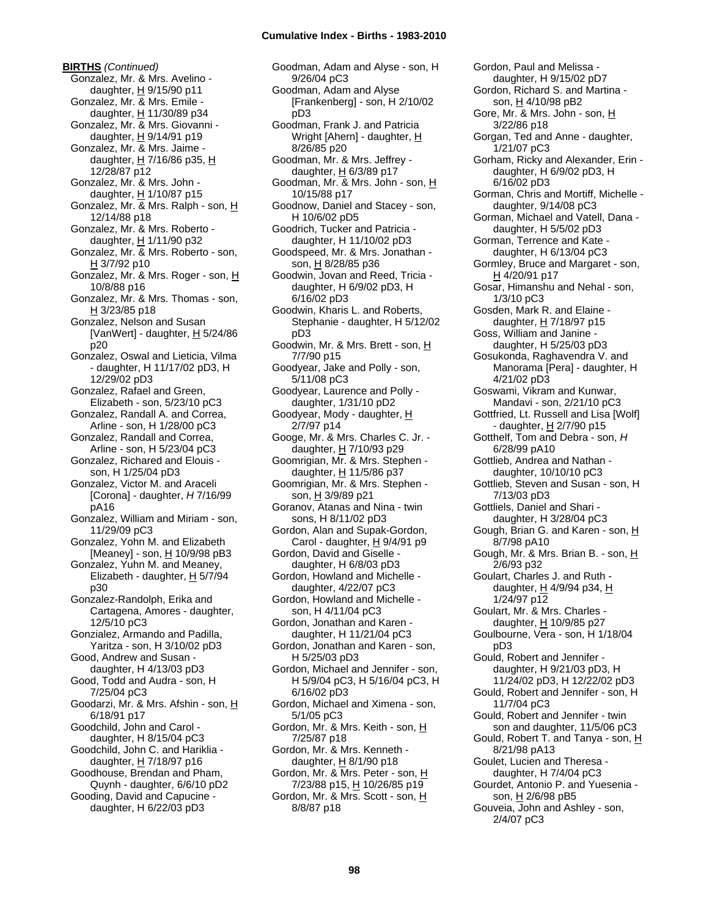**BIRTHS** *(Continued)* Gonzalez, Mr. & Mrs. Avelino daughter,  $H$  9/15/90 p11 Gonzalez, Mr. & Mrs. Emile daughter, H 11/30/89 p34 Gonzalez, Mr. & Mrs. Giovanni daughter,  $H$  9/14/91 p19 Gonzalez, Mr. & Mrs. Jaime daughter,  $H$  7/16/86 p35,  $H$ 12/28/87 p12 Gonzalez, Mr. & Mrs. John daughter,  $H$  1/10/87 p15 Gonzalez, Mr. & Mrs. Ralph - son, H 12/14/88 p18 Gonzalez, Mr. & Mrs. Roberto daughter, H 1/11/90 p32 Gonzalez, Mr. & Mrs. Roberto - son,  $H$  3/7/92 p10 Gonzalez, Mr. & Mrs. Roger - son, H 10/8/88 p16 Gonzalez, Mr. & Mrs. Thomas - son,  $H$  3/23/85 p18 Gonzalez, Nelson and Susan [VanWert] - daughter, H 5/24/86 p20 Gonzalez, Oswal and Lieticia, Vilma - daughter, H 11/17/02 pD3, H 12/29/02 pD3 Gonzalez, Rafael and Green, Elizabeth - son, 5/23/10 pC3 Gonzalez, Randall A. and Correa, Arline - son, H 1/28/00 pC3 Gonzalez, Randall and Correa, Arline - son, H 5/23/04 pC3 Gonzalez, Richared and Elouis son, H 1/25/04 pD3 Gonzalez, Victor M. and Araceli [Corona] - daughter, *H* 7/16/99 pA16 Gonzalez, William and Miriam - son, 11/29/09 pC3 Gonzalez, Yohn M. and Elizabeth [Meaney] - son,  $H$  10/9/98 pB3 Gonzalez, Yuhn M. and Meaney, Elizabeth - daughter,  $H$  5/7/94 p30 Gonzalez-Randolph, Erika and Cartagena, Amores - daughter, 12/5/10 pC3 Gonzialez, Armando and Padilla, Yaritza - son, H 3/10/02 pD3 Good, Andrew and Susan daughter, H 4/13/03 pD3 Good, Todd and Audra - son, H 7/25/04 pC3 Goodarzi, Mr. & Mrs. Afshin - son, H 6/18/91 p17 Goodchild, John and Carol daughter, H 8/15/04 pC3 Goodchild, John C. and Hariklia daughter,  $H$  7/18/97 p16 Goodhouse, Brendan and Pham, Quynh - daughter, 6/6/10 pD2 Gooding, David and Capucine daughter, H 6/22/03 pD3

Goodman, Adam and Alyse - son, H 9/26/04 pC3 Goodman, Adam and Alyse [Frankenberg] - son, H 2/10/02 pD3 Goodman, Frank J. and Patricia Wright [Ahern] - daughter, H 8/26/85 p20 Goodman, Mr. & Mrs. Jeffrey daughter,  $H$  6/3/89 p17 Goodman, Mr. & Mrs. John - son, H 10/15/88 p17 Goodnow, Daniel and Stacey - son, H 10/6/02 pD5 Goodrich, Tucker and Patricia daughter, H 11/10/02 pD3 Goodspeed, Mr. & Mrs. Jonathan son, H 8/28/85 p36 Goodwin, Jovan and Reed, Tricia daughter, H 6/9/02 pD3, H 6/16/02 pD3 Goodwin, Kharis L. and Roberts, Stephanie - daughter, H 5/12/02 pD3 Goodwin, Mr. & Mrs. Brett - son, H 7/7/90 p15 Goodyear, Jake and Polly - son, 5/11/08 pC3 Goodyear, Laurence and Polly daughter, 1/31/10 pD2 Goodyear, Mody - daughter, H 2/7/97 p14 Googe, Mr. & Mrs. Charles C. Jr. daughter, H 7/10/93 p29 Goomrigian, Mr. & Mrs. Stephen daughter, H 11/5/86 p37 Goomrigian, Mr. & Mrs. Stephen son, H 3/9/89 p21 Goranov, Atanas and Nina - twin sons, H 8/11/02 pD3 Gordon, Alan and Supak-Gordon, Carol - daughter,  $H$  9/4/91 p9 Gordon, David and Giselle daughter, H 6/8/03 pD3 Gordon, Howland and Michelle daughter, 4/22/07 pC3 Gordon, Howland and Michelle son, H 4/11/04 pC3 Gordon, Jonathan and Karen daughter, H 11/21/04 pC3 Gordon, Jonathan and Karen - son, H 5/25/03 pD3 Gordon, Michael and Jennifer - son, H 5/9/04 pC3, H 5/16/04 pC3, H 6/16/02 pD3 Gordon, Michael and Ximena - son, 5/1/05 pC3 Gordon, Mr. & Mrs. Keith - son, H 7/25/87 p18 Gordon, Mr. & Mrs. Kenneth daughter,  $H$  8/1/90 p18 Gordon, Mr. & Mrs. Peter - son, H 7/23/88 p15, H 10/26/85 p19 Gordon, Mr. & Mrs. Scott - son, H 8/8/87 p18

Gordon, Paul and Melissa daughter, H 9/15/02 pD7 Gordon, Richard S. and Martina son, H 4/10/98 pB2 Gore, Mr. & Mrs. John - son, H 3/22/86 p18 Gorgan, Ted and Anne - daughter, 1/21/07 pC3 Gorham, Ricky and Alexander, Erin daughter, H 6/9/02 pD3, H 6/16/02 pD3 Gorman, Chris and Mortiff, Michelle daughter, 9/14/08 pC3 Gorman, Michael and Vatell, Dana daughter, H 5/5/02 pD3 Gorman, Terrence and Kate daughter, H 6/13/04 pC3 Gormley, Bruce and Margaret - son, H 4/20/91 p17 Gosar, Himanshu and Nehal - son, 1/3/10 pC3 Gosden, Mark R. and Elaine daughter, H 7/18/97 p15 Goss, William and Janine daughter, H 5/25/03 pD3 Gosukonda, Raghavendra V. and Manorama [Pera] - daughter, H 4/21/02 pD3 Goswami, Vikram and Kunwar, Mandavi - son, 2/21/10 pC3 Gottfried, Lt. Russell and Lisa [Wolf] - daughter, H 2/7/90 p15 Gotthelf, Tom and Debra - son, *H* 6/28/99 pA10 Gottlieb, Andrea and Nathan daughter, 10/10/10 pC3 Gottlieb, Steven and Susan - son, H 7/13/03 pD3 Gottliels, Daniel and Shari daughter, H 3/28/04 pC3 Gough, Brian G. and Karen - son, H 8/7/98 pA10 Gough, Mr. & Mrs. Brian B. - son, H 2/6/93 p32 Goulart, Charles J. and Ruth daughter,  $H$  4/9/94 p34,  $H$ 1/24/97 p12 Goulart, Mr. & Mrs. Charles daughter,  $H$  10/9/85 p27 Goulbourne, Vera - son, H 1/18/04 pD3 Gould, Robert and Jennifer daughter, H 9/21/03 pD3, H 11/24/02 pD3, H 12/22/02 pD3 Gould, Robert and Jennifer - son, H 11/7/04 pC3 Gould, Robert and Jennifer - twin son and daughter, 11/5/06 pC3 Gould, Robert T. and Tanya - son, H 8/21/98 pA13 Goulet, Lucien and Theresa daughter, H 7/4/04 pC3 Gourdet, Antonio P. and Yuesenia son, H 2/6/98 pB5 Gouveia, John and Ashley - son, 2/4/07 pC3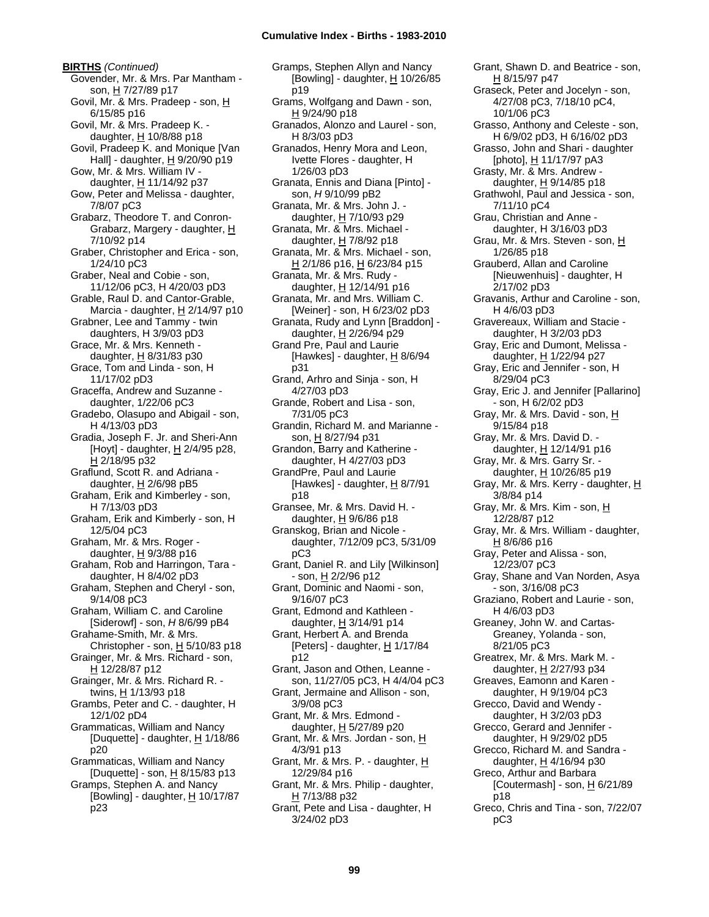**BIRTHS** *(Continued)* Govender, Mr. & Mrs. Par Mantham son, H 7/27/89 p17 Govil, Mr. & Mrs. Pradeep - son, H 6/15/85 p16 Govil, Mr. & Mrs. Pradeep K. daughter,  $H$  10/8/88 p18 Govil, Pradeep K. and Monique [Van Hall] - daughter,  $H$  9/20/90 p19 Gow, Mr. & Mrs. William IV daughter, H 11/14/92 p37 Gow, Peter and Melissa - daughter, 7/8/07 pC3 Grabarz, Theodore T. and Conron-Grabarz, Margery - daughter, H 7/10/92 p14 Graber, Christopher and Erica - son, 1/24/10 pC3 Graber, Neal and Cobie - son, 11/12/06 pC3, H 4/20/03 pD3 Grable, Raul D. and Cantor-Grable, Marcia - daughter,  $H$  2/14/97 p10 Grabner, Lee and Tammy - twin daughters, H 3/9/03 pD3 Grace, Mr. & Mrs. Kenneth daughter,  $H$  8/31/83 p30 Grace, Tom and Linda - son, H 11/17/02 pD3 Graceffa, Andrew and Suzanne daughter, 1/22/06 pC3 Gradebo, Olasupo and Abigail - son, H 4/13/03 pD3 Gradia, Joseph F. Jr. and Sheri-Ann [Hoyt] - daughter,  $H$  2/4/95 p28, H 2/18/95 p32 Graflund, Scott R. and Adriana daughter,  $H$  2/6/98 pB5 Graham, Erik and Kimberley - son, H 7/13/03 pD3 Graham, Erik and Kimberly - son, H 12/5/04 pC3 Graham, Mr. & Mrs. Roger daughter, H 9/3/88 p16 Graham, Rob and Harringon, Tara daughter, H 8/4/02 pD3 Graham, Stephen and Cheryl - son, 9/14/08 pC3 Graham, William C. and Caroline [Siderowf] - son, *H* 8/6/99 pB4 Grahame-Smith, Mr. & Mrs. Christopher - son,  $H$  5/10/83 p18 Grainger, Mr. & Mrs. Richard - son, H 12/28/87 p12 Grainger, Mr. & Mrs. Richard R. twins, H 1/13/93 p18 Grambs, Peter and C. - daughter, H 12/1/02 pD4 Grammaticas, William and Nancy [Duquette] - daughter,  $H$  1/18/86 p20 Grammaticas, William and Nancy [Duquette] - son, H 8/15/83 p13 Gramps, Stephen A. and Nancy [Bowling] - daughter,  $H$  10/17/87

p23

Gramps, Stephen Allyn and Nancy [Bowling] - daughter, H 10/26/85 p19 Grams, Wolfgang and Dawn - son, H 9/24/90 p18 Granados, Alonzo and Laurel - son, H 8/3/03 pD3 Granados, Henry Mora and Leon, Ivette Flores - daughter, H 1/26/03 pD3 Granata, Ennis and Diana [Pinto] son, *H* 9/10/99 pB2 Granata, Mr. & Mrs. John J. daughter, H 7/10/93 p29 Granata, Mr. & Mrs. Michael daughter,  $H$  7/8/92 p18 Granata, Mr. & Mrs. Michael - son, H 2/1/86 p16, H 6/23/84 p15 Granata, Mr. & Mrs. Rudy daughter, H 12/14/91 p16 Granata, Mr. and Mrs. William C. [Weiner] - son, H 6/23/02 pD3 Granata, Rudy and Lynn [Braddon] daughter, H 2/26/94 p29 Grand Pre, Paul and Laurie [Hawkes] - daughter,  $H$  8/6/94 p31 Grand, Arhro and Sinja - son, H 4/27/03 pD3 Grande, Robert and Lisa - son, 7/31/05 pC3 Grandin, Richard M. and Marianne son, H 8/27/94 p31 Grandon, Barry and Katherine daughter, H 4/27/03 pD3 GrandPre, Paul and Laurie [Hawkes] - daughter,  $H$  8/7/91 p18 Gransee, Mr. & Mrs. David H. daughter,  $H$  9/6/86 p18 Granskog, Brian and Nicole daughter, 7/12/09 pC3, 5/31/09 pC3 Grant, Daniel R. and Lily [Wilkinson] - son, H 2/2/96 p12 Grant, Dominic and Naomi - son, 9/16/07 pC3 Grant, Edmond and Kathleen daughter,  $H$  3/14/91 p14 Grant, Herbert A. and Brenda [Peters] - daughter,  $H$  1/17/84 p12 Grant, Jason and Othen, Leanne son, 11/27/05 pC3, H 4/4/04 pC3 Grant, Jermaine and Allison - son, 3/9/08 pC3 Grant, Mr. & Mrs. Edmond daughter, H 5/27/89 p20 Grant, Mr. & Mrs. Jordan - son, H 4/3/91 p13 Grant, Mr. & Mrs. P. - daughter, H 12/29/84 p16 Grant, Mr. & Mrs. Philip - daughter,  $H$  7/13/88 p32 Grant, Pete and Lisa - daughter, H 3/24/02 pD3

Grant, Shawn D. and Beatrice - son, H 8/15/97 p47 Graseck, Peter and Jocelyn - son, 4/27/08 pC3, 7/18/10 pC4, 10/1/06 pC3 Grasso, Anthony and Celeste - son, H 6/9/02 pD3, H 6/16/02 pD3 Grasso, John and Shari - daughter [photo],  $H$  11/17/97 pA3 Grasty, Mr. & Mrs. Andrew daughter, H 9/14/85 p18 Grathwohl, Paul and Jessica - son, 7/11/10 pC4 Grau, Christian and Anne daughter, H 3/16/03 pD3 Grau, Mr. & Mrs. Steven - son, H 1/26/85 p18 Grauberd, Allan and Caroline [Nieuwenhuis] - daughter, H 2/17/02 pD3 Gravanis, Arthur and Caroline - son, H 4/6/03 pD3 Gravereaux, William and Stacie daughter, H 3/2/03 pD3 Gray, Eric and Dumont, Melissa daughter, H 1/22/94 p27 Gray, Eric and Jennifer - son, H 8/29/04 pC3 Gray, Eric J. and Jennifer [Pallarino] - son, H 6/2/02 pD3 Gray, Mr. & Mrs. David - son, H 9/15/84 p18 Gray, Mr. & Mrs. David D. daughter, H 12/14/91 p16 Gray, Mr. & Mrs. Garry Sr. daughter, H 10/26/85 p19 Gray, Mr. & Mrs. Kerry - daughter, H 3/8/84 p14 Gray, Mr. & Mrs. Kim - son, H 12/28/87 p12 Gray, Mr. & Mrs. William - daughter,  $H$  8/6/86 p16 Gray, Peter and Alissa - son, 12/23/07 pC3 Gray, Shane and Van Norden, Asya - son, 3/16/08 pC3 Graziano, Robert and Laurie - son, H 4/6/03 pD3 Greaney, John W. and Cartas-Greaney, Yolanda - son, 8/21/05 pC3 Greatrex, Mr. & Mrs. Mark M. daughter, H 2/27/93 p34 Greaves, Eamonn and Karen daughter, H 9/19/04 pC3 Grecco, David and Wendy daughter, H 3/2/03 pD3 Grecco, Gerard and Jennifer daughter, H 9/29/02 pD5 Grecco, Richard M. and Sandra daughter,  $H$  4/16/94 p30 Greco, Arthur and Barbara [Coutermash] - son, H 6/21/89 p18 Greco, Chris and Tina - son, 7/22/07 pC3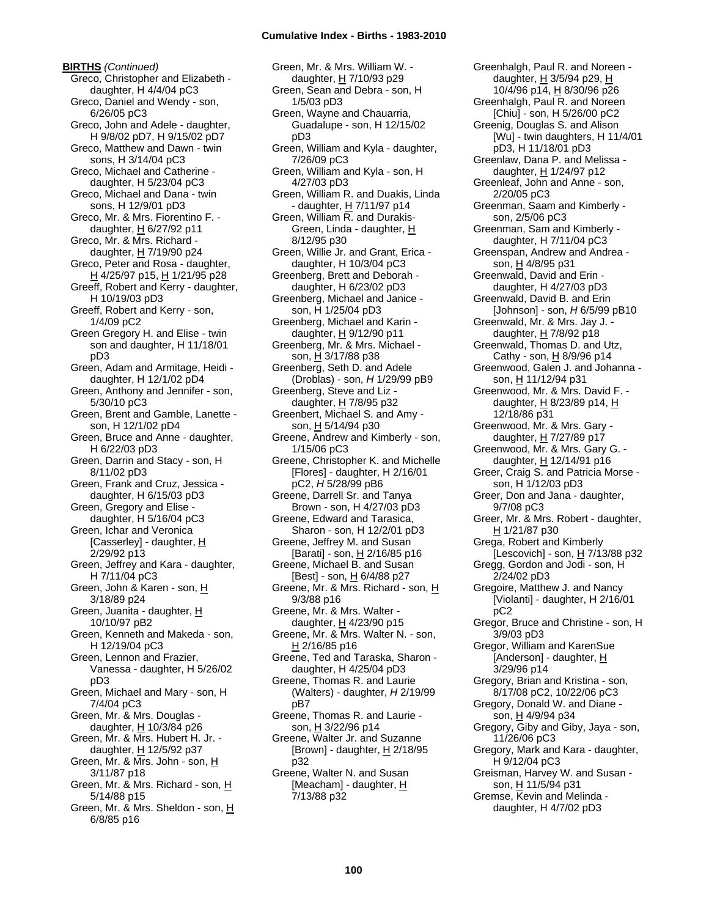**BIRTHS** *(Continued)* Greco, Christopher and Elizabeth daughter, H 4/4/04 pC3 Greco, Daniel and Wendy - son, 6/26/05 pC3 Greco, John and Adele - daughter, H 9/8/02 pD7, H 9/15/02 pD7 Greco, Matthew and Dawn - twin sons, H 3/14/04 pC3 Greco, Michael and Catherine daughter, H 5/23/04 pC3 Greco, Michael and Dana - twin sons, H 12/9/01 pD3 Greco, Mr. & Mrs. Fiorentino F. daughter,  $H$  6/27/92 p11 Greco, Mr. & Mrs. Richard daughter, H 7/19/90 p24 Greco, Peter and Rosa - daughter, H 4/25/97 p15, H 1/21/95 p28 Greeff, Robert and Kerry - daughter, H 10/19/03 pD3 Greeff, Robert and Kerry - son, 1/4/09 pC2 Green Gregory H. and Elise - twin son and daughter, H 11/18/01 pD3 Green, Adam and Armitage, Heidi daughter, H 12/1/02 pD4 Green, Anthony and Jennifer - son, 5/30/10 pC3 Green, Brent and Gamble, Lanette son, H 12/1/02 pD4 Green, Bruce and Anne - daughter, H 6/22/03 pD3 Green, Darrin and Stacy - son, H 8/11/02 pD3 Green, Frank and Cruz, Jessica daughter, H 6/15/03 pD3 Green, Gregory and Elise daughter, H 5/16/04 pC3 Green, Ichar and Veronica [Casserley] - daughter,  $H$ 2/29/92 p13 Green, Jeffrey and Kara - daughter, H 7/11/04 pC3 Green, John & Karen - son, H 3/18/89 p24 Green, Juanita - daughter, H 10/10/97 pB2 Green, Kenneth and Makeda - son, H 12/19/04 pC3 Green, Lennon and Frazier, Vanessa - daughter, H 5/26/02 pD3 Green, Michael and Mary - son, H 7/4/04 pC3 Green, Mr. & Mrs. Douglas daughter,  $H$  10/3/84 p26 Green, Mr. & Mrs. Hubert H. Jr. daughter, H 12/5/92 p37 Green, Mr. & Mrs. John - son, H 3/11/87 p18 Green, Mr. & Mrs. Richard - son, H 5/14/88 p15 Green, Mr. & Mrs. Sheldon - son, H 6/8/85 p16

Green, Mr. & Mrs. William W. daughter, H 7/10/93 p29 Green, Sean and Debra - son, H 1/5/03 pD3 Green, Wayne and Chauarria, Guadalupe - son, H 12/15/02 pD3 Green, William and Kyla - daughter, 7/26/09 pC3 Green, William and Kyla - son, H 4/27/03 pD3 Green, William R. and Duakis, Linda - daughter,  $H$  7/11/97 p14 Green, William R. and Durakis-Green, Linda - daughter, H 8/12/95 p30 Green, Willie Jr. and Grant, Erica daughter, H 10/3/04 pC3 Greenberg, Brett and Deborah daughter, H 6/23/02 pD3 Greenberg, Michael and Janice son, H 1/25/04 pD3 Greenberg, Michael and Karin daughter, H 9/12/90 p11 Greenberg, Mr. & Mrs. Michael son, H 3/17/88 p38 Greenberg, Seth D. and Adele (Droblas) - son, *H* 1/29/99 pB9 Greenberg, Steve and Liz daughter, H 7/8/95 p32 Greenbert, Michael S. and Amy son, H 5/14/94 p30 Greene, Andrew and Kimberly - son, 1/15/06 pC3 Greene, Christopher K. and Michelle [Flores] - daughter, H 2/16/01 pC2, *H* 5/28/99 pB6 Greene, Darrell Sr. and Tanya Brown - son, H 4/27/03 pD3 Greene, Edward and Tarasica, Sharon - son, H 12/2/01 pD3 Greene, Jeffrey M. and Susan [Barati] - son, H 2/16/85 p16 Greene, Michael B. and Susan [Best] - son,  $\underline{H}$  6/4/88 p27 Greene, Mr. & Mrs. Richard - son, H 9/3/88 p16 Greene, Mr. & Mrs. Walter daughter,  $H$  4/23/90 p15 Greene, Mr. & Mrs. Walter N. - son,  $H$  2/16/85 p16 Greene, Ted and Taraska, Sharon daughter, H 4/25/04 pD3 Greene, Thomas R. and Laurie (Walters) - daughter, *H* 2/19/99 pB7 Greene, Thomas R. and Laurie son, H 3/22/96 p14 Greene, Walter Jr. and Suzanne [Brown] - daughter,  $H$  2/18/95 p32 Greene, Walter N. and Susan [Meacham] - daughter, H 7/13/88 p32

Greenhalgh, Paul R. and Noreen daughter, H 3/5/94 p29, H 10/4/96 p14, H 8/30/96 p26 Greenhalgh, Paul R. and Noreen [Chiu] - son, H 5/26/00 pC2 Greenig, Douglas S. and Alison [Wu] - twin daughters, H 11/4/01 pD3, H 11/18/01 pD3 Greenlaw, Dana P. and Melissa daughter, H 1/24/97 p12 Greenleaf, John and Anne - son, 2/20/05 pC3 Greenman, Saam and Kimberly son, 2/5/06 pC3 Greenman, Sam and Kimberly daughter, H 7/11/04 pC3 Greenspan, Andrew and Andrea son, H 4/8/95 p31 Greenwald, David and Erin daughter, H 4/27/03 pD3 Greenwald, David B. and Erin [Johnson] - son, *H* 6/5/99 pB10 Greenwald, Mr. & Mrs. Jay J. daughter, H 7/8/92 p18 Greenwald, Thomas D. and Utz, Cathy - son,  $H$  8/9/96 p14 Greenwood, Galen J. and Johanna son, H 11/12/94 p31 Greenwood, Mr. & Mrs. David F. daughter, H 8/23/89 p14, H 12/18/86 p31 Greenwood, Mr. & Mrs. Gary daughter, H 7/27/89 p17 Greenwood, Mr. & Mrs. Gary G. daughter, H 12/14/91 p16 Greer, Craig S. and Patricia Morse son, H 1/12/03 pD3 Greer, Don and Jana - daughter, 9/7/08 pC3 Greer, Mr. & Mrs. Robert - daughter, H 1/21/87 p30 Grega, Robert and Kimberly [Lescovich] - son,  $H$  7/13/88 p32 Gregg, Gordon and Jodi - son, H 2/24/02 pD3 Gregoire, Matthew J. and Nancy [Violanti] - daughter, H 2/16/01 pC2 Gregor, Bruce and Christine - son, H 3/9/03 pD3 Gregor, William and KarenSue [Anderson] - daughter, H 3/29/96 p14 Gregory, Brian and Kristina - son, 8/17/08 pC2, 10/22/06 pC3 Gregory, Donald W. and Diane son, H 4/9/94 p34 Gregory, Giby and Giby, Jaya - son, 11/26/06 pC3 Gregory, Mark and Kara - daughter, H 9/12/04 pC3 Greisman, Harvey W. and Susan son, H 11/5/94 p31 Gremse, Kevin and Melinda daughter, H 4/7/02 pD3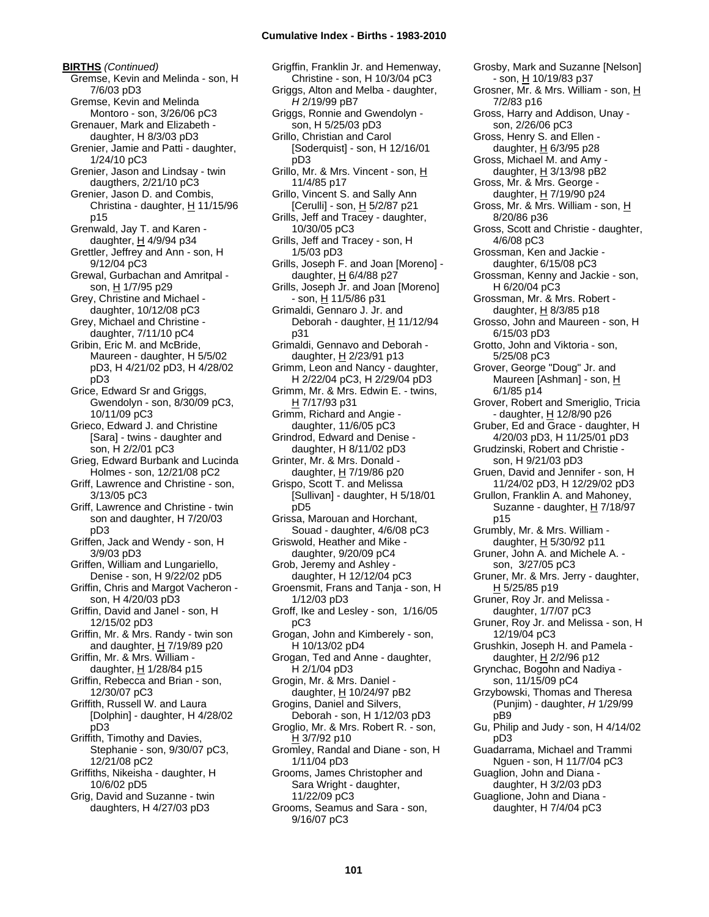**BIRTHS** *(Continued)* Gremse, Kevin and Melinda - son, H 7/6/03 pD3 Gremse, Kevin and Melinda Montoro - son, 3/26/06 pC3 Grenauer, Mark and Elizabeth daughter, H 8/3/03 pD3 Grenier, Jamie and Patti - daughter, 1/24/10 pC3 Grenier, Jason and Lindsay - twin daugthers, 2/21/10 pC3 Grenier, Jason D. and Combis, Christina - daughter,  $H$  11/15/96 p15 Grenwald, Jay T. and Karen daughter,  $H$  4/9/94 p34 Grettler, Jeffrey and Ann - son, H 9/12/04 pC3 Grewal, Gurbachan and Amritpal son, H 1/7/95 p29 Grey, Christine and Michael daughter, 10/12/08 pC3 Grey, Michael and Christine daughter, 7/11/10 pC4 Gribin, Eric M. and McBride, Maureen - daughter, H 5/5/02 pD3, H 4/21/02 pD3, H 4/28/02 pD3 Grice, Edward Sr and Griggs, Gwendolyn - son, 8/30/09 pC3, 10/11/09 pC3 Grieco, Edward J. and Christine [Sara] - twins - daughter and son, H 2/2/01 pC3 Grieg, Edward Burbank and Lucinda Holmes - son, 12/21/08 pC2 Griff, Lawrence and Christine - son, 3/13/05 pC3 Griff, Lawrence and Christine - twin son and daughter, H 7/20/03 pD3 Griffen, Jack and Wendy - son, H 3/9/03 pD3 Griffen, William and Lungariello, Denise - son, H 9/22/02 pD5 Griffin, Chris and Margot Vacheron son, H 4/20/03 pD3 Griffin, David and Janel - son, H 12/15/02 pD3 Griffin, Mr. & Mrs. Randy - twin son and daughter,  $H$  7/19/89 p20 Griffin, Mr. & Mrs. William daughter,  $H$  1/28/84 p15 Griffin, Rebecca and Brian - son, 12/30/07 pC3 Griffith, Russell W. and Laura [Dolphin] - daughter, H 4/28/02 pD3 Griffith, Timothy and Davies, Stephanie - son, 9/30/07 pC3, 12/21/08 pC2 Griffiths, Nikeisha - daughter, H 10/6/02 pD5 Grig, David and Suzanne - twin daughters, H 4/27/03 pD3

Grigffin, Franklin Jr. and Hemenway, Christine - son, H 10/3/04 pC3 Griggs, Alton and Melba - daughter, *H* 2/19/99 pB7 Griggs, Ronnie and Gwendolyn son, H 5/25/03 pD3 Grillo, Christian and Carol [Soderquist] - son, H 12/16/01 pD3 Grillo, Mr. & Mrs. Vincent - son, H 11/4/85 p17 Grillo, Vincent S. and Sally Ann [Cerulli] - son,  $H$  5/2/87 p21 Grills, Jeff and Tracey - daughter, 10/30/05 pC3 Grills, Jeff and Tracey - son, H 1/5/03 pD3 Grills, Joseph F. and Joan [Moreno] daughter,  $H$  6/4/88 p27 Grills, Joseph Jr. and Joan [Moreno] - son, H 11/5/86 p31 Grimaldi, Gennaro J. Jr. and Deborah - daughter, H 11/12/94 p31 Grimaldi, Gennavo and Deborah daughter, H 2/23/91 p13 Grimm, Leon and Nancy - daughter, H 2/22/04 pC3, H 2/29/04 pD3 Grimm, Mr. & Mrs. Edwin E. - twins, H 7/17/93 p31 Grimm, Richard and Angie daughter, 11/6/05 pC3 Grindrod, Edward and Denise daughter, H 8/11/02 pD3 Grinter, Mr. & Mrs. Donald daughter, H 7/19/86 p20 Grispo, Scott T. and Melissa [Sullivan] - daughter, H 5/18/01 pD5 Grissa, Marouan and Horchant, Souad - daughter, 4/6/08 pC3 Griswold, Heather and Mike daughter, 9/20/09 pC4 Grob, Jeremy and Ashley daughter, H 12/12/04 pC3 Groensmit, Frans and Tanja - son, H 1/12/03 pD3 Groff, Ike and Lesley - son, 1/16/05 pC3 Grogan, John and Kimberely - son, H 10/13/02 pD4 Grogan, Ted and Anne - daughter, H 2/1/04 pD3 Grogin, Mr. & Mrs. Daniel daughter,  $H$  10/24/97 pB2 Grogins, Daniel and Silvers, Deborah - son, H 1/12/03 pD3 Groglio, Mr. & Mrs. Robert R. - son, H 3/7/92 p10 Gromley, Randal and Diane - son, H 1/11/04 pD3 Grooms, James Christopher and Sara Wright - daughter, 11/22/09 pC3 Grooms, Seamus and Sara - son, 9/16/07 pC3

Grosby, Mark and Suzanne [Nelson] - son, H 10/19/83 p37 Grosner, Mr. & Mrs. William - son, H 7/2/83 p16 Gross, Harry and Addison, Unay son, 2/26/06 pC3 Gross, Henry S. and Ellen daughter, H 6/3/95 p28 Gross, Michael M. and Amy daughter,  $H$  3/13/98 pB2 Gross, Mr. & Mrs. George daughter, H 7/19/90 p24 Gross, Mr. & Mrs. William - son, H 8/20/86 p36 Gross, Scott and Christie - daughter, 4/6/08 pC3 Grossman, Ken and Jackie daughter, 6/15/08 pC3 Grossman, Kenny and Jackie - son, H 6/20/04 pC3 Grossman, Mr. & Mrs. Robert daughter,  $H$  8/3/85 p18 Grosso, John and Maureen - son, H 6/15/03 pD3 Grotto, John and Viktoria - son, 5/25/08 pC3 Grover, George "Doug" Jr. and Maureen [Ashman] - son, H 6/1/85 p14 Grover, Robert and Smeriglio, Tricia - daughter, H 12/8/90 p26 Gruber, Ed and Grace - daughter, H 4/20/03 pD3, H 11/25/01 pD3 Grudzinski, Robert and Christie son, H 9/21/03 pD3 Gruen, David and Jennifer - son, H 11/24/02 pD3, H 12/29/02 pD3 Grullon, Franklin A. and Mahoney, Suzanne - daughter, H 7/18/97 p15 Grumbly, Mr. & Mrs. William daughter, H 5/30/92 p11 Gruner, John A. and Michele A. son, 3/27/05 pC3 Gruner, Mr. & Mrs. Jerry - daughter,  $H$  5/25/85 p19 Gruner, Roy Jr. and Melissa daughter, 1/7/07 pC3 Gruner, Roy Jr. and Melissa - son, H 12/19/04 pC3 Grushkin, Joseph H. and Pamela daughter, H 2/2/96 p12 Grynchac, Bogohn and Nadiya son, 11/15/09 pC4 Grzybowski, Thomas and Theresa (Punjim) - daughter, *H* 1/29/99 pB9 Gu, Philip and Judy - son, H 4/14/02 pD3 Guadarrama, Michael and Trammi Nguen - son, H 11/7/04 pC3 Guaglion, John and Diana daughter, H 3/2/03 pD3 Guaglione, John and Diana daughter, H 7/4/04 pC3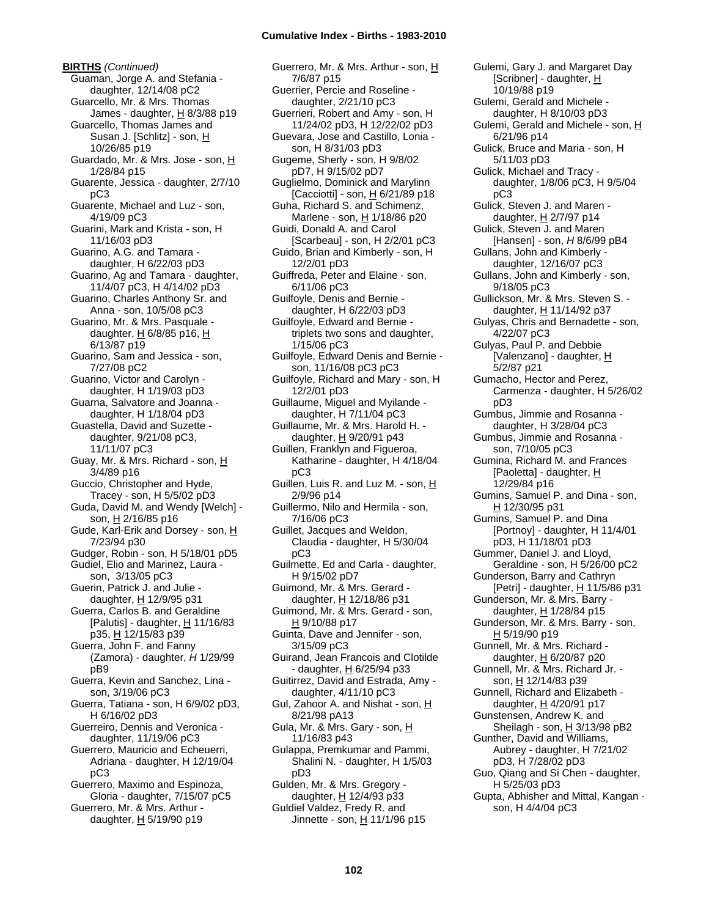**BIRTHS** *(Continued)* Guaman, Jorge A. and Stefania daughter, 12/14/08 pC2 Guarcello, Mr. & Mrs. Thomas James - daughter, H 8/3/88 p19 Guarcello, Thomas James and Susan J. [Schlitz] - son, H 10/26/85 p19 Guardado, Mr. & Mrs. Jose - son, H 1/28/84 p15 Guarente, Jessica - daughter, 2/7/10 pC3 Guarente, Michael and Luz - son, 4/19/09 pC3 Guarini, Mark and Krista - son, H 11/16/03 pD3 Guarino, A.G. and Tamara daughter, H 6/22/03 pD3 Guarino, Ag and Tamara - daughter, 11/4/07 pC3, H 4/14/02 pD3 Guarino, Charles Anthony Sr. and Anna - son, 10/5/08 pC3 Guarino, Mr. & Mrs. Pasquale daughter, H 6/8/85 p16, H 6/13/87 p19 Guarino, Sam and Jessica - son, 7/27/08 pC2 Guarino, Victor and Carolyn daughter, H 1/19/03 pD3 Guarna, Salvatore and Joanna daughter, H 1/18/04 pD3 Guastella, David and Suzette daughter, 9/21/08 pC3, 11/11/07 pC3 Guay, Mr. & Mrs. Richard - son, H 3/4/89 p16 Guccio, Christopher and Hyde, Tracey - son, H 5/5/02 pD3 Guda, David M. and Wendy [Welch] son, H 2/16/85 p16 Gude, Karl-Erik and Dorsey - son, H 7/23/94 p30 Gudger, Robin - son, H 5/18/01 pD5 Gudiel, Elio and Marinez, Laura son, 3/13/05 pC3 Guerin, Patrick J. and Julie daughter, H 12/9/95 p31 Guerra, Carlos B. and Geraldine [Palutis] - daughter,  $H$  11/16/83 p35, H 12/15/83 p39 Guerra, John F. and Fanny (Zamora) - daughter, *H* 1/29/99 pB9 Guerra, Kevin and Sanchez, Lina son, 3/19/06 pC3 Guerra, Tatiana - son, H 6/9/02 pD3, H 6/16/02 pD3 Guerreiro, Dennis and Veronica daughter, 11/19/06 pC3 Guerrero, Mauricio and Echeuerri, Adriana - daughter, H 12/19/04 pC3 Guerrero, Maximo and Espinoza, Gloria - daughter, 7/15/07 pC5 Guerrero, Mr. & Mrs. Arthur daughter,  $H$  5/19/90 p19

Guerrero, Mr. & Mrs. Arthur - son, H 7/6/87 p15 Guerrier, Percie and Roseline daughter, 2/21/10 pC3 Guerrieri, Robert and Amy - son, H 11/24/02 pD3, H 12/22/02 pD3 Guevara, Jose and Castillo, Lonia son, H 8/31/03 pD3 Gugeme, Sherly - son, H 9/8/02 pD7, H 9/15/02 pD7 Guglielmo, Dominick and Marylinn [Cacciotti] - son,  $\underline{H}$  6/21/89 p18 Guha, Richard S. and Schimenz, Marlene - son, H 1/18/86 p20 Guidi, Donald A. and Carol [Scarbeau] - son, H 2/2/01 pC3 Guido, Brian and Kimberly - son, H 12/2/01 pD3 Guiffreda, Peter and Elaine - son, 6/11/06 pC3 Guilfoyle, Denis and Bernie daughter, H 6/22/03 pD3 Guilfoyle, Edward and Bernie triplets two sons and daughter, 1/15/06 pC3 Guilfoyle, Edward Denis and Bernie son, 11/16/08 pC3 pC3 Guilfoyle, Richard and Mary - son, H 12/2/01 pD3 Guillaume, Miguel and Myilande daughter, H 7/11/04 pC3 Guillaume, Mr. & Mrs. Harold H. daughter, H 9/20/91 p43 Guillen, Franklyn and Figueroa, Katharine - daughter, H 4/18/04 pC3 Guillen, Luis R. and Luz M. - son, H 2/9/96 p14 Guillermo, Nilo and Hermila - son, 7/16/06 pC3 Guillet, Jacques and Weldon, Claudia - daughter, H 5/30/04 pC3 Guilmette, Ed and Carla - daughter, H 9/15/02 pD7 Guimond, Mr. & Mrs. Gerard daughter, H 12/18/86 p31 Guimond, Mr. & Mrs. Gerard - son, H 9/10/88 p17 Guinta, Dave and Jennifer - son, 3/15/09 pC3 Guirand, Jean Francois and Clotilde - daughter, H 6/25/94 p33 Guitirrez, David and Estrada, Amy daughter, 4/11/10 pC3 Gul, Zahoor A. and Nishat - son, H 8/21/98 pA13 Gula, Mr. & Mrs. Gary - son, H 11/16/83 p43 Gulappa, Premkumar and Pammi, Shalini N. - daughter, H 1/5/03 pD3 Gulden, Mr. & Mrs. Gregory daughter, H 12/4/93 p33 Guldiel Valdez, Fredy R. and Jinnette - son, H 11/1/96 p15

10/19/88 p19 Gulemi, Gerald and Michele daughter, H 8/10/03 pD3 Gulemi, Gerald and Michele - son, H 6/21/96 p14 Gulick, Bruce and Maria - son, H 5/11/03 pD3 Gulick, Michael and Tracy daughter, 1/8/06 pC3, H 9/5/04 pC3 Gulick, Steven J. and Maren daughter, H 2/7/97 p14 Gulick, Steven J. and Maren [Hansen] - son, *H* 8/6/99 pB4 Gullans, John and Kimberly daughter, 12/16/07 pC3 Gullans, John and Kimberly - son, 9/18/05 pC3 Gullickson, Mr. & Mrs. Steven S. daughter, H 11/14/92 p37 Gulyas, Chris and Bernadette - son, 4/22/07 pC3 Gulyas, Paul P. and Debbie [Valenzano] - daughter, H 5/2/87 p21 Gumacho, Hector and Perez, Carmenza - daughter, H 5/26/02 pD3 Gumbus, Jimmie and Rosanna daughter, H 3/28/04 pC3 Gumbus, Jimmie and Rosanna son, 7/10/05 pC3 Gumina, Richard M. and Frances [Paoletta] - daughter,  $H$ 12/29/84 p16 Gumins, Samuel P. and Dina - son, H 12/30/95 p31 Gumins, Samuel P. and Dina [Portnoy] - daughter, H 11/4/01 pD3, H 11/18/01 pD3 Gummer, Daniel J. and Lloyd, Geraldine - son, H 5/26/00 pC2 Gunderson, Barry and Cathryn [Petri] - daughter,  $H$  11/5/86 p31 Gunderson, Mr. & Mrs. Barry daughter, H 1/28/84 p15 Gunderson, Mr. & Mrs. Barry - son, H 5/19/90 p19 Gunnell, Mr. & Mrs. Richard daughter, H 6/20/87 p20 Gunnell, Mr. & Mrs. Richard Jr. son, H 12/14/83 p39 Gunnell, Richard and Elizabeth daughter, H 4/20/91 p17 Gunstensen, Andrew K. and Sheilagh - son,  $H$  3/13/98 pB2 Gunther, David and Williams, Aubrey - daughter, H 7/21/02 pD3, H 7/28/02 pD3 Guo, Qiang and Si Chen - daughter, H 5/25/03 pD3 Gupta, Abhisher and Mittal, Kangan son, H 4/4/04 pC3

Gulemi, Gary J. and Margaret Day [Scribner] - daughter, H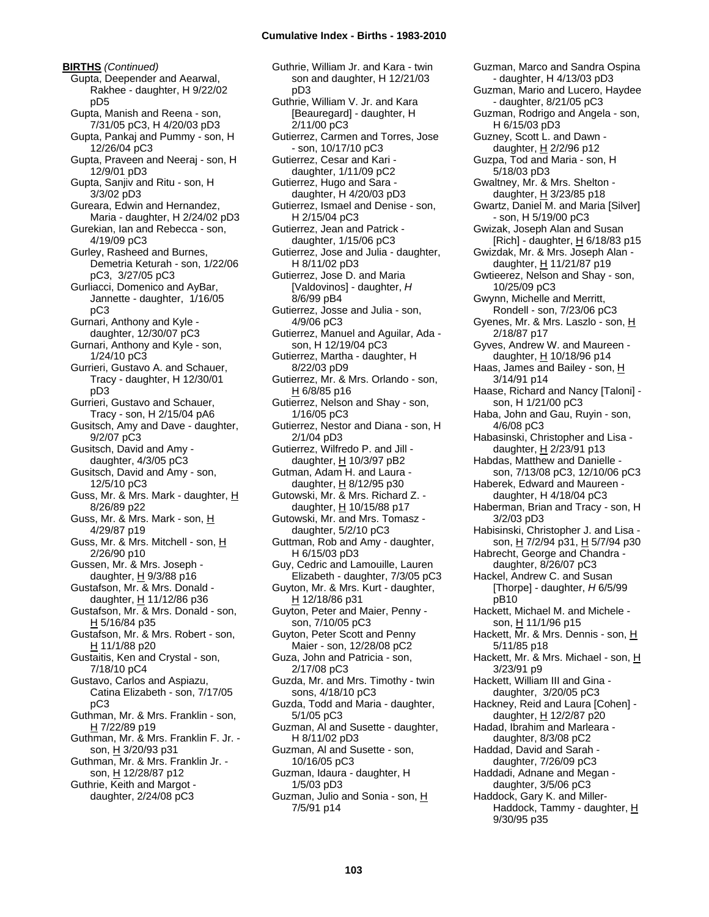**BIRTHS** *(Continued)* Gupta, Deepender and Aearwal, Rakhee - daughter, H 9/22/02 pD5 Gupta, Manish and Reena - son, 7/31/05 pC3, H 4/20/03 pD3 Gupta, Pankaj and Pummy - son, H 12/26/04 pC3 Gupta, Praveen and Neeraj - son, H 12/9/01 pD3 Gupta, Sanjiv and Ritu - son, H 3/3/02 pD3 Gureara, Edwin and Hernandez, Maria - daughter, H 2/24/02 pD3 Gurekian, Ian and Rebecca - son, 4/19/09 pC3 Gurley, Rasheed and Burnes, Demetria Keturah - son, 1/22/06 pC3, 3/27/05 pC3 Gurliacci, Domenico and AyBar, Jannette - daughter, 1/16/05 pC3 Gurnari, Anthony and Kyle daughter, 12/30/07 pC3 Gurnari, Anthony and Kyle - son, 1/24/10 pC3 Gurrieri, Gustavo A. and Schauer, Tracy - daughter, H 12/30/01 pD3 Gurrieri, Gustavo and Schauer, Tracy - son, H 2/15/04 pA6 Gusitsch, Amy and Dave - daughter, 9/2/07 pC3 Gusitsch, David and Amy daughter, 4/3/05 pC3 Gusitsch, David and Amy - son, 12/5/10 pC3 Guss, Mr. & Mrs. Mark - daughter, H 8/26/89 p22 Guss, Mr. & Mrs. Mark - son, H 4/29/87 p19 Guss, Mr. & Mrs. Mitchell - son, H 2/26/90 p10 Gussen, Mr. & Mrs. Joseph daughter,  $H$  9/3/88 p16 Gustafson, Mr. & Mrs. Donald daughter, H 11/12/86 p36 Gustafson, Mr. & Mrs. Donald - son, H 5/16/84 p35 Gustafson, Mr. & Mrs. Robert - son, H 11/1/88 p20 Gustaitis, Ken and Crystal - son, 7/18/10 pC4 Gustavo, Carlos and Aspiazu, Catina Elizabeth - son, 7/17/05 pC3 Guthman, Mr. & Mrs. Franklin - son, H 7/22/89 p19 Guthman, Mr. & Mrs. Franklin F. Jr. son, H 3/20/93 p31 Guthman, Mr. & Mrs. Franklin Jr. son, H 12/28/87 p12 Guthrie, Keith and Margot daughter, 2/24/08 pC3

Guthrie, William Jr. and Kara - twin son and daughter, H 12/21/03 pD3 Guthrie, William V. Jr. and Kara [Beauregard] - daughter, H 2/11/00 pC3 Gutierrez, Carmen and Torres, Jose - son, 10/17/10 pC3 Gutierrez, Cesar and Kari daughter, 1/11/09 pC2 Gutierrez, Hugo and Sara daughter, H 4/20/03 pD3 Gutierrez, Ismael and Denise - son, H 2/15/04 pC3 Gutierrez, Jean and Patrick daughter, 1/15/06 pC3 Gutierrez, Jose and Julia - daughter, H 8/11/02 pD3 Gutierrez, Jose D. and Maria [Valdovinos] - daughter, *H* 8/6/99 pB4 Gutierrez, Josse and Julia - son, 4/9/06 pC3 Gutierrez, Manuel and Aguilar, Ada son, H 12/19/04 pC3 Gutierrez, Martha - daughter, H 8/22/03 pD9 Gutierrez, Mr. & Mrs. Orlando - son, H 6/8/85 p16 Gutierrez, Nelson and Shay - son, 1/16/05 pC3 Gutierrez, Nestor and Diana - son, H 2/1/04 pD3 Gutierrez, Wilfredo P. and Jill daughter, H 10/3/97 pB2 Gutman, Adam H. and Laura daughter, H 8/12/95 p30 Gutowski, Mr. & Mrs. Richard Z. daughter, H 10/15/88 p17 Gutowski, Mr. and Mrs. Tomasz daughter, 5/2/10 pC3 Guttman, Rob and Amy - daughter, H 6/15/03 pD3 Guy, Cedric and Lamouille, Lauren Elizabeth - daughter, 7/3/05 pC3 Guyton, Mr. & Mrs. Kurt - daughter, H 12/18/86 p31 Guyton, Peter and Maier, Penny son, 7/10/05 pC3 Guyton, Peter Scott and Penny Maier - son, 12/28/08 pC2 Guza, John and Patricia - son, 2/17/08 pC3 Guzda, Mr. and Mrs. Timothy - twin sons, 4/18/10 pC3 Guzda, Todd and Maria - daughter, 5/1/05 pC3 Guzman, Al and Susette - daughter, H 8/11/02 pD3 Guzman, Al and Susette - son, 10/16/05 pC3 Guzman, Idaura - daughter, H 1/5/03 pD3 Guzman, Julio and Sonia - son, H 7/5/91 p14

Guzman, Marco and Sandra Ospina - daughter, H 4/13/03 pD3 Guzman, Mario and Lucero, Haydee - daughter, 8/21/05 pC3 Guzman, Rodrigo and Angela - son, H 6/15/03 pD3 Guzney, Scott L. and Dawn daughter, H 2/2/96 p12 Guzpa, Tod and Maria - son, H 5/18/03 pD3 Gwaltney, Mr. & Mrs. Shelton daughter,  $H$  3/23/85 p18 Gwartz, Daniel M. and Maria [Silver] - son, H 5/19/00 pC3 Gwizak, Joseph Alan and Susan [Rich] - daughter,  $H$  6/18/83 p15 Gwizdak, Mr. & Mrs. Joseph Alan daughter, H 11/21/87 p19 Gwtieerez, Nelson and Shay - son, 10/25/09 pC3 Gwynn, Michelle and Merritt, Rondell - son, 7/23/06 pC3 Gyenes, Mr. & Mrs. Laszlo - son, H 2/18/87 p17 Gyves, Andrew W. and Maureen daughter, H 10/18/96 p14 Haas, James and Bailey - son, H 3/14/91 p14 Haase, Richard and Nancy [Taloni] son, H 1/21/00 pC3 Haba, John and Gau, Ruyin - son, 4/6/08 pC3 Habasinski, Christopher and Lisa daughter, H 2/23/91 p13 Habdas, Matthew and Danielle son, 7/13/08 pC3, 12/10/06 pC3 Haberek, Edward and Maureen daughter, H 4/18/04 pC3 Haberman, Brian and Tracy - son, H 3/2/03 pD3 Habisinski, Christopher J. and Lisa son, H 7/2/94 p31, H 5/7/94 p30 Habrecht, George and Chandra daughter, 8/26/07 pC3 Hackel, Andrew C. and Susan [Thorpe] - daughter, *H* 6/5/99 pB10 Hackett, Michael M. and Michele son, H 11/1/96 p15 Hackett, Mr. & Mrs. Dennis - son, H 5/11/85 p18 Hackett, Mr. & Mrs. Michael - son, H 3/23/91 p9 Hackett, William III and Gina daughter, 3/20/05 pC3 Hackney, Reid and Laura [Cohen] daughter, H 12/2/87 p20 Hadad, Ibrahim and Marleara daughter, 8/3/08 pC2 Haddad, David and Sarah daughter, 7/26/09 pC3 Haddadi, Adnane and Megan daughter, 3/5/06 pC3 Haddock, Gary K. and Miller-Haddock, Tammy - daughter, H 9/30/95 p35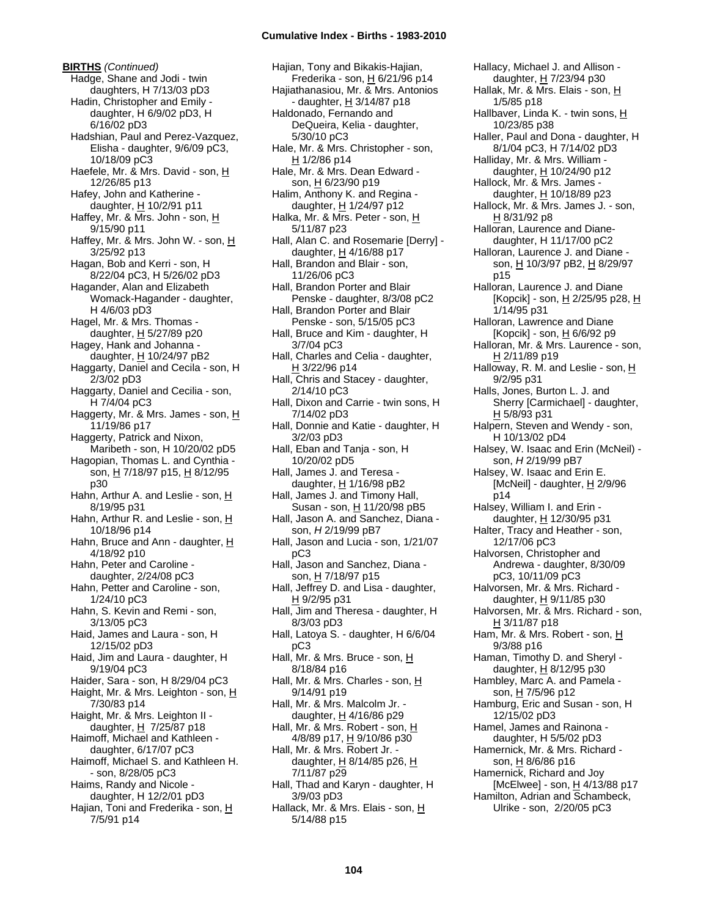**BIRTHS** *(Continued)* Hadge, Shane and Jodi - twin daughters, H 7/13/03 pD3 Hadin, Christopher and Emily daughter, H 6/9/02 pD3, H 6/16/02 pD3 Hadshian, Paul and Perez-Vazquez, Elisha - daughter, 9/6/09 pC3, 10/18/09 pC3 Haefele, Mr. & Mrs. David - son, H 12/26/85 p13 Hafey, John and Katherine daughter, H 10/2/91 p11 Haffey, Mr. & Mrs. John - son, H 9/15/90 p11 Haffey, Mr. & Mrs. John W. - son, H 3/25/92 p13 Hagan, Bob and Kerri - son, H 8/22/04 pC3, H 5/26/02 pD3 Hagander, Alan and Elizabeth Womack-Hagander - daughter, H 4/6/03 pD3 Hagel, Mr. & Mrs. Thomas daughter, H 5/27/89 p20 Hagey, Hank and Johanna daughter,  $H$  10/24/97 pB2 Haggarty, Daniel and Cecila - son, H 2/3/02 pD3 Haggarty, Daniel and Cecilia - son, H 7/4/04 pC3 Haggerty, Mr. & Mrs. James - son,  $H$ 11/19/86 p17 Haggerty, Patrick and Nixon, Maribeth - son, H 10/20/02 pD5 Hagopian, Thomas L. and Cynthia son, H 7/18/97 p15, H 8/12/95 p30 Hahn, Arthur A. and Leslie - son, H 8/19/95 p31 Hahn, Arthur R. and Leslie - son,  $H$ 10/18/96 p14 Hahn, Bruce and Ann - daughter,  $H$ 4/18/92 p10 Hahn, Peter and Caroline daughter, 2/24/08 pC3 Hahn, Petter and Caroline - son, 1/24/10 pC3 Hahn, S. Kevin and Remi - son, 3/13/05 pC3 Haid, James and Laura - son, H 12/15/02 pD3 Haid, Jim and Laura - daughter, H 9/19/04 pC3 Haider, Sara - son, H 8/29/04 pC3 Haight, Mr. & Mrs. Leighton - son,  $H$ 7/30/83 p14 Haight, Mr. & Mrs. Leighton II daughter,  $H$  7/25/87 p18 Haimoff, Michael and Kathleen daughter, 6/17/07 pC3 Haimoff, Michael S. and Kathleen H. - son, 8/28/05 pC3 Haims, Randy and Nicole daughter, H 12/2/01 pD3 Hajian, Toni and Frederika - son, H 7/5/91 p14

Hajian, Tony and Bikakis-Hajian, Frederika - son, H 6/21/96 p14 Hajiathanasiou, Mr. & Mrs. Antonios - daughter, H 3/14/87 p18 Haldonado, Fernando and DeQueira, Kelia - daughter, 5/30/10 pC3 Hale, Mr. & Mrs. Christopher - son, H 1/2/86 p14 Hale, Mr. & Mrs. Dean Edward son, H 6/23/90 p19 Halim, Anthony K. and Regina daughter,  $H$  1/24/97 p12 Halka, Mr. & Mrs. Peter - son, H 5/11/87 p23 Hall, Alan C. and Rosemarie [Derry] daughter, H 4/16/88 p17 Hall, Brandon and Blair - son, 11/26/06 pC3 Hall, Brandon Porter and Blair Penske - daughter, 8/3/08 pC2 Hall, Brandon Porter and Blair Penske - son, 5/15/05 pC3 Hall, Bruce and Kim - daughter, H 3/7/04 pC3 Hall, Charles and Celia - daughter, H 3/22/96 p14 Hall, Chris and Stacey - daughter, 2/14/10 pC3 Hall, Dixon and Carrie - twin sons, H 7/14/02 pD3 Hall, Donnie and Katie - daughter, H 3/2/03 pD3 Hall, Eban and Tanja - son, H 10/20/02 pD5 Hall, James J. and Teresa daughter, H 1/16/98 pB2 Hall, James J. and Timony Hall, Susan - son, H 11/20/98 pB5 Hall, Jason A. and Sanchez, Diana son, *H* 2/19/99 pB7 Hall, Jason and Lucia - son, 1/21/07 pC3 Hall, Jason and Sanchez, Diana son, <u>H</u> 7/18/97 p15 Hall, Jeffrey D. and Lisa - daughter, H 9/2/95 p31 Hall, Jim and Theresa - daughter, H 8/3/03 pD3 Hall, Latoya S. - daughter, H 6/6/04 pC3 Hall, Mr. & Mrs. Bruce - son, H 8/18/84 p16 Hall, Mr. & Mrs. Charles - son, H 9/14/91 p19 Hall, Mr. & Mrs. Malcolm Jr. daughter,  $H$  4/16/86 p29 Hall, Mr. & Mrs. Robert - son, H 4/8/89 p17, <u>H</u> 9/10/86 p30 Hall, Mr. & Mrs. Robert Jr. daughter,  $H$  8/14/85 p26,  $H$ 7/11/87 p29 Hall, Thad and Karyn - daughter, H 3/9/03 pD3 Hallack, Mr. & Mrs. Elais - son, H 5/14/88 p15

Hallacy, Michael J. and Allison daughter, H 7/23/94 p30 Hallak, Mr. & Mrs. Elais - son, H 1/5/85 p18 Hallbaver, Linda K. - twin sons, H 10/23/85 p38 Haller, Paul and Dona - daughter, H 8/1/04 pC3, H 7/14/02 pD3 Halliday, Mr. & Mrs. William daughter, H 10/24/90 p12 Hallock, Mr. & Mrs. James daughter, H 10/18/89 p23 Hallock, Mr. & Mrs. James J. - son, H 8/31/92 p8 Halloran, Laurence and Dianedaughter, H 11/17/00 pC2 Halloran, Laurence J. and Diane son, H 10/3/97 pB2, H 8/29/97 p15 Halloran, Laurence J. and Diane [Kopcik] - son, H 2/25/95 p28, H 1/14/95 p31 Halloran, Lawrence and Diane [Kopcik] - son, H 6/6/92 p9 Halloran, Mr. & Mrs. Laurence - son, H 2/11/89 p19 Halloway, R. M. and Leslie - son,  $H$ 9/2/95 p31 Halls, Jones, Burton L. J. and Sherry [Carmichael] - daughter, H 5/8/93 p31 Halpern, Steven and Wendy - son, H 10/13/02 pD4 Halsey, W. Isaac and Erin (McNeil) son, *H* 2/19/99 pB7 Halsey, W. Isaac and Erin E. [McNeil] - daughter,  $H$  2/9/96 p14 Halsey, William I. and Erin daughter,  $H$  12/30/95 p31 Halter, Tracy and Heather - son, 12/17/06 pC3 Halvorsen, Christopher and Andrewa - daughter, 8/30/09 pC3, 10/11/09 pC3 Halvorsen, Mr. & Mrs. Richard daughter,  $H$  9/11/85 p30 Halvorsen, Mr. & Mrs. Richard - son, H 3/11/87 p18 Ham, Mr. & Mrs. Robert - son, H 9/3/88 p16 Haman, Timothy D. and Sheryl daughter, H 8/12/95 p30 Hambley, Marc A. and Pamela son, H 7/5/96 p12 Hamburg, Eric and Susan - son, H 12/15/02 pD3 Hamel, James and Rainona daughter, H 5/5/02 pD3 Hamernick, Mr. & Mrs. Richard son, H 8/6/86 p16 Hamernick, Richard and Joy [McElwee] - son, H 4/13/88 p17 Hamilton, Adrian and Schambeck, Ulrike - son, 2/20/05 pC3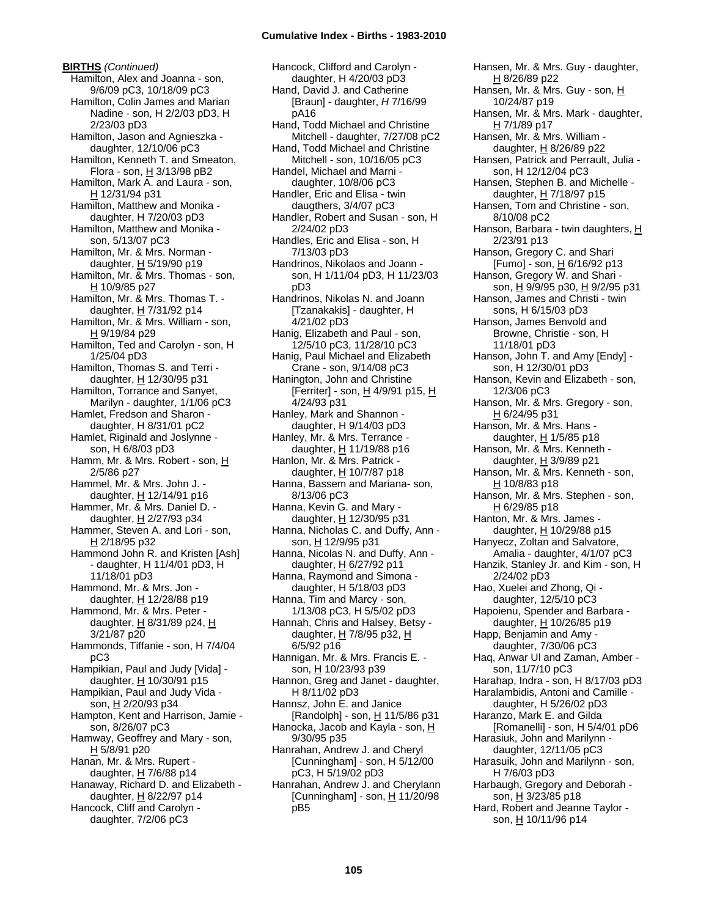**BIRTHS** *(Continued)* Hamilton, Alex and Joanna - son, 9/6/09 pC3, 10/18/09 pC3 Hamilton, Colin James and Marian Nadine - son, H 2/2/03 pD3, H 2/23/03 pD3 Hamilton, Jason and Agnieszka daughter, 12/10/06 pC3 Hamilton, Kenneth T. and Smeaton, Flora - son, H 3/13/98 pB2 Hamilton, Mark A. and Laura - son, H 12/31/94 p31 Hamilton, Matthew and Monika daughter, H 7/20/03 pD3 Hamilton, Matthew and Monika son, 5/13/07 pC3 Hamilton, Mr. & Mrs. Norman daughter,  $H$  5/19/90 p19 Hamilton, Mr. & Mrs. Thomas - son, H 10/9/85 p27 Hamilton, Mr. & Mrs. Thomas T. daughter,  $H$  7/31/92 p14 Hamilton, Mr. & Mrs. William - son, H 9/19/84 p29 Hamilton, Ted and Carolyn - son, H 1/25/04 pD3 Hamilton, Thomas S. and Terri daughter, H 12/30/95 p31 Hamilton, Torrance and Sanyet, Marilyn - daughter, 1/1/06 pC3 Hamlet, Fredson and Sharon daughter, H 8/31/01 pC2 Hamlet, Riginald and Joslynne son, H 6/8/03 pD3 Hamm, Mr. & Mrs. Robert - son, H 2/5/86 p27 Hammel, Mr. & Mrs. John J. daughter, H 12/14/91 p16 Hammer, Mr. & Mrs. Daniel D. daughter,  $H$  2/27/93 p34 Hammer, Steven A. and Lori - son, H 2/18/95 p32 Hammond John R. and Kristen [Ash] - daughter, H 11/4/01 pD3, H 11/18/01 pD3 Hammond, Mr. & Mrs. Jon daughter, H 12/28/88 p19 Hammond, Mr. & Mrs. Peter daughter,  $H$  8/31/89 p24,  $H$ 3/21/87 p20 Hammonds, Tiffanie - son, H 7/4/04 pC3 Hampikian, Paul and Judy [Vida] daughter,  $H$  10/30/91 p15 Hampikian, Paul and Judy Vida son, H 2/20/93 p34 Hampton, Kent and Harrison, Jamie son, 8/26/07 pC3 Hamway, Geoffrey and Mary - son, H 5/8/91 p20 Hanan, Mr. & Mrs. Rupert daughter, H 7/6/88 p14 Hanaway, Richard D. and Elizabeth daughter,  $H$  8/22/97 p14 Hancock, Cliff and Carolyn daughter, 7/2/06 pC3

Hancock, Clifford and Carolyn daughter, H 4/20/03 pD3 Hand, David J. and Catherine [Braun] - daughter, *H* 7/16/99 pA16 Hand, Todd Michael and Christine Mitchell - daughter, 7/27/08 pC2 Hand, Todd Michael and Christine Mitchell - son, 10/16/05 pC3 Handel, Michael and Marni daughter, 10/8/06 pC3 Handler, Eric and Elisa - twin daugthers, 3/4/07 pC3 Handler, Robert and Susan - son, H 2/24/02 pD3 Handles, Eric and Elisa - son, H 7/13/03 pD3 Handrinos, Nikolaos and Joann son, H 1/11/04 pD3, H 11/23/03 pD3 Handrinos, Nikolas N. and Joann [Tzanakakis] - daughter, H 4/21/02 pD3 Hanig, Elizabeth and Paul - son, 12/5/10 pC3, 11/28/10 pC3 Hanig, Paul Michael and Elizabeth Crane - son, 9/14/08 pC3 Hanington, John and Christine [Ferriter] - son, H 4/9/91 p15, H 4/24/93 p31 Hanley, Mark and Shannon daughter, H 9/14/03 pD3 Hanley, Mr. & Mrs. Terrance daughter, H 11/19/88 p16 Hanlon, Mr. & Mrs. Patrick daughter,  $H$  10/7/87 p18 Hanna, Bassem and Mariana- son, 8/13/06 pC3 Hanna, Kevin G. and Mary daughter, H 12/30/95 p31 Hanna, Nicholas C. and Duffy, Ann son, H 12/9/95 p31 Hanna, Nicolas N. and Duffy, Ann daughter, H 6/27/92 p11 Hanna, Raymond and Simona daughter, H 5/18/03 pD3 Hanna, Tim and Marcy - son, 1/13/08 pC3, H 5/5/02 pD3 Hannah, Chris and Halsey, Betsy daughter, H 7/8/95 p32, H 6/5/92 p16 Hannigan, Mr. & Mrs. Francis E. son, H 10/23/93 p39 Hannon, Greg and Janet - daughter, H 8/11/02 pD3 Hannsz, John E. and Janice [Randolph] - son,  $H$  11/5/86 p31 Hanocka, Jacob and Kayla - son, H 9/30/95 p35 Hanrahan, Andrew J. and Cheryl [Cunningham] - son, H 5/12/00 pC3, H 5/19/02 pD3 Hanrahan, Andrew J. and Cherylann [Cunningham] - son,  $\underline{H}$  11/20/98 pB5

Hansen, Mr. & Mrs. Guy - daughter, H 8/26/89 p22 Hansen, Mr. & Mrs. Guy - son, H 10/24/87 p19 Hansen, Mr. & Mrs. Mark - daughter, H 7/1/89 p17 Hansen, Mr. & Mrs. William daughter, H 8/26/89 p22 Hansen, Patrick and Perrault, Julia son, H 12/12/04 pC3 Hansen, Stephen B. and Michelle daughter, H 7/18/97 p15 Hansen, Tom and Christine - son, 8/10/08 pC2 Hanson, Barbara - twin daughters, H 2/23/91 p13 Hanson, Gregory C. and Shari [Fumo] - son, H 6/16/92 p13 Hanson, Gregory W. and Shari son, <u>H</u> 9/9/95 p30, <u>H</u> 9/2/95 p31 Hanson, James and Christi - twin sons, H 6/15/03 pD3 Hanson, James Benvold and Browne, Christie - son, H 11/18/01 pD3 Hanson, John T. and Amy [Endy] son, H 12/30/01 pD3 Hanson, Kevin and Elizabeth - son, 12/3/06 pC3 Hanson, Mr. & Mrs. Gregory - son,  $H$  6/24/95 p31 Hanson, Mr. & Mrs. Hans daughter,  $H$  1/5/85 p18 Hanson, Mr. & Mrs. Kenneth daughter, H 3/9/89 p21 Hanson, Mr. & Mrs. Kenneth - son, H 10/8/83 p18 Hanson, Mr. & Mrs. Stephen - son, H 6/29/85 p18 Hanton, Mr. & Mrs. James daughter, H 10/29/88 p15 Hanyecz, Zoltan and Salvatore, Amalia - daughter, 4/1/07 pC3 Hanzik, Stanley Jr. and Kim - son, H 2/24/02 pD3 Hao, Xuelei and Zhong, Qi daughter, 12/5/10 pC3 Hapoienu, Spender and Barbara daughter,  $H$  10/26/85 p19 Happ, Benjamin and Amy daughter, 7/30/06 pC3 Haq, Anwar Ul and Zaman, Amber son, 11/7/10 pC3 Harahap, Indra - son, H 8/17/03 pD3 Haralambidis, Antoni and Camille daughter, H 5/26/02 pD3 Haranzo, Mark E. and Gilda [Romanelli] - son, H 5/4/01 pD6 Harasiuk, John and Marilynn daughter, 12/11/05 pC3 Harasuik, John and Marilynn - son, H 7/6/03 pD3 Harbaugh, Gregory and Deborah son, H 3/23/85 p18

Hard, Robert and Jeanne Taylor son, H 10/11/96 p14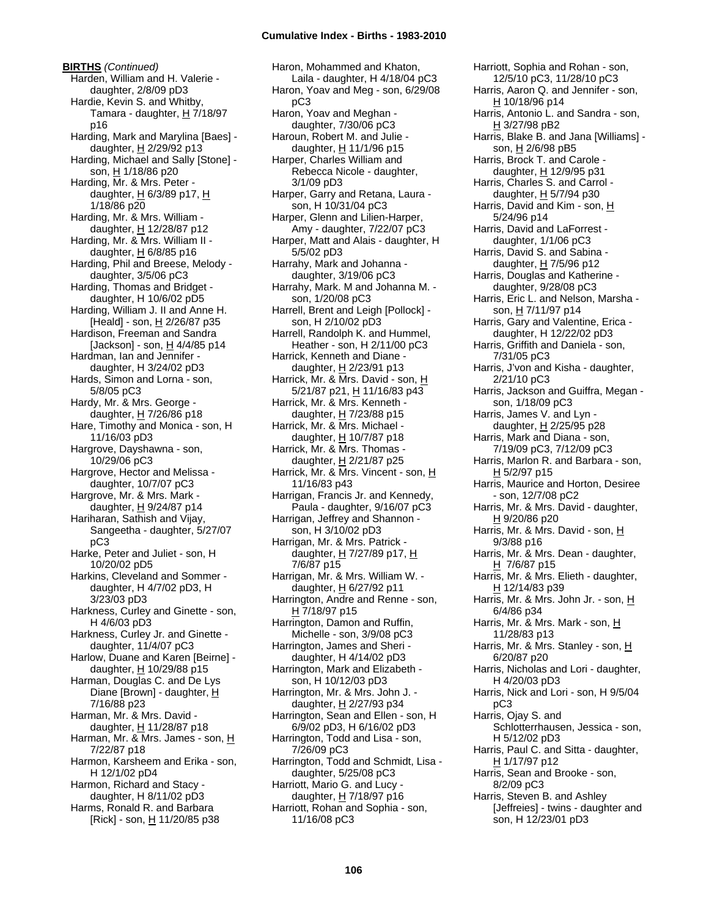**BIRTHS** *(Continued)* Harden, William and H. Valerie daughter, 2/8/09 pD3 Hardie, Kevin S. and Whitby, Tamara - daughter,  $H$  7/18/97 p16 Harding, Mark and Marylina [Baes] daughter, H 2/29/92 p13 Harding, Michael and Sally [Stone] son, H 1/18/86 p20 Harding, Mr. & Mrs. Peter daughter,  $H$  6/3/89 p17,  $H$ 1/18/86 p20 Harding, Mr. & Mrs. William daughter, H 12/28/87 p12 Harding, Mr. & Mrs. William II daughter,  $H$  6/8/85 p16 Harding, Phil and Breese, Melody daughter, 3/5/06 pC3 Harding, Thomas and Bridget daughter, H 10/6/02 pD5 Harding, William J. II and Anne H. [Heald] - son, H 2/26/87 p35 Hardison, Freeman and Sandra [Jackson] - son,  $H$  4/4/85 p14 Hardman, Ian and Jennifer daughter, H 3/24/02 pD3 Hards, Simon and Lorna - son, 5/8/05 pC3 Hardy, Mr. & Mrs. George daughter,  $H$  7/26/86 p18 Hare, Timothy and Monica - son, H 11/16/03 pD3 Hargrove, Dayshawna - son, 10/29/06 pC3 Hargrove, Hector and Melissa daughter, 10/7/07 pC3 Hargrove, Mr. & Mrs. Mark daughter, H 9/24/87 p14 Hariharan, Sathish and Vijay, Sangeetha - daughter, 5/27/07 pC3 Harke, Peter and Juliet - son, H 10/20/02 pD5 Harkins, Cleveland and Sommer daughter, H 4/7/02 pD3, H 3/23/03 pD3 Harkness, Curley and Ginette - son, H 4/6/03 pD3 Harkness, Curley Jr. and Ginette daughter, 11/4/07 pC3 Harlow, Duane and Karen [Beirne] daughter,  $H$  10/29/88 p15 Harman, Douglas C. and De Lys Diane [Brown] - daughter, H 7/16/88 p23 Harman, Mr. & Mrs. David daughter, H 11/28/87 p18 Harman, Mr. & Mrs. James - son, H 7/22/87 p18 Harmon, Karsheem and Erika - son, H 12/1/02 pD4 Harmon, Richard and Stacy daughter, H 8/11/02 pD3 Harms, Ronald R. and Barbara [Rick] - son,  $\underline{H}$  11/20/85 p38

Haron, Mohammed and Khaton, Laila - daughter, H 4/18/04 pC3 Haron, Yoav and Meg - son, 6/29/08 pC3 Haron, Yoav and Meghan daughter, 7/30/06 pC3 Haroun, Robert M. and Julie daughter, H 11/1/96 p15 Harper, Charles William and Rebecca Nicole - daughter, 3/1/09 pD3 Harper, Garry and Retana, Laura son, H 10/31/04 pC3 Harper, Glenn and Lilien-Harper, Amy - daughter, 7/22/07 pC3 Harper, Matt and Alais - daughter, H 5/5/02 pD3 Harrahy, Mark and Johanna daughter, 3/19/06 pC3 Harrahy, Mark. M and Johanna M. son, 1/20/08 pC3 Harrell, Brent and Leigh [Pollock] son, H 2/10/02 pD3 Harrell, Randolph K. and Hummel, Heather - son, H 2/11/00 pC3 Harrick, Kenneth and Diane daughter,  $H$  2/23/91 p13 Harrick, Mr. & Mrs. David - son, H 5/21/87 p21, H 11/16/83 p43 Harrick, Mr. & Mrs. Kenneth daughter, H 7/23/88 p15 Harrick, Mr. & Mrs. Michael daughter,  $H$  10/7/87 p18 Harrick, Mr. & Mrs. Thomas daughter, H 2/21/87 p25 Harrick, Mr. & Mrs. Vincent - son, H 11/16/83 p43 Harrigan, Francis Jr. and Kennedy, Paula - daughter, 9/16/07 pC3 Harrigan, Jeffrey and Shannon son, H 3/10/02 pD3 Harrigan, Mr. & Mrs. Patrick daughter,  $H$  7/27/89 p17,  $H$ 7/6/87 p15 Harrigan, Mr. & Mrs. William W. daughter,  $H$  6/27/92 p11 Harrington, Andre and Renne - son, H 7/18/97 p15 Harrington, Damon and Ruffin, Michelle - son, 3/9/08 pC3 Harrington, James and Sheri daughter, H 4/14/02 pD3 Harrington, Mark and Elizabeth son, H 10/12/03 pD3 Harrington, Mr. & Mrs. John J. daughter, H 2/27/93 p34 Harrington, Sean and Ellen - son, H 6/9/02 pD3, H 6/16/02 pD3 Harrington, Todd and Lisa - son, 7/26/09 pC3 Harrington, Todd and Schmidt, Lisa daughter, 5/25/08 pC3 Harriott, Mario G. and Lucy daughter,  $H$  7/18/97 p16 Harriott, Rohan and Sophia - son, 11/16/08 pC3

Harriott, Sophia and Rohan - son, 12/5/10 pC3, 11/28/10 pC3 Harris, Aaron Q. and Jennifer - son, H 10/18/96 p14 Harris, Antonio L. and Sandra - son, H 3/27/98 pB2 Harris, Blake B. and Jana [Williams] son, H 2/6/98 pB5 Harris, Brock T. and Carole daughter, H 12/9/95 p31 Harris, Charles S. and Carrol daughter,  $H$  5/7/94 p30 Harris, David and Kim - son, H 5/24/96 p14 Harris, David and LaForrest daughter, 1/1/06 pC3 Harris, David S. and Sabina daughter,  $H$  7/5/96 p12 Harris, Douglas and Katherine daughter, 9/28/08 pC3 Harris, Eric L. and Nelson, Marsha son, H 7/11/97 p14 Harris, Gary and Valentine, Erica daughter, H 12/22/02 pD3 Harris, Griffith and Daniela - son, 7/31/05 pC3 Harris, J'von and Kisha - daughter, 2/21/10 pC3 Harris, Jackson and Guiffra, Megan son, 1/18/09 pC3 Harris, James V. and Lyn daughter, H 2/25/95 p28 Harris, Mark and Diana - son, 7/19/09 pC3, 7/12/09 pC3 Harris, Marlon R. and Barbara - son,  $H$  5/2/97 p15 Harris, Maurice and Horton, Desiree - son, 12/7/08 pC2 Harris, Mr. & Mrs. David - daughter, H 9/20/86 p20 Harris, Mr. & Mrs. David - son, H 9/3/88 p16 Harris, Mr. & Mrs. Dean - daughter, H 7/6/87 p15 Harris, Mr. & Mrs. Elieth - daughter,  $H$  12/14/83 p39 Harris, Mr. & Mrs. John Jr. - son, H 6/4/86 p34 Harris, Mr. & Mrs. Mark - son, H 11/28/83 p13 Harris, Mr. & Mrs. Stanley - son, H 6/20/87 p20 Harris, Nicholas and Lori - daughter, H 4/20/03 pD3 Harris, Nick and Lori - son, H 9/5/04 pC3 Harris, Ojay S. and Schlotterrhausen, Jessica - son, H 5/12/02 pD3 Harris, Paul C. and Sitta - daughter,  $H$  1/17/97 p12 Harris, Sean and Brooke - son, 8/2/09 pC3 Harris, Steven B. and Ashley [Jeffreies] - twins - daughter and son, H 12/23/01 pD3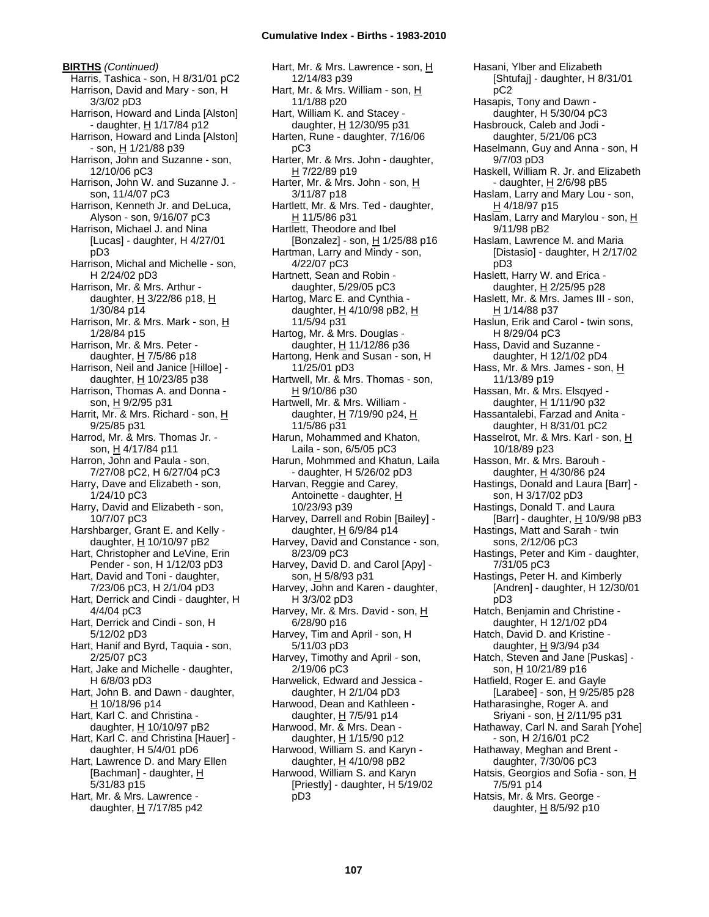**BIRTHS** *(Continued)* Harris, Tashica - son, H 8/31/01 pC2 Harrison, David and Mary - son, H 3/3/02 pD3 Harrison, Howard and Linda [Alston] - daughter, H 1/17/84 p12 Harrison, Howard and Linda [Alston] - son, H 1/21/88 p39 Harrison, John and Suzanne - son, 12/10/06 pC3 Harrison, John W. and Suzanne J. son, 11/4/07 pC3 Harrison, Kenneth Jr. and DeLuca, Alyson - son, 9/16/07 pC3 Harrison, Michael J. and Nina [Lucas] - daughter, H 4/27/01 pD3 Harrison, Michal and Michelle - son, H 2/24/02 pD3 Harrison, Mr. & Mrs. Arthur daughter,  $H$  3/22/86 p18,  $H$ 1/30/84 p14 Harrison, Mr. & Mrs. Mark - son, H 1/28/84 p15 Harrison, Mr. & Mrs. Peter daughter,  $H$  7/5/86 p18 Harrison, Neil and Janice [Hilloe] daughter,  $H$  10/23/85 p38 Harrison, Thomas A. and Donna son, H 9/2/95 p31 Harrit, Mr. & Mrs. Richard - son, H 9/25/85 p31 Harrod, Mr. & Mrs. Thomas Jr. son, H 4/17/84 p11 Harron, John and Paula - son, 7/27/08 pC2, H 6/27/04 pC3 Harry, Dave and Elizabeth - son, 1/24/10 pC3 Harry, David and Elizabeth - son, 10/7/07 pC3 Harshbarger, Grant E. and Kelly daughter,  $H$  10/10/97 pB2 Hart, Christopher and LeVine, Erin Pender - son, H 1/12/03 pD3 Hart, David and Toni - daughter, 7/23/06 pC3, H 2/1/04 pD3 Hart, Derrick and Cindi - daughter, H 4/4/04 pC3 Hart, Derrick and Cindi - son, H 5/12/02 pD3 Hart, Hanif and Byrd, Taquia - son, 2/25/07 pC3 Hart, Jake and Michelle - daughter, H 6/8/03 pD3 Hart, John B. and Dawn - daughter, H 10/18/96 p14 Hart, Karl C. and Christina daughter,  $H$  10/10/97 pB2 Hart, Karl C. and Christina [Hauer] daughter, H 5/4/01 pD6 Hart, Lawrence D. and Mary Ellen [Bachman] - daughter, H 5/31/83 p15 Hart, Mr. & Mrs. Lawrence daughter, H 7/17/85 p42

Hart, Mr. & Mrs. Lawrence - son, H 12/14/83 p39 Hart, Mr. & Mrs. William - son, H 11/1/88 p20 Hart, William K. and Stacey daughter, H 12/30/95 p31 Harten, Rune - daughter, 7/16/06 pC3 Harter, Mr. & Mrs. John - daughter, H 7/22/89 p19 Harter, Mr. & Mrs. John - son, H 3/11/87 p18 Hartlett, Mr. & Mrs. Ted - daughter,  $H$  11/5/86 p31 Hartlett, Theodore and Ibel [Bonzalez] - son,  $H$  1/25/88 p16 Hartman, Larry and Mindy - son, 4/22/07 pC3 Hartnett, Sean and Robin daughter, 5/29/05 pC3 Hartog, Marc E. and Cynthia daughter,  $H$  4/10/98 pB2,  $H$ 11/5/94 p31 Hartog, Mr. & Mrs. Douglas daughter,  $H$  11/12/86 p36 Hartong, Henk and Susan - son, H 11/25/01 pD3 Hartwell, Mr. & Mrs. Thomas - son, H 9/10/86 p30 Hartwell, Mr. & Mrs. William daughter, H 7/19/90 p24, H 11/5/86 p31 Harun, Mohammed and Khaton, Laila - son, 6/5/05 pC3 Harun, Mohmmed and Khatun, Laila - daughter, H 5/26/02 pD3 Harvan, Reggie and Carey, Antoinette - daughter, H 10/23/93 p39 Harvey, Darrell and Robin [Bailey] daughter, H 6/9/84 p14 Harvey, David and Constance - son, 8/23/09 pC3 Harvey, David D. and Carol [Apy] son, H 5/8/93 p31 Harvey, John and Karen - daughter, H 3/3/02 pD3 Harvey, Mr. & Mrs. David - son, H 6/28/90 p16 Harvey, Tim and April - son, H 5/11/03 pD3 Harvey, Timothy and April - son, 2/19/06 pC3 Harwelick, Edward and Jessica daughter, H 2/1/04 pD3 Harwood, Dean and Kathleen daughter,  $H$  7/5/91 p14 Harwood, Mr. & Mrs. Dean daughter, H 1/15/90 p12 Harwood, William S. and Karyn daughter,  $H$  4/10/98 pB2 Harwood, William S. and Karyn [Priestly] - daughter, H 5/19/02 pD3

[Shtufaj] - daughter, H 8/31/01 pC2 Hasapis, Tony and Dawn daughter, H 5/30/04 pC3 Hasbrouck, Caleb and Jodi daughter, 5/21/06 pC3 Haselmann, Guy and Anna - son, H 9/7/03 pD3 Haskell, William R. Jr. and Elizabeth - daughter, H 2/6/98 pB5 Haslam, Larry and Mary Lou - son,  $H$  4/18/97 p15 Haslam, Larry and Marylou - son, H 9/11/98 pB2 Haslam, Lawrence M. and Maria [Distasio] - daughter, H 2/17/02 pD3 Haslett, Harry W. and Erica daughter, H 2/25/95 p28 Haslett, Mr. & Mrs. James III - son, H 1/14/88 p37 Haslun, Erik and Carol - twin sons, H 8/29/04 pC3 Hass, David and Suzanne daughter, H 12/1/02 pD4 Hass, Mr. & Mrs. James - son, H 11/13/89 p19 Hassan, Mr. & Mrs. Elsqyed daughter, H 1/11/90 p32 Hassantalebi, Farzad and Anita daughter, H 8/31/01 pC2 Hasselrot, Mr. & Mrs. Karl - son, H 10/18/89 p23 Hasson, Mr. & Mrs. Barouh daughter, H 4/30/86 p24 Hastings, Donald and Laura [Barr] son, H 3/17/02 pD3 Hastings, Donald T. and Laura [Barr] - daughter,  $H$  10/9/98 pB3 Hastings, Matt and Sarah - twin sons, 2/12/06 pC3 Hastings, Peter and Kim - daughter, 7/31/05 pC3 Hastings, Peter H. and Kimberly [Andren] - daughter, H 12/30/01 pD3 Hatch, Benjamin and Christine daughter, H 12/1/02 pD4 Hatch, David D. and Kristine daughter,  $H$  9/3/94 p34 Hatch, Steven and Jane [Puskas] son, H 10/21/89 p16 Hatfield, Roger E. and Gayle [Larabee] - son, H 9/25/85 p28 Hatharasinghe, Roger A. and Sriyani - son, H 2/11/95 p31 Hathaway, Carl N. and Sarah [Yohe] - son, H 2/16/01 pC2 Hathaway, Meghan and Brent daughter, 7/30/06 pC3 Hatsis, Georgios and Sofia - son, H 7/5/91 p14 Hatsis, Mr. & Mrs. George daughter,  $H$  8/5/92 p10

Hasani, Ylber and Elizabeth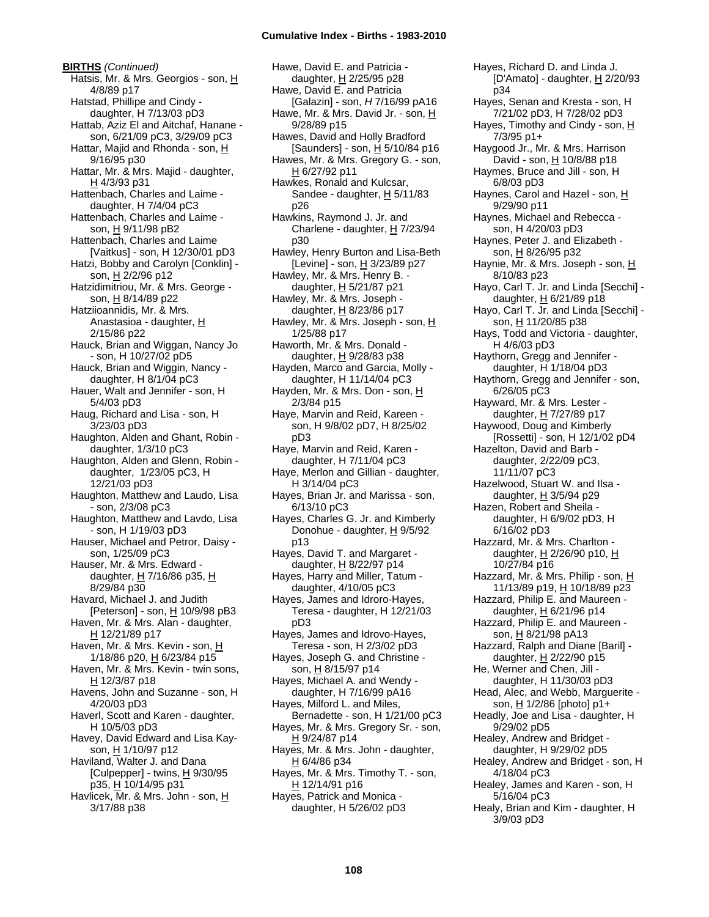**BIRTHS** *(Continued)* Hatsis, Mr. & Mrs. Georgios - son, H 4/8/89 p17 Hatstad, Phillipe and Cindy daughter, H 7/13/03 pD3 Hattab, Aziz El and Aitchaf, Hanane son, 6/21/09 pC3, 3/29/09 pC3 Hattar, Majid and Rhonda - son, H 9/16/95 p30 Hattar, Mr. & Mrs. Majid - daughter, H 4/3/93 p31 Hattenbach, Charles and Laime daughter, H 7/4/04 pC3 Hattenbach, Charles and Laime son, H 9/11/98 pB2 Hattenbach, Charles and Laime [Vaitkus] - son, H 12/30/01 pD3 Hatzi, Bobby and Carolyn [Conklin] son, H 2/2/96 p12 Hatzidimitriou, Mr. & Mrs. George son, H 8/14/89 p22 Hatziioannidis, Mr. & Mrs. Anastasioa - daughter, H 2/15/86 p22 Hauck, Brian and Wiggan, Nancy Jo - son, H 10/27/02 pD5 Hauck, Brian and Wiggin, Nancy daughter, H 8/1/04 pC3 Hauer, Walt and Jennifer - son, H 5/4/03 pD3 Haug, Richard and Lisa - son, H 3/23/03 pD3 Haughton, Alden and Ghant, Robin daughter, 1/3/10 pC3 Haughton, Alden and Glenn, Robin daughter, 1/23/05 pC3, H 12/21/03 pD3 Haughton, Matthew and Laudo, Lisa - son, 2/3/08 pC3 Haughton, Matthew and Lavdo, Lisa - son, H 1/19/03 pD3 Hauser, Michael and Petror, Daisy son, 1/25/09 pC3 Hauser, Mr. & Mrs. Edward daughter,  $H$  7/16/86 p35,  $H$ 8/29/84 p30 Havard, Michael J. and Judith [Peterson] - son,  $\underline{H}$  10/9/98 pB3 Haven, Mr. & Mrs. Alan - daughter, H 12/21/89 p17 Haven, Mr. & Mrs. Kevin - son, H 1/18/86 p20, H 6/23/84 p15 Haven, Mr. & Mrs. Kevin - twin sons, H 12/3/87 p18 Havens, John and Suzanne - son, H 4/20/03 pD3 Haverl, Scott and Karen - daughter, H 10/5/03 pD3 Havey, David Edward and Lisa Kayson, H 1/10/97 p12 Haviland, Walter J. and Dana [Culpepper] - twins, H 9/30/95 p35, H 10/14/95 p31 Havlicek, Mr. & Mrs. John - son, H 3/17/88 p38

Hawe, David E. and Patricia daughter, H 2/25/95 p28 Hawe, David E. and Patricia [Galazin] - son, *H* 7/16/99 pA16 Hawe, Mr. & Mrs. David Jr. - son, H 9/28/89 p15 Hawes, David and Holly Bradford [Saunders] - son, H 5/10/84 p16 Hawes, Mr. & Mrs. Gregory G. - son, H 6/27/92 p11 Hawkes, Ronald and Kulcsar, Sandee - daughter,  $H$  5/11/83 p26 Hawkins, Raymond J. Jr. and Charlene - daughter, H 7/23/94 p30 Hawley, Henry Burton and Lisa-Beth [Levine] - son, H 3/23/89 p27 Hawley, Mr. & Mrs. Henry B. daughter, H 5/21/87 p21 Hawley, Mr. & Mrs. Joseph daughter,  $H$  8/23/86 p17 Hawley, Mr. & Mrs. Joseph - son, H 1/25/88 p17 Haworth, Mr. & Mrs. Donald daughter, H 9/28/83 p38 Hayden, Marco and Garcia, Molly daughter, H 11/14/04 pC3 Hayden, Mr. & Mrs. Don - son, H 2/3/84 p15 Haye, Marvin and Reid, Kareen son, H 9/8/02 pD7, H 8/25/02 pD3 Haye, Marvin and Reid, Karen daughter, H 7/11/04 pC3 Haye, Merlon and Gillian - daughter, H 3/14/04 pC3 Hayes, Brian Jr. and Marissa - son, 6/13/10 pC3 Hayes, Charles G. Jr. and Kimberly Donohue - daughter, H 9/5/92 p13 Hayes, David T. and Margaret daughter, H 8/22/97 p14 Hayes, Harry and Miller, Tatum daughter, 4/10/05 pC3 Hayes, James and Idroro-Hayes, Teresa - daughter, H 12/21/03 pD3 Hayes, James and Idrovo-Hayes, Teresa - son, H 2/3/02 pD3 Hayes, Joseph G. and Christine son, H 8/15/97 p14 Hayes, Michael A. and Wendy daughter, H 7/16/99 pA16 Hayes, Milford L. and Miles, Bernadette - son, H 1/21/00 pC3 Hayes, Mr. & Mrs. Gregory Sr. - son, H 9/24/87 p14 Hayes, Mr. & Mrs. John - daughter, H 6/4/86 p34 Hayes, Mr. & Mrs. Timothy T. - son, H 12/14/91 p16 Hayes, Patrick and Monica daughter, H 5/26/02 pD3

p34 Hayes, Senan and Kresta - son, H 7/21/02 pD3, H 7/28/02 pD3 Hayes, Timothy and Cindy - son, H 7/3/95 p1+ Haygood Jr., Mr. & Mrs. Harrison David - son, H 10/8/88 p18 Haymes, Bruce and Jill - son, H 6/8/03 pD3 Haynes, Carol and Hazel - son, H 9/29/90 p11 Haynes, Michael and Rebecca son, H 4/20/03 pD3 Haynes, Peter J. and Elizabeth son, <u>H</u> 8/26/95 p32 Haynie, Mr. & Mrs. Joseph - son, H 8/10/83 p23 Hayo, Carl T. Jr. and Linda [Secchi] daughter, H 6/21/89 p18 Hayo, Carl T. Jr. and Linda [Secchi] son, H 11/20/85 p38 Hays, Todd and Victoria - daughter, H 4/6/03 pD3 Haythorn, Gregg and Jennifer daughter, H 1/18/04 pD3 Haythorn, Gregg and Jennifer - son, 6/26/05 pC3 Hayward, Mr. & Mrs. Lester daughter, H 7/27/89 p17 Haywood, Doug and Kimberly [Rossetti] - son, H 12/1/02 pD4 Hazelton, David and Barb daughter, 2/22/09 pC3, 11/11/07 pC3 Hazelwood, Stuart W. and Ilsa daughter, H 3/5/94 p29 Hazen, Robert and Sheila daughter, H 6/9/02 pD3, H 6/16/02 pD3 Hazzard, Mr. & Mrs. Charlton daughter, H 2/26/90 p10, H 10/27/84 p16 Hazzard, Mr. & Mrs. Philip - son, H 11/13/89 p19, H 10/18/89 p23 Hazzard, Philip E. and Maureen daughter,  $H$  6/21/96 p14 Hazzard, Philip E. and Maureen son, H 8/21/98 pA13 Hazzard, Ralph and Diane [Baril] daughter,  $H$  2/22/90 p15 He, Werner and Chen, Jill daughter, H 11/30/03 pD3 Head, Alec, and Webb, Marguerite son, H 1/2/86 [photo] p1+ Headly, Joe and Lisa - daughter, H 9/29/02 pD5 Healey, Andrew and Bridget daughter, H 9/29/02 pD5 Healey, Andrew and Bridget - son, H 4/18/04 pC3 Healey, James and Karen - son, H 5/16/04 pC3 Healy, Brian and Kim - daughter, H 3/9/03 pD3

Hayes, Richard D. and Linda J.

[D'Amato] - daughter, H 2/20/93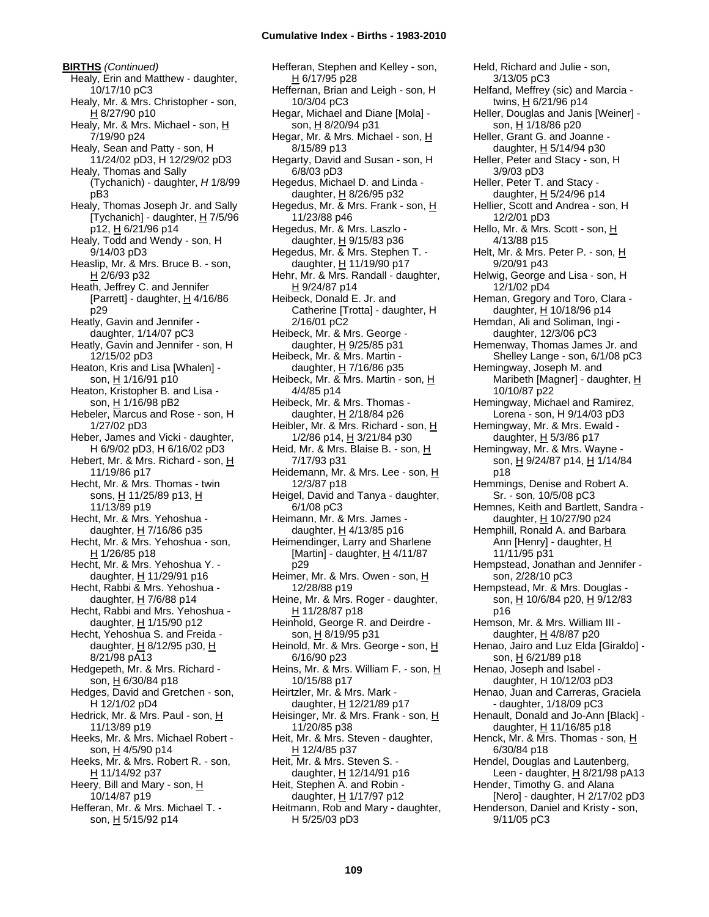**BIRTHS** *(Continued)* Healy, Erin and Matthew - daughter, 10/17/10 pC3 Healy, Mr. & Mrs. Christopher - son, H 8/27/90 p10 Healy, Mr. & Mrs. Michael - son, H 7/19/90 p24 Healy, Sean and Patty - son, H 11/24/02 pD3, H 12/29/02 pD3 Healy, Thomas and Sally (Tychanich) - daughter, *H* 1/8/99 pB3 Healy, Thomas Joseph Jr. and Sally [Tychanich] - daughter,  $H$  7/5/96 p12, H 6/21/96 p14 Healy, Todd and Wendy - son, H 9/14/03 pD3 Heaslip, Mr. & Mrs. Bruce B. - son, H 2/6/93 p32 Heath, Jeffrey C. and Jennifer [Parrett] - daughter,  $\underline{H}$  4/16/86 p29 Heatly, Gavin and Jennifer daughter, 1/14/07 pC3 Heatly, Gavin and Jennifer - son, H 12/15/02 pD3 Heaton, Kris and Lisa [Whalen] son, H 1/16/91 p10 Heaton, Kristopher B. and Lisa son, H 1/16/98 pB2 Hebeler, Marcus and Rose - son, H 1/27/02 pD3 Heber, James and Vicki - daughter, H 6/9/02 pD3, H 6/16/02 pD3 Hebert, Mr. & Mrs. Richard - son, H 11/19/86 p17 Hecht, Mr. & Mrs. Thomas - twin sons, H 11/25/89 p13, H 11/13/89 p19 Hecht, Mr. & Mrs. Yehoshua daughter, H 7/16/86 p35 Hecht, Mr. & Mrs. Yehoshua - son,  $H$  1/26/85 p18 Hecht, Mr. & Mrs. Yehoshua Y. daughter,  $H$  11/29/91 p16 Hecht, Rabbi & Mrs. Yehoshua daughter, H 7/6/88 p14 Hecht, Rabbi and Mrs. Yehoshua daughter, H 1/15/90 p12 Hecht, Yehoshua S. and Freida daughter,  $H$  8/12/95 p30,  $H$ 8/21/98 pA13 Hedgepeth, Mr. & Mrs. Richard son, H 6/30/84 p18 Hedges, David and Gretchen - son, H 12/1/02 pD4 Hedrick, Mr. & Mrs. Paul - son, H 11/13/89 p19 Heeks, Mr. & Mrs. Michael Robert son, H 4/5/90 p14 Heeks, Mr. & Mrs. Robert R. - son, H 11/14/92 p37 Heery, Bill and Mary - son, H 10/14/87 p19 Hefferan, Mr. & Mrs. Michael T. son, H 5/15/92 p14

Hefferan, Stephen and Kelley - son, H 6/17/95 p28 Heffernan, Brian and Leigh - son, H 10/3/04 pC3 Hegar, Michael and Diane [Mola] son, H 8/20/94 p31 Hegar, Mr. & Mrs. Michael - son, H 8/15/89 p13 Hegarty, David and Susan - son, H 6/8/03 pD3 Hegedus, Michael D. and Linda daughter, H 8/26/95 p32 Hegedus, Mr. & Mrs. Frank - son, H 11/23/88 p46 Hegedus, Mr. & Mrs. Laszlo daughter,  $H$  9/15/83 p36 Hegedus, Mr. & Mrs. Stephen T. daughter, H 11/19/90 p17 Hehr, Mr. & Mrs. Randall - daughter, H 9/24/87 p14 Heibeck, Donald E. Jr. and Catherine [Trotta] - daughter, H 2/16/01 pC2 Heibeck, Mr. & Mrs. George daughter,  $H$  9/25/85 p31 Heibeck, Mr. & Mrs. Martin daughter,  $H$  7/16/86 p35 Heibeck, Mr. & Mrs. Martin - son, H 4/4/85 p14 Heibeck, Mr. & Mrs. Thomas daughter,  $H$  2/18/84 p26 Heibler, Mr. & Mrs. Richard - son, H 1/2/86 p14, H 3/21/84 p30 Heid, Mr. & Mrs. Blaise B. - son, H 7/17/93 p31 Heidemann, Mr. & Mrs. Lee - son, H 12/3/87 p18 Heigel, David and Tanya - daughter, 6/1/08 pC3 Heimann, Mr. & Mrs. James daughter, H 4/13/85 p16 Heimendinger, Larry and Sharlene [Martin] - daughter,  $H$  4/11/87 p29 Heimer, Mr. & Mrs. Owen - son, H 12/28/88 p19 Heine, Mr. & Mrs. Roger - daughter, H 11/28/87 p18 Heinhold, George R. and Deirdre son, H 8/19/95 p31 Heinold, Mr. & Mrs. George - son, H 6/16/90 p23 Heins, Mr. & Mrs. William F. - son, H 10/15/88 p17 Heirtzler, Mr. & Mrs. Mark daughter, H 12/21/89 p17 Heisinger, Mr. & Mrs. Frank - son, H 11/20/85 p38 Heit, Mr. & Mrs. Steven - daughter, H 12/4/85 p37 Heit, Mr. & Mrs. Steven S. daughter, H 12/14/91 p16 Heit, Stephen A. and Robin daughter, H 1/17/97 p12 Heitmann, Rob and Mary - daughter, H 5/25/03 pD3

Held, Richard and Julie - son, 3/13/05 pC3 Helfand, Meffrey (sic) and Marcia twins,  $H_6/21/96$  p14 Heller, Douglas and Janis [Weiner] son, H 1/18/86 p20 Heller, Grant G. and Joanne daughter, H 5/14/94 p30 Heller, Peter and Stacy - son, H 3/9/03 pD3 Heller, Peter T. and Stacy daughter,  $H$  5/24/96 p14 Hellier, Scott and Andrea - son, H 12/2/01 pD3 Hello, Mr. & Mrs. Scott - son, H 4/13/88 p15 Helt, Mr. & Mrs. Peter P. - son, H 9/20/91 p43 Helwig, George and Lisa - son, H 12/1/02 pD4 Heman, Gregory and Toro, Clara daughter,  $H$  10/18/96 p14 Hemdan, Ali and Soliman, Ingi daughter, 12/3/06 pC3 Hemenway, Thomas James Jr. and Shelley Lange - son, 6/1/08 pC3 Hemingway, Joseph M. and Maribeth [Magner] - daughter, H 10/10/87 p22 Hemingway, Michael and Ramirez, Lorena - son, H 9/14/03 pD3 Hemingway, Mr. & Mrs. Ewald daughter,  $H$  5/3/86 p17 Hemingway, Mr. & Mrs. Wayne son, H 9/24/87 p14, H 1/14/84 p18 Hemmings, Denise and Robert A. Sr. - son, 10/5/08 pC3 Hemnes, Keith and Bartlett, Sandra daughter, H 10/27/90 p24 Hemphill, Ronald A. and Barbara Ann [Henry] - daughter, H 11/11/95 p31 Hempstead, Jonathan and Jennifer son, 2/28/10 pC3 Hempstead, Mr. & Mrs. Douglas son, H 10/6/84 p20, H 9/12/83 p16 Hemson, Mr. & Mrs. William III daughter, H 4/8/87 p20 Henao, Jairo and Luz Elda [Giraldo] son, H 6/21/89 p18 Henao, Joseph and Isabel daughter, H 10/12/03 pD3 Henao, Juan and Carreras, Graciela - daughter, 1/18/09 pC3 Henault, Donald and Jo-Ann [Black] daughter, H 11/16/85 p18 Henck, Mr. & Mrs. Thomas - son, H 6/30/84 p18 Hendel, Douglas and Lautenberg, Leen - daughter, H 8/21/98 pA13 Hender, Timothy G. and Alana [Nero] - daughter, H 2/17/02 pD3 Henderson, Daniel and Kristy - son, 9/11/05 pC3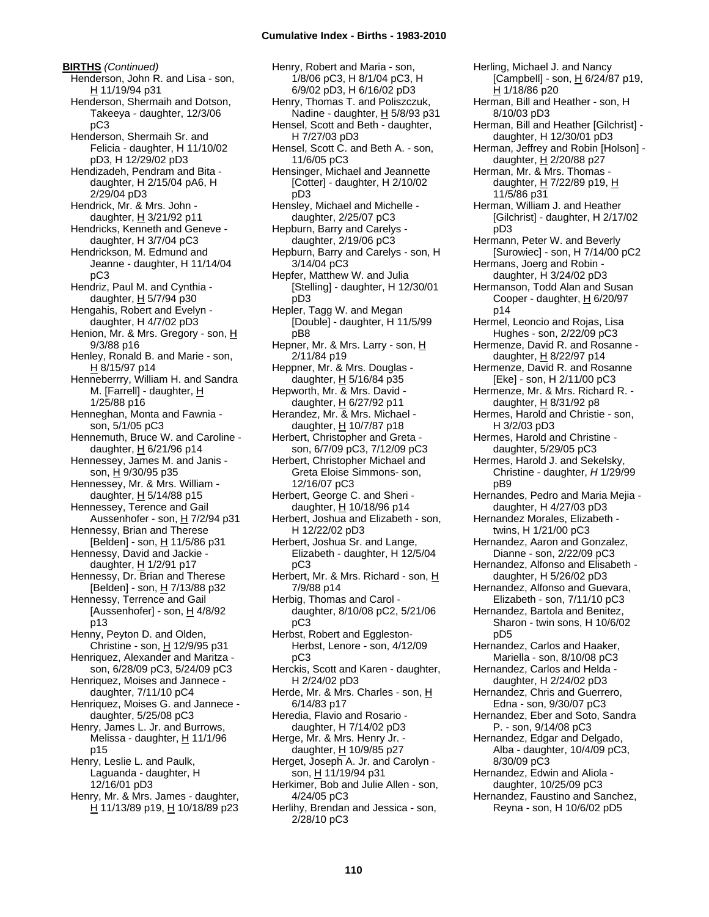**BIRTHS** *(Continued)* Henderson, John R. and Lisa - son, H 11/19/94 p31 Henderson, Shermaih and Dotson, Takeeya - daughter, 12/3/06 pC3 Henderson, Shermaih Sr. and Felicia - daughter, H 11/10/02 pD3, H 12/29/02 pD3 Hendizadeh, Pendram and Bita daughter, H 2/15/04 pA6, H 2/29/04 pD3 Hendrick, Mr. & Mrs. John daughter, H 3/21/92 p11 Hendricks, Kenneth and Geneve daughter, H 3/7/04 pC3 Hendrickson, M. Edmund and Jeanne - daughter, H 11/14/04 pC3 Hendriz, Paul M. and Cynthia daughter,  $H$  5/7/94 p30 Hengahis, Robert and Evelyn daughter, H 4/7/02 pD3 Henion, Mr. & Mrs. Gregory - son, H 9/3/88 p16 Henley, Ronald B. and Marie - son, H 8/15/97 p14 Henneberrry, William H. and Sandra M. [Farrell] - daughter, H 1/25/88 p16 Henneghan, Monta and Fawnia son, 5/1/05 pC3 Hennemuth, Bruce W. and Caroline daughter, H 6/21/96 p14 Hennessey, James M. and Janis son, H 9/30/95 p35 Hennessey, Mr. & Mrs. William daughter,  $H$  5/14/88 p15 Hennessey, Terence and Gail Aussenhofer - son, H 7/2/94 p31 Hennessy, Brian and Therese [Belden] - son, H 11/5/86 p31 Hennessy, David and Jackie daughter, H 1/2/91 p17 Hennessy, Dr. Brian and Therese [Belden] - son, H 7/13/88 p32 Hennessy, Terrence and Gail [Aussenhofer] - son,  $H$  4/8/92 p13 Henny, Peyton D. and Olden, Christine - son,  $H$  12/9/95 p31 Henriquez, Alexander and Maritza son, 6/28/09 pC3, 5/24/09 pC3 Henriquez, Moises and Jannece daughter, 7/11/10 pC4 Henriquez, Moises G. and Jannece daughter, 5/25/08 pC3 Henry, James L. Jr. and Burrows, Melissa - daughter,  $H$  11/1/96 p15 Henry, Leslie L. and Paulk, Laguanda - daughter, H 12/16/01 pD3 Henry, Mr. & Mrs. James - daughter, H 11/13/89 p19, H 10/18/89 p23

Henry, Robert and Maria - son, 1/8/06 pC3, H 8/1/04 pC3, H 6/9/02 pD3, H 6/16/02 pD3 Henry, Thomas T. and Poliszczuk, Nadine - daughter, H 5/8/93 p31 Hensel, Scott and Beth - daughter, H 7/27/03 pD3 Hensel, Scott C. and Beth A. - son, 11/6/05 pC3 Hensinger, Michael and Jeannette [Cotter] - daughter, H 2/10/02 pD3 Hensley, Michael and Michelle daughter, 2/25/07 pC3 Hepburn, Barry and Carelys daughter, 2/19/06 pC3 Hepburn, Barry and Carelys - son, H 3/14/04 pC3 Hepfer, Matthew W. and Julia [Stelling] - daughter, H 12/30/01 pD3 Hepler, Tagg W. and Megan [Double] - daughter, H 11/5/99 pB8 Hepner, Mr. & Mrs. Larry - son, H 2/11/84 p19 Heppner, Mr. & Mrs. Douglas daughter,  $H$  5/16/84 p35 Hepworth, Mr. & Mrs. David daughter, H 6/27/92 p11 Herandez, Mr. & Mrs. Michael daughter, H 10/7/87 p18 Herbert, Christopher and Greta son, 6/7/09 pC3, 7/12/09 pC3 Herbert, Christopher Michael and Greta Eloise Simmons- son, 12/16/07 pC3 Herbert, George C. and Sheri daughter, H 10/18/96 p14 Herbert, Joshua and Elizabeth - son, H 12/22/02 pD3 Herbert, Joshua Sr. and Lange, Elizabeth - daughter, H 12/5/04 pC3 Herbert, Mr. & Mrs. Richard - son, H 7/9/88 p14 Herbig, Thomas and Carol daughter, 8/10/08 pC2, 5/21/06 pC3 Herbst, Robert and Eggleston-Herbst, Lenore - son, 4/12/09 pC3 Herckis, Scott and Karen - daughter, H 2/24/02 pD3 Herde, Mr. & Mrs. Charles - son, H 6/14/83 p17 Heredia, Flavio and Rosario daughter, H 7/14/02 pD3 Herge, Mr. & Mrs. Henry Jr. daughter, H 10/9/85 p27 Herget, Joseph A. Jr. and Carolyn son, H 11/19/94 p31 Herkimer, Bob and Julie Allen - son, 4/24/05 pC3 Herlihy, Brendan and Jessica - son, 2/28/10 pC3

Herling, Michael J. and Nancy [Campbell] - son, H 6/24/87 p19, H 1/18/86 p20 Herman, Bill and Heather - son, H 8/10/03 pD3 Herman, Bill and Heather [Gilchrist] daughter, H 12/30/01 pD3 Herman, Jeffrey and Robin [Holson] daughter,  $H$  2/20/88 p27 Herman, Mr. & Mrs. Thomas daughter, H 7/22/89 p19, H 11/5/86 p31 Herman, William J. and Heather [Gilchrist] - daughter, H 2/17/02 pD3 Hermann, Peter W. and Beverly [Surowiec] - son, H 7/14/00 pC2 Hermans, Joerg and Robin daughter, H 3/24/02 pD3 Hermanson, Todd Alan and Susan Cooper - daughter,  $H_6$  6/20/97 p14 Hermel, Leoncio and Rojas, Lisa Hughes - son, 2/22/09 pC3 Hermenze, David R. and Rosanne daughter, H 8/22/97 p14 Hermenze, David R. and Rosanne [Eke] - son, H 2/11/00 pC3 Hermenze, Mr. & Mrs. Richard R. daughter, H 8/31/92 p8 Hermes, Harold and Christie - son, H 3/2/03 pD3 Hermes, Harold and Christine daughter, 5/29/05 pC3 Hermes, Harold J. and Sekelsky, Christine - daughter, *H* 1/29/99 pB9 Hernandes, Pedro and Maria Mejia daughter, H 4/27/03 pD3 Hernandez Morales, Elizabeth twins, H 1/21/00 pC3 Hernandez, Aaron and Gonzalez, Dianne - son, 2/22/09 pC3 Hernandez, Alfonso and Elisabeth daughter, H 5/26/02 pD3 Hernandez, Alfonso and Guevara, Elizabeth - son, 7/11/10 pC3 Hernandez, Bartola and Benitez, Sharon - twin sons, H 10/6/02 pD5 Hernandez, Carlos and Haaker, Mariella - son, 8/10/08 pC3 Hernandez, Carlos and Helda daughter, H 2/24/02 pD3 Hernandez, Chris and Guerrero, Edna - son, 9/30/07 pC3 Hernandez, Eber and Soto, Sandra P. - son, 9/14/08 pC3 Hernandez, Edgar and Delgado, Alba - daughter, 10/4/09 pC3, 8/30/09 pC3 Hernandez, Edwin and Aliola daughter, 10/25/09 pC3 Hernandez, Faustino and Sanchez, Reyna - son, H 10/6/02 pD5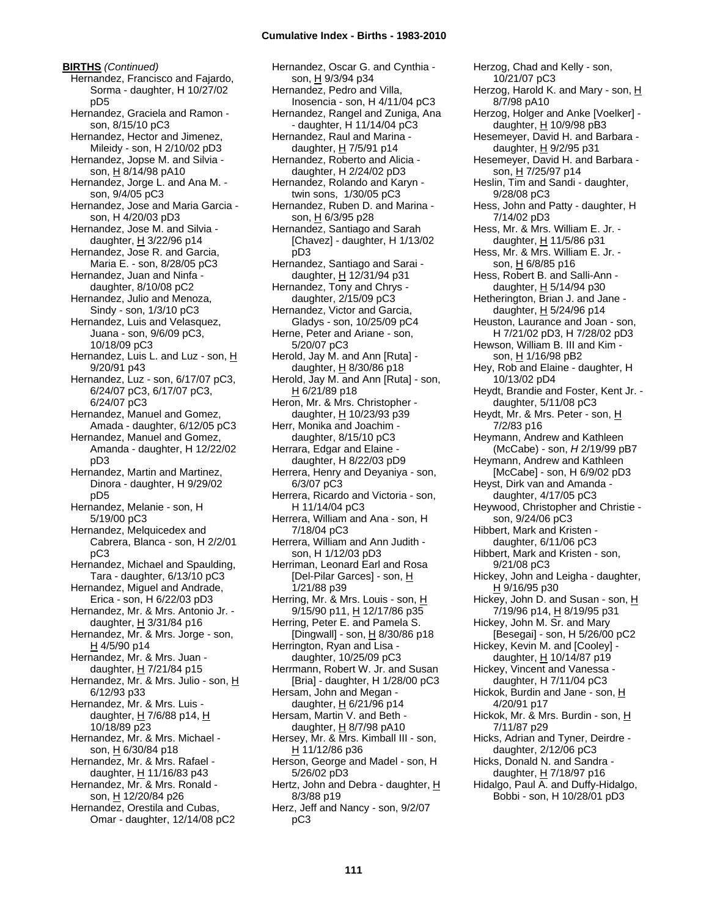**BIRTHS** *(Continued)* Hernandez, Francisco and Fajardo, Sorma - daughter, H 10/27/02 pD5 Hernandez, Graciela and Ramon son, 8/15/10 pC3 Hernandez, Hector and Jimenez, Mileidy - son, H 2/10/02 pD3 Hernandez, Jopse M. and Silvia son, H 8/14/98 pA10 Hernandez, Jorge L. and Ana M. son, 9/4/05 pC3 Hernandez, Jose and Maria Garcia son, H 4/20/03 pD3 Hernandez, Jose M. and Silvia daughter,  $H$  3/22/96 p14 Hernandez, Jose R. and Garcia, Maria E. - son, 8/28/05 pC3 Hernandez, Juan and Ninfa daughter, 8/10/08 pC2 Hernandez, Julio and Menoza, Sindy - son, 1/3/10 pC3 Hernandez, Luis and Velasquez, Juana - son, 9/6/09 pC3, 10/18/09 pC3 Hernandez, Luis L. and Luz - son, H 9/20/91 p43 Hernandez, Luz - son, 6/17/07 pC3, 6/24/07 pC3, 6/17/07 pC3, 6/24/07 pC3 Hernandez, Manuel and Gomez, Amada - daughter, 6/12/05 pC3 Hernandez, Manuel and Gomez, Amanda - daughter, H 12/22/02 pD3 Hernandez, Martin and Martinez, Dinora - daughter, H 9/29/02 pD5 Hernandez, Melanie - son, H 5/19/00 pC3 Hernandez, Melquicedex and Cabrera, Blanca - son, H 2/2/01 pC3 Hernandez, Michael and Spaulding, Tara - daughter, 6/13/10 pC3 Hernandez, Miguel and Andrade, Erica - son, H 6/22/03 pD3 Hernandez, Mr. & Mrs. Antonio Jr. daughter,  $H$  3/31/84 p16 Hernandez, Mr. & Mrs. Jorge - son, H 4/5/90 p14 Hernandez, Mr. & Mrs. Juan daughter,  $H$  7/21/84 p15 Hernandez, Mr. & Mrs. Julio - son, H 6/12/93 p33 Hernandez, Mr. & Mrs. Luis daughter, H 7/6/88 p14, H 10/18/89 p23 Hernandez, Mr. & Mrs. Michael son, H 6/30/84 p18 Hernandez, Mr. & Mrs. Rafael daughter, H 11/16/83 p43 Hernandez, Mr. & Mrs. Ronald son, H 12/20/84 p26 Hernandez, Orestila and Cubas, Omar - daughter, 12/14/08 pC2

Hernandez, Oscar G. and Cynthia son, H 9/3/94 p34 Hernandez, Pedro and Villa, Inosencia - son, H 4/11/04 pC3 Hernandez, Rangel and Zuniga, Ana - daughter, H 11/14/04 pC3 Hernandez, Raul and Marina daughter, H 7/5/91 p14 Hernandez, Roberto and Alicia daughter, H 2/24/02 pD3 Hernandez, Rolando and Karyn twin sons, 1/30/05 pC3 Hernandez, Ruben D. and Marina son, H 6/3/95 p28 Hernandez, Santiago and Sarah [Chavez] - daughter, H 1/13/02 pD3 Hernandez, Santiago and Sarai daughter, H 12/31/94 p31 Hernandez, Tony and Chrys daughter, 2/15/09 pC3 Hernandez, Victor and Garcia, Gladys - son, 10/25/09 pC4 Herne, Peter and Ariane - son, 5/20/07 pC3 Herold, Jay M. and Ann [Ruta] daughter,  $H$  8/30/86 p18 Herold, Jay M. and Ann [Ruta] - son, H 6/21/89 p18 Heron, Mr. & Mrs. Christopher daughter, H 10/23/93 p39 Herr, Monika and Joachim daughter, 8/15/10 pC3 Herrara, Edgar and Elaine daughter, H 8/22/03 pD9 Herrera, Henry and Deyaniya - son, 6/3/07 pC3 Herrera, Ricardo and Victoria - son, H 11/14/04 pC3 Herrera, William and Ana - son, H 7/18/04 pC3 Herrera, William and Ann Judith son, H 1/12/03 pD3 Herriman, Leonard Earl and Rosa [Del-Pilar Garces] - son, H 1/21/88 p39 Herring, Mr. & Mrs. Louis - son, H 9/15/90 p11, H 12/17/86 p35 Herring, Peter E. and Pamela S. [Dingwall] - son, H 8/30/86 p18 Herrington, Ryan and Lisa daughter, 10/25/09 pC3 Herrmann, Robert W. Jr. and Susan [Bria] - daughter, H 1/28/00 pC3 Hersam, John and Megan daughter, H 6/21/96 p14 Hersam, Martin V. and Beth daughter,  $H$  8/7/98 pA10 Hersey, Mr. & Mrs. Kimball III - son, H 11/12/86 p36 Herson, George and Madel - son, H 5/26/02 pD3 Hertz, John and Debra - daughter, H 8/3/88 p19 Herz, Jeff and Nancy - son, 9/2/07 pC3

Herzog, Chad and Kelly - son, 10/21/07 pC3 Herzog, Harold K. and Mary - son, H 8/7/98 pA10 Herzog, Holger and Anke [Voelker] daughter, H 10/9/98 pB3 Hesemeyer, David H. and Barbara daughter, H 9/2/95 p31 Hesemeyer, David H. and Barbara son, H 7/25/97 p14 Heslin, Tim and Sandi - daughter, 9/28/08 pC3 Hess, John and Patty - daughter, H 7/14/02 pD3 Hess, Mr. & Mrs. William E. Jr. daughter,  $H$  11/5/86 p31 Hess, Mr. & Mrs. William E. Jr. son, H 6/8/85 p16 Hess, Robert B. and Salli-Ann daughter, H 5/14/94 p30 Hetherington, Brian J. and Jane daughter,  $H$  5/24/96 p14 Heuston, Laurance and Joan - son, H 7/21/02 pD3, H 7/28/02 pD3 Hewson, William B. III and Kim son, H 1/16/98 pB2 Hey, Rob and Elaine - daughter, H 10/13/02 pD4 Heydt, Brandie and Foster, Kent Jr. daughter, 5/11/08 pC3 Heydt, Mr. & Mrs. Peter - son, H 7/2/83 p16 Heymann, Andrew and Kathleen (McCabe) - son, *H* 2/19/99 pB7 Heymann, Andrew and Kathleen [McCabe] - son, H 6/9/02 pD3 Heyst, Dirk van and Amanda daughter, 4/17/05 pC3 Heywood, Christopher and Christie son, 9/24/06 pC3 Hibbert, Mark and Kristen daughter, 6/11/06 pC3 Hibbert, Mark and Kristen - son, 9/21/08 pC3 Hickey, John and Leigha - daughter, H 9/16/95 p30 Hickey, John D. and Susan - son, H 7/19/96 p14, H 8/19/95 p31 Hickey, John M. Sr. and Mary [Besegai] - son, H 5/26/00 pC2 Hickey, Kevin M. and [Cooley] daughter,  $H$  10/14/87 p19 Hickey, Vincent and Vanessa daughter, H 7/11/04 pC3 Hickok, Burdin and Jane - son, H 4/20/91 p17 Hickok, Mr. & Mrs. Burdin - son, H 7/11/87 p29 Hicks, Adrian and Tyner, Deirdre daughter, 2/12/06 pC3 Hicks, Donald N. and Sandra daughter, H 7/18/97 p16 Hidalgo, Paul A. and Duffy-Hidalgo, Bobbi - son, H 10/28/01 pD3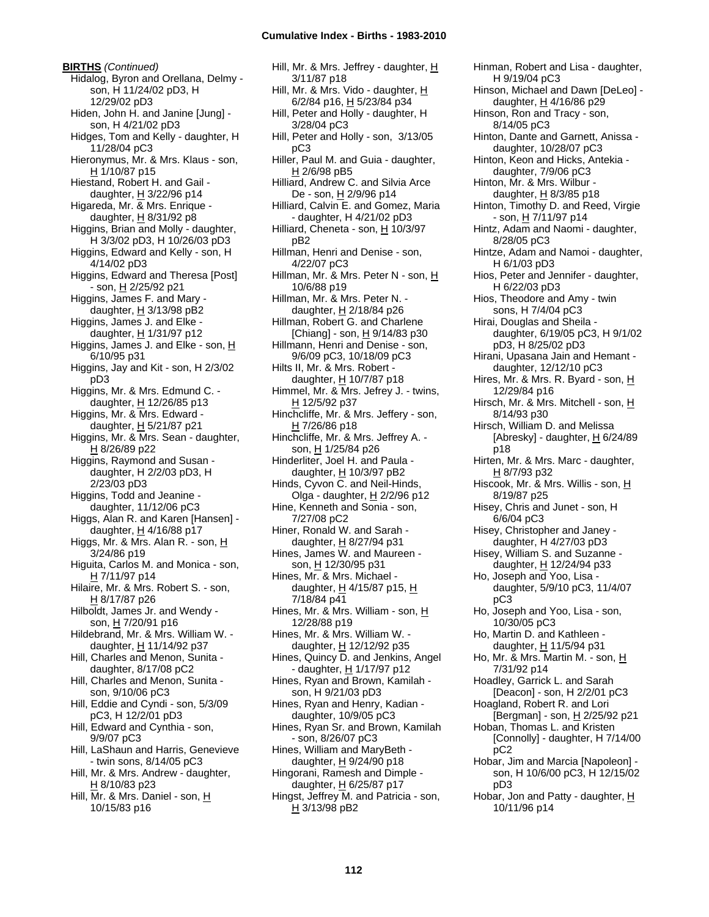**BIRTHS** *(Continued)* Hidalog, Byron and Orellana, Delmy son, H 11/24/02 pD3, H 12/29/02 pD3 Hiden, John H. and Janine [Jung] son, H 4/21/02 pD3 Hidges, Tom and Kelly - daughter, H 11/28/04 pC3 Hieronymus, Mr. & Mrs. Klaus - son, H 1/10/87 p15 Hiestand, Robert H. and Gail daughter,  $H$  3/22/96 p14 Higareda, Mr. & Mrs. Enrique daughter,  $H$  8/31/92 p8 Higgins, Brian and Molly - daughter, H 3/3/02 pD3, H 10/26/03 pD3 Higgins, Edward and Kelly - son, H 4/14/02 pD3 Higgins, Edward and Theresa [Post] - son, H 2/25/92 p21 Higgins, James F. and Mary daughter,  $H$  3/13/98 pB2 Higgins, James J. and Elke daughter, H 1/31/97 p12 Higgins, James J. and Elke - son, H 6/10/95 p31 Higgins, Jay and Kit - son, H 2/3/02 pD3 Higgins, Mr. & Mrs. Edmund C. daughter, H 12/26/85 p13 Higgins, Mr. & Mrs. Edward daughter, H 5/21/87 p21 Higgins, Mr. & Mrs. Sean - daughter, H 8/26/89 p22 Higgins, Raymond and Susan daughter, H 2/2/03 pD3, H 2/23/03 pD3 Higgins, Todd and Jeanine daughter, 11/12/06 pC3 Higgs, Alan R. and Karen [Hansen] daughter,  $\underline{H}$  4/16/88 p17 Higgs, Mr. & Mrs. Alan R. - son, H 3/24/86 p19 Higuita, Carlos M. and Monica - son, H 7/11/97 p14 Hilaire, Mr. & Mrs. Robert S. - son, H 8/17/87 p26 Hilboldt, James Jr. and Wendy son, H 7/20/91 p16 Hildebrand, Mr. & Mrs. William W. daughter, H 11/14/92 p37 Hill, Charles and Menon, Sunita daughter, 8/17/08 pC2 Hill, Charles and Menon, Sunita son, 9/10/06 pC3 Hill, Eddie and Cyndi - son, 5/3/09 pC3, H 12/2/01 pD3 Hill, Edward and Cynthia - son, 9/9/07 pC3 Hill, LaShaun and Harris, Genevieve - twin sons, 8/14/05 pC3 Hill, Mr. & Mrs. Andrew - daughter, H 8/10/83 p23 Hill, Mr. & Mrs. Daniel - son, H 10/15/83 p16

Hill, Mr. & Mrs. Jeffrey - daughter, H 3/11/87 p18 Hill, Mr. & Mrs. Vido - daughter,  $H$ 6/2/84 p16, H 5/23/84 p34 Hill, Peter and Holly - daughter, H 3/28/04 pC3 Hill, Peter and Holly - son, 3/13/05 pC3 Hiller, Paul M. and Guia - daughter, H 2/6/98 pB5 Hilliard, Andrew C. and Silvia Arce De - son, H 2/9/96 p14 Hilliard, Calvin E. and Gomez, Maria - daughter, H 4/21/02 pD3 Hilliard, Cheneta - son, H 10/3/97 pB2 Hillman, Henri and Denise - son, 4/22/07 pC3 Hillman, Mr. & Mrs. Peter N - son, H 10/6/88 p19 Hillman, Mr. & Mrs. Peter N. daughter, H 2/18/84 p26 Hillman, Robert G. and Charlene [Chiang] - son, H 9/14/83 p30 Hillmann, Henri and Denise - son, 9/6/09 pC3, 10/18/09 pC3 Hilts II, Mr. & Mrs. Robert daughter,  $H$  10/7/87 p18 Himmel, Mr. & Mrs. Jefrey J. - twins, H 12/5/92 p37 Hinchcliffe, Mr. & Mrs. Jeffery - son, H 7/26/86 p18 Hinchcliffe, Mr. & Mrs. Jeffrey A. son, H 1/25/84 p26 Hinderliter, Joel H. and Paula daughter, H 10/3/97 pB2 Hinds, Cyvon C. and Neil-Hinds, Olga - daughter, H 2/2/96 p12 Hine, Kenneth and Sonia - son, 7/27/08 pC2 Hiner, Ronald W. and Sarah daughter, H 8/27/94 p31 Hines, James W. and Maureen son, H 12/30/95 p31 Hines, Mr. & Mrs. Michael daughter,  $H$  4/15/87 p15,  $H$ 7/18/84 p41 Hines, Mr. & Mrs. William - son, H 12/28/88 p19 Hines, Mr. & Mrs. William W. daughter,  $\underline{H}$  12/12/92 p35 Hines, Quincy D. and Jenkins, Angel - daughter, H 1/17/97 p12 Hines, Ryan and Brown, Kamilah son, H 9/21/03 pD3 Hines, Ryan and Henry, Kadian daughter, 10/9/05 pC3 Hines, Ryan Sr. and Brown, Kamilah - son, 8/26/07 pC3 Hines, William and MaryBeth daughter,  $H$  9/24/90 p18 Hingorani, Ramesh and Dimple daughter, H 6/25/87 p17 Hingst, Jeffrey M. and Patricia - son, H 3/13/98 pB2

Hinman, Robert and Lisa - daughter, H 9/19/04 pC3 Hinson, Michael and Dawn [DeLeo] daughter,  $H$  4/16/86 p29 Hinson, Ron and Tracy - son, 8/14/05 pC3 Hinton, Dante and Garnett, Anissa daughter, 10/28/07 pC3 Hinton, Keon and Hicks, Antekia daughter, 7/9/06 pC3 Hinton, Mr. & Mrs. Wilbur daughter,  $H$  8/3/85 p18 Hinton, Timothy D. and Reed, Virgie - son, H 7/11/97 p14 Hintz, Adam and Naomi - daughter, 8/28/05 pC3 Hintze, Adam and Namoi - daughter, H 6/1/03 pD3 Hios, Peter and Jennifer - daughter, H 6/22/03 pD3 Hios, Theodore and Amy - twin sons, H 7/4/04 pC3 Hirai, Douglas and Sheila daughter, 6/19/05 pC3, H 9/1/02 pD3, H 8/25/02 pD3 Hirani, Upasana Jain and Hemant daughter, 12/12/10 pC3 Hires, Mr. & Mrs. R. Byard - son, H 12/29/84 p16 Hirsch, Mr. & Mrs. Mitchell - son, H 8/14/93 p30 Hirsch, William D. and Melissa [Abresky] - daughter,  $H$  6/24/89 p18 Hirten, Mr. & Mrs. Marc - daughter, H 8/7/93 p32 Hiscook, Mr. & Mrs. Willis - son, H 8/19/87 p25 Hisey, Chris and Junet - son, H 6/6/04 pC3 Hisey, Christopher and Janey daughter, H 4/27/03 pD3 Hisey, William S. and Suzanne daughter, H 12/24/94 p33 Ho, Joseph and Yoo, Lisa daughter, 5/9/10 pC3, 11/4/07 pC3 Ho, Joseph and Yoo, Lisa - son, 10/30/05 pC3 Ho, Martin D. and Kathleen daughter, H 11/5/94 p31 Ho, Mr. & Mrs. Martin M. - son, H 7/31/92 p14 Hoadley, Garrick L. and Sarah [Deacon] - son, H 2/2/01 pC3 Hoagland, Robert R. and Lori [Bergman] - son, H 2/25/92 p21 Hoban, Thomas L. and Kristen [Connolly] - daughter, H 7/14/00 pC2 Hobar, Jim and Marcia [Napoleon] son, H 10/6/00 pC3, H 12/15/02 pD3 Hobar, Jon and Patty - daughter,  $H$ 10/11/96 p14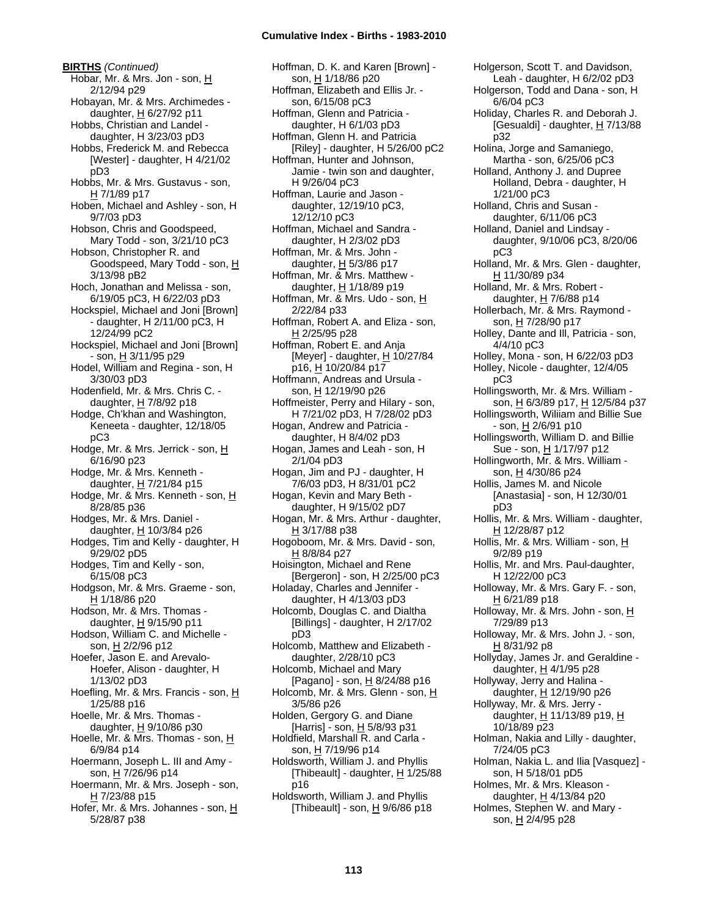**BIRTHS** *(Continued)* Hobar, Mr. & Mrs. Jon - son, H 2/12/94 p29 Hobayan, Mr. & Mrs. Archimedes daughter, H 6/27/92 p11 Hobbs, Christian and Landel daughter, H 3/23/03 pD3 Hobbs, Frederick M. and Rebecca [Wester] - daughter, H 4/21/02 pD3 Hobbs, Mr. & Mrs. Gustavus - son, H 7/1/89 p17 Hoben, Michael and Ashley - son, H 9/7/03 pD3 Hobson, Chris and Goodspeed, Mary Todd - son, 3/21/10 pC3 Hobson, Christopher R. and Goodspeed, Mary Todd - son, H 3/13/98 pB2 Hoch, Jonathan and Melissa - son, 6/19/05 pC3, H 6/22/03 pD3 Hockspiel, Michael and Joni [Brown] - daughter, H 2/11/00 pC3, H 12/24/99 pC2 Hockspiel, Michael and Joni [Brown] - son, <u>H</u> 3/11/95 p29 Hodel, William and Regina - son, H 3/30/03 pD3 Hodenfield, Mr. & Mrs. Chris C. daughter, H 7/8/92 p18 Hodge, Ch'khan and Washington, Keneeta - daughter, 12/18/05 pC3 Hodge, Mr. & Mrs. Jerrick - son, H 6/16/90 p23 Hodge, Mr. & Mrs. Kenneth daughter,  $H$  7/21/84 p15 Hodge, Mr. & Mrs. Kenneth - son, H 8/28/85 p36 Hodges, Mr. & Mrs. Daniel daughter, H 10/3/84 p26 Hodges, Tim and Kelly - daughter, H 9/29/02 pD5 Hodges, Tim and Kelly - son, 6/15/08 pC3 Hodgson, Mr. & Mrs. Graeme - son, H 1/18/86 p20 Hodson, Mr. & Mrs. Thomas daughter,  $H$  9/15/90 p11 Hodson, William C. and Michelle son, H 2/2/96 p12 Hoefer, Jason E. and Arevalo-Hoefer, Alison - daughter, H 1/13/02 pD3 Hoefling, Mr. & Mrs. Francis - son,  $H$ 1/25/88 p16 Hoelle, Mr. & Mrs. Thomas daughter,  $H$  9/10/86 p30 Hoelle, Mr. & Mrs. Thomas - son, H 6/9/84 p14 Hoermann, Joseph L. III and Amy son, H 7/26/96 p14 Hoermann, Mr. & Mrs. Joseph - son,  $H$  7/23/88 p15 Hofer, Mr. & Mrs. Johannes - son, H 5/28/87 p38

Hoffman, D. K. and Karen [Brown] son, H 1/18/86 p20 Hoffman, Elizabeth and Ellis Jr. son, 6/15/08 pC3 Hoffman, Glenn and Patricia daughter, H 6/1/03 pD3 Hoffman, Glenn H. and Patricia [Riley] - daughter, H 5/26/00 pC2 Hoffman, Hunter and Johnson, Jamie - twin son and daughter, H 9/26/04 pC3 Hoffman, Laurie and Jason daughter, 12/19/10 pC3, 12/12/10 pC3 Hoffman, Michael and Sandra daughter, H 2/3/02 pD3 Hoffman, Mr. & Mrs. John daughter,  $H$  5/3/86 p17 Hoffman, Mr. & Mrs. Matthew daughter, H 1/18/89 p19 Hoffman, Mr. & Mrs. Udo - son, H 2/22/84 p33 Hoffman, Robert A. and Eliza - son, H 2/25/95 p28 Hoffman, Robert E. and Anja [Meyer] - daughter,  $\underline{H}$  10/27/84 p16, H 10/20/84 p17 Hoffmann, Andreas and Ursula son, H 12/19/90 p26 Hoffmeister, Perry and Hilary - son, H 7/21/02 pD3, H 7/28/02 pD3 Hogan, Andrew and Patricia daughter, H 8/4/02 pD3 Hogan, James and Leah - son, H 2/1/04 pD3 Hogan, Jim and PJ - daughter, H 7/6/03 pD3, H 8/31/01 pC2 Hogan, Kevin and Mary Beth daughter, H 9/15/02 pD7 Hogan, Mr. & Mrs. Arthur - daughter, H 3/17/88 p38 Hogoboom, Mr. & Mrs. David - son, H 8/8/84 p27 Hoisington, Michael and Rene [Bergeron] - son, H 2/25/00 pC3 Holaday, Charles and Jennifer daughter, H 4/13/03 pD3 Holcomb, Douglas C. and Dialtha [Billings] - daughter, H 2/17/02 pD3 Holcomb, Matthew and Elizabeth daughter, 2/28/10 pC3 Holcomb, Michael and Mary [Pagano] - son,  $\underline{H}$  8/24/88 p16 Holcomb, Mr. & Mrs. Glenn - son, H 3/5/86 p26 Holden, Gergory G. and Diane [Harris] - son, H 5/8/93 p31 Holdfield, Marshall R. and Carla son, H 7/19/96 p14 Holdsworth, William J. and Phyllis [Thibeault] - daughter, H 1/25/88 p16 Holdsworth, William J. and Phyllis [Thibeault] - son,  $H$  9/6/86 p18

Holgerson, Scott T. and Davidson, Leah - daughter, H 6/2/02 pD3 Holgerson, Todd and Dana - son, H 6/6/04 pC3 Holiday, Charles R. and Deborah J. [Gesualdi] - daughter, H 7/13/88 p32 Holina, Jorge and Samaniego, Martha - son, 6/25/06 pC3 Holland, Anthony J. and Dupree Holland, Debra - daughter, H 1/21/00 pC3 Holland, Chris and Susan daughter, 6/11/06 pC3 Holland, Daniel and Lindsay daughter, 9/10/06 pC3, 8/20/06 pC3 Holland, Mr. & Mrs. Glen - daughter, H 11/30/89 p34 Holland, Mr. & Mrs. Robert daughter,  $H$  7/6/88 p14 Hollerbach, Mr. & Mrs. Raymond son, H 7/28/90 p17 Holley, Dante and Ill, Patricia - son, 4/4/10 pC3 Holley, Mona - son, H 6/22/03 pD3 Holley, Nicole - daughter, 12/4/05 pC3 Hollingsworth, Mr. & Mrs. William son, H 6/3/89 p17, H 12/5/84 p37 Hollingsworth, Wiliiam and Billie Sue - son, <u>H</u> 2/6/91 p10 Hollingsworth, William D. and Billie Sue - son, H 1/17/97 p12 Hollingworth, Mr. & Mrs. William son, <u>H</u> 4/30/86 p24 Hollis, James M. and Nicole [Anastasia] - son, H 12/30/01 pD3 Hollis, Mr. & Mrs. William - daughter, H 12/28/87 p12 Hollis, Mr. & Mrs. William - son, H 9/2/89 p19 Hollis, Mr. and Mrs. Paul-daughter, H 12/22/00 pC3 Holloway, Mr. & Mrs. Gary F. - son, H 6/21/89 p18 Holloway, Mr. & Mrs. John - son, H 7/29/89 p13 Holloway, Mr. & Mrs. John J. - son, H 8/31/92 p8 Hollyday, James Jr. and Geraldine daughter, H 4/1/95 p28 Hollyway, Jerry and Halina daughter, H 12/19/90 p26 Hollyway, Mr. & Mrs. Jerry daughter, H 11/13/89 p19, H 10/18/89 p23 Holman, Nakia and Lilly - daughter, 7/24/05 pC3 Holman, Nakia L. and Ilia [Vasquez] son, H 5/18/01 pD5 Holmes, Mr. & Mrs. Kleason daughter, H 4/13/84 p20 Holmes, Stephen W. and Mary son, H 2/4/95 p28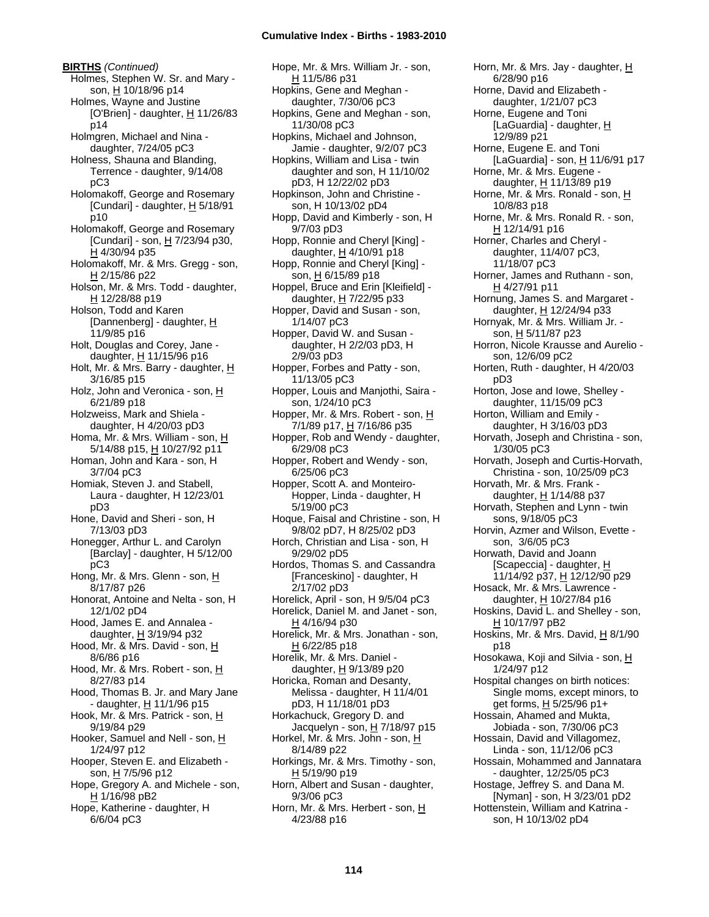**BIRTHS** *(Continued)* Holmes, Stephen W. Sr. and Mary son, H 10/18/96 p14 Holmes, Wayne and Justine [O'Brien] - daughter,  $H$  11/26/83 p14 Holmgren, Michael and Nina daughter, 7/24/05 pC3 Holness, Shauna and Blanding, Terrence - daughter, 9/14/08 pC3 Holomakoff, George and Rosemary [Cundari] - daughter,  $H$  5/18/91 p10 Holomakoff, George and Rosemary [Cundari] - son,  $H$  7/23/94 p30, H 4/30/94 p35 Holomakoff, Mr. & Mrs. Gregg - son, H 2/15/86 p22 Holson, Mr. & Mrs. Todd - daughter, H 12/28/88 p19 Holson, Todd and Karen [Dannenberg] - daughter,  $H$ 11/9/85 p16 Holt, Douglas and Corey, Jane daughter, H 11/15/96 p16 Holt, Mr. & Mrs. Barry - daughter, H 3/16/85 p15 Holz, John and Veronica - son, H 6/21/89 p18 Holzweiss, Mark and Shiela daughter, H 4/20/03 pD3 Homa, Mr. & Mrs. William - son, H 5/14/88 p15, H 10/27/92 p11 Homan, John and Kara - son, H 3/7/04 pC3 Homiak, Steven J. and Stabell, Laura - daughter, H 12/23/01 pD3 Hone, David and Sheri - son, H 7/13/03 pD3 Honegger, Arthur L. and Carolyn [Barclay] - daughter, H 5/12/00 pC3 Hong, Mr. & Mrs. Glenn - son, H 8/17/87 p26 Honorat, Antoine and Nelta - son, H 12/1/02 pD4 Hood, James E. and Annalea daughter, H 3/19/94 p32 Hood, Mr. & Mrs. David - son, H 8/6/86 p16 Hood, Mr. & Mrs. Robert - son, H 8/27/83 p14 Hood, Thomas B. Jr. and Mary Jane - daughter, H 11/1/96 p15 Hook, Mr. & Mrs. Patrick - son, H 9/19/84 p29 Hooker, Samuel and Nell - son, H 1/24/97 p12 Hooper, Steven E. and Elizabeth son, H 7/5/96 p12 Hope, Gregory A. and Michele - son,  $H$  1/16/98 pB2 Hope, Katherine - daughter, H 6/6/04 pC3

Hope, Mr. & Mrs. William Jr. - son, H 11/5/86 p31 Hopkins, Gene and Meghan daughter, 7/30/06 pC3 Hopkins, Gene and Meghan - son, 11/30/08 pC3 Hopkins, Michael and Johnson, Jamie - daughter, 9/2/07 pC3 Hopkins, William and Lisa - twin daughter and son, H 11/10/02 pD3, H 12/22/02 pD3 Hopkinson, John and Christine son, H 10/13/02 pD4 Hopp, David and Kimberly - son, H 9/7/03 pD3 Hopp, Ronnie and Cheryl [King] daughter, H 4/10/91 p18 Hopp, Ronnie and Cheryl [King] son, H 6/15/89 p18 Hoppel, Bruce and Erin [Kleifield] daughter, H 7/22/95 p33 Hopper, David and Susan - son, 1/14/07 pC3 Hopper, David W. and Susan daughter, H 2/2/03 pD3, H 2/9/03 pD3 Hopper, Forbes and Patty - son, 11/13/05 pC3 Hopper, Louis and Manjothi, Saira son, 1/24/10 pC3 Hopper, Mr. & Mrs. Robert - son, H 7/1/89 p17, H 7/16/86 p35 Hopper, Rob and Wendy - daughter, 6/29/08 pC3 Hopper, Robert and Wendy - son, 6/25/06 pC3 Hopper, Scott A. and Monteiro-Hopper, Linda - daughter, H 5/19/00 pC3 Hoque, Faisal and Christine - son, H 9/8/02 pD7, H 8/25/02 pD3 Horch, Christian and Lisa - son, H 9/29/02 pD5 Hordos, Thomas S. and Cassandra [Franceskino] - daughter, H 2/17/02 pD3 Horelick, April - son, H 9/5/04 pC3 Horelick, Daniel M. and Janet - son,  $H$  4/16/94 p30 Horelick, Mr. & Mrs. Jonathan - son, H 6/22/85 p18 Horelik, Mr. & Mrs. Daniel daughter,  $H$  9/13/89 p20 Horicka, Roman and Desanty, Melissa - daughter, H 11/4/01 pD3, H 11/18/01 pD3 Horkachuck, Gregory D. and Jacquelyn - son,  $H$  7/18/97 p15 Horkel, Mr. & Mrs. John - son, H 8/14/89 p22 Horkings, Mr. & Mrs. Timothy - son, H 5/19/90 p19 Horn, Albert and Susan - daughter, 9/3/06 pC3 Horn, Mr. & Mrs. Herbert - son, H 4/23/88 p16

Horn, Mr. & Mrs. Jay - daughter, H 6/28/90 p16 Horne, David and Elizabeth daughter, 1/21/07 pC3 Horne, Eugene and Toni [LaGuardia] - daughter, H 12/9/89 p21 Horne, Eugene E. and Toni [LaGuardia] - son, H 11/6/91 p17 Horne, Mr. & Mrs. Eugene daughter, H 11/13/89 p19 Horne, Mr. & Mrs. Ronald - son, H 10/8/83 p18 Horne, Mr. & Mrs. Ronald R. - son, H 12/14/91 p16 Horner, Charles and Cheryl daughter, 11/4/07 pC3, 11/18/07 pC3 Horner, James and Ruthann - son, H 4/27/91 p11 Hornung, James S. and Margaret daughter, H 12/24/94 p33 Hornyak, Mr. & Mrs. William Jr. son, H 5/11/87 p23 Horron, Nicole Krausse and Aurelio son, 12/6/09 pC2 Horten, Ruth - daughter, H 4/20/03 pD3 Horton, Jose and Iowe, Shelley daughter, 11/15/09 pC3 Horton, William and Emily daughter, H 3/16/03 pD3 Horvath, Joseph and Christina - son, 1/30/05 pC3 Horvath, Joseph and Curtis-Horvath, Christina - son, 10/25/09 pC3 Horvath, Mr. & Mrs. Frank daughter, H 1/14/88 p37 Horvath, Stephen and Lynn - twin sons, 9/18/05 pC3 Horvin, Azmer and Wilson, Evette son, 3/6/05 pC3 Horwath, David and Joann [Scapeccia] - daughter, H 11/14/92 p37, H 12/12/90 p29 Hosack, Mr. & Mrs. Lawrence daughter, H 10/27/84 p16 Hoskins, David L. and Shelley - son, H 10/17/97 pB2 Hoskins, Mr. & Mrs. David,  $H_8/1/90$ p18 Hosokawa, Koji and Silvia - son, H 1/24/97 p12 Hospital changes on birth notices: Single moms, except minors, to get forms, H 5/25/96 p1+ Hossain, Ahamed and Mukta, Jobiada - son, 7/30/06 pC3 Hossain, David and Villagomez, Linda - son, 11/12/06 pC3 Hossain, Mohammed and Jannatara - daughter, 12/25/05 pC3 Hostage, Jeffrey S. and Dana M. [Nyman] - son, H 3/23/01 pD2 Hottenstein, William and Katrina son, H 10/13/02 pD4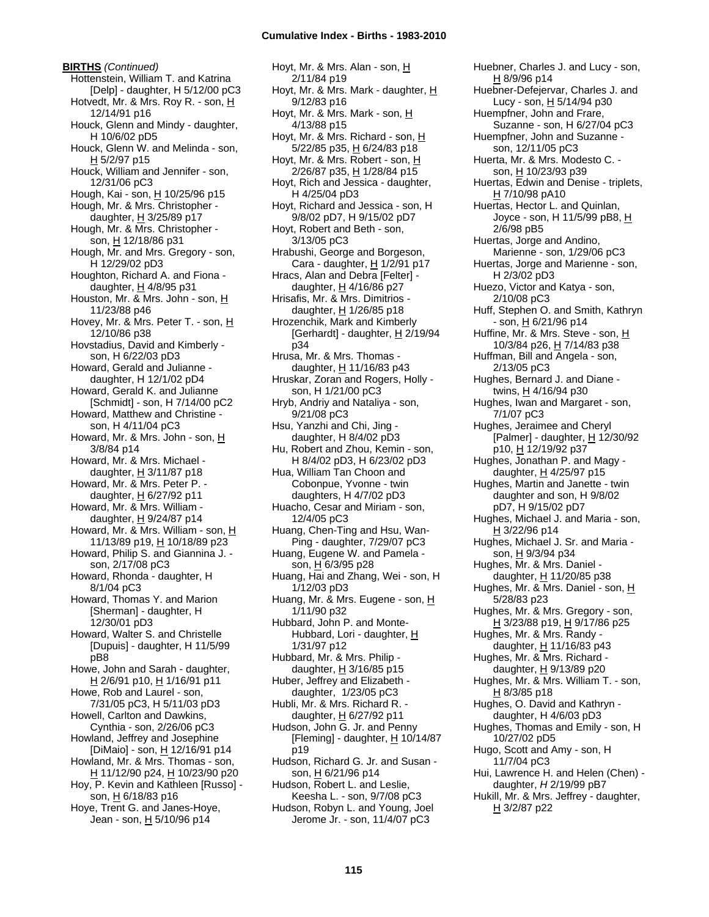**BIRTHS** *(Continued)* Hottenstein, William T. and Katrina [Delp] - daughter, H 5/12/00 pC3 Hotvedt, Mr. & Mrs. Roy R. - son, H 12/14/91 p16 Houck, Glenn and Mindy - daughter, H 10/6/02 pD5 Houck, Glenn W. and Melinda - son,  $H$  5/2/97 p15 Houck, William and Jennifer - son, 12/31/06 pC3 Hough, Kai - son, H 10/25/96 p15 Hough, Mr. & Mrs. Christopher daughter,  $\underline{H}$  3/25/89 p17 Hough, Mr. & Mrs. Christopher son, H 12/18/86 p31 Hough, Mr. and Mrs. Gregory - son, H 12/29/02 pD3 Houghton, Richard A. and Fiona daughter, H 4/8/95 p31 Houston, Mr. & Mrs. John - son, H 11/23/88 p46 Hovey, Mr. & Mrs. Peter T. - son, H 12/10/86 p38 Hovstadius, David and Kimberly son, H 6/22/03 pD3 Howard, Gerald and Julianne daughter, H 12/1/02 pD4 Howard, Gerald K. and Julianne [Schmidt] - son, H 7/14/00 pC2 Howard, Matthew and Christine son, H 4/11/04 pC3 Howard, Mr. & Mrs. John - son, H 3/8/84 p14 Howard, Mr. & Mrs. Michael daughter,  $H$  3/11/87 p18 Howard, Mr. & Mrs. Peter P. daughter,  $H$  6/27/92 p11 Howard, Mr. & Mrs. William daughter,  $H$  9/24/87 p14 Howard, Mr. & Mrs. William - son, H 11/13/89 p19, H 10/18/89 p23 Howard, Philip S. and Giannina J. son, 2/17/08 pC3 Howard, Rhonda - daughter, H 8/1/04 pC3 Howard, Thomas Y. and Marion [Sherman] - daughter, H 12/30/01 pD3 Howard, Walter S. and Christelle [Dupuis] - daughter, H 11/5/99 pB8 Howe, John and Sarah - daughter, H 2/6/91 p10, H 1/16/91 p11 Howe, Rob and Laurel - son, 7/31/05 pC3, H 5/11/03 pD3 Howell, Carlton and Dawkins, Cynthia - son, 2/26/06 pC3 Howland, Jeffrey and Josephine [DiMaio] - son, H 12/16/91 p14 Howland, Mr. & Mrs. Thomas - son, H 11/12/90 p24, H 10/23/90 p20 Hoy, P. Kevin and Kathleen [Russo] son,  $H$  6/18/83 p16 Hoye, Trent G. and Janes-Hoye, Jean - son, H 5/10/96 p14

Hoyt, Mr. & Mrs. Alan - son, H 2/11/84 p19 Hoyt, Mr. & Mrs. Mark - daughter, H 9/12/83 p16 Hoyt, Mr. & Mrs. Mark - son, H 4/13/88 p15 Hoyt, Mr. & Mrs. Richard - son, H 5/22/85 p35, H 6/24/83 p18 Hoyt, Mr. & Mrs. Robert - son, H 2/26/87 p35, H 1/28/84 p15 Hoyt, Rich and Jessica - daughter, H 4/25/04 pD3 Hoyt, Richard and Jessica - son, H 9/8/02 pD7, H 9/15/02 pD7 Hoyt, Robert and Beth - son, 3/13/05 pC3 Hrabushi, George and Borgeson, Cara - daughter, H 1/2/91 p17 Hracs, Alan and Debra [Felter] daughter, H 4/16/86 p27 Hrisafis, Mr. & Mrs. Dimitrios daughter,  $H$  1/26/85 p18 Hrozenchik, Mark and Kimberly [Gerhardt] - daughter, H 2/19/94 p34 Hrusa, Mr. & Mrs. Thomas daughter,  $H$  11/16/83 p43 Hruskar, Zoran and Rogers, Holly son, H 1/21/00 pC3 Hryb, Andriy and Nataliya - son, 9/21/08 pC3 Hsu, Yanzhi and Chi, Jing daughter, H 8/4/02 pD3 Hu, Robert and Zhou, Kemin - son, H 8/4/02 pD3, H 6/23/02 pD3 Hua, William Tan Choon and Cobonpue, Yvonne - twin daughters, H 4/7/02 pD3 Huacho, Cesar and Miriam - son, 12/4/05 pC3 Huang, Chen-Ting and Hsu, Wan-Ping - daughter, 7/29/07 pC3 Huang, Eugene W. and Pamela son, H 6/3/95 p28 Huang, Hai and Zhang, Wei - son, H 1/12/03 pD3 Huang, Mr. & Mrs. Eugene - son, H 1/11/90 p32 Hubbard, John P. and Monte-Hubbard, Lori - daughter, H 1/31/97 p12 Hubbard, Mr. & Mrs. Philip daughter,  $H$  3/16/85 p15 Huber, Jeffrey and Elizabeth daughter, 1/23/05 pC3 Hubli, Mr. & Mrs. Richard R. daughter, H 6/27/92 p11 Hudson, John G. Jr. and Penny [Fleming] - daughter,  $H$  10/14/87 p19 Hudson, Richard G. Jr. and Susan son, H 6/21/96 p14 Hudson, Robert L. and Leslie, Keesha L. - son, 9/7/08 pC3 Hudson, Robyn L. and Young, Joel Jerome Jr. - son, 11/4/07 pC3

Huebner, Charles J. and Lucy - son, H 8/9/96 p14 Huebner-Defejervar, Charles J. and Lucy - son,  $H$  5/14/94 p30 Huempfner, John and Frare, Suzanne - son, H 6/27/04 pC3 Huempfner, John and Suzanne son, 12/11/05 pC3 Huerta, Mr. & Mrs. Modesto C. son, H 10/23/93 p39 Huertas, Edwin and Denise - triplets, H 7/10/98 pA10 Huertas, Hector L. and Quinlan, Joyce - son, H 11/5/99 pB8, H 2/6/98 pB5 Huertas, Jorge and Andino, Marienne - son, 1/29/06 pC3 Huertas, Jorge and Marienne - son, H 2/3/02 pD3 Huezo, Victor and Katya - son, 2/10/08 pC3 Huff, Stephen O. and Smith, Kathryn - son, H 6/21/96 p14 Huffine, Mr. & Mrs. Steve - son, H 10/3/84 p26, H 7/14/83 p38 Huffman, Bill and Angela - son, 2/13/05 pC3 Hughes, Bernard J. and Diane twins, H 4/16/94 p30 Hughes, Iwan and Margaret - son, 7/1/07 pC3 Hughes, Jeraimee and Cheryl [Palmer] - daughter,  $H$  12/30/92 p10, H 12/19/92 p37 Hughes, Jonathan P. and Magy daughter,  $H$  4/25/97 p15 Hughes, Martin and Janette - twin daughter and son, H 9/8/02 pD7, H 9/15/02 pD7 Hughes, Michael J. and Maria - son, H 3/22/96 p14 Hughes, Michael J. Sr. and Maria son, H 9/3/94 p34 Hughes, Mr. & Mrs. Daniel daughter, H 11/20/85 p38 Hughes, Mr. & Mrs. Daniel - son, H 5/28/83 p23 Hughes, Mr. & Mrs. Gregory - son, H 3/23/88 p19, H 9/17/86 p25 Hughes, Mr. & Mrs. Randy daughter, H 11/16/83 p43 Hughes, Mr. & Mrs. Richard daughter, H 9/13/89 p20 Hughes, Mr. & Mrs. William T. - son, H 8/3/85 p18 Hughes, O. David and Kathryn daughter, H 4/6/03 pD3 Hughes, Thomas and Emily - son, H 10/27/02 pD5 Hugo, Scott and Amy - son, H 11/7/04 pC3 Hui, Lawrence H. and Helen (Chen) daughter, *H* 2/19/99 pB7 Hukill, Mr. & Mrs. Jeffrey - daughter,  $H$  3/2/87 p22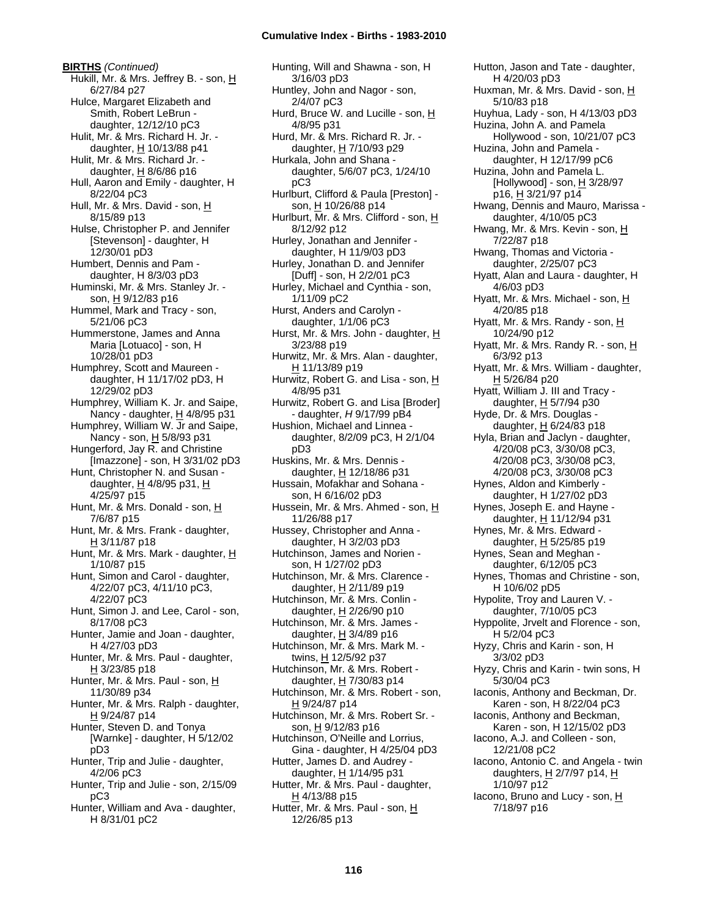**BIRTHS** *(Continued)* Hukill, Mr. & Mrs. Jeffrey B. - son, H 6/27/84 p27 Hulce, Margaret Elizabeth and Smith, Robert LeBrun daughter, 12/12/10 pC3 Hulit, Mr. & Mrs. Richard H. Jr. daughter,  $H$  10/13/88 p41 Hulit, Mr. & Mrs. Richard Jr. daughter,  $H$  8/6/86 p16 Hull, Aaron and Emily - daughter, H 8/22/04 pC3 Hull, Mr. & Mrs. David - son, H 8/15/89 p13 Hulse, Christopher P. and Jennifer [Stevenson] - daughter, H 12/30/01 pD3 Humbert, Dennis and Pam daughter, H 8/3/03 pD3 Huminski, Mr. & Mrs. Stanley Jr. son, H 9/12/83 p16 Hummel, Mark and Tracy - son, 5/21/06 pC3 Hummerstone, James and Anna Maria [Lotuaco] - son, H 10/28/01 pD3 Humphrey, Scott and Maureen daughter, H 11/17/02 pD3, H 12/29/02 pD3 Humphrey, William K. Jr. and Saipe, Nancy - daughter, H 4/8/95 p31 Humphrey, William W. Jr and Saipe, Nancy - son, H 5/8/93 p31 Hungerford, Jay R. and Christine [Imazzone] - son, H 3/31/02 pD3 Hunt, Christopher N. and Susan daughter,  $H$  4/8/95 p31,  $H$ 4/25/97 p15 Hunt, Mr. & Mrs. Donald - son, H 7/6/87 p15 Hunt, Mr. & Mrs. Frank - daughter,  $H$  3/11/87 p18 Hunt, Mr. & Mrs. Mark - daughter, H 1/10/87 p15 Hunt, Simon and Carol - daughter, 4/22/07 pC3, 4/11/10 pC3, 4/22/07 pC3 Hunt, Simon J. and Lee, Carol - son, 8/17/08 pC3 Hunter, Jamie and Joan - daughter, H 4/27/03 pD3 Hunter, Mr. & Mrs. Paul - daughter, H 3/23/85 p18 Hunter, Mr. & Mrs. Paul - son, H 11/30/89 p34 Hunter, Mr. & Mrs. Ralph - daughter, H 9/24/87 p14 Hunter, Steven D. and Tonya [Warnke] - daughter, H 5/12/02 pD3 Hunter, Trip and Julie - daughter, 4/2/06 pC3 Hunter, Trip and Julie - son, 2/15/09 pC3 Hunter, William and Ava - daughter, H 8/31/01 pC2

Hunting, Will and Shawna - son, H 3/16/03 pD3 Huntley, John and Nagor - son, 2/4/07 pC3 Hurd, Bruce W. and Lucille - son, H 4/8/95 p31 Hurd, Mr. & Mrs. Richard R. Jr. daughter,  $H$  7/10/93 p29 Hurkala, John and Shana daughter, 5/6/07 pC3, 1/24/10 pC3 Hurlburt, Clifford & Paula [Preston] son, H 10/26/88 p14 Hurlburt, Mr. & Mrs. Clifford - son, H 8/12/92 p12 Hurley, Jonathan and Jennifer daughter, H 11/9/03 pD3 Hurley, Jonathan D. and Jennifer [Duff] - son, H 2/2/01 pC3 Hurley, Michael and Cynthia - son, 1/11/09 pC2 Hurst, Anders and Carolyn daughter, 1/1/06 pC3 Hurst, Mr. & Mrs. John - daughter, H 3/23/88 p19 Hurwitz, Mr. & Mrs. Alan - daughter, H 11/13/89 p19 Hurwitz, Robert G. and Lisa - son, H 4/8/95 p31 Hurwitz, Robert G. and Lisa [Broder] - daughter, *H* 9/17/99 pB4 Hushion, Michael and Linnea daughter, 8/2/09 pC3, H 2/1/04 pD3 Huskins, Mr. & Mrs. Dennis daughter, H 12/18/86 p31 Hussain, Mofakhar and Sohana son, H 6/16/02 pD3 Hussein, Mr. & Mrs. Ahmed - son, H 11/26/88 p17 Hussey, Christopher and Anna daughter, H 3/2/03 pD3 Hutchinson, James and Norien son, H 1/27/02 pD3 Hutchinson, Mr. & Mrs. Clarence daughter,  $H$  2/11/89 p19 Hutchinson, Mr. & Mrs. Conlin daughter,  $H$  2/26/90 p10 Hutchinson, Mr. & Mrs. James daughter,  $H$  3/4/89 p16 Hutchinson, Mr. & Mrs. Mark M. twins, H 12/5/92 p37 Hutchinson, Mr. & Mrs. Robert daughter, H 7/30/83 p14 Hutchinson, Mr. & Mrs. Robert - son, <u>H</u> 9/24/87 p14 Hutchinson, Mr. & Mrs. Robert Sr. son, H 9/12/83 p16 Hutchinson, O'Neille and Lorrius, Gina - daughter, H 4/25/04 pD3 Hutter, James D. and Audrey daughter, H 1/14/95 p31 Hutter, Mr. & Mrs. Paul - daughter,  $H$  4/13/88 p15 Hutter, Mr. & Mrs. Paul - son, H 12/26/85 p13

Hutton, Jason and Tate - daughter, H 4/20/03 pD3 Huxman, Mr. & Mrs. David - son, H 5/10/83 p18 Huyhua, Lady - son, H 4/13/03 pD3 Huzina, John A. and Pamela Hollywood - son, 10/21/07 pC3 Huzina, John and Pamela daughter, H 12/17/99 pC6 Huzina, John and Pamela L. [Hollywood] - son, H 3/28/97 p16, H 3/21/97 p14 Hwang, Dennis and Mauro, Marissa daughter, 4/10/05 pC3 Hwang, Mr. & Mrs. Kevin - son, H 7/22/87 p18 Hwang, Thomas and Victoria daughter, 2/25/07 pC3 Hyatt, Alan and Laura - daughter, H 4/6/03 pD3 Hyatt, Mr. & Mrs. Michael - son, H 4/20/85 p18 Hyatt, Mr. & Mrs. Randy - son, H 10/24/90 p12 Hyatt, Mr. & Mrs. Randy R. - son,  $H$ 6/3/92 p13 Hyatt, Mr. & Mrs. William - daughter, H 5/26/84 p20 Hyatt, William J. III and Tracy daughter, H 5/7/94 p30 Hyde, Dr. & Mrs. Douglas daughter,  $H$  6/24/83 p18 Hyla, Brian and Jaclyn - daughter, 4/20/08 pC3, 3/30/08 pC3, 4/20/08 pC3, 3/30/08 pC3, 4/20/08 pC3, 3/30/08 pC3 Hynes, Aldon and Kimberly daughter, H 1/27/02 pD3 Hynes, Joseph E. and Hayne daughter,  $H$  11/12/94 p31 Hynes, Mr. & Mrs. Edward daughter,  $H$  5/25/85 p19 Hynes, Sean and Meghan daughter, 6/12/05 pC3 Hynes, Thomas and Christine - son, H 10/6/02 pD5 Hypolite, Troy and Lauren V. daughter, 7/10/05 pC3 Hyppolite, Jrvelt and Florence - son, H 5/2/04 pC3 Hyzy, Chris and Karin - son, H 3/3/02 pD3 Hyzy, Chris and Karin - twin sons, H 5/30/04 pC3 Iaconis, Anthony and Beckman, Dr. Karen - son, H 8/22/04 pC3 Iaconis, Anthony and Beckman, Karen - son, H 12/15/02 pD3 Iacono, A.J. and Colleen - son, 12/21/08 pC2 Iacono, Antonio C. and Angela - twin daughters, H 2/7/97 p14, H 1/10/97 p12 Iacono, Bruno and Lucy - son,  $H$ 7/18/97 p16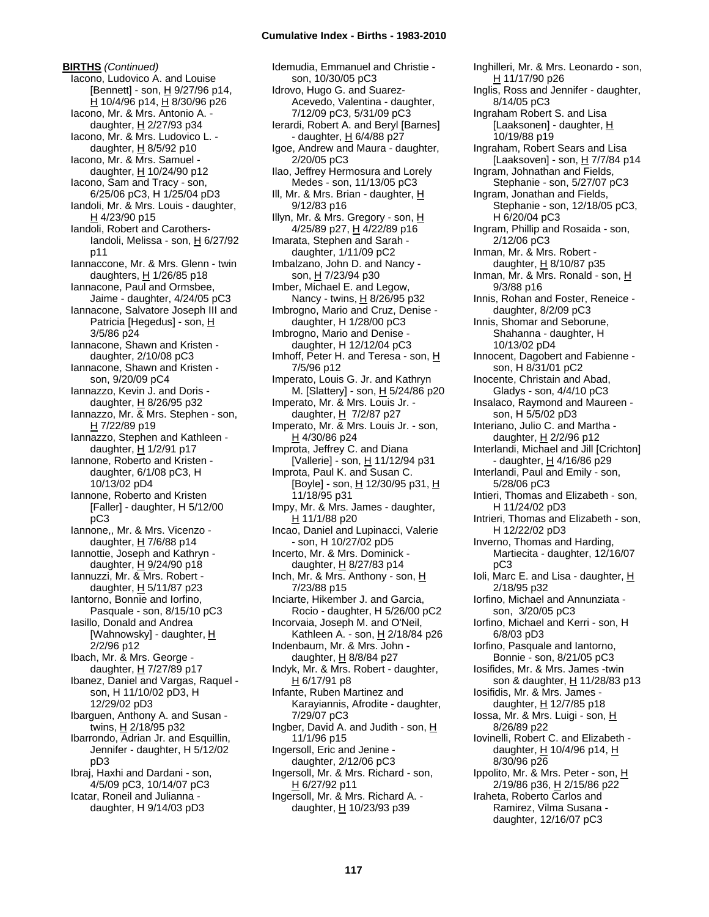**BIRTHS** *(Continued)* Iacono, Ludovico A. and Louise [Bennett] - son,  $\underline{H}$  9/27/96 p14, H 10/4/96 p14, H 8/30/96 p26 Iacono, Mr. & Mrs. Antonio A. daughter, H 2/27/93 p34 Iacono, Mr. & Mrs. Ludovico L. daughter, H 8/5/92 p10 Iacono, Mr. & Mrs. Samuel daughter,  $H$  10/24/90 p12 Iacono, Sam and Tracy - son, 6/25/06 pC3, H 1/25/04 pD3 Iandoli, Mr. & Mrs. Louis - daughter, H 4/23/90 p15 Iandoli, Robert and Carothers-Iandoli, Melissa - son, H 6/27/92 p11 Iannaccone, Mr. & Mrs. Glenn - twin daughters,  $H$  1/26/85 p18 Iannacone, Paul and Ormsbee, Jaime - daughter, 4/24/05 pC3 Iannacone, Salvatore Joseph III and Patricia [Hegedus] - son, H 3/5/86 p24 Iannacone, Shawn and Kristen daughter, 2/10/08 pC3 Iannacone, Shawn and Kristen son, 9/20/09 pC4 Iannazzo, Kevin J. and Doris daughter, H 8/26/95 p32 Iannazzo, Mr. & Mrs. Stephen - son, H 7/22/89 p19 Iannazzo, Stephen and Kathleen daughter, H 1/2/91 p17 Iannone, Roberto and Kristen daughter, 6/1/08 pC3, H 10/13/02 pD4 Iannone, Roberto and Kristen [Faller] - daughter, H 5/12/00 pC3 Iannone,, Mr. & Mrs. Vicenzo daughter,  $H$  7/6/88 p14 Iannottie, Joseph and Kathryn daughter, H 9/24/90 p18 Iannuzzi, Mr. & Mrs. Robert daughter,  $H$  5/11/87 p23 Iantorno, Bonnie and Iorfino, Pasquale - son, 8/15/10 pC3 Iasillo, Donald and Andrea [Wahnowsky] - daughter, H 2/2/96 p12 Ibach, Mr. & Mrs. George daughter, H 7/27/89 p17 Ibanez, Daniel and Vargas, Raquel son, H 11/10/02 pD3, H 12/29/02 pD3 Ibarguen, Anthony A. and Susan twins, H 2/18/95 p32 Ibarrondo, Adrian Jr. and Esquillin, Jennifer - daughter, H 5/12/02 pD3 Ibraj, Haxhi and Dardani - son, 4/5/09 pC3, 10/14/07 pC3 Icatar, Roneil and Julianna daughter, H 9/14/03 pD3

Idemudia, Emmanuel and Christie son, 10/30/05 pC3 Idrovo, Hugo G. and Suarez-Acevedo, Valentina - daughter, 7/12/09 pC3, 5/31/09 pC3 Ierardi, Robert A. and Beryl [Barnes] - daughter, H 6/4/88 p27 Igoe, Andrew and Maura - daughter, 2/20/05 pC3 Ilao, Jeffrey Hermosura and Lorely Medes - son, 11/13/05 pC3 Ill, Mr. & Mrs. Brian - daughter, H 9/12/83 p16 Illyn, Mr. & Mrs. Gregory - son, H 4/25/89 p27, H 4/22/89 p16 Imarata, Stephen and Sarah daughter, 1/11/09 pC2 Imbalzano, John D. and Nancy son, H 7/23/94 p30 Imber, Michael E. and Legow, Nancy - twins, H 8/26/95 p32 Imbrogno, Mario and Cruz, Denise daughter, H 1/28/00 pC3 Imbrogno, Mario and Denise daughter, H 12/12/04 pC3 Imhoff, Peter H. and Teresa - son, H 7/5/96 p12 Imperato, Louis G. Jr. and Kathryn M. [Slattery] - son, H 5/24/86 p20 Imperato, Mr. & Mrs. Louis Jr. daughter,  $H$  7/2/87 p27 Imperato, Mr. & Mrs. Louis Jr. - son, H 4/30/86 p24 Improta, Jeffrey C. and Diana [Vallerie] - son, H 11/12/94 p31 Improta, Paul K. and Susan C. [Boyle] - son, H 12/30/95 p31, H 11/18/95 p31 Impy, Mr. & Mrs. James - daughter, H 11/1/88 p20 Incao, Daniel and Lupinacci, Valerie - son, H 10/27/02 pD5 Incerto, Mr. & Mrs. Dominick daughter, H 8/27/83 p14 Inch, Mr. & Mrs. Anthony - son, H 7/23/88 p15 Inciarte, Hikember J. and Garcia, Rocio - daughter, H 5/26/00 pC2 Incorvaia, Joseph M. and O'Neil, Kathleen A. - son, H 2/18/84 p26 Indenbaum, Mr. & Mrs. John daughter,  $H$  8/8/84 p27 Indyk, Mr. & Mrs. Robert - daughter,  $H$  6/17/91 p8 Infante, Ruben Martinez and Karayiannis, Afrodite - daughter, 7/29/07 pC3 Ingber, David A. and Judith - son,  $H$ 11/1/96 p15 Ingersoll, Eric and Jenine daughter, 2/12/06 pC3 Ingersoll, Mr. & Mrs. Richard - son, H 6/27/92 p11 Ingersoll, Mr. & Mrs. Richard A. daughter, H 10/23/93 p39

Inghilleri, Mr. & Mrs. Leonardo - son, H 11/17/90 p26 Inglis, Ross and Jennifer - daughter, 8/14/05 pC3 Ingraham Robert S. and Lisa [Laaksonen] - daughter, H 10/19/88 p19 Ingraham, Robert Sears and Lisa [Laaksoven] - son, H 7/7/84 p14 Ingram, Johnathan and Fields, Stephanie - son, 5/27/07 pC3 Ingram, Jonathan and Fields, Stephanie - son, 12/18/05 pC3, H 6/20/04 pC3 Ingram, Phillip and Rosaida - son, 2/12/06 pC3 Inman, Mr. & Mrs. Robert daughter,  $H$  8/10/87 p35 Inman, Mr. & Mrs. Ronald - son, H 9/3/88 p16 Innis, Rohan and Foster, Reneice daughter, 8/2/09 pC3 Innis, Shomar and Seborune, Shahanna - daughter, H 10/13/02 pD4 Innocent, Dagobert and Fabienne son, H 8/31/01 pC2 Inocente, Christain and Abad, Gladys - son, 4/4/10 pC3 Insalaco, Raymond and Maureen son, H 5/5/02 pD3 Interiano, Julio C. and Martha daughter, H 2/2/96 p12 Interlandi, Michael and Jill [Crichton] - daughter, H 4/16/86 p29 Interlandi, Paul and Emily - son, 5/28/06 pC3 Intieri, Thomas and Elizabeth - son, H 11/24/02 pD3 Intrieri, Thomas and Elizabeth - son, H 12/22/02 pD3 Inverno, Thomas and Harding, Martiecita - daughter, 12/16/07 pC3 Ioli, Marc E. and Lisa - daughter, H 2/18/95 p32 Iorfino, Michael and Annunziata son, 3/20/05 pC3 Iorfino, Michael and Kerri - son, H 6/8/03 pD3 Iorfino, Pasquale and Iantorno, Bonnie - son, 8/21/05 pC3 Iosifides, Mr. & Mrs. James -twin son & daughter, H 11/28/83 p13 Iosifidis, Mr. & Mrs. James daughter, H 12/7/85 p18 Iossa, Mr. & Mrs. Luigi - son, H 8/26/89 p22 Iovinelli, Robert C. and Elizabeth daughter, H 10/4/96 p14, H 8/30/96 p26 Ippolito, Mr. & Mrs. Peter - son, H 2/19/86 p36, H 2/15/86 p22 Iraheta, Roberto Carlos and Ramirez, Vilma Susana daughter, 12/16/07 pC3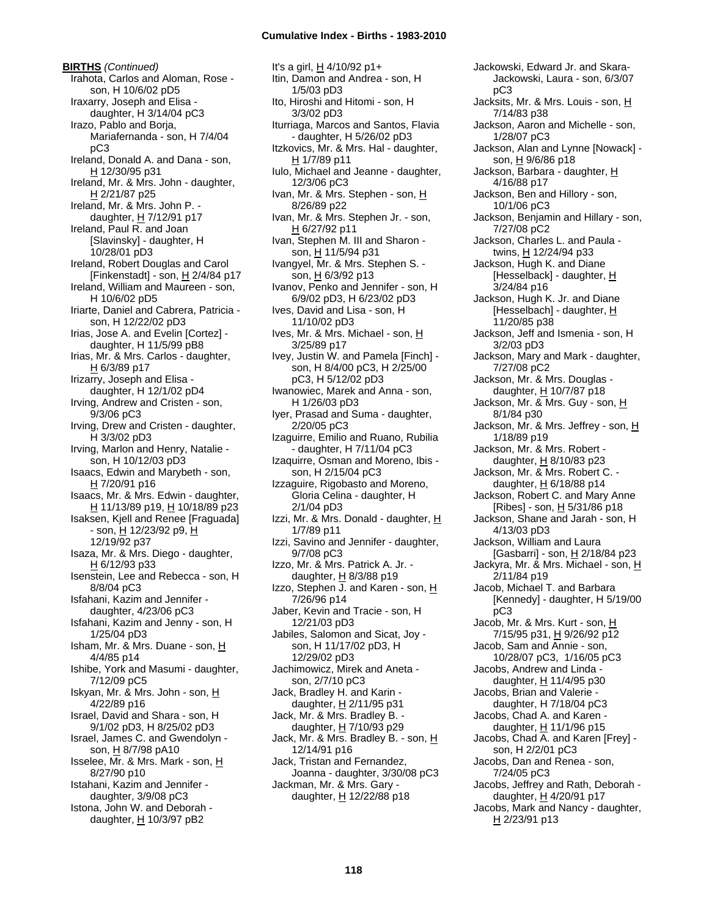**BIRTHS** *(Continued)* Irahota, Carlos and Aloman, Rose son, H 10/6/02 pD5 Iraxarry, Joseph and Elisa daughter, H 3/14/04 pC3 Irazo, Pablo and Borja, Mariafernanda - son, H 7/4/04 pC3 Ireland, Donald A. and Dana - son, H 12/30/95 p31 Ireland, Mr. & Mrs. John - daughter, H 2/21/87 p25 Ireland, Mr. & Mrs. John P. daughter, H 7/12/91 p17 Ireland, Paul R. and Joan [Slavinsky] - daughter, H 10/28/01 pD3 Ireland, Robert Douglas and Carol [Finkenstadt] - son, H 2/4/84 p17 Ireland, William and Maureen - son, H 10/6/02 pD5 Iriarte, Daniel and Cabrera, Patricia son, H 12/22/02 pD3 Irias, Jose A. and Evelin [Cortez] daughter, H 11/5/99 pB8 Irias, Mr. & Mrs. Carlos - daughter,  $H$  6/3/89 p17 Irizarry, Joseph and Elisa daughter, H 12/1/02 pD4 Irving, Andrew and Cristen - son, 9/3/06 pC3 Irving, Drew and Cristen - daughter, H 3/3/02 pD3 Irving, Marlon and Henry, Natalie son, H 10/12/03 pD3 Isaacs, Edwin and Marybeth - son, H 7/20/91 p16 Isaacs, Mr. & Mrs. Edwin - daughter, H 11/13/89 p19, H 10/18/89 p23 Isaksen, Kjell and Renee [Fraguada] - son, H 12/23/92 p9, H 12/19/92 p37 Isaza, Mr. & Mrs. Diego - daughter, H 6/12/93 p33 Isenstein, Lee and Rebecca - son, H 8/8/04 pC3 Isfahani, Kazim and Jennifer daughter, 4/23/06 pC3 Isfahani, Kazim and Jenny - son, H 1/25/04 pD3 Isham, Mr. & Mrs. Duane - son, H 4/4/85 p14 Ishibe, York and Masumi - daughter, 7/12/09 pC5 Iskyan, Mr. & Mrs. John - son, H 4/22/89 p16 Israel, David and Shara - son, H 9/1/02 pD3, H 8/25/02 pD3 Israel, James C. and Gwendolyn son, H 8/7/98 pA10 Isselee, Mr. & Mrs. Mark - son, H 8/27/90 p10 Istahani, Kazim and Jennifer daughter, 3/9/08 pC3 Istona, John W. and Deborah daughter,  $H$  10/3/97 pB2

It's a girl, H 4/10/92 p1+ Itin, Damon and Andrea - son, H 1/5/03 pD3 Ito, Hiroshi and Hitomi - son, H 3/3/02 pD3 Iturriaga, Marcos and Santos, Flavia - daughter, H 5/26/02 pD3 Itzkovics, Mr. & Mrs. Hal - daughter, H 1/7/89 p11 Iulo, Michael and Jeanne - daughter, 12/3/06 pC3 Ivan, Mr. & Mrs. Stephen - son, H 8/26/89 p22 Ivan, Mr. & Mrs. Stephen Jr. - son, H 6/27/92 p11 Ivan, Stephen M. III and Sharon son, H 11/5/94 p31 Ivangyel, Mr. & Mrs. Stephen S. son, H 6/3/92 p13 Ivanov, Penko and Jennifer - son, H 6/9/02 pD3, H 6/23/02 pD3 Ives, David and Lisa - son, H 11/10/02 pD3 Ives, Mr. & Mrs. Michael - son, H 3/25/89 p17 Ivey, Justin W. and Pamela [Finch] son, H 8/4/00 pC3, H 2/25/00 pC3, H 5/12/02 pD3 Iwanowiec, Marek and Anna - son, H 1/26/03 pD3 Iyer, Prasad and Suma - daughter, 2/20/05 pC3 Izaguirre, Emilio and Ruano, Rubilia - daughter, H 7/11/04 pC3 Izaquirre, Osman and Moreno, Ibis son, H 2/15/04 pC3 Izzaguire, Rigobasto and Moreno, Gloria Celina - daughter, H 2/1/04 pD3 Izzi, Mr. & Mrs. Donald - daughter,  $H$ 1/7/89 p11 Izzi, Savino and Jennifer - daughter, 9/7/08 pC3 Izzo, Mr. & Mrs. Patrick A. Jr. daughter,  $H$  8/3/88 p19 Izzo, Stephen J. and Karen - son, H 7/26/96 p14 Jaber, Kevin and Tracie - son, H 12/21/03 pD3 Jabiles, Salomon and Sicat, Joy son, H 11/17/02 pD3, H 12/29/02 pD3 Jachimowicz, Mirek and Aneta son, 2/7/10 pC3 Jack, Bradley H. and Karin daughter, H 2/11/95 p31 Jack, Mr. & Mrs. Bradley B. daughter, H 7/10/93 p29 Jack, Mr. & Mrs. Bradley B. - son, H 12/14/91 p16 Jack, Tristan and Fernandez, Joanna - daughter, 3/30/08 pC3 Jackman, Mr. & Mrs. Gary daughter, H 12/22/88 p18

Jackowski, Edward Jr. and Skara-Jackowski, Laura - son, 6/3/07 pC3 Jacksits, Mr. & Mrs. Louis - son, H 7/14/83 p38 Jackson, Aaron and Michelle - son, 1/28/07 pC3 Jackson, Alan and Lynne [Nowack] son, H 9/6/86 p18 Jackson, Barbara - daughter, H 4/16/88 p17 Jackson, Ben and Hillory - son, 10/1/06 pC3 Jackson, Benjamin and Hillary - son, 7/27/08 pC2 Jackson, Charles L. and Paula twins, H 12/24/94 p33 Jackson, Hugh K. and Diane [Hesselback] - daughter, H 3/24/84 p16 Jackson, Hugh K. Jr. and Diane [Hesselbach] - daughter,  $H$ 11/20/85 p38 Jackson, Jeff and Ismenia - son, H 3/2/03 pD3 Jackson, Mary and Mark - daughter, 7/27/08 pC2 Jackson, Mr. & Mrs. Douglas daughter,  $H$  10/7/87 p18 Jackson, Mr. & Mrs. Guy - son, H 8/1/84 p30 Jackson, Mr. & Mrs. Jeffrey - son, H 1/18/89 p19 Jackson, Mr. & Mrs. Robert daughter, H 8/10/83 p23 Jackson, Mr. & Mrs. Robert C. daughter,  $H$  6/18/88 p14 Jackson, Robert C. and Mary Anne [Ribes] - son, H 5/31/86 p18 Jackson, Shane and Jarah - son, H 4/13/03 pD3 Jackson, William and Laura [Gasbarri] - son, H 2/18/84 p23 Jackyra, Mr. & Mrs. Michael - son, H 2/11/84 p19 Jacob, Michael T. and Barbara [Kennedy] - daughter, H 5/19/00 pC3 Jacob, Mr. & Mrs. Kurt - son, H 7/15/95 p31, H 9/26/92 p12 Jacob, Sam and Annie - son, 10/28/07 pC3, 1/16/05 pC3 Jacobs, Andrew and Linda daughter, H 11/4/95 p30 Jacobs, Brian and Valerie daughter, H 7/18/04 pC3 Jacobs, Chad A. and Karen daughter,  $H$  11/1/96 p15 Jacobs, Chad A. and Karen [Frey] son, H 2/2/01 pC3 Jacobs, Dan and Renea - son, 7/24/05 pC3 Jacobs, Jeffrey and Rath, Deborah daughter, H 4/20/91 p17 Jacobs, Mark and Nancy - daughter, H 2/23/91 p13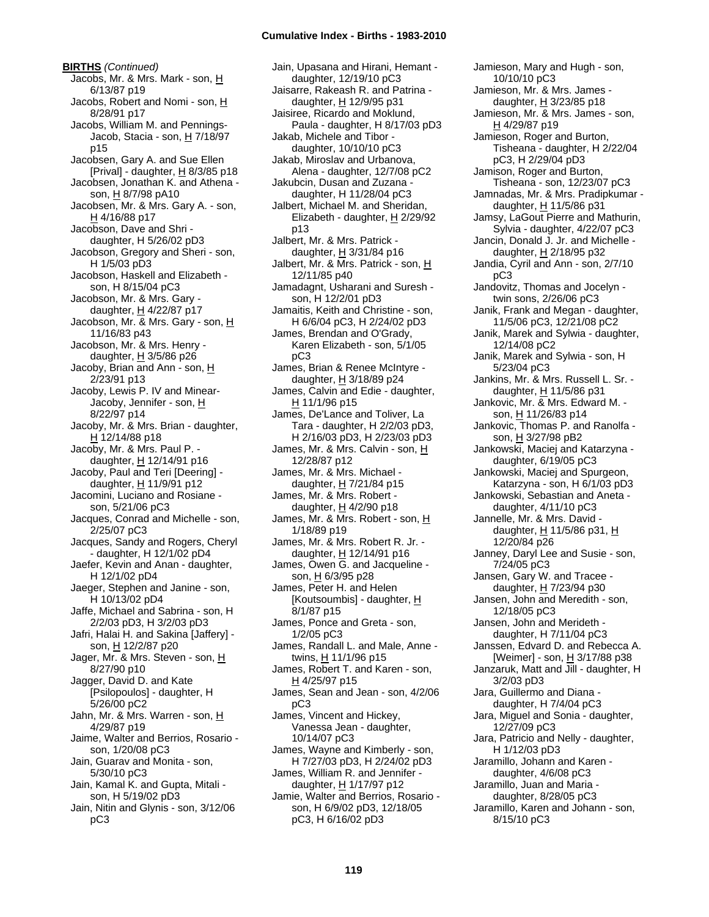**BIRTHS** *(Continued)* Jacobs, Mr. & Mrs. Mark - son, H 6/13/87 p19 Jacobs, Robert and Nomi - son, H 8/28/91 p17 Jacobs, William M. and Pennings-Jacob, Stacia - son, H 7/18/97 p15 Jacobsen, Gary A. and Sue Ellen [Prival] - daughter,  $H$  8/3/85 p18 Jacobsen, Jonathan K. and Athena son, H 8/7/98 pA10 Jacobsen, Mr. & Mrs. Gary A. - son, H 4/16/88 p17 Jacobson, Dave and Shri daughter, H 5/26/02 pD3 Jacobson, Gregory and Sheri - son, H 1/5/03 pD3 Jacobson, Haskell and Elizabeth son, H 8/15/04 pC3 Jacobson, Mr. & Mrs. Gary daughter,  $H$  4/22/87 p17 Jacobson, Mr. & Mrs. Gary - son, H 11/16/83 p43 Jacobson, Mr. & Mrs. Henry daughter,  $H$  3/5/86 p26 Jacoby, Brian and Ann - son, H 2/23/91 p13 Jacoby, Lewis P. IV and Minear-Jacoby, Jennifer - son, H 8/22/97 p14 Jacoby, Mr. & Mrs. Brian - daughter,  $H$  12/14/88 p18 Jacoby, Mr. & Mrs. Paul P. daughter, H 12/14/91 p16 Jacoby, Paul and Teri [Deering] daughter, H 11/9/91 p12 Jacomini, Luciano and Rosiane son, 5/21/06 pC3 Jacques, Conrad and Michelle - son, 2/25/07 pC3 Jacques, Sandy and Rogers, Cheryl - daughter, H 12/1/02 pD4 Jaefer, Kevin and Anan - daughter, H 12/1/02 pD4 Jaeger, Stephen and Janine - son, H 10/13/02 pD4 Jaffe, Michael and Sabrina - son, H 2/2/03 pD3, H 3/2/03 pD3 Jafri, Halai H. and Sakina [Jaffery] son, H 12/2/87 p20 Jager, Mr. & Mrs. Steven - son, H 8/27/90 p10 Jagger, David D. and Kate [Psilopoulos] - daughter, H 5/26/00 pC2 Jahn, Mr. & Mrs. Warren - son, H 4/29/87 p19 Jaime, Walter and Berrios, Rosario son, 1/20/08 pC3 Jain, Guarav and Monita - son, 5/30/10 pC3 Jain, Kamal K. and Gupta, Mitali son, H 5/19/02 pD3 Jain, Nitin and Glynis - son, 3/12/06 pC3

Jain, Upasana and Hirani, Hemant daughter, 12/19/10 pC3 Jaisarre, Rakeash R. and Patrina daughter, H 12/9/95 p31 Jaisiree, Ricardo and Moklund, Paula - daughter, H 8/17/03 pD3 Jakab, Michele and Tibor daughter, 10/10/10 pC3 Jakab, Miroslav and Urbanova, Alena - daughter, 12/7/08 pC2 Jakubcin, Dusan and Zuzana daughter, H 11/28/04 pC3 Jalbert, Michael M. and Sheridan, Elizabeth - daughter, H 2/29/92 p13 Jalbert, Mr. & Mrs. Patrick daughter, H 3/31/84 p16 Jalbert, Mr. & Mrs. Patrick - son, H 12/11/85 p40 Jamadagnt, Usharani and Suresh son, H 12/2/01 pD3 Jamaitis, Keith and Christine - son, H 6/6/04 pC3, H 2/24/02 pD3 James, Brendan and O'Grady, Karen Elizabeth - son, 5/1/05 pC3 James, Brian & Renee McIntyre daughter,  $H$  3/18/89 p24 James, Calvin and Edie - daughter, H 11/1/96 p15 James, De'Lance and Toliver, La Tara - daughter, H 2/2/03 pD3, H 2/16/03 pD3, H 2/23/03 pD3 James, Mr. & Mrs. Calvin - son, H 12/28/87 p12 James, Mr. & Mrs. Michael daughter, H 7/21/84 p15 James, Mr. & Mrs. Robert daughter, H 4/2/90 p18 James, Mr. & Mrs. Robert - son, H 1/18/89 p19 James, Mr. & Mrs. Robert R. Jr. daughter, H 12/14/91 p16 James, Owen G. and Jacqueline son, H 6/3/95 p28 James, Peter H. and Helen [Koutsoumbis] - daughter, H 8/1/87 p15 James, Ponce and Greta - son, 1/2/05 pC3 James, Randall L. and Male, Anne twins, H 11/1/96 p15 James, Robert T. and Karen - son, H 4/25/97 p15 James, Sean and Jean - son, 4/2/06 pC3 James, Vincent and Hickey, Vanessa Jean - daughter, 10/14/07 pC3 James, Wayne and Kimberly - son, H 7/27/03 pD3, H 2/24/02 pD3 James, William R. and Jennifer daughter, H 1/17/97 p12 Jamie, Walter and Berrios, Rosario son, H 6/9/02 pD3, 12/18/05 pC3, H 6/16/02 pD3

Jamieson, Mary and Hugh - son, 10/10/10 pC3 Jamieson, Mr. & Mrs. James daughter,  $H$  3/23/85 p18 Jamieson, Mr. & Mrs. James - son, H 4/29/87 p19 Jamieson, Roger and Burton, Tisheana - daughter, H 2/22/04 pC3, H 2/29/04 pD3 Jamison, Roger and Burton, Tisheana - son, 12/23/07 pC3 Jamnadas, Mr. & Mrs. Pradipkumar daughter,  $H$  11/5/86 p31 Jamsy, LaGout Pierre and Mathurin, Sylvia - daughter, 4/22/07 pC3 Jancin, Donald J. Jr. and Michelle daughter, H 2/18/95 p32 Jandia, Cyril and Ann - son, 2/7/10 pC3 Jandovitz, Thomas and Jocelyn twin sons, 2/26/06 pC3 Janik, Frank and Megan - daughter, 11/5/06 pC3, 12/21/08 pC2 Janik, Marek and Sylwia - daughter, 12/14/08 pC2 Janik, Marek and Sylwia - son, H 5/23/04 pC3 Jankins, Mr. & Mrs. Russell L. Sr. daughter, H 11/5/86 p31 Jankovic, Mr. & Mrs. Edward M. son, H 11/26/83 p14 Jankovic, Thomas P. and Ranolfa son, H 3/27/98 pB2 Jankowski, Maciej and Katarzyna daughter, 6/19/05 pC3 Jankowski, Maciej and Spurgeon, Katarzyna - son, H 6/1/03 pD3 Jankowski, Sebastian and Aneta daughter, 4/11/10 pC3 Jannelle, Mr. & Mrs. David daughter, H 11/5/86 p31, H 12/20/84 p26 Janney, Daryl Lee and Susie - son, 7/24/05 pC3 Jansen, Gary W. and Tracee daughter,  $H$  7/23/94 p30 Jansen, John and Meredith - son, 12/18/05 pC3 Jansen, John and Merideth daughter, H 7/11/04 pC3 Janssen, Edvard D. and Rebecca A. [Weimer] - son, H 3/17/88 p38 Janzaruk, Matt and Jill - daughter, H 3/2/03 pD3 Jara, Guillermo and Diana daughter, H 7/4/04 pC3 Jara, Miguel and Sonia - daughter, 12/27/09 pC3 Jara, Patricio and Nelly - daughter, H 1/12/03 pD3 Jaramillo, Johann and Karen daughter, 4/6/08 pC3 Jaramillo, Juan and Maria daughter, 8/28/05 pC3 Jaramillo, Karen and Johann - son, 8/15/10 pC3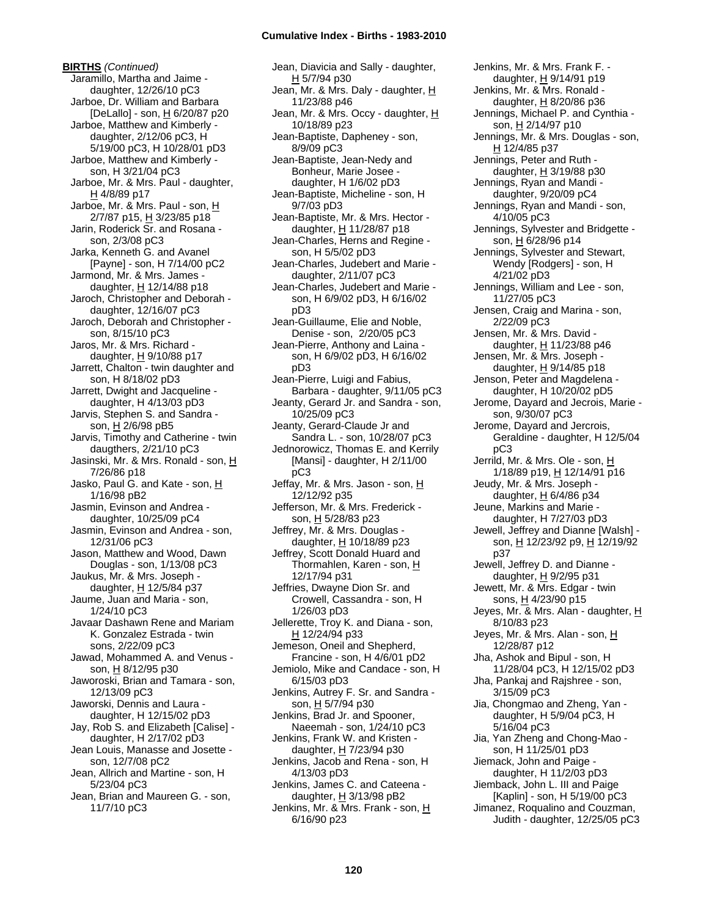**BIRTHS** *(Continued)* Jaramillo, Martha and Jaime daughter, 12/26/10 pC3 Jarboe, Dr. William and Barbara [DeLallo] - son, H 6/20/87 p20 Jarboe, Matthew and Kimberly daughter, 2/12/06 pC3, H 5/19/00 pC3, H 10/28/01 pD3 Jarboe, Matthew and Kimberly son, H 3/21/04 pC3 Jarboe, Mr. & Mrs. Paul - daughter, H 4/8/89 p17 Jarboe, Mr. & Mrs. Paul - son, H 2/7/87 p15, H 3/23/85 p18 Jarin, Roderick Sr. and Rosana son, 2/3/08 pC3 Jarka, Kenneth G. and Avanel [Payne] - son, H 7/14/00 pC2 Jarmond, Mr. & Mrs. James daughter, H 12/14/88 p18 Jaroch, Christopher and Deborah daughter, 12/16/07 pC3 Jaroch, Deborah and Christopher son, 8/15/10 pC3 Jaros, Mr. & Mrs. Richard daughter,  $H$  9/10/88 p17 Jarrett, Chalton - twin daughter and son, H 8/18/02 pD3 Jarrett, Dwight and Jacqueline daughter, H 4/13/03 pD3 Jarvis, Stephen S. and Sandra son, H 2/6/98 pB5 Jarvis, Timothy and Catherine - twin daugthers, 2/21/10 pC3 Jasinski, Mr. & Mrs. Ronald - son, H 7/26/86 p18 Jasko, Paul G. and Kate - son, H 1/16/98 pB2 Jasmin, Evinson and Andrea daughter, 10/25/09 pC4 Jasmin, Evinson and Andrea - son, 12/31/06 pC3 Jason, Matthew and Wood, Dawn Douglas - son, 1/13/08 pC3 Jaukus, Mr. & Mrs. Joseph daughter, H 12/5/84 p37 Jaume, Juan and Maria - son, 1/24/10 pC3 Javaar Dashawn Rene and Mariam K. Gonzalez Estrada - twin sons, 2/22/09 pC3 Jawad, Mohammed A. and Venus son, H 8/12/95 p30 Jaworoski, Brian and Tamara - son, 12/13/09 pC3 Jaworski, Dennis and Laura daughter, H 12/15/02 pD3 Jay, Rob S. and Elizabeth [Calise] daughter, H 2/17/02 pD3 Jean Louis, Manasse and Josette son, 12/7/08 pC2 Jean, Allrich and Martine - son, H 5/23/04 pC3 Jean, Brian and Maureen G. - son, 11/7/10 pC3

Jean, Diavicia and Sally - daughter, H 5/7/94 p30 Jean, Mr. & Mrs. Daly - daughter, H 11/23/88 p46 Jean, Mr. & Mrs. Occy - daughter, H 10/18/89 p23 Jean-Baptiste, Dapheney - son, 8/9/09 pC3 Jean-Baptiste, Jean-Nedy and Bonheur, Marie Josee daughter, H 1/6/02 pD3 Jean-Baptiste, Micheline - son, H 9/7/03 pD3 Jean-Baptiste, Mr. & Mrs. Hector daughter,  $H$  11/28/87 p18 Jean-Charles, Herns and Regine son, H 5/5/02 pD3 Jean-Charles, Judebert and Marie daughter, 2/11/07 pC3 Jean-Charles, Judebert and Marie son, H 6/9/02 pD3, H 6/16/02 pD3 Jean-Guillaume, Elie and Noble, Denise - son, 2/20/05 pC3 Jean-Pierre, Anthony and Laina son, H 6/9/02 pD3, H 6/16/02 pD3 Jean-Pierre, Luigi and Fabius, Barbara - daughter, 9/11/05 pC3 Jeanty, Gerard Jr. and Sandra - son, 10/25/09 pC3 Jeanty, Gerard-Claude Jr and Sandra L. - son, 10/28/07 pC3 Jednorowicz, Thomas E. and Kerrily [Mansi] - daughter, H 2/11/00 pC3 Jeffay, Mr. & Mrs. Jason - son, H 12/12/92 p35 Jefferson, Mr. & Mrs. Frederick son, H 5/28/83 p23 Jeffrey, Mr. & Mrs. Douglas daughter,  $H$  10/18/89 p23 Jeffrey, Scott Donald Huard and Thormahlen, Karen - son, H 12/17/94 p31 Jeffries, Dwayne Dion Sr. and Crowell, Cassandra - son, H 1/26/03 pD3 Jellerette, Troy K. and Diana - son, H 12/24/94 p33 Jemeson, Oneil and Shepherd, Francine - son, H 4/6/01 pD2 Jemiolo, Mike and Candace - son, H 6/15/03 pD3 Jenkins, Autrey F. Sr. and Sandra son, H 5/7/94 p30 Jenkins, Brad Jr. and Spooner, Naeemah - son, 1/24/10 pC3 Jenkins, Frank W. and Kristen daughter, H 7/23/94 p30 Jenkins, Jacob and Rena - son, H 4/13/03 pD3 Jenkins, James C. and Cateena daughter,  $H$  3/13/98 pB2 Jenkins, Mr. & Mrs. Frank - son, H 6/16/90 p23

Jenkins, Mr. & Mrs. Frank F. daughter, H 9/14/91 p19 Jenkins, Mr. & Mrs. Ronald daughter,  $H$  8/20/86 p36 Jennings, Michael P. and Cynthia son, H 2/14/97 p10 Jennings, Mr. & Mrs. Douglas - son, H 12/4/85 p37 Jennings, Peter and Ruth daughter, H 3/19/88 p30 Jennings, Ryan and Mandi daughter, 9/20/09 pC4 Jennings, Ryan and Mandi - son, 4/10/05 pC3 Jennings, Sylvester and Bridgette son, H 6/28/96 p14 Jennings, Sylvester and Stewart, Wendy [Rodgers] - son, H 4/21/02 pD3 Jennings, William and Lee - son, 11/27/05 pC3 Jensen, Craig and Marina - son, 2/22/09 pC3 Jensen, Mr. & Mrs. David daughter,  $H$  11/23/88 p46 Jensen, Mr. & Mrs. Joseph daughter,  $H$  9/14/85 p18 Jenson, Peter and Magdelena daughter, H 10/20/02 pD5 Jerome, Dayard and Jecrois, Marie son, 9/30/07 pC3 Jerome, Dayard and Jercrois, Geraldine - daughter, H 12/5/04 pC3 Jerrild, Mr. & Mrs. Ole - son, H 1/18/89 p19, H 12/14/91 p16 Jeudy, Mr. & Mrs. Joseph daughter, H 6/4/86 p34 Jeune, Markins and Marie daughter, H 7/27/03 pD3 Jewell, Jeffrey and Dianne [Walsh] son, H 12/23/92 p9, H 12/19/92 p37 Jewell, Jeffrey D. and Dianne daughter,  $H$  9/2/95 p31 Jewett, Mr. & Mrs. Edgar - twin sons, H 4/23/90 p15 Jeyes, Mr. & Mrs. Alan - daughter, H 8/10/83 p23 Jeyes, Mr. & Mrs. Alan - son, H 12/28/87 p12 Jha, Ashok and Bipul - son, H 11/28/04 pC3, H 12/15/02 pD3 Jha, Pankaj and Rajshree - son, 3/15/09 pC3 Jia, Chongmao and Zheng, Yan daughter, H 5/9/04 pC3, H 5/16/04 pC3 Jia, Yan Zheng and Chong-Mao son, H 11/25/01 pD3 Jiemack, John and Paige daughter, H 11/2/03 pD3 Jiemback, John L. III and Paige [Kaplin] - son, H 5/19/00 pC3 Jimanez, Roqualino and Couzman, Judith - daughter, 12/25/05 pC3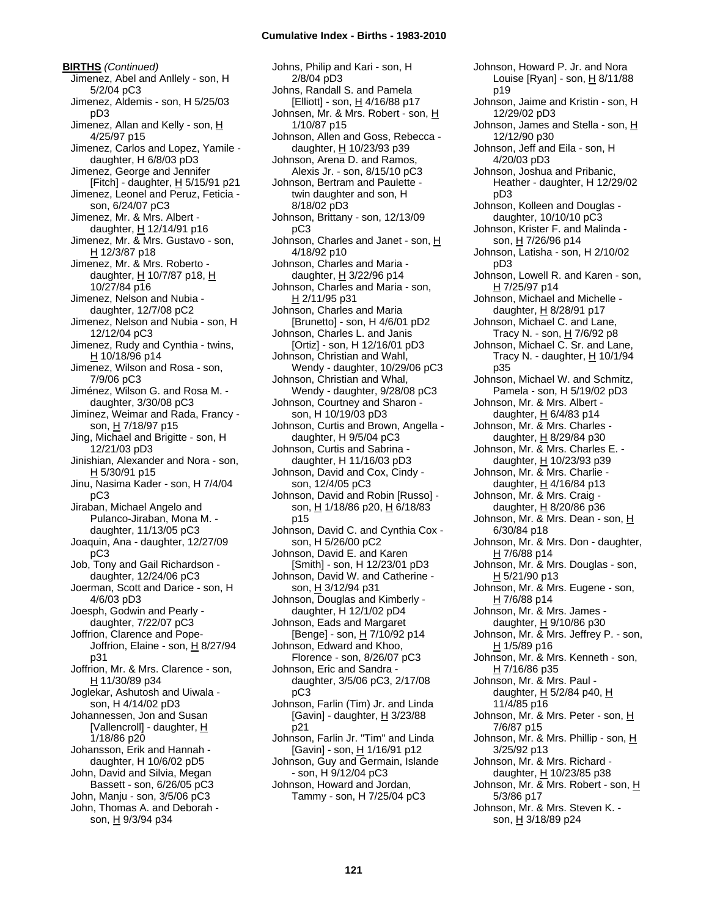**BIRTHS** *(Continued)* Jimenez, Abel and Anllely - son, H 5/2/04 pC3 Jimenez, Aldemis - son, H 5/25/03 pD3 Jimenez, Allan and Kelly - son, H 4/25/97 p15 Jimenez, Carlos and Lopez, Yamile daughter, H 6/8/03 pD3 Jimenez, George and Jennifer [Fitch] - daughter, H 5/15/91 p21 Jimenez, Leonel and Peruz, Feticia son, 6/24/07 pC3 Jimenez, Mr. & Mrs. Albert daughter,  $H$  12/14/91 p16 Jimenez, Mr. & Mrs. Gustavo - son, H 12/3/87 p18 Jimenez, Mr. & Mrs. Roberto daughter, H 10/7/87 p18, H 10/27/84 p16 Jimenez, Nelson and Nubia daughter, 12/7/08 pC2 Jimenez, Nelson and Nubia - son, H 12/12/04 pC3 Jimenez, Rudy and Cynthia - twins, H 10/18/96 p14 Jimenez, Wilson and Rosa - son, 7/9/06 pC3 Jiménez, Wilson G. and Rosa M. daughter, 3/30/08 pC3 Jiminez, Weimar and Rada, Francy son, H 7/18/97 p15 Jing, Michael and Brigitte - son, H 12/21/03 pD3 Jinishian, Alexander and Nora - son, H 5/30/91 p15 Jinu, Nasima Kader - son, H 7/4/04 pC3 Jiraban, Michael Angelo and Pulanco-Jiraban, Mona M. daughter, 11/13/05 pC3 Joaquin, Ana - daughter, 12/27/09 pC3 Job, Tony and Gail Richardson daughter, 12/24/06 pC3 Joerman, Scott and Darice - son, H 4/6/03 pD3 Joesph, Godwin and Pearly daughter, 7/22/07 pC3 Joffrion, Clarence and Pope-Joffrion, Elaine - son,  $H$  8/27/94 p31 Joffrion, Mr. & Mrs. Clarence - son, H 11/30/89 p34 Joglekar, Ashutosh and Uiwala son, H 4/14/02 pD3 Johannessen, Jon and Susan [Vallencroll] - daughter, H 1/18/86 p20 Johansson, Erik and Hannah daughter, H 10/6/02 pD5 John, David and Silvia, Megan Bassett - son, 6/26/05 pC3 John, Manju - son, 3/5/06 pC3 John, Thomas A. and Deborah son, H 9/3/94 p34

Johns, Philip and Kari - son, H 2/8/04 pD3 Johns, Randall S. and Pamela [Elliott] - son, H 4/16/88 p17 Johnsen, Mr. & Mrs. Robert - son, H 1/10/87 p15 Johnson, Allen and Goss, Rebecca daughter, H 10/23/93 p39 Johnson, Arena D. and Ramos, Alexis Jr. - son, 8/15/10 pC3 Johnson, Bertram and Paulette twin daughter and son, H 8/18/02 pD3 Johnson, Brittany - son, 12/13/09 pC3 Johnson, Charles and Janet - son, H 4/18/92 p10 Johnson, Charles and Maria daughter,  $H$  3/22/96 p14 Johnson, Charles and Maria - son, H 2/11/95 p31 Johnson, Charles and Maria [Brunetto] - son, H 4/6/01 pD2 Johnson, Charles L. and Janis [Ortiz] - son, H 12/16/01 pD3 Johnson, Christian and Wahl, Wendy - daughter, 10/29/06 pC3 Johnson, Christian and Whal, Wendy - daughter, 9/28/08 pC3 Johnson, Courtney and Sharon son, H 10/19/03 pD3 Johnson, Curtis and Brown, Angella daughter, H 9/5/04 pC3 Johnson, Curtis and Sabrina daughter, H 11/16/03 pD3 Johnson, David and Cox, Cindy son, 12/4/05 pC3 Johnson, David and Robin [Russo] son, H 1/18/86 p20, H 6/18/83 p15 Johnson, David C. and Cynthia Cox son, H 5/26/00 pC2 Johnson, David E. and Karen [Smith] - son, H 12/23/01 pD3 Johnson, David W. and Catherine son, H 3/12/94 p31 Johnson, Douglas and Kimberly daughter, H 12/1/02 pD4 Johnson, Eads and Margaret [Benge] - son, H 7/10/92 p14 Johnson, Edward and Khoo, Florence - son, 8/26/07 pC3 Johnson, Eric and Sandra daughter, 3/5/06 pC3, 2/17/08 pC3 Johnson, Farlin (Tim) Jr. and Linda [Gavin] - daughter,  $\underline{H}$  3/23/88 p21 Johnson, Farlin Jr. "Tim" and Linda [Gavin] - son, H 1/16/91 p12 Johnson, Guy and Germain, Islande - son, H 9/12/04 pC3 Johnson, Howard and Jordan, Tammy - son, H 7/25/04 pC3

Johnson, Howard P. Jr. and Nora Louise [Ryan] - son, H 8/11/88 p19 Johnson, Jaime and Kristin - son, H 12/29/02 pD3 Johnson, James and Stella - son, H 12/12/90 p30 Johnson, Jeff and Eila - son, H 4/20/03 pD3 Johnson, Joshua and Pribanic, Heather - daughter, H 12/29/02 pD3 Johnson, Kolleen and Douglas daughter, 10/10/10 pC3 Johnson, Krister F. and Malinda son, H 7/26/96 p14 Johnson, Latisha - son, H 2/10/02 pD3 Johnson, Lowell R. and Karen - son, H 7/25/97 p14 Johnson, Michael and Michelle daughter,  $H$  8/28/91 p17 Johnson, Michael C. and Lane, Tracy N. - son, H 7/6/92 p8 Johnson, Michael C. Sr. and Lane, Tracy N. - daughter, H 10/1/94 p35 Johnson, Michael W. and Schmitz, Pamela - son, H 5/19/02 pD3 Johnson, Mr. & Mrs. Albert daughter,  $\underline{H}$  6/4/83 p14 Johnson, Mr. & Mrs. Charles daughter,  $H$  8/29/84 p30 Johnson, Mr. & Mrs. Charles E. daughter, H 10/23/93 p39 Johnson, Mr. & Mrs. Charlie daughter,  $H$  4/16/84 p13 Johnson, Mr. & Mrs. Craig daughter, H 8/20/86 p36 Johnson, Mr. & Mrs. Dean - son, H 6/30/84 p18 Johnson, Mr. & Mrs. Don - daughter, H 7/6/88 p14 Johnson, Mr. & Mrs. Douglas - son, H 5/21/90 p13 Johnson, Mr. & Mrs. Eugene - son, H 7/6/88 p14 Johnson, Mr. & Mrs. James daughter,  $H$  9/10/86 p30 Johnson, Mr. & Mrs. Jeffrey P. - son, H 1/5/89 p16 Johnson, Mr. & Mrs. Kenneth - son, H 7/16/86 p35 Johnson, Mr. & Mrs. Paul daughter,  $H$  5/2/84 p40,  $H$ 11/4/85 p16 Johnson, Mr. & Mrs. Peter - son, H 7/6/87 p15 Johnson, Mr. & Mrs. Phillip - son, H 3/25/92 p13 Johnson, Mr. & Mrs. Richard daughter, H 10/23/85 p38 Johnson, Mr. & Mrs. Robert - son, H 5/3/86 p17 Johnson, Mr. & Mrs. Steven K. son, H 3/18/89 p24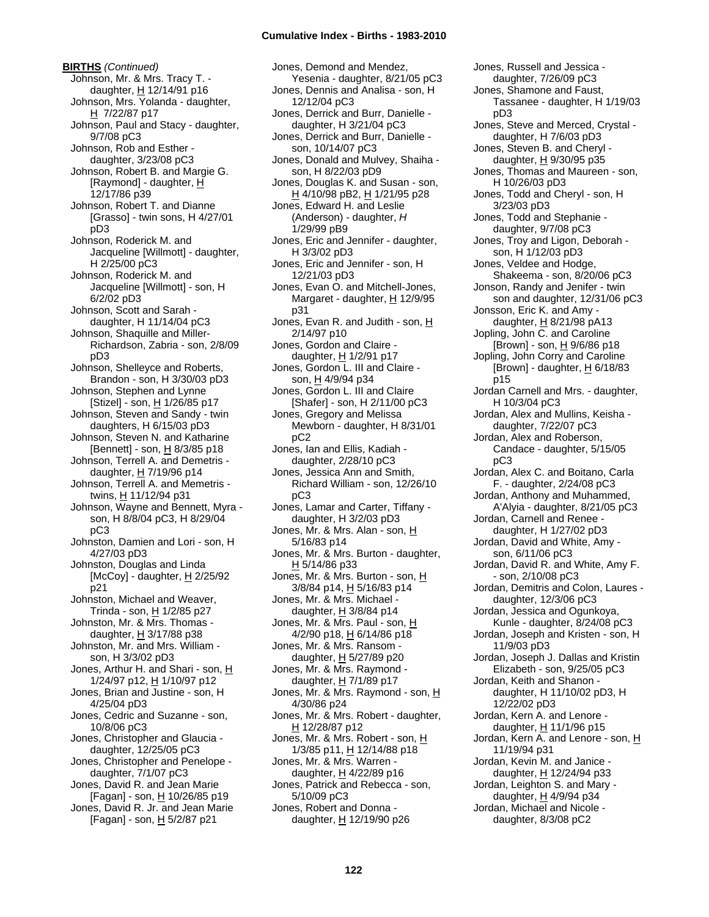**BIRTHS** *(Continued)* Johnson, Mr. & Mrs. Tracy T. daughter,  $H$  12/14/91 p16 Johnson, Mrs. Yolanda - daughter, H 7/22/87 p17 Johnson, Paul and Stacy - daughter, 9/7/08 pC3 Johnson, Rob and Esther daughter, 3/23/08 pC3 Johnson, Robert B. and Margie G. [Raymond] - daughter, H 12/17/86 p39 Johnson, Robert T. and Dianne [Grasso] - twin sons, H 4/27/01 pD3 Johnson, Roderick M. and Jacqueline [Willmott] - daughter, H 2/25/00 pC3 Johnson, Roderick M. and Jacqueline [Willmott] - son, H 6/2/02 pD3 Johnson, Scott and Sarah daughter, H 11/14/04 pC3 Johnson, Shaquille and Miller-Richardson, Zabria - son, 2/8/09 pD3 Johnson, Shelleyce and Roberts, Brandon - son, H 3/30/03 pD3 Johnson, Stephen and Lynne [Stizel] - son, H 1/26/85 p17 Johnson, Steven and Sandy - twin daughters, H 6/15/03 pD3 Johnson, Steven N. and Katharine [Bennett] - son, H 8/3/85 p18 Johnson, Terrell A. and Demetris daughter, H 7/19/96 p14 Johnson, Terrell A. and Memetris twins, H 11/12/94 p31 Johnson, Wayne and Bennett, Myra son, H 8/8/04 pC3, H 8/29/04 pC3 Johnston, Damien and Lori - son, H 4/27/03 pD3 Johnston, Douglas and Linda [McCoy] - daughter,  $H$  2/25/92 p21 Johnston, Michael and Weaver, Trinda - son,  $H$  1/2/85 p27 Johnston, Mr. & Mrs. Thomas daughter,  $H$  3/17/88 p38 Johnston, Mr. and Mrs. William son, H 3/3/02 pD3 Jones, Arthur H. and Shari - son, H 1/24/97 p12, H 1/10/97 p12 Jones, Brian and Justine - son, H 4/25/04 pD3 Jones, Cedric and Suzanne - son, 10/8/06 pC3 Jones, Christopher and Glaucia daughter, 12/25/05 pC3 Jones, Christopher and Penelope daughter, 7/1/07 pC3 Jones, David R. and Jean Marie [Fagan] - son, H 10/26/85 p19 Jones, David R. Jr. and Jean Marie [Fagan] - son, H 5/2/87 p21

Jones, Demond and Mendez, Yesenia - daughter, 8/21/05 pC3 Jones, Dennis and Analisa - son, H 12/12/04 pC3 Jones, Derrick and Burr, Danielle daughter, H 3/21/04 pC3 Jones, Derrick and Burr, Danielle son, 10/14/07 pC3 Jones, Donald and Mulvey, Shaiha son, H 8/22/03 pD9 Jones, Douglas K. and Susan - son, H 4/10/98 pB2, H 1/21/95 p28 Jones, Edward H. and Leslie (Anderson) - daughter, *H* 1/29/99 pB9 Jones, Eric and Jennifer - daughter, H 3/3/02 pD3 Jones, Eric and Jennifer - son, H 12/21/03 pD3 Jones, Evan O. and Mitchell-Jones, Margaret - daughter,  $H$  12/9/95 p31 Jones, Evan R. and Judith - son, H 2/14/97 p10 Jones, Gordon and Claire daughter,  $H$  1/2/91 p17 Jones, Gordon L. III and Claire son, H 4/9/94 p34 Jones, Gordon L. III and Claire [Shafer] - son, H 2/11/00 pC3 Jones, Gregory and Melissa Mewborn - daughter, H 8/31/01 pC2 Jones, Ian and Ellis, Kadiah daughter, 2/28/10 pC3 Jones, Jessica Ann and Smith, Richard William - son, 12/26/10 pC3 Jones, Lamar and Carter, Tiffany daughter, H 3/2/03 pD3 Jones, Mr. & Mrs. Alan - son, H 5/16/83 p14 Jones, Mr. & Mrs. Burton - daughter, H 5/14/86 p33 Jones, Mr. & Mrs. Burton - son, H 3/8/84 p14, H 5/16/83 p14 Jones, Mr. & Mrs. Michael daughter,  $H$  3/8/84 p14 Jones, Mr. & Mrs. Paul - son, H 4/2/90 p18, H 6/14/86 p18 Jones, Mr. & Mrs. Ransom daughter, H 5/27/89 p20 Jones, Mr. & Mrs. Raymond daughter, H 7/1/89 p17 Jones, Mr. & Mrs. Raymond - son, H 4/30/86 p24 Jones, Mr. & Mrs. Robert - daughter, H 12/28/87 p12 Jones, Mr. & Mrs. Robert - son, H 1/3/85 p11, H 12/14/88 p18 Jones, Mr. & Mrs. Warren daughter, H 4/22/89 p16 Jones, Patrick and Rebecca - son, 5/10/09 pC3 Jones, Robert and Donna daughter, H 12/19/90 p26

Jones, Russell and Jessica daughter, 7/26/09 pC3 Jones, Shamone and Faust, Tassanee - daughter, H 1/19/03 pD3 Jones, Steve and Merced, Crystal daughter, H 7/6/03 pD3 Jones, Steven B. and Cheryl daughter,  $H$  9/30/95 p35 Jones, Thomas and Maureen - son, H 10/26/03 pD3 Jones, Todd and Cheryl - son, H 3/23/03 pD3 Jones, Todd and Stephanie daughter, 9/7/08 pC3 Jones, Troy and Ligon, Deborah son, H 1/12/03 pD3 Jones, Veldee and Hodge, Shakeema - son, 8/20/06 pC3 Jonson, Randy and Jenifer - twin son and daughter, 12/31/06 pC3 Jonsson, Eric K. and Amy daughter, H 8/21/98 pA13 Jopling, John C. and Caroline [Brown] - son,  $H$  9/6/86 p18 Jopling, John Corry and Caroline [Brown] - daughter,  $\underline{H}$  6/18/83 p15 Jordan Carnell and Mrs. - daughter, H 10/3/04 pC3 Jordan, Alex and Mullins, Keisha daughter, 7/22/07 pC3 Jordan, Alex and Roberson, Candace - daughter, 5/15/05 pC3 Jordan, Alex C. and Boitano, Carla F. - daughter, 2/24/08 pC3 Jordan, Anthony and Muhammed, A'Alyia - daughter, 8/21/05 pC3 Jordan, Carnell and Renee daughter, H 1/27/02 pD3 Jordan, David and White, Amy son, 6/11/06 pC3 Jordan, David R. and White, Amy F. - son, 2/10/08 pC3 Jordan, Demitris and Colon, Laures daughter, 12/3/06 pC3 Jordan, Jessica and Ogunkoya, Kunle - daughter, 8/24/08 pC3 Jordan, Joseph and Kristen - son, H 11/9/03 pD3 Jordan, Joseph J. Dallas and Kristin Elizabeth - son, 9/25/05 pC3 Jordan, Keith and Shanon daughter, H 11/10/02 pD3, H 12/22/02 pD3 Jordan, Kern A. and Lenore daughter,  $H$  11/1/96 p15 Jordan, Kern A. and Lenore - son, H 11/19/94 p31 Jordan, Kevin M. and Janice daughter, H 12/24/94 p33 Jordan, Leighton S. and Mary daughter, H 4/9/94 p34 Jordan, Michael and Nicole daughter, 8/3/08 pC2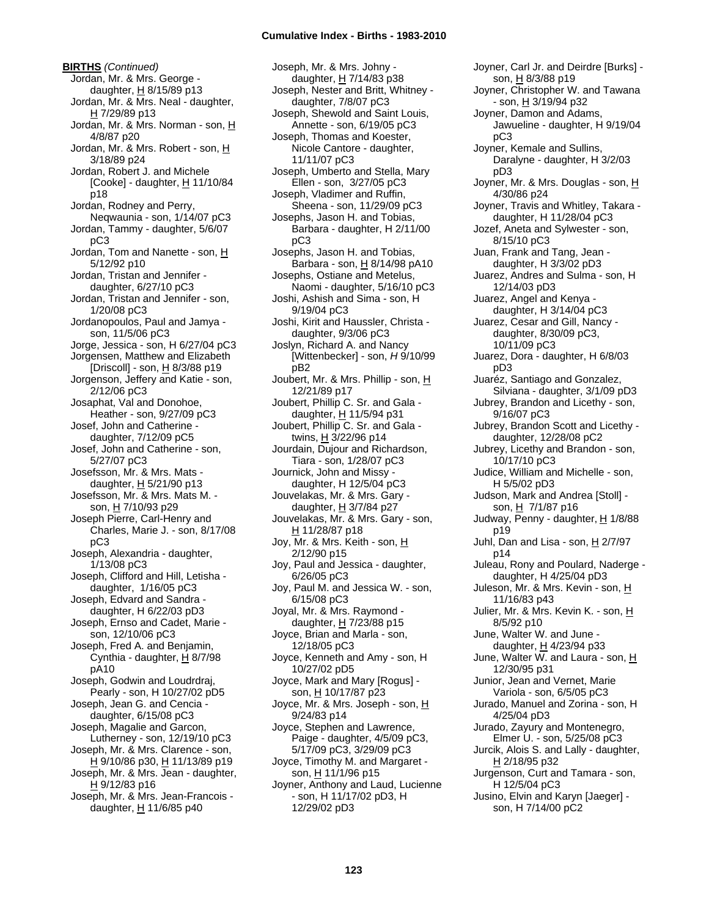**BIRTHS** *(Continued)* Jordan, Mr. & Mrs. George daughter,  $H$  8/15/89 p13 Jordan, Mr. & Mrs. Neal - daughter, H 7/29/89 p13 Jordan, Mr. & Mrs. Norman - son, H 4/8/87 p20 Jordan, Mr. & Mrs. Robert - son, H 3/18/89 p24 Jordan, Robert J. and Michele [Cooke] - daughter,  $H$  11/10/84 p18 Jordan, Rodney and Perry, Neqwaunia - son, 1/14/07 pC3 Jordan, Tammy - daughter, 5/6/07 pC3 Jordan, Tom and Nanette - son, H 5/12/92 p10 Jordan, Tristan and Jennifer daughter, 6/27/10 pC3 Jordan, Tristan and Jennifer - son, 1/20/08 pC3 Jordanopoulos, Paul and Jamya son, 11/5/06 pC3 Jorge, Jessica - son, H 6/27/04 pC3 Jorgensen, Matthew and Elizabeth [Driscoll] - son,  $\underline{H}$  8/3/88 p19 Jorgenson, Jeffery and Katie - son, 2/12/06 pC3 Josaphat, Val and Donohoe, Heather - son, 9/27/09 pC3 Josef, John and Catherine daughter, 7/12/09 pC5 Josef, John and Catherine - son, 5/27/07 pC3 Josefsson, Mr. & Mrs. Mats daughter,  $H$  5/21/90 p13 Josefsson, Mr. & Mrs. Mats M. son, H 7/10/93 p29 Joseph Pierre, Carl-Henry and Charles, Marie J. - son, 8/17/08 pC3 Joseph, Alexandria - daughter, 1/13/08 pC3 Joseph, Clifford and Hill, Letisha daughter, 1/16/05 pC3 Joseph, Edvard and Sandra daughter, H 6/22/03 pD3 Joseph, Ernso and Cadet, Marie son, 12/10/06 pC3 Joseph, Fred A. and Benjamin, Cynthia - daughter, H 8/7/98 pA10 Joseph, Godwin and Loudrdraj, Pearly - son, H 10/27/02 pD5 Joseph, Jean G. and Cencia daughter, 6/15/08 pC3 Joseph, Magalie and Garcon, Lutherney - son, 12/19/10 pC3 Joseph, Mr. & Mrs. Clarence - son, H 9/10/86 p30, H 11/13/89 p19 Joseph, Mr. & Mrs. Jean - daughter, H 9/12/83 p16 Joseph, Mr. & Mrs. Jean-Francois daughter,  $H$  11/6/85 p40

Joseph, Mr. & Mrs. Johny daughter, H 7/14/83 p38 Joseph, Nester and Britt, Whitney daughter, 7/8/07 pC3 Joseph, Shewold and Saint Louis, Annette - son, 6/19/05 pC3 Joseph, Thomas and Koester, Nicole Cantore - daughter, 11/11/07 pC3 Joseph, Umberto and Stella, Mary Ellen - son, 3/27/05 pC3 Joseph, Vladimer and Ruffin, Sheena - son, 11/29/09 pC3 Josephs, Jason H. and Tobias, Barbara - daughter, H 2/11/00 pC3 Josephs, Jason H. and Tobias, Barbara - son, H 8/14/98 pA10 Josephs, Ostiane and Metelus, Naomi - daughter, 5/16/10 pC3 Joshi, Ashish and Sima - son, H 9/19/04 pC3 Joshi, Kirit and Haussler, Christa daughter, 9/3/06 pC3 Joslyn, Richard A. and Nancy [Wittenbecker] - son, *H* 9/10/99 pB2 Joubert, Mr. & Mrs. Phillip - son, H 12/21/89 p17 Joubert, Phillip C. Sr. and Gala daughter,  $H$  11/5/94 p31 Joubert, Phillip C. Sr. and Gala twins, H 3/22/96 p14 Jourdain, Dujour and Richardson, Tiara - son, 1/28/07 pC3 Journick, John and Missy daughter, H 12/5/04 pC3 Jouvelakas, Mr. & Mrs. Gary daughter, H 3/7/84 p27 Jouvelakas, Mr. & Mrs. Gary - son, H 11/28/87 p18 Joy, Mr. & Mrs. Keith - son, H 2/12/90 p15 Joy, Paul and Jessica - daughter, 6/26/05 pC3 Joy, Paul M. and Jessica W. - son, 6/15/08 pC3 Joyal, Mr. & Mrs. Raymond daughter,  $H$  7/23/88 p15 Joyce, Brian and Marla - son, 12/18/05 pC3 Joyce, Kenneth and Amy - son, H 10/27/02 pD5 Joyce, Mark and Mary [Rogus] son, H 10/17/87 p23 Joyce, Mr. & Mrs. Joseph - son, H 9/24/83 p14 Joyce, Stephen and Lawrence, Paige - daughter, 4/5/09 pC3, 5/17/09 pC3, 3/29/09 pC3 Joyce, Timothy M. and Margaret son, H 11/1/96 p15 Joyner, Anthony and Laud, Lucienne - son, H 11/17/02 pD3, H 12/29/02 pD3

Joyner, Carl Jr. and Deirdre [Burks] son, H 8/3/88 p19 Joyner, Christopher W. and Tawana - son, H 3/19/94 p32 Joyner, Damon and Adams, Jawueline - daughter, H 9/19/04 pC3 Joyner, Kemale and Sullins, Daralyne - daughter, H 3/2/03 pD3 Joyner, Mr. & Mrs. Douglas - son, H 4/30/86 p24 Joyner, Travis and Whitley, Takara daughter, H 11/28/04 pC3 Jozef, Aneta and Sylwester - son, 8/15/10 pC3 Juan, Frank and Tang, Jean daughter, H 3/3/02 pD3 Juarez, Andres and Sulma - son, H 12/14/03 pD3 Juarez, Angel and Kenya daughter, H 3/14/04 pC3 Juarez, Cesar and Gill, Nancy daughter, 8/30/09 pC3, 10/11/09 pC3 Juarez, Dora - daughter, H 6/8/03 pD3 Juaréz, Santiago and Gonzalez, Silviana - daughter, 3/1/09 pD3 Jubrey, Brandon and Licethy - son, 9/16/07 pC3 Jubrey, Brandon Scott and Licethy daughter, 12/28/08 pC2 Jubrey, Licethy and Brandon - son, 10/17/10 pC3 Judice, William and Michelle - son, H 5/5/02 pD3 Judson, Mark and Andrea [Stoll] son, H 7/1/87 p16 Judway, Penny - daughter, H 1/8/88 p19 Juhl, Dan and Lisa - son,  $H$  2/7/97 p14 Juleau, Rony and Poulard, Naderge daughter, H 4/25/04 pD3 Juleson, Mr. & Mrs. Kevin - son, H 11/16/83 p43 Julier, Mr. & Mrs. Kevin K. - son, H 8/5/92 p10 June, Walter W. and June daughter,  $H$  4/23/94 p33 June, Walter W. and Laura - son, H 12/30/95 p31 Junior, Jean and Vernet, Marie Variola - son, 6/5/05 pC3 Jurado, Manuel and Zorina - son, H 4/25/04 pD3 Jurado, Zayury and Montenegro, Elmer U. - son, 5/25/08 pC3 Jurcik, Alois S. and Lally - daughter, H 2/18/95 p32 Jurgenson, Curt and Tamara - son, H 12/5/04 pC3 Jusino, Elvin and Karyn [Jaeger] son, H 7/14/00 pC2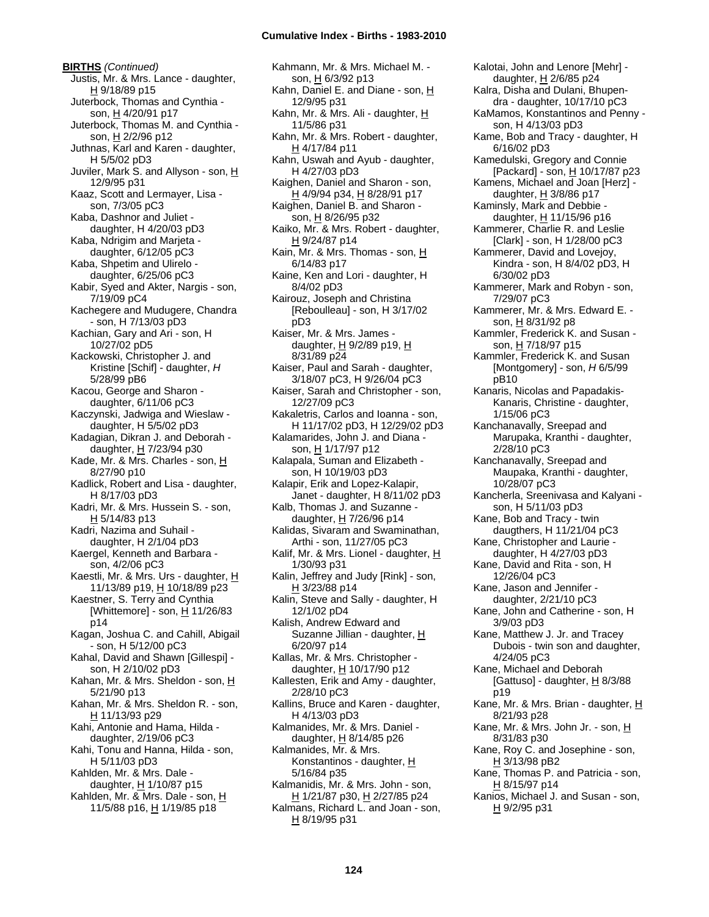**BIRTHS** *(Continued)* Justis, Mr. & Mrs. Lance - daughter, H 9/18/89 p15 Juterbock, Thomas and Cynthia son, H 4/20/91 p17 Juterbock, Thomas M. and Cynthia son, H 2/2/96 p12 Juthnas, Karl and Karen - daughter, H 5/5/02 pD3 Juviler, Mark S. and Allyson - son, H 12/9/95 p31 Kaaz, Scott and Lermayer, Lisa son, 7/3/05 pC3 Kaba, Dashnor and Juliet daughter, H 4/20/03 pD3 Kaba, Ndrigim and Marjeta daughter, 6/12/05 pC3 Kaba, Shpetim and Ulirelo daughter, 6/25/06 pC3 Kabir, Syed and Akter, Nargis - son, 7/19/09 pC4 Kachegere and Mudugere, Chandra - son, H 7/13/03 pD3 Kachian, Gary and Ari - son, H 10/27/02 pD5 Kackowski, Christopher J. and Kristine [Schif] - daughter, *H* 5/28/99 pB6 Kacou, George and Sharon daughter, 6/11/06 pC3 Kaczynski, Jadwiga and Wieslaw daughter, H 5/5/02 pD3 Kadagian, Dikran J. and Deborah daughter, H 7/23/94 p30 Kade, Mr. & Mrs. Charles - son, H 8/27/90 p10 Kadlick, Robert and Lisa - daughter, H 8/17/03 pD3 Kadri, Mr. & Mrs. Hussein S. - son, H 5/14/83 p13 Kadri, Nazima and Suhail daughter, H 2/1/04 pD3 Kaergel, Kenneth and Barbara son, 4/2/06 pC3 Kaestli, Mr. & Mrs. Urs - daughter, H 11/13/89 p19, H 10/18/89 p23 Kaestner, S. Terry and Cynthia [Whittemore] - son,  $H$  11/26/83 p14 Kagan, Joshua C. and Cahill, Abigail - son, H 5/12/00 pC3 Kahal, David and Shawn [Gillespi] son, H 2/10/02 pD3 Kahan, Mr. & Mrs. Sheldon - son, H 5/21/90 p13 Kahan, Mr. & Mrs. Sheldon R. - son, H 11/13/93 p29 Kahi, Antonie and Hama, Hilda daughter, 2/19/06 pC3 Kahi, Tonu and Hanna, Hilda - son, H 5/11/03 pD3 Kahlden, Mr. & Mrs. Dale daughter, H 1/10/87 p15 Kahlden, Mr. & Mrs. Dale - son, H 11/5/88 p16, H 1/19/85 p18

Kahmann, Mr. & Mrs. Michael M. son, H 6/3/92 p13 Kahn, Daniel E. and Diane - son, H 12/9/95 p31 Kahn, Mr. & Mrs. Ali - daughter, H 11/5/86 p31 Kahn, Mr. & Mrs. Robert - daughter, H 4/17/84 p11 Kahn, Uswah and Ayub - daughter, H 4/27/03 pD3 Kaighen, Daniel and Sharon - son, H 4/9/94 p34, H 8/28/91 p17 Kaighen, Daniel B. and Sharon son, H 8/26/95 p32 Kaiko, Mr. & Mrs. Robert - daughter, H 9/24/87 p14 Kain, Mr. & Mrs. Thomas - son, H 6/14/83 p17 Kaine, Ken and Lori - daughter, H 8/4/02 pD3 Kairouz, Joseph and Christina [Reboulleau] - son, H 3/17/02 pD3 Kaiser, Mr. & Mrs. James daughter,  $H$  9/2/89 p19,  $H$ 8/31/89 p24 Kaiser, Paul and Sarah - daughter, 3/18/07 pC3, H 9/26/04 pC3 Kaiser, Sarah and Christopher - son, 12/27/09 pC3 Kakaletris, Carlos and Ioanna - son, H 11/17/02 pD3, H 12/29/02 pD3 Kalamarides, John J. and Diana son, H 1/17/97 p12 Kalapala, Suman and Elizabeth son, H 10/19/03 pD3 Kalapir, Erik and Lopez-Kalapir, Janet - daughter, H 8/11/02 pD3 Kalb, Thomas J. and Suzanne daughter,  $H$  7/26/96 p14 Kalidas, Sivaram and Swaminathan, Arthi - son, 11/27/05 pC3 Kalif, Mr. & Mrs. Lionel - daughter, H 1/30/93 p31 Kalin, Jeffrey and Judy [Rink] - son, H 3/23/88 p14 Kalin, Steve and Sally - daughter, H 12/1/02 pD4 Kalish, Andrew Edward and Suzanne Jillian - daughter, H 6/20/97 p14 Kallas, Mr. & Mrs. Christopher daughter, H 10/17/90 p12 Kallesten, Erik and Amy - daughter, 2/28/10 pC3 Kallins, Bruce and Karen - daughter, H 4/13/03 pD3 Kalmanides, Mr. & Mrs. Daniel daughter, H 8/14/85 p26 Kalmanides, Mr. & Mrs. Konstantinos - daughter, H 5/16/84 p35 Kalmanidis, Mr. & Mrs. John - son, H 1/21/87 p30, H 2/27/85 p24 Kalmans, Richard L. and Joan - son, H 8/19/95 p31

Kalotai, John and Lenore [Mehr] daughter, H 2/6/85 p24 Kalra, Disha and Dulani, Bhupendra - daughter, 10/17/10 pC3 KaMamos, Konstantinos and Penny son, H 4/13/03 pD3 Kame, Bob and Tracy - daughter, H 6/16/02 pD3 Kamedulski, Gregory and Connie [Packard] - son, H 10/17/87 p23 Kamens, Michael and Joan [Herz] daughter,  $H$  3/8/86 p17 Kaminsly, Mark and Debbie daughter, H 11/15/96 p16 Kammerer, Charlie R. and Leslie [Clark] - son, H 1/28/00 pC3 Kammerer, David and Lovejoy, Kindra - son, H 8/4/02 pD3, H 6/30/02 pD3 Kammerer, Mark and Robyn - son, 7/29/07 pC3 Kammerer, Mr. & Mrs. Edward E. son, H 8/31/92 p8 Kammler, Frederick K. and Susan son, H 7/18/97 p15 Kammler, Frederick K. and Susan [Montgomery] - son, *H* 6/5/99 pB10 Kanaris, Nicolas and Papadakis-Kanaris, Christine - daughter, 1/15/06 pC3 Kanchanavally, Sreepad and Marupaka, Kranthi - daughter, 2/28/10 pC3 Kanchanavally, Sreepad and Maupaka, Kranthi - daughter, 10/28/07 pC3 Kancherla, Sreenivasa and Kalyani son, H 5/11/03 pD3 Kane, Bob and Tracy - twin daugthers, H 11/21/04 pC3 Kane, Christopher and Laurie daughter, H 4/27/03 pD3 Kane, David and Rita - son, H 12/26/04 pC3 Kane, Jason and Jennifer daughter, 2/21/10 pC3 Kane, John and Catherine - son, H 3/9/03 pD3 Kane, Matthew J. Jr. and Tracey Dubois - twin son and daughter, 4/24/05 pC3 Kane, Michael and Deborah [Gattuso] - daughter,  $H$  8/3/88 p19 Kane, Mr. & Mrs. Brian - daughter, H 8/21/93 p28 Kane, Mr. & Mrs. John Jr. - son, H 8/31/83 p30 Kane, Roy C. and Josephine - son, H 3/13/98 pB2 Kane, Thomas P. and Patricia - son, H 8/15/97 p14 Kanios, Michael J. and Susan - son, H 9/2/95 p31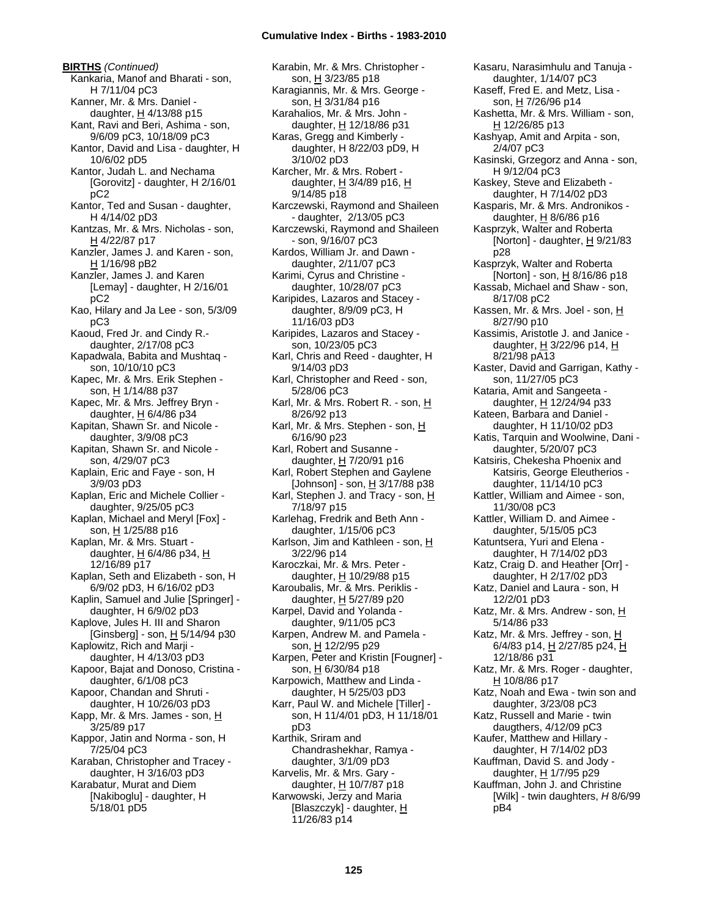**BIRTHS** *(Continued)* Kankaria, Manof and Bharati - son, H 7/11/04 pC3 Kanner, Mr. & Mrs. Daniel daughter, H 4/13/88 p15 Kant, Ravi and Beri, Ashima - son, 9/6/09 pC3, 10/18/09 pC3 Kantor, David and Lisa - daughter, H 10/6/02 pD5 Kantor, Judah L. and Nechama [Gorovitz] - daughter, H 2/16/01 pC2 Kantor, Ted and Susan - daughter, H 4/14/02 pD3 Kantzas, Mr. & Mrs. Nicholas - son, H 4/22/87 p17 Kanzler, James J. and Karen - son, H 1/16/98 pB2 Kanzler, James J. and Karen [Lemay] - daughter, H 2/16/01 pC2 Kao, Hilary and Ja Lee - son, 5/3/09 pC3 Kaoud, Fred Jr. and Cindy R. daughter, 2/17/08 pC3 Kapadwala, Babita and Mushtaq son, 10/10/10 pC3 Kapec, Mr. & Mrs. Erik Stephen son, H 1/14/88 p37 Kapec, Mr. & Mrs. Jeffrey Bryn daughter,  $H$  6/4/86 p34 Kapitan, Shawn Sr. and Nicole daughter, 3/9/08 pC3 Kapitan, Shawn Sr. and Nicole son, 4/29/07 pC3 Kaplain, Eric and Faye - son, H 3/9/03 pD3 Kaplan, Eric and Michele Collier daughter, 9/25/05 pC3 Kaplan, Michael and Meryl [Fox] son, H 1/25/88 p16 Kaplan, Mr. & Mrs. Stuart daughter,  $H$  6/4/86 p34,  $H$ 12/16/89 p17 Kaplan, Seth and Elizabeth - son, H 6/9/02 pD3, H 6/16/02 pD3 Kaplin, Samuel and Julie [Springer] daughter, H 6/9/02 pD3 Kaplove, Jules H. III and Sharon [Ginsberg] - son,  $\underline{H}$  5/14/94 p30 Kaplowitz, Rich and Marji daughter, H 4/13/03 pD3 Kapoor, Bajat and Donoso, Cristina daughter, 6/1/08 pC3 Kapoor, Chandan and Shruti daughter, H 10/26/03 pD3 Kapp, Mr. & Mrs. James - son,  $H$ 3/25/89 p17 Kappor, Jatin and Norma - son, H 7/25/04 pC3 Karaban, Christopher and Tracey daughter, H 3/16/03 pD3 Karabatur, Murat and Diem [Nakiboglu] - daughter, H 5/18/01 pD5

Karabin, Mr. & Mrs. Christopher son, H 3/23/85 p18 Karagiannis, Mr. & Mrs. George son,  $H = 3/31/84$  p16 Karahalios, Mr. & Mrs. John daughter, H 12/18/86 p31 Karas, Gregg and Kimberly daughter, H 8/22/03 pD9, H 3/10/02 pD3 Karcher, Mr. & Mrs. Robert daughter, H 3/4/89 p16, H 9/14/85 p18 Karczewski, Raymond and Shaileen - daughter, 2/13/05 pC3 Karczewski, Raymond and Shaileen - son, 9/16/07 pC3 Kardos, William Jr. and Dawn daughter, 2/11/07 pC3 Karimi, Cyrus and Christine daughter, 10/28/07 pC3 Karipides, Lazaros and Stacey daughter, 8/9/09 pC3, H 11/16/03 pD3 Karipides, Lazaros and Stacey son, 10/23/05 pC3 Karl, Chris and Reed - daughter, H 9/14/03 pD3 Karl, Christopher and Reed - son, 5/28/06 pC3 Karl, Mr. & Mrs. Robert R. - son, H 8/26/92 p13 Karl, Mr. & Mrs. Stephen - son, H 6/16/90 p23 Karl, Robert and Susanne daughter, H 7/20/91 p16 Karl, Robert Stephen and Gaylene [Johnson] - son, H 3/17/88 p38 Karl, Stephen J. and Tracy - son, H 7/18/97 p15 Karlehag, Fredrik and Beth Ann daughter, 1/15/06 pC3 Karlson, Jim and Kathleen - son, H 3/22/96 p14 Karoczkai, Mr. & Mrs. Peter daughter, H 10/29/88 p15 Karoubalis, Mr. & Mrs. Periklis daughter, H 5/27/89 p20 Karpel, David and Yolanda daughter, 9/11/05 pC3 Karpen, Andrew M. and Pamela son, H 12/2/95 p29 Karpen, Peter and Kristin [Fougner] son, H 6/30/84 p18 Karpowich, Matthew and Linda daughter, H 5/25/03 pD3 Karr, Paul W. and Michele [Tiller] son, H 11/4/01 pD3, H 11/18/01 pD3 Karthik, Sriram and Chandrashekhar, Ramya daughter, 3/1/09 pD3 Karvelis, Mr. & Mrs. Gary daughter, H 10/7/87 p18 Karwowski, Jerzy and Maria [Blaszczyk] - daughter, H 11/26/83 p14

Kasaru, Narasimhulu and Tanuja daughter, 1/14/07 pC3 Kaseff, Fred E. and Metz, Lisa son, H 7/26/96 p14 Kashetta, Mr. & Mrs. William - son, H 12/26/85 p13 Kashyap, Amit and Arpita - son, 2/4/07 pC3 Kasinski, Grzegorz and Anna - son, H 9/12/04 pC3 Kaskey, Steve and Elizabeth daughter, H 7/14/02 pD3 Kasparis, Mr. & Mrs. Andronikos daughter,  $H$  8/6/86 p16 Kasprzyk, Walter and Roberta [Norton] - daughter,  $H$  9/21/83 p28 Kasprzyk, Walter and Roberta [Norton] - son, H 8/16/86 p18 Kassab, Michael and Shaw - son, 8/17/08 pC2 Kassen, Mr. & Mrs. Joel - son, H 8/27/90 p10 Kassimis, Aristotle J. and Janice daughter,  $H$  3/22/96 p14,  $H$ 8/21/98 pA13 Kaster, David and Garrigan, Kathy son, 11/27/05 pC3 Kataria, Amit and Sangeeta daughter, H 12/24/94 p33 Kateen, Barbara and Daniel daughter, H 11/10/02 pD3 Katis, Tarquin and Woolwine, Dani daughter, 5/20/07 pC3 Katsiris, Chekesha Phoenix and Katsiris, George Eleutherios daughter, 11/14/10 pC3 Kattler, William and Aimee - son, 11/30/08 pC3 Kattler, William D. and Aimee daughter, 5/15/05 pC3 Katuntsera, Yuri and Elena daughter, H 7/14/02 pD3 Katz, Craig D. and Heather [Orr] daughter, H 2/17/02 pD3 Katz, Daniel and Laura - son, H 12/2/01 pD3 Katz, Mr. & Mrs. Andrew - son, H 5/14/86 p33 Katz, Mr. & Mrs. Jeffrey - son, H 6/4/83 p14, H 2/27/85 p24, H 12/18/86 p31 Katz, Mr. & Mrs. Roger - daughter, H 10/8/86 p17 Katz, Noah and Ewa - twin son and daughter, 3/23/08 pC3 Katz, Russell and Marie - twin daugthers, 4/12/09 pC3 Kaufer, Matthew and Hillary daughter, H 7/14/02 pD3 Kauffman, David S. and Jody daughter, H 1/7/95 p29 Kauffman, John J. and Christine [Wilk] - twin daughters, *H* 8/6/99 pB4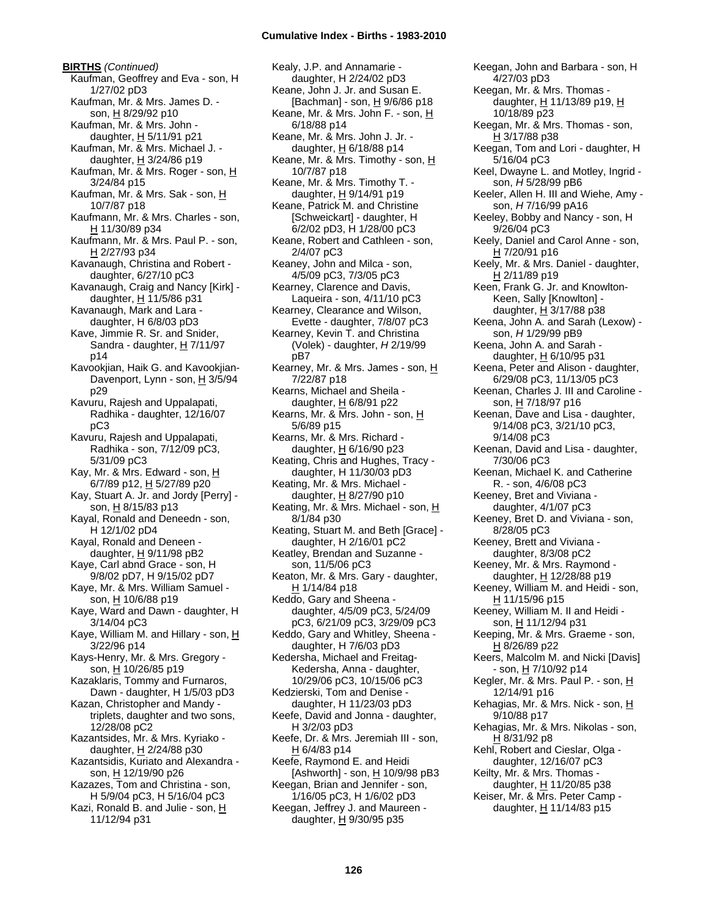**BIRTHS** *(Continued)* Kaufman, Geoffrey and Eva - son, H 1/27/02 pD3 Kaufman, Mr. & Mrs. James D. son, H 8/29/92 p10 Kaufman, Mr. & Mrs. John daughter,  $H$  5/11/91 p21 Kaufman, Mr. & Mrs. Michael J. daughter,  $\underline{H}$  3/24/86 p19 Kaufman, Mr. & Mrs. Roger - son, H 3/24/84 p15 Kaufman, Mr. & Mrs. Sak - son, H 10/7/87 p18 Kaufmann, Mr. & Mrs. Charles - son, H 11/30/89 p34 Kaufmann, Mr. & Mrs. Paul P. - son, H 2/27/93 p34 Kavanaugh, Christina and Robert daughter, 6/27/10 pC3 Kavanaugh, Craig and Nancy [Kirk] daughter,  $H$  11/5/86 p31 Kavanaugh, Mark and Lara daughter, H 6/8/03 pD3 Kave, Jimmie R. Sr. and Snider, Sandra - daughter,  $H$  7/11/97 p14 Kavookjian, Haik G. and Kavookjian-Davenport, Lynn - son,  $H$  3/5/94 p29 Kavuru, Rajesh and Uppalapati, Radhika - daughter, 12/16/07 pC3 Kavuru, Rajesh and Uppalapati, Radhika - son, 7/12/09 pC3, 5/31/09 pC3 Kay, Mr. & Mrs. Edward - son, H 6/7/89 p12, H 5/27/89 p20 Kay, Stuart A. Jr. and Jordy [Perry] son, H 8/15/83 p13 Kayal, Ronald and Deneedn - son, H 12/1/02 pD4 Kayal, Ronald and Deneen daughter, H 9/11/98 pB2 Kaye, Carl abnd Grace - son, H 9/8/02 pD7, H 9/15/02 pD7 Kaye, Mr. & Mrs. William Samuel son, H 10/6/88 p19 Kaye, Ward and Dawn - daughter, H 3/14/04 pC3 Kaye, William M. and Hillary - son,  $H$ 3/22/96 p14 Kays-Henry, Mr. & Mrs. Gregory son, H 10/26/85 p19 Kazaklaris, Tommy and Furnaros, Dawn - daughter, H 1/5/03 pD3 Kazan, Christopher and Mandy triplets, daughter and two sons, 12/28/08 pC2 Kazantsides, Mr. & Mrs. Kyriako daughter,  $H$  2/24/88 p30 Kazantsidis, Kuriato and Alexandra son, H 12/19/90 p26 Kazazes, Tom and Christina - son, H 5/9/04 pC3, H 5/16/04 pC3 Kazi, Ronald B. and Julie - son,  $\underline{H}$ 11/12/94 p31

Kealy, J.P. and Annamarie daughter, H 2/24/02 pD3 Keane, John J. Jr. and Susan E. [Bachman] - son, H 9/6/86 p18 Keane, Mr. & Mrs. John F. - son, H 6/18/88 p14 Keane, Mr. & Mrs. John J. Jr. daughter, H 6/18/88 p14 Keane, Mr. & Mrs. Timothy - son, H 10/7/87 p18 Keane, Mr. & Mrs. Timothy T. daughter,  $H$  9/14/91 p19 Keane, Patrick M. and Christine [Schweickart] - daughter, H 6/2/02 pD3, H 1/28/00 pC3 Keane, Robert and Cathleen - son, 2/4/07 pC3 Keaney, John and Milca - son, 4/5/09 pC3, 7/3/05 pC3 Kearney, Clarence and Davis, Laqueira - son, 4/11/10 pC3 Kearney, Clearance and Wilson, Evette - daughter, 7/8/07 pC3 Kearney, Kevin T. and Christina (Volek) - daughter, *H* 2/19/99 pB7 Kearney, Mr. & Mrs. James - son, H 7/22/87 p18 Kearns, Michael and Sheila daughter, H 6/8/91 p22 Kearns, Mr. & Mrs. John - son, H 5/6/89 p15 Kearns, Mr. & Mrs. Richard daughter, H 6/16/90 p23 Keating, Chris and Hughes, Tracy daughter, H 11/30/03 pD3 Keating, Mr. & Mrs. Michael daughter, H 8/27/90 p10 Keating, Mr. & Mrs. Michael - son, H 8/1/84 p30 Keating, Stuart M. and Beth [Grace] daughter, H 2/16/01 pC2 Keatley, Brendan and Suzanne son, 11/5/06 pC3 Keaton, Mr. & Mrs. Gary - daughter,  $H$  1/14/84 p18 Keddo, Gary and Sheena daughter, 4/5/09 pC3, 5/24/09 pC3, 6/21/09 pC3, 3/29/09 pC3 Keddo, Gary and Whitley, Sheena daughter, H 7/6/03 pD3 Kedersha, Michael and Freitag-Kedersha, Anna - daughter, 10/29/06 pC3, 10/15/06 pC3 Kedzierski, Tom and Denise daughter, H 11/23/03 pD3 Keefe, David and Jonna - daughter, H 3/2/03 pD3 Keefe, Dr. & Mrs. Jeremiah III - son,  $H$  6/4/83 p14 Keefe, Raymond E. and Heidi [Ashworth] - son, H 10/9/98 pB3 Keegan, Brian and Jennifer - son, 1/16/05 pC3, H 1/6/02 pD3 Keegan, Jeffrey J. and Maureen daughter, H 9/30/95 p35

Keegan, John and Barbara - son, H 4/27/03 pD3 Keegan, Mr. & Mrs. Thomas daughter,  $H$  11/13/89 p19,  $H$ 10/18/89 p23 Keegan, Mr. & Mrs. Thomas - son, H 3/17/88 p38 Keegan, Tom and Lori - daughter, H 5/16/04 pC3 Keel, Dwayne L. and Motley, Ingrid son, *H* 5/28/99 pB6 Keeler, Allen H. III and Wiehe, Amy son, *H* 7/16/99 pA16 Keeley, Bobby and Nancy - son, H 9/26/04 pC3 Keely, Daniel and Carol Anne - son, H 7/20/91 p16 Keely, Mr. & Mrs. Daniel - daughter, H 2/11/89 p19 Keen, Frank G. Jr. and Knowlton-Keen, Sally [Knowlton] daughter,  $H$  3/17/88 p38 Keena, John A. and Sarah (Lexow) son, *H* 1/29/99 pB9 Keena, John A. and Sarah daughter, H 6/10/95 p31 Keena, Peter and Alison - daughter, 6/29/08 pC3, 11/13/05 pC3 Keenan, Charles J. III and Caroline son, H 7/18/97 p16 Keenan, Dave and Lisa - daughter, 9/14/08 pC3, 3/21/10 pC3, 9/14/08 pC3 Keenan, David and Lisa - daughter, 7/30/06 pC3 Keenan, Michael K. and Catherine R. - son, 4/6/08 pC3 Keeney, Bret and Viviana daughter, 4/1/07 pC3 Keeney, Bret D. and Viviana - son, 8/28/05 pC3 Keeney, Brett and Viviana daughter, 8/3/08 pC2 Keeney, Mr. & Mrs. Raymond daughter, H 12/28/88 p19 Keeney, William M. and Heidi - son, H 11/15/96 p15 Keeney, William M. II and Heidi son, H 11/12/94 p31 Keeping, Mr. & Mrs. Graeme - son, H 8/26/89 p22 Keers, Malcolm M. and Nicki [Davis]  $-$  son,  $\underline{H}$  7/10/92 p14 Kegler, Mr. & Mrs. Paul P. - son, H 12/14/91 p16 Kehagias, Mr. & Mrs. Nick - son, H 9/10/88 p17 Kehagias, Mr. & Mrs. Nikolas - son, H 8/31/92 p8 Kehl, Robert and Cieslar, Olga daughter, 12/16/07 pC3 Keilty, Mr. & Mrs. Thomas daughter, H 11/20/85 p38 Keiser, Mr. & Mrs. Peter Camp daughter, H 11/14/83 p15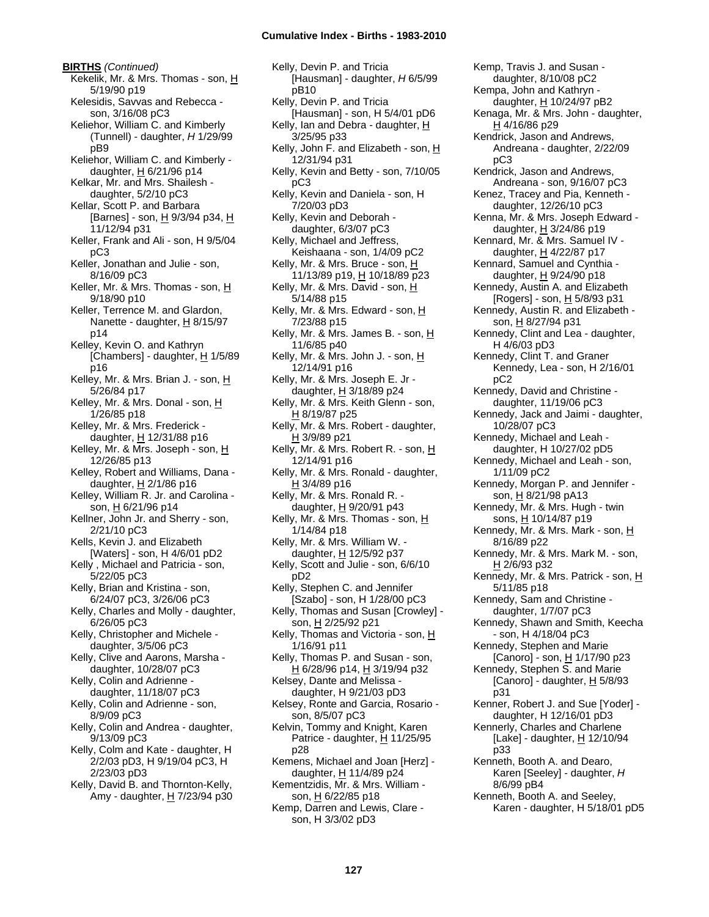**BIRTHS** *(Continued)* Kekelik, Mr. & Mrs. Thomas - son, H 5/19/90 p19 Kelesidis, Savvas and Rebecca son, 3/16/08 pC3 Keliehor, William C. and Kimberly (Tunnell) - daughter, *H* 1/29/99 pB9 Keliehor, William C. and Kimberly daughter,  $H$  6/21/96 p14 Kelkar, Mr. and Mrs. Shailesh daughter, 5/2/10 pC3 Kellar, Scott P. and Barbara [Barnes] - son, H 9/3/94 p34, H 11/12/94 p31 Keller, Frank and Ali - son, H 9/5/04 pC3 Keller, Jonathan and Julie - son, 8/16/09 pC3 Keller, Mr. & Mrs. Thomas - son, H 9/18/90 p10 Keller, Terrence M. and Glardon, Nanette - daughter, H 8/15/97 p14 Kelley, Kevin O. and Kathryn [Chambers] - daughter,  $H$  1/5/89 p16 Kelley, Mr. & Mrs. Brian J. - son, H 5/26/84 p17 Kelley, Mr. & Mrs. Donal - son, H 1/26/85 p18 Kelley, Mr. & Mrs. Frederick daughter,  $\underline{H}$  12/31/88 p16 Kelley, Mr. & Mrs. Joseph - son, H 12/26/85 p13 Kelley, Robert and Williams, Dana daughter,  $H$  2/1/86 p16 Kelley, William R. Jr. and Carolina son, H 6/21/96 p14 Kellner, John Jr. and Sherry - son, 2/21/10 pC3 Kells, Kevin J. and Elizabeth [Waters] - son, H 4/6/01 pD2 Kelly , Michael and Patricia - son, 5/22/05 pC3 Kelly, Brian and Kristina - son, 6/24/07 pC3, 3/26/06 pC3 Kelly, Charles and Molly - daughter, 6/26/05 pC3 Kelly, Christopher and Michele daughter, 3/5/06 pC3 Kelly, Clive and Aarons, Marsha daughter, 10/28/07 pC3 Kelly, Colin and Adrienne daughter, 11/18/07 pC3 Kelly, Colin and Adrienne - son, 8/9/09 pC3 Kelly, Colin and Andrea - daughter, 9/13/09 pC3 Kelly, Colm and Kate - daughter, H 2/2/03 pD3, H 9/19/04 pC3, H 2/23/03 pD3 Kelly, David B. and Thornton-Kelly, Amy - daughter,  $H$  7/23/94 p30

Kelly, Devin P. and Tricia [Hausman] - daughter, *H* 6/5/99 pB10 Kelly, Devin P. and Tricia [Hausman] - son, H 5/4/01 pD6 Kelly, Ian and Debra - daughter, H 3/25/95 p33 Kelly, John F. and Elizabeth - son, H 12/31/94 p31 Kelly, Kevin and Betty - son, 7/10/05 pC3 Kelly, Kevin and Daniela - son, H 7/20/03 pD3 Kelly, Kevin and Deborah daughter, 6/3/07 pC3 Kelly, Michael and Jeffress, Keishaana - son, 1/4/09 pC2 Kelly, Mr. & Mrs. Bruce - son, H 11/13/89 p19, H 10/18/89 p23 Kelly, Mr. & Mrs. David - son, H 5/14/88 p15 Kelly, Mr. & Mrs. Edward - son,  $H$ 7/23/88 p15 Kelly, Mr. & Mrs. James B. - son, H 11/6/85 p40 Kelly, Mr. & Mrs. John J. - son, H 12/14/91 p16 Kelly, Mr. & Mrs. Joseph E. Jr daughter, H 3/18/89 p24 Kelly, Mr. & Mrs. Keith Glenn - son, H 8/19/87 p25 Kelly, Mr. & Mrs. Robert - daughter, H 3/9/89 p21 Kelly, Mr. & Mrs. Robert R. - son, H 12/14/91 p16 Kelly, Mr. & Mrs. Ronald - daughter, H 3/4/89 p16 Kelly, Mr. & Mrs. Ronald R. daughter, H 9/20/91 p43 Kelly, Mr. & Mrs. Thomas - son,  $H$ 1/14/84 p18 Kelly, Mr. & Mrs. William W. daughter, H 12/5/92 p37 Kelly, Scott and Julie - son, 6/6/10 pD2 Kelly, Stephen C. and Jennifer [Szabo] - son, H 1/28/00 pC3 Kelly, Thomas and Susan [Crowley] son, H 2/25/92 p21 Kelly, Thomas and Victoria - son,  $H$ 1/16/91 p11 Kelly, Thomas P. and Susan - son, H 6/28/96 p14, H 3/19/94 p32 Kelsey, Dante and Melissa daughter, H 9/21/03 pD3 Kelsey, Ronte and Garcia, Rosario son, 8/5/07 pC3 Kelvin, Tommy and Knight, Karen Patrice - daughter,  $H$  11/25/95 p28 Kemens, Michael and Joan [Herz] daughter, H 11/4/89 p24 Kementzidis, Mr. & Mrs. William son, H 6/22/85 p18 Kemp, Darren and Lewis, Clare son, H 3/3/02 pD3

Kemp, Travis J. and Susan daughter, 8/10/08 pC2 Kempa, John and Kathryn daughter,  $H$  10/24/97 pB2 Kenaga, Mr. & Mrs. John - daughter, H 4/16/86 p29 Kendrick, Jason and Andrews, Andreana - daughter, 2/22/09 pC3 Kendrick, Jason and Andrews, Andreana - son, 9/16/07 pC3 Kenez, Tracey and Pia, Kenneth daughter, 12/26/10 pC3 Kenna, Mr. & Mrs. Joseph Edward daughter, H 3/24/86 p19 Kennard, Mr. & Mrs. Samuel IV daughter, H 4/22/87 p17 Kennard, Samuel and Cynthia daughter, H 9/24/90 p18 Kennedy, Austin A. and Elizabeth [Rogers] - son,  $H$  5/8/93 p31 Kennedy, Austin R. and Elizabeth son, H 8/27/94 p31 Kennedy, Clint and Lea - daughter, H 4/6/03 pD3 Kennedy, Clint T. and Graner Kennedy, Lea - son, H 2/16/01 pC2 Kennedy, David and Christine daughter, 11/19/06 pC3 Kennedy, Jack and Jaimi - daughter, 10/28/07 pC3 Kennedy, Michael and Leah daughter, H 10/27/02 pD5 Kennedy, Michael and Leah - son, 1/11/09 pC2 Kennedy, Morgan P. and Jennifer son, H 8/21/98 pA13 Kennedy, Mr. & Mrs. Hugh - twin sons, H 10/14/87 p19 Kennedy, Mr. & Mrs. Mark - son, H 8/16/89 p22 Kennedy, Mr. & Mrs. Mark M. - son, H 2/6/93 p32 Kennedy, Mr. & Mrs. Patrick - son, H 5/11/85 p18 Kennedy, Sam and Christine daughter, 1/7/07 pC3 Kennedy, Shawn and Smith, Keecha - son, H 4/18/04 pC3 Kennedy, Stephen and Marie [Canoro] - son,  $H$  1/17/90 p23 Kennedy, Stephen S. and Marie [Canoro] - daughter,  $H$  5/8/93 p31 Kenner, Robert J. and Sue [Yoder] daughter, H 12/16/01 pD3 Kennerly, Charles and Charlene [Lake] - daughter, H 12/10/94 p33 Kenneth, Booth A. and Dearo, Karen [Seeley] - daughter, *H* 8/6/99 pB4 Kenneth, Booth A. and Seeley, Karen - daughter, H 5/18/01 pD5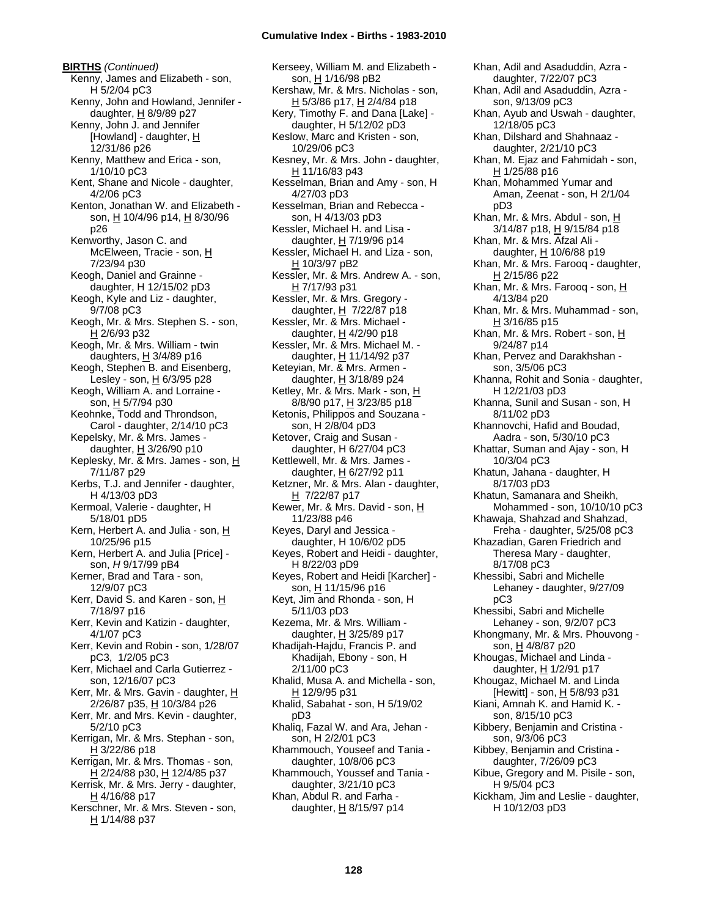**BIRTHS** *(Continued)* Kenny, James and Elizabeth - son, H 5/2/04 pC3 Kenny, John and Howland, Jennifer daughter, H 8/9/89 p27 Kenny, John J. and Jennifer [Howland] - daughter,  $H$ 12/31/86 p26 Kenny, Matthew and Erica - son, 1/10/10 pC3 Kent, Shane and Nicole - daughter, 4/2/06 pC3 Kenton, Jonathan W. and Elizabeth son, H 10/4/96 p14, H 8/30/96 p26 Kenworthy, Jason C. and McElween, Tracie - son, H 7/23/94 p30 Keogh, Daniel and Grainne daughter, H 12/15/02 pD3 Keogh, Kyle and Liz - daughter, 9/7/08 pC3 Keogh, Mr. & Mrs. Stephen S. - son, H 2/6/93 p32 Keogh, Mr. & Mrs. William - twin daughters,  $H$  3/4/89 p16 Keogh, Stephen B. and Eisenberg, Lesley - son,  $H_6/3/95$  p28 Keogh, William A. and Lorraine son, H 5/7/94 p30 Keohnke, Todd and Throndson, Carol - daughter, 2/14/10 pC3 Kepelsky, Mr. & Mrs. James daughter, H 3/26/90 p10 Keplesky, Mr. & Mrs. James - son, H 7/11/87 p29 Kerbs, T.J. and Jennifer - daughter, H 4/13/03 pD3 Kermoal, Valerie - daughter, H 5/18/01 pD5 Kern, Herbert A. and Julia - son, H 10/25/96 p15 Kern, Herbert A. and Julia [Price] son, *H* 9/17/99 pB4 Kerner, Brad and Tara - son, 12/9/07 pC3 Kerr, David S. and Karen - son, H 7/18/97 p16 Kerr, Kevin and Katizin - daughter, 4/1/07 pC3 Kerr, Kevin and Robin - son, 1/28/07 pC3, 1/2/05 pC3 Kerr, Michael and Carla Gutierrez son, 12/16/07 pC3 Kerr, Mr. & Mrs. Gavin - daughter, H 2/26/87 p35, H 10/3/84 p26 Kerr, Mr. and Mrs. Kevin - daughter, 5/2/10 pC3 Kerrigan, Mr. & Mrs. Stephan - son,  $H$  3/22/86 p18 Kerrigan, Mr. & Mrs. Thomas - son, H 2/24/88 p30, H 12/4/85 p37 Kerrisk, Mr. & Mrs. Jerry - daughter,  $H$  4/16/88 p17 Kerschner, Mr. & Mrs. Steven - son, H 1/14/88 p37

Kerseey, William M. and Elizabeth son, H 1/16/98 pB2 Kershaw, Mr. & Mrs. Nicholas - son, H 5/3/86 p17, H 2/4/84 p18 Kery, Timothy F. and Dana [Lake] daughter, H 5/12/02 pD3 Keslow, Marc and Kristen - son, 10/29/06 pC3 Kesney, Mr. & Mrs. John - daughter, H 11/16/83 p43 Kesselman, Brian and Amy - son, H 4/27/03 pD3 Kesselman, Brian and Rebecca son, H 4/13/03 pD3 Kessler, Michael H. and Lisa daughter,  $H$  7/19/96 p14 Kessler, Michael H. and Liza - son, H 10/3/97 pB2 Kessler, Mr. & Mrs. Andrew A. - son, H 7/17/93 p31 Kessler, Mr. & Mrs. Gregory daughter,  $H$  7/22/87 p18 Kessler, Mr. & Mrs. Michael daughter, H 4/2/90 p18 Kessler, Mr. & Mrs. Michael M. daughter, H 11/14/92 p37 Keteyian, Mr. & Mrs. Armen daughter,  $H$  3/18/89 p24 Ketley, Mr. & Mrs. Mark - son, H 8/8/90 p17, H 3/23/85 p18 Ketonis, Philippos and Souzana son, H 2/8/04 pD3 Ketover, Craig and Susan daughter, H 6/27/04 pC3 Kettlewell, Mr. & Mrs. James daughter, H 6/27/92 p11 Ketzner, Mr. & Mrs. Alan - daughter, H 7/22/87 p17 Kewer, Mr. & Mrs. David - son, H 11/23/88 p46 Keyes, Daryl and Jessica daughter, H 10/6/02 pD5 Keyes, Robert and Heidi - daughter, H 8/22/03 pD9 Keyes, Robert and Heidi [Karcher] son, H 11/15/96 p16 Keyt, Jim and Rhonda - son, H 5/11/03 pD3 Kezema, Mr. & Mrs. William daughter,  $\underline{H}$  3/25/89 p17 Khadijah-Hajdu, Francis P. and Khadijah, Ebony - son, H 2/11/00 pC3 Khalid, Musa A. and Michella - son, H 12/9/95 p31 Khalid, Sabahat - son, H 5/19/02 pD3 Khaliq, Fazal W. and Ara, Jehan son, H 2/2/01 pC3 Khammouch, Youseef and Tania daughter, 10/8/06 pC3 Khammouch, Youssef and Tania daughter, 3/21/10 pC3 Khan, Abdul R. and Farha daughter,  $\underline{H}$  8/15/97 p14

Khan, Adil and Asaduddin, Azra daughter, 7/22/07 pC3 Khan, Adil and Asaduddin, Azra son, 9/13/09 pC3 Khan, Ayub and Uswah - daughter, 12/18/05 pC3 Khan, Dilshard and Shahnaaz daughter, 2/21/10 pC3 Khan, M. Ejaz and Fahmidah - son, H 1/25/88 p16 Khan, Mohammed Yumar and Aman, Zeenat - son, H 2/1/04 pD3 Khan, Mr. & Mrs. Abdul - son, H 3/14/87 p18, H 9/15/84 p18 Khan, Mr. & Mrs. Afzal Ali daughter, H 10/6/88 p19 Khan, Mr. & Mrs. Farooq - daughter, H 2/15/86 p22 Khan, Mr. & Mrs. Farooq - son, H 4/13/84 p20 Khan, Mr. & Mrs. Muhammad - son, H 3/16/85 p15 Khan, Mr. & Mrs. Robert - son, H 9/24/87 p14 Khan, Pervez and Darakhshan son, 3/5/06 pC3 Khanna, Rohit and Sonia - daughter, H 12/21/03 pD3 Khanna, Sunil and Susan - son, H 8/11/02 pD3 Khannovchi, Hafid and Boudad, Aadra - son, 5/30/10 pC3 Khattar, Suman and Ajay - son, H 10/3/04 pC3 Khatun, Jahana - daughter, H 8/17/03 pD3 Khatun, Samanara and Sheikh, Mohammed - son, 10/10/10 pC3 Khawaja, Shahzad and Shahzad, Freha - daughter, 5/25/08 pC3 Khazadian, Garen Friedrich and Theresa Mary - daughter, 8/17/08 pC3 Khessibi, Sabri and Michelle Lehaney - daughter, 9/27/09 pC3 Khessibi, Sabri and Michelle Lehaney - son, 9/2/07 pC3 Khongmany, Mr. & Mrs. Phouvong son, H 4/8/87 p20 Khougas, Michael and Linda daughter, H 1/2/91 p17 Khougaz, Michael M. and Linda [Hewitt] - son, H 5/8/93 p31 Kiani, Amnah K. and Hamid K. son, 8/15/10 pC3 Kibbery, Benjamin and Cristina son, 9/3/06 pC3 Kibbey, Benjamin and Cristina daughter, 7/26/09 pC3 Kibue, Gregory and M. Pisile - son, H 9/5/04 pC3 Kickham, Jim and Leslie - daughter, H 10/12/03 pD3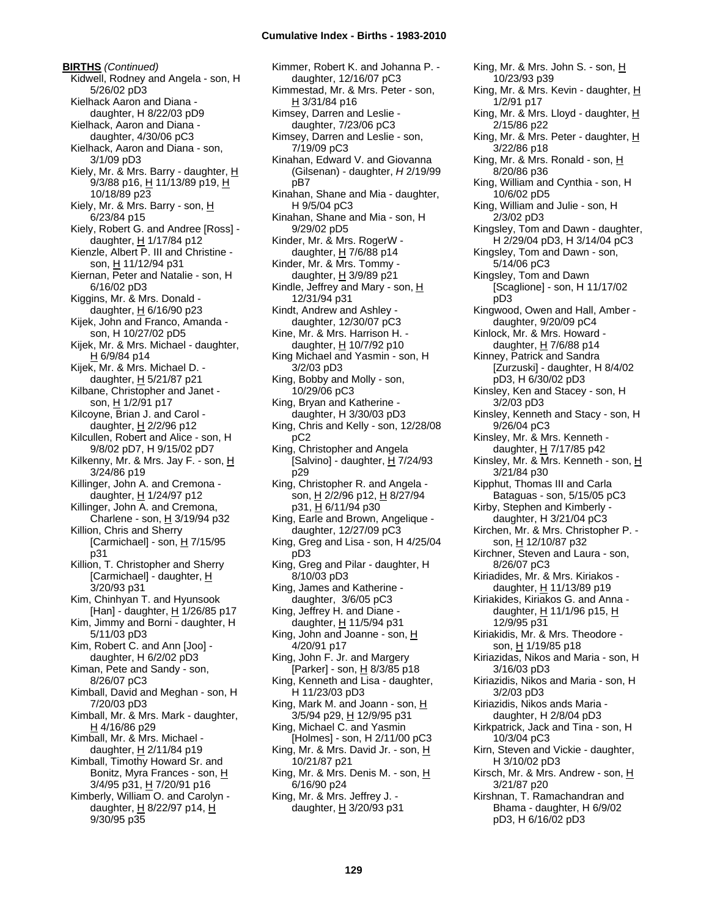**BIRTHS** *(Continued)* Kidwell, Rodney and Angela - son, H 5/26/02 pD3 Kielhack Aaron and Diana daughter, H 8/22/03 pD9 Kielhack, Aaron and Diana daughter, 4/30/06 pC3 Kielhack, Aaron and Diana - son, 3/1/09 pD3 Kiely, Mr. & Mrs. Barry - daughter,  $H$ 9/3/88 p16, H 11/13/89 p19, H 10/18/89 p23 Kiely, Mr. & Mrs. Barry - son, H 6/23/84 p15 Kiely, Robert G. and Andree [Ross] daughter,  $H$  1/17/84 p12 Kienzle, Albert P. III and Christine son, H 11/12/94 p31 Kiernan, Peter and Natalie - son, H 6/16/02 pD3 Kiggins, Mr. & Mrs. Donald daughter,  $H$  6/16/90 p23 Kijek, John and Franco, Amanda son, H 10/27/02 pD5 Kijek, Mr. & Mrs. Michael - daughter, H 6/9/84 p14 Kijek, Mr. & Mrs. Michael D. daughter,  $H$  5/21/87 p21 Kilbane, Christopher and Janet son, H 1/2/91 p17 Kilcoyne, Brian J. and Carol daughter,  $H$  2/2/96 p12 Kilcullen, Robert and Alice - son, H 9/8/02 pD7, H 9/15/02 pD7 Kilkenny, Mr. & Mrs. Jay F. - son, H 3/24/86 p19 Killinger, John A. and Cremona daughter, H 1/24/97 p12 Killinger, John A. and Cremona, Charlene - son,  $H$  3/19/94 p32 Killion, Chris and Sherry [Carmichael] - son,  $H$  7/15/95 p31 Killion, T. Christopher and Sherry [Carmichael] - daughter, H 3/20/93 p31 Kim, Chinhyan T. and Hyunsook [Han] - daughter,  $H$  1/26/85 p17 Kim, Jimmy and Borni - daughter, H 5/11/03 pD3 Kim, Robert C. and Ann [Joo] daughter, H 6/2/02 pD3 Kiman, Pete and Sandy - son, 8/26/07 pC3 Kimball, David and Meghan - son, H 7/20/03 pD3 Kimball, Mr. & Mrs. Mark - daughter, H 4/16/86 p29 Kimball, Mr. & Mrs. Michael daughter,  $H$  2/11/84 p19 Kimball, Timothy Howard Sr. and Bonitz, Myra Frances - son, H 3/4/95 p31, H 7/20/91 p16 Kimberly, William O. and Carolyn daughter, H 8/22/97 p14, H 9/30/95 p35

Kimmer, Robert K. and Johanna P. daughter, 12/16/07 pC3 Kimmestad, Mr. & Mrs. Peter - son,  $H$  3/31/84 p16 Kimsey, Darren and Leslie daughter, 7/23/06 pC3 Kimsey, Darren and Leslie - son, 7/19/09 pC3 Kinahan, Edward V. and Giovanna (Gilsenan) - daughter, *H* 2/19/99 pB7 Kinahan, Shane and Mia - daughter, H 9/5/04 pC3 Kinahan, Shane and Mia - son, H 9/29/02 pD5 Kinder, Mr. & Mrs. RogerW daughter,  $H$  7/6/88 p14 Kinder, Mr. & Mrs. Tommy daughter,  $H$  3/9/89 p21 Kindle, Jeffrey and Mary - son,  $H$ 12/31/94 p31 Kindt, Andrew and Ashley daughter, 12/30/07 pC3 Kine, Mr. & Mrs. Harrison H. daughter,  $H$  10/7/92 p10 King Michael and Yasmin - son, H 3/2/03 pD3 King, Bobby and Molly - son, 10/29/06 pC3 King, Bryan and Katherine daughter, H 3/30/03 pD3 King, Chris and Kelly - son, 12/28/08 pC2 King, Christopher and Angela [Salvino] - daughter, H 7/24/93 p29 King, Christopher R. and Angela son, H 2/2/96 p12, H 8/27/94 p31, H 6/11/94 p30 King, Earle and Brown, Angelique daughter, 12/27/09 pC3 King, Greg and Lisa - son, H 4/25/04 pD3 King, Greg and Pilar - daughter, H 8/10/03 pD3 King, James and Katherine daughter, 3/6/05 pC3 King, Jeffrey H. and Diane daughter, H 11/5/94 p31 King, John and Joanne - son,  $H$ 4/20/91 p17 King, John F. Jr. and Margery [Parker] - son, H 8/3/85 p18 King, Kenneth and Lisa - daughter, H 11/23/03 pD3 King, Mark M. and Joann - son,  $\underline{H}$ 3/5/94 p29, H 12/9/95 p31 King, Michael C. and Yasmin [Holmes] - son, H 2/11/00 pC3 King, Mr. & Mrs. David Jr. - son,  $\underline{H}$ 10/21/87 p21 King, Mr. & Mrs. Denis M. - son, H 6/16/90 p24 King, Mr. & Mrs. Jeffrey J. daughter, H 3/20/93 p31

King, Mr. & Mrs. John S. - son, H 10/23/93 p39 King, Mr. & Mrs. Kevin - daughter, H 1/2/91 p17 King, Mr. & Mrs. Lloyd - daughter,  $H$ 2/15/86 p22 King, Mr. & Mrs. Peter - daughter, H 3/22/86 p18 King, Mr. & Mrs. Ronald - son, H 8/20/86 p36 King, William and Cynthia - son, H 10/6/02 pD5 King, William and Julie - son, H 2/3/02 pD3 Kingsley, Tom and Dawn - daughter, H 2/29/04 pD3, H 3/14/04 pC3 Kingsley, Tom and Dawn - son, 5/14/06 pC3 Kingsley, Tom and Dawn [Scaglione] - son, H 11/17/02 pD3 Kingwood, Owen and Hall, Amber daughter, 9/20/09 pC4 Kinlock, Mr. & Mrs. Howard daughter,  $H$  7/6/88 p14 Kinney, Patrick and Sandra [Zurzuski] - daughter, H 8/4/02 pD3, H 6/30/02 pD3 Kinsley, Ken and Stacey - son, H 3/2/03 pD3 Kinsley, Kenneth and Stacy - son, H 9/26/04 pC3 Kinsley, Mr. & Mrs. Kenneth daughter, H 7/17/85 p42 Kinsley, Mr. & Mrs. Kenneth - son, H 3/21/84 p30 Kipphut, Thomas III and Carla Bataguas - son, 5/15/05 pC3 Kirby, Stephen and Kimberly daughter, H 3/21/04 pC3 Kirchen, Mr. & Mrs. Christopher P. son, H 12/10/87 p32 Kirchner, Steven and Laura - son, 8/26/07 pC3 Kiriadides, Mr. & Mrs. Kiriakos daughter,  $H$  11/13/89 p19 Kiriakides, Kiriakos G. and Anna daughter,  $H$  11/1/96 p15,  $H$ 12/9/95 p31 Kiriakidis, Mr. & Mrs. Theodore son, H 1/19/85 p18 Kiriazidas, Nikos and Maria - son, H 3/16/03 pD3 Kiriazidis, Nikos and Maria - son, H 3/2/03 pD3 Kiriazidis, Nikos ands Maria daughter, H 2/8/04 pD3 Kirkpatrick, Jack and Tina - son, H 10/3/04 pC3 Kirn, Steven and Vickie - daughter, H 3/10/02 pD3 Kirsch, Mr. & Mrs. Andrew - son, H 3/21/87 p20 Kirshnan, T. Ramachandran and Bhama - daughter, H 6/9/02 pD3, H 6/16/02 pD3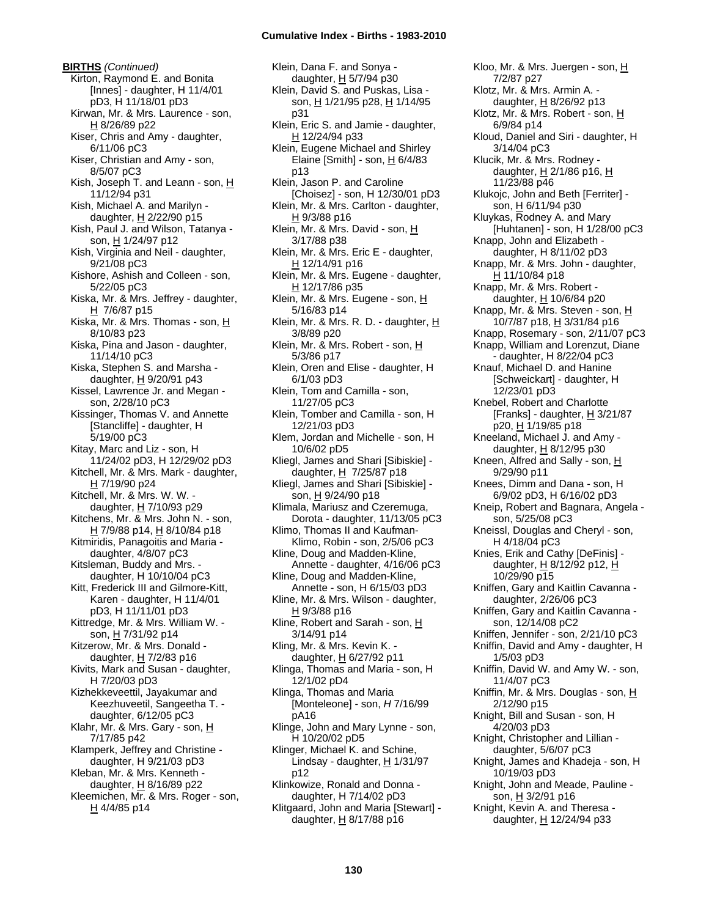**BIRTHS** *(Continued)* Kirton, Raymond E. and Bonita [Innes] - daughter, H 11/4/01 pD3, H 11/18/01 pD3 Kirwan, Mr. & Mrs. Laurence - son, H 8/26/89 p22 Kiser, Chris and Amy - daughter, 6/11/06 pC3 Kiser, Christian and Amy - son, 8/5/07 pC3 Kish, Joseph T. and Leann - son, H 11/12/94 p31 Kish, Michael A. and Marilyn daughter, H 2/22/90 p15 Kish, Paul J. and Wilson, Tatanya son, H 1/24/97 p12 Kish, Virginia and Neil - daughter, 9/21/08 pC3 Kishore, Ashish and Colleen - son, 5/22/05 pC3 Kiska, Mr. & Mrs. Jeffrey - daughter,  $H$  7/6/87 p15 Kiska, Mr. & Mrs. Thomas - son, H 8/10/83 p23 Kiska, Pina and Jason - daughter, 11/14/10 pC3 Kiska, Stephen S. and Marsha daughter, H 9/20/91 p43 Kissel, Lawrence Jr. and Megan son, 2/28/10 pC3 Kissinger, Thomas V. and Annette [Stancliffe] - daughter, H 5/19/00 pC3 Kitay, Marc and Liz - son, H 11/24/02 pD3, H 12/29/02 pD3 Kitchell, Mr. & Mrs. Mark - daughter, H 7/19/90 p24 Kitchell, Mr. & Mrs. W. W. daughter, H 7/10/93 p29 Kitchens, Mr. & Mrs. John N. - son, H 7/9/88 p14, H 8/10/84 p18 Kitmiridis, Panagoitis and Maria daughter, 4/8/07 pC3 Kitsleman, Buddy and Mrs. daughter, H 10/10/04 pC3 Kitt, Frederick III and Gilmore-Kitt, Karen - daughter, H 11/4/01 pD3, H 11/11/01 pD3 Kittredge, Mr. & Mrs. William W. son, H 7/31/92 p14 Kitzerow, Mr. & Mrs. Donald daughter,  $H$  7/2/83 p16 Kivits, Mark and Susan - daughter, H 7/20/03 pD3 Kizhekkeveettil, Jayakumar and Keezhuveetil, Sangeetha T. daughter, 6/12/05 pC3 Klahr, Mr. & Mrs. Gary - son, H 7/17/85 p42 Klamperk, Jeffrey and Christine daughter, H 9/21/03 pD3 Kleban, Mr. & Mrs. Kenneth daughter, H 8/16/89 p22 Kleemichen, Mr. & Mrs. Roger - son,  $H$  4/4/85 p14

Klein, Dana F. and Sonya daughter, H 5/7/94 p30 Klein, David S. and Puskas, Lisa son, H 1/21/95 p28, H 1/14/95 p31 Klein, Eric S. and Jamie - daughter, H 12/24/94 p33 Klein, Eugene Michael and Shirley Elaine [Smith] - son,  $H$  6/4/83 p13 Klein, Jason P. and Caroline [Choisez] - son, H 12/30/01 pD3 Klein, Mr. & Mrs. Carlton - daughter, H 9/3/88 p16 Klein, Mr. & Mrs. David - son, H 3/17/88 p38 Klein, Mr. & Mrs. Eric E - daughter, H 12/14/91 p16 Klein, Mr. & Mrs. Eugene - daughter, H 12/17/86 p35 Klein, Mr. & Mrs. Eugene - son, H 5/16/83 p14 Klein, Mr. & Mrs. R. D. - daughter, H 3/8/89 p20 Klein, Mr. & Mrs. Robert - son, H 5/3/86 p17 Klein, Oren and Elise - daughter, H 6/1/03 pD3 Klein, Tom and Camilla - son, 11/27/05 pC3 Klein, Tomber and Camilla - son, H 12/21/03 pD3 Klem, Jordan and Michelle - son, H 10/6/02 pD5 Kliegl, James and Shari [Sibiskie] daughter,  $H \frac{7}{25}$ /87 p18 Kliegl, James and Shari [Sibiskie] son, H 9/24/90 p18 Klimala, Mariusz and Czeremuga, Dorota - daughter, 11/13/05 pC3 Klimo, Thomas II and Kaufman-Klimo, Robin - son, 2/5/06 pC3 Kline, Doug and Madden-Kline, Annette - daughter, 4/16/06 pC3 Kline, Doug and Madden-Kline, Annette - son, H 6/15/03 pD3 Kline, Mr. & Mrs. Wilson - daughter, H 9/3/88 p16 Kline, Robert and Sarah - son,  $H$ 3/14/91 p14 Kling, Mr. & Mrs. Kevin K. daughter,  $H$  6/27/92 p11 Klinga, Thomas and Maria - son, H 12/1/02 pD4 Klinga, Thomas and Maria [Monteleone] - son, *H* 7/16/99 pA16 Klinge, John and Mary Lynne - son, H 10/20/02 pD5 Klinger, Michael K. and Schine, Lindsay - daughter,  $H$  1/31/97 p12 Klinkowize, Ronald and Donna daughter, H 7/14/02 pD3 Klitgaard, John and Maria [Stewart] daughter,  $H$  8/17/88 p16

7/2/87 p27 Klotz, Mr. & Mrs. Armin A. daughter,  $H$  8/26/92 p13 Klotz, Mr. & Mrs. Robert - son, H 6/9/84 p14 Kloud, Daniel and Siri - daughter, H 3/14/04 pC3 Klucik, Mr. & Mrs. Rodney daughter,  $H$  2/1/86 p16,  $H$ 11/23/88 p46 Klukojc, John and Beth [Ferriter] son, H 6/11/94 p30 Kluykas, Rodney A. and Mary [Huhtanen] - son, H 1/28/00 pC3 Knapp, John and Elizabeth daughter, H 8/11/02 pD3 Knapp, Mr. & Mrs. John - daughter, H 11/10/84 p18 Knapp, Mr. & Mrs. Robert daughter, H 10/6/84 p20 Knapp, Mr. & Mrs. Steven - son, H 10/7/87 p18, H 3/31/84 p16 Knapp, Rosemary - son, 2/11/07 pC3 Knapp, William and Lorenzut, Diane - daughter, H 8/22/04 pC3 Knauf, Michael D. and Hanine [Schweickart] - daughter, H 12/23/01 pD3 Knebel, Robert and Charlotte [Franks] - daughter,  $H$  3/21/87 p20, H 1/19/85 p18 Kneeland, Michael J. and Amy daughter, H 8/12/95 p30 Kneen, Alfred and Sally - son, H 9/29/90 p11 Knees, Dimm and Dana - son, H 6/9/02 pD3, H 6/16/02 pD3 Kneip, Robert and Bagnara, Angela son, 5/25/08 pC3 Kneissl, Douglas and Cheryl - son, H 4/18/04 pC3 Knies, Erik and Cathy [DeFinis] daughter, H 8/12/92 p12, H 10/29/90 p15 Kniffen, Gary and Kaitlin Cavanna daughter, 2/26/06 pC3 Kniffen, Gary and Kaitlin Cavanna son, 12/14/08 pC2 Kniffen, Jennifer - son, 2/21/10 pC3 Kniffin, David and Amy - daughter, H 1/5/03 pD3 Kniffin, David W. and Amy W. - son, 11/4/07 pC3 Kniffin, Mr. & Mrs. Douglas - son,  $H$ 2/12/90 p15 Knight, Bill and Susan - son, H 4/20/03 pD3 Knight, Christopher and Lillian daughter, 5/6/07 pC3 Knight, James and Khadeja - son, H 10/19/03 pD3 Knight, John and Meade, Pauline son, H 3/2/91 p16 Knight, Kevin A. and Theresa daughter, H 12/24/94 p33

Kloo, Mr. & Mrs. Juergen - son, H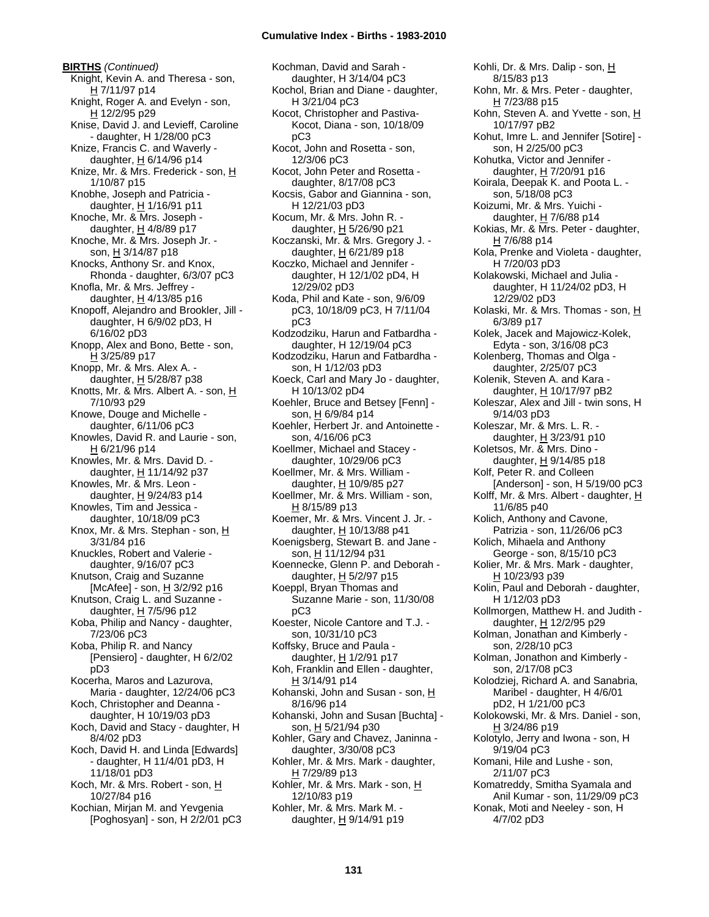**BIRTHS** *(Continued)* Knight, Kevin A. and Theresa - son, H 7/11/97 p14 Knight, Roger A. and Evelyn - son, H 12/2/95 p29 Knise, David J. and Levieff, Caroline - daughter, H 1/28/00 pC3 Knize, Francis C. and Waverly daughter,  $H$  6/14/96 p14 Knize, Mr. & Mrs. Frederick - son, H 1/10/87 p15 Knobhe, Joseph and Patricia daughter, H 1/16/91 p11 Knoche, Mr. & Mrs. Joseph daughter, H 4/8/89 p17 Knoche, Mr. & Mrs. Joseph Jr. son, H 3/14/87 p18 Knocks, Anthony Sr. and Knox, Rhonda - daughter, 6/3/07 pC3 Knofla, Mr. & Mrs. Jeffrey daughter,  $H$  4/13/85 p16 Knopoff, Alejandro and Brookler, Jill daughter, H 6/9/02 pD3, H 6/16/02 pD3 Knopp, Alex and Bono, Bette - son, H 3/25/89 p17 Knopp, Mr. & Mrs. Alex A. daughter,  $H$  5/28/87 p38 Knotts, Mr. & Mrs. Albert A. - son, H 7/10/93 p29 Knowe, Douge and Michelle daughter, 6/11/06 pC3 Knowles, David R. and Laurie - son, H 6/21/96 p14 Knowles, Mr. & Mrs. David D. daughter, H 11/14/92 p37 Knowles, Mr. & Mrs. Leon daughter, H 9/24/83 p14 Knowles, Tim and Jessica daughter, 10/18/09 pC3 Knox, Mr. & Mrs. Stephan - son, H 3/31/84 p16 Knuckles, Robert and Valerie daughter, 9/16/07 pC3 Knutson, Craig and Suzanne [McAfee] - son,  $H$  3/2/92 p16 Knutson, Craig L. and Suzanne daughter,  $H$  7/5/96 p12 Koba, Philip and Nancy - daughter, 7/23/06 pC3 Koba, Philip R. and Nancy [Pensiero] - daughter, H 6/2/02 pD3 Kocerha, Maros and Lazurova, Maria - daughter, 12/24/06 pC3 Koch, Christopher and Deanna daughter, H 10/19/03 pD3 Koch, David and Stacy - daughter, H 8/4/02 pD3 Koch, David H. and Linda [Edwards] - daughter, H 11/4/01 pD3, H 11/18/01 pD3 Koch, Mr. & Mrs. Robert - son, H 10/27/84 p16 Kochian, Mirjan M. and Yevgenia

[Poghosyan] - son, H 2/2/01 pC3

Kochman, David and Sarah daughter, H 3/14/04 pC3 Kochol, Brian and Diane - daughter, H 3/21/04 pC3 Kocot, Christopher and Pastiva-Kocot, Diana - son, 10/18/09 pC3 Kocot, John and Rosetta - son, 12/3/06 pC3 Kocot, John Peter and Rosetta daughter, 8/17/08 pC3 Kocsis, Gabor and Giannina - son, H 12/21/03 pD3 Kocum, Mr. & Mrs. John R. daughter,  $H$  5/26/90 p21 Koczanski, Mr. & Mrs. Gregory J. daughter, H 6/21/89 p18 Koczko, Michael and Jennifer daughter, H 12/1/02 pD4, H 12/29/02 pD3 Koda, Phil and Kate - son, 9/6/09 pC3, 10/18/09 pC3, H 7/11/04 pC3 Kodzodziku, Harun and Fatbardha daughter, H 12/19/04 pC3 Kodzodziku, Harun and Fatbardha son, H 1/12/03 pD3 Koeck, Carl and Mary Jo - daughter, H 10/13/02 pD4 Koehler, Bruce and Betsey [Fenn] son, H 6/9/84 p14 Koehler, Herbert Jr. and Antoinette son, 4/16/06 pC3 Koellmer, Michael and Stacey daughter, 10/29/06 pC3 Koellmer, Mr. & Mrs. William daughter, H 10/9/85 p27 Koellmer, Mr. & Mrs. William - son, H 8/15/89 p13 Koemer, Mr. & Mrs. Vincent J. Jr. daughter, H 10/13/88 p41 Koenigsberg, Stewart B. and Jane son, H 11/12/94 p31 Koennecke, Glenn P. and Deborah daughter,  $H$  5/2/97 p15 Koeppl, Bryan Thomas and Suzanne Marie - son, 11/30/08 pC3 Koester, Nicole Cantore and T.J. son, 10/31/10 pC3 Koffsky, Bruce and Paula daughter,  $H$  1/2/91 p17 Koh, Franklin and Ellen - daughter, H 3/14/91 p14 Kohanski, John and Susan - son,  $H$ 8/16/96 p14 Kohanski, John and Susan [Buchta] son, H 5/21/94 p30 Kohler, Gary and Chavez, Janinna daughter, 3/30/08 pC3 Kohler, Mr. & Mrs. Mark - daughter, H 7/29/89 p13 Kohler, Mr. & Mrs. Mark - son, H 12/10/83 p19 Kohler, Mr. & Mrs. Mark M. daughter, H 9/14/91 p19

Kohli, Dr. & Mrs. Dalip - son, H 8/15/83 p13 Kohn, Mr. & Mrs. Peter - daughter, H 7/23/88 p15 Kohn, Steven A. and Yvette - son, H 10/17/97 pB2 Kohut, Imre L. and Jennifer [Sotire] son, H 2/25/00 pC3 Kohutka, Victor and Jennifer daughter, H 7/20/91 p16 Koirala, Deepak K. and Poota L. son, 5/18/08 pC3 Koizumi, Mr. & Mrs. Yuichi daughter, H 7/6/88 p14 Kokias, Mr. & Mrs. Peter - daughter,  $H$  7/6/88 p14 Kola, Prenke and Violeta - daughter, H 7/20/03 pD3 Kolakowski, Michael and Julia daughter, H 11/24/02 pD3, H 12/29/02 pD3 Kolaski, Mr. & Mrs. Thomas - son, H 6/3/89 p17 Kolek, Jacek and Majowicz-Kolek, Edyta - son, 3/16/08 pC3 Kolenberg, Thomas and Olga daughter, 2/25/07 pC3 Kolenik, Steven A. and Kara daughter, H 10/17/97 pB2 Koleszar, Alex and Jill - twin sons, H 9/14/03 pD3 Koleszar, Mr. & Mrs. L. R. daughter,  $H$  3/23/91 p10 Koletsos, Mr. & Mrs. Dino daughter, H 9/14/85 p18 Kolf, Peter R. and Colleen [Anderson] - son, H 5/19/00 pC3 Kolff, Mr. & Mrs. Albert - daughter, H 11/6/85 p40 Kolich, Anthony and Cavone, Patrizia - son, 11/26/06 pC3 Kolich, Mihaela and Anthony George - son, 8/15/10 pC3 Kolier, Mr. & Mrs. Mark - daughter, H 10/23/93 p39 Kolin, Paul and Deborah - daughter, H 1/12/03 pD3 Kollmorgen, Matthew H. and Judith daughter, H 12/2/95 p29 Kolman, Jonathan and Kimberly son, 2/28/10 pC3 Kolman, Jonathon and Kimberly son, 2/17/08 pC3 Kolodziej, Richard A. and Sanabria, Maribel - daughter, H 4/6/01 pD2, H 1/21/00 pC3 Kolokowski, Mr. & Mrs. Daniel - son, H 3/24/86 p19 Kolotylo, Jerry and Iwona - son, H 9/19/04 pC3 Komani, Hile and Lushe - son, 2/11/07 pC3 Komatreddy, Smitha Syamala and Anil Kumar - son, 11/29/09 pC3 Konak, Moti and Neeley - son, H 4/7/02 pD3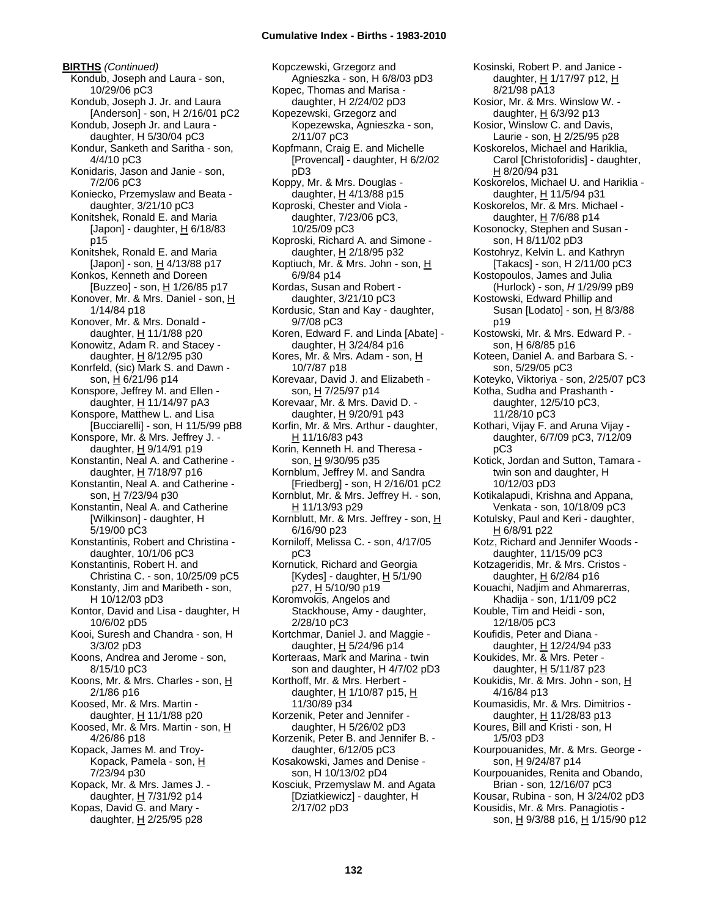**BIRTHS** *(Continued)* Kondub, Joseph and Laura - son, 10/29/06 pC3 Kondub, Joseph J. Jr. and Laura [Anderson] - son, H 2/16/01 pC2 Kondub, Joseph Jr. and Laura daughter, H 5/30/04 pC3 Kondur, Sanketh and Saritha - son, 4/4/10 pC3 Konidaris, Jason and Janie - son, 7/2/06 pC3 Koniecko, Przemyslaw and Beata daughter, 3/21/10 pC3 Konitshek, Ronald E. and Maria [Japon] - daughter,  $\underline{H}$  6/18/83 p15 Konitshek, Ronald E. and Maria [Japon] - son, H 4/13/88 p17 Konkos, Kenneth and Doreen [Buzzeo] - son, H 1/26/85 p17 Konover, Mr. & Mrs. Daniel - son, H 1/14/84 p18 Konover, Mr. & Mrs. Donald daughter, H 11/1/88 p20 Konowitz, Adam R. and Stacey daughter,  $H$  8/12/95 p30 Konrfeld, (sic) Mark S. and Dawn son, H 6/21/96 p14 Konspore, Jeffrey M. and Ellen daughter, H 11/14/97 pA3 Konspore, Matthew L. and Lisa [Bucciarelli] - son, H 11/5/99 pB8 Konspore, Mr. & Mrs. Jeffrey J. daughter, H 9/14/91 p19 Konstantin, Neal A. and Catherine daughter,  $H$  7/18/97 p16 Konstantin, Neal A. and Catherine son, H 7/23/94 p30 Konstantin, Neal A. and Catherine [Wilkinson] - daughter, H 5/19/00 pC3 Konstantinis, Robert and Christina daughter, 10/1/06 pC3 Konstantinis, Robert H. and Christina C. - son, 10/25/09 pC5 Konstanty, Jim and Maribeth - son, H 10/12/03 pD3 Kontor, David and Lisa - daughter, H 10/6/02 pD5 Kooi, Suresh and Chandra - son, H 3/3/02 pD3 Koons, Andrea and Jerome - son, 8/15/10 pC3 Koons, Mr. & Mrs. Charles - son, H 2/1/86 p16 Koosed, Mr. & Mrs. Martin daughter, H 11/1/88 p20 Koosed, Mr. & Mrs. Martin - son, H 4/26/86 p18 Kopack, James M. and Troy-Kopack, Pamela - son, H 7/23/94 p30 Kopack, Mr. & Mrs. James J. daughter, H 7/31/92 p14 Kopas, David G. and Mary daughter,  $H$  2/25/95 p28

Kopczewski, Grzegorz and Agnieszka - son, H 6/8/03 pD3 Kopec, Thomas and Marisa daughter, H 2/24/02 pD3 Kopezewski, Grzegorz and Kopezewska, Agnieszka - son, 2/11/07 pC3 Kopfmann, Craig E. and Michelle [Provencal] - daughter, H 6/2/02 pD3 Koppy, Mr. & Mrs. Douglas daughter,  $H$  4/13/88 p15 Koproski, Chester and Viola daughter, 7/23/06 pC3, 10/25/09 pC3 Koproski, Richard A. and Simone daughter, H 2/18/95 p32 Koptiuch, Mr. & Mrs. John - son, H 6/9/84 p14 Kordas, Susan and Robert daughter, 3/21/10 pC3 Kordusic, Stan and Kay - daughter, 9/7/08 pC3 Koren, Edward F. and Linda [Abate] daughter,  $H$  3/24/84 p16 Kores, Mr. & Mrs. Adam - son, H 10/7/87 p18 Korevaar, David J. and Elizabeth son, H 7/25/97 p14 Korevaar, Mr. & Mrs. David D. daughter,  $H$  9/20/91 p43 Korfin, Mr. & Mrs. Arthur - daughter, H 11/16/83 p43 Korin, Kenneth H. and Theresa son, H 9/30/95 p35 Kornblum, Jeffrey M. and Sandra [Friedberg] - son, H 2/16/01 pC2 Kornblut, Mr. & Mrs. Jeffrey H. - son, H 11/13/93 p29 Kornblutt, Mr. & Mrs. Jeffrey - son,  $H$ 6/16/90 p23 Korniloff, Melissa C. - son, 4/17/05 pC3 Kornutick, Richard and Georgia [Kydes] - daughter,  $H$  5/1/90 p27, H 5/10/90 p19 Koromvokis, Angelos and Stackhouse, Amy - daughter, 2/28/10 pC3 Kortchmar, Daniel J. and Maggie daughter,  $H$  5/24/96 p14 Korteraas, Mark and Marina - twin son and daughter, H 4/7/02 pD3 Korthoff, Mr. & Mrs. Herbert daughter,  $H$  1/10/87 p15,  $H$ 11/30/89 p34 Korzenik, Peter and Jennifer daughter, H 5/26/02 pD3 Korzenik, Peter B. and Jennifer B. daughter, 6/12/05 pC3 Kosakowski, James and Denise son, H 10/13/02 pD4 Kosciuk, Przemyslaw M. and Agata [Dziatkiewicz] - daughter, H 2/17/02 pD3

Kosinski, Robert P. and Janice daughter, H 1/17/97 p12, H 8/21/98 pA13 Kosior, Mr. & Mrs. Winslow W. daughter, H 6/3/92 p13 Kosior, Winslow C. and Davis, Laurie - son, H 2/25/95 p28 Koskorelos, Michael and Hariklia, Carol [Christoforidis] - daughter, H 8/20/94 p31 Koskorelos, Michael U. and Hariklia daughter, H 11/5/94 p31 Koskorelos, Mr. & Mrs. Michael daughter,  $H$  7/6/88 p14 Kosonocky, Stephen and Susan son, H 8/11/02 pD3 Kostohryz, Kelvin L. and Kathryn [Takacs] - son, H 2/11/00 pC3 Kostopoulos, James and Julia (Hurlock) - son, *H* 1/29/99 pB9 Kostowski, Edward Phillip and Susan [Lodato] - son,  $H$  8/3/88 p19 Kostowski, Mr. & Mrs. Edward P. son, H 6/8/85 p16 Koteen, Daniel A. and Barbara S. son, 5/29/05 pC3 Koteyko, Viktoriya - son, 2/25/07 pC3 Kotha, Sudha and Prashanth daughter, 12/5/10 pC3, 11/28/10 pC3 Kothari, Vijay F. and Aruna Vijay daughter, 6/7/09 pC3, 7/12/09 pC3 Kotick, Jordan and Sutton, Tamara twin son and daughter, H 10/12/03 pD3 Kotikalapudi, Krishna and Appana, Venkata - son, 10/18/09 pC3 Kotulsky, Paul and Keri - daughter, H 6/8/91 p22 Kotz, Richard and Jennifer Woods daughter, 11/15/09 pC3 Kotzageridis, Mr. & Mrs. Cristos daughter,  $H$  6/2/84 p16 Kouachi, Nadjim and Ahmarerras, Khadija - son, 1/11/09 pC2 Kouble, Tim and Heidi - son, 12/18/05 pC3 Koufidis, Peter and Diana daughter, H 12/24/94 p33 Koukides, Mr. & Mrs. Peter daughter, H 5/11/87 p23 Koukidis, Mr. & Mrs. John - son, H 4/16/84 p13 Koumasidis, Mr. & Mrs. Dimitrios daughter, H 11/28/83 p13 Koures, Bill and Kristi - son, H 1/5/03 pD3 Kourpouanides, Mr. & Mrs. George son, H 9/24/87 p14 Kourpouanides, Renita and Obando, Brian - son, 12/16/07 pC3 Kousar, Rubina - son, H 3/24/02 pD3 Kousidis, Mr. & Mrs. Panagiotis son, H 9/3/88 p16, H 1/15/90 p12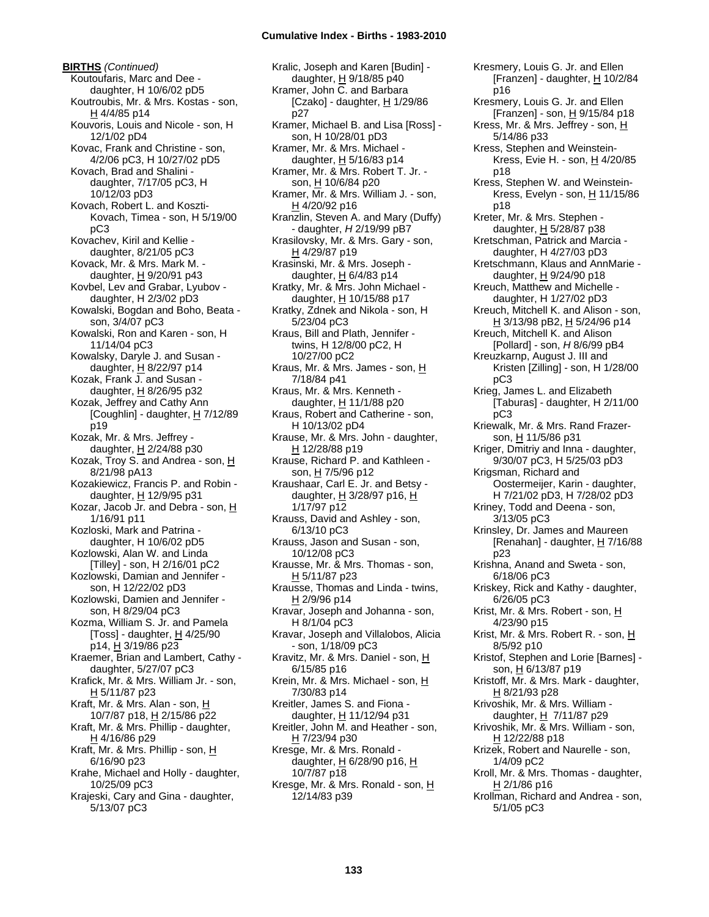**BIRTHS** *(Continued)* Koutoufaris, Marc and Dee daughter, H 10/6/02 pD5 Koutroubis, Mr. & Mrs. Kostas - son, H 4/4/85 p14 Kouvoris, Louis and Nicole - son, H 12/1/02 pD4 Kovac, Frank and Christine - son, 4/2/06 pC3, H 10/27/02 pD5 Kovach, Brad and Shalini daughter, 7/17/05 pC3, H 10/12/03 pD3 Kovach, Robert L. and Koszti-Kovach, Timea - son, H 5/19/00 pC3 Kovachev, Kiril and Kellie daughter, 8/21/05 pC3 Kovack, Mr. & Mrs. Mark M. daughter, H 9/20/91 p43 Kovbel, Lev and Grabar, Lyubov daughter, H 2/3/02 pD3 Kowalski, Bogdan and Boho, Beata son, 3/4/07 pC3 Kowalski, Ron and Karen - son, H 11/14/04 pC3 Kowalsky, Daryle J. and Susan daughter,  $\underline{H}$  8/22/97 p14 Kozak, Frank J. and Susan daughter, H 8/26/95 p32 Kozak, Jeffrey and Cathy Ann [Coughlin] - daughter, H 7/12/89 p19 Kozak, Mr. & Mrs. Jeffrey daughter, H 2/24/88 p30 Kozak, Troy S. and Andrea - son, H 8/21/98 pA13 Kozakiewicz, Francis P. and Robin daughter, H 12/9/95 p31 Kozar, Jacob Jr. and Debra - son, H 1/16/91 p11 Kozloski, Mark and Patrina daughter, H 10/6/02 pD5 Kozlowski, Alan W. and Linda [Tilley] - son, H 2/16/01 pC2 Kozlowski, Damian and Jennifer son, H 12/22/02 pD3 Kozlowski, Damien and Jennifer son, H 8/29/04 pC3 Kozma, William S. Jr. and Pamela [Toss] - daughter,  $H$  4/25/90 p14,  $\frac{1}{2}$  3/19/86 p23 Kraemer, Brian and Lambert, Cathy daughter, 5/27/07 pC3 Krafick, Mr. & Mrs. William Jr. - son, H 5/11/87 p23 Kraft, Mr. & Mrs. Alan - son, H 10/7/87 p18, H 2/15/86 p22 Kraft, Mr. & Mrs. Phillip - daughter, H 4/16/86 p29 Kraft, Mr. & Mrs. Phillip - son, H 6/16/90 p23 Krahe, Michael and Holly - daughter, 10/25/09 pC3 Krajeski, Cary and Gina - daughter, 5/13/07 pC3

Kralic, Joseph and Karen [Budin] daughter, H 9/18/85 p40 Kramer, John C. and Barbara [Czako] - daughter,  $H$  1/29/86 p27 Kramer, Michael B. and Lisa [Ross] son, H 10/28/01 pD3 Kramer, Mr. & Mrs. Michael daughter,  $H$  5/16/83 p14 Kramer, Mr. & Mrs. Robert T. Jr. son, H 10/6/84 p20 Kramer, Mr. & Mrs. William J. - son,  $H$  4/20/92 p16 Kranzlin, Steven A. and Mary (Duffy) - daughter, *H* 2/19/99 pB7 Krasilovsky, Mr. & Mrs. Gary - son, H 4/29/87 p19 Krasinski, Mr. & Mrs. Joseph daughter,  $H$  6/4/83 p14 Kratky, Mr. & Mrs. John Michael daughter,  $H$  10/15/88 p17 Kratky, Zdnek and Nikola - son, H 5/23/04 pC3 Kraus, Bill and Plath, Jennifer twins, H 12/8/00 pC2, H 10/27/00 pC2 Kraus, Mr. & Mrs. James - son, H 7/18/84 p41 Kraus, Mr. & Mrs. Kenneth daughter, H 11/1/88 p20 Kraus, Robert and Catherine - son, H 10/13/02 pD4 Krause, Mr. & Mrs. John - daughter, H 12/28/88 p19 Krause, Richard P. and Kathleen son, <u>H</u> 7/5/96 p12 Kraushaar, Carl E. Jr. and Betsy daughter,  $H$  3/28/97 p16,  $H$ 1/17/97 p12 Krauss, David and Ashley - son, 6/13/10 pC3 Krauss, Jason and Susan - son, 10/12/08 pC3 Krausse, Mr. & Mrs. Thomas - son, H 5/11/87 p23 Krausse, Thomas and Linda - twins, H 2/9/96 p14 Kravar, Joseph and Johanna - son, H 8/1/04 pC3 Kravar, Joseph and Villalobos, Alicia - son, 1/18/09 pC3 Kravitz, Mr. & Mrs. Daniel - son, H 6/15/85 p16 Krein, Mr. & Mrs. Michael - son, H 7/30/83 p14 Kreitler, James S. and Fiona daughter, H 11/12/94 p31 Kreitler, John M. and Heather - son, H 7/23/94 p30 Kresge, Mr. & Mrs. Ronald daughter,  $H$  6/28/90 p16,  $H$ 10/7/87 p18 Kresge, Mr. & Mrs. Ronald - son, H 12/14/83 p39

Kresmery, Louis G. Jr. and Ellen [Franzen] - daughter, H 10/2/84 p16 Kresmery, Louis G. Jr. and Ellen [Franzen] - son, H 9/15/84 p18 Kress, Mr. & Mrs. Jeffrey - son, H 5/14/86 p33 Kress, Stephen and Weinstein-Kress, Evie H. - son, H 4/20/85 p18 Kress, Stephen W. and Weinstein-Kress, Evelyn - son,  $H$  11/15/86 p18 Kreter, Mr. & Mrs. Stephen daughter,  $H$  5/28/87 p38 Kretschman, Patrick and Marcia daughter, H 4/27/03 pD3 Kretschmann, Klaus and AnnMarie daughter,  $H$  9/24/90 p18 Kreuch, Matthew and Michelle daughter, H 1/27/02 pD3 Kreuch, Mitchell K. and Alison - son, <u>H</u> 3/13/98 pB2, <u>H</u> 5/24/96 p14 Kreuch, Mitchell K. and Alison [Pollard] - son, *H* 8/6/99 pB4 Kreuzkarnp, August J. III and Kristen [Zilling] - son, H 1/28/00 pC3 Krieg, James L. and Elizabeth [Taburas] - daughter, H 2/11/00 pC3 Kriewalk, Mr. & Mrs. Rand Frazerson, H 11/5/86 p31 Kriger, Dmitriy and Inna - daughter, 9/30/07 pC3, H 5/25/03 pD3 Krigsman, Richard and Oostermeijer, Karin - daughter, H 7/21/02 pD3, H 7/28/02 pD3 Kriney, Todd and Deena - son, 3/13/05 pC3 Krinsley, Dr. James and Maureen [Renahan] - daughter,  $H$  7/16/88 p23 Krishna, Anand and Sweta - son, 6/18/06 pC3 Kriskey, Rick and Kathy - daughter, 6/26/05 pC3 Krist, Mr. & Mrs. Robert - son, H 4/23/90 p15 Krist, Mr. & Mrs. Robert R. - son, H 8/5/92 p10 Kristof, Stephen and Lorie [Barnes] son, H 6/13/87 p19 Kristoff, Mr. & Mrs. Mark - daughter, H 8/21/93 p28 Krivoshik, Mr. & Mrs. William daughter, H 7/11/87 p29 Krivoshik, Mr. & Mrs. William - son, H 12/22/88 p18 Krizek, Robert and Naurelle - son, 1/4/09 pC2 Kroll, Mr. & Mrs. Thomas - daughter, H 2/1/86 p16 Krollman, Richard and Andrea - son, 5/1/05 pC3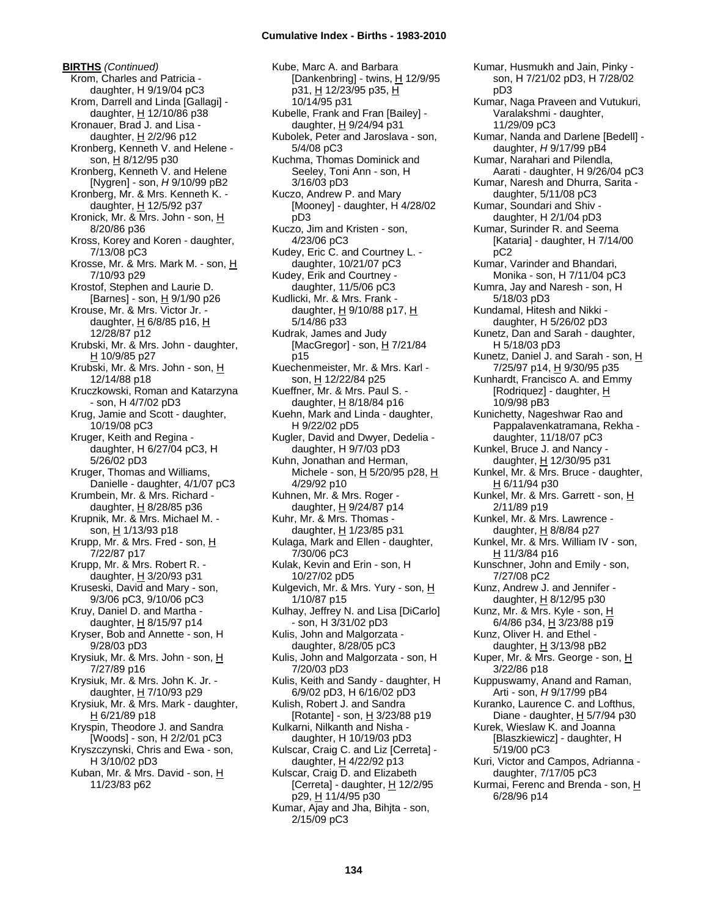**BIRTHS** *(Continued)* Krom, Charles and Patricia daughter, H 9/19/04 pC3 Krom, Darrell and Linda [Gallagi] daughter, H 12/10/86 p38 Kronauer, Brad J. and Lisa daughter,  $H$  2/2/96 p12 Kronberg, Kenneth V. and Helene son, H 8/12/95 p30 Kronberg, Kenneth V. and Helene [Nygren] - son, *H* 9/10/99 pB2 Kronberg, Mr. & Mrs. Kenneth K. daughter, H 12/5/92 p37 Kronick, Mr. & Mrs. John - son,  $\underline{H}$ 8/20/86 p36 Kross, Korey and Koren - daughter, 7/13/08 pC3 Krosse, Mr. & Mrs. Mark M. - son, H 7/10/93 p29 Krostof, Stephen and Laurie D. [Barnes] - son, H 9/1/90 p26 Krouse, Mr. & Mrs. Victor Jr. daughter,  $H$  6/8/85 p16,  $H$ 12/28/87 p12 Krubski, Mr. & Mrs. John - daughter, H 10/9/85 p27 Krubski, Mr. & Mrs. John - son, H 12/14/88 p18 Kruczkowski, Roman and Katarzyna - son, H 4/7/02 pD3 Krug, Jamie and Scott - daughter, 10/19/08 pC3 Kruger, Keith and Regina daughter, H 6/27/04 pC3, H 5/26/02 pD3 Kruger, Thomas and Williams, Danielle - daughter, 4/1/07 pC3 Krumbein, Mr. & Mrs. Richard daughter, H 8/28/85 p36 Krupnik, Mr. & Mrs. Michael M. son, H 1/13/93 p18 Krupp, Mr. & Mrs. Fred - son, H 7/22/87 p17 Krupp, Mr. & Mrs. Robert R. daughter,  $H$  3/20/93 p31 Kruseski, David and Mary - son, 9/3/06 pC3, 9/10/06 pC3 Kruy, Daniel D. and Martha daughter,  $H$  8/15/97 p14 Kryser, Bob and Annette - son, H 9/28/03 pD3 Krysiuk, Mr. & Mrs. John - son, H 7/27/89 p16 Krysiuk, Mr. & Mrs. John K. Jr. daughter,  $H$  7/10/93 p29 Krysiuk, Mr. & Mrs. Mark - daughter, H 6/21/89 p18 Kryspin, Theodore J. and Sandra [Woods] - son, H 2/2/01 pC3 Kryszczynski, Chris and Ewa - son, H 3/10/02 pD3 Kuban, Mr. & Mrs. David - son, H 11/23/83 p62

Kube, Marc A. and Barbara [Dankenbring] - twins, H 12/9/95 p31, H 12/23/95 p35, H 10/14/95 p31 Kubelle, Frank and Fran [Bailey] daughter, H 9/24/94 p31 Kubolek, Peter and Jaroslava - son, 5/4/08 pC3 Kuchma, Thomas Dominick and Seeley, Toni Ann - son, H 3/16/03 pD3 Kuczo, Andrew P. and Mary [Mooney] - daughter, H 4/28/02 pD3 Kuczo, Jim and Kristen - son, 4/23/06 pC3 Kudey, Eric C. and Courtney L. daughter, 10/21/07 pC3 Kudey, Erik and Courtney daughter, 11/5/06 pC3 Kudlicki, Mr. & Mrs. Frank daughter,  $H$  9/10/88 p17,  $H$ 5/14/86 p33 Kudrak, James and Judy [MacGregor] - son,  $H$  7/21/84 p15 Kuechenmeister, Mr. & Mrs. Karl son, H 12/22/84 p25 Kueffner, Mr. & Mrs. Paul S. daughter, H 8/18/84 p16 Kuehn, Mark and Linda - daughter, H 9/22/02 pD5 Kugler, David and Dwyer, Dedelia daughter, H 9/7/03 pD3 Kuhn, Jonathan and Herman, Michele - son,  $\underline{H}$  5/20/95 p28,  $\underline{H}$ 4/29/92 p10 Kuhnen, Mr. & Mrs. Roger daughter, H 9/24/87 p14 Kuhr, Mr. & Mrs. Thomas daughter, H 1/23/85 p31 Kulaga, Mark and Ellen - daughter, 7/30/06 pC3 Kulak, Kevin and Erin - son, H 10/27/02 pD5 Kulgevich, Mr. & Mrs. Yury - son, H 1/10/87 p15 Kulhay, Jeffrey N. and Lisa [DiCarlo] - son, H 3/31/02 pD3 Kulis, John and Malgorzata daughter, 8/28/05 pC3 Kulis, John and Malgorzata - son, H 7/20/03 pD3 Kulis, Keith and Sandy - daughter, H 6/9/02 pD3, H 6/16/02 pD3 Kulish, Robert J. and Sandra [Rotante] - son,  $H$  3/23/88 p19 Kulkarni, Nilkanth and Nisha daughter, H 10/19/03 pD3 Kulscar, Craig C. and Liz [Cerreta] daughter,  $H$  4/22/92 p13 Kulscar, Craig D. and Elizabeth [Cerreta] - daughter, H 12/2/95 p29, H 11/4/95 p30 Kumar, Ajay and Jha, Bihjta - son, 2/15/09 pC3

Kumar, Husmukh and Jain, Pinky son, H 7/21/02 pD3, H 7/28/02 pD3 Kumar, Naga Praveen and Vutukuri, Varalakshmi - daughter, 11/29/09 pC3 Kumar, Nanda and Darlene [Bedell] daughter, *H* 9/17/99 pB4 Kumar, Narahari and Pilendla, Aarati - daughter, H 9/26/04 pC3 Kumar, Naresh and Dhurra, Sarita daughter, 5/11/08 pC3 Kumar, Soundari and Shiv daughter, H 2/1/04 pD3 Kumar, Surinder R. and Seema [Kataria] - daughter, H 7/14/00 pC2 Kumar, Varinder and Bhandari, Monika - son, H 7/11/04 pC3 Kumra, Jay and Naresh - son, H 5/18/03 pD3 Kundamal, Hitesh and Nikki daughter, H 5/26/02 pD3 Kunetz, Dan and Sarah - daughter, H 5/18/03 pD3 Kunetz, Daniel J. and Sarah - son, H 7/25/97 p14, H 9/30/95 p35 Kunhardt, Francisco A. and Emmy [Rodriquez] - daughter, H 10/9/98 pB3 Kunichetty, Nageshwar Rao and Pappalavenkatramana, Rekha daughter, 11/18/07 pC3 Kunkel, Bruce J. and Nancy daughter, H 12/30/95 p31 Kunkel, Mr. & Mrs. Bruce - daughter, H 6/11/94 p30 Kunkel, Mr. & Mrs. Garrett - son, H 2/11/89 p19 Kunkel, Mr. & Mrs. Lawrence daughter, H 8/8/84 p27 Kunkel, Mr. & Mrs. William IV - son, H 11/3/84 p16 Kunschner, John and Emily - son, 7/27/08 pC2 Kunz, Andrew J. and Jennifer daughter, H 8/12/95 p30 Kunz, Mr. & Mrs. Kyle - son, H 6/4/86 p34, H 3/23/88 p19 Kunz, Oliver H. and Ethel daughter,  $H$  3/13/98 pB2 Kuper, Mr. & Mrs. George - son, H 3/22/86 p18 Kuppuswamy, Anand and Raman, Arti - son, *H* 9/17/99 pB4 Kuranko, Laurence C. and Lofthus, Diane - daughter, H 5/7/94 p30 Kurek, Wieslaw K. and Joanna [Blaszkiewicz] - daughter, H 5/19/00 pC3 Kuri, Victor and Campos, Adrianna daughter, 7/17/05 pC3 Kurmai, Ferenc and Brenda - son, H 6/28/96 p14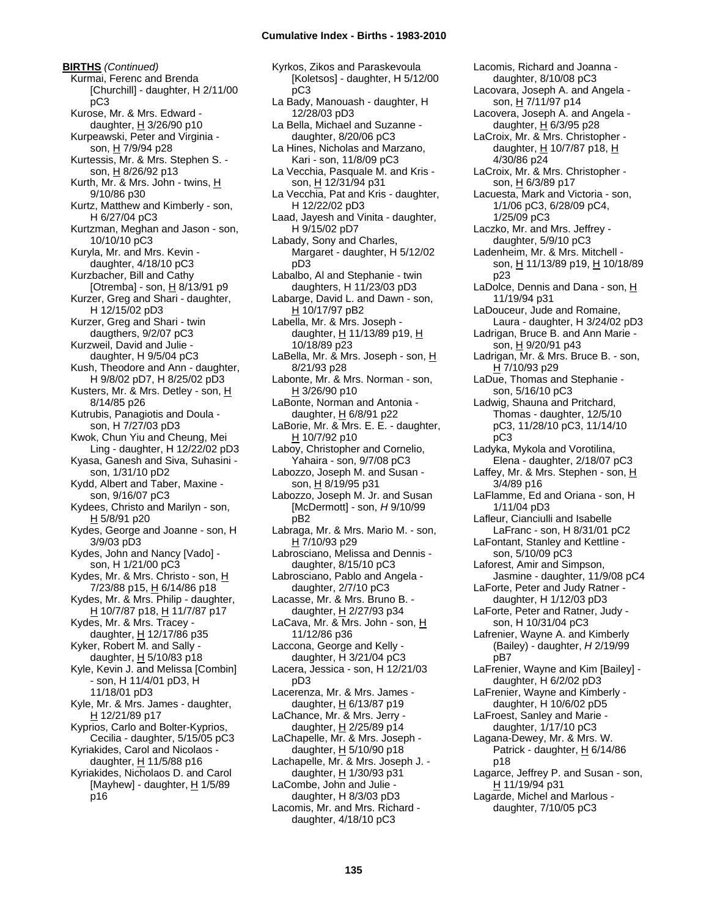**BIRTHS** *(Continued)* Kurmai, Ferenc and Brenda [Churchill] - daughter, H 2/11/00 pC3 Kurose, Mr. & Mrs. Edward daughter, H 3/26/90 p10 Kurpeawski, Peter and Virginia son, H 7/9/94 p28 Kurtessis, Mr. & Mrs. Stephen S. son, H 8/26/92 p13 Kurth, Mr. & Mrs. John - twins, H 9/10/86 p30 Kurtz, Matthew and Kimberly - son, H 6/27/04 pC3 Kurtzman, Meghan and Jason - son, 10/10/10 pC3 Kuryla, Mr. and Mrs. Kevin daughter, 4/18/10 pC3 Kurzbacher, Bill and Cathy [Otremba] - son,  $H$  8/13/91 p9 Kurzer, Greg and Shari - daughter, H 12/15/02 pD3 Kurzer, Greg and Shari - twin daugthers, 9/2/07 pC3 Kurzweil, David and Julie daughter, H 9/5/04 pC3 Kush, Theodore and Ann - daughter, H 9/8/02 pD7, H 8/25/02 pD3 Kusters, Mr. & Mrs. Detley - son, H 8/14/85 p26 Kutrubis, Panagiotis and Doula son, H 7/27/03 pD3 Kwok, Chun Yiu and Cheung, Mei Ling - daughter, H 12/22/02 pD3 Kyasa, Ganesh and Siva, Suhasini son, 1/31/10 pD2 Kydd, Albert and Taber, Maxine son, 9/16/07 pC3 Kydees, Christo and Marilyn - son,  $H$  5/8/91 p20 Kydes, George and Joanne - son, H 3/9/03 pD3 Kydes, John and Nancy [Vado] son, H 1/21/00 pC3 Kydes, Mr. & Mrs. Christo - son, H 7/23/88 p15, H 6/14/86 p18 Kydes, Mr. & Mrs. Philip - daughter, H 10/7/87 p18, H 11/7/87 p17 Kydes, Mr. & Mrs. Tracey daughter, H 12/17/86 p35 Kyker, Robert  $\overline{M}$ . and Sally daughter,  $H$  5/10/83 p18 Kyle, Kevin J. and Melissa [Combin] - son, H 11/4/01 pD3, H 11/18/01 pD3 Kyle, Mr. & Mrs. James - daughter, H 12/21/89 p17 Kyprios, Carlo and Bolter-Kyprios, Cecilia - daughter, 5/15/05 pC3 Kyriakides, Carol and Nicolaos daughter,  $H$  11/5/88 p16 Kyriakides, Nicholaos D. and Carol [Mayhew] - daughter, H 1/5/89 p16

Kyrkos, Zikos and Paraskevoula [Koletsos] - daughter, H 5/12/00 pC3 La Bady, Manouash - daughter, H 12/28/03 pD3 La Bella, Michael and Suzanne daughter, 8/20/06 pC3 La Hines, Nicholas and Marzano, Kari - son, 11/8/09 pC3 La Vecchia, Pasquale M. and Kris son, H 12/31/94 p31 La Vecchia, Pat and Kris - daughter, H 12/22/02 pD3 Laad, Jayesh and Vinita - daughter, H 9/15/02 pD7 Labady, Sony and Charles, Margaret - daughter, H 5/12/02 pD3 Labalbo, Al and Stephanie - twin daughters, H 11/23/03 pD3 Labarge, David L. and Dawn - son, H 10/17/97 pB2 Labella, Mr. & Mrs. Joseph daughter, H 11/13/89 p19, H 10/18/89 p23 LaBella, Mr. & Mrs. Joseph - son, H 8/21/93 p28 Labonte, Mr. & Mrs. Norman - son, H 3/26/90 p10 LaBonte, Norman and Antonia daughter, H 6/8/91 p22 LaBorie, Mr. & Mrs. E. E. - daughter, H 10/7/92 p10 Laboy, Christopher and Cornelio, Yahaira - son, 9/7/08 pC3 Labozzo, Joseph M. and Susan son, H 8/19/95 p31 Labozzo, Joseph M. Jr. and Susan [McDermott] - son, *H* 9/10/99 pB2 Labraga, Mr. & Mrs. Mario M. - son, H 7/10/93 p29 Labrosciano, Melissa and Dennis daughter, 8/15/10 pC3 Labrosciano, Pablo and Angela daughter, 2/7/10 pC3 Lacasse, Mr. & Mrs. Bruno B. daughter,  $H$  2/27/93 p34 LaCava, Mr. & Mrs. John - son, H 11/12/86 p36 Laccona, George and Kelly daughter, H 3/21/04 pC3 Lacera, Jessica - son, H 12/21/03 pD3 Lacerenza, Mr. & Mrs. James daughter,  $H$  6/13/87 p19 LaChance, Mr. & Mrs. Jerry daughter,  $H$  2/25/89 p14 LaChapelle, Mr. & Mrs. Joseph daughter,  $H$  5/10/90 p18 Lachapelle, Mr. & Mrs. Joseph J. daughter, H 1/30/93 p31 LaCombe, John and Julie daughter, H 8/3/03 pD3 Lacomis, Mr. and Mrs. Richard daughter, 4/18/10 pC3

daughter, 8/10/08 pC3 Lacovara, Joseph A. and Angela son, H 7/11/97 p14 Lacovera, Joseph A. and Angela daughter, H 6/3/95 p28 LaCroix, Mr. & Mrs. Christopher daughter, H 10/7/87 p18, H 4/30/86 p24 LaCroix, Mr. & Mrs. Christopher son, H 6/3/89 p17 Lacuesta, Mark and Victoria - son, 1/1/06 pC3, 6/28/09 pC4, 1/25/09 pC3 Laczko, Mr. and Mrs. Jeffrey daughter, 5/9/10 pC3 Ladenheim, Mr. & Mrs. Mitchell son, H 11/13/89 p19, H 10/18/89 p23 LaDolce, Dennis and Dana - son, H 11/19/94 p31 LaDouceur, Jude and Romaine, Laura - daughter, H 3/24/02 pD3 Ladrigan, Bruce B. and Ann Marie son, H 9/20/91 p43 Ladrigan, Mr. & Mrs. Bruce B. - son, H 7/10/93 p29 LaDue, Thomas and Stephanie son, 5/16/10 pC3 Ladwig, Shauna and Pritchard, Thomas - daughter, 12/5/10 pC3, 11/28/10 pC3, 11/14/10 pC3 Ladyka, Mykola and Vorotilina, Elena - daughter, 2/18/07 pC3 Laffey, Mr. & Mrs. Stephen - son, H 3/4/89 p16 LaFlamme, Ed and Oriana - son, H 1/11/04 pD3 Lafleur, Cianciulli and Isabelle LaFranc - son, H 8/31/01 pC2 LaFontant, Stanley and Kettline son, 5/10/09 pC3 Laforest, Amir and Simpson, Jasmine - daughter, 11/9/08 pC4 LaForte, Peter and Judy Ratner daughter, H 1/12/03 pD3 LaForte, Peter and Ratner, Judy son, H 10/31/04 pC3 Lafrenier, Wayne A. and Kimberly (Bailey) - daughter, *H* 2/19/99 pB7 LaFrenier, Wayne and Kim [Bailey] daughter, H 6/2/02 pD3 LaFrenier, Wayne and Kimberly daughter, H 10/6/02 pD5 LaFroest, Sanley and Marie daughter, 1/17/10 pC3 Lagana-Dewey, Mr. & Mrs. W. Patrick - daughter,  $H$  6/14/86 p18 Lagarce, Jeffrey P. and Susan - son, H 11/19/94 p31 Lagarde, Michel and Marlous daughter, 7/10/05 pC3

Lacomis, Richard and Joanna -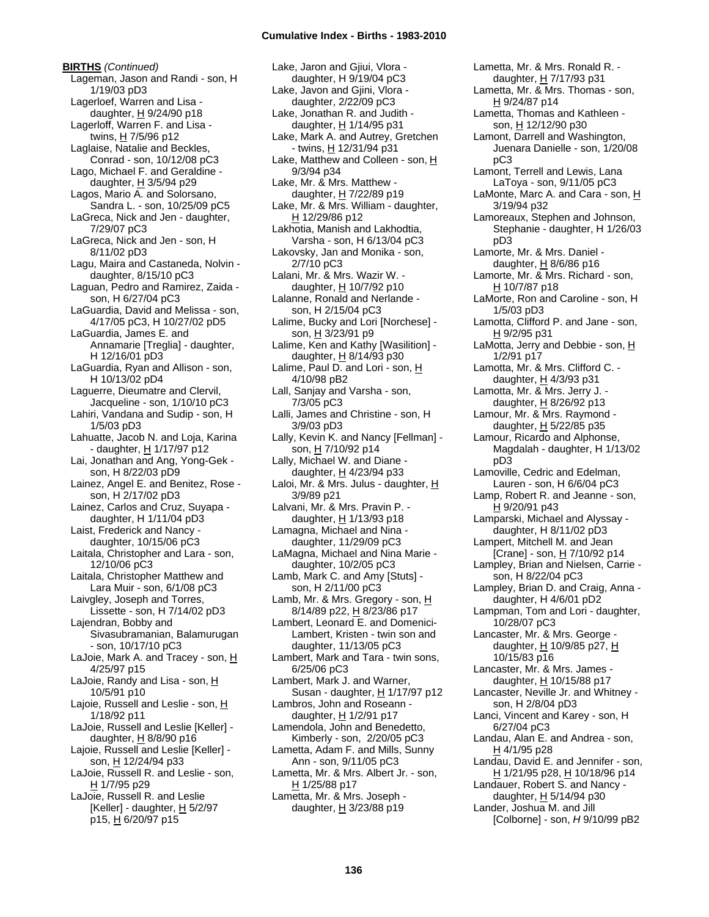**BIRTHS** *(Continued)* Lageman, Jason and Randi - son, H 1/19/03 pD3 Lagerloef, Warren and Lisa daughter, H 9/24/90 p18 Lagerloff, Warren F. and Lisa twins,  $H$  7/5/96 p12 Laglaise, Natalie and Beckles, Conrad - son, 10/12/08 pC3 Lago, Michael F. and Geraldine daughter, H 3/5/94 p29 Lagos, Mario A. and Solorsano, Sandra L. - son, 10/25/09 pC5 LaGreca, Nick and Jen - daughter, 7/29/07 pC3 LaGreca, Nick and Jen - son, H 8/11/02 pD3 Lagu, Maira and Castaneda, Nolvin daughter, 8/15/10 pC3 Laguan, Pedro and Ramirez, Zaida son, H 6/27/04 pC3 LaGuardia, David and Melissa - son, 4/17/05 pC3, H 10/27/02 pD5 LaGuardia, James E. and Annamarie [Treglia] - daughter, H 12/16/01 pD3 LaGuardia, Ryan and Allison - son, H 10/13/02 pD4 Laguerre, Dieumatre and Clervil, Jacqueline - son, 1/10/10 pC3 Lahiri, Vandana and Sudip - son, H 1/5/03 pD3 Lahuatte, Jacob N. and Loja, Karina - daughter, H 1/17/97 p12 Lai, Jonathan and Ang, Yong-Gek son, H 8/22/03 pD9 Lainez, Angel E. and Benitez, Rose son, H 2/17/02 pD3 Lainez, Carlos and Cruz, Suyapa daughter, H 1/11/04 pD3 Laist, Frederick and Nancy daughter, 10/15/06 pC3 Laitala, Christopher and Lara - son, 12/10/06 pC3 Laitala, Christopher Matthew and Lara Muir - son, 6/1/08 pC3 Laivgley, Joseph and Torres, Lissette - son, H 7/14/02 pD3 Lajendran, Bobby and Sivasubramanian, Balamurugan - son, 10/17/10 pC3 LaJoie, Mark A. and Tracey - son, H 4/25/97 p15 LaJoie, Randy and Lisa - son, H 10/5/91 p10 Lajoie, Russell and Leslie - son, H 1/18/92 p11 LaJoie, Russell and Leslie [Keller] daughter,  $H$  8/8/90 p16 Lajoie, Russell and Leslie [Keller] son, H 12/24/94 p33 LaJoie, Russell R. and Leslie - son, H 1/7/95 p29 LaJoie, Russell R. and Leslie [Keller] - daughter,  $\underline{H}$  5/2/97 p15, H 6/20/97 p15

Lake, Jaron and Gjiui, Vlora daughter, H 9/19/04 pC3 Lake, Javon and Gjini, Vlora daughter, 2/22/09 pC3 Lake, Jonathan R. and Judith daughter, H 1/14/95 p31 Lake, Mark A. and Autrey, Gretchen - twins, H 12/31/94 p31 Lake, Matthew and Colleen - son,  $H$ 9/3/94 p34 Lake, Mr. & Mrs. Matthew daughter,  $H$  7/22/89 p19 Lake, Mr. & Mrs. William - daughter, H 12/29/86 p12 Lakhotia, Manish and Lakhodtia, Varsha - son, H 6/13/04 pC3 Lakovsky, Jan and Monika - son, 2/7/10 pC3 Lalani, Mr. & Mrs. Wazir W. daughter, H 10/7/92 p10 Lalanne, Ronald and Nerlande son, H 2/15/04 pC3 Lalime, Bucky and Lori [Norchese] son, H 3/23/91 p9 Lalime, Ken and Kathy [Wasilition] daughter, H 8/14/93 p30 Lalime, Paul D. and Lori - son, H 4/10/98 pB2 Lall, Sanjay and Varsha - son, 7/3/05 pC3 Lalli, James and Christine - son, H 3/9/03 pD3 Lally, Kevin K. and Nancy [Fellman] son, H 7/10/92 p14 Lally, Michael W. and Diane daughter,  $H$  4/23/94 p33 Laloi, Mr. & Mrs. Julus - daughter,  $H$ 3/9/89 p21 Lalvani, Mr. & Mrs. Pravin P. daughter,  $H$  1/13/93 p18 Lamagna, Michael and Nina daughter, 11/29/09 pC3 LaMagna, Michael and Nina Marie daughter, 10/2/05 pC3 Lamb, Mark C. and Amy [Stuts] son, H 2/11/00 pC3 Lamb, Mr. & Mrs. Gregory - son, H 8/14/89 p22, H 8/23/86 p17 Lambert, Leonard E. and Domenici-Lambert, Kristen - twin son and daughter, 11/13/05 pC3 Lambert, Mark and Tara - twin sons, 6/25/06 pC3 Lambert, Mark J. and Warner, Susan - daughter, H 1/17/97 p12 Lambros, John and Roseann daughter, H 1/2/91 p17 Lamendola, John and Benedetto, Kimberly - son, 2/20/05 pC3 Lametta, Adam F. and Mills, Sunny Ann - son, 9/11/05 pC3 Lametta, Mr. & Mrs. Albert Jr. - son, H 1/25/88 p17 Lametta, Mr. & Mrs. Joseph daughter,  $\underline{H}$  3/23/88 p19

Lametta, Mr. & Mrs. Ronald R. daughter, H 7/17/93 p31 Lametta, Mr. & Mrs. Thomas - son, H 9/24/87 p14 Lametta, Thomas and Kathleen son, H 12/12/90 p30 Lamont, Darrell and Washington, Juenara Danielle - son, 1/20/08 pC3 Lamont, Terrell and Lewis, Lana LaToya - son, 9/11/05 pC3 LaMonte, Marc A. and Cara - son, H 3/19/94 p32 Lamoreaux, Stephen and Johnson, Stephanie - daughter, H 1/26/03 pD3 Lamorte, Mr. & Mrs. Daniel daughter,  $H$  8/6/86 p16 Lamorte, Mr. & Mrs. Richard - son, H 10/7/87 p18 LaMorte, Ron and Caroline - son, H 1/5/03 pD3 Lamotta, Clifford P. and Jane - son, H 9/2/95 p31 LaMotta, Jerry and Debbie - son,  $H$ 1/2/91 p17 Lamotta, Mr. & Mrs. Clifford C. daughter, H 4/3/93 p31 Lamotta, Mr. & Mrs. Jerry J. daughter, H 8/26/92 p13 Lamour, Mr. & Mrs. Raymond daughter,  $H$  5/22/85 p35 Lamour, Ricardo and Alphonse, Magdalah - daughter, H 1/13/02 pD3 Lamoville, Cedric and Edelman, Lauren - son, H 6/6/04 pC3 Lamp, Robert R. and Jeanne - son, H 9/20/91 p43 Lamparski, Michael and Alyssay daughter, H 8/11/02 pD3 Lampert, Mitchell M. and Jean [Crane] - son, H 7/10/92 p14 Lampley, Brian and Nielsen, Carrie son, H 8/22/04 pC3 Lampley, Brian D. and Craig, Anna daughter, H 4/6/01 pD2 Lampman, Tom and Lori - daughter, 10/28/07 pC3 Lancaster, Mr. & Mrs. George daughter,  $H$  10/9/85 p27,  $H$ 10/15/83 p16 Lancaster, Mr. & Mrs. James daughter,  $H$  10/15/88 p17 Lancaster, Neville Jr. and Whitney son, H 2/8/04 pD3 Lanci, Vincent and Karey - son, H 6/27/04 pC3 Landau, Alan E. and Andrea - son, H 4/1/95 p28 Landau, David E. and Jennifer - son, H 1/21/95 p28, H 10/18/96 p14 Landauer, Robert S. and Nancy daughter, H 5/14/94 p30 Lander, Joshua M. and Jill [Colborne] - son, *H* 9/10/99 pB2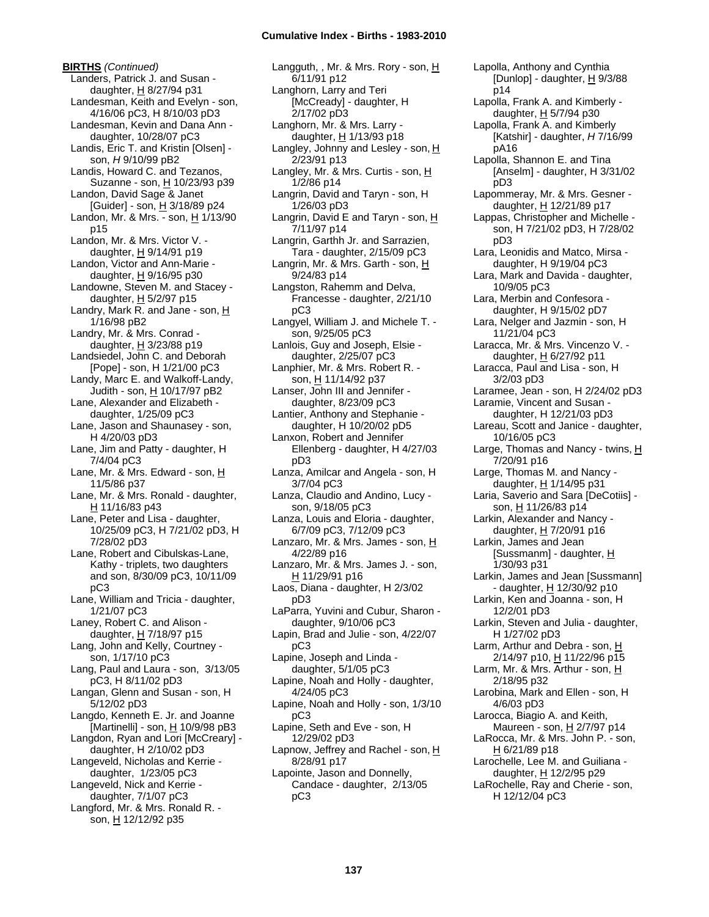**BIRTHS** *(Continued)* Landers, Patrick J. and Susan daughter, H 8/27/94 p31 Landesman, Keith and Evelyn - son, 4/16/06 pC3, H 8/10/03 pD3 Landesman, Kevin and Dana Ann daughter, 10/28/07 pC3 Landis, Eric T. and Kristin [Olsen] son, *H* 9/10/99 pB2 Landis, Howard C. and Tezanos, Suzanne - son, H 10/23/93 p39 Landon, David Sage & Janet  $[Guider] - son, H 3/18/89 p24$ Landon, Mr. & Mrs. - son, H 1/13/90 p15 Landon, Mr. & Mrs. Victor V. daughter, H 9/14/91 p19 Landon, Victor and Ann-Marie daughter,  $H$  9/16/95 p30 Landowne, Steven M. and Stacey daughter,  $H$  5/2/97 p15 Landry, Mark R. and Jane - son,  $H$ 1/16/98 pB2 Landry, Mr. & Mrs. Conrad daughter,  $H$  3/23/88 p19 Landsiedel, John C. and Deborah [Pope] - son, H 1/21/00 pC3 Landy, Marc E. and Walkoff-Landy, Judith - son, H 10/17/97 pB2 Lane, Alexander and Elizabeth daughter, 1/25/09 pC3 Lane, Jason and Shaunasey - son, H 4/20/03 pD3 Lane, Jim and Patty - daughter, H 7/4/04 pC3 Lane, Mr. & Mrs. Edward - son, H 11/5/86 p37 Lane, Mr. & Mrs. Ronald - daughter, H 11/16/83 p43 Lane, Peter and Lisa - daughter, 10/25/09 pC3, H 7/21/02 pD3, H 7/28/02 pD3 Lane, Robert and Cibulskas-Lane, Kathy - triplets, two daughters and son, 8/30/09 pC3, 10/11/09 pC3 Lane, William and Tricia - daughter, 1/21/07 pC3 Laney, Robert C. and Alison daughter,  $H$  7/18/97 p15 Lang, John and Kelly, Courtney son, 1/17/10 pC3 Lang, Paul and Laura - son, 3/13/05 pC3, H 8/11/02 pD3 Langan, Glenn and Susan - son, H 5/12/02 pD3 Langdo, Kenneth E. Jr. and Joanne [Martinelli] - son,  $H$  10/9/98 pB3 Langdon, Ryan and Lori [McCreary] daughter, H 2/10/02 pD3 Langeveld, Nicholas and Kerrie daughter, 1/23/05 pC3 Langeveld, Nick and Kerrie daughter, 7/1/07 pC3 Langford, Mr. & Mrs. Ronald R. son, H 12/12/92 p35

Langguth, , Mr. & Mrs. Rory - son, H 6/11/91 p12 Langhorn, Larry and Teri [McCready] - daughter, H 2/17/02 pD3 Langhorn, Mr. & Mrs. Larry daughter,  $H$  1/13/93 p18 Langley, Johnny and Lesley - son,  $\underline{H}$ 2/23/91 p13 Langley, Mr. & Mrs. Curtis - son, H 1/2/86 p14 Langrin, David and Taryn - son, H 1/26/03 pD3 Langrin, David E and Taryn - son, H 7/11/97 p14 Langrin, Garthh Jr. and Sarrazien, Tara - daughter, 2/15/09 pC3 Langrin, Mr. & Mrs. Garth - son, H 9/24/83 p14 Langston, Rahemm and Delva, Francesse - daughter, 2/21/10 pC3 Langyel, William J. and Michele T. son, 9/25/05 pC3 Lanlois, Guy and Joseph, Elsie daughter, 2/25/07 pC3 Lanphier, Mr. & Mrs. Robert R. son, H 11/14/92 p37 Lanser, John III and Jennifer daughter, 8/23/09 pC3 Lantier, Anthony and Stephanie daughter, H 10/20/02 pD5 Lanxon, Robert and Jennifer Ellenberg - daughter, H 4/27/03 pD3 Lanza, Amilcar and Angela - son, H 3/7/04 pC3 Lanza, Claudio and Andino, Lucy son, 9/18/05 pC3 Lanza, Louis and Eloria - daughter, 6/7/09 pC3, 7/12/09 pC3 Lanzaro, Mr. & Mrs. James - son, H 4/22/89 p16 Lanzaro, Mr. & Mrs. James J. - son, H 11/29/91 p16 Laos, Diana - daughter, H 2/3/02 pD3 LaParra, Yuvini and Cubur, Sharon daughter, 9/10/06 pC3 Lapin, Brad and Julie - son, 4/22/07 pC3 Lapine, Joseph and Linda daughter, 5/1/05 pC3 Lapine, Noah and Holly - daughter, 4/24/05 pC3 Lapine, Noah and Holly - son, 1/3/10 pC3 Lapine, Seth and Eve - son, H 12/29/02 pD3 Lapnow, Jeffrey and Rachel - son,  $H$ 8/28/91 p17 Lapointe, Jason and Donnelly, Candace - daughter, 2/13/05 pC3

Lapolla, Anthony and Cynthia [Dunlop] - daughter, H 9/3/88 p14 Lapolla, Frank A. and Kimberly daughter, H 5/7/94 p30 Lapolla, Frank A. and Kimberly [Katshir] - daughter, *H* 7/16/99 pA16 Lapolla, Shannon E. and Tina [Anselm] - daughter, H 3/31/02 pD3 Lapommeray, Mr. & Mrs. Gesner daughter, H 12/21/89 p17 Lappas, Christopher and Michelle son, H 7/21/02 pD3, H 7/28/02 pD3 Lara, Leonidis and Matco, Mirsa daughter, H 9/19/04 pC3 Lara, Mark and Davida - daughter, 10/9/05 pC3 Lara, Merbin and Confesora daughter, H 9/15/02 pD7 Lara, Nelger and Jazmin - son, H 11/21/04 pC3 Laracca, Mr. & Mrs. Vincenzo V. daughter, H 6/27/92 p11 Laracca, Paul and Lisa - son, H 3/2/03 pD3 Laramee, Jean - son, H 2/24/02 pD3 Laramie, Vincent and Susan daughter, H 12/21/03 pD3 Lareau, Scott and Janice - daughter, 10/16/05 pC3 Large, Thomas and Nancy - twins, H 7/20/91 p16 Large, Thomas M. and Nancy daughter, H 1/14/95 p31 Laria, Saverio and Sara [DeCotiis] son, H 11/26/83 p14 Larkin, Alexander and Nancy daughter, H 7/20/91 p16 Larkin, James and Jean [Sussmanm] - daughter, H 1/30/93 p31 Larkin, James and Jean [Sussmann] - daughter,  $H$  12/30/92 p10 Larkin, Ken and Joanna - son, H 12/2/01 pD3 Larkin, Steven and Julia - daughter, H 1/27/02 pD3 Larm, Arthur and Debra - son, H 2/14/97 p10, H 11/22/96 p15 Larm, Mr. & Mrs. Arthur - son, H 2/18/95 p32 Larobina, Mark and Ellen - son, H 4/6/03 pD3 Larocca, Biagio A. and Keith, Maureen - son, H 2/7/97 p14 LaRocca, Mr. & Mrs. John P. - son, H 6/21/89 p18 Larochelle, Lee M. and Guiliana daughter, H 12/2/95 p29 LaRochelle, Ray and Cherie - son, H 12/12/04 pC3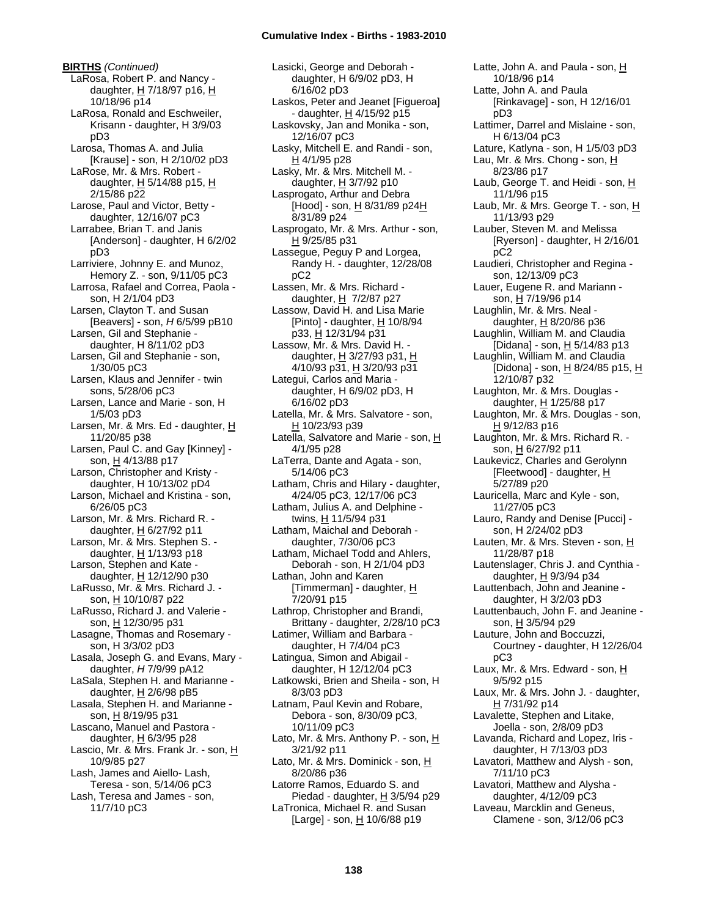**BIRTHS** *(Continued)* LaRosa, Robert P. and Nancy daughter,  $H$  7/18/97 p16,  $H$ 10/18/96 p14 LaRosa, Ronald and Eschweiler, Krisann - daughter, H 3/9/03 pD3 Larosa, Thomas A. and Julia [Krause] - son, H 2/10/02 pD3 LaRose, Mr. & Mrs. Robert daughter, H 5/14/88 p15, H 2/15/86 p22 Larose, Paul and Victor, Betty daughter, 12/16/07 pC3 Larrabee, Brian T. and Janis [Anderson] - daughter, H 6/2/02 pD3 Larriviere, Johnny E. and Munoz, Hemory Z. - son, 9/11/05 pC3 Larrosa, Rafael and Correa, Paola son, H 2/1/04 pD3 Larsen, Clayton T. and Susan [Beavers] - son, *H* 6/5/99 pB10 Larsen, Gil and Stephanie daughter, H 8/11/02 pD3 Larsen, Gil and Stephanie - son, 1/30/05 pC3 Larsen, Klaus and Jennifer - twin sons, 5/28/06 pC3 Larsen, Lance and Marie - son, H 1/5/03 pD3 Larsen, Mr. & Mrs. Ed - daughter, H 11/20/85 p38 Larsen, Paul C. and Gay [Kinney] son, H 4/13/88 p17 Larson, Christopher and Kristy daughter, H 10/13/02 pD4 Larson, Michael and Kristina - son, 6/26/05 pC3 Larson, Mr. & Mrs. Richard R. daughter, H 6/27/92 p11 Larson, Mr. & Mrs. Stephen S. daughter,  $H$  1/13/93 p18 Larson, Stephen and Kate daughter, H 12/12/90 p30 LaRusso, Mr. & Mrs. Richard J. son, H 10/10/87 p22 LaRusso, Richard J. and Valerie son, H 12/30/95 p31 Lasagne, Thomas and Rosemary son, H 3/3/02 pD3 Lasala, Joseph G. and Evans, Mary daughter, *H* 7/9/99 pA12 LaSala, Stephen H. and Marianne daughter,  $H$  2/6/98 pB5 Lasala, Stephen H. and Marianne son, H 8/19/95 p31 Lascano, Manuel and Pastora daughter,  $H$  6/3/95 p28 Lascio, Mr. & Mrs. Frank Jr. - son, H 10/9/85 p27 Lash, James and Aiello- Lash, Teresa - son, 5/14/06 pC3 Lash, Teresa and James - son, 11/7/10 pC3

Lasicki, George and Deborah daughter, H 6/9/02 pD3, H 6/16/02 pD3 Laskos, Peter and Jeanet [Figueroa] - daughter, H 4/15/92 p15 Laskovsky, Jan and Monika - son, 12/16/07 pC3 Lasky, Mitchell E. and Randi - son, H 4/1/95 p28 Lasky, Mr. & Mrs. Mitchell M. daughter, H 3/7/92 p10 Lasprogato, Arthur and Debra [Hood] - son, H 8/31/89 p24H 8/31/89 p24 Lasprogato, Mr. & Mrs. Arthur - son, H 9/25/85 p31 Lassegue, Peguy P and Lorgea, Randy H. - daughter, 12/28/08 pC2 Lassen, Mr. & Mrs. Richard daughter,  $H$  7/2/87 p27 Lassow, David H. and Lisa Marie [Pinto] - daughter, H 10/8/94 p33, H 12/31/94 p31 Lassow, Mr. & Mrs. David H. daughter, H 3/27/93 p31, H 4/10/93 p31, H 3/20/93 p31 Lategui, Carlos and Maria daughter, H 6/9/02 pD3, H 6/16/02 pD3 Latella, Mr. & Mrs. Salvatore - son, H 10/23/93 p39 Latella, Salvatore and Marie - son, H 4/1/95 p28 LaTerra, Dante and Agata - son, 5/14/06 pC3 Latham, Chris and Hilary - daughter, 4/24/05 pC3, 12/17/06 pC3 Latham, Julius A. and Delphine twins, H 11/5/94 p31 Latham, Maichal and Deborah daughter, 7/30/06 pC3 Latham, Michael Todd and Ahlers, Deborah - son, H 2/1/04 pD3 Lathan, John and Karen [Timmerman] - daughter, H 7/20/91 p15 Lathrop, Christopher and Brandi, Brittany - daughter, 2/28/10 pC3 Latimer, William and Barbara daughter, H 7/4/04 pC3 Latingua, Simon and Abigail daughter, H 12/12/04 pC3 Latkowski, Brien and Sheila - son, H 8/3/03 pD3 Latnam, Paul Kevin and Robare, Debora - son, 8/30/09 pC3, 10/11/09 pC3 Lato, Mr. & Mrs. Anthony P. - son, H 3/21/92 p11 Lato, Mr. & Mrs. Dominick - son, H 8/20/86 p36 Latorre Ramos, Eduardo S. and Piedad - daughter,  $H$  3/5/94 p29 LaTronica, Michael R. and Susan  $[Large]$  - son,  $H$  10/6/88 p19

Latte, John A. and Paula - son, H 10/18/96 p14 Latte, John A. and Paula [Rinkavage] - son, H 12/16/01 pD3 Lattimer, Darrel and Mislaine - son, H 6/13/04 pC3 Lature, Katlyna - son, H 1/5/03 pD3 Lau, Mr. & Mrs. Chong - son,  $H$ 8/23/86 p17 Laub, George T. and Heidi - son, H 11/1/96 p15 Laub, Mr. & Mrs. George T. - son,  $H$ 11/13/93 p29 Lauber, Steven M. and Melissa [Ryerson] - daughter, H 2/16/01 pC2 Laudieri, Christopher and Regina son, 12/13/09 pC3 Lauer, Eugene R. and Mariann son, H 7/19/96 p14 Laughlin, Mr. & Mrs. Neal daughter, H 8/20/86 p36 Laughlin, William M. and Claudia [Didana] - son,  $H$  5/14/83 p13 Laughlin, William M. and Claudia [Didona] - son,  $H_8/24/85$  p15,  $H_8$ 12/10/87 p32 Laughton, Mr. & Mrs. Douglas daughter, H 1/25/88 p17 Laughton, Mr. & Mrs. Douglas - son, H 9/12/83 p16 Laughton, Mr. & Mrs. Richard R. son, H 6/27/92 p11 Laukevicz, Charles and Gerolynn [Fleetwood] - daughter,  $\underline{H}$ 5/27/89 p20 Lauricella, Marc and Kyle - son, 11/27/05 pC3 Lauro, Randy and Denise [Pucci] son, H 2/24/02 pD3 Lauten, Mr. & Mrs. Steven - son, H 11/28/87 p18 Lautenslager, Chris J. and Cynthia daughter, H 9/3/94 p34 Lauttenbach, John and Jeanine daughter, H 3/2/03 pD3 Lauttenbauch, John F. and Jeanine son, H 3/5/94 p29 Lauture, John and Boccuzzi, Courtney - daughter, H 12/26/04 pC3 Laux, Mr. & Mrs. Edward - son, H 9/5/92 p15 Laux, Mr. & Mrs. John J. - daughter, H 7/31/92 p14 Lavalette, Stephen and Litake, Joella - son, 2/8/09 pD3 Lavanda, Richard and Lopez, Iris daughter, H 7/13/03 pD3 Lavatori, Matthew and Alysh - son, 7/11/10 pC3 Lavatori, Matthew and Alysha daughter, 4/12/09 pC3 Laveau, Marcklin and Geneus, Clamene - son, 3/12/06 pC3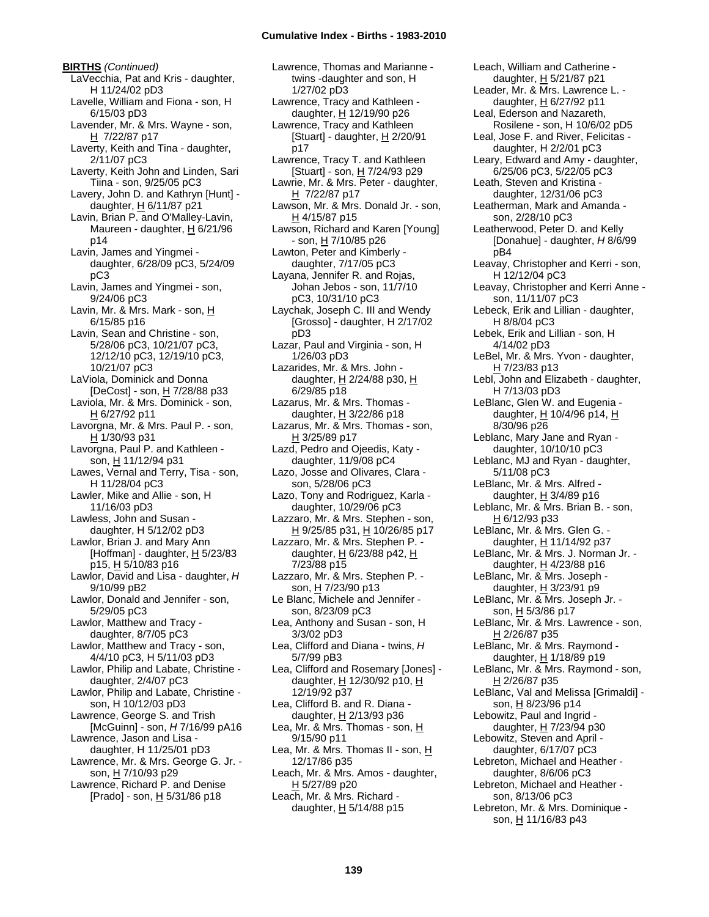**BIRTHS** *(Continued)* LaVecchia, Pat and Kris - daughter, H 11/24/02 pD3 Lavelle, William and Fiona - son, H 6/15/03 pD3 Lavender, Mr. & Mrs. Wayne - son, H 7/22/87 p17 Laverty, Keith and Tina - daughter, 2/11/07 pC3 Laverty, Keith John and Linden, Sari Tiina - son, 9/25/05 pC3 Lavery, John D. and Kathryn [Hunt] daughter,  $H$  6/11/87 p21 Lavin, Brian P. and O'Malley-Lavin, Maureen - daughter, H 6/21/96 p14 Lavin, James and Yingmei daughter, 6/28/09 pC3, 5/24/09 pC3 Lavin, James and Yingmei - son, 9/24/06 pC3 Lavin, Mr. & Mrs. Mark - son, H 6/15/85 p16 Lavin, Sean and Christine - son, 5/28/06 pC3, 10/21/07 pC3, 12/12/10 pC3, 12/19/10 pC3, 10/21/07 pC3 LaViola, Dominick and Donna [DeCost] - son, H 7/28/88 p33 Laviola, Mr. & Mrs. Dominick - son,  $H$  6/27/92 p11 Lavorgna, Mr. & Mrs. Paul P. - son, H 1/30/93 p31 Lavorgna, Paul P. and Kathleen son, H 11/12/94 p31 Lawes, Vernal and Terry, Tisa - son, H 11/28/04 pC3 Lawler, Mike and Allie - son, H 11/16/03 pD3 Lawless, John and Susan daughter, H 5/12/02 pD3 Lawlor, Brian J. and Mary Ann [Hoffman] - daughter,  $H$  5/23/83 p15, H 5/10/83 p16 Lawlor, David and Lisa - daughter, *H* 9/10/99 pB2 Lawlor, Donald and Jennifer - son, 5/29/05 pC3 Lawlor, Matthew and Tracy daughter, 8/7/05 pC3 Lawlor, Matthew and Tracy - son, 4/4/10 pC3, H 5/11/03 pD3 Lawlor, Philip and Labate, Christine daughter, 2/4/07 pC3 Lawlor, Philip and Labate, Christine son, H 10/12/03 pD3 Lawrence, George S. and Trish [McGuinn] - son, *H* 7/16/99 pA16 Lawrence, Jason and Lisa daughter, H 11/25/01 pD3 Lawrence, Mr. & Mrs. George G. Jr. son, H 7/10/93 p29 Lawrence, Richard P. and Denise [Prado] - son, H 5/31/86 p18

Lawrence, Thomas and Marianne twins -daughter and son, H 1/27/02 pD3 Lawrence, Tracy and Kathleen daughter, H 12/19/90 p26 Lawrence, Tracy and Kathleen [Stuart] - daughter,  $H$  2/20/91 p17 Lawrence, Tracy T. and Kathleen [Stuart] - son, H 7/24/93 p29 Lawrie, Mr. & Mrs. Peter - daughter, H 7/22/87 p17 Lawson, Mr. & Mrs. Donald Jr. - son, H 4/15/87 p15 Lawson, Richard and Karen [Young] - son, H 7/10/85 p26 Lawton, Peter and Kimberly daughter, 7/17/05 pC3 Layana, Jennifer R. and Rojas, Johan Jebos - son, 11/7/10 pC3, 10/31/10 pC3 Laychak, Joseph C. III and Wendy [Grosso] - daughter, H 2/17/02 pD3 Lazar, Paul and Virginia - son, H 1/26/03 pD3 Lazarides, Mr. & Mrs. John daughter,  $H$  2/24/88 p30,  $H$ 6/29/85 p18 Lazarus, Mr. & Mrs. Thomas daughter,  $\underline{H}$  3/22/86 p18 Lazarus, Mr. & Mrs. Thomas - son, H 3/25/89 p17 Lazd, Pedro and Ojeedis, Katy daughter, 11/9/08 pC4 Lazo, Josse and Olivares, Clara son, 5/28/06 pC3 Lazo, Tony and Rodriguez, Karla daughter, 10/29/06 pC3 Lazzaro, Mr. & Mrs. Stephen - son, H 9/25/85 p31, H 10/26/85 p17 Lazzaro, Mr. & Mrs. Stephen P. daughter,  $H$  6/23/88 p42,  $H$ 7/23/88 p15 Lazzaro, Mr. & Mrs. Stephen P. son, H 7/23/90 p13 Le Blanc, Michele and Jennifer son, 8/23/09 pC3 Lea, Anthony and Susan - son, H 3/3/02 pD3 Lea, Clifford and Diana - twins, *H* 5/7/99 pB3 Lea, Clifford and Rosemary [Jones] daughter, H 12/30/92 p10, H 12/19/92 p37 Lea, Clifford B. and R. Diana daughter, H 2/13/93 p36 Lea, Mr. & Mrs. Thomas - son,  $H$ 9/15/90 p11 Lea, Mr. & Mrs. Thomas II - son,  $H$ 12/17/86 p35 Leach, Mr. & Mrs. Amos - daughter, H 5/27/89 p20 Leach, Mr. & Mrs. Richard daughter,  $\underline{H}$  5/14/88 p15

Leach, William and Catherine daughter, H 5/21/87 p21 Leader, Mr. & Mrs. Lawrence L. daughter, H 6/27/92 p11 Leal, Ederson and Nazareth, Rosilene - son, H 10/6/02 pD5 Leal, Jose F. and River, Felicitas daughter, H 2/2/01 pC3 Leary, Edward and Amy - daughter, 6/25/06 pC3, 5/22/05 pC3 Leath, Steven and Kristina daughter, 12/31/06 pC3 Leatherman, Mark and Amanda son, 2/28/10 pC3 Leatherwood, Peter D. and Kelly [Donahue] - daughter, *H* 8/6/99 pB4 Leavay, Christopher and Kerri - son, H 12/12/04 pC3 Leavay, Christopher and Kerri Anne son, 11/11/07 pC3 Lebeck, Erik and Lillian - daughter, H 8/8/04 pC3 Lebek, Erik and Lillian - son, H 4/14/02 pD3 LeBel, Mr. & Mrs. Yvon - daughter, H 7/23/83 p13 Lebl, John and Elizabeth - daughter, H 7/13/03 pD3 LeBlanc, Glen W. and Eugenia daughter, H 10/4/96 p14, H 8/30/96 p26 Leblanc, Mary Jane and Ryan daughter, 10/10/10 pC3 Leblanc, MJ and Ryan - daughter, 5/11/08 pC3 LeBlanc, Mr. & Mrs. Alfred daughter, H 3/4/89 p16 Leblanc, Mr. & Mrs. Brian B. - son, H 6/12/93 p33 LeBlanc, Mr. & Mrs. Glen G. daughter, H 11/14/92 p37 LeBlanc, Mr. & Mrs. J. Norman Jr. daughter, H 4/23/88 p16 LeBlanc, Mr. & Mrs. Joseph daughter,  $H$  3/23/91 p9 LeBlanc, Mr. & Mrs. Joseph Jr. son, H 5/3/86 p17 LeBlanc, Mr. & Mrs. Lawrence - son, H 2/26/87 p35 LeBlanc, Mr. & Mrs. Raymond daughter, H 1/18/89 p19 LeBlanc, Mr. & Mrs. Raymond - son, H 2/26/87 p35 LeBlanc, Val and Melissa [Grimaldi] son, H 8/23/96 p14 Lebowitz, Paul and Ingrid daughter,  $H$  7/23/94 p30 Lebowitz, Steven and April daughter, 6/17/07 pC3 Lebreton, Michael and Heather daughter, 8/6/06 pC3 Lebreton, Michael and Heather son, 8/13/06 pC3 Lebreton, Mr. & Mrs. Dominique son, H 11/16/83 p43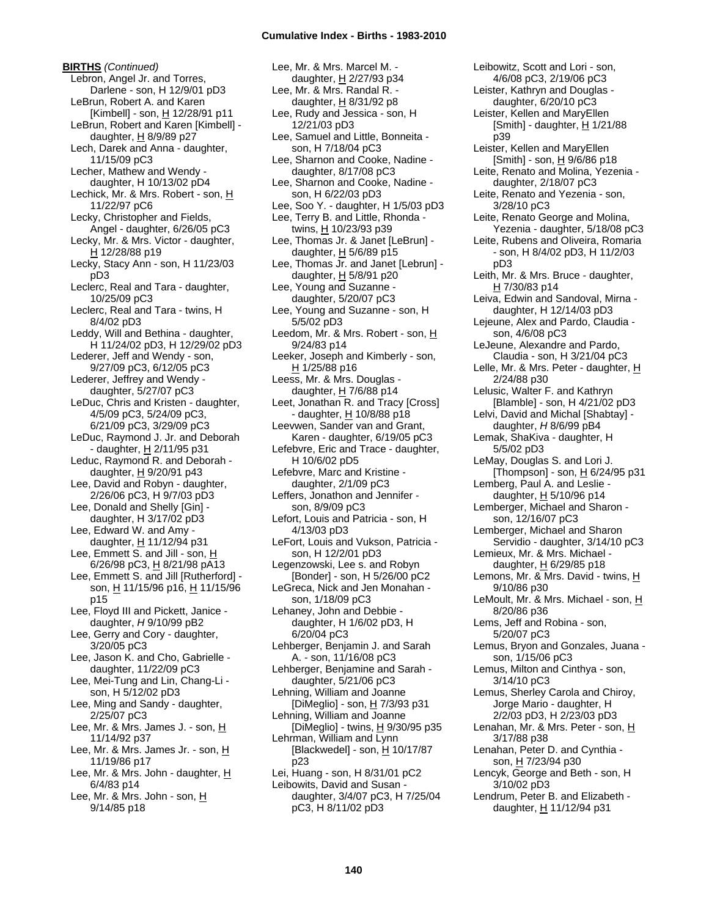**BIRTHS** *(Continued)* Lebron, Angel Jr. and Torres, Darlene - son, H 12/9/01 pD3 LeBrun, Robert A. and Karen [Kimbell] - son, H 12/28/91 p11 LeBrun, Robert and Karen [Kimbell] daughter,  $H$  8/9/89 p27 Lech, Darek and Anna - daughter, 11/15/09 pC3 Lecher, Mathew and Wendy daughter, H 10/13/02 pD4 Lechick, Mr. & Mrs. Robert - son, H 11/22/97 pC6 Lecky, Christopher and Fields, Angel - daughter, 6/26/05 pC3 Lecky, Mr. & Mrs. Victor - daughter, H 12/28/88 p19 Lecky, Stacy Ann - son, H 11/23/03 pD3 Leclerc, Real and Tara - daughter, 10/25/09 pC3 Leclerc, Real and Tara - twins, H 8/4/02 pD3 Leddy, Will and Bethina - daughter, H 11/24/02 pD3, H 12/29/02 pD3 Lederer, Jeff and Wendy - son, 9/27/09 pC3, 6/12/05 pC3 Lederer, Jeffrey and Wendy daughter, 5/27/07 pC3 LeDuc, Chris and Kristen - daughter, 4/5/09 pC3, 5/24/09 pC3, 6/21/09 pC3, 3/29/09 pC3 LeDuc, Raymond J. Jr. and Deborah - daughter, H 2/11/95 p31 Leduc, Raymond R. and Deborah daughter,  $H$  9/20/91 p43 Lee, David and Robyn - daughter, 2/26/06 pC3, H 9/7/03 pD3 Lee, Donald and Shelly [Gin] daughter, H 3/17/02 pD3 Lee, Edward W. and Amy daughter, H 11/12/94 p31 Lee, Emmett S. and Jill - son, H 6/26/98 pC3, H 8/21/98 pA13 Lee, Emmett S. and Jill [Rutherford] son, H 11/15/96 p16, H 11/15/96 p15 Lee, Floyd III and Pickett, Janice daughter, *H* 9/10/99 pB2 Lee, Gerry and Cory - daughter, 3/20/05 pC3 Lee, Jason K. and Cho, Gabrielle daughter, 11/22/09 pC3 Lee, Mei-Tung and Lin, Chang-Li son, H 5/12/02 pD3 Lee, Ming and Sandy - daughter, 2/25/07 pC3 Lee, Mr. & Mrs. James J. - son, H 11/14/92 p37 Lee, Mr. & Mrs. James Jr. - son, H 11/19/86 p17 Lee, Mr. & Mrs. John - daughter, H 6/4/83 p14 Lee, Mr. & Mrs. John - son, H 9/14/85 p18

Lee, Mr. & Mrs. Marcel M. daughter, H 2/27/93 p34 Lee, Mr. & Mrs. Randal R. daughter,  $H$  8/31/92 p8 Lee, Rudy and Jessica - son, H 12/21/03 pD3 Lee, Samuel and Little, Bonneita son, H 7/18/04 pC3 Lee, Sharnon and Cooke, Nadine daughter, 8/17/08 pC3 Lee, Sharnon and Cooke, Nadine son, H 6/22/03 pD3 Lee, Soo Y. - daughter, H 1/5/03 pD3 Lee, Terry B. and Little, Rhonda twins, H 10/23/93 p39 Lee, Thomas Jr. & Janet [LeBrun] daughter,  $H$  5/6/89 p15 Lee, Thomas  $Jr$ . and Janet [Lebrun] daughter,  $H$  5/8/91 p20 Lee, Young and Suzanne daughter, 5/20/07 pC3 Lee, Young and Suzanne - son, H 5/5/02 pD3 Leedom, Mr. & Mrs. Robert - son, H 9/24/83 p14 Leeker, Joseph and Kimberly - son,  $H$  1/25/88 p16 Leess, Mr. & Mrs. Douglas daughter, H 7/6/88 p14 Leet, Jonathan R. and Tracy [Cross] - daughter, H 10/8/88 p18 Leevwen, Sander van and Grant, Karen - daughter, 6/19/05 pC3 Lefebvre, Eric and Trace - daughter, H 10/6/02 pD5 Lefebvre, Marc and Kristine daughter, 2/1/09 pC3 Leffers, Jonathon and Jennifer son, 8/9/09 pC3 Lefort, Louis and Patricia - son, H 4/13/03 pD3 LeFort, Louis and Vukson, Patricia son, H 12/2/01 pD3 Legenzowski, Lee s. and Robyn [Bonder] - son, H 5/26/00 pC2 LeGreca, Nick and Jen Monahan son, 1/18/09 pC3 Lehaney, John and Debbie daughter, H 1/6/02 pD3, H 6/20/04 pC3 Lehberger, Benjamin J. and Sarah A. - son, 11/16/08 pC3 Lehberger, Benjamine and Sarah daughter, 5/21/06 pC3 Lehning, William and Joanne [DiMeglio] - son, H 7/3/93 p31 Lehning, William and Joanne [DiMeglio] - twins,  $H$  9/30/95 p35 Lehrman, William and Lynn [Blackwedel] - son,  $H$  10/17/87 p23 Lei, Huang - son, H 8/31/01 pC2 Leibowits, David and Susan daughter, 3/4/07 pC3, H 7/25/04 pC3, H 8/11/02 pD3

Leister, Kathryn and Douglas daughter, 6/20/10 pC3 Leister, Kellen and MaryEllen [Smith] - daughter, H 1/21/88 p39 Leister, Kellen and MaryEllen [Smith] - son,  $\underline{H}$  9/6/86 p18 Leite, Renato and Molina, Yezenia daughter, 2/18/07 pC3 Leite, Renato and Yezenia - son, 3/28/10 pC3 Leite, Renato George and Molina, Yezenia - daughter, 5/18/08 pC3 Leite, Rubens and Oliveira, Romaria - son, H 8/4/02 pD3, H 11/2/03 pD3 Leith, Mr. & Mrs. Bruce - daughter, H 7/30/83 p14 Leiva, Edwin and Sandoval, Mirna daughter, H 12/14/03 pD3 Lejeune, Alex and Pardo, Claudia son, 4/6/08 pC3 LeJeune, Alexandre and Pardo, Claudia - son, H 3/21/04 pC3 Lelle, Mr. & Mrs. Peter - daughter,  $H$ 2/24/88 p30 Lelusic, Walter F. and Kathryn [Blamble] - son, H 4/21/02 pD3 Lelvi, David and Michal [Shabtay] daughter, *H* 8/6/99 pB4 Lemak, ShaKiva - daughter, H 5/5/02 pD3 LeMay, Douglas S. and Lori J. [Thompson] - son,  $\underline{H}$  6/24/95 p31 Lemberg, Paul A. and Leslie daughter, H 5/10/96 p14 Lemberger, Michael and Sharon son, 12/16/07 pC3 Lemberger, Michael and Sharon Servidio - daughter, 3/14/10 pC3 Lemieux, Mr. & Mrs. Michael daughter, H 6/29/85 p18 Lemons, Mr. & Mrs. David - twins, H 9/10/86 p30 LeMoult, Mr. & Mrs. Michael - son, H 8/20/86 p36 Lems, Jeff and Robina - son, 5/20/07 pC3 Lemus, Bryon and Gonzales, Juana son, 1/15/06 pC3 Lemus, Milton and Cinthya - son, 3/14/10 pC3 Lemus, Sherley Carola and Chiroy, Jorge Mario - daughter, H 2/2/03 pD3, H 2/23/03 pD3 Lenahan, Mr. & Mrs. Peter - son, H 3/17/88 p38 Lenahan, Peter D. and Cynthia son, H 7/23/94 p30 Lencyk, George and Beth - son, H 3/10/02 pD3 Lendrum, Peter B. and Elizabeth daughter, H 11/12/94 p31

Leibowitz, Scott and Lori - son, 4/6/08 pC3, 2/19/06 pC3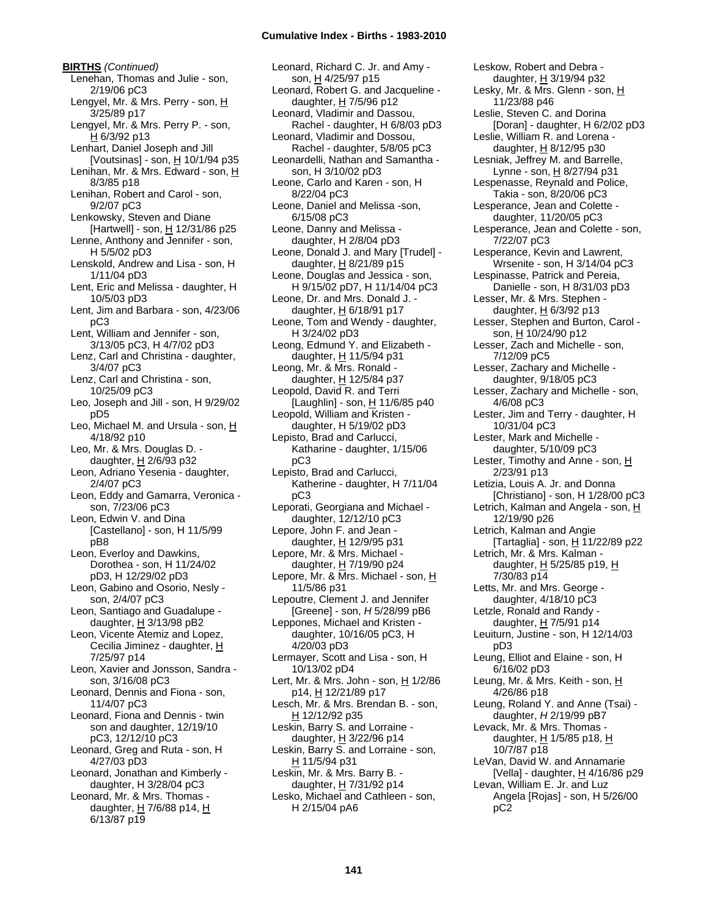**BIRTHS** *(Continued)* Lenehan, Thomas and Julie - son, 2/19/06 pC3 Lengyel, Mr. & Mrs. Perry - son, H 3/25/89 p17 Lengyel, Mr. & Mrs. Perry P. - son, H 6/3/92 p13 Lenhart, Daniel Joseph and Jill [Voutsinas] - son,  $H$  10/1/94 p35 Lenihan, Mr. & Mrs. Edward - son, H 8/3/85 p18 Lenihan, Robert and Carol - son, 9/2/07 pC3 Lenkowsky, Steven and Diane [Hartwell] - son, H 12/31/86 p25 Lenne, Anthony and Jennifer - son, H 5/5/02 pD3 Lenskold, Andrew and Lisa - son, H 1/11/04 pD3 Lent, Eric and Melissa - daughter, H 10/5/03 pD3 Lent, Jim and Barbara - son, 4/23/06 pC3 Lent, William and Jennifer - son, 3/13/05 pC3, H 4/7/02 pD3 Lenz, Carl and Christina - daughter, 3/4/07 pC3 Lenz, Carl and Christina - son, 10/25/09 pC3 Leo, Joseph and Jill - son, H 9/29/02 pD5 Leo, Michael M. and Ursula - son, H 4/18/92 p10 Leo, Mr. & Mrs. Douglas D. daughter, H 2/6/93 p32 Leon, Adriano Yesenia - daughter, 2/4/07 pC3 Leon, Eddy and Gamarra, Veronica son, 7/23/06 pC3 Leon, Edwin V. and Dina [Castellano] - son, H 11/5/99 pB8 Leon, Everloy and Dawkins, Dorothea - son, H 11/24/02 pD3, H 12/29/02 pD3 Leon, Gabino and Osorio, Nesly son, 2/4/07 pC3 Leon, Santiago and Guadalupe daughter,  $H$  3/13/98 pB2 Leon, Vicente Atemiz and Lopez, Cecilia Jiminez - daughter, H 7/25/97 p14 Leon, Xavier and Jonsson, Sandra son, 3/16/08 pC3 Leonard, Dennis and Fiona - son, 11/4/07 pC3 Leonard, Fiona and Dennis - twin son and daughter, 12/19/10 pC3, 12/12/10 pC3 Leonard, Greg and Ruta - son, H 4/27/03 pD3 Leonard, Jonathan and Kimberly daughter, H 3/28/04 pC3 Leonard, Mr. & Mrs. Thomas daughter, H 7/6/88 p14, H 6/13/87 p19

Leonard, Richard C. Jr. and Amy son, H 4/25/97 p15 Leonard, Robert G. and Jacqueline daughter,  $H$  7/5/96 p12 Leonard, Vladimir and Dassou, Rachel - daughter, H 6/8/03 pD3 Leonard, Vladimir and Dossou, Rachel - daughter, 5/8/05 pC3 Leonardelli, Nathan and Samantha son, H 3/10/02 pD3 Leone, Carlo and Karen - son, H 8/22/04 pC3 Leone, Daniel and Melissa -son, 6/15/08 pC3 Leone, Danny and Melissa daughter, H 2/8/04 pD3 Leone, Donald J. and Mary [Trudel] daughter,  $\underline{H}$  8/21/89 p15 Leone, Douglas and Jessica - son, H 9/15/02 pD7, H 11/14/04 pC3 Leone, Dr. and Mrs. Donald J. daughter,  $H$  6/18/91 p17 Leone, Tom and Wendy - daughter, H 3/24/02 pD3 Leong, Edmund Y. and Elizabeth daughter, H 11/5/94 p31 Leong, Mr. & Mrs. Ronald daughter, H 12/5/84 p37 Leopold, David R. and Terri [Laughlin] - son,  $\underline{H}$  11/6/85 p40 Leopold, William and Kristen daughter, H 5/19/02 pD3 Lepisto, Brad and Carlucci, Katharine - daughter, 1/15/06 pC3 Lepisto, Brad and Carlucci, Katherine - daughter, H 7/11/04 pC3 Leporati, Georgiana and Michael daughter, 12/12/10 pC3 Lepore, John F. and Jean daughter,  $H$  12/9/95 p31 Lepore, Mr. & Mrs. Michael daughter, H 7/19/90 p24 Lepore, Mr. & Mrs. Michael - son, H 11/5/86 p31 Lepoutre, Clement J. and Jennifer [Greene] - son, *H* 5/28/99 pB6 Leppones, Michael and Kristen daughter, 10/16/05 pC3, H 4/20/03 pD3 Lermayer, Scott and Lisa - son, H 10/13/02 pD4 Lert, Mr. & Mrs. John - son,  $H$  1/2/86 p14, H 12/21/89 p17 Lesch, Mr. & Mrs. Brendan B. - son, H 12/12/92 p35 Leskin, Barry S. and Lorraine daughter, H 3/22/96 p14 Leskin, Barry S. and Lorraine - son, H 11/5/94 p31 Leskin, Mr. & Mrs. Barry B. daughter, H 7/31/92 p14 Lesko, Michael and Cathleen - son, H 2/15/04 pA6

Leskow, Robert and Debra daughter, H 3/19/94 p32 Lesky, Mr. & Mrs. Glenn - son, H 11/23/88 p46 Leslie, Steven C. and Dorina [Doran] - daughter, H 6/2/02 pD3 Leslie, William R. and Lorena daughter, H 8/12/95 p30 Lesniak, Jeffrey M. and Barrelle, Lynne - son, H 8/27/94 p31 Lespenasse, Reynald and Police, Takia - son, 8/20/06 pC3 Lesperance, Jean and Colette daughter, 11/20/05 pC3 Lesperance, Jean and Colette - son, 7/22/07 pC3 Lesperance, Kevin and Lawrent, Wrsenite - son, H 3/14/04 pC3 Lespinasse, Patrick and Pereia, Danielle - son, H 8/31/03 pD3 Lesser, Mr. & Mrs. Stephen daughter,  $H$  6/3/92 p13 Lesser, Stephen and Burton, Carol son, H 10/24/90 p12 Lesser, Zach and Michelle - son, 7/12/09 pC5 Lesser, Zachary and Michelle daughter, 9/18/05 pC3 Lesser, Zachary and Michelle - son, 4/6/08 pC3 Lester, Jim and Terry - daughter, H 10/31/04 pC3 Lester, Mark and Michelle daughter, 5/10/09 pC3 Lester, Timothy and Anne - son, H 2/23/91 p13 Letizia, Louis A. Jr. and Donna [Christiano] - son, H 1/28/00 pC3 Letrich, Kalman and Angela - son, H 12/19/90 p26 Letrich, Kalman and Angie [Tartaglia] - son,  $\underline{H}$  11/22/89 p22 Letrich, Mr. & Mrs. Kalman daughter, H 5/25/85 p19, H 7/30/83 p14 Letts, Mr. and Mrs. George daughter, 4/18/10 pC3 Letzle, Ronald and Randy daughter,  $H$  7/5/91 p14 Leuiturn, Justine - son, H 12/14/03 pD3 Leung, Elliot and Elaine - son, H 6/16/02 pD3 Leung, Mr. & Mrs. Keith - son, H 4/26/86 p18 Leung, Roland Y. and Anne (Tsai) daughter, *H* 2/19/99 pB7 Levack, Mr. & Mrs. Thomas daughter, H 1/5/85 p18, H 10/7/87 p18 LeVan, David W. and Annamarie [Vella] - daughter, H 4/16/86 p29 Levan, William E. Jr. and Luz Angela [Rojas] - son, H 5/26/00 pC2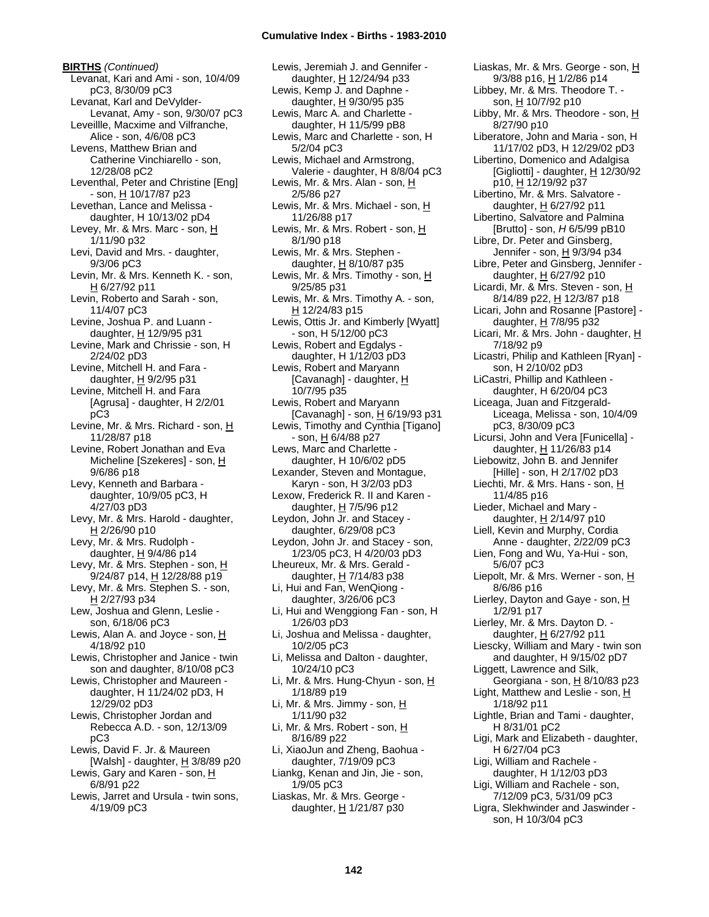**BIRTHS** *(Continued)* Levanat, Kari and Ami - son, 10/4/09 pC3, 8/30/09 pC3 Levanat, Karl and DeVylder-Levanat, Amy - son, 9/30/07 pC3 Leveillle, Macxime and Vilfranche, Alice - son, 4/6/08 pC3 Levens, Matthew Brian and Catherine Vinchiarello - son, 12/28/08 pC2 Leventhal, Peter and Christine [Eng] - son, H 10/17/87 p23 Levethan, Lance and Melissa daughter, H 10/13/02 pD4 Levey, Mr. & Mrs. Marc - son, H 1/11/90 p32 Levi, David and Mrs. - daughter, 9/3/06 pC3 Levin, Mr. & Mrs. Kenneth K. - son, H 6/27/92 p11 Levin, Roberto and Sarah - son, 11/4/07 pC3 Levine, Joshua P. and Luann daughter, H 12/9/95 p31 Levine, Mark and Chrissie - son, H 2/24/02 pD3 Levine, Mitchell H. and Fara daughter,  $H$  9/2/95 p31 Levine, Mitchell H. and Fara [Agrusa] - daughter, H 2/2/01 pC3 Levine, Mr. & Mrs. Richard - son, H 11/28/87 p18 Levine, Robert Jonathan and Eva Micheline [Szekeres] - son, H 9/6/86 p18 Levy, Kenneth and Barbara daughter, 10/9/05 pC3, H 4/27/03 pD3 Levy, Mr. & Mrs. Harold - daughter, H 2/26/90 p10 Levy, Mr. & Mrs. Rudolph daughter, H 9/4/86 p14 Levy, Mr. & Mrs. Stephen - son, H 9/24/87 p14, <u>H</u> 12/28/88 p19 Levy, Mr. & Mrs. Stephen S. - son, H 2/27/93 p34 Lew, Joshua and Glenn, Leslie son, 6/18/06 pC3 Lewis, Alan A. and Joyce - son, H 4/18/92 p10 Lewis, Christopher and Janice - twin son and daughter, 8/10/08 pC3 Lewis, Christopher and Maureen daughter, H 11/24/02 pD3, H 12/29/02 pD3 Lewis, Christopher Jordan and Rebecca A.D. - son, 12/13/09 pC3 Lewis, David F. Jr. & Maureen [Walsh] - daughter, H 3/8/89 p20 Lewis, Gary and Karen - son, H 6/8/91 p22 Lewis, Jarret and Ursula - twin sons,

4/19/09 pC3

Lewis, Jeremiah J. and Gennifer daughter, H 12/24/94 p33 Lewis, Kemp J. and Daphne daughter, H 9/30/95 p35 Lewis, Marc A. and Charlette daughter, H 11/5/99 pB8 Lewis, Marc and Charlette - son, H 5/2/04 pC3 Lewis, Michael and Armstrong, Valerie - daughter, H 8/8/04 pC3 Lewis, Mr. & Mrs. Alan - son, H 2/5/86 p27 Lewis, Mr. & Mrs. Michael - son, H 11/26/88 p17 Lewis, Mr. & Mrs. Robert - son, H 8/1/90 p18 Lewis, Mr. & Mrs. Stephen daughter,  $H$  8/10/87 p35 Lewis, Mr. & Mrs. Timothy - son, H 9/25/85 p31 Lewis, Mr. & Mrs. Timothy A. - son, H 12/24/83 p15 Lewis, Ottis Jr. and Kimberly [Wyatt] - son, H 5/12/00 pC3 Lewis, Robert and Egdalys daughter, H 1/12/03 pD3 Lewis, Robert and Maryann [Cavanagh] - daughter,  $H$ 10/7/95 p35 Lewis, Robert and Maryann [Cavanagh] - son, H 6/19/93 p31 Lewis, Timothy and Cynthia [Tigano]  $-$  son,  $\underline{H}$  6/4/88 p27 Lews, Marc and Charlette daughter, H 10/6/02 pD5 Lexander, Steven and Montague, Karyn - son, H 3/2/03 pD3 Lexow, Frederick R. II and Karen daughter, H 7/5/96 p12 Leydon, John Jr. and Stacey daughter, 6/29/08 pC3 Leydon, John Jr. and Stacey - son, 1/23/05 pC3, H 4/20/03 pD3 Lheureux, Mr. & Mrs. Gerald daughter,  $H$  7/14/83 p38 Li, Hui and Fan, WenQiong daughter, 3/26/06 pC3 Li, Hui and Wenggiong Fan - son, H 1/26/03 pD3 Li, Joshua and Melissa - daughter, 10/2/05 pC3 Li, Melissa and Dalton - daughter, 10/24/10 pC3 Li, Mr. & Mrs. Hung-Chyun - son,  $H$ 1/18/89 p19 Li, Mr. & Mrs. Jimmy - son, H 1/11/90 p32 Li, Mr. & Mrs. Robert - son, H 8/16/89 p22 Li, XiaoJun and Zheng, Baohua daughter, 7/19/09 pC3 Liankg, Kenan and Jin, Jie - son, 1/9/05 pC3 Liaskas, Mr. & Mrs. George daughter,  $H$  1/21/87 p30

Liaskas, Mr. & Mrs. George - son, H 9/3/88 p16, H 1/2/86 p14 Libbey, Mr. & Mrs. Theodore T. son,  $H = 10/7/92$  p10 Libby, Mr. & Mrs. Theodore - son,  $H$ 8/27/90 p10 Liberatore, John and Maria - son, H 11/17/02 pD3, H 12/29/02 pD3 Libertino, Domenico and Adalgisa [Gigliotti] - daughter,  $H$  12/30/92 p10, H 12/19/92 p37 Libertino, Mr. & Mrs. Salvatore daughter, H 6/27/92 p11 Libertino, Salvatore and Palmina [Brutto] - son, *H* 6/5/99 pB10 Libre, Dr. Peter and Ginsberg, Jennifer - son, H 9/3/94 p34 Libre, Peter and Ginsberg, Jennifer daughter,  $H$  6/27/92 p10 Licardi, Mr. & Mrs. Steven - son, H 8/14/89 p22, H 12/3/87 p18 Licari, John and Rosanne [Pastore] daughter, H 7/8/95 p32 Licari, Mr. & Mrs. John - daughter, H 7/18/92 p9 Licastri, Philip and Kathleen [Ryan] son, H 2/10/02 pD3 LiCastri, Phillip and Kathleen daughter, H 6/20/04 pC3 Liceaga, Juan and Fitzgerald-Liceaga, Melissa - son, 10/4/09 pC3, 8/30/09 pC3 Licursi, John and Vera [Funicella] daughter, H 11/26/83 p14 Liebowitz, John B. and Jennifer [Hille] - son, H 2/17/02 pD3 Liechti, Mr. & Mrs. Hans - son, H 11/4/85 p16 Lieder, Michael and Mary daughter, H 2/14/97 p10 Liell, Kevin and Murphy, Cordia Anne - daughter, 2/22/09 pC3 Lien, Fong and Wu, Ya-Hui - son, 5/6/07 pC3 Liepolt, Mr. & Mrs. Werner - son, H 8/6/86 p16 Lierley, Dayton and Gaye - son,  $\underline{H}$ 1/2/91 p17 Lierley, Mr. & Mrs. Dayton D. daughter, H 6/27/92 p11 Liescky, William and Mary - twin son and daughter, H 9/15/02 pD7 Liggett, Lawrence and Silk, Georgiana - son,  $H$  8/10/83 p23 Light, Matthew and Leslie - son,  $H$ 1/18/92 p11 Lightle, Brian and Tami - daughter, H 8/31/01 pC2 Ligi, Mark and Elizabeth - daughter, H 6/27/04 pC3 Ligi, William and Rachele daughter, H 1/12/03 pD3 Ligi, William and Rachele - son, 7/12/09 pC3, 5/31/09 pC3 Ligra, Slekhwinder and Jaswinder son, H 10/3/04 pC3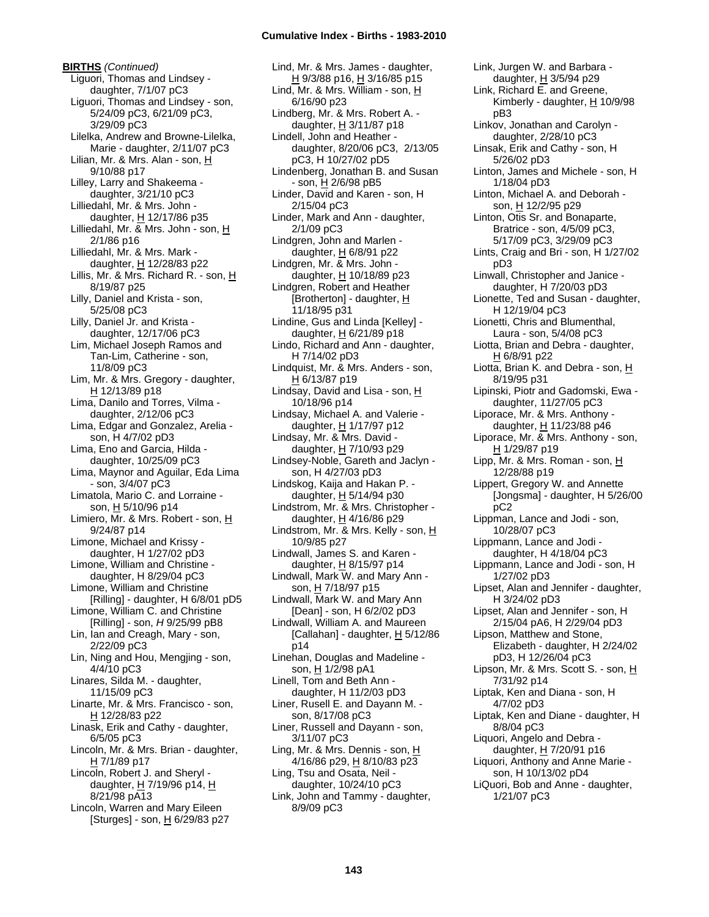**BIRTHS** *(Continued)* Liguori, Thomas and Lindsey daughter, 7/1/07 pC3 Liguori, Thomas and Lindsey - son, 5/24/09 pC3, 6/21/09 pC3, 3/29/09 pC3 Lilelka, Andrew and Browne-Lilelka, Marie - daughter, 2/11/07 pC3 Lilian, Mr. & Mrs. Alan - son, H 9/10/88 p17 Lilley, Larry and Shakeema daughter, 3/21/10 pC3 Lilliedahl, Mr. & Mrs. John daughter, H 12/17/86 p35 Lilliedahl, Mr. & Mrs. John - son, H 2/1/86 p16 Lilliedahl, Mr. & Mrs. Mark daughter, H 12/28/83 p22 Lillis, Mr. & Mrs. Richard R. - son, H 8/19/87 p25 Lilly, Daniel and Krista - son, 5/25/08 pC3 Lilly, Daniel Jr. and Krista daughter, 12/17/06 pC3 Lim, Michael Joseph Ramos and Tan-Lim, Catherine - son, 11/8/09 pC3 Lim, Mr. & Mrs. Gregory - daughter,  $H$  12/13/89 p18 Lima, Danilo and Torres, Vilma daughter, 2/12/06 pC3 Lima, Edgar and Gonzalez, Arelia son, H 4/7/02 pD3 Lima, Eno and Garcia, Hilda daughter, 10/25/09 pC3 Lima, Maynor and Aguilar, Eda Lima - son, 3/4/07 pC3 Limatola, Mario C. and Lorraine son, H 5/10/96 p14 Limiero, Mr. & Mrs. Robert - son, H 9/24/87 p14 Limone, Michael and Krissy daughter, H 1/27/02 pD3 Limone, William and Christine daughter, H 8/29/04 pC3 Limone, William and Christine [Rilling] - daughter, H 6/8/01 pD5 Limone, William C. and Christine [Rilling] - son, *H* 9/25/99 pB8 Lin, Ian and Creagh, Mary - son, 2/22/09 pC3 Lin, Ning and Hou, Mengjing - son, 4/4/10 pC3 Linares, Silda M. - daughter, 11/15/09 pC3 Linarte, Mr. & Mrs. Francisco - son, H 12/28/83 p22 Linask, Erik and Cathy - daughter, 6/5/05 pC3 Lincoln, Mr. & Mrs. Brian - daughter,  $H$  7/1/89 p17 Lincoln, Robert J. and Sheryl daughter, H 7/19/96 p14, H 8/21/98 pA13 Lincoln, Warren and Mary Eileen [Sturges] - son,  $\underline{H}$  6/29/83 p27

Lind, Mr. & Mrs. James - daughter, H 9/3/88 p16, H 3/16/85 p15 Lind, Mr. & Mrs. William - son,  $H$ 6/16/90 p23 Lindberg, Mr. & Mrs. Robert A. daughter, H 3/11/87 p18 Lindell, John and Heather daughter, 8/20/06 pC3, 2/13/05 pC3, H 10/27/02 pD5 Lindenberg, Jonathan B. and Susan - son, H 2/6/98 pB5 Linder, David and Karen - son, H 2/15/04 pC3 Linder, Mark and Ann - daughter, 2/1/09 pC3 Lindgren, John and Marlen daughter, H 6/8/91 p22 Lindgren, Mr. & Mrs. John daughter,  $H$  10/18/89 p23 Lindgren, Robert and Heather [Brotherton] - daughter, H 11/18/95 p31 Lindine, Gus and Linda [Kelley] daughter, H 6/21/89 p18 Lindo, Richard and Ann - daughter, H 7/14/02 pD3 Lindquist, Mr. & Mrs. Anders - son, H 6/13/87 p19 Lindsay, David and Lisa - son, H 10/18/96 p14 Lindsay, Michael A. and Valerie daughter, H 1/17/97 p12 Lindsay, Mr. & Mrs. David daughter, H 7/10/93 p29 Lindsey-Noble, Gareth and Jaclyn son, H 4/27/03 pD3 Lindskog, Kaija and Hakan P. daughter, H 5/14/94 p30 Lindstrom, Mr. & Mrs. Christopher daughter,  $H$  4/16/86 p29 Lindstrom, Mr. & Mrs. Kelly - son, H 10/9/85 p27 Lindwall, James S. and Karen daughter, H 8/15/97 p14 Lindwall, Mark W. and Mary Ann son, H 7/18/97 p15 Lindwall, Mark W. and Mary Ann [Dean] - son, H 6/2/02 pD3 Lindwall, William A. and Maureen [Callahan] - daughter,  $H$  5/12/86 p14 Linehan, Douglas and Madeline son, H 1/2/98 pA1 Linell, Tom and Beth Ann daughter, H 11/2/03 pD3 Liner, Rusell E. and Dayann M. son, 8/17/08 pC3 Liner, Russell and Dayann - son, 3/11/07 pC3 Ling, Mr. & Mrs. Dennis - son, H 4/16/86 p29, H 8/10/83 p23 Ling, Tsu and Osata, Neil daughter, 10/24/10 pC3 Link, John and Tammy - daughter, 8/9/09 pC3

Link, Jurgen W. and Barbara daughter, H 3/5/94 p29 Link, Richard E. and Greene, Kimberly - daughter,  $H$  10/9/98 pB3 Linkov, Jonathan and Carolyn daughter, 2/28/10 pC3 Linsak, Erik and Cathy - son, H 5/26/02 pD3 Linton, James and Michele - son, H 1/18/04 pD3 Linton, Michael A. and Deborah son, H 12/2/95 p29 Linton, Otis Sr. and Bonaparte, Bratrice - son, 4/5/09 pC3, 5/17/09 pC3, 3/29/09 pC3 Lints, Craig and Bri - son, H 1/27/02 pD3 Linwall, Christopher and Janice daughter, H 7/20/03 pD3 Lionette, Ted and Susan - daughter, H 12/19/04 pC3 Lionetti, Chris and Blumenthal, Laura - son, 5/4/08 pC3 Liotta, Brian and Debra - daughter, H 6/8/91 p22 Liotta, Brian K. and Debra - son, H 8/19/95 p31 Lipinski, Piotr and Gadomski, Ewa daughter, 11/27/05 pC3 Liporace, Mr. & Mrs. Anthony daughter, H 11/23/88 p46 Liporace, Mr. & Mrs. Anthony - son, H 1/29/87 p19 Lipp, Mr. & Mrs. Roman - son, H 12/28/88 p19 Lippert, Gregory W. and Annette [Jongsma] - daughter, H 5/26/00 pC2 Lippman, Lance and Jodi - son, 10/28/07 pC3 Lippmann, Lance and Jodi daughter, H 4/18/04 pC3 Lippmann, Lance and Jodi - son, H 1/27/02 pD3 Lipset, Alan and Jennifer - daughter, H 3/24/02 pD3 Lipset, Alan and Jennifer - son, H 2/15/04 pA6, H 2/29/04 pD3 Lipson, Matthew and Stone, Elizabeth - daughter, H 2/24/02 pD3, H 12/26/04 pC3 Lipson, Mr. & Mrs. Scott S. - son, H 7/31/92 p14 Liptak, Ken and Diana - son, H 4/7/02 pD3 Liptak, Ken and Diane - daughter, H 8/8/04 pC3 Liquori, Angelo and Debra daughter, H 7/20/91 p16 Liquori, Anthony and Anne Marie son, H 10/13/02 pD4 LiQuori, Bob and Anne - daughter, 1/21/07 pC3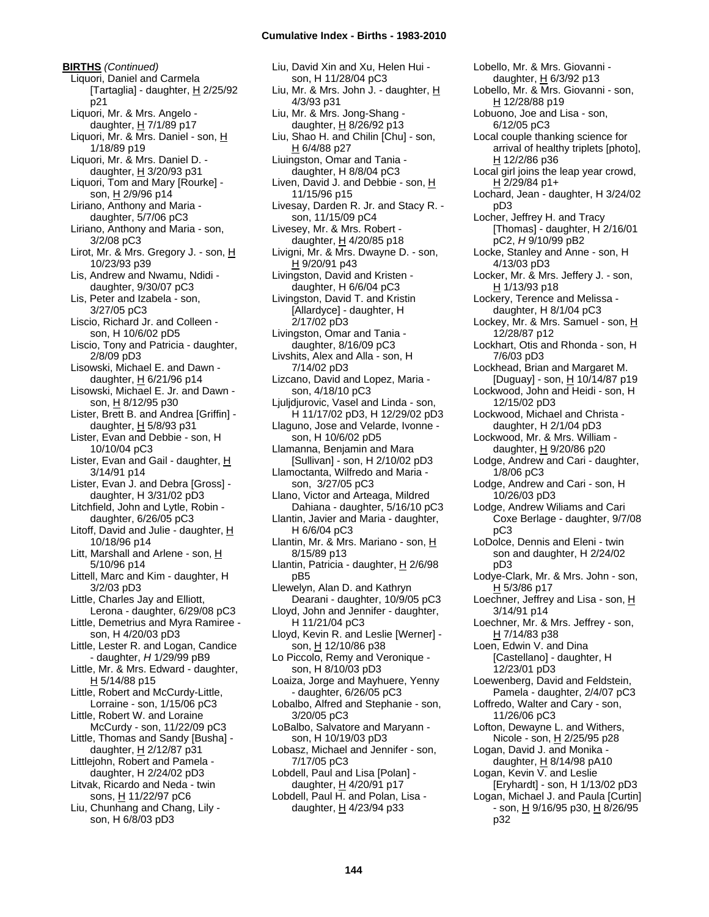**BIRTHS** *(Continued)* Liquori, Daniel and Carmela [Tartaglia] - daughter,  $H$  2/25/92 p21 Liquori, Mr. & Mrs. Angelo daughter, H 7/1/89 p17 Liquori, Mr. & Mrs. Daniel - son, H 1/18/89 p19 Liquori, Mr. & Mrs. Daniel D. daughter,  $H$  3/20/93 p31 Liquori, Tom and Mary [Rourke] son, H 2/9/96 p14 Liriano, Anthony and Maria daughter, 5/7/06 pC3 Liriano, Anthony and Maria - son, 3/2/08 pC3 Lirot, Mr. & Mrs. Gregory J. - son, H 10/23/93 p39 Lis, Andrew and Nwamu, Ndidi daughter, 9/30/07 pC3 Lis, Peter and Izabela - son, 3/27/05 pC3 Liscio, Richard Jr. and Colleen son, H 10/6/02 pD5 Liscio, Tony and Patricia - daughter, 2/8/09 pD3 Lisowski, Michael E. and Dawn daughter,  $\underline{H}$  6/21/96 p14 Lisowski, Michael E. Jr. and Dawn son, H 8/12/95 p30 Lister, Brett B. and Andrea [Griffin] daughter,  $H$  5/8/93 p31 Lister, Evan and Debbie - son, H 10/10/04 pC3 Lister, Evan and Gail - daughter, H 3/14/91 p14 Lister, Evan J. and Debra [Gross] daughter, H 3/31/02 pD3 Litchfield, John and Lytle, Robin daughter, 6/26/05 pC3 Litoff, David and Julie - daughter, H 10/18/96 p14 Litt, Marshall and Arlene - son, H 5/10/96 p14 Littell, Marc and Kim - daughter, H 3/2/03 pD3 Little, Charles Jay and Elliott, Lerona - daughter, 6/29/08 pC3 Little, Demetrius and Myra Ramiree son, H 4/20/03 pD3 Little, Lester R. and Logan, Candice - daughter, *H* 1/29/99 pB9 Little, Mr. & Mrs. Edward - daughter, H 5/14/88 p15 Little, Robert and McCurdy-Little, Lorraine - son, 1/15/06 pC3 Little, Robert W. and Loraine McCurdy - son, 11/22/09 pC3 Little, Thomas and Sandy [Busha] daughter, H 2/12/87 p31 Littlejohn, Robert and Pamela daughter, H 2/24/02 pD3 Litvak, Ricardo and Neda - twin sons, H 11/22/97 pC6 Liu, Chunhang and Chang, Lily son, H 6/8/03 pD3

Liu, David Xin and Xu, Helen Hui son, H 11/28/04 pC3 Liu, Mr. & Mrs. John J. - daughter, H 4/3/93 p31 Liu, Mr. & Mrs. Jong-Shang daughter, H 8/26/92 p13 Liu, Shao H. and Chilin [Chu] - son, H 6/4/88 p27 Liuingston, Omar and Tania daughter, H 8/8/04 pC3 Liven, David J. and Debbie - son, H 11/15/96 p15 Livesay, Darden R. Jr. and Stacy R. son, 11/15/09 pC4 Livesey, Mr. & Mrs. Robert daughter,  $H$  4/20/85 p18 Livigni, Mr. & Mrs. Dwayne D. - son, H 9/20/91 p43 Livingston, David and Kristen daughter, H 6/6/04 pC3 Livingston, David T. and Kristin [Allardyce] - daughter, H 2/17/02 pD3 Livingston, Omar and Tania daughter, 8/16/09 pC3 Livshits, Alex and Alla - son, H 7/14/02 pD3 Lizcano, David and Lopez, Maria son, 4/18/10 pC3 Ljuljdjurovic, Vasel and Linda - son, H 11/17/02 pD3, H 12/29/02 pD3 Llaguno, Jose and Velarde, Ivonne son, H 10/6/02 pD5 Llamanna, Benjamin and Mara [Sullivan] - son, H 2/10/02 pD3 Llamoctanta, Wilfredo and Maria son, 3/27/05 pC3 Llano, Victor and Arteaga, Mildred Dahiana - daughter, 5/16/10 pC3 Llantin, Javier and Maria - daughter, H 6/6/04 pC3 Llantin, Mr. & Mrs. Mariano - son, H 8/15/89 p13 Llantin, Patricia - daughter, H 2/6/98 pB5 Llewelyn, Alan D. and Kathryn Dearani - daughter, 10/9/05 pC3 Lloyd, John and Jennifer - daughter, H 11/21/04 pC3 Lloyd, Kevin R. and Leslie [Werner] son, H 12/10/86 p38 Lo Piccolo, Remy and Veronique son, H 8/10/03 pD3 Loaiza, Jorge and Mayhuere, Yenny - daughter, 6/26/05 pC3 Lobalbo, Alfred and Stephanie - son, 3/20/05 pC3 LoBalbo, Salvatore and Maryann son, H 10/19/03 pD3 Lobasz, Michael and Jennifer - son, 7/17/05 pC3 Lobdell, Paul and Lisa [Polan] daughter, H 4/20/91 p17 Lobdell, Paul H. and Polan, Lisa daughter,  $\underline{H}$  4/23/94 p33

Lobello, Mr. & Mrs. Giovanni daughter, H 6/3/92 p13 Lobello, Mr. & Mrs. Giovanni - son, H 12/28/88 p19 Lobuono, Joe and Lisa - son, 6/12/05 pC3 Local couple thanking science for arrival of healthy triplets [photo], H 12/2/86 p36 Local girl joins the leap year crowd, H 2/29/84 p1+ Lochard, Jean - daughter, H 3/24/02 pD3 Locher, Jeffrey H. and Tracy [Thomas] - daughter, H 2/16/01 pC2, *H* 9/10/99 pB2 Locke, Stanley and Anne - son, H 4/13/03 pD3 Locker, Mr. & Mrs. Jeffery J. - son, H 1/13/93 p18 Lockery, Terence and Melissa daughter, H 8/1/04 pC3 Lockey, Mr. & Mrs. Samuel - son, H 12/28/87 p12 Lockhart, Otis and Rhonda - son, H 7/6/03 pD3 Lockhead, Brian and Margaret M. [Duguay] - son, H 10/14/87 p19 Lockwood, John and Heidi - son, H 12/15/02 pD3 Lockwood, Michael and Christa daughter, H 2/1/04 pD3 Lockwood, Mr. & Mrs. William daughter, H 9/20/86 p20 Lodge, Andrew and Cari - daughter, 1/8/06 pC3 Lodge, Andrew and Cari - son, H 10/26/03 pD3 Lodge, Andrew Wiliams and Cari Coxe Berlage - daughter, 9/7/08 pC3 LoDolce, Dennis and Eleni - twin son and daughter, H 2/24/02 pD3 Lodye-Clark, Mr. & Mrs. John - son, H 5/3/86 p17 Loechner, Jeffrey and Lisa - son,  $\underline{\mathsf{H}}$ 3/14/91 p14 Loechner, Mr. & Mrs. Jeffrey - son, H 7/14/83 p38 Loen, Edwin V. and Dina [Castellano] - daughter, H 12/23/01 pD3 Loewenberg, David and Feldstein, Pamela - daughter, 2/4/07 pC3 Loffredo, Walter and Cary - son, 11/26/06 pC3 Lofton, Dewayne L. and Withers, Nicole - son, H 2/25/95 p28 Logan, David J. and Monika daughter,  $H$  8/14/98 pA10 Logan, Kevin V. and Leslie [Eryhardt] - son, H 1/13/02 pD3 Logan, Michael J. and Paula [Curtin] - son, H 9/16/95 p30, H 8/26/95 p32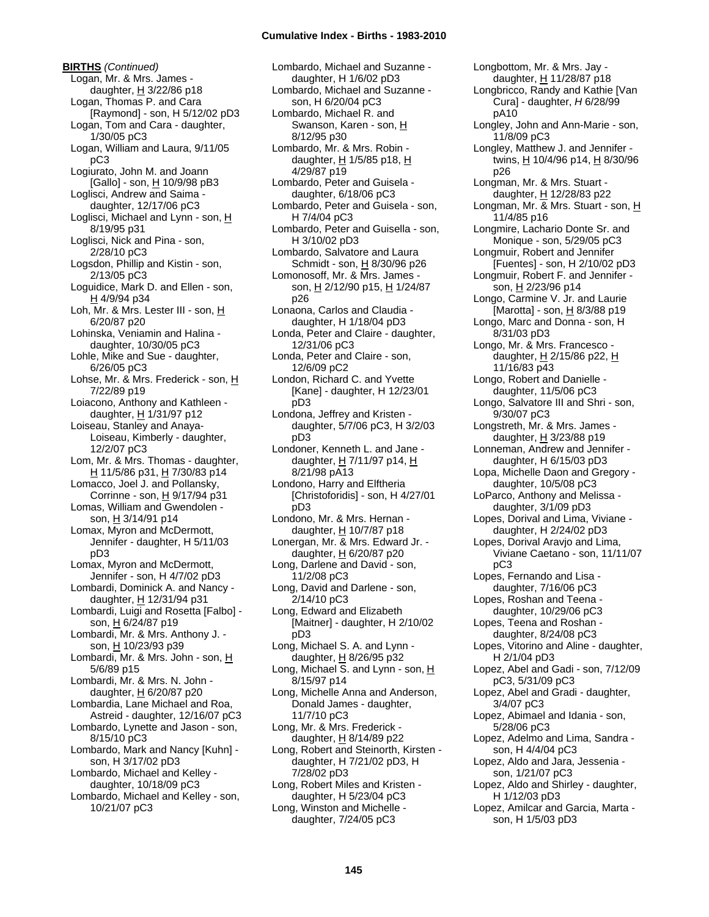**BIRTHS** *(Continued)* Logan, Mr. & Mrs. James daughter,  $H$  3/22/86 p18 Logan, Thomas P. and Cara [Raymond] - son, H 5/12/02 pD3 Logan, Tom and Cara - daughter, 1/30/05 pC3 Logan, William and Laura, 9/11/05 pC3 Logiurato, John M. and Joann [Gallo] - son, H 10/9/98 pB3 Loglisci, Andrew and Saima daughter, 12/17/06 pC3 Loglisci, Michael and Lynn - son, H 8/19/95 p31 Loglisci, Nick and Pina - son, 2/28/10 pC3 Logsdon, Phillip and Kistin - son, 2/13/05 pC3 Loguidice, Mark D. and Ellen - son, H 4/9/94 p34 Loh, Mr. & Mrs. Lester III - son, H 6/20/87 p20 Lohinska, Veniamin and Halina daughter, 10/30/05 pC3 Lohle, Mike and Sue - daughter, 6/26/05 pC3 Lohse, Mr. & Mrs. Frederick - son, H 7/22/89 p19 Loiacono, Anthony and Kathleen daughter,  $H$  1/31/97 p12 Loiseau, Stanley and Anaya-Loiseau, Kimberly - daughter, 12/2/07 pC3 Lom, Mr. & Mrs. Thomas - daughter, H 11/5/86 p31, H 7/30/83 p14 Lomacco, Joel J. and Pollansky, Corrinne - son, H 9/17/94 p31 Lomas, William and Gwendolen son, H 3/14/91 p14 Lomax, Myron and McDermott, Jennifer - daughter, H 5/11/03 pD3 Lomax, Myron and McDermott, Jennifer - son, H 4/7/02 pD3 Lombardi, Dominick A. and Nancy daughter, H 12/31/94 p31 Lombardi, Luigi and Rosetta [Falbo] son, H 6/24/87 p19 Lombardi, Mr. & Mrs. Anthony J. son, H 10/23/93 p39 Lombardi, Mr. & Mrs. John - son, H 5/6/89 p15 Lombardi, Mr. & Mrs. N. John daughter,  $H$  6/20/87 p20 Lombardia, Lane Michael and Roa, Astreid - daughter, 12/16/07 pC3 Lombardo, Lynette and Jason - son, 8/15/10 pC3 Lombardo, Mark and Nancy [Kuhn] son, H 3/17/02 pD3 Lombardo, Michael and Kelley daughter, 10/18/09 pC3 Lombardo, Michael and Kelley - son, 10/21/07 pC3

Lombardo, Michael and Suzanne daughter, H 1/6/02 pD3 Lombardo, Michael and Suzanne son, H 6/20/04 pC3 Lombardo, Michael R. and Swanson, Karen - son, H 8/12/95 p30 Lombardo, Mr. & Mrs. Robin daughter,  $H$  1/5/85 p18,  $H$ 4/29/87 p19 Lombardo, Peter and Guisela daughter, 6/18/06 pC3 Lombardo, Peter and Guisela - son, H 7/4/04 pC3 Lombardo, Peter and Guisella - son, H 3/10/02 pD3 Lombardo, Salvatore and Laura Schmidt - son, H 8/30/96 p26 Lomonosoff, Mr. & Mrs. James son, H 2/12/90 p15, H 1/24/87 p26 Lonaona, Carlos and Claudia daughter, H 1/18/04 pD3 Londa, Peter and Claire - daughter, 12/31/06 pC3 Londa, Peter and Claire - son, 12/6/09 pC2 London, Richard C. and Yvette [Kane] - daughter, H 12/23/01 pD3 Londona, Jeffrey and Kristen daughter, 5/7/06 pC3, H 3/2/03 pD3 Londoner, Kenneth L. and Jane daughter, H 7/11/97 p14, H 8/21/98 pA13 Londono, Harry and Elftheria [Christoforidis] - son, H 4/27/01 pD3 Londono, Mr. & Mrs. Hernan daughter, H 10/7/87 p18 Lonergan, Mr. & Mrs. Edward Jr. daughter, H 6/20/87 p20 Long, Darlene and David - son, 11/2/08 pC3 Long, David and Darlene - son, 2/14/10 pC3 Long, Edward and Elizabeth [Maitner] - daughter, H 2/10/02 pD3 Long, Michael S. A. and Lynn daughter,  $H$  8/26/95 p32 Long, Michael S. and Lynn - son,  $H$ 8/15/97 p14 Long, Michelle Anna and Anderson, Donald James - daughter, 11/7/10 pC3 Long, Mr. & Mrs. Frederick daughter, H 8/14/89 p22 Long, Robert and Steinorth, Kirsten daughter, H 7/21/02 pD3, H 7/28/02 pD3 Long, Robert Miles and Kristen daughter, H 5/23/04 pC3 Long, Winston and Michelle daughter, 7/24/05 pC3

Longbottom, Mr. & Mrs. Jay daughter, H 11/28/87 p18 Longbricco, Randy and Kathie [Van Cura] - daughter, *H* 6/28/99 pA10 Longley, John and Ann-Marie - son, 11/8/09 pC3 Longley, Matthew J. and Jennifer twins, H 10/4/96 p14, H 8/30/96 p26 Longman, Mr. & Mrs. Stuart daughter, H 12/28/83 p22 Longman, Mr. & Mrs. Stuart - son, H 11/4/85 p16 Longmire, Lachario Donte Sr. and Monique - son, 5/29/05 pC3 Longmuir, Robert and Jennifer [Fuentes] - son, H 2/10/02 pD3 Longmuir, Robert F. and Jennifer son, H 2/23/96 p14 Longo, Carmine V. Jr. and Laurie [Marotta] - son,  $H$  8/3/88 p19 Longo, Marc and Donna - son, H 8/31/03 pD3 Longo, Mr. & Mrs. Francesco daughter, H 2/15/86 p22, H 11/16/83 p43 Longo, Robert and Danielle daughter, 11/5/06 pC3 Longo, Salvatore III and Shri - son, 9/30/07 pC3 Longstreth, Mr. & Mrs. James daughter,  $H$  3/23/88 p19 Lonneman, Andrew and Jennifer daughter, H 6/15/03 pD3 Lopa, Michelle Daon and Gregory daughter, 10/5/08 pC3 LoParco, Anthony and Melissa daughter, 3/1/09 pD3 Lopes, Dorival and Lima, Viviane daughter, H 2/24/02 pD3 Lopes, Dorival Aravjo and Lima, Viviane Caetano - son, 11/11/07 pC3 Lopes, Fernando and Lisa daughter, 7/16/06 pC3 Lopes, Roshan and Teena daughter, 10/29/06 pC3 Lopes, Teena and Roshan daughter, 8/24/08 pC3 Lopes, Vitorino and Aline - daughter, H 2/1/04 pD3 Lopez, Abel and Gadi - son, 7/12/09 pC3, 5/31/09 pC3 Lopez, Abel and Gradi - daughter, 3/4/07 pC3 Lopez, Abimael and Idania - son, 5/28/06 pC3 Lopez, Adelmo and Lima, Sandra son, H 4/4/04 pC3 Lopez, Aldo and Jara, Jessenia son, 1/21/07 pC3 Lopez, Aldo and Shirley - daughter, H 1/12/03 pD3 Lopez, Amilcar and Garcia, Marta son, H 1/5/03 pD3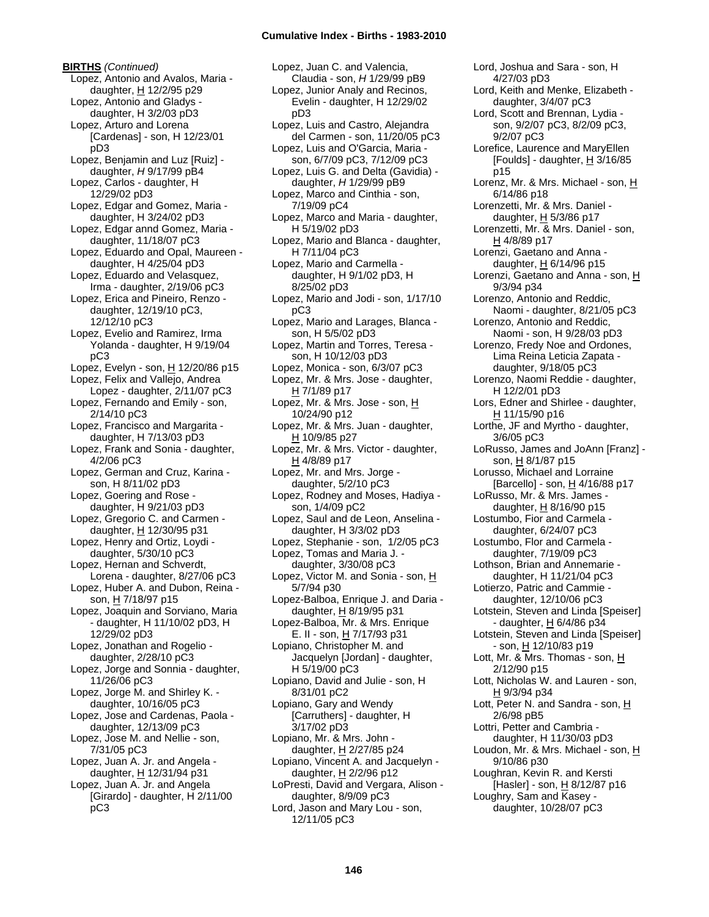**BIRTHS** *(Continued)* Lopez, Antonio and Avalos, Maria daughter, H 12/2/95 p29 Lopez, Antonio and Gladys daughter, H 3/2/03 pD3 Lopez, Arturo and Lorena [Cardenas] - son, H 12/23/01 pD3 Lopez, Benjamin and Luz [Ruiz] daughter, *H* 9/17/99 pB4 Lopez, Carlos - daughter, H 12/29/02 pD3 Lopez, Edgar and Gomez, Maria daughter, H 3/24/02 pD3 Lopez, Edgar annd Gomez, Maria daughter, 11/18/07 pC3 Lopez, Eduardo and Opal, Maureen daughter, H 4/25/04 pD3 Lopez, Eduardo and Velasquez, Irma - daughter, 2/19/06 pC3 Lopez, Erica and Pineiro, Renzo daughter, 12/19/10 pC3, 12/12/10 pC3 Lopez, Evelio and Ramirez, Irma Yolanda - daughter, H 9/19/04 pC3 Lopez, Evelyn - son, H 12/20/86 p15 Lopez, Felix and Vallejo, Andrea Lopez - daughter, 2/11/07 pC3 Lopez, Fernando and Emily - son, 2/14/10 pC3 Lopez, Francisco and Margarita daughter, H 7/13/03 pD3 Lopez, Frank and Sonia - daughter, 4/2/06 pC3 Lopez, German and Cruz, Karina son, H 8/11/02 pD3 Lopez, Goering and Rose daughter, H 9/21/03 pD3 Lopez, Gregorio C. and Carmen daughter, H 12/30/95 p31 Lopez, Henry and Ortiz, Loydi daughter, 5/30/10 pC3 Lopez, Hernan and Schverdt, Lorena - daughter, 8/27/06 pC3 Lopez, Huber A. and Dubon, Reina son, H 7/18/97 p15 Lopez, Joaquin and Sorviano, Maria - daughter, H 11/10/02 pD3, H 12/29/02 pD3 Lopez, Jonathan and Rogelio daughter, 2/28/10 pC3 Lopez, Jorge and Sonnia - daughter, 11/26/06 pC3 Lopez, Jorge M. and Shirley K. daughter, 10/16/05 pC3 Lopez, Jose and Cardenas, Paola daughter, 12/13/09 pC3 Lopez, Jose M. and Nellie - son, 7/31/05 pC3 Lopez, Juan A. Jr. and Angela daughter, H 12/31/94 p31 Lopez, Juan A. Jr. and Angela [Girardo] - daughter, H 2/11/00 pC3

Lopez, Juan C. and Valencia, Claudia - son, *H* 1/29/99 pB9 Lopez, Junior Analy and Recinos, Evelin - daughter, H 12/29/02 pD3 Lopez, Luis and Castro, Alejandra del Carmen - son, 11/20/05 pC3 Lopez, Luis and O'Garcia, Maria son, 6/7/09 pC3, 7/12/09 pC3 Lopez, Luis G. and Delta (Gavidia) daughter, *H* 1/29/99 pB9 Lopez, Marco and Cinthia - son, 7/19/09 pC4 Lopez, Marco and Maria - daughter, H 5/19/02 pD3 Lopez, Mario and Blanca - daughter, H 7/11/04 pC3 Lopez, Mario and Carmella daughter, H 9/1/02 pD3, H 8/25/02 pD3 Lopez, Mario and Jodi - son, 1/17/10 pC3 Lopez, Mario and Larages, Blanca son, H 5/5/02 pD3 Lopez, Martin and Torres, Teresa son, H 10/12/03 pD3 Lopez, Monica - son, 6/3/07 pC3 Lopez, Mr. & Mrs. Jose - daughter, H 7/1/89 p17 Lopez, Mr. & Mrs. Jose - son, H 10/24/90 p12 Lopez, Mr. & Mrs. Juan - daughter, H 10/9/85 p27 Lopez, Mr. & Mrs. Victor - daughter, H 4/8/89 p17 Lopez, Mr. and Mrs. Jorge daughter, 5/2/10 pC3 Lopez, Rodney and Moses, Hadiya son, 1/4/09 pC2 Lopez, Saul and de Leon, Anselina daughter, H 3/3/02 pD3 Lopez, Stephanie - son, 1/2/05 pC3 Lopez, Tomas and Maria J. daughter, 3/30/08 pC3 Lopez, Victor M. and Sonia - son, H 5/7/94 p30 Lopez-Balboa, Enrique J. and Daria daughter, H 8/19/95 p31 Lopez-Balboa, Mr. & Mrs. Enrique E. II - son, H 7/17/93 p31 Lopiano, Christopher M. and Jacquelyn [Jordan] - daughter, H 5/19/00 pC3 Lopiano, David and Julie - son, H 8/31/01 pC2 Lopiano, Gary and Wendy [Carruthers] - daughter, H 3/17/02 pD3 Lopiano, Mr. & Mrs. John daughter, H 2/27/85 p24 Lopiano, Vincent A. and Jacquelyn daughter, H 2/2/96 p12 LoPresti, David and Vergara, Alison daughter, 8/9/09 pC3 Lord, Jason and Mary Lou - son, 12/11/05 pC3

4/27/03 pD3 Lord, Keith and Menke, Elizabeth daughter, 3/4/07 pC3 Lord, Scott and Brennan, Lydia son, 9/2/07 pC3, 8/2/09 pC3, 9/2/07 pC3 Lorefice, Laurence and MaryEllen [Foulds] - daughter,  $H$  3/16/85 p15 Lorenz, Mr. & Mrs. Michael - son, H 6/14/86 p18 Lorenzetti, Mr. & Mrs. Daniel daughter, H 5/3/86 p17 Lorenzetti, Mr. & Mrs. Daniel - son, H 4/8/89 p17 Lorenzi, Gaetano and Anna daughter,  $H$  6/14/96 p15 Lorenzi, Gaetano and Anna - son, H 9/3/94 p34 Lorenzo, Antonio and Reddic, Naomi - daughter, 8/21/05 pC3 Lorenzo, Antonio and Reddic, Naomi - son, H 9/28/03 pD3 Lorenzo, Fredy Noe and Ordones, Lima Reina Leticia Zapata daughter, 9/18/05 pC3 Lorenzo, Naomi Reddie - daughter, H 12/2/01 pD3 Lors, Edner and Shirlee - daughter,  $H$  11/15/90 p16 Lorthe, JF and Myrtho - daughter, 3/6/05 pC3 LoRusso, James and JoAnn [Franz] son, H 8/1/87 p15 Lorusso, Michael and Lorraine [Barcello] - son, H 4/16/88 p17 LoRusso, Mr. & Mrs. James daughter,  $H$  8/16/90 p15 Lostumbo, Fior and Carmela daughter, 6/24/07 pC3 Lostumbo, Flor and Carmela daughter, 7/19/09 pC3 Lothson, Brian and Annemarie daughter, H 11/21/04 pC3 Lotierzo, Patric and Cammie daughter, 12/10/06 pC3 Lotstein, Steven and Linda [Speiser] - daughter,  $H$  6/4/86 p34 Lotstein, Steven and Linda [Speiser] - son, H 12/10/83 p19 Lott, Mr. & Mrs. Thomas - son, H 2/12/90 p15 Lott, Nicholas W. and Lauren - son, H 9/3/94 p34 Lott, Peter N. and Sandra - son, H 2/6/98 pB5 Lottri, Petter and Cambria daughter, H 11/30/03 pD3 Loudon, Mr. & Mrs. Michael - son, H 9/10/86 p30 Loughran, Kevin R. and Kersti [Hasler] - son, H 8/12/87 p16 Loughry, Sam and Kasey daughter, 10/28/07 pC3

Lord, Joshua and Sara - son, H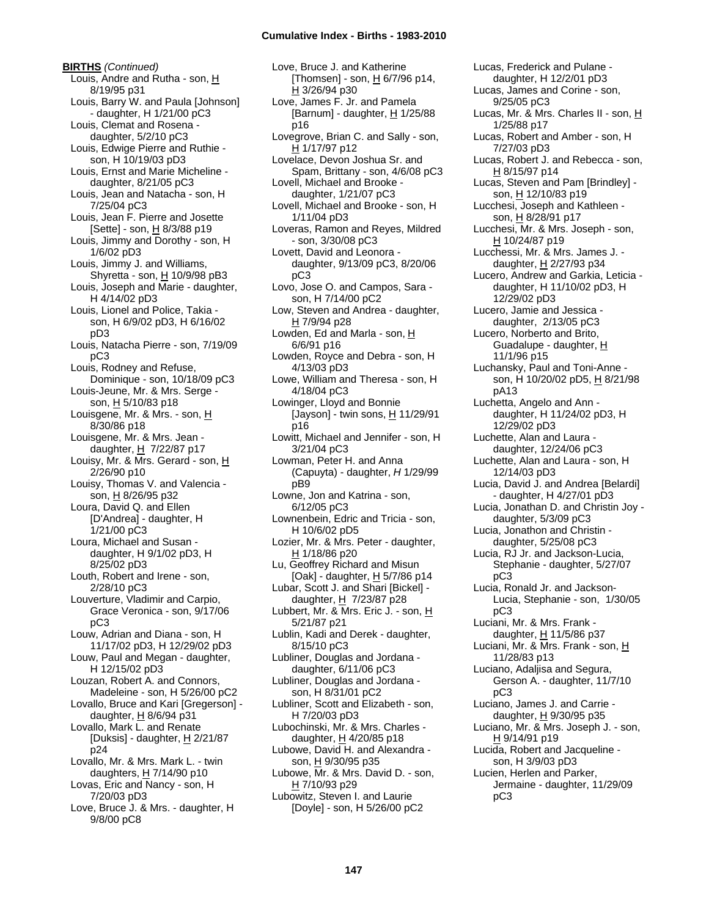# **Cumulative Index - Births - 1983-2010**

**BIRTHS** *(Continued)* Louis, Andre and Rutha - son, H 8/19/95 p31 Louis, Barry W. and Paula [Johnson] - daughter, H 1/21/00 pC3 Louis, Clemat and Rosena daughter, 5/2/10 pC3 Louis, Edwige Pierre and Ruthie son, H 10/19/03 pD3 Louis, Ernst and Marie Micheline daughter, 8/21/05 pC3 Louis, Jean and Natacha - son, H 7/25/04 pC3 Louis, Jean F. Pierre and Josette [Sette] - son, H 8/3/88 p19 Louis, Jimmy and Dorothy - son, H 1/6/02 pD3 Louis, Jimmy J. and Williams, Shyretta - son,  $H$  10/9/98 pB3 Louis, Joseph and Marie - daughter, H 4/14/02 pD3 Louis, Lionel and Police, Takia son, H 6/9/02 pD3, H 6/16/02 pD3 Louis, Natacha Pierre - son, 7/19/09 pC3 Louis, Rodney and Refuse, Dominique - son, 10/18/09 pC3 Louis-Jeune, Mr. & Mrs. Serge son, H 5/10/83 p18 Louisgene, Mr. & Mrs. - son, H 8/30/86 p18 Louisgene, Mr. & Mrs. Jean daughter, H 7/22/87 p17 Louisy, Mr. & Mrs. Gerard - son, H 2/26/90 p10 Louisy, Thomas V. and Valencia son, H 8/26/95 p32 Loura, David Q. and Ellen [D'Andrea] - daughter, H 1/21/00 pC3 Loura, Michael and Susan daughter, H 9/1/02 pD3, H 8/25/02 pD3 Louth, Robert and Irene - son, 2/28/10 pC3 Louverture, Vladimir and Carpio, Grace Veronica - son, 9/17/06 pC3 Louw, Adrian and Diana - son, H 11/17/02 pD3, H 12/29/02 pD3 Louw, Paul and Megan - daughter, H 12/15/02 pD3 Louzan, Robert A. and Connors, Madeleine - son, H 5/26/00 pC2 Lovallo, Bruce and Kari [Gregerson] daughter,  $H$  8/6/94 p31 Lovallo, Mark L. and Renate [Duksis] - daughter,  $H$  2/21/87 p24 Lovallo, Mr. & Mrs. Mark L. - twin daughters, H 7/14/90 p10 Lovas, Eric and Nancy - son, H 7/20/03 pD3 Love, Bruce J. & Mrs. - daughter, H 9/8/00 pC8

Love, Bruce J. and Katherine [Thomsen] - son, H 6/7/96 p14, H 3/26/94 p30 Love, James F. Jr. and Pamela [Barnum] - daughter, H 1/25/88 p16 Lovegrove, Brian C. and Sally - son, H 1/17/97 p12 Lovelace, Devon Joshua Sr. and Spam, Brittany - son, 4/6/08 pC3 Lovell, Michael and Brooke daughter, 1/21/07 pC3 Lovell, Michael and Brooke - son, H 1/11/04 pD3 Loveras, Ramon and Reyes, Mildred - son, 3/30/08 pC3 Lovett, David and Leonora daughter, 9/13/09 pC3, 8/20/06 pC3 Lovo, Jose O. and Campos, Sara son, H 7/14/00 pC2 Low, Steven and Andrea - daughter, H 7/9/94 p28 Lowden, Ed and Marla - son, H 6/6/91 p16 Lowden, Royce and Debra - son, H 4/13/03 pD3 Lowe, William and Theresa - son, H 4/18/04 pC3 Lowinger, Lloyd and Bonnie [Jayson] - twin sons,  $H$  11/29/91 p16 Lowitt, Michael and Jennifer - son, H 3/21/04 pC3 Lowman, Peter H. and Anna (Capuyta) - daughter, *H* 1/29/99 pB9 Lowne, Jon and Katrina - son, 6/12/05 pC3 Lownenbein, Edric and Tricia - son, H 10/6/02 pD5 Lozier, Mr. & Mrs. Peter - daughter, H 1/18/86 p20 Lu, Geoffrey Richard and Misun [Oak] - daughter,  $\underline{H}$  5/7/86 p14 Lubar, Scott J. and Shari [Bickel] daughter, H 7/23/87 p28 Lubbert, Mr. & Mrs. Eric J. - son, H 5/21/87 p21 Lublin, Kadi and Derek - daughter, 8/15/10 pC3 Lubliner, Douglas and Jordana daughter, 6/11/06 pC3 Lubliner, Douglas and Jordana son, H 8/31/01 pC2 Lubliner, Scott and Elizabeth - son, H 7/20/03 pD3 Lubochinski, Mr. & Mrs. Charles daughter, H 4/20/85 p18 Lubowe, David H. and Alexandra son, H 9/30/95 p35 Lubowe, Mr. & Mrs. David D. - son, H 7/10/93 p29 Lubowitz, Steven I. and Laurie [Doyle] - son, H 5/26/00 pC2

Lucas, Frederick and Pulane daughter, H 12/2/01 pD3 Lucas, James and Corine - son, 9/25/05 pC3 Lucas, Mr. & Mrs. Charles II - son, H 1/25/88 p17 Lucas, Robert and Amber - son, H 7/27/03 pD3 Lucas, Robert J. and Rebecca - son, H 8/15/97 p14 Lucas, Steven and Pam [Brindley] son, H 12/10/83 p19 Lucchesi, Joseph and Kathleen son, H 8/28/91 p17 Lucchesi, Mr. & Mrs. Joseph - son, H 10/24/87 p19 Lucchessi, Mr. & Mrs. James J. daughter, H 2/27/93 p34 Lucero, Andrew and Garkia, Leticia daughter, H 11/10/02 pD3, H 12/29/02 pD3 Lucero, Jamie and Jessica daughter, 2/13/05 pC3 Lucero, Norberto and Brito, Guadalupe - daughter, H 11/1/96 p15 Luchansky, Paul and Toni-Anne son, H 10/20/02 pD5, H 8/21/98 pA13 Luchetta, Angelo and Ann daughter, H 11/24/02 pD3, H 12/29/02 pD3 Luchette, Alan and Laura daughter, 12/24/06 pC3 Luchette, Alan and Laura - son, H 12/14/03 pD3 Lucia, David J. and Andrea [Belardi] - daughter, H 4/27/01 pD3 Lucia, Jonathan D. and Christin Joy daughter, 5/3/09 pC3 Lucia, Jonathon and Christin daughter, 5/25/08 pC3 Lucia, RJ Jr. and Jackson-Lucia, Stephanie - daughter, 5/27/07 pC3 Lucia, Ronald Jr. and Jackson-Lucia, Stephanie - son, 1/30/05 pC3 Luciani, Mr. & Mrs. Frank daughter, H 11/5/86 p37 Luciani, Mr. & Mrs. Frank - son, H 11/28/83 p13 Luciano, Adaljisa and Segura, Gerson A. - daughter, 11/7/10 pC3 Luciano, James J. and Carrie daughter,  $H$  9/30/95 p35 Luciano, Mr. & Mrs. Joseph J. - son, H 9/14/91 p19 Lucida, Robert and Jacqueline son, H 3/9/03 pD3 Lucien, Herlen and Parker, Jermaine - daughter, 11/29/09 pC3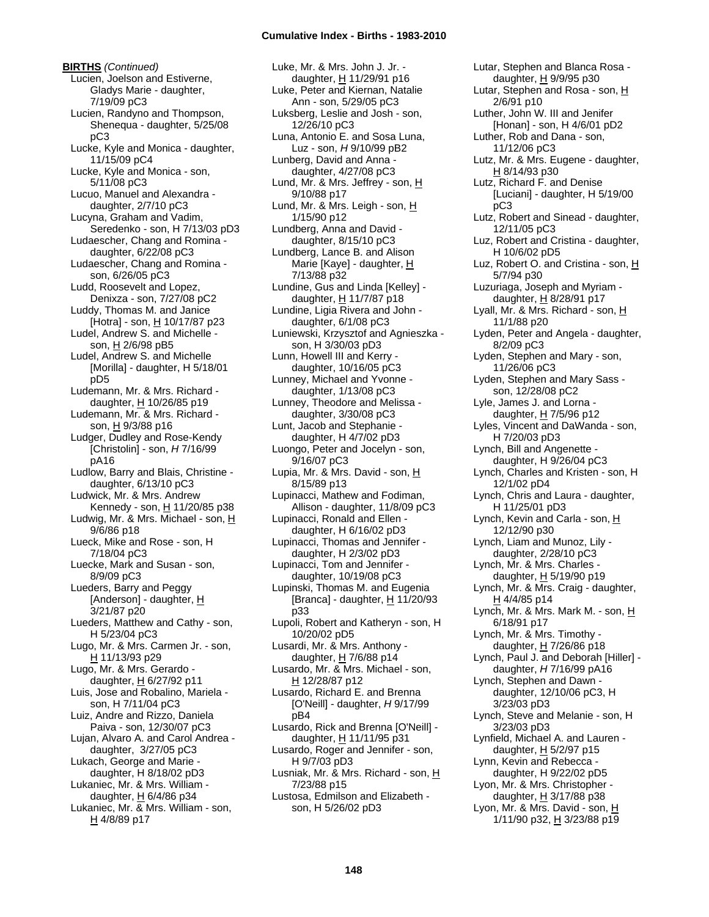**BIRTHS** *(Continued)* Lucien, Joelson and Estiverne, Gladys Marie - daughter, 7/19/09 pC3 Lucien, Randyno and Thompson, Shenequa - daughter, 5/25/08 pC3 Lucke, Kyle and Monica - daughter, 11/15/09 pC4 Lucke, Kyle and Monica - son, 5/11/08 pC3 Lucuo, Manuel and Alexandra daughter, 2/7/10 pC3 Lucyna, Graham and Vadim, Seredenko - son, H 7/13/03 pD3 Ludaescher, Chang and Romina daughter, 6/22/08 pC3 Ludaescher, Chang and Romina son, 6/26/05 pC3 Ludd, Roosevelt and Lopez, Denixza - son, 7/27/08 pC2 Luddy, Thomas M. and Janice [Hotra] - son, H 10/17/87 p23 Ludel, Andrew S. and Michelle son, H 2/6/98 pB5 Ludel, Andrew S. and Michelle [Morilla] - daughter, H 5/18/01 pD5 Ludemann, Mr. & Mrs. Richard daughter, H 10/26/85 p19 Ludemann, Mr. & Mrs. Richard son, H 9/3/88 p16 Ludger, Dudley and Rose-Kendy [Christolin] - son, *H* 7/16/99 pA16 Ludlow, Barry and Blais, Christine daughter, 6/13/10 pC3 Ludwick, Mr. & Mrs. Andrew Kennedy - son, H 11/20/85 p38 Ludwig, Mr. & Mrs. Michael - son,  $H$ 9/6/86 p18 Lueck, Mike and Rose - son, H 7/18/04 pC3 Luecke, Mark and Susan - son, 8/9/09 pC3 Lueders, Barry and Peggy [Anderson] - daughter, H 3/21/87 p20 Lueders, Matthew and Cathy - son, H 5/23/04 pC3 Lugo, Mr. & Mrs. Carmen Jr. - son, H 11/13/93 p29 Lugo, Mr. & Mrs. Gerardo daughter,  $H$  6/27/92 p11 Luis, Jose and Robalino, Mariela son, H 7/11/04 pC3 Luiz, Andre and Rizzo, Daniela Paiva - son, 12/30/07 pC3 Lujan, Alvaro A. and Carol Andrea daughter, 3/27/05 pC3 Lukach, George and Marie daughter, H 8/18/02 pD3 Lukaniec, Mr. & Mrs. William daughter,  $H$  6/4/86 p34 Lukaniec, Mr. & Mrs. William - son, H 4/8/89 p17

Luke, Mr. & Mrs. John J. Jr. daughter, H 11/29/91 p16 Luke, Peter and Kiernan, Natalie Ann - son, 5/29/05 pC3 Luksberg, Leslie and Josh - son, 12/26/10 pC3 Luna, Antonio E. and Sosa Luna, Luz - son, *H* 9/10/99 pB2 Lunberg, David and Anna daughter, 4/27/08 pC3 Lund, Mr. & Mrs. Jeffrey - son, H 9/10/88 p17 Lund, Mr. & Mrs. Leigh - son, H 1/15/90 p12 Lundberg, Anna and David daughter, 8/15/10 pC3 Lundberg, Lance B. and Alison Marie [Kaye] - daughter, H 7/13/88 p32 Lundine, Gus and Linda [Kelley] daughter, H 11/7/87 p18 Lundine, Ligia Rivera and John daughter, 6/1/08 pC3 Luniewski, Krzysztof and Agnieszka son, H 3/30/03 pD3 Lunn, Howell III and Kerry daughter, 10/16/05 pC3 Lunney, Michael and Yvonne daughter, 1/13/08 pC3 Lunney, Theodore and Melissa daughter, 3/30/08 pC3 Lunt, Jacob and Stephanie daughter, H 4/7/02 pD3 Luongo, Peter and Jocelyn - son, 9/16/07 pC3 Lupia, Mr. & Mrs. David - son, H 8/15/89 p13 Lupinacci, Mathew and Fodiman, Allison - daughter, 11/8/09 pC3 Lupinacci, Ronald and Ellen daughter, H 6/16/02 pD3 Lupinacci, Thomas and Jennifer daughter, H 2/3/02 pD3 Lupinacci, Tom and Jennifer daughter, 10/19/08 pC3 Lupinski, Thomas M. and Eugenia [Branca] - daughter, H 11/20/93 p33 Lupoli, Robert and Katheryn - son, H 10/20/02 pD5 Lusardi, Mr. & Mrs. Anthony daughter,  $H$  7/6/88 p14 Lusardo, Mr. & Mrs. Michael - son, H 12/28/87 p12 Lusardo, Richard E. and Brenna [O'Neill] - daughter, *H* 9/17/99 pB4 Lusardo, Rick and Brenna [O'Neill] daughter, H 11/11/95 p31 Lusardo, Roger and Jennifer - son, H 9/7/03 pD3 Lusniak, Mr. & Mrs. Richard - son, H 7/23/88 p15 Lustosa, Edmilson and Elizabeth son, H 5/26/02 pD3

Lutar, Stephen and Blanca Rosa daughter, H 9/9/95 p30 Lutar, Stephen and Rosa - son,  $H$ 2/6/91 p10 Luther, John W. III and Jenifer [Honan] - son, H 4/6/01 pD2 Luther, Rob and Dana - son, 11/12/06 pC3 Lutz, Mr. & Mrs. Eugene - daughter, H 8/14/93 p30 Lutz, Richard F. and Denise [Luciani] - daughter, H 5/19/00 pC3 Lutz, Robert and Sinead - daughter, 12/11/05 pC3 Luz, Robert and Cristina - daughter, H 10/6/02 pD5 Luz, Robert O. and Cristina - son, H 5/7/94 p30 Luzuriaga, Joseph and Myriam daughter, H 8/28/91 p17 Lyall, Mr. & Mrs. Richard - son,  $H$ 11/1/88 p20 Lyden, Peter and Angela - daughter, 8/2/09 pC3 Lyden, Stephen and Mary - son, 11/26/06 pC3 Lyden, Stephen and Mary Sass son, 12/28/08 pC2 Lyle, James J. and Lorna daughter,  $H$  7/5/96 p12 Lyles, Vincent and DaWanda - son, H 7/20/03 pD3 Lynch, Bill and Angenette daughter, H 9/26/04 pC3 Lynch, Charles and Kristen - son, H 12/1/02 pD4 Lynch, Chris and Laura - daughter, H 11/25/01 pD3 Lynch, Kevin and Carla - son, H 12/12/90 p30 Lynch, Liam and Munoz, Lily daughter, 2/28/10 pC3 Lynch, Mr. & Mrs. Charles daughter,  $H$  5/19/90 p19 Lynch, Mr. & Mrs. Craig - daughter, H 4/4/85 p14 Lynch, Mr. & Mrs. Mark M. - son,  $H$ 6/18/91 p17 Lynch, Mr. & Mrs. Timothy daughter,  $H$  7/26/86 p18 Lynch, Paul J. and Deborah [Hiller] daughter, *H* 7/16/99 pA16 Lynch, Stephen and Dawn daughter, 12/10/06 pC3, H 3/23/03 pD3 Lynch, Steve and Melanie - son, H 3/23/03 pD3 Lynfield, Michael A. and Lauren daughter,  $H$  5/2/97 p15 Lynn, Kevin and Rebecca daughter, H 9/22/02 pD5 Lyon, Mr. & Mrs. Christopher daughter,  $H$  3/17/88 p38 Lyon, Mr. & Mrs. David - son,  $H$ 1/11/90 p32, H 3/23/88 p19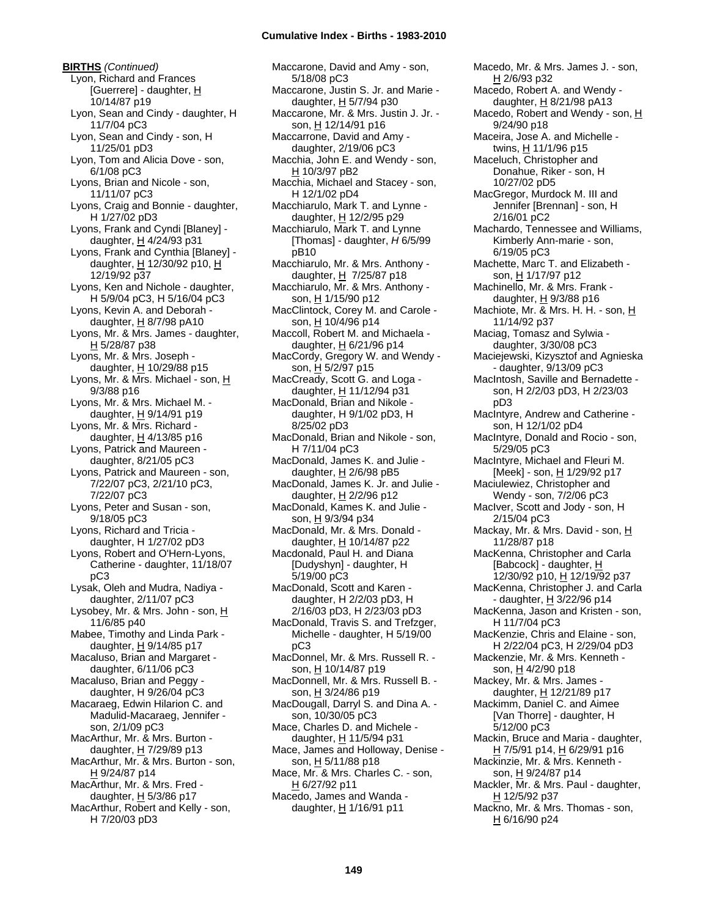**BIRTHS** *(Continued)* Lyon, Richard and Frances [Guerrere] - daughter, H 10/14/87 p19 Lyon, Sean and Cindy - daughter, H 11/7/04 pC3 Lyon, Sean and Cindy - son, H 11/25/01 pD3 Lyon, Tom and Alicia Dove - son, 6/1/08 pC3 Lyons, Brian and Nicole - son, 11/11/07 pC3 Lyons, Craig and Bonnie - daughter, H 1/27/02 pD3 Lyons, Frank and Cyndi [Blaney] daughter,  $H$  4/24/93 p31 Lyons, Frank and Cynthia [Blaney] daughter, H 12/30/92 p10, H 12/19/92 p37 Lyons, Ken and Nichole - daughter, H 5/9/04 pC3, H 5/16/04 pC3 Lyons, Kevin A. and Deborah daughter,  $H$  8/7/98 pA10 Lyons, Mr. & Mrs. James - daughter, H 5/28/87 p38 Lyons, Mr. & Mrs. Joseph daughter,  $H$  10/29/88 p15 Lyons, Mr. & Mrs. Michael - son,  $H$ 9/3/88 p16 Lyons, Mr. & Mrs. Michael M. daughter, H 9/14/91 p19 Lyons, Mr. & Mrs. Richard daughter,  $H$  4/13/85 p16 Lyons, Patrick and Maureen daughter, 8/21/05 pC3 Lyons, Patrick and Maureen - son, 7/22/07 pC3, 2/21/10 pC3, 7/22/07 pC3 Lyons, Peter and Susan - son, 9/18/05 pC3 Lyons, Richard and Tricia daughter, H 1/27/02 pD3 Lyons, Robert and O'Hern-Lyons, Catherine - daughter, 11/18/07 pC3 Lysak, Oleh and Mudra, Nadiya daughter, 2/11/07 pC3 Lysobey, Mr. & Mrs. John - son, H 11/6/85 p40 Mabee, Timothy and Linda Park daughter,  $H$  9/14/85 p17 Macaluso, Brian and Margaret daughter, 6/11/06 pC3 Macaluso, Brian and Peggy daughter, H 9/26/04 pC3 Macaraeg, Edwin Hilarion C. and Madulid-Macaraeg, Jennifer son, 2/1/09 pC3 MacArthur, Mr. & Mrs. Burton daughter, H 7/29/89 p13 MacArthur, Mr. & Mrs. Burton - son, H 9/24/87 p14 MacArthur, Mr. & Mrs. Fred daughter,  $H$  5/3/86 p17 MacArthur, Robert and Kelly - son, H 7/20/03 pD3

Maccarone, David and Amy - son, 5/18/08 pC3 Maccarone, Justin S. Jr. and Marie daughter, H 5/7/94 p30 Maccarone, Mr. & Mrs. Justin J. Jr. son, H 12/14/91 p16 Maccarrone, David and Amy daughter, 2/19/06 pC3 Macchia, John E. and Wendy - son, H 10/3/97 pB2 Macchia, Michael and Stacey - son, H 12/1/02 pD4 Macchiarulo, Mark T. and Lynne daughter, H 12/2/95 p29 Macchiarulo, Mark T. and Lynne [Thomas] - daughter, *H* 6/5/99 pB10 Macchiarulo, Mr. & Mrs. Anthony daughter,  $H$  7/25/87 p18 Macchiarulo, Mr. & Mrs. Anthony son, H 1/15/90 p12 MacClintock, Corey M. and Carole son, H 10/4/96 p14 Maccoll, Robert M. and Michaela daughter,  $H$  6/21/96 p14 MacCordy, Gregory W. and Wendy son, H 5/2/97 p15 MacCready, Scott G. and Loga daughter, H 11/12/94 p31 MacDonald, Brian and Nikole daughter, H 9/1/02 pD3, H 8/25/02 pD3 MacDonald, Brian and Nikole - son, H 7/11/04 pC3 MacDonald, James K. and Julie daughter,  $H$  2/6/98 pB5 MacDonald, James K. Jr. and Julie daughter, H 2/2/96 p12 MacDonald, Kames K. and Julie son, H 9/3/94 p34 MacDonald, Mr. & Mrs. Donald daughter, H 10/14/87 p22 Macdonald, Paul H. and Diana [Dudyshyn] - daughter, H 5/19/00 pC3 MacDonald, Scott and Karen daughter, H 2/2/03 pD3, H 2/16/03 pD3, H 2/23/03 pD3 MacDonald, Travis S. and Trefzger, Michelle - daughter, H 5/19/00 pC3 MacDonnel, Mr. & Mrs. Russell R. son, H 10/14/87 p19 MacDonnell, Mr. & Mrs. Russell B. son, H 3/24/86 p19 MacDougall, Darryl S. and Dina A. son, 10/30/05 pC3 Mace, Charles D. and Michele daughter, H 11/5/94 p31 Mace, James and Holloway, Denise son, H 5/11/88 p18 Mace, Mr. & Mrs. Charles C. - son, H 6/27/92 p11 Macedo, James and Wanda daughter, H 1/16/91 p11

Macedo, Mr. & Mrs. James J. - son, H 2/6/93 p32 Macedo, Robert A. and Wendy daughter, H 8/21/98 pA13 Macedo, Robert and Wendy - son, H 9/24/90 p18 Maceira, Jose A. and Michelle twins, H 11/1/96 p15 Maceluch, Christopher and Donahue, Riker - son, H 10/27/02 pD5 MacGregor, Murdock M. III and Jennifer [Brennan] - son, H 2/16/01 pC2 Machardo, Tennessee and Williams, Kimberly Ann-marie - son, 6/19/05 pC3 Machette, Marc T. and Elizabeth son, H 1/17/97 p12 Machinello, Mr. & Mrs. Frank daughter,  $H$  9/3/88 p16 Machiote, Mr. & Mrs. H. H. - son, H 11/14/92 p37 Maciag, Tomasz and Sylwia daughter, 3/30/08 pC3 Maciejewski, Kizysztof and Agnieska - daughter, 9/13/09 pC3 MacIntosh, Saville and Bernadette son, H 2/2/03 pD3, H 2/23/03 pD3 MacIntyre, Andrew and Catherine son, H 12/1/02 pD4 MacIntyre, Donald and Rocio - son, 5/29/05 pC3 MacIntyre, Michael and Fleuri M. [Meek] - son, H 1/29/92 p17 Maciulewiez, Christopher and Wendy - son, 7/2/06 pC3 MacIver, Scott and Jody - son, H 2/15/04 pC3 Mackay, Mr. & Mrs. David - son, H 11/28/87 p18 MacKenna, Christopher and Carla [Babcock] - daughter, H 12/30/92 p10, H 12/19/92 p37 MacKenna, Christopher J. and Carla - daughter, H 3/22/96 p14 MacKenna, Jason and Kristen - son, H 11/7/04 pC3 MacKenzie, Chris and Elaine - son, H 2/22/04 pC3, H 2/29/04 pD3 Mackenzie, Mr. & Mrs. Kenneth son, H 4/2/90 p18 Mackey, Mr. & Mrs. James daughter, H 12/21/89 p17 Mackimm, Daniel C. and Aimee [Van Thorre] - daughter, H 5/12/00 pC3 Mackin, Bruce and Maria - daughter, H 7/5/91 p14, H 6/29/91 p16 Mackinzie, Mr. & Mrs. Kenneth son, H 9/24/87 p14 Mackler, Mr. & Mrs. Paul - daughter, H 12/5/92 p37 Mackno, Mr. & Mrs. Thomas - son, H 6/16/90 p24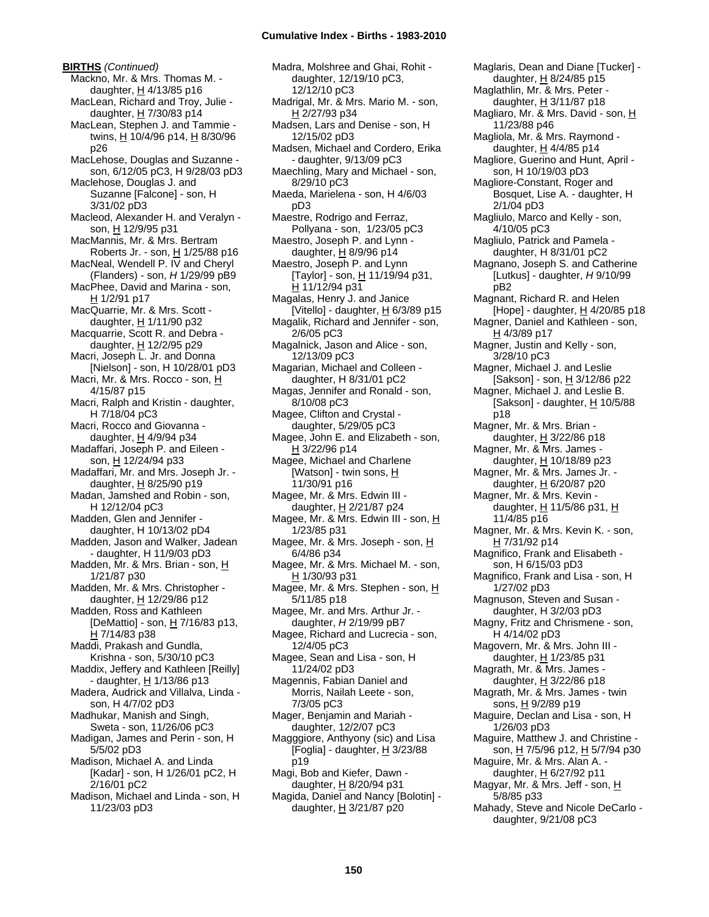**BIRTHS** *(Continued)* Mackno, Mr. & Mrs. Thomas M. daughter,  $H$  4/13/85 p16 MacLean, Richard and Troy, Julie daughter, H 7/30/83 p14 MacLean, Stephen J. and Tammie twins, H 10/4/96 p14, H 8/30/96 p26 MacLehose, Douglas and Suzanne son, 6/12/05 pC3, H 9/28/03 pD3 Maclehose, Douglas J. and Suzanne [Falcone] - son, H 3/31/02 pD3 Macleod, Alexander H. and Veralyn son, H 12/9/95 p31 MacMannis, Mr. & Mrs. Bertram Roberts Jr. - son, H 1/25/88 p16 MacNeal, Wendell P. IV and Cheryl (Flanders) - son, *H* 1/29/99 pB9 MacPhee, David and Marina - son, H 1/2/91 p17 MacQuarrie, Mr. & Mrs. Scott daughter, H 1/11/90 p32 Macquarrie, Scott R. and Debra daughter, H 12/2/95 p29 Macri, Joseph L. Jr. and Donna [Nielson] - son, H 10/28/01 pD3 Macri, Mr. & Mrs. Rocco - son, H 4/15/87 p15 Macri, Ralph and Kristin - daughter, H 7/18/04 pC3 Macri, Rocco and Giovanna daughter,  $H$  4/9/94 p34 Madaffari, Joseph P. and Eileen son, H 12/24/94 p33 Madaffari, Mr. and Mrs. Joseph Jr. daughter,  $H$  8/25/90 p19 Madan, Jamshed and Robin - son, H 12/12/04 pC3 Madden, Glen and Jennifer daughter, H 10/13/02 pD4 Madden, Jason and Walker, Jadean - daughter, H 11/9/03 pD3 Madden, Mr. & Mrs. Brian - son, H 1/21/87 p30 Madden, Mr. & Mrs. Christopher daughter, H 12/29/86 p12 Madden, Ross and Kathleen [DeMattio] - son, H 7/16/83 p13, H 7/14/83 p38 Maddi, Prakash and Gundla, Krishna - son, 5/30/10 pC3 Maddix, Jeffery and Kathleen [Reilly] - daughter, H 1/13/86 p13 Madera, Audrick and Villalva, Linda son, H 4/7/02 pD3 Madhukar, Manish and Singh, Sweta - son, 11/26/06 pC3 Madigan, James and Perin - son, H 5/5/02 pD3 Madison, Michael A. and Linda [Kadar] - son, H 1/26/01 pC2, H 2/16/01 pC2 Madison, Michael and Linda - son, H 11/23/03 pD3

Madra, Molshree and Ghai, Rohit daughter, 12/19/10 pC3, 12/12/10 pC3 Madrigal, Mr. & Mrs. Mario M. - son, H 2/27/93 p34 Madsen, Lars and Denise - son, H 12/15/02 pD3 Madsen, Michael and Cordero, Erika - daughter, 9/13/09 pC3 Maechling, Mary and Michael - son, 8/29/10 pC3 Maeda, Marielena - son, H 4/6/03 pD3 Maestre, Rodrigo and Ferraz, Pollyana - son, 1/23/05 pC3 Maestro, Joseph P. and Lynn daughter, H 8/9/96 p14 Maestro, Joseph P. and Lynn [Taylor] - son, H 11/19/94 p31, H 11/12/94 p31 Magalas, Henry J. and Janice [Vitello] - daughter,  $H$  6/3/89 p15 Magalik, Richard and Jennifer - son, 2/6/05 pC3 Magalnick, Jason and Alice - son, 12/13/09 pC3 Magarian, Michael and Colleen daughter, H 8/31/01 pC2 Magas, Jennifer and Ronald - son, 8/10/08 pC3 Magee, Clifton and Crystal daughter, 5/29/05 pC3 Magee, John E. and Elizabeth - son, H 3/22/96 p14 Magee, Michael and Charlene [Watson] - twin sons,  $H$ 11/30/91 p16 Magee, Mr. & Mrs. Edwin III daughter, H 2/21/87 p24 Magee, Mr. & Mrs. Edwin III - son, H 1/23/85 p31 Magee, Mr. & Mrs. Joseph - son, H 6/4/86 p34 Magee, Mr. & Mrs. Michael M. - son, H 1/30/93 p31 Magee, Mr. & Mrs. Stephen - son, H 5/11/85 p18 Magee, Mr. and Mrs. Arthur Jr. daughter, *H* 2/19/99 pB7 Magee, Richard and Lucrecia - son, 12/4/05 pC3 Magee, Sean and Lisa - son, H 11/24/02 pD3 Magennis, Fabian Daniel and Morris, Nailah Leete - son, 7/3/05 pC3 Mager, Benjamin and Mariah daughter, 12/2/07 pC3 Magggiore, Anthyony (sic) and Lisa [Foglia] - daughter,  $H$  3/23/88 p19 Magi, Bob and Kiefer, Dawn daughter, H 8/20/94 p31 Magida, Daniel and Nancy [Bolotin] daughter,  $H$  3/21/87 p20

Maglaris, Dean and Diane [Tucker] daughter, H 8/24/85 p15 Maglathlin, Mr. & Mrs. Peter daughter, H 3/11/87 p18 Magliaro, Mr. & Mrs. David - son, H 11/23/88 p46 Magliola, Mr. & Mrs. Raymond daughter, H 4/4/85 p14 Magliore, Guerino and Hunt, April son, H 10/19/03 pD3 Magliore-Constant, Roger and Bosquet, Lise A. - daughter, H 2/1/04 pD3 Magliulo, Marco and Kelly - son, 4/10/05 pC3 Magliulo, Patrick and Pamela daughter, H 8/31/01 pC2 Magnano, Joseph S. and Catherine [Lutkus] - daughter, *H* 9/10/99 pB2 Magnant, Richard R. and Helen [Hope] - daughter,  $H$  4/20/85 p18 Magner, Daniel and Kathleen - son, H 4/3/89 p17 Magner, Justin and Kelly - son, 3/28/10 pC3 Magner, Michael J. and Leslie [Sakson] - son, H 3/12/86 p22 Magner, Michael J. and Leslie B. [Sakson] - daughter, H 10/5/88 p18 Magner, Mr. & Mrs. Brian daughter,  $H$  3/22/86 p18 Magner, Mr. & Mrs. James daughter, H 10/18/89 p23 Magner, Mr. & Mrs. James Jr. daughter, H 6/20/87 p20 Magner, Mr. & Mrs. Kevin daughter, H 11/5/86 p31, H 11/4/85 p16 Magner, Mr. & Mrs. Kevin K. - son, H 7/31/92 p14 Magnifico, Frank and Elisabeth son, H 6/15/03 pD3 Magnifico, Frank and Lisa - son, H 1/27/02 pD3 Magnuson, Steven and Susan daughter, H 3/2/03 pD3 Magny, Fritz and Chrismene - son, H 4/14/02 pD3 Magovern, Mr. & Mrs. John III daughter, H 1/23/85 p31 Magrath, Mr. & Mrs. James daughter,  $H$  3/22/86 p18 Magrath, Mr. & Mrs. James - twin sons, H 9/2/89 p19 Maguire, Declan and Lisa - son, H 1/26/03 pD3 Maguire, Matthew J. and Christine son, H 7/5/96 p12, H 5/7/94 p30 Maguire, Mr. & Mrs. Alan A. daughter, H 6/27/92 p11 Magyar, Mr. & Mrs. Jeff - son, H 5/8/85 p33 Mahady, Steve and Nicole DeCarlo daughter, 9/21/08 pC3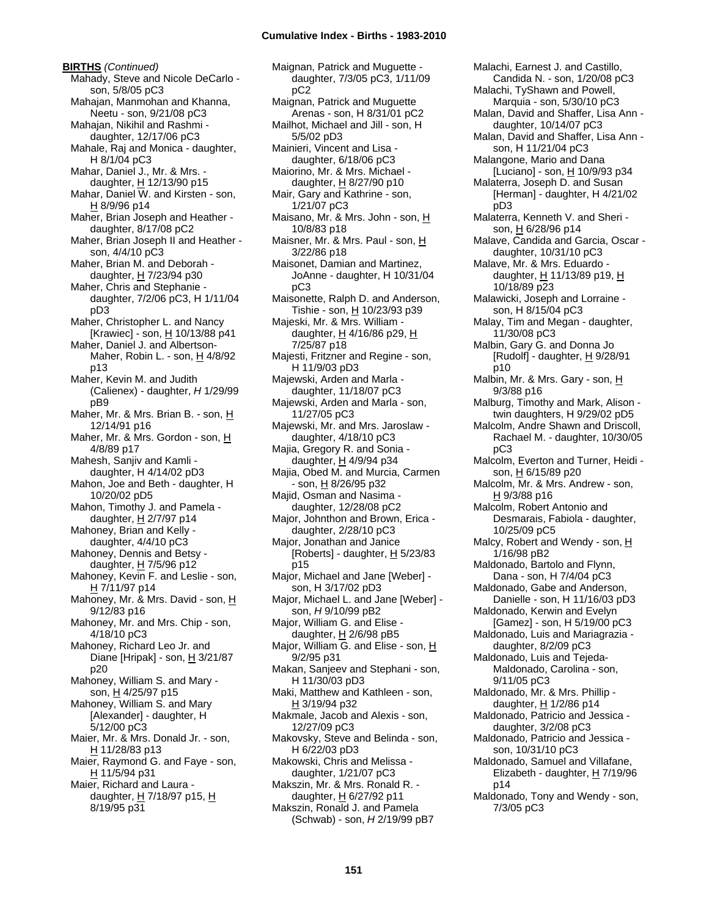**BIRTHS** *(Continued)* Mahady, Steve and Nicole DeCarlo son, 5/8/05 pC3 Mahajan, Manmohan and Khanna, Neetu - son, 9/21/08 pC3 Mahajan, Nikihil and Rashmi daughter, 12/17/06 pC3 Mahale, Raj and Monica - daughter, H 8/1/04 pC3 Mahar, Daniel J., Mr. & Mrs. daughter, H 12/13/90 p15 Mahar, Daniel W. and Kirsten - son, H 8/9/96 p14 Maher, Brian Joseph and Heather daughter, 8/17/08 pC2 Maher, Brian Joseph II and Heather son, 4/4/10 pC3 Maher, Brian M. and Deborah daughter, H 7/23/94 p30 Maher, Chris and Stephanie daughter, 7/2/06 pC3, H 1/11/04 pD3 Maher, Christopher L. and Nancy [Krawiec] - son, H 10/13/88 p41 Maher, Daniel J. and Albertson-Maher, Robin L. - son, H 4/8/92 p13 Maher, Kevin M. and Judith (Calienex) - daughter, *H* 1/29/99 pB9 Maher, Mr. & Mrs. Brian B. - son, H 12/14/91 p16 Maher, Mr. & Mrs. Gordon - son, H 4/8/89 p17 Mahesh, Sanjiv and Kamli daughter, H 4/14/02 pD3 Mahon, Joe and Beth - daughter, H 10/20/02 pD5 Mahon, Timothy J. and Pamela daughter,  $H$  2/7/97 p14 Mahoney, Brian and Kelly daughter, 4/4/10 pC3 Mahoney, Dennis and Betsy daughter, H 7/5/96 p12 Mahoney, Kevin F. and Leslie - son, H 7/11/97 p14 Mahoney, Mr. & Mrs. David - son, H 9/12/83 p16 Mahoney, Mr. and Mrs. Chip - son, 4/18/10 pC3 Mahoney, Richard Leo Jr. and Diane [Hripak] - son,  $H$  3/21/87 p20 Mahoney, William S. and Mary son, H 4/25/97 p15 Mahoney, William S. and Mary [Alexander] - daughter, H 5/12/00 pC3 Maier, Mr. & Mrs. Donald Jr. - son, H 11/28/83 p13 Maier, Raymond G. and Faye - son, H 11/5/94 p31 Maier, Richard and Laura daughter, H 7/18/97 p15, H 8/19/95 p31

Maignan, Patrick and Muguette daughter, 7/3/05 pC3, 1/11/09 pC2 Maignan, Patrick and Muguette Arenas - son, H 8/31/01 pC2 Mailhot, Michael and Jill - son, H 5/5/02 pD3 Mainieri, Vincent and Lisa daughter, 6/18/06 pC3 Maiorino, Mr. & Mrs. Michael daughter, H 8/27/90 p10 Mair, Gary and Kathrine - son, 1/21/07 pC3 Maisano, Mr. & Mrs. John - son, H 10/8/83 p18 Maisner, Mr. & Mrs. Paul - son, H 3/22/86 p18 Maisonet, Damian and Martinez, JoAnne - daughter, H 10/31/04 pC3 Maisonette, Ralph D. and Anderson, Tishie - son, H 10/23/93 p39 Majeski, Mr. & Mrs. William daughter, H 4/16/86 p29, H 7/25/87 p18 Majesti, Fritzner and Regine - son, H 11/9/03 pD3 Majewski, Arden and Marla daughter, 11/18/07 pC3 Majewski, Arden and Marla - son, 11/27/05 pC3 Majewski, Mr. and Mrs. Jaroslaw daughter, 4/18/10 pC3 Majia, Gregory R. and Sonia daughter, H 4/9/94 p34 Majia, Obed M. and Murcia, Carmen - son, <u>H</u> 8/26/95 p32 Majid, Osman and Nasima daughter, 12/28/08 pC2 Major, Johnthon and Brown, Erica daughter, 2/28/10 pC3 Major, Jonathan and Janice [Roberts] - daughter,  $H$  5/23/83 p15 Major, Michael and Jane [Weber] son, H 3/17/02 pD3 Major, Michael L. and Jane [Weber] son, *H* 9/10/99 pB2 Major, William G. and Elise daughter, H 2/6/98 pB5 Major, William G. and Elise - son,  $\underline{H}$ 9/2/95 p31 Makan, Sanjeev and Stephani - son, H 11/30/03 pD3 Maki, Matthew and Kathleen - son, H 3/19/94 p32 Makmale, Jacob and Alexis - son, 12/27/09 pC3 Makovsky, Steve and Belinda - son, H 6/22/03 pD3 Makowski, Chris and Melissa daughter, 1/21/07 pC3 Makszin, Mr. & Mrs. Ronald R. daughter,  $H$  6/27/92 p11 Makszin, Ronald J. and Pamela (Schwab) - son, *H* 2/19/99 pB7

Malachi, Earnest J. and Castillo, Candida N. - son, 1/20/08 pC3 Malachi, TyShawn and Powell, Marquia - son, 5/30/10 pC3 Malan, David and Shaffer, Lisa Ann daughter, 10/14/07 pC3 Malan, David and Shaffer, Lisa Ann son, H 11/21/04 pC3 Malangone, Mario and Dana [Luciano] - son,  $\underline{H}$  10/9/93 p34 Malaterra, Joseph D. and Susan [Herman] - daughter, H 4/21/02 pD3 Malaterra, Kenneth V. and Sheri son, H 6/28/96 p14 Malave, Candida and Garcia, Oscar daughter, 10/31/10 pC3 Malave, Mr. & Mrs. Eduardo daughter,  $H$  11/13/89 p19,  $H$ 10/18/89 p23 Malawicki, Joseph and Lorraine son, H 8/15/04 pC3 Malay, Tim and Megan - daughter, 11/30/08 pC3 Malbin, Gary G. and Donna Jo [Rudolf] - daughter,  $H$  9/28/91 p10 Malbin, Mr. & Mrs. Gary - son, H 9/3/88 p16 Malburg, Timothy and Mark, Alison twin daughters, H 9/29/02 pD5 Malcolm, Andre Shawn and Driscoll, Rachael M. - daughter, 10/30/05 pC3 Malcolm, Everton and Turner, Heidi son, <u>H</u> 6/15/89 p20 Malcolm, Mr. & Mrs. Andrew - son, H 9/3/88 p16 Malcolm, Robert Antonio and Desmarais, Fabiola - daughter, 10/25/09 pC5 Malcy, Robert and Wendy - son, H 1/16/98 pB2 Maldonado, Bartolo and Flynn, Dana - son, H 7/4/04 pC3 Maldonado, Gabe and Anderson, Danielle - son, H 11/16/03 pD3 Maldonado, Kerwin and Evelyn [Gamez] - son, H 5/19/00 pC3 Maldonado, Luis and Mariagrazia daughter, 8/2/09 pC3 Maldonado, Luis and Tejeda-Maldonado, Carolina - son, 9/11/05 pC3 Maldonado, Mr. & Mrs. Phillip daughter, H 1/2/86 p14 Maldonado, Patricio and Jessica daughter, 3/2/08 pC3 Maldonado, Patricio and Jessica son, 10/31/10 pC3 Maldonado, Samuel and Villafane, Elizabeth - daughter, H 7/19/96 p14 Maldonado, Tony and Wendy - son, 7/3/05 pC3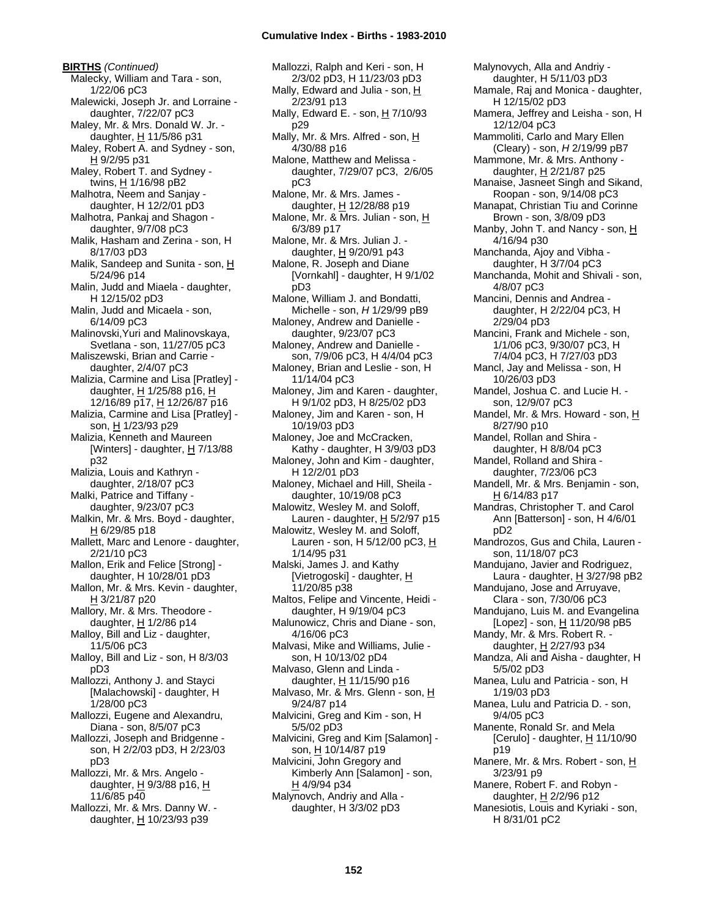**BIRTHS** *(Continued)* Malecky, William and Tara - son, 1/22/06 pC3 Malewicki, Joseph Jr. and Lorraine daughter, 7/22/07 pC3 Maley, Mr. & Mrs. Donald W. Jr. daughter,  $H$  11/5/86 p31 Maley, Robert A. and Sydney - son, H 9/2/95 p31 Maley, Robert T. and Sydney twins, H 1/16/98 pB2 Malhotra, Neem and Sanjay daughter, H 12/2/01 pD3 Malhotra, Pankaj and Shagon daughter, 9/7/08 pC3 Malik, Hasham and Zerina - son, H 8/17/03 pD3 Malik, Sandeep and Sunita - son, H 5/24/96 p14 Malin, Judd and Miaela - daughter, H 12/15/02 pD3 Malin, Judd and Micaela - son, 6/14/09 pC3 Malinovski,Yuri and Malinovskaya, Svetlana - son, 11/27/05 pC3 Maliszewski, Brian and Carrie daughter, 2/4/07 pC3 Malizia, Carmine and Lisa [Pratley] daughter, H 1/25/88 p16, H 12/16/89 p17, H 12/26/87 p16 Malizia, Carmine and Lisa [Pratley] son, H 1/23/93 p29 Malizia, Kenneth and Maureen [Winters] - daughter, H 7/13/88 p32 Malizia, Louis and Kathryn daughter, 2/18/07 pC3 Malki, Patrice and Tiffany daughter, 9/23/07 pC3 Malkin, Mr. & Mrs. Boyd - daughter, H 6/29/85 p18 Mallett, Marc and Lenore - daughter, 2/21/10 pC3 Mallon, Erik and Felice [Strong] daughter, H 10/28/01 pD3 Mallon, Mr. & Mrs. Kevin - daughter, H 3/21/87 p20 Mallory, Mr. & Mrs. Theodore daughter,  $H$  1/2/86 p14 Malloy, Bill and Liz - daughter, 11/5/06 pC3 Malloy, Bill and Liz - son, H 8/3/03 pD3 Mallozzi, Anthony J. and Stayci [Malachowski] - daughter, H 1/28/00 pC3 Mallozzi, Eugene and Alexandru, Diana - son, 8/5/07 pC3 Mallozzi, Joseph and Bridgenne son, H 2/2/03 pD3, H 2/23/03 pD3 Mallozzi, Mr. & Mrs. Angelo daughter, H 9/3/88 p16, H 11/6/85 p40

Mallozzi, Mr. & Mrs. Danny W. daughter,  $H$  10/23/93 p39

Mallozzi, Ralph and Keri - son, H 2/3/02 pD3, H 11/23/03 pD3 Mally, Edward and Julia - son,  $H$ 2/23/91 p13 Mally, Edward E. - son,  $H$  7/10/93 p29 Mally, Mr. & Mrs. Alfred - son,  $H$ 4/30/88 p16 Malone, Matthew and Melissa daughter, 7/29/07 pC3, 2/6/05 pC3 Malone, Mr. & Mrs. James daughter, H 12/28/88 p19 Malone, Mr. & Mrs. Julian - son, H 6/3/89 p17 Malone, Mr. & Mrs. Julian J. daughter, H 9/20/91 p43 Malone, R. Joseph and Diane [Vornkahl] - daughter, H 9/1/02 pD3 Malone, William J. and Bondatti, Michelle - son, *H* 1/29/99 pB9 Maloney, Andrew and Danielle daughter, 9/23/07 pC3 Maloney, Andrew and Danielle son, 7/9/06 pC3, H 4/4/04 pC3 Maloney, Brian and Leslie - son, H 11/14/04 pC3 Maloney, Jim and Karen - daughter, H 9/1/02 pD3, H 8/25/02 pD3 Maloney, Jim and Karen - son, H 10/19/03 pD3 Maloney, Joe and McCracken, Kathy - daughter, H 3/9/03 pD3 Maloney, John and Kim - daughter, H 12/2/01 pD3 Maloney, Michael and Hill, Sheila daughter, 10/19/08 pC3 Malowitz, Wesley M. and Soloff, Lauren - daughter,  $H$  5/2/97 p15 Malowitz, Wesley M. and Soloff, Lauren - son, H 5/12/00 pC3, H 1/14/95 p31 Malski, James J. and Kathy [Vietrogoski] - daughter, H 11/20/85 p38 Maltos, Felipe and Vincente, Heidi daughter, H 9/19/04 pC3 Malunowicz, Chris and Diane - son, 4/16/06 pC3 Malvasi, Mike and Williams, Julie son, H 10/13/02 pD4 Malvaso, Glenn and Linda daughter, H 11/15/90 p16 Malvaso, Mr. & Mrs. Glenn - son, H 9/24/87 p14 Malvicini, Greg and Kim - son, H 5/5/02 pD3 Malvicini, Greg and Kim [Salamon] son, H 10/14/87 p19 Malvicini, John Gregory and Kimberly Ann [Salamon] - son, H 4/9/94 p34 Malynovch, Andriy and Alla daughter, H 3/3/02 pD3

Malynovych, Alla and Andriy daughter, H 5/11/03 pD3 Mamale, Raj and Monica - daughter, H 12/15/02 pD3 Mamera, Jeffrey and Leisha - son, H 12/12/04 pC3 Mammoliti, Carlo and Mary Ellen (Cleary) - son, *H* 2/19/99 pB7 Mammone, Mr. & Mrs. Anthony daughter, H 2/21/87 p25 Manaise, Jasneet Singh and Sikand, Roopan - son, 9/14/08 pC3 Manapat, Christian Tiu and Corinne Brown - son, 3/8/09 pD3 Manby, John T. and Nancy - son, H 4/16/94 p30 Manchanda, Ajoy and Vibha daughter, H 3/7/04 pC3 Manchanda, Mohit and Shivali - son, 4/8/07 pC3 Mancini, Dennis and Andrea daughter, H 2/22/04 pC3, H 2/29/04 pD3 Mancini, Frank and Michele - son, 1/1/06 pC3, 9/30/07 pC3, H 7/4/04 pC3, H 7/27/03 pD3 Mancl, Jay and Melissa - son, H 10/26/03 pD3 Mandel, Joshua C. and Lucie H. son, 12/9/07 pC3 Mandel, Mr. & Mrs. Howard - son, H 8/27/90 p10 Mandel, Rollan and Shira daughter, H 8/8/04 pC3 Mandel, Rolland and Shira daughter, 7/23/06 pC3 Mandell, Mr. & Mrs. Benjamin - son, H 6/14/83 p17 Mandras, Christopher T. and Carol Ann [Batterson] - son, H 4/6/01 pD2 Mandrozos, Gus and Chila, Lauren son, 11/18/07 pC3 Mandujano, Javier and Rodriguez, Laura - daughter,  $H$  3/27/98 pB2 Mandujano, Jose and Arruyave, Clara - son, 7/30/06 pC3 Mandujano, Luis M. and Evangelina [Lopez] - son,  $H$  11/20/98 pB5 Mandy, Mr. & Mrs. Robert R. daughter, H 2/27/93 p34 Mandza, Ali and Aisha - daughter, H 5/5/02 pD3 Manea, Lulu and Patricia - son, H 1/19/03 pD3 Manea, Lulu and Patricia D. - son, 9/4/05 pC3 Manente, Ronald Sr. and Mela [Cerulo] - daughter,  $H$  11/10/90 p19 Manere, Mr. & Mrs. Robert - son, H 3/23/91 p9 Manere, Robert F. and Robyn daughter, H 2/2/96 p12 Manesiotis, Louis and Kyriaki - son, H 8/31/01 pC2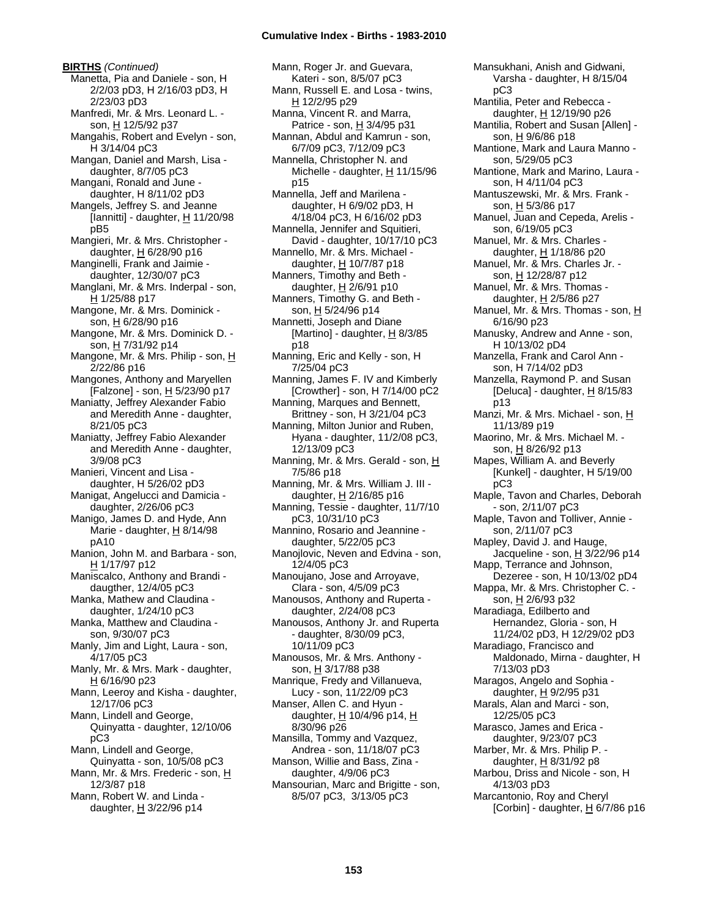**BIRTHS** *(Continued)* Manetta, Pia and Daniele - son, H 2/2/03 pD3, H 2/16/03 pD3, H 2/23/03 pD3 Manfredi, Mr. & Mrs. Leonard L. son, H 12/5/92 p37 Mangahis, Robert and Evelyn - son, H 3/14/04 pC3 Mangan, Daniel and Marsh, Lisa daughter, 8/7/05 pC3 Mangani, Ronald and June daughter, H 8/11/02 pD3 Mangels, Jeffrey S. and Jeanne [Iannitti] - daughter,  $H$  11/20/98 pB5 Mangieri, Mr. & Mrs. Christopher daughter,  $H$  6/28/90 p16 Manginelli, Frank and Jaimie daughter, 12/30/07 pC3 Manglani, Mr. & Mrs. Inderpal - son, H 1/25/88 p17 Mangone, Mr. & Mrs. Dominick son, H 6/28/90 p16 Mangone, Mr. & Mrs. Dominick D. son, H 7/31/92 p14 Mangone, Mr. & Mrs. Philip - son, H 2/22/86 p16 Mangones, Anthony and Maryellen [Falzone] - son, H 5/23/90 p17 Maniatty, Jeffrey Alexander Fabio and Meredith Anne - daughter, 8/21/05 pC3 Maniatty, Jeffrey Fabio Alexander and Meredith Anne - daughter, 3/9/08 pC3 Manieri, Vincent and Lisa daughter, H 5/26/02 pD3 Manigat, Angelucci and Damicia daughter, 2/26/06 pC3 Manigo, James D. and Hyde, Ann Marie - daughter,  $H$  8/14/98 pA10 Manion, John M. and Barbara - son, H 1/17/97 p12 Maniscalco, Anthony and Brandi daugther, 12/4/05 pC3 Manka, Mathew and Claudina daughter, 1/24/10 pC3 Manka, Matthew and Claudina son, 9/30/07 pC3 Manly, Jim and Light, Laura - son, 4/17/05 pC3 Manly, Mr. & Mrs. Mark - daughter, H 6/16/90 p23 Mann, Leeroy and Kisha - daughter, 12/17/06 pC3 Mann, Lindell and George, Quinyatta - daughter, 12/10/06 pC3 Mann, Lindell and George, Quinyatta - son, 10/5/08 pC3 Mann, Mr. & Mrs. Frederic - son, H 12/3/87 p18 Mann, Robert W. and Linda daughter, H 3/22/96 p14

Mann, Roger Jr. and Guevara, Kateri - son, 8/5/07 pC3 Mann, Russell E. and Losa - twins, H 12/2/95 p29 Manna, Vincent R. and Marra, Patrice - son, H 3/4/95 p31 Mannan, Abdul and Kamrun - son, 6/7/09 pC3, 7/12/09 pC3 Mannella, Christopher N. and Michelle - daughter, H 11/15/96 p15 Mannella, Jeff and Marilena daughter, H 6/9/02 pD3, H 4/18/04 pC3, H 6/16/02 pD3 Mannella, Jennifer and Squitieri, David - daughter, 10/17/10 pC3 Mannello, Mr. & Mrs. Michael daughter,  $H$  10/7/87 p18 Manners, Timothy and Beth daughter, H 2/6/91 p10 Manners, Timothy G. and Beth son, H 5/24/96 p14 Mannetti, Joseph and Diane [Martino] - daughter, H 8/3/85 p18 Manning, Eric and Kelly - son, H 7/25/04 pC3 Manning, James F. IV and Kimberly [Crowther] - son, H 7/14/00 pC2 Manning, Marques and Bennett, Brittney - son, H 3/21/04 pC3 Manning, Milton Junior and Ruben, Hyana - daughter, 11/2/08 pC3, 12/13/09 pC3 Manning, Mr. & Mrs. Gerald - son, H 7/5/86 p18 Manning, Mr. & Mrs. William J. III daughter,  $H$  2/16/85 p16 Manning, Tessie - daughter, 11/7/10 pC3, 10/31/10 pC3 Mannino, Rosario and Jeannine daughter, 5/22/05 pC3 Manojlovic, Neven and Edvina - son, 12/4/05 pC3 Manoujano, Jose and Arroyave, Clara - son, 4/5/09 pC3 Manousos, Anthony and Ruperta daughter, 2/24/08 pC3 Manousos, Anthony Jr. and Ruperta - daughter, 8/30/09 pC3, 10/11/09 pC3 Manousos, Mr. & Mrs. Anthony son, H 3/17/88 p38 Manrique, Fredy and Villanueva, Lucy - son, 11/22/09 pC3 Manser, Allen C. and Hyun daughter,  $H$  10/4/96 p14,  $H$ 8/30/96 p26 Mansilla, Tommy and Vazquez, Andrea - son, 11/18/07 pC3 Manson, Willie and Bass, Zina daughter, 4/9/06 pC3 Mansourian, Marc and Brigitte - son, 8/5/07 pC3, 3/13/05 pC3

Varsha - daughter, H 8/15/04 pC3 Mantilia, Peter and Rebecca daughter, H 12/19/90 p26 Mantilia, Robert and Susan [Allen] son, H 9/6/86 p18 Mantione, Mark and Laura Manno son, 5/29/05 pC3 Mantione, Mark and Marino, Laura son, H 4/11/04 pC3 Mantuszewski, Mr. & Mrs. Frank son, H 5/3/86 p17 Manuel, Juan and Cepeda, Arelis son, 6/19/05 pC3 Manuel, Mr. & Mrs. Charles daughter, H 1/18/86 p20 Manuel, Mr. & Mrs. Charles Jr. son, H 12/28/87 p12 Manuel, Mr. & Mrs. Thomas daughter,  $H$  2/5/86 p27 Manuel, Mr. & Mrs. Thomas - son, H 6/16/90 p23 Manusky, Andrew and Anne - son, H 10/13/02 pD4 Manzella, Frank and Carol Ann son, H 7/14/02 pD3 Manzella, Raymond P. and Susan [Deluca] - daughter, H 8/15/83 p13 Manzi, Mr. & Mrs. Michael - son, H 11/13/89 p19 Maorino, Mr. & Mrs. Michael M. son, H 8/26/92 p13 Mapes, William A. and Beverly [Kunkel] - daughter, H 5/19/00 pC3 Maple, Tavon and Charles, Deborah - son, 2/11/07 pC3 Maple, Tavon and Tolliver, Annie son, 2/11/07 pC3 Mapley, David J. and Hauge, Jacqueline - son,  $H$  3/22/96 p14 Mapp, Terrance and Johnson, Dezeree - son, H 10/13/02 pD4 Mappa, Mr. & Mrs. Christopher C. son, H 2/6/93 p32 Maradiaga, Edilberto and Hernandez, Gloria - son, H 11/24/02 pD3, H 12/29/02 pD3 Maradiago, Francisco and Maldonado, Mirna - daughter, H 7/13/03 pD3 Maragos, Angelo and Sophia daughter, H 9/2/95 p31 Marals, Alan and Marci - son, 12/25/05 pC3 Marasco, James and Erica daughter, 9/23/07 pC3 Marber, Mr. & Mrs. Philip P. daughter,  $H$  8/31/92 p8 Marbou, Driss and Nicole - son, H 4/13/03 pD3 Marcantonio, Roy and Cheryl [Corbin] - daughter,  $H$  6/7/86 p16

Mansukhani, Anish and Gidwani,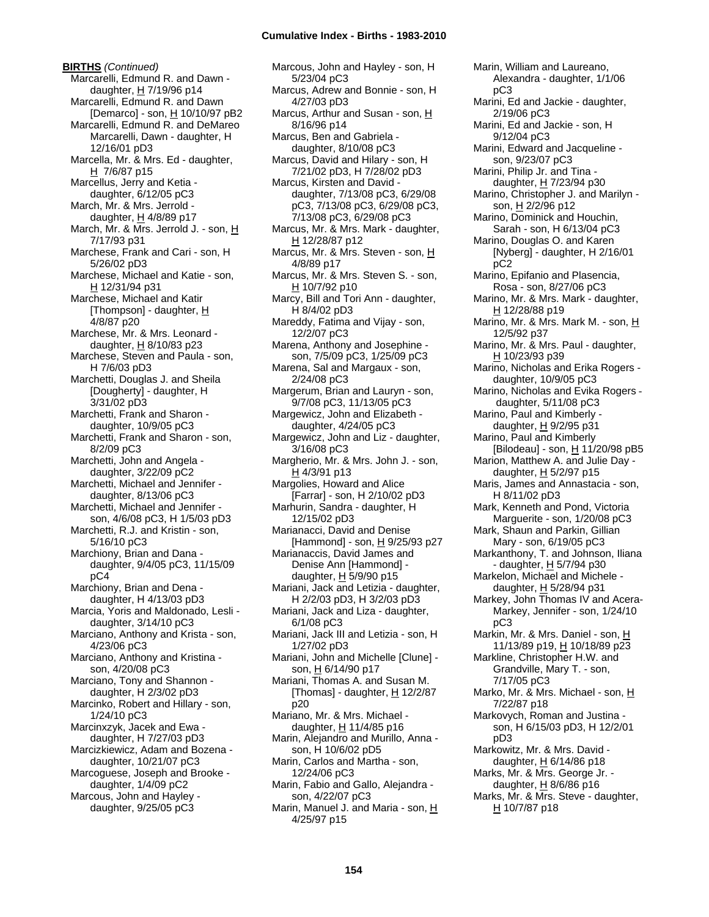**BIRTHS** *(Continued)* Marcarelli, Edmund R. and Dawn daughter,  $H$  7/19/96 p14 Marcarelli, Edmund R. and Dawn [Demarco] - son, H 10/10/97 pB2 Marcarelli, Edmund R. and DeMareo Marcarelli, Dawn - daughter, H 12/16/01 pD3 Marcella, Mr. & Mrs. Ed - daughter, H 7/6/87 p15 Marcellus, Jerry and Ketia daughter, 6/12/05 pC3 March, Mr. & Mrs. Jerrold daughter, H 4/8/89 p17 March, Mr. & Mrs. Jerrold J. - son, H 7/17/93 p31 Marchese, Frank and Cari - son, H 5/26/02 pD3 Marchese, Michael and Katie - son, H 12/31/94 p31 Marchese, Michael and Katir [Thompson] - daughter,  $H$ 4/8/87 p20 Marchese, Mr. & Mrs. Leonard daughter,  $H$  8/10/83 p23 Marchese, Steven and Paula - son, H 7/6/03 pD3 Marchetti, Douglas J. and Sheila [Dougherty] - daughter, H 3/31/02 pD3 Marchetti, Frank and Sharon daughter, 10/9/05 pC3 Marchetti, Frank and Sharon - son, 8/2/09 pC3 Marchetti, John and Angela daughter, 3/22/09 pC2 Marchetti, Michael and Jennifer daughter, 8/13/06 pC3 Marchetti, Michael and Jennifer son, 4/6/08 pC3, H 1/5/03 pD3 Marchetti, R.J. and Kristin - son, 5/16/10 pC3 Marchiony, Brian and Dana daughter, 9/4/05 pC3, 11/15/09 pC4 Marchiony, Brian and Dena daughter, H 4/13/03 pD3 Marcia, Yoris and Maldonado, Lesli daughter, 3/14/10 pC3 Marciano, Anthony and Krista - son, 4/23/06 pC3 Marciano, Anthony and Kristina son, 4/20/08 pC3 Marciano, Tony and Shannon daughter, H 2/3/02 pD3 Marcinko, Robert and Hillary - son, 1/24/10 pC3 Marcinxzyk, Jacek and Ewa daughter, H 7/27/03 pD3 Marcizkiewicz, Adam and Bozena daughter, 10/21/07 pC3 Marcoguese, Joseph and Brooke daughter, 1/4/09 pC2 Marcous, John and Hayley daughter, 9/25/05 pC3

Marcous, John and Hayley - son, H 5/23/04 pC3 Marcus, Adrew and Bonnie - son, H 4/27/03 pD3 Marcus, Arthur and Susan - son, H 8/16/96 p14 Marcus, Ben and Gabriela daughter, 8/10/08 pC3 Marcus, David and Hilary - son, H 7/21/02 pD3, H 7/28/02 pD3 Marcus, Kirsten and David daughter, 7/13/08 pC3, 6/29/08 pC3, 7/13/08 pC3, 6/29/08 pC3, 7/13/08 pC3, 6/29/08 pC3 Marcus, Mr. & Mrs. Mark - daughter, H 12/28/87 p12 Marcus, Mr. & Mrs. Steven - son, H 4/8/89 p17 Marcus, Mr. & Mrs. Steven S. - son, H 10/7/92 p10 Marcy, Bill and Tori Ann - daughter, H 8/4/02 pD3 Mareddy, Fatima and Vijay - son, 12/2/07 pC3 Marena, Anthony and Josephine son, 7/5/09 pC3, 1/25/09 pC3 Marena, Sal and Margaux - son, 2/24/08 pC3 Margerum, Brian and Lauryn - son, 9/7/08 pC3, 11/13/05 pC3 Margewicz, John and Elizabeth daughter, 4/24/05 pC3 Margewicz, John and Liz - daughter, 3/16/08 pC3 Margherio, Mr. & Mrs. John J. - son, H 4/3/91 p13 Margolies, Howard and Alice [Farrar] - son, H 2/10/02 pD3 Marhurin, Sandra - daughter, H 12/15/02 pD3 Marianacci, David and Denise [Hammond] - son, H 9/25/93 p27 Marianaccis, David James and Denise Ann [Hammond] daughter,  $H$  5/9/90 p15 Mariani, Jack and Letizia - daughter, H 2/2/03 pD3, H 3/2/03 pD3 Mariani, Jack and Liza - daughter, 6/1/08 pC3 Mariani, Jack III and Letizia - son, H 1/27/02 pD3 Mariani, John and Michelle [Clune] son, H 6/14/90 p17 Mariani, Thomas A. and Susan M. [Thomas] - daughter,  $H$  12/2/87 p20 Mariano, Mr. & Mrs. Michael daughter,  $H$  11/4/85 p16 Marin, Alejandro and Murillo, Anna son, H 10/6/02 pD5 Marin, Carlos and Martha - son, 12/24/06 pC3 Marin, Fabio and Gallo, Alejandra son, 4/22/07 pC3 Marin, Manuel J. and Maria - son, H 4/25/97 p15

Marin, William and Laureano, Alexandra - daughter, 1/1/06 pC3 Marini, Ed and Jackie - daughter, 2/19/06 pC3 Marini, Ed and Jackie - son, H 9/12/04 pC3 Marini, Edward and Jacqueline son, 9/23/07 pC3 Marini, Philip Jr. and Tina daughter, H 7/23/94 p30 Marino, Christopher J. and Marilyn son, H 2/2/96 p12 Marino, Dominick and Houchin, Sarah - son, H 6/13/04 pC3 Marino, Douglas O. and Karen [Nyberg] - daughter, H 2/16/01 pC2 Marino, Epifanio and Plasencia, Rosa - son, 8/27/06 pC3 Marino, Mr. & Mrs. Mark - daughter, H 12/28/88 p19 Marino, Mr. & Mrs. Mark M. - son, H 12/5/92 p37 Marino, Mr. & Mrs. Paul - daughter, H 10/23/93 p39 Marino, Nicholas and Erika Rogers daughter, 10/9/05 pC3 Marino, Nicholas and Evika Rogers daughter, 5/11/08 pC3 Marino, Paul and Kimberly daughter, H 9/2/95 p31 Marino, Paul and Kimberly [Bilodeau] - son, H 11/20/98 pB5 Marion, Matthew A. and Julie Day daughter, H 5/2/97 p15 Maris, James and Annastacia - son, H 8/11/02 pD3 Mark, Kenneth and Pond, Victoria Marguerite - son, 1/20/08 pC3 Mark, Shaun and Parkin, Gillian Mary - son, 6/19/05 pC3 Markanthony, T. and Johnson, Iliana - daughter, H 5/7/94 p30 Markelon, Michael and Michele daughter, H 5/28/94 p31 Markey, John Thomas IV and Acera-Markey, Jennifer - son, 1/24/10 pC3 Markin, Mr. & Mrs. Daniel - son, H 11/13/89 p19, H 10/18/89 p23 Markline, Christopher H.W. and Grandville, Mary T. - son, 7/17/05 pC3 Marko, Mr. & Mrs. Michael - son, H 7/22/87 p18 Markovych, Roman and Justina son, H 6/15/03 pD3, H 12/2/01 pD3 Markowitz, Mr. & Mrs. David daughter,  $H$  6/14/86 p18 Marks, Mr. & Mrs. George Jr. daughter, H 8/6/86 p16 Marks, Mr. & Mrs. Steve - daughter, H 10/7/87 p18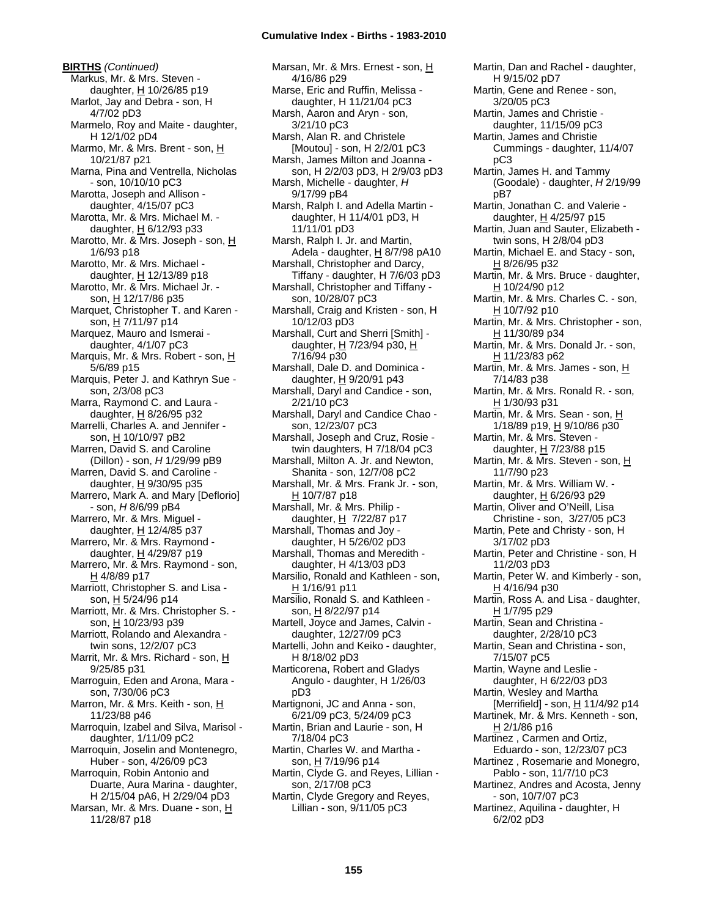**BIRTHS** *(Continued)* Markus, Mr. & Mrs. Steven daughter,  $H$  10/26/85 p19 Marlot, Jay and Debra - son, H 4/7/02 pD3 Marmelo, Roy and Maite - daughter, H 12/1/02 pD4 Marmo, Mr. & Mrs. Brent - son, H 10/21/87 p21 Marna, Pina and Ventrella, Nicholas - son, 10/10/10 pC3 Marotta, Joseph and Allison daughter, 4/15/07 pC3 Marotta, Mr. & Mrs. Michael M. daughter, H 6/12/93 p33 Marotto, Mr. & Mrs. Joseph - son, H 1/6/93 p18 Marotto, Mr. & Mrs. Michael daughter, H 12/13/89 p18 Marotto, Mr. & Mrs. Michael Jr. son, H 12/17/86 p35 Marquet, Christopher T. and Karen son, H 7/11/97 p14 Marquez, Mauro and Ismerai daughter, 4/1/07 pC3 Marquis, Mr. & Mrs. Robert - son, H 5/6/89 p15 Marquis, Peter J. and Kathryn Sue son, 2/3/08 pC3 Marra, Raymond C. and Laura daughter,  $H$  8/26/95 p32 Marrelli, Charles A. and Jennifer son, H 10/10/97 pB2 Marren, David S. and Caroline (Dillon) - son, *H* 1/29/99 pB9 Marren, David S. and Caroline daughter,  $H$  9/30/95 p35 Marrero, Mark A. and Mary [Deflorio] - son, *H* 8/6/99 pB4 Marrero, Mr. & Mrs. Miguel daughter, H 12/4/85 p37 Marrero, Mr. & Mrs. Raymond daughter, H 4/29/87 p19 Marrero, Mr. & Mrs. Raymond - son, H 4/8/89 p17 Marriott, Christopher S. and Lisa son, H 5/24/96 p14 Marriott, Mr. & Mrs. Christopher S. son, H 10/23/93 p39 Marriott, Rolando and Alexandra twin sons, 12/2/07 pC3 Marrit, Mr. & Mrs. Richard - son, H 9/25/85 p31 Marroguin, Eden and Arona, Mara son, 7/30/06 pC3 Marron, Mr. & Mrs. Keith - son, H 11/23/88 p46 Marroquin, Izabel and Silva, Marisol daughter, 1/11/09 pC2 Marroquin, Joselin and Montenegro, Huber - son, 4/26/09 pC3 Marroquin, Robin Antonio and Duarte, Aura Marina - daughter, H 2/15/04 pA6, H 2/29/04 pD3 Marsan, Mr. & Mrs. Duane - son, H 11/28/87 p18

Marsan, Mr. & Mrs. Ernest - son, H 4/16/86 p29 Marse, Eric and Ruffin, Melissa daughter, H 11/21/04 pC3 Marsh, Aaron and Aryn - son, 3/21/10 pC3 Marsh, Alan R. and Christele [Moutou] - son, H 2/2/01 pC3 Marsh, James Milton and Joanna son, H 2/2/03 pD3, H 2/9/03 pD3 Marsh, Michelle - daughter, *H* 9/17/99 pB4 Marsh, Ralph I. and Adella Martin daughter, H 11/4/01 pD3, H 11/11/01 pD3 Marsh, Ralph I. Jr. and Martin, Adela - daughter,  $H$  8/7/98 pA10 Marshall, Christopher and Darcy, Tiffany - daughter, H 7/6/03 pD3 Marshall, Christopher and Tiffany son, 10/28/07 pC3 Marshall, Craig and Kristen - son, H 10/12/03 pD3 Marshall, Curt and Sherri [Smith] daughter, H 7/23/94 p30, H 7/16/94 p30 Marshall, Dale D. and Dominica daughter,  $H$  9/20/91 p43 Marshall, Daryl and Candice - son, 2/21/10 pC3 Marshall, Daryl and Candice Chao son, 12/23/07 pC3 Marshall, Joseph and Cruz, Rosie twin daughters, H 7/18/04 pC3 Marshall, Milton A. Jr. and Newton, Shanita - son, 12/7/08 pC2 Marshall, Mr. & Mrs. Frank Jr. - son, H 10/7/87 p18 Marshall, Mr. & Mrs. Philip daughter,  $H$  7/22/87 p17 Marshall, Thomas and Joy daughter, H 5/26/02 pD3 Marshall, Thomas and Meredith daughter, H 4/13/03 pD3 Marsilio, Ronald and Kathleen - son, H 1/16/91 p11 Marsilio, Ronald S. and Kathleen son, H 8/22/97 p14 Martell, Joyce and James, Calvin daughter, 12/27/09 pC3 Martelli, John and Keiko - daughter, H 8/18/02 pD3 Marticorena, Robert and Gladys Angulo - daughter, H 1/26/03 pD3 Martignoni, JC and Anna - son, 6/21/09 pC3, 5/24/09 pC3 Martin, Brian and Laurie - son, H 7/18/04 pC3 Martin, Charles W. and Martha son, H 7/19/96 p14 Martin, Clyde G. and Reyes, Lillian son, 2/17/08 pC3 Martin, Clyde Gregory and Reyes, Lillian - son, 9/11/05 pC3

Martin, Dan and Rachel - daughter, H 9/15/02 pD7 Martin, Gene and Renee - son, 3/20/05 pC3 Martin, James and Christie daughter, 11/15/09 pC3 Martin, James and Christie Cummings - daughter, 11/4/07 pC3 Martin, James H. and Tammy (Goodale) - daughter, *H* 2/19/99 pB7 Martin, Jonathan C. and Valerie daughter, H 4/25/97 p15 Martin, Juan and Sauter, Elizabeth twin sons, H 2/8/04 pD3 Martin, Michael E. and Stacy - son, H 8/26/95 p32 Martin, Mr. & Mrs. Bruce - daughter, H 10/24/90 p12 Martin, Mr. & Mrs. Charles C. - son, H 10/7/92 p10 Martin, Mr. & Mrs. Christopher - son, H 11/30/89 p34 Martin, Mr. & Mrs. Donald Jr. - son, H 11/23/83 p62 Martin, Mr. & Mrs. James - son, H 7/14/83 p38 Martin, Mr. & Mrs. Ronald R. - son, H 1/30/93 p31 Martin, Mr. & Mrs. Sean - son, H 1/18/89 p19, H 9/10/86 p30 Martin, Mr. & Mrs. Steven daughter, H 7/23/88 p15 Martin, Mr. & Mrs. Steven - son, H 11/7/90 p23 Martin, Mr. & Mrs. William W. daughter, H 6/26/93 p29 Martin, Oliver and O'Neill, Lisa Christine - son, 3/27/05 pC3 Martin, Pete and Christy - son, H 3/17/02 pD3 Martin, Peter and Christine - son, H 11/2/03 pD3 Martin, Peter W. and Kimberly - son,  $H$  4/16/94 p30 Martin, Ross A. and Lisa - daughter, H 1/7/95 p29 Martin, Sean and Christina daughter, 2/28/10 pC3 Martin, Sean and Christina - son, 7/15/07 pC5 Martin, Wayne and Leslie daughter, H 6/22/03 pD3 Martin, Wesley and Martha [Merrifield] - son, H 11/4/92 p14 Martinek, Mr. & Mrs. Kenneth - son, H 2/1/86 p16 Martinez , Carmen and Ortiz, Eduardo - son, 12/23/07 pC3 Martinez , Rosemarie and Monegro, Pablo - son, 11/7/10 pC3 Martinez, Andres and Acosta, Jenny - son, 10/7/07 pC3 Martinez, Aquilina - daughter, H 6/2/02 pD3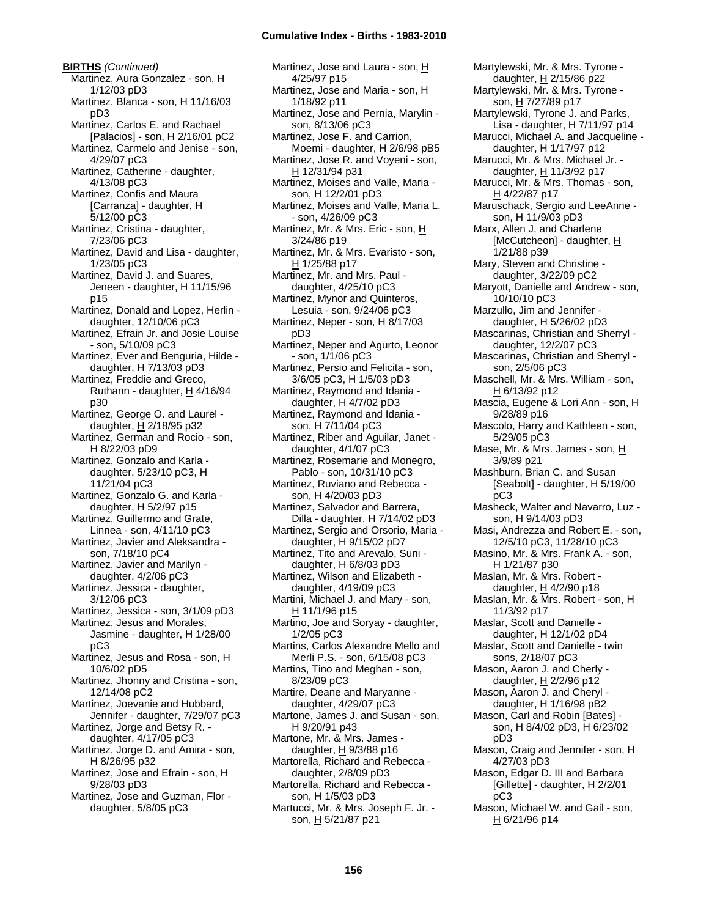**BIRTHS** *(Continued)* Martinez, Aura Gonzalez - son, H 1/12/03 pD3 Martinez, Blanca - son, H 11/16/03 pD3 Martinez, Carlos E. and Rachael [Palacios] - son, H 2/16/01 pC2 Martinez, Carmelo and Jenise - son, 4/29/07 pC3 Martinez, Catherine - daughter, 4/13/08 pC3 Martinez, Confis and Maura [Carranza] - daughter, H 5/12/00 pC3 Martinez, Cristina - daughter, 7/23/06 pC3 Martinez, David and Lisa - daughter, 1/23/05 pC3 Martinez, David J. and Suares, Jeneen - daughter, H 11/15/96 p15 Martinez, Donald and Lopez, Herlin daughter, 12/10/06 pC3 Martinez, Efrain Jr. and Josie Louise - son, 5/10/09 pC3 Martinez, Ever and Benguria, Hilde daughter, H 7/13/03 pD3 Martinez, Freddie and Greco, Ruthann - daughter, H 4/16/94 p30 Martinez, George O. and Laurel daughter, H 2/18/95 p32 Martinez, German and Rocio - son, H 8/22/03 pD9 Martinez, Gonzalo and Karla daughter, 5/23/10 pC3, H 11/21/04 pC3 Martinez, Gonzalo G. and Karla daughter, H 5/2/97 p15 Martinez, Guillermo and Grate, Linnea - son, 4/11/10 pC3 Martinez, Javier and Aleksandra son, 7/18/10 pC4 Martinez, Javier and Marilyn daughter, 4/2/06 pC3 Martinez, Jessica - daughter, 3/12/06 pC3 Martinez, Jessica - son, 3/1/09 pD3 Martinez, Jesus and Morales, Jasmine - daughter, H 1/28/00 pC3 Martinez, Jesus and Rosa - son, H 10/6/02 pD5 Martinez, Jhonny and Cristina - son, 12/14/08 pC2 Martinez, Joevanie and Hubbard, Jennifer - daughter, 7/29/07 pC3 Martinez, Jorge and Betsy R. daughter, 4/17/05 pC3 Martinez, Jorge D. and Amira - son, H 8/26/95 p32 Martinez, Jose and Efrain - son, H 9/28/03 pD3 Martinez, Jose and Guzman, Flor daughter, 5/8/05 pC3

Martinez, Jose and Laura - son, H 4/25/97 p15 Martinez, Jose and Maria - son, H 1/18/92 p11 Martinez, Jose and Pernia, Marylin son, 8/13/06 pC3 Martinez, Jose F. and Carrion, Moemi - daughter, H 2/6/98 pB5 Martinez, Jose R. and Voyeni - son, H 12/31/94 p31 Martinez, Moises and Valle, Maria son, H 12/2/01 pD3 Martinez, Moises and Valle, Maria L. - son, 4/26/09 pC3 Martinez, Mr. & Mrs. Eric - son, H 3/24/86 p19 Martinez, Mr. & Mrs. Evaristo - son, H 1/25/88 p17 Martinez, Mr. and Mrs. Paul daughter, 4/25/10 pC3 Martinez, Mynor and Quinteros, Lesuia - son, 9/24/06 pC3 Martinez, Neper - son, H 8/17/03 pD3 Martinez, Neper and Agurto, Leonor - son, 1/1/06 pC3 Martinez, Persio and Felicita - son, 3/6/05 pC3, H 1/5/03 pD3 Martinez, Raymond and Idania daughter, H 4/7/02 pD3 Martinez, Raymond and Idania son, H 7/11/04 pC3 Martinez, Riber and Aguilar, Janet daughter, 4/1/07 pC3 Martinez, Rosemarie and Monegro, Pablo - son, 10/31/10 pC3 Martinez, Ruviano and Rebecca son, H 4/20/03 pD3 Martinez, Salvador and Barrera, Dilla - daughter, H 7/14/02 pD3 Martinez, Sergio and Orsorio, Maria daughter, H 9/15/02 pD7 Martinez, Tito and Arevalo, Suni daughter, H 6/8/03 pD3 Martinez, Wilson and Elizabeth daughter, 4/19/09 pC3 Martini, Michael J. and Mary - son, H 11/1/96 p15 Martino, Joe and Soryay - daughter, 1/2/05 pC3 Martins, Carlos Alexandre Mello and Merli P.S. - son, 6/15/08 pC3 Martins, Tino and Meghan - son, 8/23/09 pC3 Martire, Deane and Maryanne daughter, 4/29/07 pC3 Martone, James J. and Susan - son, H 9/20/91 p43 Martone, Mr. & Mrs. James daughter,  $H$  9/3/88 p16 Martorella, Richard and Rebecca daughter, 2/8/09 pD3 Martorella, Richard and Rebecca son, H 1/5/03 pD3 Martucci, Mr. & Mrs. Joseph F. Jr. son, H 5/21/87 p21

Martylewski, Mr. & Mrs. Tyrone daughter, H 2/15/86 p22 Martylewski, Mr. & Mrs. Tyrone son, H 7/27/89 p17 Martylewski, Tyrone J. and Parks, Lisa - daughter, H 7/11/97 p14 Marucci, Michael A. and Jacqueline daughter, H 1/17/97 p12 Marucci, Mr. & Mrs. Michael Jr. daughter, H 11/3/92 p17 Marucci, Mr. & Mrs. Thomas - son, H 4/22/87 p17 Maruschack, Sergio and LeeAnne son, H 11/9/03 pD3 Marx, Allen J. and Charlene [McCutcheon] - daughter, H 1/21/88 p39 Mary, Steven and Christine daughter, 3/22/09 pC2 Maryott, Danielle and Andrew - son, 10/10/10 pC3 Marzullo, Jim and Jennifer daughter, H 5/26/02 pD3 Mascarinas, Christian and Sherryl daughter, 12/2/07 pC3 Mascarinas, Christian and Sherryl son, 2/5/06 pC3 Maschell, Mr. & Mrs. William - son, H 6/13/92 p12 Mascia, Eugene & Lori Ann - son, H 9/28/89 p16 Mascolo, Harry and Kathleen - son, 5/29/05 pC3 Mase, Mr. & Mrs. James - son, H 3/9/89 p21 Mashburn, Brian C. and Susan [Seabolt] - daughter, H 5/19/00 pC3 Masheck, Walter and Navarro, Luz son, H 9/14/03 pD3 Masi, Andrezza and Robert E. - son, 12/5/10 pC3, 11/28/10 pC3 Masino, Mr. & Mrs. Frank A. - son, H 1/21/87 p30 Maslan, Mr. & Mrs. Robert daughter,  $H$  4/2/90 p18 Maslan, Mr. & Mrs. Robert - son, H 11/3/92 p17 Maslar, Scott and Danielle daughter, H 12/1/02 pD4 Maslar, Scott and Danielle - twin sons, 2/18/07 pC3 Mason, Aaron J. and Cherly daughter, H 2/2/96 p12 Mason, Aaron J. and Cheryl daughter, H 1/16/98 pB2 Mason, Carl and Robin [Bates] son, H 8/4/02 pD3, H 6/23/02 pD3 Mason, Craig and Jennifer - son, H 4/27/03 pD3 Mason, Edgar D. III and Barbara [Gillette] - daughter, H 2/2/01 pC3 Mason, Michael W. and Gail - son, H 6/21/96 p14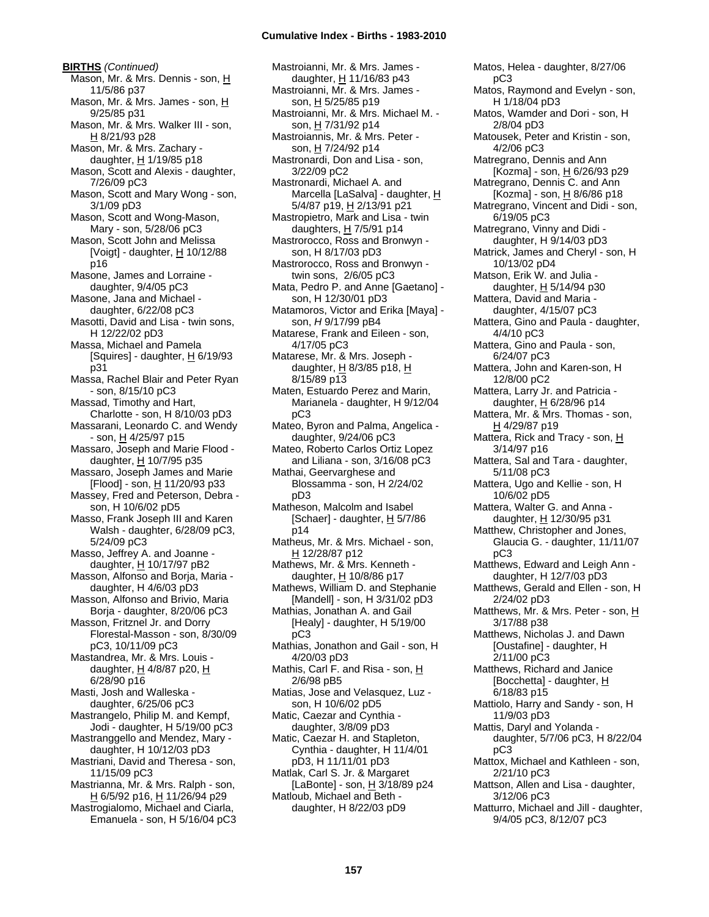**BIRTHS** *(Continued)* Mason, Mr. & Mrs. Dennis - son, H 11/5/86 p37 Mason, Mr. & Mrs. James - son, H 9/25/85 p31 Mason, Mr. & Mrs. Walker III - son, H 8/21/93 p28 Mason, Mr. & Mrs. Zachary daughter,  $H$  1/19/85 p18 Mason, Scott and Alexis - daughter, 7/26/09 pC3 Mason, Scott and Mary Wong - son, 3/1/09 pD3 Mason, Scott and Wong-Mason, Mary - son, 5/28/06 pC3 Mason, Scott John and Melissa [Voigt] - daughter,  $\underline{H}$  10/12/88 p16 Masone, James and Lorraine daughter, 9/4/05 pC3 Masone, Jana and Michael daughter, 6/22/08 pC3 Masotti, David and Lisa - twin sons, H 12/22/02 pD3 Massa, Michael and Pamela [Squires] - daughter,  $H$  6/19/93 p31 Massa, Rachel Blair and Peter Ryan - son, 8/15/10 pC3 Massad, Timothy and Hart, Charlotte - son, H 8/10/03 pD3 Massarani, Leonardo C. and Wendy  $-$  son,  $\underline{H}$  4/25/97 p15 Massaro, Joseph and Marie Flood daughter, H 10/7/95 p35 Massaro, Joseph James and Marie [Flood] - son, H 11/20/93 p33 Massey, Fred and Peterson, Debra son, H 10/6/02 pD5 Masso, Frank Joseph III and Karen Walsh - daughter, 6/28/09 pC3, 5/24/09 pC3 Masso, Jeffrey A. and Joanne daughter, H 10/17/97 pB2 Masson, Alfonso and Borja, Maria daughter, H 4/6/03 pD3 Masson, Alfonso and Brivio, Maria Borja - daughter, 8/20/06 pC3 Masson, Fritznel Jr. and Dorry Florestal-Masson - son, 8/30/09 pC3, 10/11/09 pC3 Mastandrea, Mr. & Mrs. Louis daughter,  $H$  4/8/87 p20,  $H$ 6/28/90 p16 Masti, Josh and Walleska daughter, 6/25/06 pC3 Mastrangelo, Philip M. and Kempf, Jodi - daughter, H 5/19/00 pC3 Mastranggello and Mendez, Mary daughter, H 10/12/03 pD3 Mastriani, David and Theresa - son, 11/15/09 pC3 Mastrianna, Mr. & Mrs. Ralph - son, H 6/5/92 p16, H 11/26/94 p29 Mastrogialomo, Michael and Ciarla, Emanuela - son, H 5/16/04 pC3

Mastroianni, Mr. & Mrs. James daughter, H 11/16/83 p43 Mastroianni, Mr. & Mrs. James son, H 5/25/85 p19 Mastroianni, Mr. & Mrs. Michael M. son, H 7/31/92 p14 Mastroiannis, Mr. & Mrs. Peter son, H 7/24/92 p14 Mastronardi, Don and Lisa - son, 3/22/09 pC2 Mastronardi, Michael A. and Marcella [LaSalva] - daughter, H 5/4/87 p19, H 2/13/91 p21 Mastropietro, Mark and Lisa - twin daughters,  $H$  7/5/91 p14 Mastrorocco, Ross and Bronwyn son, H 8/17/03 pD3 Mastrorocco, Ross and Bronwyn twin sons, 2/6/05 pC3 Mata, Pedro P. and Anne [Gaetano] son, H 12/30/01 pD3 Matamoros, Victor and Erika [Maya] son, *H* 9/17/99 pB4 Matarese, Frank and Eileen - son, 4/17/05 pC3 Matarese, Mr. & Mrs. Joseph daughter,  $H$  8/3/85 p18,  $H$ 8/15/89 p13 Maten, Estuardo Perez and Marin, Marianela - daughter, H 9/12/04 pC3 Mateo, Byron and Palma, Angelica daughter, 9/24/06 pC3 Mateo, Roberto Carlos Ortiz Lopez and Liliana - son, 3/16/08 pC3 Mathai, Geervarghese and Blossamma - son, H 2/24/02 pD3 Matheson, Malcolm and Isabel [Schaer] - daughter,  $H$  5/7/86 p14 Matheus, Mr. & Mrs. Michael - son, H 12/28/87 p12 Mathews, Mr. & Mrs. Kenneth daughter, H 10/8/86 p17 Mathews, William D. and Stephanie [Mandell] - son, H 3/31/02 pD3 Mathias, Jonathan A. and Gail [Healy] - daughter, H 5/19/00 pC3 Mathias, Jonathon and Gail - son, H 4/20/03 pD3 Mathis, Carl F. and Risa - son, H 2/6/98 pB5 Matias, Jose and Velasquez, Luz son, H 10/6/02 pD5 Matic, Caezar and Cynthia daughter, 3/8/09 pD3 Matic, Caezar H. and Stapleton, Cynthia - daughter, H 11/4/01 pD3, H 11/11/01 pD3 Matlak, Carl S. Jr. & Margaret [LaBonte] - son, H 3/18/89 p24 Matloub, Michael and Beth daughter, H 8/22/03 pD9

pC3 Matos, Raymond and Evelyn - son, H 1/18/04 pD3 Matos, Wamder and Dori - son, H 2/8/04 pD3 Matousek, Peter and Kristin - son, 4/2/06 pC3 Matregrano, Dennis and Ann [Kozma] - son, H 6/26/93 p29 Matregrano, Dennis C. and Ann [Kozma] - son,  $H$  8/6/86 p18 Matregrano, Vincent and Didi - son, 6/19/05 pC3 Matregrano, Vinny and Didi daughter, H 9/14/03 pD3 Matrick, James and Cheryl - son, H 10/13/02 pD4 Matson, Erik W. and Julia daughter, H 5/14/94 p30 Mattera, David and Maria daughter, 4/15/07 pC3 Mattera, Gino and Paula - daughter, 4/4/10 pC3 Mattera, Gino and Paula - son, 6/24/07 pC3 Mattera, John and Karen-son, H 12/8/00 pC2 Mattera, Larry Jr. and Patricia daughter, H 6/28/96 p14 Mattera, Mr. & Mrs. Thomas - son, H 4/29/87 p19 Mattera, Rick and Tracy - son, H 3/14/97 p16 Mattera, Sal and Tara - daughter, 5/11/08 pC3 Mattera, Ugo and Kellie - son, H 10/6/02 pD5 Mattera, Walter G. and Anna daughter,  $H$  12/30/95 p31 Matthew, Christopher and Jones, Glaucia G. - daughter, 11/11/07 pC3 Matthews, Edward and Leigh Ann daughter, H 12/7/03 pD3 Matthews, Gerald and Ellen - son, H 2/24/02 pD3 Matthews, Mr. & Mrs. Peter - son, H 3/17/88 p38 Matthews, Nicholas J. and Dawn [Oustafine] - daughter, H 2/11/00 pC3 Matthews, Richard and Janice [Bocchetta] - daughter, H 6/18/83 p15 Mattiolo, Harry and Sandy - son, H 11/9/03 pD3 Mattis, Daryl and Yolanda daughter, 5/7/06 pC3, H 8/22/04 pC3 Mattox, Michael and Kathleen - son, 2/21/10 pC3 Mattson, Allen and Lisa - daughter, 3/12/06 pC3 Matturro, Michael and Jill - daughter, 9/4/05 pC3, 8/12/07 pC3

Matos, Helea - daughter, 8/27/06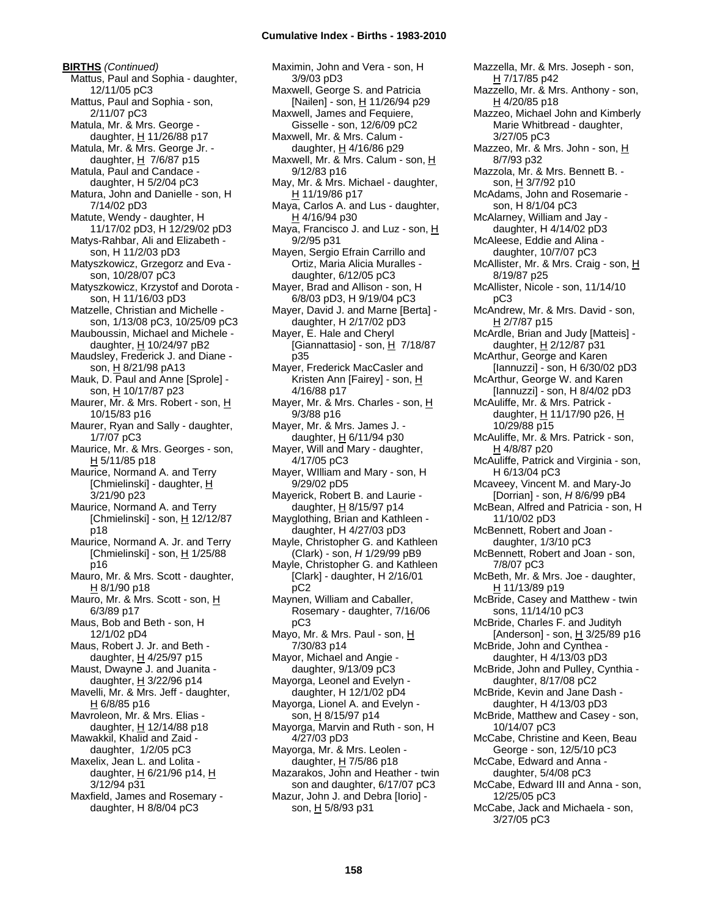# **Cumulative Index - Births - 1983-2010**

**BIRTHS** *(Continued)* Mattus, Paul and Sophia - daughter, 12/11/05 pC3 Mattus, Paul and Sophia - son, 2/11/07 pC3 Matula, Mr. & Mrs. George daughter,  $H$  11/26/88 p17 Matula, Mr. & Mrs. George Jr. daughter,  $H$  7/6/87 p15 Matula, Paul and Candace daughter, H 5/2/04 pC3 Matura, John and Danielle - son, H 7/14/02 pD3 Matute, Wendy - daughter, H 11/17/02 pD3, H 12/29/02 pD3 Matys-Rahbar, Ali and Elizabeth son, H 11/2/03 pD3 Matyszkowicz, Grzegorz and Eva son, 10/28/07 pC3 Matyszkowicz, Krzystof and Dorota son, H 11/16/03 pD3 Matzelle, Christian and Michelle son, 1/13/08 pC3, 10/25/09 pC3 Mauboussin, Michael and Michele daughter,  $H$  10/24/97 pB2 Maudsley, Frederick J. and Diane son, H 8/21/98 pA13 Mauk, D. Paul and Anne [Sprole] son, H 10/17/87 p23 Maurer, Mr. & Mrs. Robert - son, H 10/15/83 p16 Maurer, Ryan and Sally - daughter, 1/7/07 pC3 Maurice, Mr. & Mrs. Georges - son, H 5/11/85 p18 Maurice, Normand A. and Terry [Chmielinski] - daughter, H 3/21/90 p23 Maurice, Normand A. and Terry [Chmielinski] - son,  $H$  12/12/87 p18 Maurice, Normand A. Jr. and Terry [Chmielinski] - son,  $\underline{H}$  1/25/88 p16 Mauro, Mr. & Mrs. Scott - daughter,  $H$  8/1/90 p18 Mauro, Mr. & Mrs. Scott - son, H 6/3/89 p17 Maus, Bob and Beth - son, H 12/1/02 pD4 Maus, Robert J. Jr. and Beth daughter,  $\underline{H}$  4/25/97 p15 Maust, Dwayne J. and Juanita daughter,  $H$  3/22/96 p14 Mavelli, Mr. & Mrs. Jeff - daughter,  $H$  6/8/85 p16 Mavroleon, Mr. & Mrs. Elias daughter, H 12/14/88 p18 Mawakkil, Khalid and Zaid daughter, 1/2/05 pC3 Maxelix, Jean L. and Lolita daughter,  $\underline{H}$  6/21/96 p14,  $\underline{H}$ 3/12/94 p31 Maxfield, James and Rosemary daughter, H 8/8/04 pC3

Maximin, John and Vera - son, H 3/9/03 pD3 Maxwell, George S. and Patricia [Nailen] - son,  $H$  11/26/94 p29 Maxwell, James and Fequiere, Gisselle - son, 12/6/09 pC2 Maxwell, Mr. & Mrs. Calum daughter,  $H$  4/16/86 p29 Maxwell, Mr. & Mrs. Calum - son, H 9/12/83 p16 May, Mr. & Mrs. Michael - daughter, H 11/19/86 p17 Maya, Carlos A. and Lus - daughter, H 4/16/94 p30 Maya, Francisco J. and Luz - son, H 9/2/95 p31 Mayen, Sergio Efrain Carrillo and Ortiz, Maria Alicia Muralles daughter, 6/12/05 pC3 Mayer, Brad and Allison - son, H 6/8/03 pD3, H 9/19/04 pC3 Mayer, David J. and Marne [Berta] daughter, H 2/17/02 pD3 Mayer, E. Hale and Cheryl [Giannattasio] - son,  $H$  7/18/87 p35 Mayer, Frederick MacCasler and Kristen Ann [Fairey] - son, H 4/16/88 p17 Mayer, Mr. & Mrs. Charles - son, H 9/3/88 p16 Mayer, Mr. & Mrs. James J. daughter,  $H$  6/11/94 p30 Mayer, Will and Mary - daughter, 4/17/05 pC3 Mayer, WIlliam and Mary - son, H 9/29/02 pD5 Mayerick, Robert B. and Laurie daughter, H 8/15/97 p14 Mayglothing, Brian and Kathleen daughter, H 4/27/03 pD3 Mayle, Christopher G. and Kathleen (Clark) - son, *H* 1/29/99 pB9 Mayle, Christopher G. and Kathleen [Clark] - daughter, H 2/16/01 pC2 Maynen, William and Caballer, Rosemary - daughter, 7/16/06 pC3 Mayo, Mr. & Mrs. Paul - son, H 7/30/83 p14 Mayor, Michael and Angie daughter, 9/13/09 pC3 Mayorga, Leonel and Evelyn daughter, H 12/1/02 pD4 Mayorga, Lionel A. and Evelyn son, H 8/15/97 p14 Mayorga, Marvin and Ruth - son, H 4/27/03 pD3 Mayorga, Mr. & Mrs. Leolen daughter,  $H$  7/5/86 p18 Mazarakos, John and Heather - twin son and daughter, 6/17/07 pC3 Mazur, John J. and Debra [Iorio] son, H 5/8/93 p31

H 7/17/85 p42 Mazzello, Mr. & Mrs. Anthony - son, H 4/20/85 p18 Mazzeo, Michael John and Kimberly Marie Whitbread - daughter, 3/27/05 pC3 Mazzeo, Mr. & Mrs. John - son, H 8/7/93 p32 Mazzola, Mr. & Mrs. Bennett B. son, H 3/7/92 p10 McAdams, John and Rosemarie son, H 8/1/04 pC3 McAlarney, William and Jay daughter, H 4/14/02 pD3 McAleese, Eddie and Alina daughter, 10/7/07 pC3 McAllister, Mr. & Mrs. Craig - son, H 8/19/87 p25 McAllister, Nicole - son, 11/14/10 pC3 McAndrew, Mr. & Mrs. David - son, H 2/7/87 p15 McArdle, Brian and Judy [Matteis] daughter, H 2/12/87 p31 McArthur, George and Karen [Iannuzzi] - son, H 6/30/02 pD3 McArthur, George W. and Karen [Iannuzzi] - son, H 8/4/02 pD3 McAuliffe, Mr. & Mrs. Patrick daughter, H 11/17/90 p26, H 10/29/88 p15 McAuliffe, Mr. & Mrs. Patrick - son, H 4/8/87 p20 McAuliffe, Patrick and Virginia - son, H 6/13/04 pC3 Mcaveey, Vincent M. and Mary-Jo [Dorrian] - son, *H* 8/6/99 pB4 McBean, Alfred and Patricia - son, H 11/10/02 pD3 McBennett, Robert and Joan daughter, 1/3/10 pC3 McBennett, Robert and Joan - son, 7/8/07 pC3 McBeth, Mr. & Mrs. Joe - daughter, H 11/13/89 p19 McBride, Casey and Matthew - twin sons, 11/14/10 pC3 McBride, Charles F. and Judityh [Anderson] - son,  $\underline{H}$  3/25/89 p16 McBride, John and Cynthea daughter, H 4/13/03 pD3 McBride, John and Pulley, Cynthia daughter, 8/17/08 pC2 McBride, Kevin and Jane Dash daughter, H 4/13/03 pD3 McBride, Matthew and Casey - son, 10/14/07 pC3 McCabe, Christine and Keen, Beau George - son, 12/5/10 pC3 McCabe, Edward and Anna daughter, 5/4/08 pC3 McCabe, Edward III and Anna - son, 12/25/05 pC3 McCabe, Jack and Michaela - son, 3/27/05 pC3

Mazzella, Mr. & Mrs. Joseph - son,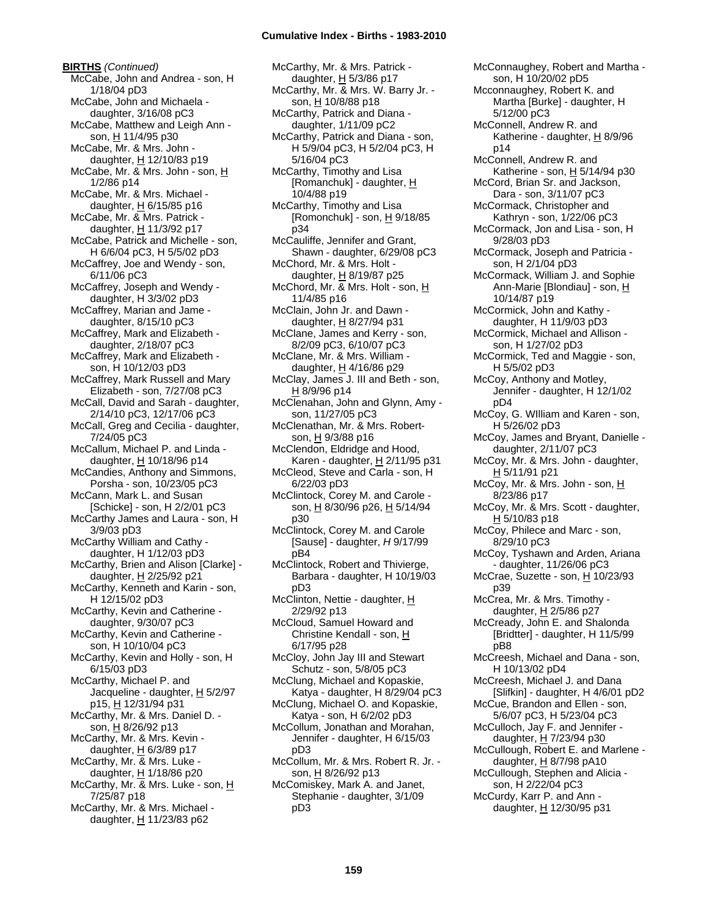**BIRTHS** *(Continued)* McCabe, John and Andrea - son, H 1/18/04 pD3 McCabe, John and Michaela daughter, 3/16/08 pC3 McCabe, Matthew and Leigh Ann son, H 11/4/95 p30 McCabe, Mr. & Mrs. John daughter, H 12/10/83 p19 McCabe, Mr. & Mrs. John - son, H 1/2/86 p14 McCabe, Mr. & Mrs. Michael daughter,  $H$  6/15/85 p16 McCabe, Mr. & Mrs. Patrick daughter, H 11/3/92 p17 McCabe, Patrick and Michelle - son, H 6/6/04 pC3, H 5/5/02 pD3 McCaffrey, Joe and Wendy - son, 6/11/06 pC3 McCaffrey, Joseph and Wendy daughter, H 3/3/02 pD3 McCaffrey, Marian and Jame daughter, 8/15/10 pC3 McCaffrey, Mark and Elizabeth daughter, 2/18/07 pC3 McCaffrey, Mark and Elizabeth son, H 10/12/03 pD3 McCaffrey, Mark Russell and Mary Elizabeth - son, 7/27/08 pC3 McCall, David and Sarah - daughter, 2/14/10 pC3, 12/17/06 pC3 McCall, Greg and Cecilia - daughter, 7/24/05 pC3 McCallum, Michael P. and Linda daughter, H 10/18/96 p14 McCandies, Anthony and Simmons, Porsha - son, 10/23/05 pC3 McCann, Mark L. and Susan [Schicke] - son, H 2/2/01 pC3 McCarthy James and Laura - son, H 3/9/03 pD3 McCarthy William and Cathy daughter, H 1/12/03 pD3 McCarthy, Brien and Alison [Clarke] daughter, H 2/25/92 p21 McCarthy, Kenneth and Karin - son, H 12/15/02 pD3 McCarthy, Kevin and Catherine daughter, 9/30/07 pC3 McCarthy, Kevin and Catherine son, H 10/10/04 pC3 McCarthy, Kevin and Holly - son, H 6/15/03 pD3 McCarthy, Michael P. and Jacqueline - daughter,  $H$  5/2/97 p15, H 12/31/94 p31 McCarthy, Mr. & Mrs. Daniel D. son, H 8/26/92 p13 McCarthy, Mr. & Mrs. Kevin daughter,  $H$  6/3/89 p17 McCarthy, Mr. & Mrs. Luke daughter, H 1/18/86 p20 McCarthy, Mr. & Mrs. Luke - son, H 7/25/87 p18 McCarthy, Mr. & Mrs. Michael daughter,  $H$  11/23/83 p62

McCarthy, Mr. & Mrs. Patrick daughter, H 5/3/86 p17 McCarthy, Mr. & Mrs. W. Barry Jr. son, H 10/8/88 p18 McCarthy, Patrick and Diana daughter, 1/11/09 pC2 McCarthy, Patrick and Diana - son, H 5/9/04 pC3, H 5/2/04 pC3, H 5/16/04 pC3 McCarthy, Timothy and Lisa [Romanchuk] - daughter, H 10/4/88 p19 McCarthy, Timothy and Lisa [Romonchuk] - son,  $\underline{H}$  9/18/85 p34 McCauliffe, Jennifer and Grant, Shawn - daughter, 6/29/08 pC3 McChord, Mr. & Mrs. Holt daughter,  $H$  8/19/87 p25 McChord, Mr. & Mrs. Holt - son, H 11/4/85 p16 McClain, John Jr. and Dawn daughter, H 8/27/94 p31 McClane, James and Kerry - son, 8/2/09 pC3, 6/10/07 pC3 McClane, Mr. & Mrs. William daughter,  $H$  4/16/86 p29 McClay, James J. III and Beth - son, H 8/9/96 p14 McClenahan, John and Glynn, Amy son, 11/27/05 pC3 McClenathan, Mr. & Mrs. Robertson, H 9/3/88 p16 McClendon, Eldridge and Hood, Karen - daughter, H 2/11/95 p31 McCleod, Steve and Carla - son, H 6/22/03 pD3 McClintock, Corey M. and Carole son, H 8/30/96 p26, H 5/14/94 p30 McClintock, Corey M. and Carole [Sause] - daughter, *H* 9/17/99 pB4 McClintock, Robert and Thivierge, Barbara - daughter, H 10/19/03 pD3 McClinton, Nettie - daughter, H 2/29/92 p13 McCloud, Samuel Howard and Christine Kendall - son, H 6/17/95 p28 McCloy, John Jay III and Stewart Schutz - son, 5/8/05 pC3 McClung, Michael and Kopaskie, Katya - daughter, H 8/29/04 pC3 McClung, Michael O. and Kopaskie, Katya - son, H 6/2/02 pD3 McCollum, Jonathan and Morahan, Jennifer - daughter, H 6/15/03 pD3 McCollum, Mr. & Mrs. Robert R. Jr. son, H 8/26/92 p13 McComiskey, Mark A. and Janet, Stephanie - daughter, 3/1/09 pD3

McConnaughey, Robert and Martha son, H 10/20/02 pD5 Mcconnaughey, Robert K. and Martha [Burke] - daughter, H 5/12/00 pC3 McConnell, Andrew R. and Katherine - daughter, H 8/9/96 p14 McConnell, Andrew R. and Katherine - son,  $H$  5/14/94 p30 McCord, Brian Sr. and Jackson, Dara - son, 3/11/07 pC3 McCormack, Christopher and Kathryn - son, 1/22/06 pC3 McCormack, Jon and Lisa - son, H 9/28/03 pD3 McCormack, Joseph and Patricia son, H 2/1/04 pD3 McCormack, William J. and Sophie Ann-Marie [Blondiau] - son, H 10/14/87 p19 McCormick, John and Kathy daughter, H 11/9/03 pD3 McCormick, Michael and Allison son, H 1/27/02 pD3 McCormick, Ted and Maggie - son, H 5/5/02 pD3 McCoy, Anthony and Motley, Jennifer - daughter, H 12/1/02 pD4 McCoy, G. WIlliam and Karen - son, H 5/26/02 pD3 McCoy, James and Bryant, Danielle daughter, 2/11/07 pC3 McCoy, Mr. & Mrs. John - daughter, <u>H</u> 5/11/91 p21 McCoy, Mr. & Mrs. John - son, H 8/23/86 p17 McCoy, Mr. & Mrs. Scott - daughter, H 5/10/83 p18 McCoy, Philece and Marc - son, 8/29/10 pC3 McCoy, Tyshawn and Arden, Ariana - daughter, 11/26/06 pC3 McCrae, Suzette - son,  $H$  10/23/93 p39 McCrea, Mr. & Mrs. Timothy daughter, H 2/5/86 p27 McCready, John E. and Shalonda [Bridtter] - daughter, H 11/5/99 pB8 McCreesh, Michael and Dana - son, H 10/13/02 pD4 McCreesh, Michael J. and Dana [Slifkin] - daughter, H 4/6/01 pD2 McCue, Brandon and Ellen - son, 5/6/07 pC3, H 5/23/04 pC3 McCulloch, Jay F. and Jennifer daughter, H 7/23/94 p30 McCullough, Robert E. and Marlene daughter,  $H$  8/7/98 pA10 McCullough, Stephen and Alicia son, H 2/22/04 pC3 McCurdy, Karr P. and Ann daughter, H 12/30/95 p31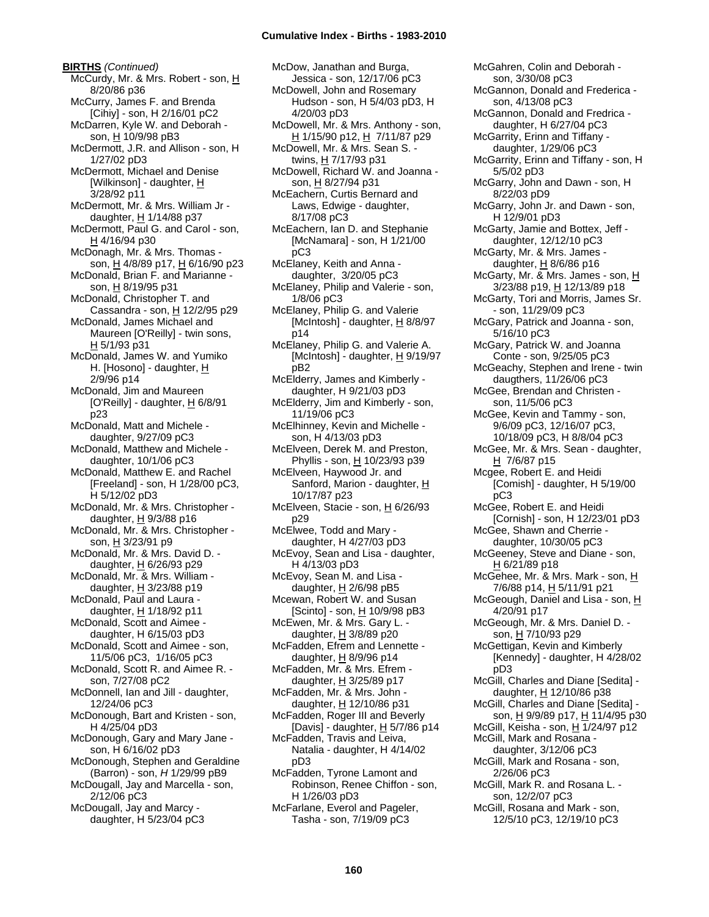**BIRTHS** *(Continued)* McCurdy, Mr. & Mrs. Robert - son, H 8/20/86 p36 McCurry, James F. and Brenda [Cihiy] - son, H 2/16/01 pC2 McDarren, Kyle W. and Deborah son, H 10/9/98 pB3 McDermott, J.R. and Allison - son, H 1/27/02 pD3 McDermott, Michael and Denise [Wilkinson] - daughter, H 3/28/92 p11 McDermott, Mr. & Mrs. William Jr daughter, H 1/14/88 p37 McDermott, Paul G. and Carol - son, H 4/16/94 p30 McDonagh, Mr. & Mrs. Thomas son, H 4/8/89 p17, H 6/16/90 p23 McDonald, Brian F. and Marianne son, H 8/19/95 p31 McDonald, Christopher T. and Cassandra - son,  $H$  12/2/95 p29 McDonald, James Michael and Maureen [O'Reilly] - twin sons, H 5/1/93 p31 McDonald, James W. and Yumiko H. [Hosono] - daughter, H 2/9/96 p14 McDonald, Jim and Maureen [O'Reilly] - daughter, H 6/8/91 p23 McDonald, Matt and Michele daughter, 9/27/09 pC3 McDonald, Matthew and Michele daughter, 10/1/06 pC3 McDonald, Matthew E. and Rachel [Freeland] - son, H 1/28/00 pC3, H 5/12/02 pD3 McDonald, Mr. & Mrs. Christopher daughter,  $H$  9/3/88 p16 McDonald, Mr. & Mrs. Christopher son, H 3/23/91 p9 McDonald, Mr. & Mrs. David D. daughter, H 6/26/93 p29 McDonald, Mr. & Mrs. William daughter,  $H$  3/23/88 p19 McDonald, Paul and Laura daughter,  $H$  1/18/92 p11 McDonald, Scott and Aimee daughter, H 6/15/03 pD3 McDonald, Scott and Aimee - son, 11/5/06 pC3, 1/16/05 pC3 McDonald, Scott R. and Aimee R. son, 7/27/08 pC2 McDonnell, Ian and Jill - daughter, 12/24/06 pC3 McDonough, Bart and Kristen - son, H 4/25/04 pD3 McDonough, Gary and Mary Jane son, H 6/16/02 pD3 McDonough, Stephen and Geraldine (Barron) - son, *H* 1/29/99 pB9 McDougall, Jay and Marcella - son, 2/12/06 pC3 McDougall, Jay and Marcy daughter, H 5/23/04 pC3

McDow, Janathan and Burga, Jessica - son, 12/17/06 pC3 McDowell, John and Rosemary Hudson - son, H 5/4/03 pD3, H 4/20/03 pD3 McDowell, Mr. & Mrs. Anthony - son, H 1/15/90 p12, H 7/11/87 p29 McDowell, Mr. & Mrs. Sean S. twins, H 7/17/93 p31 McDowell, Richard W. and Joanna son, H 8/27/94 p31 McEachern, Curtis Bernard and Laws, Edwige - daughter, 8/17/08 pC3 McEachern, Ian D. and Stephanie [McNamara] - son, H 1/21/00 pC3 McElaney, Keith and Anna daughter, 3/20/05 pC3 McElaney, Philip and Valerie - son, 1/8/06 pC3 McElaney, Philip G. and Valerie [McIntosh] - daughter,  $\underline{H}$  8/8/97 p14 McElaney, Philip G. and Valerie A. [McIntosh] - daughter,  $H$  9/19/97 pB2 McElderry, James and Kimberly daughter, H 9/21/03 pD3 McElderry, Jim and Kimberly - son, 11/19/06 pC3 McElhinney, Kevin and Michelle son, H 4/13/03 pD3 McElveen, Derek M. and Preston, Phyllis - son, H 10/23/93 p39 McElveen, Haywood Jr. and Sanford, Marion - daughter, H 10/17/87 p23 McElveen, Stacie - son, H 6/26/93 p29 McElwee, Todd and Mary daughter, H 4/27/03 pD3 McEvoy, Sean and Lisa - daughter, H 4/13/03 pD3 McEvoy, Sean M. and Lisa daughter,  $H$  2/6/98 pB5 Mcewan, Robert W. and Susan [Scinto] - son, H 10/9/98 pB3 McEwen, Mr. & Mrs. Gary L. daughter,  $H$  3/8/89 p20 McFadden, Efrem and Lennette daughter,  $H$  8/9/96 p14 McFadden, Mr. & Mrs. Efrem daughter,  $H$  3/25/89 p17 McFadden, Mr. & Mrs. John daughter, H 12/10/86 p31 McFadden, Roger III and Beverly [Davis] - daughter,  $H$  5/7/86 p14 McFadden, Travis and Leiva, Natalia - daughter, H 4/14/02 pD3 McFadden, Tyrone Lamont and Robinson, Renee Chiffon - son, H 1/26/03 pD3 McFarlane, Everol and Pageler, Tasha - son, 7/19/09 pC3

McGahren, Colin and Deborah son, 3/30/08 pC3 McGannon, Donald and Frederica son, 4/13/08 pC3 McGannon, Donald and Fredrica daughter, H 6/27/04 pC3 McGarrity, Erinn and Tiffany daughter, 1/29/06 pC3 McGarrity, Erinn and Tiffany - son, H 5/5/02 pD3 McGarry, John and Dawn - son, H 8/22/03 pD9 McGarry, John Jr. and Dawn - son, H 12/9/01 pD3 McGarty, Jamie and Bottex, Jeff daughter, 12/12/10 pC3 McGarty, Mr. & Mrs. James daughter,  $H$  8/6/86 p16 McGarty, Mr. & Mrs. James - son, H 3/23/88 p19, H 12/13/89 p18 McGarty, Tori and Morris, James Sr. - son, 11/29/09 pC3 McGary, Patrick and Joanna - son, 5/16/10 pC3 McGary, Patrick W. and Joanna Conte - son, 9/25/05 pC3 McGeachy, Stephen and Irene - twin daugthers, 11/26/06 pC3 McGee, Brendan and Christen son, 11/5/06 pC3 McGee, Kevin and Tammy - son, 9/6/09 pC3, 12/16/07 pC3, 10/18/09 pC3, H 8/8/04 pC3 McGee, Mr. & Mrs. Sean - daughter, H 7/6/87 p15 Mcgee, Robert E. and Heidi [Comish] - daughter, H 5/19/00 pC3 McGee, Robert E. and Heidi [Cornish] - son, H 12/23/01 pD3 McGee, Shawn and Cherrie daughter, 10/30/05 pC3 McGeeney, Steve and Diane - son, H 6/21/89 p18 McGehee, Mr. & Mrs. Mark - son, H 7/6/88 p14, H 5/11/91 p21 McGeough, Daniel and Lisa - son, H 4/20/91 p17 McGeough, Mr. & Mrs. Daniel D. son, H 7/10/93 p29 McGettigan, Kevin and Kimberly [Kennedy] - daughter, H 4/28/02 pD3 McGill, Charles and Diane [Sedita] daughter,  $H$  12/10/86 p38 McGill, Charles and Diane [Sedita] son, H 9/9/89 p17, H 11/4/95 p30 McGill, Keisha - son,  $H$  1/24/97 p12 McGill, Mark and Rosana daughter, 3/12/06 pC3 McGill, Mark and Rosana - son, 2/26/06 pC3 McGill, Mark R. and Rosana L. son, 12/2/07 pC3 McGill, Rosana and Mark - son, 12/5/10 pC3, 12/19/10 pC3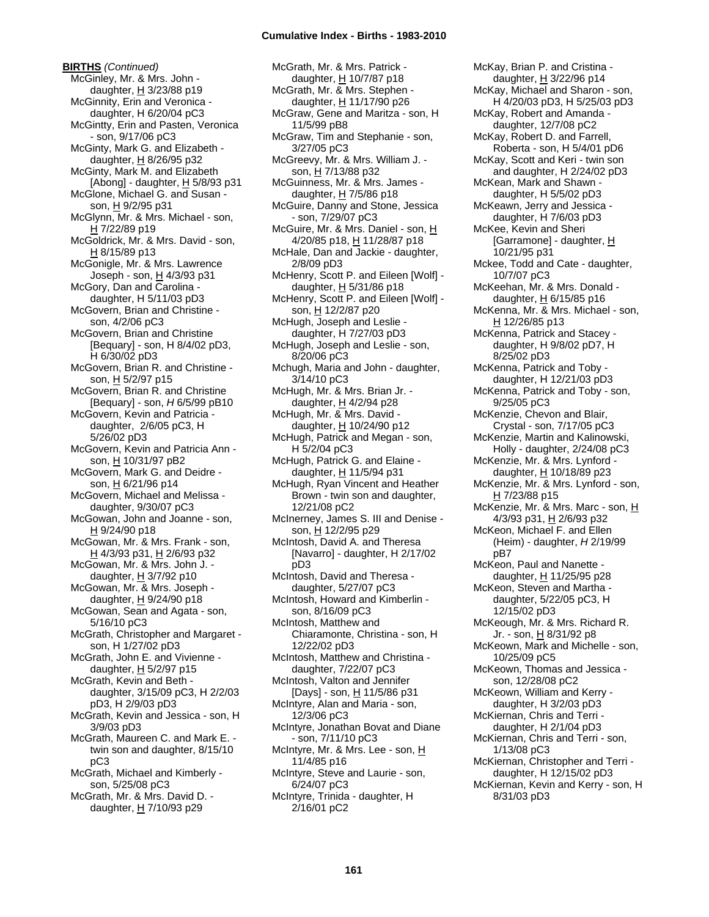**BIRTHS** *(Continued)* McGinley, Mr. & Mrs. John daughter,  $H$  3/23/88 p19 McGinnity, Erin and Veronica daughter, H 6/20/04 pC3 McGintty, Erin and Pasten, Veronica - son, 9/17/06 pC3 McGinty, Mark G. and Elizabeth daughter,  $H$  8/26/95 p32 McGinty, Mark M. and Elizabeth [Abong] - daughter, H 5/8/93 p31 McGlone, Michael G. and Susan son, H 9/2/95 p31 McGlynn, Mr. & Mrs. Michael - son, H 7/22/89 p19 McGoldrick, Mr. & Mrs. David - son, H 8/15/89 p13 McGonigle, Mr. & Mrs. Lawrence Joseph - son, H 4/3/93 p31 McGory, Dan and Carolina daughter, H 5/11/03 pD3 McGovern, Brian and Christine son, 4/2/06 pC3 McGovern, Brian and Christine [Bequary] - son, H 8/4/02 pD3, H 6/30/02 pD3 McGovern, Brian R. and Christine son, H 5/2/97 p15 McGovern, Brian R. and Christine [Bequary] - son, *H* 6/5/99 pB10 McGovern, Kevin and Patricia daughter, 2/6/05 pC3, H 5/26/02 pD3 McGovern, Kevin and Patricia Ann son, H 10/31/97 pB2 McGovern, Mark G. and Deidre son, H 6/21/96 p14 McGovern, Michael and Melissa daughter, 9/30/07 pC3 McGowan, John and Joanne - son, H 9/24/90 p18 McGowan, Mr. & Mrs. Frank - son, H 4/3/93 p31, H 2/6/93 p32 McGowan, Mr. & Mrs. John J. daughter,  $H$  3/7/92 p10 McGowan, Mr. & Mrs. Joseph daughter,  $H$  9/24/90 p18 McGowan, Sean and Agata - son, 5/16/10 pC3 McGrath, Christopher and Margaret son, H 1/27/02 pD3 McGrath, John E. and Vivienne daughter, H 5/2/97 p15 McGrath, Kevin and Beth daughter, 3/15/09 pC3, H 2/2/03 pD3, H 2/9/03 pD3 McGrath, Kevin and Jessica - son, H 3/9/03 pD3 McGrath, Maureen C. and Mark E. twin son and daughter, 8/15/10 pC3 McGrath, Michael and Kimberly son, 5/25/08 pC3

McGrath, Mr. & Mrs. David D. daughter,  $H$  7/10/93 p29

McGrath, Mr. & Mrs. Patrick daughter, H 10/7/87 p18 McGrath, Mr. & Mrs. Stephen daughter, H 11/17/90 p26 McGraw, Gene and Maritza - son, H 11/5/99 pB8 McGraw, Tim and Stephanie - son, 3/27/05 pC3 McGreevy, Mr. & Mrs. William J. son,  $H$  7/13/88 p32 McGuinness, Mr. & Mrs. James daughter, H 7/5/86 p18 McGuire, Danny and Stone, Jessica - son, 7/29/07 pC3 McGuire, Mr. & Mrs. Daniel - son, H 4/20/85 p18, H 11/28/87 p18 McHale, Dan and Jackie - daughter, 2/8/09 pD3 McHenry, Scott P. and Eileen [Wolf] daughter, H 5/31/86 p18 McHenry, Scott P. and Eileen [Wolf] son, H 12/2/87 p20 McHugh, Joseph and Leslie daughter, H 7/27/03 pD3 McHugh, Joseph and Leslie - son, 8/20/06 pC3 Mchugh, Maria and John - daughter, 3/14/10 pC3 McHugh, Mr. & Mrs. Brian Jr. daughter, H 4/2/94 p28 McHugh, Mr. & Mrs. David daughter, H 10/24/90 p12 McHugh, Patrick and Megan - son, H 5/2/04 pC3 McHugh, Patrick G. and Elaine daughter, H 11/5/94 p31 McHugh, Ryan Vincent and Heather Brown - twin son and daughter, 12/21/08 pC2 McInerney, James S. III and Denise son, H 12/2/95 p29 McIntosh, David A. and Theresa [Navarro] - daughter, H 2/17/02 pD3 McIntosh, David and Theresa daughter, 5/27/07 pC3 McIntosh, Howard and Kimberlin son, 8/16/09 pC3 McIntosh, Matthew and Chiaramonte, Christina - son, H 12/22/02 pD3 McIntosh, Matthew and Christina daughter, 7/22/07 pC3 McIntosh, Valton and Jennifer [Days] - son, H 11/5/86 p31 McIntyre, Alan and Maria - son, 12/3/06 pC3 McIntyre, Jonathan Bovat and Diane - son, 7/11/10 pC3 McIntyre, Mr. & Mrs. Lee - son, H 11/4/85 p16 McIntyre, Steve and Laurie - son, 6/24/07 pC3 McIntyre, Trinida - daughter, H 2/16/01 pC2

McKay, Brian P. and Cristina daughter, H 3/22/96 p14 McKay, Michael and Sharon - son, H 4/20/03 pD3, H 5/25/03 pD3 McKay, Robert and Amanda daughter, 12/7/08 pC2 McKay, Robert D. and Farrell, Roberta - son, H 5/4/01 pD6 McKay, Scott and Keri - twin son and daughter, H 2/24/02 pD3 McKean, Mark and Shawn daughter, H 5/5/02 pD3 McKeawn, Jerry and Jessica daughter, H 7/6/03 pD3 McKee, Kevin and Sheri [Garramone] - daughter, H 10/21/95 p31 Mckee, Todd and Cate - daughter, 10/7/07 pC3 McKeehan, Mr. & Mrs. Donald daughter,  $H$  6/15/85 p16 McKenna, Mr. & Mrs. Michael - son, H 12/26/85 p13 McKenna, Patrick and Stacey daughter, H 9/8/02 pD7, H 8/25/02 pD3 McKenna, Patrick and Toby daughter, H 12/21/03 pD3 McKenna, Patrick and Toby - son, 9/25/05 pC3 McKenzie, Chevon and Blair, Crystal - son, 7/17/05 pC3 McKenzie, Martin and Kalinowski, Holly - daughter, 2/24/08 pC3 McKenzie, Mr. & Mrs. Lynford daughter, H 10/18/89 p23 McKenzie, Mr. & Mrs. Lynford - son, H 7/23/88 p15 McKenzie, Mr. & Mrs. Marc - son, H 4/3/93 p31, H 2/6/93 p32 McKeon, Michael F. and Ellen (Heim) - daughter, *H* 2/19/99 pB7 McKeon, Paul and Nanette daughter, H 11/25/95 p28 McKeon, Steven and Martha daughter, 5/22/05 pC3, H 12/15/02 pD3 McKeough, Mr. & Mrs. Richard R. Jr. - son, <u>H</u> 8/31/92 p8 McKeown, Mark and Michelle - son, 10/25/09 pC5 McKeown, Thomas and Jessica son, 12/28/08 pC2 McKeown, William and Kerry daughter, H 3/2/03 pD3 McKiernan, Chris and Terri daughter, H 2/1/04 pD3 McKiernan, Chris and Terri - son, 1/13/08 pC3 McKiernan, Christopher and Terri daughter, H 12/15/02 pD3 McKiernan, Kevin and Kerry - son, H 8/31/03 pD3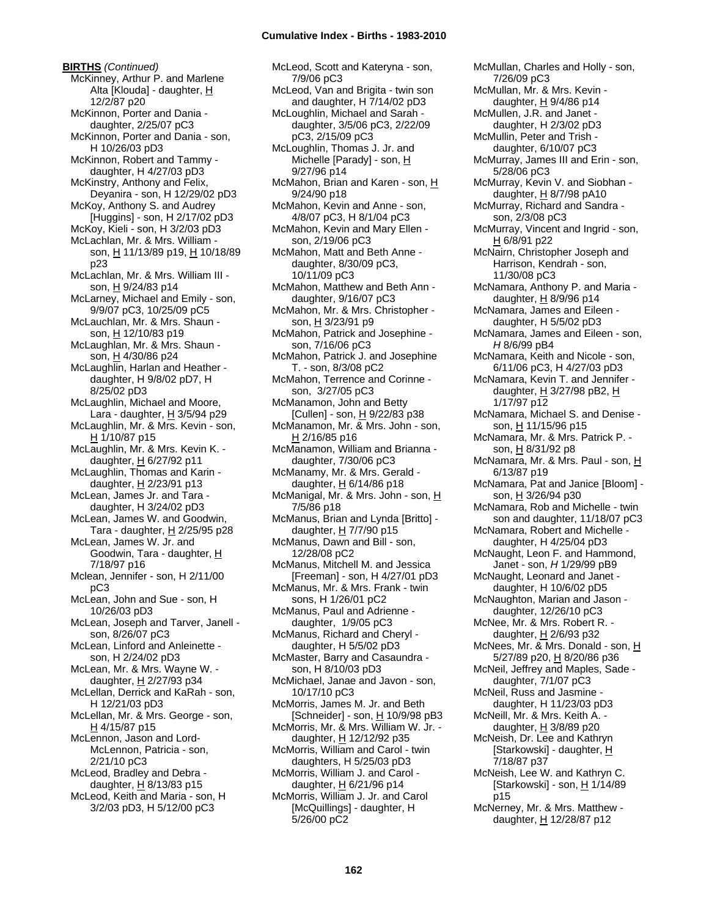# **Cumulative Index - Births - 1983-2010**

**BIRTHS** *(Continued)* McKinney, Arthur P. and Marlene Alta [Klouda] - daughter, H 12/2/87 p20 McKinnon, Porter and Dania daughter, 2/25/07 pC3 McKinnon, Porter and Dania - son, H 10/26/03 pD3 McKinnon, Robert and Tammy daughter, H 4/27/03 pD3 McKinstry, Anthony and Felix, Deyanira - son, H 12/29/02 pD3 McKoy, Anthony S. and Audrey [Huggins] - son, H 2/17/02 pD3 McKoy, Kieli - son, H 3/2/03 pD3 McLachlan, Mr. & Mrs. William son, H 11/13/89 p19, H 10/18/89 p23 McLachlan, Mr. & Mrs. William III son, H 9/24/83 p14 McLarney, Michael and Emily - son, 9/9/07 pC3, 10/25/09 pC5 McLauchlan, Mr. & Mrs. Shaun son, H 12/10/83 p19 McLaughlan, Mr. & Mrs. Shaun son, H 4/30/86 p24 McLaughlin, Harlan and Heather daughter, H 9/8/02 pD7, H 8/25/02 pD3 McLaughlin, Michael and Moore, Lara - daughter,  $H$  3/5/94 p29 McLaughlin, Mr. & Mrs. Kevin - son, H 1/10/87 p15 McLaughlin, Mr. & Mrs. Kevin K. daughter, H 6/27/92 p11 McLaughlin, Thomas and Karin daughter,  $H$  2/23/91 p13 McLean, James Jr. and Tara daughter, H 3/24/02 pD3 McLean, James W. and Goodwin, Tara - daughter, H 2/25/95 p28 McLean, James W. Jr. and Goodwin, Tara - daughter, H 7/18/97 p16 Mclean, Jennifer - son, H 2/11/00 pC3 McLean, John and Sue - son, H 10/26/03 pD3 McLean, Joseph and Tarver, Janell son, 8/26/07 pC3 McLean, Linford and Anleinette son, H 2/24/02 pD3 McLean, Mr. & Mrs. Wayne W. daughter, H 2/27/93 p34 McLellan, Derrick and KaRah - son, H 12/21/03 pD3 McLellan, Mr. & Mrs. George - son,  $H$  4/15/87 p15 McLennon, Jason and Lord-McLennon, Patricia - son, 2/21/10 pC3 McLeod, Bradley and Debra daughter, H 8/13/83 p15 McLeod, Keith and Maria - son, H 3/2/03 pD3, H 5/12/00 pC3

McLeod, Scott and Kateryna - son, 7/9/06 pC3 McLeod, Van and Brigita - twin son and daughter,  $H \overline{7}/14/02$  pD3 McLoughlin, Michael and Sarah daughter, 3/5/06 pC3, 2/22/09 pC3, 2/15/09 pC3 McLoughlin, Thomas J. Jr. and Michelle [Parady] - son, H 9/27/96 p14 McMahon, Brian and Karen - son, H 9/24/90 p18 McMahon, Kevin and Anne - son, 4/8/07 pC3, H 8/1/04 pC3 McMahon, Kevin and Mary Ellen son, 2/19/06 pC3 McMahon, Matt and Beth Anne daughter, 8/30/09 pC3, 10/11/09 pC3 McMahon, Matthew and Beth Ann daughter, 9/16/07 pC3 McMahon, Mr. & Mrs. Christopher son, H 3/23/91 p9 McMahon, Patrick and Josephine son, 7/16/06 pC3 McMahon, Patrick J. and Josephine T. - son, 8/3/08 pC2 McMahon, Terrence and Corinne son, 3/27/05 pC3 McManamon, John and Betty [Cullen] - son, H 9/22/83 p38 McManamon, Mr. & Mrs. John - son, H 2/16/85 p16 McManamon, William and Brianna daughter, 7/30/06 pC3 McManamy, Mr. & Mrs. Gerald daughter,  $H$  6/14/86 p18 McManigal, Mr. & Mrs. John - son, H 7/5/86 p18 McManus, Brian and Lynda [Britto] daughter, H 7/7/90 p15 McManus, Dawn and Bill - son, 12/28/08 pC2 McManus, Mitchell M. and Jessica [Freeman] - son, H 4/27/01 pD3 McManus, Mr. & Mrs. Frank - twin sons, H 1/26/01 pC2 McManus, Paul and Adrienne daughter, 1/9/05 pC3 McManus, Richard and Cheryl daughter, H 5/5/02 pD3 McMaster, Barry and Casaundra son, H 8/10/03 pD3 McMichael, Janae and Javon - son, 10/17/10 pC3 McMorris, James M. Jr. and Beth [Schneider] - son, H 10/9/98 pB3 McMorris, Mr. & Mrs. William W. Jr. daughter, H 12/12/92 p35 McMorris, William and Carol - twin daughters, H 5/25/03 pD3 McMorris, William J. and Carol daughter, H 6/21/96 p14 McMorris, William J. Jr. and Carol [McQuillings] - daughter, H 5/26/00 pC2

McMullan, Charles and Holly - son, 7/26/09 pC3 McMullan, Mr. & Mrs. Kevin daughter, H 9/4/86 p14 McMullen, J.R. and Janet daughter, H 2/3/02 pD3 McMullin, Peter and Trish daughter, 6/10/07 pC3 McMurray, James III and Erin - son, 5/28/06 pC3 McMurray, Kevin V. and Siobhan daughter,  $H$  8/7/98 pA10 McMurray, Richard and Sandra son, 2/3/08 pC3 McMurray, Vincent and Ingrid - son, H 6/8/91 p22 McNairn, Christopher Joseph and Harrison, Kendrah - son, 11/30/08 pC3 McNamara, Anthony P. and Maria daughter,  $H$  8/9/96 p14 McNamara, James and Eileen daughter, H 5/5/02 pD3 McNamara, James and Eileen - son, *H* 8/6/99 pB4 McNamara, Keith and Nicole - son, 6/11/06 pC3, H 4/27/03 pD3 McNamara, Kevin T. and Jennifer daughter, H 3/27/98 pB2, H 1/17/97 p12 McNamara, Michael S. and Denise son, H 11/15/96 p15 McNamara, Mr. & Mrs. Patrick P. son, H 8/31/92 p8 McNamara, Mr. & Mrs. Paul - son, H 6/13/87 p19 McNamara, Pat and Janice [Bloom] son, H 3/26/94 p30 McNamara, Rob and Michelle - twin son and daughter, 11/18/07 pC3 McNamara, Robert and Michelle daughter, H 4/25/04 pD3 McNaught, Leon F. and Hammond, Janet - son, *H* 1/29/99 pB9 McNaught, Leonard and Janet daughter, H 10/6/02 pD5 McNaughton, Marian and Jason daughter, 12/26/10 pC3 McNee, Mr. & Mrs. Robert R. daughter, H 2/6/93 p32 McNees, Mr. & Mrs. Donald - son, H 5/27/89 p20, H 8/20/86 p36 McNeil, Jeffrey and Maples, Sade daughter, 7/1/07 pC3 McNeil, Russ and Jasmine daughter, H 11/23/03 pD3 McNeill, Mr. & Mrs. Keith A. daughter,  $H$  3/8/89 p20 McNeish, Dr. Lee and Kathryn [Starkowski] - daughter, H 7/18/87 p37 McNeish, Lee W. and Kathryn C. [Starkowski] - son, H 1/14/89 p15 McNerney, Mr. & Mrs. Matthew daughter, H 12/28/87 p12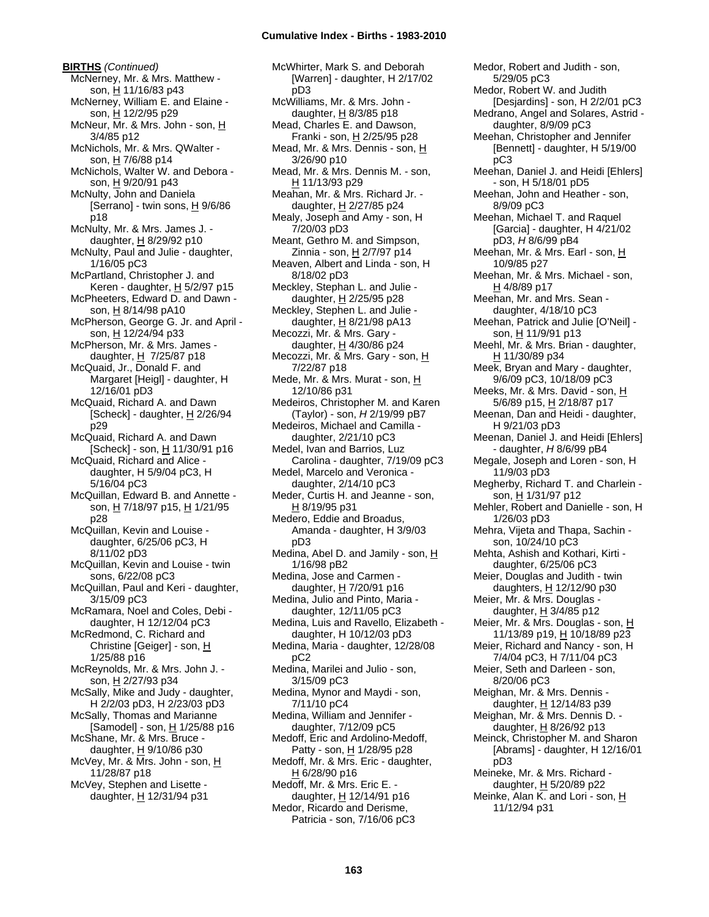# **Cumulative Index - Births - 1983-2010**

**BIRTHS** *(Continued)* McNerney, Mr. & Mrs. Matthew son, H 11/16/83 p43 McNerney, William E. and Elaine son, H 12/2/95 p29 McNeur, Mr. & Mrs. John - son, H 3/4/85 p12 McNichols, Mr. & Mrs. QWalter son, H 7/6/88 p14 McNichols, Walter W. and Debora son, H 9/20/91 p43 McNulty, John and Daniela [Serrano] - twin sons,  $H$  9/6/86 p18 McNulty, Mr. & Mrs. James J. daughter,  $H$  8/29/92 p10 McNulty, Paul and Julie - daughter, 1/16/05 pC3 McPartland, Christopher J. and Keren - daughter,  $H$  5/2/97 p15 McPheeters, Edward D. and Dawn son, H 8/14/98 pA10 McPherson, George G. Jr. and April son, H 12/24/94 p33 McPherson, Mr. & Mrs. James daughter,  $H$  7/25/87 p18 McQuaid, Jr., Donald F. and Margaret [Heigl] - daughter, H 12/16/01 pD3 McQuaid, Richard A. and Dawn [Scheck] - daughter,  $H$  2/26/94 p29 McQuaid, Richard A. and Dawn [Scheck] - son, H 11/30/91 p16 McQuaid, Richard and Alice daughter, H 5/9/04 pC3, H 5/16/04 pC3 McQuillan, Edward B. and Annette son, H 7/18/97 p15, H 1/21/95 p28 McQuillan, Kevin and Louise daughter, 6/25/06 pC3, H 8/11/02 pD3 McQuillan, Kevin and Louise - twin sons, 6/22/08 pC3 McQuillan, Paul and Keri - daughter, 3/15/09 pC3 McRamara, Noel and Coles, Debi daughter, H 12/12/04 pC3 McRedmond, C. Richard and Christine [Geiger] - son, H 1/25/88 p16 McReynolds, Mr. & Mrs. John J. son, H 2/27/93 p34 McSally, Mike and Judy - daughter, H 2/2/03 pD3, H 2/23/03 pD3 McSally, Thomas and Marianne [Samodel] - son,  $H$  1/25/88 p16 McShane, Mr. & Mrs. Bruce daughter,  $H$  9/10/86 p30 McVey, Mr. & Mrs. John - son, H 11/28/87 p18 McVey, Stephen and Lisette daughter, H 12/31/94 p31

McWhirter, Mark S. and Deborah [Warren] - daughter, H 2/17/02 pD3 McWilliams, Mr. & Mrs. John daughter, H 8/3/85 p18 Mead, Charles E. and Dawson, Franki - son,  $H$  2/25/95 p28 Mead, Mr. & Mrs. Dennis - son, H 3/26/90 p10 Mead, Mr. & Mrs. Dennis M. - son, H 11/13/93 p29 Meahan, Mr. & Mrs. Richard Jr. daughter, H 2/27/85 p24 Mealy, Joseph and Amy - son, H 7/20/03 pD3 Meant, Gethro M. and Simpson, Zinnia - son, H 2/7/97 p14 Meaven, Albert and Linda - son, H 8/18/02 pD3 Meckley, Stephan L. and Julie daughter, H 2/25/95 p28 Meckley, Stephen L. and Julie daughter, H 8/21/98 pA13 Mecozzi, Mr. & Mrs. Gary daughter,  $H$  4/30/86 p24 Mecozzi, Mr. & Mrs. Gary - son, H 7/22/87 p18 Mede, Mr. & Mrs. Murat - son, H 12/10/86 p31 Medeiros, Christopher M. and Karen (Taylor) - son, *H* 2/19/99 pB7 Medeiros, Michael and Camilla daughter, 2/21/10 pC3 Medel, Ivan and Barrios, Luz Carolina - daughter, 7/19/09 pC3 Medel, Marcelo and Veronica daughter, 2/14/10 pC3 Meder, Curtis H. and Jeanne - son, H 8/19/95 p31 Medero, Eddie and Broadus, Amanda - daughter, H 3/9/03 pD3 Medina, Abel D. and Jamily - son,  $H$ 1/16/98 pB2 Medina, Jose and Carmen daughter, H 7/20/91 p16 Medina, Julio and Pinto, Maria daughter, 12/11/05 pC3 Medina, Luis and Ravello, Elizabeth daughter, H 10/12/03 pD3 Medina, Maria - daughter, 12/28/08 pC2 Medina, Marilei and Julio - son, 3/15/09 pC3 Medina, Mynor and Maydi - son, 7/11/10 pC4 Medina, William and Jennifer daughter, 7/12/09 pC5 Medoff, Eric and Ardolino-Medoff, Patty - son, H 1/28/95 p28 Medoff, Mr. & Mrs. Eric - daughter, H 6/28/90 p16 Medoff, Mr. & Mrs. Eric E. daughter, H 12/14/91 p16 Medor, Ricardo and Derisme, Patricia - son, 7/16/06 pC3

5/29/05 pC3 Medor, Robert W. and Judith [Desjardins] - son, H 2/2/01 pC3 Medrano, Angel and Solares, Astrid daughter, 8/9/09 pC3 Meehan, Christopher and Jennifer [Bennett] - daughter, H 5/19/00 pC3 Meehan, Daniel J. and Heidi [Ehlers] - son, H 5/18/01 pD5 Meehan, John and Heather - son, 8/9/09 pC3 Meehan, Michael T. and Raquel [Garcia] - daughter, H 4/21/02 pD3, *H* 8/6/99 pB4 Meehan, Mr. & Mrs. Earl - son, H 10/9/85 p27 Meehan, Mr. & Mrs. Michael - son, H 4/8/89 p17 Meehan, Mr. and Mrs. Sean daughter, 4/18/10 pC3 Meehan, Patrick and Julie [O'Neil] son, H 11/9/91 p13 Meehl, Mr. & Mrs. Brian - daughter, H 11/30/89 p34 Meek, Bryan and Mary - daughter, 9/6/09 pC3, 10/18/09 pC3 Meeks, Mr. & Mrs. David - son, H 5/6/89 p15, H 2/18/87 p17 Meenan, Dan and Heidi - daughter, H 9/21/03 pD3 Meenan, Daniel J. and Heidi [Ehlers] - daughter, *H* 8/6/99 pB4 Megale, Joseph and Loren - son, H 11/9/03 pD3 Megherby, Richard T. and Charlein son, H 1/31/97 p12 Mehler, Robert and Danielle - son, H 1/26/03 pD3 Mehra, Vijeta and Thapa, Sachin son, 10/24/10 pC3 Mehta, Ashish and Kothari, Kirti daughter, 6/25/06 pC3 Meier, Douglas and Judith - twin daughters,  $H$  12/12/90 p30 Meier, Mr. & Mrs. Douglas daughter,  $\underline{H}$  3/4/85 p12 Meier, Mr. & Mrs. Douglas - son, H 11/13/89 p19, H 10/18/89 p23 Meier, Richard and Nancy - son, H 7/4/04 pC3, H 7/11/04 pC3 Meier, Seth and Darleen - son, 8/20/06 pC3 Meighan, Mr. & Mrs. Dennis daughter, H 12/14/83 p39 Meighan, Mr. & Mrs. Dennis D. daughter,  $H$  8/26/92 p13 Meinck, Christopher M. and Sharon [Abrams] - daughter, H 12/16/01 pD3 Meineke, Mr. & Mrs. Richard daughter, H 5/20/89 p22 Meinke, Alan K. and Lori - son, H 11/12/94 p31

Medor, Robert and Judith - son,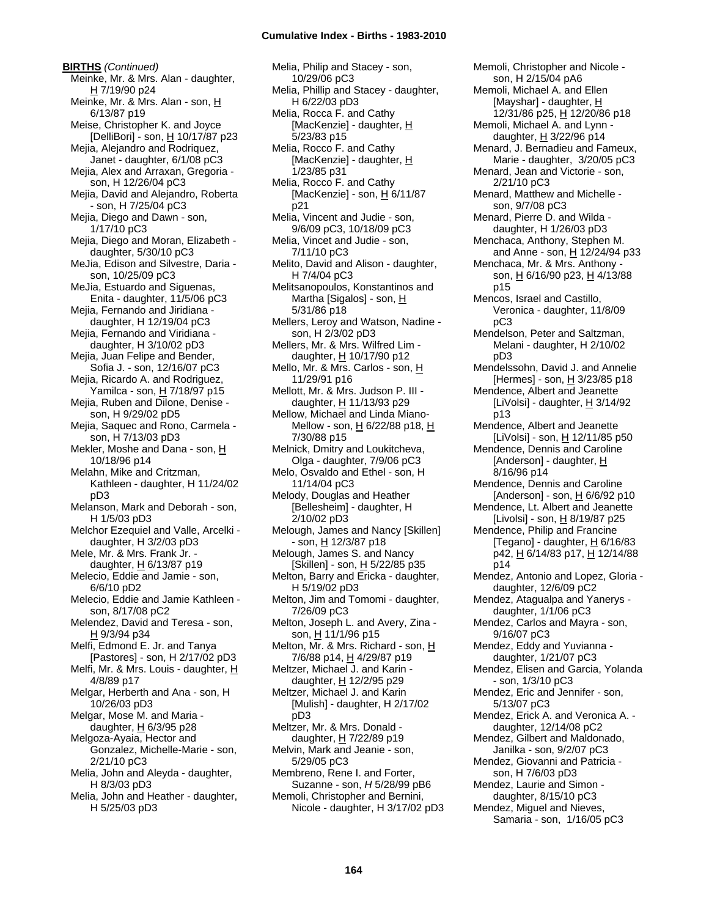**BIRTHS** *(Continued)* Meinke, Mr. & Mrs. Alan - daughter, H 7/19/90 p24 Meinke, Mr. & Mrs. Alan - son, H 6/13/87 p19 Meise, Christopher K. and Joyce [DelliBori] - son, H 10/17/87 p23 Mejia, Alejandro and Rodriquez, Janet - daughter, 6/1/08 pC3 Mejia, Alex and Arraxan, Gregoria son, H 12/26/04 pC3 Mejia, David and Alejandro, Roberta - son, H 7/25/04 pC3 Mejia, Diego and Dawn - son, 1/17/10 pC3 Mejia, Diego and Moran, Elizabeth daughter, 5/30/10 pC3 MeJia, Edison and Silvestre, Daria son, 10/25/09 pC3 MeJia, Estuardo and Siguenas, Enita - daughter, 11/5/06 pC3 Mejia, Fernando and Jiridiana daughter, H 12/19/04 pC3 Meija, Fernando and Viridiana daughter, H 3/10/02 pD3 Mejia, Juan Felipe and Bender, Sofia J. - son, 12/16/07 pC3 Mejia, Ricardo A. and Rodriguez, Yamilca - son, H 7/18/97 p15 Mejia, Ruben and Dilone, Denise son, H 9/29/02 pD5 Mejia, Saquec and Rono, Carmela son, H 7/13/03 pD3 Mekler, Moshe and Dana - son, H 10/18/96 p14 Melahn, Mike and Critzman, Kathleen - daughter, H 11/24/02 pD3 Melanson, Mark and Deborah - son, H 1/5/03 pD3 Melchor Ezequiel and Valle, Arcelki daughter, H 3/2/03 pD3 Mele, Mr. & Mrs. Frank Jr. daughter, H 6/13/87 p19 Melecio, Eddie and Jamie - son, 6/6/10 pD2 Melecio, Eddie and Jamie Kathleen son, 8/17/08 pC2 Melendez, David and Teresa - son, H 9/3/94 p34 Melfi, Edmond E. Jr. and Tanya [Pastores] - son, H 2/17/02 pD3 Melfi, Mr. & Mrs. Louis - daughter, H 4/8/89 p17 Melgar, Herberth and Ana - son, H 10/26/03 pD3 Melgar, Mose M. and Maria daughter,  $H$  6/3/95 p28 Melgoza-Ayaia, Hector and Gonzalez, Michelle-Marie - son, 2/21/10 pC3 Melia, John and Aleyda - daughter, H 8/3/03 pD3 Melia, John and Heather - daughter, H 5/25/03 pD3

Melia, Philip and Stacey - son, 10/29/06 pC3 Melia, Phillip and Stacey - daughter, H 6/22/03 pD3 Melia, Rocca F. and Cathy [MacKenzie] - daughter, H 5/23/83 p15 Melia, Rocco F. and Cathy [MacKenzie] - daughter, H 1/23/85 p31 Melia, Rocco F. and Cathy [MacKenzie] - son,  $\underline{H}$  6/11/87 p21 Melia, Vincent and Judie - son, 9/6/09 pC3, 10/18/09 pC3 Melia, Vincet and Judie - son, 7/11/10 pC3 Melito, David and Alison - daughter, H 7/4/04 pC3 Melitsanopoulos, Konstantinos and Martha [Sigalos] - son, H 5/31/86 p18 Mellers, Leroy and Watson, Nadine son, H 2/3/02 pD3 Mellers, Mr. & Mrs. Wilfred Lim daughter, H 10/17/90 p12 Mello, Mr. & Mrs. Carlos - son, H 11/29/91 p16 Mellott, Mr. & Mrs. Judson P. III daughter, H 11/13/93 p29 Mellow, Michael and Linda Miano-Mellow - son, H 6/22/88 p18, H 7/30/88 p15 Melnick, Dmitry and Loukitcheva, Olga - daughter, 7/9/06 pC3 Melo, Osvaldo and Ethel - son, H 11/14/04 pC3 Melody, Douglas and Heather [Bellesheim] - daughter, H 2/10/02 pD3 Melough, James and Nancy [Skillen] - son, H 12/3/87 p18 Melough, James S. and Nancy [Skillen] - son, H 5/22/85 p35 Melton, Barry and Ericka - daughter, H 5/19/02 pD3 Melton, Jim and Tomomi - daughter, 7/26/09 pC3 Melton, Joseph L. and Avery, Zina son, H 11/1/96 p15 Melton, Mr. & Mrs. Richard - son, H 7/6/88 p14, H 4/29/87 p19 Meltzer, Michael J. and Karin daughter, H 12/2/95 p29 Meltzer, Michael J. and Karin [Mulish] - daughter, H 2/17/02 pD3 Meltzer, Mr. & Mrs. Donald daughter, H 7/22/89 p19 Melvin, Mark and Jeanie - son, 5/29/05 pC3 Membreno, Rene I. and Forter, Suzanne - son, *H* 5/28/99 pB6 Memoli, Christopher and Bernini, Nicole - daughter, H 3/17/02 pD3

Memoli, Christopher and Nicole son, H 2/15/04 pA6 Memoli, Michael A. and Ellen [Mayshar] - daughter, H 12/31/86 p25, H 12/20/86 p18 Memoli, Michael A. and Lynn daughter,  $H$  3/22/96 p14 Menard, J. Bernadieu and Fameux, Marie - daughter, 3/20/05 pC3 Menard, Jean and Victorie - son, 2/21/10 pC3 Menard, Matthew and Michelle son, 9/7/08 pC3 Menard, Pierre D. and Wilda daughter, H 1/26/03 pD3 Menchaca, Anthony, Stephen M. and Anne - son, H 12/24/94 p33 Menchaca, Mr. & Mrs. Anthony son, H 6/16/90 p23, H 4/13/88 p15 Mencos, Israel and Castillo, Veronica - daughter, 11/8/09 pC3 Mendelson, Peter and Saltzman, Melani - daughter, H 2/10/02 pD3 Mendelssohn, David J. and Annelie [Hermes] - son,  $\underline{H}$  3/23/85 p18 Mendence, Albert and Jeanette [LiVolsi] - daughter, H 3/14/92 p13 Mendence, Albert and Jeanette [LiVolsi] - son,  $\underline{H}$  12/11/85 p50 Mendence, Dennis and Caroline [Anderson] - daughter, H 8/16/96 p14 Mendence, Dennis and Caroline [Anderson] - son,  $\underline{H}$  6/6/92 p10 Mendence, Lt. Albert and Jeanette [Livolsi] - son,  $H$  8/19/87 p25 Mendence, Philip and Francine [Tegano] - daughter,  $H$  6/16/83 p42, H 6/14/83 p17, H 12/14/88 p14 Mendez, Antonio and Lopez, Gloria daughter, 12/6/09 pC2 Mendez, Atagualpa and Yanerys daughter, 1/1/06 pC3 Mendez, Carlos and Mayra - son, 9/16/07 pC3 Mendez, Eddy and Yuvianna daughter, 1/21/07 pC3 Mendez, Elisen and Garcia, Yolanda - son, 1/3/10 pC3 Mendez, Eric and Jennifer - son, 5/13/07 pC3 Mendez, Erick A. and Veronica A. daughter, 12/14/08 pC2 Mendez, Gilbert and Maldonado, Janilka - son, 9/2/07 pC3 Mendez, Giovanni and Patricia son, H 7/6/03 pD3 Mendez, Laurie and Simon daughter, 8/15/10 pC3 Mendez, Miguel and Nieves, Samaria - son, 1/16/05 pC3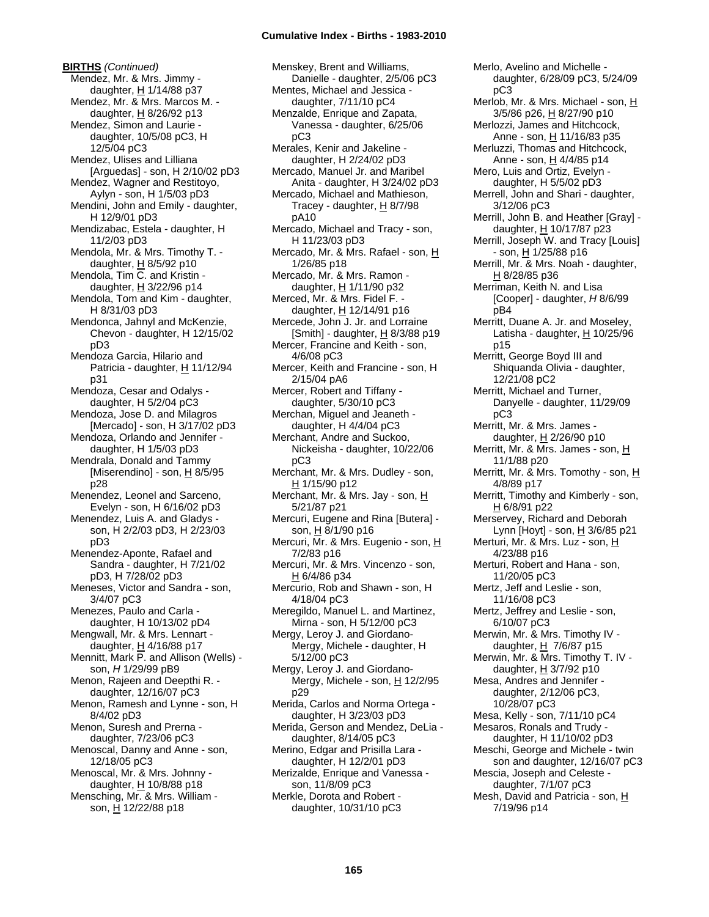# **Cumulative Index - Births - 1983-2010**

**BIRTHS** *(Continued)* Mendez, Mr. & Mrs. Jimmy daughter,  $H$  1/14/88 p37 Mendez, Mr. & Mrs. Marcos M. daughter, H 8/26/92 p13 Mendez, Simon and Laurie daughter, 10/5/08 pC3, H 12/5/04 pC3 Mendez, Ulises and Lilliana [Arguedas] - son, H 2/10/02 pD3 Mendez, Wagner and Restitoyo, Aylyn - son, H 1/5/03 pD3 Mendini, John and Emily - daughter, H 12/9/01 pD3 Mendizabac, Estela - daughter, H 11/2/03 pD3 Mendola, Mr. & Mrs. Timothy T. daughter,  $\underline{H}$  8/5/92 p10 Mendola, Tim C. and Kristin daughter, H 3/22/96 p14 Mendola, Tom and Kim - daughter, H 8/31/03 pD3 Mendonca, Jahnyl and McKenzie, Chevon - daughter, H 12/15/02 pD3 Mendoza Garcia, Hilario and Patricia - daughter, H 11/12/94 p31 Mendoza, Cesar and Odalys daughter, H 5/2/04 pC3 Mendoza, Jose D. and Milagros [Mercado] - son, H 3/17/02 pD3 Mendoza, Orlando and Jennifer daughter, H 1/5/03 pD3 Mendrala, Donald and Tammy [Miserendino] - son, H 8/5/95 p28 Menendez, Leonel and Sarceno, Evelyn - son, H 6/16/02 pD3 Menendez, Luis A. and Gladys son, H 2/2/03 pD3, H 2/23/03 pD3 Menendez-Aponte, Rafael and Sandra - daughter, H 7/21/02 pD3, H 7/28/02 pD3 Meneses, Victor and Sandra - son, 3/4/07 pC3 Menezes, Paulo and Carla daughter, H 10/13/02 pD4 Mengwall, Mr. & Mrs. Lennart daughter,  $\underline{H}$  4/16/88 p17 Mennitt, Mark P. and Allison (Wells) son, *H* 1/29/99 pB9 Menon, Rajeen and Deepthi R. daughter, 12/16/07 pC3 Menon, Ramesh and Lynne - son, H 8/4/02 pD3 Menon, Suresh and Prerna daughter, 7/23/06 pC3 Menoscal, Danny and Anne - son, 12/18/05 pC3 Menoscal, Mr. & Mrs. Johnny daughter, H 10/8/88 p18 Mensching, Mr. & Mrs. William son, H 12/22/88 p18

Menskey, Brent and Williams, Danielle - daughter, 2/5/06 pC3 Mentes, Michael and Jessica daughter, 7/11/10 pC4 Menzalde, Enrique and Zapata, Vanessa - daughter, 6/25/06 pC3 Merales, Kenir and Jakeline daughter, H 2/24/02 pD3 Mercado, Manuel Jr. and Maribel Anita - daughter, H 3/24/02 pD3 Mercado, Michael and Mathieson, Tracey - daughter,  $H$  8/7/98 pA10 Mercado, Michael and Tracy - son, H 11/23/03 pD3 Mercado, Mr. & Mrs. Rafael - son, H 1/26/85 p18 Mercado, Mr. & Mrs. Ramon daughter, H 1/11/90 p32 Merced, Mr. & Mrs. Fidel F. daughter, H 12/14/91 p16 Mercede, John J. Jr. and Lorraine [Smith] - daughter, H 8/3/88 p19 Mercer, Francine and Keith - son, 4/6/08 pC3 Mercer, Keith and Francine - son, H 2/15/04 pA6 Mercer, Robert and Tiffany daughter, 5/30/10 pC3 Merchan, Miguel and Jeaneth daughter, H 4/4/04 pC3 Merchant, Andre and Suckoo, Nickeisha - daughter, 10/22/06 pC3 Merchant, Mr. & Mrs. Dudley - son,  $H$  1/15/90 p12 Merchant, Mr. & Mrs. Jay - son, H 5/21/87 p21 Mercuri, Eugene and Rina [Butera] son, H 8/1/90 p16 Mercuri, Mr. & Mrs. Eugenio - son, H 7/2/83 p16 Mercuri, Mr. & Mrs. Vincenzo - son, H 6/4/86 p34 Mercurio, Rob and Shawn - son, H 4/18/04 pC3 Meregildo, Manuel L. and Martinez, Mirna - son, H 5/12/00 pC3 Mergy, Leroy J. and Giordano-Mergy, Michele - daughter, H 5/12/00 pC3 Mergy, Leroy J. and Giordano-Mergy, Michele - son,  $H$  12/2/95 p29 Merida, Carlos and Norma Ortega daughter, H 3/23/03 pD3 Merida, Gerson and Mendez, DeLia daughter, 8/14/05 pC3 Merino, Edgar and Prisilla Lara daughter, H 12/2/01 pD3 Merizalde, Enrique and Vanessa son, 11/8/09 pC3 Merkle, Dorota and Robert daughter, 10/31/10 pC3

Merlo, Avelino and Michelle daughter, 6/28/09 pC3, 5/24/09 pC3 Merlob, Mr. & Mrs. Michael - son, H 3/5/86 p26, H 8/27/90 p10 Merlozzi, James and Hitchcock, Anne - son, H 11/16/83 p35 Merluzzi, Thomas and Hitchcock, Anne - son, H 4/4/85 p14 Mero, Luis and Ortiz, Evelyn daughter, H 5/5/02 pD3 Merrell, John and Shari - daughter, 3/12/06 pC3 Merrill, John B. and Heather [Gray] daughter, H 10/17/87 p23 Merrill, Joseph W. and Tracy [Louis] - son, <u>H</u> 1/25/88 p16 Merrill, Mr. & Mrs. Noah - daughter, H 8/28/85 p36 Merriman, Keith N. and Lisa [Cooper] - daughter, *H* 8/6/99 pB4 Merritt, Duane A. Jr. and Moseley, Latisha - daughter, H 10/25/96 p15 Merritt, George Boyd III and Shiquanda Olivia - daughter, 12/21/08 pC2 Merritt, Michael and Turner, Danyelle - daughter, 11/29/09 pC3 Merritt, Mr. & Mrs. James daughter,  $H$  2/26/90 p10 Merritt, Mr. & Mrs. James - son, H 11/1/88 p20 Merritt, Mr. & Mrs. Tomothy - son,  $H$ 4/8/89 p17 Merritt, Timothy and Kimberly - son, H 6/8/91 p22 Merservey, Richard and Deborah Lynn [Hoyt] - son, H 3/6/85 p21 Merturi, Mr. & Mrs. Luz - son, H 4/23/88 p16 Merturi, Robert and Hana - son, 11/20/05 pC3 Mertz, Jeff and Leslie - son, 11/16/08 pC3 Mertz, Jeffrey and Leslie - son, 6/10/07 pC3 Merwin, Mr. & Mrs. Timothy IV daughter,  $H$  7/6/87 p15 Merwin, Mr. & Mrs. Timothy T. IV daughter,  $H$  3/7/92 p10 Mesa, Andres and Jennifer daughter, 2/12/06 pC3, 10/28/07 pC3 Mesa, Kelly - son, 7/11/10 pC4 Mesaros, Ronals and Trudy daughter, H 11/10/02 pD3 Meschi, George and Michele - twin son and daughter, 12/16/07 pC3 Mescia, Joseph and Celeste daughter, 7/1/07 pC3 Mesh, David and Patricia - son, H 7/19/96 p14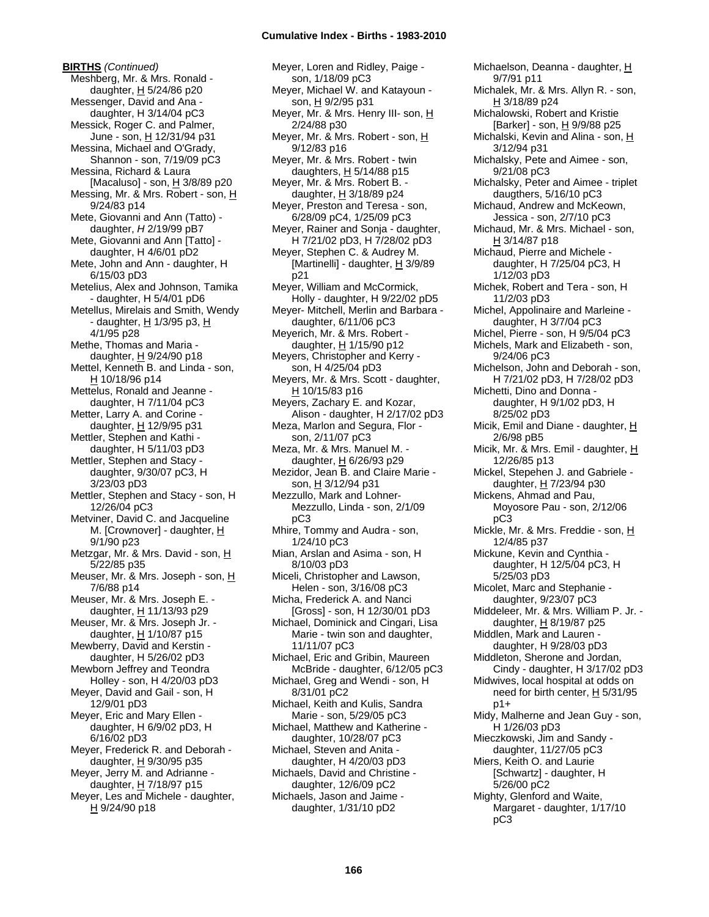**BIRTHS** *(Continued)* Meshberg, Mr. & Mrs. Ronald daughter,  $H$  5/24/86 p20 Messenger, David and Ana daughter, H 3/14/04 pC3 Messick, Roger C. and Palmer, June - son, H 12/31/94 p31 Messina, Michael and O'Grady, Shannon - son, 7/19/09 pC3 Messina, Richard & Laura [Macaluso] - son,  $\underline{H}$  3/8/89 p20 Messing, Mr. & Mrs. Robert - son, H 9/24/83 p14 Mete, Giovanni and Ann (Tatto) daughter, *H* 2/19/99 pB7 Mete, Giovanni and Ann [Tatto] daughter, H 4/6/01 pD2 Mete, John and Ann - daughter, H 6/15/03 pD3 Metelius, Alex and Johnson, Tamika - daughter, H 5/4/01 pD6 Metellus, Mirelais and Smith, Wendy - daughter, H 1/3/95 p3, H 4/1/95 p28 Methe, Thomas and Maria daughter, H 9/24/90 p18 Mettel, Kenneth B. and Linda - son, H 10/18/96 p14 Mettelus, Ronald and Jeanne daughter, H 7/11/04 pC3 Metter, Larry A. and Corine daughter, H 12/9/95 p31 Mettler, Stephen and Kathi daughter, H 5/11/03 pD3 Mettler, Stephen and Stacy daughter, 9/30/07 pC3, H 3/23/03 pD3 Mettler, Stephen and Stacy - son, H 12/26/04 pC3 Metviner, David C. and Jacqueline M. [Crownover] - daughter, H 9/1/90 p23 Metzgar, Mr. & Mrs. David - son, H 5/22/85 p35 Meuser, Mr. & Mrs. Joseph - son, H 7/6/88 p14 Meuser, Mr. & Mrs. Joseph E. daughter, H 11/13/93 p29 Meuser, Mr. & Mrs. Joseph Jr. daughter,  $H$  1/10/87 p15 Mewberry, David and Kerstin daughter, H 5/26/02 pD3 Mewborn Jeffrey and Teondra Holley - son, H 4/20/03 pD3 Meyer, David and Gail - son, H 12/9/01 pD3 Meyer, Eric and Mary Ellen daughter, H 6/9/02 pD3, H 6/16/02 pD3 Meyer, Frederick R. and Deborah daughter,  $H$  9/30/95 p35 Meyer, Jerry M. and Adrianne daughter, H 7/18/97 p15 Meyer, Les and Michele - daughter, H 9/24/90 p18

Meyer, Loren and Ridley, Paige son, 1/18/09 pC3 Meyer, Michael W. and Katayoun son, H 9/2/95 p31 Meyer, Mr. & Mrs. Henry III- son, H 2/24/88 p30 Meyer, Mr. & Mrs. Robert - son, H 9/12/83 p16 Meyer, Mr. & Mrs. Robert - twin daughters,  $H$  5/14/88 p15 Meyer, Mr. & Mrs. Robert B. daughter,  $H$  3/18/89 p24 Meyer, Preston and Teresa - son, 6/28/09 pC4, 1/25/09 pC3 Meyer, Rainer and Sonja - daughter, H 7/21/02 pD3, H 7/28/02 pD3 Meyer, Stephen C. & Audrey M. [Martinelli] - daughter,  $\underline{H}$  3/9/89 p21 Meyer, William and McCormick, Holly - daughter, H 9/22/02 pD5 Meyer- Mitchell, Merlin and Barbara daughter, 6/11/06 pC3 Meyerich, Mr. & Mrs. Robert daughter,  $H$  1/15/90 p12 Meyers, Christopher and Kerry son, H 4/25/04 pD3 Meyers, Mr. & Mrs. Scott - daughter, H 10/15/83 p16 Meyers, Zachary E. and Kozar, Alison - daughter, H 2/17/02 pD3 Meza, Marlon and Segura, Flor son, 2/11/07 pC3 Meza, Mr. & Mrs. Manuel M. daughter, H 6/26/93 p29 Mezidor, Jean B. and Claire Marie son, H 3/12/94 p31 Mezzullo, Mark and Lohner-Mezzullo, Linda - son, 2/1/09 pC3 Mhire, Tommy and Audra - son, 1/24/10 pC3 Mian, Arslan and Asima - son, H 8/10/03 pD3 Miceli, Christopher and Lawson, Helen - son, 3/16/08 pC3 Micha, Frederick A. and Nanci [Gross] - son, H 12/30/01 pD3 Michael, Dominick and Cingari, Lisa Marie - twin son and daughter, 11/11/07 pC3 Michael, Eric and Gribin, Maureen McBride - daughter, 6/12/05 pC3 Michael, Greg and Wendi - son, H 8/31/01 pC2 Michael, Keith and Kulis, Sandra Marie - son, 5/29/05 pC3 Michael, Matthew and Katherine daughter, 10/28/07 pC3 Michael, Steven and Anita daughter, H 4/20/03 pD3 Michaels, David and Christine daughter, 12/6/09 pC2 Michaels, Jason and Jaime daughter, 1/31/10 pD2

Michaelson, Deanna - daughter, H 9/7/91 p11 Michalek, Mr. & Mrs. Allyn R. - son, H 3/18/89 p24 Michalowski, Robert and Kristie [Barker] - son, H 9/9/88 p25 Michalski, Kevin and Alina - son, H 3/12/94 p31 Michalsky, Pete and Aimee - son, 9/21/08 pC3 Michalsky, Peter and Aimee - triplet daugthers, 5/16/10 pC3 Michaud, Andrew and McKeown, Jessica - son, 2/7/10 pC3 Michaud, Mr. & Mrs. Michael - son,  $H$  3/14/87 p18 Michaud, Pierre and Michele daughter, H 7/25/04 pC3, H 1/12/03 pD3 Michek, Robert and Tera - son, H 11/2/03 pD3 Michel, Appolinaire and Marleine daughter, H 3/7/04 pC3 Michel, Pierre - son, H 9/5/04 pC3 Michels, Mark and Elizabeth - son, 9/24/06 pC3 Michelson, John and Deborah - son, H 7/21/02 pD3, H 7/28/02 pD3 Michetti, Dino and Donna daughter, H 9/1/02 pD3, H 8/25/02 pD3 Micik, Emil and Diane - daughter,  $H$ 2/6/98 pB5 Micik, Mr. & Mrs. Emil - daughter, H 12/26/85 p13 Mickel, Stepehen J. and Gabriele daughter, H 7/23/94 p30 Mickens, Ahmad and Pau, Moyosore Pau - son, 2/12/06 pC3 Mickle, Mr. & Mrs. Freddie - son, H 12/4/85 p37 Mickune, Kevin and Cynthia daughter, H 12/5/04 pC3, H 5/25/03 pD3 Micolet, Marc and Stephanie daughter, 9/23/07 pC3 Middeleer, Mr. & Mrs. William P. Jr. daughter,  $H$  8/19/87 p25 Middlen, Mark and Lauren daughter, H 9/28/03 pD3 Middleton, Sherone and Jordan, Cindy - daughter, H 3/17/02 pD3 Midwives, local hospital at odds on need for birth center,  $H$  5/31/95 p1+ Midy, Malherne and Jean Guy - son, H 1/26/03 pD3 Mieczkowski, Jim and Sandy daughter, 11/27/05 pC3 Miers, Keith O. and Laurie [Schwartz] - daughter, H 5/26/00 pC2 Mighty, Glenford and Waite, Margaret - daughter, 1/17/10 pC3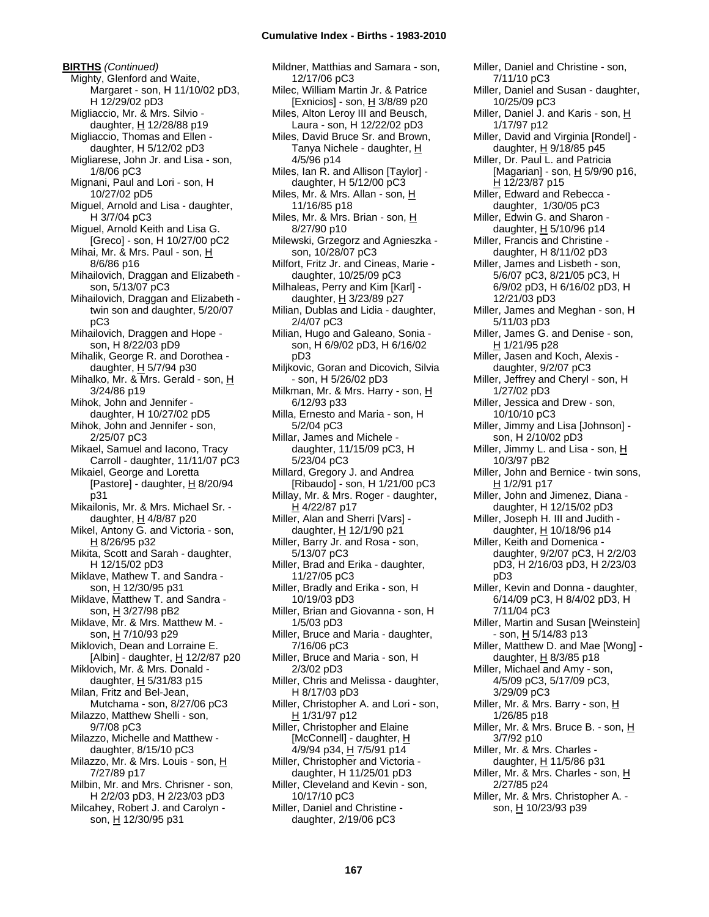**BIRTHS** *(Continued)* Mighty, Glenford and Waite, Margaret - son, H 11/10/02 pD3, H 12/29/02 pD3 Migliaccio, Mr. & Mrs. Silvio daughter, H 12/28/88 p19 Migliaccio, Thomas and Ellen daughter, H 5/12/02 pD3 Migliarese, John Jr. and Lisa - son, 1/8/06 pC3 Mignani, Paul and Lori - son, H 10/27/02 pD5 Miguel, Arnold and Lisa - daughter, H 3/7/04 pC3 Miguel, Arnold Keith and Lisa G. [Greco] - son, H 10/27/00 pC2 Mihai, Mr. & Mrs. Paul - son, H 8/6/86 p16 Mihailovich, Draggan and Elizabeth son, 5/13/07 pC3 Mihailovich, Draggan and Elizabeth twin son and daughter, 5/20/07 pC3 Mihailovich, Draggen and Hope son, H 8/22/03 pD9 Mihalik, George R. and Dorothea daughter,  $H$  5/7/94 p30 Mihalko, Mr. & Mrs. Gerald - son, H 3/24/86 p19 Mihok, John and Jennifer daughter, H 10/27/02 pD5 Mihok, John and Jennifer - son, 2/25/07 pC3 Mikael, Samuel and Iacono, Tracy Carroll - daughter, 11/11/07 pC3 Mikaiel, George and Loretta [Pastore] - daughter,  $H$  8/20/94 p31 Mikailonis, Mr. & Mrs. Michael Sr. daughter,  $H$  4/8/87 p20 Mikel, Antony G. and Victoria - son, H 8/26/95 p32 Mikita, Scott and Sarah - daughter, H 12/15/02 pD3 Miklave, Mathew T. and Sandra son, H 12/30/95 p31 Miklave, Matthew T. and Sandra son, H 3/27/98 pB2 Miklave, Mr. & Mrs. Matthew M. son, H 7/10/93 p29 Miklovich, Dean and Lorraine E. [Albin] - daughter, H 12/2/87 p20 Miklovich, Mr. & Mrs. Donald daughter,  $H$  5/31/83 p15 Milan, Fritz and Bel-Jean, Mutchama - son, 8/27/06 pC3 Milazzo, Matthew Shelli - son, 9/7/08 pC3 Milazzo, Michelle and Matthew daughter, 8/15/10 pC3 Milazzo, Mr. & Mrs. Louis - son, H 7/27/89 p17 Milbin, Mr. and Mrs. Chrisner - son, H 2/2/03 pD3, H 2/23/03 pD3 Milcahey, Robert J. and Carolyn son, H 12/30/95 p31

Mildner, Matthias and Samara - son, 12/17/06 pC3 Milec, William Martin Jr. & Patrice [Exnicios] - son, H 3/8/89 p20 Miles, Alton Leroy III and Beusch, Laura - son, H 12/22/02 pD3 Miles, David Bruce Sr. and Brown, Tanya Nichele - daughter, H 4/5/96 p14 Miles, Ian R. and Allison [Taylor] daughter, H 5/12/00 pC3 Miles, Mr. & Mrs. Allan - son, H 11/16/85 p18 Miles, Mr. & Mrs. Brian - son, H 8/27/90 p10 Milewski, Grzegorz and Agnieszka son, 10/28/07 pC3 Milfort, Fritz Jr. and Cineas, Marie daughter, 10/25/09 pC3 Milhaleas, Perry and Kim [Karl] daughter, H 3/23/89 p27 Milian, Dublas and Lidia - daughter, 2/4/07 pC3 Milian, Hugo and Galeano, Sonia son, H 6/9/02 pD3, H 6/16/02 pD3 Miljkovic, Goran and Dicovich, Silvia - son, H 5/26/02 pD3 Milkman, Mr. & Mrs. Harry - son, H 6/12/93 p33 Milla, Ernesto and Maria - son, H 5/2/04 pC3 Millar, James and Michele daughter, 11/15/09 pC3, H 5/23/04 pC3 Millard, Gregory J. and Andrea [Ribaudo] - son, H 1/21/00 pC3 Millay, Mr. & Mrs. Roger - daughter, H 4/22/87 p17 Miller, Alan and Sherri [Vars] daughter, H 12/1/90 p21 Miller, Barry Jr. and Rosa - son, 5/13/07 pC3 Miller, Brad and Erika - daughter, 11/27/05 pC3 Miller, Bradly and Erika - son, H 10/19/03 pD3 Miller, Brian and Giovanna - son, H 1/5/03 pD3 Miller, Bruce and Maria - daughter, 7/16/06 pC3 Miller, Bruce and Maria - son, H 2/3/02 pD3 Miller, Chris and Melissa - daughter, H 8/17/03 pD3 Miller, Christopher A. and Lori - son, H 1/31/97 p12 Miller, Christopher and Elaine [McConnell] - daughter, H 4/9/94 p34, H 7/5/91 p14 Miller, Christopher and Victoria daughter, H 11/25/01 pD3 Miller, Cleveland and Kevin - son, 10/17/10 pC3 Miller, Daniel and Christine daughter, 2/19/06 pC3

Miller, Daniel and Christine - son, 7/11/10 pC3 Miller, Daniel and Susan - daughter, 10/25/09 pC3 Miller, Daniel J. and Karis - son, H 1/17/97 p12 Miller, David and Virginia [Rondel] daughter, H 9/18/85 p45 Miller, Dr. Paul L. and Patricia [Magarian] - son,  $\underline{H}$  5/9/90 p16, H 12/23/87 p15 Miller, Edward and Rebecca daughter, 1/30/05 pC3 Miller, Edwin G. and Sharon daughter,  $H$  5/10/96 p14 Miller, Francis and Christine daughter, H 8/11/02 pD3 Miller, James and Lisbeth - son, 5/6/07 pC3, 8/21/05 pC3, H 6/9/02 pD3, H 6/16/02 pD3, H 12/21/03 pD3 Miller, James and Meghan - son, H 5/11/03 pD3 Miller, James G. and Denise - son, H 1/21/95 p28 Miller, Jasen and Koch, Alexis daughter, 9/2/07 pC3 Miller, Jeffrey and Cheryl - son, H 1/27/02 pD3 Miller, Jessica and Drew - son, 10/10/10 pC3 Miller, Jimmy and Lisa [Johnson] son, H 2/10/02 pD3 Miller, Jimmy L. and Lisa - son, H 10/3/97 pB2 Miller, John and Bernice - twin sons, H 1/2/91 p17 Miller, John and Jimenez, Diana daughter, H 12/15/02 pD3 Miller, Joseph H. III and Judith daughter, H 10/18/96 p14 Miller, Keith and Domenica daughter, 9/2/07 pC3, H 2/2/03 pD3, H 2/16/03 pD3, H 2/23/03 pD3 Miller, Kevin and Donna - daughter, 6/14/09 pC3, H 8/4/02 pD3, H 7/11/04 pC3 Miller, Martin and Susan [Weinstein] - son, <u>H</u> 5/14/83 p13 Miller, Matthew D. and Mae [Wong] daughter,  $H$  8/3/85 p18 Miller, Michael and Amy - son, 4/5/09 pC3, 5/17/09 pC3, 3/29/09 pC3 Miller, Mr. & Mrs. Barry - son, H 1/26/85 p18 Miller, Mr. & Mrs. Bruce B. - son, H 3/7/92 p10 Miller, Mr. & Mrs. Charles daughter,  $H$  11/5/86 p31 Miller, Mr. & Mrs. Charles - son, H 2/27/85 p24 Miller, Mr. & Mrs. Christopher A. son, H 10/23/93 p39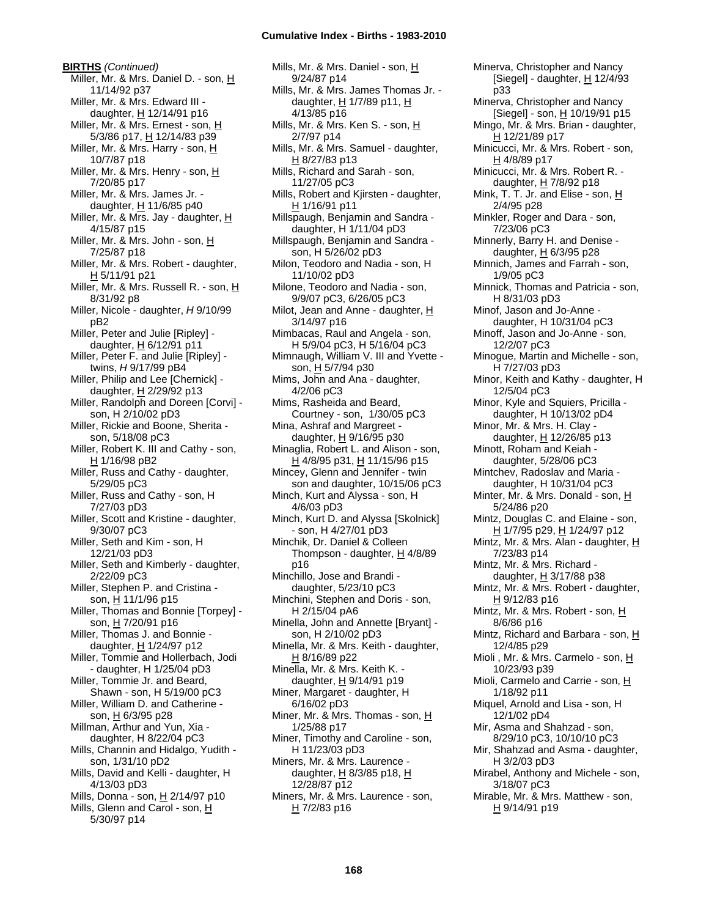**BIRTHS** *(Continued)* Miller, Mr. & Mrs. Daniel D. - son, H 11/14/92 p37 Miller, Mr. & Mrs. Edward III daughter, H 12/14/91 p16 Miller, Mr. & Mrs. Ernest - son, H 5/3/86 p17, H 12/14/83 p39 Miller, Mr. & Mrs. Harry - son, H 10/7/87 p18 Miller, Mr. & Mrs. Henry - son, H 7/20/85 p17 Miller, Mr. & Mrs. James Jr. daughter,  $H$  11/6/85 p40 Miller, Mr. & Mrs. Jay - daughter, H 4/15/87 p15 Miller, Mr. & Mrs. John - son, H 7/25/87 p18 Miller, Mr. & Mrs. Robert - daughter, H 5/11/91 p21 Miller, Mr. & Mrs. Russell R. - son, H 8/31/92 p8 Miller, Nicole - daughter, *H* 9/10/99 pB2 Miller, Peter and Julie [Ripley] daughter,  $H$  6/12/91 p11 Miller, Peter F. and Julie [Ripley] twins, *H* 9/17/99 pB4 Miller, Philip and Lee [Chernick] daughter, H 2/29/92 p13 Miller, Randolph and Doreen [Corvi] son, H 2/10/02 pD3 Miller, Rickie and Boone, Sherita son, 5/18/08 pC3 Miller, Robert K. III and Cathy - son, H 1/16/98 pB2 Miller, Russ and Cathy - daughter, 5/29/05 pC3 Miller, Russ and Cathy - son, H 7/27/03 pD3 Miller, Scott and Kristine - daughter, 9/30/07 pC3 Miller, Seth and Kim - son, H 12/21/03 pD3 Miller, Seth and Kimberly - daughter, 2/22/09 pC3 Miller, Stephen P. and Cristina son, H 11/1/96 p15 Miller, Thomas and Bonnie [Torpey] son, H 7/20/91 p16 Miller, Thomas J. and Bonnie daughter,  $H$  1/24/97 p12 Miller, Tommie and Hollerbach, Jodi - daughter, H 1/25/04 pD3 Miller, Tommie Jr. and Beard, Shawn - son, H 5/19/00 pC3 Miller, William D. and Catherine son, H 6/3/95 p28 Millman, Arthur and Yun, Xia daughter, H 8/22/04 pC3 Mills, Channin and Hidalgo, Yudith son, 1/31/10 pD2 Mills, David and Kelli - daughter, H 4/13/03 pD3 Mills, Donna - son,  $H$  2/14/97 p10 Mills, Glenn and Carol - son, H 5/30/97 p14

Mills, Mr. & Mrs. Daniel - son, H 9/24/87 p14 Mills, Mr. & Mrs. James Thomas Jr. daughter,  $\underline{H}$  1/7/89 p11,  $\underline{H}$ 4/13/85 p16 Mills, Mr. & Mrs. Ken S. - son, H 2/7/97 p14 Mills, Mr. & Mrs. Samuel - daughter,  $H$  8/27/83 p13 Mills, Richard and Sarah - son, 11/27/05 pC3 Mills, Robert and Kjirsten - daughter, H 1/16/91 p11 Millspaugh, Benjamin and Sandra daughter, H 1/11/04 pD3 Millspaugh, Benjamin and Sandra son, H 5/26/02 pD3 Milon, Teodoro and Nadia - son, H 11/10/02 pD3 Milone, Teodoro and Nadia - son, 9/9/07 pC3, 6/26/05 pC3 Milot, Jean and Anne - daughter,  $H$ 3/14/97 p16 Mimbacas, Raul and Angela - son, H 5/9/04 pC3, H 5/16/04 pC3 Mimnaugh, William V. III and Yvette son, H 5/7/94 p30 Mims, John and Ana - daughter, 4/2/06 pC3 Mims, Rasheida and Beard, Courtney - son, 1/30/05 pC3 Mina, Ashraf and Margreet daughter,  $H$  9/16/95 p30 Minaglia, Robert L. and Alison - son, H 4/8/95 p31, H 11/15/96 p15 Mincey, Glenn and Jennifer - twin son and daughter, 10/15/06 pC3 Minch, Kurt and Alyssa - son, H 4/6/03 pD3 Minch, Kurt D. and Alyssa [Skolnick] - son, H 4/27/01 pD3 Minchik, Dr. Daniel & Colleen Thompson - daughter,  $H$  4/8/89 p16 Minchillo, Jose and Brandi daughter, 5/23/10 pC3 Minchini, Stephen and Doris - son, H 2/15/04 pA6 Minella, John and Annette [Bryant] son, H 2/10/02 pD3 Minella, Mr. & Mrs. Keith - daughter, H 8/16/89 p22 Minella, Mr. & Mrs. Keith K. daughter, H 9/14/91 p19 Miner, Margaret - daughter, H 6/16/02 pD3 Miner, Mr. & Mrs. Thomas - son, H 1/25/88 p17 Miner, Timothy and Caroline - son, H 11/23/03 pD3 Miners, Mr. & Mrs. Laurence daughter, H 8/3/85 p18, H 12/28/87 p12 Miners, Mr. & Mrs. Laurence - son,  $H$  7/2/83 p16

Minerva, Christopher and Nancy [Siegel] - daughter, H 12/4/93 p33 Minerva, Christopher and Nancy  $[Siegel]$  - son,  $H$  10/19/91 p15 Mingo, Mr. & Mrs. Brian - daughter, H 12/21/89 p17 Minicucci, Mr. & Mrs. Robert - son, H 4/8/89 p17 Minicucci, Mr. & Mrs. Robert R. daughter, H 7/8/92 p18 Mink, T. T. Jr. and Elise - son,  $\underline{H}$ 2/4/95 p28 Minkler, Roger and Dara - son, 7/23/06 pC3 Minnerly, Barry H. and Denise daughter, H 6/3/95 p28 Minnich, James and Farrah - son, 1/9/05 pC3 Minnick, Thomas and Patricia - son, H 8/31/03 pD3 Minof, Jason and Jo-Anne daughter, H 10/31/04 pC3 Minoff, Jason and Jo-Anne - son, 12/2/07 pC3 Minogue, Martin and Michelle - son, H 7/27/03 pD3 Minor, Keith and Kathy - daughter, H 12/5/04 pC3 Minor, Kyle and Squiers, Pricilla daughter, H 10/13/02 pD4 Minor, Mr. & Mrs. H. Clay daughter,  $H$  12/26/85 p13 Minott, Roham and Keiah daughter, 5/28/06 pC3 Mintchev, Radoslav and Maria daughter, H 10/31/04 pC3 Minter, Mr. & Mrs. Donald - son, H 5/24/86 p20 Mintz, Douglas C. and Elaine - son, H 1/7/95 p29, H 1/24/97 p12 Mintz, Mr. & Mrs. Alan - daughter,  $H$ 7/23/83 p14 Mintz, Mr. & Mrs. Richard daughter,  $H$  3/17/88 p38 Mintz, Mr. & Mrs. Robert - daughter, H 9/12/83 p16 Mintz, Mr. & Mrs. Robert - son, H 8/6/86 p16 Mintz, Richard and Barbara - son, H 12/4/85 p29 Mioli , Mr. & Mrs. Carmelo - son, H 10/23/93 p39 Mioli, Carmelo and Carrie - son, H 1/18/92 p11 Miquel, Arnold and Lisa - son, H 12/1/02 pD4 Mir, Asma and Shahzad - son, 8/29/10 pC3, 10/10/10 pC3 Mir, Shahzad and Asma - daughter, H 3/2/03 pD3 Mirabel, Anthony and Michele - son, 3/18/07 pC3 Mirable, Mr. & Mrs. Matthew - son, H 9/14/91 p19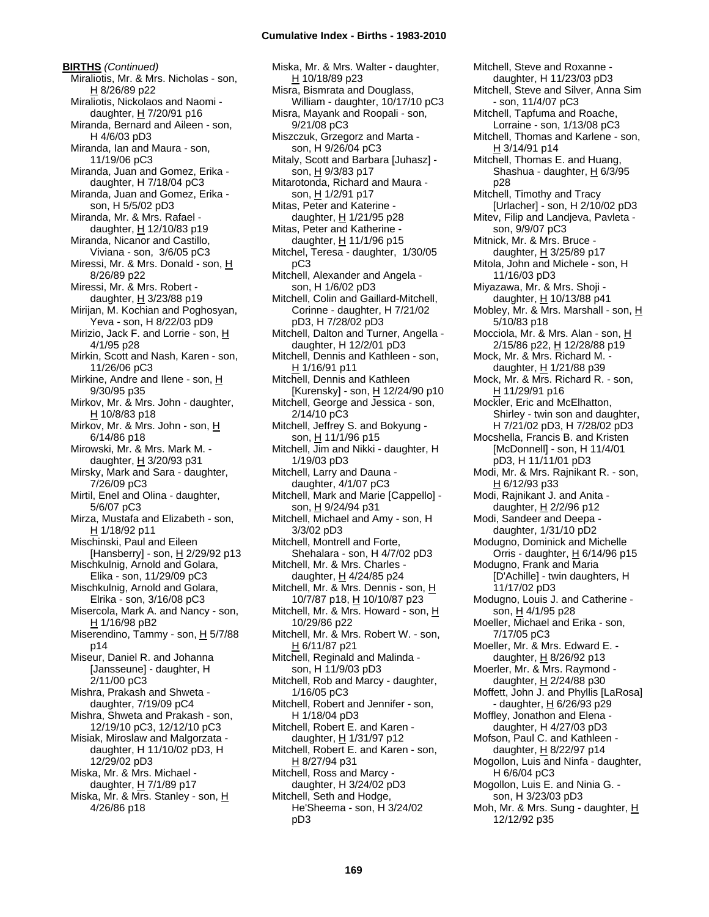**BIRTHS** *(Continued)* Miraliotis, Mr. & Mrs. Nicholas - son, H 8/26/89 p22 Miraliotis, Nickolaos and Naomi daughter, H 7/20/91 p16 Miranda, Bernard and Aileen - son, H 4/6/03 pD3 Miranda, Ian and Maura - son, 11/19/06 pC3 Miranda, Juan and Gomez, Erika daughter, H 7/18/04 pC3 Miranda, Juan and Gomez, Erika son, H 5/5/02 pD3 Miranda, Mr. & Mrs. Rafael daughter,  $H$  12/10/83 p19 Miranda, Nicanor and Castillo, Viviana - son, 3/6/05 pC3 Miressi, Mr. & Mrs. Donald - son, H 8/26/89 p22 Miressi, Mr. & Mrs. Robert daughter,  $H$  3/23/88 p19 Mirijan, M. Kochian and Poghosyan, Yeva - son, H 8/22/03 pD9 Mirizio, Jack F. and Lorrie - son, H 4/1/95 p28 Mirkin, Scott and Nash, Karen - son, 11/26/06 pC3 Mirkine, Andre and Ilene - son,  $H$ 9/30/95 p35 Mirkov, Mr. & Mrs. John - daughter,  $H$  10/8/83 p18 Mirkov, Mr. & Mrs. John - son, H 6/14/86 p18 Mirowski, Mr. & Mrs. Mark M. daughter, H 3/20/93 p31 Mirsky, Mark and Sara - daughter, 7/26/09 pC3 Mirtil, Enel and Olina - daughter, 5/6/07 pC3 Mirza, Mustafa and Elizabeth - son, H 1/18/92 p11 Mischinski, Paul and Eileen [Hansberry] - son,  $H$  2/29/92 p13 Mischkulnig, Arnold and Golara, Elika - son, 11/29/09 pC3 Mischkulnig, Arnold and Golara, Elrika - son, 3/16/08 pC3 Misercola, Mark A. and Nancy - son, H 1/16/98 pB2 Miserendino, Tammy - son, H 5/7/88 p14 Miseur, Daniel R. and Johanna [Jansseune] - daughter, H 2/11/00 pC3 Mishra, Prakash and Shweta daughter, 7/19/09 pC4 Mishra, Shweta and Prakash - son, 12/19/10 pC3, 12/12/10 pC3 Misiak, Miroslaw and Malgorzata daughter, H 11/10/02 pD3, H 12/29/02 pD3 Miska, Mr. & Mrs. Michael daughter, H 7/1/89 p17 Miska, Mr. & Mrs. Stanley - son, H 4/26/86 p18

Miska, Mr. & Mrs. Walter - daughter, H 10/18/89 p23 Misra, Bismrata and Douglass, William - daughter, 10/17/10 pC3 Misra, Mayank and Roopali - son, 9/21/08 pC3 Miszczuk, Grzegorz and Marta son, H 9/26/04 pC3 Mitaly, Scott and Barbara [Juhasz] son, H 9/3/83 p17 Mitarotonda, Richard and Maura son, H 1/2/91 p17 Mitas, Peter and Katerine daughter,  $\underline{H}$  1/21/95 p28 Mitas, Peter and Katherine daughter,  $H$  11/1/96 p15 Mitchel, Teresa - daughter, 1/30/05 pC3 Mitchell, Alexander and Angela son, H 1/6/02 pD3 Mitchell, Colin and Gaillard-Mitchell, Corinne - daughter, H 7/21/02 pD3, H 7/28/02 pD3 Mitchell, Dalton and Turner, Angella daughter, H 12/2/01 pD3 Mitchell, Dennis and Kathleen - son, H 1/16/91 p11 Mitchell, Dennis and Kathleen [Kurensky] - son, H 12/24/90 p10 Mitchell, George and Jessica - son, 2/14/10 pC3 Mitchell, Jeffrey S. and Bokyung son, H 11/1/96 p15 Mitchell, Jim and Nikki - daughter, H 1/19/03 pD3 Mitchell, Larry and Dauna daughter, 4/1/07 pC3 Mitchell, Mark and Marie [Cappello] son, H 9/24/94 p31 Mitchell, Michael and Amy - son, H 3/3/02 pD3 Mitchell, Montrell and Forte, Shehalara - son, H 4/7/02 pD3 Mitchell, Mr. & Mrs. Charles daughter, H 4/24/85 p24 Mitchell, Mr. & Mrs. Dennis - son, H 10/7/87 p18, H 10/10/87 p23 Mitchell, Mr. & Mrs. Howard - son, H 10/29/86 p22 Mitchell, Mr. & Mrs. Robert W. - son, H 6/11/87 p21 Mitchell, Reginald and Malinda son, H 11/9/03 pD3 Mitchell, Rob and Marcy - daughter, 1/16/05 pC3 Mitchell, Robert and Jennifer - son, H 1/18/04 pD3 Mitchell, Robert E. and Karen daughter, H 1/31/97 p12 Mitchell, Robert E. and Karen - son, H 8/27/94 p31 Mitchell, Ross and Marcy daughter, H 3/24/02 pD3 Mitchell, Seth and Hodge, He'Sheema - son, H 3/24/02 pD3

Mitchell, Steve and Roxanne daughter, H 11/23/03 pD3 Mitchell, Steve and Silver, Anna Sim - son, 11/4/07 pC3 Mitchell, Tapfuma and Roache, Lorraine - son, 1/13/08 pC3 Mitchell, Thomas and Karlene - son, H 3/14/91 p14 Mitchell, Thomas E. and Huang, Shashua - daughter,  $H$  6/3/95 p28 Mitchell, Timothy and Tracy [Urlacher] - son, H 2/10/02 pD3 Mitev, Filip and Landjeva, Pavleta son, 9/9/07 pC3 Mitnick, Mr. & Mrs. Bruce daughter, H 3/25/89 p17 Mitola, John and Michele - son, H 11/16/03 pD3 Miyazawa, Mr. & Mrs. Shoji daughter, H 10/13/88 p41 Mobley, Mr. & Mrs. Marshall - son, H 5/10/83 p18 Mocciola, Mr. & Mrs. Alan - son, H 2/15/86 p22, H 12/28/88 p19 Mock, Mr. & Mrs. Richard M. daughter,  $H$  1/21/88 p39 Mock, Mr. & Mrs. Richard R. - son, H 11/29/91 p16 Mockler, Eric and McElhatton, Shirley - twin son and daughter, H 7/21/02 pD3, H 7/28/02 pD3 Mocshella, Francis B. and Kristen [McDonnell] - son, H 11/4/01 pD3, H 11/11/01 pD3 Modi, Mr. & Mrs. Rajnikant R. - son,  $H$  6/12/93 p33 Modi, Rajnikant J. and Anita daughter, H 2/2/96 p12 Modi, Sandeer and Deepa daughter, 1/31/10 pD2 Modugno, Dominick and Michelle Orris - daughter, H 6/14/96 p15 Modugno, Frank and Maria [D'Achille] - twin daughters, H 11/17/02 pD3 Modugno, Louis J. and Catherine son, H 4/1/95 p28 Moeller, Michael and Erika - son, 7/17/05 pC3 Moeller, Mr. & Mrs. Edward E. daughter, H 8/26/92 p13 Moerler, Mr. & Mrs. Raymond daughter, H 2/24/88 p30 Moffett, John J. and Phyllis [LaRosa] - daughter, H 6/26/93 p29 Moffley, Jonathon and Elena daughter, H 4/27/03 pD3 Mofson, Paul C. and Kathleen daughter,  $H$  8/22/97 p14 Mogollon, Luis and Ninfa - daughter, H 6/6/04 pC3 Mogollon, Luis E. and Ninia G. son, H 3/23/03 pD3 Moh, Mr. & Mrs. Sung - daughter, H 12/12/92 p35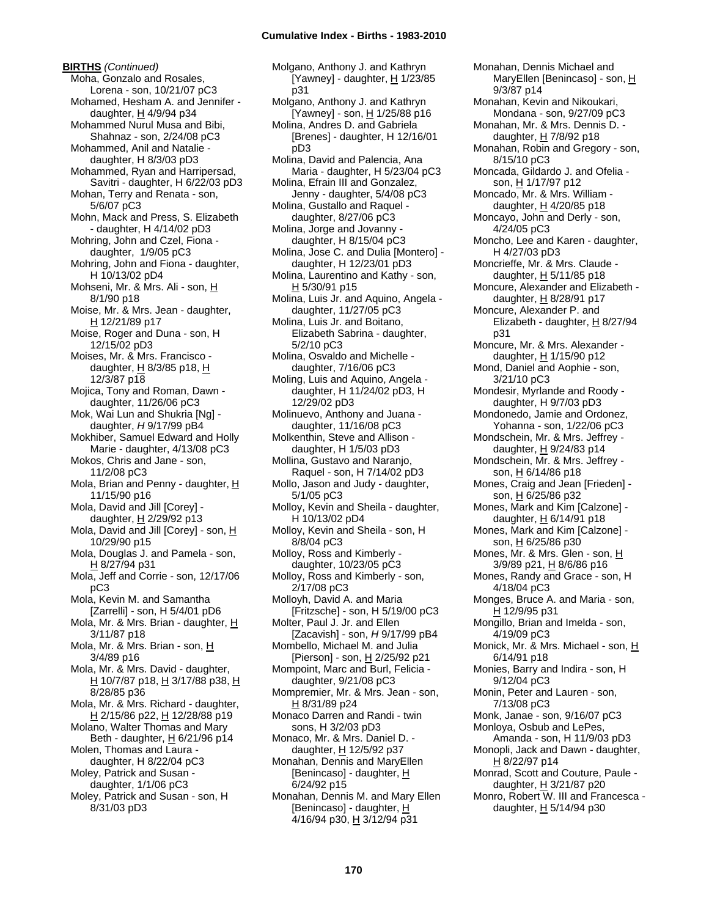**BIRTHS** *(Continued)* Moha, Gonzalo and Rosales, Lorena - son, 10/21/07 pC3 Mohamed, Hesham A. and Jennifer daughter, H 4/9/94 p34 Mohammed Nurul Musa and Bibi, Shahnaz - son, 2/24/08 pC3 Mohammed, Anil and Natalie daughter, H 8/3/03 pD3 Mohammed, Ryan and Harripersad, Savitri - daughter, H 6/22/03 pD3 Mohan, Terry and Renata - son, 5/6/07 pC3 Mohn, Mack and Press, S. Elizabeth - daughter, H 4/14/02 pD3 Mohring, John and Czel, Fiona daughter, 1/9/05 pC3 Mohring, John and Fiona - daughter, H 10/13/02 pD4 Mohseni, Mr. & Mrs. Ali - son, H 8/1/90 p18 Moise, Mr. & Mrs. Jean - daughter, H 12/21/89 p17 Moise, Roger and Duna - son, H 12/15/02 pD3 Moises, Mr. & Mrs. Francisco daughter,  $H$  8/3/85 p18,  $H$ 12/3/87 p18 Mojica, Tony and Roman, Dawn daughter, 11/26/06 pC3 Mok, Wai Lun and Shukria [Ng] daughter, *H* 9/17/99 pB4 Mokhiber, Samuel Edward and Holly Marie - daughter, 4/13/08 pC3 Mokos, Chris and Jane - son, 11/2/08 pC3 Mola, Brian and Penny - daughter, H 11/15/90 p16 Mola, David and Jill [Corey] daughter,  $H$  2/29/92 p13 Mola, David and Jill [Corey] - son, H 10/29/90 p15 Mola, Douglas J. and Pamela - son, H 8/27/94 p31 Mola, Jeff and Corrie - son, 12/17/06 pC3 Mola, Kevin M. and Samantha [Zarrelli] - son, H 5/4/01 pD6 Mola, Mr. & Mrs. Brian - daughter, H 3/11/87 p18 Mola, Mr. & Mrs. Brian - son, H 3/4/89 p16 Mola, Mr. & Mrs. David - daughter, H 10/7/87 p18, H 3/17/88 p38, H 8/28/85 p36 Mola, Mr. & Mrs. Richard - daughter, H 2/15/86 p22, H 12/28/88 p19 Molano, Walter Thomas and Mary Beth - daughter,  $\underline{H}$  6/21/96 p14 Molen, Thomas and Laura daughter, H 8/22/04 pC3 Moley, Patrick and Susan daughter, 1/1/06 pC3 Moley, Patrick and Susan - son, H 8/31/03 pD3

Molgano, Anthony J. and Kathryn [Yawney] - daughter, H 1/23/85 p31 Molgano, Anthony J. and Kathryn [Yawney] - son, H 1/25/88 p16 Molina, Andres D. and Gabriela [Brenes] - daughter, H 12/16/01 pD3 Molina, David and Palencia, Ana Maria - daughter, H 5/23/04 pC3 Molina, Efrain III and Gonzalez, Jenny - daughter, 5/4/08 pC3 Molina, Gustallo and Raquel daughter, 8/27/06 pC3 Molina, Jorge and Jovanny daughter, H 8/15/04 pC3 Molina, Jose C. and Dulia [Montero] daughter, H 12/23/01 pD3 Molina, Laurentino and Kathy - son, H 5/30/91 p15 Molina, Luis Jr. and Aquino, Angela daughter, 11/27/05 pC3 Molina, Luis Jr. and Boitano, Elizabeth Sabrina - daughter, 5/2/10 pC3 Molina, Osvaldo and Michelle daughter, 7/16/06 pC3 Moling, Luis and Aquino, Angela daughter, H 11/24/02 pD3, H 12/29/02 pD3 Molinuevo, Anthony and Juana daughter, 11/16/08 pC3 Molkenthin, Steve and Allison daughter, H 1/5/03 pD3 Mollina, Gustavo and Naranjo, Raquel - son, H 7/14/02 pD3 Mollo, Jason and Judy - daughter, 5/1/05 pC3 Molloy, Kevin and Sheila - daughter, H 10/13/02 pD4 Molloy, Kevin and Sheila - son, H 8/8/04 pC3 Molloy, Ross and Kimberly daughter, 10/23/05 pC3 Molloy, Ross and Kimberly - son, 2/17/08 pC3 Molloyh, David A. and Maria [Fritzsche] - son, H 5/19/00 pC3 Molter, Paul J. Jr. and Ellen [Zacavish] - son, *H* 9/17/99 pB4 Mombello, Michael M. and Julia [Pierson] - son, H 2/25/92 p21 Mompoint, Marc and Burl, Felicia daughter, 9/21/08 pC3 Mompremier, Mr. & Mrs. Jean - son, H 8/31/89 p24 Monaco Darren and Randi - twin sons, H 3/2/03 pD3 Monaco, Mr. & Mrs. Daniel D. daughter, H 12/5/92 p37 Monahan, Dennis and MaryEllen [Benincaso] - daughter, H 6/24/92 p15 Monahan, Dennis M. and Mary Ellen [Benincaso] - daughter, H 4/16/94 p30, H 3/12/94 p31

Monahan, Dennis Michael and MaryEllen [Benincaso] - son, H 9/3/87 p14 Monahan, Kevin and Nikoukari, Mondana - son, 9/27/09 pC3 Monahan, Mr. & Mrs. Dennis D. daughter,  $H$  7/8/92 p18 Monahan, Robin and Gregory - son, 8/15/10 pC3 Moncada, Gildardo J. and Ofelia son, H 1/17/97 p12 Moncado, Mr. & Mrs. William daughter,  $H$  4/20/85 p18 Moncayo, John and Derly - son, 4/24/05 pC3 Moncho, Lee and Karen - daughter, H 4/27/03 pD3 Moncrieffe, Mr. & Mrs. Claude daughter,  $H$  5/11/85 p18 Moncure, Alexander and Elizabeth daughter, H 8/28/91 p17 Moncure, Alexander P. and Elizabeth - daughter,  $\underline{H}$  8/27/94 p31 Moncure, Mr. & Mrs. Alexander daughter, H 1/15/90 p12 Mond, Daniel and Aophie - son, 3/21/10 pC3 Mondesir, Myrlande and Roody daughter, H 9/7/03 pD3 Mondonedo, Jamie and Ordonez, Yohanna - son, 1/22/06 pC3 Mondschein, Mr. & Mrs. Jeffrey daughter, H 9/24/83 p14 Mondschein, Mr. & Mrs. Jeffrey son, <u>H</u> 6/14/86 p18 Mones, Craig and Jean [Frieden] son, H 6/25/86 p32 Mones, Mark and Kim [Calzone] daughter,  $H$  6/14/91 p18 Mones, Mark and Kim [Calzone] son, H 6/25/86 p30 Mones, Mr. & Mrs. Glen - son, H 3/9/89 p21, H 8/6/86 p16 Mones, Randy and Grace - son, H 4/18/04 pC3 Monges, Bruce A. and Maria - son, H 12/9/95 p31 Mongillo, Brian and Imelda - son, 4/19/09 pC3 Monick, Mr. & Mrs. Michael - son, H 6/14/91 p18 Monies, Barry and Indira - son, H 9/12/04 pC3 Monin, Peter and Lauren - son, 7/13/08 pC3 Monk, Janae - son, 9/16/07 pC3 Monloya, Osbub and LePes, Amanda - son, H 11/9/03 pD3 Monopli, Jack and Dawn - daughter, H 8/22/97 p14 Monrad, Scott and Couture, Paule daughter, H 3/21/87 p20 Monro, Robert W. III and Francesca daughter, H 5/14/94 p30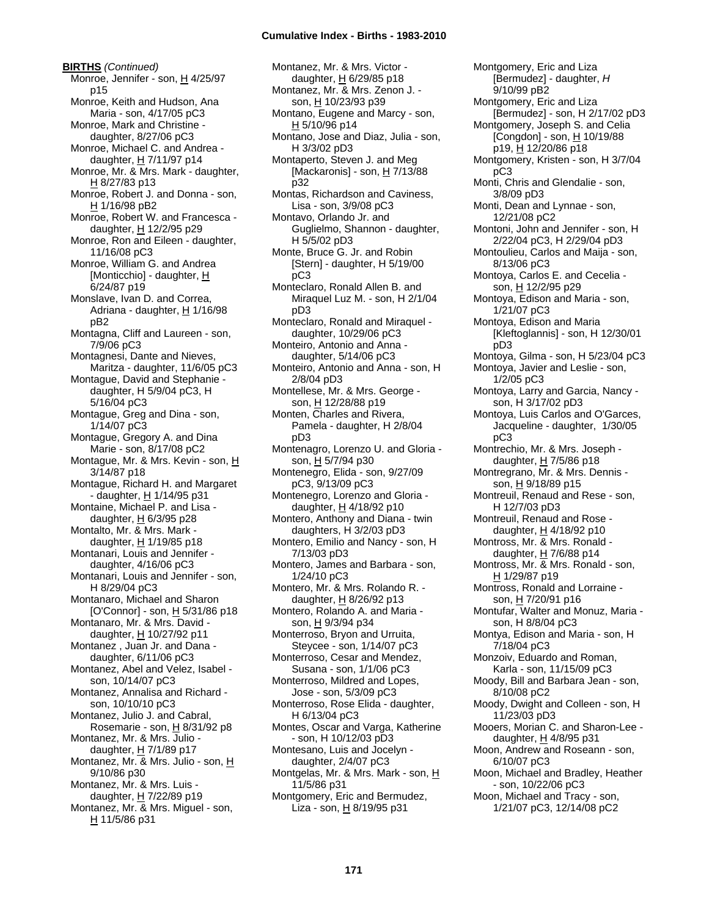#### **Cumulative Index - Births - 1983-2010**

**BIRTHS** *(Continued)* Monroe, Jennifer - son, H 4/25/97 p15 Monroe, Keith and Hudson, Ana Maria - son, 4/17/05 pC3 Monroe, Mark and Christine daughter, 8/27/06 pC3 Monroe, Michael C. and Andrea daughter,  $H$  7/11/97 p14 Monroe, Mr. & Mrs. Mark - daughter, H 8/27/83 p13 Monroe, Robert J. and Donna - son, H 1/16/98 pB2 Monroe, Robert W. and Francesca daughter, H 12/2/95 p29 Monroe, Ron and Eileen - daughter, 11/16/08 pC3 Monroe, William G. and Andrea [Monticchio] - daughter, H 6/24/87 p19 Monslave, Ivan D. and Correa, Adriana - daughter,  $H$  1/16/98 pB2 Montagna, Cliff and Laureen - son, 7/9/06 pC3 Montagnesi, Dante and Nieves, Maritza - daughter, 11/6/05 pC3 Montague, David and Stephanie daughter, H 5/9/04 pC3, H 5/16/04 pC3 Montague, Greg and Dina - son, 1/14/07 pC3 Montague, Gregory A. and Dina Marie - son, 8/17/08 pC2 Montague, Mr. & Mrs. Kevin - son, H 3/14/87 p18 Montague, Richard H. and Margaret - daughter, H 1/14/95 p31 Montaine, Michael P. and Lisa daughter,  $H$  6/3/95 p28 Montalto, Mr. & Mrs. Mark daughter,  $H$  1/19/85 p18 Montanari, Louis and Jennifer daughter, 4/16/06 pC3 Montanari, Louis and Jennifer - son, H 8/29/04 pC3 Montanaro, Michael and Sharon [O'Connor] - son, H 5/31/86 p18 Montanaro, Mr. & Mrs. David daughter, H 10/27/92 p11 Montanez , Juan Jr. and Dana daughter, 6/11/06 pC3 Montanez, Abel and Velez, Isabel son, 10/14/07 pC3 Montanez, Annalisa and Richard son, 10/10/10 pC3 Montanez, Julio J. and Cabral, Rosemarie - son,  $H$  8/31/92 p8 Montanez, Mr. & Mrs. Julio daughter,  $H$  7/1/89 p17 Montanez, Mr. & Mrs. Julio - son, H 9/10/86 p30 Montanez, Mr. & Mrs. Luis daughter, H 7/22/89 p19 Montanez, Mr. & Mrs. Miguel - son, H 11/5/86 p31

Montanez, Mr. & Mrs. Victor daughter, H 6/29/85 p18 Montanez, Mr. & Mrs. Zenon J. son, H 10/23/93 p39 Montano, Eugene and Marcy - son, H 5/10/96 p14 Montano, Jose and Diaz, Julia - son, H 3/3/02 pD3 Montaperto, Steven J. and Meg [Mackaronis] - son,  $H$  7/13/88 p32 Montas, Richardson and Caviness, Lisa - son, 3/9/08 pC3 Montavo, Orlando Jr. and Guglielmo, Shannon - daughter, H 5/5/02 pD3 Monte, Bruce G. Jr. and Robin [Stern] - daughter, H 5/19/00 pC3 Monteclaro, Ronald Allen B. and Miraquel Luz M. - son, H 2/1/04 pD3 Monteclaro, Ronald and Miraquel daughter, 10/29/06 pC3 Monteiro, Antonio and Anna daughter, 5/14/06 pC3 Monteiro, Antonio and Anna - son, H 2/8/04 pD3 Montellese, Mr. & Mrs. George son, H 12/28/88 p19 Monten, Charles and Rivera, Pamela - daughter, H 2/8/04 pD3 Montenagro, Lorenzo U. and Gloria son, H 5/7/94 p30 Montenegro, Elida - son, 9/27/09 pC3, 9/13/09 pC3 Montenegro, Lorenzo and Gloria daughter, H 4/18/92 p10 Montero, Anthony and Diana - twin daughters, H 3/2/03 pD3 Montero, Emilio and Nancy - son, H 7/13/03 pD3 Montero, James and Barbara - son, 1/24/10 pC3 Montero, Mr. & Mrs. Rolando R. daughter, H 8/26/92 p13 Montero, Rolando A. and Maria son, H 9/3/94 p34 Monterroso, Bryon and Urruita, Steycee - son, 1/14/07 pC3 Monterroso, Cesar and Mendez, Susana - son, 1/1/06 pC3 Monterroso, Mildred and Lopes, Jose - son, 5/3/09 pC3 Monterroso, Rose Elida - daughter, H 6/13/04 pC3 Montes, Oscar and Varga, Katherine - son, H 10/12/03 pD3 Montesano, Luis and Jocelyn daughter, 2/4/07 pC3 Montgelas, Mr. & Mrs. Mark - son, H 11/5/86 p31 Montgomery, Eric and Bermudez, Liza - son,  $H_8$  8/19/95 p31

Montgomery, Eric and Liza [Bermudez] - daughter, *H* 9/10/99 pB2 Montgomery, Eric and Liza [Bermudez] - son, H 2/17/02 pD3 Montgomery, Joseph S. and Celia [Congdon] - son,  $H$  10/19/88 p19, H 12/20/86 p18 Montgomery, Kristen - son, H 3/7/04 pC3 Monti, Chris and Glendalie - son, 3/8/09 pD3 Monti, Dean and Lynnae - son, 12/21/08 pC2 Montoni, John and Jennifer - son, H 2/22/04 pC3, H 2/29/04 pD3 Montoulieu, Carlos and Maija - son, 8/13/06 pC3 Montoya, Carlos E. and Cecelia son, H 12/2/95 p29 Montoya, Edison and Maria - son, 1/21/07 pC3 Montoya, Edison and Maria [Kleftoglannis] - son, H 12/30/01 pD3 Montoya, Gilma - son, H 5/23/04 pC3 Montoya, Javier and Leslie - son, 1/2/05 pC3 Montoya, Larry and Garcia, Nancy son, H 3/17/02 pD3 Montoya, Luis Carlos and O'Garces, Jacqueline - daughter, 1/30/05 pC3 Montrechio, Mr. & Mrs. Joseph daughter, H 7/5/86 p18 Montregrano, Mr. & Mrs. Dennis son, H 9/18/89 p15 Montreuil, Renaud and Rese - son, H 12/7/03 pD3 Montreuil, Renaud and Rose daughter, H 4/18/92 p10 Montross, Mr. & Mrs. Ronald daughter, H 7/6/88 p14 Montross, Mr. & Mrs. Ronald - son, H 1/29/87 p19 Montross, Ronald and Lorraine son, H 7/20/91 p16 Montufar, Walter and Monuz, Maria son, H 8/8/04 pC3 Montya, Edison and Maria - son, H 7/18/04 pC3 Monzoiv, Eduardo and Roman, Karla - son, 11/15/09 pC3 Moody, Bill and Barbara Jean - son, 8/10/08 pC2 Moody, Dwight and Colleen - son, H 11/23/03 pD3 Mooers, Morian C. and Sharon-Lee daughter, H 4/8/95 p31 Moon, Andrew and Roseann - son, 6/10/07 pC3 Moon, Michael and Bradley, Heather - son, 10/22/06 pC3 Moon, Michael and Tracy - son, 1/21/07 pC3, 12/14/08 pC2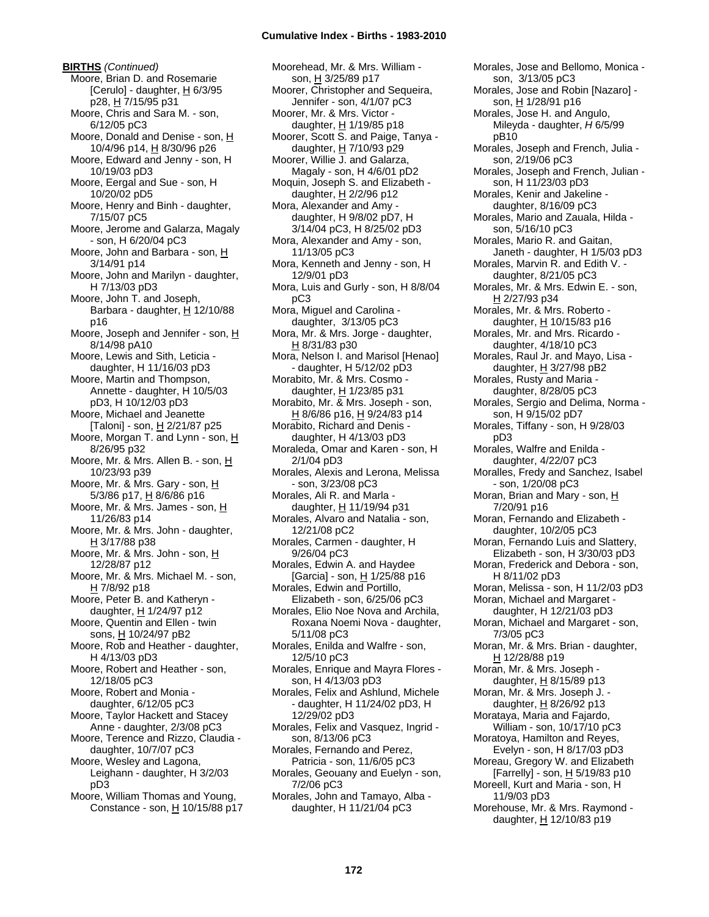**BIRTHS** *(Continued)* Moore, Brian D. and Rosemarie [Cerulo] - daughter,  $H$  6/3/95 p28, H 7/15/95 p31 Moore, Chris and Sara M. - son, 6/12/05 pC3 Moore, Donald and Denise - son, H 10/4/96 p14, H 8/30/96 p26 Moore, Edward and Jenny - son, H 10/19/03 pD3 Moore, Eergal and Sue - son, H 10/20/02 pD5 Moore, Henry and Binh - daughter, 7/15/07 pC5 Moore, Jerome and Galarza, Magaly - son, H 6/20/04 pC3 Moore, John and Barbara - son, H 3/14/91 p14 Moore, John and Marilyn - daughter, H 7/13/03 pD3 Moore, John T. and Joseph, Barbara - daughter,  $H$  12/10/88 p16 Moore, Joseph and Jennifer - son, H 8/14/98 pA10 Moore, Lewis and Sith, Leticia daughter, H 11/16/03 pD3 Moore, Martin and Thompson, Annette - daughter, H 10/5/03 pD3, H 10/12/03 pD3 Moore, Michael and Jeanette [Taloni] - son, H 2/21/87 p25 Moore, Morgan T. and Lynn - son, H 8/26/95 p32 Moore, Mr. & Mrs. Allen B. - son, H 10/23/93 p39 Moore, Mr. & Mrs. Gary - son, H 5/3/86 p17, H 8/6/86 p16 Moore, Mr. & Mrs. James - son, H 11/26/83 p14 Moore, Mr. & Mrs. John - daughter, H 3/17/88 p38 Moore, Mr. & Mrs. John - son, H 12/28/87 p12 Moore, Mr. & Mrs. Michael M. - son, H 7/8/92 p18 Moore, Peter B. and Katheryn daughter, H 1/24/97 p12 Moore, Quentin and Ellen - twin sons, H 10/24/97 pB2 Moore, Rob and Heather - daughter, H 4/13/03 pD3 Moore, Robert and Heather - son, 12/18/05 pC3 Moore, Robert and Monia daughter, 6/12/05 pC3 Moore, Taylor Hackett and Stacey Anne - daughter, 2/3/08 pC3 Moore, Terence and Rizzo, Claudia daughter, 10/7/07 pC3 Moore, Wesley and Lagona, Leighann - daughter, H 3/2/03 pD3 Moore, William Thomas and Young, Constance - son, H 10/15/88 p17 Moorehead, Mr. & Mrs. William son, H 3/25/89 p17 Moorer, Christopher and Sequeira, Jennifer - son, 4/1/07 pC3 Moorer, Mr. & Mrs. Victor daughter, H 1/19/85 p18 Moorer, Scott S. and Paige, Tanya daughter, H 7/10/93 p29 Moorer, Willie J. and Galarza, Magaly - son, H 4/6/01 pD2 Moquin, Joseph S. and Elizabeth daughter,  $H$  2/2/96 p12 Mora, Alexander and Amy daughter, H 9/8/02 pD7, H 3/14/04 pC3, H 8/25/02 pD3 Mora, Alexander and Amy - son, 11/13/05 pC3 Mora, Kenneth and Jenny - son, H 12/9/01 pD3 Mora, Luis and Gurly - son, H 8/8/04 pC3 Mora, Miguel and Carolina daughter, 3/13/05 pC3 Mora, Mr. & Mrs. Jorge - daughter, H 8/31/83 p30 Mora, Nelson I. and Marisol [Henao] - daughter, H 5/12/02 pD3 Morabito, Mr. & Mrs. Cosmo daughter, H 1/23/85 p31 Morabito, Mr. & Mrs. Joseph - son, H 8/6/86 p16, H 9/24/83 p14 Morabito, Richard and Denis daughter, H 4/13/03 pD3 Moraleda, Omar and Karen - son, H 2/1/04 pD3 Morales, Alexis and Lerona, Melissa - son, 3/23/08 pC3 Morales, Ali R. and Marla daughter, H 11/19/94 p31 Morales, Alvaro and Natalia - son, 12/21/08 pC2 Morales, Carmen - daughter, H 9/26/04 pC3 Morales, Edwin A. and Haydee [Garcia] - son, H 1/25/88 p16 Morales, Edwin and Portillo, Elizabeth - son, 6/25/06 pC3 Morales, Elio Noe Nova and Archila, Roxana Noemi Nova - daughter, 5/11/08 pC3 Morales, Enilda and Walfre - son, 12/5/10 pC3 Morales, Enrique and Mayra Flores son, H 4/13/03 pD3 Morales, Felix and Ashlund, Michele - daughter, H 11/24/02 pD3, H 12/29/02 pD3 Morales, Felix and Vasquez, Ingrid son, 8/13/06 pC3 Morales, Fernando and Perez, Patricia - son, 11/6/05 pC3 Morales, Geouany and Euelyn - son, 7/2/06 pC3 Morales, John and Tamayo, Alba daughter, H 11/21/04 pC3

Morales, Jose and Bellomo, Monica son, 3/13/05 pC3 Morales, Jose and Robin [Nazaro] son, H 1/28/91 p16 Morales, Jose H. and Angulo, Mileyda - daughter, *H* 6/5/99 pB10 Morales, Joseph and French, Julia son, 2/19/06 pC3 Morales, Joseph and French, Julian son, H 11/23/03 pD3 Morales, Kenir and Jakeline daughter, 8/16/09 pC3 Morales, Mario and Zauala, Hilda son, 5/16/10 pC3 Morales, Mario R. and Gaitan, Janeth - daughter, H 1/5/03 pD3 Morales, Marvin R. and Edith V. daughter, 8/21/05 pC3 Morales, Mr. & Mrs. Edwin E. - son, H 2/27/93 p34 Morales, Mr. & Mrs. Roberto daughter, H 10/15/83 p16 Morales, Mr. and Mrs. Ricardo daughter, 4/18/10 pC3 Morales, Raul Jr. and Mayo, Lisa daughter,  $H$  3/27/98 pB2 Morales, Rusty and Maria daughter, 8/28/05 pC3 Morales, Sergio and Delima, Norma son, H 9/15/02 pD7 Morales, Tiffany - son, H 9/28/03 pD3 Morales, Walfre and Enilda daughter, 4/22/07 pC3 Moralles, Fredy and Sanchez, Isabel - son, 1/20/08 pC3 Moran, Brian and Mary - son, H 7/20/91 p16 Moran, Fernando and Elizabeth daughter, 10/2/05 pC3 Moran, Fernando Luis and Slattery, Elizabeth - son, H 3/30/03 pD3 Moran, Frederick and Debora - son, H 8/11/02 pD3 Moran, Melissa - son, H 11/2/03 pD3 Moran, Michael and Margaret daughter, H 12/21/03 pD3 Moran, Michael and Margaret - son, 7/3/05 pC3 Moran, Mr. & Mrs. Brian - daughter, H 12/28/88 p19 Moran, Mr. & Mrs. Joseph daughter,  $H$  8/15/89 p13 Moran, Mr. & Mrs. Joseph J. daughter, H 8/26/92 p13 Morataya, Maria and Fajardo, William - son, 10/17/10 pC3 Moratoya, Hamilton and Reyes, Evelyn - son, H 8/17/03 pD3 Moreau, Gregory W. and Elizabeth [Farrelly] - son, H 5/19/83 p10 Moreell, Kurt and Maria - son, H 11/9/03 pD3 Morehouse, Mr. & Mrs. Raymond daughter, H 12/10/83 p19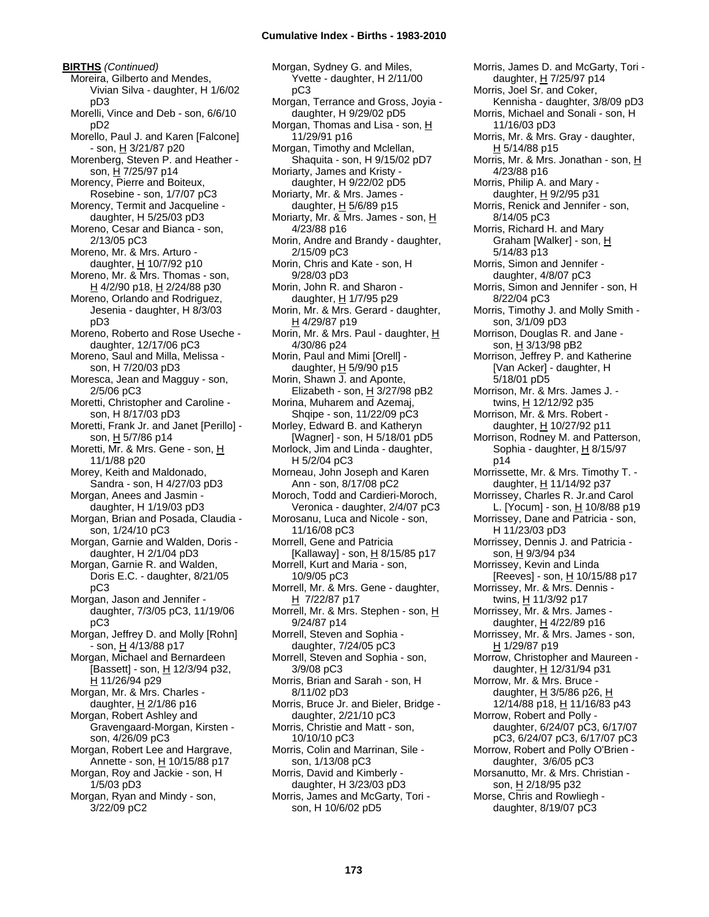**BIRTHS** *(Continued)* Moreira, Gilberto and Mendes, Vivian Silva - daughter, H 1/6/02 pD3 Morelli, Vince and Deb - son, 6/6/10 pD2 Morello, Paul J. and Karen [Falcone] - son, H 3/21/87 p20 Morenberg, Steven P. and Heather son,  $H$  7/25/97 p14 Morency, Pierre and Boiteux, Rosebine - son, 1/7/07 pC3 Morency, Termit and Jacqueline daughter, H 5/25/03 pD3 Moreno, Cesar and Bianca - son, 2/13/05 pC3 Moreno, Mr. & Mrs. Arturo daughter,  $H$  10/7/92 p10 Moreno, Mr. & Mrs. Thomas - son, H 4/2/90 p18, H 2/24/88 p30 Moreno, Orlando and Rodriguez, Jesenia - daughter, H 8/3/03 pD3 Moreno, Roberto and Rose Useche daughter, 12/17/06 pC3 Moreno, Saul and Milla, Melissa son, H 7/20/03 pD3 Moresca, Jean and Magguy - son, 2/5/06 pC3 Moretti, Christopher and Caroline son, H 8/17/03 pD3 Moretti, Frank Jr. and Janet [Perillo] son, H 5/7/86 p14 Moretti, Mr. & Mrs. Gene - son, H 11/1/88 p20 Morey, Keith and Maldonado, Sandra - son, H 4/27/03 pD3 Morgan, Anees and Jasmin daughter, H 1/19/03 pD3 Morgan, Brian and Posada, Claudia son, 1/24/10 pC3 Morgan, Garnie and Walden, Doris daughter, H 2/1/04 pD3 Morgan, Garnie R. and Walden, Doris E.C. - daughter, 8/21/05 pC3 Morgan, Jason and Jennifer daughter, 7/3/05 pC3, 11/19/06 pC3 Morgan, Jeffrey D. and Molly [Rohn] - son, H 4/13/88 p17 Morgan, Michael and Bernardeen [Bassett] - son,  $H$  12/3/94 p32, H 11/26/94 p29 Morgan, Mr. & Mrs. Charles daughter,  $H$  2/1/86 p16 Morgan, Robert Ashley and Gravengaard-Morgan, Kirsten son, 4/26/09 pC3 Morgan, Robert Lee and Hargrave, Annette - son, H 10/15/88 p17 Morgan, Roy and Jackie - son, H 1/5/03 pD3

Morgan, Ryan and Mindy - son, 3/22/09 pC2

Morgan, Sydney G. and Miles, Yvette - daughter, H 2/11/00 pC3 Morgan, Terrance and Gross, Joyia daughter, H 9/29/02 pD5 Morgan, Thomas and Lisa - son, H 11/29/91 p16 Morgan, Timothy and Mclellan, Shaquita - son, H 9/15/02 pD7 Moriarty, James and Kristy daughter, H 9/22/02 pD5 Moriarty, Mr. & Mrs. James daughter,  $H$  5/6/89 p15 Moriarty, Mr. & Mrs. James - son, H 4/23/88 p16 Morin, Andre and Brandy - daughter, 2/15/09 pC3 Morin, Chris and Kate - son, H 9/28/03 pD3 Morin, John R. and Sharon daughter, H 1/7/95 p29 Morin, Mr. & Mrs. Gerard - daughter, H 4/29/87 p19 Morin, Mr. & Mrs. Paul - daughter, H 4/30/86 p24 Morin, Paul and Mimi [Orell] daughter,  $H$  5/9/90 p15 Morin, Shawn J. and Aponte, Elizabeth - son,  $H$  3/27/98 pB2 Morina, Muharem and Azemaj, Shqipe - son, 11/22/09 pC3 Morley, Edward B. and Katheryn [Wagner] - son, H 5/18/01 pD5 Morlock, Jim and Linda - daughter, H 5/2/04 pC3 Morneau, John Joseph and Karen Ann - son, 8/17/08 pC2 Moroch, Todd and Cardieri-Moroch, Veronica - daughter, 2/4/07 pC3 Morosanu, Luca and Nicole - son, 11/16/08 pC3 Morrell, Gene and Patricia [Kallaway] - son, H 8/15/85 p17 Morrell, Kurt and Maria - son, 10/9/05 pC3 Morrell, Mr. & Mrs. Gene - daughter, H 7/22/87 p17 Morrell, Mr. & Mrs. Stephen - son, H 9/24/87 p14 Morrell, Steven and Sophia daughter, 7/24/05 pC3 Morrell, Steven and Sophia - son, 3/9/08 pC3 Morris, Brian and Sarah - son, H 8/11/02 pD3 Morris, Bruce Jr. and Bieler, Bridge daughter, 2/21/10 pC3 Morris, Christie and Matt - son, 10/10/10 pC3 Morris, Colin and Marrinan, Sile son, 1/13/08 pC3 Morris, David and Kimberly daughter, H 3/23/03 pD3 Morris, James and McGarty, Tori son, H 10/6/02 pD5

Morris, James D. and McGarty, Tori daughter, H 7/25/97 p14 Morris, Joel Sr. and Coker, Kennisha - daughter, 3/8/09 pD3 Morris, Michael and Sonali - son, H 11/16/03 pD3 Morris, Mr. & Mrs. Gray - daughter, H 5/14/88 p15 Morris, Mr. & Mrs. Jonathan - son, H 4/23/88 p16 Morris, Philip A. and Mary daughter,  $H$  9/2/95 p31 Morris, Renick and Jennifer - son, 8/14/05 pC3 Morris, Richard H. and Mary Graham [Walker] - son, H 5/14/83 p13 Morris, Simon and Jennifer daughter, 4/8/07 pC3 Morris, Simon and Jennifer - son, H 8/22/04 pC3 Morris, Timothy J. and Molly Smith son, 3/1/09 pD3 Morrison, Douglas R. and Jane son, H 3/13/98 pB2 Morrison, Jeffrey P. and Katherine [Van Acker] - daughter, H 5/18/01 pD5 Morrison, Mr. & Mrs. James J. twins, H 12/12/92 p35 Morrison, Mr. & Mrs. Robert daughter, H 10/27/92 p11 Morrison, Rodney M. and Patterson, Sophia - daughter, H 8/15/97 p14 Morrissette, Mr. & Mrs. Timothy T. daughter, H 11/14/92 p37 Morrissey, Charles R. Jr.and Carol L. [Yocum] - son, H 10/8/88 p19 Morrissey, Dane and Patricia - son, H 11/23/03 pD3 Morrissey, Dennis J. and Patricia son, H 9/3/94 p34 Morrissey, Kevin and Linda [Reeves] - son, <u>H</u> 10/15/88 p17 Morrissey, Mr. & Mrs. Dennis twins, H 11/3/92 p17 Morrissey, Mr. & Mrs. James daughter,  $H$  4/22/89 p16 Morrissey, Mr. & Mrs. James - son, H 1/29/87 p19 Morrow, Christopher and Maureen daughter, H 12/31/94 p31 Morrow, Mr. & Mrs. Bruce daughter,  $H$  3/5/86 p26,  $H$ 12/14/88 p18, H 11/16/83 p43 Morrow, Robert and Polly daughter, 6/24/07 pC3, 6/17/07 pC3, 6/24/07 pC3, 6/17/07 pC3 Morrow, Robert and Polly O'Brien daughter, 3/6/05 pC3 Morsanutto, Mr. & Mrs. Christian son, H 2/18/95 p32 Morse, Chris and Rowliegh daughter, 8/19/07 pC3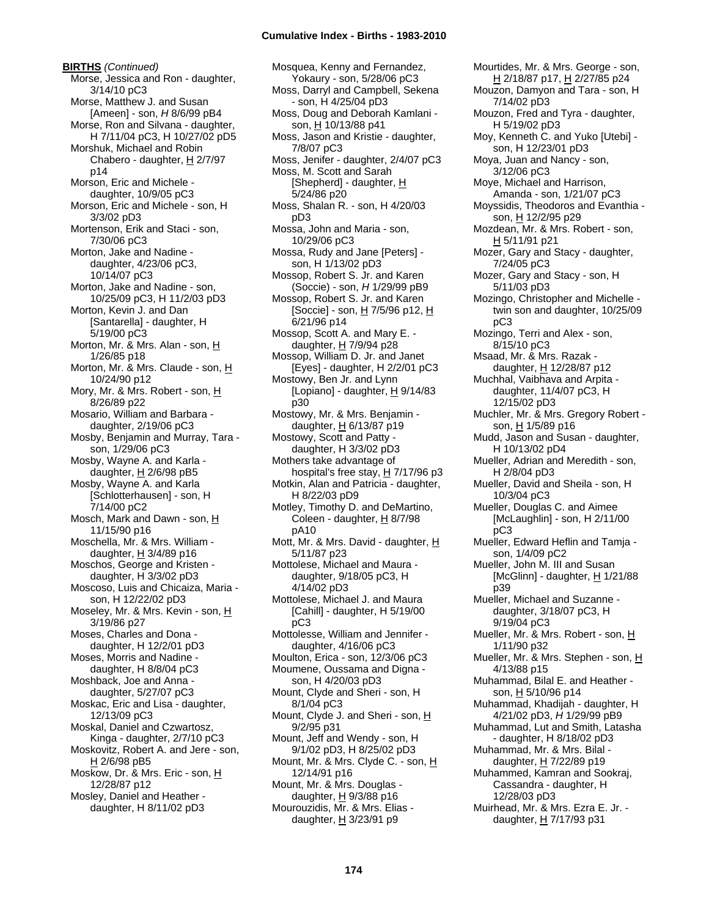# **Cumulative Index - Births - 1983-2010**

**BIRTHS** *(Continued)* Morse, Jessica and Ron - daughter, 3/14/10 pC3 Morse, Matthew J. and Susan [Ameen] - son, *H* 8/6/99 pB4 Morse, Ron and Silvana - daughter, H 7/11/04 pC3, H 10/27/02 pD5 Morshuk, Michael and Robin Chabero - daughter, H 2/7/97 p14 Morson, Eric and Michele daughter, 10/9/05 pC3 Morson, Eric and Michele - son, H 3/3/02 pD3 Mortenson, Erik and Staci - son, 7/30/06 pC3 Morton, Jake and Nadine daughter, 4/23/06 pC3, 10/14/07 pC3 Morton, Jake and Nadine - son, 10/25/09 pC3, H 11/2/03 pD3 Morton, Kevin J. and Dan [Santarella] - daughter, H 5/19/00 pC3 Morton, Mr. & Mrs. Alan - son, H 1/26/85 p18 Morton, Mr. & Mrs. Claude - son, H 10/24/90 p12 Mory, Mr. & Mrs. Robert - son, H 8/26/89 p22 Mosario, William and Barbara daughter, 2/19/06 pC3 Mosby, Benjamin and Murray, Tara son, 1/29/06 pC3 Mosby, Wayne A. and Karla daughter,  $H$  2/6/98 pB5 Mosby, Wayne A. and Karla [Schlotterhausen] - son, H 7/14/00 pC2 Mosch, Mark and Dawn - son, H 11/15/90 p16 Moschella, Mr. & Mrs. William daughter,  $H$  3/4/89 p16 Moschos, George and Kristen daughter, H 3/3/02 pD3 Moscoso, Luis and Chicaiza, Maria son, H 12/22/02 pD3 Moseley, Mr. & Mrs. Kevin - son, H 3/19/86 p27 Moses, Charles and Dona daughter, H 12/2/01 pD3 Moses, Morris and Nadine daughter, H 8/8/04 pC3 Moshback, Joe and Anna daughter, 5/27/07 pC3 Moskac, Eric and Lisa - daughter, 12/13/09 pC3 Moskal, Daniel and Czwartosz, Kinga - daughter, 2/7/10 pC3 Moskovitz, Robert A. and Jere - son, H 2/6/98 pB5 Moskow, Dr. & Mrs. Eric - son, H 12/28/87 p12 Mosley, Daniel and Heather daughter, H 8/11/02 pD3

Mosquea, Kenny and Fernandez, Yokaury - son, 5/28/06 pC3 Moss, Darryl and Campbell, Sekena - son, H 4/25/04 pD3 Moss, Doug and Deborah Kamlani son, H 10/13/88 p41 Moss, Jason and Kristie - daughter, 7/8/07 pC3 Moss, Jenifer - daughter, 2/4/07 pC3 Moss, M. Scott and Sarah [Shepherd] - daughter, H 5/24/86 p20 Moss, Shalan R. - son, H 4/20/03 pD3 Mossa, John and Maria - son, 10/29/06 pC3 Mossa, Rudy and Jane [Peters] son, H 1/13/02 pD3 Mossop, Robert S. Jr. and Karen (Soccie) - son, *H* 1/29/99 pB9 Mossop, Robert S. Jr. and Karen [Soccie] - son, H 7/5/96 p12, H 6/21/96 p14 Mossop, Scott A. and Mary E. daughter, H 7/9/94 p28 Mossop, William D. Jr. and Janet [Eyes] - daughter, H 2/2/01 pC3 Mostowy, Ben Jr. and Lynn [Lopiano] - daughter, H 9/14/83 p30 Mostowy, Mr. & Mrs. Benjamin daughter,  $H$  6/13/87 p19 Mostowy, Scott and Patty daughter, H 3/3/02 pD3 Mothers take advantage of hospital's free stay,  $H$  7/17/96 p3 Motkin, Alan and Patricia - daughter, H 8/22/03 pD9 Motley, Timothy D. and DeMartino, Coleen - daughter,  $H_8$  8/7/98 pA10 Mott, Mr. & Mrs. David - daughter, H 5/11/87 p23 Mottolese, Michael and Maura daughter, 9/18/05 pC3, H 4/14/02 pD3 Mottolese, Michael J. and Maura [Cahill] - daughter, H 5/19/00 pC3 Mottolesse, William and Jennifer daughter, 4/16/06 pC3 Moulton, Erica - son, 12/3/06 pC3 Moumene, Oussama and Digna son, H 4/20/03 pD3 Mount, Clyde and Sheri - son, H 8/1/04 pC3 Mount, Clyde J. and Sheri - son, H 9/2/95 p31 Mount, Jeff and Wendy - son, H 9/1/02 pD3, H 8/25/02 pD3 Mount, Mr. & Mrs. Clyde C. - son, H 12/14/91 p16 Mount, Mr. & Mrs. Douglas daughter,  $H$  9/3/88 p16 Mourouzidis, Mr. & Mrs. Elias daughter,  $H$  3/23/91 p9

Mourtides, Mr. & Mrs. George - son, H 2/18/87 p17, H 2/27/85 p24 Mouzon, Damyon and Tara - son, H 7/14/02 pD3 Mouzon, Fred and Tyra - daughter, H 5/19/02 pD3 Moy, Kenneth C. and Yuko [Utebi] son, H 12/23/01 pD3 Moya, Juan and Nancy - son, 3/12/06 pC3 Moye, Michael and Harrison, Amanda - son, 1/21/07 pC3 Moyssidis, Theodoros and Evanthia son, H 12/2/95 p29 Mozdean, Mr. & Mrs. Robert - son, H 5/11/91 p21 Mozer, Gary and Stacy - daughter, 7/24/05 pC3 Mozer, Gary and Stacy - son, H 5/11/03 pD3 Mozingo, Christopher and Michelle twin son and daughter, 10/25/09 pC3 Mozingo, Terri and Alex - son, 8/15/10 pC3 Msaad, Mr. & Mrs. Razak daughter, H 12/28/87 p12 Muchhal, Vaibhava and Arpita daughter, 11/4/07 pC3, H 12/15/02 pD3 Muchler, Mr. & Mrs. Gregory Robert son, H 1/5/89 p16 Mudd, Jason and Susan - daughter, H 10/13/02 pD4 Mueller, Adrian and Meredith - son, H 2/8/04 pD3 Mueller, David and Sheila - son, H 10/3/04 pC3 Mueller, Douglas C. and Aimee [McLaughlin] - son, H 2/11/00 pC3 Mueller, Edward Heflin and Tamja son, 1/4/09 pC2 Mueller, John M. III and Susan [McGlinn] - daughter,  $H$  1/21/88 p39 Mueller, Michael and Suzanne daughter, 3/18/07 pC3, H 9/19/04 pC3 Mueller, Mr. & Mrs. Robert - son, H 1/11/90 p32 Mueller, Mr. & Mrs. Stephen - son, H 4/13/88 p15 Muhammad, Bilal E. and Heather son, H 5/10/96 p14 Muhammad, Khadijah - daughter, H 4/21/02 pD3, *H* 1/29/99 pB9 Muhammad, Lut and Smith, Latasha - daughter, H 8/18/02 pD3 Muhammad, Mr. & Mrs. Bilal daughter,  $H$  7/22/89 p19 Muhammed, Kamran and Sookraj, Cassandra - daughter, H 12/28/03 pD3 Muirhead, Mr. & Mrs. Ezra E. Jr. daughter, H 7/17/93 p31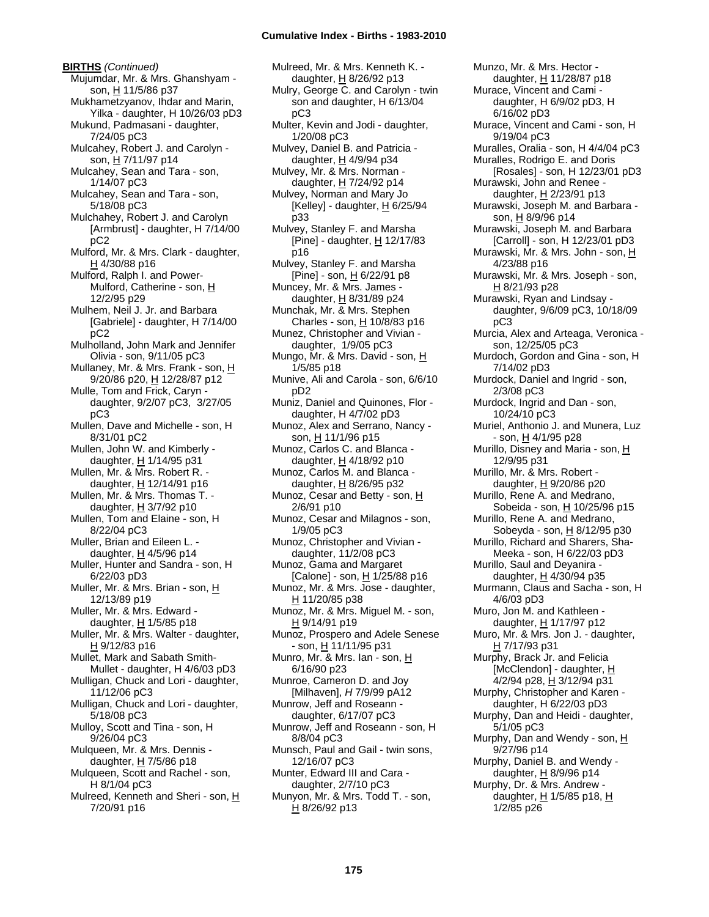**BIRTHS** *(Continued)* Mujumdar, Mr. & Mrs. Ghanshyam son, H 11/5/86 p37 Mukhametzyanov, Ihdar and Marin, Yilka - daughter, H 10/26/03 pD3 Mukund, Padmasani - daughter, 7/24/05 pC3 Mulcahey, Robert J. and Carolyn son, H 7/11/97 p14 Mulcahey, Sean and Tara - son, 1/14/07 pC3 Mulcahey, Sean and Tara - son, 5/18/08 pC3 Mulchahey, Robert J. and Carolyn [Armbrust] - daughter, H 7/14/00 pC2 Mulford, Mr. & Mrs. Clark - daughter, H 4/30/88 p16 Mulford, Ralph I. and Power-Mulford, Catherine - son, H 12/2/95 p29 Mulhem, Neil J. Jr. and Barbara [Gabriele] - daughter, H 7/14/00 pC2 Mulholland, John Mark and Jennifer Olivia - son, 9/11/05 pC3 Mullaney, Mr. & Mrs. Frank - son, H 9/20/86 p20, H 12/28/87 p12 Mulle, Tom and Frick, Caryn daughter, 9/2/07 pC3, 3/27/05 pC3 Mullen, Dave and Michelle - son, H 8/31/01 pC2 Mullen, John W. and Kimberly daughter, H 1/14/95 p31 Mullen, Mr. & Mrs. Robert R. daughter, H 12/14/91 p16 Mullen, Mr. & Mrs. Thomas T. daughter, H 3/7/92 p10 Mullen, Tom and Elaine - son, H 8/22/04 pC3 Muller, Brian and Eileen L. daughter, H 4/5/96 p14 Muller, Hunter and Sandra - son, H 6/22/03 pD3 Muller, Mr. & Mrs. Brian - son, H 12/13/89 p19 Muller, Mr. & Mrs. Edward daughter,  $H$  1/5/85 p18 Muller, Mr. & Mrs. Walter - daughter, H 9/12/83 p16 Mullet, Mark and Sabath Smith-Mullet - daughter, H 4/6/03 pD3 Mulligan, Chuck and Lori - daughter, 11/12/06 pC3 Mulligan, Chuck and Lori - daughter, 5/18/08 pC3 Mulloy, Scott and Tina - son, H 9/26/04 pC3 Mulqueen, Mr. & Mrs. Dennis daughter,  $H$  7/5/86 p18 Mulqueen, Scott and Rachel - son, H 8/1/04 pC3 Mulreed, Kenneth and Sheri - son, H 7/20/91 p16

Mulreed, Mr. & Mrs. Kenneth K. daughter, H 8/26/92 p13 Mulry, George C. and Carolyn - twin son and daughter, H 6/13/04 pC3 Multer, Kevin and Jodi - daughter, 1/20/08 pC3 Mulvey, Daniel B. and Patricia daughter,  $H$  4/9/94 p34 Mulvey, Mr. & Mrs. Norman daughter, H 7/24/92 p14 Mulvey, Norman and Mary Jo [Kelley] - daughter,  $H$  6/25/94 p33 Mulvey, Stanley F. and Marsha [Pine] - daughter,  $H$  12/17/83 p16 Mulvey, Stanley F. and Marsha [Pine] - son, H 6/22/91 p8 Muncey, Mr. & Mrs. James daughter, H 8/31/89 p24 Munchak, Mr. & Mrs. Stephen Charles - son, H 10/8/83 p16 Munez, Christopher and Vivian daughter, 1/9/05 pC3 Mungo, Mr. & Mrs. David - son, H 1/5/85 p18 Munive, Ali and Carola - son, 6/6/10 pD2 Muniz, Daniel and Quinones, Flor daughter, H 4/7/02 pD3 Munoz, Alex and Serrano, Nancy son, H 11/1/96 p15 Munoz, Carlos C. and Blanca daughter, H 4/18/92 p10 Munoz, Carlos M. and Blanca daughter,  $H$  8/26/95 p32 Munoz, Cesar and Betty - son,  $H$ 2/6/91 p10 Munoz, Cesar and Milagnos - son, 1/9/05 pC3 Munoz, Christopher and Vivian daughter, 11/2/08 pC3 Munoz, Gama and Margaret [Calone] - son, H 1/25/88 p16 Munoz, Mr. & Mrs. Jose - daughter, H 11/20/85 p38 Munoz, Mr. & Mrs. Miguel M. - son, H 9/14/91 p19 Munoz, Prospero and Adele Senese - son, H 11/11/95 p31 Munro, Mr. & Mrs. Ian - son, H 6/16/90 p23 Munroe, Cameron D. and Joy [Milhaven], *H* 7/9/99 pA12 Munrow, Jeff and Roseann daughter, 6/17/07 pC3 Munrow, Jeff and Roseann - son, H 8/8/04 pC3 Munsch, Paul and Gail - twin sons, 12/16/07 pC3 Munter, Edward III and Cara daughter, 2/7/10 pC3 Munyon, Mr. & Mrs. Todd T. - son, H 8/26/92 p13

Munzo, Mr. & Mrs. Hector daughter, H 11/28/87 p18 Murace, Vincent and Cami daughter, H 6/9/02 pD3, H 6/16/02 pD3 Murace, Vincent and Cami - son, H 9/19/04 pC3 Muralles, Oralia - son, H 4/4/04 pC3 Muralles, Rodrigo E. and Doris [Rosales] - son, H 12/23/01 pD3 Murawski, John and Renee daughter,  $H$  2/23/91 p13 Murawski, Joseph M. and Barbara son, H 8/9/96 p14 Murawski, Joseph M. and Barbara [Carroll] - son, H 12/23/01 pD3 Murawski, Mr. & Mrs. John - son, H 4/23/88 p16 Murawski, Mr. & Mrs. Joseph - son, H 8/21/93 p28 Murawski, Ryan and Lindsay daughter, 9/6/09 pC3, 10/18/09 pC3 Murcia, Alex and Arteaga, Veronica son, 12/25/05 pC3 Murdoch, Gordon and Gina - son, H 7/14/02 pD3 Murdock, Daniel and Ingrid - son, 2/3/08 pC3 Murdock, Ingrid and Dan - son, 10/24/10 pC3 Muriel, Anthonio J. and Munera, Luz - son, H 4/1/95 p28 Murillo, Disney and Maria - son, H 12/9/95 p31 Murillo, Mr. & Mrs. Robert daughter, H 9/20/86 p20 Murillo, Rene A. and Medrano, Sobeida - son, H 10/25/96 p15 Murillo, Rene A. and Medrano, Sobeyda - son, H 8/12/95 p30 Murillo, Richard and Sharers, Sha-Meeka - son, H 6/22/03 pD3 Murillo, Saul and Deyanira daughter, H 4/30/94 p35 Murmann, Claus and Sacha - son, H 4/6/03 pD3 Muro, Jon M. and Kathleen daughter, H 1/17/97 p12 Muro, Mr. & Mrs. Jon J. - daughter, H 7/17/93 p31 Murphy, Brack Jr. and Felicia [McClendon] - daughter, H 4/2/94 p28, H 3/12/94 p31 Murphy, Christopher and Karen daughter, H 6/22/03 pD3 Murphy, Dan and Heidi - daughter, 5/1/05 pC3 Murphy, Dan and Wendy - son, H 9/27/96 p14 Murphy, Daniel B. and Wendy daughter, H 8/9/96 p14 Murphy, Dr. & Mrs. Andrew daughter, H 1/5/85 p18, H 1/2/85 p26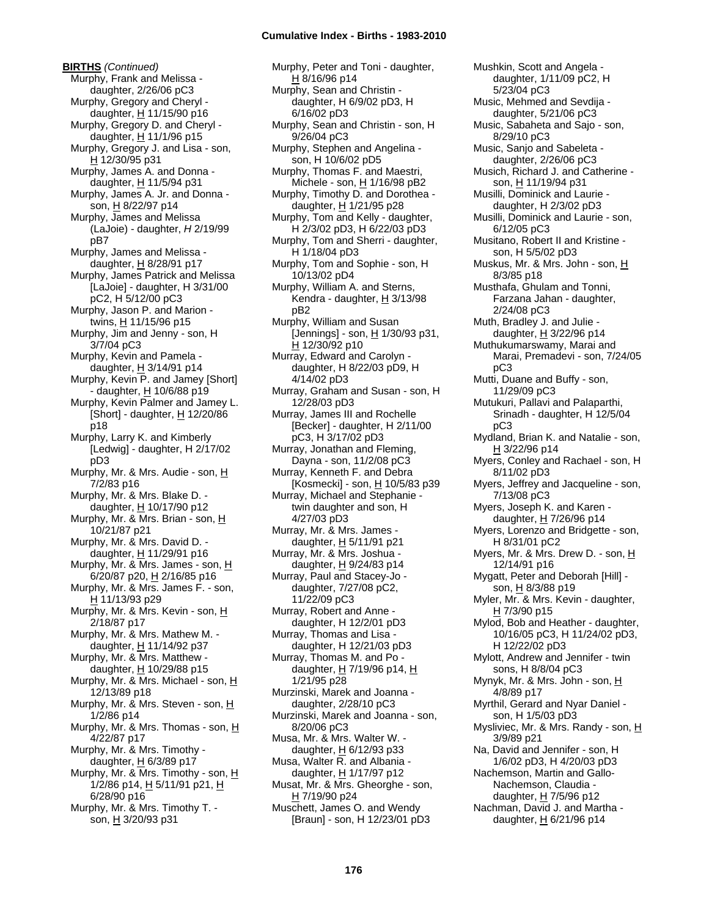**BIRTHS** *(Continued)* Murphy, Frank and Melissa daughter, 2/26/06 pC3 Murphy, Gregory and Cheryl daughter, H 11/15/90 p16 Murphy, Gregory D. and Cheryl daughter,  $H$  11/1/96 p15 Murphy, Gregory J. and Lisa - son, H 12/30/95 p31 Murphy, James A. and Donna daughter, H 11/5/94 p31 Murphy, James A. Jr. and Donna son, H 8/22/97 p14 Murphy, James and Melissa (LaJoie) - daughter, *H* 2/19/99 pB7 Murphy, James and Melissa daughter,  $H$  8/28/91 p17 Murphy, James Patrick and Melissa [LaJoie] - daughter, H 3/31/00 pC2, H 5/12/00 pC3 Murphy, Jason P. and Marion twins, H 11/15/96 p15 Murphy, Jim and Jenny - son, H 3/7/04 pC3 Murphy, Kevin and Pamela daughter,  $H$  3/14/91 p14 Murphy, Kevin P. and Jamey [Short] - daughter, H 10/6/88 p19 Murphy, Kevin Palmer and Jamey L. [Short] - daughter,  $\underline{H}$  12/20/86 p18 Murphy, Larry K. and Kimberly [Ledwig] - daughter, H 2/17/02 pD3 Murphy, Mr. & Mrs. Audie - son, H 7/2/83 p16 Murphy, Mr. & Mrs. Blake D. daughter, H 10/17/90 p12 Murphy, Mr. & Mrs. Brian - son, H 10/21/87 p21 Murphy, Mr. & Mrs. David D. daughter, H 11/29/91 p16 Murphy, Mr. & Mrs. James - son, H 6/20/87 p20, H 2/16/85 p16 Murphy, Mr. & Mrs. James F. - son, H 11/13/93 p29 Murphy, Mr. & Mrs. Kevin - son, H 2/18/87 p17 Murphy, Mr. & Mrs. Mathew M. daughter, H 11/14/92 p37 Murphy, Mr. & Mrs. Matthew daughter,  $H$  10/29/88 p15 Murphy, Mr. & Mrs. Michael - son, H 12/13/89 p18 Murphy, Mr. & Mrs. Steven - son, H 1/2/86 p14 Murphy, Mr. & Mrs. Thomas - son,  $H$ 4/22/87 p17 Murphy, Mr. & Mrs. Timothy daughter,  $H$  6/3/89 p17 Murphy, Mr. & Mrs. Timothy - son, H 1/2/86 p14, H 5/11/91 p21, H 6/28/90 p16 Murphy, Mr. & Mrs. Timothy T. son, H 3/20/93 p31

Murphy, Peter and Toni - daughter, H 8/16/96 p14 Murphy, Sean and Christin daughter, H 6/9/02 pD3, H 6/16/02 pD3 Murphy, Sean and Christin - son, H 9/26/04 pC3 Murphy, Stephen and Angelina son, H 10/6/02 pD5 Murphy, Thomas F. and Maestri, Michele - son, H 1/16/98 pB2 Murphy, Timothy D. and Dorothea daughter, H 1/21/95 p28 Murphy, Tom and Kelly - daughter, H 2/3/02 pD3, H 6/22/03 pD3 Murphy, Tom and Sherri - daughter, H 1/18/04 pD3 Murphy, Tom and Sophie - son, H 10/13/02 pD4 Murphy, William A. and Sterns, Kendra - daughter,  $\underline{H}$  3/13/98 pB2 Murphy, William and Susan [Jennings] - son, H 1/30/93 p31, H 12/30/92 p10 Murray, Edward and Carolyn daughter, H 8/22/03 pD9, H 4/14/02 pD3 Murray, Graham and Susan - son, H 12/28/03 pD3 Murray, James III and Rochelle [Becker] - daughter, H 2/11/00 pC3, H 3/17/02 pD3 Murray, Jonathan and Fleming, Dayna - son, 11/2/08 pC3 Murray, Kenneth F. and Debra [Kosmecki] - son, H 10/5/83 p39 Murray, Michael and Stephanie twin daughter and son, H 4/27/03 pD3 Murray, Mr. & Mrs. James daughter,  $H$  5/11/91 p21 Murray, Mr. & Mrs. Joshua daughter, H 9/24/83 p14 Murray, Paul and Stacey-Jo daughter, 7/27/08 pC2, 11/22/09 pC3 Murray, Robert and Anne daughter, H 12/2/01 pD3 Murray, Thomas and Lisa daughter, H 12/21/03 pD3 Murray, Thomas M. and Po daughter, H 7/19/96 p14, H 1/21/95 p28 Murzinski, Marek and Joanna daughter, 2/28/10 pC3 Murzinski, Marek and Joanna - son, 8/20/06 pC3 Musa, Mr. & Mrs. Walter W. daughter,  $H$  6/12/93 p33 Musa, Walter R. and Albania daughter, H 1/17/97 p12 Musat, Mr. & Mrs. Gheorghe - son,  $H$  7/19/90 p24 Muschett, James O. and Wendy [Braun] - son, H 12/23/01 pD3

Mushkin, Scott and Angela daughter, 1/11/09 pC2, H 5/23/04 pC3 Music, Mehmed and Sevdija daughter, 5/21/06 pC3 Music, Sabaheta and Sajo - son, 8/29/10 pC3 Music, Sanjo and Sabeleta daughter, 2/26/06 pC3 Musich, Richard J. and Catherine son, H 11/19/94 p31 Musilli, Dominick and Laurie daughter, H 2/3/02 pD3 Musilli, Dominick and Laurie - son, 6/12/05 pC3 Musitano, Robert II and Kristine son, H 5/5/02 pD3 Muskus, Mr. & Mrs. John - son, H 8/3/85 p18 Musthafa, Ghulam and Tonni, Farzana Jahan - daughter, 2/24/08 pC3 Muth, Bradley J. and Julie daughter, H 3/22/96 p14 Muthukumarswamy, Marai and Marai, Premadevi - son, 7/24/05 pC3 Mutti, Duane and Buffy - son, 11/29/09 pC3 Mutukuri, Pallavi and Palaparthi, Srinadh - daughter, H 12/5/04 pC3 Mydland, Brian K. and Natalie - son, H 3/22/96 p14 Myers, Conley and Rachael - son, H 8/11/02 pD3 Myers, Jeffrey and Jacqueline - son, 7/13/08 pC3 Myers, Joseph K. and Karen daughter,  $H$  7/26/96 p14 Myers, Lorenzo and Bridgette - son, H 8/31/01 pC2 Myers, Mr. & Mrs. Drew D. - son, H 12/14/91 p16 Mygatt, Peter and Deborah [Hill] son, H 8/3/88 p19 Myler, Mr. & Mrs. Kevin - daughter,  $H$  7/3/90 p15 Mylod, Bob and Heather - daughter, 10/16/05 pC3, H 11/24/02 pD3, H 12/22/02 pD3 Mylott, Andrew and Jennifer - twin sons, H 8/8/04 pC3 Mynyk, Mr. & Mrs. John - son, H 4/8/89 p17 Myrthil, Gerard and Nyar Daniel son, H 1/5/03 pD3 Mysliviec, Mr. & Mrs. Randy - son, H 3/9/89 p21 Na, David and Jennifer - son, H 1/6/02 pD3, H 4/20/03 pD3 Nachemson, Martin and Gallo-Nachemson, Claudia daughter, H 7/5/96 p12 Nachman, David J. and Martha daughter,  $H$  6/21/96 p14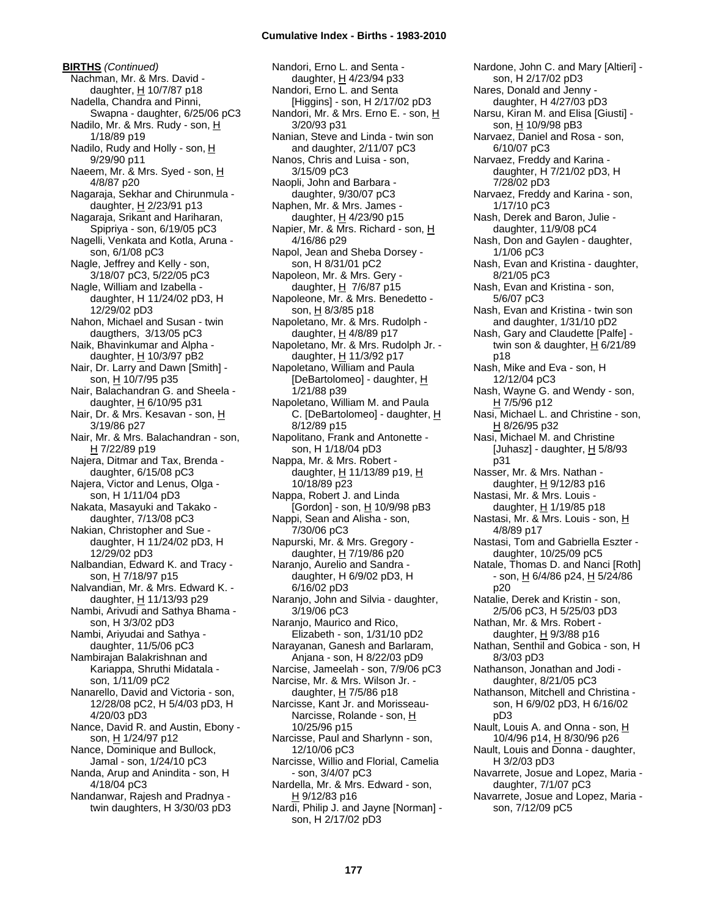**BIRTHS** *(Continued)* Nachman, Mr. & Mrs. David daughter,  $H$  10/7/87 p18 Nadella, Chandra and Pinni, Swapna - daughter, 6/25/06 pC3 Nadilo, Mr. & Mrs. Rudy - son, H 1/18/89 p19 Nadilo, Rudy and Holly - son, H 9/29/90 p11 Naeem, Mr. & Mrs. Syed - son, H 4/8/87 p20 Nagaraja, Sekhar and Chirunmula daughter, H 2/23/91 p13 Nagaraja, Srikant and Hariharan, Spipriya - son, 6/19/05 pC3 Nagelli, Venkata and Kotla, Aruna son, 6/1/08 pC3 Nagle, Jeffrey and Kelly - son, 3/18/07 pC3, 5/22/05 pC3 Nagle, William and Izabella daughter, H 11/24/02 pD3, H 12/29/02 pD3 Nahon, Michael and Susan - twin daugthers, 3/13/05 pC3 Naik, Bhavinkumar and Alpha daughter,  $H$  10/3/97 pB2 Nair, Dr. Larry and Dawn [Smith] son, H 10/7/95 p35 Nair, Balachandran G. and Sheela daughter, H 6/10/95 p31 Nair, Dr. & Mrs. Kesavan - son, H 3/19/86 p27 Nair, Mr. & Mrs. Balachandran - son, H 7/22/89 p19 Najera, Ditmar and Tax, Brenda daughter, 6/15/08 pC3 Najera, Victor and Lenus, Olga son, H 1/11/04 pD3 Nakata, Masayuki and Takako daughter, 7/13/08 pC3 Nakian, Christopher and Sue daughter, H 11/24/02 pD3, H 12/29/02 pD3 Nalbandian, Edward K. and Tracy son, H 7/18/97 p15 Nalvandian, Mr. & Mrs. Edward K. daughter, H 11/13/93 p29 Nambi, Arivudi and Sathya Bhama son, H 3/3/02 pD3 Nambi, Ariyudai and Sathya daughter, 11/5/06 pC3 Nambirajan Balakrishnan and Kariappa, Shruthi Midatala son, 1/11/09 pC2 Nanarello, David and Victoria - son, 12/28/08 pC2, H 5/4/03 pD3, H 4/20/03 pD3 Nance, David R. and Austin, Ebony son, H 1/24/97 p12 Nance, Dominique and Bullock, Jamal - son, 1/24/10 pC3 Nanda, Arup and Anindita - son, H 4/18/04 pC3 Nandanwar, Rajesh and Pradnya twin daughters, H 3/30/03 pD3

Nandori, Erno L. and Senta daughter, H 4/23/94 p33 Nandori, Erno L. and Senta [Higgins] - son, H 2/17/02 pD3 Nandori, Mr. & Mrs. Erno E. - son, H 3/20/93 p31 Nanian, Steve and Linda - twin son and daughter, 2/11/07 pC3 Nanos, Chris and Luisa - son, 3/15/09 pC3 Naopli, John and Barbara daughter, 9/30/07 pC3 Naphen, Mr. & Mrs. James daughter, H 4/23/90 p15 Napier, Mr. & Mrs. Richard - son, H 4/16/86 p29 Napol, Jean and Sheba Dorsey son, H 8/31/01 pC2 Napoleon, Mr. & Mrs. Gery daughter,  $H$  7/6/87 p15 Napoleone, Mr. & Mrs. Benedetto son, H 8/3/85 p18 Napoletano, Mr. & Mrs. Rudolph daughter,  $H$  4/8/89 p17 Napoletano, Mr. & Mrs. Rudolph Jr. daughter, H 11/3/92 p17 Napoletano, William and Paula [DeBartolomeo] - daughter, H 1/21/88 p39 Napoletano, William M. and Paula C. [DeBartolomeo] - daughter, H 8/12/89 p15 Napolitano, Frank and Antonette son, H 1/18/04 pD3 Nappa, Mr. & Mrs. Robert daughter, H 11/13/89 p19, H 10/18/89 p23 Nappa, Robert J. and Linda [Gordon] - son,  $H$  10/9/98 pB3 Nappi, Sean and Alisha - son, 7/30/06 pC3 Napurski, Mr. & Mrs. Gregory daughter, H 7/19/86 p20 Naranjo, Aurelio and Sandra daughter, H 6/9/02 pD3, H 6/16/02 pD3 Naranjo, John and Silvia - daughter, 3/19/06 pC3 Naranjo, Maurico and Rico, Elizabeth - son, 1/31/10 pD2 Narayanan, Ganesh and Barlaram, Anjana - son, H 8/22/03 pD9 Narcise, Jameelah - son, 7/9/06 pC3 Narcise, Mr. & Mrs. Wilson Jr. daughter,  $H$  7/5/86 p18 Narcisse, Kant Jr. and Morisseau-Narcisse, Rolande - son, H 10/25/96 p15 Narcisse, Paul and Sharlynn - son, 12/10/06 pC3 Narcisse, Willio and Florial, Camelia - son, 3/4/07 pC3 Nardella, Mr. & Mrs. Edward - son,  $H$  9/12/83 p16 Nardi, Philip J. and Jayne [Norman] son, H 2/17/02 pD3

Nardone, John C. and Mary [Altieri] son, H 2/17/02 pD3 Nares, Donald and Jenny daughter, H 4/27/03 pD3 Narsu, Kiran M. and Elisa [Giusti] son, H 10/9/98 pB3 Narvaez, Daniel and Rosa - son, 6/10/07 pC3 Narvaez, Freddy and Karina daughter, H 7/21/02 pD3, H 7/28/02 pD3 Narvaez, Freddy and Karina - son, 1/17/10 pC3 Nash, Derek and Baron, Julie daughter, 11/9/08 pC4 Nash, Don and Gaylen - daughter, 1/1/06 pC3 Nash, Evan and Kristina - daughter, 8/21/05 pC3 Nash, Evan and Kristina - son, 5/6/07 pC3 Nash, Evan and Kristina - twin son and daughter, 1/31/10 pD2 Nash, Gary and Claudette [Palfe] twin son & daughter,  $H_6/21/89$ p18 Nash, Mike and Eva - son, H 12/12/04 pC3 Nash, Wayne G. and Wendy - son, H 7/5/96 p12 Nasi, Michael L. and Christine - son,  $H$  8/26/95 p32 Nasi, Michael M. and Christine [Juhasz] - daughter,  $H$  5/8/93 p31 Nasser, Mr. & Mrs. Nathan daughter, H 9/12/83 p16 Nastasi, Mr. & Mrs. Louis daughter, H 1/19/85 p18 Nastasi, Mr. & Mrs. Louis - son, H 4/8/89 p17 Nastasi, Tom and Gabriella Eszter daughter, 10/25/09 pC5 Natale, Thomas D. and Nanci [Roth] - son,  $\underline{H}$  6/4/86 p24,  $\underline{H}$  5/24/86 p20 Natalie, Derek and Kristin - son, 2/5/06 pC3, H 5/25/03 pD3 Nathan, Mr. & Mrs. Robert daughter,  $H$  9/3/88 p16 Nathan, Senthil and Gobica - son, H 8/3/03 pD3 Nathanson, Jonathan and Jodi daughter, 8/21/05 pC3 Nathanson, Mitchell and Christina son, H 6/9/02 pD3, H 6/16/02 pD3 Nault, Louis A. and Onna - son, H 10/4/96 p14, H 8/30/96 p26 Nault, Louis and Donna - daughter, H 3/2/03 pD3 Navarrete, Josue and Lopez, Maria daughter, 7/1/07 pC3 Navarrete, Josue and Lopez, Maria son, 7/12/09 pC5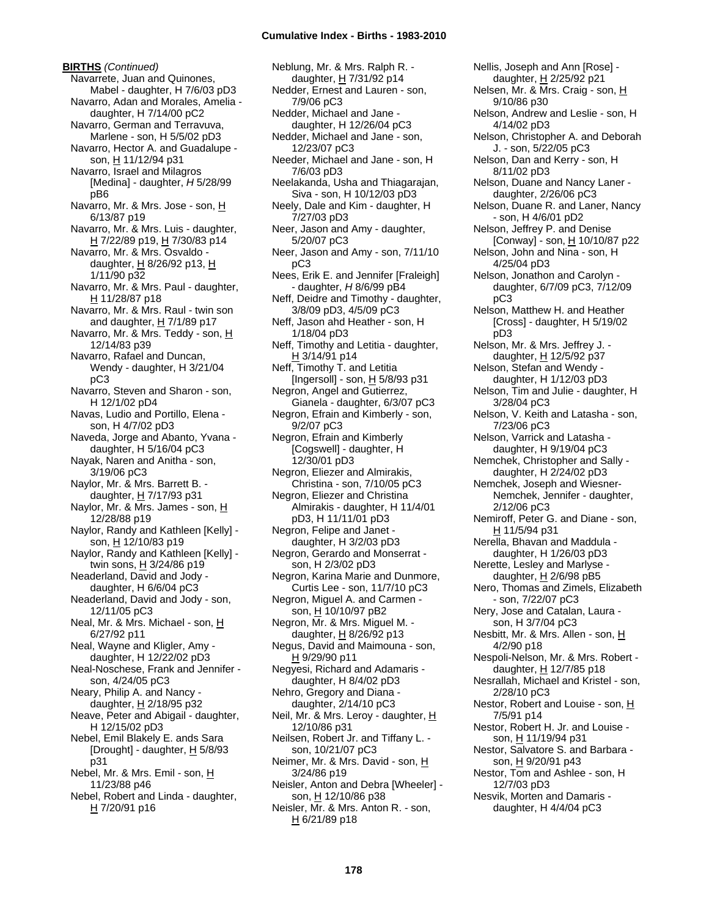**BIRTHS** *(Continued)* Navarrete, Juan and Quinones, Mabel - daughter, H 7/6/03 pD3 Navarro, Adan and Morales, Amelia daughter, H 7/14/00 pC2 Navarro, German and Terravuva, Marlene - son, H 5/5/02 pD3 Navarro, Hector A. and Guadalupe son, H 11/12/94 p31 Navarro, Israel and Milagros [Medina] - daughter, *H* 5/28/99 pB6 Navarro, Mr. & Mrs. Jose - son, H 6/13/87 p19 Navarro, Mr. & Mrs. Luis - daughter, H 7/22/89 p19, H 7/30/83 p14 Navarro, Mr. & Mrs. Osvaldo daughter,  $H$  8/26/92 p13,  $H$ 1/11/90 p32 Navarro, Mr. & Mrs. Paul - daughter, H 11/28/87 p18 Navarro, Mr. & Mrs. Raul - twin son and daughter, H 7/1/89 p17 Navarro, Mr. & Mrs. Teddy - son, H 12/14/83 p39 Navarro, Rafael and Duncan, Wendy - daughter, H 3/21/04 pC3 Navarro, Steven and Sharon - son, H 12/1/02 pD4 Navas, Ludio and Portillo, Elena son, H 4/7/02 pD3 Naveda, Jorge and Abanto, Yvana daughter, H 5/16/04 pC3 Nayak, Naren and Anitha - son, 3/19/06 pC3 Naylor, Mr. & Mrs. Barrett B. daughter, H 7/17/93 p31 Naylor, Mr. & Mrs. James - son, H 12/28/88 p19 Naylor, Randy and Kathleen [Kelly] son, H 12/10/83 p19 Naylor, Randy and Kathleen [Kelly] twin sons, H 3/24/86 p19 Neaderland, David and Jody daughter, H 6/6/04 pC3 Neaderland, David and Jody - son, 12/11/05 pC3 Neal, Mr. & Mrs. Michael - son, H 6/27/92 p11 Neal, Wayne and Kligler, Amy daughter, H 12/22/02 pD3 Neal-Noschese, Frank and Jennifer son, 4/24/05 pC3 Neary, Philip A. and Nancy daughter,  $H$  2/18/95 p32 Neave, Peter and Abigail - daughter, H 12/15/02 pD3 Nebel, Emil Blakely E. ands Sara [Drought] - daughter,  $H$  5/8/93 p31 Nebel, Mr. & Mrs. Emil - son, H 11/23/88 p46 Nebel, Robert and Linda - daughter, H 7/20/91 p16

Neblung, Mr. & Mrs. Ralph R. daughter, H 7/31/92 p14 Nedder, Ernest and Lauren - son, 7/9/06 pC3 Nedder, Michael and Jane daughter, H 12/26/04 pC3 Nedder, Michael and Jane - son, 12/23/07 pC3 Needer, Michael and Jane - son, H 7/6/03 pD3 Neelakanda, Usha and Thiagarajan, Siva - son, H 10/12/03 pD3 Neely, Dale and Kim - daughter, H 7/27/03 pD3 Neer, Jason and Amy - daughter, 5/20/07 pC3 Neer, Jason and Amy - son, 7/11/10 pC3 Nees, Erik E. and Jennifer [Fraleigh] - daughter, *H* 8/6/99 pB4 Neff, Deidre and Timothy - daughter, 3/8/09 pD3, 4/5/09 pC3 Neff, Jason ahd Heather - son, H 1/18/04 pD3 Neff, Timothy and Letitia - daughter, H 3/14/91 p14 Neff, Timothy T. and Letitia [Ingersoll] - son,  $H$  5/8/93 p31 Negron, Angel and Gutierrez, Gianela - daughter, 6/3/07 pC3 Negron, Efrain and Kimberly - son, 9/2/07 pC3 Negron, Efrain and Kimberly [Cogswell] - daughter, H 12/30/01 pD3 Negron, Eliezer and Almirakis, Christina - son, 7/10/05 pC3 Negron, Eliezer and Christina Almirakis - daughter, H 11/4/01 pD3, H 11/11/01 pD3 Negron, Felipe and Janet daughter, H 3/2/03 pD3 Negron, Gerardo and Monserrat son, H 2/3/02 pD3 Negron, Karina Marie and Dunmore, Curtis Lee - son, 11/7/10 pC3 Negron, Miguel A. and Carmen son, H 10/10/97 pB2 Negron, Mr. & Mrs. Miguel M. daughter, H 8/26/92 p13 Negus, David and Maimouna - son, H 9/29/90 p11 Negyesi, Richard and Adamaris daughter, H 8/4/02 pD3 Nehro, Gregory and Diana daughter, 2/14/10 pC3 Neil, Mr. & Mrs. Leroy - daughter, H 12/10/86 p31 Neilsen, Robert Jr. and Tiffany L. son, 10/21/07 pC3 Neimer, Mr. & Mrs. David - son, H 3/24/86 p19 Neisler, Anton and Debra [Wheeler] son, H 12/10/86 p38 Neisler, Mr. & Mrs. Anton R. - son, H 6/21/89 p18

Nellis, Joseph and Ann [Rose] daughter, H 2/25/92 p21 Nelsen, Mr. & Mrs. Craig - son, H 9/10/86 p30 Nelson, Andrew and Leslie - son, H 4/14/02 pD3 Nelson, Christopher A. and Deborah J. - son, 5/22/05 pC3 Nelson, Dan and Kerry - son, H 8/11/02 pD3 Nelson, Duane and Nancy Laner daughter, 2/26/06 pC3 Nelson, Duane R. and Laner, Nancy - son, H 4/6/01 pD2 Nelson, Jeffrey P. and Denise [Conway] - son,  $H \neq 10/10/87$  p22 Nelson, John and Nina - son, H 4/25/04 pD3 Nelson, Jonathon and Carolyn daughter, 6/7/09 pC3, 7/12/09 pC3 Nelson, Matthew H. and Heather [Cross] - daughter, H 5/19/02 pD3 Nelson, Mr. & Mrs. Jeffrey J. daughter, H 12/5/92 p37 Nelson, Stefan and Wendy daughter, H 1/12/03 pD3 Nelson, Tim and Julie - daughter, H 3/28/04 pC3 Nelson, V. Keith and Latasha - son, 7/23/06 pC3 Nelson, Varrick and Latasha daughter, H 9/19/04 pC3 Nemchek, Christopher and Sally daughter, H 2/24/02 pD3 Nemchek, Joseph and Wiesner-Nemchek, Jennifer - daughter, 2/12/06 pC3 Nemiroff, Peter G. and Diane - son, H 11/5/94 p31 Nerella, Bhavan and Maddula daughter, H 1/26/03 pD3 Nerette, Lesley and Marlyse daughter,  $H$  2/6/98 pB5 Nero, Thomas and Zimels, Elizabeth - son, 7/22/07 pC3 Nery, Jose and Catalan, Laura son, H 3/7/04 pC3 Nesbitt, Mr. & Mrs. Allen - son, H 4/2/90 p18 Nespoli-Nelson, Mr. & Mrs. Robert daughter, H 12/7/85 p18 Nesrallah, Michael and Kristel - son, 2/28/10 pC3 Nestor, Robert and Louise - son, H 7/5/91 p14 Nestor, Robert H. Jr. and Louise son, H 11/19/94 p31 Nestor, Salvatore S. and Barbara son, H 9/20/91 p43 Nestor, Tom and Ashlee - son, H 12/7/03 pD3 Nesvik, Morten and Damaris daughter, H 4/4/04 pC3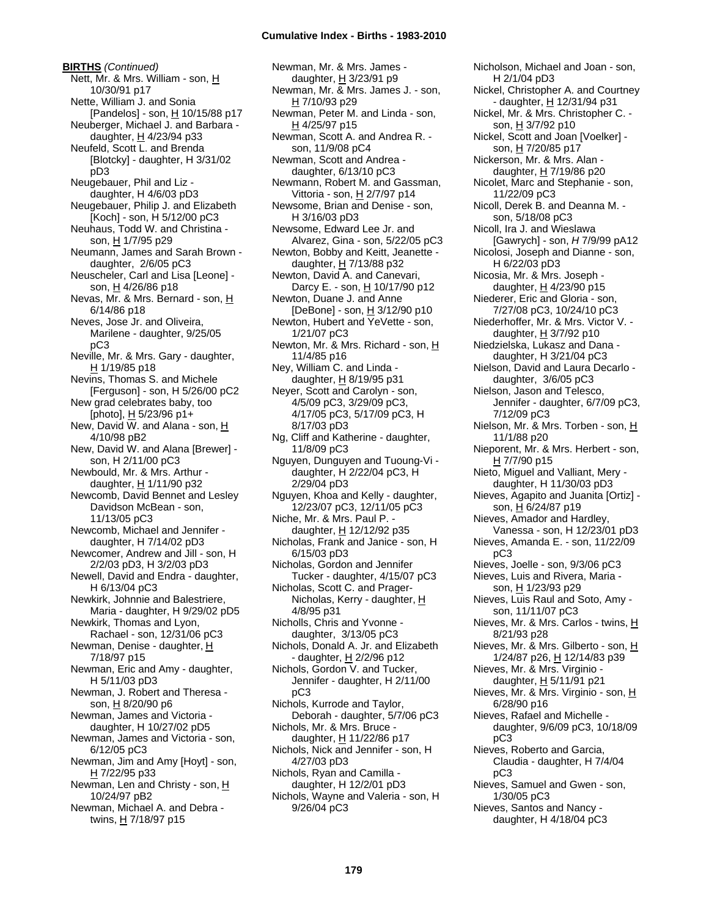**BIRTHS** *(Continued)* Nett, Mr. & Mrs. William - son, H 10/30/91 p17 Nette, William J. and Sonia [Pandelos] - son, H 10/15/88 p17 Neuberger, Michael J. and Barbara daughter,  $H$  4/23/94 p33 Neufeld, Scott L. and Brenda [Blotcky] - daughter, H 3/31/02 pD3 Neugebauer, Phil and Liz daughter, H 4/6/03 pD3 Neugebauer, Philip J. and Elizabeth [Koch] - son, H 5/12/00 pC3 Neuhaus, Todd W. and Christina son, H 1/7/95 p29 Neumann, James and Sarah Brown daughter, 2/6/05 pC3 Neuscheler, Carl and Lisa [Leone] son, H 4/26/86 p18 Nevas, Mr. & Mrs. Bernard - son, H 6/14/86 p18 Neves, Jose Jr. and Oliveira, Marilene - daughter, 9/25/05 pC3 Neville, Mr. & Mrs. Gary - daughter, H 1/19/85 p18 Nevins, Thomas S. and Michele [Ferguson] - son, H 5/26/00 pC2 New grad celebrates baby, too [photo], H 5/23/96 p1+ New, David W. and Alana - son, H 4/10/98 pB2 New, David W. and Alana [Brewer] son, H 2/11/00 pC3 Newbould, Mr. & Mrs. Arthur daughter,  $H$  1/11/90 p32 Newcomb, David Bennet and Lesley Davidson McBean - son, 11/13/05 pC3 Newcomb, Michael and Jennifer daughter, H 7/14/02 pD3 Newcomer, Andrew and Jill - son, H 2/2/03 pD3, H 3/2/03 pD3 Newell, David and Endra - daughter, H 6/13/04 pC3 Newkirk, Johnnie and Balestriere, Maria - daughter, H 9/29/02 pD5 Newkirk, Thomas and Lyon, Rachael - son, 12/31/06 pC3 Newman, Denise - daughter, H 7/18/97 p15 Newman, Eric and Amy - daughter, H 5/11/03 pD3 Newman, J. Robert and Theresa son, H 8/20/90 p6 Newman, James and Victoria daughter, H 10/27/02 pD5 Newman, James and Victoria - son, 6/12/05 pC3 Newman, Jim and Amy [Hoyt] - son, H 7/22/95 p33 Newman, Len and Christy - son, H 10/24/97 pB2 Newman, Michael A. and Debra twins, H 7/18/97 p15

Newman, Mr. & Mrs. James daughter, H 3/23/91 p9 Newman, Mr. & Mrs. James J. - son, H 7/10/93 p29 Newman, Peter M. and Linda - son, H 4/25/97 p15 Newman, Scott A. and Andrea R. son, 11/9/08 pC4 Newman, Scott and Andrea daughter, 6/13/10 pC3 Newmann, Robert M. and Gassman, Vittoria - son, H 2/7/97 p14 Newsome, Brian and Denise - son, H 3/16/03 pD3 Newsome, Edward Lee Jr. and Alvarez, Gina - son, 5/22/05 pC3 Newton, Bobby and Keitt, Jeanette daughter, H 7/13/88 p32 Newton, David A. and Canevari, Darcy E. - son, H 10/17/90 p12 Newton, Duane J. and Anne  $[DeBone] - son, H 3/12/90 p10$ Newton, Hubert and YeVette - son, 1/21/07 pC3 Newton, Mr. & Mrs. Richard - son, H 11/4/85 p16 Ney, William C. and Linda daughter, H 8/19/95 p31 Neyer, Scott and Carolyn - son, 4/5/09 pC3, 3/29/09 pC3, 4/17/05 pC3, 5/17/09 pC3, H 8/17/03 pD3 Ng, Cliff and Katherine - daughter, 11/8/09 pC3 Nguyen, Dunguyen and Tuoung-Vi daughter, H 2/22/04 pC3, H 2/29/04 pD3 Nguyen, Khoa and Kelly - daughter, 12/23/07 pC3, 12/11/05 pC3 Niche, Mr. & Mrs. Paul P. daughter, H 12/12/92 p35 Nicholas, Frank and Janice - son, H 6/15/03 pD3 Nicholas, Gordon and Jennifer Tucker - daughter, 4/15/07 pC3 Nicholas, Scott C. and Prager-Nicholas, Kerry - daughter, H 4/8/95 p31 Nicholls, Chris and Yvonne daughter, 3/13/05 pC3 Nichols, Donald A. Jr. and Elizabeth - daughter, H 2/2/96 p12 Nichols, Gordon V. and Tucker, Jennifer - daughter, H 2/11/00 pC3 Nichols, Kurrode and Taylor, Deborah - daughter, 5/7/06 pC3 Nichols, Mr. & Mrs. Bruce daughter, H 11/22/86 p17 Nichols, Nick and Jennifer - son, H 4/27/03 pD3 Nichols, Ryan and Camilla daughter, H 12/2/01 pD3 Nichols, Wayne and Valeria - son, H 9/26/04 pC3

Nicholson, Michael and Joan - son, H 2/1/04 pD3 Nickel, Christopher A. and Courtney - daughter, H 12/31/94 p31 Nickel, Mr. & Mrs. Christopher C. son, H 3/7/92 p10 Nickel, Scott and Joan [Voelker] son, H 7/20/85 p17 Nickerson, Mr. & Mrs. Alan daughter, H 7/19/86 p20 Nicolet, Marc and Stephanie - son, 11/22/09 pC3 Nicoll, Derek B. and Deanna M. son, 5/18/08 pC3 Nicoll, Ira J. and Wieslawa [Gawrych] - son, *H* 7/9/99 pA12 Nicolosi, Joseph and Dianne - son, H 6/22/03 pD3 Nicosia, Mr. & Mrs. Joseph daughter, H 4/23/90 p15 Niederer, Eric and Gloria - son, 7/27/08 pC3, 10/24/10 pC3 Niederhoffer, Mr. & Mrs. Victor V. daughter, H 3/7/92 p10 Niedzielska, Lukasz and Dana daughter, H 3/21/04 pC3 Nielson, David and Laura Decarlo daughter, 3/6/05 pC3 Nielson, Jason and Telesco, Jennifer - daughter, 6/7/09 pC3, 7/12/09 pC3 Nielson, Mr. & Mrs. Torben - son, H 11/1/88 p20 Nieporent, Mr. & Mrs. Herbert - son, H 7/7/90 p15 Nieto, Miguel and Valliant, Mery daughter, H 11/30/03 pD3 Nieves, Agapito and Juanita [Ortiz] son, H 6/24/87 p19 Nieves, Amador and Hardley, Vanessa - son, H 12/23/01 pD3 Nieves, Amanda E. - son, 11/22/09 pC3 Nieves, Joelle - son, 9/3/06 pC3 Nieves, Luis and Rivera, Maria son, H 1/23/93 p29 Nieves, Luis Raul and Soto, Amy son, 11/11/07 pC3 Nieves, Mr. & Mrs. Carlos - twins, H 8/21/93 p28 Nieves, Mr. & Mrs. Gilberto - son, H 1/24/87 p26, H 12/14/83 p39 Nieves, Mr. & Mrs. Virginio daughter, H 5/11/91 p21 Nieves, Mr. & Mrs. Virginio - son, H 6/28/90 p16 Nieves, Rafael and Michelle daughter, 9/6/09 pC3, 10/18/09 pC3 Nieves, Roberto and Garcia, Claudia - daughter, H 7/4/04 pC3 Nieves, Samuel and Gwen - son, 1/30/05 pC3 Nieves, Santos and Nancy daughter, H 4/18/04 pC3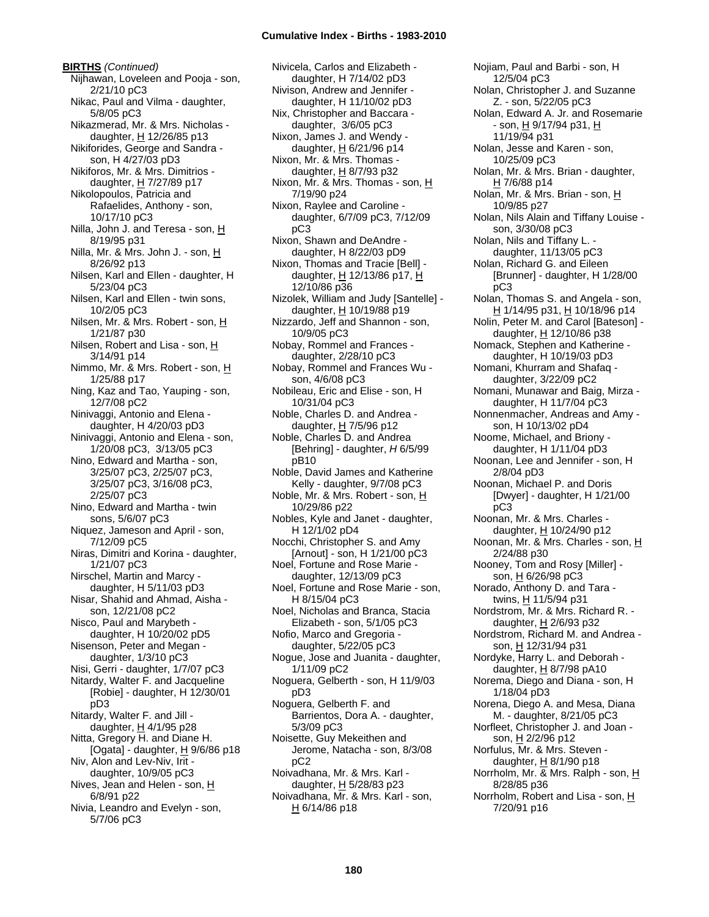**BIRTHS** *(Continued)* Nijhawan, Loveleen and Pooja - son, 2/21/10 pC3 Nikac, Paul and Vilma - daughter, 5/8/05 pC3 Nikazmerad, Mr. & Mrs. Nicholas daughter,  $H$  12/26/85 p13 Nikiforides, George and Sandra son, H 4/27/03 pD3 Nikiforos, Mr. & Mrs. Dimitrios daughter, H 7/27/89 p17 Nikolopoulos, Patricia and Rafaelides, Anthony - son, 10/17/10 pC3 Nilla, John J. and Teresa - son, H 8/19/95 p31 Nilla, Mr. & Mrs. John J. - son, H 8/26/92 p13 Nilsen, Karl and Ellen - daughter, H 5/23/04 pC3 Nilsen, Karl and Ellen - twin sons, 10/2/05 pC3 Nilsen, Mr. & Mrs. Robert - son, H 1/21/87 p30 Nilsen, Robert and Lisa - son, H 3/14/91 p14 Nimmo, Mr. & Mrs. Robert - son, H 1/25/88 p17 Ning, Kaz and Tao, Yauping - son, 12/7/08 pC2 Ninivaggi, Antonio and Elena daughter, H 4/20/03 pD3 Ninivaggi, Antonio and Elena - son, 1/20/08 pC3, 3/13/05 pC3 Nino, Edward and Martha - son, 3/25/07 pC3, 2/25/07 pC3, 3/25/07 pC3, 3/16/08 pC3, 2/25/07 pC3 Nino, Edward and Martha - twin sons, 5/6/07 pC3 Niquez, Jameson and April - son, 7/12/09 pC5 Niras, Dimitri and Korina - daughter, 1/21/07 pC3 Nirschel, Martin and Marcy daughter, H 5/11/03 pD3 Nisar, Shahid and Ahmad, Aisha son, 12/21/08 pC2 Nisco, Paul and Marybeth daughter, H 10/20/02 pD5 Nisenson, Peter and Megan daughter, 1/3/10 pC3 Nisi, Gerri - daughter, 1/7/07 pC3 Nitardy, Walter F. and Jacqueline [Robie] - daughter, H 12/30/01 pD3 Nitardy, Walter F. and Jill daughter,  $H$  4/1/95 p28 Nitta, Gregory H. and Diane H. [Ogata] - daughter,  $H$  9/6/86 p18 Niv, Alon and Lev-Niv, Irit daughter, 10/9/05 pC3 Nives, Jean and Helen - son, H 6/8/91 p22 Nivia, Leandro and Evelyn - son, 5/7/06 pC3

Nivicela, Carlos and Elizabeth daughter, H 7/14/02 pD3 Nivison, Andrew and Jennifer daughter, H 11/10/02 pD3 Nix, Christopher and Baccara daughter, 3/6/05 pC3 Nixon, James J. and Wendy daughter,  $H$  6/21/96 p14 Nixon, Mr. & Mrs. Thomas daughter,  $H$  8/7/93 p32 Nixon, Mr. & Mrs. Thomas - son, H 7/19/90 p24 Nixon, Raylee and Caroline daughter, 6/7/09 pC3, 7/12/09 pC3 Nixon, Shawn and DeAndre daughter, H 8/22/03 pD9 Nixon, Thomas and Tracie [Bell] daughter,  $H$  12/13/86 p17,  $H$ 12/10/86 p36 Nizolek, William and Judy [Santelle] daughter,  $H$  10/19/88 p19 Nizzardo, Jeff and Shannon - son, 10/9/05 pC3 Nobay, Rommel and Frances daughter, 2/28/10 pC3 Nobay, Rommel and Frances Wu son, 4/6/08 pC3 Nobileau, Eric and Elise - son, H 10/31/04 pC3 Noble, Charles D. and Andrea daughter, H 7/5/96 p12 Noble, Charles D. and Andrea [Behring] - daughter, *H* 6/5/99 pB10 Noble, David James and Katherine Kelly - daughter, 9/7/08 pC3 Noble, Mr. & Mrs. Robert - son, H 10/29/86 p22 Nobles, Kyle and Janet - daughter, H 12/1/02 pD4 Nocchi, Christopher S. and Amy [Arnout] - son, H 1/21/00 pC3 Noel, Fortune and Rose Marie daughter, 12/13/09 pC3 Noel, Fortune and Rose Marie - son, H 8/15/04 pC3 Noel, Nicholas and Branca, Stacia Elizabeth - son, 5/1/05 pC3 Nofio, Marco and Gregoria daughter, 5/22/05 pC3 Nogue, Jose and Juanita - daughter, 1/11/09 pC2 Noguera, Gelberth - son, H 11/9/03 pD3 Noguera, Gelberth F. and Barrientos, Dora A. - daughter, 5/3/09 pC3 Noisette, Guy Mekeithen and Jerome, Natacha - son, 8/3/08  $nC<sub>2</sub>$ Noivadhana, Mr. & Mrs. Karl daughter, H 5/28/83 p23 Noivadhana, Mr. & Mrs. Karl - son, H 6/14/86 p18

Nojiam, Paul and Barbi - son, H 12/5/04 pC3 Nolan, Christopher J. and Suzanne Z. - son, 5/22/05 pC3 Nolan, Edward A. Jr. and Rosemarie - son, H 9/17/94 p31, H 11/19/94 p31 Nolan, Jesse and Karen - son, 10/25/09 pC3 Nolan, Mr. & Mrs. Brian - daughter, H 7/6/88 p14 Nolan, Mr. & Mrs. Brian - son, H 10/9/85 p27 Nolan, Nils Alain and Tiffany Louise son, 3/30/08 pC3 Nolan, Nils and Tiffany L. daughter, 11/13/05 pC3 Nolan, Richard G. and Eileen [Brunner] - daughter, H 1/28/00 pC3 Nolan, Thomas S. and Angela - son, H 1/14/95 p31, H 10/18/96 p14 Nolin, Peter M. and Carol [Bateson] daughter, H 12/10/86 p38 Nomack, Stephen and Katherine daughter, H 10/19/03 pD3 Nomani, Khurram and Shafaq daughter, 3/22/09 pC2 Nomani, Munawar and Baig, Mirza daughter, H 11/7/04 pC3 Nonnenmacher, Andreas and Amy son, H 10/13/02 pD4 Noome, Michael, and Briony daughter, H 1/11/04 pD3 Noonan, Lee and Jennifer - son, H 2/8/04 pD3 Noonan, Michael P. and Doris [Dwyer] - daughter, H 1/21/00 pC3 Noonan, Mr. & Mrs. Charles daughter, H 10/24/90 p12 Noonan, Mr. & Mrs. Charles - son, H 2/24/88 p30 Nooney, Tom and Rosy [Miller] son, <u>H</u> 6/26/98 pC3 Norado, Anthony D. and Tara twins, H 11/5/94 p31 Nordstrom, Mr. & Mrs. Richard R. daughter,  $H$  2/6/93 p32 Nordstrom, Richard M. and Andrea son, H 12/31/94 p31 Nordyke, Harry L. and Deborah daughter, H 8/7/98 pA10 Norema, Diego and Diana - son, H 1/18/04 pD3 Norena, Diego A. and Mesa, Diana M. - daughter, 8/21/05 pC3 Norfleet, Christopher J. and Joan son, H 2/2/96 p12 Norfulus, Mr. & Mrs. Steven daughter, H 8/1/90 p18 Norrholm, Mr. & Mrs. Ralph - son, H 8/28/85 p36 Norrholm, Robert and Lisa - son, H 7/20/91 p16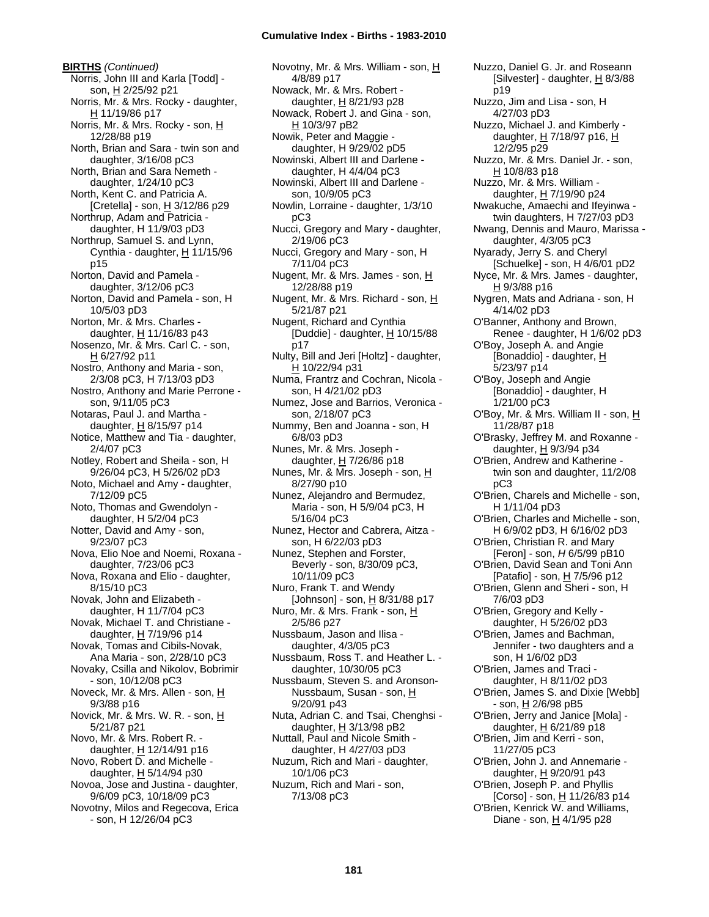**BIRTHS** *(Continued)* Norris, John III and Karla [Todd] son, H 2/25/92 p21 Norris, Mr. & Mrs. Rocky - daughter, H 11/19/86 p17 Norris, Mr. & Mrs. Rocky - son, H 12/28/88 p19 North, Brian and Sara - twin son and daughter, 3/16/08 pC3 North, Brian and Sara Nemeth daughter, 1/24/10 pC3 North, Kent C. and Patricia A. [Cretella] - son,  $\underline{H}$  3/12/86 p29 Northrup, Adam and Patricia daughter, H 11/9/03 pD3 Northrup, Samuel S. and Lynn, Cynthia - daughter,  $H$  11/15/96 p15 Norton, David and Pamela daughter, 3/12/06 pC3 Norton, David and Pamela - son, H 10/5/03 pD3 Norton, Mr. & Mrs. Charles daughter, H 11/16/83 p43 Nosenzo, Mr. & Mrs. Carl C. - son, H 6/27/92 p11 Nostro, Anthony and Maria - son, 2/3/08 pC3, H 7/13/03 pD3 Nostro, Anthony and Marie Perrone son, 9/11/05 pC3 Notaras, Paul J. and Martha daughter,  $H$  8/15/97 p14 Notice, Matthew and Tia - daughter, 2/4/07 pC3 Notley, Robert and Sheila - son, H 9/26/04 pC3, H 5/26/02 pD3 Noto, Michael and Amy - daughter, 7/12/09 pC5 Noto, Thomas and Gwendolyn daughter, H 5/2/04 pC3 Notter, David and Amy - son, 9/23/07 pC3 Nova, Elio Noe and Noemi, Roxana daughter, 7/23/06 pC3 Nova, Roxana and Elio - daughter, 8/15/10 pC3 Novak, John and Elizabeth daughter, H 11/7/04 pC3 Novak, Michael T. and Christiane daughter, H 7/19/96 p14 Novak, Tomas and Cibils-Novak, Ana Maria - son, 2/28/10 pC3 Novaky, Csilla and Nikolov, Bobrimir - son, 10/12/08 pC3 Noveck, Mr. & Mrs. Allen - son, H 9/3/88 p16 Novick, Mr. & Mrs. W. R. - son, H 5/21/87 p21 Novo, Mr. & Mrs. Robert R. daughter,  $H$  12/14/91 p16 Novo, Robert D. and Michelle daughter, H 5/14/94 p30 Novoa, Jose and Justina - daughter, 9/6/09 pC3, 10/18/09 pC3 Novotny, Milos and Regecova, Erica - son, H 12/26/04 pC3

Novotny, Mr. & Mrs. William - son, H 4/8/89 p17 Nowack, Mr. & Mrs. Robert daughter, H 8/21/93 p28 Nowack, Robert J. and Gina - son, H 10/3/97 pB2 Nowik, Peter and Maggie daughter, H 9/29/02 pD5 Nowinski, Albert III and Darlene daughter, H 4/4/04 pC3 Nowinski, Albert III and Darlene son, 10/9/05 pC3 Nowlin, Lorraine - daughter, 1/3/10 pC3 Nucci, Gregory and Mary - daughter, 2/19/06 pC3 Nucci, Gregory and Mary - son, H 7/11/04 pC3 Nugent, Mr. & Mrs. James - son, H 12/28/88 p19 Nugent, Mr. & Mrs. Richard - son, H 5/21/87 p21 Nugent, Richard and Cynthia [Duddie] - daughter, H 10/15/88 p17 Nulty, Bill and Jeri [Holtz] - daughter, H 10/22/94 p31 Numa, Frantrz and Cochran, Nicola son, H 4/21/02 pD3 Numez, Jose and Barrios, Veronica son, 2/18/07 pC3 Nummy, Ben and Joanna - son, H 6/8/03 pD3 Nunes, Mr. & Mrs. Joseph daughter, H 7/26/86 p18 Nunes, Mr. & Mrs. Joseph - son, H 8/27/90 p10 Nunez, Alejandro and Bermudez, Maria - son, H 5/9/04 pC3, H 5/16/04 pC3 Nunez, Hector and Cabrera, Aitza son, H 6/22/03 pD3 Nunez, Stephen and Forster, Beverly - son, 8/30/09 pC3, 10/11/09 pC3 Nuro, Frank T. and Wendy [Johnson] - son,  $\underline{H}$  8/31/88 p17 Nuro, Mr. & Mrs. Frank - son, H 2/5/86 p27 Nussbaum, Jason and Ilisa daughter, 4/3/05 pC3 Nussbaum, Ross T. and Heather L. daughter, 10/30/05 pC3 Nussbaum, Steven S. and Aronson-Nussbaum, Susan - son, H 9/20/91 p43 Nuta, Adrian C. and Tsai, Chenghsi daughter,  $H$  3/13/98 pB2 Nuttall, Paul and Nicole Smith daughter, H 4/27/03 pD3 Nuzum, Rich and Mari - daughter, 10/1/06 pC3 Nuzum, Rich and Mari - son, 7/13/08 pC3

Nuzzo, Daniel G. Jr. and Roseann [Silvester] - daughter, H 8/3/88 p19 Nuzzo, Jim and Lisa - son, H 4/27/03 pD3 Nuzzo, Michael J. and Kimberly daughter,  $H$  7/18/97 p16,  $H$ 12/2/95 p29 Nuzzo, Mr. & Mrs. Daniel Jr. - son, H 10/8/83 p18 Nuzzo, Mr. & Mrs. William daughter, H 7/19/90 p24 Nwakuche, Amaechi and Ifeyinwa twin daughters, H 7/27/03 pD3 Nwang, Dennis and Mauro, Marissa daughter, 4/3/05 pC3 Nyarady, Jerry S. and Cheryl [Schuelke] - son, H 4/6/01 pD2 Nyce, Mr. & Mrs. James - daughter, H 9/3/88 p16 Nygren, Mats and Adriana - son, H 4/14/02 pD3 O'Banner, Anthony and Brown, Renee - daughter, H 1/6/02 pD3 O'Boy, Joseph A. and Angie [Bonaddio] - daughter, H 5/23/97 p14 O'Boy, Joseph and Angie [Bonaddio] - daughter, H 1/21/00 pC3 O'Boy, Mr. & Mrs. William II - son, H 11/28/87 p18 O'Brasky, Jeffrey M. and Roxanne daughter, H 9/3/94 p34 O'Brien, Andrew and Katherine twin son and daughter, 11/2/08 pC3 O'Brien, Charels and Michelle - son, H 1/11/04 pD3 O'Brien, Charles and Michelle - son, H 6/9/02 pD3, H 6/16/02 pD3 O'Brien, Christian R. and Mary [Feron] - son, *H* 6/5/99 pB10 O'Brien, David Sean and Toni Ann [Patafio] - son, <u>H</u> 7/5/96 p12 O'Brien, Glenn and Sheri - son, H 7/6/03 pD3 O'Brien, Gregory and Kelly daughter, H 5/26/02 pD3 O'Brien, James and Bachman, Jennifer - two daughters and a son, H 1/6/02 pD3 O'Brien, James and Traci daughter, H 8/11/02 pD3 O'Brien, James S. and Dixie [Webb] - son, <u>H</u> 2/6/98 pB5 O'Brien, Jerry and Janice [Mola] daughter,  $H$  6/21/89 p18 O'Brien, Jim and Kerri - son, 11/27/05 pC3 O'Brien, John J. and Annemarie daughter, H 9/20/91 p43 O'Brien, Joseph P. and Phyllis [Corso] - son,  $H$  11/26/83 p14 O'Brien, Kenrick W. and Williams, Diane - son, H 4/1/95 p28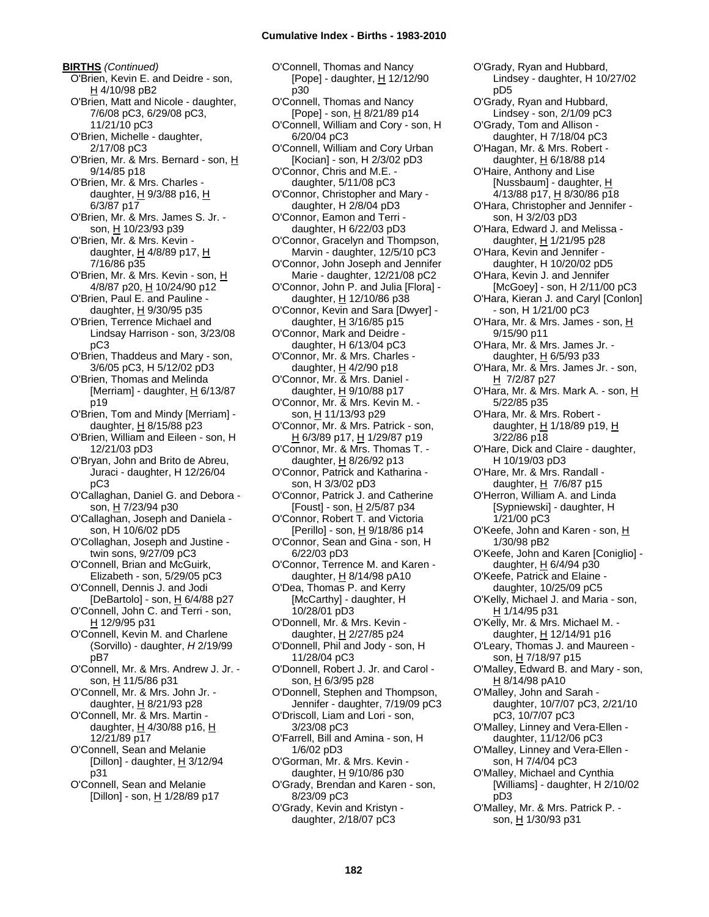**BIRTHS** *(Continued)* O'Brien, Kevin E. and Deidre - son, H 4/10/98 pB2 O'Brien, Matt and Nicole - daughter, 7/6/08 pC3, 6/29/08 pC3, 11/21/10 pC3 O'Brien, Michelle - daughter, 2/17/08 pC3 O'Brien, Mr. & Mrs. Bernard - son, H 9/14/85 p18 O'Brien, Mr. & Mrs. Charles daughter,  $H$  9/3/88 p16,  $H$ 6/3/87 p17 O'Brien, Mr. & Mrs. James S. Jr. son, H 10/23/93 p39 O'Brien, Mr. & Mrs. Kevin daughter, H 4/8/89 p17, H 7/16/86 p35 O'Brien, Mr. & Mrs. Kevin - son, H 4/8/87 p20, H 10/24/90 p12 O'Brien, Paul E. and Pauline daughter,  $H$  9/30/95 p35 O'Brien, Terrence Michael and Lindsay Harrison - son, 3/23/08 pC3 O'Brien, Thaddeus and Mary - son, 3/6/05 pC3, H 5/12/02 pD3 O'Brien, Thomas and Melinda [Merriam] - daughter,  $H$  6/13/87 p19 O'Brien, Tom and Mindy [Merriam] daughter,  $H$  8/15/88 p23 O'Brien, William and Eileen - son, H 12/21/03 pD3 O'Bryan, John and Brito de Abreu, Juraci - daughter, H 12/26/04 pC3 O'Callaghan, Daniel G. and Debora son, H 7/23/94 p30 O'Callaghan, Joseph and Daniela son, H 10/6/02 pD5 O'Collaghan, Joseph and Justine twin sons, 9/27/09 pC3 O'Connell, Brian and McGuirk, Elizabeth - son, 5/29/05 pC3 O'Connell, Dennis J. and Jodi [DeBartolo] - son, H 6/4/88 p27 O'Connell, John C. and Terri - son, H 12/9/95 p31 O'Connell, Kevin M. and Charlene (Sorvillo) - daughter, *H* 2/19/99 pB7 O'Connell, Mr. & Mrs. Andrew J. Jr. son, H 11/5/86 p31 O'Connell, Mr. & Mrs. John Jr. daughter, H 8/21/93 p28 O'Connell, Mr. & Mrs. Martin daughter,  $H$  4/30/88 p16,  $H$ 12/21/89 p17 O'Connell, Sean and Melanie [Dillon] - daughter,  $H$  3/12/94 p31 O'Connell, Sean and Melanie [Dillon] - son, H 1/28/89 p17

O'Connell, Thomas and Nancy [Pope] - daughter, H 12/12/90 p30 O'Connell, Thomas and Nancy [Pope] - son, H 8/21/89 p14 O'Connell, William and Cory - son, H 6/20/04 pC3 O'Connell, William and Cory Urban [Kocian] - son, H 2/3/02 pD3 O'Connor, Chris and M.E. daughter, 5/11/08 pC3 O'Connor, Christopher and Mary daughter, H 2/8/04 pD3 O'Connor, Eamon and Terri daughter, H 6/22/03 pD3 O'Connor, Gracelyn and Thompson, Marvin - daughter, 12/5/10 pC3 O'Connor, John Joseph and Jennifer Marie - daughter, 12/21/08 pC2 O'Connor, John P. and Julia [Flora] daughter, H 12/10/86 p38 O'Connor, Kevin and Sara [Dwyer] daughter, H 3/16/85 p15 O'Connor, Mark and Deidre daughter, H 6/13/04 pC3 O'Connor, Mr. & Mrs. Charles daughter,  $H$  4/2/90 p18 O'Connor, Mr. & Mrs. Daniel daughter, H 9/10/88 p17 O'Connor, Mr. & Mrs. Kevin M. son, H 11/13/93 p29 O'Connor, Mr. & Mrs. Patrick - son, H 6/3/89 p17, H 1/29/87 p19 O'Connor, Mr. & Mrs. Thomas T. daughter, H 8/26/92 p13 O'Connor, Patrick and Katharina son, H 3/3/02 pD3 O'Connor, Patrick J. and Catherine [Foust] - son, H 2/5/87 p34 O'Connor, Robert T. and Victoria [Perillo] - son, H 9/18/86 p14 O'Connor, Sean and Gina - son, H 6/22/03 pD3 O'Connor, Terrence M. and Karen daughter,  $H$  8/14/98 pA10 O'Dea, Thomas P. and Kerry [McCarthy] - daughter, H 10/28/01 pD3 O'Donnell, Mr. & Mrs. Kevin daughter, H 2/27/85 p24 O'Donnell, Phil and Jody - son, H 11/28/04 pC3 O'Donnell, Robert J. Jr. and Carol son, H 6/3/95 p28 O'Donnell, Stephen and Thompson, Jennifer - daughter, 7/19/09 pC3 O'Driscoll, Liam and Lori - son, 3/23/08 pC3 O'Farrell, Bill and Amina - son, H 1/6/02 pD3 O'Gorman, Mr. & Mrs. Kevin daughter, H 9/10/86 p30 O'Grady, Brendan and Karen - son, 8/23/09 pC3 O'Grady, Kevin and Kristyn daughter, 2/18/07 pC3

Lindsey - daughter, H 10/27/02 pD5 O'Grady, Ryan and Hubbard, Lindsey - son, 2/1/09 pC3 O'Grady, Tom and Allison daughter, H 7/18/04 pC3 O'Hagan, Mr. & Mrs. Robert daughter,  $H$  6/18/88 p14 O'Haire, Anthony and Lise [Nussbaum] - daughter, H 4/13/88 p17, H 8/30/86 p18 O'Hara, Christopher and Jennifer son, H 3/2/03 pD3 O'Hara, Edward J. and Melissa daughter,  $H$  1/21/95 p28 O'Hara, Kevin and Jennifer daughter, H 10/20/02 pD5 O'Hara, Kevin J. and Jennifer [McGoey] - son, H 2/11/00 pC3 O'Hara, Kieran J. and Caryl [Conlon] - son, H 1/21/00 pC3 O'Hara, Mr. & Mrs. James - son, H 9/15/90 p11 O'Hara, Mr. & Mrs. James Jr. daughter, H 6/5/93 p33 O'Hara, Mr. & Mrs. James Jr. - son, H 7/2/87 p27 O'Hara, Mr. & Mrs. Mark A. - son, H 5/22/85 p35 O'Hara, Mr. & Mrs. Robert daughter, H 1/18/89 p19, H 3/22/86 p18 O'Hare, Dick and Claire - daughter, H 10/19/03 pD3 O'Hare, Mr. & Mrs. Randall daughter, H 7/6/87 p15 O'Herron, William A. and Linda [Sypniewski] - daughter, H 1/21/00 pC3 O'Keefe, John and Karen - son, H 1/30/98 pB2 O'Keefe, John and Karen [Coniglio] daughter, H 6/4/94 p30 O'Keefe, Patrick and Elaine daughter, 10/25/09 pC5 O'Kelly, Michael J. and Maria - son,  $H$  1/14/95 p31 O'Kelly, Mr. & Mrs. Michael M. daughter, H 12/14/91 p16 O'Leary, Thomas J. and Maureen son, H 7/18/97 p15 O'Malley, Edward B. and Mary - son, H 8/14/98 pA10 O'Malley, John and Sarah daughter, 10/7/07 pC3, 2/21/10 pC3, 10/7/07 pC3 O'Malley, Linney and Vera-Ellen daughter, 11/12/06 pC3 O'Malley, Linney and Vera-Ellen son, H 7/4/04 pC3 O'Malley, Michael and Cynthia [Williams] - daughter, H 2/10/02 pD3 O'Malley, Mr. & Mrs. Patrick P. son, H 1/30/93 p31

O'Grady, Ryan and Hubbard,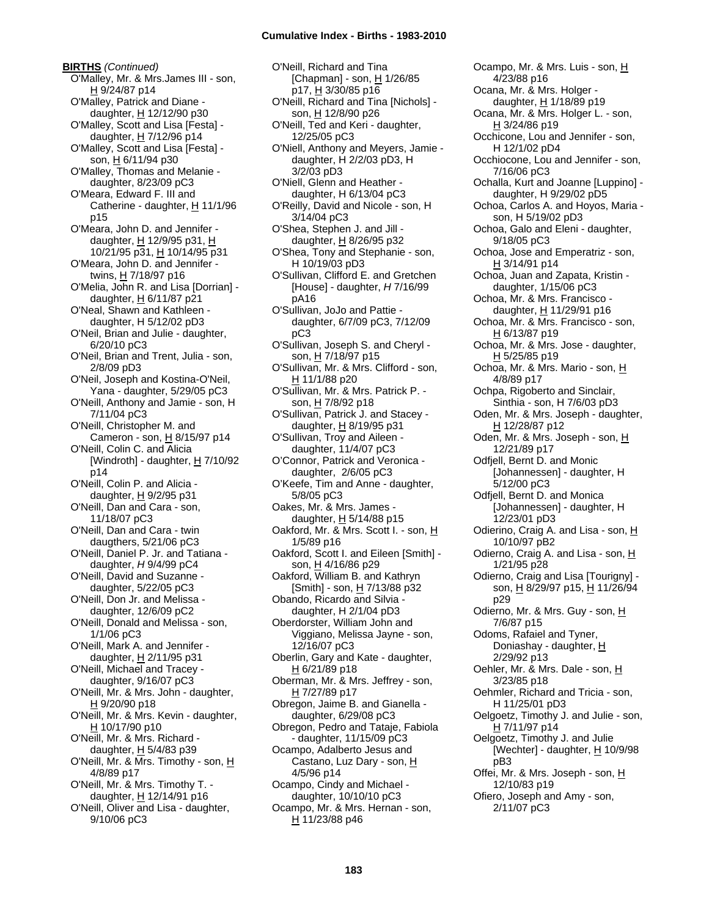**BIRTHS** *(Continued)* O'Malley, Mr. & Mrs.James III - son, H 9/24/87 p14 O'Malley, Patrick and Diane daughter, H 12/12/90 p30 O'Malley, Scott and Lisa [Festa] daughter,  $H$  7/12/96 p14 O'Malley, Scott and Lisa [Festa] son, H 6/11/94 p30 O'Malley, Thomas and Melanie daughter, 8/23/09 pC3 O'Meara, Edward F. III and Catherine - daughter, H 11/1/96 p15 O'Meara, John D. and Jennifer daughter, H 12/9/95 p31, H 10/21/95 p31, H 10/14/95 p31 O'Meara, John D. and Jennifer twins, H 7/18/97 p16 O'Melia, John R. and Lisa [Dorrian] daughter,  $H$  6/11/87 p21 O'Neal, Shawn and Kathleen daughter, H 5/12/02 pD3 O'Neil, Brian and Julie - daughter, 6/20/10 pC3 O'Neil, Brian and Trent, Julia - son, 2/8/09 pD3 O'Neil, Joseph and Kostina-O'Neil, Yana - daughter, 5/29/05 pC3 O'Neill, Anthony and Jamie - son, H 7/11/04 pC3 O'Neill, Christopher M. and Cameron - son, H 8/15/97 p14 O'Neill, Colin C. and Alicia [Windroth] - daughter, H 7/10/92 p14 O'Neill, Colin P. and Alicia daughter, H 9/2/95 p31 O'Neill, Dan and Cara - son, 11/18/07 pC3 O'Neill, Dan and Cara - twin daugthers, 5/21/06 pC3 O'Neill, Daniel P. Jr. and Tatiana daughter, *H* 9/4/99 pC4 O'Neill, David and Suzanne daughter, 5/22/05 pC3 O'Neill, Don Jr. and Melissa daughter, 12/6/09 pC2 O'Neill, Donald and Melissa - son, 1/1/06 pC3 O'Neill, Mark A. and Jennifer daughter, H 2/11/95 p31 O'Neill, Michael and Tracey daughter, 9/16/07 pC3 O'Neill, Mr. & Mrs. John - daughter, H 9/20/90 p18 O'Neill, Mr. & Mrs. Kevin - daughter, H 10/17/90 p10 O'Neill, Mr. & Mrs. Richard daughter,  $H$  5/4/83 p39 O'Neill, Mr. & Mrs. Timothy - son, H 4/8/89 p17 O'Neill, Mr. & Mrs. Timothy T. daughter,  $H$  12/14/91 p16 O'Neill, Oliver and Lisa - daughter, 9/10/06 pC3

O'Neill, Richard and Tina [Chapman] - son, H 1/26/85 p17, <u>H</u> 3/30/85 p16 O'Neill, Richard and Tina [Nichols] son, H 12/8/90 p26 O'Neill, Ted and Keri - daughter, 12/25/05 pC3 O'Niell, Anthony and Meyers, Jamie daughter, H 2/2/03 pD3, H 3/2/03 pD3 O'Niell, Glenn and Heather daughter, H 6/13/04 pC3 O'Reilly, David and Nicole - son, H 3/14/04 pC3 O'Shea, Stephen J. and Jill daughter,  $H$  8/26/95 p32 O'Shea, Tony and Stephanie - son, H 10/19/03 pD3 O'Sullivan, Clifford E. and Gretchen [House] - daughter, *H* 7/16/99 pA16 O'Sullivan, JoJo and Pattie daughter, 6/7/09 pC3, 7/12/09 pC3 O'Sullivan, Joseph S. and Cheryl son, H 7/18/97 p15 O'Sullivan, Mr. & Mrs. Clifford - son, H 11/1/88 p20 O'Sullivan, Mr. & Mrs. Patrick P. son, H 7/8/92 p18 O'Sullivan, Patrick J. and Stacey daughter, H 8/19/95 p31 O'Sullivan, Troy and Aileen daughter, 11/4/07 pC3 O'Connor, Patrick and Veronica daughter, 2/6/05 pC3 O'Keefe, Tim and Anne - daughter, 5/8/05 pC3 Oakes, Mr. & Mrs. James daughter,  $H$  5/14/88 p15 Oakford, Mr. & Mrs. Scott I. - son, H 1/5/89 p16 Oakford, Scott I. and Eileen [Smith] son, H 4/16/86 p29 Oakford, William B. and Kathryn  $[Smith] - son, H 7/13/88 p32$ Obando, Ricardo and Silvia daughter, H 2/1/04 pD3 Oberdorster, William John and Viggiano, Melissa Jayne - son, 12/16/07 pC3 Oberlin, Gary and Kate - daughter, H 6/21/89 p18 Oberman, Mr. & Mrs. Jeffrey - son, H 7/27/89 p17 Obregon, Jaime B. and Gianella daughter, 6/29/08 pC3 Obregon, Pedro and Tataje, Fabiola - daughter, 11/15/09 pC3 Ocampo, Adalberto Jesus and Castano, Luz Dary - son, H 4/5/96 p14 Ocampo, Cindy and Michael daughter, 10/10/10 pC3 Ocampo, Mr. & Mrs. Hernan - son, H 11/23/88 p46

Ocampo, Mr. & Mrs. Luis - son, H 4/23/88 p16 Ocana, Mr. & Mrs. Holger daughter,  $H$  1/18/89 p19 Ocana, Mr. & Mrs. Holger L. - son, H 3/24/86 p19 Occhicone, Lou and Jennifer - son, H 12/1/02 pD4 Occhiocone, Lou and Jennifer - son, 7/16/06 pC3 Ochalla, Kurt and Joanne [Luppino] daughter, H 9/29/02 pD5 Ochoa, Carlos A. and Hoyos, Maria son, H 5/19/02 pD3 Ochoa, Galo and Eleni - daughter, 9/18/05 pC3 Ochoa, Jose and Emperatriz - son, H 3/14/91 p14 Ochoa, Juan and Zapata, Kristin daughter, 1/15/06 pC3 Ochoa, Mr. & Mrs. Francisco daughter, H 11/29/91 p16 Ochoa, Mr. & Mrs. Francisco - son, H 6/13/87 p19 Ochoa, Mr. & Mrs. Jose - daughter, H 5/25/85 p19 Ochoa, Mr. & Mrs. Mario - son, H 4/8/89 p17 Ochpa, Rigoberto and Sinclair, Sinthia - son, H 7/6/03 pD3 Oden, Mr. & Mrs. Joseph - daughter, H 12/28/87 p12 Oden, Mr. & Mrs. Joseph - son, H 12/21/89 p17 Odfjell, Bernt D. and Monic [Johannessen] - daughter, H 5/12/00 pC3 Odfjell, Bernt D. and Monica [Johannessen] - daughter, H 12/23/01 pD3 Odierino, Craig A. and Lisa - son, H 10/10/97 pB2 Odierno, Craig A. and Lisa - son, H 1/21/95 p28 Odierno, Craig and Lisa [Tourigny] son, H 8/29/97 p15, H 11/26/94 p29 Odierno, Mr. & Mrs. Guy - son, H 7/6/87 p15 Odoms, Rafaiel and Tyner, Doniashay - daughter, H 2/29/92 p13 Oehler, Mr. & Mrs. Dale - son, H 3/23/85 p18 Oehmler, Richard and Tricia - son, H 11/25/01 pD3 Oelgoetz, Timothy J. and Julie - son, H 7/11/97 p14 Oelgoetz, Timothy J. and Julie [Wechter] - daughter,  $H$  10/9/98 pB3 Offei, Mr. & Mrs. Joseph - son, H 12/10/83 p19 Ofiero, Joseph and Amy - son, 2/11/07 pC3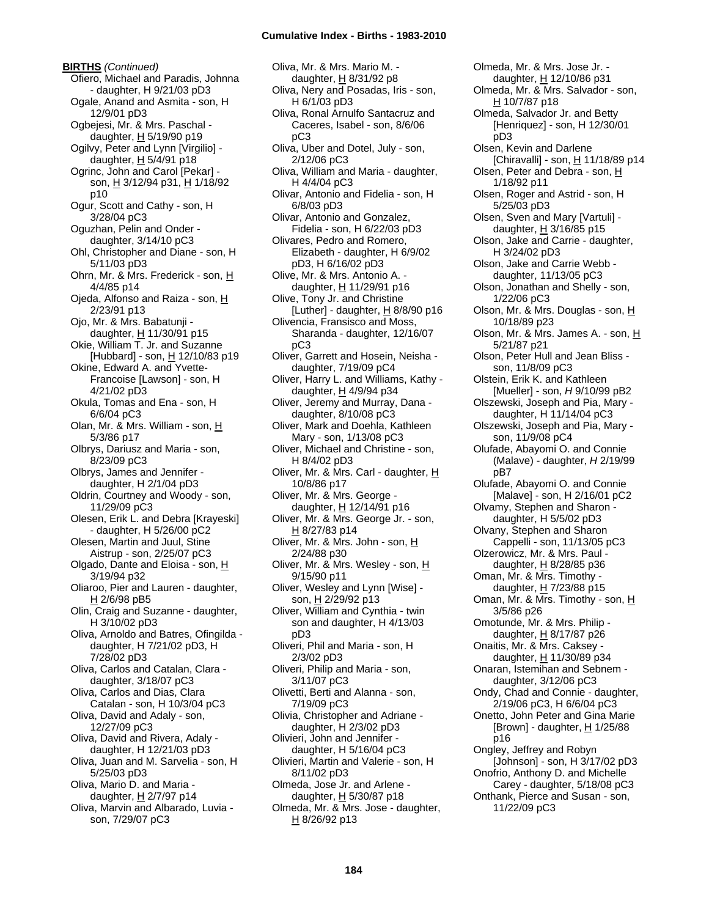**BIRTHS** *(Continued)* Ofiero, Michael and Paradis, Johnna - daughter, H 9/21/03 pD3 Ogale, Anand and Asmita - son, H 12/9/01 pD3 Ogbejesi, Mr. & Mrs. Paschal daughter,  $H$  5/19/90 p19 Ogilvy, Peter and Lynn [Virgilio] daughter,  $H$  5/4/91 p18 Ogrinc, John and Carol [Pekar] son, H 3/12/94 p31, H 1/18/92 p10 Ogur, Scott and Cathy - son, H 3/28/04 pC3 Oguzhan, Pelin and Onder daughter, 3/14/10 pC3 Ohl, Christopher and Diane - son, H 5/11/03 pD3 Ohrn, Mr. & Mrs. Frederick - son, H 4/4/85 p14 Ojeda, Alfonso and Raiza - son, H 2/23/91 p13 Ojo, Mr. & Mrs. Babatunji daughter, H 11/30/91 p15 Okie, William T. Jr. and Suzanne [Hubbard] - son,  $H$  12/10/83 p19 Okine, Edward A. and Yvette-Francoise [Lawson] - son, H 4/21/02 pD3 Okula, Tomas and Ena - son, H 6/6/04 pC3 Olan, Mr. & Mrs. William - son, H 5/3/86 p17 Olbrys, Dariusz and Maria - son, 8/23/09 pC3 Olbrys, James and Jennifer daughter, H 2/1/04 pD3 Oldrin, Courtney and Woody - son, 11/29/09 pC3 Olesen, Erik L. and Debra [Krayeski] - daughter, H 5/26/00 pC2 Olesen, Martin and Juul, Stine Aistrup - son, 2/25/07 pC3 Olgado, Dante and Eloisa - son, H 3/19/94 p32 Oliaroo, Pier and Lauren - daughter, H 2/6/98 pB5 Olin, Craig and Suzanne - daughter, H 3/10/02 pD3 Oliva, Arnoldo and Batres, Ofingilda daughter, H 7/21/02 pD3, H 7/28/02 pD3 Oliva, Carlos and Catalan, Clara daughter, 3/18/07 pC3 Oliva, Carlos and Dias, Clara Catalan - son, H 10/3/04 pC3 Oliva, David and Adaly - son, 12/27/09 pC3 Oliva, David and Rivera, Adaly daughter, H 12/21/03 pD3 Oliva, Juan and M. Sarvelia - son, H 5/25/03 pD3 Oliva, Mario D. and Maria daughter, H 2/7/97 p14 Oliva, Marvin and Albarado, Luvia son, 7/29/07 pC3

Oliva, Mr. & Mrs. Mario M. daughter, H 8/31/92 p8 Oliva, Nery and Posadas, Iris - son, H 6/1/03 pD3 Oliva, Ronal Arnulfo Santacruz and Caceres, Isabel - son, 8/6/06 pC3 Oliva, Uber and Dotel, July - son, 2/12/06 pC3 Oliva, William and Maria - daughter, H 4/4/04 pC3 Olivar, Antonio and Fidelia - son, H 6/8/03 pD3 Olivar, Antonio and Gonzalez, Fidelia - son, H 6/22/03 pD3 Olivares, Pedro and Romero, Elizabeth - daughter, H 6/9/02 pD3, H 6/16/02 pD3 Olive, Mr. & Mrs. Antonio A. daughter, H 11/29/91 p16 Olive, Tony Jr. and Christine [Luther] - daughter,  $H$  8/8/90 p16 Olivencia, Fransisco and Moss, Sharanda - daughter, 12/16/07 pC3 Oliver, Garrett and Hosein, Neisha daughter, 7/19/09 pC4 Oliver, Harry L. and Williams, Kathy daughter, H 4/9/94 p34 Oliver, Jeremy and Murray, Dana daughter, 8/10/08 pC3 Oliver, Mark and Doehla, Kathleen Mary - son, 1/13/08 pC3 Oliver, Michael and Christine - son, H 8/4/02 pD3 Oliver, Mr. & Mrs. Carl - daughter, H 10/8/86 p17 Oliver, Mr. & Mrs. George daughter, H 12/14/91 p16 Oliver, Mr. & Mrs. George Jr. - son, H 8/27/83 p14 Oliver, Mr. & Mrs. John - son, H 2/24/88 p30 Oliver, Mr. & Mrs. Wesley - son, H 9/15/90 p11 Oliver, Wesley and Lynn [Wise] son, H 2/29/92 p13 Oliver, William and Cynthia - twin son and daughter, H 4/13/03 pD3 Oliveri, Phil and Maria - son, H 2/3/02 pD3 Oliveri, Philip and Maria - son, 3/11/07 pC3 Olivetti, Berti and Alanna - son, 7/19/09 pC3 Olivia, Christopher and Adriane daughter, H 2/3/02 pD3 Olivieri, John and Jennifer daughter, H 5/16/04 pC3 Olivieri, Martin and Valerie - son, H 8/11/02 pD3 Olmeda, Jose Jr. and Arlene daughter,  $H$  5/30/87 p18 Olmeda, Mr. & Mrs. Jose - daughter, H 8/26/92 p13

Olmeda, Mr. & Mrs. Jose Jr. daughter, H 12/10/86 p31 Olmeda, Mr. & Mrs. Salvador - son, H 10/7/87 p18 Olmeda, Salvador Jr. and Betty [Henriquez] - son, H 12/30/01 pD3 Olsen, Kevin and Darlene [Chiravalli] - son, H 11/18/89 p14 Olsen, Peter and Debra - son, H 1/18/92 p11 Olsen, Roger and Astrid - son, H 5/25/03 pD3 Olsen, Sven and Mary [Vartuli] daughter,  $H$  3/16/85 p15 Olson, Jake and Carrie - daughter, H 3/24/02 pD3 Olson, Jake and Carrie Webb daughter, 11/13/05 pC3 Olson, Jonathan and Shelly - son, 1/22/06 pC3 Olson, Mr. & Mrs. Douglas - son, H 10/18/89 p23 Olson, Mr. & Mrs. James A. - son, H 5/21/87 p21 Olson, Peter Hull and Jean Bliss son, 11/8/09 pC3 Olstein, Erik K. and Kathleen [Mueller] - son, *H* 9/10/99 pB2 Olszewski, Joseph and Pia, Mary daughter, H 11/14/04 pC3 Olszewski, Joseph and Pia, Mary son, 11/9/08 pC4 Olufade, Abayomi O. and Connie (Malave) - daughter, *H* 2/19/99 pB7 Olufade, Abayomi O. and Connie [Malave] - son, H 2/16/01 pC2 Olvamy, Stephen and Sharon daughter, H 5/5/02 pD3 Olvany, Stephen and Sharon Cappelli - son, 11/13/05 pC3 Olzerowicz, Mr. & Mrs. Paul daughter, H 8/28/85 p36 Oman, Mr. & Mrs. Timothy daughter,  $H$  7/23/88 p15 Oman, Mr. & Mrs. Timothy - son, H 3/5/86 p26 Omotunde, Mr. & Mrs. Philip daughter, H 8/17/87 p26 Onaitis, Mr. & Mrs. Caksey daughter, H 11/30/89 p34 Onaran, Istemihan and Sebnem daughter, 3/12/06 pC3 Ondy, Chad and Connie - daughter, 2/19/06 pC3, H 6/6/04 pC3 Onetto, John Peter and Gina Marie [Brown] - daughter,  $H$  1/25/88 p16 Ongley, Jeffrey and Robyn [Johnson] - son, H 3/17/02 pD3 Onofrio, Anthony D. and Michelle Carey - daughter, 5/18/08 pC3 Onthank, Pierce and Susan - son, 11/22/09 pC3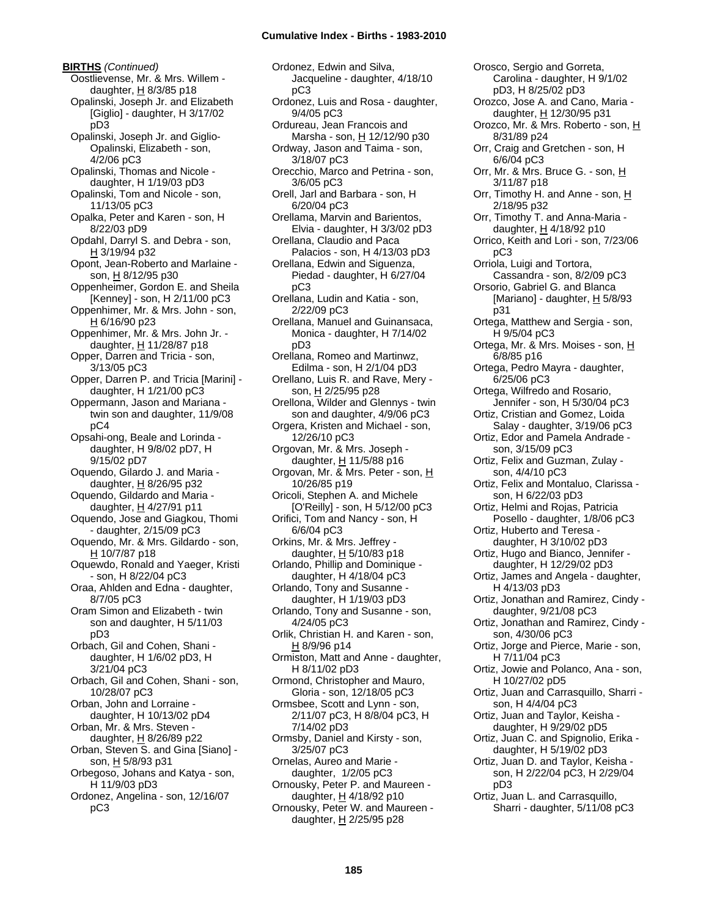**BIRTHS** *(Continued)* Oostlievense, Mr. & Mrs. Willem daughter,  $H$  8/3/85 p18 Opalinski, Joseph Jr. and Elizabeth [Giglio] - daughter, H 3/17/02 pD3 Opalinski, Joseph Jr. and Giglio-Opalinski, Elizabeth - son, 4/2/06 pC3 Opalinski, Thomas and Nicole daughter, H 1/19/03 pD3 Opalinski, Tom and Nicole - son, 11/13/05 pC3 Opalka, Peter and Karen - son, H 8/22/03 pD9 Opdahl, Darryl S. and Debra - son, H 3/19/94 p32 Opont, Jean-Roberto and Marlaine son, H 8/12/95 p30 Oppenheimer, Gordon E. and Sheila [Kenney] - son, H 2/11/00 pC3 Oppenhimer, Mr. & Mrs. John - son, H 6/16/90 p23 Oppenhimer, Mr. & Mrs. John Jr. daughter,  $H$  11/28/87 p18 Opper, Darren and Tricia - son, 3/13/05 pC3 Opper, Darren P. and Tricia [Marini] daughter, H 1/21/00 pC3 Oppermann, Jason and Mariana twin son and daughter, 11/9/08 pC4 Opsahi-ong, Beale and Lorinda daughter, H 9/8/02 pD7, H 9/15/02 pD7 Oquendo, Gilardo J. and Maria daughter,  $H$  8/26/95 p32 Oquendo, Gildardo and Maria daughter, H 4/27/91 p11 Oquendo, Jose and Giagkou, Thomi - daughter, 2/15/09 pC3 Oquendo, Mr. & Mrs. Gildardo - son,  $H 10/7/87 p18$ Oquewdo, Ronald and Yaeger, Kristi - son, H 8/22/04 pC3 Oraa, Ahlden and Edna - daughter, 8/7/05 pC3 Oram Simon and Elizabeth - twin son and daughter, H 5/11/03 pD3 Orbach, Gil and Cohen, Shani daughter, H 1/6/02 pD3, H 3/21/04 pC3 Orbach, Gil and Cohen, Shani - son, 10/28/07 pC3 Orban, John and Lorraine daughter, H 10/13/02 pD4 Orban, Mr. & Mrs. Steven daughter, H 8/26/89 p22 Orban, Steven S. and Gina [Siano] son, H 5/8/93 p31 Orbegoso, Johans and Katya - son, H 11/9/03 pD3 Ordonez, Angelina - son, 12/16/07 pC3

Ordonez, Edwin and Silva, Jacqueline - daughter, 4/18/10 pC3 Ordonez, Luis and Rosa - daughter, 9/4/05 pC3 Ordureau, Jean Francois and Marsha - son,  $H$  12/12/90 p30 Ordway, Jason and Taima - son, 3/18/07 pC3 Orecchio, Marco and Petrina - son, 3/6/05 pC3 Orell, Jarl and Barbara - son, H 6/20/04 pC3 Orellama, Marvin and Barientos, Elvia - daughter, H 3/3/02 pD3 Orellana, Claudio and Paca Palacios - son, H 4/13/03 pD3 Orellana, Edwin and Siguenza, Piedad - daughter, H 6/27/04 pC3 Orellana, Ludin and Katia - son, 2/22/09 pC3 Orellana, Manuel and Guinansaca, Monica - daughter, H 7/14/02 pD3 Orellana, Romeo and Martinwz, Edilma - son, H 2/1/04 pD3 Orellano, Luis R. and Rave, Mery son, H 2/25/95 p28 Orellona, Wilder and Glennys - twin son and daughter, 4/9/06 pC3 Orgera, Kristen and Michael - son, 12/26/10 pC3 Orgovan, Mr. & Mrs. Joseph daughter, H 11/5/88 p16 Orgovan, Mr. & Mrs. Peter - son, H 10/26/85 p19 Oricoli, Stephen A. and Michele [O'Reilly] - son, H 5/12/00 pC3 Orifici, Tom and Nancy - son, H 6/6/04 pC3 Orkins, Mr. & Mrs. Jeffrey daughter, H 5/10/83 p18 Orlando, Phillip and Dominique daughter, H 4/18/04 pC3 Orlando, Tony and Susanne daughter, H 1/19/03 pD3 Orlando, Tony and Susanne - son, 4/24/05 pC3 Orlik, Christian H. and Karen - son, H 8/9/96 p14 Ormiston, Matt and Anne - daughter, H 8/11/02 pD3 Ormond, Christopher and Mauro, Gloria - son, 12/18/05 pC3 Ormsbee, Scott and Lynn - son, 2/11/07 pC3, H 8/8/04 pC3, H 7/14/02 pD3 Ormsby, Daniel and Kirsty - son, 3/25/07 pC3 Ornelas, Aureo and Marie daughter, 1/2/05 pC3 Ornousky, Peter P. and Maureen daughter,  $H$  4/18/92 p10 Ornousky, Peter W. and Maureen daughter,  $H$  2/25/95 p28

Carolina - daughter, H 9/1/02 pD3, H 8/25/02 pD3 Orozco, Jose A. and Cano, Maria daughter, H 12/30/95 p31 Orozco, Mr. & Mrs. Roberto - son, H 8/31/89 p24 Orr, Craig and Gretchen - son, H 6/6/04 pC3 Orr, Mr. & Mrs. Bruce G. - son, H 3/11/87 p18 Orr, Timothy H. and Anne - son, H 2/18/95 p32 Orr, Timothy T. and Anna-Maria daughter, H 4/18/92 p10 Orrico, Keith and Lori - son, 7/23/06 pC3 Orriola, Luigi and Tortora, Cassandra - son, 8/2/09 pC3 Orsorio, Gabriel G. and Blanca [Mariano] - daughter,  $H$  5/8/93 p31 Ortega, Matthew and Sergia - son, H 9/5/04 pC3 Ortega, Mr. & Mrs. Moises - son, H 6/8/85 p16 Ortega, Pedro Mayra - daughter, 6/25/06 pC3 Ortega, Wilfredo and Rosario, Jennifer - son, H 5/30/04 pC3 Ortiz, Cristian and Gomez, Loida Salay - daughter, 3/19/06 pC3 Ortiz, Edor and Pamela Andrade son, 3/15/09 pC3 Ortiz, Felix and Guzman, Zulay son, 4/4/10 pC3 Ortiz, Felix and Montaluo, Clarissa son, H 6/22/03 pD3 Ortiz, Helmi and Rojas, Patricia Posello - daughter, 1/8/06 pC3 Ortiz, Huberto and Teresa daughter, H 3/10/02 pD3 Ortiz, Hugo and Bianco, Jennifer daughter, H 12/29/02 pD3 Ortiz, James and Angela - daughter, H 4/13/03 pD3 Ortiz, Jonathan and Ramirez, Cindy daughter, 9/21/08 pC3 Ortiz, Jonathan and Ramirez, Cindy son, 4/30/06 pC3 Ortiz, Jorge and Pierce, Marie - son, H 7/11/04 pC3 Ortiz, Jowie and Polanco, Ana - son, H 10/27/02 pD5 Ortiz, Juan and Carrasquillo, Sharri son, H 4/4/04 pC3 Ortiz, Juan and Taylor, Keisha daughter, H 9/29/02 pD5 Ortiz, Juan C. and Spignolio, Erika daughter, H 5/19/02 pD3 Ortiz, Juan D. and Taylor, Keisha son, H 2/22/04 pC3, H 2/29/04 pD3 Ortiz, Juan L. and Carrasquillo, Sharri - daughter, 5/11/08 pC3

Orosco, Sergio and Gorreta,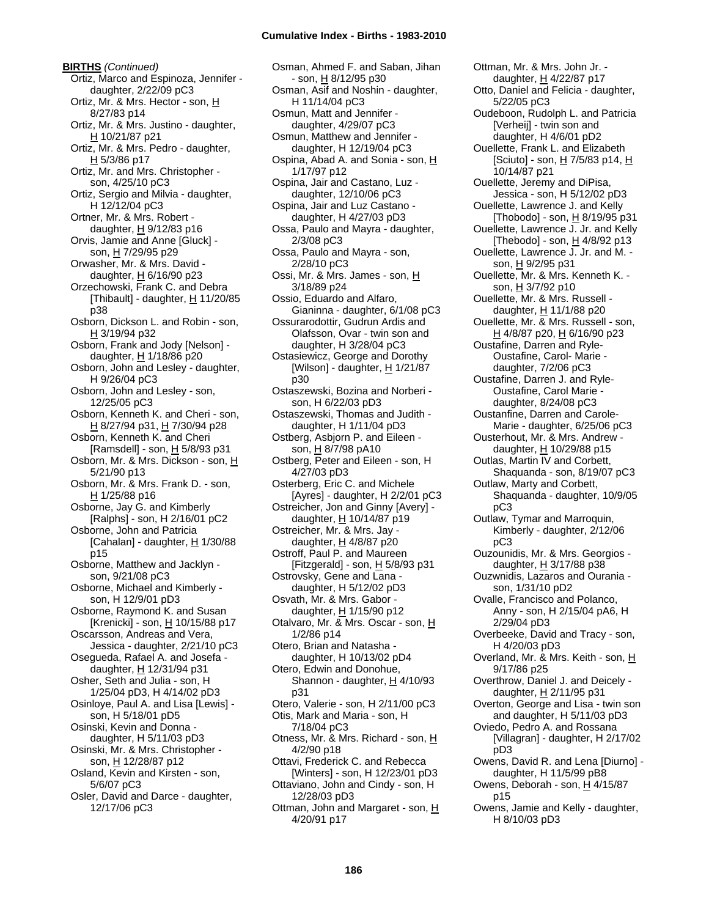**BIRTHS** *(Continued)* Ortiz, Marco and Espinoza, Jennifer daughter, 2/22/09 pC3 Ortiz, Mr. & Mrs. Hector - son, H 8/27/83 p14 Ortiz, Mr. & Mrs. Justino - daughter,  $H$  10/21/87 p21 Ortiz, Mr. & Mrs. Pedro - daughter,  $H$  5/3/86 p17 Ortiz, Mr. and Mrs. Christopher son, 4/25/10 pC3 Ortiz, Sergio and Milvia - daughter, H 12/12/04 pC3 Ortner, Mr. & Mrs. Robert daughter,  $H$  9/12/83 p16 Orvis, Jamie and Anne [Gluck] son, H 7/29/95 p29 Orwasher, Mr. & Mrs. David daughter,  $H$  6/16/90 p23 Orzechowski, Frank C. and Debra [Thibault] - daughter,  $H$  11/20/85 p38 Osborn, Dickson L. and Robin - son, H 3/19/94 p32 Osborn, Frank and Jody [Nelson] daughter, H 1/18/86 p20 Osborn, John and Lesley - daughter, H 9/26/04 pC3 Osborn, John and Lesley - son, 12/25/05 pC3 Osborn, Kenneth K. and Cheri - son, H 8/27/94 p31, H 7/30/94 p28 Osborn, Kenneth K. and Cheri [Ramsdell] - son, H 5/8/93 p31 Osborn, Mr. & Mrs. Dickson - son, H 5/21/90 p13 Osborn, Mr. & Mrs. Frank D. - son, H 1/25/88 p16 Osborne, Jay G. and Kimberly [Ralphs] - son, H 2/16/01 pC2 Osborne, John and Patricia [Cahalan] - daughter,  $H$  1/30/88 p15 Osborne, Matthew and Jacklyn son, 9/21/08 pC3 Osborne, Michael and Kimberly son, H 12/9/01 pD3 Osborne, Raymond K. and Susan [Krenicki] - son, H 10/15/88 p17 Oscarsson, Andreas and Vera, Jessica - daughter, 2/21/10 pC3 Osegueda, Rafael A. and Josefa daughter, H 12/31/94 p31 Osher, Seth and Julia - son, H 1/25/04 pD3, H 4/14/02 pD3 Osinloye, Paul A. and Lisa [Lewis] son, H 5/18/01 pD5 Osinski, Kevin and Donna daughter, H 5/11/03 pD3 Osinski, Mr. & Mrs. Christopher son, H 12/28/87 p12 Osland, Kevin and Kirsten - son, 5/6/07 pC3 Osler, David and Darce - daughter, 12/17/06 pC3

Osman, Ahmed F. and Saban, Jihan - son, H 8/12/95 p30 Osman, Asif and Noshin - daughter, H 11/14/04 pC3 Osmun, Matt and Jennifer daughter, 4/29/07 pC3 Osmun, Matthew and Jennifer daughter, H 12/19/04 pC3 Ospina, Abad A. and Sonia - son, H 1/17/97 p12 Ospina, Jair and Castano, Luz daughter, 12/10/06 pC3 Ospina, Jair and Luz Castano daughter, H 4/27/03 pD3 Ossa, Paulo and Mayra - daughter, 2/3/08 pC3 Ossa, Paulo and Mayra - son, 2/28/10 pC3 Ossi, Mr. & Mrs. James - son, H 3/18/89 p24 Ossio, Eduardo and Alfaro, Gianinna - daughter, 6/1/08 pC3 Ossurarodottir, Gudrun Ardis and Olafsson, Ovar - twin son and daughter, H 3/28/04 pC3 Ostasiewicz, George and Dorothy [Wilson] - daughter,  $H$  1/21/87 p30 Ostaszewski, Bozina and Norberi son, H 6/22/03 pD3 Ostaszewski, Thomas and Judith daughter, H 1/11/04 pD3 Ostberg, Asbjorn P. and Eileen son, H 8/7/98 pA10 Ostberg, Peter and Eileen - son, H 4/27/03 pD3 Osterberg, Eric C. and Michele [Ayres] - daughter, H 2/2/01 pC3 Ostreicher, Jon and Ginny [Avery] daughter,  $H$  10/14/87 p19 Ostreicher, Mr. & Mrs. Jay daughter,  $H$  4/8/87 p20 Ostroff, Paul P. and Maureen [Fitzgerald] - son, H 5/8/93 p31 Ostrovsky, Gene and Lana daughter, H 5/12/02 pD3 Osvath, Mr. & Mrs. Gabor daughter,  $H$  1/15/90 p12 Otalvaro, Mr. & Mrs. Oscar - son, H 1/2/86 p14 Otero, Brian and Natasha daughter, H 10/13/02 pD4 Otero, Edwin and Donohue, Shannon - daughter,  $H$  4/10/93 p31 Otero, Valerie - son, H 2/11/00 pC3 Otis, Mark and Maria - son, H 7/18/04 pC3 Otness, Mr. & Mrs. Richard - son, H 4/2/90 p18 Ottavi, Frederick C. and Rebecca [Winters] - son, H 12/23/01 pD3 Ottaviano, John and Cindy - son, H 12/28/03 pD3 Ottman, John and Margaret - son, H 4/20/91 p17

Ottman, Mr. & Mrs. John Jr. daughter, H 4/22/87 p17 Otto, Daniel and Felicia - daughter, 5/22/05 pC3 Oudeboon, Rudolph L. and Patricia [Verheij] - twin son and daughter, H 4/6/01 pD2 Ouellette, Frank L. and Elizabeth [Sciuto] - son, H 7/5/83 p14, H 10/14/87 p21 Ouellette, Jeremy and DiPisa, Jessica - son, H 5/12/02 pD3 Ouellette, Lawrence J. and Kelly [Thobodo] - son,  $H$  8/19/95 p31 Ouellette, Lawrence J. Jr. and Kelly [Thebodo] - son,  $H$  4/8/92 p13 Ouellette, Lawrence J. Jr. and M. son, H 9/2/95 p31 Ouellette, Mr. & Mrs. Kenneth K. son, H 3/7/92 p10 Ouellette, Mr. & Mrs. Russell daughter, H 11/1/88 p20 Ouellette, Mr. & Mrs. Russell - son, H 4/8/87 p20, H 6/16/90 p23 Oustafine, Darren and Ryle-Oustafine, Carol- Marie daughter, 7/2/06 pC3 Oustafine, Darren J. and Ryle-Oustafine, Carol Marie daughter, 8/24/08 pC3 Oustanfine, Darren and Carole-Marie - daughter, 6/25/06 pC3 Ousterhout, Mr. & Mrs. Andrew daughter, H 10/29/88 p15 Outlas, Martin IV and Corbett, Shaquanda - son, 8/19/07 pC3 Outlaw, Marty and Corbett, Shaquanda - daughter, 10/9/05 pC3 Outlaw, Tymar and Marroquin, Kimberly - daughter, 2/12/06 pC3 Ouzounidis, Mr. & Mrs. Georgios daughter, H 3/17/88 p38 Ouzwnidis, Lazaros and Ourania son, 1/31/10 pD2 Ovalle, Francisco and Polanco, Anny - son, H 2/15/04 pA6, H 2/29/04 pD3 Overbeeke, David and Tracy - son, H 4/20/03 pD3 Overland, Mr. & Mrs. Keith - son, H 9/17/86 p25 Overthrow, Daniel J. and Deicely daughter,  $H$  2/11/95 p31 Overton, George and Lisa - twin son and daughter, H 5/11/03 pD3 Oviedo, Pedro A. and Rossana [Villagran] - daughter, H 2/17/02 pD3 Owens, David R. and Lena [Diurno] daughter, H 11/5/99 pB8 Owens, Deborah - son, H 4/15/87 p15 Owens, Jamie and Kelly - daughter, H 8/10/03 pD3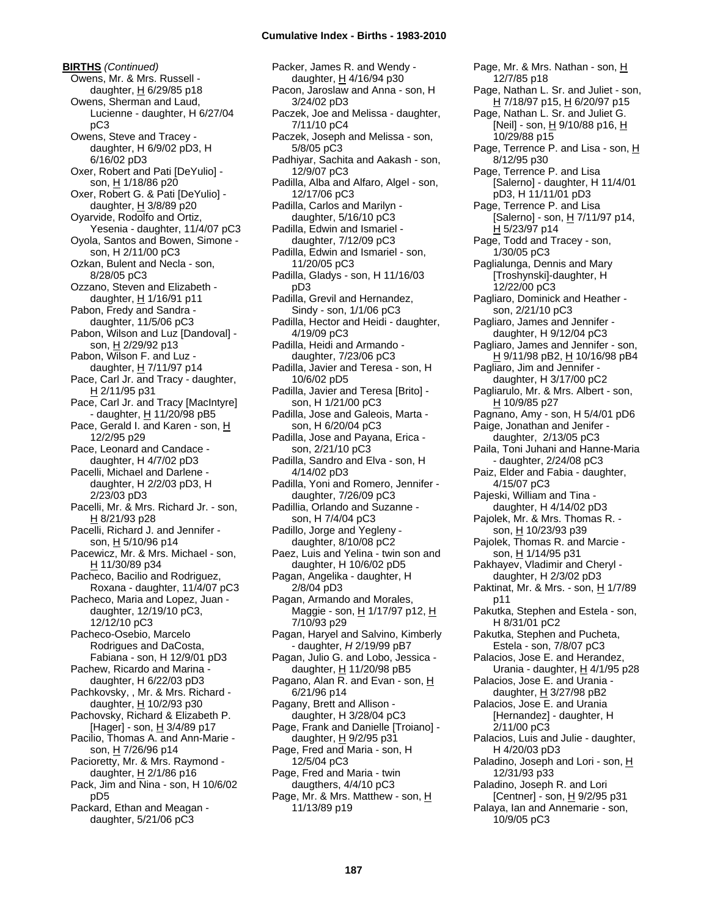**BIRTHS** *(Continued)* Owens, Mr. & Mrs. Russell daughter,  $H$  6/29/85 p18 Owens, Sherman and Laud, Lucienne - daughter, H 6/27/04 pC3 Owens, Steve and Tracey daughter, H 6/9/02 pD3, H 6/16/02 pD3 Oxer, Robert and Pati [DeYulio] son, H 1/18/86 p20 Oxer, Robert G. & Pati [DeYulio] daughter,  $H$  3/8/89 p20 Oyarvide, Rodolfo and Ortiz, Yesenia - daughter, 11/4/07 pC3 Oyola, Santos and Bowen, Simone son, H 2/11/00 pC3 Ozkan, Bulent and Necla - son, 8/28/05 pC3 Ozzano, Steven and Elizabeth daughter, H 1/16/91 p11 Pabon, Fredy and Sandra daughter, 11/5/06 pC3 Pabon, Wilson and Luz [Dandoval] son, H 2/29/92 p13 Pabon, Wilson F. and Luz daughter,  $H$  7/11/97 p14 Pace, Carl Jr. and Tracy - daughter, H 2/11/95 p31 Pace, Carl Jr. and Tracy [MacIntyre] - daughter, H 11/20/98 pB5 Pace, Gerald I. and Karen - son, H 12/2/95 p29 Pace, Leonard and Candace daughter, H 4/7/02 pD3 Pacelli, Michael and Darlene daughter, H 2/2/03 pD3, H 2/23/03 pD3 Pacelli, Mr. & Mrs. Richard Jr. - son,  $H$  8/21/93 p28 Pacelli, Richard J. and Jennifer son, H 5/10/96 p14 Pacewicz, Mr. & Mrs. Michael - son, H 11/30/89 p34 Pacheco, Bacilio and Rodriguez, Roxana - daughter, 11/4/07 pC3 Pacheco, Maria and Lopez, Juan daughter, 12/19/10 pC3, 12/12/10 pC3 Pacheco-Osebio, Marcelo Rodrigues and DaCosta, Fabiana - son, H 12/9/01 pD3 Pachew, Ricardo and Marina daughter, H 6/22/03 pD3 Pachkovsky, , Mr. & Mrs. Richard daughter, H 10/2/93 p30 Pachovsky, Richard & Elizabeth P. [Hager] - son, H 3/4/89 p17 Pacilio, Thomas A. and Ann-Marie son, H 7/26/96 p14 Pacioretty, Mr. & Mrs. Raymond daughter, H 2/1/86 p16 Pack, Jim and Nina - son, H 10/6/02 pD5 Packard, Ethan and Meagan daughter, 5/21/06 pC3

Packer, James R. and Wendy daughter, H 4/16/94 p30 Pacon, Jaroslaw and Anna - son, H 3/24/02 pD3 Paczek, Joe and Melissa - daughter, 7/11/10 pC4 Paczek, Joseph and Melissa - son, 5/8/05 pC3 Padhiyar, Sachita and Aakash - son, 12/9/07 pC3 Padilla, Alba and Alfaro, Algel - son, 12/17/06 pC3 Padilla, Carlos and Marilyn daughter, 5/16/10 pC3 Padilla, Edwin and Ismariel daughter, 7/12/09 pC3 Padilla, Edwin and Ismariel - son, 11/20/05 pC3 Padilla, Gladys - son, H 11/16/03 pD3 Padilla, Grevil and Hernandez, Sindy - son, 1/1/06 pC3 Padilla, Hector and Heidi - daughter, 4/19/09 pC3 Padilla, Heidi and Armando daughter, 7/23/06 pC3 Padilla, Javier and Teresa - son, H 10/6/02 pD5 Padilla, Javier and Teresa [Brito] son, H 1/21/00 pC3 Padilla, Jose and Galeois, Marta son, H 6/20/04 pC3 Padilla, Jose and Payana, Erica son, 2/21/10 pC3 Padilla, Sandro and Elva - son, H 4/14/02 pD3 Padilla, Yoni and Romero, Jennifer daughter, 7/26/09 pC3 Padillia, Orlando and Suzanne son, H 7/4/04 pC3 Padillo, Jorge and Yegleny daughter, 8/10/08 pC2 Paez, Luis and Yelina - twin son and daughter, H 10/6/02 pD5 Pagan, Angelika - daughter, H 2/8/04 pD3 Pagan, Armando and Morales, Maggie - son, H 1/17/97 p12, H 7/10/93 p29 Pagan, Haryel and Salvino, Kimberly - daughter, *H* 2/19/99 pB7 Pagan, Julio G. and Lobo, Jessica daughter,  $H$  11/20/98 pB5 Pagano, Alan R. and Evan - son, H 6/21/96 p14 Pagany, Brett and Allison daughter, H 3/28/04 pC3 Page, Frank and Danielle [Troiano] daughter, H 9/2/95 p31 Page, Fred and Maria - son, H 12/5/04 pC3 Page, Fred and Maria - twin daugthers, 4/4/10 pC3 Page, Mr. & Mrs. Matthew - son, H 11/13/89 p19

Page, Mr. & Mrs. Nathan - son, H 12/7/85 p18 Page, Nathan L. Sr. and Juliet - son, H 7/18/97 p15, H 6/20/97 p15 Page, Nathan L. Sr. and Juliet G. [Neil] - son, H 9/10/88 p16, H 10/29/88 p15 Page, Terrence P. and Lisa - son, H 8/12/95 p30 Page, Terrence P. and Lisa [Salerno] - daughter, H 11/4/01 pD3, H 11/11/01 pD3 Page, Terrence P. and Lisa [Salerno] - son, H 7/11/97 p14, H 5/23/97 p14 Page, Todd and Tracey - son, 1/30/05 pC3 Paglialunga, Dennis and Mary [Troshynski]-daughter, H 12/22/00 pC3 Pagliaro, Dominick and Heather son, 2/21/10 pC3 Pagliaro, James and Jennifer daughter, H 9/12/04 pC3 Pagliaro, James and Jennifer - son, <u>H</u> 9/11/98 pB2, <u>H</u> 10/16/98 pB4 Pagliaro, Jim and Jennifer daughter, H 3/17/00 pC2 Pagliarulo, Mr. & Mrs. Albert - son, H 10/9/85 p27 Pagnano, Amy - son, H 5/4/01 pD6 Paige, Jonathan and Jenifer daughter, 2/13/05 pC3 Paila, Toni Juhani and Hanne-Maria - daughter, 2/24/08 pC3 Paiz, Elder and Fabia - daughter, 4/15/07 pC3 Pajeski, William and Tina daughter, H 4/14/02 pD3 Pajolek, Mr. & Mrs. Thomas R. son, H 10/23/93 p39 Pajolek, Thomas R. and Marcie son, H 1/14/95 p31 Pakhayev, Vladimir and Cheryl daughter, H 2/3/02 pD3 Paktinat, Mr. & Mrs. - son,  $H$  1/7/89 p11 Pakutka, Stephen and Estela - son, H 8/31/01 pC2 Pakutka, Stephen and Pucheta, Estela - son, 7/8/07 pC3 Palacios, Jose E. and Herandez, Urania - daughter, H 4/1/95 p28 Palacios, Jose E. and Urania daughter,  $H$  3/27/98 pB2 Palacios, Jose E. and Urania [Hernandez] - daughter, H 2/11/00 pC3 Palacios, Luis and Julie - daughter, H 4/20/03 pD3 Paladino, Joseph and Lori - son, H 12/31/93 p33 Paladino, Joseph R. and Lori [Centner] - son, H 9/2/95 p31 Palaya, Ian and Annemarie - son, 10/9/05 pC3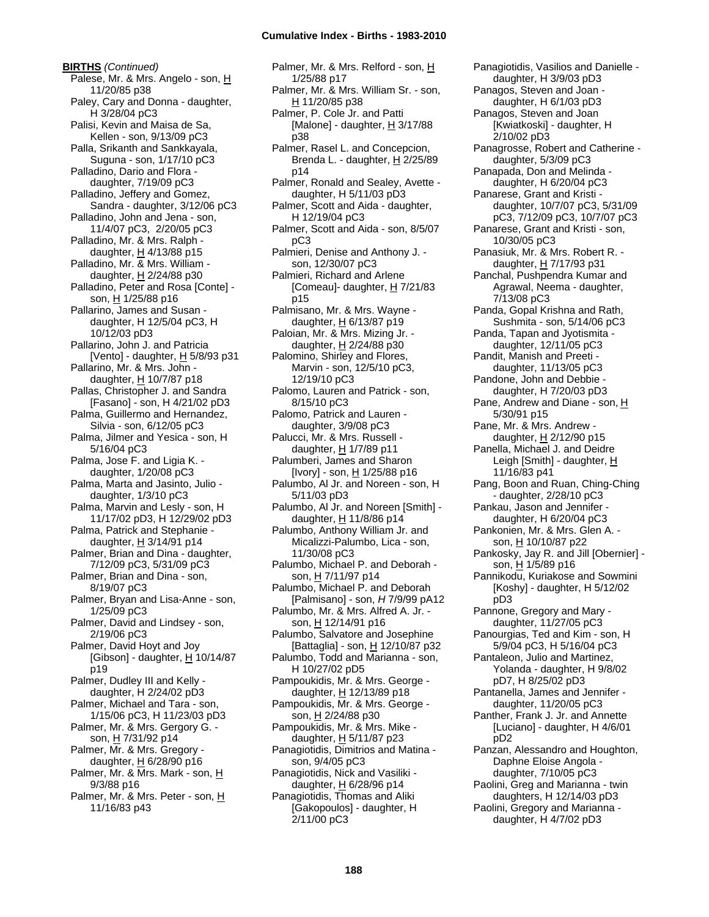**BIRTHS** *(Continued)* Palese, Mr. & Mrs. Angelo - son, H 11/20/85 p38 Paley, Cary and Donna - daughter, H 3/28/04 pC3 Palisi, Kevin and Maisa de Sa, Kellen - son, 9/13/09 pC3 Palla, Srikanth and Sankkayala, Suguna - son, 1/17/10 pC3 Palladino, Dario and Flora daughter, 7/19/09 pC3 Palladino, Jeffery and Gomez, Sandra - daughter, 3/12/06 pC3 Palladino, John and Jena - son, 11/4/07 pC3, 2/20/05 pC3 Palladino, Mr. & Mrs. Ralph daughter,  $H$  4/13/88 p15 Palladino, Mr. & Mrs. William daughter, H 2/24/88 p30 Palladino, Peter and Rosa [Conte] son, H 1/25/88 p16 Pallarino, James and Susan daughter, H 12/5/04 pC3, H 10/12/03 pD3 Pallarino, John J. and Patricia [Vento] - daughter,  $H$  5/8/93 p31 Pallarino, Mr. & Mrs. John daughter,  $H$  10/7/87 p18 Pallas, Christopher J. and Sandra [Fasano] - son, H 4/21/02 pD3 Palma, Guillermo and Hernandez, Silvia - son, 6/12/05 pC3 Palma, Jilmer and Yesica - son, H 5/16/04 pC3 Palma, Jose F. and Ligia K. daughter, 1/20/08 pC3 Palma, Marta and Jasinto, Julio daughter, 1/3/10 pC3 Palma, Marvin and Lesly - son, H 11/17/02 pD3, H 12/29/02 pD3 Palma, Patrick and Stephanie daughter,  $H$  3/14/91 p14 Palmer, Brian and Dina - daughter, 7/12/09 pC3, 5/31/09 pC3 Palmer, Brian and Dina - son, 8/19/07 pC3 Palmer, Bryan and Lisa-Anne - son, 1/25/09 pC3 Palmer, David and Lindsey - son, 2/19/06 pC3 Palmer, David Hoyt and Joy [Gibson] - daughter, H 10/14/87 p19 Palmer, Dudley III and Kelly daughter, H 2/24/02 pD3 Palmer, Michael and Tara - son, 1/15/06 pC3, H 11/23/03 pD3 Palmer, Mr. & Mrs. Gergory G. son, H 7/31/92 p14 Palmer, Mr. & Mrs. Gregory daughter,  $H$  6/28/90 p16 Palmer, Mr. & Mrs. Mark - son, H 9/3/88 p16 Palmer, Mr. & Mrs. Peter - son, H 11/16/83 p43

Palmer, Mr. & Mrs. Relford - son, H 1/25/88 p17 Palmer, Mr. & Mrs. William Sr. - son, H 11/20/85 p38 Palmer, P. Cole Jr. and Patti [Malone] - daughter, H 3/17/88 p38 Palmer, Rasel L. and Concepcion, Brenda L. - daughter, H 2/25/89 p14 Palmer, Ronald and Sealey, Avette daughter, H 5/11/03 pD3 Palmer, Scott and Aida - daughter, H 12/19/04 pC3 Palmer, Scott and Aida - son, 8/5/07 pC3 Palmieri, Denise and Anthony J. son, 12/30/07 pC3 Palmieri, Richard and Arlene [Comeau]- daughter,  $H$  7/21/83 p15 Palmisano, Mr. & Mrs. Wayne daughter, H 6/13/87 p19 Paloian, Mr. & Mrs. Mizing Jr. daughter,  $H$  2/24/88 p30 Palomino, Shirley and Flores, Marvin - son, 12/5/10 pC3, 12/19/10 pC3 Palomo, Lauren and Patrick - son, 8/15/10 pC3 Palomo, Patrick and Lauren daughter, 3/9/08 pC3 Palucci, Mr. & Mrs. Russell daughter, H 1/7/89 p11 Palumberi, James and Sharon [Ivory] - son, <u>H</u> 1/25/88 p16 Palumbo, Al Jr. and Noreen - son, H 5/11/03 pD3 Palumbo, Al Jr. and Noreen [Smith] daughter,  $H$  11/8/86 p14 Palumbo, Anthony William Jr. and Micalizzi-Palumbo, Lica - son, 11/30/08 pC3 Palumbo, Michael P. and Deborah son, <u>H</u> 7/11/97 p14 Palumbo, Michael P. and Deborah [Palmisano] - son, *H* 7/9/99 pA12 Palumbo, Mr. & Mrs. Alfred A. Jr. son, H 12/14/91 p16 Palumbo, Salvatore and Josephine [Battaglia] - son,  $\underline{H}$  12/10/87 p32 Palumbo, Todd and Marianna - son, H 10/27/02 pD5 Pampoukidis, Mr. & Mrs. George daughter, H 12/13/89 p18 Pampoukidis, Mr. & Mrs. George son, H 2/24/88 p30 Pampoukidis, Mr. & Mrs. Mike daughter, H 5/11/87 p23 Panagiotidis, Dimitrios and Matina son, 9/4/05 pC3 Panagiotidis, Nick and Vasiliki daughter, H 6/28/96 p14 Panagiotidis, Thomas and Aliki [Gakopoulos] - daughter, H 2/11/00 pC3

Panagiotidis, Vasilios and Danielle daughter, H 3/9/03 pD3 Panagos, Steven and Joan daughter, H 6/1/03 pD3 Panagos, Steven and Joan [Kwiatkoski] - daughter, H 2/10/02 pD3 Panagrosse, Robert and Catherine daughter, 5/3/09 pC3 Panapada, Don and Melinda daughter, H 6/20/04 pC3 Panarese, Grant and Kristi daughter, 10/7/07 pC3, 5/31/09 pC3, 7/12/09 pC3, 10/7/07 pC3 Panarese, Grant and Kristi - son, 10/30/05 pC3 Panasiuk, Mr. & Mrs. Robert R. daughter, H 7/17/93 p31 Panchal, Pushpendra Kumar and Agrawal, Neema - daughter, 7/13/08 pC3 Panda, Gopal Krishna and Rath, Sushmita - son, 5/14/06 pC3 Panda, Tapan and Jyotismita daughter, 12/11/05 pC3 Pandit, Manish and Preeti daughter, 11/13/05 pC3 Pandone, John and Debbie daughter, H 7/20/03 pD3 Pane, Andrew and Diane - son, H 5/30/91 p15 Pane, Mr. & Mrs. Andrew daughter, H 2/12/90 p15 Panella, Michael J. and Deidre Leigh [Smith] - daughter, H 11/16/83 p41 Pang, Boon and Ruan, Ching-Ching - daughter, 2/28/10 pC3 Pankau, Jason and Jennifer daughter, H 6/20/04 pC3 Pankonien, Mr. & Mrs. Glen A. son, H 10/10/87 p22 Pankosky, Jay R. and Jill [Obernier] son, H 1/5/89 p16 Pannikodu, Kuriakose and Sowmini [Koshy] - daughter, H 5/12/02 pD3 Pannone, Gregory and Mary daughter, 11/27/05 pC3 Panourgias, Ted and Kim - son, H 5/9/04 pC3, H 5/16/04 pC3 Pantaleon, Julio and Martinez, Yolanda - daughter, H 9/8/02 pD7, H 8/25/02 pD3 Pantanella, James and Jennifer daughter, 11/20/05 pC3 Panther, Frank J. Jr. and Annette [Luciano] - daughter, H 4/6/01 pD2 Panzan, Alessandro and Houghton, Daphne Eloise Angola daughter, 7/10/05 pC3 Paolini, Greg and Marianna - twin daughters, H 12/14/03 pD3 Paolini, Gregory and Marianna daughter, H 4/7/02 pD3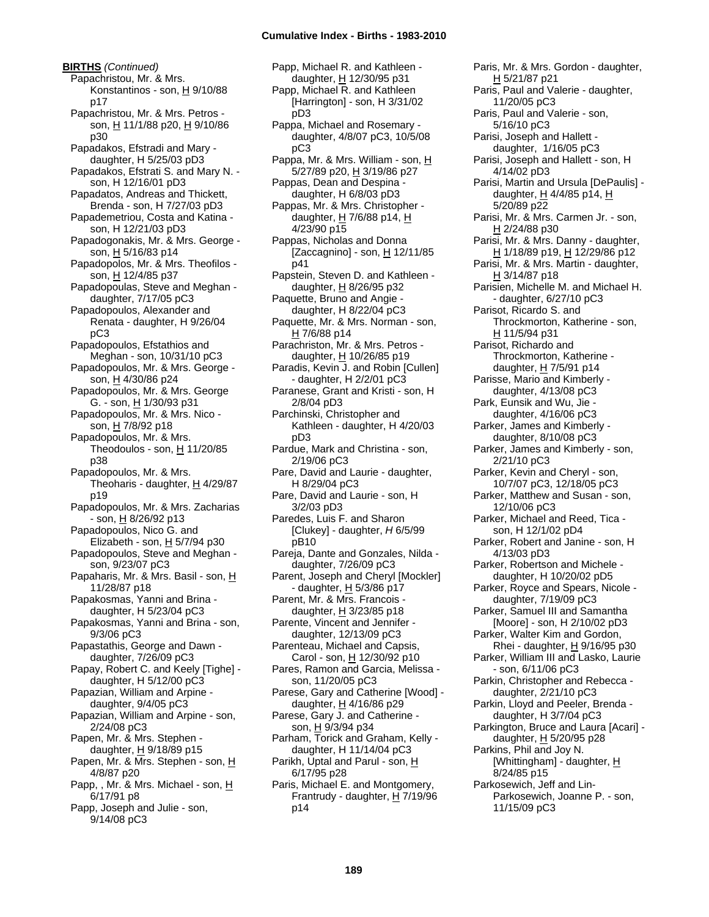**BIRTHS** *(Continued)* Papachristou, Mr. & Mrs. Konstantinos - son,  $H$  9/10/88 p17 Papachristou, Mr. & Mrs. Petros son, H 11/1/88 p20, H 9/10/86 p30 Papadakos, Efstradi and Mary daughter, H 5/25/03 pD3 Papadakos, Efstrati S. and Mary N. son, H 12/16/01 pD3 Papadatos, Andreas and Thickett, Brenda - son, H 7/27/03 pD3 Papademetriou, Costa and Katina son, H 12/21/03 pD3 Papadogonakis, Mr. & Mrs. George son, H 5/16/83 p14 Papadopolos, Mr. & Mrs. Theofilos son, H 12/4/85 p37 Papadopoulas, Steve and Meghan daughter, 7/17/05 pC3 Papadopoulos, Alexander and Renata - daughter, H 9/26/04 pC3 Papadopoulos, Efstathios and Meghan - son, 10/31/10 pC3 Papadopoulos, Mr. & Mrs. George son, H 4/30/86 p24 Papadopoulos, Mr. & Mrs. George G. - son, H 1/30/93 p31 Papadopoulos, Mr. & Mrs. Nico son, H 7/8/92 p18 Papadopoulos, Mr. & Mrs. Theodoulos - son,  $H$  11/20/85 p38 Papadopoulos, Mr. & Mrs. Theoharis - daughter,  $H$  4/29/87 p19 Papadopoulos, Mr. & Mrs. Zacharias - son, <u>H</u> 8/26/92 p13 Papadopoulos, Nico G. and Elizabeth - son,  $H$  5/7/94 p30 Papadopoulos, Steve and Meghan son, 9/23/07 pC3 Papaharis, Mr. & Mrs. Basil - son, H 11/28/87 p18 Papakosmas, Yanni and Brina daughter, H 5/23/04 pC3 Papakosmas, Yanni and Brina - son, 9/3/06 pC3 Papastathis, George and Dawn daughter, 7/26/09 pC3 Papay, Robert C. and Keely [Tighe] daughter, H 5/12/00 pC3 Papazian, William and Arpine daughter, 9/4/05 pC3 Papazian, William and Arpine - son, 2/24/08 pC3 Papen, Mr. & Mrs. Stephen daughter,  $H$  9/18/89 p15 Papen, Mr. & Mrs. Stephen - son, H 4/8/87 p20 Papp, , Mr. & Mrs. Michael - son, H 6/17/91 p8 Papp, Joseph and Julie - son, 9/14/08 pC3

Papp, Michael R. and Kathleen daughter, H 12/30/95 p31 Papp, Michael R. and Kathleen [Harrington] - son, H 3/31/02 pD3 Pappa, Michael and Rosemary daughter, 4/8/07 pC3, 10/5/08 pC3 Pappa, Mr. & Mrs. William - son, H 5/27/89 p20, H 3/19/86 p27 Pappas, Dean and Despina daughter, H 6/8/03 pD3 Pappas, Mr. & Mrs. Christopher daughter, H 7/6/88 p14, H 4/23/90 p15 Pappas, Nicholas and Donna [Zaccagnino] - son,  $\underline{H}$  12/11/85 p41 Papstein, Steven D. and Kathleen daughter, H 8/26/95 p32 Paquette, Bruno and Angie daughter, H 8/22/04 pC3 Paquette, Mr. & Mrs. Norman - son, H 7/6/88 p14 Parachriston, Mr. & Mrs. Petros daughter, H 10/26/85 p19 Paradis, Kevin J. and Robin [Cullen] - daughter, H 2/2/01 pC3 Paranese, Grant and Kristi - son, H 2/8/04 pD3 Parchinski, Christopher and Kathleen - daughter, H 4/20/03 pD3 Pardue, Mark and Christina - son, 2/19/06 pC3 Pare, David and Laurie - daughter, H 8/29/04 pC3 Pare, David and Laurie - son, H 3/2/03 pD3 Paredes, Luis F. and Sharon [Clukey] - daughter, *H* 6/5/99 pB10 Pareja, Dante and Gonzales, Nilda daughter, 7/26/09 pC3 Parent, Joseph and Cheryl [Mockler] - daughter,  $H$  5/3/86 p17 Parent, Mr. & Mrs. Francois daughter,  $H$  3/23/85 p18 Parente, Vincent and Jennifer daughter, 12/13/09 pC3 Parenteau, Michael and Capsis, Carol - son, H 12/30/92 p10 Pares, Ramon and Garcia, Melissa son, 11/20/05 pC3 Parese, Gary and Catherine [Wood] daughter, H 4/16/86 p29 Parese, Gary J. and Catherine son, H 9/3/94 p34 Parham, Torick and Graham, Kelly daughter, H 11/14/04 pC3 Parikh, Uptal and Parul - son, H 6/17/95 p28 Paris, Michael E. and Montgomery, Frantrudy - daughter,  $H$  7/19/96 p14

Paris, Mr. & Mrs. Gordon - daughter, H 5/21/87 p21 Paris, Paul and Valerie - daughter, 11/20/05 pC3 Paris, Paul and Valerie - son, 5/16/10 pC3 Parisi, Joseph and Hallett daughter, 1/16/05 pC3 Parisi, Joseph and Hallett - son, H 4/14/02 pD3 Parisi, Martin and Ursula [DePaulis] daughter,  $\underline{H}$  4/4/85 p14,  $\underline{H}$ 5/20/89 p22 Parisi, Mr. & Mrs. Carmen Jr. - son, H 2/24/88 p30 Parisi, Mr. & Mrs. Danny - daughter, H 1/18/89 p19, H 12/29/86 p12 Parisi, Mr. & Mrs. Martin - daughter, H 3/14/87 p18 Parisien, Michelle M. and Michael H. - daughter, 6/27/10 pC3 Parisot, Ricardo S. and Throckmorton, Katherine - son, H 11/5/94 p31 Parisot, Richardo and Throckmorton, Katherine daughter,  $H$  7/5/91 p14 Parisse, Mario and Kimberly daughter, 4/13/08 pC3 Park, Eunsik and Wu, Jie daughter, 4/16/06 pC3 Parker, James and Kimberly daughter, 8/10/08 pC3 Parker, James and Kimberly - son, 2/21/10 pC3 Parker, Kevin and Cheryl - son, 10/7/07 pC3, 12/18/05 pC3 Parker, Matthew and Susan - son, 12/10/06 pC3 Parker, Michael and Reed, Tica son, H 12/1/02 pD4 Parker, Robert and Janine - son, H 4/13/03 pD3 Parker, Robertson and Michele daughter, H 10/20/02 pD5 Parker, Royce and Spears, Nicole daughter, 7/19/09 pC3 Parker, Samuel III and Samantha [Moore] - son, H 2/10/02 pD3 Parker, Walter Kim and Gordon, Rhei - daughter,  $H$  9/16/95 p30 Parker, William III and Lasko, Laurie - son, 6/11/06 pC3 Parkin, Christopher and Rebecca daughter, 2/21/10 pC3 Parkin, Lloyd and Peeler, Brenda daughter, H 3/7/04 pC3 Parkington, Bruce and Laura [Acari] daughter, H 5/20/95 p28 Parkins, Phil and Joy N. [Whittingham] - daughter, H 8/24/85 p15 Parkosewich, Jeff and Lin-Parkosewich, Joanne P. - son, 11/15/09 pC3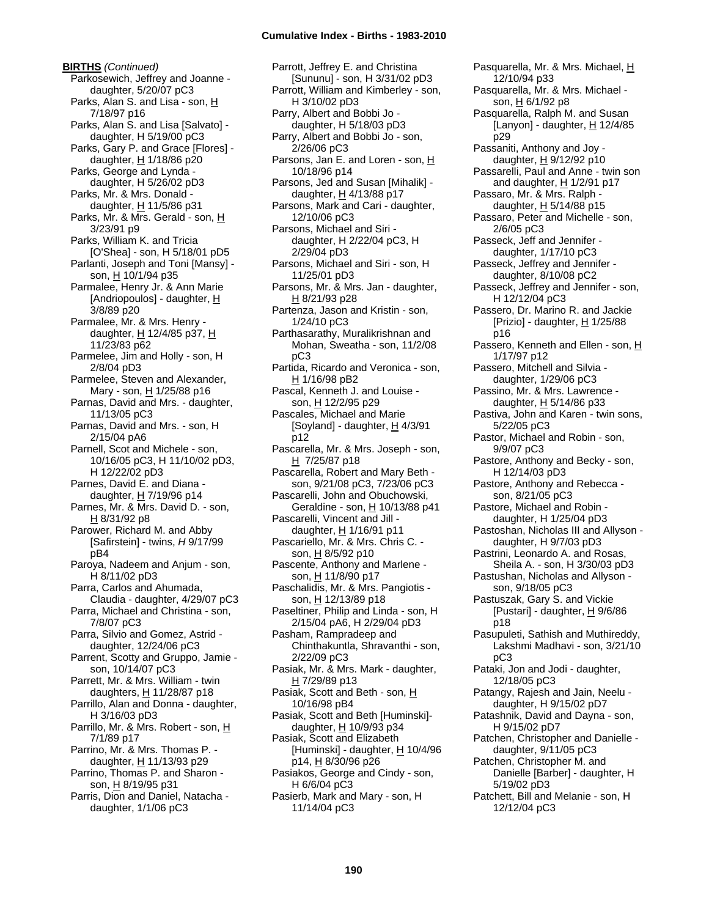**BIRTHS** *(Continued)* Parkosewich, Jeffrey and Joanne daughter, 5/20/07 pC3 Parks, Alan S. and Lisa - son, H 7/18/97 p16 Parks, Alan S. and Lisa [Salvato] daughter, H 5/19/00 pC3 Parks, Gary P. and Grace [Flores] daughter,  $H$  1/18/86 p20 Parks, George and Lynda daughter, H 5/26/02 pD3 Parks, Mr. & Mrs. Donald daughter,  $H$  11/5/86 p31 Parks, Mr. & Mrs. Gerald - son, H 3/23/91 p9 Parks, William K. and Tricia [O'Shea] - son, H 5/18/01 pD5 Parlanti, Joseph and Toni [Mansy] son, H 10/1/94 p35 Parmalee, Henry Jr. & Ann Marie [Andriopoulos] - daughter, H 3/8/89 p20 Parmalee, Mr. & Mrs. Henry daughter,  $\underline{H}$  12/4/85 p37,  $\underline{H}$ 11/23/83 p62 Parmelee, Jim and Holly - son, H 2/8/04 pD3 Parmelee, Steven and Alexander, Mary - son, H 1/25/88 p16 Parnas, David and Mrs. - daughter, 11/13/05 pC3 Parnas, David and Mrs. - son, H 2/15/04 pA6 Parnell, Scot and Michele - son, 10/16/05 pC3, H 11/10/02 pD3, H 12/22/02 pD3 Parnes, David E. and Diana daughter,  $H$  7/19/96 p14 Parnes, Mr. & Mrs. David D. - son, H 8/31/92 p8 Parower, Richard M. and Abby [Safirstein] - twins, *H* 9/17/99 pB4 Paroya, Nadeem and Anjum - son, H 8/11/02 pD3 Parra, Carlos and Ahumada, Claudia - daughter, 4/29/07 pC3 Parra, Michael and Christina - son, 7/8/07 pC3 Parra, Silvio and Gomez, Astrid daughter, 12/24/06 pC3 Parrent, Scotty and Gruppo, Jamie son, 10/14/07 pC3 Parrett, Mr. & Mrs. William - twin daughters,  $H$  11/28/87 p18 Parrillo, Alan and Donna - daughter, H 3/16/03 pD3 Parrillo, Mr. & Mrs. Robert - son, H 7/1/89 p17 Parrino, Mr. & Mrs. Thomas P. daughter,  $H$  11/13/93 p29 Parrino, Thomas P. and Sharon son, H 8/19/95 p31 Parris, Dion and Daniel, Natacha daughter, 1/1/06 pC3

Parrott, Jeffrey E. and Christina [Sununu] - son, H 3/31/02 pD3 Parrott, William and Kimberley - son, H 3/10/02 pD3 Parry, Albert and Bobbi Jo daughter, H 5/18/03 pD3 Parry, Albert and Bobbi Jo - son, 2/26/06 pC3 Parsons, Jan E. and Loren - son, H 10/18/96 p14 Parsons, Jed and Susan [Mihalik] daughter, H 4/13/88 p17 Parsons, Mark and Cari - daughter, 12/10/06 pC3 Parsons, Michael and Siri daughter, H 2/22/04 pC3, H 2/29/04 pD3 Parsons, Michael and Siri - son, H 11/25/01 pD3 Parsons, Mr. & Mrs. Jan - daughter, H 8/21/93 p28 Partenza, Jason and Kristin - son, 1/24/10 pC3 Parthasarathy, Muralikrishnan and Mohan, Sweatha - son, 11/2/08 pC3 Partida, Ricardo and Veronica - son, H 1/16/98 pB2 Pascal, Kenneth J. and Louise son, H 12/2/95 p29 Pascales, Michael and Marie [Soyland] - daughter,  $\underline{H}$  4/3/91 p12 Pascarella, Mr. & Mrs. Joseph - son, H 7/25/87 p18 Pascarella, Robert and Mary Beth son, 9/21/08 pC3, 7/23/06 pC3 Pascarelli, John and Obuchowski, Geraldine - son, H 10/13/88 p41 Pascarelli, Vincent and Jill daughter, H 1/16/91 p11 Pascariello, Mr. & Mrs. Chris C. son, H 8/5/92 p10 Pascente, Anthony and Marlene son, <u>H</u> 11/8/90 p17 Paschalidis, Mr. & Mrs. Pangiotis son, H 12/13/89 p18 Paseltiner, Philip and Linda - son, H 2/15/04 pA6, H 2/29/04 pD3 Pasham, Rampradeep and Chinthakuntla, Shravanthi - son, 2/22/09 pC3 Pasiak, Mr. & Mrs. Mark - daughter, H 7/29/89 p13 Pasiak, Scott and Beth - son, H 10/16/98 pB4 Pasiak, Scott and Beth [Huminski] daughter, H 10/9/93 p34 Pasiak, Scott and Elizabeth [Huminski] - daughter,  $H$  10/4/96 p14, H 8/30/96 p26 Pasiakos, George and Cindy - son, H 6/6/04 pC3 Pasierb, Mark and Mary - son, H 11/14/04 pC3

Pasquarella, Mr. & Mrs. Michael, H 12/10/94 p33 Pasquarella, Mr. & Mrs. Michael son, H 6/1/92 p8 Pasquarella, Ralph M. and Susan [Lanyon] - daughter, H 12/4/85 p29 Passaniti, Anthony and Joy daughter, H 9/12/92 p10 Passarelli, Paul and Anne - twin son and daughter, H 1/2/91 p17 Passaro, Mr. & Mrs. Ralph daughter,  $H$  5/14/88 p15 Passaro, Peter and Michelle - son, 2/6/05 pC3 Passeck, Jeff and Jennifer daughter, 1/17/10 pC3 Passeck, Jeffrey and Jennifer daughter, 8/10/08 pC2 Passeck, Jeffrey and Jennifer - son, H 12/12/04 pC3 Passero, Dr. Marino R. and Jackie [Prizio] - daughter, H 1/25/88 p16 Passero, Kenneth and Ellen - son, H 1/17/97 p12 Passero, Mitchell and Silvia daughter, 1/29/06 pC3 Passino, Mr. & Mrs. Lawrence daughter, H 5/14/86 p33 Pastiva, John and Karen - twin sons, 5/22/05 pC3 Pastor, Michael and Robin - son, 9/9/07 pC3 Pastore, Anthony and Becky - son, H 12/14/03 pD3 Pastore, Anthony and Rebecca son, 8/21/05 pC3 Pastore, Michael and Robin daughter, H 1/25/04 pD3 Pastoshan, Nicholas III and Allyson daughter, H 9/7/03 pD3 Pastrini, Leonardo A. and Rosas, Sheila A. - son, H 3/30/03 pD3 Pastushan, Nicholas and Allyson son, 9/18/05 pC3 Pastuszak, Gary S. and Vickie [Pustari] - daughter,  $\underline{H}$  9/6/86 p18 Pasupuleti, Sathish and Muthireddy, Lakshmi Madhavi - son, 3/21/10 pC3 Pataki, Jon and Jodi - daughter, 12/18/05 pC3 Patangy, Rajesh and Jain, Neelu daughter, H 9/15/02 pD7 Patashnik, David and Dayna - son, H 9/15/02 pD7 Patchen, Christopher and Danielle daughter, 9/11/05 pC3 Patchen, Christopher M. and Danielle [Barber] - daughter, H 5/19/02 pD3 Patchett, Bill and Melanie - son, H 12/12/04 pC3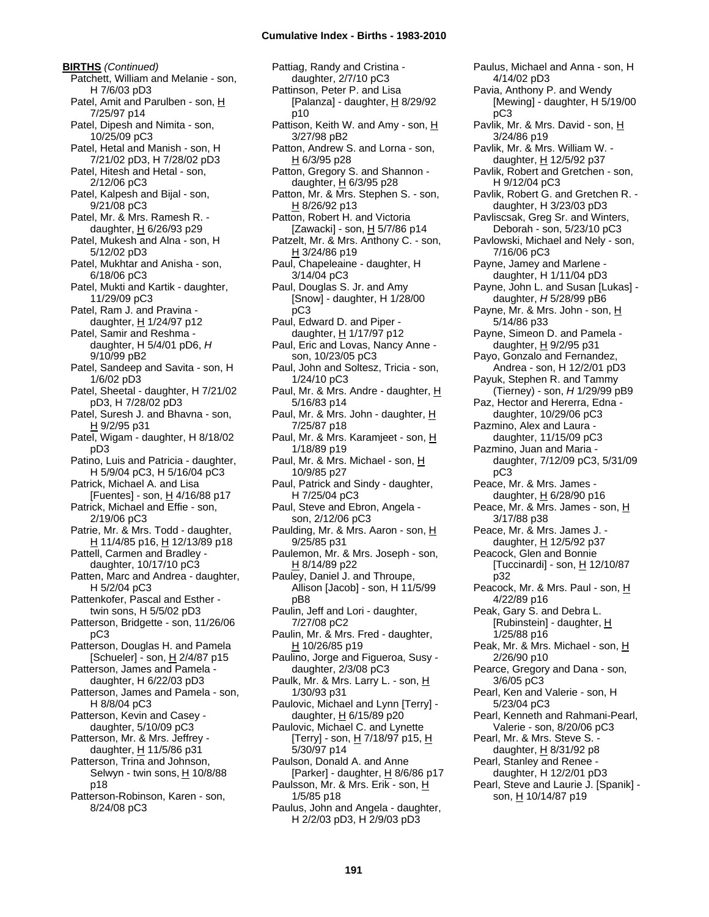**BIRTHS** *(Continued)* Patchett, William and Melanie - son, H 7/6/03 pD3 Patel, Amit and Parulben - son, H 7/25/97 p14 Patel, Dipesh and Nimita - son, 10/25/09 pC3 Patel, Hetal and Manish - son, H 7/21/02 pD3, H 7/28/02 pD3 Patel, Hitesh and Hetal - son, 2/12/06 pC3 Patel, Kalpesh and Bijal - son, 9/21/08 pC3 Patel, Mr. & Mrs. Ramesh R. daughter,  $H$  6/26/93 p29 Patel, Mukesh and Alna - son, H 5/12/02 pD3 Patel, Mukhtar and Anisha - son, 6/18/06 pC3 Patel, Mukti and Kartik - daughter, 11/29/09 pC3 Patel, Ram J. and Pravina daughter, H 1/24/97 p12 Patel, Samir and Reshma daughter, H 5/4/01 pD6, *H* 9/10/99 pB2 Patel, Sandeep and Savita - son, H 1/6/02 pD3 Patel, Sheetal - daughter, H 7/21/02 pD3, H 7/28/02 pD3 Patel, Suresh J. and Bhavna - son, H 9/2/95 p31 Patel, Wigam - daughter, H 8/18/02 pD3 Patino, Luis and Patricia - daughter, H 5/9/04 pC3, H 5/16/04 pC3 Patrick, Michael A. and Lisa [Fuentes] - son, H 4/16/88 p17 Patrick, Michael and Effie - son, 2/19/06 pC3 Patrie, Mr. & Mrs. Todd - daughter, H 11/4/85 p16, H 12/13/89 p18 Pattell, Carmen and Bradley daughter, 10/17/10 pC3 Patten, Marc and Andrea - daughter, H 5/2/04 pC3 Pattenkofer, Pascal and Esther twin sons, H 5/5/02 pD3 Patterson, Bridgette - son, 11/26/06 pC3 Patterson, Douglas H. and Pamela [Schueler] - son, H 2/4/87 p15 Patterson, James and Pamela daughter, H 6/22/03 pD3 Patterson, James and Pamela - son, H 8/8/04 pC3 Patterson, Kevin and Casey daughter, 5/10/09 pC3 Patterson, Mr. & Mrs. Jeffrey daughter,  $H$  11/5/86 p31 Patterson, Trina and Johnson, Selwyn - twin sons, H 10/8/88 p18 Patterson-Robinson, Karen - son, 8/24/08 pC3

Pattiag, Randy and Cristina daughter, 2/7/10 pC3 Pattinson, Peter P. and Lisa [Palanza] - daughter,  $H$  8/29/92 p10 Pattison, Keith W. and Amy - son, H 3/27/98 pB2 Patton, Andrew S. and Lorna - son,  $H$  6/3/95 p28 Patton, Gregory S. and Shannon daughter, H 6/3/95 p28 Patton, Mr. & Mrs. Stephen S. - son,  $H$  8/26/92 p13 Patton, Robert H. and Victoria [Zawacki] - son,  $H$  5/7/86 p14 Patzelt, Mr. & Mrs. Anthony C. - son, H 3/24/86 p19 Paul, Chapeleaine - daughter, H 3/14/04 pC3 Paul, Douglas S. Jr. and Amy [Snow] - daughter, H 1/28/00 pC3 Paul, Edward D. and Piper daughter, H 1/17/97 p12 Paul, Eric and Lovas, Nancy Anne son, 10/23/05 pC3 Paul, John and Soltesz, Tricia - son, 1/24/10 pC3 Paul, Mr. & Mrs. Andre - daughter, H 5/16/83 p14 Paul, Mr. & Mrs. John - daughter, H 7/25/87 p18 Paul, Mr. & Mrs. Karamjeet - son, H 1/18/89 p19 Paul, Mr. & Mrs. Michael - son, H 10/9/85 p27 Paul, Patrick and Sindy - daughter, H 7/25/04 pC3 Paul, Steve and Ebron, Angela son, 2/12/06 pC3 Paulding, Mr. & Mrs. Aaron - son, H 9/25/85 p31 Paulemon, Mr. & Mrs. Joseph - son, H 8/14/89 p22 Pauley, Daniel J. and Throupe, Allison [Jacob] - son, H 11/5/99 pB8 Paulin, Jeff and Lori - daughter, 7/27/08 pC2 Paulin, Mr. & Mrs. Fred - daughter, H 10/26/85 p19 Paulino, Jorge and Figueroa, Susy daughter, 2/3/08 pC3 Paulk, Mr. & Mrs. Larry L. - son, H 1/30/93 p31 Paulovic, Michael and Lynn [Terry] daughter, H 6/15/89 p20 Paulovic, Michael C. and Lynette [Terry] - son, <u>H</u> 7/18/97 p15, <u>H</u> 5/30/97 p14 Paulson, Donald A. and Anne [Parker] - daughter, H 8/6/86 p17 Paulsson, Mr. & Mrs. Erik - son, H 1/5/85 p18 Paulus, John and Angela - daughter, H 2/2/03 pD3, H 2/9/03 pD3

Paulus, Michael and Anna - son, H 4/14/02 pD3 Pavia, Anthony P. and Wendy [Mewing] - daughter, H 5/19/00 pC3 Pavlik, Mr. & Mrs. David - son, H 3/24/86 p19 Pavlik, Mr. & Mrs. William W. daughter, H 12/5/92 p37 Pavlik, Robert and Gretchen - son, H 9/12/04 pC3 Pavlik, Robert G. and Gretchen R. daughter, H 3/23/03 pD3 Pavliscsak, Greg Sr. and Winters, Deborah - son, 5/23/10 pC3 Pavlowski, Michael and Nely - son, 7/16/06 pC3 Payne, Jamey and Marlene daughter, H 1/11/04 pD3 Payne, John L. and Susan [Lukas] daughter, *H* 5/28/99 pB6 Payne, Mr. & Mrs. John - son, H 5/14/86 p33 Payne, Simeon D. and Pamela daughter,  $H$  9/2/95 p31 Payo, Gonzalo and Fernandez, Andrea - son, H 12/2/01 pD3 Payuk, Stephen R. and Tammy (Tierney) - son, *H* 1/29/99 pB9 Paz, Hector and Hererra, Edna daughter, 10/29/06 pC3 Pazmino, Alex and Laura daughter, 11/15/09 pC3 Pazmino, Juan and Maria daughter, 7/12/09 pC3, 5/31/09 pC3 Peace, Mr. & Mrs. James daughter, H 6/28/90 p16 Peace, Mr. & Mrs. James - son, H 3/17/88 p38 Peace, Mr. & Mrs. James J. daughter, H 12/5/92 p37 Peacock, Glen and Bonnie [Tuccinardi] - son, H 12/10/87 p32 Peacock, Mr. & Mrs. Paul - son, H 4/22/89 p16 Peak, Gary S. and Debra L. [Rubinstein] - daughter,  $H$ 1/25/88 p16 Peak, Mr. & Mrs. Michael - son, H 2/26/90 p10 Pearce, Gregory and Dana - son, 3/6/05 pC3 Pearl, Ken and Valerie - son, H 5/23/04 pC3 Pearl, Kenneth and Rahmani-Pearl, Valerie - son, 8/20/06 pC3 Pearl, Mr. & Mrs. Steve S. daughter, H 8/31/92 p8 Pearl, Stanley and Renee daughter, H 12/2/01 pD3 Pearl, Steve and Laurie J. [Spanik] son, H 10/14/87 p19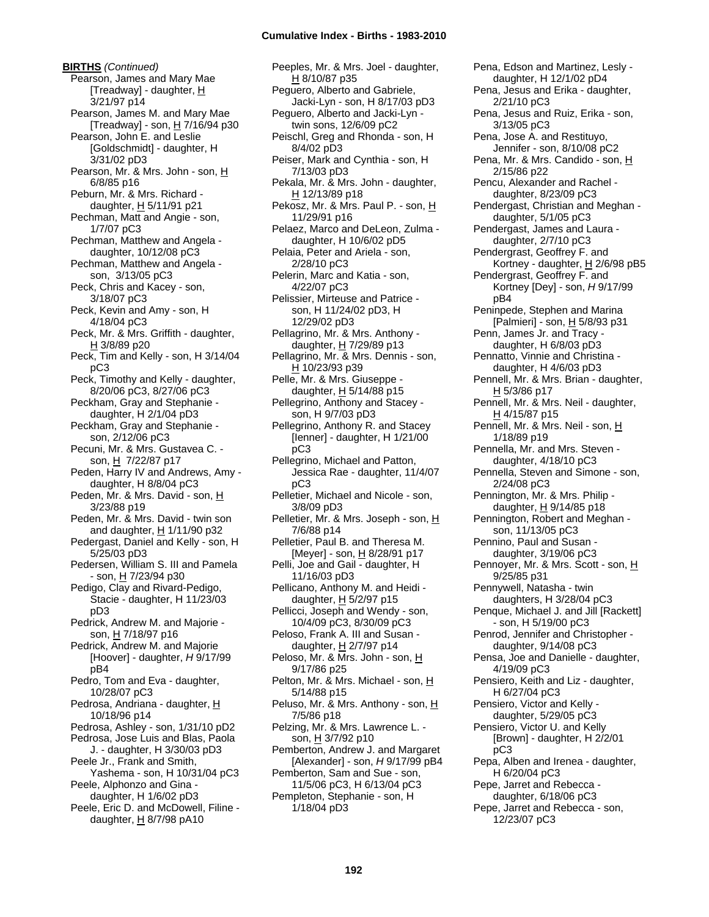**BIRTHS** *(Continued)* Pearson, James and Mary Mae [Treadway] - daughter,  $H$ 3/21/97 p14 Pearson, James M. and Mary Mae [Treadway] - son, H 7/16/94 p30 Pearson, John E. and Leslie [Goldschmidt] - daughter, H 3/31/02 pD3 Pearson, Mr. & Mrs. John - son, H 6/8/85 p16 Peburn, Mr. & Mrs. Richard daughter,  $H$  5/11/91 p21 Pechman, Matt and Angie - son, 1/7/07 pC3 Pechman, Matthew and Angela daughter, 10/12/08 pC3 Pechman, Matthew and Angela son, 3/13/05 pC3 Peck, Chris and Kacey - son, 3/18/07 pC3 Peck, Kevin and Amy - son, H 4/18/04 pC3 Peck, Mr. & Mrs. Griffith - daughter, H 3/8/89 p20 Peck, Tim and Kelly - son, H 3/14/04 pC3 Peck, Timothy and Kelly - daughter, 8/20/06 pC3, 8/27/06 pC3 Peckham, Gray and Stephanie daughter, H 2/1/04 pD3 Peckham, Gray and Stephanie son, 2/12/06 pC3 Pecuni, Mr. & Mrs. Gustavea C. son, H 7/22/87 p17 Peden, Harry IV and Andrews, Amy daughter, H 8/8/04 pC3 Peden, Mr. & Mrs. David - son, H 3/23/88 p19 Peden, Mr. & Mrs. David - twin son and daughter, H 1/11/90 p32 Pedergast, Daniel and Kelly - son, H 5/25/03 pD3 Pedersen, William S. III and Pamela - son, <u>H</u> 7/23/94 p30 Pedigo, Clay and Rivard-Pedigo, Stacie - daughter, H 11/23/03 pD3 Pedrick, Andrew M. and Majorie son, H 7/18/97 p16 Pedrick, Andrew M. and Majorie [Hoover] - daughter, *H* 9/17/99 pB4 Pedro, Tom and Eva - daughter, 10/28/07 pC3 Pedrosa, Andriana - daughter, H 10/18/96 p14 Pedrosa, Ashley - son, 1/31/10 pD2 Pedrosa, Jose Luis and Blas, Paola J. - daughter, H 3/30/03 pD3 Peele Jr., Frank and Smith, Yashema - son, H 10/31/04 pC3 Peele, Alphonzo and Gina daughter, H 1/6/02 pD3 Peele, Eric D. and McDowell, Filine daughter,  $H$  8/7/98 pA10

Peeples, Mr. & Mrs. Joel - daughter, H 8/10/87 p35 Peguero, Alberto and Gabriele, Jacki-Lyn - son, H 8/17/03 pD3 Peguero, Alberto and Jacki-Lyn twin sons, 12/6/09 pC2 Peischl, Greg and Rhonda - son, H 8/4/02 pD3 Peiser, Mark and Cynthia - son, H 7/13/03 pD3 Pekala, Mr. & Mrs. John - daughter, H 12/13/89 p18 Pekosz, Mr. & Mrs. Paul P. - son, H 11/29/91 p16 Pelaez, Marco and DeLeon, Zulma daughter, H 10/6/02 pD5 Pelaia, Peter and Ariela - son, 2/28/10 pC3 Pelerin, Marc and Katia - son, 4/22/07 pC3 Pelissier, Mirteuse and Patrice son, H 11/24/02 pD3, H 12/29/02 pD3 Pellagrino, Mr. & Mrs. Anthony daughter,  $H$  7/29/89 p13 Pellagrino, Mr. & Mrs. Dennis - son, H 10/23/93 p39 Pelle, Mr. & Mrs. Giuseppe daughter, H 5/14/88 p15 Pellegrino, Anthony and Stacey son, H 9/7/03 pD3 Pellegrino, Anthony R. and Stacey [Ienner] - daughter, H 1/21/00 pC3 Pellegrino, Michael and Patton, Jessica Rae - daughter, 11/4/07 pC3 Pelletier, Michael and Nicole - son, 3/8/09 pD3 Pelletier, Mr. & Mrs. Joseph - son, H 7/6/88 p14 Pelletier, Paul B. and Theresa M. [Meyer] - son, H 8/28/91 p17 Pelli, Joe and Gail - daughter, H 11/16/03 pD3 Pellicano, Anthony M. and Heidi daughter, H 5/2/97 p15 Pellicci, Joseph and Wendy - son, 10/4/09 pC3, 8/30/09 pC3 Peloso, Frank A. III and Susan daughter, H 2/7/97 p14 Peloso, Mr. & Mrs. John - son, H 9/17/86 p25 Pelton, Mr. & Mrs. Michael - son, H 5/14/88 p15 Peluso, Mr. & Mrs. Anthony - son, H 7/5/86 p18 Pelzing, Mr. & Mrs. Lawrence L. son, H 3/7/92 p10 Pemberton, Andrew J. and Margaret [Alexander] - son, *H* 9/17/99 pB4 Pemberton, Sam and Sue - son, 11/5/06 pC3, H 6/13/04 pC3 Pempleton, Stephanie - son, H 1/18/04 pD3

Pena, Edson and Martinez, Lesly daughter, H 12/1/02 pD4 Pena, Jesus and Erika - daughter, 2/21/10 pC3 Pena, Jesus and Ruiz, Erika - son, 3/13/05 pC3 Pena, Jose A. and Restituyo, Jennifer - son, 8/10/08 pC2 Pena, Mr. & Mrs. Candido - son, H 2/15/86 p22 Pencu, Alexander and Rachel daughter, 8/23/09 pC3 Pendergast, Christian and Meghan daughter, 5/1/05 pC3 Pendergast, James and Laura daughter, 2/7/10 pC3 Pendergrast, Geoffrey F. and Kortney - daughter,  $H$  2/6/98 pB5 Pendergrast, Geoffrey F. and Kortney [Dey] - son, *H* 9/17/99 pB4 Peninpede, Stephen and Marina [Palmieri] - son, H 5/8/93 p31 Penn, James Jr. and Tracy daughter, H 6/8/03 pD3 Pennatto, Vinnie and Christina daughter, H 4/6/03 pD3 Pennell, Mr. & Mrs. Brian - daughter, H 5/3/86 p17 Pennell, Mr. & Mrs. Neil - daughter,  $H$  4/15/87 p15 Pennell, Mr. & Mrs. Neil - son, H 1/18/89 p19 Pennella, Mr. and Mrs. Steven daughter, 4/18/10 pC3 Pennella, Steven and Simone - son, 2/24/08 pC3 Pennington, Mr. & Mrs. Philip daughter, H 9/14/85 p18 Pennington, Robert and Meghan son, 11/13/05 pC3 Pennino, Paul and Susan daughter, 3/19/06 pC3 Pennoyer, Mr. & Mrs. Scott - son, H 9/25/85 p31 Pennywell, Natasha - twin daughters, H 3/28/04 pC3 Penque, Michael J. and Jill [Rackett] - son, H 5/19/00 pC3 Penrod, Jennifer and Christopher daughter, 9/14/08 pC3 Pensa, Joe and Danielle - daughter, 4/19/09 pC3 Pensiero, Keith and Liz - daughter, H 6/27/04 pC3 Pensiero, Victor and Kelly daughter, 5/29/05 pC3 Pensiero, Victor U. and Kelly [Brown] - daughter, H 2/2/01 pC3 Pepa, Alben and Irenea - daughter, H 6/20/04 pC3 Pepe, Jarret and Rebecca daughter, 6/18/06 pC3 Pepe, Jarret and Rebecca - son,

12/23/07 pC3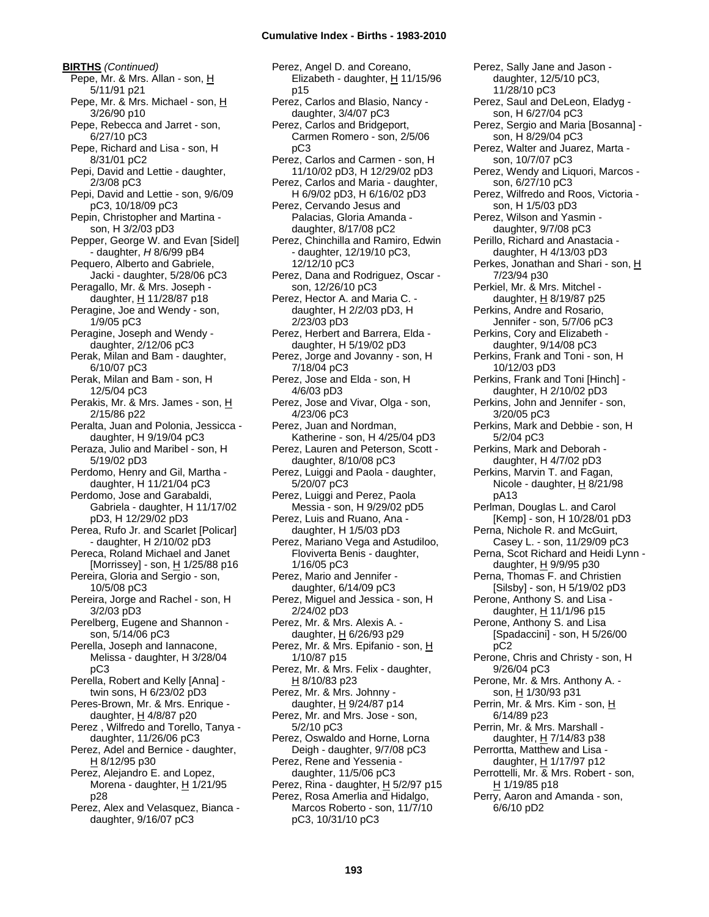**BIRTHS** *(Continued)* Pepe, Mr. & Mrs. Allan - son, H 5/11/91 p21 Pepe, Mr. & Mrs. Michael - son, H 3/26/90 p10 Pepe, Rebecca and Jarret - son, 6/27/10 pC3 Pepe, Richard and Lisa - son, H 8/31/01 pC2 Pepi, David and Lettie - daughter, 2/3/08 pC3 Pepi, David and Lettie - son, 9/6/09 pC3, 10/18/09 pC3 Pepin, Christopher and Martina son, H 3/2/03 pD3 Pepper, George W. and Evan [Sidel] - daughter, *H* 8/6/99 pB4 Pequero, Alberto and Gabriele, Jacki - daughter, 5/28/06 pC3 Peragallo, Mr. & Mrs. Joseph daughter,  $H$  11/28/87 p18 Peragine, Joe and Wendy - son, 1/9/05 pC3 Peragine, Joseph and Wendy daughter, 2/12/06 pC3 Perak, Milan and Bam - daughter, 6/10/07 pC3 Perak, Milan and Bam - son, H 12/5/04 pC3 Perakis, Mr. & Mrs. James - son, H 2/15/86 p22 Peralta, Juan and Polonia, Jessicca daughter, H 9/19/04 pC3 Peraza, Julio and Maribel - son, H 5/19/02 pD3 Perdomo, Henry and Gil, Martha daughter, H 11/21/04 pC3 Perdomo, Jose and Garabaldi, Gabriela - daughter, H 11/17/02 pD3, H 12/29/02 pD3 Perea, Rufo Jr. and Scarlet [Policar] - daughter, H 2/10/02 pD3 Pereca, Roland Michael and Janet [Morrissey] - son, H 1/25/88 p16 Pereira, Gloria and Sergio - son, 10/5/08 pC3 Pereira, Jorge and Rachel - son, H 3/2/03 pD3 Perelberg, Eugene and Shannon son, 5/14/06 pC3 Perella, Joseph and Iannacone, Melissa - daughter, H 3/28/04 pC3 Perella, Robert and Kelly [Anna] twin sons, H 6/23/02 pD3 Peres-Brown, Mr. & Mrs. Enrique daughter,  $H$  4/8/87 p20 Perez , Wilfredo and Torello, Tanya daughter, 11/26/06 pC3 Perez, Adel and Bernice - daughter, H 8/12/95 p30 Perez, Alejandro E. and Lopez, Morena - daughter, H 1/21/95 p28 Perez, Alex and Velasquez, Bianca daughter, 9/16/07 pC3

Perez, Angel D. and Coreano, Elizabeth - daughter, H 11/15/96 p15 Perez, Carlos and Blasio, Nancy daughter, 3/4/07 pC3 Perez, Carlos and Bridgeport, Carmen Romero - son, 2/5/06 pC3 Perez, Carlos and Carmen - son, H 11/10/02 pD3, H 12/29/02 pD3 Perez, Carlos and Maria - daughter, H 6/9/02 pD3, H 6/16/02 pD3 Perez, Cervando Jesus and Palacias, Gloria Amanda daughter, 8/17/08 pC2 Perez, Chinchilla and Ramiro, Edwin - daughter, 12/19/10 pC3, 12/12/10 pC3 Perez, Dana and Rodriguez, Oscar son, 12/26/10 pC3 Perez, Hector A. and Maria C. daughter, H 2/2/03 pD3, H 2/23/03 pD3 Perez, Herbert and Barrera, Elda daughter, H 5/19/02 pD3 Perez, Jorge and Jovanny - son, H 7/18/04 pC3 Perez, Jose and Elda - son, H 4/6/03 pD3 Perez, Jose and Vivar, Olga - son, 4/23/06 pC3 Perez, Juan and Nordman, Katherine - son, H 4/25/04 pD3 Perez, Lauren and Peterson, Scott daughter, 8/10/08 pC3 Perez, Luiggi and Paola - daughter, 5/20/07 pC3 Perez, Luiggi and Perez, Paola Messia - son, H 9/29/02 pD5 Perez, Luis and Ruano, Ana daughter, H 1/5/03 pD3 Perez, Mariano Vega and Astudiloo, Floviverta Benis - daughter, 1/16/05 pC3 Perez, Mario and Jennifer daughter, 6/14/09 pC3 Perez, Miguel and Jessica - son, H 2/24/02 pD3 Perez, Mr. & Mrs. Alexis A. daughter,  $H$  6/26/93 p29 Perez, Mr. & Mrs. Epifanio - son, H 1/10/87 p15 Perez, Mr. & Mrs. Felix - daughter, H 8/10/83 p23 Perez, Mr. & Mrs. Johnny daughter,  $H$  9/24/87 p14 Perez, Mr. and Mrs. Jose - son, 5/2/10 pC3 Perez, Oswaldo and Horne, Lorna Deigh - daughter, 9/7/08 pC3 Perez, Rene and Yessenia daughter, 11/5/06 pC3 Perez, Rina - daughter, H 5/2/97 p15 Perez, Rosa Amerlia and Hidalgo, Marcos Roberto - son, 11/7/10 pC3, 10/31/10 pC3

Perez, Sally Jane and Jason daughter, 12/5/10 pC3, 11/28/10 pC3 Perez, Saul and DeLeon, Eladyg son, H 6/27/04 pC3 Perez, Sergio and Maria [Bosanna] son, H 8/29/04 pC3 Perez, Walter and Juarez, Marta son, 10/7/07 pC3 Perez, Wendy and Liquori, Marcos son, 6/27/10 pC3 Perez, Wilfredo and Roos, Victoria son, H 1/5/03 pD3 Perez, Wilson and Yasmin daughter, 9/7/08 pC3 Perillo, Richard and Anastacia daughter, H 4/13/03 pD3 Perkes, Jonathan and Shari - son, H 7/23/94 p30 Perkiel, Mr. & Mrs. Mitchel daughter, H 8/19/87 p25 Perkins, Andre and Rosario, Jennifer - son, 5/7/06 pC3 Perkins, Cory and Elizabeth daughter, 9/14/08 pC3 Perkins, Frank and Toni - son, H 10/12/03 pD3 Perkins, Frank and Toni [Hinch] daughter, H 2/10/02 pD3 Perkins, John and Jennifer - son, 3/20/05 pC3 Perkins, Mark and Debbie - son, H 5/2/04 pC3 Perkins, Mark and Deborah daughter, H 4/7/02 pD3 Perkins, Marvin T. and Fagan, Nicole - daughter, H 8/21/98 pA13 Perlman, Douglas L. and Carol [Kemp] - son, H 10/28/01 pD3 Perna, Nichole R. and McGuirt, Casey L. - son, 11/29/09 pC3 Perna, Scot Richard and Heidi Lynn daughter, H 9/9/95 p30 Perna, Thomas F. and Christien [Silsby] - son, H 5/19/02 pD3 Perone, Anthony S. and Lisa daughter,  $H$  11/1/96 p15 Perone, Anthony S. and Lisa [Spadaccini] - son, H 5/26/00 pC2 Perone, Chris and Christy - son, H 9/26/04 pC3 Perone, Mr. & Mrs. Anthony A. son, H 1/30/93 p31 Perrin, Mr. & Mrs. Kim - son, H 6/14/89 p23 Perrin, Mr. & Mrs. Marshall daughter, H 7/14/83 p38 Perrortta, Matthew and Lisa daughter,  $H$  1/17/97 p12 Perrottelli, Mr. & Mrs. Robert - son, H 1/19/85 p18 Perry, Aaron and Amanda - son, 6/6/10 pD2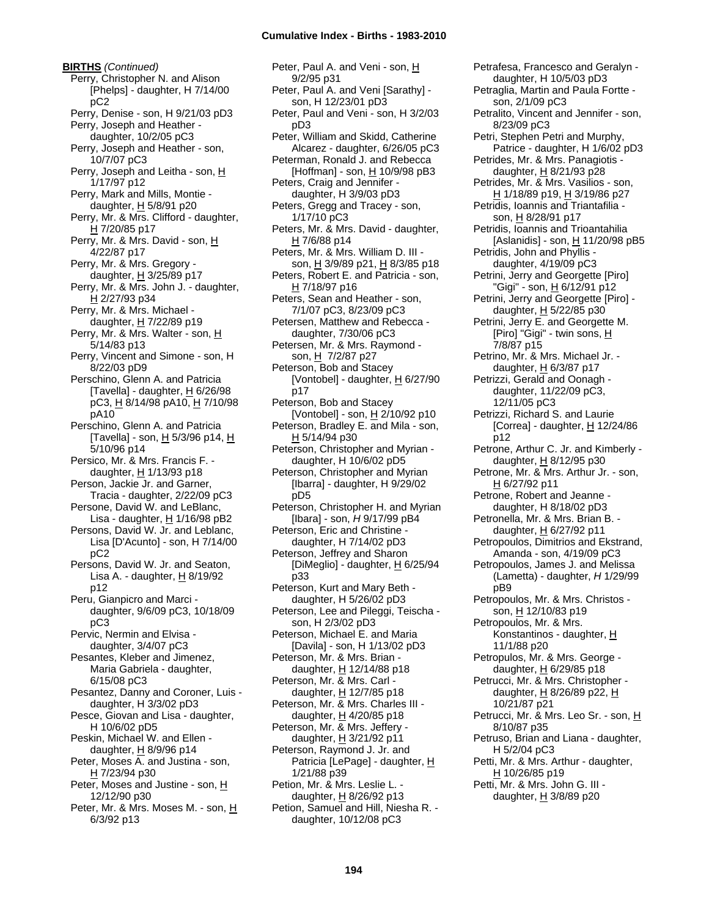**BIRTHS** *(Continued)* Perry, Christopher N. and Alison [Phelps] - daughter, H 7/14/00 pC2 Perry, Denise - son, H 9/21/03 pD3 Perry, Joseph and Heather daughter, 10/2/05 pC3 Perry, Joseph and Heather - son, 10/7/07 pC3 Perry, Joseph and Leitha - son, H 1/17/97 p12 Perry, Mark and Mills, Montie daughter, H 5/8/91 p20 Perry, Mr. & Mrs. Clifford - daughter, H 7/20/85 p17 Perry, Mr. & Mrs. David - son, H 4/22/87 p17 Perry, Mr. & Mrs. Gregory daughter,  $H$  3/25/89 p17 Perry, Mr. & Mrs. John J. - daughter, H 2/27/93 p34 Perry, Mr. & Mrs. Michael daughter, H 7/22/89 p19 Perry, Mr. & Mrs. Walter - son, H 5/14/83 p13 Perry, Vincent and Simone - son, H 8/22/03 pD9 Perschino, Glenn A. and Patricia [Tavella] - daughter, H 6/26/98 pC3, H 8/14/98 pA10, H 7/10/98 pA10 Perschino, Glenn A. and Patricia [Tavella] - son,  $H$  5/3/96 p14,  $H$ 5/10/96 p14 Persico, Mr. & Mrs. Francis F. daughter,  $H$  1/13/93 p18 Person, Jackie Jr. and Garner, Tracia - daughter, 2/22/09 pC3 Persone, David W. and LeBlanc, Lisa - daughter,  $H$  1/16/98 pB2 Persons, David W. Jr. and Leblanc, Lisa [D'Acunto] - son, H 7/14/00 pC2 Persons, David W. Jr. and Seaton, Lisa A. - daughter,  $H_8/19/92$ p12 Peru, Gianpicro and Marci daughter, 9/6/09 pC3, 10/18/09 pC3 Pervic, Nermin and Elvisa daughter, 3/4/07 pC3 Pesantes, Kleber and Jimenez, Maria Gabriela - daughter, 6/15/08 pC3 Pesantez, Danny and Coroner, Luis daughter, H 3/3/02 pD3 Pesce, Giovan and Lisa - daughter, H 10/6/02 pD5 Peskin, Michael W. and Ellen daughter,  $H$  8/9/96 p14 Peter, Moses A. and Justina - son, H 7/23/94 p30 Peter, Moses and Justine - son, H 12/12/90 p30 Peter, Mr. & Mrs. Moses M. - son, H 6/3/92 p13

Peter, Paul A. and Veni - son, H 9/2/95 p31 Peter, Paul A. and Veni [Sarathy] son, H 12/23/01 pD3 Peter, Paul and Veni - son, H 3/2/03 pD3 Peter, William and Skidd, Catherine Alcarez - daughter, 6/26/05 pC3 Peterman, Ronald J. and Rebecca [Hoffman] - son,  $H$  10/9/98 pB3 Peters, Craig and Jennifer daughter, H 3/9/03 pD3 Peters, Gregg and Tracey - son, 1/17/10 pC3 Peters, Mr. & Mrs. David - daughter,  $H$  7/6/88 p14 Peters, Mr. & Mrs. William D. III son, H 3/9/89 p21, H 8/3/85 p18 Peters, Robert E. and Patricia - son, H 7/18/97 p16 Peters, Sean and Heather - son, 7/1/07 pC3, 8/23/09 pC3 Petersen, Matthew and Rebecca daughter, 7/30/06 pC3 Petersen, Mr. & Mrs. Raymond son, H 7/2/87 p27 Peterson, Bob and Stacey [Vontobel] - daughter,  $H$  6/27/90 p17 Peterson, Bob and Stacey [Vontobel] - son,  $H$  2/10/92 p10 Peterson, Bradley E. and Mila - son, H 5/14/94 p30 Peterson, Christopher and Myrian daughter, H 10/6/02 pD5 Peterson, Christopher and Myrian [Ibarra] - daughter, H 9/29/02 pD5 Peterson, Christopher H. and Myrian [Ibara] - son, *H* 9/17/99 pB4 Peterson, Eric and Christine daughter, H 7/14/02 pD3 Peterson, Jeffrey and Sharon [DiMeglio] - daughter, H 6/25/94 p33 Peterson, Kurt and Mary Beth daughter, H 5/26/02 pD3 Peterson, Lee and Pileggi, Teischa son, H 2/3/02 pD3 Peterson, Michael E. and Maria [Davila] - son, H 1/13/02 pD3 Peterson, Mr. & Mrs. Brian daughter, H 12/14/88 p18 Peterson, Mr. & Mrs. Carl daughter,  $H$  12/7/85 p18 Peterson, Mr. & Mrs. Charles III daughter,  $H$  4/20/85 p18 Peterson, Mr. & Mrs. Jeffery daughter, H 3/21/92 p11 Peterson, Raymond J. Jr. and Patricia [LePage] - daughter, H 1/21/88 p39 Petion, Mr. & Mrs. Leslie L. daughter,  $H$  8/26/92 p13 Petion, Samuel and Hill, Niesha R. daughter, 10/12/08 pC3

son, 2/1/09 pC3 Petralito, Vincent and Jennifer - son, 8/23/09 pC3 Petri, Stephen Petri and Murphy, Patrice - daughter, H 1/6/02 pD3 Petrides, Mr. & Mrs. Panagiotis daughter,  $H$  8/21/93 p28 Petrides, Mr. & Mrs. Vasilios - son, H 1/18/89 p19, H 3/19/86 p27 Petridis, Ioannis and Triantafilia son, H 8/28/91 p17 Petridis, Ioannis and Trioantahilia [Aslanidis] - son,  $H$  11/20/98 pB5 Petridis, John and Phyllis daughter, 4/19/09 pC3 Petrini, Jerry and Georgette [Piro] "Gigi" - son, H 6/12/91 p12 Petrini, Jerry and Georgette [Piro] daughter,  $H$  5/22/85 p30 Petrini, Jerry E. and Georgette M. [Piro] "Gigi" - twin sons, H 7/8/87 p15 Petrino, Mr. & Mrs. Michael Jr. daughter,  $H$  6/3/87 p17 Petrizzi, Gerald and Oonagh daughter, 11/22/09 pC3, 12/11/05 pC3 Petrizzi, Richard S. and Laurie [Correa] - daughter,  $\underline{H}$  12/24/86 p12 Petrone, Arthur C. Jr. and Kimberly daughter, H 8/12/95 p30 Petrone, Mr. & Mrs. Arthur Jr. - son, H 6/27/92 p11 Petrone, Robert and Jeanne daughter, H 8/18/02 pD3 Petronella, Mr. & Mrs. Brian B. daughter, H 6/27/92 p11 Petropoulos, Dimitrios and Ekstrand, Amanda - son, 4/19/09 pC3 Petropoulos, James J. and Melissa (Lametta) - daughter, *H* 1/29/99 pB9 Petropoulos, Mr. & Mrs. Christos son, H 12/10/83 p19 Petropoulos, Mr. & Mrs. Konstantinos - daughter, H 11/1/88 p20 Petropulos, Mr. & Mrs. George daughter,  $H$  6/29/85 p18 Petrucci, Mr. & Mrs. Christopher daughter,  $H$  8/26/89 p22,  $H$ 10/21/87 p21 Petrucci, Mr. & Mrs. Leo Sr. - son, H 8/10/87 p35 Petruso, Brian and Liana - daughter, H 5/2/04 pC3 Petti, Mr. & Mrs. Arthur - daughter, H 10/26/85 p19 Petti, Mr. & Mrs. John G. III daughter,  $H$  3/8/89 p20

Petrafesa, Francesco and Geralyn daughter, H 10/5/03 pD3 Petraglia, Martin and Paula Fortte -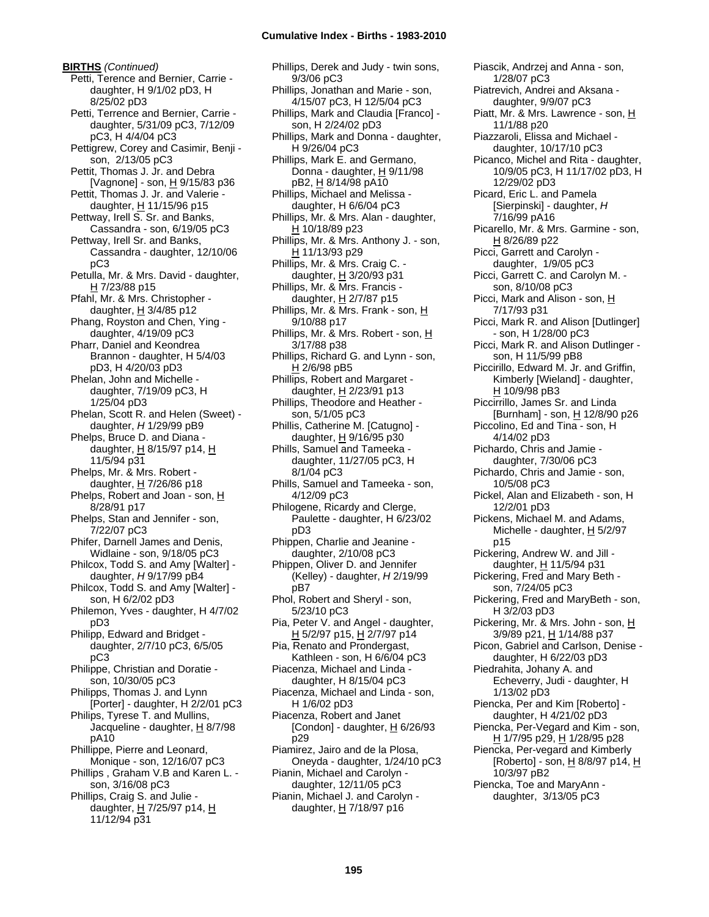**BIRTHS** *(Continued)* Petti, Terence and Bernier, Carrie daughter, H 9/1/02 pD3, H 8/25/02 pD3 Petti, Terrence and Bernier, Carrie daughter, 5/31/09 pC3, 7/12/09 pC3, H 4/4/04 pC3 Pettigrew, Corey and Casimir, Benji son, 2/13/05 pC3 Pettit, Thomas J. Jr. and Debra [Vagnone] - son, H 9/15/83 p36 Pettit, Thomas J. Jr. and Valerie daughter,  $H$  11/15/96 p15 Pettway, Irell S. Sr. and Banks, Cassandra - son, 6/19/05 pC3 Pettway, Irell Sr. and Banks, Cassandra - daughter, 12/10/06 pC3 Petulla, Mr. & Mrs. David - daughter, H 7/23/88 p15 Pfahl, Mr. & Mrs. Christopher daughter,  $H$  3/4/85 p12 Phang, Royston and Chen, Ying daughter, 4/19/09 pC3 Pharr, Daniel and Keondrea Brannon - daughter, H 5/4/03 pD3, H 4/20/03 pD3 Phelan, John and Michelle daughter, 7/19/09 pC3, H 1/25/04 pD3 Phelan, Scott R. and Helen (Sweet) daughter, *H* 1/29/99 pB9 Phelps, Bruce D. and Diana daughter, H 8/15/97 p14, H 11/5/94 p31 Phelps, Mr. & Mrs. Robert daughter,  $H$  7/26/86 p18 Phelps, Robert and Joan - son, H 8/28/91 p17 Phelps, Stan and Jennifer - son, 7/22/07 pC3 Phifer, Darnell James and Denis, Widlaine - son, 9/18/05 pC3 Philcox, Todd S. and Amy [Walter] daughter, *H* 9/17/99 pB4 Philcox, Todd S. and Amy [Walter] son, H 6/2/02 pD3 Philemon, Yves - daughter, H 4/7/02 pD3 Philipp, Edward and Bridget daughter, 2/7/10 pC3, 6/5/05 pC3 Philippe, Christian and Doratie son, 10/30/05 pC3 Philipps, Thomas J. and Lynn [Porter] - daughter, H 2/2/01 pC3 Philips, Tyrese T. and Mullins, Jacqueline - daughter,  $H$  8/7/98 pA10 Phillippe, Pierre and Leonard, Monique - son, 12/16/07 pC3 Phillips , Graham V.B and Karen L. son, 3/16/08 pC3 Phillips, Craig S. and Julie daughter, H 7/25/97 p14, H 11/12/94 p31

Phillips, Derek and Judy - twin sons, 9/3/06 pC3 Phillips, Jonathan and Marie - son, 4/15/07 pC3, H 12/5/04 pC3 Phillips, Mark and Claudia [Franco] son, H 2/24/02 pD3 Phillips, Mark and Donna - daughter, H 9/26/04 pC3 Phillips, Mark E. and Germano, Donna - daughter,  $H$  9/11/98 pB2, H 8/14/98 pA10 Phillips, Michael and Melissa daughter, H 6/6/04 pC3 Phillips, Mr. & Mrs. Alan - daughter, H 10/18/89 p23 Phillips, Mr. & Mrs. Anthony J. - son, H 11/13/93 p29 Phillips, Mr. & Mrs. Craig C. daughter,  $H$  3/20/93 p31 Phillips, Mr. & Mrs. Francis daughter,  $H$  2/7/87 p15 Phillips, Mr. & Mrs. Frank - son, H 9/10/88 p17 Phillips, Mr. & Mrs. Robert - son, H 3/17/88 p38 Phillips, Richard G. and Lynn - son, H 2/6/98 pB5 Phillips, Robert and Margaret daughter, H 2/23/91 p13 Phillips, Theodore and Heather son, 5/1/05 pC3 Phillis, Catherine M. [Catugno] daughter,  $H$  9/16/95 p30 Phills, Samuel and Tameeka daughter, 11/27/05 pC3, H 8/1/04 pC3 Phills, Samuel and Tameeka - son, 4/12/09 pC3 Philogene, Ricardy and Clerge, Paulette - daughter, H 6/23/02 pD3 Phippen, Charlie and Jeanine daughter, 2/10/08 pC3 Phippen, Oliver D. and Jennifer (Kelley) - daughter, *H* 2/19/99 pB7 Phol, Robert and Sheryl - son, 5/23/10 pC3 Pia, Peter V. and Angel - daughter, <u>H</u> 5/2/97 p15, <u>H</u> 2/7/97 p14 Pia, Renato and Prondergast, Kathleen - son, H 6/6/04 pC3 Piacenza, Michael and Linda daughter, H 8/15/04 pC3 Piacenza, Michael and Linda - son, H 1/6/02 pD3 Piacenza, Robert and Janet [Condon] - daughter,  $H_6$  6/26/93 p29 Piamirez, Jairo and de la Plosa, Oneyda - daughter, 1/24/10 pC3 Pianin, Michael and Carolyn daughter, 12/11/05 pC3 Pianin, Michael J. and Carolyn daughter, H 7/18/97 p16

Piascik, Andrzej and Anna - son, 1/28/07 pC3 Piatrevich, Andrei and Aksana daughter, 9/9/07 pC3 Piatt, Mr. & Mrs. Lawrence - son, H 11/1/88 p20 Piazzaroli, Elissa and Michael daughter, 10/17/10 pC3 Picanco, Michel and Rita - daughter, 10/9/05 pC3, H 11/17/02 pD3, H 12/29/02 pD3 Picard, Eric L. and Pamela [Sierpinski] - daughter, *H* 7/16/99 pA16 Picarello, Mr. & Mrs. Garmine - son, H 8/26/89 p22 Picci, Garrett and Carolyn daughter, 1/9/05 pC3 Picci, Garrett C. and Carolyn M. son, 8/10/08 pC3 Picci, Mark and Alison - son, H 7/17/93 p31 Picci, Mark R. and Alison [Dutlinger] - son, H 1/28/00 pC3 Picci, Mark R. and Alison Dutlinger son, H 11/5/99 pB8 Piccirillo, Edward M. Jr. and Griffin, Kimberly [Wieland] - daughter, H 10/9/98 pB3 Piccirrillo, James Sr. and Linda [Burnham] - son, H 12/8/90 p26 Piccolino, Ed and Tina - son, H 4/14/02 pD3 Pichardo, Chris and Jamie daughter, 7/30/06 pC3 Pichardo, Chris and Jamie - son, 10/5/08 pC3 Pickel, Alan and Elizabeth - son, H 12/2/01 pD3 Pickens, Michael M. and Adams, Michelle - daughter, H 5/2/97 p15 Pickering, Andrew W. and Jill daughter, H 11/5/94 p31 Pickering, Fred and Mary Beth son, 7/24/05 pC3 Pickering, Fred and MaryBeth - son, H 3/2/03 pD3 Pickering, Mr. & Mrs. John - son, H 3/9/89 p21, H 1/14/88 p37 Picon, Gabriel and Carlson, Denise daughter, H 6/22/03 pD3 Piedrahita, Johany A. and Echeverry, Judi - daughter, H 1/13/02 pD3 Piencka, Per and Kim [Roberto] daughter, H 4/21/02 pD3 Piencka, Per-Vegard and Kim - son, H 1/7/95 p29, H 1/28/95 p28 Piencka, Per-vegard and Kimberly [Roberto] - son,  $H$  8/8/97 p14,  $H$ 10/3/97 pB2 Piencka, Toe and MaryAnn daughter, 3/13/05 pC3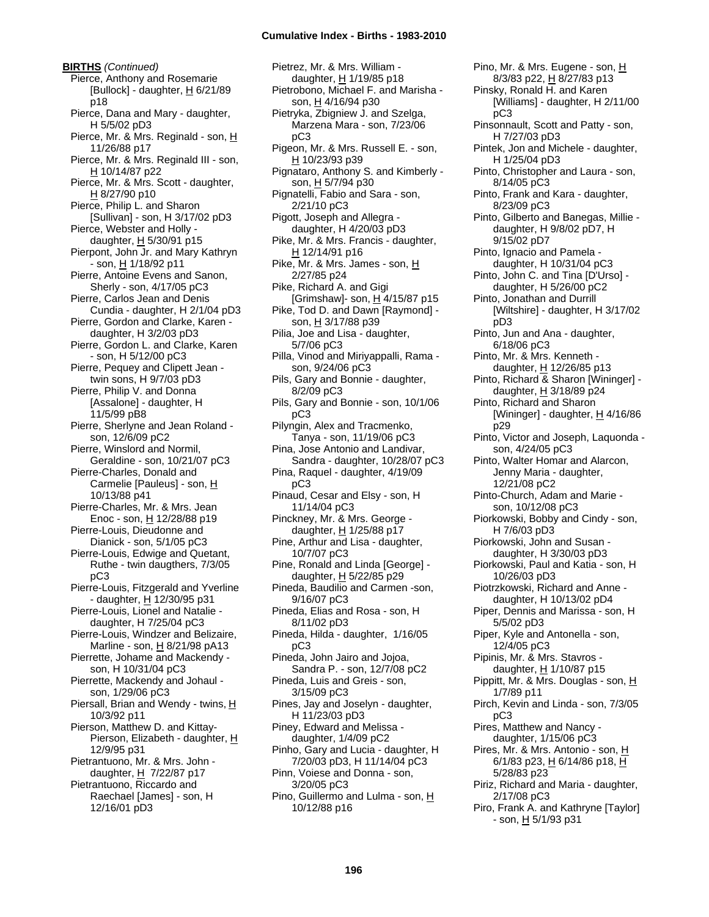**BIRTHS** *(Continued)* Pierce, Anthony and Rosemarie [Bullock] - daughter,  $\underline{H}$  6/21/89 p18 Pierce, Dana and Mary - daughter, H 5/5/02 pD3 Pierce, Mr. & Mrs. Reginald - son, H 11/26/88 p17 Pierce, Mr. & Mrs. Reginald III - son, H 10/14/87 p22 Pierce, Mr. & Mrs. Scott - daughter, H 8/27/90 p10 Pierce, Philip L. and Sharon [Sullivan] - son, H 3/17/02 pD3 Pierce, Webster and Holly daughter,  $H$  5/30/91 p15 Pierpont, John Jr. and Mary Kathryn - son, H 1/18/92 p11 Pierre, Antoine Evens and Sanon, Sherly - son, 4/17/05 pC3 Pierre, Carlos Jean and Denis Cundia - daughter, H 2/1/04 pD3 Pierre, Gordon and Clarke, Karen daughter, H 3/2/03 pD3 Pierre, Gordon L. and Clarke, Karen - son, H 5/12/00 pC3 Pierre, Pequey and Clipett Jean twin sons, H 9/7/03 pD3 Pierre, Philip V. and Donna [Assalone] - daughter, H 11/5/99 pB8 Pierre, Sherlyne and Jean Roland son, 12/6/09 pC2 Pierre, Winslord and Normil, Geraldine - son, 10/21/07 pC3 Pierre-Charles, Donald and Carmelie [Pauleus] - son, H 10/13/88 p41 Pierre-Charles, Mr. & Mrs. Jean Enoc - son,  $H$  12/28/88 p19 Pierre-Louis, Dieudonne and Dianick - son, 5/1/05 pC3 Pierre-Louis, Edwige and Quetant, Ruthe - twin daugthers, 7/3/05 pC3 Pierre-Louis, Fitzgerald and Yverline - daughter,  $H$  12/30/95 p31 Pierre-Louis, Lionel and Natalie daughter, H 7/25/04 pC3 Pierre-Louis, Windzer and Belizaire, Marline - son, H 8/21/98 pA13 Pierrette, Johame and Mackendy son, H 10/31/04 pC3 Pierrette, Mackendy and Johaul son, 1/29/06 pC3 Piersall, Brian and Wendy - twins, H 10/3/92 p11 Pierson, Matthew D. and Kittay-Pierson, Elizabeth - daughter, H 12/9/95 p31 Pietrantuono, Mr. & Mrs. John daughter, H 7/22/87 p17 Pietrantuono, Riccardo and Raechael [James] - son, H 12/16/01 pD3

Pietrez, Mr. & Mrs. William daughter, H 1/19/85 p18 Pietrobono, Michael F. and Marisha son, H 4/16/94 p30 Pietryka, Zbigniew J. and Szelga, Marzena Mara - son, 7/23/06 pC3 Pigeon, Mr. & Mrs. Russell E. - son, H 10/23/93 p39 Pignataro, Anthony S. and Kimberly son, H 5/7/94 p30 Pignatelli, Fabio and Sara - son, 2/21/10 pC3 Pigott, Joseph and Allegra daughter, H 4/20/03 pD3 Pike, Mr. & Mrs. Francis - daughter, H 12/14/91 p16 Pike, Mr. & Mrs. James - son, H 2/27/85 p24 Pike, Richard A. and Gigi [Grimshaw]- son, H 4/15/87 p15 Pike, Tod D. and Dawn [Raymond] son, H 3/17/88 p39 Pilia, Joe and Lisa - daughter, 5/7/06 pC3 Pilla, Vinod and Miriyappalli, Rama son, 9/24/06 pC3 Pils, Gary and Bonnie - daughter, 8/2/09 pC3 Pils, Gary and Bonnie - son, 10/1/06 pC3 Pilyngin, Alex and Tracmenko, Tanya - son, 11/19/06 pC3 Pina, Jose Antonio and Landivar, Sandra - daughter, 10/28/07 pC3 Pina, Raquel - daughter, 4/19/09 pC3 Pinaud, Cesar and Elsy - son, H 11/14/04 pC3 Pinckney, Mr. & Mrs. George daughter, H 1/25/88 p17 Pine, Arthur and Lisa - daughter, 10/7/07 pC3 Pine, Ronald and Linda [George] daughter, H 5/22/85 p29 Pineda, Baudilio and Carmen -son, 9/16/07 pC3 Pineda, Elias and Rosa - son, H 8/11/02 pD3 Pineda, Hilda - daughter, 1/16/05 pC3 Pineda, John Jairo and Jojoa, Sandra P. - son, 12/7/08 pC2 Pineda, Luis and Greis - son, 3/15/09 pC3 Pines, Jay and Joselyn - daughter, H 11/23/03 pD3 Piney, Edward and Melissa daughter, 1/4/09 pC2 Pinho, Gary and Lucia - daughter, H 7/20/03 pD3, H 11/14/04 pC3 Pinn, Voiese and Donna - son, 3/20/05 pC3 Pino, Guillermo and Lulma - son, H 10/12/88 p16

Pino, Mr. & Mrs. Eugene - son, H 8/3/83 p22, H 8/27/83 p13 Pinsky, Ronald H. and Karen [Williams] - daughter, H 2/11/00 pC3 Pinsonnault, Scott and Patty - son, H 7/27/03 pD3 Pintek, Jon and Michele - daughter, H 1/25/04 pD3 Pinto, Christopher and Laura - son, 8/14/05 pC3 Pinto, Frank and Kara - daughter, 8/23/09 pC3 Pinto, Gilberto and Banegas, Millie daughter, H 9/8/02 pD7, H 9/15/02 pD7 Pinto, Ignacio and Pamela daughter, H 10/31/04 pC3 Pinto, John C. and Tina [D'Urso] daughter, H 5/26/00 pC2 Pinto, Jonathan and Durrill [Wiltshire] - daughter, H 3/17/02 pD3 Pinto, Jun and Ana - daughter, 6/18/06 pC3 Pinto, Mr. & Mrs. Kenneth daughter, H 12/26/85 p13 Pinto, Richard & Sharon [Wininger] daughter, H 3/18/89 p24 Pinto, Richard and Sharon [Wininger] - daughter,  $H$  4/16/86 p29 Pinto, Victor and Joseph, Laquonda son, 4/24/05 pC3 Pinto, Walter Homar and Alarcon, Jenny Maria - daughter, 12/21/08 pC2 Pinto-Church, Adam and Marie son, 10/12/08 pC3 Piorkowski, Bobby and Cindy - son, H 7/6/03 pD3 Piorkowski, John and Susan daughter, H 3/30/03 pD3 Piorkowski, Paul and Katia - son, H 10/26/03 pD3 Piotrzkowski, Richard and Anne daughter, H 10/13/02 pD4 Piper, Dennis and Marissa - son, H 5/5/02 pD3 Piper, Kyle and Antonella - son, 12/4/05 pC3 Pipinis, Mr. & Mrs. Stavros daughter, H 1/10/87 p15 Pippitt, Mr. & Mrs. Douglas - son, H 1/7/89 p11 Pirch, Kevin and Linda - son, 7/3/05 pC3 Pires, Matthew and Nancy daughter, 1/15/06 pC3 Pires, Mr. & Mrs. Antonio - son, H 6/1/83 p23, H 6/14/86 p18, H 5/28/83 p23 Piriz, Richard and Maria - daughter, 2/17/08 pC3 Piro, Frank A. and Kathryne [Taylor]  $-$  son,  $\underline{H}$  5/1/93 p31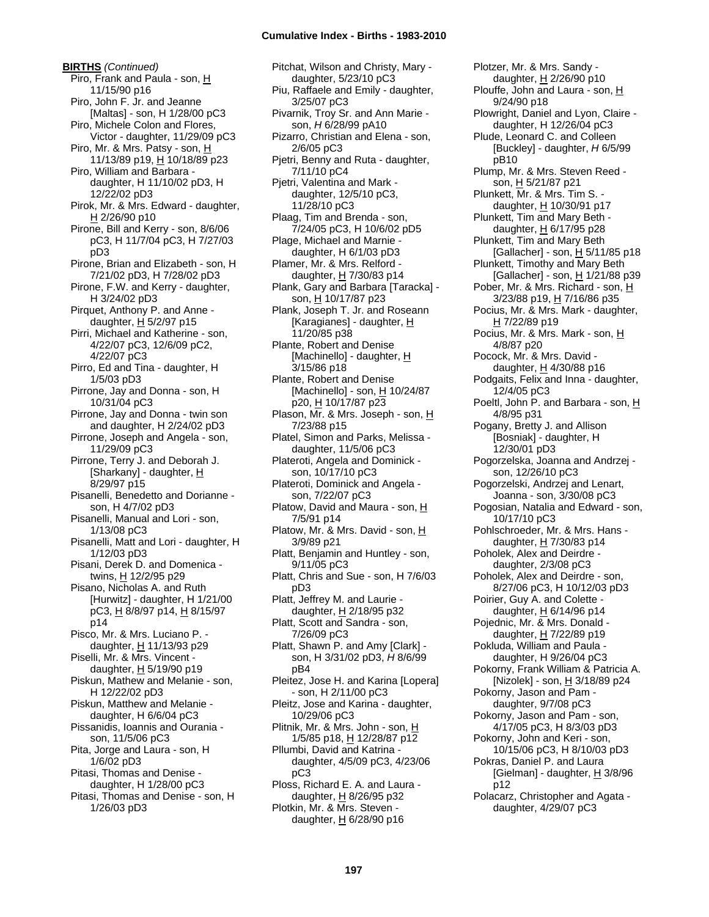**BIRTHS** *(Continued)* Piro, Frank and Paula - son, H 11/15/90 p16 Piro, John F. Jr. and Jeanne [Maltas] - son, H 1/28/00 pC3 Piro, Michele Colon and Flores, Victor - daughter, 11/29/09 pC3 Piro, Mr. & Mrs. Patsy - son, H 11/13/89 p19, H 10/18/89 p23 Piro, William and Barbara daughter, H 11/10/02 pD3, H 12/22/02 pD3 Pirok, Mr. & Mrs. Edward - daughter, H 2/26/90 p10 Pirone, Bill and Kerry - son, 8/6/06 pC3, H 11/7/04 pC3, H 7/27/03 pD3 Pirone, Brian and Elizabeth - son, H 7/21/02 pD3, H 7/28/02 pD3 Pirone, F.W. and Kerry - daughter, H 3/24/02 pD3 Pirquet, Anthony P. and Anne daughter,  $H$  5/2/97 p15 Pirri, Michael and Katherine - son, 4/22/07 pC3, 12/6/09 pC2, 4/22/07 pC3 Pirro, Ed and Tina - daughter, H 1/5/03 pD3 Pirrone, Jay and Donna - son, H 10/31/04 pC3 Pirrone, Jay and Donna - twin son and daughter, H 2/24/02 pD3 Pirrone, Joseph and Angela - son, 11/29/09 pC3 Pirrone, Terry J. and Deborah J. [Sharkany] - daughter,  $H$ 8/29/97 p15 Pisanelli, Benedetto and Dorianne son, H 4/7/02 pD3 Pisanelli, Manual and Lori - son, 1/13/08 pC3 Pisanelli, Matt and Lori - daughter, H 1/12/03 pD3 Pisani, Derek D. and Domenica twins, H 12/2/95 p29 Pisano, Nicholas A. and Ruth [Hurwitz] - daughter, H 1/21/00 pC3, H 8/8/97 p14, H 8/15/97 p14 Pisco, Mr. & Mrs. Luciano P. daughter,  $H$  11/13/93 p29 Piselli, Mr. & Mrs. Vincent daughter, H 5/19/90 p19 Piskun, Mathew and Melanie - son, H 12/22/02 pD3 Piskun, Matthew and Melanie daughter, H 6/6/04 pC3 Pissanidis, Ioannis and Ourania son, 11/5/06 pC3 Pita, Jorge and Laura - son, H 1/6/02 pD3 Pitasi, Thomas and Denise daughter, H 1/28/00 pC3 Pitasi, Thomas and Denise - son, H 1/26/03 pD3

Pitchat, Wilson and Christy, Mary daughter, 5/23/10 pC3 Piu, Raffaele and Emily - daughter, 3/25/07 pC3 Pivarnik, Troy Sr. and Ann Marie son, *H* 6/28/99 pA10 Pizarro, Christian and Elena - son, 2/6/05 pC3 Pjetri, Benny and Ruta - daughter, 7/11/10 pC4 Pjetri, Valentina and Mark daughter, 12/5/10 pC3, 11/28/10 pC3 Plaag, Tim and Brenda - son, 7/24/05 pC3, H 10/6/02 pD5 Plage, Michael and Marnie daughter, H 6/1/03 pD3 Plamer, Mr. & Mrs. Relford daughter,  $H$  7/30/83 p14 Plank, Gary and Barbara [Taracka] son, H 10/17/87 p23 Plank, Joseph T. Jr. and Roseann [Karagianes] - daughter, H 11/20/85 p38 Plante, Robert and Denise [Machinello] - daughter, H 3/15/86 p18 Plante, Robert and Denise [Machinello] - son, H 10/24/87 p20, H 10/17/87 p23 Plason, Mr. & Mrs. Joseph - son, H 7/23/88 p15 Platel, Simon and Parks, Melissa daughter, 11/5/06 pC3 Plateroti, Angela and Dominick son, 10/17/10 pC3 Plateroti, Dominick and Angela son, 7/22/07 pC3 Platow, David and Maura - son, H 7/5/91 p14 Platow, Mr. & Mrs. David - son, H 3/9/89 p21 Platt, Benjamin and Huntley - son, 9/11/05 pC3 Platt, Chris and Sue - son, H 7/6/03 pD3 Platt, Jeffrey M. and Laurie daughter,  $H$  2/18/95 p32 Platt, Scott and Sandra - son, 7/26/09 pC3 Platt, Shawn P. and Amy [Clark] son, H 3/31/02 pD3, *H* 8/6/99 pB4 Pleitez, Jose H. and Karina [Lopera] - son, H 2/11/00 pC3 Pleitz, Jose and Karina - daughter, 10/29/06 pC3 Plitnik, Mr. & Mrs. John - son, H 1/5/85 p18, <u>H</u> 12/28/87 p12 Pllumbi, David and Katrina daughter, 4/5/09 pC3, 4/23/06 pC3 Ploss, Richard E. A. and Laura daughter,  $H$  8/26/95 p32 Plotkin, Mr. & Mrs. Steven daughter,  $H$  6/28/90 p16

Plotzer, Mr. & Mrs. Sandy daughter, H 2/26/90 p10 Plouffe, John and Laura - son, H 9/24/90 p18 Plowright, Daniel and Lyon, Claire daughter, H 12/26/04 pC3 Plude, Leonard C. and Colleen [Buckley] - daughter, *H* 6/5/99 pB10 Plump, Mr. & Mrs. Steven Reed son, H 5/21/87 p21 Plunkett, Mr. & Mrs. Tim S. daughter,  $H$  10/30/91 p17 Plunkett, Tim and Mary Beth daughter, H 6/17/95 p28 Plunkett, Tim and Mary Beth [Gallacher] - son, H 5/11/85 p18 Plunkett, Timothy and Mary Beth [Gallacher] - son, H 1/21/88 p39 Pober, Mr. & Mrs. Richard - son, H 3/23/88 p19, H 7/16/86 p35 Pocius, Mr. & Mrs. Mark - daughter, H 7/22/89 p19 Pocius, Mr. & Mrs. Mark - son, H 4/8/87 p20 Pocock, Mr. & Mrs. David daughter,  $H$  4/30/88 p16 Podgaits, Felix and Inna - daughter, 12/4/05 pC3 Poeltl, John P. and Barbara - son, H 4/8/95 p31 Pogany, Bretty J. and Allison [Bosniak] - daughter, H 12/30/01 pD3 Pogorzelska, Joanna and Andrzej son, 12/26/10 pC3 Pogorzelski, Andrzej and Lenart, Joanna - son, 3/30/08 pC3 Pogosian, Natalia and Edward - son, 10/17/10 pC3 Pohlschroeder, Mr. & Mrs. Hans daughter,  $H$  7/30/83 p14 Poholek, Alex and Deirdre daughter, 2/3/08 pC3 Poholek, Alex and Deirdre - son, 8/27/06 pC3, H 10/12/03 pD3 Poirier, Guy A. and Colette daughter,  $H$  6/14/96 p14 Pojednic, Mr. & Mrs. Donald daughter, H 7/22/89 p19 Pokluda, William and Paula daughter, H 9/26/04 pC3 Pokorny, Frank William & Patricia A. [Nizolek] - son,  $\underline{H}$  3/18/89 p24 Pokorny, Jason and Pam daughter, 9/7/08 pC3 Pokorny, Jason and Pam - son, 4/17/05 pC3, H 8/3/03 pD3 Pokorny, John and Keri - son, 10/15/06 pC3, H 8/10/03 pD3 Pokras, Daniel P. and Laura [Gielman] - daughter, H 3/8/96 p12 Polacarz, Christopher and Agata daughter, 4/29/07 pC3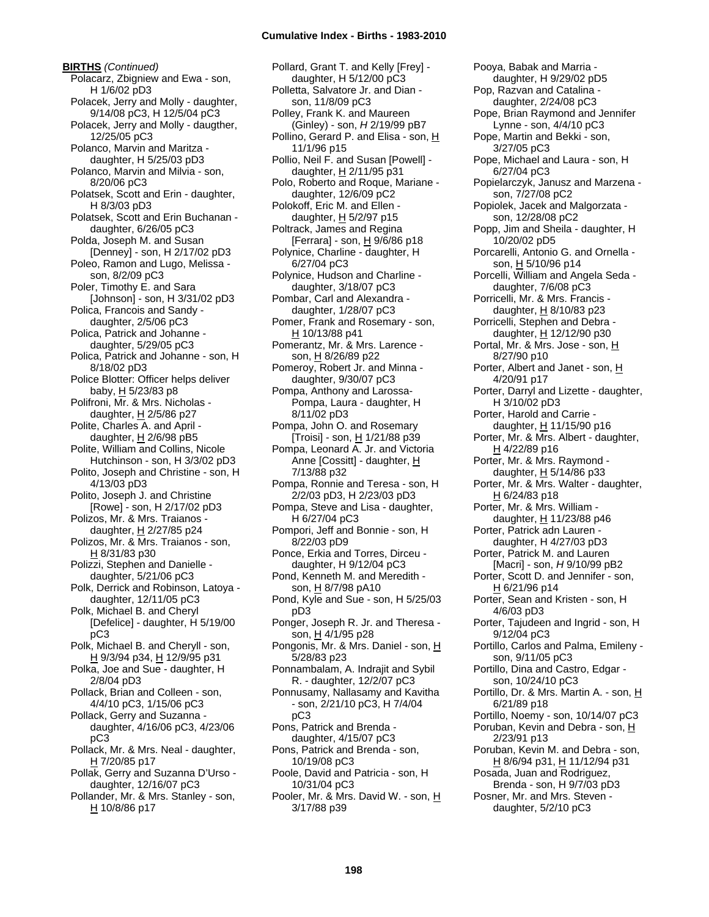**BIRTHS** *(Continued)* Polacarz, Zbigniew and Ewa - son, H 1/6/02 pD3 Polacek, Jerry and Molly - daughter, 9/14/08 pC3, H 12/5/04 pC3 Polacek, Jerry and Molly - daugther, 12/25/05 pC3 Polanco, Marvin and Maritza daughter, H 5/25/03 pD3 Polanco, Marvin and Milvia - son, 8/20/06 pC3 Polatsek, Scott and Erin - daughter, H 8/3/03 pD3 Polatsek, Scott and Erin Buchanan daughter, 6/26/05 pC3 Polda, Joseph M. and Susan [Denney] - son, H 2/17/02 pD3 Poleo, Ramon and Lugo, Melissa son, 8/2/09 pC3 Poler, Timothy E. and Sara [Johnson] - son, H 3/31/02 pD3 Polica, Francois and Sandy daughter, 2/5/06 pC3 Polica, Patrick and Johanne daughter, 5/29/05 pC3 Polica, Patrick and Johanne - son, H 8/18/02 pD3 Police Blotter: Officer helps deliver baby,  $H$  5/23/83 p8 Polifroni, Mr. & Mrs. Nicholas daughter,  $H$  2/5/86 p27 Polite, Charles A. and April daughter,  $H$  2/6/98 pB5 Polite, William and Collins, Nicole Hutchinson - son, H 3/3/02 pD3 Polito, Joseph and Christine - son, H 4/13/03 pD3 Polito, Joseph J. and Christine [Rowe] - son, H 2/17/02 pD3 Polizos, Mr. & Mrs. Traianos daughter, H 2/27/85 p24 Polizos, Mr. & Mrs. Traianos - son, H 8/31/83 p30 Polizzi, Stephen and Danielle daughter, 5/21/06 pC3 Polk, Derrick and Robinson, Latoya daughter, 12/11/05 pC3 Polk, Michael B. and Cheryl [Defelice] - daughter, H 5/19/00 pC3 Polk, Michael B. and Cheryll - son, H 9/3/94 p34, H 12/9/95 p31 Polka, Joe and Sue - daughter, H 2/8/04 pD3 Pollack, Brian and Colleen - son, 4/4/10 pC3, 1/15/06 pC3 Pollack, Gerry and Suzanna daughter, 4/16/06 pC3, 4/23/06 pC3 Pollack, Mr. & Mrs. Neal - daughter, H 7/20/85 p17 Pollak, Gerry and Suzanna D'Urso daughter, 12/16/07 pC3 Pollander, Mr. & Mrs. Stanley - son, H 10/8/86 p17

Pollard, Grant T. and Kelly [Frey] daughter, H 5/12/00 pC3 Polletta, Salvatore Jr. and Dian son, 11/8/09 pC3 Polley, Frank K. and Maureen (Ginley) - son, *H* 2/19/99 pB7 Pollino, Gerard P. and Elisa - son, H 11/1/96 p15 Pollio, Neil F. and Susan [Powell] daughter,  $H$  2/11/95 p31 Polo, Roberto and Roque, Mariane daughter, 12/6/09 pC2 Polokoff, Eric M. and Ellen daughter,  $H$  5/2/97 p15 Poltrack, James and Regina [Ferrara] - son,  $H$  9/6/86 p18 Polynice, Charline - daughter, H 6/27/04 pC3 Polynice, Hudson and Charline daughter, 3/18/07 pC3 Pombar, Carl and Alexandra daughter, 1/28/07 pC3 Pomer, Frank and Rosemary - son, H 10/13/88 p41 Pomerantz, Mr. & Mrs. Larence son, H 8/26/89 p22 Pomeroy, Robert Jr. and Minna daughter, 9/30/07 pC3 Pompa, Anthony and Larossa-Pompa, Laura - daughter, H 8/11/02 pD3 Pompa, John O. and Rosemary [Troisi] - son, H 1/21/88 p39 Pompa, Leonard A. Jr. and Victoria Anne [Cossitt] - daughter, H 7/13/88 p32 Pompa, Ronnie and Teresa - son, H 2/2/03 pD3, H 2/23/03 pD3 Pompa, Steve and Lisa - daughter, H 6/27/04 pC3 Pompori, Jeff and Bonnie - son, H 8/22/03 pD9 Ponce, Erkia and Torres, Dirceu daughter, H 9/12/04 pC3 Pond, Kenneth M. and Meredith son, H 8/7/98 pA10 Pond, Kyle and Sue - son, H 5/25/03 pD3 Ponger, Joseph R. Jr. and Theresa son, H 4/1/95 p28 Pongonis, Mr. & Mrs. Daniel - son, H 5/28/83 p23 Ponnambalam, A. Indrajit and Sybil R. - daughter, 12/2/07 pC3 Ponnusamy, Nallasamy and Kavitha - son, 2/21/10 pC3, H 7/4/04 pC3 Pons, Patrick and Brenda daughter, 4/15/07 pC3 Pons, Patrick and Brenda - son, 10/19/08 pC3 Poole, David and Patricia - son, H 10/31/04 pC3 Pooler, Mr. & Mrs. David W. - son, H

Pooya, Babak and Marria daughter, H 9/29/02 pD5 Pop, Razvan and Catalina daughter, 2/24/08 pC3 Pope, Brian Raymond and Jennifer Lynne - son, 4/4/10 pC3 Pope, Martin and Bekki - son, 3/27/05 pC3 Pope, Michael and Laura - son, H 6/27/04 pC3 Popielarczyk, Janusz and Marzena son, 7/27/08 pC2 Popiolek, Jacek and Malgorzata son, 12/28/08 pC2 Popp, Jim and Sheila - daughter, H 10/20/02 pD5 Porcarelli, Antonio G. and Ornella son, H 5/10/96 p14 Porcelli, William and Angela Seda daughter, 7/6/08 pC3 Porricelli, Mr. & Mrs. Francis daughter,  $H$  8/10/83 p23 Porricelli, Stephen and Debra daughter, H 12/12/90 p30 Portal, Mr. & Mrs. Jose - son, H 8/27/90 p10 Porter, Albert and Janet - son, H 4/20/91 p17 Porter, Darryl and Lizette - daughter, H 3/10/02 pD3 Porter, Harold and Carrie daughter, H 11/15/90 p16 Porter, Mr. & Mrs. Albert - daughter, H 4/22/89 p16 Porter, Mr. & Mrs. Raymond daughter,  $H$  5/14/86 p33 Porter, Mr. & Mrs. Walter - daughter, H 6/24/83 p18 Porter, Mr. & Mrs. William daughter,  $H$  11/23/88 p46 Porter, Patrick adn Lauren daughter, H 4/27/03 pD3 Porter, Patrick M. and Lauren [Macri] - son, *H* 9/10/99 pB2 Porter, Scott D. and Jennifer - son, H 6/21/96 p14 Porter, Sean and Kristen - son, H 4/6/03 pD3 Porter, Tajudeen and Ingrid - son, H 9/12/04 pC3 Portillo, Carlos and Palma, Emileny son, 9/11/05 pC3 Portillo, Dina and Castro, Edgar son, 10/24/10 pC3 Portillo, Dr. & Mrs. Martin A. - son, H 6/21/89 p18 Portillo, Noemy - son, 10/14/07 pC3 Poruban, Kevin and Debra - son, H 2/23/91 p13 Poruban, Kevin M. and Debra - son, H 8/6/94 p31, H 11/12/94 p31 Posada, Juan and Rodriguez, Brenda - son, H 9/7/03 pD3 Posner, Mr. and Mrs. Steven daughter, 5/2/10 pC3

3/17/88 p39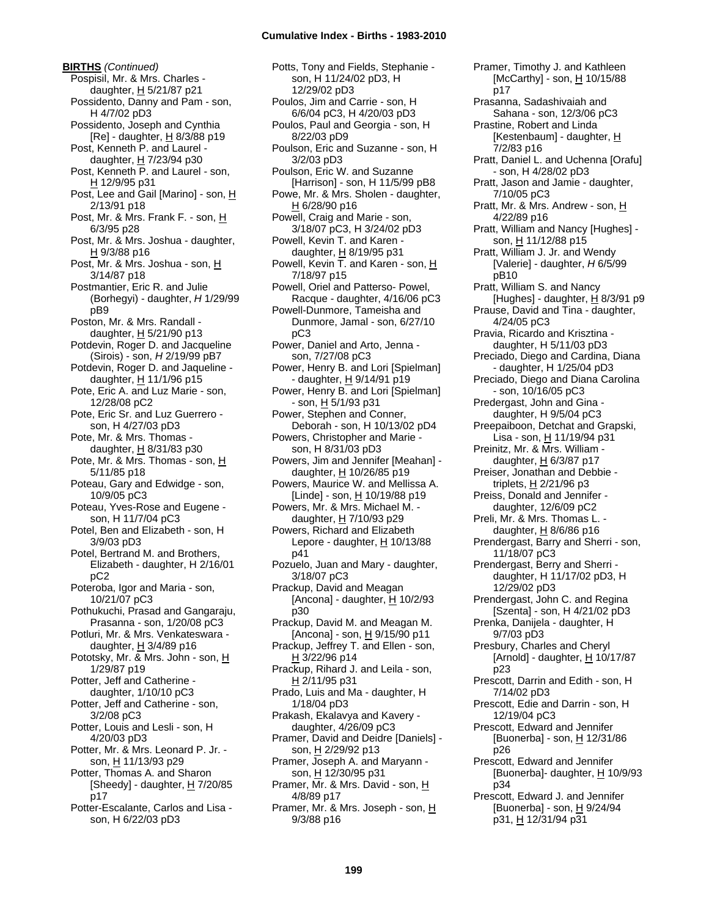**BIRTHS** *(Continued)* Pospisil, Mr. & Mrs. Charles daughter,  $H$  5/21/87 p21 Possidento, Danny and Pam - son, H 4/7/02 pD3 Possidento, Joseph and Cynthia [Re] - daughter,  $H$  8/3/88 p19 Post, Kenneth P. and Laurel daughter,  $H$  7/23/94 p30 Post, Kenneth P. and Laurel - son, H 12/9/95 p31 Post, Lee and Gail [Marino] - son, H 2/13/91 p18 Post, Mr. & Mrs. Frank F. - son, H 6/3/95 p28 Post, Mr. & Mrs. Joshua - daughter, H 9/3/88 p16 Post, Mr. & Mrs. Joshua - son, H 3/14/87 p18 Postmantier, Eric R. and Julie (Borhegyi) - daughter, *H* 1/29/99 pB9 Poston, Mr. & Mrs. Randall daughter, H 5/21/90 p13 Potdevin, Roger D. and Jacqueline (Sirois) - son, *H* 2/19/99 pB7 Potdevin, Roger D. and Jaqueline daughter,  $H$  11/1/96 p15 Pote, Eric A. and Luz Marie - son, 12/28/08 pC2 Pote, Eric Sr. and Luz Guerrero son, H 4/27/03 pD3 Pote, Mr. & Mrs. Thomas daughter, H 8/31/83 p30 Pote, Mr. & Mrs. Thomas - son, H 5/11/85 p18 Poteau, Gary and Edwidge - son, 10/9/05 pC3 Poteau, Yves-Rose and Eugene son, H 11/7/04 pC3 Potel, Ben and Elizabeth - son, H 3/9/03 pD3 Potel, Bertrand M. and Brothers, Elizabeth - daughter, H 2/16/01 pC2 Poteroba, Igor and Maria - son, 10/21/07 pC3 Pothukuchi, Prasad and Gangaraju, Prasanna - son, 1/20/08 pC3 Potluri, Mr. & Mrs. Venkateswara daughter,  $H$  3/4/89 p16 Pototsky, Mr. & Mrs. John - son, H 1/29/87 p19 Potter, Jeff and Catherine daughter, 1/10/10 pC3 Potter, Jeff and Catherine - son, 3/2/08 pC3 Potter, Louis and Lesli - son, H 4/20/03 pD3 Potter, Mr. & Mrs. Leonard P. Jr. son, H 11/13/93 p29 Potter, Thomas A. and Sharon [Sheedy] - daughter, H 7/20/85 p17 Potter-Escalante, Carlos and Lisa son, H 6/22/03 pD3

Potts, Tony and Fields, Stephanie son, H 11/24/02 pD3, H 12/29/02 pD3 Poulos, Jim and Carrie - son, H 6/6/04 pC3, H 4/20/03 pD3 Poulos, Paul and Georgia - son, H 8/22/03 pD9 Poulson, Eric and Suzanne - son, H 3/2/03 pD3 Poulson, Eric W. and Suzanne [Harrison] - son, H 11/5/99 pB8 Powe, Mr. & Mrs. Sholen - daughter, H 6/28/90 p16 Powell, Craig and Marie - son, 3/18/07 pC3, H 3/24/02 pD3 Powell, Kevin T. and Karen daughter, H 8/19/95 p31 Powell, Kevin T. and Karen - son, H 7/18/97 p15 Powell, Oriel and Patterso- Powel, Racque - daughter, 4/16/06 pC3 Powell-Dunmore, Tameisha and Dunmore, Jamal - son, 6/27/10 pC3 Power, Daniel and Arto, Jenna son, 7/27/08 pC3 Power, Henry B. and Lori [Spielman] - daughter, H 9/14/91 p19 Power, Henry B. and Lori [Spielman] - son, H 5/1/93 p31 Power, Stephen and Conner, Deborah - son, H 10/13/02 pD4 Powers, Christopher and Marie son, H 8/31/03 pD3 Powers, Jim and Jennifer [Meahan] daughter, H 10/26/85 p19 Powers, Maurice W. and Mellissa A. [Linde] - son, H 10/19/88 p19 Powers, Mr. & Mrs. Michael M. daughter,  $H$  7/10/93 p29 Powers, Richard and Elizabeth Lepore - daughter,  $H$  10/13/88 p41 Pozuelo, Juan and Mary - daughter, 3/18/07 pC3 Prackup, David and Meagan [Ancona] - daughter, H 10/2/93 p30 Prackup, David M. and Meagan M. [Ancona] - son,  $H$  9/15/90 p11 Prackup, Jeffrey T. and Ellen - son, H 3/22/96 p14 Prackup, Rihard J. and Leila - son, H 2/11/95 p31 Prado, Luis and Ma - daughter, H 1/18/04 pD3 Prakash, Ekalavya and Kavery daughter, 4/26/09 pC3 Pramer, David and Deidre [Daniels] son, H 2/29/92 p13 Pramer, Joseph A. and Maryann son, H 12/30/95 p31 Pramer, Mr. & Mrs. David - son, H 4/8/89 p17 Pramer, Mr. & Mrs. Joseph - son, H 9/3/88 p16

Pramer, Timothy J. and Kathleen [McCarthy] - son, H 10/15/88 p17 Prasanna, Sadashivaiah and Sahana - son, 12/3/06 pC3 Prastine, Robert and Linda [Kestenbaum] - daughter,  $H$ 7/2/83 p16 Pratt, Daniel L. and Uchenna [Orafu] - son, H 4/28/02 pD3 Pratt, Jason and Jamie - daughter, 7/10/05 pC3 Pratt, Mr. & Mrs. Andrew - son, H 4/22/89 p16 Pratt, William and Nancy [Hughes] son, H 11/12/88 p15 Pratt, William J. Jr. and Wendy [Valerie] - daughter, *H* 6/5/99 pB10 Pratt, William S. and Nancy [Hughes] - daughter,  $H$  8/3/91 p9 Prause, David and Tina - daughter, 4/24/05 pC3 Pravia, Ricardo and Krisztina daughter, H 5/11/03 pD3 Preciado, Diego and Cardina, Diana - daughter, H 1/25/04 pD3 Preciado, Diego and Diana Carolina - son, 10/16/05 pC3 Predergast, John and Gina daughter, H 9/5/04 pC3 Preepaiboon, Detchat and Grapski, Lisa - son, H 11/19/94 p31 Preinitz, Mr. & Mrs. William daughter, H 6/3/87 p17 Preiser, Jonathan and Debbie triplets, H 2/21/96 p3 Preiss, Donald and Jennifer daughter, 12/6/09 pC2 Preli, Mr. & Mrs. Thomas L. daughter, H 8/6/86 p16 Prendergast, Barry and Sherri - son, 11/18/07 pC3 Prendergast, Berry and Sherri daughter, H 11/17/02 pD3, H 12/29/02 pD3 Prendergast, John C. and Regina [Szenta] - son, H 4/21/02 pD3 Prenka, Danijela - daughter, H 9/7/03 pD3 Presbury, Charles and Cheryl [Arnold] - daughter,  $H$  10/17/87 p23 Prescott, Darrin and Edith - son, H 7/14/02 pD3 Prescott, Edie and Darrin - son, H 12/19/04 pC3 Prescott, Edward and Jennifer [Buonerba] - son, H 12/31/86 p26 Prescott, Edward and Jennifer [Buonerba]- daughter, H 10/9/93 p34 Prescott, Edward J. and Jennifer

[Buonerba] - son, H 9/24/94 p31, H 12/31/94 p31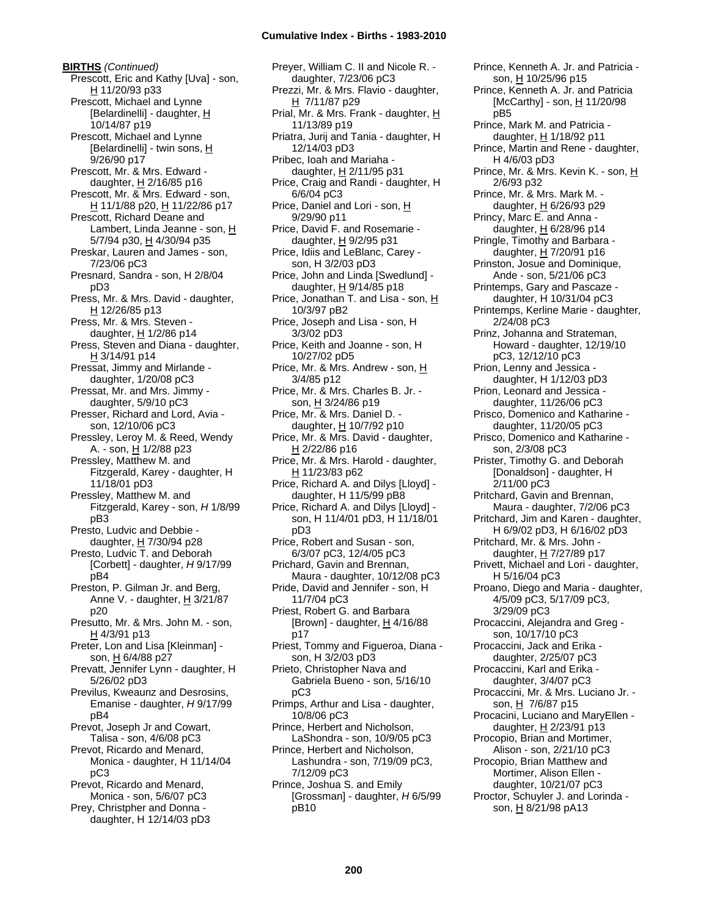**BIRTHS** *(Continued)* Prescott, Eric and Kathy [Uva] - son, H 11/20/93 p33 Prescott, Michael and Lynne [Belardinelli] - daughter, H 10/14/87 p19 Prescott, Michael and Lynne [Belardinelli] - twin sons, H 9/26/90 p17 Prescott, Mr. & Mrs. Edward daughter, H 2/16/85 p16 Prescott, Mr. & Mrs. Edward - son, H 11/1/88 p20, H 11/22/86 p17 Prescott, Richard Deane and Lambert, Linda Jeanne - son, H 5/7/94 p30, H 4/30/94 p35 Preskar, Lauren and James - son, 7/23/06 pC3 Presnard, Sandra - son, H 2/8/04 pD3 Press, Mr. & Mrs. David - daughter,  $H$  12/26/85 p13 Press, Mr. & Mrs. Steven daughter, H 1/2/86 p14 Press, Steven and Diana - daughter, H 3/14/91 p14 Pressat, Jimmy and Mirlande daughter, 1/20/08 pC3 Pressat, Mr. and Mrs. Jimmy daughter, 5/9/10 pC3 Presser, Richard and Lord, Avia son, 12/10/06 pC3 Pressley, Leroy M. & Reed, Wendy A. - son, H 1/2/88 p23 Pressley, Matthew M. and Fitzgerald, Karey - daughter, H 11/18/01 pD3 Pressley, Matthew M. and Fitzgerald, Karey - son, *H* 1/8/99 pB3 Presto, Ludvic and Debbie daughter,  $H$  7/30/94 p28 Presto, Ludvic T. and Deborah [Corbett] - daughter, *H* 9/17/99 pB4 Preston, P. Gilman Jr. and Berg, Anne V. - daughter,  $H$  3/21/87 p20 Presutto, Mr. & Mrs. John M. - son, H 4/3/91 p13 Preter, Lon and Lisa [Kleinman] son, H 6/4/88 p27 Prevatt, Jennifer Lynn - daughter, H 5/26/02 pD3 Previlus, Kweaunz and Desrosins, Emanise - daughter, *H* 9/17/99 pB4 Prevot, Joseph Jr and Cowart, Talisa - son, 4/6/08 pC3 Prevot, Ricardo and Menard, Monica - daughter, H 11/14/04 pC3 Prevot, Ricardo and Menard, Monica - son, 5/6/07 pC3 Prey, Christpher and Donna daughter, H 12/14/03 pD3

Preyer, William C. II and Nicole R. daughter, 7/23/06 pC3 Prezzi, Mr. & Mrs. Flavio - daughter,  $H$  7/11/87 p29 Prial, Mr. & Mrs. Frank - daughter, H 11/13/89 p19 Priatra, Jurij and Tania - daughter, H 12/14/03 pD3 Pribec, Ioah and Mariaha daughter,  $H$  2/11/95 p31 Price, Craig and Randi - daughter, H 6/6/04 pC3 Price, Daniel and Lori - son, H 9/29/90 p11 Price, David F. and Rosemarie daughter,  $H$  9/2/95 p31 Price, Idiis and LeBlanc, Carey son, H 3/2/03 pD3 Price, John and Linda [Swedlund] daughter,  $H$  9/14/85 p18 Price, Jonathan T. and Lisa - son, H 10/3/97 pB2 Price, Joseph and Lisa - son, H 3/3/02 pD3 Price, Keith and Joanne - son, H 10/27/02 pD5 Price, Mr. & Mrs. Andrew - son, H 3/4/85 p12 Price, Mr. & Mrs. Charles B. Jr. son, H 3/24/86 p19 Price, Mr. & Mrs. Daniel D. daughter, H 10/7/92 p10 Price, Mr. & Mrs. David - daughter, H 2/22/86 p16 Price, Mr. & Mrs. Harold - daughter, H 11/23/83 p62 Price, Richard A. and Dilys [Lloyd] daughter, H 11/5/99 pB8 Price, Richard A. and Dilys [Lloyd] son, H 11/4/01 pD3, H 11/18/01 pD3 Price, Robert and Susan - son, 6/3/07 pC3, 12/4/05 pC3 Prichard, Gavin and Brennan, Maura - daughter, 10/12/08 pC3 Pride, David and Jennifer - son, H 11/7/04 pC3 Priest, Robert G. and Barbara [Brown] - daughter,  $\underline{H}$  4/16/88 p17 Priest, Tommy and Figueroa, Diana son, H 3/2/03 pD3 Prieto, Christopher Nava and Gabriela Bueno - son, 5/16/10 pC3 Primps, Arthur and Lisa - daughter, 10/8/06 pC3 Prince, Herbert and Nicholson, LaShondra - son, 10/9/05 pC3 Prince, Herbert and Nicholson, Lashundra - son, 7/19/09 pC3, 7/12/09 pC3 Prince, Joshua S. and Emily [Grossman] - daughter, *H* 6/5/99 pB10

Prince, Kenneth A. Jr. and Patricia son, H 10/25/96 p15 Prince, Kenneth A. Jr. and Patricia [McCarthy] - son,  $H$  11/20/98 pB5 Prince, Mark M. and Patricia daughter,  $H$  1/18/92 p11 Prince, Martin and Rene - daughter, H 4/6/03 pD3 Prince, Mr. & Mrs. Kevin K. - son, H 2/6/93 p32 Prince, Mr. & Mrs. Mark M. daughter,  $H$  6/26/93 p29 Princy, Marc E. and Anna daughter,  $H$  6/28/96 p14 Pringle, Timothy and Barbara daughter, H 7/20/91 p16 Prinston, Josue and Dominique, Ande - son, 5/21/06 pC3 Printemps, Gary and Pascaze daughter, H 10/31/04 pC3 Printemps, Kerline Marie - daughter, 2/24/08 pC3 Prinz, Johanna and Strateman, Howard - daughter, 12/19/10 pC3, 12/12/10 pC3 Prion, Lenny and Jessica daughter, H 1/12/03 pD3 Prion, Leonard and Jessica daughter, 11/26/06 pC3 Prisco, Domenico and Katharine daughter, 11/20/05 pC3 Prisco, Domenico and Katharine son, 2/3/08 pC3 Prister, Timothy G. and Deborah [Donaldson] - daughter, H 2/11/00 pC3 Pritchard, Gavin and Brennan, Maura - daughter, 7/2/06 pC3 Pritchard, Jim and Karen - daughter, H 6/9/02 pD3, H 6/16/02 pD3 Pritchard, Mr. & Mrs. John daughter, H 7/27/89 p17 Privett, Michael and Lori - daughter, H 5/16/04 pC3 Proano, Diego and Maria - daughter, 4/5/09 pC3, 5/17/09 pC3, 3/29/09 pC3 Procaccini, Alejandra and Greg son, 10/17/10 pC3 Procaccini, Jack and Erika daughter, 2/25/07 pC3 Procaccini, Karl and Erika daughter, 3/4/07 pC3 Procaccini, Mr. & Mrs. Luciano Jr. son, H 7/6/87 p15 Procacini, Luciano and MaryEllen daughter, H 2/23/91 p13 Procopio, Brian and Mortimer, Alison - son, 2/21/10 pC3 Procopio, Brian Matthew and Mortimer, Alison Ellen daughter, 10/21/07 pC3 Proctor, Schuyler J. and Lorinda son, H 8/21/98 pA13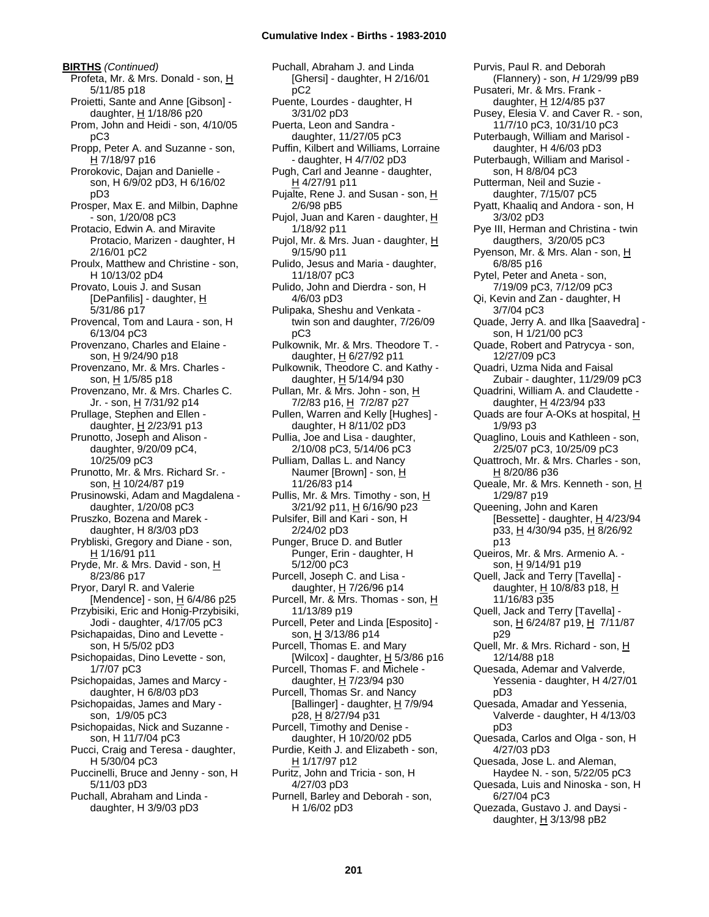**BIRTHS** *(Continued)* Profeta, Mr. & Mrs. Donald - son, H 5/11/85 p18 Proietti, Sante and Anne [Gibson] daughter, H 1/18/86 p20 Prom, John and Heidi - son, 4/10/05 pC3 Propp, Peter A. and Suzanne - son, H 7/18/97 p16 Prorokovic, Dajan and Danielle son, H 6/9/02 pD3, H 6/16/02 pD3 Prosper, Max E. and Milbin, Daphne - son, 1/20/08 pC3 Protacio, Edwin A. and Miravite Protacio, Marizen - daughter, H 2/16/01 pC2 Proulx, Matthew and Christine - son, H 10/13/02 pD4 Provato, Louis J. and Susan [DePanfilis] - daughter, H 5/31/86 p17 Provencal, Tom and Laura - son, H 6/13/04 pC3 Provenzano, Charles and Elaine son, H 9/24/90 p18 Provenzano, Mr. & Mrs. Charles son,  $H$  1/5/85 p18 Provenzano, Mr. & Mrs. Charles C. Jr. - son, H 7/31/92 p14 Prullage, Stephen and Ellen daughter, H 2/23/91 p13 Prunotto, Joseph and Alison daughter, 9/20/09 pC4, 10/25/09 pC3 Prunotto, Mr. & Mrs. Richard Sr. son, H 10/24/87 p19 Prusinowski, Adam and Magdalena daughter, 1/20/08 pC3 Pruszko, Bozena and Marek daughter, H 8/3/03 pD3 Prybliski, Gregory and Diane - son, H 1/16/91 p11 Pryde, Mr. & Mrs. David - son, H 8/23/86 p17 Pryor, Daryl R. and Valerie [Mendence] - son, H 6/4/86 p25 Przybisiki, Eric and Honig-Przybisiki, Jodi - daughter, 4/17/05 pC3 Psichapaidas, Dino and Levette son, H 5/5/02 pD3 Psichopaidas, Dino Levette - son, 1/7/07 pC3 Psichopaidas, James and Marcy daughter, H 6/8/03 pD3 Psichopaidas, James and Mary son, 1/9/05 pC3 Psichopaidas, Nick and Suzanne son, H 11/7/04 pC3 Pucci, Craig and Teresa - daughter, H 5/30/04 pC3 Puccinelli, Bruce and Jenny - son, H 5/11/03 pD3 Puchall, Abraham and Linda daughter, H 3/9/03 pD3

Puchall, Abraham J. and Linda [Ghersi] - daughter, H 2/16/01 pC2 Puente, Lourdes - daughter, H 3/31/02 pD3 Puerta, Leon and Sandra daughter, 11/27/05 pC3 Puffin, Kilbert and Williams, Lorraine - daughter, H 4/7/02 pD3 Pugh, Carl and Jeanne - daughter, H 4/27/91 p11 Pujalte, Rene J. and Susan - son, H 2/6/98 pB5 Pujol, Juan and Karen - daughter, H 1/18/92 p11 Pujol, Mr. & Mrs. Juan - daughter, H 9/15/90 p11 Pulido, Jesus and Maria - daughter, 11/18/07 pC3 Pulido, John and Dierdra - son, H 4/6/03 pD3 Pulipaka, Sheshu and Venkata twin son and daughter, 7/26/09 pC3 Pulkownik, Mr. & Mrs. Theodore T. daughter, H 6/27/92 p11 Pulkownik, Theodore C. and Kathy daughter, H 5/14/94 p30 Pullan, Mr. & Mrs. John - son, H 7/2/83 p16, H 7/2/87 p27 Pullen, Warren and Kelly [Hughes] daughter, H 8/11/02 pD3 Pullia, Joe and Lisa - daughter, 2/10/08 pC3, 5/14/06 pC3 Pulliam, Dallas L. and Nancy Naumer [Brown] - son, H 11/26/83 p14 Pullis, Mr. & Mrs. Timothy - son, H 3/21/92 p11, H 6/16/90 p23 Pulsifer, Bill and Kari - son, H 2/24/02 pD3 Punger, Bruce D. and Butler Punger, Erin - daughter, H 5/12/00 pC3 Purcell, Joseph C. and Lisa daughter,  $H$  7/26/96 p14 Purcell, Mr. & Mrs. Thomas - son, H 11/13/89 p19 Purcell, Peter and Linda [Esposito] son, H 3/13/86 p14 Purcell, Thomas E. and Mary [Wilcox] - daughter, H 5/3/86 p16 Purcell, Thomas F. and Michele daughter, H 7/23/94 p30 Purcell, Thomas Sr. and Nancy [Ballinger] - daughter,  $H$  7/9/94 p28, H 8/27/94 p31 Purcell, Timothy and Denise daughter, H 10/20/02 pD5 Purdie, Keith J. and Elizabeth - son, H 1/17/97 p12 Puritz, John and Tricia - son, H 4/27/03 pD3 Purnell, Barley and Deborah - son, H 1/6/02 pD3

Purvis, Paul R. and Deborah (Flannery) - son, *H* 1/29/99 pB9 Pusateri, Mr. & Mrs. Frank daughter, H 12/4/85 p37 Pusey, Elesia V. and Caver R. - son, 11/7/10 pC3, 10/31/10 pC3 Puterbaugh, William and Marisol daughter, H 4/6/03 pD3 Puterbaugh, William and Marisol son, H 8/8/04 pC3 Putterman, Neil and Suzie daughter, 7/15/07 pC5 Pyatt, Khaaliq and Andora - son, H 3/3/02 pD3 Pye III, Herman and Christina - twin daugthers, 3/20/05 pC3 Pyenson, Mr. & Mrs. Alan - son, H 6/8/85 p16 Pytel, Peter and Aneta - son, 7/19/09 pC3, 7/12/09 pC3 Qi, Kevin and Zan - daughter, H 3/7/04 pC3 Quade, Jerry A. and Ilka [Saavedra] son, H 1/21/00 pC3 Quade, Robert and Patrycya - son, 12/27/09 pC3 Quadri, Uzma Nida and Faisal Zubair - daughter, 11/29/09 pC3 Quadrini, William A. and Claudette daughter, H 4/23/94 p33 Quads are four A-OKs at hospital, H 1/9/93 p3 Quaglino, Louis and Kathleen - son, 2/25/07 pC3, 10/25/09 pC3 Quattroch, Mr. & Mrs. Charles - son, H 8/20/86 p36 Queale, Mr. & Mrs. Kenneth - son, H 1/29/87 p19 Queening, John and Karen [Bessette] - daughter,  $H$  4/23/94 p33, H 4/30/94 p35, H 8/26/92 p13 Queiros, Mr. & Mrs. Armenio A. son, H 9/14/91 p19 Quell, Jack and Terry [Tavella] daughter,  $H$  10/8/83 p18,  $H$ 11/16/83 p35 Quell, Jack and Terry [Tavella] son, H 6/24/87 p19, H 7/11/87 p29 Quell, Mr. & Mrs. Richard - son, H 12/14/88 p18 Quesada, Ademar and Valverde, Yessenia - daughter, H 4/27/01 pD3 Quesada, Amadar and Yessenia, Valverde - daughter, H 4/13/03 pD3 Quesada, Carlos and Olga - son, H 4/27/03 pD3 Quesada, Jose L. and Aleman, Haydee N. - son, 5/22/05 pC3 Quesada, Luis and Ninoska - son, H 6/27/04 pC3 Quezada, Gustavo J. and Daysi daughter,  $H$  3/13/98 pB2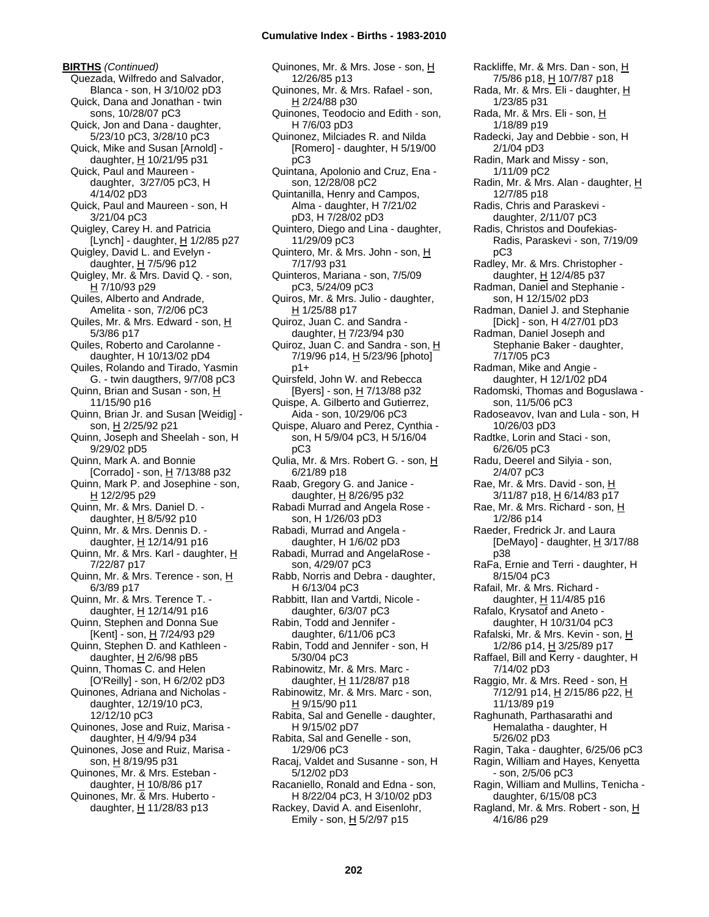**BIRTHS** *(Continued)* Quezada, Wilfredo and Salvador, Blanca - son, H 3/10/02 pD3 Quick, Dana and Jonathan - twin sons, 10/28/07 pC3 Quick, Jon and Dana - daughter, 5/23/10 pC3, 3/28/10 pC3 Quick, Mike and Susan [Arnold] daughter,  $H$  10/21/95 p31 Quick, Paul and Maureen daughter, 3/27/05 pC3, H 4/14/02 pD3 Quick, Paul and Maureen - son, H 3/21/04 pC3 Quigley, Carey H. and Patricia [Lynch] - daughter,  $H$  1/2/85 p27 Quigley, David L. and Evelyn daughter,  $H$  7/5/96 p12 Quigley, Mr. & Mrs. David Q. - son, H 7/10/93 p29 Quiles, Alberto and Andrade, Amelita - son, 7/2/06 pC3 Quiles, Mr. & Mrs. Edward - son, H 5/3/86 p17 Quiles, Roberto and Carolanne daughter, H 10/13/02 pD4 Quiles, Rolando and Tirado, Yasmin G. - twin daugthers, 9/7/08 pC3 Quinn, Brian and Susan - son, H 11/15/90 p16 Quinn, Brian Jr. and Susan [Weidig] son, H 2/25/92 p21 Quinn, Joseph and Sheelah - son, H 9/29/02 pD5 Quinn, Mark A. and Bonnie [Corrado] - son, H 7/13/88 p32 Quinn, Mark P. and Josephine - son, H 12/2/95 p29 Quinn, Mr. & Mrs. Daniel D. daughter,  $H$  8/5/92 p10 Quinn, Mr. & Mrs. Dennis D. daughter,  $H$  12/14/91 p16 Quinn, Mr. & Mrs. Karl - daughter, H 7/22/87 p17 Quinn, Mr. & Mrs. Terence - son, H 6/3/89 p17 Quinn, Mr. & Mrs. Terence T. daughter, H 12/14/91 p16 Quinn, Stephen and Donna Sue [Kent] - son, H 7/24/93 p29 Quinn, Stephen D. and Kathleen daughter,  $H$  2/6/98 pB5 Quinn, Thomas C. and Helen [O'Reilly] - son, H 6/2/02 pD3 Quinones, Adriana and Nicholas daughter, 12/19/10 pC3, 12/12/10 pC3 Quinones, Jose and Ruiz, Marisa daughter, H 4/9/94 p34 Quinones, Jose and Ruiz, Marisa son, H 8/19/95 p31 Quinones, Mr. & Mrs. Esteban daughter, H 10/8/86 p17 Quinones, Mr. & Mrs. Huberto daughter,  $H$  11/28/83 p13

Quinones, Mr. & Mrs. Jose - son, H 12/26/85 p13 Quinones, Mr. & Mrs. Rafael - son, H 2/24/88 p30 Quinones, Teodocio and Edith - son, H 7/6/03 pD3 Quinonez, Milciades R. and Nilda [Romero] - daughter, H 5/19/00 pC3 Quintana, Apolonio and Cruz, Ena son, 12/28/08 pC2 Quintanilla, Henry and Campos, Alma - daughter, H 7/21/02 pD3, H 7/28/02 pD3 Quintero, Diego and Lina - daughter, 11/29/09 pC3 Quintero, Mr. & Mrs. John - son, H 7/17/93 p31 Quinteros, Mariana - son, 7/5/09 pC3, 5/24/09 pC3 Quiros, Mr. & Mrs. Julio - daughter, H 1/25/88 p17 Quiroz, Juan C. and Sandra daughter, H 7/23/94 p30 Quiroz, Juan C. and Sandra - son, H 7/19/96 p14, H 5/23/96 [photo] p1+ Quirsfeld, John W. and Rebecca [Byers] - son, H 7/13/88 p32 Quispe, A. Gilberto and Gutierrez, Aida - son, 10/29/06 pC3 Quispe, Aluaro and Perez, Cynthia son, H 5/9/04 pC3, H 5/16/04 pC3 Qulia, Mr. & Mrs. Robert G. - son, H 6/21/89 p18 Raab, Gregory G. and Janice daughter, H 8/26/95 p32 Rabadi Murrad and Angela Rose son, H 1/26/03 pD3 Rabadi, Murrad and Angela daughter, H 1/6/02 pD3 Rabadi, Murrad and AngelaRose son, 4/29/07 pC3 Rabb, Norris and Debra - daughter, H 6/13/04 pC3 Rabbitt, IIan and Vartdi, Nicole daughter, 6/3/07 pC3 Rabin, Todd and Jennifer daughter, 6/11/06 pC3 Rabin, Todd and Jennifer - son, H 5/30/04 pC3 Rabinowitz, Mr. & Mrs. Marc daughter, H 11/28/87 p18 Rabinowitz, Mr. & Mrs. Marc - son, H 9/15/90 p11 Rabita, Sal and Genelle - daughter, H 9/15/02 pD7 Rabita, Sal and Genelle - son, 1/29/06 pC3 Racaj, Valdet and Susanne - son, H 5/12/02 pD3 Racaniello, Ronald and Edna - son, H 8/22/04 pC3, H 3/10/02 pD3 Rackey, David A. and Eisenlohr, Emily - son,  $H$  5/2/97 p15

Rackliffe, Mr. & Mrs. Dan - son, H 7/5/86 p18, H 10/7/87 p18 Rada, Mr. & Mrs. Eli - daughter, H 1/23/85 p31 Rada, Mr. & Mrs. Eli - son, H 1/18/89 p19 Radecki, Jay and Debbie - son, H 2/1/04 pD3 Radin, Mark and Missy - son, 1/11/09 pC2 Radin, Mr. & Mrs. Alan - daughter, H 12/7/85 p18 Radis, Chris and Paraskevi daughter, 2/11/07 pC3 Radis, Christos and Doufekias-Radis, Paraskevi - son, 7/19/09 pC3 Radley, Mr. & Mrs. Christopher daughter, H 12/4/85 p37 Radman, Daniel and Stephanie son, H 12/15/02 pD3 Radman, Daniel J. and Stephanie [Dick] - son, H 4/27/01 pD3 Radman, Daniel Joseph and Stephanie Baker - daughter, 7/17/05 pC3 Radman, Mike and Angie daughter, H 12/1/02 pD4 Radomski, Thomas and Boguslawa son, 11/5/06 pC3 Radoseavov, Ivan and Lula - son, H 10/26/03 pD3 Radtke, Lorin and Staci - son, 6/26/05 pC3 Radu, Deerel and Silyia - son, 2/4/07 pC3 Rae, Mr. & Mrs. David - son, H 3/11/87 p18, H 6/14/83 p17 Rae, Mr. & Mrs. Richard - son, H 1/2/86 p14 Raeder, Fredrick Jr. and Laura [DeMayo] - daughter,  $H \frac{3}{17/88}$ p38 RaFa, Ernie and Terri - daughter, H 8/15/04 pC3 Rafail, Mr. & Mrs. Richard daughter, H 11/4/85 p16 Rafalo, Krysatof and Aneto daughter, H 10/31/04 pC3 Rafalski, Mr. & Mrs. Kevin - son, H 1/2/86 p14, H 3/25/89 p17 Raffael, Bill and Kerry - daughter, H 7/14/02 pD3 Raggio, Mr. & Mrs. Reed - son, H 7/12/91 p14, H 2/15/86 p22, H 11/13/89 p19 Raghunath, Parthasarathi and Hemalatha - daughter, H 5/26/02 pD3 Ragin, Taka - daughter, 6/25/06 pC3 Ragin, William and Hayes, Kenyetta - son, 2/5/06 pC3 Ragin, William and Mullins, Tenicha daughter, 6/15/08 pC3 Ragland, Mr. & Mrs. Robert - son, H 4/16/86 p29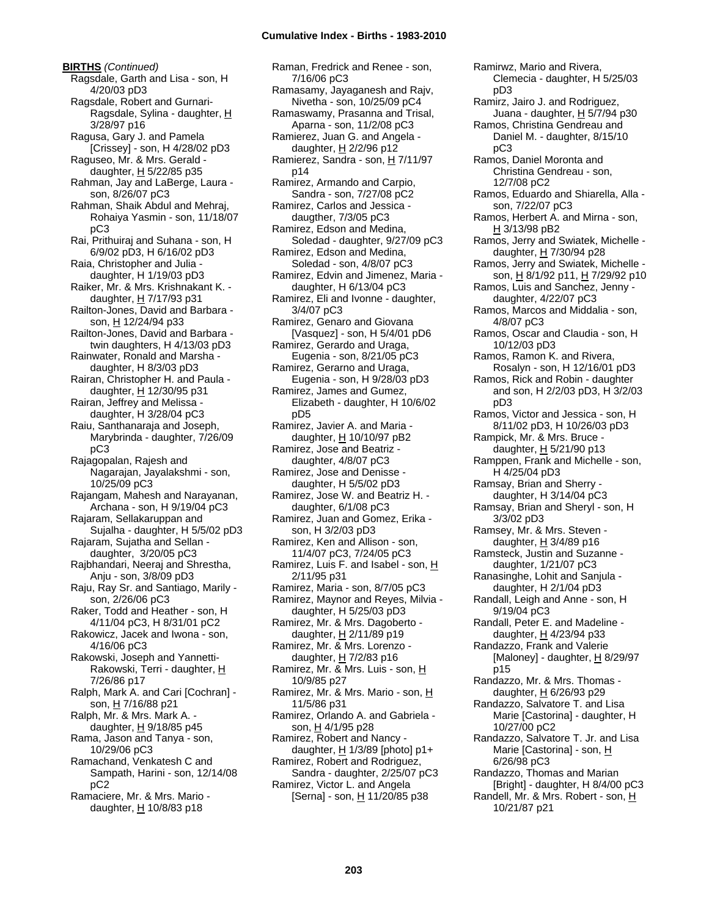**BIRTHS** *(Continued)* Ragsdale, Garth and Lisa - son, H 4/20/03 pD3 Ragsdale, Robert and Gurnari-Ragsdale, Sylina - daughter, H 3/28/97 p16 Ragusa, Gary J. and Pamela [Crissey] - son, H 4/28/02 pD3 Raguseo, Mr. & Mrs. Gerald daughter,  $H$  5/22/85 p35 Rahman, Jay and LaBerge, Laura son, 8/26/07 pC3 Rahman, Shaik Abdul and Mehraj, Rohaiya Yasmin - son, 11/18/07 pC3 Rai, Prithuiraj and Suhana - son, H 6/9/02 pD3, H 6/16/02 pD3 Raia, Christopher and Julia daughter, H 1/19/03 pD3 Raiker, Mr. & Mrs. Krishnakant K. daughter, H 7/17/93 p31 Railton-Jones, David and Barbara son, H 12/24/94 p33 Railton-Jones, David and Barbara twin daughters, H 4/13/03 pD3 Rainwater, Ronald and Marsha daughter, H 8/3/03 pD3 Rairan, Christopher H. and Paula daughter, H 12/30/95 p31 Rairan, Jeffrey and Melissa daughter, H 3/28/04 pC3 Raiu, Santhanaraja and Joseph, Marybrinda - daughter, 7/26/09 pC3 Rajagopalan, Rajesh and Nagarajan, Jayalakshmi - son, 10/25/09 pC3 Rajangam, Mahesh and Narayanan, Archana - son, H 9/19/04 pC3 Rajaram, Sellakaruppan and Sujalha - daughter, H 5/5/02 pD3 Rajaram, Sujatha and Sellan daughter, 3/20/05 pC3 Rajbhandari, Neeraj and Shrestha, Anju - son, 3/8/09 pD3 Raju, Ray Sr. and Santiago, Marily son, 2/26/06 pC3 Raker, Todd and Heather - son, H 4/11/04 pC3, H 8/31/01 pC2 Rakowicz, Jacek and Iwona - son, 4/16/06 pC3 Rakowski, Joseph and Yannetti-Rakowski, Terri - daughter, H 7/26/86 p17 Ralph, Mark A. and Cari [Cochran] son, H 7/16/88 p21 Ralph, Mr. & Mrs. Mark A. daughter, H 9/18/85 p45 Rama, Jason and Tanya - son, 10/29/06 pC3 Ramachand, Venkatesh C and Sampath, Harini - son, 12/14/08 pC2 Ramaciere, Mr. & Mrs. Mario daughter,  $H$  10/8/83 p18

Raman, Fredrick and Renee - son, 7/16/06 pC3 Ramasamy, Jayaganesh and Rajv, Nivetha - son, 10/25/09 pC4 Ramaswamy, Prasanna and Trisal, Aparna - son, 11/2/08 pC3 Ramierez, Juan G. and Angela daughter, H 2/2/96 p12 Ramierez, Sandra - son, H 7/11/97 p14 Ramirez, Armando and Carpio, Sandra - son, 7/27/08 pC2 Ramirez, Carlos and Jessica daugther, 7/3/05 pC3 Ramirez, Edson and Medina, Soledad - daughter, 9/27/09 pC3 Ramirez, Edson and Medina, Soledad - son, 4/8/07 pC3 Ramirez, Edvin and Jimenez, Maria daughter, H 6/13/04 pC3 Ramirez, Eli and Ivonne - daughter, 3/4/07 pC3 Ramirez, Genaro and Giovana [Vasquez] - son, H 5/4/01 pD6 Ramirez, Gerardo and Uraga, Eugenia - son, 8/21/05 pC3 Ramirez, Gerarno and Uraga, Eugenia - son, H 9/28/03 pD3 Ramirez, James and Gumez, Elizabeth - daughter, H 10/6/02 pD5 Ramirez, Javier A. and Maria daughter,  $H$  10/10/97 pB2 Ramirez, Jose and Beatriz daughter, 4/8/07 pC3 Ramirez, Jose and Denisse daughter, H 5/5/02 pD3 Ramirez, Jose W. and Beatriz H. daughter, 6/1/08 pC3 Ramirez, Juan and Gomez, Erika son, H 3/2/03 pD3 Ramirez, Ken and Allison - son, 11/4/07 pC3, 7/24/05 pC3 Ramirez, Luis F. and Isabel - son, H 2/11/95 p31 Ramirez, Maria - son, 8/7/05 pC3 Ramirez, Maynor and Reyes, Milvia daughter, H 5/25/03 pD3 Ramirez, Mr. & Mrs. Dagoberto daughter,  $H$  2/11/89 p19 Ramirez, Mr. & Mrs. Lorenzo daughter, H 7/2/83 p16 Ramirez, Mr. & Mrs. Luis - son, H 10/9/85 p27 Ramirez, Mr. & Mrs. Mario - son, H 11/5/86 p31 Ramirez, Orlando A. and Gabriela son, H 4/1/95 p28 Ramirez, Robert and Nancy daughter,  $H \frac{1}{3}$  1/3/89 [photo] p1+ Ramirez, Robert and Rodriguez, Sandra - daughter, 2/25/07 pC3 Ramirez, Victor L. and Angela [Serna] - son, H 11/20/85 p38

Clemecia - daughter, H 5/25/03 pD3 Ramirz, Jairo J. and Rodriguez, Juana - daughter, H 5/7/94 p30 Ramos, Christina Gendreau and Daniel M. - daughter, 8/15/10 pC3 Ramos, Daniel Moronta and Christina Gendreau - son, 12/7/08 pC2 Ramos, Eduardo and Shiarella, Alla son, 7/22/07 pC3 Ramos, Herbert A. and Mirna - son, H 3/13/98 pB2 Ramos, Jerry and Swiatek, Michelle daughter, H 7/30/94 p28 Ramos, Jerry and Swiatek, Michelle son, H 8/1/92 p11, H 7/29/92 p10 Ramos, Luis and Sanchez, Jenny daughter, 4/22/07 pC3 Ramos, Marcos and Middalia - son, 4/8/07 pC3 Ramos, Oscar and Claudia - son, H 10/12/03 pD3 Ramos, Ramon K. and Rivera, Rosalyn - son, H 12/16/01 pD3 Ramos, Rick and Robin - daughter and son, H 2/2/03 pD3, H 3/2/03 pD3 Ramos, Victor and Jessica - son, H 8/11/02 pD3, H 10/26/03 pD3 Rampick, Mr. & Mrs. Bruce daughter, H 5/21/90 p13 Ramppen, Frank and Michelle - son, H 4/25/04 pD3 Ramsay, Brian and Sherry daughter, H 3/14/04 pC3 Ramsay, Brian and Sheryl - son, H 3/3/02 pD3 Ramsey, Mr. & Mrs. Steven daughter,  $H$  3/4/89 p16 Ramsteck, Justin and Suzanne daughter, 1/21/07 pC3 Ranasinghe, Lohit and Sanjula daughter, H 2/1/04 pD3 Randall, Leigh and Anne - son, H 9/19/04 pC3 Randall, Peter E. and Madeline daughter, H 4/23/94 p33 Randazzo, Frank and Valerie [Maloney] - daughter,  $H$  8/29/97 p15 Randazzo, Mr. & Mrs. Thomas daughter,  $H$  6/26/93 p29 Randazzo, Salvatore T. and Lisa Marie [Castorina] - daughter, H 10/27/00 pC2 Randazzo, Salvatore T. Jr. and Lisa Marie [Castorina] - son, H 6/26/98 pC3 Randazzo, Thomas and Marian [Bright] - daughter, H 8/4/00 pC3 Randell, Mr. & Mrs. Robert - son, H 10/21/87 p21

Ramirwz, Mario and Rivera,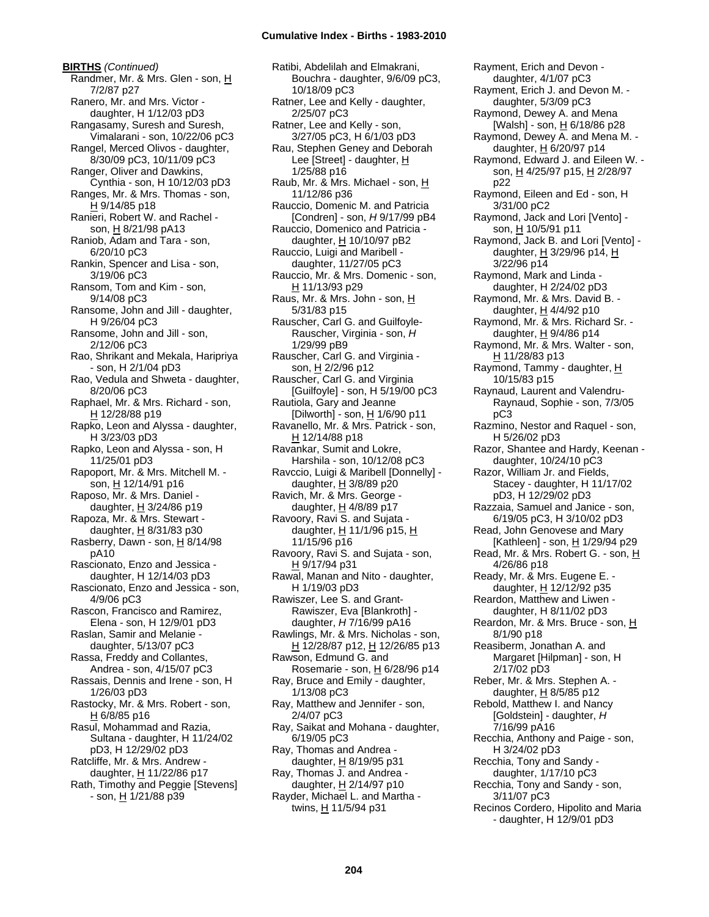**BIRTHS** *(Continued)* Randmer, Mr. & Mrs. Glen - son, H 7/2/87 p27 Ranero, Mr. and Mrs. Victor daughter, H 1/12/03 pD3 Rangasamy, Suresh and Suresh, Vimalarani - son, 10/22/06 pC3 Rangel, Merced Olivos - daughter, 8/30/09 pC3, 10/11/09 pC3 Ranger, Oliver and Dawkins, Cynthia - son, H 10/12/03 pD3 Ranges, Mr. & Mrs. Thomas - son, H 9/14/85 p18 Ranieri, Robert W. and Rachel son, H 8/21/98 pA13 Raniob, Adam and Tara - son, 6/20/10 pC3 Rankin, Spencer and Lisa - son, 3/19/06 pC3 Ransom, Tom and Kim - son, 9/14/08 pC3 Ransome, John and Jill - daughter, H 9/26/04 pC3 Ransome, John and Jill - son, 2/12/06 pC3 Rao, Shrikant and Mekala, Haripriya - son, H 2/1/04 pD3 Rao, Vedula and Shweta - daughter, 8/20/06 pC3 Raphael, Mr. & Mrs. Richard - son, H 12/28/88 p19 Rapko, Leon and Alyssa - daughter, H 3/23/03 pD3 Rapko, Leon and Alyssa - son, H 11/25/01 pD3 Rapoport, Mr. & Mrs. Mitchell M. son, H 12/14/91 p16 Raposo, Mr. & Mrs. Daniel daughter, H 3/24/86 p19 Rapoza, Mr. & Mrs. Stewart daughter, H 8/31/83 p30 Rasberry, Dawn - son,  $H$  8/14/98 pA10 Rascionato, Enzo and Jessica daughter, H 12/14/03 pD3 Rascionato, Enzo and Jessica - son, 4/9/06 pC3 Rascon, Francisco and Ramirez, Elena - son, H 12/9/01 pD3 Raslan, Samir and Melanie daughter, 5/13/07 pC3 Rassa, Freddy and Collantes, Andrea - son, 4/15/07 pC3 Rassais, Dennis and Irene - son, H 1/26/03 pD3 Rastocky, Mr. & Mrs. Robert - son, H 6/8/85 p16 Rasul, Mohammad and Razia, Sultana - daughter, H 11/24/02 pD3, H 12/29/02 pD3 Ratcliffe, Mr. & Mrs. Andrew daughter, H 11/22/86 p17 Rath, Timothy and Peggie [Stevens] - son, H 1/21/88 p39

Ratibi, Abdelilah and Elmakrani, Bouchra - daughter, 9/6/09 pC3, 10/18/09 pC3 Ratner, Lee and Kelly - daughter, 2/25/07 pC3 Ratner, Lee and Kelly - son, 3/27/05 pC3, H 6/1/03 pD3 Rau, Stephen Geney and Deborah Lee [Street] - daughter, H 1/25/88 p16 Raub, Mr. & Mrs. Michael - son, H 11/12/86 p36 Rauccio, Domenic M. and Patricia [Condren] - son, *H* 9/17/99 pB4 Rauccio, Domenico and Patricia daughter,  $H$  10/10/97 pB2 Rauccio, Luigi and Maribell daughter, 11/27/05 pC3 Rauccio, Mr. & Mrs. Domenic - son, H 11/13/93 p29 Raus, Mr. & Mrs. John - son, H 5/31/83 p15 Rauscher, Carl G. and Guilfoyle-Rauscher, Virginia - son, *H* 1/29/99 pB9 Rauscher, Carl G. and Virginia son, H 2/2/96 p12 Rauscher, Carl G. and Virginia [Guilfoyle] - son, H 5/19/00 pC3 Rautiola, Gary and Jeanne [Dilworth] - son,  $H$  1/6/90 p11 Ravanello, Mr. & Mrs. Patrick - son, H 12/14/88 p18 Ravankar, Sumit and Lokre, Harshila - son, 10/12/08 pC3 Ravccio, Luigi & Maribell [Donnelly] daughter, H 3/8/89 p20 Ravich, Mr. & Mrs. George daughter, H 4/8/89 p17 Ravoory, Ravi S. and Sujata daughter, H 11/1/96 p15, H 11/15/96 p16 Ravoory, Ravi S. and Sujata - son, H 9/17/94 p31 Rawal, Manan and Nito - daughter, H 1/19/03 pD3 Rawiszer, Lee S. and Grant-Rawiszer, Eva [Blankroth] daughter, *H* 7/16/99 pA16 Rawlings, Mr. & Mrs. Nicholas - son, H 12/28/87 p12, H 12/26/85 p13 Rawson, Edmund G. and Rosemarie - son,  $H_0$  6/28/96 p14 Ray, Bruce and Emily - daughter, 1/13/08 pC3 Ray, Matthew and Jennifer - son, 2/4/07 pC3 Ray, Saikat and Mohana - daughter, 6/19/05 pC3 Ray, Thomas and Andrea daughter,  $H$  8/19/95 p31 Ray, Thomas J. and Andrea daughter, H 2/14/97 p10 Rayder, Michael L. and Martha twins, H 11/5/94 p31

daughter, 4/1/07 pC3 Rayment, Erich J. and Devon M. daughter, 5/3/09 pC3 Raymond, Dewey A. and Mena [Walsh] - son, H 6/18/86 p28 Raymond, Dewey A. and Mena M. daughter, H 6/20/97 p14 Raymond, Edward J. and Eileen W. son, H 4/25/97 p15, H 2/28/97 p22 Raymond, Eileen and Ed - son, H 3/31/00 pC2 Raymond, Jack and Lori [Vento] son, H 10/5/91 p11 Raymond, Jack B. and Lori [Vento] daughter, H 3/29/96 p14, H 3/22/96 p14 Raymond, Mark and Linda daughter, H 2/24/02 pD3 Raymond, Mr. & Mrs. David B. daughter,  $H$  4/4/92 p10 Raymond, Mr. & Mrs. Richard Sr. daughter, H 9/4/86 p14 Raymond, Mr. & Mrs. Walter - son, H 11/28/83 p13 Raymond, Tammy - daughter, H 10/15/83 p15 Raynaud, Laurent and Valendru-Raynaud, Sophie - son, 7/3/05 pC3 Razmino, Nestor and Raquel - son, H 5/26/02 pD3 Razor, Shantee and Hardy, Keenan daughter, 10/24/10 pC3 Razor, William Jr. and Fields, Stacey - daughter, H 11/17/02 pD3, H 12/29/02 pD3 Razzaia, Samuel and Janice - son, 6/19/05 pC3, H 3/10/02 pD3 Read, John Genovese and Mary [Kathleen] - son,  $H$  1/29/94 p29 Read, Mr. & Mrs. Robert G. - son, H 4/26/86 p18 Ready, Mr. & Mrs. Eugene E. daughter,  $H$  12/12/92 p35 Reardon, Matthew and Liwen daughter, H 8/11/02 pD3 Reardon, Mr. & Mrs. Bruce - son, H 8/1/90 p18 Reasiberm, Jonathan A. and Margaret [Hilpman] - son, H 2/17/02 pD3 Reber, Mr. & Mrs. Stephen A. daughter,  $H$  8/5/85 p12 Rebold, Matthew I. and Nancy [Goldstein] - daughter, *H* 7/16/99 pA16 Recchia, Anthony and Paige - son, H 3/24/02 pD3 Recchia, Tony and Sandy daughter, 1/17/10 pC3 Recchia, Tony and Sandy - son, 3/11/07 pC3 Recinos Cordero, Hipolito and Maria - daughter, H 12/9/01 pD3

Rayment, Erich and Devon -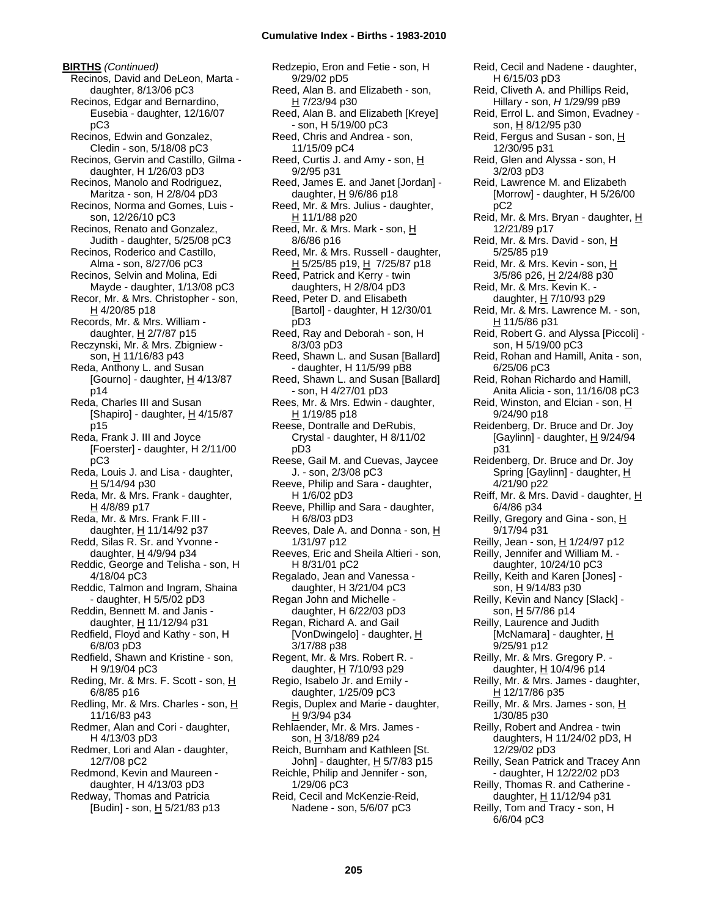**BIRTHS** *(Continued)* Recinos, David and DeLeon, Marta daughter, 8/13/06 pC3 Recinos, Edgar and Bernardino, Eusebia - daughter, 12/16/07 pC3 Recinos, Edwin and Gonzalez, Cledin - son, 5/18/08 pC3 Recinos, Gervin and Castillo, Gilma daughter, H 1/26/03 pD3 Recinos, Manolo and Rodriguez, Maritza - son, H 2/8/04 pD3 Recinos, Norma and Gomes, Luis son, 12/26/10 pC3 Recinos, Renato and Gonzalez, Judith - daughter, 5/25/08 pC3 Recinos, Roderico and Castillo, Alma - son, 8/27/06 pC3 Recinos, Selvin and Molina, Edi Mayde - daughter, 1/13/08 pC3 Recor, Mr. & Mrs. Christopher - son,  $H$  4/20/85 p18 Records, Mr. & Mrs. William daughter, H 2/7/87 p15 Reczynski, Mr. & Mrs. Zbigniew son, H 11/16/83 p43 Reda, Anthony L. and Susan [Gourno] - daughter,  $H$  4/13/87 p14 Reda, Charles III and Susan [Shapiro] - daughter,  $H$  4/15/87 p15 Reda, Frank J. III and Joyce [Foerster] - daughter, H 2/11/00 pC3 Reda, Louis J. and Lisa - daughter, H 5/14/94 p30 Reda, Mr. & Mrs. Frank - daughter, H 4/8/89 p17 Reda, Mr. & Mrs. Frank F.III daughter, H 11/14/92 p37 Redd, Silas R. Sr. and Yvonne daughter, H 4/9/94 p34 Reddic, George and Telisha - son, H 4/18/04 pC3 Reddic, Talmon and Ingram, Shaina - daughter, H 5/5/02 pD3 Reddin, Bennett M. and Janis daughter, H 11/12/94 p31 Redfield, Floyd and Kathy - son, H 6/8/03 pD3 Redfield, Shawn and Kristine - son, H 9/19/04 pC3 Reding, Mr. & Mrs. F. Scott - son, H 6/8/85 p16 Redling, Mr. & Mrs. Charles - son, H 11/16/83 p43 Redmer, Alan and Cori - daughter, H 4/13/03 pD3 Redmer, Lori and Alan - daughter, 12/7/08 pC2 Redmond, Kevin and Maureen daughter, H 4/13/03 pD3 Redway, Thomas and Patricia [Budin] - son, H 5/21/83 p13

Redzepio, Eron and Fetie - son, H 9/29/02 pD5 Reed, Alan B. and Elizabeth - son, H 7/23/94 p30 Reed, Alan B. and Elizabeth [Kreye] - son, H 5/19/00 pC3 Reed, Chris and Andrea - son, 11/15/09 pC4 Reed, Curtis J. and Amy - son, H 9/2/95 p31 Reed, James E. and Janet [Jordan] daughter,  $H$  9/6/86 p18 Reed, Mr. & Mrs. Julius - daughter, H 11/1/88 p20 Reed, Mr. & Mrs. Mark - son,  $H$ 8/6/86 p16 Reed, Mr. & Mrs. Russell - daughter,  $H$  5/25/85 p19,  $H$  7/25/87 p18 Reed, Patrick and Kerry - twin daughters, H 2/8/04 pD3 Reed, Peter D. and Elisabeth [Bartol] - daughter, H 12/30/01 pD3 Reed, Ray and Deborah - son, H 8/3/03 pD3 Reed, Shawn L. and Susan [Ballard] - daughter, H 11/5/99 pB8 Reed, Shawn L. and Susan [Ballard] - son, H 4/27/01 pD3 Rees, Mr. & Mrs. Edwin - daughter,  $H$  1/19/85 p18 Reese, Dontralle and DeRubis, Crystal - daughter, H 8/11/02 pD3 Reese, Gail M. and Cuevas, Jaycee J. - son, 2/3/08 pC3 Reeve, Philip and Sara - daughter, H 1/6/02 pD3 Reeve, Phillip and Sara - daughter, H 6/8/03 pD3 Reeves, Dale A. and Donna - son, H 1/31/97 p12 Reeves, Eric and Sheila Altieri - son, H 8/31/01 pC2 Regalado, Jean and Vanessa daughter, H 3/21/04 pC3 Regan John and Michelle daughter, H 6/22/03 pD3 Regan, Richard A. and Gail [VonDwingelo] - daughter, H 3/17/88 p38 Regent, Mr. & Mrs. Robert R. daughter, H 7/10/93 p29 Regio, Isabelo Jr. and Emily daughter, 1/25/09 pC3 Regis, Duplex and Marie - daughter, H 9/3/94 p34 Rehlaender, Mr. & Mrs. James son, H 3/18/89 p24 Reich, Burnham and Kathleen [St. John] - daughter,  $H$  5/7/83 p15 Reichle, Philip and Jennifer - son, 1/29/06 pC3 Reid, Cecil and McKenzie-Reid, Nadene - son, 5/6/07 pC3

Reid, Fergus and Susan - son, H 12/30/95 p31 Reid, Glen and Alyssa - son, H 3/2/03 pD3 Reid, Lawrence M. and Elizabeth [Morrow] - daughter, H 5/26/00 pC2 Reid, Mr. & Mrs. Bryan - daughter, H 12/21/89 p17 Reid, Mr. & Mrs. David - son, H 5/25/85 p19 Reid, Mr. & Mrs. Kevin - son, H 3/5/86 p26, H 2/24/88 p30 Reid, Mr. & Mrs. Kevin K. daughter, H 7/10/93 p29 Reid, Mr. & Mrs. Lawrence M. - son, H 11/5/86 p31 Reid, Robert G. and Alyssa [Piccoli] son, H 5/19/00 pC3 Reid, Rohan and Hamill, Anita - son, 6/25/06 pC3 Reid, Rohan Richardo and Hamill, Anita Alicia - son, 11/16/08 pC3 Reid, Winston, and Elcian - son, H 9/24/90 p18 Reidenberg, Dr. Bruce and Dr. Joy [Gaylinn] - daughter,  $H$  9/24/94 p31 Reidenberg, Dr. Bruce and Dr. Joy Spring [Gaylinn] - daughter, H 4/21/90 p22 Reiff, Mr. & Mrs. David - daughter, H 6/4/86 p34 Reilly, Gregory and Gina - son,  $H$ 9/17/94 p31 Reilly, Jean - son,  $H$  1/24/97 p12 Reilly, Jennifer and William M. daughter, 10/24/10 pC3 Reilly, Keith and Karen [Jones] son, H 9/14/83 p30 Reilly, Kevin and Nancy [Slack] son, H 5/7/86 p14 Reilly, Laurence and Judith [McNamara] - daughter, H 9/25/91 p12 Reilly, Mr. & Mrs. Gregory P. daughter,  $H$  10/4/96 p14 Reilly, Mr. & Mrs. James - daughter, H 12/17/86 p35 Reilly, Mr. & Mrs. James - son, H 1/30/85 p30 Reilly, Robert and Andrea - twin daughters, H 11/24/02 pD3, H 12/29/02 pD3 Reilly, Sean Patrick and Tracey Ann - daughter, H 12/22/02 pD3 Reilly, Thomas R. and Catherine daughter,  $H$  11/12/94 p31 Reilly, Tom and Tracy - son, H 6/6/04 pC3

Reid, Cecil and Nadene - daughter,

Reid, Cliveth A. and Phillips Reid, Hillary - son, *H* 1/29/99 pB9 Reid, Errol L. and Simon, Evadney son, H 8/12/95 p30

H 6/15/03 pD3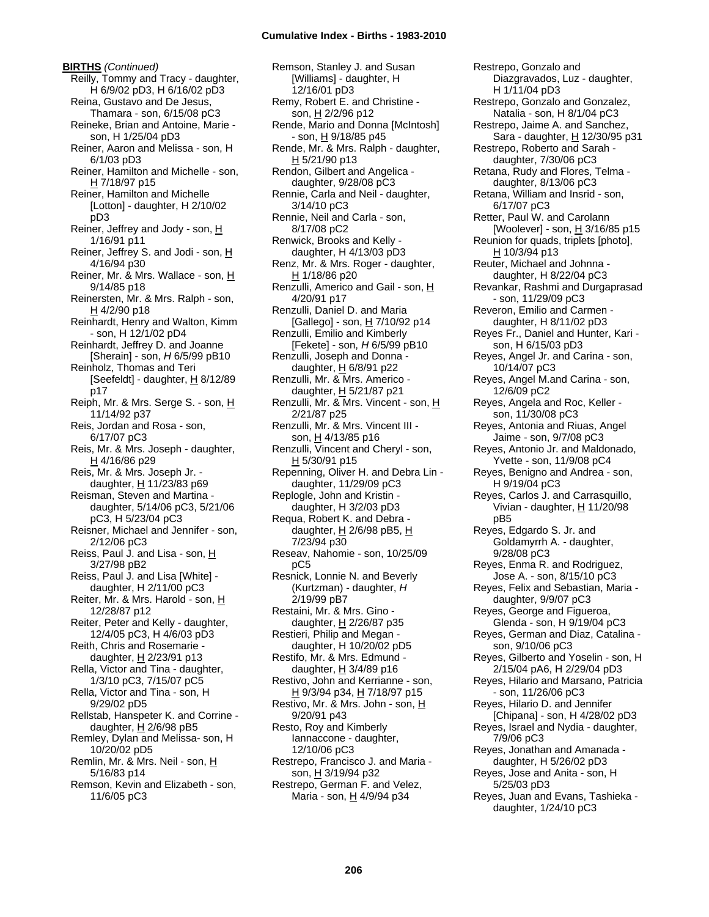**BIRTHS** *(Continued)* Reilly, Tommy and Tracy - daughter, H 6/9/02 pD3, H 6/16/02 pD3 Reina, Gustavo and De Jesus, Thamara - son, 6/15/08 pC3 Reineke, Brian and Antoine, Marie son, H 1/25/04 pD3 Reiner, Aaron and Melissa - son, H 6/1/03 pD3 Reiner, Hamilton and Michelle - son, H 7/18/97 p15 Reiner, Hamilton and Michelle [Lotton] - daughter, H 2/10/02 pD3 Reiner, Jeffrey and Jody - son, H 1/16/91 p11 Reiner, Jeffrey S. and Jodi - son, H 4/16/94 p30 Reiner, Mr. & Mrs. Wallace - son, H 9/14/85 p18 Reinersten, Mr. & Mrs. Ralph - son,  $H$  4/2/90 p18 Reinhardt, Henry and Walton, Kimm - son, H 12/1/02 pD4 Reinhardt, Jeffrey D. and Joanne [Sherain] - son, *H* 6/5/99 pB10 Reinholz, Thomas and Teri [Seefeldt] - daughter,  $H$  8/12/89 p17 Reiph, Mr. & Mrs. Serge S. - son, H 11/14/92 p37 Reis, Jordan and Rosa - son, 6/17/07 pC3 Reis, Mr. & Mrs. Joseph - daughter, H 4/16/86 p29 Reis, Mr. & Mrs. Joseph Jr. daughter, H 11/23/83 p69 Reisman, Steven and Martina daughter, 5/14/06 pC3, 5/21/06 pC3, H 5/23/04 pC3 Reisner, Michael and Jennifer - son, 2/12/06 pC3 Reiss, Paul J. and Lisa - son, H 3/27/98 pB2 Reiss, Paul J. and Lisa [White] daughter, H 2/11/00 pC3 Reiter, Mr. & Mrs. Harold - son, H 12/28/87 p12 Reiter, Peter and Kelly - daughter, 12/4/05 pC3, H 4/6/03 pD3 Reith, Chris and Rosemarie daughter,  $H$  2/23/91 p13 Rella, Victor and Tina - daughter, 1/3/10 pC3, 7/15/07 pC5 Rella, Victor and Tina - son, H 9/29/02 pD5 Rellstab, Hanspeter K. and Corrine daughter,  $H$  2/6/98 pB5 Remley, Dylan and Melissa- son, H 10/20/02 pD5 Remlin, Mr. & Mrs. Neil - son, H 5/16/83 p14 Remson, Kevin and Elizabeth - son, 11/6/05 pC3

Remson, Stanley J. and Susan [Williams] - daughter, H 12/16/01 pD3 Remy, Robert E. and Christine son, H 2/2/96 p12 Rende, Mario and Donna [McIntosh] - son, H 9/18/85 p45 Rende, Mr. & Mrs. Ralph - daughter,  $H$  5/21/90 p13 Rendon, Gilbert and Angelica daughter, 9/28/08 pC3 Rennie, Carla and Neil - daughter, 3/14/10 pC3 Rennie, Neil and Carla - son, 8/17/08 pC2 Renwick, Brooks and Kelly daughter, H 4/13/03 pD3 Renz, Mr. & Mrs. Roger - daughter, H 1/18/86 p20 Renzulli, Americo and Gail - son, H 4/20/91 p17 Renzulli, Daniel D. and Maria [Gallego] - son, H 7/10/92 p14 Renzulli, Emilio and Kimberly [Fekete] - son, *H* 6/5/99 pB10 Renzulli, Joseph and Donna daughter,  $H$  6/8/91 p22 Renzulli, Mr. & Mrs. Americo daughter, H 5/21/87 p21 Renzulli, Mr. & Mrs. Vincent - son, H 2/21/87 p25 Renzulli, Mr. & Mrs. Vincent III son, H 4/13/85 p16 Renzulli, Vincent and Cheryl - son, H 5/30/91 p15 Repenning, Oliver H. and Debra Lin daughter, 11/29/09 pC3 Replogle, John and Kristin daughter, H 3/2/03 pD3 Requa, Robert K. and Debra daughter, H 2/6/98 pB5, H 7/23/94 p30 Reseav, Nahomie - son, 10/25/09 pC5 Resnick, Lonnie N. and Beverly (Kurtzman) - daughter, *H* 2/19/99 pB7 Restaini, Mr. & Mrs. Gino daughter,  $H$  2/26/87 p35 Restieri, Philip and Megan daughter, H 10/20/02 pD5 Restifo, Mr. & Mrs. Edmund daughter,  $H$  3/4/89 p16 Restivo, John and Kerrianne - son, H 9/3/94 p34, H 7/18/97 p15 Restivo, Mr. & Mrs. John - son, H 9/20/91 p43 Resto, Roy and Kimberly Iannaccone - daughter, 12/10/06 pC3 Restrepo, Francisco J. and Maria son, H 3/19/94 p32 Restrepo, German F. and Velez, Maria - son, H 4/9/94 p34

Restrepo, Gonzalo and Diazgravados, Luz - daughter, H 1/11/04 pD3 Restrepo, Gonzalo and Gonzalez, Natalia - son, H 8/1/04 pC3 Restrepo, Jaime A. and Sanchez, Sara - daughter, H 12/30/95 p31 Restrepo, Roberto and Sarah daughter, 7/30/06 pC3 Retana, Rudy and Flores, Telma daughter, 8/13/06 pC3 Retana, William and Insrid - son, 6/17/07 pC3 Retter, Paul W. and Carolann [Woolever] - son, H 3/16/85 p15 Reunion for quads, triplets [photo], H 10/3/94 p13 Reuter, Michael and Johnna daughter, H 8/22/04 pC3 Revankar, Rashmi and Durgaprasad - son, 11/29/09 pC3 Reveron, Emilio and Carmen daughter, H 8/11/02 pD3 Reyes Fr., Daniel and Hunter, Kari son, H 6/15/03 pD3 Reyes, Angel Jr. and Carina - son, 10/14/07 pC3 Reyes, Angel M.and Carina - son, 12/6/09 pC2 Reyes, Angela and Roc, Keller son, 11/30/08 pC3 Reyes, Antonia and Riuas, Angel Jaime - son, 9/7/08 pC3 Reyes, Antonio Jr. and Maldonado, Yvette - son, 11/9/08 pC4 Reyes, Benigno and Andrea - son, H 9/19/04 pC3 Reyes, Carlos J. and Carrasquillo, Vivian - daughter,  $H$  11/20/98 pB5 Reyes, Edgardo S. Jr. and Goldamyrrh A. - daughter, 9/28/08 pC3 Reyes, Enma R. and Rodriguez, Jose A. - son, 8/15/10 pC3 Reyes, Felix and Sebastian, Maria daughter, 9/9/07 pC3 Reyes, George and Figueroa, Glenda - son, H 9/19/04 pC3 Reyes, German and Diaz, Catalina son, 9/10/06 pC3 Reyes, Gilberto and Yoselin - son, H 2/15/04 pA6, H 2/29/04 pD3 Reyes, Hilario and Marsano, Patricia - son, 11/26/06 pC3 Reyes, Hilario D. and Jennifer [Chipana] - son, H 4/28/02 pD3 Reyes, Israel and Nydia - daughter, 7/9/06 pC3 Reyes, Jonathan and Amanada daughter, H 5/26/02 pD3 Reyes, Jose and Anita - son, H 5/25/03 pD3 Reyes, Juan and Evans, Tashieka daughter, 1/24/10 pC3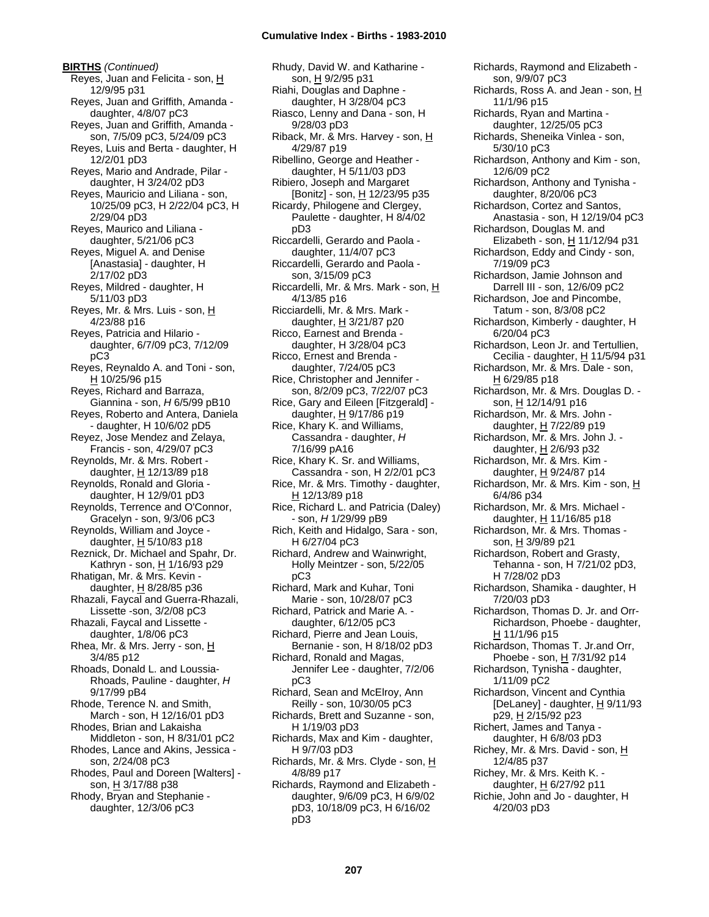**BIRTHS** *(Continued)* Reyes, Juan and Felicita - son, H 12/9/95 p31 Reyes, Juan and Griffith, Amanda daughter, 4/8/07 pC3 Reyes, Juan and Griffith, Amanda son, 7/5/09 pC3, 5/24/09 pC3 Reyes, Luis and Berta - daughter, H 12/2/01 pD3 Reyes, Mario and Andrade, Pilar daughter, H 3/24/02 pD3 Reyes, Mauricio and Liliana - son, 10/25/09 pC3, H 2/22/04 pC3, H 2/29/04 pD3 Reyes, Maurico and Liliana daughter, 5/21/06 pC3 Reyes, Miguel A. and Denise [Anastasia] - daughter, H 2/17/02 pD3 Reyes, Mildred - daughter, H 5/11/03 pD3 Reyes, Mr. & Mrs. Luis - son, H 4/23/88 p16 Reyes, Patricia and Hilario daughter, 6/7/09 pC3, 7/12/09 pC3 Reyes, Reynaldo A. and Toni - son,  $H 10/25/96 p15$ Reyes, Richard and Barraza, Giannina - son, *H* 6/5/99 pB10 Reyes, Roberto and Antera, Daniela - daughter, H 10/6/02 pD5 Reyez, Jose Mendez and Zelaya, Francis - son, 4/29/07 pC3 Reynolds, Mr. & Mrs. Robert daughter,  $H$  12/13/89 p18 Reynolds, Ronald and Gloria daughter, H 12/9/01 pD3 Reynolds, Terrence and O'Connor, Gracelyn - son, 9/3/06 pC3 Reynolds, William and Joyce daughter,  $H$  5/10/83 p18 Reznick, Dr. Michael and Spahr, Dr. Kathryn - son, H 1/16/93 p29 Rhatigan, Mr. & Mrs. Kevin daughter,  $H$  8/28/85 p36 Rhazali, Faycal and Guerra-Rhazali, Lissette -son, 3/2/08 pC3 Rhazali, Faycal and Lissette daughter, 1/8/06 pC3 Rhea, Mr. & Mrs. Jerry - son, H 3/4/85 p12 Rhoads, Donald L. and Loussia-Rhoads, Pauline - daughter, *H* 9/17/99 pB4 Rhode, Terence N. and Smith, March - son, H 12/16/01 pD3 Rhodes, Brian and Lakaisha Middleton - son, H 8/31/01 pC2 Rhodes, Lance and Akins, Jessica son, 2/24/08 pC3 Rhodes, Paul and Doreen [Walters] son, H 3/17/88 p38 Rhody, Bryan and Stephanie daughter, 12/3/06 pC3

Rhudy, David W. and Katharine son, H 9/2/95 p31 Riahi, Douglas and Daphne daughter, H 3/28/04 pC3 Riasco, Lenny and Dana - son, H 9/28/03 pD3 Riback, Mr. & Mrs. Harvey - son, H 4/29/87 p19 Ribellino, George and Heather daughter, H 5/11/03 pD3 Ribiero, Joseph and Margaret [Bonitz] - son, H 12/23/95 p35 Ricardy, Philogene and Clergey, Paulette - daughter, H 8/4/02 pD3 Riccardelli, Gerardo and Paola daughter, 11/4/07 pC3 Riccardelli, Gerardo and Paola son, 3/15/09 pC3 Riccardelli, Mr. & Mrs. Mark - son, H 4/13/85 p16 Ricciardelli, Mr. & Mrs. Mark daughter, H 3/21/87 p20 Ricco, Earnest and Brenda daughter, H 3/28/04 pC3 Ricco, Ernest and Brenda daughter, 7/24/05 pC3 Rice, Christopher and Jennifer son, 8/2/09 pC3, 7/22/07 pC3 Rice, Gary and Eileen [Fitzgerald] daughter,  $H$  9/17/86 p19 Rice, Khary K. and Williams, Cassandra - daughter, *H* 7/16/99 pA16 Rice, Khary K. Sr. and Williams, Cassandra - son, H 2/2/01 pC3 Rice, Mr. & Mrs. Timothy - daughter, H 12/13/89 p18 Rice, Richard L. and Patricia (Daley) - son, *H* 1/29/99 pB9 Rich, Keith and Hidalgo, Sara - son, H 6/27/04 pC3 Richard, Andrew and Wainwright, Holly Meintzer - son, 5/22/05 pC3 Richard, Mark and Kuhar, Toni Marie - son, 10/28/07 pC3 Richard, Patrick and Marie A. daughter, 6/12/05 pC3 Richard, Pierre and Jean Louis, Bernanie - son, H 8/18/02 pD3 Richard, Ronald and Magas, Jennifer Lee - daughter, 7/2/06 pC3 Richard, Sean and McElroy, Ann Reilly - son, 10/30/05 pC3 Richards, Brett and Suzanne - son, H 1/19/03 pD3 Richards, Max and Kim - daughter, H 9/7/03 pD3 Richards, Mr. & Mrs. Clyde - son, H 4/8/89 p17 Richards, Raymond and Elizabeth daughter, 9/6/09 pC3, H 6/9/02 pD3, 10/18/09 pC3, H 6/16/02 pD3

Richards, Raymond and Elizabeth son, 9/9/07 pC3 Richards, Ross A. and Jean - son,  $H$ 11/1/96 p15 Richards, Ryan and Martina daughter, 12/25/05 pC3 Richards, Sheneika Vinlea - son, 5/30/10 pC3 Richardson, Anthony and Kim - son, 12/6/09 pC2 Richardson, Anthony and Tynisha daughter, 8/20/06 pC3 Richardson, Cortez and Santos, Anastasia - son, H 12/19/04 pC3 Richardson, Douglas M. and Elizabeth - son,  $H$  11/12/94 p31 Richardson, Eddy and Cindy - son, 7/19/09 pC3 Richardson, Jamie Johnson and Darrell III - son, 12/6/09 pC2 Richardson, Joe and Pincombe, Tatum - son, 8/3/08 pC2 Richardson, Kimberly - daughter, H 6/20/04 pC3 Richardson, Leon Jr. and Tertullien, Cecilia - daughter,  $H$  11/5/94 p31 Richardson, Mr. & Mrs. Dale - son, H 6/29/85 p18 Richardson, Mr. & Mrs. Douglas D. son, H 12/14/91 p16 Richardson, Mr. & Mrs. John daughter, H 7/22/89 p19 Richardson, Mr. & Mrs. John J. daughter, H 2/6/93 p32 Richardson, Mr. & Mrs. Kim daughter, H 9/24/87 p14 Richardson, Mr. & Mrs. Kim - son, H 6/4/86 p34 Richardson, Mr. & Mrs. Michael daughter,  $H$  11/16/85 p18 Richardson, Mr. & Mrs. Thomas son, H 3/9/89 p21 Richardson, Robert and Grasty, Tehanna - son, H 7/21/02 pD3, H 7/28/02 pD3 Richardson, Shamika - daughter, H 7/20/03 pD3 Richardson, Thomas D. Jr. and Orr-Richardson, Phoebe - daughter, H 11/1/96 p15 Richardson, Thomas T. Jr.and Orr, Phoebe - son, H 7/31/92 p14 Richardson, Tynisha - daughter, 1/11/09 pC2 Richardson, Vincent and Cynthia [DeLaney] - daughter,  $H$  9/11/93 p29, H 2/15/92 p23 Richert, James and Tanya daughter, H 6/8/03 pD3 Richey, Mr. & Mrs. David - son, H 12/4/85 p37 Richey, Mr. & Mrs. Keith K. daughter, H 6/27/92 p11 Richie, John and Jo - daughter, H 4/20/03 pD3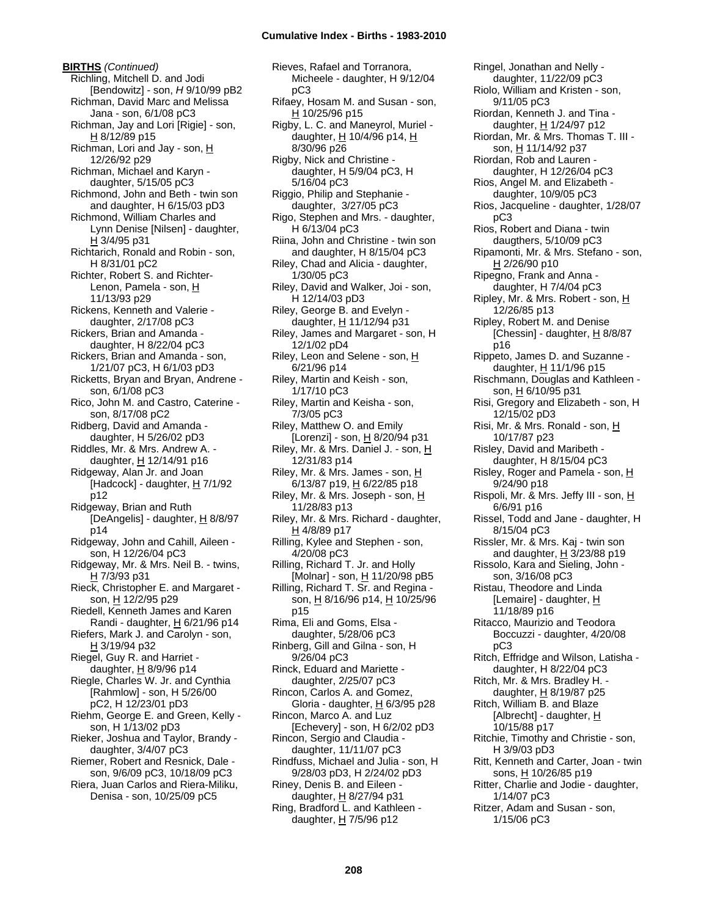**BIRTHS** *(Continued)* Richling, Mitchell D. and Jodi [Bendowitz] - son, *H* 9/10/99 pB2 Richman, David Marc and Melissa Jana - son, 6/1/08 pC3 Richman, Jay and Lori [Rigie] - son, H 8/12/89 p15 Richman, Lori and Jay - son, H 12/26/92 p29 Richman, Michael and Karyn daughter, 5/15/05 pC3 Richmond, John and Beth - twin son and daughter, H 6/15/03 pD3 Richmond, William Charles and Lynn Denise [Nilsen] - daughter,  $H$  3/4/95 p31 Richtarich, Ronald and Robin - son, H 8/31/01 pC2 Richter, Robert S. and Richter-Lenon, Pamela - son, H 11/13/93 p29 Rickens, Kenneth and Valerie daughter, 2/17/08 pC3 Rickers, Brian and Amanda daughter, H 8/22/04 pC3 Rickers, Brian and Amanda - son, 1/21/07 pC3, H 6/1/03 pD3 Ricketts, Bryan and Bryan, Andrene son, 6/1/08 pC3 Rico, John M. and Castro, Caterine son, 8/17/08 pC2 Ridberg, David and Amanda daughter, H 5/26/02 pD3 Riddles, Mr. & Mrs. Andrew A. daughter, H 12/14/91 p16 Ridgeway, Alan Jr. and Joan  $[Hadcock]$  - daughter,  $H$  7/1/92 p12 Ridgeway, Brian and Ruth [DeAngelis] - daughter,  $H_8$  8/8/97 p14 Ridgeway, John and Cahill, Aileen son, H 12/26/04 pC3 Ridgeway, Mr. & Mrs. Neil B. - twins, H 7/3/93 p31 Rieck, Christopher E. and Margaret son, H 12/2/95 p29 Riedell, Kenneth James and Karen Randi - daughter,  $H$  6/21/96 p14 Riefers, Mark J. and Carolyn - son, H 3/19/94 p32 Riegel, Guy R. and Harriet daughter,  $H$  8/9/96 p14 Riegle, Charles W. Jr. and Cynthia [Rahmlow] - son, H 5/26/00 pC2, H 12/23/01 pD3 Riehm, George E. and Green, Kelly son, H 1/13/02 pD3 Rieker, Joshua and Taylor, Brandy daughter, 3/4/07 pC3 Riemer, Robert and Resnick, Dale son, 9/6/09 pC3, 10/18/09 pC3 Riera, Juan Carlos and Riera-Miliku, Denisa - son, 10/25/09 pC5

Rieves, Rafael and Torranora, Micheele - daughter, H 9/12/04 pC3 Rifaey, Hosam M. and Susan - son, H 10/25/96 p15 Rigby, L. C. and Maneyrol, Muriel daughter,  $H$  10/4/96 p14,  $H$ 8/30/96 p26 Rigby, Nick and Christine daughter, H 5/9/04 pC3, H 5/16/04 pC3 Riggio, Philip and Stephanie daughter, 3/27/05 pC3 Rigo, Stephen and Mrs. - daughter, H 6/13/04 pC3 Riina, John and Christine - twin son and daughter, H 8/15/04 pC3 Riley, Chad and Alicia - daughter, 1/30/05 pC3 Riley, David and Walker, Joi - son, H 12/14/03 pD3 Riley, George B. and Evelyn daughter, H 11/12/94 p31 Riley, James and Margaret - son, H 12/1/02 pD4 Riley, Leon and Selene - son, H 6/21/96 p14 Riley, Martin and Keish - son, 1/17/10 pC3 Riley, Martin and Keisha - son, 7/3/05 pC3 Riley, Matthew O. and Emily [Lorenzi] - son,  $\underline{H}$  8/20/94 p31 Riley, Mr. & Mrs. Daniel J. - son, H 12/31/83 p14 Riley, Mr. & Mrs. James - son, H 6/13/87 p19, H 6/22/85 p18 Riley, Mr. & Mrs. Joseph - son, H 11/28/83 p13 Riley, Mr. & Mrs. Richard - daughter, H 4/8/89 p17 Rilling, Kylee and Stephen - son, 4/20/08 pC3 Rilling, Richard T. Jr. and Holly [Molnar] - son,  $H$  11/20/98 pB5 Rilling, Richard T. Sr. and Regina son, H 8/16/96 p14, H 10/25/96 p15 Rima, Eli and Goms, Elsa daughter, 5/28/06 pC3 Rinberg, Gill and Gilna - son, H 9/26/04 pC3 Rinck, Eduard and Mariette daughter, 2/25/07 pC3 Rincon, Carlos A. and Gomez, Gloria - daughter,  $H$  6/3/95 p28 Rincon, Marco A. and Luz [Echevery] - son, H 6/2/02 pD3 Rincon, Sergio and Claudia daughter, 11/11/07 pC3 Rindfuss, Michael and Julia - son, H 9/28/03 pD3, H 2/24/02 pD3 Riney, Denis B. and Eileen daughter, H 8/27/94 p31 Ring, Bradford L. and Kathleen daughter, H 7/5/96 p12

Ringel, Jonathan and Nelly daughter, 11/22/09 pC3 Riolo, William and Kristen - son, 9/11/05 pC3 Riordan, Kenneth J. and Tina daughter, H 1/24/97 p12 Riordan, Mr. & Mrs. Thomas T. III son, H 11/14/92 p37 Riordan, Rob and Lauren daughter, H 12/26/04 pC3 Rios, Angel M. and Elizabeth daughter, 10/9/05 pC3 Rios, Jacqueline - daughter, 1/28/07 pC3 Rios, Robert and Diana - twin daugthers, 5/10/09 pC3 Ripamonti, Mr. & Mrs. Stefano - son, H 2/26/90 p10 Ripegno, Frank and Anna daughter, H 7/4/04 pC3 Ripley, Mr. & Mrs. Robert - son, H 12/26/85 p13 Ripley, Robert M. and Denise [Chessin] - daughter, H 8/8/87 p16 Rippeto, James D. and Suzanne daughter, H 11/1/96 p15 Rischmann, Douglas and Kathleen son, H 6/10/95 p31 Risi, Gregory and Elizabeth - son, H 12/15/02 pD3 Risi, Mr. & Mrs. Ronald - son, H 10/17/87 p23 Risley, David and Maribeth daughter, H 8/15/04 pC3 Risley, Roger and Pamela - son,  $H$ 9/24/90 p18 Rispoli, Mr. & Mrs. Jeffy III - son, H 6/6/91 p16 Rissel, Todd and Jane - daughter, H 8/15/04 pC3 Rissler, Mr. & Mrs. Kaj - twin son and daughter, H 3/23/88 p19 Rissolo, Kara and Sieling, John son, 3/16/08 pC3 Ristau, Theodore and Linda [Lemaire] - daughter, H 11/18/89 p16 Ritacco, Maurizio and Teodora Boccuzzi - daughter, 4/20/08 pC3 Ritch, Effridge and Wilson, Latisha daughter, H 8/22/04 pC3 Ritch, Mr. & Mrs. Bradley H. daughter, H 8/19/87 p25 Ritch, William B. and Blaze [Albrecht] - daughter,  $H$ 10/15/88 p17 Ritchie, Timothy and Christie - son, H 3/9/03 pD3 Ritt, Kenneth and Carter, Joan - twin sons, H 10/26/85 p19 Ritter, Charlie and Jodie - daughter, 1/14/07 pC3 Ritzer, Adam and Susan - son, 1/15/06 pC3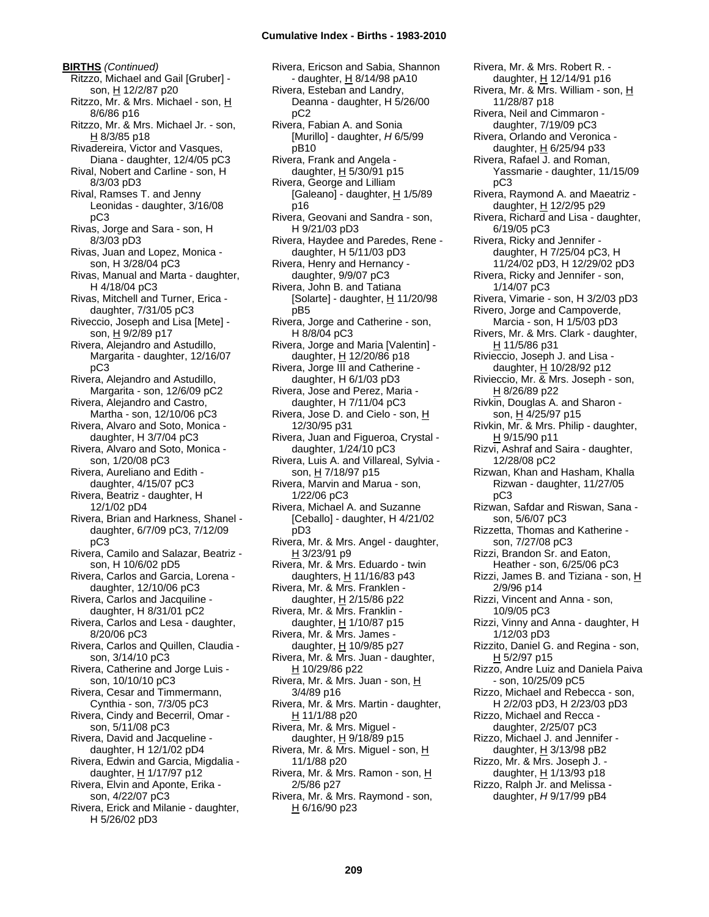**BIRTHS** *(Continued)* Ritzzo, Michael and Gail [Gruber] son, H 12/2/87 p20 Ritzzo, Mr. & Mrs. Michael - son, H 8/6/86 p16 Ritzzo, Mr. & Mrs. Michael Jr. - son, H 8/3/85 p18 Rivadereira, Victor and Vasques, Diana - daughter, 12/4/05 pC3 Rival, Nobert and Carline - son, H 8/3/03 pD3 Rival, Ramses T. and Jenny Leonidas - daughter, 3/16/08 pC3 Rivas, Jorge and Sara - son, H 8/3/03 pD3 Rivas, Juan and Lopez, Monica son, H 3/28/04 pC3 Rivas, Manual and Marta - daughter, H 4/18/04 pC3 Rivas, Mitchell and Turner, Erica daughter, 7/31/05 pC3 Riveccio, Joseph and Lisa [Mete] son, H 9/2/89 p17 Rivera, Alejandro and Astudillo, Margarita - daughter, 12/16/07 pC3 Rivera, Alejandro and Astudillo, Margarita - son, 12/6/09 pC2 Rivera, Alejandro and Castro, Martha - son, 12/10/06 pC3 Rivera, Alvaro and Soto, Monica daughter, H 3/7/04 pC3 Rivera, Alvaro and Soto, Monica son, 1/20/08 pC3 Rivera, Aureliano and Edith daughter, 4/15/07 pC3 Rivera, Beatriz - daughter, H 12/1/02 pD4 Rivera, Brian and Harkness, Shanel daughter, 6/7/09 pC3, 7/12/09 pC3 Rivera, Camilo and Salazar, Beatriz son, H 10/6/02 pD5 Rivera, Carlos and Garcia, Lorena daughter, 12/10/06 pC3 Rivera, Carlos and Jacquiline daughter, H 8/31/01 pC2 Rivera, Carlos and Lesa - daughter, 8/20/06 pC3 Rivera, Carlos and Quillen, Claudia son, 3/14/10 pC3 Rivera, Catherine and Jorge Luis son, 10/10/10 pC3 Rivera, Cesar and Timmermann, Cynthia - son, 7/3/05 pC3 Rivera, Cindy and Becerril, Omar son, 5/11/08 pC3 Rivera, David and Jacqueline daughter, H 12/1/02 pD4 Rivera, Edwin and Garcia, Migdalia daughter, H 1/17/97 p12 Rivera, Elvin and Aponte, Erika son, 4/22/07 pC3 Rivera, Erick and Milanie - daughter, H 5/26/02 pD3

Rivera, Ericson and Sabia, Shannon - daughter, H 8/14/98 pA10 Rivera, Esteban and Landry, Deanna - daughter, H 5/26/00 pC2 Rivera, Fabian A. and Sonia [Murillo] - daughter, *H* 6/5/99 pB10 Rivera, Frank and Angela daughter,  $H$  5/30/91 p15 Rivera, George and Lilliam [Galeano] - daughter, H 1/5/89 p16 Rivera, Geovani and Sandra - son, H 9/21/03 pD3 Rivera, Haydee and Paredes, Rene daughter, H 5/11/03 pD3 Rivera, Henry and Hernancy daughter, 9/9/07 pC3 Rivera, John B. and Tatiana [Solarte] - daughter,  $H$  11/20/98 pB5 Rivera, Jorge and Catherine - son, H 8/8/04 pC3 Rivera, Jorge and Maria [Valentin] daughter, H 12/20/86 p18 Rivera, Jorge III and Catherine daughter, H 6/1/03 pD3 Rivera, Jose and Perez, Maria daughter, H 7/11/04 pC3 Rivera, Jose D. and Cielo - son, H 12/30/95 p31 Rivera, Juan and Figueroa, Crystal daughter, 1/24/10 pC3 Rivera, Luis A. and Villareal, Sylvia son, H 7/18/97 p15 Rivera, Marvin and Marua - son, 1/22/06 pC3 Rivera, Michael A. and Suzanne [Ceballo] - daughter, H 4/21/02 pD3 Rivera, Mr. & Mrs. Angel - daughter, H 3/23/91 p9 Rivera, Mr. & Mrs. Eduardo - twin daughters,  $H$  11/16/83 p43 Rivera, Mr. & Mrs. Franklen daughter, H 2/15/86 p22 Rivera, Mr. & Mrs. Franklin daughter,  $H$  1/10/87 p15 Rivera, Mr. & Mrs. James daughter,  $H$  10/9/85 p27 Rivera, Mr. & Mrs. Juan - daughter, H 10/29/86 p22 Rivera, Mr. & Mrs. Juan - son, H 3/4/89 p16 Rivera, Mr. & Mrs. Martin - daughter, H 11/1/88 p20 Rivera, Mr. & Mrs. Miguel daughter, H 9/18/89 p15 Rivera, Mr. & Mrs. Miguel - son, H 11/1/88 p20 Rivera, Mr. & Mrs. Ramon - son, H 2/5/86 p27 Rivera, Mr. & Mrs. Raymond - son,  $H$  6/16/90 p23

Rivera, Mr. & Mrs. Robert R. daughter, H 12/14/91 p16 Rivera, Mr. & Mrs. William - son, H 11/28/87 p18 Rivera, Neil and Cimmaron daughter, 7/19/09 pC3 Rivera, Orlando and Veronica daughter, H 6/25/94 p33 Rivera, Rafael J. and Roman, Yassmarie - daughter, 11/15/09 pC3 Rivera, Raymond A. and Maeatriz daughter, H 12/2/95 p29 Rivera, Richard and Lisa - daughter, 6/19/05 pC3 Rivera, Ricky and Jennifer daughter, H 7/25/04 pC3, H 11/24/02 pD3, H 12/29/02 pD3 Rivera, Ricky and Jennifer - son, 1/14/07 pC3 Rivera, Vimarie - son, H 3/2/03 pD3 Rivero, Jorge and Campoverde, Marcia - son, H 1/5/03 pD3 Rivers, Mr. & Mrs. Clark - daughter, H 11/5/86 p31 Rivieccio, Joseph J. and Lisa daughter, H 10/28/92 p12 Rivieccio, Mr. & Mrs. Joseph - son, H 8/26/89 p22 Rivkin, Douglas A. and Sharon son, H 4/25/97 p15 Rivkin, Mr. & Mrs. Philip - daughter, H 9/15/90 p11 Rizvi, Ashraf and Saira - daughter, 12/28/08 pC2 Rizwan, Khan and Hasham, Khalla Rizwan - daughter, 11/27/05 pC3 Rizwan, Safdar and Riswan, Sana son, 5/6/07 pC3 Rizzetta, Thomas and Katherine son, 7/27/08 pC3 Rizzi, Brandon Sr. and Eaton, Heather - son, 6/25/06 pC3 Rizzi, James B. and Tiziana - son, H 2/9/96 p14 Rizzi, Vincent and Anna - son, 10/9/05 pC3 Rizzi, Vinny and Anna - daughter, H 1/12/03 pD3 Rizzito, Daniel G. and Regina - son, H 5/2/97 p15 Rizzo, Andre Luiz and Daniela Paiva - son, 10/25/09 pC5 Rizzo, Michael and Rebecca - son, H 2/2/03 pD3, H 2/23/03 pD3 Rizzo, Michael and Recca daughter, 2/25/07 pC3 Rizzo, Michael J. and Jennifer daughter,  $H$  3/13/98 pB2 Rizzo, Mr. & Mrs. Joseph J. daughter, H 1/13/93 p18 Rizzo, Ralph Jr. and Melissa daughter, *H* 9/17/99 pB4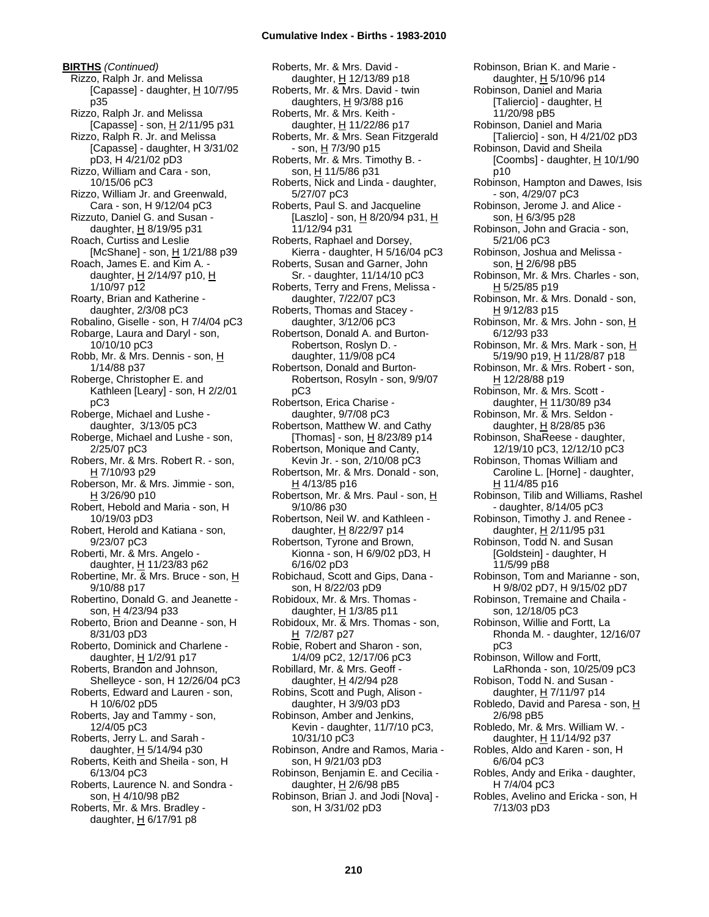**BIRTHS** *(Continued)* Rizzo, Ralph Jr. and Melissa [Capasse] - daughter,  $H$  10/7/95 p35 Rizzo, Ralph Jr. and Melissa [Capasse] - son, H 2/11/95 p31 Rizzo, Ralph R. Jr. and Melissa [Capasse] - daughter, H 3/31/02 pD3, H 4/21/02 pD3 Rizzo, William and Cara - son, 10/15/06 pC3 Rizzo, William Jr. and Greenwald, Cara - son, H 9/12/04 pC3 Rizzuto, Daniel G. and Susan daughter, H 8/19/95 p31 Roach, Curtiss and Leslie [McShane] - son,  $H$  1/21/88 p39 Roach, James E. and Kim A. daughter, H 2/14/97 p10, H 1/10/97 p12 Roarty, Brian and Katherine daughter, 2/3/08 pC3 Robalino, Giselle - son, H 7/4/04 pC3 Robarge, Laura and Daryl - son, 10/10/10 pC3 Robb, Mr. & Mrs. Dennis - son, H 1/14/88 p37 Roberge, Christopher E. and Kathleen [Leary] - son, H 2/2/01 pC3 Roberge, Michael and Lushe daughter, 3/13/05 pC3 Roberge, Michael and Lushe - son, 2/25/07 pC3 Robers, Mr. & Mrs. Robert R. - son, H 7/10/93 p29 Roberson, Mr. & Mrs. Jimmie - son, H 3/26/90 p10 Robert, Hebold and Maria - son, H 10/19/03 pD3 Robert, Herold and Katiana - son, 9/23/07 pC3 Roberti, Mr. & Mrs. Angelo daughter, H 11/23/83 p62 Robertine, Mr. & Mrs. Bruce - son, H 9/10/88 p17 Robertino, Donald G. and Jeanette son, H 4/23/94 p33 Roberto, Brion and Deanne - son, H 8/31/03 pD3 Roberto, Dominick and Charlene daughter,  $H$  1/2/91 p17 Roberts, Brandon and Johnson, Shelleyce - son, H 12/26/04 pC3 Roberts, Edward and Lauren - son, H 10/6/02 pD5 Roberts, Jay and Tammy - son, 12/4/05 pC3 Roberts, Jerry L. and Sarah daughter,  $H$  5/14/94 p30 Roberts, Keith and Sheila - son, H 6/13/04 pC3 Roberts, Laurence N. and Sondra son, H 4/10/98 pB2 Roberts, Mr. & Mrs. Bradley daughter,  $H$  6/17/91 p8

Roberts, Mr. & Mrs. David daughter, H 12/13/89 p18 Roberts, Mr. & Mrs. David - twin daughters,  $H$  9/3/88 p16 Roberts, Mr. & Mrs. Keith daughter, H 11/22/86 p17 Roberts, Mr. & Mrs. Sean Fitzgerald - son, H 7/3/90 p15 Roberts, Mr. & Mrs. Timothy B. son, H 11/5/86 p31 Roberts, Nick and Linda - daughter, 5/27/07 pC3 Roberts, Paul S. and Jacqueline [Laszlo] - son,  $H$  8/20/94 p31,  $H$ 11/12/94 p31 Roberts, Raphael and Dorsey, Kierra - daughter, H 5/16/04 pC3 Roberts, Susan and Garner, John Sr. - daughter, 11/14/10 pC3 Roberts, Terry and Frens, Melissa daughter, 7/22/07 pC3 Roberts, Thomas and Stacey daughter, 3/12/06 pC3 Robertson, Donald A. and Burton-Robertson, Roslyn D. daughter, 11/9/08 pC4 Robertson, Donald and Burton-Robertson, Rosyln - son, 9/9/07 pC3 Robertson, Erica Charise daughter, 9/7/08 pC3 Robertson, Matthew W. and Cathy [Thomas] - son,  $\underline{H}$  8/23/89 p14 Robertson, Monique and Canty, Kevin Jr. - son, 2/10/08 pC3 Robertson, Mr. & Mrs. Donald - son, H 4/13/85 p16 Robertson, Mr. & Mrs. Paul - son, H 9/10/86 p30 Robertson, Neil W. and Kathleen daughter, H 8/22/97 p14 Robertson, Tyrone and Brown, Kionna - son, H 6/9/02 pD3, H 6/16/02 pD3 Robichaud, Scott and Gips, Dana son, H 8/22/03 pD9 Robidoux, Mr. & Mrs. Thomas daughter,  $H$  1/3/85 p11 Robidoux, Mr. & Mrs. Thomas - son, H 7/2/87 p27 Robie, Robert and Sharon - son, 1/4/09 pC2, 12/17/06 pC3 Robillard, Mr. & Mrs. Geoff daughter,  $H$  4/2/94 p28 Robins, Scott and Pugh, Alison daughter, H 3/9/03 pD3 Robinson, Amber and Jenkins, Kevin - daughter, 11/7/10 pC3, 10/31/10 pC3 Robinson, Andre and Ramos, Maria son, H 9/21/03 pD3 Robinson, Benjamin E. and Cecilia daughter, H 2/6/98 pB5 Robinson, Brian J. and Jodi [Nova] son, H 3/31/02 pD3

Robinson, Brian K. and Marie daughter, H 5/10/96 p14 Robinson, Daniel and Maria [Taliercio] - daughter,  $H$ 11/20/98 pB5 Robinson, Daniel and Maria [Taliercio] - son, H 4/21/02 pD3 Robinson, David and Sheila [Coombs] - daughter,  $H$  10/1/90 p10 Robinson, Hampton and Dawes, Isis - son, 4/29/07 pC3 Robinson, Jerome J. and Alice son, H 6/3/95 p28 Robinson, John and Gracia - son, 5/21/06 pC3 Robinson, Joshua and Melissa son, H 2/6/98 pB5 Robinson, Mr. & Mrs. Charles - son, H 5/25/85 p19 Robinson, Mr. & Mrs. Donald - son, H 9/12/83 p15 Robinson, Mr. & Mrs. John - son, H 6/12/93 p33 Robinson, Mr. & Mrs. Mark - son, H 5/19/90 p19, <u>H</u> 11/28/87 p18 Robinson, Mr. & Mrs. Robert - son, H 12/28/88 p19 Robinson, Mr. & Mrs. Scott daughter, H 11/30/89 p34 Robinson, Mr. & Mrs. Seldon daughter, H 8/28/85 p36 Robinson, ShaReese - daughter, 12/19/10 pC3, 12/12/10 pC3 Robinson, Thomas William and Caroline L. [Horne] - daughter, H 11/4/85 p16 Robinson, Tilib and Williams, Rashel - daughter, 8/14/05 pC3 Robinson, Timothy J. and Renee daughter, H 2/11/95 p31 Robinson, Todd N. and Susan [Goldstein] - daughter, H 11/5/99 pB8 Robinson, Tom and Marianne - son, H 9/8/02 pD7, H 9/15/02 pD7 Robinson, Tremaine and Chaila son, 12/18/05 pC3 Robinson, Willie and Fortt, La Rhonda M. - daughter, 12/16/07 pC3 Robinson, Willow and Fortt, LaRhonda - son, 10/25/09 pC3 Robison, Todd N. and Susan daughter,  $H$  7/11/97 p14 Robledo, David and Paresa - son, H 2/6/98 pB5 Robledo, Mr. & Mrs. William W. daughter, H 11/14/92 p37 Robles, Aldo and Karen - son, H 6/6/04 pC3 Robles, Andy and Erika - daughter, H 7/4/04 pC3 Robles, Avelino and Ericka - son, H

7/13/03 pD3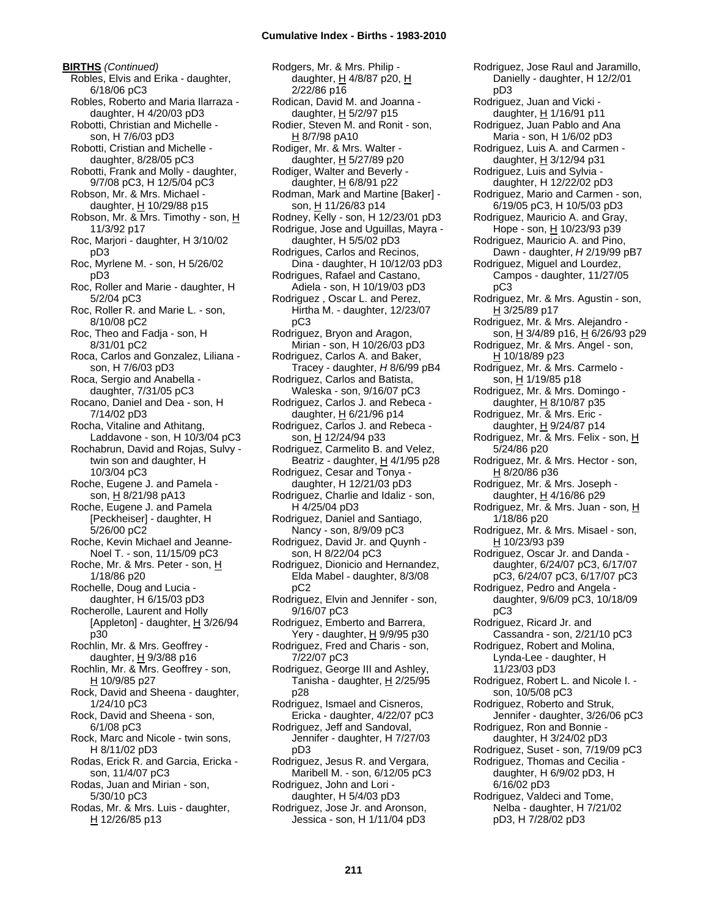**BIRTHS** *(Continued)* Robles, Elvis and Erika - daughter, 6/18/06 pC3 Robles, Roberto and Maria Ilarraza daughter, H 4/20/03 pD3 Robotti, Christian and Michelle son, H 7/6/03 pD3 Robotti, Cristian and Michelle daughter, 8/28/05 pC3 Robotti, Frank and Molly - daughter, 9/7/08 pC3, H 12/5/04 pC3 Robson, Mr. & Mrs. Michael daughter,  $H$  10/29/88 p15 Robson, Mr. & Mrs. Timothy - son, H 11/3/92 p17 Roc, Marjori - daughter, H 3/10/02 pD3 Roc, Myrlene M. - son, H 5/26/02 pD3 Roc, Roller and Marie - daughter, H 5/2/04 pC3 Roc, Roller R. and Marie L. - son, 8/10/08 pC2 Roc, Theo and Fadja - son, H 8/31/01 pC2 Roca, Carlos and Gonzalez, Liliana son, H 7/6/03 pD3 Roca, Sergio and Anabella daughter, 7/31/05 pC3 Rocano, Daniel and Dea - son, H 7/14/02 pD3 Rocha, Vitaline and Athitang, Laddavone - son, H 10/3/04 pC3 Rochabrun, David and Rojas, Sulvy twin son and daughter, H 10/3/04 pC3 Roche, Eugene J. and Pamela son, H 8/21/98 pA13 Roche, Eugene J. and Pamela [Peckheiser] - daughter, H 5/26/00 pC2 Roche, Kevin Michael and Jeanne-Noel T. - son, 11/15/09 pC3 Roche, Mr. & Mrs. Peter - son, H 1/18/86 p20 Rochelle, Doug and Lucia daughter, H 6/15/03 pD3 Rocherolle, Laurent and Holly [Appleton] - daughter,  $H$  3/26/94 p30 Rochlin, Mr. & Mrs. Geoffrey daughter, H 9/3/88 p16 Rochlin, Mr. & Mrs. Geoffrey - son, H 10/9/85 p27 Rock, David and Sheena - daughter, 1/24/10 pC3 Rock, David and Sheena - son, 6/1/08 pC3 Rock, Marc and Nicole - twin sons, H 8/11/02 pD3 Rodas, Erick R. and Garcia, Ericka son, 11/4/07 pC3 Rodas, Juan and Mirian - son, 5/30/10 pC3 Rodas, Mr. & Mrs. Luis - daughter, H 12/26/85 p13

Rodgers, Mr. & Mrs. Philip daughter, H 4/8/87 p20, H 2/22/86 p16 Rodican, David M. and Joanna daughter, H 5/2/97 p15 Rodier, Steven M. and Ronit - son, H 8/7/98 pA10 Rodiger, Mr. & Mrs. Walter daughter,  $H$  5/27/89 p20 Rodiger, Walter and Beverly daughter, H 6/8/91 p22 Rodman, Mark and Martine [Baker] son, H 11/26/83 p14 Rodney, Kelly - son, H 12/23/01 pD3 Rodrigue, Jose and Uguillas, Mayra daughter, H 5/5/02 pD3 Rodrigues, Carlos and Recinos, Dina - daughter, H 10/12/03 pD3 Rodrigues, Rafael and Castano, Adiela - son, H 10/19/03 pD3 Rodriguez , Oscar L. and Perez, Hirtha M. - daughter, 12/23/07 pC3 Rodriguez, Bryon and Aragon, Mirian - son, H 10/26/03 pD3 Rodriguez, Carlos A. and Baker, Tracey - daughter, *H* 8/6/99 pB4 Rodriguez, Carlos and Batista, Waleska - son, 9/16/07 pC3 Rodriguez, Carlos J. and Rebeca daughter,  $H$  6/21/96 p14 Rodriguez, Carlos J. and Rebeca son, H 12/24/94 p33 Rodriguez, Carmelito B. and Velez, Beatriz - daughter, H 4/1/95 p28 Rodriguez, Cesar and Tonya daughter, H 12/21/03 pD3 Rodriguez, Charlie and Idaliz - son, H 4/25/04 pD3 Rodriguez, Daniel and Santiago, Nancy - son, 8/9/09 pC3 Rodriguez, David Jr. and Quynh son, H 8/22/04 pC3 Rodriguez, Dionicio and Hernandez, Elda Mabel - daughter, 8/3/08 pC2 Rodriguez, Elvin and Jennifer - son, 9/16/07 pC3 Rodriguez, Emberto and Barrera, Yery - daughter, H 9/9/95 p30 Rodriguez, Fred and Charis - son, 7/22/07 pC3 Rodriguez, George III and Ashley, Tanisha - daughter,  $H$  2/25/95 p28 Rodriguez, Ismael and Cisneros, Ericka - daughter, 4/22/07 pC3 Rodriguez, Jeff and Sandoval, Jennifer - daughter, H 7/27/03 pD3 Rodriguez, Jesus R. and Vergara, Maribell M. - son, 6/12/05 pC3 Rodriguez, John and Lori daughter, H 5/4/03 pD3 Rodriguez, Jose Jr. and Aronson, Jessica - son, H 1/11/04 pD3

Rodriguez, Jose Raul and Jaramillo, Danielly - daughter, H 12/2/01 pD3 Rodriguez, Juan and Vicki daughter, H 1/16/91 p11 Rodriguez, Juan Pablo and Ana Maria - son, H 1/6/02 pD3 Rodriguez, Luis A. and Carmen daughter,  $H$  3/12/94 p31 Rodriguez, Luis and Sylvia daughter, H 12/22/02 pD3 Rodriguez, Mario and Carmen - son, 6/19/05 pC3, H 10/5/03 pD3 Rodriguez, Mauricio A. and Gray, Hope - son, H 10/23/93 p39 Rodriguez, Mauricio A. and Pino, Dawn - daughter, *H* 2/19/99 pB7 Rodriguez, Miguel and Lourdez, Campos - daughter, 11/27/05 pC3 Rodriguez, Mr. & Mrs. Agustin - son, H 3/25/89 p17 Rodriguez, Mr. & Mrs. Alejandro son, H 3/4/89 p16, H 6/26/93 p29 Rodriguez, Mr. & Mrs. Angel - son, H 10/18/89 p23 Rodriguez, Mr. & Mrs. Carmelo son, H 1/19/85 p18 Rodriguez, Mr. & Mrs. Domingo daughter, H 8/10/87 p35 Rodriguez, Mr. & Mrs. Eric daughter, H 9/24/87 p14 Rodriguez, Mr. & Mrs. Felix - son, H 5/24/86 p20 Rodriguez, Mr. & Mrs. Hector - son, <u>H</u> 8/20/86 p36 Rodriguez, Mr. & Mrs. Joseph daughter,  $H$  4/16/86 p29 Rodriguez, Mr. & Mrs. Juan - son, H 1/18/86 p20 Rodriguez, Mr. & Mrs. Misael - son, H 10/23/93 p39 Rodriguez, Oscar Jr. and Danda daughter, 6/24/07 pC3, 6/17/07 pC3, 6/24/07 pC3, 6/17/07 pC3 Rodriguez, Pedro and Angela daughter, 9/6/09 pC3, 10/18/09 pC3 Rodriguez, Ricard Jr. and Cassandra - son, 2/21/10 pC3 Rodriguez, Robert and Molina, Lynda-Lee - daughter, H 11/23/03 pD3 Rodriguez, Robert L. and Nicole I. son, 10/5/08 pC3 Rodriguez, Roberto and Struk, Jennifer - daughter, 3/26/06 pC3 Rodriguez, Ron and Bonnie daughter, H 3/24/02 pD3 Rodriguez, Suset - son, 7/19/09 pC3 Rodriguez, Thomas and Cecilia daughter, H 6/9/02 pD3, H 6/16/02 pD3 Rodriguez, Valdeci and Tome, Nelba - daughter, H 7/21/02 pD3, H 7/28/02 pD3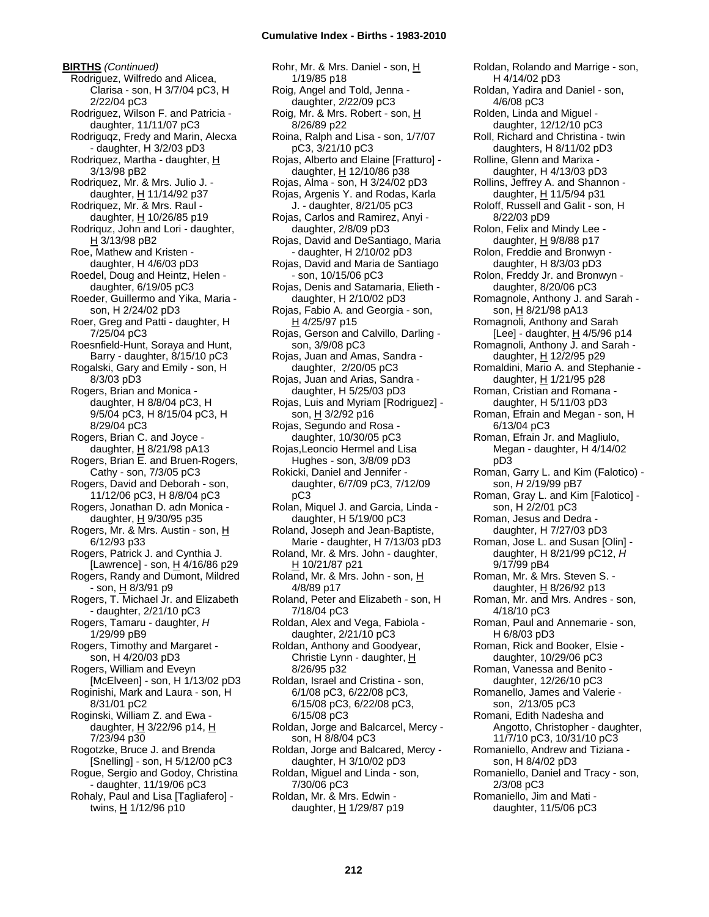**BIRTHS** *(Continued)* Rodriguez, Wilfredo and Alicea, Clarisa - son, H 3/7/04 pC3, H 2/22/04 pC3 Rodriguez, Wilson F. and Patricia daughter, 11/11/07 pC3 Rodriguqz, Fredy and Marin, Alecxa - daughter, H 3/2/03 pD3 Rodriquez, Martha - daughter, H 3/13/98 pB2 Rodriquez, Mr. & Mrs. Julio J. daughter, H 11/14/92 p37 Rodriquez, Mr. & Mrs. Raul daughter,  $H$  10/26/85 p19 Rodriquz, John and Lori - daughter, H 3/13/98 pB2 Roe, Mathew and Kristen daughter, H 4/6/03 pD3 Roedel, Doug and Heintz, Helen daughter, 6/19/05 pC3 Roeder, Guillermo and Yika, Maria son, H 2/24/02 pD3 Roer, Greg and Patti - daughter, H 7/25/04 pC3 Roesnfield-Hunt, Soraya and Hunt, Barry - daughter, 8/15/10 pC3 Rogalski, Gary and Emily - son, H 8/3/03 pD3 Rogers, Brian and Monica daughter, H 8/8/04 pC3, H 9/5/04 pC3, H 8/15/04 pC3, H 8/29/04 pC3 Rogers, Brian C. and Joyce daughter, H 8/21/98 pA13 Rogers, Brian E. and Bruen-Rogers, Cathy - son, 7/3/05 pC3 Rogers, David and Deborah - son, 11/12/06 pC3, H 8/8/04 pC3 Rogers, Jonathan D. adn Monica daughter,  $H$  9/30/95 p35 Rogers, Mr. & Mrs. Austin - son, H 6/12/93 p33 Rogers, Patrick J. and Cynthia J. [Lawrence] - son, H 4/16/86 p29 Rogers, Randy and Dumont, Mildred - son, H 8/3/91 p9 Rogers, T. Michael Jr. and Elizabeth - daughter, 2/21/10 pC3 Rogers, Tamaru - daughter, *H* 1/29/99 pB9 Rogers, Timothy and Margaret son, H 4/20/03 pD3 Rogers, William and Eveyn [McElveen] - son, H 1/13/02 pD3 Roginishi, Mark and Laura - son, H 8/31/01 pC2 Roginski, William Z. and Ewa daughter,  $H$  3/22/96 p14,  $H$ 7/23/94 p30 Rogotzke, Bruce J. and Brenda [Snelling] - son, H 5/12/00 pC3 Rogue, Sergio and Godoy, Christina - daughter, 11/19/06 pC3 Rohaly, Paul and Lisa [Tagliafero] -

twins, H 1/12/96 p10

Rohr, Mr. & Mrs. Daniel - son, H 1/19/85 p18 Roig, Angel and Told, Jenna daughter, 2/22/09 pC3 Roig, Mr. & Mrs. Robert - son, H 8/26/89 p22 Roina, Ralph and Lisa - son, 1/7/07 pC3, 3/21/10 pC3 Rojas, Alberto and Elaine [Fratturo] daughter,  $H$  12/10/86 p38 Rojas, Alma - son, H 3/24/02 pD3 Rojas, Argenis Y. and Rodas, Karla J. - daughter, 8/21/05 pC3 Rojas, Carlos and Ramirez, Anyi daughter, 2/8/09 pD3 Rojas, David and DeSantiago, Maria - daughter, H 2/10/02 pD3 Rojas, David and Maria de Santiago - son, 10/15/06 pC3 Rojas, Denis and Satamaria, Elieth daughter, H 2/10/02 pD3 Rojas, Fabio A. and Georgia - son, H 4/25/97 p15 Rojas, Gerson and Calvillo, Darling son, 3/9/08 pC3 Rojas, Juan and Amas, Sandra daughter, 2/20/05 pC3 Rojas, Juan and Arias, Sandra daughter, H 5/25/03 pD3 Rojas, Luis and Myriam [Rodriguez] son,  $H$  3/2/92 p16 Rojas, Segundo and Rosa daughter, 10/30/05 pC3 Rojas,Leoncio Hermel and Lisa Hughes - son, 3/8/09 pD3 Rokicki, Daniel and Jennifer daughter, 6/7/09 pC3, 7/12/09 pC3 Rolan, Miquel J. and Garcia, Linda daughter, H 5/19/00 pC3 Roland, Joseph and Jean-Baptiste, Marie - daughter, H 7/13/03 pD3 Roland, Mr. & Mrs. John - daughter, H 10/21/87 p21 Roland, Mr. & Mrs. John - son, H 4/8/89 p17 Roland, Peter and Elizabeth - son, H 7/18/04 pC3 Roldan, Alex and Vega, Fabiola daughter, 2/21/10 pC3 Roldan, Anthony and Goodyear, Christie Lynn - daughter, H 8/26/95 p32 Roldan, Israel and Cristina - son, 6/1/08 pC3, 6/22/08 pC3, 6/15/08 pC3, 6/22/08 pC3, 6/15/08 pC3 Roldan, Jorge and Balcarcel, Mercy son, H 8/8/04 pC3 Roldan, Jorge and Balcared, Mercy daughter, H 3/10/02 pD3 Roldan, Miguel and Linda - son, 7/30/06 pC3 Roldan, Mr. & Mrs. Edwin daughter, H 1/29/87 p19

Roldan, Rolando and Marrige - son, H 4/14/02 pD3 Roldan, Yadira and Daniel - son, 4/6/08 pC3 Rolden, Linda and Miguel daughter, 12/12/10 pC3 Roll, Richard and Christina - twin daughters, H 8/11/02 pD3 Rolline, Glenn and Marixa daughter, H 4/13/03 pD3 Rollins, Jeffrey A. and Shannon daughter, H 11/5/94 p31 Roloff, Russell and Galit - son, H 8/22/03 pD9 Rolon, Felix and Mindy Lee daughter,  $H$  9/8/88 p17 Rolon, Freddie and Bronwyn daughter, H 8/3/03 pD3 Rolon, Freddy Jr. and Bronwyn daughter, 8/20/06 pC3 Romagnole, Anthony J. and Sarah son, H 8/21/98 pA13 Romagnoli, Anthony and Sarah [Lee] - daughter, H 4/5/96 p14 Romagnoli, Anthony J. and Sarah daughter, H 12/2/95 p29 Romaldini, Mario A. and Stephanie daughter, H 1/21/95 p28 Roman, Cristian and Romana daughter, H 5/11/03 pD3 Roman, Efrain and Megan - son, H 6/13/04 pC3 Roman, Efrain Jr. and Magliulo, Megan - daughter, H 4/14/02 pD3 Roman, Garry L. and Kim (Falotico) son, *H* 2/19/99 pB7 Roman, Gray L. and Kim [Falotico] son, H 2/2/01 pC3 Roman, Jesus and Dedra daughter, H 7/27/03 pD3 Roman, Jose L. and Susan [Olin] daughter, H 8/21/99 pC12, *H* 9/17/99 pB4 Roman, Mr. & Mrs. Steven S. daughter,  $H$  8/26/92 p13 Roman, Mr. and Mrs. Andres - son, 4/18/10 pC3 Roman, Paul and Annemarie - son, H 6/8/03 pD3 Roman, Rick and Booker, Elsie daughter, 10/29/06 pC3 Roman, Vanessa and Benito daughter, 12/26/10 pC3 Romanello, James and Valerie son, 2/13/05 pC3 Romani, Edith Nadesha and Angotto, Christopher - daughter, 11/7/10 pC3, 10/31/10 pC3 Romaniello, Andrew and Tiziana son, H 8/4/02 pD3 Romaniello, Daniel and Tracy - son, 2/3/08 pC3 Romaniello, Jim and Mati daughter, 11/5/06 pC3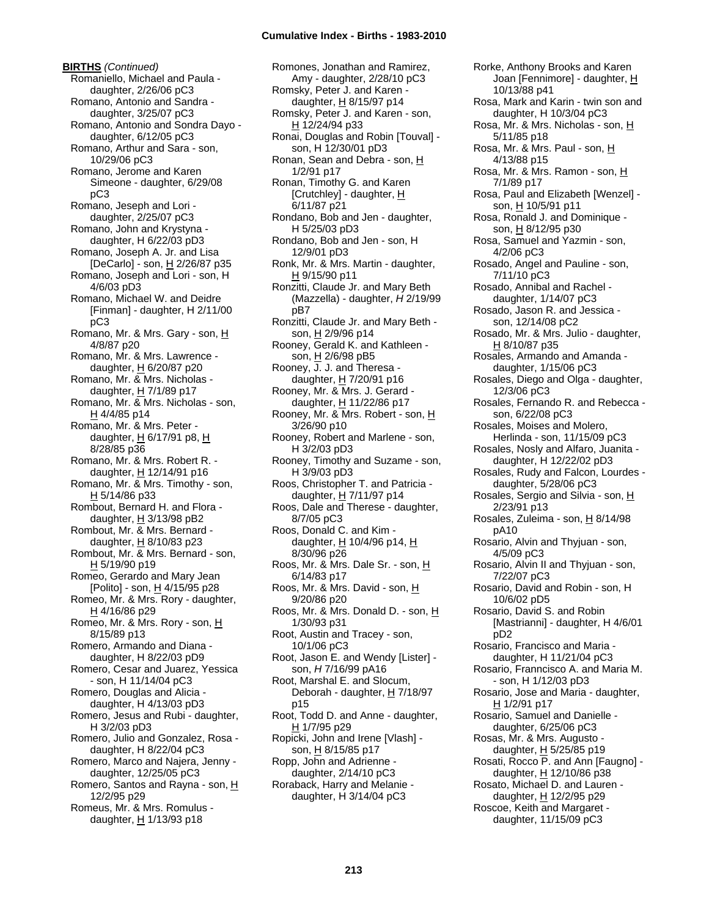**BIRTHS** *(Continued)* Romaniello, Michael and Paula daughter, 2/26/06 pC3 Romano, Antonio and Sandra daughter, 3/25/07 pC3 Romano, Antonio and Sondra Dayo daughter, 6/12/05 pC3 Romano, Arthur and Sara - son, 10/29/06 pC3 Romano, Jerome and Karen Simeone - daughter, 6/29/08 pC3 Romano, Jeseph and Lori daughter, 2/25/07 pC3 Romano, John and Krystyna daughter, H 6/22/03 pD3 Romano, Joseph A. Jr. and Lisa [DeCarlo] - son, H 2/26/87 p35 Romano, Joseph and Lori - son, H 4/6/03 pD3 Romano, Michael W. and Deidre [Finman] - daughter, H 2/11/00 pC3 Romano, Mr. & Mrs. Gary - son, H 4/8/87 p20 Romano, Mr. & Mrs. Lawrence daughter,  $H$  6/20/87 p20 Romano, Mr. & Mrs. Nicholas daughter, H 7/1/89 p17 Romano, Mr. & Mrs. Nicholas - son,  $H$  4/4/85 p14 Romano, Mr. & Mrs. Peter daughter,  $H$  6/17/91 p8,  $H$ 8/28/85 p36 Romano, Mr. & Mrs. Robert R. daughter,  $H$  12/14/91 p16 Romano, Mr. & Mrs. Timothy - son, H 5/14/86 p33 Rombout, Bernard H. and Flora daughter,  $H$  3/13/98 pB2 Rombout, Mr. & Mrs. Bernard daughter,  $H$  8/10/83 p23 Rombout, Mr. & Mrs. Bernard - son, H 5/19/90 p19 Romeo, Gerardo and Mary Jean [Polito] - son,  $H$  4/15/95 p28 Romeo, Mr. & Mrs. Rory - daughter, H 4/16/86 p29 Romeo, Mr. & Mrs. Rory - son, H 8/15/89 p13 Romero, Armando and Diana daughter, H 8/22/03 pD9 Romero, Cesar and Juarez, Yessica - son, H 11/14/04 pC3 Romero, Douglas and Alicia daughter, H 4/13/03 pD3 Romero, Jesus and Rubi - daughter, H 3/2/03 pD3 Romero, Julio and Gonzalez, Rosa daughter, H 8/22/04 pC3 Romero, Marco and Najera, Jenny daughter, 12/25/05 pC3 Romero, Santos and Rayna - son, H 12/2/95 p29 Romeus, Mr. & Mrs. Romulus daughter,  $H$  1/13/93 p18

Romones, Jonathan and Ramirez, Amy - daughter, 2/28/10 pC3 Romsky, Peter J. and Karen daughter,  $H$  8/15/97 p14 Romsky, Peter J. and Karen - son, H 12/24/94 p33 Ronai, Douglas and Robin [Touval] son, H 12/30/01 pD3 Ronan, Sean and Debra - son, H 1/2/91 p17 Ronan, Timothy G. and Karen [Crutchley] - daughter, H 6/11/87 p21 Rondano, Bob and Jen - daughter, H 5/25/03 pD3 Rondano, Bob and Jen - son, H 12/9/01 pD3 Ronk, Mr. & Mrs. Martin - daughter, H 9/15/90 p11 Ronzitti, Claude Jr. and Mary Beth (Mazzella) - daughter, *H* 2/19/99 pB7 Ronzitti, Claude Jr. and Mary Beth son, H 2/9/96 p14 Rooney, Gerald K. and Kathleen son, H 2/6/98 pB5 Rooney, J. J. and Theresa daughter, H 7/20/91 p16 Rooney, Mr. & Mrs. J. Gerard daughter, H 11/22/86 p17 Rooney, Mr. & Mrs. Robert - son, H 3/26/90 p10 Rooney, Robert and Marlene - son, H 3/2/03 pD3 Rooney, Timothy and Suzame - son, H 3/9/03 pD3 Roos, Christopher T. and Patricia daughter, H 7/11/97 p14 Roos, Dale and Therese - daughter, 8/7/05 pC3 Roos, Donald C. and Kim daughter,  $H$  10/4/96 p14,  $H$ 8/30/96 p26 Roos, Mr. & Mrs. Dale Sr. - son, H 6/14/83 p17 Roos, Mr. & Mrs. David - son, H 9/20/86 p20 Roos, Mr. & Mrs. Donald D. - son, H 1/30/93 p31 Root, Austin and Tracey - son, 10/1/06 pC3 Root, Jason E. and Wendy [Lister] son, *H* 7/16/99 pA16 Root, Marshal E. and Slocum, Deborah - daughter, H 7/18/97 p15 Root, Todd D. and Anne - daughter, H 1/7/95 p29 Ropicki, John and Irene [Vlash] son, H 8/15/85 p17 Ropp, John and Adrienne daughter, 2/14/10 pC3 Roraback, Harry and Melanie daughter, H 3/14/04 pC3

Rorke, Anthony Brooks and Karen Joan [Fennimore] - daughter, H 10/13/88 p41 Rosa, Mark and Karin - twin son and daughter, H 10/3/04 pC3 Rosa, Mr. & Mrs. Nicholas - son, H 5/11/85 p18 Rosa, Mr. & Mrs. Paul - son, H 4/13/88 p15 Rosa, Mr. & Mrs. Ramon - son, H 7/1/89 p17 Rosa, Paul and Elizabeth [Wenzel] son, H 10/5/91 p11 Rosa, Ronald J. and Dominique son, H 8/12/95 p30 Rosa, Samuel and Yazmin - son, 4/2/06 pC3 Rosado, Angel and Pauline - son, 7/11/10 pC3 Rosado, Annibal and Rachel daughter, 1/14/07 pC3 Rosado, Jason R. and Jessica son, 12/14/08 pC2 Rosado, Mr. & Mrs. Julio - daughter, H 8/10/87 p35 Rosales, Armando and Amanda daughter, 1/15/06 pC3 Rosales, Diego and Olga - daughter, 12/3/06 pC3 Rosales, Fernando R. and Rebecca son, 6/22/08 pC3 Rosales, Moises and Molero, Herlinda - son, 11/15/09 pC3 Rosales, Nosly and Alfaro, Juanita daughter, H 12/22/02 pD3 Rosales, Rudy and Falcon, Lourdes daughter, 5/28/06 pC3 Rosales, Sergio and Silvia - son, H 2/23/91 p13 Rosales, Zuleima - son, H 8/14/98 pA10 Rosario, Alvin and Thyjuan - son, 4/5/09 pC3 Rosario, Alvin II and Thyjuan - son, 7/22/07 pC3 Rosario, David and Robin - son, H 10/6/02 pD5 Rosario, David S. and Robin [Mastrianni] - daughter, H 4/6/01 pD2 Rosario, Francisco and Maria daughter, H 11/21/04 pC3 Rosario, Franncisco A. and Maria M. - son, H 1/12/03 pD3 Rosario, Jose and Maria - daughter, H 1/2/91 p17 Rosario, Samuel and Danielle daughter, 6/25/06 pC3 Rosas, Mr. & Mrs. Augusto daughter,  $H$  5/25/85 p19 Rosati, Rocco P. and Ann [Faugno] daughter, H 12/10/86 p38 Rosato, Michael D. and Lauren daughter, H 12/2/95 p29 Roscoe, Keith and Margaret daughter, 11/15/09 pC3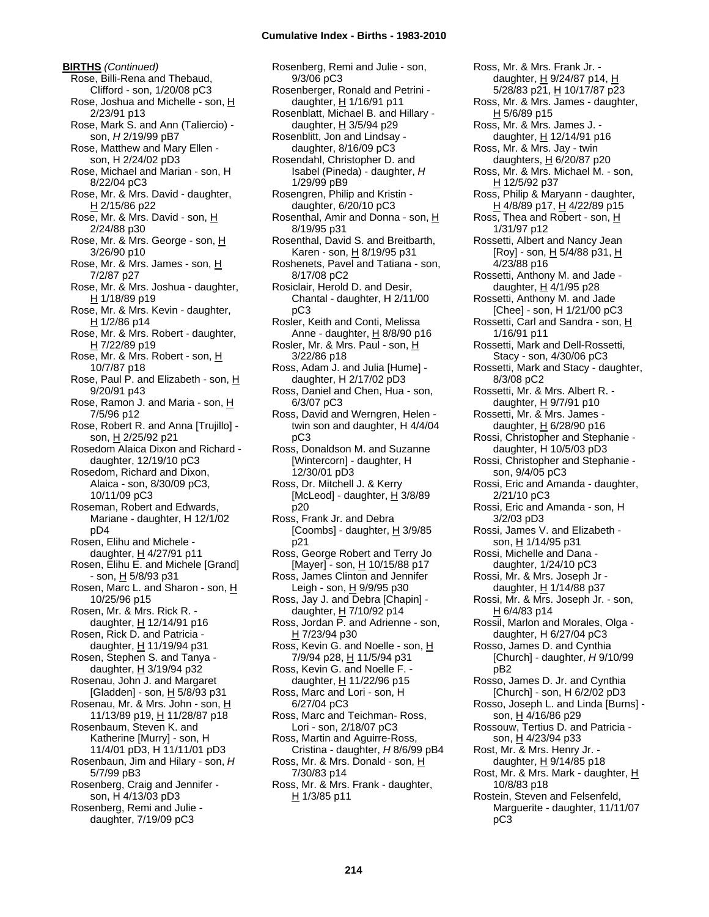**BIRTHS** *(Continued)* Rose, Billi-Rena and Thebaud, Clifford - son, 1/20/08 pC3 Rose, Joshua and Michelle - son, H 2/23/91 p13 Rose, Mark S. and Ann (Taliercio) son, *H* 2/19/99 pB7 Rose, Matthew and Mary Ellen son, H 2/24/02 pD3 Rose, Michael and Marian - son, H 8/22/04 pC3 Rose, Mr. & Mrs. David - daughter,  $H$  2/15/86 p22 Rose, Mr. & Mrs. David - son, H 2/24/88 p30 Rose, Mr. & Mrs. George - son, H 3/26/90 p10 Rose, Mr. & Mrs. James - son, H 7/2/87 p27 Rose, Mr. & Mrs. Joshua - daughter, H 1/18/89 p19 Rose, Mr. & Mrs. Kevin - daughter, H 1/2/86 p14 Rose, Mr. & Mrs. Robert - daughter, H 7/22/89 p19 Rose, Mr. & Mrs. Robert - son, H 10/7/87 p18 Rose, Paul P. and Elizabeth - son, H 9/20/91 p43 Rose, Ramon J. and Maria - son, H 7/5/96 p12 Rose, Robert R. and Anna [Trujillo] son, H 2/25/92 p21 Rosedom Alaica Dixon and Richard daughter, 12/19/10 pC3 Rosedom, Richard and Dixon, Alaica - son, 8/30/09 pC3, 10/11/09 pC3 Roseman, Robert and Edwards, Mariane - daughter, H 12/1/02 pD4 Rosen, Elihu and Michele daughter, H 4/27/91 p11 Rosen, Elihu E. and Michele [Grand] - son, H 5/8/93 p31 Rosen, Marc L. and Sharon - son, H 10/25/96 p15 Rosen, Mr. & Mrs. Rick R. daughter, H 12/14/91 p16 Rosen, Rick D. and Patricia daughter, H 11/19/94 p31 Rosen, Stephen S. and Tanya daughter,  $H$  3/19/94 p32 Rosenau, John J. and Margaret [Gladden] - son, H 5/8/93 p31 Rosenau, Mr. & Mrs. John - son, H 11/13/89 p19, H 11/28/87 p18 Rosenbaum, Steven K. and Katherine [Murry] - son, H 11/4/01 pD3, H 11/11/01 pD3 Rosenbaun, Jim and Hilary - son, *H* 5/7/99 pB3 Rosenberg, Craig and Jennifer son, H 4/13/03 pD3 Rosenberg, Remi and Julie daughter, 7/19/09 pC3

Rosenberg, Remi and Julie - son, 9/3/06 pC3 Rosenberger, Ronald and Petrini daughter,  $H$  1/16/91 p11 Rosenblatt, Michael B. and Hillary daughter, H 3/5/94 p29 Rosenblitt, Jon and Lindsay daughter, 8/16/09 pC3 Rosendahl, Christopher D. and Isabel (Pineda) - daughter, *H* 1/29/99 pB9 Rosengren, Philip and Kristin daughter, 6/20/10 pC3 Rosenthal, Amir and Donna - son, H 8/19/95 p31 Rosenthal, David S. and Breitbarth, Karen - son, H 8/19/95 p31 Roshenets, Pavel and Tatiana - son, 8/17/08 pC2 Rosiclair, Herold D. and Desir, Chantal - daughter, H 2/11/00 pC3 Rosler, Keith and Conti, Melissa Anne - daughter, H 8/8/90 p16 Rosler, Mr. & Mrs. Paul - son, H 3/22/86 p18 Ross, Adam J. and Julia [Hume] daughter, H 2/17/02 pD3 Ross, Daniel and Chen, Hua - son, 6/3/07 pC3 Ross, David and Werngren, Helen twin son and daughter, H 4/4/04 pC3 Ross, Donaldson M. and Suzanne [Wintercorn] - daughter, H 12/30/01 pD3 Ross, Dr. Mitchell J. & Kerry [McLeod] - daughter,  $H$  3/8/89 p20 Ross, Frank Jr. and Debra [Coombs] - daughter, H 3/9/85 p21 Ross, George Robert and Terry Jo [Mayer] - son, H 10/15/88 p17 Ross, James Clinton and Jennifer Leigh - son,  $H$  9/9/95 p30 Ross, Jay J. and Debra [Chapin] daughter,  $H$  7/10/92 p14 Ross, Jordan P. and Adrienne - son, H 7/23/94 p30 Ross, Kevin G. and Noelle - son, H 7/9/94 p28, H 11/5/94 p31 Ross, Kevin G. and Noelle F. daughter, H 11/22/96 p15 Ross, Marc and Lori - son, H 6/27/04 pC3 Ross, Marc and Teichman- Ross, Lori - son, 2/18/07 pC3 Ross, Martin and Aguirre-Ross, Cristina - daughter, *H* 8/6/99 pB4 Ross, Mr. & Mrs. Donald - son, H 7/30/83 p14 Ross, Mr. & Mrs. Frank - daughter,  $H$  1/3/85 p11

Ross, Mr. & Mrs. Frank Jr. daughter, H 9/24/87 p14, H 5/28/83 p21, H 10/17/87 p23 Ross, Mr. & Mrs. James - daughter, H 5/6/89 p15 Ross, Mr. & Mrs. James J. daughter,  $H$  12/14/91 p16 Ross, Mr. & Mrs. Jay - twin daughters,  $H$  6/20/87 p20 Ross, Mr. & Mrs. Michael M. - son, H 12/5/92 p37 Ross, Philip & Maryann - daughter, H 4/8/89 p17, H 4/22/89 p15 Ross, Thea and Robert - son, H 1/31/97 p12 Rossetti, Albert and Nancy Jean [Roy] - son, H 5/4/88 p31, H 4/23/88 p16 Rossetti, Anthony M. and Jade daughter, H 4/1/95 p28 Rossetti, Anthony M. and Jade [Chee] - son, H 1/21/00 pC3 Rossetti, Carl and Sandra - son, H 1/16/91 p11 Rossetti, Mark and Dell-Rossetti, Stacy - son, 4/30/06 pC3 Rossetti, Mark and Stacy - daughter, 8/3/08 pC2 Rossetti, Mr. & Mrs. Albert R. daughter, H 9/7/91 p10 Rossetti, Mr. & Mrs. James daughter, H 6/28/90 p16 Rossi, Christopher and Stephanie daughter, H 10/5/03 pD3 Rossi, Christopher and Stephanie son, 9/4/05 pC3 Rossi, Eric and Amanda - daughter, 2/21/10 pC3 Rossi, Eric and Amanda - son, H 3/2/03 pD3 Rossi, James V. and Elizabeth son, H 1/14/95 p31 Rossi, Michelle and Dana daughter, 1/24/10 pC3 Rossi, Mr. & Mrs. Joseph Jr daughter,  $H$  1/14/88 p37 Rossi, Mr. & Mrs. Joseph Jr. - son, H 6/4/83 p14 Rossil, Marlon and Morales, Olga daughter, H 6/27/04 pC3 Rosso, James D. and Cynthia [Church] - daughter, *H* 9/10/99 pB2 Rosso, James D. Jr. and Cynthia [Church] - son, H 6/2/02 pD3 Rosso, Joseph L. and Linda [Burns] son, H 4/16/86 p29 Rossouw, Tertius D. and Patricia son, H 4/23/94 p33 Rost, Mr. & Mrs. Henry Jr. daughter,  $H$  9/14/85 p18 Rost, Mr. & Mrs. Mark - daughter, H 10/8/83 p18 Rostein, Steven and Felsenfeld, Marguerite - daughter, 11/11/07

pC3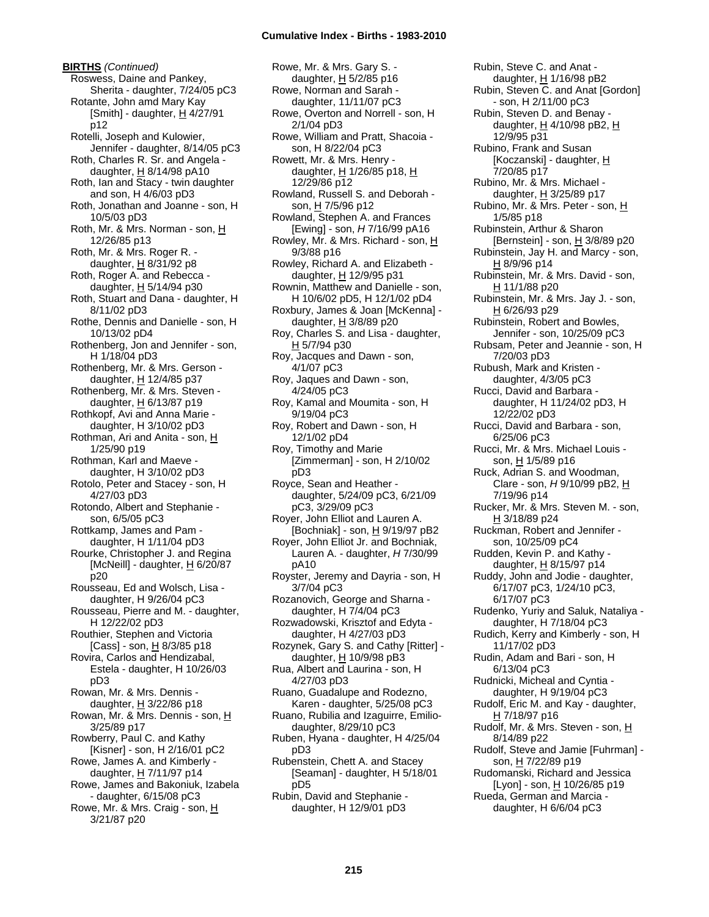**BIRTHS** *(Continued)* Roswess, Daine and Pankey, Sherita - daughter, 7/24/05 pC3 Rotante, John amd Mary Kay [Smith] - daughter, H 4/27/91 p12 Rotelli, Joseph and Kulowier, Jennifer - daughter, 8/14/05 pC3 Roth, Charles R. Sr. and Angela daughter, H 8/14/98 pA10 Roth, Ian and Stacy - twin daughter and son, H 4/6/03 pD3 Roth, Jonathan and Joanne - son, H 10/5/03 pD3 Roth, Mr. & Mrs. Norman - son, H 12/26/85 p13 Roth, Mr. & Mrs. Roger R. daughter,  $H$  8/31/92 p8 Roth, Roger A. and Rebecca daughter, H 5/14/94 p30 Roth, Stuart and Dana - daughter, H 8/11/02 pD3 Rothe, Dennis and Danielle - son, H 10/13/02 pD4 Rothenberg, Jon and Jennifer - son, H 1/18/04 pD3 Rothenberg, Mr. & Mrs. Gerson daughter, H 12/4/85 p37 Rothenberg, Mr. & Mrs. Steven daughter, H 6/13/87 p19 Rothkopf, Avi and Anna Marie daughter, H 3/10/02 pD3 Rothman, Ari and Anita - son, H 1/25/90 p19 Rothman, Karl and Maeve daughter, H 3/10/02 pD3 Rotolo, Peter and Stacey - son, H 4/27/03 pD3 Rotondo, Albert and Stephanie son, 6/5/05 pC3 Rottkamp, James and Pam daughter, H 1/11/04 pD3 Rourke, Christopher J. and Regina [McNeill] - daughter, H 6/20/87 p20 Rousseau, Ed and Wolsch, Lisa daughter, H 9/26/04 pC3 Rousseau, Pierre and M. - daughter, H 12/22/02 pD3 Routhier, Stephen and Victoria [Cass] - son,  $\underline{H}$  8/3/85 p18 Rovira, Carlos and Hendizabal, Estela - daughter, H 10/26/03 pD3 Rowan, Mr. & Mrs. Dennis daughter,  $H$  3/22/86 p18 Rowan, Mr. & Mrs. Dennis - son, H 3/25/89 p17 Rowberry, Paul C. and Kathy [Kisner] - son, H 2/16/01 pC2 Rowe, James A. and Kimberly daughter, H 7/11/97 p14 Rowe, James and Bakoniuk, Izabela - daughter, 6/15/08 pC3 Rowe, Mr. & Mrs. Craig - son, H 3/21/87 p20

Rowe, Mr. & Mrs. Gary S. daughter, H 5/2/85 p16 Rowe, Norman and Sarah daughter, 11/11/07 pC3 Rowe, Overton and Norrell - son, H 2/1/04 pD3 Rowe, William and Pratt, Shacoia son, H 8/22/04 pC3 Rowett, Mr. & Mrs. Henry daughter,  $H$  1/26/85 p18,  $H$ 12/29/86 p12 Rowland, Russell S. and Deborah son, H 7/5/96 p12 Rowland, Stephen A. and Frances [Ewing] - son, *H* 7/16/99 pA16 Rowley, Mr. & Mrs. Richard - son, H 9/3/88 p16 Rowley, Richard A. and Elizabeth daughter,  $H$  12/9/95 p31 Rownin, Matthew and Danielle - son, H 10/6/02 pD5, H 12/1/02 pD4 Roxbury, James & Joan [McKenna] daughter, H 3/8/89 p20 Roy, Charles S. and Lisa - daughter, H 5/7/94 p30 Roy, Jacques and Dawn - son, 4/1/07 pC3 Roy, Jaques and Dawn - son, 4/24/05 pC3 Roy, Kamal and Moumita - son, H 9/19/04 pC3 Roy, Robert and Dawn - son, H 12/1/02 pD4 Roy, Timothy and Marie [Zimmerman] - son, H 2/10/02 pD3 Royce, Sean and Heather daughter, 5/24/09 pC3, 6/21/09 pC3, 3/29/09 pC3 Royer, John Elliot and Lauren A. [Bochniak] - son, H 9/19/97 pB2 Royer, John Elliot Jr. and Bochniak, Lauren A. - daughter, *H* 7/30/99 pA10 Royster, Jeremy and Dayria - son, H 3/7/04 pC3 Rozanovich, George and Sharna daughter, H 7/4/04 pC3 Rozwadowski, Krisztof and Edyta daughter, H 4/27/03 pD3 Rozynek, Gary S. and Cathy [Ritter] daughter,  $H$  10/9/98 pB3 Rua, Albert and Laurina - son, H 4/27/03 pD3 Ruano, Guadalupe and Rodezno, Karen - daughter, 5/25/08 pC3 Ruano, Rubilia and Izaguirre, Emiliodaughter, 8/29/10 pC3 Ruben, Hyana - daughter, H 4/25/04 pD3 Rubenstein, Chett A. and Stacey [Seaman] - daughter, H 5/18/01 pD5 Rubin, David and Stephanie daughter, H 12/9/01 pD3

Rubin, Steve C. and Anat daughter, H 1/16/98 pB2 Rubin, Steven C. and Anat [Gordon] - son, H 2/11/00 pC3 Rubin, Steven D. and Benay daughter, H 4/10/98 pB2, H 12/9/95 p31 Rubino, Frank and Susan [Koczanski] - daughter, H 7/20/85 p17 Rubino, Mr. & Mrs. Michael daughter,  $H$  3/25/89 p17 Rubino, Mr. & Mrs. Peter - son, H 1/5/85 p18 Rubinstein, Arthur & Sharon [Bernstein] - son,  $H$  3/8/89 p20 Rubinstein, Jay H. and Marcy - son, H 8/9/96 p14 Rubinstein, Mr. & Mrs. David - son, H 11/1/88 p20 Rubinstein, Mr. & Mrs. Jay J. - son, H 6/26/93 p29 Rubinstein, Robert and Bowles, Jennifer - son, 10/25/09 pC3 Rubsam, Peter and Jeannie - son, H 7/20/03 pD3 Rubush, Mark and Kristen daughter, 4/3/05 pC3 Rucci, David and Barbara daughter, H 11/24/02 pD3, H 12/22/02 pD3 Rucci, David and Barbara - son, 6/25/06 pC3 Rucci, Mr. & Mrs. Michael Louis son, H 1/5/89 p16 Ruck, Adrian S. and Woodman, Clare - son, *H* 9/10/99 pB2, H 7/19/96 p14 Rucker, Mr. & Mrs. Steven M. - son, H 3/18/89 p24 Ruckman, Robert and Jennifer son, 10/25/09 pC4 Rudden, Kevin P. and Kathy daughter, H 8/15/97 p14 Ruddy, John and Jodie - daughter, 6/17/07 pC3, 1/24/10 pC3, 6/17/07 pC3 Rudenko, Yuriy and Saluk, Nataliya daughter, H 7/18/04 pC3 Rudich, Kerry and Kimberly - son, H 11/17/02 pD3 Rudin, Adam and Bari - son, H 6/13/04 pC3 Rudnicki, Micheal and Cyntia daughter, H 9/19/04 pC3 Rudolf, Eric M. and Kay - daughter, H 7/18/97 p16 Rudolf, Mr. & Mrs. Steven - son, H 8/14/89 p22 Rudolf, Steve and Jamie [Fuhrman] son, H 7/22/89 p19 Rudomanski, Richard and Jessica [Lyon] - son, H 10/26/85 p19 Rueda, German and Marcia -

daughter, H 6/6/04 pC3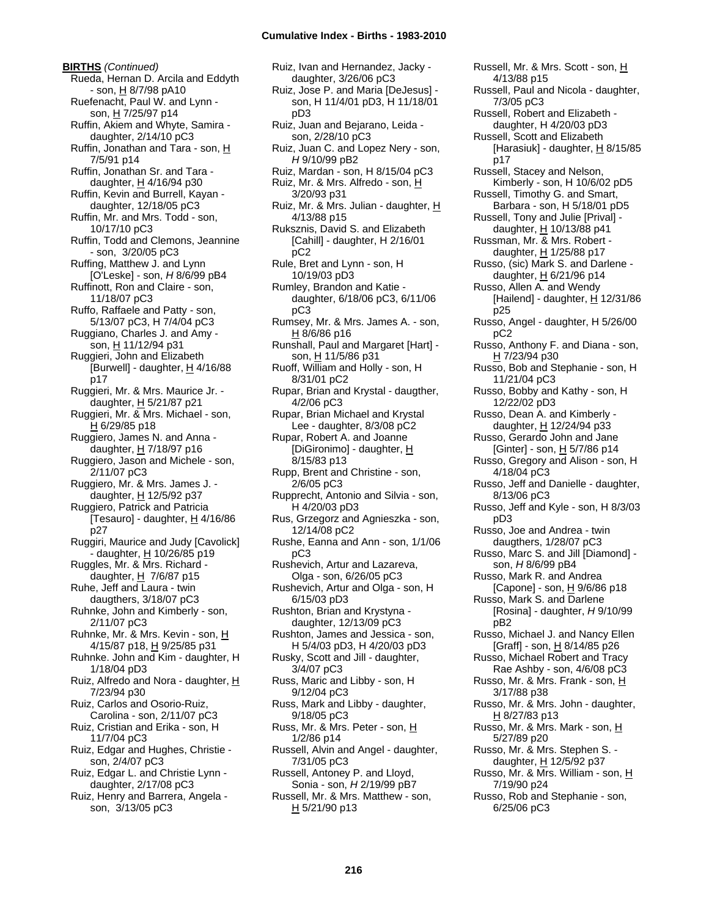**BIRTHS** *(Continued)* Rueda, Hernan D. Arcila and Eddyth - son, H 8/7/98 pA10 Ruefenacht, Paul W. and Lynn son, H 7/25/97 p14 Ruffin, Akiem and Whyte, Samira daughter, 2/14/10 pC3 Ruffin, Jonathan and Tara - son, H 7/5/91 p14 Ruffin, Jonathan Sr. and Tara daughter, H 4/16/94 p30 Ruffin, Kevin and Burrell, Kayan daughter, 12/18/05 pC3 Ruffin, Mr. and Mrs. Todd - son, 10/17/10 pC3 Ruffin, Todd and Clemons, Jeannine - son, 3/20/05 pC3 Ruffing, Matthew J. and Lynn [O'Leske] - son, *H* 8/6/99 pB4 Ruffinott, Ron and Claire - son, 11/18/07 pC3 Ruffo, Raffaele and Patty - son, 5/13/07 pC3, H 7/4/04 pC3 Ruggiano, Charles J. and Amy son, H 11/12/94 p31 Ruggieri, John and Elizabeth [Burwell] - daughter,  $H$  4/16/88 p17 Ruggieri, Mr. & Mrs. Maurice Jr. daughter, H 5/21/87 p21 Ruggieri, Mr. & Mrs. Michael - son, H 6/29/85 p18 Ruggiero, James N. and Anna daughter,  $H$  7/18/97 p16 Ruggiero, Jason and Michele - son, 2/11/07 pC3 Ruggiero, Mr. & Mrs. James J. daughter, H 12/5/92 p37 Ruggiero, Patrick and Patricia [Tesauro] - daughter,  $H$  4/16/86 p27 Ruggiri, Maurice and Judy [Cavolick] - daughter, H 10/26/85 p19 Ruggles, Mr. & Mrs. Richard daughter,  $H$  7/6/87 p15 Ruhe, Jeff and Laura - twin daugthers, 3/18/07 pC3 Ruhnke, John and Kimberly - son, 2/11/07 pC3 Ruhnke, Mr. & Mrs. Kevin - son, H 4/15/87 p18, H 9/25/85 p31 Ruhnke. John and Kim - daughter, H 1/18/04 pD3 Ruiz, Alfredo and Nora - daughter, H 7/23/94 p30 Ruiz, Carlos and Osorio-Ruiz, Carolina - son, 2/11/07 pC3 Ruiz, Cristian and Erika - son, H 11/7/04 pC3 Ruiz, Edgar and Hughes, Christie son, 2/4/07 pC3 Ruiz, Edgar L. and Christie Lynn daughter, 2/17/08 pC3 Ruiz, Henry and Barrera, Angela son, 3/13/05 pC3

Ruiz, Ivan and Hernandez, Jacky daughter, 3/26/06 pC3 Ruiz, Jose P. and Maria [DeJesus] son, H 11/4/01 pD3, H 11/18/01 pD3 Ruiz, Juan and Bejarano, Leida son, 2/28/10 pC3 Ruiz, Juan C. and Lopez Nery - son, *H* 9/10/99 pB2 Ruiz, Mardan - son, H 8/15/04 pC3 Ruiz, Mr. & Mrs. Alfredo - son, H 3/20/93 p31 Ruiz, Mr. & Mrs. Julian - daughter, H 4/13/88 p15 Ruksznis, David S. and Elizabeth [Cahill] - daughter, H 2/16/01 pC2 Rule, Bret and Lynn - son, H 10/19/03 pD3 Rumley, Brandon and Katie daughter, 6/18/06 pC3, 6/11/06 pC3 Rumsey, Mr. & Mrs. James A. - son, H 8/6/86 p16 Runshall, Paul and Margaret [Hart] son, H 11/5/86 p31 Ruoff, William and Holly - son, H 8/31/01 pC2 Rupar, Brian and Krystal - daugther, 4/2/06 pC3 Rupar, Brian Michael and Krystal Lee - daughter, 8/3/08 pC2 Rupar, Robert A. and Joanne [DiGironimo] - daughter, H 8/15/83 p13 Rupp, Brent and Christine - son, 2/6/05 pC3 Rupprecht, Antonio and Silvia - son, H 4/20/03 pD3 Rus, Grzegorz and Agnieszka - son, 12/14/08 pC2 Rushe, Eanna and Ann - son, 1/1/06 pC3 Rushevich, Artur and Lazareva, Olga - son, 6/26/05 pC3 Rushevich, Artur and Olga - son, H 6/15/03 pD3 Rushton, Brian and Krystyna daughter, 12/13/09 pC3 Rushton, James and Jessica - son, H 5/4/03 pD3, H 4/20/03 pD3 Rusky, Scott and Jill - daughter, 3/4/07 pC3 Russ, Maric and Libby - son, H 9/12/04 pC3 Russ, Mark and Libby - daughter, 9/18/05 pC3 Russ, Mr. & Mrs. Peter - son, H 1/2/86 p14 Russell, Alvin and Angel - daughter, 7/31/05 pC3 Russell, Antoney P. and Lloyd, Sonia - son, *H* 2/19/99 pB7 Russell, Mr. & Mrs. Matthew - son,  $H$  5/21/90 p13

Russell, Mr. & Mrs. Scott - son, H 4/13/88 p15 Russell, Paul and Nicola - daughter, 7/3/05 pC3 Russell, Robert and Elizabeth daughter, H 4/20/03 pD3 Russell, Scott and Elizabeth [Harasiuk] - daughter, H 8/15/85 p17 Russell, Stacey and Nelson, Kimberly - son, H 10/6/02 pD5 Russell, Timothy G. and Smart, Barbara - son, H 5/18/01 pD5 Russell, Tony and Julie [Prival] daughter,  $H$  10/13/88 p41 Russman, Mr. & Mrs. Robert daughter, H 1/25/88 p17 Russo, (sic) Mark S. and Darlene daughter,  $H$  6/21/96 p14 Russo, Allen A. and Wendy [Hailend] - daughter,  $H$  12/31/86 p25 Russo, Angel - daughter, H 5/26/00 pC2 Russo, Anthony F. and Diana - son, H 7/23/94 p30 Russo, Bob and Stephanie - son, H 11/21/04 pC3 Russo, Bobby and Kathy - son, H 12/22/02 pD3 Russo, Dean A. and Kimberly daughter, H 12/24/94 p33 Russo, Gerardo John and Jane [Ginter] - son, H 5/7/86 p14 Russo, Gregory and Alison - son, H 4/18/04 pC3 Russo, Jeff and Danielle - daughter, 8/13/06 pC3 Russo, Jeff and Kyle - son, H 8/3/03 pD3 Russo, Joe and Andrea - twin daugthers, 1/28/07 pC3 Russo, Marc S. and Jill [Diamond] son, *H* 8/6/99 pB4 Russo, Mark R. and Andrea [Capone] - son,  $H$  9/6/86 p18 Russo, Mark S. and Darlene [Rosina] - daughter, *H* 9/10/99 pB2 Russo, Michael J. and Nancy Ellen [Graff] - son,  $\underline{H}$  8/14/85 p26 Russo, Michael Robert and Tracy Rae Ashby - son, 4/6/08 pC3 Russo, Mr. & Mrs. Frank - son, H 3/17/88 p38 Russo, Mr. & Mrs. John - daughter, H 8/27/83 p13 Russo, Mr. & Mrs. Mark - son, H 5/27/89 p20 Russo, Mr. & Mrs. Stephen S. daughter, H 12/5/92 p37 Russo, Mr. & Mrs. William - son, H 7/19/90 p24 Russo, Rob and Stephanie - son, 6/25/06 pC3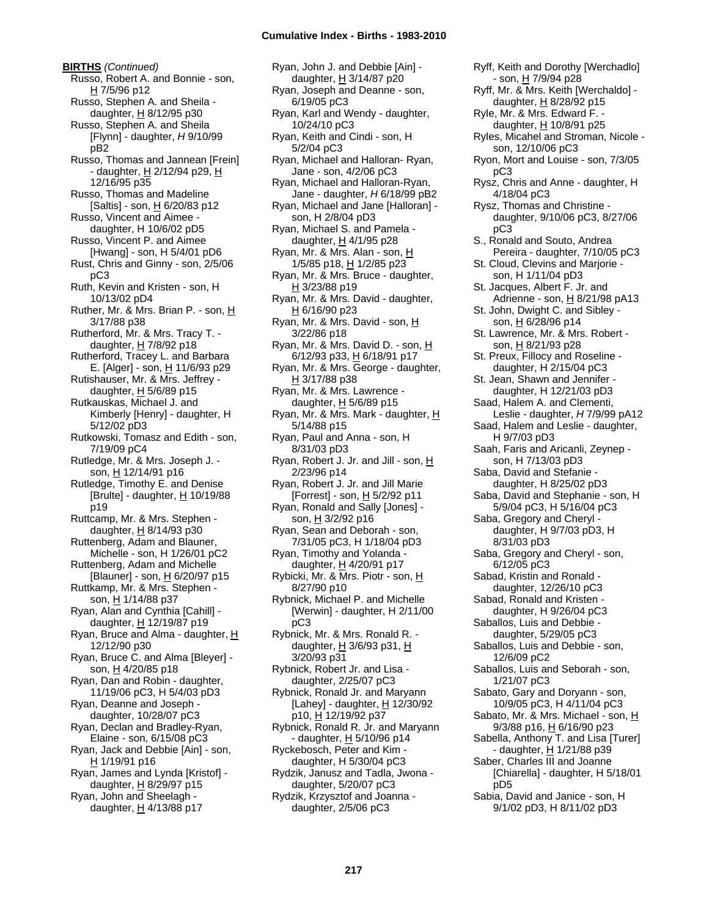**BIRTHS** *(Continued)* Russo, Robert A. and Bonnie - son, H 7/5/96 p12 Russo, Stephen A. and Sheila daughter, H 8/12/95 p30 Russo, Stephen A. and Sheila [Flynn] - daughter, *H* 9/10/99 pB2 Russo, Thomas and Jannean [Frein] - daughter,  $H$  2/12/94 p29,  $H$ 12/16/95 p35 Russo, Thomas and Madeline [Saltis] - son, H 6/20/83 p12 Russo, Vincent and Aimee daughter, H 10/6/02 pD5 Russo, Vincent P. and Aimee [Hwang] - son, H 5/4/01 pD6 Rust, Chris and Ginny - son, 2/5/06 pC3 Ruth, Kevin and Kristen - son, H 10/13/02 pD4 Ruther, Mr. & Mrs. Brian P. - son, H 3/17/88 p38 Rutherford, Mr. & Mrs. Tracy T. daughter,  $H$  7/8/92 p18 Rutherford, Tracey L. and Barbara E. [Alger] - son,  $H$  11/6/93 p29 Rutishauser, Mr. & Mrs. Jeffrey daughter, H 5/6/89 p15 Rutkauskas, Michael J. and Kimberly [Henry] - daughter, H 5/12/02 pD3 Rutkowski, Tomasz and Edith - son, 7/19/09 pC4 Rutledge, Mr. & Mrs. Joseph J. son, H 12/14/91 p16 Rutledge, Timothy E. and Denise [Brulte] - daughter,  $H$  10/19/88 p19 Ruttcamp, Mr. & Mrs. Stephen daughter, H 8/14/93 p30 Ruttenberg, Adam and Blauner, Michelle - son, H 1/26/01 pC2 Ruttenberg, Adam and Michelle [Blauner] - son,  $H_6/20/97$  p15 Ruttkamp, Mr. & Mrs. Stephen son, H 1/14/88 p37 Ryan, Alan and Cynthia [Cahill] daughter,  $H$  12/19/87 p19 Ryan, Bruce and Alma - daughter, H 12/12/90 p30 Ryan, Bruce C. and Alma [Bleyer] son, H 4/20/85 p18 Ryan, Dan and Robin - daughter, 11/19/06 pC3, H 5/4/03 pD3 Ryan, Deanne and Joseph daughter, 10/28/07 pC3 Ryan, Declan and Bradley-Ryan, Elaine - son, 6/15/08 pC3 Ryan, Jack and Debbie [Ain] - son, H 1/19/91 p16 Ryan, James and Lynda [Kristof] daughter, H 8/29/97 p15 Ryan, John and Sheelagh daughter,  $H$  4/13/88 p17

Ryan, John J. and Debbie [Ain] daughter, H 3/14/87 p20 Ryan, Joseph and Deanne - son, 6/19/05 pC3 Ryan, Karl and Wendy - daughter, 10/24/10 pC3 Ryan, Keith and Cindi - son, H 5/2/04 pC3 Ryan, Michael and Halloran- Ryan, Jane - son, 4/2/06 pC3 Ryan, Michael and Halloran-Ryan, Jane - daughter, *H* 6/18/99 pB2 Ryan, Michael and Jane [Halloran] son, H 2/8/04 pD3 Ryan, Michael S. and Pamela daughter,  $H$  4/1/95 p28 Ryan, Mr. & Mrs. Alan - son, H 1/5/85 p18, H 1/2/85 p23 Ryan, Mr. & Mrs. Bruce - daughter, H 3/23/88 p19 Ryan, Mr. & Mrs. David - daughter,  $H$  6/16/90 p23 Ryan, Mr. & Mrs. David - son, H 3/22/86 p18 Ryan, Mr. & Mrs. David D. - son, H 6/12/93 p33, H 6/18/91 p17 Ryan, Mr. & Mrs. George - daughter,  $H$  3/17/88 p38 Ryan, Mr. & Mrs. Lawrence daughter, H 5/6/89 p15 Ryan, Mr. & Mrs. Mark - daughter, H 5/14/88 p15 Ryan, Paul and Anna - son, H 8/31/03 pD3 Ryan, Robert J. Jr. and Jill - son, H 2/23/96 p14 Ryan, Robert J. Jr. and Jill Marie [Forrest] - son, H 5/2/92 p11 Ryan, Ronald and Sally [Jones] son,  $H$  3/2/92 p16 Ryan, Sean and Deborah - son, 7/31/05 pC3, H 1/18/04 pD3 Ryan, Timothy and Yolanda daughter, H 4/20/91 p17 Rybicki, Mr. & Mrs. Piotr - son, H 8/27/90 p10 Rybnick, Michael P. and Michelle [Werwin] - daughter, H 2/11/00 pC3 Rybnick, Mr. & Mrs. Ronald R. daughter,  $H$  3/6/93 p31,  $H$ 3/20/93 p31 Rybnick, Robert Jr. and Lisa daughter, 2/25/07 pC3 Rybnick, Ronald Jr. and Maryann [Lahey] - daughter,  $\underline{H}$  12/30/92 p10, H 12/19/92 p37 Rybnick, Ronald R. Jr. and Maryann - daughter, <u>H</u> 5/10/96 p14 Ryckebosch, Peter and Kim daughter, H 5/30/04 pC3 Rydzik, Janusz and Tadla, Jwona daughter, 5/20/07 pC3 Rydzik, Krzysztof and Joanna daughter, 2/5/06 pC3

Ryff, Keith and Dorothy [Werchadlo] - son, H 7/9/94 p28 Ryff, Mr. & Mrs. Keith [Werchaldo] daughter,  $H$  8/28/92 p15 Ryle, Mr. & Mrs. Edward F. daughter, H 10/8/91 p25 Ryles, Micahel and Stroman, Nicole son, 12/10/06 pC3 Ryon, Mort and Louise - son, 7/3/05 pC3 Rysz, Chris and Anne - daughter, H 4/18/04 pC3 Rysz, Thomas and Christine daughter, 9/10/06 pC3, 8/27/06 pC3 S., Ronald and Souto, Andrea Pereira - daughter, 7/10/05 pC3 St. Cloud, Clevins and Marjorie son, H 1/11/04 pD3 St. Jacques, Albert F. Jr. and Adrienne - son, H 8/21/98 pA13 St. John, Dwight C. and Sibley son, H 6/28/96 p14 St. Lawrence, Mr. & Mrs. Robert son, H 8/21/93 p28 St. Preux, Fillocy and Roseline daughter, H 2/15/04 pC3 St. Jean, Shawn and Jennifer daughter, H 12/21/03 pD3 Saad, Halem A. and Clementi, Leslie - daughter, *H* 7/9/99 pA12 Saad, Halem and Leslie - daughter, H 9/7/03 pD3 Saah, Faris and Aricanli, Zeynep son, H 7/13/03 pD3 Saba, David and Stefanie daughter, H 8/25/02 pD3 Saba, David and Stephanie - son, H 5/9/04 pC3, H 5/16/04 pC3 Saba, Gregory and Cheryl daughter, H 9/7/03 pD3, H 8/31/03 pD3 Saba, Gregory and Cheryl - son, 6/12/05 pC3 Sabad, Kristin and Ronald daughter, 12/26/10 pC3 Sabad, Ronald and Kristen daughter, H 9/26/04 pC3 Saballos, Luis and Debbie daughter, 5/29/05 pC3 Saballos, Luis and Debbie - son, 12/6/09 pC2 Saballos, Luis and Seborah - son, 1/21/07 pC3 Sabato, Gary and Doryann - son, 10/9/05 pC3, H 4/11/04 pC3 Sabato, Mr. & Mrs. Michael - son, H 9/3/88 p16, H 6/16/90 p23 Sabella, Anthony T. and Lisa [Turer] - daughter, H 1/21/88 p39 Saber, Charles III and Joanne [Chiarella] - daughter, H 5/18/01 pD5 Sabia, David and Janice - son, H 9/1/02 pD3, H 8/11/02 pD3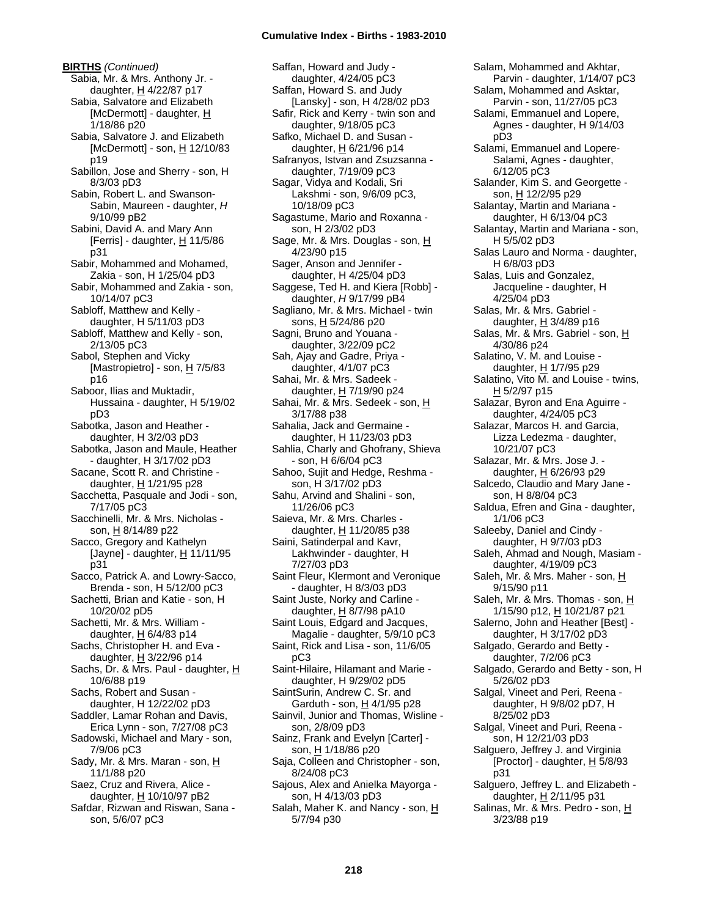**BIRTHS** *(Continued)* Sabia, Mr. & Mrs. Anthony Jr. daughter,  $H$  4/22/87 p17 Sabia, Salvatore and Elizabeth [McDermott] - daughter, H 1/18/86 p20 Sabia, Salvatore J. and Elizabeth [McDermott] - son, H 12/10/83 p19 Sabillon, Jose and Sherry - son, H 8/3/03 pD3 Sabin, Robert L. and Swanson-Sabin, Maureen - daughter, *H* 9/10/99 pB2 Sabini, David A. and Mary Ann [Ferris] - daughter,  $H$  11/5/86 p31 Sabir, Mohammed and Mohamed, Zakia - son, H 1/25/04 pD3 Sabir, Mohammed and Zakia - son, 10/14/07 pC3 Sabloff, Matthew and Kelly daughter, H 5/11/03 pD3 Sabloff, Matthew and Kelly - son, 2/13/05 pC3 Sabol, Stephen and Vicky [Mastropietro] - son,  $\underline{H}$  7/5/83 p16 Saboor, Ilias and Muktadir, Hussaina - daughter, H 5/19/02 pD3 Sabotka, Jason and Heather daughter, H 3/2/03 pD3 Sabotka, Jason and Maule, Heather - daughter, H 3/17/02 pD3 Sacane, Scott R. and Christine daughter, H 1/21/95 p28 Sacchetta, Pasquale and Jodi - son, 7/17/05 pC3 Sacchinelli, Mr. & Mrs. Nicholas son, H 8/14/89 p22 Sacco, Gregory and Kathelyn  $[$ Jayne] - daughter,  $\underline{H}$  11/11/95 p31 Sacco, Patrick A. and Lowry-Sacco, Brenda - son, H 5/12/00 pC3 Sachetti, Brian and Katie - son, H 10/20/02 pD5 Sachetti, Mr. & Mrs. William daughter,  $H$  6/4/83 p14 Sachs, Christopher H. and Eva daughter, H 3/22/96 p14 Sachs, Dr. & Mrs. Paul - daughter, H 10/6/88 p19 Sachs, Robert and Susan daughter, H 12/22/02 pD3 Saddler, Lamar Rohan and Davis, Erica Lynn - son, 7/27/08 pC3 Sadowski, Michael and Mary - son, 7/9/06 pC3 Sady, Mr. & Mrs. Maran - son, H 11/1/88 p20 Saez, Cruz and Rivera, Alice daughter, H 10/10/97 pB2 Safdar, Rizwan and Riswan, Sana son, 5/6/07 pC3

Saffan, Howard and Judy daughter, 4/24/05 pC3 Saffan, Howard S. and Judy [Lansky] - son, H 4/28/02 pD3 Safir, Rick and Kerry - twin son and daughter, 9/18/05 pC3 Safko, Michael D. and Susan daughter, H 6/21/96 p14 Safranyos, Istvan and Zsuzsanna daughter, 7/19/09 pC3 Sagar, Vidya and Kodali, Sri Lakshmi - son, 9/6/09 pC3, 10/18/09 pC3 Sagastume, Mario and Roxanna son, H 2/3/02 pD3 Sage, Mr. & Mrs. Douglas - son, H 4/23/90 p15 Sager, Anson and Jennifer daughter, H 4/25/04 pD3 Saggese, Ted H. and Kiera [Robb] daughter, *H* 9/17/99 pB4 Sagliano, Mr. & Mrs. Michael - twin sons, H 5/24/86 p20 Sagni, Bruno and Youana daughter, 3/22/09 pC2 Sah, Ajay and Gadre, Priya daughter, 4/1/07 pC3 Sahai, Mr. & Mrs. Sadeek daughter, H 7/19/90 p24 Sahai, Mr. & Mrs. Sedeek - son, H 3/17/88 p38 Sahalia, Jack and Germaine daughter, H 11/23/03 pD3 Sahlia, Charly and Ghofrany, Shieva - son, H 6/6/04 pC3 Sahoo, Sujit and Hedge, Reshma son, H 3/17/02 pD3 Sahu, Arvind and Shalini - son, 11/26/06 pC3 Saieva, Mr. & Mrs. Charles daughter, H 11/20/85 p38 Saini, Satinderpal and Kavr, Lakhwinder - daughter, H 7/27/03 pD3 Saint Fleur, Klermont and Veronique - daughter, H 8/3/03 pD3 Saint Juste, Norky and Carline daughter,  $H$  8/7/98 pA10 Saint Louis, Edgard and Jacques, Magalie - daughter, 5/9/10 pC3 Saint, Rick and Lisa - son, 11/6/05 pC3 Saint-Hilaire, Hilamant and Marie daughter, H 9/29/02 pD5 SaintSurin, Andrew C. Sr. and Garduth - son,  $H$  4/1/95 p28 Sainvil, Junior and Thomas, Wisline son, 2/8/09 pD3 Sainz, Frank and Evelyn [Carter] son, H 1/18/86 p20 Saja, Colleen and Christopher - son, 8/24/08 pC3 Sajous, Alex and Anielka Mayorga son, H 4/13/03 pD3 Salah, Maher K. and Nancy - son, H 5/7/94 p30

Salam, Mohammed and Akhtar, Parvin - daughter, 1/14/07 pC3 Salam, Mohammed and Asktar, Parvin - son, 11/27/05 pC3 Salami, Emmanuel and Lopere, Agnes - daughter, H 9/14/03 pD3 Salami, Emmanuel and Lopere-Salami, Agnes - daughter, 6/12/05 pC3 Salander, Kim S. and Georgette son, H 12/2/95 p29 Salantay, Martin and Mariana daughter, H 6/13/04 pC3 Salantay, Martin and Mariana - son, H 5/5/02 pD3 Salas Lauro and Norma - daughter, H 6/8/03 pD3 Salas, Luis and Gonzalez, Jacqueline - daughter, H 4/25/04 pD3 Salas, Mr. & Mrs. Gabriel daughter,  $H$  3/4/89 p16 Salas, Mr. & Mrs. Gabriel - son, H 4/30/86 p24 Salatino, V. M. and Louise daughter, H 1/7/95 p29 Salatino, Vito M. and Louise - twins, H 5/2/97 p15 Salazar, Byron and Ena Aguirre daughter, 4/24/05 pC3 Salazar, Marcos H. and Garcia, Lizza Ledezma - daughter, 10/21/07 pC3 Salazar, Mr. & Mrs. Jose J. daughter,  $H$  6/26/93 p29 Salcedo, Claudio and Mary Jane son, H 8/8/04 pC3 Saldua, Efren and Gina - daughter, 1/1/06 pC3 Saleeby, Daniel and Cindy daughter, H 9/7/03 pD3 Saleh, Ahmad and Nough, Masiam daughter, 4/19/09 pC3 Saleh, Mr. & Mrs. Maher - son, H 9/15/90 p11 Saleh, Mr. & Mrs. Thomas - son, H 1/15/90 p12, H 10/21/87 p21 Salerno, John and Heather [Best] daughter, H 3/17/02 pD3 Salgado, Gerardo and Betty daughter, 7/2/06 pC3 Salgado, Gerardo and Betty - son, H 5/26/02 pD3 Salgal, Vineet and Peri, Reena daughter, H 9/8/02 pD7, H 8/25/02 pD3 Salgal, Vineet and Puri, Reena son, H 12/21/03 pD3 Salguero, Jeffrey J. and Virginia [Proctor] - daughter,  $H$  5/8/93 p31 Salguero, Jeffrey L. and Elizabeth daughter, H 2/11/95 p31 Salinas, Mr. & Mrs. Pedro - son, H 3/23/88 p19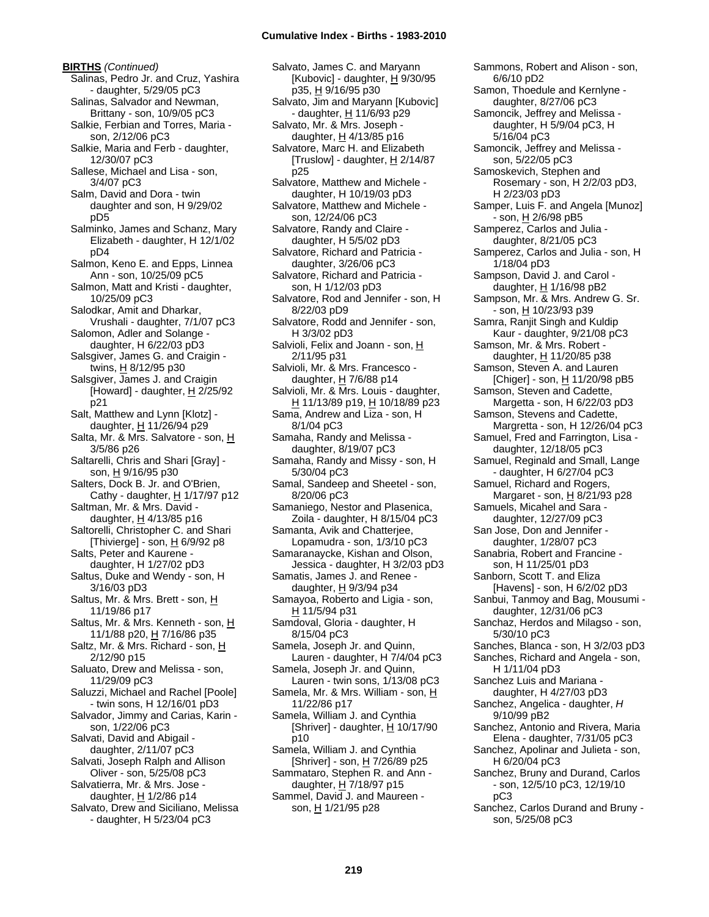**BIRTHS** *(Continued)* Salinas, Pedro Jr. and Cruz, Yashira - daughter, 5/29/05 pC3 Salinas, Salvador and Newman, Brittany - son, 10/9/05 pC3 Salkie, Ferbian and Torres, Maria son, 2/12/06 pC3 Salkie, Maria and Ferb - daughter, 12/30/07 pC3 Sallese, Michael and Lisa - son, 3/4/07 pC3 Salm, David and Dora - twin daughter and son, H 9/29/02 pD5 Salminko, James and Schanz, Mary Elizabeth - daughter, H 12/1/02 pD4 Salmon, Keno E. and Epps, Linnea Ann - son, 10/25/09 pC5 Salmon, Matt and Kristi - daughter, 10/25/09 pC3 Salodkar, Amit and Dharkar, Vrushali - daughter, 7/1/07 pC3 Salomon, Adler and Solange daughter, H 6/22/03 pD3 Salsgiver, James G. and Craigin twins,  $H_8$  8/12/95 p30 Salsgiver, James J. and Craigin [Howard] - daughter, H 2/25/92 p21 Salt, Matthew and Lynn [Klotz] daughter, H 11/26/94 p29 Salta, Mr. & Mrs. Salvatore - son, H 3/5/86 p26 Saltarelli, Chris and Shari [Gray] son, H 9/16/95 p30 Salters, Dock B. Jr. and O'Brien, Cathy - daughter,  $H$  1/17/97 p12 Saltman, Mr. & Mrs. David daughter,  $H$  4/13/85 p16 Saltorelli, Christopher C. and Shari [Thivierge] - son,  $\underline{H}$  6/9/92 p8 Salts, Peter and Kaurene daughter, H 1/27/02 pD3 Saltus, Duke and Wendy - son, H 3/16/03 pD3 Saltus, Mr. & Mrs. Brett - son, H 11/19/86 p17 Saltus, Mr. & Mrs. Kenneth - son, H 11/1/88 p20, H 7/16/86 p35 Saltz, Mr. & Mrs. Richard - son, H 2/12/90 p15 Saluato, Drew and Melissa - son, 11/29/09 pC3 Saluzzi, Michael and Rachel [Poole] - twin sons, H 12/16/01 pD3 Salvador, Jimmy and Carias, Karin son, 1/22/06 pC3 Salvati, David and Abigail daughter, 2/11/07 pC3 Salvati, Joseph Ralph and Allison Oliver - son, 5/25/08 pC3 Salvatierra, Mr. & Mrs. Jose daughter,  $H$  1/2/86 p14 Salvato, Drew and Siciliano, Melissa - daughter, H 5/23/04 pC3

Salvato, James C. and Maryann [Kubovic] - daughter, H 9/30/95 p35, H 9/16/95 p30 Salvato, Jim and Maryann [Kubovic] - daughter, H 11/6/93 p29 Salvato, Mr. & Mrs. Joseph daughter,  $H$  4/13/85 p16 Salvatore, Marc H. and Elizabeth [Truslow] - daughter,  $H$  2/14/87 p25 Salvatore, Matthew and Michele daughter, H 10/19/03 pD3 Salvatore, Matthew and Michele son, 12/24/06 pC3 Salvatore, Randy and Claire daughter, H 5/5/02 pD3 Salvatore, Richard and Patricia daughter, 3/26/06 pC3 Salvatore, Richard and Patricia son, H 1/12/03 pD3 Salvatore, Rod and Jennifer - son, H 8/22/03 pD9 Salvatore, Rodd and Jennifer - son, H 3/3/02 pD3 Salvioli, Felix and Joann - son, H 2/11/95 p31 Salvioli, Mr. & Mrs. Francesco daughter,  $H$  7/6/88 p14 Salvioli, Mr. & Mrs. Louis - daughter, H 11/13/89 p19, H 10/18/89 p23 Sama, Andrew and Liza - son, H 8/1/04 pC3 Samaha, Randy and Melissa daughter, 8/19/07 pC3 Samaha, Randy and Missy - son, H 5/30/04 pC3 Samal, Sandeep and Sheetel - son, 8/20/06 pC3 Samaniego, Nestor and Plasenica, Zoila - daughter, H 8/15/04 pC3 Samanta, Avik and Chatterjee, Lopamudra - son, 1/3/10 pC3 Samaranaycke, Kishan and Olson, Jessica - daughter, H 3/2/03 pD3 Samatis, James J. and Renee daughter,  $H$  9/3/94 p34 Samayoa, Roberto and Ligia - son, H 11/5/94 p31 Samdoval, Gloria - daughter, H 8/15/04 pC3 Samela, Joseph Jr. and Quinn, Lauren - daughter, H 7/4/04 pC3 Samela, Joseph Jr. and Quinn, Lauren - twin sons, 1/13/08 pC3 Samela, Mr. & Mrs. William - son, H 11/22/86 p17 Samela, William J. and Cynthia [Shriver] - daughter,  $H$  10/17/90 p10 Samela, William J. and Cynthia [Shriver] - son, H 7/26/89 p25 Sammataro, Stephen R. and Ann daughter, H 7/18/97 p15 Sammel, David J. and Maureen son, H 1/21/95 p28

Sammons, Robert and Alison - son, 6/6/10 pD2 Samon, Thoedule and Kernlyne daughter, 8/27/06 pC3 Samoncik, Jeffrey and Melissa daughter, H 5/9/04 pC3, H 5/16/04 pC3 Samoncik, Jeffrey and Melissa son, 5/22/05 pC3 Samoskevich, Stephen and Rosemary - son, H 2/2/03 pD3, H 2/23/03 pD3 Samper, Luis F. and Angela [Munoz] - son, H 2/6/98 pB5 Samperez, Carlos and Julia daughter, 8/21/05 pC3 Samperez, Carlos and Julia - son, H 1/18/04 pD3 Sampson, David J. and Carol daughter, H 1/16/98 pB2 Sampson, Mr. & Mrs. Andrew G. Sr. - son, H 10/23/93 p39 Samra, Ranjit Singh and Kuldip Kaur - daughter, 9/21/08 pC3 Samson, Mr. & Mrs. Robert daughter, H 11/20/85 p38 Samson, Steven A. and Lauren [Chiger] - son,  $\underline{H}$  11/20/98 pB5 Samson, Steven and Cadette, Margetta - son, H 6/22/03 pD3 Samson, Stevens and Cadette, Margretta - son, H 12/26/04 pC3 Samuel, Fred and Farrington, Lisa daughter, 12/18/05 pC3 Samuel, Reginald and Small, Lange - daughter, H 6/27/04 pC3 Samuel, Richard and Rogers, Margaret - son, H 8/21/93 p28 Samuels, Micahel and Sara daughter, 12/27/09 pC3 San Jose, Don and Jennifer daughter, 1/28/07 pC3 Sanabria, Robert and Francine son, H 11/25/01 pD3 Sanborn, Scott T. and Eliza [Havens] - son, H 6/2/02 pD3 Sanbui, Tanmoy and Bag, Mousumi daughter, 12/31/06 pC3 Sanchaz, Herdos and Milagso - son, 5/30/10 pC3 Sanches, Blanca - son, H 3/2/03 pD3 Sanches, Richard and Angela - son, H 1/11/04 pD3 Sanchez Luis and Mariana daughter, H 4/27/03 pD3 Sanchez, Angelica - daughter, *H* 9/10/99 pB2 Sanchez, Antonio and Rivera, Maria Elena - daughter, 7/31/05 pC3 Sanchez, Apolinar and Julieta - son, H 6/20/04 pC3 Sanchez, Bruny and Durand, Carlos - son, 12/5/10 pC3, 12/19/10 pC3 Sanchez, Carlos Durand and Bruny son, 5/25/08 pC3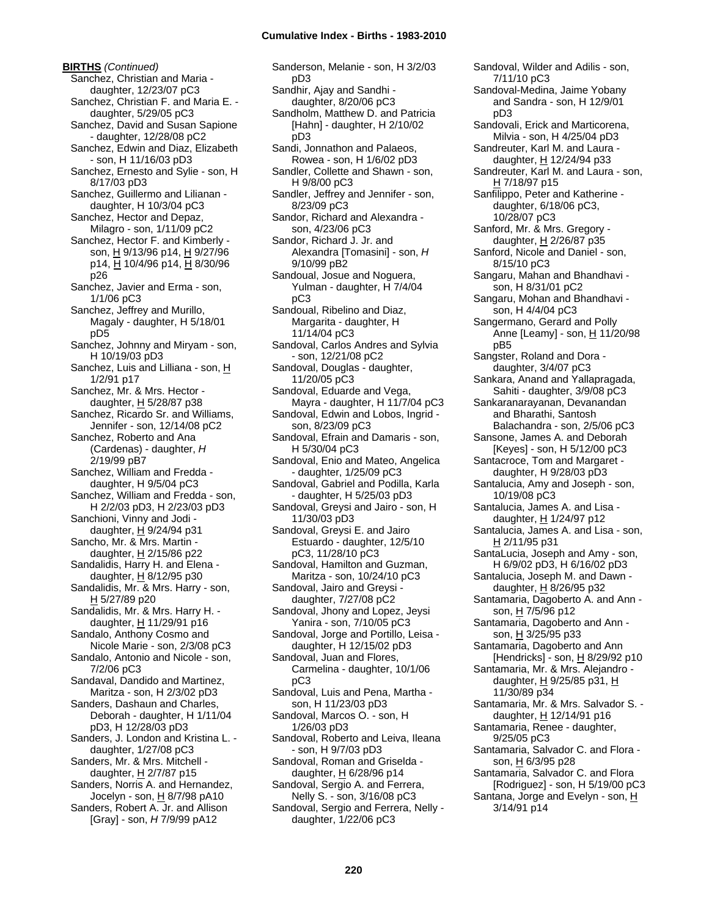**BIRTHS** *(Continued)* Sanchez, Christian and Maria daughter, 12/23/07 pC3 Sanchez, Christian F. and Maria E. daughter, 5/29/05 pC3 Sanchez, David and Susan Sapione - daughter, 12/28/08 pC2 Sanchez, Edwin and Diaz, Elizabeth - son, H 11/16/03 pD3 Sanchez, Ernesto and Sylie - son, H 8/17/03 pD3 Sanchez, Guillermo and Lilianan daughter, H 10/3/04 pC3 Sanchez, Hector and Depaz, Milagro - son, 1/11/09 pC2 Sanchez, Hector F. and Kimberly son, H 9/13/96 p14, H 9/27/96 p14, H 10/4/96 p14, H 8/30/96 p26 Sanchez, Javier and Erma - son, 1/1/06 pC3 Sanchez, Jeffrey and Murillo, Magaly - daughter, H 5/18/01 pD5 Sanchez, Johnny and Miryam - son, H 10/19/03 pD3 Sanchez, Luis and Lilliana - son, H 1/2/91 p17 Sanchez, Mr. & Mrs. Hector daughter, H 5/28/87 p38 Sanchez, Ricardo Sr. and Williams, Jennifer - son, 12/14/08 pC2 Sanchez, Roberto and Ana (Cardenas) - daughter, *H* 2/19/99 pB7 Sanchez, William and Fredda daughter, H 9/5/04 pC3 Sanchez, William and Fredda - son, H 2/2/03 pD3, H 2/23/03 pD3 Sanchioni, Vinny and Jodi daughter, H 9/24/94 p31 Sancho, Mr. & Mrs. Martin daughter, H 2/15/86 p22 Sandalidis, Harry H. and Elena daughter,  $H$  8/12/95 p30 Sandalidis, Mr. & Mrs. Harry - son, H 5/27/89 p20 Sandalidis, Mr. & Mrs. Harry H. daughter, H 11/29/91 p16 Sandalo, Anthony Cosmo and Nicole Marie - son, 2/3/08 pC3 Sandalo, Antonio and Nicole - son, 7/2/06 pC3 Sandaval, Dandido and Martinez, Maritza - son, H 2/3/02 pD3 Sanders, Dashaun and Charles, Deborah - daughter, H 1/11/04 pD3, H 12/28/03 pD3 Sanders, J. London and Kristina L. daughter, 1/27/08 pC3 Sanders, Mr. & Mrs. Mitchell daughter, H 2/7/87 p15 Sanders, Norris A. and Hernandez, Jocelyn - son, H 8/7/98 pA10 Sanders, Robert A. Jr. and Allison [Gray] - son, *H* 7/9/99 pA12

Sanderson, Melanie - son, H 3/2/03 pD3 Sandhir, Ajay and Sandhi daughter, 8/20/06 pC3 Sandholm, Matthew D. and Patricia [Hahn] - daughter, H 2/10/02 pD3 Sandi, Jonnathon and Palaeos, Rowea - son, H 1/6/02 pD3 Sandler, Collette and Shawn - son, H 9/8/00 pC3 Sandler, Jeffrey and Jennifer - son, 8/23/09 pC3 Sandor, Richard and Alexandra son, 4/23/06 pC3 Sandor, Richard J. Jr. and Alexandra [Tomasini] - son, *H* 9/10/99 pB2 Sandoual, Josue and Noguera, Yulman - daughter, H 7/4/04 pC3 Sandoual, Ribelino and Diaz, Margarita - daughter, H 11/14/04 pC3 Sandoval, Carlos Andres and Sylvia - son, 12/21/08 pC2 Sandoval, Douglas - daughter, 11/20/05 pC3 Sandoval, Eduarde and Vega, Mayra - daughter, H 11/7/04 pC3 Sandoval, Edwin and Lobos, Ingrid son, 8/23/09 pC3 Sandoval, Efrain and Damaris - son, H 5/30/04 pC3 Sandoval, Enio and Mateo, Angelica - daughter, 1/25/09 pC3 Sandoval, Gabriel and Podilla, Karla - daughter, H 5/25/03 pD3 Sandoval, Greysi and Jairo - son, H 11/30/03 pD3 Sandoval, Greysi E. and Jairo Estuardo - daughter, 12/5/10 pC3, 11/28/10 pC3 Sandoval, Hamilton and Guzman, Maritza - son, 10/24/10 pC3 Sandoval, Jairo and Greysi daughter, 7/27/08 pC2 Sandoval, Jhony and Lopez, Jeysi Yanira - son, 7/10/05 pC3 Sandoval, Jorge and Portillo, Leisa daughter, H 12/15/02 pD3 Sandoval, Juan and Flores, Carmelina - daughter, 10/1/06 pC3 Sandoval, Luis and Pena, Martha son, H 11/23/03 pD3 Sandoval, Marcos O. - son, H 1/26/03 pD3 Sandoval, Roberto and Leiva, Ileana - son, H 9/7/03 pD3 Sandoval, Roman and Griselda daughter, H 6/28/96 p14 Sandoval, Sergio A. and Ferrera, Nelly S. - son, 3/16/08 pC3 Sandoval, Sergio and Ferrera, Nelly daughter, 1/22/06 pC3

Sandoval, Wilder and Adilis - son, 7/11/10 pC3 Sandoval-Medina, Jaime Yobany and Sandra - son, H 12/9/01 pD3 Sandovali, Erick and Marticorena, Milvia - son, H 4/25/04 pD3 Sandreuter, Karl M. and Laura daughter, H 12/24/94 p33 Sandreuter, Karl M. and Laura - son, H 7/18/97 p15 Sanfilippo, Peter and Katherine daughter, 6/18/06 pC3, 10/28/07 pC3 Sanford, Mr. & Mrs. Gregory daughter,  $H$  2/26/87 p35 Sanford, Nicole and Daniel - son, 8/15/10 pC3 Sangaru, Mahan and Bhandhavi son, H 8/31/01 pC2 Sangaru, Mohan and Bhandhavi son, H 4/4/04 pC3 Sangermano, Gerard and Polly Anne [Leamy] - son, H 11/20/98 pB5 Sangster, Roland and Dora daughter, 3/4/07 pC3 Sankara, Anand and Yallapragada, Sahiti - daughter, 3/9/08 pC3 Sankaranarayanan, Devanandan and Bharathi, Santosh Balachandra - son, 2/5/06 pC3 Sansone, James A. and Deborah [Keyes] - son, H 5/12/00 pC3 Santacroce, Tom and Margaret daughter, H 9/28/03 pD3 Santalucia, Amy and Joseph - son, 10/19/08 pC3 Santalucia, James A. and Lisa daughter, H 1/24/97 p12 Santalucia, James A. and Lisa - son, H 2/11/95 p31 SantaLucia, Joseph and Amy - son, H 6/9/02 pD3, H 6/16/02 pD3 Santalucia, Joseph M. and Dawn daughter,  $H$  8/26/95 p32 Santamaria, Dagoberto A. and Ann son, H 7/5/96 p12 Santamaria, Dagoberto and Ann son, H 3/25/95 p33 Santamaria, Dagoberto and Ann [Hendricks] - son,  $H$  8/29/92 p10 Santamaria, Mr. & Mrs. Alejandro daughter,  $H$  9/25/85 p31,  $H$ 11/30/89 p34 Santamaria, Mr. & Mrs. Salvador S. daughter, H 12/14/91 p16 Santamaria, Renee - daughter, 9/25/05 pC3 Santamaria, Salvador C. and Flora son, H 6/3/95 p28 Santamaria, Salvador C. and Flora [Rodriguez] - son, H 5/19/00 pC3 Santana, Jorge and Evelyn - son, H 3/14/91 p14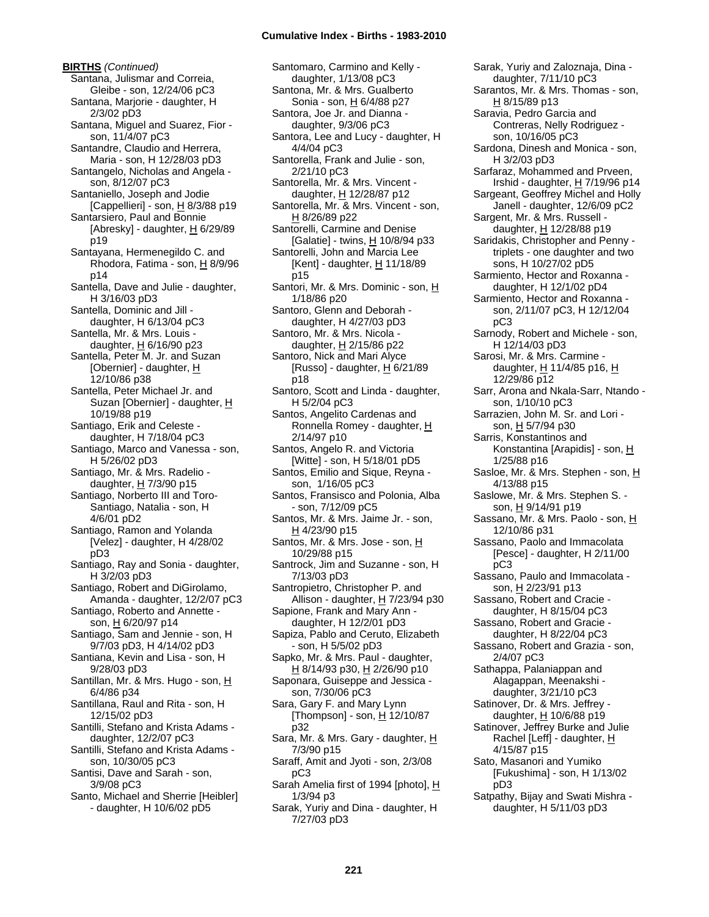**BIRTHS** *(Continued)* Santana, Julismar and Correia, Gleibe - son, 12/24/06 pC3 Santana, Marjorie - daughter, H 2/3/02 pD3 Santana, Miguel and Suarez, Fior son, 11/4/07 pC3 Santandre, Claudio and Herrera, Maria - son, H 12/28/03 pD3 Santangelo, Nicholas and Angela son, 8/12/07 pC3 Santaniello, Joseph and Jodie [Cappellieri] - son,  $\underline{H}$  8/3/88 p19 Santarsiero, Paul and Bonnie [Abresky] - daughter,  $H$  6/29/89 p19 Santayana, Hermenegildo C. and Rhodora, Fatima - son,  $H$  8/9/96 p14 Santella, Dave and Julie - daughter, H 3/16/03 pD3 Santella, Dominic and Jill daughter, H 6/13/04 pC3 Santella, Mr. & Mrs. Louis daughter,  $H$  6/16/90 p23 Santella, Peter M. Jr. and Suzan [Obernier] - daughter, H 12/10/86 p38 Santella, Peter Michael Jr. and Suzan [Obernier] - daughter, H 10/19/88 p19 Santiago, Erik and Celeste daughter, H 7/18/04 pC3 Santiago, Marco and Vanessa - son, H 5/26/02 pD3 Santiago, Mr. & Mrs. Radelio daughter,  $H$  7/3/90 p15 Santiago, Norberto III and Toro-Santiago, Natalia - son, H 4/6/01 pD2 Santiago, Ramon and Yolanda [Velez] - daughter, H 4/28/02 pD3 Santiago, Ray and Sonia - daughter, H 3/2/03 pD3 Santiago, Robert and DiGirolamo, Amanda - daughter, 12/2/07 pC3 Santiago, Roberto and Annette son, H 6/20/97 p14 Santiago, Sam and Jennie - son, H 9/7/03 pD3, H 4/14/02 pD3 Santiana, Kevin and Lisa - son, H 9/28/03 pD3 Santillan, Mr. & Mrs. Hugo - son, H 6/4/86 p34 Santillana, Raul and Rita - son, H 12/15/02 pD3 Santilli, Stefano and Krista Adams daughter, 12/2/07 pC3 Santilli, Stefano and Krista Adams son, 10/30/05 pC3 Santisi, Dave and Sarah - son, 3/9/08 pC3 Santo, Michael and Sherrie [Heibler] - daughter, H 10/6/02 pD5

Santomaro, Carmino and Kelly daughter, 1/13/08 pC3 Santona, Mr. & Mrs. Gualberto Sonia - son, H 6/4/88 p27 Santora, Joe Jr. and Dianna daughter, 9/3/06 pC3 Santora, Lee and Lucy - daughter, H 4/4/04 pC3 Santorella, Frank and Julie - son, 2/21/10 pC3 Santorella, Mr. & Mrs. Vincent daughter, H 12/28/87 p12 Santorella, Mr. & Mrs. Vincent - son, H 8/26/89 p22 Santorelli, Carmine and Denise [Galatie] - twins,  $H$  10/8/94 p33 Santorelli, John and Marcia Lee [Kent] - daughter,  $H$  11/18/89 p15 Santori, Mr. & Mrs. Dominic - son, H 1/18/86 p20 Santoro, Glenn and Deborah daughter, H 4/27/03 pD3 Santoro, Mr. & Mrs. Nicola daughter,  $H$  2/15/86 p22 Santoro, Nick and Mari Alyce [Russo] - daughter,  $H$  6/21/89 p18 Santoro, Scott and Linda - daughter, H 5/2/04 pC3 Santos, Angelito Cardenas and Ronnella Romey - daughter, H 2/14/97 p10 Santos, Angelo R. and Victoria [Witte] - son, H 5/18/01 pD5 Santos, Emilio and Sique, Reyna son, 1/16/05 pC3 Santos, Fransisco and Polonia, Alba - son, 7/12/09 pC5 Santos, Mr. & Mrs. Jaime Jr. - son, H 4/23/90 p15 Santos, Mr. & Mrs. Jose - son, H 10/29/88 p15 Santrock, Jim and Suzanne - son, H 7/13/03 pD3 Santropietro, Christopher P. and Allison - daughter, H 7/23/94 p30 Sapione, Frank and Mary Ann daughter, H 12/2/01 pD3 Sapiza, Pablo and Ceruto, Elizabeth - son, H 5/5/02 pD3 Sapko, Mr. & Mrs. Paul - daughter, H 8/14/93 p30, H 2/26/90 p10 Saponara, Guiseppe and Jessica son, 7/30/06 pC3 Sara, Gary F. and Mary Lynn [Thompson] - son,  $H$  12/10/87 p32 Sara, Mr. & Mrs. Gary - daughter, H 7/3/90 p15 Saraff, Amit and Jyoti - son, 2/3/08 pC3 Sarah Amelia first of 1994 [photo], H 1/3/94 p3 Sarak, Yuriy and Dina - daughter, H 7/27/03 pD3

Sarak, Yuriy and Zaloznaja, Dina daughter, 7/11/10 pC3 Sarantos, Mr. & Mrs. Thomas - son, H 8/15/89 p13 Saravia, Pedro Garcia and Contreras, Nelly Rodriguez son, 10/16/05 pC3 Sardona, Dinesh and Monica - son, H 3/2/03 pD3 Sarfaraz, Mohammed and Prveen, Irshid - daughter, H 7/19/96 p14 Sargeant, Geoffrey Michel and Holly Janell - daughter, 12/6/09 pC2 Sargent, Mr. & Mrs. Russell daughter, H 12/28/88 p19 Saridakis, Christopher and Penny triplets - one daughter and two sons, H 10/27/02 pD5 Sarmiento, Hector and Roxanna daughter, H 12/1/02 pD4 Sarmiento, Hector and Roxanna son, 2/11/07 pC3, H 12/12/04 pC3 Sarnody, Robert and Michele - son, H 12/14/03 pD3 Sarosi, Mr. & Mrs. Carmine daughter,  $H$  11/4/85 p16,  $H$ 12/29/86 p12 Sarr, Arona and Nkala-Sarr, Ntando son, 1/10/10 pC3 Sarrazien, John M. Sr. and Lori son, H 5/7/94 p30 Sarris, Konstantinos and Konstantina [Arapidis] - son, H 1/25/88 p16 Sasloe, Mr. & Mrs. Stephen - son, H 4/13/88 p15 Saslowe, Mr. & Mrs. Stephen S. son, H 9/14/91 p19 Sassano, Mr. & Mrs. Paolo - son, H 12/10/86 p31 Sassano, Paolo and Immacolata [Pesce] - daughter, H 2/11/00 pC3 Sassano, Paulo and Immacolata son, H 2/23/91 p13 Sassano, Robert and Cracie daughter, H 8/15/04 pC3 Sassano, Robert and Gracie daughter, H 8/22/04 pC3 Sassano, Robert and Grazia - son, 2/4/07 pC3 Sathappa, Palaniappan and Alagappan, Meenakshi daughter, 3/21/10 pC3 Satinover, Dr. & Mrs. Jeffrey daughter, H 10/6/88 p19 Satinover, Jeffrey Burke and Julie Rachel [Leff] - daughter, H 4/15/87 p15 Sato, Masanori and Yumiko [Fukushima] - son, H 1/13/02 pD3 Satpathy, Bijay and Swati Mishra daughter, H 5/11/03 pD3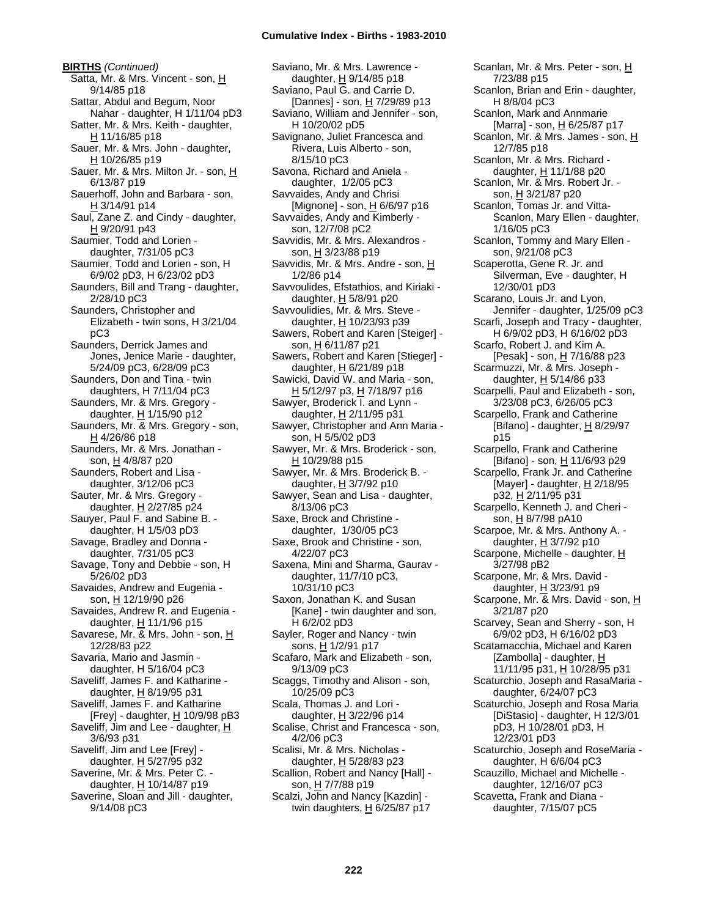**BIRTHS** *(Continued)* Satta, Mr. & Mrs. Vincent - son, H 9/14/85 p18 Sattar, Abdul and Begum, Noor Nahar - daughter, H 1/11/04 pD3 Satter, Mr. & Mrs. Keith - daughter, H 11/16/85 p18 Sauer, Mr. & Mrs. John - daughter, H 10/26/85 p19 Sauer, Mr. & Mrs. Milton Jr. - son, H 6/13/87 p19 Sauerhoff, John and Barbara - son, H 3/14/91 p14 Saul, Zane Z. and Cindy - daughter, H 9/20/91 p43 Saumier, Todd and Lorien daughter, 7/31/05 pC3 Saumier, Todd and Lorien - son, H 6/9/02 pD3, H 6/23/02 pD3 Saunders, Bill and Trang - daughter, 2/28/10 pC3 Saunders, Christopher and Elizabeth - twin sons, H 3/21/04 pC3 Saunders, Derrick James and Jones, Jenice Marie - daughter, 5/24/09 pC3, 6/28/09 pC3 Saunders, Don and Tina - twin daughters, H 7/11/04 pC3 Saunders, Mr. & Mrs. Gregory daughter,  $H$  1/15/90 p12 Saunders, Mr. & Mrs. Gregory - son, H 4/26/86 p18 Saunders, Mr. & Mrs. Jonathan son, H 4/8/87 p20 Saunders, Robert and Lisa daughter, 3/12/06 pC3 Sauter, Mr. & Mrs. Gregory daughter, H 2/27/85 p24 Sauyer, Paul F. and Sabine B. daughter, H 1/5/03 pD3 Savage, Bradley and Donna daughter, 7/31/05 pC3 Savage, Tony and Debbie - son, H 5/26/02 pD3 Savaides, Andrew and Eugenia son, H 12/19/90 p26 Savaides, Andrew R. and Eugenia daughter,  $H$  11/1/96 p15 Savarese, Mr. & Mrs. John - son, H 12/28/83 p22 Savaria, Mario and Jasmin daughter, H 5/16/04 pC3 Saveliff, James F. and Katharine daughter,  $H$  8/19/95 p31 Saveliff, James F. and Katharine [Frey] - daughter,  $\underline{H}$  10/9/98 pB3 Saveliff, Jim and Lee - daughter,  $H$ 3/6/93 p31 Saveliff, Jim and Lee [Frey] daughter, H 5/27/95 p32 Saverine, Mr. & Mrs. Peter C. daughter, H 10/14/87 p19 Saverine, Sloan and Jill - daughter, 9/14/08 pC3

Saviano, Mr. & Mrs. Lawrence daughter, H 9/14/85 p18 Saviano, Paul G. and Carrie D. [Dannes] - son,  $H$  7/29/89 p13 Saviano, William and Jennifer - son, H 10/20/02 pD5 Savignano, Juliet Francesca and Rivera, Luis Alberto - son, 8/15/10 pC3 Savona, Richard and Aniela daughter, 1/2/05 pC3 Savvaides, Andy and Chrisi [Mignone] - son, H 6/6/97 p16 Savvaides, Andy and Kimberly son, 12/7/08 pC2 Savvidis, Mr. & Mrs. Alexandros son, H 3/23/88 p19 Savvidis, Mr. & Mrs. Andre - son, H 1/2/86 p14 Savvoulides, Efstathios, and Kiriaki daughter,  $H$  5/8/91 p20 Savvoulidies, Mr. & Mrs. Steve daughter, H 10/23/93 p39 Sawers, Robert and Karen [Steiger] son, H 6/11/87 p21 Sawers, Robert and Karen [Stieger] daughter,  $H$  6/21/89 p18 Sawicki, David W. and Maria - son, H 5/12/97 p3, H 7/18/97 p16 Sawyer, Broderick I. and Lynn daughter,  $H$  2/11/95 p31 Sawyer, Christopher and Ann Maria son, H 5/5/02 pD3 Sawyer, Mr. & Mrs. Broderick - son, H 10/29/88 p15 Sawyer, Mr. & Mrs. Broderick B. daughter,  $H$  3/7/92 p10 Sawyer, Sean and Lisa - daughter, 8/13/06 pC3 Saxe, Brock and Christine daughter, 1/30/05 pC3 Saxe, Brook and Christine - son, 4/22/07 pC3 Saxena, Mini and Sharma, Gaurav daughter, 11/7/10 pC3, 10/31/10 pC3 Saxon, Jonathan K. and Susan [Kane] - twin daughter and son, H 6/2/02 pD3 Sayler, Roger and Nancy - twin sons, H 1/2/91 p17 Scafaro, Mark and Elizabeth - son, 9/13/09 pC3 Scaggs, Timothy and Alison - son, 10/25/09 pC3 Scala, Thomas J. and Lori daughter, H 3/22/96 p14 Scalise, Christ and Francesca - son, 4/2/06 pC3 Scalisi, Mr. & Mrs. Nicholas daughter,  $H$  5/28/83 p23 Scallion, Robert and Nancy [Hall] son, H 7/7/88 p19 Scalzi, John and Nancy [Kazdin] twin daughters,  $H$  6/25/87 p17

Scanlan, Mr. & Mrs. Peter - son, H 7/23/88 p15 Scanlon, Brian and Erin - daughter, H 8/8/04 pC3 Scanlon, Mark and Annmarie [Marra] - son, H 6/25/87 p17 Scanlon, Mr. & Mrs. James - son, H 12/7/85 p18 Scanlon, Mr. & Mrs. Richard daughter, H 11/1/88 p20 Scanlon, Mr. & Mrs. Robert Jr. son, H 3/21/87 p20 Scanlon, Tomas Jr. and Vitta-Scanlon, Mary Ellen - daughter, 1/16/05 pC3 Scanlon, Tommy and Mary Ellen son, 9/21/08 pC3 Scaperotta, Gene R. Jr. and Silverman, Eve - daughter, H 12/30/01 pD3 Scarano, Louis Jr. and Lyon, Jennifer - daughter, 1/25/09 pC3 Scarfi, Joseph and Tracy - daughter, H 6/9/02 pD3, H 6/16/02 pD3 Scarfo, Robert J. and Kim A. [Pesak] - son, H 7/16/88 p23 Scarmuzzi, Mr. & Mrs. Joseph daughter,  $H$  5/14/86 p33 Scarpelli, Paul and Elizabeth - son, 3/23/08 pC3, 6/26/05 pC3 Scarpello, Frank and Catherine [Bifano] - daughter,  $H_8$  8/29/97 p15 Scarpello, Frank and Catherine [Bifano] - son, H 11/6/93 p29 Scarpello, Frank Jr. and Catherine [Mayer] - daughter,  $H$  2/18/95 p32, H 2/11/95 p31 Scarpello, Kenneth J. and Cheri son, H 8/7/98 pA10 Scarpoe, Mr. & Mrs. Anthony A. daughter,  $H$  3/7/92 p10 Scarpone, Michelle - daughter, H 3/27/98 pB2 Scarpone, Mr. & Mrs. David daughter,  $H$  3/23/91 p9 Scarpone, Mr. & Mrs. David - son, H 3/21/87 p20 Scarvey, Sean and Sherry - son, H 6/9/02 pD3, H 6/16/02 pD3 Scatamacchia, Michael and Karen [Zambolla] - daughter, H 11/11/95 p31, H 10/28/95 p31 Scaturchio, Joseph and RasaMaria daughter, 6/24/07 pC3 Scaturchio, Joseph and Rosa Maria [DiStasio] - daughter, H 12/3/01 pD3, H 10/28/01 pD3, H 12/23/01 pD3 Scaturchio, Joseph and RoseMaria daughter, H 6/6/04 pC3 Scauzillo, Michael and Michelle daughter, 12/16/07 pC3 Scavetta, Frank and Diana daughter, 7/15/07 pC5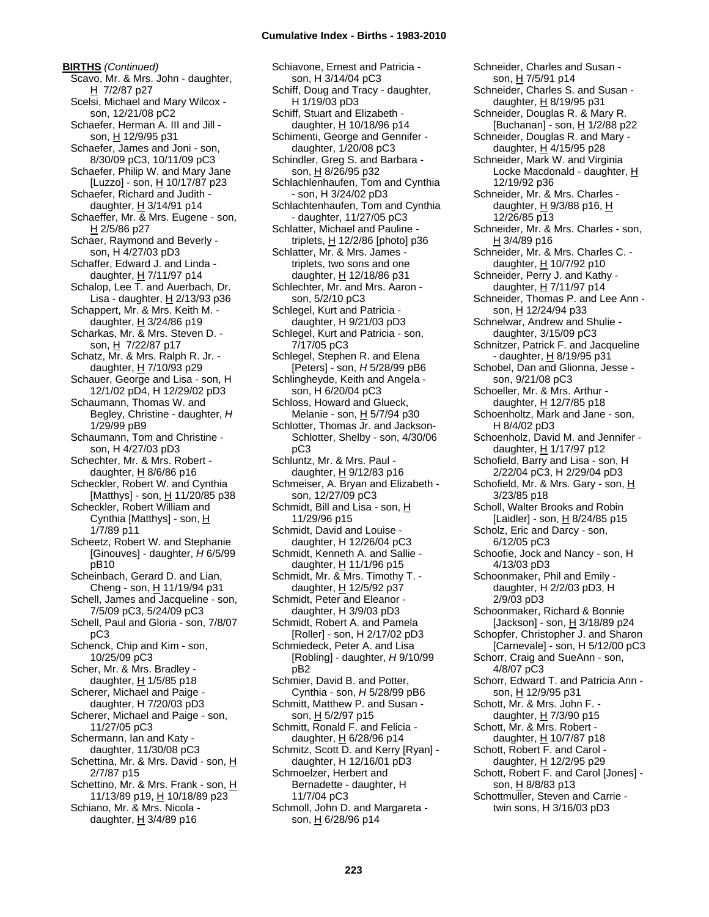**BIRTHS** *(Continued)* Scavo, Mr. & Mrs. John - daughter,  $H$  7/2/87 p27 Scelsi, Michael and Mary Wilcox son, 12/21/08 pC2 Schaefer, Herman A. III and Jill son, H 12/9/95 p31 Schaefer, James and Joni - son, 8/30/09 pC3, 10/11/09 pC3 Schaefer, Philip W. and Mary Jane [Luzzo] - son, H 10/17/87 p23 Schaefer, Richard and Judith daughter,  $H$  3/14/91 p14 Schaeffer, Mr. & Mrs. Eugene - son, H 2/5/86 p27 Schaer, Raymond and Beverly son, H 4/27/03 pD3 Schaffer, Edward J. and Linda daughter,  $H$  7/11/97 p14 Schalop, Lee T. and Auerbach, Dr. Lisa - daughter,  $H$  2/13/93 p36 Schappert, Mr. & Mrs. Keith M. daughter, H 3/24/86 p19 Scharkas, Mr. & Mrs. Steven D. son, H 7/22/87 p17 Schatz, Mr. & Mrs. Ralph R. Jr. daughter, H 7/10/93 p29 Schauer, George and Lisa - son, H 12/1/02 pD4, H 12/29/02 pD3 Schaumann, Thomas W. and Begley, Christine - daughter, *H* 1/29/99 pB9 Schaumann, Tom and Christine son, H 4/27/03 pD3 Schechter, Mr. & Mrs. Robert daughter,  $H$  8/6/86 p16 Scheckler, Robert W. and Cynthia [Matthys] - son, H 11/20/85 p38 Scheckler, Robert William and Cynthia [Matthys] - son, H 1/7/89 p11 Scheetz, Robert W. and Stephanie [Ginouves] - daughter, *H* 6/5/99 pB10 Scheinbach, Gerard D. and Lian, Cheng - son, H 11/19/94 p31 Schell, James and Jacqueline - son, 7/5/09 pC3, 5/24/09 pC3 Schell, Paul and Gloria - son, 7/8/07 pC3 Schenck, Chip and Kim - son, 10/25/09 pC3 Scher, Mr. & Mrs. Bradley daughter,  $H$  1/5/85 p18 Scherer, Michael and Paige daughter, H 7/20/03 pD3 Scherer, Michael and Paige - son, 11/27/05 pC3 Schermann, Ian and Katy daughter, 11/30/08 pC3 Schettina, Mr. & Mrs. David - son, H 2/7/87 p15 Schettino, Mr. & Mrs. Frank - son, H 11/13/89 p19, H 10/18/89 p23 Schiano, Mr. & Mrs. Nicola daughter,  $H$  3/4/89 p16

Schiavone, Ernest and Patricia son, H 3/14/04 pC3 Schiff, Doug and Tracy - daughter, H 1/19/03 pD3 Schiff, Stuart and Elizabeth daughter, H 10/18/96 p14 Schimenti, George and Gennifer daughter, 1/20/08 pC3 Schindler, Greg S. and Barbara son, H 8/26/95 p32 Schlachlenhaufen, Tom and Cynthia - son, H 3/24/02 pD3 Schlachtenhaufen, Tom and Cynthia - daughter, 11/27/05 pC3 Schlatter, Michael and Pauline triplets,  $H$  12/2/86 [photo] p36 Schlatter, Mr. & Mrs. James triplets, two sons and one daughter, H 12/18/86 p31 Schlechter, Mr. and Mrs. Aaron son, 5/2/10 pC3 Schlegel, Kurt and Patricia daughter, H 9/21/03 pD3 Schlegel, Kurt and Patricia - son, 7/17/05 pC3 Schlegel, Stephen R. and Elena [Peters] - son, *H* 5/28/99 pB6 Schlingheyde, Keith and Angela son, H 6/20/04 pC3 Schloss, Howard and Glueck, Melanie - son, H 5/7/94 p30 Schlotter, Thomas Jr. and Jackson-Schlotter, Shelby - son, 4/30/06 pC3 Schluntz, Mr. & Mrs. Paul daughter, H 9/12/83 p16 Schmeiser, A. Bryan and Elizabeth son, 12/27/09 pC3 Schmidt, Bill and Lisa - son, H 11/29/96 p15 Schmidt, David and Louise daughter, H 12/26/04 pC3 Schmidt, Kenneth A. and Sallie daughter, H 11/1/96 p15 Schmidt, Mr. & Mrs. Timothy T. daughter, H 12/5/92 p37 Schmidt, Peter and Eleanor daughter, H 3/9/03 pD3 Schmidt, Robert A. and Pamela [Roller] - son, H 2/17/02 pD3 Schmiedeck, Peter A. and Lisa [Robling] - daughter, *H* 9/10/99 pB2 Schmier, David B. and Potter, Cynthia - son, *H* 5/28/99 pB6 Schmitt, Matthew P. and Susan son, H 5/2/97 p15 Schmitt, Ronald F. and Felicia daughter, H 6/28/96 p14 Schmitz, Scott D. and Kerry [Ryan] daughter, H 12/16/01 pD3 Schmoelzer, Herbert and Bernadette - daughter, H 11/7/04 pC3 Schmoll, John D. and Margareta son, H 6/28/96 p14

Schneider, Charles and Susan son, H 7/5/91 p14 Schneider, Charles S. and Susan daughter, H 8/19/95 p31 Schneider, Douglas R. & Mary R. [Buchanan] - son, H 1/2/88 p22 Schneider, Douglas R. and Mary daughter, H 4/15/95 p28 Schneider, Mark W. and Virginia Locke Macdonald - daughter, H 12/19/92 p36 Schneider, Mr. & Mrs. Charles daughter,  $H$  9/3/88 p16,  $H$ 12/26/85 p13 Schneider, Mr. & Mrs. Charles - son, H 3/4/89 p16 Schneider, Mr. & Mrs. Charles C. daughter, H 10/7/92 p10 Schneider, Perry J. and Kathy daughter, H 7/11/97 p14 Schneider, Thomas P. and Lee Ann son, H 12/24/94 p33 Schnelwar, Andrew and Shulie daughter, 3/15/09 pC3 Schnitzer, Patrick F. and Jacqueline - daughter, H 8/19/95 p31 Schobel, Dan and Glionna, Jesse son, 9/21/08 pC3 Schoeller, Mr. & Mrs. Arthur daughter, H 12/7/85 p18 Schoenholtz, Mark and Jane - son, H 8/4/02 pD3 Schoenholz, David M. and Jennifer daughter, H 1/17/97 p12 Schofield, Barry and Lisa - son, H 2/22/04 pC3, H 2/29/04 pD3 Schofield, Mr. & Mrs. Gary - son, H 3/23/85 p18 Scholl, Walter Brooks and Robin [Laidler] - son, H 8/24/85 p15 Scholz, Eric and Darcy - son, 6/12/05 pC3 Schoofie, Jock and Nancy - son, H 4/13/03 pD3 Schoonmaker, Phil and Emily daughter, H 2/2/03 pD3, H 2/9/03 pD3 Schoonmaker, Richard & Bonnie [Jackson] - son,  $H$  3/18/89 p24 Schopfer, Christopher J. and Sharon [Carnevale] - son, H 5/12/00 pC3 Schorr, Craig and SueAnn - son, 4/8/07 pC3 Schorr, Edward T. and Patricia Ann son, H 12/9/95 p31 Schott, Mr. & Mrs. John F. daughter, H 7/3/90 p15 Schott, Mr. & Mrs. Robert daughter, H 10/7/87 p18 Schott, Robert F. and Carol daughter, H 12/2/95 p29 Schott, Robert F. and Carol [Jones] son, H 8/8/83 p13 Schottmuller, Steven and Carrie twin sons, H 3/16/03 pD3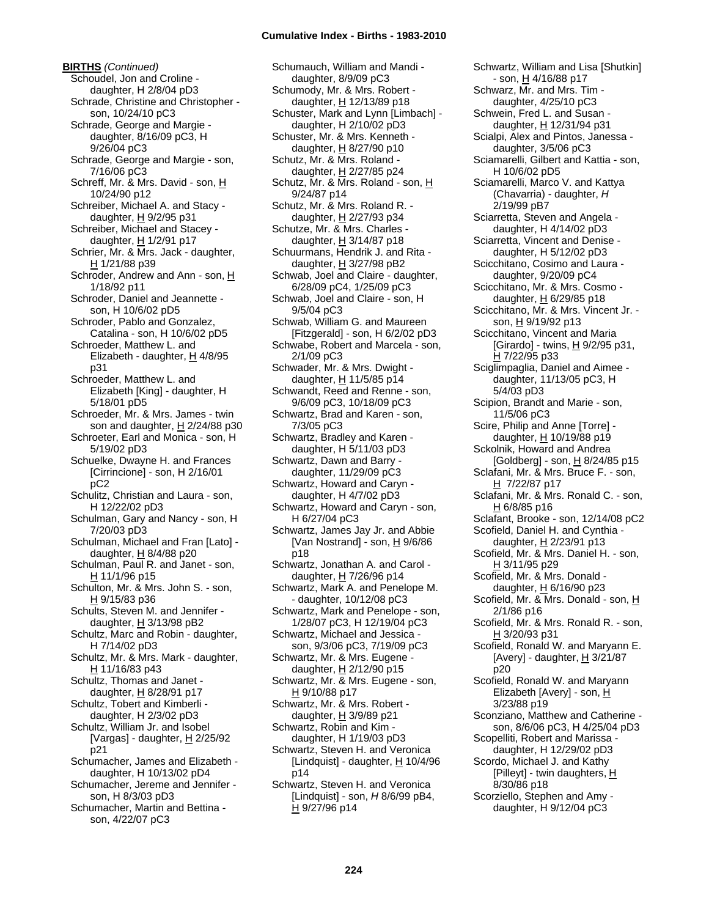**BIRTHS** *(Continued)* Schoudel, Jon and Croline daughter, H 2/8/04 pD3 Schrade, Christine and Christopher son, 10/24/10 pC3 Schrade, George and Margie daughter, 8/16/09 pC3, H 9/26/04 pC3 Schrade, George and Margie - son, 7/16/06 pC3 Schreff, Mr. & Mrs. David - son, H 10/24/90 p12 Schreiber, Michael A. and Stacy daughter, H 9/2/95 p31 Schreiber, Michael and Stacey daughter, H 1/2/91 p17 Schrier, Mr. & Mrs. Jack - daughter, H 1/21/88 p39 Schroder, Andrew and Ann - son, H 1/18/92 p11 Schroder, Daniel and Jeannette son, H 10/6/02 pD5 Schroder, Pablo and Gonzalez, Catalina - son, H 10/6/02 pD5 Schroeder, Matthew L. and Elizabeth - daughter,  $H$  4/8/95 p31 Schroeder, Matthew L. and Elizabeth [King] - daughter, H 5/18/01 pD5 Schroeder, Mr. & Mrs. James - twin son and daughter,  $H$  2/24/88 p30 Schroeter, Earl and Monica - son, H 5/19/02 pD3 Schuelke, Dwayne H. and Frances [Cirrincione] - son, H 2/16/01 pC2 Schulitz, Christian and Laura - son, H 12/22/02 pD3 Schulman, Gary and Nancy - son, H 7/20/03 pD3 Schulman, Michael and Fran [Lato] daughter, H 8/4/88 p20 Schulman, Paul R. and Janet - son, H 11/1/96 p15 Schulton, Mr. & Mrs. John S. - son, H 9/15/83 p36 Schults, Steven M. and Jennifer daughter,  $H$  3/13/98 pB2 Schultz, Marc and Robin - daughter, H 7/14/02 pD3 Schultz, Mr. & Mrs. Mark - daughter, H 11/16/83 p43 Schultz, Thomas and Janet daughter, H 8/28/91 p17 Schultz, Tobert and Kimberli daughter, H 2/3/02 pD3 Schultz, William Jr. and Isobel [Vargas] - daughter,  $H$  2/25/92 p21 Schumacher, James and Elizabeth daughter, H 10/13/02 pD4 Schumacher, Jereme and Jennifer son, H 8/3/03 pD3 Schumacher, Martin and Bettina -

son, 4/22/07 pC3

Schumauch, William and Mandi daughter, 8/9/09 pC3 Schumody, Mr. & Mrs. Robert daughter,  $H$  12/13/89 p18 Schuster, Mark and Lynn [Limbach] daughter, H 2/10/02 pD3 Schuster, Mr. & Mrs. Kenneth daughter, H 8/27/90 p10 Schutz, Mr. & Mrs. Roland daughter, H 2/27/85 p24 Schutz, Mr. & Mrs. Roland - son, H 9/24/87 p14 Schutz, Mr. & Mrs. Roland R. daughter, H 2/27/93 p34 Schutze, Mr. & Mrs. Charles daughter,  $H$  3/14/87 p18 Schuurmans, Hendrik J. and Rita daughter,  $H$  3/27/98 pB2 Schwab, Joel and Claire - daughter, 6/28/09 pC4, 1/25/09 pC3 Schwab, Joel and Claire - son, H 9/5/04 pC3 Schwab, William G. and Maureen [Fitzgerald] - son, H 6/2/02 pD3 Schwabe, Robert and Marcela - son, 2/1/09 pC3 Schwader, Mr. & Mrs. Dwight daughter,  $H$  11/5/85 p14 Schwandt, Reed and Renne - son, 9/6/09 pC3, 10/18/09 pC3 Schwartz, Brad and Karen - son, 7/3/05 pC3 Schwartz, Bradley and Karen daughter, H 5/11/03 pD3 Schwartz, Dawn and Barry daughter, 11/29/09 pC3 Schwartz, Howard and Caryn daughter, H 4/7/02 pD3 Schwartz, Howard and Caryn - son, H 6/27/04 pC3 Schwartz, James Jay Jr. and Abbie [Van Nostrand] - son,  $\underline{H}$  9/6/86 p18 Schwartz, Jonathan A. and Carol daughter, H 7/26/96 p14 Schwartz, Mark A. and Penelope M. - daughter, 10/12/08 pC3 Schwartz, Mark and Penelope - son, 1/28/07 pC3, H 12/19/04 pC3 Schwartz, Michael and Jessica son, 9/3/06 pC3, 7/19/09 pC3 Schwartz, Mr. & Mrs. Eugene daughter, H 2/12/90 p15 Schwartz, Mr. & Mrs. Eugene - son, H 9/10/88 p17 Schwartz, Mr. & Mrs. Robert daughter,  $H$  3/9/89 p21 Schwartz, Robin and Kim daughter, H 1/19/03 pD3 Schwartz, Steven H. and Veronica [Lindquist] - daughter,  $H$  10/4/96 p14 Schwartz, Steven H. and Veronica [Lindquist] - son, *H* 8/6/99 pB4, H 9/27/96 p14

Schwartz, William and Lisa [Shutkin] - son, H 4/16/88 p17 Schwarz, Mr. and Mrs. Tim daughter, 4/25/10 pC3 Schwein, Fred L. and Susan daughter, H 12/31/94 p31 Scialpi, Alex and Pintos, Janessa daughter, 3/5/06 pC3 Sciamarelli, Gilbert and Kattia - son, H 10/6/02 pD5 Sciamarelli, Marco V. and Kattya (Chavarria) - daughter, *H* 2/19/99 pB7 Sciarretta, Steven and Angela daughter, H 4/14/02 pD3 Sciarretta, Vincent and Denise daughter, H 5/12/02 pD3 Scicchitano, Cosimo and Laura daughter, 9/20/09 pC4 Scicchitano, Mr. & Mrs. Cosmo daughter,  $H$  6/29/85 p18 Scicchitano, Mr. & Mrs. Vincent Jr. son, H 9/19/92 p13 Scicchitano, Vincent and Maria [Girardo] - twins,  $H$  9/2/95 p31, H 7/22/95 p33 Sciglimpaglia, Daniel and Aimee daughter, 11/13/05 pC3, H 5/4/03 pD3 Scipion, Brandt and Marie - son, 11/5/06 pC3 Scire, Philip and Anne [Torre] daughter, H 10/19/88 p19 Sckolnik, Howard and Andrea [Goldberg] - son, H 8/24/85 p15 Sclafani, Mr. & Mrs. Bruce F. - son, H 7/22/87 p17 Sclafani, Mr. & Mrs. Ronald C. - son, H 6/8/85 p16 Sclafant, Brooke - son, 12/14/08 pC2 Scofield, Daniel H. and Cynthia daughter, H 2/23/91 p13 Scofield, Mr. & Mrs. Daniel H. - son, H 3/11/95 p29 Scofield, Mr. & Mrs. Donald daughter,  $H$  6/16/90 p23 Scofield, Mr. & Mrs. Donald - son, H 2/1/86 p16 Scofield, Mr. & Mrs. Ronald R. - son, H 3/20/93 p31 Scofield, Ronald W. and Maryann E. [Avery] - daughter,  $H$  3/21/87 p20 Scofield, Ronald W. and Maryann Elizabeth [Avery] - son, H 3/23/88 p19 Sconziano, Matthew and Catherine son, 8/6/06 pC3, H 4/25/04 pD3 Scopelliti, Robert and Marissa daughter, H 12/29/02 pD3 Scordo, Michael J. and Kathy [Pilleyt] - twin daughters, H 8/30/86 p18 Scorziello, Stephen and Amy daughter, H 9/12/04 pC3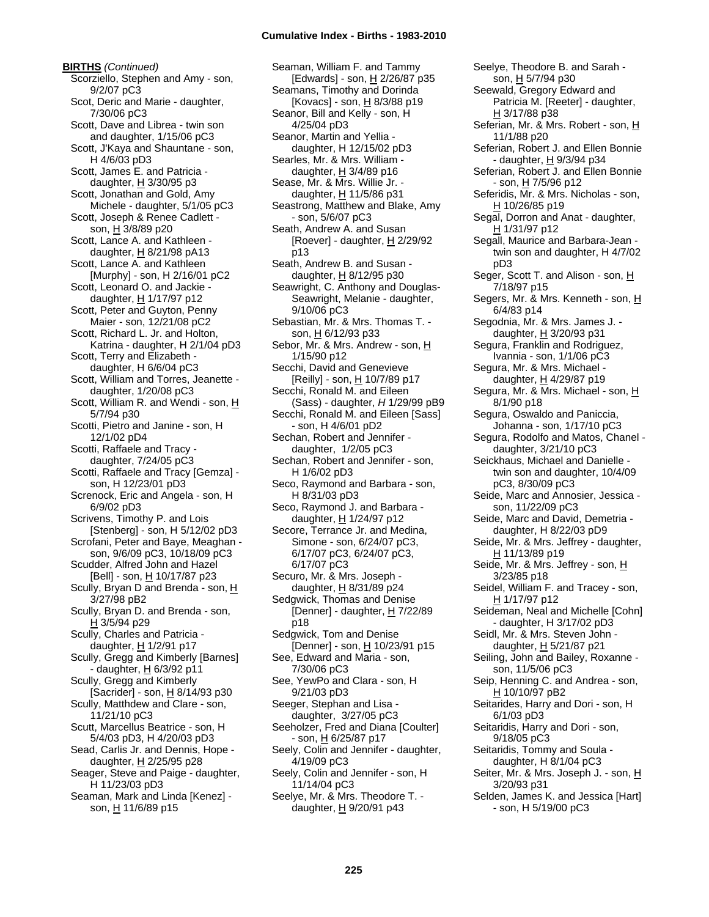**BIRTHS** *(Continued)* Scorziello, Stephen and Amy - son, 9/2/07 pC3 Scot, Deric and Marie - daughter, 7/30/06 pC3 Scott, Dave and Librea - twin son and daughter, 1/15/06 pC3 Scott, J'Kaya and Shauntane - son, H 4/6/03 pD3 Scott, James E. and Patricia daughter, H 3/30/95 p3 Scott, Jonathan and Gold, Amy Michele - daughter, 5/1/05 pC3 Scott, Joseph & Renee Cadlett son, H 3/8/89 p20 Scott, Lance A. and Kathleen daughter,  $H$  8/21/98 pA13 Scott, Lance A. and Kathleen [Murphy] - son, H 2/16/01 pC2 Scott, Leonard O. and Jackie daughter,  $H$  1/17/97 p12 Scott, Peter and Guyton, Penny Maier - son, 12/21/08 pC2 Scott, Richard L. Jr. and Holton, Katrina - daughter, H 2/1/04 pD3 Scott, Terry and Elizabeth daughter, H 6/6/04 pC3 Scott, William and Torres, Jeanette daughter, 1/20/08 pC3 Scott, William R. and Wendi - son, H 5/7/94 p30 Scotti, Pietro and Janine - son, H 12/1/02 pD4 Scotti, Raffaele and Tracy daughter, 7/24/05 pC3 Scotti, Raffaele and Tracy [Gemza] son, H 12/23/01 pD3 Screnock, Eric and Angela - son, H 6/9/02 pD3 Scrivens, Timothy P. and Lois [Stenberg] - son, H 5/12/02 pD3 Scrofani, Peter and Baye, Meaghan son, 9/6/09 pC3, 10/18/09 pC3 Scudder, Alfred John and Hazel [Bell] - son, <u>H</u> 10/17/87 p23 Scully, Bryan D and Brenda - son, H 3/27/98 pB2 Scully, Bryan D. and Brenda - son, H 3/5/94 p29 Scully, Charles and Patricia daughter,  $H$  1/2/91 p17 Scully, Gregg and Kimberly [Barnes] - daughter, H 6/3/92 p11 Scully, Gregg and Kimberly [Sacrider] - son, H 8/14/93 p30 Scully, Matthdew and Clare - son, 11/21/10 pC3 Scutt, Marcellus Beatrice - son, H 5/4/03 pD3, H 4/20/03 pD3 Sead, Carlis Jr. and Dennis, Hope daughter,  $H$  2/25/95 p28 Seager, Steve and Paige - daughter, H 11/23/03 pD3 Seaman, Mark and Linda [Kenez] son, H 11/6/89 p15

Seaman, William F. and Tammy [Edwards] - son, H 2/26/87 p35 Seamans, Timothy and Dorinda [Kovacs] - son, H 8/3/88 p19 Seanor, Bill and Kelly - son, H 4/25/04 pD3 Seanor, Martin and Yellia daughter, H 12/15/02 pD3 Searles, Mr. & Mrs. William daughter,  $H$  3/4/89 p16 Sease, Mr. & Mrs. Willie Jr. daughter,  $H$  11/5/86 p31 Seastrong, Matthew and Blake, Amy - son, 5/6/07 pC3 Seath, Andrew A. and Susan [Roever] - daughter,  $H$  2/29/92 p13 Seath, Andrew B. and Susan daughter,  $H$  8/12/95 p30 Seawright, C. Anthony and Douglas-Seawright, Melanie - daughter, 9/10/06 pC3 Sebastian, Mr. & Mrs. Thomas T. son, H 6/12/93 p33 Sebor, Mr. & Mrs. Andrew - son, H 1/15/90 p12 Secchi, David and Genevieve [Reilly] - son, H 10/7/89 p17 Secchi, Ronald M. and Eileen (Sass) - daughter, *H* 1/29/99 pB9 Secchi, Ronald M. and Eileen [Sass] - son, H 4/6/01 pD2 Sechan, Robert and Jennifer daughter, 1/2/05 pC3 Sechan, Robert and Jennifer - son, H 1/6/02 pD3 Seco, Raymond and Barbara - son, H 8/31/03 pD3 Seco, Raymond J. and Barbara daughter, H 1/24/97 p12 Secore, Terrance Jr. and Medina, Simone - son, 6/24/07 pC3, 6/17/07 pC3, 6/24/07 pC3, 6/17/07 pC3 Securo, Mr. & Mrs. Joseph daughter,  $H$  8/31/89 p24 Sedgwick, Thomas and Denise [Denner] - daughter,  $H$  7/22/89 p18 Sedgwick, Tom and Denise [Denner] - son,  $H$  10/23/91 p15 See, Edward and Maria - son, 7/30/06 pC3 See, YewPo and Clara - son, H 9/21/03 pD3 Seeger, Stephan and Lisa daughter, 3/27/05 pC3 Seeholzer, Fred and Diana [Coulter] - son, <u>H</u> 6/25/87 p17 Seely, Colin and Jennifer - daughter, 4/19/09 pC3 Seely, Colin and Jennifer - son, H 11/14/04 pC3 Seelye, Mr. & Mrs. Theodore T. daughter, H 9/20/91 p43

Seelye, Theodore B. and Sarah son, H 5/7/94 p30 Seewald, Gregory Edward and Patricia M. [Reeter] - daughter, H 3/17/88 p38 Seferian, Mr. & Mrs. Robert - son, H 11/1/88 p20 Seferian, Robert J. and Ellen Bonnie - daughter,  $H$  9/3/94 p34 Seferian, Robert J. and Ellen Bonnie - son, H 7/5/96 p12 Seferidis, Mr. & Mrs. Nicholas - son,  $H 10/26/85 p19$ Segal, Dorron and Anat - daughter, H 1/31/97 p12 Segall, Maurice and Barbara-Jean twin son and daughter, H 4/7/02 pD3 Seger, Scott T. and Alison - son, H 7/18/97 p15 Segers, Mr. & Mrs. Kenneth - son, H 6/4/83 p14 Segodnia, Mr. & Mrs. James J. daughter, H 3/20/93 p31 Segura, Franklin and Rodriguez, Ivannia - son, 1/1/06 pC3 Segura, Mr. & Mrs. Michael daughter, H 4/29/87 p19 Segura, Mr. & Mrs. Michael - son, H 8/1/90 p18 Segura, Oswaldo and Paniccia, Johanna - son, 1/17/10 pC3 Segura, Rodolfo and Matos, Chanel daughter, 3/21/10 pC3 Seickhaus, Michael and Danielle twin son and daughter, 10/4/09 pC3, 8/30/09 pC3 Seide, Marc and Annosier, Jessica son, 11/22/09 pC3 Seide, Marc and David, Demetria daughter, H 8/22/03 pD9 Seide, Mr. & Mrs. Jeffrey - daughter, H 11/13/89 p19 Seide, Mr. & Mrs. Jeffrey - son, H 3/23/85 p18 Seidel, William F. and Tracey - son, H 1/17/97 p12 Seideman, Neal and Michelle [Cohn] - daughter, H 3/17/02 pD3 Seidl, Mr. & Mrs. Steven John daughter, H 5/21/87 p21 Seiling, John and Bailey, Roxanne son, 11/5/06 pC3 Seip, Henning C. and Andrea - son, H 10/10/97 pB2 Seitarides, Harry and Dori - son, H 6/1/03 pD3 Seitaridis, Harry and Dori - son, 9/18/05 pC3 Seitaridis, Tommy and Soula daughter, H 8/1/04 pC3 Seiter, Mr. & Mrs. Joseph J. - son, H 3/20/93 p31 Selden, James K. and Jessica [Hart] - son, H 5/19/00 pC3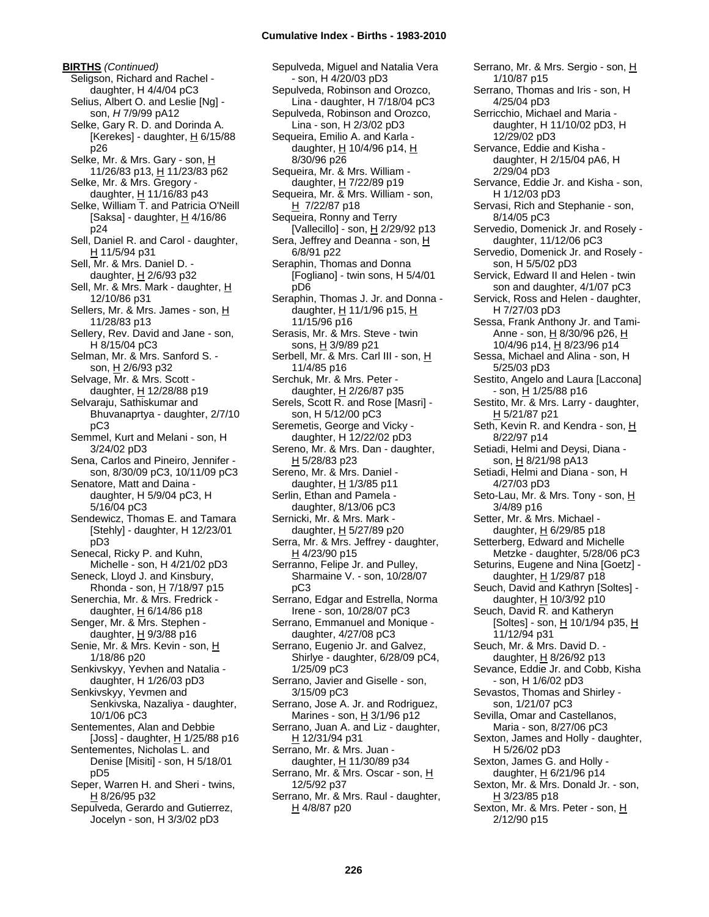**BIRTHS** *(Continued)* Seligson, Richard and Rachel daughter, H 4/4/04 pC3 Selius, Albert O. and Leslie [Ng] son, *H* 7/9/99 pA12 Selke, Gary R. D. and Dorinda A. [Kerekes] - daughter,  $H$  6/15/88 p26 Selke, Mr. & Mrs. Gary - son, H 11/26/83 p13, H 11/23/83 p62 Selke, Mr. & Mrs. Gregory daughter,  $H$  11/16/83 p43 Selke, William T. and Patricia O'Neill [Saksa] - daughter,  $\underline{H}$  4/16/86 p24 Sell, Daniel R. and Carol - daughter, H 11/5/94 p31 Sell, Mr. & Mrs. Daniel D. daughter,  $H$  2/6/93 p32 Sell, Mr. & Mrs. Mark - daughter, H 12/10/86 p31 Sellers, Mr. & Mrs. James - son, H 11/28/83 p13 Sellery, Rev. David and Jane - son, H 8/15/04 pC3 Selman, Mr. & Mrs. Sanford S. son, H 2/6/93 p32 Selvage, Mr. & Mrs. Scott daughter, H 12/28/88 p19 Selvaraju, Sathiskumar and Bhuvanaprtya - daughter, 2/7/10 pC3 Semmel, Kurt and Melani - son, H 3/24/02 pD3 Sena, Carlos and Pineiro, Jennifer son, 8/30/09 pC3, 10/11/09 pC3 Senatore, Matt and Daina daughter, H 5/9/04 pC3, H 5/16/04 pC3 Sendewicz, Thomas E. and Tamara [Stehly] - daughter, H 12/23/01 pD3 Senecal, Ricky P. and Kuhn, Michelle - son, H 4/21/02 pD3 Seneck, Lloyd J. and Kinsbury, Rhonda - son,  $H$  7/18/97 p15 Senerchia, Mr. & Mrs. Fredrick daughter,  $\underline{H}$  6/14/86 p18 Senger, Mr. & Mrs. Stephen daughter,  $H$  9/3/88 p16 Senie, Mr. & Mrs. Kevin - son, H 1/18/86 p20 Senkivskyy, Yevhen and Natalia daughter, H 1/26/03 pD3 Senkivskyy, Yevmen and Senkivska, Nazaliya - daughter, 10/1/06 pC3 Sentementes, Alan and Debbie [Joss] - daughter, H 1/25/88 p16 Sentementes, Nicholas L. and Denise [Misiti] - son, H 5/18/01 pD5 Seper, Warren H. and Sheri - twins,  $H$  8/26/95 p32 Sepulveda, Gerardo and Gutierrez, Jocelyn - son, H 3/3/02 pD3

Sepulveda, Miguel and Natalia Vera - son, H 4/20/03 pD3 Sepulveda, Robinson and Orozco, Lina - daughter, H 7/18/04 pC3 Sepulveda, Robinson and Orozco, Lina - son, H 2/3/02 pD3 Sequeira, Emilio A. and Karla daughter, H 10/4/96 p14, H 8/30/96 p26 Sequeira, Mr. & Mrs. William daughter, H 7/22/89 p19 Sequeira, Mr. & Mrs. William - son,  $H$  7/22/87 p18 Sequeira, Ronny and Terry [Vallecillo] - son, H 2/29/92 p13 Sera, Jeffrey and Deanna - son, H 6/8/91 p22 Seraphin, Thomas and Donna [Fogliano] - twin sons, H 5/4/01 pD6 Seraphin, Thomas J. Jr. and Donna daughter, H 11/1/96 p15, H 11/15/96 p16 Serasis, Mr. & Mrs. Steve - twin sons, H 3/9/89 p21 Serbell, Mr. & Mrs. Carl III - son, H 11/4/85 p16 Serchuk, Mr. & Mrs. Peter daughter, H 2/26/87 p35 Serels, Scott R. and Rose [Masri] son, H 5/12/00 pC3 Seremetis, George and Vicky daughter, H 12/22/02 pD3 Sereno, Mr. & Mrs. Dan - daughter, H 5/28/83 p23 Sereno, Mr. & Mrs. Daniel daughter,  $H$  1/3/85 p11 Serlin, Ethan and Pamela daughter, 8/13/06 pC3 Sernicki, Mr. & Mrs. Mark daughter, H 5/27/89 p20 Serra, Mr. & Mrs. Jeffrey - daughter, H 4/23/90 p15 Serranno, Felipe Jr. and Pulley, Sharmaine V. - son, 10/28/07 pC3 Serrano, Edgar and Estrella, Norma Irene - son, 10/28/07 pC3 Serrano, Emmanuel and Monique daughter, 4/27/08 pC3 Serrano, Eugenio Jr. and Galvez, Shirlye - daughter, 6/28/09 pC4, 1/25/09 pC3 Serrano, Javier and Giselle - son, 3/15/09 pC3 Serrano, Jose A. Jr. and Rodriguez, Marines - son,  $H$  3/1/96 p12 Serrano, Juan A. and Liz - daughter, <u>H</u> 12/31/94 p31 Serrano, Mr. & Mrs. Juan daughter, H 11/30/89 p34 Serrano, Mr. & Mrs. Oscar - son, H 12/5/92 p37 Serrano, Mr. & Mrs. Raul - daughter, H 4/8/87 p20

Serrano, Mr. & Mrs. Sergio - son, H 1/10/87 p15 Serrano, Thomas and Iris - son, H 4/25/04 pD3 Serricchio, Michael and Maria daughter, H 11/10/02 pD3, H 12/29/02 pD3 Servance, Eddie and Kisha daughter, H 2/15/04 pA6, H 2/29/04 pD3 Servance, Eddie Jr. and Kisha - son, H 1/12/03 pD3 Servasi, Rich and Stephanie - son, 8/14/05 pC3 Servedio, Domenick Jr. and Rosely daughter, 11/12/06 pC3 Servedio, Domenick Jr. and Rosely son, H 5/5/02 pD3 Servick, Edward II and Helen - twin son and daughter, 4/1/07 pC3 Servick, Ross and Helen - daughter, H 7/27/03 pD3 Sessa, Frank Anthony Jr. and Tami-Anne - son, H 8/30/96 p26, H 10/4/96 p14, H 8/23/96 p14 Sessa, Michael and Alina - son, H 5/25/03 pD3 Sestito, Angelo and Laura [Laccona] - son, <u>H</u> 1/25/88 p16 Sestito, Mr. & Mrs. Larry - daughter, H 5/21/87 p21 Seth, Kevin R. and Kendra - son, H 8/22/97 p14 Setiadi, Helmi and Deysi, Diana son, H 8/21/98 pA13 Setiadi, Helmi and Diana - son, H 4/27/03 pD3 Seto-Lau, Mr. & Mrs. Tony - son, H 3/4/89 p16 Setter, Mr. & Mrs. Michael daughter, H 6/29/85 p18 Setterberg, Edward and Michelle Metzke - daughter, 5/28/06 pC3 Seturins, Eugene and Nina [Goetz] daughter, H 1/29/87 p18 Seuch, David and Kathryn [Soltes] daughter, H 10/3/92 p10 Seuch, David R. and Katheryn [Soltes] - son,  $H$  10/1/94 p35,  $H$ 11/12/94 p31 Seuch, Mr. & Mrs. David D. daughter,  $H$  8/26/92 p13 Sevance, Eddie Jr. and Cobb, Kisha - son, H 1/6/02 pD3 Sevastos, Thomas and Shirley son, 1/21/07 pC3 Sevilla, Omar and Castellanos, Maria - son, 8/27/06 pC3 Sexton, James and Holly - daughter, H 5/26/02 pD3 Sexton, James G. and Holly daughter, H 6/21/96 p14 Sexton, Mr. & Mrs. Donald Jr. - son, H 3/23/85 p18 Sexton, Mr. & Mrs. Peter - son, H 2/12/90 p15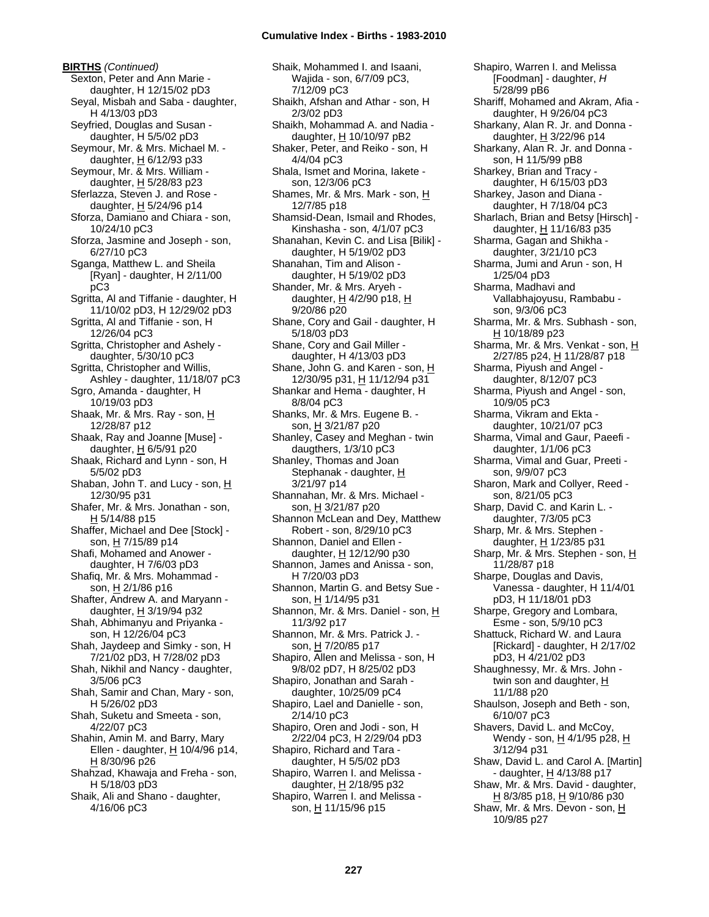**BIRTHS** *(Continued)* Sexton, Peter and Ann Marie daughter, H 12/15/02 pD3 Seyal, Misbah and Saba - daughter, H 4/13/03 pD3 Seyfried, Douglas and Susan daughter, H 5/5/02 pD3 Seymour, Mr. & Mrs. Michael M. daughter,  $H$  6/12/93 p33 Seymour, Mr. & Mrs. William daughter, H 5/28/83 p23 Sferlazza, Steven J. and Rose daughter,  $H$  5/24/96 p14 Sforza, Damiano and Chiara - son, 10/24/10 pC3 Sforza, Jasmine and Joseph - son, 6/27/10 pC3 Sganga, Matthew L. and Sheila [Ryan] - daughter, H 2/11/00 pC3 Sgritta, Al and Tiffanie - daughter, H 11/10/02 pD3, H 12/29/02 pD3 Sgritta, Al and Tiffanie - son, H 12/26/04 pC3 Sgritta, Christopher and Ashely daughter, 5/30/10 pC3 Sgritta, Christopher and Willis, Ashley - daughter, 11/18/07 pC3 Sgro, Amanda - daughter, H 10/19/03 pD3 Shaak, Mr. & Mrs. Ray - son, H 12/28/87 p12 Shaak, Ray and Joanne [Muse] daughter, H 6/5/91 p20 Shaak, Richard and Lynn - son, H 5/5/02 pD3 Shaban, John T. and Lucy - son, H 12/30/95 p31 Shafer, Mr. & Mrs. Jonathan - son, H 5/14/88 p15 Shaffer, Michael and Dee [Stock] son, H 7/15/89 p14 Shafi, Mohamed and Anower daughter, H 7/6/03 pD3 Shafiq, Mr. & Mrs. Mohammad son,  $H$  2/1/86 p16 Shafter, Andrew A. and Maryann daughter, H 3/19/94 p32 Shah, Abhimanyu and Priyanka son, H 12/26/04 pC3 Shah, Jaydeep and Simky - son, H 7/21/02 pD3, H 7/28/02 pD3 Shah, Nikhil and Nancy - daughter, 3/5/06 pC3 Shah, Samir and Chan, Mary - son, H 5/26/02 pD3 Shah, Suketu and Smeeta - son, 4/22/07 pC3 Shahin, Amin M. and Barry, Mary Ellen - daughter,  $\underline{H}$  10/4/96 p14, H 8/30/96 p26 Shahzad, Khawaja and Freha - son, H 5/18/03 pD3 Shaik, Ali and Shano - daughter, 4/16/06 pC3

Shaik, Mohammed I. and Isaani, Wajida - son, 6/7/09 pC3, 7/12/09 pC3 Shaikh, Afshan and Athar - son, H 2/3/02 pD3 Shaikh, Mohammad A. and Nadia daughter,  $H$  10/10/97 pB2 Shaker, Peter, and Reiko - son, H 4/4/04 pC3 Shala, Ismet and Morina, Iakete son, 12/3/06 pC3 Shames, Mr. & Mrs. Mark - son, H 12/7/85 p18 Shamsid-Dean, Ismail and Rhodes, Kinshasha - son, 4/1/07 pC3 Shanahan, Kevin C. and Lisa [Bilik] daughter, H 5/19/02 pD3 Shanahan, Tim and Alison daughter, H 5/19/02 pD3 Shander, Mr. & Mrs. Aryeh daughter, H 4/2/90 p18, H 9/20/86 p20 Shane, Cory and Gail - daughter, H 5/18/03 pD3 Shane, Cory and Gail Miller daughter, H 4/13/03 pD3 Shane, John G. and Karen - son, H 12/30/95 p31, H 11/12/94 p31 Shankar and Hema - daughter, H 8/8/04 pC3 Shanks, Mr. & Mrs. Eugene B. son, H 3/21/87 p20 Shanley, Casey and Meghan - twin daugthers, 1/3/10 pC3 Shanley, Thomas and Joan Stephanak - daughter, H 3/21/97 p14 Shannahan, Mr. & Mrs. Michael son, H 3/21/87 p20 Shannon McLean and Dey, Matthew Robert - son, 8/29/10 pC3 Shannon, Daniel and Ellen daughter, H 12/12/90 p30 Shannon, James and Anissa - son, H 7/20/03 pD3 Shannon, Martin G. and Betsy Sue son, H 1/14/95 p31 Shannon, Mr. & Mrs. Daniel - son, H 11/3/92 p17 Shannon, Mr. & Mrs. Patrick J. son, H 7/20/85 p17 Shapiro, Allen and Melissa - son, H 9/8/02 pD7, H 8/25/02 pD3 Shapiro, Jonathan and Sarah daughter, 10/25/09 pC4 Shapiro, Lael and Danielle - son, 2/14/10 pC3 Shapiro, Oren and Jodi - son, H 2/22/04 pC3, H 2/29/04 pD3 Shapiro, Richard and Tara daughter, H 5/5/02 pD3 Shapiro, Warren I. and Melissa daughter, H 2/18/95 p32 Shapiro, Warren I. and Melissa son, H 11/15/96 p15

Shapiro, Warren I. and Melissa [Foodman] - daughter, *H* 5/28/99 pB6 Shariff, Mohamed and Akram, Afia daughter, H 9/26/04 pC3 Sharkany, Alan R. Jr. and Donna daughter,  $H$  3/22/96 p14 Sharkany, Alan R. Jr. and Donna son, H 11/5/99 pB8 Sharkey, Brian and Tracy daughter, H 6/15/03 pD3 Sharkey, Jason and Diana daughter, H 7/18/04 pC3 Sharlach, Brian and Betsy [Hirsch] daughter, H 11/16/83 p35 Sharma, Gagan and Shikha daughter, 3/21/10 pC3 Sharma, Jumi and Arun - son, H 1/25/04 pD3 Sharma, Madhavi and Vallabhajoyusu, Rambabu son, 9/3/06 pC3 Sharma, Mr. & Mrs. Subhash - son, H 10/18/89 p23 Sharma, Mr. & Mrs. Venkat - son, H 2/27/85 p24, <u>H</u> 11/28/87 p18 Sharma, Piyush and Angel daughter, 8/12/07 pC3 Sharma, Piyush and Angel - son, 10/9/05 pC3 Sharma, Vikram and Ekta daughter, 10/21/07 pC3 Sharma, Vimal and Gaur, Paeefi daughter, 1/1/06 pC3 Sharma, Vimal and Guar, Preeti son, 9/9/07 pC3 Sharon, Mark and Collyer, Reed son, 8/21/05 pC3 Sharp, David C. and Karin L. daughter, 7/3/05 pC3 Sharp, Mr. & Mrs. Stephen daughter, H 1/23/85 p31 Sharp, Mr. & Mrs. Stephen - son, H 11/28/87 p18 Sharpe, Douglas and Davis, Vanessa - daughter, H 11/4/01 pD3, H 11/18/01 pD3 Sharpe, Gregory and Lombara, Esme - son, 5/9/10 pC3 Shattuck, Richard W. and Laura [Rickard] - daughter, H 2/17/02 pD3, H 4/21/02 pD3 Shaughnessy, Mr. & Mrs. John twin son and daughter,  $H$ 11/1/88 p20 Shaulson, Joseph and Beth - son, 6/10/07 pC3 Shavers, David L. and McCoy, Wendy - son, H 4/1/95 p28, H 3/12/94 p31 Shaw, David L. and Carol A. [Martin] - daughter, H 4/13/88 p17 Shaw, Mr. & Mrs. David - daughter, H 8/3/85 p18, H 9/10/86 p30 Shaw, Mr. & Mrs. Devon - son, H 10/9/85 p27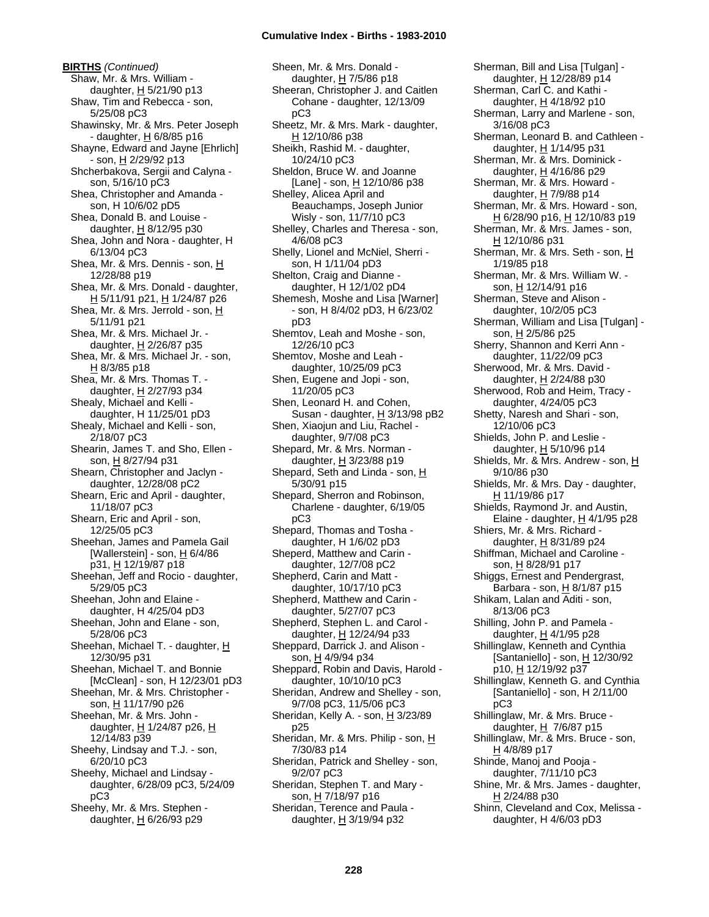**BIRTHS** *(Continued)* Shaw, Mr. & Mrs. William daughter,  $H$  5/21/90 p13 Shaw, Tim and Rebecca - son, 5/25/08 pC3 Shawinsky, Mr. & Mrs. Peter Joseph - daughter, H 6/8/85 p16 Shayne, Edward and Jayne [Ehrlich] - son, H 2/29/92 p13 Shcherbakova, Sergii and Calyna son, 5/16/10 pC3 Shea, Christopher and Amanda son, H 10/6/02 pD5 Shea, Donald B. and Louise daughter,  $H$  8/12/95 p30 Shea, John and Nora - daughter, H 6/13/04 pC3 Shea, Mr. & Mrs. Dennis - son, H 12/28/88 p19 Shea, Mr. & Mrs. Donald - daughter, H 5/11/91 p21, H 1/24/87 p26 Shea, Mr. & Mrs. Jerrold - son, H 5/11/91 p21 Shea, Mr. & Mrs. Michael Jr. daughter,  $H$  2/26/87 p35 Shea, Mr. & Mrs. Michael Jr. - son,  $H$  8/3/85 p18 Shea, Mr. & Mrs. Thomas T. daughter, H 2/27/93 p34 Shealy, Michael and Kelli daughter, H 11/25/01 pD3 Shealy, Michael and Kelli - son, 2/18/07 pC3 Shearin, James T. and Sho, Ellen son, H 8/27/94 p31 Shearn, Christopher and Jaclyn daughter, 12/28/08 pC2 Shearn, Eric and April - daughter, 11/18/07 pC3 Shearn, Eric and April - son, 12/25/05 pC3 Sheehan, James and Pamela Gail [Wallerstein] - son, H 6/4/86 p31, H 12/19/87 p18 Sheehan, Jeff and Rocio - daughter, 5/29/05 pC3 Sheehan, John and Elaine daughter, H 4/25/04 pD3 Sheehan, John and Elane - son, 5/28/06 pC3 Sheehan, Michael T. - daughter, H 12/30/95 p31 Sheehan, Michael T. and Bonnie [McClean] - son, H 12/23/01 pD3 Sheehan, Mr. & Mrs. Christopher son, H 11/17/90 p26 Sheehan, Mr. & Mrs. John daughter, H 1/24/87 p26, H 12/14/83 p39 Sheehy, Lindsay and T.J. - son, 6/20/10 pC3 Sheehy, Michael and Lindsay daughter, 6/28/09 pC3, 5/24/09 pC3 Sheehy, Mr. & Mrs. Stephen -

daughter,  $H$  6/26/93 p29

Sheen, Mr. & Mrs. Donald daughter, H 7/5/86 p18 Sheeran, Christopher J. and Caitlen Cohane - daughter, 12/13/09 pC3 Sheetz, Mr. & Mrs. Mark - daughter, H 12/10/86 p38 Sheikh, Rashid M. - daughter, 10/24/10 pC3 Sheldon, Bruce W. and Joanne [Lane] - son, H 12/10/86 p38 Shelley, Alicea April and Beauchamps, Joseph Junior Wisly - son, 11/7/10 pC3 Shelley, Charles and Theresa - son, 4/6/08 pC3 Shelly, Lionel and McNiel, Sherri son, H 1/11/04 pD3 Shelton, Craig and Dianne daughter, H 12/1/02 pD4 Shemesh, Moshe and Lisa [Warner] - son, H 8/4/02 pD3, H 6/23/02 pD3 Shemtov, Leah and Moshe - son, 12/26/10 pC3 Shemtov, Moshe and Leah daughter, 10/25/09 pC3 Shen, Eugene and Jopi - son, 11/20/05 pC3 Shen, Leonard H. and Cohen, Susan - daughter, H 3/13/98 pB2 Shen, Xiaojun and Liu, Rachel daughter, 9/7/08 pC3 Shepard, Mr. & Mrs. Norman daughter, H 3/23/88 p19 Shepard, Seth and Linda - son,  $H$ 5/30/91 p15 Shepard, Sherron and Robinson, Charlene - daughter, 6/19/05 pC3 Shepard, Thomas and Tosha daughter, H 1/6/02 pD3 Sheperd, Matthew and Carin daughter, 12/7/08 pC2 Shepherd, Carin and Matt daughter, 10/17/10 pC3 Shepherd, Matthew and Carin daughter, 5/27/07 pC3 Shepherd, Stephen L. and Carol daughter, H 12/24/94 p33 Sheppard, Darrick J. and Alison son, H 4/9/94 p34 Sheppard, Robin and Davis, Harold daughter, 10/10/10 pC3 Sheridan, Andrew and Shelley - son, 9/7/08 pC3, 11/5/06 pC3 Sheridan, Kelly A. - son, H 3/23/89 p25 Sheridan, Mr. & Mrs. Philip - son, H 7/30/83 p14 Sheridan, Patrick and Shelley - son, 9/2/07 pC3 Sheridan, Stephen T. and Mary son, H 7/18/97 p16 Sheridan, Terence and Paula daughter,  $H$  3/19/94 p32

Sherman, Bill and Lisa [Tulgan] daughter, H 12/28/89 p14 Sherman, Carl C. and Kathi daughter, H 4/18/92 p10 Sherman, Larry and Marlene - son, 3/16/08 pC3 Sherman, Leonard B. and Cathleen daughter, H 1/14/95 p31 Sherman, Mr. & Mrs. Dominick daughter,  $H$  4/16/86 p29 Sherman, Mr. & Mrs. Howard daughter, H 7/9/88 p14 Sherman, Mr. & Mrs. Howard - son, H 6/28/90 p16, H 12/10/83 p19 Sherman, Mr. & Mrs. James - son, H 12/10/86 p31 Sherman, Mr. & Mrs. Seth - son, H 1/19/85 p18 Sherman, Mr. & Mrs. William W. son, H 12/14/91 p16 Sherman, Steve and Alison daughter, 10/2/05 pC3 Sherman, William and Lisa [Tulgan] son, H 2/5/86 p25 Sherry, Shannon and Kerri Ann daughter, 11/22/09 pC3 Sherwood, Mr. & Mrs. David daughter, H 2/24/88 p30 Sherwood, Rob and Heim, Tracy daughter, 4/24/05 pC3 Shetty, Naresh and Shari - son, 12/10/06 pC3 Shields, John P. and Leslie daughter, H 5/10/96 p14 Shields, Mr. & Mrs. Andrew - son, H 9/10/86 p30 Shields, Mr. & Mrs. Day - daughter, H 11/19/86 p17 Shields, Raymond Jr. and Austin, Elaine - daughter,  $H$  4/1/95 p28 Shiers, Mr. & Mrs. Richard daughter,  $H$  8/31/89 p24 Shiffman, Michael and Caroline son, H 8/28/91 p17 Shiggs, Ernest and Pendergrast, Barbara - son,  $H$  8/1/87 p15 Shikam, Lalan and Aditi - son, 8/13/06 pC3 Shilling, John P. and Pamela daughter, H 4/1/95 p28 Shillinglaw, Kenneth and Cynthia [Santaniello] - son, H 12/30/92 p10, H 12/19/92 p37 Shillinglaw, Kenneth G. and Cynthia [Santaniello] - son, H 2/11/00 pC3 Shillinglaw, Mr. & Mrs. Bruce daughter,  $H$  7/6/87 p15 Shillinglaw, Mr. & Mrs. Bruce - son, H 4/8/89 p17 Shinde, Manoj and Pooja daughter, 7/11/10 pC3 Shine, Mr. & Mrs. James - daughter, H 2/24/88 p30 Shinn, Cleveland and Cox, Melissa daughter, H 4/6/03 pD3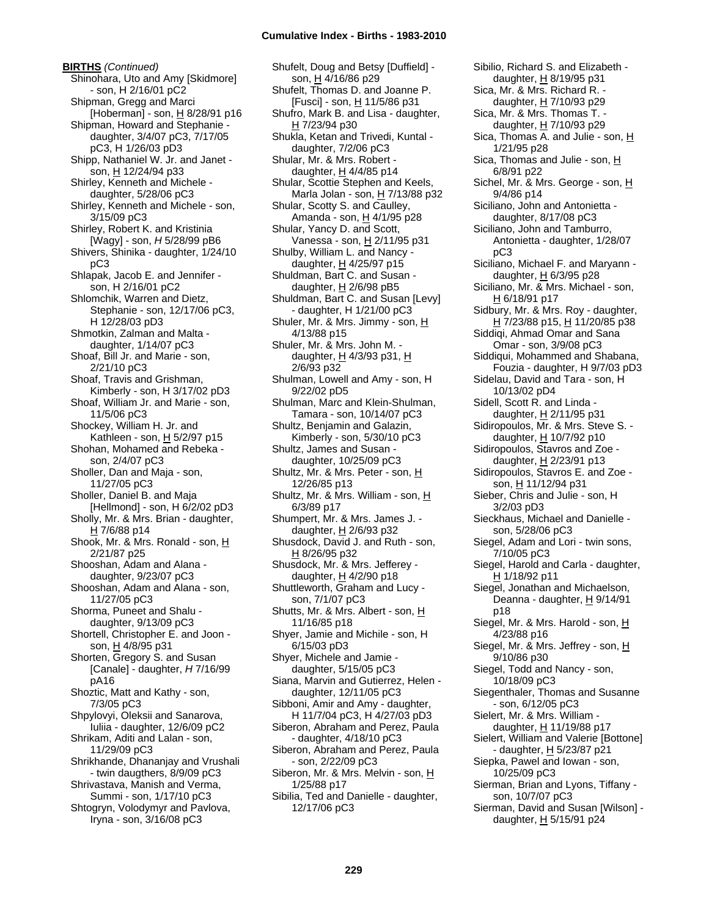**BIRTHS** *(Continued)* Shinohara, Uto and Amy [Skidmore] - son, H 2/16/01 pC2 Shipman, Gregg and Marci [Hoberman] - son, H 8/28/91 p16 Shipman, Howard and Stephanie daughter, 3/4/07 pC3, 7/17/05 pC3, H 1/26/03 pD3 Shipp, Nathaniel W. Jr. and Janet son, H 12/24/94 p33 Shirley, Kenneth and Michele daughter, 5/28/06 pC3 Shirley, Kenneth and Michele - son, 3/15/09 pC3 Shirley, Robert K. and Kristinia [Wagy] - son, *H* 5/28/99 pB6 Shivers, Shinika - daughter, 1/24/10 pC3 Shlapak, Jacob E. and Jennifer son, H 2/16/01 pC2 Shlomchik, Warren and Dietz, Stephanie - son, 12/17/06 pC3, H 12/28/03 pD3 Shmotkin, Zalman and Malta daughter, 1/14/07 pC3 Shoaf, Bill Jr. and Marie - son, 2/21/10 pC3 Shoaf, Travis and Grishman, Kimberly - son, H 3/17/02 pD3 Shoaf, William Jr. and Marie - son, 11/5/06 pC3 Shockey, William H. Jr. and Kathleen - son,  $H$  5/2/97 p15 Shohan, Mohamed and Rebeka son, 2/4/07 pC3 Sholler, Dan and Maja - son, 11/27/05 pC3 Sholler, Daniel B. and Maja [Hellmond] - son, H 6/2/02 pD3 Sholly, Mr. & Mrs. Brian - daughter, H 7/6/88 p14 Shook, Mr. & Mrs. Ronald - son, H 2/21/87 p25 Shooshan, Adam and Alana daughter, 9/23/07 pC3 Shooshan, Adam and Alana - son, 11/27/05 pC3 Shorma, Puneet and Shalu daughter, 9/13/09 pC3 Shortell, Christopher E. and Joon son, H 4/8/95 p31 Shorten, Gregory S. and Susan [Canale] - daughter, *H* 7/16/99 pA16 Shoztic, Matt and Kathy - son, 7/3/05 pC3 Shpylovyi, Oleksii and Sanarova, Iuliia - daughter, 12/6/09 pC2 Shrikam, Aditi and Lalan - son, 11/29/09 pC3 Shrikhande, Dhananjay and Vrushali - twin daugthers, 8/9/09 pC3 Shrivastava, Manish and Verma, Summi - son, 1/17/10 pC3 Shtogryn, Volodymyr and Pavlova, Iryna - son, 3/16/08 pC3

Shufelt, Doug and Betsy [Duffield] son, H 4/16/86 p29 Shufelt, Thomas D. and Joanne P. [Fusci] - son, H 11/5/86 p31 Shufro, Mark B. and Lisa - daughter, H 7/23/94 p30 Shukla, Ketan and Trivedi, Kuntal daughter, 7/2/06 pC3 Shular, Mr. & Mrs. Robert daughter,  $H$  4/4/85 p14 Shular, Scottie Stephen and Keels, Marla Jolan - son,  $H$  7/13/88 p32 Shular, Scotty S. and Caulley, Amanda - son, H 4/1/95 p28 Shular, Yancy D. and Scott, Vanessa - son, H 2/11/95 p31 Shulby, William L. and Nancy daughter,  $H$  4/25/97 p15 Shuldman, Bart C. and Susan daughter,  $H$  2/6/98 pB5 Shuldman, Bart C. and Susan [Levy] - daughter, H 1/21/00 pC3 Shuler, Mr. & Mrs. Jimmy - son, H 4/13/88 p15 Shuler, Mr. & Mrs. John M. daughter,  $H$  4/3/93 p31,  $H$ 2/6/93 p32 Shulman, Lowell and Amy - son, H 9/22/02 pD5 Shulman, Marc and Klein-Shulman, Tamara - son, 10/14/07 pC3 Shultz, Benjamin and Galazin, Kimberly - son, 5/30/10 pC3 Shultz, James and Susan daughter, 10/25/09 pC3 Shultz, Mr. & Mrs. Peter - son, H 12/26/85 p13 Shultz, Mr. & Mrs. William - son, H 6/3/89 p17 Shumpert, Mr. & Mrs. James J. daughter, H 2/6/93 p32 Shusdock, David J. and Ruth - son, H 8/26/95 p32 Shusdock, Mr. & Mrs. Jefferey daughter,  $H$  4/2/90 p18 Shuttleworth, Graham and Lucy son, 7/1/07 pC3 Shutts, Mr. & Mrs. Albert - son, H 11/16/85 p18 Shyer, Jamie and Michile - son, H 6/15/03 pD3 Shyer, Michele and Jamie daughter, 5/15/05 pC3 Siana, Marvin and Gutierrez, Helen daughter, 12/11/05 pC3 Sibboni, Amir and Amy - daughter, H 11/7/04 pC3, H 4/27/03 pD3 Siberon, Abraham and Perez, Paula - daughter, 4/18/10 pC3 Siberon, Abraham and Perez, Paula - son, 2/22/09 pC3 Siberon, Mr. & Mrs. Melvin - son, H 1/25/88 p17 Sibilia, Ted and Danielle - daughter, 12/17/06 pC3

Sibilio, Richard S. and Elizabeth daughter, H 8/19/95 p31 Sica, Mr. & Mrs. Richard R. daughter, H 7/10/93 p29 Sica, Mr. & Mrs. Thomas T. daughter, H 7/10/93 p29 Sica, Thomas A. and Julie - son, H 1/21/95 p28 Sica, Thomas and Julie - son, H 6/8/91 p22 Sichel, Mr. & Mrs. George - son, H 9/4/86 p14 Siciliano, John and Antonietta daughter, 8/17/08 pC3 Siciliano, John and Tamburro, Antonietta - daughter, 1/28/07 pC3 Siciliano, Michael F. and Maryann daughter,  $H$  6/3/95 p28 Siciliano, Mr. & Mrs. Michael - son, H 6/18/91 p17 Sidbury, Mr. & Mrs. Roy - daughter, <u>H</u> 7/23/88 p15, <u>H</u> 11/20/85 p38 Siddiqi, Ahmad Omar and Sana Omar - son, 3/9/08 pC3 Siddiqui, Mohammed and Shabana, Fouzia - daughter, H 9/7/03 pD3 Sidelau, David and Tara - son, H 10/13/02 pD4 Sidell, Scott R. and Linda daughter, H 2/11/95 p31 Sidiropoulos, Mr. & Mrs. Steve S. daughter, H 10/7/92 p10 Sidiropoulos, Stavros and Zoe daughter, H 2/23/91 p13 Sidiropoulos, Stavros E. and Zoe son, H 11/12/94 p31 Sieber, Chris and Julie - son, H 3/2/03 pD3 Sieckhaus, Michael and Danielle son, 5/28/06 pC3 Siegel, Adam and Lori - twin sons, 7/10/05 pC3 Siegel, Harold and Carla - daughter, H 1/18/92 p11 Siegel, Jonathan and Michaelson, Deanna - daughter, H 9/14/91 p18 Siegel, Mr. & Mrs. Harold - son, H 4/23/88 p16 Siegel, Mr. & Mrs. Jeffrey - son, H 9/10/86 p30 Siegel, Todd and Nancy - son, 10/18/09 pC3 Siegenthaler, Thomas and Susanne - son, 6/12/05 pC3 Sielert, Mr. & Mrs. William daughter, H 11/19/88 p17 Sielert, William and Valerie [Bottone] - daughter, H 5/23/87 p21 Siepka, Pawel and Iowan - son, 10/25/09 pC3 Sierman, Brian and Lyons, Tiffany son, 10/7/07 pC3 Sierman, David and Susan [Wilson] daughter,  $H$  5/15/91 p24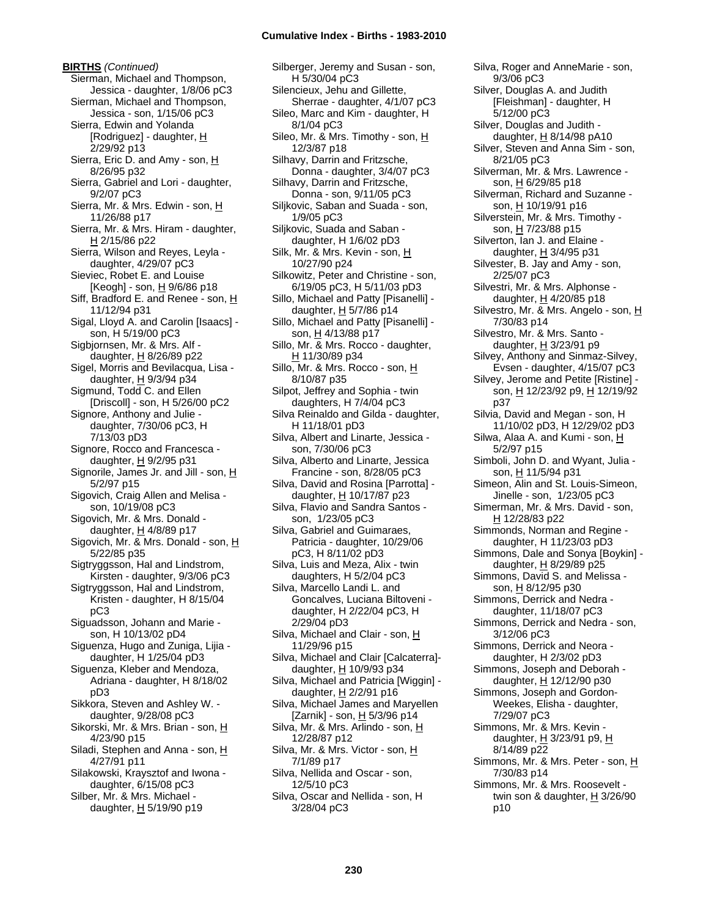**BIRTHS** *(Continued)* Sierman, Michael and Thompson, Jessica - daughter, 1/8/06 pC3 Sierman, Michael and Thompson, Jessica - son, 1/15/06 pC3 Sierra, Edwin and Yolanda  $[Rodriguez]$  - daughter,  $H$ 2/29/92 p13 Sierra, Eric D. and Amy - son, H 8/26/95 p32 Sierra, Gabriel and Lori - daughter, 9/2/07 pC3 Sierra, Mr. & Mrs. Edwin - son, H 11/26/88 p17 Sierra, Mr. & Mrs. Hiram - daughter, H 2/15/86 p22 Sierra, Wilson and Reyes, Leyla daughter, 4/29/07 pC3 Sieviec, Robet E. and Louise [Keogh] - son, H 9/6/86 p18 Siff, Bradford E. and Renee - son, H 11/12/94 p31 Sigal, Lloyd A. and Carolin [Isaacs] son, H 5/19/00 pC3 Sigbjornsen, Mr. & Mrs. Alf daughter, H 8/26/89 p22 Sigel, Morris and Bevilacqua, Lisa daughter,  $H$  9/3/94 p34 Sigmund, Todd C. and Ellen [Driscoll] - son, H 5/26/00 pC2 Signore, Anthony and Julie daughter, 7/30/06 pC3, H 7/13/03 pD3 Signore, Rocco and Francesca daughter, H 9/2/95 p31 Signorile, James Jr. and Jill - son, H 5/2/97 p15 Sigovich, Craig Allen and Melisa son, 10/19/08 pC3 Sigovich, Mr. & Mrs. Donald daughter, H 4/8/89 p17 Sigovich, Mr. & Mrs. Donald - son, H 5/22/85 p35 Sigtryggsson, Hal and Lindstrom, Kirsten - daughter, 9/3/06 pC3 Sigtryggsson, Hal and Lindstrom, Kristen - daughter, H 8/15/04 pC3 Siguadsson, Johann and Marie son, H 10/13/02 pD4 Siguenza, Hugo and Zuniga, Lijia daughter, H 1/25/04 pD3 Siguenza, Kleber and Mendoza, Adriana - daughter, H 8/18/02 pD3 Sikkora, Steven and Ashley W. daughter, 9/28/08 pC3 Sikorski, Mr. & Mrs. Brian - son, H 4/23/90 p15 Siladi, Stephen and Anna - son, H 4/27/91 p11 Silakowski, Kraysztof and Iwona daughter, 6/15/08 pC3 Silber, Mr. & Mrs. Michael daughter,  $H$  5/19/90 p19

Silberger, Jeremy and Susan - son, H 5/30/04 pC3 Silencieux, Jehu and Gillette, Sherrae - daughter, 4/1/07 pC3 Sileo, Marc and Kim - daughter, H 8/1/04 pC3 Sileo, Mr. & Mrs. Timothy - son,  $H$ 12/3/87 p18 Silhavy, Darrin and Fritzsche, Donna - daughter, 3/4/07 pC3 Silhavy, Darrin and Fritzsche, Donna - son, 9/11/05 pC3 Siljkovic, Saban and Suada - son, 1/9/05 pC3 Siljkovic, Suada and Saban daughter, H 1/6/02 pD3 Silk, Mr. & Mrs. Kevin - son, H 10/27/90 p24 Silkowitz, Peter and Christine - son, 6/19/05 pC3, H 5/11/03 pD3 Sillo, Michael and Patty [Pisanelli] daughter,  $H$  5/7/86 p14 Sillo, Michael and Patty [Pisanelli] son, H 4/13/88 p17 Sillo, Mr. & Mrs. Rocco - daughter, H 11/30/89 p34 Sillo, Mr. & Mrs. Rocco - son, H 8/10/87 p35 Silpot, Jeffrey and Sophia - twin daughters, H 7/4/04 pC3 Silva Reinaldo and Gilda - daughter, H 11/18/01 pD3 Silva, Albert and Linarte, Jessica son, 7/30/06 pC3 Silva, Alberto and Linarte, Jessica Francine - son, 8/28/05 pC3 Silva, David and Rosina [Parrotta] daughter, H 10/17/87 p23 Silva, Flavio and Sandra Santos son, 1/23/05 pC3 Silva, Gabriel and Guimaraes, Patricia - daughter, 10/29/06 pC3, H 8/11/02 pD3 Silva, Luis and Meza, Alix - twin daughters, H 5/2/04 pC3 Silva, Marcello Landi L. and Goncalves, Luciana Biltoveni daughter, H 2/22/04 pC3, H 2/29/04 pD3 Silva, Michael and Clair - son, H 11/29/96 p15 Silva, Michael and Clair [Calcaterra] daughter, H 10/9/93 p34 Silva, Michael and Patricia [Wiggin] daughter,  $H$  2/2/91 p16 Silva, Michael James and Maryellen [Zarnik] - son, H 5/3/96 p14 Silva, Mr. & Mrs. Arlindo - son, H 12/28/87 p12 Silva, Mr. & Mrs. Victor - son, H 7/1/89 p17 Silva, Nellida and Oscar - son, 12/5/10 pC3 Silva, Oscar and Nellida - son, H 3/28/04 pC3

Silva, Roger and AnneMarie - son, 9/3/06 pC3 Silver, Douglas A. and Judith [Fleishman] - daughter, H 5/12/00 pC3 Silver, Douglas and Judith daughter,  $H$  8/14/98 pA10 Silver, Steven and Anna Sim - son, 8/21/05 pC3 Silverman, Mr. & Mrs. Lawrence son, H 6/29/85 p18 Silverman, Richard and Suzanne son, H 10/19/91 p16 Silverstein, Mr. & Mrs. Timothy son, H 7/23/88 p15 Silverton, Ian J. and Elaine daughter, H 3/4/95 p31 Silvester, B. Jay and Amy - son, 2/25/07 pC3 Silvestri, Mr. & Mrs. Alphonse daughter,  $H$  4/20/85 p18 Silvestro, Mr. & Mrs. Angelo - son, H 7/30/83 p14 Silvestro, Mr. & Mrs. Santo daughter,  $H$  3/23/91 p9 Silvey, Anthony and Sinmaz-Silvey, Evsen - daughter, 4/15/07 pC3 Silvey, Jerome and Petite [Ristine] son, H 12/23/92 p9, H 12/19/92 p37 Silvia, David and Megan - son, H 11/10/02 pD3, H 12/29/02 pD3 Silwa, Alaa A. and Kumi - son, H 5/2/97 p15 Simboli, John D. and Wyant, Julia son, <u>H</u> 11/5/94 p31 Simeon, Alin and St. Louis-Simeon, Jinelle - son, 1/23/05 pC3 Simerman, Mr. & Mrs. David - son, H 12/28/83 p22 Simmonds, Norman and Regine daughter, H 11/23/03 pD3 Simmons, Dale and Sonya [Boykin] daughter, H 8/29/89 p25 Simmons, David S. and Melissa son, H 8/12/95 p30 Simmons, Derrick and Nedra daughter, 11/18/07 pC3 Simmons, Derrick and Nedra - son, 3/12/06 pC3 Simmons, Derrick and Neora daughter, H 2/3/02 pD3 Simmons, Joseph and Deborah daughter, H 12/12/90 p30 Simmons, Joseph and Gordon-Weekes, Elisha - daughter, 7/29/07 pC3 Simmons, Mr. & Mrs. Kevin daughter, H 3/23/91 p9, H 8/14/89 p22 Simmons, Mr. & Mrs. Peter - son, H 7/30/83 p14 Simmons, Mr. & Mrs. Roosevelt twin son & daughter,  $H$  3/26/90 p10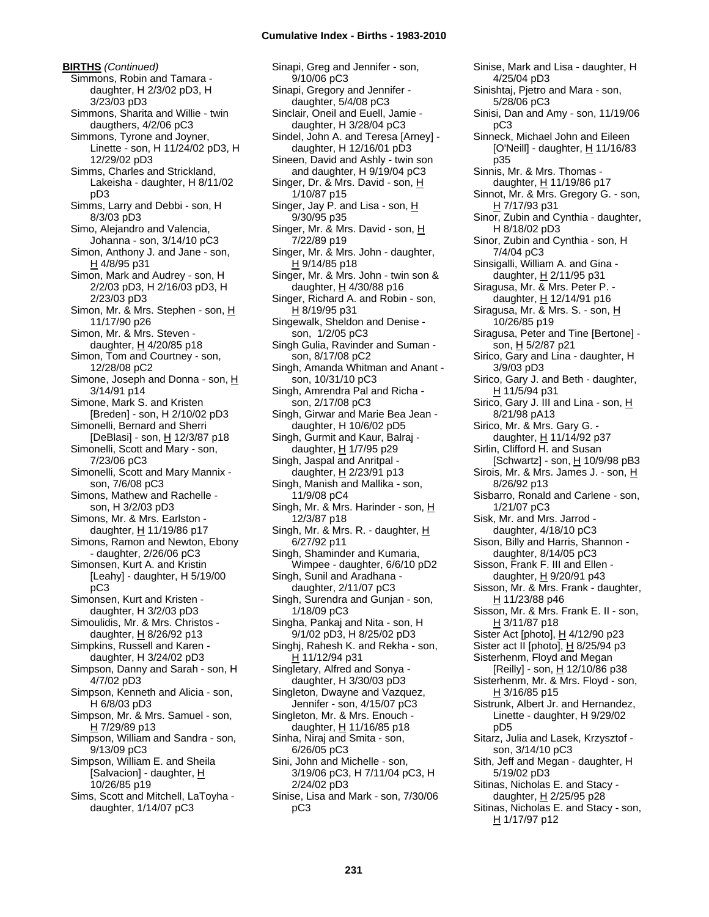**BIRTHS** *(Continued)* Simmons, Robin and Tamara daughter, H 2/3/02 pD3, H 3/23/03 pD3 Simmons, Sharita and Willie - twin daugthers, 4/2/06 pC3 Simmons, Tyrone and Joyner, Linette - son, H 11/24/02 pD3, H 12/29/02 pD3 Simms, Charles and Strickland, Lakeisha - daughter, H 8/11/02 pD3 Simms, Larry and Debbi - son, H 8/3/03 pD3 Simo, Alejandro and Valencia, Johanna - son, 3/14/10 pC3 Simon, Anthony J. and Jane - son,  $H$  4/8/95 p31 Simon, Mark and Audrey - son, H 2/2/03 pD3, H 2/16/03 pD3, H 2/23/03 pD3 Simon, Mr. & Mrs. Stephen - son, H 11/17/90 p26 Simon, Mr. & Mrs. Steven daughter,  $H$  4/20/85 p18 Simon, Tom and Courtney - son, 12/28/08 pC2 Simone, Joseph and Donna - son, H 3/14/91 p14 Simone, Mark S. and Kristen [Breden] - son, H 2/10/02 pD3 Simonelli, Bernard and Sherri [DeBlasi] - son, H 12/3/87 p18 Simonelli, Scott and Mary - son, 7/23/06 pC3 Simonelli, Scott and Mary Mannix son, 7/6/08 pC3 Simons, Mathew and Rachelle son, H 3/2/03 pD3 Simons, Mr. & Mrs. Earlston daughter, H 11/19/86 p17 Simons, Ramon and Newton, Ebony - daughter, 2/26/06 pC3 Simonsen, Kurt A. and Kristin [Leahy] - daughter, H 5/19/00 pC3 Simonsen, Kurt and Kristen daughter, H 3/2/03 pD3 Simoulidis, Mr. & Mrs. Christos daughter,  $H$  8/26/92 p13 Simpkins, Russell and Karen daughter, H 3/24/02 pD3 Simpson, Danny and Sarah - son, H 4/7/02 pD3 Simpson, Kenneth and Alicia - son, H 6/8/03 pD3 Simpson, Mr. & Mrs. Samuel - son, H 7/29/89 p13 Simpson, William and Sandra - son, 9/13/09 pC3 Simpson, William E. and Sheila [Salvacion] - daughter, H 10/26/85 p19 Sims, Scott and Mitchell, LaToyha daughter, 1/14/07 pC3

Sinapi, Greg and Jennifer - son, 9/10/06 pC3 Sinapi, Gregory and Jennifer daughter, 5/4/08 pC3 Sinclair, Oneil and Euell, Jamie daughter, H 3/28/04 pC3 Sindel, John A. and Teresa [Arney] daughter, H 12/16/01 pD3 Sineen, David and Ashly - twin son and daughter, H 9/19/04 pC3 Singer, Dr. & Mrs. David - son, H 1/10/87 p15 Singer, Jay P. and Lisa - son,  $H$ 9/30/95 p35 Singer, Mr. & Mrs. David - son, H 7/22/89 p19 Singer, Mr. & Mrs. John - daughter, H 9/14/85 p18 Singer, Mr. & Mrs. John - twin son & daughter,  $H$  4/30/88 p16 Singer, Richard A. and Robin - son, H 8/19/95 p31 Singewalk, Sheldon and Denise son, 1/2/05 pC3 Singh Gulia, Ravinder and Suman son, 8/17/08 pC2 Singh, Amanda Whitman and Anant son, 10/31/10 pC3 Singh, Amrendra Pal and Richa son, 2/17/08 pC3 Singh, Girwar and Marie Bea Jean daughter, H 10/6/02 pD5 Singh, Gurmit and Kaur, Balraj daughter, H 1/7/95 p29 Singh, Jaspal and Anritpal daughter, H 2/23/91 p13 Singh, Manish and Mallika - son, 11/9/08 pC4 Singh, Mr. & Mrs. Harinder - son, H 12/3/87 p18 Singh, Mr. & Mrs. R. - daughter, H 6/27/92 p11 Singh, Shaminder and Kumaria, Wimpee - daughter, 6/6/10 pD2 Singh, Sunil and Aradhana daughter, 2/11/07 pC3 Singh, Surendra and Gunjan - son, 1/18/09 pC3 Singha, Pankaj and Nita - son, H 9/1/02 pD3, H 8/25/02 pD3 Singhj, Rahesh K. and Rekha - son, H 11/12/94 p31 Singletary, Alfred and Sonya daughter, H 3/30/03 pD3 Singleton, Dwayne and Vazquez, Jennifer - son, 4/15/07 pC3 Singleton, Mr. & Mrs. Enouch daughter,  $H$  11/16/85 p18 Sinha, Niraj and Smita - son, 6/26/05 pC3 Sini, John and Michelle - son, 3/19/06 pC3, H 7/11/04 pC3, H 2/24/02 pD3 Sinise, Lisa and Mark - son, 7/30/06 pC3

Sinise, Mark and Lisa - daughter, H 4/25/04 pD3 Sinishtaj, Pjetro and Mara - son, 5/28/06 pC3 Sinisi, Dan and Amy - son, 11/19/06 pC3 Sinneck, Michael John and Eileen [O'Neill] - daughter, H 11/16/83 p35 Sinnis, Mr. & Mrs. Thomas daughter, H 11/19/86 p17 Sinnot, Mr. & Mrs. Gregory G. - son, H 7/17/93 p31 Sinor, Zubin and Cynthia - daughter, H 8/18/02 pD3 Sinor, Zubin and Cynthia - son, H 7/4/04 pC3 Sinsigalli, William A. and Gina daughter, H 2/11/95 p31 Siragusa, Mr. & Mrs. Peter P. daughter, H 12/14/91 p16 Siragusa, Mr. & Mrs. S. - son, H 10/26/85 p19 Siragusa, Peter and Tine [Bertone] son, H 5/2/87 p21 Sirico, Gary and Lina - daughter, H 3/9/03 pD3 Sirico, Gary J. and Beth - daughter, H 11/5/94 p31 Sirico, Gary J. III and Lina - son, H 8/21/98 pA13 Sirico, Mr. & Mrs. Gary G. daughter, H 11/14/92 p37 Sirlin, Clifford H. and Susan [Schwartz] - son, H 10/9/98 pB3 Sirois, Mr. & Mrs. James J. - son, H 8/26/92 p13 Sisbarro, Ronald and Carlene - son, 1/21/07 pC3 Sisk, Mr. and Mrs. Jarrod daughter, 4/18/10 pC3 Sison, Billy and Harris, Shannon daughter, 8/14/05 pC3 Sisson, Frank F. III and Ellen daughter, H 9/20/91 p43 Sisson, Mr. & Mrs. Frank - daughter, H 11/23/88 p46 Sisson, Mr. & Mrs. Frank E. II - son,  $H$  3/11/87 p18 Sister Act [photo], H 4/12/90 p23 Sister act II [photo],  $\underline{H}$  8/25/94 p3 Sisterhenm, Floyd and Megan [Reilly] - son,  $\underline{H}$  12/10/86 p38 Sisterhenm, Mr. & Mrs. Floyd - son, H 3/16/85 p15 Sistrunk, Albert Jr. and Hernandez, Linette - daughter, H 9/29/02 pD5 Sitarz, Julia and Lasek, Krzysztof son, 3/14/10 pC3 Sith, Jeff and Megan - daughter, H 5/19/02 pD3 Sitinas, Nicholas E. and Stacy daughter, H 2/25/95 p28 Sitinas, Nicholas E. and Stacy - son, H 1/17/97 p12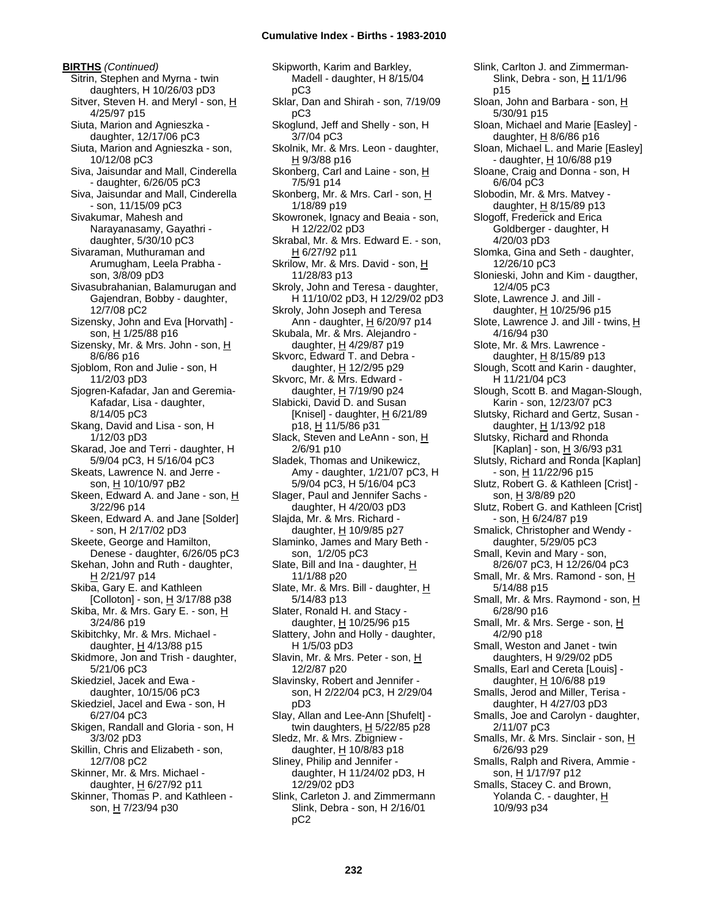**BIRTHS** *(Continued)* Sitrin, Stephen and Myrna - twin daughters, H 10/26/03 pD3 Sitver, Steven H. and Meryl - son, H 4/25/97 p15 Siuta, Marion and Agnieszka daughter, 12/17/06 pC3 Siuta, Marion and Agnieszka - son, 10/12/08 pC3 Siva, Jaisundar and Mall, Cinderella - daughter, 6/26/05 pC3 Siva, Jaisundar and Mall, Cinderella - son, 11/15/09 pC3 Sivakumar, Mahesh and Narayanasamy, Gayathri daughter, 5/30/10 pC3 Sivaraman, Muthuraman and Arumugham, Leela Prabha son, 3/8/09 pD3 Sivasubrahanian, Balamurugan and Gajendran, Bobby - daughter, 12/7/08 pC2 Sizensky, John and Eva [Horvath] son, H 1/25/88 p16 Sizensky, Mr. & Mrs. John - son, H 8/6/86 p16 Sjoblom, Ron and Julie - son, H 11/2/03 pD3 Sjogren-Kafadar, Jan and Geremia-Kafadar, Lisa - daughter, 8/14/05 pC3 Skang, David and Lisa - son, H 1/12/03 pD3 Skarad, Joe and Terri - daughter, H 5/9/04 pC3, H 5/16/04 pC3 Skeats, Lawrence N. and Jerre son, H 10/10/97 pB2 Skeen, Edward A. and Jane - son, H 3/22/96 p14 Skeen, Edward A. and Jane [Solder] - son, H 2/17/02 pD3 Skeete, George and Hamilton, Denese - daughter, 6/26/05 pC3 Skehan, John and Ruth - daughter, H 2/21/97 p14 Skiba, Gary E. and Kathleen [Colloton] - son, H 3/17/88 p38 Skiba, Mr. & Mrs. Gary E. - son, H 3/24/86 p19 Skibitchky, Mr. & Mrs. Michael daughter,  $H$  4/13/88 p15 Skidmore, Jon and Trish - daughter, 5/21/06 pC3 Skiedziel, Jacek and Ewa daughter, 10/15/06 pC3 Skiedziel, Jacel and Ewa - son, H 6/27/04 pC3 Skigen, Randall and Gloria - son, H 3/3/02 pD3 Skillin, Chris and Elizabeth - son, 12/7/08 pC2 Skinner, Mr. & Mrs. Michael daughter, H 6/27/92 p11 Skinner, Thomas P. and Kathleen son, H 7/23/94 p30

Skipworth, Karim and Barkley, Madell - daughter, H 8/15/04 pC3 Sklar, Dan and Shirah - son, 7/19/09 pC3 Skoglund, Jeff and Shelly - son, H 3/7/04 pC3 Skolnik, Mr. & Mrs. Leon - daughter, H 9/3/88 p16 Skonberg, Carl and Laine - son, H 7/5/91 p14 Skonberg, Mr. & Mrs. Carl - son, H 1/18/89 p19 Skowronek, Ignacy and Beaia - son, H 12/22/02 pD3 Skrabal, Mr. & Mrs. Edward E. - son, H 6/27/92 p11 Skrilow, Mr. & Mrs. David - son, H 11/28/83 p13 Skroly, John and Teresa - daughter, H 11/10/02 pD3, H 12/29/02 pD3 Skroly, John Joseph and Teresa Ann - daughter, H 6/20/97 p14 Skubala, Mr. & Mrs. Alejandro daughter,  $H$  4/29/87 p19 Skvorc, Edward T. and Debra daughter, H 12/2/95 p29 Skvorc, Mr. & Mrs. Edward daughter, H 7/19/90 p24 Slabicki, David D. and Susan [Knisel] - daughter,  $H$  6/21/89 p18, H 11/5/86 p31 Slack, Steven and LeAnn - son, H 2/6/91 p10 Sladek, Thomas and Unikewicz, Amy - daughter, 1/21/07 pC3, H 5/9/04 pC3, H 5/16/04 pC3 Slager, Paul and Jennifer Sachs daughter, H 4/20/03 pD3 Slajda, Mr. & Mrs. Richard daughter, H 10/9/85 p27 Slaminko, James and Mary Beth son, 1/2/05 pC3 Slate, Bill and Ina - daughter, H 11/1/88 p20 Slate, Mr. & Mrs. Bill - daughter,  $H$ 5/14/83 p13 Slater, Ronald H. and Stacy daughter,  $H$  10/25/96 p15 Slattery, John and Holly - daughter, H 1/5/03 pD3 Slavin, Mr. & Mrs. Peter - son, H 12/2/87 p20 Slavinsky, Robert and Jennifer son, H 2/22/04 pC3, H 2/29/04 pD3 Slay, Allan and Lee-Ann [Shufelt] twin daughters,  $H$  5/22/85 p28 Sledz, Mr. & Mrs. Zbigniew daughter,  $H$  10/8/83 p18 Sliney, Philip and Jennifer daughter, H 11/24/02 pD3, H 12/29/02 pD3 Slink, Carleton J. and Zimmermann Slink, Debra - son, H 2/16/01 pC2

Slink, Debra - son, H 11/1/96 p15 Sloan, John and Barbara - son, H 5/30/91 p15 Sloan, Michael and Marie [Easley] daughter,  $H$  8/6/86 p16 Sloan, Michael L. and Marie [Easley] - daughter, H 10/6/88 p19 Sloane, Craig and Donna - son, H 6/6/04 pC3 Slobodin, Mr. & Mrs. Matvey daughter,  $H$  8/15/89 p13 Slogoff, Frederick and Erica Goldberger - daughter, H 4/20/03 pD3 Slomka, Gina and Seth - daughter, 12/26/10 pC3 Slonieski, John and Kim - daugther, 12/4/05 pC3 Slote, Lawrence J. and Jill daughter,  $H$  10/25/96 p15 Slote, Lawrence J. and Jill - twins, H 4/16/94 p30 Slote, Mr. & Mrs. Lawrence daughter, H 8/15/89 p13 Slough, Scott and Karin - daughter, H 11/21/04 pC3 Slough, Scott B. and Magan-Slough, Karin - son, 12/23/07 pC3 Slutsky, Richard and Gertz, Susan daughter, H 1/13/92 p18 Slutsky, Richard and Rhonda [Kaplan] - son, H 3/6/93 p31 Slutsly, Richard and Ronda [Kaplan] - son, <u>H</u> 11/22/96 p15 Slutz, Robert G. & Kathleen [Crist] son, H 3/8/89 p20 Slutz, Robert G. and Kathleen [Crist] - son, <u>H</u> 6/24/87 p19 Smalick, Christopher and Wendy daughter, 5/29/05 pC3 Small, Kevin and Mary - son, 8/26/07 pC3, H 12/26/04 pC3 Small, Mr. & Mrs. Ramond - son, H 5/14/88 p15 Small, Mr. & Mrs. Raymond - son, H 6/28/90 p16 Small, Mr. & Mrs. Serge - son, H 4/2/90 p18 Small, Weston and Janet - twin daughters, H 9/29/02 pD5 Smalls, Earl and Cereta [Louis] daughter, H 10/6/88 p19 Smalls, Jerod and Miller, Terisa daughter, H 4/27/03 pD3 Smalls, Joe and Carolyn - daughter, 2/11/07 pC3 Smalls, Mr. & Mrs. Sinclair - son, H 6/26/93 p29 Smalls, Ralph and Rivera, Ammie son, H 1/17/97 p12 Smalls, Stacey C. and Brown, Yolanda C. - daughter, H 10/9/93 p34

Slink, Carlton J. and Zimmerman-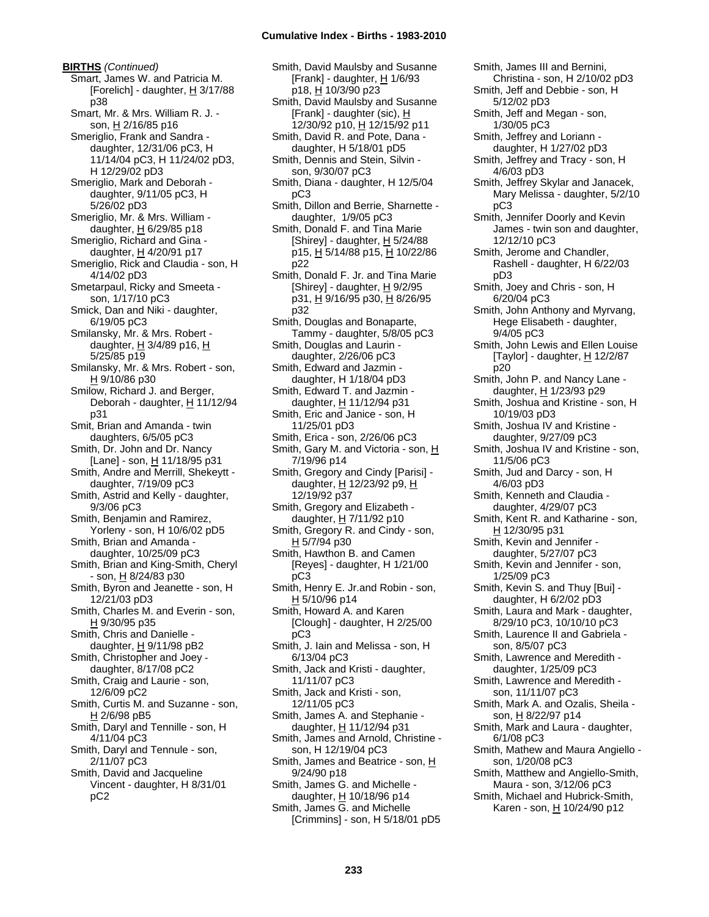**BIRTHS** *(Continued)* Smart, James W. and Patricia M. [Forelich] - daughter,  $H$  3/17/88 p38 Smart, Mr. & Mrs. William R. J. son, H 2/16/85 p16 Smeriglio, Frank and Sandra daughter, 12/31/06 pC3, H 11/14/04 pC3, H 11/24/02 pD3, H 12/29/02 pD3 Smeriglio, Mark and Deborah daughter, 9/11/05 pC3, H 5/26/02 pD3 Smeriglio, Mr. & Mrs. William daughter,  $H$  6/29/85 p18 Smeriglio, Richard and Gina daughter, H 4/20/91 p17 Smeriglio, Rick and Claudia - son, H 4/14/02 pD3 Smetarpaul, Ricky and Smeeta son, 1/17/10 pC3 Smick, Dan and Niki - daughter, 6/19/05 pC3 Smilansky, Mr. & Mrs. Robert daughter,  $H$  3/4/89 p16,  $H$ 5/25/85 p19 Smilansky, Mr. & Mrs. Robert - son, H 9/10/86 p30 Smilow, Richard J. and Berger, Deborah - daughter, H 11/12/94 p31 Smit, Brian and Amanda - twin daughters, 6/5/05 pC3 Smith, Dr. John and Dr. Nancy [Lane] - son, H 11/18/95 p31 Smith, Andre and Merrill, Shekeytt daughter, 7/19/09 pC3 Smith, Astrid and Kelly - daughter, 9/3/06 pC3 Smith, Benjamin and Ramirez, Yorleny - son, H 10/6/02 pD5 Smith, Brian and Amanda daughter, 10/25/09 pC3 Smith, Brian and King-Smith, Cheryl - son, H 8/24/83 p30 Smith, Byron and Jeanette - son, H 12/21/03 pD3 Smith, Charles M. and Everin - son, H 9/30/95 p35 Smith, Chris and Danielle daughter,  $H$  9/11/98 pB2 Smith, Christopher and Joey daughter, 8/17/08 pC2 Smith, Craig and Laurie - son, 12/6/09 pC2 Smith, Curtis M. and Suzanne - son, H 2/6/98 pB5 Smith, Daryl and Tennille - son, H 4/11/04 pC3 Smith, Daryl and Tennule - son, 2/11/07 pC3 Smith, David and Jacqueline Vincent - daughter, H 8/31/01 pC2

Smith, David Maulsby and Susanne [Frank] - daughter, H 1/6/93 p18, H 10/3/90 p23 Smith, David Maulsby and Susanne [Frank] - daughter (sic), H 12/30/92 p10, H 12/15/92 p11 Smith, David R. and Pote, Dana daughter, H 5/18/01 pD5 Smith, Dennis and Stein, Silvin son, 9/30/07 pC3 Smith, Diana - daughter, H 12/5/04 pC3 Smith, Dillon and Berrie, Sharnette daughter, 1/9/05 pC3 Smith, Donald F. and Tina Marie [Shirey] - daughter,  $H$  5/24/88 p15, H 5/14/88 p15, H 10/22/86 p22 Smith, Donald F. Jr. and Tina Marie [Shirey] - daughter,  $H$  9/2/95 p31, H 9/16/95 p30, H 8/26/95 p32 Smith, Douglas and Bonaparte, Tammy - daughter, 5/8/05 pC3 Smith, Douglas and Laurin daughter, 2/26/06 pC3 Smith, Edward and Jazmin daughter, H 1/18/04 pD3 Smith, Edward T. and Jazmin daughter, H 11/12/94 p31 Smith, Eric and Janice - son, H 11/25/01 pD3 Smith, Erica - son, 2/26/06 pC3 Smith, Gary M. and Victoria - son, H 7/19/96 p14 Smith, Gregory and Cindy [Parisi] daughter, H 12/23/92 p9, H 12/19/92 p37 Smith, Gregory and Elizabeth daughter,  $H$  7/11/92 p10 Smith, Gregory R. and Cindy - son, H 5/7/94 p30 Smith, Hawthon B. and Camen [Reyes] - daughter, H 1/21/00 pC3 Smith, Henry E. Jr.and Robin - son,  $H 5/10/96 p14$ Smith, Howard A. and Karen [Clough] - daughter, H 2/25/00 pC3 Smith, J. Iain and Melissa - son, H 6/13/04 pC3 Smith, Jack and Kristi - daughter, 11/11/07 pC3 Smith, Jack and Kristi - son, 12/11/05 pC3 Smith, James A. and Stephanie daughter, H 11/12/94 p31 Smith, James and Arnold, Christine son, H 12/19/04 pC3 Smith, James and Beatrice - son, H 9/24/90 p18 Smith, James G. and Michelle daughter, H 10/18/96 p14 Smith, James G. and Michelle [Crimmins] - son, H 5/18/01 pD5

Smith, James III and Bernini, Christina - son, H 2/10/02 pD3 Smith, Jeff and Debbie - son, H 5/12/02 pD3 Smith, Jeff and Megan - son, 1/30/05 pC3 Smith, Jeffrey and Loriann daughter, H 1/27/02 pD3 Smith, Jeffrey and Tracy - son, H 4/6/03 pD3 Smith, Jeffrey Skylar and Janacek, Mary Melissa - daughter, 5/2/10 pC3 Smith, Jennifer Doorly and Kevin James - twin son and daughter, 12/12/10 pC3 Smith, Jerome and Chandler, Rashell - daughter, H 6/22/03 pD3 Smith, Joey and Chris - son, H 6/20/04 pC3 Smith, John Anthony and Myrvang, Hege Elisabeth - daughter, 9/4/05 pC3 Smith, John Lewis and Ellen Louise [Taylor] - daughter,  $H$  12/2/87 p20 Smith, John P. and Nancy Lane daughter, H 1/23/93 p29 Smith, Joshua and Kristine - son, H 10/19/03 pD3 Smith, Joshua IV and Kristine daughter, 9/27/09 pC3 Smith, Joshua IV and Kristine - son, 11/5/06 pC3 Smith, Jud and Darcy - son, H 4/6/03 pD3 Smith, Kenneth and Claudia daughter, 4/29/07 pC3 Smith, Kent R. and Katharine - son, H 12/30/95 p31 Smith, Kevin and Jennifer daughter, 5/27/07 pC3 Smith, Kevin and Jennifer - son, 1/25/09 pC3 Smith, Kevin S. and Thuy [Bui] daughter, H 6/2/02 pD3 Smith, Laura and Mark - daughter, 8/29/10 pC3, 10/10/10 pC3 Smith, Laurence II and Gabriela son, 8/5/07 pC3 Smith, Lawrence and Meredith daughter, 1/25/09 pC3 Smith, Lawrence and Meredith son, 11/11/07 pC3 Smith, Mark A. and Ozalis, Sheila son, H 8/22/97 p14 Smith, Mark and Laura - daughter, 6/1/08 pC3 Smith, Mathew and Maura Angiello son, 1/20/08 pC3 Smith, Matthew and Angiello-Smith, Maura - son, 3/12/06 pC3 Smith, Michael and Hubrick-Smith, Karen - son, H 10/24/90 p12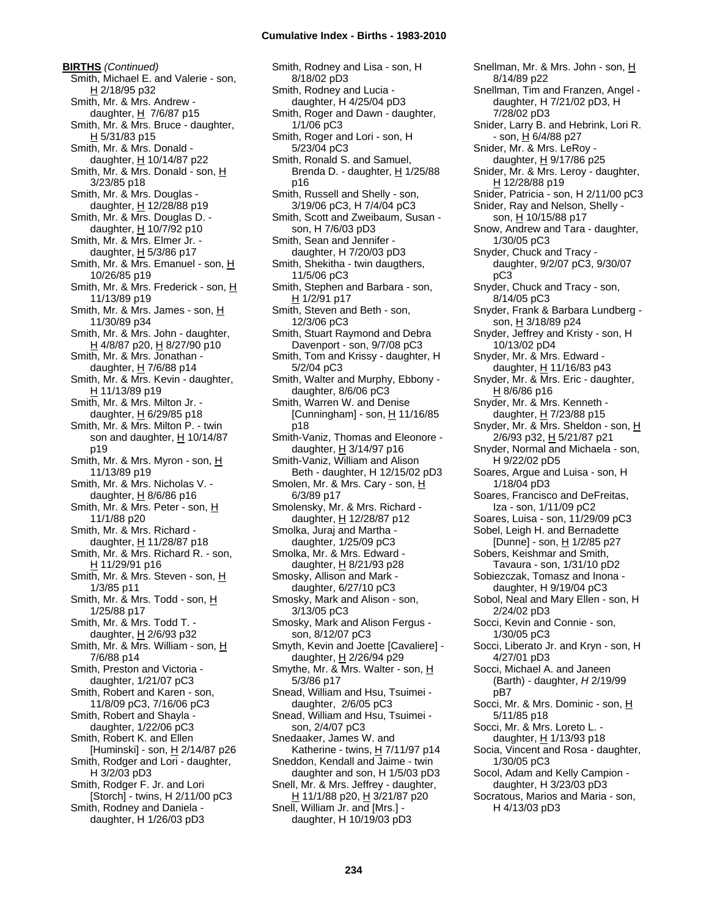**BIRTHS** *(Continued)* Smith, Michael E. and Valerie - son, H 2/18/95 p32 Smith, Mr. & Mrs. Andrew daughter,  $H$  7/6/87 p15 Smith, Mr. & Mrs. Bruce - daughter, H 5/31/83 p15 Smith, Mr. & Mrs. Donald daughter, H 10/14/87 p22 Smith, Mr. & Mrs. Donald - son, H 3/23/85 p18 Smith, Mr. & Mrs. Douglas daughter,  $H$  12/28/88 p19 Smith, Mr. & Mrs. Douglas D. daughter,  $H$  10/7/92 p10 Smith, Mr. & Mrs. Elmer Jr. daughter,  $H$  5/3/86 p17 Smith, Mr. & Mrs. Emanuel - son, H 10/26/85 p19 Smith, Mr. & Mrs. Frederick - son, H 11/13/89 p19 Smith, Mr. & Mrs. James - son, H 11/30/89 p34 Smith, Mr. & Mrs. John - daughter, H 4/8/87 p20, H 8/27/90 p10 Smith, Mr. & Mrs. Jonathan daughter,  $H$  7/6/88 p14 Smith, Mr. & Mrs. Kevin - daughter, H 11/13/89 p19 Smith, Mr. & Mrs. Milton Jr. daughter,  $H$  6/29/85 p18 Smith, Mr. & Mrs. Milton P. - twin son and daughter,  $H$  10/14/87 p19 Smith, Mr. & Mrs. Myron - son, H 11/13/89 p19 Smith, Mr. & Mrs. Nicholas V. daughter,  $H$  8/6/86 p16 Smith, Mr. & Mrs. Peter - son, H 11/1/88 p20 Smith, Mr. & Mrs. Richard daughter,  $H$  11/28/87 p18 Smith, Mr. & Mrs. Richard R. - son, H 11/29/91 p16 Smith, Mr. & Mrs. Steven - son, H 1/3/85 p11 Smith, Mr. & Mrs. Todd - son, H 1/25/88 p17 Smith, Mr. & Mrs. Todd T. daughter,  $H$  2/6/93 p32 Smith, Mr. & Mrs. William - son, H 7/6/88 p14 Smith, Preston and Victoria daughter, 1/21/07 pC3 Smith, Robert and Karen - son, 11/8/09 pC3, 7/16/06 pC3 Smith, Robert and Shayla daughter, 1/22/06 pC3 Smith, Robert K. and Ellen [Huminski] - son, H 2/14/87 p26 Smith, Rodger and Lori - daughter, H 3/2/03 pD3 Smith, Rodger F. Jr. and Lori [Storch] - twins, H 2/11/00 pC3 Smith, Rodney and Daniela daughter, H 1/26/03 pD3

Smith, Rodney and Lisa - son, H 8/18/02 pD3 Smith, Rodney and Lucia daughter, H 4/25/04 pD3 Smith, Roger and Dawn - daughter, 1/1/06 pC3 Smith, Roger and Lori - son, H 5/23/04 pC3 Smith, Ronald S. and Samuel, Brenda D. - daughter, H 1/25/88 p16 Smith, Russell and Shelly - son, 3/19/06 pC3, H 7/4/04 pC3 Smith, Scott and Zweibaum, Susan son, H 7/6/03 pD3 Smith, Sean and Jennifer daughter, H 7/20/03 pD3 Smith, Shekitha - twin daugthers, 11/5/06 pC3 Smith, Stephen and Barbara - son, H 1/2/91 p17 Smith, Steven and Beth - son, 12/3/06 pC3 Smith, Stuart Raymond and Debra Davenport - son, 9/7/08 pC3 Smith, Tom and Krissy - daughter, H 5/2/04 pC3 Smith, Walter and Murphy, Ebbony daughter, 8/6/06 pC3 Smith, Warren W. and Denise [Cunningham] - son,  $H$  11/16/85 p18 Smith-Vaniz, Thomas and Eleonore daughter, H 3/14/97 p16 Smith-Vaniz, William and Alison Beth - daughter, H 12/15/02 pD3 Smolen, Mr. & Mrs. Cary - son, H 6/3/89 p17 Smolensky, Mr. & Mrs. Richard daughter, H 12/28/87 p12 Smolka, Juraj and Martha daughter, 1/25/09 pC3 Smolka, Mr. & Mrs. Edward daughter, H 8/21/93 p28 Smosky, Allison and Mark daughter, 6/27/10 pC3 Smosky, Mark and Alison - son, 3/13/05 pC3 Smosky, Mark and Alison Fergus son, 8/12/07 pC3 Smyth, Kevin and Joette [Cavaliere] daughter, H 2/26/94 p29 Smythe, Mr. & Mrs. Walter - son, H 5/3/86 p17 Snead, William and Hsu, Tsuimei daughter, 2/6/05 pC3 Snead, William and Hsu, Tsuimei son, 2/4/07 pC3 Snedaaker, James W. and Katherine - twins,  $H$  7/11/97 p14 Sneddon, Kendall and Jaime - twin daughter and son, H 1/5/03 pD3 Snell, Mr. & Mrs. Jeffrey - daughter, H 11/1/88 p20, H 3/21/87 p20 Snell, William Jr. and [Mrs.] daughter, H 10/19/03 pD3

Snellman, Mr. & Mrs. John - son, H 8/14/89 p22 Snellman, Tim and Franzen, Angel daughter, H 7/21/02 pD3, H 7/28/02 pD3 Snider, Larry B. and Hebrink, Lori R. - son, <u>H</u> 6/4/88 p27 Snider, Mr. & Mrs. LeRoy daughter,  $H$  9/17/86 p25 Snider, Mr. & Mrs. Leroy - daughter, H 12/28/88 p19 Snider, Patricia - son, H 2/11/00 pC3 Snider, Ray and Nelson, Shelly son, H 10/15/88 p17 Snow, Andrew and Tara - daughter, 1/30/05 pC3 Snyder, Chuck and Tracy daughter, 9/2/07 pC3, 9/30/07 pC3 Snyder, Chuck and Tracy - son, 8/14/05 pC3 Snyder, Frank & Barbara Lundberg son, H 3/18/89 p24 Snyder, Jeffrey and Kristy - son, H 10/13/02 pD4 Snyder, Mr. & Mrs. Edward daughter, H 11/16/83 p43 Snyder, Mr. & Mrs. Eric - daughter, H 8/6/86 p16 Snyder, Mr. & Mrs. Kenneth daughter,  $H$  7/23/88 p15 Snyder, Mr. & Mrs. Sheldon - son, H 2/6/93 p32, H 5/21/87 p21 Snyder, Normal and Michaela - son, H 9/22/02 pD5 Soares, Argue and Luisa - son, H 1/18/04 pD3 Soares, Francisco and DeFreitas, Iza - son, 1/11/09 pC2 Soares, Luisa - son, 11/29/09 pC3 Sobel, Leigh H. and Bernadette [Dunne] - son, H 1/2/85 p27 Sobers, Keishmar and Smith, Tavaura - son, 1/31/10 pD2 Sobiezczak, Tomasz and Inona daughter, H 9/19/04 pC3 Sobol, Neal and Mary Ellen - son, H 2/24/02 pD3 Socci, Kevin and Connie - son, 1/30/05 pC3 Socci, Liberato Jr. and Kryn - son, H 4/27/01 pD3 Socci, Michael A. and Janeen (Barth) - daughter, *H* 2/19/99 pB7 Socci, Mr. & Mrs. Dominic - son, H 5/11/85 p18 Socci, Mr. & Mrs. Loreto L. daughter, H 1/13/93 p18 Socia, Vincent and Rosa - daughter, 1/30/05 pC3 Socol, Adam and Kelly Campion daughter, H 3/23/03 pD3 Socratous, Marios and Maria - son, H 4/13/03 pD3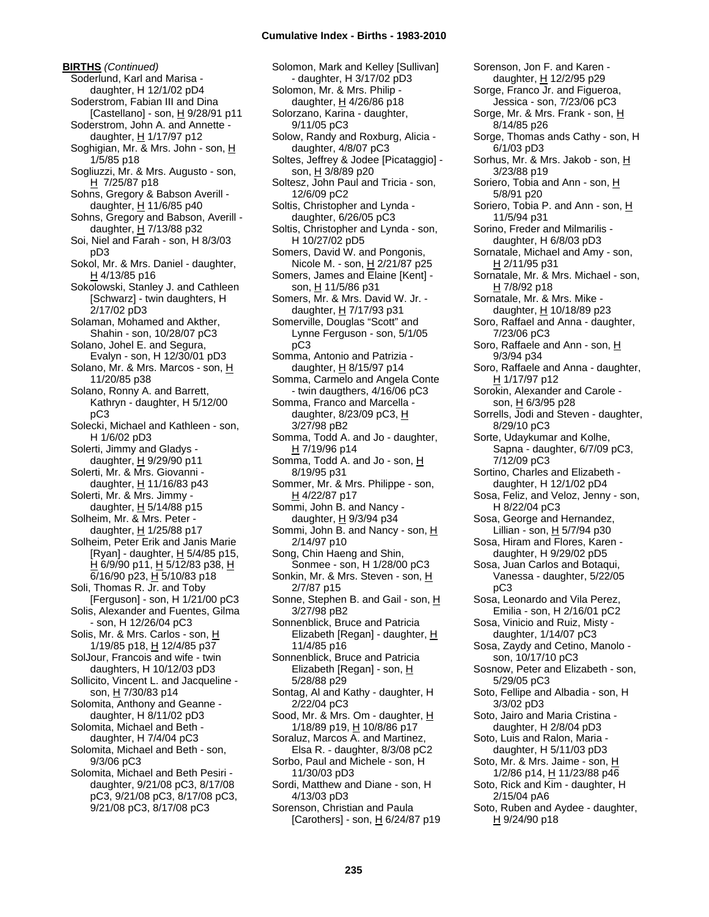**BIRTHS** *(Continued)* Soderlund, Karl and Marisa daughter, H 12/1/02 pD4 Soderstrom, Fabian III and Dina [Castellano] - son, H 9/28/91 p11 Soderstrom, John A. and Annette daughter,  $H$  1/17/97 p12 Soghigian, Mr. & Mrs. John - son, H 1/5/85 p18 Sogliuzzi, Mr. & Mrs. Augusto - son, H 7/25/87 p18 Sohns, Gregory & Babson Averill daughter,  $H$  11/6/85 p40 Sohns, Gregory and Babson, Averill daughter, H 7/13/88 p32 Soi, Niel and Farah - son, H 8/3/03 pD3 Sokol, Mr. & Mrs. Daniel - daughter, H 4/13/85 p16 Sokolowski, Stanley J. and Cathleen [Schwarz] - twin daughters, H 2/17/02 pD3 Solaman, Mohamed and Akther, Shahin - son, 10/28/07 pC3 Solano, Johel E. and Segura, Evalyn - son, H 12/30/01 pD3 Solano, Mr. & Mrs. Marcos - son, H 11/20/85 p38 Solano, Ronny A. and Barrett, Kathryn - daughter, H 5/12/00 pC3 Solecki, Michael and Kathleen - son, H 1/6/02 pD3 Solerti, Jimmy and Gladys daughter, H 9/29/90 p11 Solerti, Mr. & Mrs. Giovanni daughter, H 11/16/83 p43 Solerti, Mr. & Mrs. Jimmy daughter, H 5/14/88 p15 Solheim, Mr. & Mrs. Peter daughter, H 1/25/88 p17 Solheim, Peter Erik and Janis Marie [Ryan] - daughter, H 5/4/85 p15, H 6/9/90 p11, H 5/12/83 p38, H 6/16/90 p23, H 5/10/83 p18 Soli, Thomas R. Jr. and Toby [Ferguson] - son, H 1/21/00 pC3 Solis, Alexander and Fuentes, Gilma - son, H 12/26/04 pC3 Solis, Mr. & Mrs. Carlos - son, H 1/19/85 p18, H 12/4/85 p37 SolJour, Francois and wife - twin daughters, H 10/12/03 pD3 Sollicito, Vincent L. and Jacqueline son, H 7/30/83 p14 Solomita, Anthony and Geanne daughter, H 8/11/02 pD3 Solomita, Michael and Beth daughter, H 7/4/04 pC3 Solomita, Michael and Beth - son, 9/3/06 pC3 Solomita, Michael and Beth Pesiri daughter, 9/21/08 pC3, 8/17/08 pC3, 9/21/08 pC3, 8/17/08 pC3, 9/21/08 pC3, 8/17/08 pC3

Solomon, Mark and Kelley [Sullivan] - daughter, H 3/17/02 pD3 Solomon, Mr. & Mrs. Philip daughter,  $\underline{H}$  4/26/86 p18 Solorzano, Karina - daughter, 9/11/05 pC3 Solow, Randy and Roxburg, Alicia daughter, 4/8/07 pC3 Soltes, Jeffrey & Jodee [Picataggio] son, H 3/8/89 p20 Soltesz, John Paul and Tricia - son, 12/6/09 pC2 Soltis, Christopher and Lynda daughter, 6/26/05 pC3 Soltis, Christopher and Lynda - son, H 10/27/02 pD5 Somers, David W. and Pongonis, Nicole M. - son, H 2/21/87 p25 Somers, James and Elaine [Kent] son, H 11/5/86 p31 Somers, Mr. & Mrs. David W. Jr. daughter, H 7/17/93 p31 Somerville, Douglas "Scott" and Lynne Ferguson - son, 5/1/05 pC3 Somma, Antonio and Patrizia daughter,  $H$  8/15/97 p14 Somma, Carmelo and Angela Conte - twin daugthers, 4/16/06 pC3 Somma, Franco and Marcella daughter,  $8/23/09$  pC3, H 3/27/98 pB2 Somma, Todd A. and Jo - daughter, H 7/19/96 p14 Somma, Todd A. and Jo - son, H 8/19/95 p31 Sommer, Mr. & Mrs. Philippe - son, H 4/22/87 p17 Sommi, John B. and Nancy daughter,  $H$  9/3/94 p34 Sommi, John B. and Nancy - son, H 2/14/97 p10 Song, Chin Haeng and Shin, Sonmee - son, H 1/28/00 pC3 Sonkin, Mr. & Mrs. Steven - son, H 2/7/87 p15 Sonne, Stephen B. and Gail - son, H 3/27/98 pB2 Sonnenblick, Bruce and Patricia Elizabeth [Regan] - daughter, H 11/4/85 p16 Sonnenblick, Bruce and Patricia Elizabeth [Regan] - son, H 5/28/88 p29 Sontag, Al and Kathy - daughter, H 2/22/04 pC3 Sood, Mr. & Mrs. Om - daughter, H 1/18/89 p19, H 10/8/86 p17 Soraluz, Marcos A. and Martinez, Elsa R. - daughter, 8/3/08 pC2 Sorbo, Paul and Michele - son, H 11/30/03 pD3 Sordi, Matthew and Diane - son, H 4/13/03 pD3 Sorenson, Christian and Paula [Carothers] - son,  $H$  6/24/87 p19

Sorenson, Jon F. and Karen daughter, H 12/2/95 p29 Sorge, Franco Jr. and Figueroa, Jessica - son, 7/23/06 pC3 Sorge, Mr. & Mrs. Frank - son, H 8/14/85 p26 Sorge, Thomas ands Cathy - son, H 6/1/03 pD3 Sorhus, Mr. & Mrs. Jakob - son, H 3/23/88 p19 Soriero, Tobia and Ann - son, H 5/8/91 p20 Soriero, Tobia P. and Ann - son, H 11/5/94 p31 Sorino, Freder and Milmarilis daughter, H 6/8/03 pD3 Sornatale, Michael and Amy - son, H 2/11/95 p31 Sornatale, Mr. & Mrs. Michael - son, H 7/8/92 p18 Sornatale, Mr. & Mrs. Mike daughter,  $H$  10/18/89 p23 Soro, Raffael and Anna - daughter, 7/23/06 pC3 Soro, Raffaele and Ann - son, H 9/3/94 p34 Soro, Raffaele and Anna - daughter, H 1/17/97 p12 Sorokin, Alexander and Carole son, H 6/3/95 p28 Sorrells, Jodi and Steven - daughter, 8/29/10 pC3 Sorte, Udaykumar and Kolhe, Sapna - daughter, 6/7/09 pC3, 7/12/09 pC3 Sortino, Charles and Elizabeth daughter, H 12/1/02 pD4 Sosa, Feliz, and Veloz, Jenny - son, H 8/22/04 pC3 Sosa, George and Hernandez, Lillian - son, H 5/7/94 p30 Sosa, Hiram and Flores, Karen daughter, H 9/29/02 pD5 Sosa, Juan Carlos and Botaqui, Vanessa - daughter, 5/22/05 pC3 Sosa, Leonardo and Vila Perez, Emilia - son, H 2/16/01 pC2 Sosa, Vinicio and Ruiz, Misty daughter, 1/14/07 pC3 Sosa, Zaydy and Cetino, Manolo son, 10/17/10 pC3 Sosnow, Peter and Elizabeth - son, 5/29/05 pC3 Soto, Fellipe and Albadia - son, H 3/3/02 pD3 Soto, Jairo and Maria Cristina daughter, H 2/8/04 pD3 Soto, Luis and Ralon, Maria daughter, H 5/11/03 pD3 Soto, Mr. & Mrs. Jaime - son, H 1/2/86 p14, H 11/23/88 p46 Soto, Rick and Kim - daughter, H 2/15/04 pA6 Soto, Ruben and Aydee - daughter, H 9/24/90 p18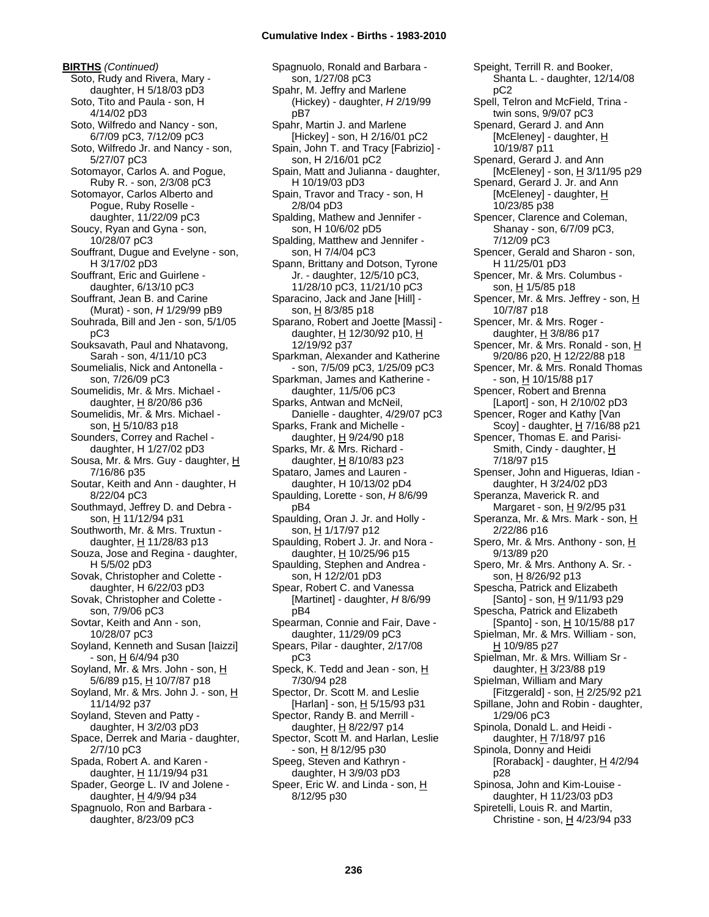**BIRTHS** *(Continued)* Soto, Rudy and Rivera, Mary daughter, H 5/18/03 pD3 Soto, Tito and Paula - son, H 4/14/02 pD3 Soto, Wilfredo and Nancy - son, 6/7/09 pC3, 7/12/09 pC3 Soto, Wilfredo Jr. and Nancy - son, 5/27/07 pC3 Sotomayor, Carlos A. and Pogue, Ruby R. - son, 2/3/08 pC3 Sotomayor, Carlos Alberto and Pogue, Ruby Roselle daughter, 11/22/09 pC3 Soucy, Ryan and Gyna - son, 10/28/07 pC3 Souffrant, Dugue and Evelyne - son, H 3/17/02 pD3 Souffrant, Eric and Guirlene daughter, 6/13/10 pC3 Souffrant, Jean B. and Carine (Murat) - son, *H* 1/29/99 pB9 Souhrada, Bill and Jen - son, 5/1/05 pC3 Souksavath, Paul and Nhatavong, Sarah - son, 4/11/10 pC3 Soumelialis, Nick and Antonella son, 7/26/09 pC3 Soumelidis, Mr. & Mrs. Michael daughter, H 8/20/86 p36 Soumelidis, Mr. & Mrs. Michael son, H 5/10/83 p18 Sounders, Correy and Rachel daughter, H 1/27/02 pD3 Sousa, Mr. & Mrs. Guy - daughter, H 7/16/86 p35 Soutar, Keith and Ann - daughter, H 8/22/04 pC3 Southmayd, Jeffrey D. and Debra son, H 11/12/94 p31 Southworth, Mr. & Mrs. Truxtun daughter,  $H$  11/28/83 p13 Souza, Jose and Regina - daughter, H 5/5/02 pD3 Sovak, Christopher and Colette daughter, H 6/22/03 pD3 Sovak, Christopher and Colette son, 7/9/06 pC3 Sovtar, Keith and Ann - son, 10/28/07 pC3 Soyland, Kenneth and Susan [Iaizzi] - son, H 6/4/94 p30 Soyland, Mr. & Mrs. John - son, H 5/6/89 p15, H 10/7/87 p18 Soyland, Mr. & Mrs. John J. - son, H 11/14/92 p37 Soyland, Steven and Patty daughter, H 3/2/03 pD3 Space, Derrek and Maria - daughter, 2/7/10 pC3 Spada, Robert A. and Karen daughter, H 11/19/94 p31 Spader, George L. IV and Jolene daughter, H 4/9/94 p34 Spagnuolo, Ron and Barbara daughter, 8/23/09 pC3

Spagnuolo, Ronald and Barbara son, 1/27/08 pC3 Spahr, M. Jeffry and Marlene (Hickey) - daughter, *H* 2/19/99 pB7 Spahr, Martin J. and Marlene [Hickey] - son, H 2/16/01 pC2 Spain, John T. and Tracy [Fabrizio] son, H 2/16/01 pC2 Spain, Matt and Julianna - daughter, H 10/19/03 pD3 Spain, Travor and Tracy - son, H 2/8/04 pD3 Spalding, Mathew and Jennifer son, H 10/6/02 pD5 Spalding, Matthew and Jennifer son, H 7/4/04 pC3 Spann, Brittany and Dotson, Tyrone Jr. - daughter, 12/5/10 pC3, 11/28/10 pC3, 11/21/10 pC3 Sparacino, Jack and Jane [Hill] son, H 8/3/85 p18 Sparano, Robert and Joette [Massi] daughter, H 12/30/92 p10, H 12/19/92 p37 Sparkman, Alexander and Katherine - son, 7/5/09 pC3, 1/25/09 pC3 Sparkman, James and Katherine daughter, 11/5/06 pC3 Sparks, Antwan and McNeil, Danielle - daughter, 4/29/07 pC3 Sparks, Frank and Michelle daughter,  $H$  9/24/90 p18 Sparks, Mr. & Mrs. Richard daughter, H 8/10/83 p23 Spataro, James and Lauren daughter, H 10/13/02 pD4 Spaulding, Lorette - son, *H* 8/6/99 pB4 Spaulding, Oran J. Jr. and Holly son, H 1/17/97 p12 Spaulding, Robert J. Jr. and Nora daughter,  $H$  10/25/96 p15 Spaulding, Stephen and Andrea son, H 12/2/01 pD3 Spear, Robert C. and Vanessa [Martinet] - daughter, *H* 8/6/99 pB4 Spearman, Connie and Fair, Dave daughter, 11/29/09 pC3 Spears, Pilar - daughter, 2/17/08 pC3 Speck, K. Tedd and Jean - son, H 7/30/94 p28 Spector, Dr. Scott M. and Leslie [Harlan] - son, H 5/15/93 p31 Spector, Randy B. and Merrill daughter, H 8/22/97 p14 Spector, Scott M. and Harlan, Leslie - son, H 8/12/95 p30 Speeg, Steven and Kathryn daughter, H 3/9/03 pD3 Speer, Eric W. and Linda - son, H 8/12/95 p30

Speight, Terrill R. and Booker, Shanta L. - daughter, 12/14/08 pC2 Spell, Telron and McField, Trina twin sons, 9/9/07 pC3 Spenard, Gerard J. and Ann [McEleney] - daughter, H 10/19/87 p11 Spenard, Gerard J. and Ann [McEleney] - son,  $H$  3/11/95 p29 Spenard, Gerard J. Jr. and Ann [McEleney] - daughter, H 10/23/85 p38 Spencer, Clarence and Coleman, Shanay - son, 6/7/09 pC3, 7/12/09 pC3 Spencer, Gerald and Sharon - son, H 11/25/01 pD3 Spencer, Mr. & Mrs. Columbus son, H 1/5/85 p18 Spencer, Mr. & Mrs. Jeffrey - son, H 10/7/87 p18 Spencer, Mr. & Mrs. Roger daughter, H 3/8/86 p17 Spencer, Mr. & Mrs. Ronald - son, H 9/20/86 p20, H 12/22/88 p18 Spencer, Mr. & Mrs. Ronald Thomas  $-$  son,  $H$  10/15/88 p17 Spencer, Robert and Brenna [Laport] - son, H 2/10/02 pD3 Spencer, Roger and Kathy [Van Scoy] - daughter, H 7/16/88 p21 Spencer, Thomas E. and Parisi-Smith, Cindy - daughter, H 7/18/97 p15 Spenser, John and Higueras, Idian daughter, H 3/24/02 pD3 Speranza, Maverick R. and Margaret - son, H 9/2/95 p31 Speranza, Mr. & Mrs. Mark - son, H 2/22/86 p16 Spero, Mr. & Mrs. Anthony - son, H 9/13/89 p20 Spero, Mr. & Mrs. Anthony A. Sr. son, H 8/26/92 p13 Spescha, Patrick and Elizabeth [Santo] - son, H 9/11/93 p29 Spescha, Patrick and Elizabeth [Spanto] - son,  $\underline{H}$  10/15/88 p17 Spielman, Mr. & Mrs. William - son,  $H 10/9/85 p27$ Spielman, Mr. & Mrs. William Sr daughter, H 3/23/88 p19 Spielman, William and Mary [Fitzgerald] - son,  $H$  2/25/92 p21 Spillane, John and Robin - daughter, 1/29/06 pC3 Spinola, Donald L. and Heidi daughter, H 7/18/97 p16 Spinola, Donny and Heidi [Roraback] - daughter,  $H$  4/2/94 p28 Spinosa, John and Kim-Louise daughter, H 11/23/03 pD3 Spiretelli, Louis R. and Martin, Christine - son,  $H$  4/23/94 p33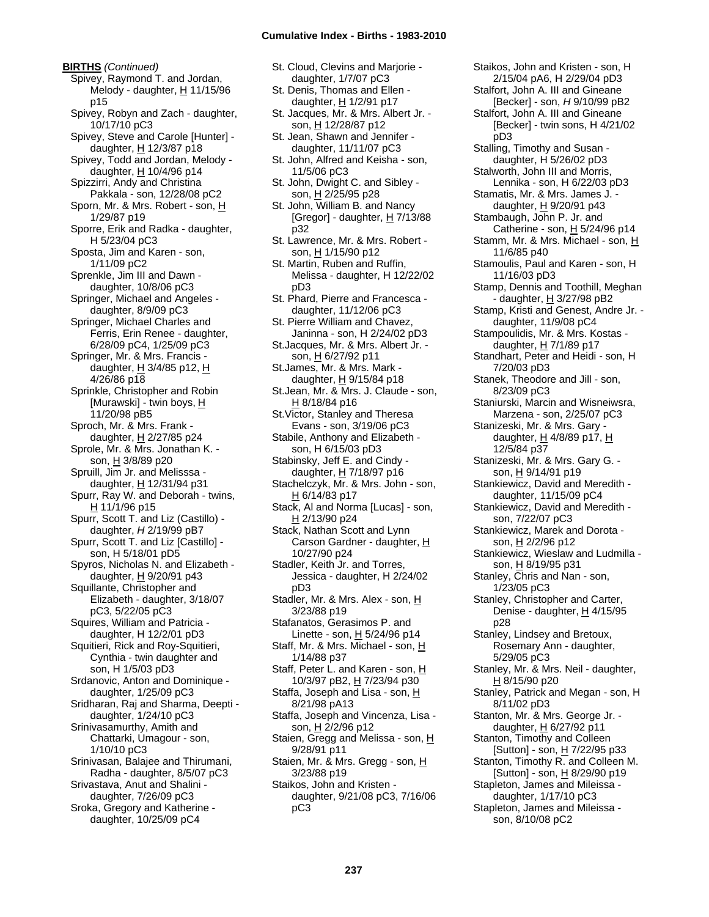**BIRTHS** *(Continued)* Spivey, Raymond T. and Jordan, Melody - daughter,  $H$  11/15/96 p15 Spivey, Robyn and Zach - daughter, 10/17/10 pC3 Spivey, Steve and Carole [Hunter] daughter, H 12/3/87 p18 Spivey, Todd and Jordan, Melody daughter,  $H$  10/4/96 p14 Spizzirri, Andy and Christina Pakkala - son, 12/28/08 pC2 Sporn, Mr. & Mrs. Robert - son, H 1/29/87 p19 Sporre, Erik and Radka - daughter, H 5/23/04 pC3 Sposta, Jim and Karen - son, 1/11/09 pC2 Sprenkle, Jim III and Dawn daughter, 10/8/06 pC3 Springer, Michael and Angeles daughter, 8/9/09 pC3 Springer, Michael Charles and Ferris, Erin Renee - daughter, 6/28/09 pC4, 1/25/09 pC3 Springer, Mr. & Mrs. Francis daughter,  $H$  3/4/85 p12,  $H$ 4/26/86 p18 Sprinkle, Christopher and Robin [Murawski] - twin boys, H 11/20/98 pB5 Sproch, Mr. & Mrs. Frank daughter,  $H$  2/27/85 p24 Sprole, Mr. & Mrs. Jonathan K. son, H 3/8/89 p20 Spruill, Jim Jr. and Melisssa daughter, H 12/31/94 p31 Spurr, Ray W. and Deborah - twins, H 11/1/96 p15 Spurr, Scott T. and Liz (Castillo) daughter, *H* 2/19/99 pB7 Spurr, Scott T. and Liz [Castillo] son, H 5/18/01 pD5 Spyros, Nicholas N. and Elizabeth daughter,  $H$  9/20/91 p43 Squillante, Christopher and Elizabeth - daughter, 3/18/07 pC3, 5/22/05 pC3 Squires, William and Patricia daughter, H 12/2/01 pD3 Squitieri, Rick and Roy-Squitieri, Cynthia - twin daughter and son, H 1/5/03 pD3 Srdanovic, Anton and Dominique daughter, 1/25/09 pC3 Sridharan, Raj and Sharma, Deepti daughter, 1/24/10 pC3 Srinivasamurthy, Amith and Chattarki, Umagour - son, 1/10/10 pC3 Srinivasan, Balajee and Thirumani, Radha - daughter, 8/5/07 pC3 Srivastava, Anut and Shalini daughter, 7/26/09 pC3 Sroka, Gregory and Katherine daughter, 10/25/09 pC4

St. Cloud, Clevins and Marjorie daughter, 1/7/07 pC3 St. Denis, Thomas and Ellen daughter, H 1/2/91 p17 St. Jacques, Mr. & Mrs. Albert Jr. -

son, H 12/28/87 p12 St. Jean, Shawn and Jennifer daughter, 11/11/07 pC3

St. John, Alfred and Keisha - son, 11/5/06 pC3

St. John, Dwight C. and Sibley son, H 2/25/95 p28

St. John, William B. and Nancy [Gregor] - daughter,  $H$  7/13/88 p32

St. Lawrence, Mr. & Mrs. Robert son, H 1/15/90 p12

St. Martin, Ruben and Ruffin, Melissa - daughter, H 12/22/02 pD3

St. Phard, Pierre and Francesca daughter, 11/12/06 pC3

St. Pierre William and Chavez, Janinna - son, H 2/24/02 pD3

St.Jacques, Mr. & Mrs. Albert Jr. son, H 6/27/92 p11 St.James, Mr. & Mrs. Mark -

daughter,  $H$  9/15/84 p18 St.Jean, Mr. & Mrs. J. Claude - son,

H 8/18/84 p16 St.Victor, Stanley and Theresa

Evans - son, 3/19/06 pC3 Stabile, Anthony and Elizabeth -

son, H 6/15/03 pD3 Stabinsky, Jeff E. and Cindy -

daughter, H 7/18/97 p16 Stachelczyk, Mr. & Mrs. John - son,

H 6/14/83 p17

Stack, Al and Norma [Lucas] - son,  $H$  2/13/90 p24

Stack, Nathan Scott and Lynn Carson Gardner - daughter, H 10/27/90 p24

Stadler, Keith Jr. and Torres, Jessica - daughter, H 2/24/02 pD3 Stadler, Mr. & Mrs. Alex - son, H 3/23/88 p19

Stafanatos, Gerasimos P. and Linette - son,  $H$  5/24/96 p14

Staff, Mr. & Mrs. Michael - son, H 1/14/88 p37 Staff, Peter L. and Karen - son, H

10/3/97 pB2, H 7/23/94 p30 Staffa, Joseph and Lisa - son, H

8/21/98 pA13

Staffa, Joseph and Vincenza, Lisa son, H 2/2/96 p12

Staien, Gregg and Melissa - son, H 9/28/91 p11

Staien, Mr. & Mrs. Gregg - son, H 3/23/88 p19

Staikos, John and Kristen daughter, 9/21/08 pC3, 7/16/06 pC3

Stalfort, John A. III and Gineane [Becker] - son, *H* 9/10/99 pB2 Stalfort, John A. III and Gineane [Becker] - twin sons, H 4/21/02 pD3 Stalling, Timothy and Susan daughter, H 5/26/02 pD3 Stalworth, John III and Morris, Lennika - son, H 6/22/03 pD3 Stamatis, Mr. & Mrs. James J. daughter,  $H$  9/20/91 p43 Stambaugh, John P. Jr. and Catherine - son, H 5/24/96 p14 Stamm, Mr. & Mrs. Michael - son, H 11/6/85 p40 Stamoulis, Paul and Karen - son, H 11/16/03 pD3 Stamp, Dennis and Toothill, Meghan - daughter, H 3/27/98 pB2 Stamp, Kristi and Genest, Andre Jr. daughter, 11/9/08 pC4 Stampoulidis, Mr. & Mrs. Kostas daughter,  $H$  7/1/89 p17 Standhart, Peter and Heidi - son, H 7/20/03 pD3 Stanek, Theodore and Jill - son, 8/23/09 pC3 Staniurski, Marcin and Wisneiwsra, Marzena - son, 2/25/07 pC3 Stanizeski, Mr. & Mrs. Gary daughter,  $H$  4/8/89 p17,  $H$ 12/5/84 p37 Stanizeski, Mr. & Mrs. Gary G. son, <u>H</u> 9/14/91 p19 Stankiewicz, David and Meredith daughter, 11/15/09 pC4 Stankiewicz, David and Meredith son, 7/22/07 pC3 Stankiewicz, Marek and Dorota son, H 2/2/96 p12 Stankiewicz, Wieslaw and Ludmilla son, H 8/19/95 p31 Stanley, Chris and Nan - son, 1/23/05 pC3 Stanley, Christopher and Carter, Denise - daughter,  $H$  4/15/95 p28 Stanley, Lindsey and Bretoux, Rosemary Ann - daughter, 5/29/05 pC3 Stanley, Mr. & Mrs. Neil - daughter, H 8/15/90 p20 Stanley, Patrick and Megan - son, H 8/11/02 pD3 Stanton, Mr. & Mrs. George Jr. daughter, H 6/27/92 p11 Stanton, Timothy and Colleen [Sutton] - son, H 7/22/95 p33 Stanton, Timothy R. and Colleen M. [Sutton] - son, H 8/29/90 p19 Stapleton, James and Mileissa daughter, 1/17/10 pC3

Staikos, John and Kristen - son, H 2/15/04 pA6, H 2/29/04 pD3

Stapleton, James and Mileissa son, 8/10/08 pC2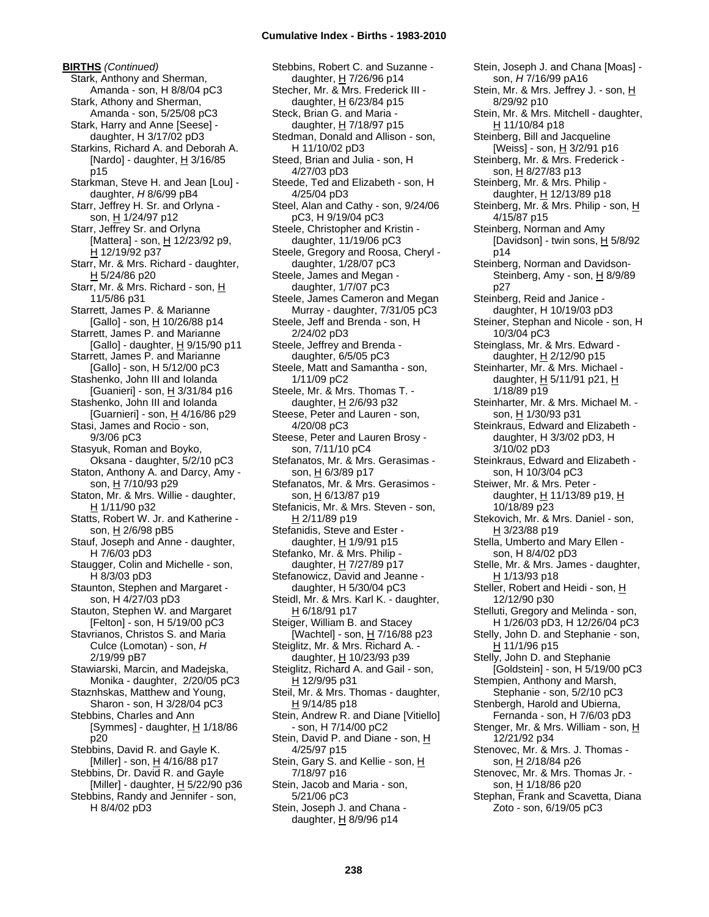**BIRTHS** *(Continued)* Stark, Anthony and Sherman, Amanda - son, H 8/8/04 pC3 Stark, Athony and Sherman, Amanda - son, 5/25/08 pC3 Stark, Harry and Anne [Seese] daughter, H 3/17/02 pD3 Starkins, Richard A. and Deborah A. [Nardo] - daughter,  $H$  3/16/85 p15 Starkman, Steve H. and Jean [Lou] daughter, *H* 8/6/99 pB4 Starr, Jeffrey H. Sr. and Orlyna son, H 1/24/97 p12 Starr, Jeffrey Sr. and Orlyna [Mattera] - son, H 12/23/92 p9, H 12/19/92 p37 Starr, Mr. & Mrs. Richard - daughter, H 5/24/86 p20 Starr, Mr. & Mrs. Richard - son, H 11/5/86 p31 Starrett, James P. & Marianne [Gallo] - son, H 10/26/88 p14 Starrett, James P. and Marianne [Gallo] - daughter,  $H$  9/15/90 p11 Starrett, James P. and Marianne [Gallo] - son, H 5/12/00 pC3 Stashenko, John III and Iolanda [Guanieri] - son, H 3/31/84 p16 Stashenko, John III and Iolanda [Guarnieri] - son, H 4/16/86 p29 Stasi, James and Rocio - son, 9/3/06 pC3 Stasyuk, Roman and Boyko, Oksana - daughter, 5/2/10 pC3 Staton, Anthony A. and Darcy, Amy son, H 7/10/93 p29 Staton, Mr. & Mrs. Willie - daughter, H 1/11/90 p32 Statts, Robert W. Jr. and Katherine son, H 2/6/98 pB5 Stauf, Joseph and Anne - daughter, H 7/6/03 pD3 Staugger, Colin and Michelle - son, H 8/3/03 pD3 Staunton, Stephen and Margaret son, H 4/27/03 pD3 Stauton, Stephen W. and Margaret [Felton] - son, H 5/19/00 pC3 Stavrianos, Christos S. and Maria Culce (Lomotan) - son, *H* 2/19/99 pB7 Stawiarski, Marcin, and Madejska, Monika - daughter, 2/20/05 pC3 Staznhskas, Matthew and Young, Sharon - son, H 3/28/04 pC3 Stebbins, Charles and Ann [Symmes] - daughter,  $H$  1/18/86 p20 Stebbins, David R. and Gayle K.  $[Miller] - son, H 4/16/88 p17$ Stebbins, Dr. David R. and Gayle [Miller] - daughter, H 5/22/90 p36 Stebbins, Randy and Jennifer - son, H 8/4/02 pD3

Stebbins, Robert C. and Suzanne daughter, H 7/26/96 p14 Stecher, Mr. & Mrs. Frederick III daughter,  $H$  6/23/84 p15 Steck, Brian G. and Maria daughter, H 7/18/97 p15 Stedman, Donald and Allison - son, H 11/10/02 pD3 Steed, Brian and Julia - son, H 4/27/03 pD3 Steede, Ted and Elizabeth - son, H 4/25/04 pD3 Steel, Alan and Cathy - son, 9/24/06 pC3, H 9/19/04 pC3 Steele, Christopher and Kristin daughter, 11/19/06 pC3 Steele, Gregory and Roosa, Cheryl daughter, 1/28/07 pC3 Steele, James and Megan daughter, 1/7/07 pC3 Steele, James Cameron and Megan Murray - daughter, 7/31/05 pC3 Steele, Jeff and Brenda - son, H 2/24/02 pD3 Steele, Jeffrey and Brenda daughter, 6/5/05 pC3 Steele, Matt and Samantha - son, 1/11/09 pC2 Steele, Mr. & Mrs. Thomas T. daughter, H 2/6/93 p32 Steese, Peter and Lauren - son, 4/20/08 pC3 Steese, Peter and Lauren Brosy son, 7/11/10 pC4 Stefanatos, Mr. & Mrs. Gerasimas son, H 6/3/89 p17 Stefanatos, Mr. & Mrs. Gerasimos son, H 6/13/87 p19 Stefanicis, Mr. & Mrs. Steven - son, H 2/11/89 p19 Stefanidis, Steve and Ester daughter, H 1/9/91 p15 Stefanko, Mr. & Mrs. Philip daughter, H 7/27/89 p17 Stefanowicz, David and Jeanne daughter, H 5/30/04 pC3 Steidl, Mr. & Mrs. Karl K. - daughter, H 6/18/91 p17 Steiger, William B. and Stacey [Wachtel] - son, H 7/16/88 p23 Steiglitz, Mr. & Mrs. Richard A. daughter, H 10/23/93 p39 Steiglitz, Richard A. and Gail - son, H 12/9/95 p31 Steil, Mr. & Mrs. Thomas - daughter, H 9/14/85 p18 Stein, Andrew R. and Diane [Vitiello] - son, H 7/14/00 pC2 Stein, David P. and Diane - son, H 4/25/97 p15 Stein, Gary S. and Kellie - son, H 7/18/97 p16 Stein, Jacob and Maria - son, 5/21/06 pC3 Stein, Joseph J. and Chana daughter,  $H$  8/9/96 p14

Stein, Joseph J. and Chana [Moas] son, *H* 7/16/99 pA16 Stein, Mr. & Mrs. Jeffrey J. - son, H 8/29/92 p10 Stein, Mr. & Mrs. Mitchell - daughter, H 11/10/84 p18 Steinberg, Bill and Jacqueline [Weiss] - son, H 3/2/91 p16 Steinberg, Mr. & Mrs. Frederick son, H 8/27/83 p13 Steinberg, Mr. & Mrs. Philip daughter, H 12/13/89 p18 Steinberg, Mr. & Mrs. Philip - son, H 4/15/87 p15 Steinberg, Norman and Amy [Davidson] - twin sons,  $H$  5/8/92 p14 Steinberg, Norman and Davidson-Steinberg, Amy - son, H 8/9/89 p27 Steinberg, Reid and Janice daughter, H 10/19/03 pD3 Steiner, Stephan and Nicole - son, H 10/3/04 pC3 Steinglass, Mr. & Mrs. Edward daughter, H 2/12/90 p15 Steinharter, Mr. & Mrs. Michael daughter, H 5/11/91 p21, H 1/18/89 p19 Steinharter, Mr. & Mrs. Michael M. son, H 1/30/93 p31 Steinkraus, Edward and Elizabeth daughter, H 3/3/02 pD3, H 3/10/02 pD3 Steinkraus, Edward and Elizabeth son, H 10/3/04 pC3 Steiwer, Mr. & Mrs. Peter daughter, H 11/13/89 p19, H 10/18/89 p23 Stekovich, Mr. & Mrs. Daniel - son, H 3/23/88 p19 Stella, Umberto and Mary Ellen son, H 8/4/02 pD3 Stelle, Mr. & Mrs. James - daughter, H 1/13/93 p18 Steller, Robert and Heidi - son, H 12/12/90 p30 Stelluti, Gregory and Melinda - son, H 1/26/03 pD3, H 12/26/04 pC3 Stelly, John D. and Stephanie - son, H 11/1/96 p15 Stelly, John D. and Stephanie [Goldstein] - son, H 5/19/00 pC3 Stempien, Anthony and Marsh, Stephanie - son, 5/2/10 pC3 Stenbergh, Harold and Ubierna, Fernanda - son, H 7/6/03 pD3 Stenger, Mr. & Mrs. William - son, H 12/21/92 p34 Stenovec, Mr. & Mrs. J. Thomas son, H 2/18/84 p26 Stenovec, Mr. & Mrs. Thomas Jr. son, H 1/18/86 p20 Stephan, Frank and Scavetta, Diana Zoto - son, 6/19/05 pC3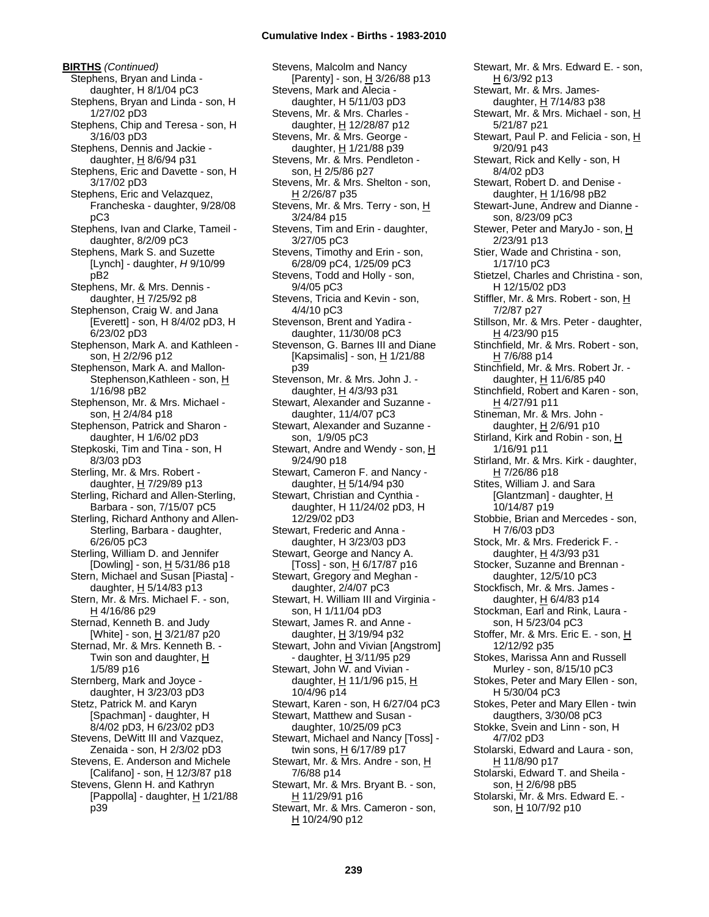**BIRTHS** *(Continued)* Stephens, Bryan and Linda daughter, H 8/1/04 pC3 Stephens, Bryan and Linda - son, H 1/27/02 pD3 Stephens, Chip and Teresa - son, H 3/16/03 pD3 Stephens, Dennis and Jackie daughter,  $H$  8/6/94 p31 Stephens, Eric and Davette - son, H 3/17/02 pD3 Stephens, Eric and Velazquez, Francheska - daughter, 9/28/08 pC3 Stephens, Ivan and Clarke, Tameil daughter, 8/2/09 pC3 Stephens, Mark S. and Suzette [Lynch] - daughter, *H* 9/10/99 pB2 Stephens, Mr. & Mrs. Dennis daughter,  $H$  7/25/92 p8 Stephenson, Craig W. and Jana [Everett] - son, H 8/4/02 pD3, H 6/23/02 pD3 Stephenson, Mark A. and Kathleen son, H 2/2/96 p12 Stephenson, Mark A. and Mallon-Stephenson, Kathleen - son, H 1/16/98 pB2 Stephenson, Mr. & Mrs. Michael son, H 2/4/84 p18 Stephenson, Patrick and Sharon daughter, H 1/6/02 pD3 Stepkoski, Tim and Tina - son, H 8/3/03 pD3 Sterling, Mr. & Mrs. Robert daughter, H 7/29/89 p13 Sterling, Richard and Allen-Sterling, Barbara - son, 7/15/07 pC5 Sterling, Richard Anthony and Allen-Sterling, Barbara - daughter, 6/26/05 pC3 Sterling, William D. and Jennifer [Dowling] - son, H 5/31/86 p18 Stern, Michael and Susan [Piasta] daughter,  $H$  5/14/83 p13 Stern, Mr. & Mrs. Michael F. - son, H 4/16/86 p29 Sternad, Kenneth B. and Judy [White] - son, H 3/21/87 p20 Sternad, Mr. & Mrs. Kenneth B. - Twin son and daughter, H 1/5/89 p16 Sternberg, Mark and Joyce daughter, H 3/23/03 pD3 Stetz, Patrick M. and Karyn [Spachman] - daughter, H 8/4/02 pD3, H 6/23/02 pD3 Stevens, DeWitt III and Vazquez, Zenaida - son, H 2/3/02 pD3 Stevens, E. Anderson and Michele [Califano] - son, H 12/3/87 p18 Stevens, Glenn H. and Kathryn [Pappolla] - daughter,  $H$  1/21/88 p39

Stevens, Malcolm and Nancy [Parenty] - son, H 3/26/88 p13 Stevens, Mark and Alecia daughter, H 5/11/03 pD3 Stevens, Mr. & Mrs. Charles daughter, H 12/28/87 p12 Stevens, Mr. & Mrs. George daughter, H 1/21/88 p39 Stevens, Mr. & Mrs. Pendleton son, H 2/5/86 p27 Stevens, Mr. & Mrs. Shelton - son, H 2/26/87 p35 Stevens, Mr. & Mrs. Terry - son, H 3/24/84 p15 Stevens, Tim and Erin - daughter, 3/27/05 pC3 Stevens, Timothy and Erin - son, 6/28/09 pC4, 1/25/09 pC3 Stevens, Todd and Holly - son, 9/4/05 pC3 Stevens, Tricia and Kevin - son, 4/4/10 pC3 Stevenson, Brent and Yadira daughter, 11/30/08 pC3 Stevenson, G. Barnes III and Diane [Kapsimalis] - son,  $\underline{H}$  1/21/88 p39 Stevenson, Mr. & Mrs. John J. daughter, H 4/3/93 p31 Stewart, Alexander and Suzanne daughter, 11/4/07 pC3 Stewart, Alexander and Suzanne son, 1/9/05 pC3 Stewart, Andre and Wendy - son, H 9/24/90 p18 Stewart, Cameron F. and Nancy daughter, H 5/14/94 p30 Stewart, Christian and Cynthia daughter, H 11/24/02 pD3, H 12/29/02 pD3 Stewart, Frederic and Anna daughter, H 3/23/03 pD3 Stewart, George and Nancy A. [Toss] - son, H 6/17/87 p16 Stewart, Gregory and Meghan daughter, 2/4/07 pC3 Stewart, H. William III and Virginia son, H 1/11/04 pD3 Stewart, James R. and Anne daughter, H 3/19/94 p32 Stewart, John and Vivian [Angstrom] - daughter, H 3/11/95 p29 Stewart, John W. and Vivian daughter, H 11/1/96 p15, H 10/4/96 p14 Stewart, Karen - son, H 6/27/04 pC3 Stewart, Matthew and Susan daughter, 10/25/09 pC3 Stewart, Michael and Nancy [Toss] twin sons, H 6/17/89 p17 Stewart, Mr. & Mrs. Andre - son, H 7/6/88 p14 Stewart, Mr. & Mrs. Bryant B. - son,  $H$  11/29/91 p16 Stewart, Mr. & Mrs. Cameron - son, H 10/24/90 p12

Stewart, Mr. & Mrs. Edward E. - son, H 6/3/92 p13 Stewart, Mr. & Mrs. Jamesdaughter,  $H$  7/14/83 p38 Stewart, Mr. & Mrs. Michael - son, H 5/21/87 p21 Stewart, Paul P. and Felicia - son, H 9/20/91 p43 Stewart, Rick and Kelly - son, H 8/4/02 pD3 Stewart, Robert D. and Denise daughter, H 1/16/98 pB2 Stewart-June, Andrew and Dianne son, 8/23/09 pC3 Stewer, Peter and MaryJo - son, H 2/23/91 p13 Stier, Wade and Christina - son, 1/17/10 pC3 Stietzel, Charles and Christina - son, H 12/15/02 pD3 Stiffler, Mr. & Mrs. Robert - son, H 7/2/87 p27 Stillson, Mr. & Mrs. Peter - daughter, H 4/23/90 p15 Stinchfield, Mr. & Mrs. Robert - son, H 7/6/88 p14 Stinchfield, Mr. & Mrs. Robert Jr. daughter, H 11/6/85 p40 Stinchfield, Robert and Karen - son, H 4/27/91 p11 Stineman, Mr. & Mrs. John daughter, H 2/6/91 p10 Stirland, Kirk and Robin - son, H 1/16/91 p11 Stirland, Mr. & Mrs. Kirk - daughter, <u>H</u> 7/26/86 p18 Stites, William J. and Sara [Glantzman] - daughter, H 10/14/87 p19 Stobbie, Brian and Mercedes - son, H 7/6/03 pD3 Stock, Mr. & Mrs. Frederick F. daughter, H 4/3/93 p31 Stocker, Suzanne and Brennan daughter, 12/5/10 pC3 Stockfisch, Mr. & Mrs. James daughter, H 6/4/83 p14 Stockman, Earl and Rink, Laura son, H 5/23/04 pC3 Stoffer, Mr. & Mrs. Eric E. - son, H 12/12/92 p35 Stokes, Marissa Ann and Russell Murley - son, 8/15/10 pC3 Stokes, Peter and Mary Ellen - son, H 5/30/04 pC3 Stokes, Peter and Mary Ellen - twin daugthers, 3/30/08 pC3 Stokke, Svein and Linn - son, H 4/7/02 pD3 Stolarski, Edward and Laura - son, H 11/8/90 p17 Stolarski, Edward T. and Sheila son, H 2/6/98 pB5 Stolarski, Mr. & Mrs. Edward E. son, H 10/7/92 p10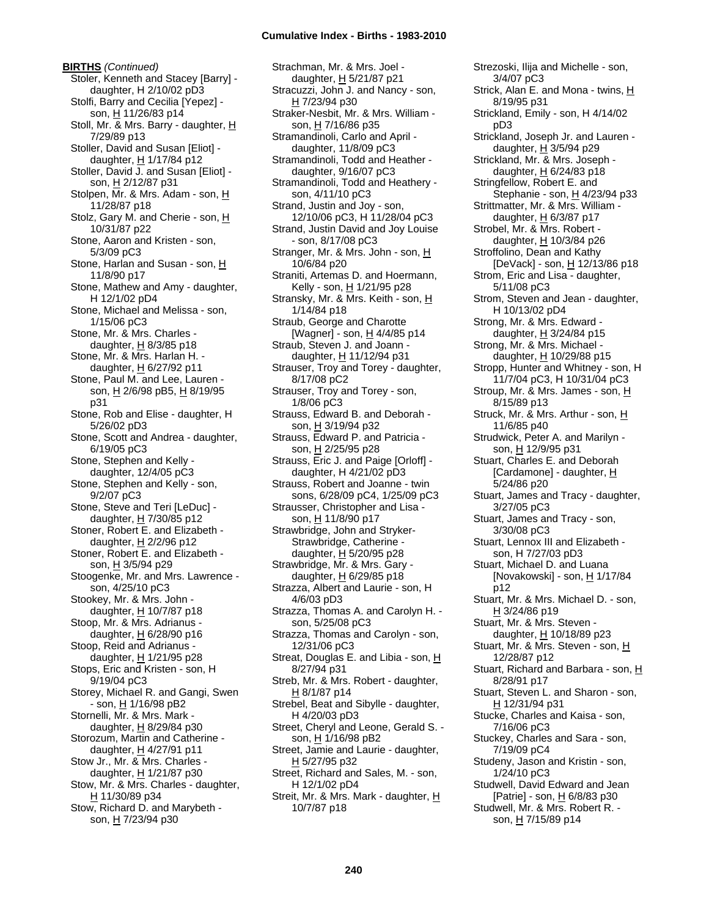**BIRTHS** *(Continued)* Stoler, Kenneth and Stacey [Barry] daughter, H 2/10/02 pD3 Stolfi, Barry and Cecilia [Yepez] son, H 11/26/83 p14 Stoll, Mr. & Mrs. Barry - daughter, H 7/29/89 p13 Stoller, David and Susan [Eliot] daughter, H 1/17/84 p12 Stoller, David J. and Susan [Eliot] son, H 2/12/87 p31 Stolpen, Mr. & Mrs. Adam - son, H 11/28/87 p18 Stolz, Gary M. and Cherie - son, H 10/31/87 p22 Stone, Aaron and Kristen - son, 5/3/09 pC3 Stone, Harlan and Susan - son, H 11/8/90 p17 Stone, Mathew and Amy - daughter, H 12/1/02 pD4 Stone, Michael and Melissa - son, 1/15/06 pC3 Stone, Mr. & Mrs. Charles daughter,  $H$  8/3/85 p18 Stone, Mr. & Mrs. Harlan H. daughter,  $H$  6/27/92 p11 Stone, Paul M. and Lee, Lauren son, H 2/6/98 pB5, H 8/19/95 p31 Stone, Rob and Elise - daughter, H 5/26/02 pD3 Stone, Scott and Andrea - daughter, 6/19/05 pC3 Stone, Stephen and Kelly daughter, 12/4/05 pC3 Stone, Stephen and Kelly - son, 9/2/07 pC3 Stone, Steve and Teri [LeDuc] daughter,  $H$  7/30/85 p12 Stoner, Robert E. and Elizabeth daughter,  $H$  2/2/96 p12 Stoner, Robert E. and Elizabeth son, H 3/5/94 p29 Stoogenke, Mr. and Mrs. Lawrence son, 4/25/10 pC3 Stookey, Mr. & Mrs. John daughter, H 10/7/87 p18 Stoop, Mr. & Mrs. Adrianus daughter,  $\underline{H}$  6/28/90 p16 Stoop, Reid and Adrianus daughter, H 1/21/95 p28 Stops, Eric and Kristen - son, H 9/19/04 pC3 Storey, Michael R. and Gangi, Swen - son, <u>H</u> 1/16/98 pB2 Stornelli, Mr. & Mrs. Mark daughter, H 8/29/84 p30 Storozum, Martin and Catherine daughter,  $H$  4/27/91 p11 Stow Jr., Mr. & Mrs. Charles daughter, H 1/21/87 p30 Stow, Mr. & Mrs. Charles - daughter,  $H$  11/30/89 p34 Stow, Richard D. and Marybeth son, H 7/23/94 p30

Strachman, Mr. & Mrs. Joel daughter, H 5/21/87 p21 Stracuzzi, John J. and Nancy - son, H 7/23/94 p30 Straker-Nesbit, Mr. & Mrs. William son, H 7/16/86 p35 Stramandinoli, Carlo and April daughter, 11/8/09 pC3 Stramandinoli, Todd and Heather daughter, 9/16/07 pC3 Stramandinoli, Todd and Heathery son, 4/11/10 pC3 Strand, Justin and Joy - son, 12/10/06 pC3, H 11/28/04 pC3 Strand, Justin David and Joy Louise - son, 8/17/08 pC3 Stranger, Mr. & Mrs. John - son, H 10/6/84 p20 Straniti, Artemas D. and Hoermann, Kelly - son, H 1/21/95 p28 Stransky, Mr. & Mrs. Keith - son, H 1/14/84 p18 Straub, George and Charotte [Wagner] - son, H 4/4/85 p14 Straub, Steven J. and Joann daughter, H 11/12/94 p31 Strauser, Troy and Torey - daughter, 8/17/08 pC2 Strauser, Troy and Torey - son, 1/8/06 pC3 Strauss, Edward B. and Deborah son, H 3/19/94 p32 Strauss, Edward P. and Patricia son, H 2/25/95 p28 Strauss, Eric J. and Paige [Orloff] daughter, H 4/21/02 pD3 Strauss, Robert and Joanne - twin sons, 6/28/09 pC4, 1/25/09 pC3 Strausser, Christopher and Lisa son, H 11/8/90 p17 Strawbridge, John and Stryker-Strawbridge, Catherine daughter, H 5/20/95 p28 Strawbridge, Mr. & Mrs. Gary daughter,  $H$  6/29/85 p18 Strazza, Albert and Laurie - son, H 4/6/03 pD3 Strazza, Thomas A. and Carolyn H. son, 5/25/08 pC3 Strazza, Thomas and Carolyn - son, 12/31/06 pC3 Streat, Douglas E. and Libia - son, H 8/27/94 p31 Streb, Mr. & Mrs. Robert - daughter, H 8/1/87 p14 Strebel, Beat and Sibylle - daughter, H 4/20/03 pD3 Street, Cheryl and Leone, Gerald S. son, H 1/16/98 pB2 Street, Jamie and Laurie - daughter, H 5/27/95 p32 Street, Richard and Sales, M. - son, H 12/1/02 pD4 Streit, Mr. & Mrs. Mark - daughter, H 10/7/87 p18

Strezoski, Ilija and Michelle - son, 3/4/07 pC3 Strick, Alan E. and Mona - twins, H 8/19/95 p31 Strickland, Emily - son, H 4/14/02 pD3 Strickland, Joseph Jr. and Lauren daughter, H 3/5/94 p29 Strickland, Mr. & Mrs. Joseph daughter,  $H$  6/24/83 p18 Stringfellow, Robert E. and Stephanie - son, H 4/23/94 p33 Strittmatter, Mr. & Mrs. William daughter, H 6/3/87 p17 Strobel, Mr. & Mrs. Robert daughter,  $H$  10/3/84 p26 Stroffolino, Dean and Kathy [DeVack] - son, H 12/13/86 p18 Strom, Eric and Lisa - daughter, 5/11/08 pC3 Strom, Steven and Jean - daughter, H 10/13/02 pD4 Strong, Mr. & Mrs. Edward daughter, H 3/24/84 p15 Strong, Mr. & Mrs. Michael daughter, H 10/29/88 p15 Stropp, Hunter and Whitney - son, H 11/7/04 pC3, H 10/31/04 pC3 Stroup, Mr. & Mrs. James - son, H 8/15/89 p13 Struck, Mr. & Mrs. Arthur - son, H 11/6/85 p40 Strudwick, Peter A. and Marilyn son, H 12/9/95 p31 Stuart, Charles E. and Deborah [Cardamone] - daughter, H 5/24/86 p20 Stuart, James and Tracy - daughter, 3/27/05 pC3 Stuart, James and Tracy - son, 3/30/08 pC3 Stuart, Lennox III and Elizabeth son, H 7/27/03 pD3 Stuart, Michael D. and Luana [Novakowski] - son, <u>H</u> 1/17/84 p12 Stuart, Mr. & Mrs. Michael D. - son,  $H$  3/24/86 p19 Stuart, Mr. & Mrs. Steven daughter, H 10/18/89 p23 Stuart, Mr. & Mrs. Steven - son, H 12/28/87 p12 Stuart, Richard and Barbara - son, H 8/28/91 p17 Stuart, Steven L. and Sharon - son, H 12/31/94 p31 Stucke, Charles and Kaisa - son, 7/16/06 pC3 Stuckey, Charles and Sara - son, 7/19/09 pC4 Studeny, Jason and Kristin - son, 1/24/10 pC3 Studwell, David Edward and Jean [Patrie] - son, H 6/8/83 p30 Studwell, Mr. & Mrs. Robert R. son, H 7/15/89 p14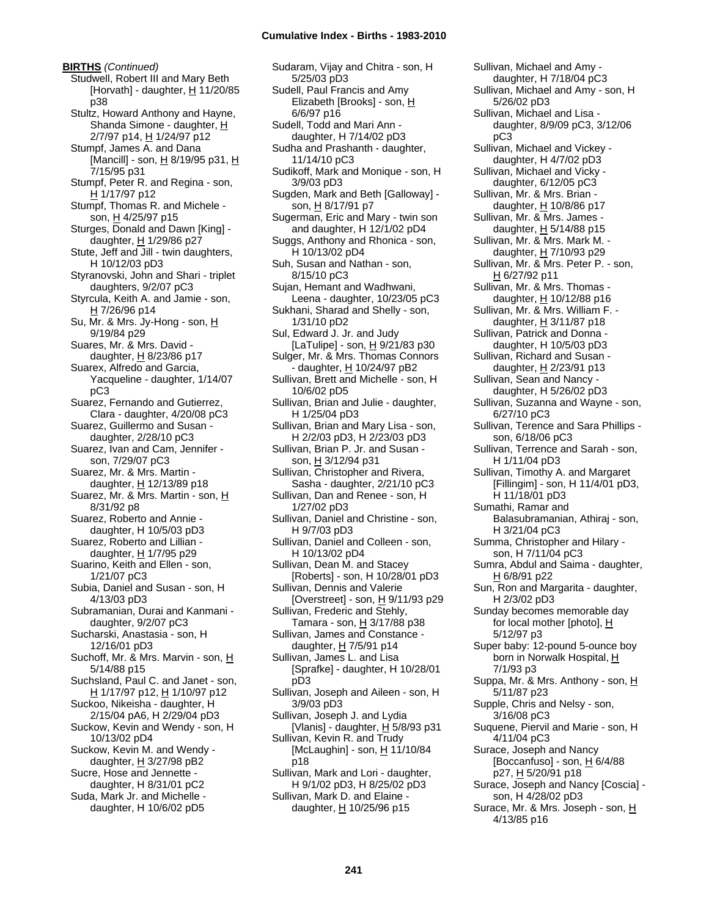**BIRTHS** *(Continued)* Studwell, Robert III and Mary Beth [Horvath] - daughter,  $H$  11/20/85 p38 Stultz, Howard Anthony and Hayne, Shanda Simone - daughter, H 2/7/97 p14, H 1/24/97 p12 Stumpf, James A. and Dana [Mancill] - son,  $H_8$ /19/95 p31,  $H_8$ 7/15/95 p31 Stumpf, Peter R. and Regina - son, H 1/17/97 p12 Stumpf, Thomas R. and Michele son, H 4/25/97 p15 Sturges, Donald and Dawn [King] daughter, H 1/29/86 p27 Stute, Jeff and Jill - twin daughters, H 10/12/03 pD3 Styranovski, John and Shari - triplet daughters, 9/2/07 pC3 Styrcula, Keith A. and Jamie - son,  $H$  7/26/96 p14 Su, Mr. & Mrs. Jy-Hong - son, H 9/19/84 p29 Suares, Mr. & Mrs. David daughter,  $H$  8/23/86 p17 Suarex, Alfredo and Garcia, Yacqueline - daughter, 1/14/07 pC3 Suarez, Fernando and Gutierrez, Clara - daughter, 4/20/08 pC3 Suarez, Guillermo and Susan daughter, 2/28/10 pC3 Suarez, Ivan and Cam, Jennifer son, 7/29/07 pC3 Suarez, Mr. & Mrs. Martin daughter, H 12/13/89 p18 Suarez, Mr. & Mrs. Martin - son, H 8/31/92 p8 Suarez, Roberto and Annie daughter, H 10/5/03 pD3 Suarez, Roberto and Lillian daughter, H 1/7/95 p29 Suarino, Keith and Ellen - son, 1/21/07 pC3 Subia, Daniel and Susan - son, H 4/13/03 pD3 Subramanian, Durai and Kanmani daughter, 9/2/07 pC3 Sucharski, Anastasia - son, H 12/16/01 pD3 Suchoff, Mr. & Mrs. Marvin - son, H 5/14/88 p15 Suchsland, Paul C. and Janet - son, H 1/17/97 p12, H 1/10/97 p12 Suckoo, Nikeisha - daughter, H 2/15/04 pA6, H 2/29/04 pD3 Suckow, Kevin and Wendy - son, H 10/13/02 pD4 Suckow, Kevin M. and Wendy daughter,  $H$  3/27/98 pB2 Sucre, Hose and Jennette daughter, H 8/31/01 pC2 Suda, Mark Jr. and Michelle daughter, H 10/6/02 pD5

Sudaram, Vijay and Chitra - son, H 5/25/03 pD3 Sudell, Paul Francis and Amy Elizabeth [Brooks] - son, H 6/6/97 p16 Sudell, Todd and Mari Ann daughter, H 7/14/02 pD3 Sudha and Prashanth - daughter, 11/14/10 pC3 Sudikoff, Mark and Monique - son, H 3/9/03 pD3 Sugden, Mark and Beth [Galloway] son, H 8/17/91 p7 Sugerman, Eric and Mary - twin son and daughter, H 12/1/02 pD4 Suggs, Anthony and Rhonica - son, H 10/13/02 pD4 Suh, Susan and Nathan - son, 8/15/10 pC3 Sujan, Hemant and Wadhwani, Leena - daughter, 10/23/05 pC3 Sukhani, Sharad and Shelly - son, 1/31/10 pD2 Sul, Edward J. Jr. and Judy [LaTulipe] - son,  $H$  9/21/83 p30 Sulger, Mr. & Mrs. Thomas Connors - daughter, H 10/24/97 pB2 Sullivan, Brett and Michelle - son, H 10/6/02 pD5 Sullivan, Brian and Julie - daughter, H 1/25/04 pD3 Sullivan, Brian and Mary Lisa - son, H 2/2/03 pD3, H 2/23/03 pD3 Sullivan, Brian P. Jr. and Susan son, H 3/12/94 p31 Sullivan, Christopher and Rivera, Sasha - daughter, 2/21/10 pC3 Sullivan, Dan and Renee - son, H 1/27/02 pD3 Sullivan, Daniel and Christine - son, H 9/7/03 pD3 Sullivan, Daniel and Colleen - son, H 10/13/02 pD4 Sullivan, Dean M. and Stacey [Roberts] - son, H 10/28/01 pD3 Sullivan, Dennis and Valerie [Overstreet] - son, H 9/11/93 p29 Sullivan, Frederic and Stehly, Tamara - son, H 3/17/88 p38 Sullivan, James and Constance daughter,  $H$  7/5/91 p14 Sullivan, James L. and Lisa [Sprafke] - daughter, H 10/28/01 pD3 Sullivan, Joseph and Aileen - son, H 3/9/03 pD3 Sullivan, Joseph J. and Lydia [Vlanis] - daughter,  $H$  5/8/93 p31 Sullivan, Kevin R. and Trudy  $[McLaughin] - son, H 11/10/84$ p18 Sullivan, Mark and Lori - daughter, H 9/1/02 pD3, H 8/25/02 pD3 Sullivan, Mark D. and Elaine daughter,  $\underline{H}$  10/25/96 p15

Sullivan, Michael and Amy daughter, H 7/18/04 pC3 Sullivan, Michael and Amy - son, H 5/26/02 pD3 Sullivan, Michael and Lisa daughter, 8/9/09 pC3, 3/12/06 pC3 Sullivan, Michael and Vickey daughter, H 4/7/02 pD3 Sullivan, Michael and Vicky daughter, 6/12/05 pC3 Sullivan, Mr. & Mrs. Brian daughter,  $H$  10/8/86 p17 Sullivan, Mr. & Mrs. James daughter,  $H$  5/14/88 p15 Sullivan, Mr. & Mrs. Mark M. daughter, H 7/10/93 p29 Sullivan, Mr. & Mrs. Peter P. - son, H 6/27/92 p11 Sullivan, Mr. & Mrs. Thomas daughter, H 10/12/88 p16 Sullivan, Mr. & Mrs. William F. daughter, H 3/11/87 p18 Sullivan, Patrick and Donna daughter, H 10/5/03 pD3 Sullivan, Richard and Susan daughter, H 2/23/91 p13 Sullivan, Sean and Nancy daughter, H 5/26/02 pD3 Sullivan, Suzanna and Wayne - son, 6/27/10 pC3 Sullivan, Terence and Sara Phillips son, 6/18/06 pC3 Sullivan, Terrence and Sarah - son, H 1/11/04 pD3 Sullivan, Timothy A. and Margaret [Fillingim] - son, H 11/4/01 pD3, H 11/18/01 pD3 Sumathi, Ramar and Balasubramanian, Athiraj - son, H 3/21/04 pC3 Summa, Christopher and Hilary son, H 7/11/04 pC3 Sumra, Abdul and Saima - daughter, H 6/8/91 p22 Sun, Ron and Margarita - daughter, H 2/3/02 pD3 Sunday becomes memorable day for local mother [photo],  $H$ 5/12/97 p3 Super baby: 12-pound 5-ounce boy born in Norwalk Hospital, H 7/1/93 p3 Suppa, Mr. & Mrs. Anthony - son, H 5/11/87 p23 Supple, Chris and Nelsy - son, 3/16/08 pC3 Suquene, Piervil and Marie - son, H 4/11/04 pC3 Surace, Joseph and Nancy [Boccanfuso] - son,  $H$  6/4/88 p27, H 5/20/91 p18 Surace, Joseph and Nancy [Coscia] son, H 4/28/02 pD3 Surace, Mr. & Mrs. Joseph - son, H 4/13/85 p16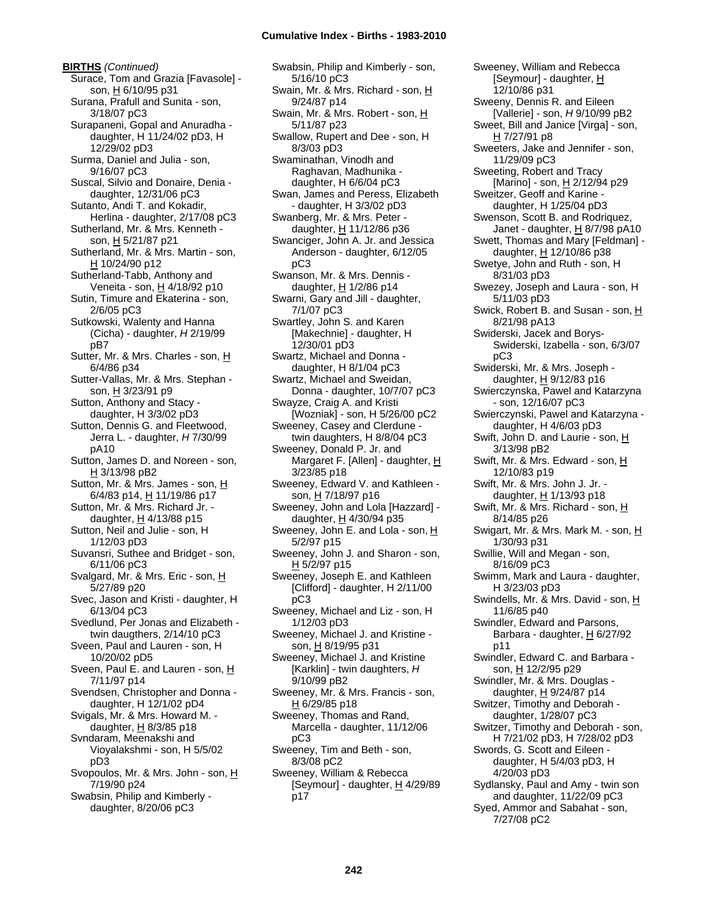**BIRTHS** *(Continued)* Surace, Tom and Grazia [Favasole] son, H 6/10/95 p31 Surana, Prafull and Sunita - son, 3/18/07 pC3 Surapaneni, Gopal and Anuradha daughter, H 11/24/02 pD3, H 12/29/02 pD3 Surma, Daniel and Julia - son, 9/16/07 pC3 Suscal, Silvio and Donaire, Denia daughter, 12/31/06 pC3 Sutanto, Andi T. and Kokadir, Herlina - daughter, 2/17/08 pC3 Sutherland, Mr. & Mrs. Kenneth son, H 5/21/87 p21 Sutherland, Mr. & Mrs. Martin - son, H 10/24/90 p12 Sutherland-Tabb, Anthony and Veneita - son, H 4/18/92 p10 Sutin, Timure and Ekaterina - son, 2/6/05 pC3 Sutkowski, Walenty and Hanna (Cicha) - daughter, *H* 2/19/99 pB7 Sutter, Mr. & Mrs. Charles - son, H 6/4/86 p34 Sutter-Vallas, Mr. & Mrs. Stephan son, H 3/23/91 p9 Sutton, Anthony and Stacy daughter, H 3/3/02 pD3 Sutton, Dennis G. and Fleetwood, Jerra L. - daughter, *H* 7/30/99 pA10 Sutton, James D. and Noreen - son, H 3/13/98 pB2 Sutton, Mr. & Mrs. James - son, H 6/4/83 p14, H 11/19/86 p17 Sutton, Mr. & Mrs. Richard Jr. daughter,  $H$  4/13/88 p15 Sutton, Neil and Julie - son, H 1/12/03 pD3 Suvansri, Suthee and Bridget - son, 6/11/06 pC3 Svalgard, Mr. & Mrs. Eric - son, H 5/27/89 p20 Svec, Jason and Kristi - daughter, H 6/13/04 pC3 Svedlund, Per Jonas and Elizabeth twin daugthers, 2/14/10 pC3 Sveen, Paul and Lauren - son, H 10/20/02 pD5 Sveen, Paul E. and Lauren - son, H 7/11/97 p14 Svendsen, Christopher and Donna daughter, H 12/1/02 pD4 Svigals, Mr. & Mrs. Howard M. daughter,  $H$  8/3/85 p18 Svndaram, Meenakshi and Vioyalakshmi - son, H 5/5/02 pD3 Svopoulos, Mr. & Mrs. John - son, H 7/19/90 p24 Swabsin, Philip and Kimberly daughter, 8/20/06 pC3

Swabsin, Philip and Kimberly - son, 5/16/10 pC3 Swain, Mr. & Mrs. Richard - son, H 9/24/87 p14 Swain, Mr. & Mrs. Robert - son, H 5/11/87 p23 Swallow, Rupert and Dee - son, H 8/3/03 pD3 Swaminathan, Vinodh and Raghavan, Madhunika daughter, H 6/6/04 pC3 Swan, James and Peress, Elizabeth - daughter, H 3/3/02 pD3 Swanberg, Mr. & Mrs. Peter daughter, H 11/12/86 p36 Swanciger, John A. Jr. and Jessica Anderson - daughter, 6/12/05 pC3 Swanson, Mr. & Mrs. Dennis daughter, H 1/2/86 p14 Swarni, Gary and Jill - daughter, 7/1/07 pC3 Swartley, John S. and Karen [Makechnie] - daughter, H 12/30/01 pD3 Swartz, Michael and Donna daughter, H 8/1/04 pC3 Swartz, Michael and Sweidan, Donna - daughter, 10/7/07 pC3 Swayze, Craig A. and Kristi [Wozniak] - son, H 5/26/00 pC2 Sweeney, Casey and Clerdune twin daughters, H 8/8/04 pC3 Sweeney, Donald P. Jr. and Margaret F. [Allen] - daughter, H 3/23/85 p18 Sweeney, Edward V. and Kathleen son, H 7/18/97 p16 Sweeney, John and Lola [Hazzard] daughter,  $H$  4/30/94 p35 Sweeney, John E. and Lola - son, H 5/2/97 p15 Sweeney, John J. and Sharon - son, H 5/2/97 p15 Sweeney, Joseph E. and Kathleen [Clifford] - daughter, H 2/11/00 pC3 Sweeney, Michael and Liz - son, H 1/12/03 pD3 Sweeney, Michael J. and Kristine son, H 8/19/95 p31 Sweeney, Michael J. and Kristine [Karklin] - twin daughters, *H* 9/10/99 pB2 Sweeney, Mr. & Mrs. Francis - son, H 6/29/85 p18 Sweeney, Thomas and Rand, Marcella - daughter, 11/12/06 pC3 Sweeney, Tim and Beth - son, 8/3/08 pC2 Sweeney, William & Rebecca [Seymour] - daughter, H 4/29/89 p17

Sweeney, William and Rebecca [Seymour] - daughter, H 12/10/86 p31 Sweeny, Dennis R. and Eileen [Vallerie] - son, *H* 9/10/99 pB2 Sweet, Bill and Janice [Virga] - son, H 7/27/91 p8 Sweeters, Jake and Jennifer - son, 11/29/09 pC3 Sweeting, Robert and Tracy [Marino] - son, H 2/12/94 p29 Sweitzer, Geoff and Karine daughter, H 1/25/04 pD3 Swenson, Scott B. and Rodriquez, Janet - daughter,  $H$  8/7/98 pA10 Swett, Thomas and Mary [Feldman] daughter, H 12/10/86 p38 Swetye, John and Ruth - son, H 8/31/03 pD3 Swezey, Joseph and Laura - son, H 5/11/03 pD3 Swick, Robert B. and Susan - son, H 8/21/98 pA13 Swiderski, Jacek and Borys-Swiderski, Izabella - son, 6/3/07 pC3 Swiderski, Mr. & Mrs. Joseph daughter,  $H$  9/12/83 p16 Swierczynska, Pawel and Katarzyna - son, 12/16/07 pC3 Swierczynski, Pawel and Katarzyna daughter, H 4/6/03 pD3 Swift, John D. and Laurie - son, H 3/13/98 pB2 Swift, Mr. & Mrs. Edward - son, H 12/10/83 p19 Swift, Mr. & Mrs. John J. Jr. daughter, H 1/13/93 p18 Swift, Mr. & Mrs. Richard - son, H 8/14/85 p26 Swigart, Mr. & Mrs. Mark M. - son, H 1/30/93 p31 Swillie, Will and Megan - son, 8/16/09 pC3 Swimm, Mark and Laura - daughter, H 3/23/03 pD3 Swindells, Mr. & Mrs. David - son, H 11/6/85 p40 Swindler, Edward and Parsons, Barbara - daughter,  $H_6$  6/27/92 p11 Swindler, Edward C. and Barbara son, H 12/2/95 p29 Swindler, Mr. & Mrs. Douglas daughter,  $H$  9/24/87 p14 Switzer, Timothy and Deborah daughter, 1/28/07 pC3 Switzer, Timothy and Deborah - son, H 7/21/02 pD3, H 7/28/02 pD3 Swords, G. Scott and Eileen daughter, H 5/4/03 pD3, H 4/20/03 pD3 Sydlansky, Paul and Amy - twin son and daughter, 11/22/09 pC3 Syed, Ammor and Sabahat - son, 7/27/08 pC2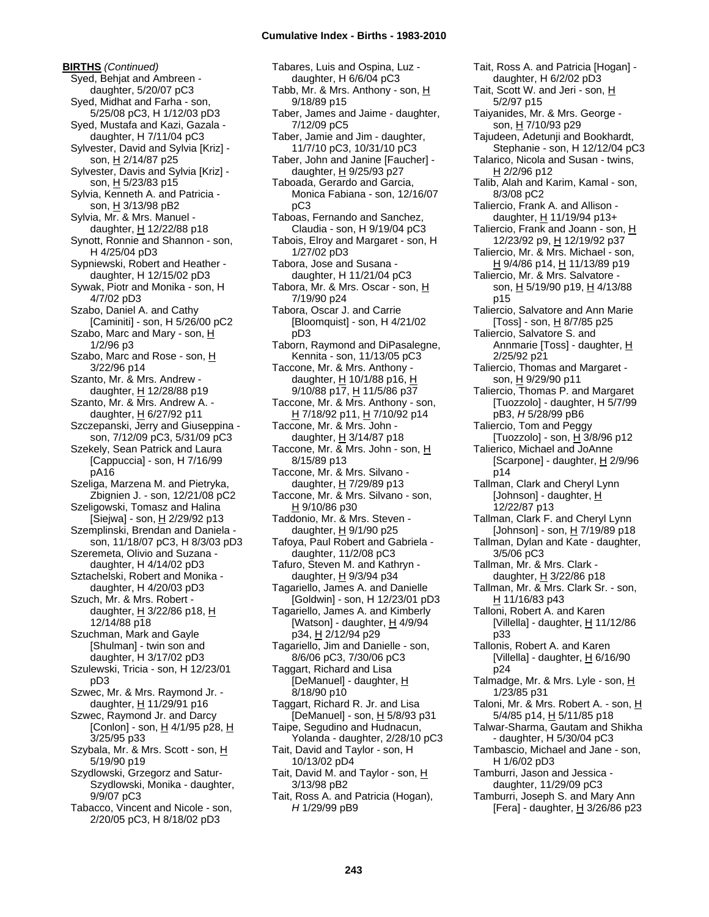**BIRTHS** *(Continued)* Syed, Behjat and Ambreen daughter, 5/20/07 pC3 Syed, Midhat and Farha - son, 5/25/08 pC3, H 1/12/03 pD3 Syed, Mustafa and Kazi, Gazala daughter, H 7/11/04 pC3 Sylvester, David and Sylvia [Kriz] son, H 2/14/87 p25 Sylvester, Davis and Sylvia [Kriz] son, H 5/23/83 p15 Sylvia, Kenneth A. and Patricia son, H 3/13/98 pB2 Sylvia, Mr. & Mrs. Manuel daughter,  $H$  12/22/88 p18 Synott, Ronnie and Shannon - son, H 4/25/04 pD3 Sypniewski, Robert and Heather daughter, H 12/15/02 pD3 Sywak, Piotr and Monika - son, H 4/7/02 pD3 Szabo, Daniel A. and Cathy [Caminiti] - son, H 5/26/00 pC2 Szabo, Marc and Mary - son, H 1/2/96 p3 Szabo, Marc and Rose - son, H 3/22/96 p14 Szanto, Mr. & Mrs. Andrew daughter, H 12/28/88 p19 Szanto, Mr. & Mrs. Andrew A. daughter,  $H$  6/27/92 p11 Szczepanski, Jerry and Giuseppina son, 7/12/09 pC3, 5/31/09 pC3 Szekely, Sean Patrick and Laura [Cappuccia] - son, H 7/16/99 pA16 Szeliga, Marzena M. and Pietryka, Zbignien J. - son, 12/21/08 pC2 Szeligowski, Tomasz and Halina  $[\text{Siejwa}]$  - son,  $\underline{H}$  2/29/92 p13 Szemplinski, Brendan and Daniela son, 11/18/07 pC3, H 8/3/03 pD3 Szeremeta, Olivio and Suzana daughter, H 4/14/02 pD3 Sztachelski, Robert and Monika daughter, H 4/20/03 pD3 Szuch, Mr. & Mrs. Robert daughter,  $H$  3/22/86 p18,  $H$ 12/14/88 p18 Szuchman, Mark and Gayle [Shulman] - twin son and daughter, H 3/17/02 pD3 Szulewski, Tricia - son, H 12/23/01 pD3 Szwec, Mr. & Mrs. Raymond Jr. daughter, H 11/29/91 p16 Szwec, Raymond Jr. and Darcy [Conlon] - son,  $H$  4/1/95 p28,  $H$ 3/25/95 p33 Szybala, Mr. & Mrs. Scott - son, H 5/19/90 p19 Szydlowski, Grzegorz and Satur-Szydlowski, Monika - daughter, 9/9/07 pC3 Tabacco, Vincent and Nicole - son, 2/20/05 pC3, H 8/18/02 pD3

Tabares, Luis and Ospina, Luz daughter, H 6/6/04 pC3 Tabb, Mr. & Mrs. Anthony - son,  $\underline{H}$ 9/18/89 p15 Taber, James and Jaime - daughter, 7/12/09 pC5 Taber, Jamie and Jim - daughter, 11/7/10 pC3, 10/31/10 pC3 Taber, John and Janine [Faucher] daughter,  $H$  9/25/93 p27 Taboada, Gerardo and Garcia, Monica Fabiana - son, 12/16/07 pC3 Taboas, Fernando and Sanchez, Claudia - son, H 9/19/04 pC3 Tabois, Elroy and Margaret - son, H 1/27/02 pD3 Tabora, Jose and Susana daughter, H 11/21/04 pC3 Tabora, Mr. & Mrs. Oscar - son, H 7/19/90 p24 Tabora, Oscar J. and Carrie [Bloomquist] - son, H 4/21/02 pD3 Taborn, Raymond and DiPasalegne, Kennita - son, 11/13/05 pC3 Taccone, Mr. & Mrs. Anthony daughter, H 10/1/88 p16, H 9/10/88 p17, H 11/5/86 p37 Taccone, Mr. & Mrs. Anthony - son, H 7/18/92 p11, H 7/10/92 p14 Taccone, Mr. & Mrs. John daughter, H 3/14/87 p18 Taccone, Mr. & Mrs. John - son, H 8/15/89 p13 Taccone, Mr. & Mrs. Silvano daughter, H 7/29/89 p13 Taccone, Mr. & Mrs. Silvano - son, H 9/10/86 p30 Taddonio, Mr. & Mrs. Steven daughter, H 9/1/90 p25 Tafoya, Paul Robert and Gabriela daughter, 11/2/08 pC3 Tafuro, Steven M. and Kathryn daughter, H 9/3/94 p34 Tagariello, James A. and Danielle [Goldwin] - son, H 12/23/01 pD3 Tagariello, James A. and Kimberly [Watson] - daughter,  $\underline{H}$  4/9/94 p34, H 2/12/94 p29 Tagariello, Jim and Danielle - son, 8/6/06 pC3, 7/30/06 pC3 Taggart, Richard and Lisa [DeManuel] - daughter, H 8/18/90 p10 Taggart, Richard R. Jr. and Lisa [DeManuel] - son, H 5/8/93 p31 Taipe, Segudino and Hudnacun, Yolanda - daughter, 2/28/10 pC3 Tait, David and Taylor - son, H 10/13/02 pD4 Tait, David M. and Taylor - son, H 3/13/98 pB2 Tait, Ross A. and Patricia (Hogan), *H* 1/29/99 pB9

Tait, Ross A. and Patricia [Hogan] daughter, H 6/2/02 pD3 Tait, Scott W. and Jeri - son, H 5/2/97 p15 Taiyanides, Mr. & Mrs. George son, H 7/10/93 p29 Tajudeen, Adetunji and Bookhardt, Stephanie - son, H 12/12/04 pC3 Talarico, Nicola and Susan - twins, H 2/2/96 p12 Talib, Alah and Karim, Kamal - son, 8/3/08 pC2 Taliercio, Frank A. and Allison daughter, H 11/19/94 p13+ Taliercio, Frank and Joann - son, H 12/23/92 p9, H 12/19/92 p37 Taliercio, Mr. & Mrs. Michael - son, <u>H</u> 9/4/86 p14, <u>H</u> 11/13/89 p19 Taliercio, Mr. & Mrs. Salvatore son, H 5/19/90 p19, H 4/13/88 p15 Taliercio, Salvatore and Ann Marie [Toss] - son, H 8/7/85 p25 Taliercio, Salvatore S. and Annmarie [Toss] - daughter, H 2/25/92 p21 Taliercio, Thomas and Margaret son, H 9/29/90 p11 Taliercio, Thomas P. and Margaret [Tuozzolo] - daughter, H 5/7/99 pB3, *H* 5/28/99 pB6 Taliercio, Tom and Peggy [Tuozzolo] - son,  $\underline{H}$  3/8/96 p12 Talierico, Michael and JoAnne [Scarpone] - daughter, H 2/9/96 p14 Tallman, Clark and Cheryl Lynn [Johnson] - daughter, H 12/22/87 p13 Tallman, Clark F. and Cheryl Lynn [Johnson] - son, H 7/19/89 p18 Tallman, Dylan and Kate - daughter, 3/5/06 pC3 Tallman, Mr. & Mrs. Clark daughter,  $H$  3/22/86 p18 Tallman, Mr. & Mrs. Clark Sr. - son, H 11/16/83 p43 Talloni, Robert A. and Karen [Villella] - daughter,  $H$  11/12/86 p33 Tallonis, Robert A. and Karen [Villella] - daughter, H 6/16/90 p24 Talmadge, Mr. & Mrs. Lyle - son, H 1/23/85 p31 Taloni, Mr. & Mrs. Robert A. - son, H 5/4/85 p14, H 5/11/85 p18 Talwar-Sharma, Gautam and Shikha - daughter, H 5/30/04 pC3 Tambascio, Michael and Jane - son, H 1/6/02 pD3 Tamburri, Jason and Jessica daughter, 11/29/09 pC3 Tamburri, Joseph S. and Mary Ann [Fera] - daughter,  $H$  3/26/86 p23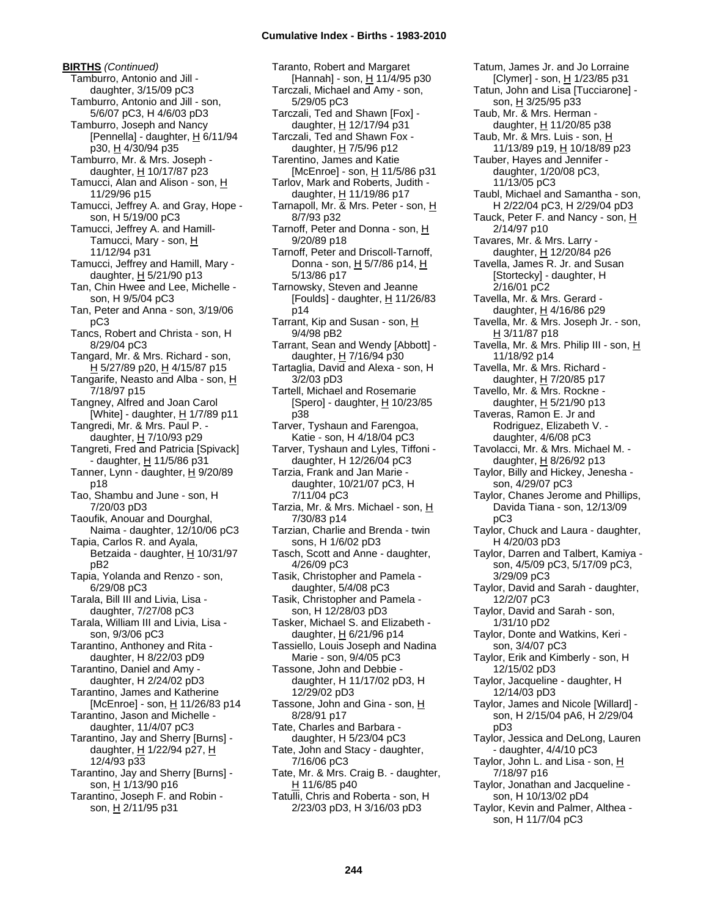**BIRTHS** *(Continued)* Tamburro, Antonio and Jill daughter, 3/15/09 pC3 Tamburro, Antonio and Jill - son, 5/6/07 pC3, H 4/6/03 pD3 Tamburro, Joseph and Nancy [Pennella] - daughter,  $H$  6/11/94 p30, H 4/30/94 p35 Tamburro, Mr. & Mrs. Joseph daughter,  $H$  10/17/87 p23 Tamucci, Alan and Alison - son, H 11/29/96 p15 Tamucci, Jeffrey A. and Gray, Hope son, H 5/19/00 pC3 Tamucci, Jeffrey A. and Hamill-Tamucci, Mary - son, H 11/12/94 p31 Tamucci, Jeffrey and Hamill, Mary daughter,  $H$  5/21/90 p13 Tan, Chin Hwee and Lee, Michelle son, H 9/5/04 pC3 Tan, Peter and Anna - son, 3/19/06 pC3 Tancs, Robert and Christa - son, H 8/29/04 pC3 Tangard, Mr. & Mrs. Richard - son, H 5/27/89 p20, H 4/15/87 p15 Tangarife, Neasto and Alba - son,  $H$ 7/18/97 p15 Tangney, Alfred and Joan Carol [White] - daughter,  $H$  1/7/89 p11 Tangredi, Mr. & Mrs. Paul P. daughter, H 7/10/93 p29 Tangreti, Fred and Patricia [Spivack] - daughter, H 11/5/86 p31 Tanner, Lynn - daughter, H 9/20/89 p18 Tao, Shambu and June - son, H 7/20/03 pD3 Taoufik, Anouar and Dourghal, Naima - daughter, 12/10/06 pC3 Tapia, Carlos R. and Ayala, Betzaida - daughter, H 10/31/97 pB2 Tapia, Yolanda and Renzo - son, 6/29/08 pC3 Tarala, Bill III and Livia, Lisa daughter, 7/27/08 pC3 Tarala, William III and Livia, Lisa son, 9/3/06 pC3 Tarantino, Anthoney and Rita daughter, H 8/22/03 pD9 Tarantino, Daniel and Amy daughter, H 2/24/02 pD3 Tarantino, James and Katherine [McEnroe] - son, H 11/26/83 p14 Tarantino, Jason and Michelle daughter, 11/4/07 pC3 Tarantino, Jay and Sherry [Burns] daughter, H 1/22/94 p27, H 12/4/93 p33 Tarantino, Jay and Sherry [Burns] son, H 1/13/90 p16 Tarantino, Joseph F. and Robin son, H 2/11/95 p31

Taranto, Robert and Margaret [Hannah] - son, H 11/4/95 p30 Tarczali, Michael and Amy - son, 5/29/05 pC3 Tarczali, Ted and Shawn [Fox] daughter, H 12/17/94 p31 Tarczali, Ted and Shawn Fox daughter, H 7/5/96 p12 Tarentino, James and Katie [McEnroe] - son, H 11/5/86 p31 Tarlov, Mark and Roberts, Judith daughter, H 11/19/86 p17 Tarnapoll, Mr. & Mrs. Peter - son, H 8/7/93 p32 Tarnoff, Peter and Donna - son, H 9/20/89 p18 Tarnoff, Peter and Driscoll-Tarnoff, Donna - son, H 5/7/86 p14, H 5/13/86 p17 Tarnowsky, Steven and Jeanne [Foulds] - daughter,  $H$  11/26/83 p14 Tarrant, Kip and Susan - son, H 9/4/98 pB2 Tarrant, Sean and Wendy [Abbott] daughter, H 7/16/94 p30 Tartaglia, David and Alexa - son, H 3/2/03 pD3 Tartell, Michael and Rosemarie [Spero] - daughter, H 10/23/85 p38 Tarver, Tyshaun and Farengoa, Katie - son, H 4/18/04 pC3 Tarver, Tyshaun and Lyles, Tiffoni daughter, H 12/26/04 pC3 Tarzia, Frank and Jan Marie daughter, 10/21/07 pC3, H 7/11/04 pC3 Tarzia, Mr. & Mrs. Michael - son, H 7/30/83 p14 Tarzian, Charlie and Brenda - twin sons, H 1/6/02 pD3 Tasch, Scott and Anne - daughter, 4/26/09 pC3 Tasik, Christopher and Pamela daughter, 5/4/08 pC3 Tasik, Christopher and Pamela son, H 12/28/03 pD3 Tasker, Michael S. and Elizabeth daughter, H 6/21/96 p14 Tassiello, Louis Joseph and Nadina Marie - son, 9/4/05 pC3 Tassone, John and Debbie daughter, H 11/17/02 pD3, H 12/29/02 pD3 Tassone, John and Gina - son, H 8/28/91 p17 Tate, Charles and Barbara daughter, H 5/23/04 pC3 Tate, John and Stacy - daughter, 7/16/06 pC3 Tate, Mr. & Mrs. Craig B. - daughter, H 11/6/85 p40 Tatulli, Chris and Roberta - son, H 2/23/03 pD3, H 3/16/03 pD3

Tatum, James Jr. and Jo Lorraine [Clymer] - son, H 1/23/85 p31 Tatun, John and Lisa [Tucciarone] son, H 3/25/95 p33 Taub, Mr. & Mrs. Herman daughter, H 11/20/85 p38 Taub, Mr. & Mrs. Luis - son, H 11/13/89 p19, H 10/18/89 p23 Tauber, Hayes and Jennifer daughter, 1/20/08 pC3, 11/13/05 pC3 Taubl, Michael and Samantha - son, H 2/22/04 pC3, H 2/29/04 pD3 Tauck, Peter F. and Nancy - son, H 2/14/97 p10 Tavares, Mr. & Mrs. Larry daughter, H 12/20/84 p26 Tavella, James R. Jr. and Susan [Stortecky] - daughter, H 2/16/01 pC2 Tavella, Mr. & Mrs. Gerard daughter,  $H$  4/16/86 p29 Tavella, Mr. & Mrs. Joseph Jr. - son, H 3/11/87 p18 Tavella, Mr. & Mrs. Philip III - son, H 11/18/92 p14 Tavella, Mr. & Mrs. Richard daughter, H 7/20/85 p17 Tavello, Mr. & Mrs. Rockne daughter, H 5/21/90 p13 Taveras, Ramon E. Jr and Rodriguez, Elizabeth V. daughter, 4/6/08 pC3 Tavolacci, Mr. & Mrs. Michael M. daughter, H 8/26/92 p13 Taylor, Billy and Hickey, Jenesha son, 4/29/07 pC3 Taylor, Chanes Jerome and Phillips, Davida Tiana - son, 12/13/09 pC3 Taylor, Chuck and Laura - daughter, H 4/20/03 pD3 Taylor, Darren and Talbert, Kamiya son, 4/5/09 pC3, 5/17/09 pC3, 3/29/09 pC3 Taylor, David and Sarah - daughter, 12/2/07 pC3 Taylor, David and Sarah - son, 1/31/10 pD2 Taylor, Donte and Watkins, Keri son, 3/4/07 pC3 Taylor, Erik and Kimberly - son, H 12/15/02 pD3 Taylor, Jacqueline - daughter, H 12/14/03 pD3 Taylor, James and Nicole [Willard] son, H 2/15/04 pA6, H 2/29/04 pD3 Taylor, Jessica and DeLong, Lauren - daughter, 4/4/10 pC3 Taylor, John L. and Lisa - son, H 7/18/97 p16 Taylor, Jonathan and Jacqueline son, H 10/13/02 pD4 Taylor, Kevin and Palmer, Althea son, H 11/7/04 pC3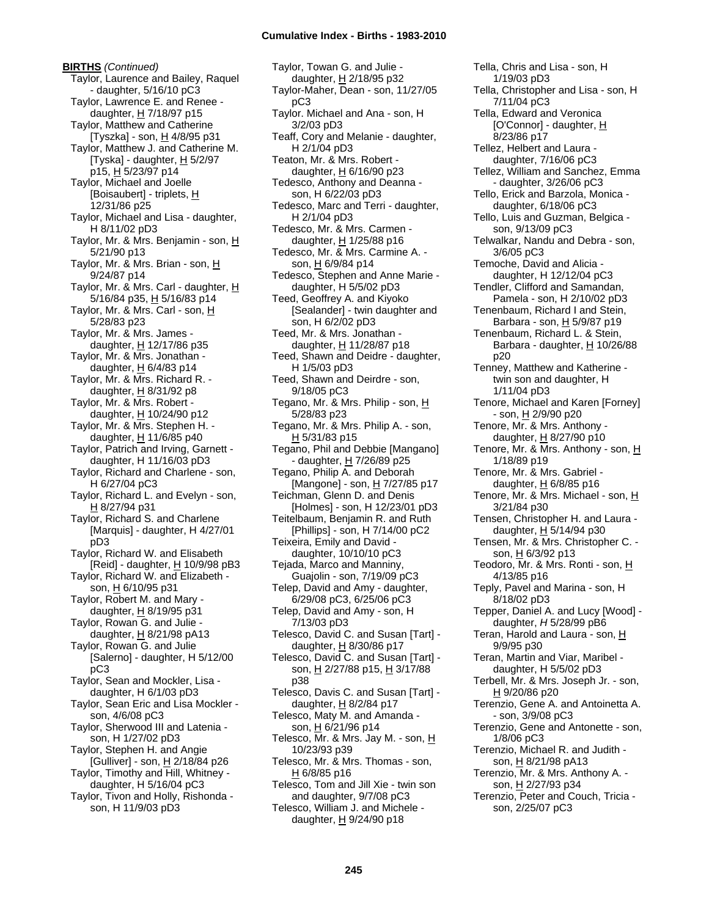**BIRTHS** *(Continued)* Taylor, Laurence and Bailey, Raquel - daughter, 5/16/10 pC3 Taylor, Lawrence E. and Renee daughter, H 7/18/97 p15 Taylor, Matthew and Catherine [Tyszka] - son,  $H$  4/8/95 p31 Taylor, Matthew J. and Catherine M. [Tyska] - daughter,  $H$  5/2/97 p15, H 5/23/97 p14 Taylor, Michael and Joelle [Boisaubert] - triplets, H 12/31/86 p25 Taylor, Michael and Lisa - daughter, H 8/11/02 pD3 Taylor, Mr. & Mrs. Benjamin - son, H 5/21/90 p13 Taylor, Mr. & Mrs. Brian - son, H 9/24/87 p14 Taylor, Mr. & Mrs. Carl - daughter, H 5/16/84 p35, H 5/16/83 p14 Taylor, Mr. & Mrs. Carl - son, H 5/28/83 p23 Taylor, Mr. & Mrs. James daughter,  $H$  12/17/86 p35 Taylor, Mr. & Mrs. Jonathan daughter,  $H$  6/4/83 p14 Taylor, Mr. & Mrs. Richard R. daughter, H 8/31/92 p8 Taylor, Mr. & Mrs. Robert daughter, H 10/24/90 p12 Taylor, Mr. & Mrs. Stephen H. daughter, H 11/6/85 p40 Taylor, Patrich and Irving, Garnett daughter, H 11/16/03 pD3 Taylor, Richard and Charlene - son, H 6/27/04 pC3 Taylor, Richard L. and Evelyn - son, H 8/27/94 p31 Taylor, Richard S. and Charlene [Marquis] - daughter, H 4/27/01 pD3 Taylor, Richard W. and Elisabeth [Reid] - daughter, H 10/9/98 pB3 Taylor, Richard W. and Elizabeth son, H 6/10/95 p31 Taylor, Robert M. and Mary daughter,  $H$  8/19/95 p31 Taylor, Rowan G. and Julie daughter,  $H$  8/21/98 pA13 Taylor, Rowan G. and Julie [Salerno] - daughter, H 5/12/00 pC3 Taylor, Sean and Mockler, Lisa daughter, H 6/1/03 pD3 Taylor, Sean Eric and Lisa Mockler son, 4/6/08 pC3 Taylor, Sherwood III and Latenia son, H 1/27/02 pD3 Taylor, Stephen H. and Angie [Gulliver] - son,  $H$  2/18/84 p26 Taylor, Timothy and Hill, Whitney daughter, H 5/16/04 pC3 Taylor, Tivon and Holly, Rishonda son, H 11/9/03 pD3

Taylor, Towan G. and Julie daughter, H 2/18/95 p32 Taylor-Maher, Dean - son, 11/27/05 pC3 Taylor. Michael and Ana - son, H 3/2/03 pD3 Teaff, Cory and Melanie - daughter, H 2/1/04 pD3 Teaton, Mr. & Mrs. Robert daughter,  $H$  6/16/90 p23 Tedesco, Anthony and Deanna son, H 6/22/03 pD3 Tedesco, Marc and Terri - daughter, H 2/1/04 pD3 Tedesco, Mr. & Mrs. Carmen daughter,  $H$  1/25/88 p16 Tedesco, Mr. & Mrs. Carmine A. son, H 6/9/84 p14 Tedesco, Stephen and Anne Marie daughter, H 5/5/02 pD3 Teed, Geoffrey A. and Kiyoko [Sealander] - twin daughter and son, H 6/2/02 pD3 Teed, Mr. & Mrs. Jonathan daughter,  $H$  11/28/87 p18 Teed, Shawn and Deidre - daughter, H 1/5/03 pD3 Teed, Shawn and Deirdre - son, 9/18/05 pC3 Tegano, Mr. & Mrs. Philip - son, H 5/28/83 p23 Tegano, Mr. & Mrs. Philip A. - son, H 5/31/83 p15 Tegano, Phil and Debbie [Mangano] - daughter, H 7/26/89 p25 Tegano, Philip A. and Deborah [Mangone] - son, H 7/27/85 p17 Teichman, Glenn D. and Denis [Holmes] - son, H 12/23/01 pD3 Teitelbaum, Benjamin R. and Ruth [Phillips] - son, H 7/14/00 pC2 Teixeira, Emily and David daughter, 10/10/10 pC3 Tejada, Marco and Manniny, Guajolin - son, 7/19/09 pC3 Telep, David and Amy - daughter, 6/29/08 pC3, 6/25/06 pC3 Telep, David and Amy - son, H 7/13/03 pD3 Telesco, David C. and Susan [Tart] daughter,  $H$  8/30/86 p17 Telesco, David C. and Susan [Tart] son, H 2/27/88 p15, H 3/17/88 p38 Telesco, Davis C. and Susan [Tart] daughter,  $H$  8/2/84 p17 Telesco, Maty M. and Amanda son, H 6/21/96 p14 Telesco, Mr. & Mrs. Jay M. - son, H 10/23/93 p39 Telesco, Mr. & Mrs. Thomas - son, H 6/8/85 p16 Telesco, Tom and Jill Xie - twin son and daughter, 9/7/08 pC3 Telesco, William J. and Michele -

Tella, Chris and Lisa - son, H 1/19/03 pD3 Tella, Christopher and Lisa - son, H 7/11/04 pC3 Tella, Edward and Veronica [O'Connor] - daughter, H 8/23/86 p17 Tellez, Helbert and Laura daughter, 7/16/06 pC3 Tellez, William and Sanchez, Emma - daughter, 3/26/06 pC3 Tello, Erick and Barzola, Monica daughter, 6/18/06 pC3 Tello, Luis and Guzman, Belgica son, 9/13/09 pC3 Telwalkar, Nandu and Debra - son, 3/6/05 pC3 Temoche, David and Alicia daughter, H 12/12/04 pC3 Tendler, Clifford and Samandan, Pamela - son, H 2/10/02 pD3 Tenenbaum, Richard I and Stein, Barbara - son, H 5/9/87 p19 Tenenbaum, Richard L. & Stein, Barbara - daughter,  $H$  10/26/88 p20 Tenney, Matthew and Katherine twin son and daughter, H 1/11/04 pD3 Tenore, Michael and Karen [Forney] - son, H 2/9/90 p20 Tenore, Mr. & Mrs. Anthony daughter, H 8/27/90 p10 Tenore, Mr. & Mrs. Anthony - son, H 1/18/89 p19 Tenore, Mr. & Mrs. Gabriel daughter, H 6/8/85 p16 Tenore, Mr. & Mrs. Michael - son, H 3/21/84 p30 Tensen, Christopher H. and Laura daughter, H 5/14/94 p30 Tensen, Mr. & Mrs. Christopher C. son, H 6/3/92 p13 Teodoro, Mr. & Mrs. Ronti - son, H 4/13/85 p16 Teply, Pavel and Marina - son, H 8/18/02 pD3 Tepper, Daniel A. and Lucy [Wood] daughter, *H* 5/28/99 pB6 Teran, Harold and Laura - son, H 9/9/95 p30 Teran, Martin and Viar, Maribel daughter, H 5/5/02 pD3 Terbell, Mr. & Mrs. Joseph Jr. - son, H 9/20/86 p20 Terenzio, Gene A. and Antoinetta A. - son, 3/9/08 pC3 Terenzio, Gene and Antonette - son, 1/8/06 pC3 Terenzio, Michael R. and Judith son, H 8/21/98 pA13 Terenzio, Mr. & Mrs. Anthony A. son, H 2/27/93 p34 Terenzio, Peter and Couch, Tricia son, 2/25/07 pC3

daughter,  $H$  9/24/90 p18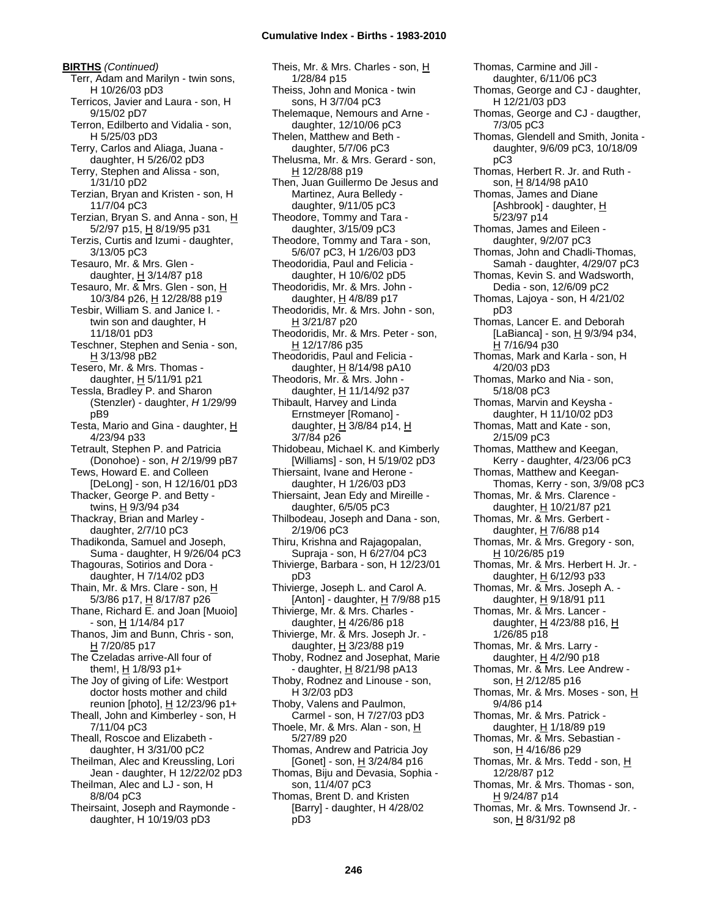**BIRTHS** *(Continued)* Terr, Adam and Marilyn - twin sons, H 10/26/03 pD3 Terricos, Javier and Laura - son, H 9/15/02 pD7 Terron, Edilberto and Vidalia - son, H 5/25/03 pD3 Terry, Carlos and Aliaga, Juana daughter, H 5/26/02 pD3 Terry, Stephen and Alissa - son, 1/31/10 pD2 Terzian, Bryan and Kristen - son, H 11/7/04 pC3 Terzian, Bryan S. and Anna - son, H 5/2/97 p15, H 8/19/95 p31 Terzis, Curtis and Izumi - daughter, 3/13/05 pC3 Tesauro, Mr. & Mrs. Glen daughter,  $H$  3/14/87 p18 Tesauro, Mr. & Mrs. Glen - son, H 10/3/84 p26, H 12/28/88 p19 Tesbir, William S. and Janice I. twin son and daughter, H 11/18/01 pD3 Teschner, Stephen and Senia - son, H 3/13/98 pB2 Tesero, Mr. & Mrs. Thomas daughter,  $H$  5/11/91 p21 Tessla, Bradley P. and Sharon (Stenzler) - daughter, *H* 1/29/99 pB9 Testa, Mario and Gina - daughter, H 4/23/94 p33 Tetrault, Stephen P. and Patricia (Donohoe) - son, *H* 2/19/99 pB7 Tews, Howard E. and Colleen [DeLong] - son, H 12/16/01 pD3 Thacker, George P. and Betty twins, H 9/3/94 p34 Thackray, Brian and Marley daughter, 2/7/10 pC3 Thadikonda, Samuel and Joseph, Suma - daughter, H 9/26/04 pC3 Thagouras, Sotirios and Dora daughter, H 7/14/02 pD3 Thain, Mr. & Mrs. Clare - son, H 5/3/86 p17, H 8/17/87 p26 Thane, Richard E. and Joan [Muoio] - son, H 1/14/84 p17 Thanos, Jim and Bunn, Chris - son, H 7/20/85 p17 The Czeladas arrive-All four of them!, H 1/8/93 p1+ The Joy of giving of Life: Westport doctor hosts mother and child reunion [photo], H 12/23/96 p1+ Theall, John and Kimberley - son, H 7/11/04 pC3 Theall, Roscoe and Elizabeth daughter, H 3/31/00 pC2 Theilman, Alec and Kreussling, Lori Jean - daughter, H 12/22/02 pD3 Theilman, Alec and LJ - son, H 8/8/04 pC3 Theirsaint, Joseph and Raymonde daughter, H 10/19/03 pD3

Theis, Mr. & Mrs. Charles - son, H 1/28/84 p15 Theiss, John and Monica - twin sons, H 3/7/04 pC3 Thelemaque, Nemours and Arne daughter, 12/10/06 pC3 Thelen, Matthew and Beth daughter, 5/7/06 pC3 Thelusma, Mr. & Mrs. Gerard - son, H 12/28/88 p19 Then, Juan Guillermo De Jesus and Martinez, Aura Belledy daughter, 9/11/05 pC3 Theodore, Tommy and Tara daughter, 3/15/09 pC3 Theodore, Tommy and Tara - son, 5/6/07 pC3, H 1/26/03 pD3 Theodoridia, Paul and Felicia daughter, H 10/6/02 pD5 Theodoridis, Mr. & Mrs. John daughter,  $H$  4/8/89 p17 Theodoridis, Mr. & Mrs. John - son, H 3/21/87 p20 Theodoridis, Mr. & Mrs. Peter - son, H 12/17/86 p35 Theodoridis, Paul and Felicia daughter,  $H$  8/14/98 pA10 Theodoris, Mr. & Mrs. John daughter, H 11/14/92 p37 Thibault, Harvey and Linda Ernstmeyer [Romano] daughter, H 3/8/84 p14, H 3/7/84 p26 Thidobeau, Michael K. and Kimberly [Williams] - son, H 5/19/02 pD3 Thiersaint, Ivane and Herone daughter, H 1/26/03 pD3 Thiersaint, Jean Edy and Mireille daughter, 6/5/05 pC3 Thilbodeau, Joseph and Dana - son, 2/19/06 pC3 Thiru, Krishna and Rajagopalan, Supraja - son, H 6/27/04 pC3 Thivierge, Barbara - son, H 12/23/01 pD3 Thivierge, Joseph L. and Carol A. [Anton] - daughter, H 7/9/88 p15 Thivierge, Mr. & Mrs. Charles daughter,  $H$  4/26/86 p18 Thivierge, Mr. & Mrs. Joseph Jr. daughter,  $H$  3/23/88 p19 Thoby, Rodnez and Josephat, Marie - daughter, H 8/21/98 pA13 Thoby, Rodnez and Linouse - son, H 3/2/03 pD3 Thoby, Valens and Paulmon, Carmel - son, H 7/27/03 pD3 Thoele, Mr. & Mrs. Alan - son, H 5/27/89 p20 Thomas, Andrew and Patricia Joy [Gonet] - son, H 3/24/84 p16 Thomas, Biju and Devasia, Sophia son, 11/4/07 pC3 Thomas, Brent D. and Kristen [Barry] - daughter, H 4/28/02

Thomas, Carmine and Jill daughter, 6/11/06 pC3 Thomas, George and CJ - daughter, H 12/21/03 pD3 Thomas, George and CJ - daugther, 7/3/05 pC3 Thomas, Glendell and Smith, Jonita daughter, 9/6/09 pC3, 10/18/09 pC3 Thomas, Herbert R. Jr. and Ruth son, H 8/14/98 pA10 Thomas, James and Diane [Ashbrook] - daughter, H 5/23/97 p14 Thomas, James and Eileen daughter, 9/2/07 pC3 Thomas, John and Chadli-Thomas, Samah - daughter, 4/29/07 pC3 Thomas, Kevin S. and Wadsworth, Dedia - son, 12/6/09 pC2 Thomas, Lajoya - son, H 4/21/02 pD3 Thomas, Lancer E. and Deborah [LaBianca] - son, H 9/3/94 p34, H 7/16/94 p30 Thomas, Mark and Karla - son, H 4/20/03 pD3 Thomas, Marko and Nia - son, 5/18/08 pC3 Thomas, Marvin and Keysha daughter, H 11/10/02 pD3 Thomas, Matt and Kate - son, 2/15/09 pC3 Thomas, Matthew and Keegan, Kerry - daughter, 4/23/06 pC3 Thomas, Matthew and Keegan-Thomas, Kerry - son, 3/9/08 pC3 Thomas, Mr. & Mrs. Clarence daughter, H 10/21/87 p21 Thomas, Mr. & Mrs. Gerbert daughter, H 7/6/88 p14 Thomas, Mr. & Mrs. Gregory - son, H 10/26/85 p19 Thomas, Mr. & Mrs. Herbert H. Jr. daughter, H 6/12/93 p33 Thomas, Mr. & Mrs. Joseph A. daughter, H 9/18/91 p11 Thomas, Mr. & Mrs. Lancer daughter,  $H$  4/23/88 p16,  $H$ 1/26/85 p18 Thomas, Mr. & Mrs. Larry daughter, H 4/2/90 p18 Thomas, Mr. & Mrs. Lee Andrew son, H 2/12/85 p16 Thomas, Mr. & Mrs. Moses - son, H 9/4/86 p14 Thomas, Mr. & Mrs. Patrick daughter, H 1/18/89 p19 Thomas, Mr. & Mrs. Sebastian son, H 4/16/86 p29 Thomas, Mr. & Mrs. Tedd - son, H 12/28/87 p12 Thomas, Mr. & Mrs. Thomas - son, H 9/24/87 p14 Thomas, Mr. & Mrs. Townsend Jr. son, H 8/31/92 p8

pD3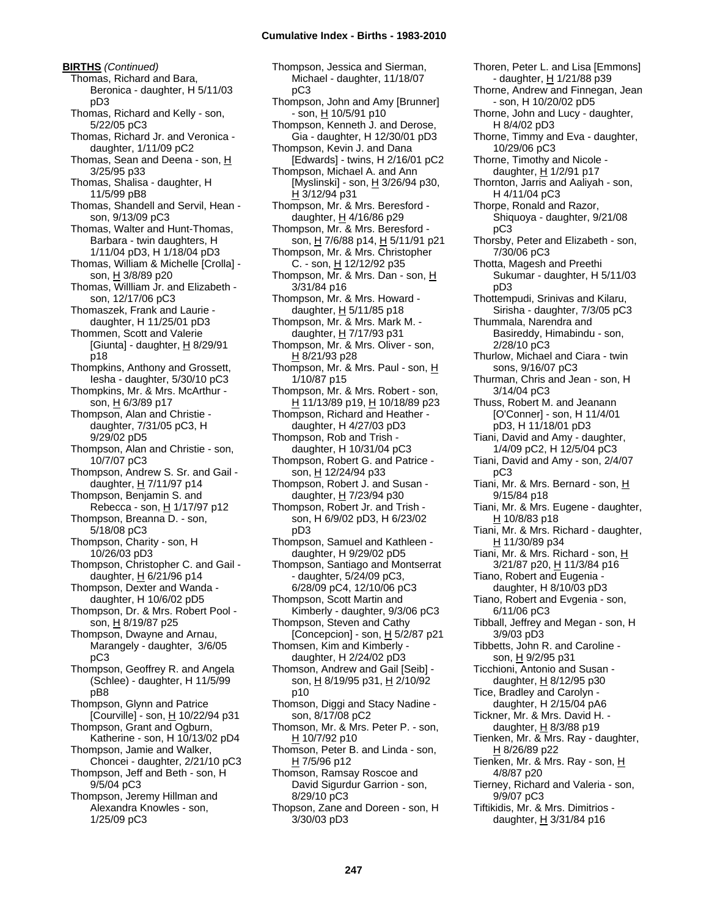**BIRTHS** *(Continued)* Thomas, Richard and Bara, Beronica - daughter, H 5/11/03 pD3 Thomas, Richard and Kelly - son, 5/22/05 pC3 Thomas, Richard Jr. and Veronica daughter, 1/11/09 pC2 Thomas, Sean and Deena - son, H 3/25/95 p33 Thomas, Shalisa - daughter, H 11/5/99 pB8 Thomas, Shandell and Servil, Hean son, 9/13/09 pC3 Thomas, Walter and Hunt-Thomas, Barbara - twin daughters, H 1/11/04 pD3, H 1/18/04 pD3 Thomas, William & Michelle [Crolla] son, H 3/8/89 p20 Thomas, Willliam Jr. and Elizabeth son, 12/17/06 pC3 Thomaszek, Frank and Laurie daughter, H 11/25/01 pD3 Thommen, Scott and Valerie [Giunta] - daughter,  $H$  8/29/91 p18 Thompkins, Anthony and Grossett, Iesha - daughter, 5/30/10 pC3 Thompkins, Mr. & Mrs. McArthur son, H 6/3/89 p17 Thompson, Alan and Christie daughter, 7/31/05 pC3, H 9/29/02 pD5 Thompson, Alan and Christie - son, 10/7/07 pC3 Thompson, Andrew S. Sr. and Gail daughter, H 7/11/97 p14 Thompson, Benjamin S. and Rebecca - son, H 1/17/97 p12 Thompson, Breanna D. - son, 5/18/08 pC3 Thompson, Charity - son, H 10/26/03 pD3 Thompson, Christopher C. and Gail daughter,  $H$  6/21/96 p14 Thompson, Dexter and Wanda daughter, H 10/6/02 pD5 Thompson, Dr. & Mrs. Robert Pool son, H 8/19/87 p25 Thompson, Dwayne and Arnau, Marangely - daughter, 3/6/05 pC3 Thompson, Geoffrey R. and Angela (Schlee) - daughter, H 11/5/99 pB8 Thompson, Glynn and Patrice [Courville] - son,  $\underline{H}$  10/22/94 p31 Thompson, Grant and Ogburn, Katherine - son, H 10/13/02 pD4 Thompson, Jamie and Walker, Choncei - daughter, 2/21/10 pC3 Thompson, Jeff and Beth - son, H 9/5/04 pC3 Thompson, Jeremy Hillman and Alexandra Knowles - son, 1/25/09 pC3

Thompson, Jessica and Sierman, Michael - daughter, 11/18/07 pC3 Thompson, John and Amy [Brunner] - son, H 10/5/91 p10 Thompson, Kenneth J. and Derose, Gia - daughter, H 12/30/01 pD3 Thompson, Kevin J. and Dana [Edwards] - twins, H 2/16/01 pC2 Thompson, Michael A. and Ann [Myslinski] - son, H 3/26/94 p30, H 3/12/94 p31 Thompson, Mr. & Mrs. Beresford daughter, H 4/16/86 p29 Thompson, Mr. & Mrs. Beresford son, H 7/6/88 p14, H 5/11/91 p21 Thompson, Mr. & Mrs. Christopher C. - son, H 12/12/92 p35 Thompson, Mr. & Mrs. Dan - son, H 3/31/84 p16 Thompson, Mr. & Mrs. Howard daughter,  $H$  5/11/85 p18 Thompson, Mr. & Mrs. Mark M. daughter, H 7/17/93 p31 Thompson, Mr. & Mrs. Oliver - son, H 8/21/93 p28 Thompson, Mr. & Mrs. Paul - son, H 1/10/87 p15 Thompson, Mr. & Mrs. Robert - son, H 11/13/89 p19, H 10/18/89 p23 Thompson, Richard and Heather daughter, H 4/27/03 pD3 Thompson, Rob and Trish daughter, H 10/31/04 pC3 Thompson, Robert G. and Patrice son, H 12/24/94 p33 Thompson, Robert J. and Susan daughter, H 7/23/94 p30 Thompson, Robert Jr. and Trish son, H 6/9/02 pD3, H 6/23/02 pD3 Thompson, Samuel and Kathleen daughter, H 9/29/02 pD5 Thompson, Santiago and Montserrat - daughter, 5/24/09 pC3, 6/28/09 pC4, 12/10/06 pC3 Thompson, Scott Martin and Kimberly - daughter, 9/3/06 pC3 Thompson, Steven and Cathy [Concepcion] - son, H 5/2/87 p21 Thomsen, Kim and Kimberly daughter, H 2/24/02 pD3 Thomson, Andrew and Gail [Seib] son, H 8/19/95 p31, H 2/10/92 p10 Thomson, Diggi and Stacy Nadine son, 8/17/08 pC2 Thomson, Mr. & Mrs. Peter P. - son, H 10/7/92 p10 Thomson, Peter B. and Linda - son,  $H$  7/5/96 p12 Thomson, Ramsay Roscoe and David Sigurdur Garrion - son, 8/29/10 pC3 Thopson, Zane and Doreen - son, H 3/30/03 pD3

Thoren, Peter L. and Lisa [Emmons] - daughter, H 1/21/88 p39 Thorne, Andrew and Finnegan, Jean - son, H 10/20/02 pD5 Thorne, John and Lucy - daughter, H 8/4/02 pD3 Thorne, Timmy and Eva - daughter, 10/29/06 pC3 Thorne, Timothy and Nicole daughter,  $H$  1/2/91 p17 Thornton, Jarris and Aaliyah - son, H 4/11/04 pC3 Thorpe, Ronald and Razor, Shiquoya - daughter, 9/21/08 pC3 Thorsby, Peter and Elizabeth - son, 7/30/06 pC3 Thotta, Magesh and Preethi Sukumar - daughter, H 5/11/03 pD3 Thottempudi, Srinivas and Kilaru, Sirisha - daughter, 7/3/05 pC3 Thummala, Narendra and Basireddy, Himabindu - son, 2/28/10 pC3 Thurlow, Michael and Ciara - twin sons, 9/16/07 pC3 Thurman, Chris and Jean - son, H 3/14/04 pC3 Thuss, Robert M. and Jeanann [O'Conner] - son, H 11/4/01 pD3, H 11/18/01 pD3 Tiani, David and Amy - daughter, 1/4/09 pC2, H 12/5/04 pC3 Tiani, David and Amy - son, 2/4/07 pC3 Tiani, Mr. & Mrs. Bernard - son, H 9/15/84 p18 Tiani, Mr. & Mrs. Eugene - daughter, H 10/8/83 p18 Tiani, Mr. & Mrs. Richard - daughter, H 11/30/89 p34 Tiani, Mr. & Mrs. Richard - son, H 3/21/87 p20, H 11/3/84 p16 Tiano, Robert and Eugenia daughter, H 8/10/03 pD3 Tiano, Robert and Evgenia - son, 6/11/06 pC3 Tibball, Jeffrey and Megan - son, H 3/9/03 pD3 Tibbetts, John R. and Caroline son, H 9/2/95 p31 Ticchioni, Antonio and Susan daughter,  $H$  8/12/95 p30 Tice, Bradley and Carolyn daughter, H 2/15/04 pA6 Tickner, Mr. & Mrs. David H. daughter,  $H$  8/3/88 p19 Tienken, Mr. & Mrs. Ray - daughter, H 8/26/89 p22 Tienken, Mr. & Mrs. Ray - son, H 4/8/87 p20 Tierney, Richard and Valeria - son, 9/9/07 pC3 Tiftikidis, Mr. & Mrs. Dimitrios daughter, H 3/31/84 p16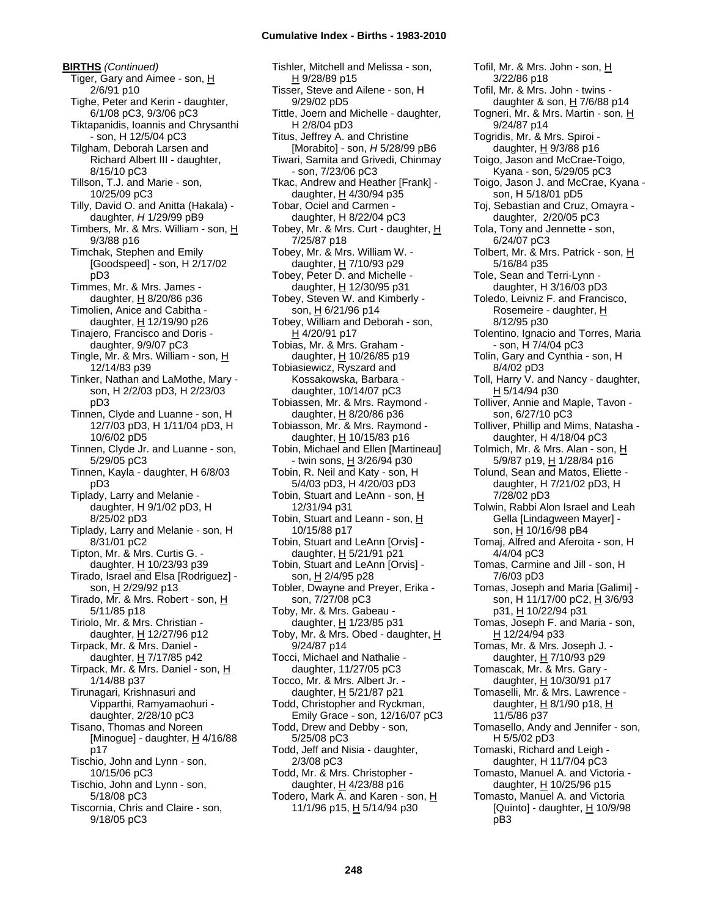**BIRTHS** *(Continued)* Tiger, Gary and Aimee - son, H 2/6/91 p10 Tighe, Peter and Kerin - daughter, 6/1/08 pC3, 9/3/06 pC3 Tiktapanidis, Ioannis and Chrysanthi - son, H 12/5/04 pC3 Tilgham, Deborah Larsen and Richard Albert III - daughter, 8/15/10 pC3 Tillson, T.J. and Marie - son, 10/25/09 pC3 Tilly, David O. and Anitta (Hakala) daughter, *H* 1/29/99 pB9 Timbers, Mr. & Mrs. William - son, H 9/3/88 p16 Timchak, Stephen and Emily [Goodspeed] - son, H 2/17/02 pD3 Timmes, Mr. & Mrs. James daughter,  $H$  8/20/86 p36 Timolien, Anice and Cabitha daughter, H 12/19/90 p26 Tinajero, Francisco and Doris daughter, 9/9/07 pC3 Tingle, Mr. & Mrs. William - son, H 12/14/83 p39 Tinker, Nathan and LaMothe, Mary son, H 2/2/03 pD3, H 2/23/03 pD3 Tinnen, Clyde and Luanne - son, H 12/7/03 pD3, H 1/11/04 pD3, H 10/6/02 pD5 Tinnen, Clyde Jr. and Luanne - son, 5/29/05 pC3 Tinnen, Kayla - daughter, H 6/8/03 pD3 Tiplady, Larry and Melanie daughter, H 9/1/02 pD3, H 8/25/02 pD3 Tiplady, Larry and Melanie - son, H 8/31/01 pC2 Tipton, Mr. & Mrs. Curtis G. daughter, H 10/23/93 p39 Tirado, Israel and Elsa [Rodriguez] son, H 2/29/92 p13 Tirado, Mr. & Mrs. Robert - son, H 5/11/85 p18 Tiriolo, Mr. & Mrs. Christian daughter, H 12/27/96 p12 Tirpack, Mr. & Mrs. Daniel daughter,  $H$  7/17/85 p42 Tirpack, Mr. & Mrs. Daniel - son, H 1/14/88 p37 Tirunagari, Krishnasuri and Vipparthi, Ramyamaohuri daughter, 2/28/10 pC3 Tisano, Thomas and Noreen [Minogue] - daughter,  $H$  4/16/88 p17 Tischio, John and Lynn - son, 10/15/06 pC3 Tischio, John and Lynn - son, 5/18/08 pC3 Tiscornia, Chris and Claire - son, 9/18/05 pC3

Tishler, Mitchell and Melissa - son, H 9/28/89 p15 Tisser, Steve and Ailene - son, H 9/29/02 pD5 Tittle, Joern and Michelle - daughter, H 2/8/04 pD3 Titus, Jeffrey A. and Christine [Morabito] - son, *H* 5/28/99 pB6 Tiwari, Samita and Grivedi, Chinmay - son, 7/23/06 pC3 Tkac, Andrew and Heather [Frank] daughter,  $H$  4/30/94 p35 Tobar, Ociel and Carmen daughter, H 8/22/04 pC3 Tobey, Mr. & Mrs. Curt - daughter, H 7/25/87 p18 Tobey, Mr. & Mrs. William W. daughter, H 7/10/93 p29 Tobey, Peter D. and Michelle daughter, H 12/30/95 p31 Tobey, Steven W. and Kimberly son, H 6/21/96 p14 Tobey, William and Deborah - son, H 4/20/91 p17 Tobias, Mr. & Mrs. Graham daughter, H 10/26/85 p19 Tobiasiewicz, Ryszard and Kossakowska, Barbara daughter, 10/14/07 pC3 Tobiassen, Mr. & Mrs. Raymond daughter,  $H$  8/20/86 p36 Tobiasson, Mr. & Mrs. Raymond daughter,  $H$  10/15/83 p16 Tobin, Michael and Ellen [Martineau] - twin sons, H 3/26/94 p30 Tobin, R. Neil and Katy - son, H 5/4/03 pD3, H 4/20/03 pD3 Tobin, Stuart and LeAnn - son, H 12/31/94 p31 Tobin, Stuart and Leann - son, H 10/15/88 p17 Tobin, Stuart and LeAnn [Orvis] daughter, H 5/21/91 p21 Tobin, Stuart and LeAnn [Orvis] son, <u>H</u> 2/4/95 p28 Tobler, Dwayne and Preyer, Erika son, 7/27/08 pC3 Toby, Mr. & Mrs. Gabeau daughter,  $H$  1/23/85 p31 Toby, Mr. & Mrs. Obed - daughter, H 9/24/87 p14 Tocci, Michael and Nathalie daughter, 11/27/05 pC3 Tocco, Mr. & Mrs. Albert Jr. daughter,  $H$  5/21/87 p21 Todd, Christopher and Ryckman, Emily Grace - son, 12/16/07 pC3 Todd, Drew and Debby - son, 5/25/08 pC3 Todd, Jeff and Nisia - daughter, 2/3/08 pC3 Todd, Mr. & Mrs. Christopher daughter, H 4/23/88 p16 Todero, Mark A. and Karen - son, H 11/1/96 p15, H 5/14/94 p30

Tofil, Mr. & Mrs. John - son, H 3/22/86 p18 Tofil, Mr. & Mrs. John - twins daughter & son,  $H$  7/6/88 p14 Togneri, Mr. & Mrs. Martin - son, H 9/24/87 p14 Togridis, Mr. & Mrs. Spiroi daughter, H 9/3/88 p16 Toigo, Jason and McCrae-Toigo, Kyana - son, 5/29/05 pC3 Toigo, Jason J. and McCrae, Kyana son, H 5/18/01 pD5 Toj, Sebastian and Cruz, Omayra daughter, 2/20/05 pC3 Tola, Tony and Jennette - son, 6/24/07 pC3 Tolbert, Mr. & Mrs. Patrick - son, H 5/16/84 p35 Tole, Sean and Terri-Lynn daughter, H 3/16/03 pD3 Toledo, Leivniz F. and Francisco, Rosemeire - daughter, H 8/12/95 p30 Tolentino, Ignacio and Torres, Maria - son, H 7/4/04 pC3 Tolin, Gary and Cynthia - son, H 8/4/02 pD3 Toll, Harry V. and Nancy - daughter, H 5/14/94 p30 Tolliver, Annie and Maple, Tavon son, 6/27/10 pC3 Tolliver, Phillip and Mims, Natasha daughter, H 4/18/04 pC3 Tolmich, Mr. & Mrs. Alan - son, H 5/9/87 p19, H 1/28/84 p16 Tolund, Sean and Matos, Eliette daughter, H 7/21/02 pD3, H 7/28/02 pD3 Tolwin, Rabbi Alon Israel and Leah Gella [Lindagween Mayer] son, H 10/16/98 pB4 Tomaj, Alfred and Aferoita - son, H 4/4/04 pC3 Tomas, Carmine and Jill - son, H 7/6/03 pD3 Tomas, Joseph and Maria [Galimi] son, H 11/17/00 pC2, H 3/6/93 p31, H 10/22/94 p31 Tomas, Joseph F. and Maria - son, H 12/24/94 p33 Tomas, Mr. & Mrs. Joseph J. daughter, H 7/10/93 p29 Tomascak, Mr. & Mrs. Gary daughter, H 10/30/91 p17 Tomaselli, Mr. & Mrs. Lawrence daughter, H 8/1/90 p18, H 11/5/86 p37 Tomasello, Andy and Jennifer - son, H 5/5/02 pD3 Tomaski, Richard and Leigh daughter, H 11/7/04 pC3 Tomasto, Manuel A. and Victoria daughter, H 10/25/96 p15 Tomasto, Manuel A. and Victoria [Quinto] - daughter,  $\underline{H}$  10/9/98 pB3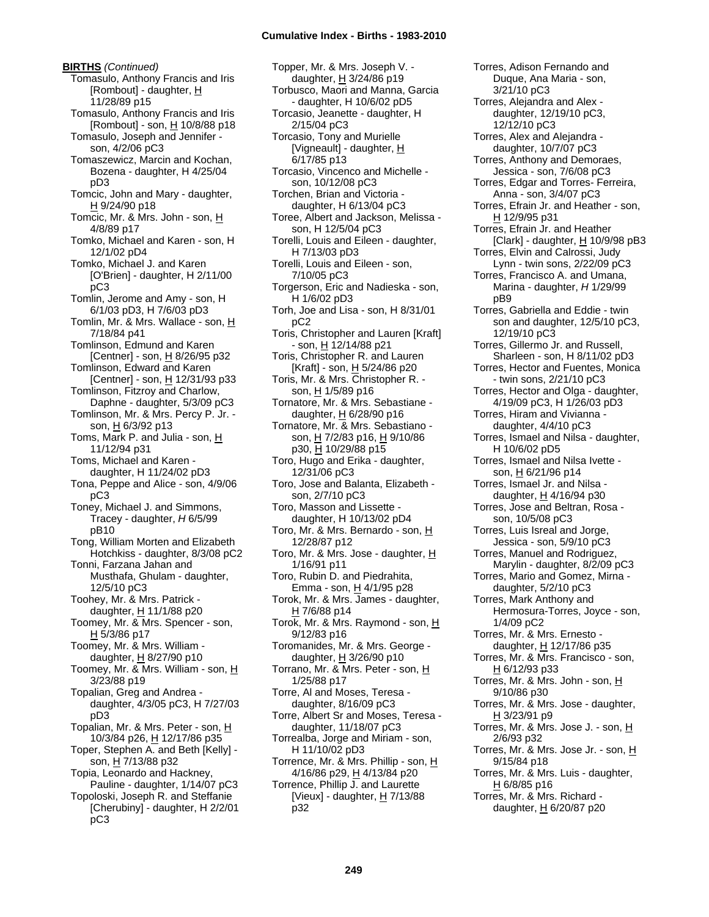**BIRTHS** *(Continued)* Tomasulo, Anthony Francis and Iris [Rombout] - daughter,  $H$ 11/28/89 p15 Tomasulo, Anthony Francis and Iris [Rombout] - son, H 10/8/88 p18 Tomasulo, Joseph and Jennifer son, 4/2/06 pC3 Tomaszewicz, Marcin and Kochan, Bozena - daughter, H 4/25/04 pD3 Tomcic, John and Mary - daughter, H 9/24/90 p18 Tomcic, Mr. & Mrs. John - son, H 4/8/89 p17 Tomko, Michael and Karen - son, H 12/1/02 pD4 Tomko, Michael J. and Karen [O'Brien] - daughter, H 2/11/00 pC3 Tomlin, Jerome and Amy - son, H 6/1/03 pD3, H 7/6/03 pD3 Tomlin, Mr. & Mrs. Wallace - son, H 7/18/84 p41 Tomlinson, Edmund and Karen [Centner] - son,  $H$  8/26/95 p32 Tomlinson, Edward and Karen [Centner] - son, H 12/31/93 p33 Tomlinson, Fitzroy and Charlow, Daphne - daughter, 5/3/09 pC3 Tomlinson, Mr. & Mrs. Percy P. Jr. son, H 6/3/92 p13 Toms, Mark P. and Julia - son, H 11/12/94 p31 Toms, Michael and Karen daughter, H 11/24/02 pD3 Tona, Peppe and Alice - son, 4/9/06 pC3 Toney, Michael J. and Simmons, Tracey - daughter, *H* 6/5/99 pB10 Tong, William Morten and Elizabeth Hotchkiss - daughter, 8/3/08 pC2 Tonni, Farzana Jahan and Musthafa, Ghulam - daughter, 12/5/10 pC3 Toohey, Mr. & Mrs. Patrick daughter, H 11/1/88 p20 Toomey, Mr. & Mrs. Spencer - son, H 5/3/86 p17 Toomey, Mr. & Mrs. William daughter, H 8/27/90 p10 Toomey, Mr. & Mrs. William - son, H 3/23/88 p19 Topalian, Greg and Andrea daughter, 4/3/05 pC3, H 7/27/03 pD3 Topalian, Mr. & Mrs. Peter - son, H 10/3/84 p26, H 12/17/86 p35 Toper, Stephen A. and Beth [Kelly] son, H 7/13/88 p32 Topia, Leonardo and Hackney, Pauline - daughter, 1/14/07 pC3 Topoloski, Joseph R. and Steffanie [Cherubiny] - daughter, H 2/2/01

pC3

Topper, Mr. & Mrs. Joseph V. daughter, H 3/24/86 p19 Torbusco, Maori and Manna, Garcia - daughter, H 10/6/02 pD5 Torcasio, Jeanette - daughter, H 2/15/04 pC3 Torcasio, Tony and Murielle [Vigneault] - daughter, H 6/17/85 p13 Torcasio, Vincenco and Michelle son, 10/12/08 pC3 Torchen, Brian and Victoria daughter, H 6/13/04 pC3 Toree, Albert and Jackson, Melissa son, H 12/5/04 pC3 Torelli, Louis and Eileen - daughter, H 7/13/03 pD3 Torelli, Louis and Eileen - son, 7/10/05 pC3 Torgerson, Eric and Nadieska - son, H 1/6/02 pD3 Torh, Joe and Lisa - son, H 8/31/01 pC2 Toris, Christopher and Lauren [Kraft] - son, H 12/14/88 p21 Toris, Christopher R. and Lauren [Kraft] - son,  $H$  5/24/86 p20 Toris, Mr. & Mrs. Christopher R. son, H 1/5/89 p16 Tornatore, Mr. & Mrs. Sebastiane daughter,  $H$  6/28/90 p16 Tornatore, Mr. & Mrs. Sebastiano son, H 7/2/83 p16, H 9/10/86 p30, H 10/29/88 p15 Toro, Hugo and Erika - daughter, 12/31/06 pC3 Toro, Jose and Balanta, Elizabeth son, 2/7/10 pC3 Toro, Masson and Lissette daughter, H 10/13/02 pD4 Toro, Mr. & Mrs. Bernardo - son, H 12/28/87 p12 Toro, Mr. & Mrs. Jose - daughter, H 1/16/91 p11 Toro, Rubin D. and Piedrahita, Emma - son,  $H$  4/1/95 p28 Torok, Mr. & Mrs. James - daughter,  $H$  7/6/88 p14 Torok, Mr. & Mrs. Raymond - son, H 9/12/83 p16 Toromanides, Mr. & Mrs. George daughter, H 3/26/90 p10 Torrano, Mr. & Mrs. Peter - son, H 1/25/88 p17 Torre, Al and Moses, Teresa daughter, 8/16/09 pC3 Torre, Albert Sr and Moses, Teresa daughter, 11/18/07 pC3 Torrealba, Jorge and Miriam - son, H 11/10/02 pD3 Torrence, Mr. & Mrs. Phillip - son, H 4/16/86 p29, H 4/13/84 p20 Torrence, Phillip J. and Laurette [Vieux] - daughter,  $H$  7/13/88 p32

Torres, Adison Fernando and Duque, Ana Maria - son, 3/21/10 pC3 Torres, Alejandra and Alex daughter, 12/19/10 pC3, 12/12/10 pC3 Torres, Alex and Alejandra daughter, 10/7/07 pC3 Torres, Anthony and Demoraes, Jessica - son, 7/6/08 pC3 Torres, Edgar and Torres- Ferreira, Anna - son, 3/4/07 pC3 Torres, Efrain Jr. and Heather - son, H 12/9/95 p31 Torres, Efrain Jr. and Heather [Clark] - daughter,  $H$  10/9/98 pB3 Torres, Elvin and Calrossi, Judy Lynn - twin sons, 2/22/09 pC3 Torres, Francisco A. and Umana, Marina - daughter, *H* 1/29/99 pB9 Torres, Gabriella and Eddie - twin son and daughter, 12/5/10 pC3, 12/19/10 pC3 Torres, Gillermo Jr. and Russell, Sharleen - son, H 8/11/02 pD3 Torres, Hector and Fuentes, Monica - twin sons, 2/21/10 pC3 Torres, Hector and Olga - daughter, 4/19/09 pC3, H 1/26/03 pD3 Torres, Hiram and Vivianna daughter, 4/4/10 pC3 Torres, Ismael and Nilsa - daughter, H 10/6/02 pD5 Torres, Ismael and Nilsa Ivette son, <u>H</u> 6/21/96 p14 Torres, Ismael Jr. and Nilsa daughter, H 4/16/94 p30 Torres, Jose and Beltran, Rosa son, 10/5/08 pC3 Torres, Luis Isreal and Jorge, Jessica - son, 5/9/10 pC3 Torres, Manuel and Rodriguez, Marylin - daughter, 8/2/09 pC3 Torres, Mario and Gomez, Mirna daughter, 5/2/10 pC3 Torres, Mark Anthony and Hermosura-Torres, Joyce - son, 1/4/09 pC2 Torres, Mr. & Mrs. Ernesto daughter, H 12/17/86 p35 Torres, Mr. & Mrs. Francisco - son, H 6/12/93 p33 Torres, Mr. & Mrs. John - son, H 9/10/86 p30 Torres, Mr. & Mrs. Jose - daughter, H 3/23/91 p9 Torres, Mr. & Mrs. Jose J. - son, H 2/6/93 p32 Torres, Mr. & Mrs. Jose Jr. - son, H 9/15/84 p18 Torres, Mr. & Mrs. Luis - daughter, H 6/8/85 p16 Torres, Mr. & Mrs. Richard -

daughter, H 6/20/87 p20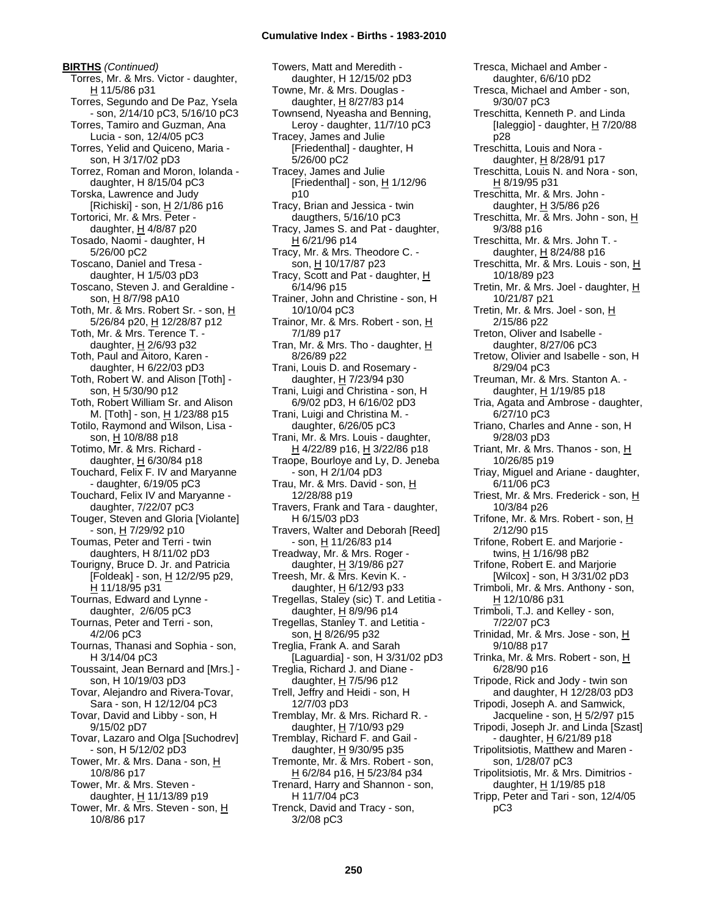**BIRTHS** *(Continued)* Torres, Mr. & Mrs. Victor - daughter, H 11/5/86 p31 Torres, Segundo and De Paz, Ysela - son, 2/14/10 pC3, 5/16/10 pC3 Torres, Tamiro and Guzman, Ana Lucia - son, 12/4/05 pC3 Torres, Yelid and Quiceno, Maria son, H 3/17/02 pD3 Torrez, Roman and Moron, Iolanda daughter, H 8/15/04 pC3 Torska, Lawrence and Judy [Richiski] - son,  $\underline{H}$  2/1/86 p16 Tortorici, Mr. & Mrs. Peter daughter, H 4/8/87 p20 Tosado, Naomi - daughter, H 5/26/00 pC2 Toscano, Daniel and Tresa daughter, H 1/5/03 pD3 Toscano, Steven J. and Geraldine son, H 8/7/98 pA10 Toth, Mr. & Mrs. Robert Sr. - son, H 5/26/84 p20, H 12/28/87 p12 Toth, Mr. & Mrs. Terence T. daughter,  $H$  2/6/93 p32 Toth, Paul and Aitoro, Karen daughter, H 6/22/03 pD3 Toth, Robert W. and Alison [Toth] son, H 5/30/90 p12 Toth, Robert William Sr. and Alison M. [Toth] - son, H 1/23/88 p15 Totilo, Raymond and Wilson, Lisa son, H 10/8/88 p18 Totimo, Mr. & Mrs. Richard daughter, H 6/30/84 p18 Touchard, Felix F. IV and Maryanne - daughter, 6/19/05 pC3 Touchard, Felix IV and Maryanne daughter, 7/22/07 pC3 Touger, Steven and Gloria [Violante] - son, H 7/29/92 p10 Toumas, Peter and Terri - twin daughters, H 8/11/02 pD3 Tourigny, Bruce D. Jr. and Patricia [Foldeak] - son, H 12/2/95 p29, H 11/18/95 p31 Tournas, Edward and Lynne daughter, 2/6/05 pC3 Tournas, Peter and Terri - son, 4/2/06 pC3 Tournas, Thanasi and Sophia - son, H 3/14/04 pC3 Toussaint, Jean Bernard and [Mrs.] son, H 10/19/03 pD3 Tovar, Alejandro and Rivera-Tovar, Sara - son, H 12/12/04 pC3 Tovar, David and Libby - son, H 9/15/02 pD7 Tovar, Lazaro and Olga [Suchodrev] - son, H 5/12/02 pD3 Tower, Mr. & Mrs. Dana - son, H 10/8/86 p17 Tower, Mr. & Mrs. Steven daughter, H 11/13/89 p19 Tower, Mr. & Mrs. Steven - son, H 10/8/86 p17

Towers, Matt and Meredith daughter, H 12/15/02 pD3 Towne, Mr. & Mrs. Douglas daughter,  $H$  8/27/83 p14 Townsend, Nyeasha and Benning, Leroy - daughter, 11/7/10 pC3 Tracey, James and Julie [Friedenthal] - daughter, H 5/26/00 pC2 Tracey, James and Julie [Friedenthal] - son, H 1/12/96 p10 Tracy, Brian and Jessica - twin daugthers, 5/16/10 pC3 Tracy, James S. and Pat - daughter, H 6/21/96 p14 Tracy, Mr. & Mrs. Theodore C. son, H 10/17/87 p23 Tracy, Scott and Pat - daughter,  $H$ 6/14/96 p15 Trainer, John and Christine - son, H 10/10/04 pC3 Trainor, Mr. & Mrs. Robert - son, H 7/1/89 p17 Tran, Mr. & Mrs. Tho - daughter,  $H$ 8/26/89 p22 Trani, Louis D. and Rosemary daughter, H 7/23/94 p30 Trani, Luigi and Christina - son, H 6/9/02 pD3, H 6/16/02 pD3 Trani, Luigi and Christina M. daughter, 6/26/05 pC3 Trani, Mr. & Mrs. Louis - daughter, H 4/22/89 p16, H 3/22/86 p18 Traope, Bourloye and Ly, D. Jeneba - son, H 2/1/04 pD3 Trau, Mr. & Mrs. David - son, H 12/28/88 p19 Travers, Frank and Tara - daughter, H 6/15/03 pD3 Travers, Walter and Deborah [Reed] - son, H 11/26/83 p14 Treadway, Mr. & Mrs. Roger daughter, H 3/19/86 p27 Treesh, Mr. & Mrs. Kevin K. daughter,  $H$  6/12/93 p33 Tregellas, Staley (sic) T. and Letitia daughter,  $H$  8/9/96 p14 Tregellas, Stanley T. and Letitia son, H 8/26/95 p32 Treglia, Frank A. and Sarah [Laguardia] - son, H 3/31/02 pD3 Treglia, Richard J. and Diane daughter,  $H$  7/5/96 p12 Trell, Jeffry and Heidi - son, H 12/7/03 pD3 Tremblay, Mr. & Mrs. Richard R. daughter, H 7/10/93 p29 Tremblay, Richard F. and Gail daughter,  $H$  9/30/95 p35 Tremonte, Mr. & Mrs. Robert - son, H 6/2/84 p16, H 5/23/84 p34 Trenard, Harry and Shannon - son, H 11/7/04 pC3 Trenck, David and Tracy - son, 3/2/08 pC3

Tresca, Michael and Amber daughter, 6/6/10 pD2 Tresca, Michael and Amber - son, 9/30/07 pC3 Treschitta, Kenneth P. and Linda [Ialeggio] - daughter, H 7/20/88 p28 Treschitta, Louis and Nora daughter,  $\underline{H}$  8/28/91 p17 Treschitta, Louis N. and Nora - son, H 8/19/95 p31 Treschitta, Mr. & Mrs. John daughter,  $H$  3/5/86 p26 Treschitta, Mr. & Mrs. John - son, H 9/3/88 p16 Treschitta, Mr. & Mrs. John T. daughter, H 8/24/88 p16 Treschitta, Mr. & Mrs. Louis - son, H 10/18/89 p23 Tretin, Mr. & Mrs. Joel - daughter, H 10/21/87 p21 Tretin, Mr. & Mrs. Joel - son, H 2/15/86 p22 Treton, Oliver and Isabelle daughter, 8/27/06 pC3 Tretow, Olivier and Isabelle - son, H 8/29/04 pC3 Treuman, Mr. & Mrs. Stanton A. daughter, H 1/19/85 p18 Tria, Agata and Ambrose - daughter, 6/27/10 pC3 Triano, Charles and Anne - son, H 9/28/03 pD3 Triant, Mr. & Mrs. Thanos - son, H 10/26/85 p19 Triay, Miguel and Ariane - daughter, 6/11/06 pC3 Triest, Mr. & Mrs. Frederick - son, H 10/3/84 p26 Trifone, Mr. & Mrs. Robert - son, H 2/12/90 p15 Trifone, Robert E. and Marjorie twins, H 1/16/98 pB2 Trifone, Robert E. and Marjorie [Wilcox] - son, H 3/31/02 pD3 Trimboli, Mr. & Mrs. Anthony - son, H 12/10/86 p31 Trimboli, T.J. and Kelley - son, 7/22/07 pC3 Trinidad, Mr. & Mrs. Jose - son, H 9/10/88 p17 Trinka, Mr. & Mrs. Robert - son, H 6/28/90 p16 Tripode, Rick and Jody - twin son and daughter, H 12/28/03 pD3 Tripodi, Joseph A. and Samwick, Jacqueline - son, H 5/2/97 p15 Tripodi, Joseph Jr. and Linda [Szast] - daughter, H 6/21/89 p18 Tripolitsiotis, Matthew and Maren son, 1/28/07 pC3 Tripolitsiotis, Mr. & Mrs. Dimitrios daughter, H 1/19/85 p18 Tripp, Peter and Tari - son, 12/4/05 pC3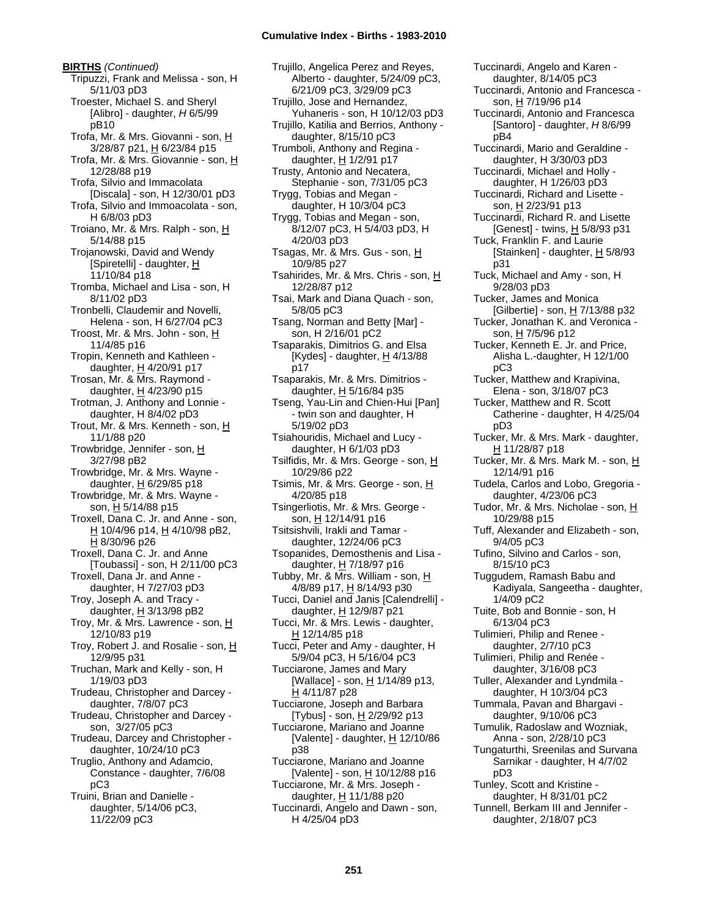**BIRTHS** *(Continued)* Tripuzzi, Frank and Melissa - son, H 5/11/03 pD3 Troester, Michael S. and Sheryl [Alibro] - daughter, *H* 6/5/99 pB10 Trofa, Mr. & Mrs. Giovanni - son, H 3/28/87 p21, H 6/23/84 p15 Trofa, Mr. & Mrs. Giovannie - son, H 12/28/88 p19 Trofa, Silvio and Immacolata [Discala] - son, H 12/30/01 pD3 Trofa, Silvio and Immoacolata - son, H 6/8/03 pD3 Troiano, Mr. & Mrs. Ralph - son, H 5/14/88 p15 Trojanowski, David and Wendy [Spiretelli] - daughter, H 11/10/84 p18 Tromba, Michael and Lisa - son, H 8/11/02 pD3 Tronbelli, Claudemir and Novelli, Helena - son, H 6/27/04 pC3 Troost, Mr. & Mrs. John - son, H 11/4/85 p16 Tropin, Kenneth and Kathleen daughter,  $H$  4/20/91 p17 Trosan, Mr. & Mrs. Raymond daughter, H 4/23/90 p15 Trotman, J. Anthony and Lonnie daughter, H 8/4/02 pD3 Trout, Mr. & Mrs. Kenneth - son, H 11/1/88 p20 Trowbridge, Jennifer - son, H 3/27/98 pB2 Trowbridge, Mr. & Mrs. Wayne daughter,  $\underline{H}$  6/29/85 p18 Trowbridge, Mr. & Mrs. Wayne son, H 5/14/88 p15 Troxell, Dana C. Jr. and Anne - son, H 10/4/96 p14, H 4/10/98 pB2, H 8/30/96 p26 Troxell, Dana C. Jr. and Anne [Toubassi] - son, H 2/11/00 pC3 Troxell, Dana Jr. and Anne daughter, H 7/27/03 pD3 Troy, Joseph A. and Tracy daughter,  $H$  3/13/98 pB2 Troy, Mr. & Mrs. Lawrence - son, H 12/10/83 p19 Troy, Robert J. and Rosalie - son, H 12/9/95 p31 Truchan, Mark and Kelly - son, H 1/19/03 pD3 Trudeau, Christopher and Darcey daughter, 7/8/07 pC3 Trudeau, Christopher and Darcey son, 3/27/05 pC3 Trudeau, Darcey and Christopher daughter, 10/24/10 pC3 Truglio, Anthony and Adamcio, Constance - daughter, 7/6/08 pC3 Truini, Brian and Danielle daughter, 5/14/06 pC3, 11/22/09 pC3

Trujillo, Angelica Perez and Reyes, Alberto - daughter, 5/24/09 pC3, 6/21/09 pC3, 3/29/09 pC3 Trujillo, Jose and Hernandez, Yuhaneris - son, H 10/12/03 pD3 Trujillo, Katilia and Berrios, Anthony daughter, 8/15/10 pC3 Trumboli, Anthony and Regina daughter,  $H$  1/2/91 p17 Trusty, Antonio and Necatera, Stephanie - son, 7/31/05 pC3 Trygg, Tobias and Megan daughter, H 10/3/04 pC3 Trygg, Tobias and Megan - son, 8/12/07 pC3, H 5/4/03 pD3, H 4/20/03 pD3 Tsagas, Mr. & Mrs. Gus - son, H 10/9/85 p27 Tsahirides, Mr. & Mrs. Chris - son, H 12/28/87 p12 Tsai, Mark and Diana Quach - son, 5/8/05 pC3 Tsang, Norman and Betty [Mar] son, H 2/16/01 pC2 Tsaparakis, Dimitrios G. and Elsa [Kydes] - daughter,  $H$  4/13/88 p17 Tsaparakis, Mr. & Mrs. Dimitrios daughter, H 5/16/84 p35 Tseng, Yau-Lin and Chien-Hui [Pan] - twin son and daughter, H 5/19/02 pD3 Tsiahouridis, Michael and Lucy daughter, H 6/1/03 pD3 Tsilfidis, Mr. & Mrs. George - son, H 10/29/86 p22 Tsimis, Mr. & Mrs. George - son, H 4/20/85 p18 Tsingerliotis, Mr. & Mrs. George son, H 12/14/91 p16 Tsitsishvili, Irakli and Tamar daughter, 12/24/06 pC3 Tsopanides, Demosthenis and Lisa daughter, H 7/18/97 p16 Tubby, Mr. & Mrs. William - son, H 4/8/89 p17, H 8/14/93 p30 Tucci, Daniel and Janis [Calendrelli] daughter, H 12/9/87 p21 Tucci, Mr. & Mrs. Lewis - daughter, H 12/14/85 p18 Tucci, Peter and Amy - daughter, H 5/9/04 pC3, H 5/16/04 pC3 Tucciarone, James and Mary [Wallace] - son, H 1/14/89 p13, H 4/11/87 p28 Tucciarone, Joseph and Barbara [Tybus] - son, H 2/29/92 p13 Tucciarone, Mariano and Joanne [Valente] - daughter,  $H$  12/10/86 p38 Tucciarone, Mariano and Joanne [Valente] - son, H 10/12/88 p16 Tucciarone, Mr. & Mrs. Joseph daughter,  $H$  11/1/88 p20 Tuccinardi, Angelo and Dawn - son, H 4/25/04 pD3

daughter, 8/14/05 pC3 Tuccinardi, Antonio and Francesca son, H 7/19/96 p14 Tuccinardi, Antonio and Francesca [Santoro] - daughter, *H* 8/6/99 pB4 Tuccinardi, Mario and Geraldine daughter, H 3/30/03 pD3 Tuccinardi, Michael and Holly daughter, H 1/26/03 pD3 Tuccinardi, Richard and Lisette son, H 2/23/91 p13 Tuccinardi, Richard R. and Lisette [Genest] - twins, H 5/8/93 p31 Tuck, Franklin F. and Laurie [Stainken] - daughter,  $H$  5/8/93 p31 Tuck, Michael and Amy - son, H 9/28/03 pD3 Tucker, James and Monica [Gilbertie] - son,  $H$  7/13/88 p32 Tucker, Jonathan K. and Veronica son, H 7/5/96 p12 Tucker, Kenneth E. Jr. and Price, Alisha L.-daughter, H 12/1/00 pC3 Tucker, Matthew and Krapivina, Elena - son, 3/18/07 pC3 Tucker, Matthew and R. Scott Catherine - daughter, H 4/25/04 pD3 Tucker, Mr. & Mrs. Mark - daughter, H 11/28/87 p18 Tucker, Mr. & Mrs. Mark M. - son, H 12/14/91 p16 Tudela, Carlos and Lobo, Gregoria daughter, 4/23/06 pC3 Tudor, Mr. & Mrs. Nicholae - son, H 10/29/88 p15 Tuff, Alexander and Elizabeth - son, 9/4/05 pC3 Tufino, Silvino and Carlos - son, 8/15/10 pC3 Tuggudem, Ramash Babu and Kadiyala, Sangeetha - daughter, 1/4/09 pC2 Tuite, Bob and Bonnie - son, H 6/13/04 pC3 Tulimieri, Philip and Renee daughter, 2/7/10 pC3 Tulimieri, Philip and Renée daughter, 3/16/08 pC3 Tuller, Alexander and Lyndmila daughter, H 10/3/04 pC3 Tummala, Pavan and Bhargavi daughter, 9/10/06 pC3 Tumulik, Radoslaw and Wozniak, Anna - son, 2/28/10 pC3 Tungaturthi, Sreenilas and Survana Sarnikar - daughter, H 4/7/02 pD3 Tunley, Scott and Kristine daughter, H 8/31/01 pC2 Tunnell, Berkam III and Jennifer daughter, 2/18/07 pC3

Tuccinardi, Angelo and Karen -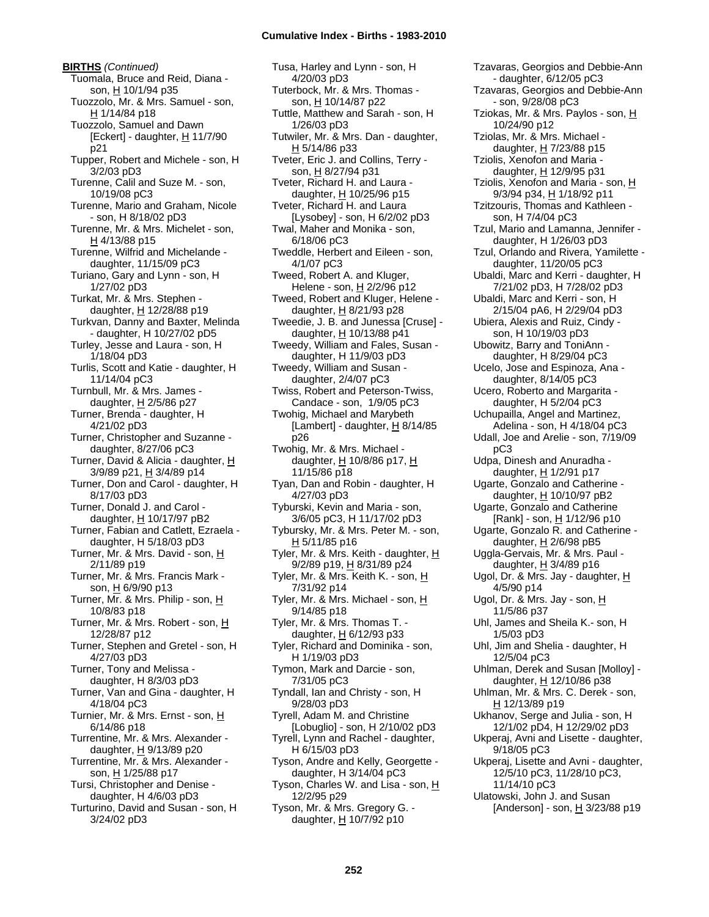**BIRTHS** *(Continued)* Tuomala, Bruce and Reid, Diana son, H 10/1/94 p35 Tuozzolo, Mr. & Mrs. Samuel - son, H 1/14/84 p18 Tuozzolo, Samuel and Dawn [Eckert] - daughter,  $H$  11/7/90 p21 Tupper, Robert and Michele - son, H 3/2/03 pD3 Turenne, Calil and Suze M. - son, 10/19/08 pC3 Turenne, Mario and Graham, Nicole - son, H 8/18/02 pD3 Turenne, Mr. & Mrs. Michelet - son,  $H$  4/13/88 p15 Turenne, Wilfrid and Michelande daughter, 11/15/09 pC3 Turiano, Gary and Lynn - son, H 1/27/02 pD3 Turkat, Mr. & Mrs. Stephen daughter, H 12/28/88 p19 Turkvan, Danny and Baxter, Melinda - daughter, H 10/27/02 pD5 Turley, Jesse and Laura - son, H 1/18/04 pD3 Turlis, Scott and Katie - daughter, H 11/14/04 pC3 Turnbull, Mr. & Mrs. James daughter, H 2/5/86 p27 Turner, Brenda - daughter, H 4/21/02 pD3 Turner, Christopher and Suzanne daughter, 8/27/06 pC3 Turner, David & Alicia - daughter, H 3/9/89 p21, H 3/4/89 p14 Turner, Don and Carol - daughter, H 8/17/03 pD3 Turner, Donald J. and Carol daughter,  $H$  10/17/97 pB2 Turner, Fabian and Catlett, Ezraela daughter, H 5/18/03 pD3 Turner, Mr. & Mrs. David - son, H 2/11/89 p19 Turner, Mr. & Mrs. Francis Mark son, H 6/9/90 p13 Turner, Mr. & Mrs. Philip - son, H 10/8/83 p18 Turner, Mr. & Mrs. Robert - son, H 12/28/87 p12 Turner, Stephen and Gretel - son, H 4/27/03 pD3 Turner, Tony and Melissa daughter, H 8/3/03 pD3 Turner, Van and Gina - daughter, H 4/18/04 pC3 Turnier, Mr. & Mrs. Ernst - son, H 6/14/86 p18 Turrentine, Mr. & Mrs. Alexander daughter,  $H$  9/13/89 p20 Turrentine, Mr. & Mrs. Alexander son, H 1/25/88 p17 Tursi, Christopher and Denise daughter, H 4/6/03 pD3 Turturino, David and Susan - son, H 3/24/02 pD3

Tusa, Harley and Lynn - son, H 4/20/03 pD3 Tuterbock, Mr. & Mrs. Thomas son, H 10/14/87 p22 Tuttle, Matthew and Sarah - son, H 1/26/03 pD3 Tutwiler, Mr. & Mrs. Dan - daughter, H 5/14/86 p33 Tveter, Eric J. and Collins, Terry son, H 8/27/94 p31 Tveter, Richard H. and Laura daughter,  $H$  10/25/96 p15 Tveter, Richard H. and Laura [Lysobey] - son, H 6/2/02 pD3 Twal, Maher and Monika - son, 6/18/06 pC3 Tweddle, Herbert and Eileen - son, 4/1/07 pC3 Tweed, Robert A. and Kluger, Helene - son, H 2/2/96 p12 Tweed, Robert and Kluger, Helene daughter,  $H$  8/21/93 p28 Tweedie, J. B. and Junessa [Cruse] daughter, H 10/13/88 p41 Tweedy, William and Fales, Susan daughter, H 11/9/03 pD3 Tweedy, William and Susan daughter, 2/4/07 pC3 Twiss, Robert and Peterson-Twiss, Candace - son, 1/9/05 pC3 Twohig, Michael and Marybeth [Lambert] - daughter,  $H$  8/14/85 p26 Twohig, Mr. & Mrs. Michael daughter, H 10/8/86 p17, H 11/15/86 p18 Tyan, Dan and Robin - daughter, H 4/27/03 pD3 Tyburski, Kevin and Maria - son, 3/6/05 pC3, H 11/17/02 pD3 Tybursky, Mr. & Mrs. Peter M. - son,  $H$  5/11/85 p16 Tyler, Mr. & Mrs. Keith - daughter, H 9/2/89 p19, H 8/31/89 p24 Tyler, Mr. & Mrs. Keith K. - son, H 7/31/92 p14 Tyler, Mr. & Mrs. Michael - son, H 9/14/85 p18 Tyler, Mr. & Mrs. Thomas T. daughter, H 6/12/93 p33 Tyler, Richard and Dominika - son, H 1/19/03 pD3 Tymon, Mark and Darcie - son, 7/31/05 pC3 Tyndall, Ian and Christy - son, H 9/28/03 pD3 Tyrell, Adam M. and Christine [Lobuglio] - son, H 2/10/02 pD3 Tyrell, Lynn and Rachel - daughter, H 6/15/03 pD3 Tyson, Andre and Kelly, Georgette daughter, H 3/14/04 pC3 Tyson, Charles W. and Lisa - son, H 12/2/95 p29 Tyson, Mr. & Mrs. Gregory G. daughter,  $H$  10/7/92 p10

Tzavaras, Georgios and Debbie-Ann - daughter, 6/12/05 pC3 Tzavaras, Georgios and Debbie-Ann - son, 9/28/08 pC3 Tziokas, Mr. & Mrs. Paylos - son, H 10/24/90 p12 Tziolas, Mr. & Mrs. Michael daughter, H 7/23/88 p15 Tziolis, Xenofon and Maria daughter, H 12/9/95 p31 Tziolis, Xenofon and Maria - son, H 9/3/94 p34, H 1/18/92 p11 Tzitzouris, Thomas and Kathleen son, H 7/4/04 pC3 Tzul, Mario and Lamanna, Jennifer daughter, H 1/26/03 pD3 Tzul, Orlando and Rivera, Yamilette daughter, 11/20/05 pC3 Ubaldi, Marc and Kerri - daughter, H 7/21/02 pD3, H 7/28/02 pD3 Ubaldi, Marc and Kerri - son, H 2/15/04 pA6, H 2/29/04 pD3 Ubiera, Alexis and Ruiz, Cindy son, H 10/19/03 pD3 Ubowitz, Barry and ToniAnn daughter, H 8/29/04 pC3 Ucelo, Jose and Espinoza, Ana daughter, 8/14/05 pC3 Ucero, Roberto and Margarita daughter, H 5/2/04 pC3 Uchupailla, Angel and Martinez, Adelina - son, H 4/18/04 pC3 Udall, Joe and Arelie - son, 7/19/09 pC3 Udpa, Dinesh and Anuradha daughter, H 1/2/91 p17 Ugarte, Gonzalo and Catherine daughter, H 10/10/97 pB2 Ugarte, Gonzalo and Catherine [Rank] - son, H 1/12/96 p10 Ugarte, Gonzalo R. and Catherine daughter,  $H$  2/6/98 pB5 Uggla-Gervais, Mr. & Mrs. Paul daughter, H 3/4/89 p16 Ugol, Dr. & Mrs. Jay - daughter, H 4/5/90 p14 Ugol, Dr. & Mrs. Jay - son, H 11/5/86 p37 Uhl, James and Sheila K.- son, H 1/5/03 pD3 Uhl, Jim and Shelia - daughter, H 12/5/04 pC3 Uhlman, Derek and Susan [Molloy] daughter, H 12/10/86 p38 Uhlman, Mr. & Mrs. C. Derek - son, H 12/13/89 p19 Ukhanov, Serge and Julia - son, H 12/1/02 pD4, H 12/29/02 pD3 Ukperaj, Avni and Lisette - daughter, 9/18/05 pC3 Ukperaj, Lisette and Avni - daughter, 12/5/10 pC3, 11/28/10 pC3, 11/14/10 pC3 Ulatowski, John J. and Susan [Anderson] - son,  $\underline{H}$  3/23/88 p19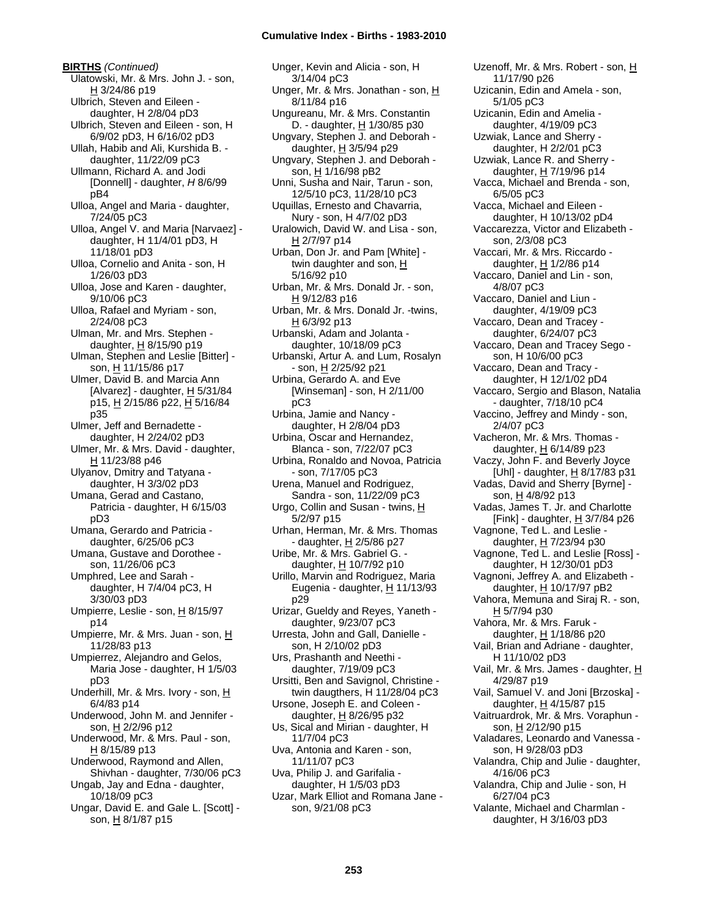**BIRTHS** *(Continued)* Ulatowski, Mr. & Mrs. John J. - son, H 3/24/86 p19 Ulbrich, Steven and Eileen daughter, H 2/8/04 pD3 Ulbrich, Steven and Eileen - son, H 6/9/02 pD3, H 6/16/02 pD3 Ullah, Habib and Ali, Kurshida B. daughter, 11/22/09 pC3 Ullmann, Richard A. and Jodi [Donnell] - daughter, *H* 8/6/99 pB4 Ulloa, Angel and Maria - daughter, 7/24/05 pC3 Ulloa, Angel V. and Maria [Narvaez] daughter, H 11/4/01 pD3, H 11/18/01 pD3 Ulloa, Cornelio and Anita - son, H 1/26/03 pD3 Ulloa, Jose and Karen - daughter, 9/10/06 pC3 Ulloa, Rafael and Myriam - son, 2/24/08 pC3 Ulman, Mr. and Mrs. Stephen daughter,  $H$  8/15/90 p19 Ulman, Stephen and Leslie [Bitter] son, H 11/15/86 p17 Ulmer, David B. and Marcia Ann [Alvarez] - daughter, H 5/31/84 p15, H 2/15/86 p22, H 5/16/84 p35 Ulmer, Jeff and Bernadette daughter, H 2/24/02 pD3 Ulmer, Mr. & Mrs. David - daughter, H 11/23/88 p46 Ulyanov, Dmitry and Tatyana daughter, H 3/3/02 pD3 Umana, Gerad and Castano, Patricia - daughter, H 6/15/03 pD3 Umana, Gerardo and Patricia daughter, 6/25/06 pC3 Umana, Gustave and Dorothee son, 11/26/06 pC3 Umphred, Lee and Sarah daughter, H 7/4/04 pC3, H 3/30/03 pD3 Umpierre, Leslie - son, H 8/15/97 p14 Umpierre, Mr. & Mrs. Juan - son, H 11/28/83 p13 Umpierrez, Alejandro and Gelos, Maria Jose - daughter, H 1/5/03 pD3 Underhill, Mr. & Mrs. Ivory - son, H 6/4/83 p14 Underwood, John M. and Jennifer son, H 2/2/96 p12 Underwood, Mr. & Mrs. Paul - son, H 8/15/89 p13 Underwood, Raymond and Allen, Shivhan - daughter, 7/30/06 pC3 Ungab, Jay and Edna - daughter, 10/18/09 pC3 Ungar, David E. and Gale L. [Scott] son, H 8/1/87 p15

Unger, Kevin and Alicia - son, H 3/14/04 pC3 Unger, Mr. & Mrs. Jonathan - son, H 8/11/84 p16 Ungureanu, Mr. & Mrs. Constantin D. - daughter, H 1/30/85 p30 Ungvary, Stephen J. and Deborah daughter, H 3/5/94 p29 Ungvary, Stephen J. and Deborah son, H 1/16/98 pB2 Unni, Susha and Nair, Tarun - son, 12/5/10 pC3, 11/28/10 pC3 Uquillas, Ernesto and Chavarria, Nury - son, H 4/7/02 pD3 Uralowich, David W. and Lisa - son, H 2/7/97 p14 Urban, Don Jr. and Pam [White] twin daughter and son, H 5/16/92 p10 Urban, Mr. & Mrs. Donald Jr. - son, H 9/12/83 p16 Urban, Mr. & Mrs. Donald Jr. -twins, H 6/3/92 p13 Urbanski, Adam and Jolanta daughter, 10/18/09 pC3 Urbanski, Artur A. and Lum, Rosalyn - son, H 2/25/92 p21 Urbina, Gerardo A. and Eve [Winseman] - son, H 2/11/00 pC3 Urbina, Jamie and Nancy daughter, H 2/8/04 pD3 Urbina, Oscar and Hernandez, Blanca - son, 7/22/07 pC3 Urbina, Ronaldo and Novoa, Patricia - son, 7/17/05 pC3 Urena, Manuel and Rodriguez, Sandra - son, 11/22/09 pC3 Urgo, Collin and Susan - twins, H 5/2/97 p15 Urhan, Herman, Mr. & Mrs. Thomas - daughter,  $H$  2/5/86 p27 Uribe, Mr. & Mrs. Gabriel G. daughter, H 10/7/92 p10 Urillo, Marvin and Rodriguez, Maria Eugenia - daughter,  $H$  11/13/93 p29 Urizar, Gueldy and Reyes, Yaneth daughter, 9/23/07 pC3 Urresta, John and Gall, Danielle son, H 2/10/02 pD3 Urs, Prashanth and Neethi daughter, 7/19/09 pC3 Ursitti, Ben and Savignol, Christine twin daugthers, H 11/28/04 pC3 Ursone, Joseph E. and Coleen daughter,  $H$  8/26/95 p32 Us, Sical and Mirian - daughter, H 11/7/04 pC3 Uva, Antonia and Karen - son, 11/11/07 pC3 Uva, Philip J. and Garifalia daughter, H 1/5/03 pD3 Uzar, Mark Elliot and Romana Jane son, 9/21/08 pC3

Uzenoff, Mr. & Mrs. Robert - son, H 11/17/90 p26 Uzicanin, Edin and Amela - son, 5/1/05 pC3 Uzicanin, Edin and Amelia daughter, 4/19/09 pC3 Uzwiak, Lance and Sherry daughter, H 2/2/01 pC3 Uzwiak, Lance R. and Sherry daughter, H 7/19/96 p14 Vacca, Michael and Brenda - son, 6/5/05 pC3 Vacca, Michael and Eileen daughter, H 10/13/02 pD4 Vaccarezza, Victor and Elizabeth son, 2/3/08 pC3 Vaccari, Mr. & Mrs. Riccardo daughter,  $H$  1/2/86 p14 Vaccaro, Daniel and Lin - son, 4/8/07 pC3 Vaccaro, Daniel and Liun daughter, 4/19/09 pC3 Vaccaro, Dean and Tracey daughter, 6/24/07 pC3 Vaccaro, Dean and Tracey Sego son, H 10/6/00 pC3 Vaccaro, Dean and Tracy daughter, H 12/1/02 pD4 Vaccaro, Sergio and Blason, Natalia - daughter, 7/18/10 pC4 Vaccino, Jeffrey and Mindy - son, 2/4/07 pC3 Vacheron, Mr. & Mrs. Thomas daughter, H 6/14/89 p23 Vaczy, John F. and Beverly Joyce [Uhl] - daughter,  $H$  8/17/83 p31 Vadas, David and Sherry [Byrne] son, H 4/8/92 p13 Vadas, James T. Jr. and Charlotte [Fink] - daughter,  $H$  3/7/84 p26 Vagnone, Ted L. and Leslie daughter, H 7/23/94 p30 Vagnone, Ted L. and Leslie [Ross] daughter, H 12/30/01 pD3 Vagnoni, Jeffrey A. and Elizabeth daughter,  $\overline{H}$  10/17/97 pB2 Vahora, Memuna and Siraj R. - son, H 5/7/94 p30 Vahora, Mr. & Mrs. Faruk daughter, H 1/18/86 p20 Vail, Brian and Adriane - daughter, H 11/10/02 pD3 Vail, Mr. & Mrs. James - daughter, H 4/29/87 p19 Vail, Samuel V. and Joni [Brzoska] daughter, H 4/15/87 p15 Vaitruardrok, Mr. & Mrs. Voraphun son, H 2/12/90 p15 Valadares, Leonardo and Vanessa son, H 9/28/03 pD3 Valandra, Chip and Julie - daughter, 4/16/06 pC3 Valandra, Chip and Julie - son, H 6/27/04 pC3 Valante, Michael and Charmlan daughter, H 3/16/03 pD3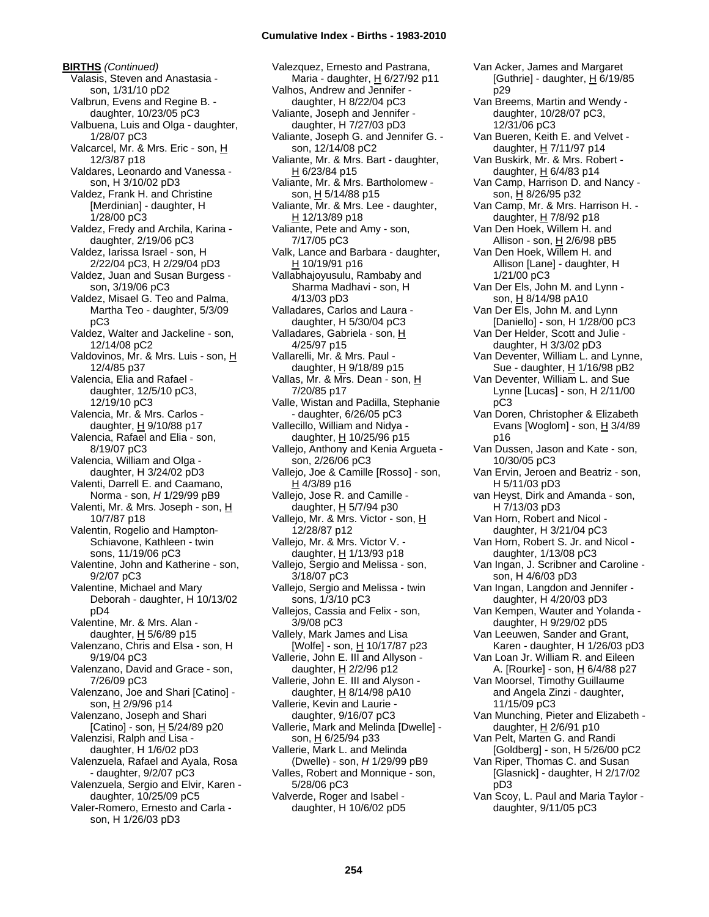**BIRTHS** *(Continued)* Valasis, Steven and Anastasia son, 1/31/10 pD2 Valbrun, Evens and Regine B. daughter, 10/23/05 pC3 Valbuena, Luis and Olga - daughter, 1/28/07 pC3 Valcarcel, Mr. & Mrs. Eric - son, H 12/3/87 p18 Valdares, Leonardo and Vanessa son, H 3/10/02 pD3 Valdez, Frank H. and Christine [Merdinian] - daughter, H 1/28/00 pC3 Valdez, Fredy and Archila, Karina daughter, 2/19/06 pC3 Valdez, Iarissa Israel - son, H 2/22/04 pC3, H 2/29/04 pD3 Valdez, Juan and Susan Burgess son, 3/19/06 pC3 Valdez, Misael G. Teo and Palma, Martha Teo - daughter, 5/3/09 pC3 Valdez, Walter and Jackeline - son, 12/14/08 pC2 Valdovinos, Mr. & Mrs. Luis - son, H 12/4/85 p37 Valencia, Elia and Rafael daughter, 12/5/10 pC3, 12/19/10 pC3 Valencia, Mr. & Mrs. Carlos daughter,  $H$  9/10/88 p17 Valencia, Rafael and Elia - son, 8/19/07 pC3 Valencia, William and Olga daughter, H 3/24/02 pD3 Valenti, Darrell E. and Caamano, Norma - son, *H* 1/29/99 pB9 Valenti, Mr. & Mrs. Joseph - son, H 10/7/87 p18 Valentin, Rogelio and Hampton-Schiavone, Kathleen - twin sons, 11/19/06 pC3 Valentine, John and Katherine - son, 9/2/07 pC3 Valentine, Michael and Mary Deborah - daughter, H 10/13/02 pD4 Valentine, Mr. & Mrs. Alan daughter,  $H$  5/6/89 p15 Valenzano, Chris and Elsa - son, H 9/19/04 pC3 Valenzano, David and Grace - son, 7/26/09 pC3 Valenzano, Joe and Shari [Catino] son, H 2/9/96 p14 Valenzano, Joseph and Shari [Catino] - son,  $H$  5/24/89 p20 Valenzisi, Ralph and Lisa daughter, H 1/6/02 pD3 Valenzuela, Rafael and Ayala, Rosa - daughter, 9/2/07 pC3 Valenzuela, Sergio and Elvir, Karen daughter, 10/25/09 pC5 Valer-Romero, Ernesto and Carla son, H 1/26/03 pD3

Valezquez, Ernesto and Pastrana, Maria - daughter, H 6/27/92 p11 Valhos, Andrew and Jennifer daughter, H 8/22/04 pC3 Valiante, Joseph and Jennifer daughter, H 7/27/03 pD3 Valiante, Joseph G. and Jennifer G. son, 12/14/08 pC2 Valiante, Mr. & Mrs. Bart - daughter, H 6/23/84 p15 Valiante, Mr. & Mrs. Bartholomew son, H 5/14/88 p15 Valiante, Mr. & Mrs. Lee - daughter, H 12/13/89 p18 Valiante, Pete and Amy - son, 7/17/05 pC3 Valk, Lance and Barbara - daughter, H 10/19/91 p16 Vallabhajoyusulu, Rambaby and Sharma Madhavi - son, H 4/13/03 pD3 Valladares, Carlos and Laura daughter, H 5/30/04 pC3 Valladares, Gabriela - son, H 4/25/97 p15 Vallarelli, Mr. & Mrs. Paul daughter,  $H$  9/18/89 p15 Vallas, Mr. & Mrs. Dean - son, H 7/20/85 p17 Valle, Wistan and Padilla, Stephanie - daughter, 6/26/05 pC3 Vallecillo, William and Nidya daughter, H 10/25/96 p15 Vallejo, Anthony and Kenia Argueta son, 2/26/06 pC3 Vallejo, Joe & Camille [Rosso] - son,  $H$  4/3/89 p16 Vallejo, Jose R. and Camille daughter,  $H$  5/7/94 p30 Vallejo, Mr. & Mrs. Victor - son, H 12/28/87 p12 Vallejo, Mr. & Mrs. Victor V. daughter, H 1/13/93 p18 Vallejo, Sergio and Melissa - son, 3/18/07 pC3 Vallejo, Sergio and Melissa - twin sons, 1/3/10 pC3 Vallejos, Cassia and Felix - son, 3/9/08 pC3 Vallely, Mark James and Lisa [Wolfe] - son, H 10/17/87 p23 Vallerie, John E. III and Allyson daughter, H 2/2/96 p12 Vallerie, John E. III and Alyson daughter,  $H$  8/14/98 pA10 Vallerie, Kevin and Laurie daughter, 9/16/07 pC3 Vallerie, Mark and Melinda [Dwelle] son, H 6/25/94 p33 Vallerie, Mark L. and Melinda (Dwelle) - son, *H* 1/29/99 pB9 Valles, Robert and Monnique - son, 5/28/06 pC3 Valverde, Roger and Isabel daughter, H 10/6/02 pD5

[Guthrie] - daughter, H 6/19/85 p29 Van Breems, Martin and Wendy daughter, 10/28/07 pC3, 12/31/06 pC3 Van Bueren, Keith E. and Velvet daughter, H 7/11/97 p14 Van Buskirk, Mr. & Mrs. Robert daughter, H 6/4/83 p14 Van Camp, Harrison D. and Nancy son, H 8/26/95 p32 Van Camp, Mr. & Mrs. Harrison H. daughter, H 7/8/92 p18 Van Den Hoek, Willem H. and Allison - son,  $H$  2/6/98 pB5 Van Den Hoek, Willem H. and Allison [Lane] - daughter, H 1/21/00 pC3 Van Der Els, John M. and Lynn son, H 8/14/98 pA10 Van Der Els, John M. and Lynn [Daniello] - son, H 1/28/00 pC3 Van Der Helder, Scott and Julie daughter, H 3/3/02 pD3 Van Deventer, William L. and Lynne, Sue - daughter, H 1/16/98 pB2 Van Deventer, William L. and Sue Lynne [Lucas] - son, H 2/11/00 pC3 Van Doren, Christopher & Elizabeth Evans [Woglom] - son,  $\underline{H}$  3/4/89 p16 Van Dussen, Jason and Kate - son, 10/30/05 pC3 Van Ervin, Jeroen and Beatriz - son, H 5/11/03 pD3 van Heyst, Dirk and Amanda - son, H 7/13/03 pD3 Van Horn, Robert and Nicol daughter, H 3/21/04 pC3 Van Horn, Robert S. Jr. and Nicol daughter, 1/13/08 pC3 Van Ingan, J. Scribner and Caroline son, H 4/6/03 pD3 Van Ingan, Langdon and Jennifer daughter, H 4/20/03 pD3 Van Kempen, Wauter and Yolanda daughter, H 9/29/02 pD5 Van Leeuwen, Sander and Grant, Karen - daughter, H 1/26/03 pD3 Van Loan Jr. William R. and Eileen A. [Rourke] - son, H 6/4/88 p27 Van Moorsel, Timothy Guillaume and Angela Zinzi - daughter, 11/15/09 pC3 Van Munching, Pieter and Elizabeth daughter,  $H$  2/6/91 p10 Van Pelt, Marten G. and Randi [Goldberg] - son, H 5/26/00 pC2 Van Riper, Thomas C. and Susan [Glasnick] - daughter, H 2/17/02 pD3 Van Scoy, L. Paul and Maria Taylor -

Van Acker, James and Margaret

daughter, 9/11/05 pC3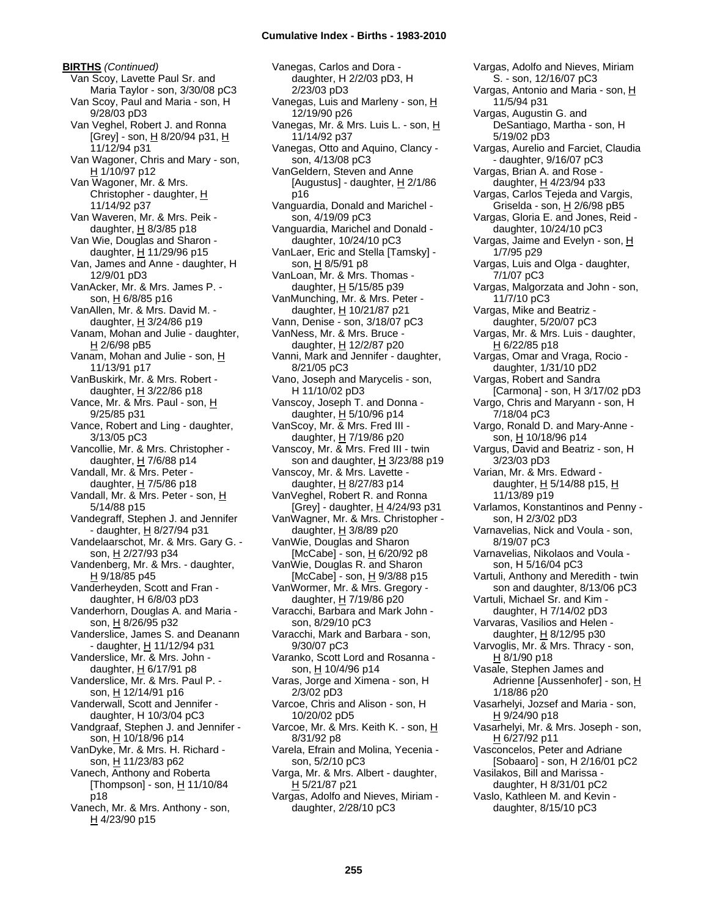**BIRTHS** *(Continued)* Van Scoy, Lavette Paul Sr. and Maria Taylor - son, 3/30/08 pC3 Van Scoy, Paul and Maria - son, H 9/28/03 pD3 Van Veghel, Robert J. and Ronna  $[Grey] - son, H 8/20/94 p31, H$ 11/12/94 p31 Van Wagoner, Chris and Mary - son, H 1/10/97 p12 Van Wagoner, Mr. & Mrs. Christopher - daughter, H 11/14/92 p37 Van Waveren, Mr. & Mrs. Peik daughter,  $H$  8/3/85 p18 Van Wie, Douglas and Sharon daughter, H 11/29/96 p15 Van, James and Anne - daughter, H 12/9/01 pD3 VanAcker, Mr. & Mrs. James P. son, H 6/8/85 p16 VanAllen, Mr. & Mrs. David M. daughter, H 3/24/86 p19 Vanam, Mohan and Julie - daughter, H 2/6/98 pB5 Vanam, Mohan and Julie - son, H 11/13/91 p17 VanBuskirk, Mr. & Mrs. Robert daughter,  $H$  3/22/86 p18 Vance, Mr. & Mrs. Paul - son, H 9/25/85 p31 Vance, Robert and Ling - daughter, 3/13/05 pC3 Vancollie, Mr. & Mrs. Christopher daughter, H 7/6/88 p14 Vandall, Mr. & Mrs. Peter daughter,  $H$  7/5/86 p18 Vandall, Mr. & Mrs. Peter - son, H 5/14/88 p15 Vandegraff, Stephen J. and Jennifer - daughter, H 8/27/94 p31 Vandelaarschot, Mr. & Mrs. Gary G. son, H 2/27/93 p34 Vandenberg, Mr. & Mrs. - daughter, H 9/18/85 p45 Vanderheyden, Scott and Fran daughter, H 6/8/03 pD3 Vanderhorn, Douglas A. and Maria son, H 8/26/95 p32 Vanderslice, James S. and Deanann - daughter, H 11/12/94 p31 Vanderslice, Mr. & Mrs. John daughter,  $H$  6/17/91 p8 Vanderslice, Mr. & Mrs. Paul P. son, H 12/14/91 p16 Vanderwall, Scott and Jennifer daughter, H 10/3/04 pC3 Vandgraaf, Stephen J. and Jennifer son, H 10/18/96 p14 VanDyke, Mr. & Mrs. H. Richard son, H 11/23/83 p62 Vanech, Anthony and Roberta [Thompson] - son, H 11/10/84 p18

Vanech, Mr. & Mrs. Anthony - son, H 4/23/90 p15

Vanegas, Carlos and Dora daughter, H 2/2/03 pD3, H 2/23/03 pD3 Vanegas, Luis and Marleny - son, H 12/19/90 p26 Vanegas, Mr. & Mrs. Luis L. - son, H 11/14/92 p37 Vanegas, Otto and Aquino, Clancy son, 4/13/08 pC3 VanGeldern, Steven and Anne [Augustus] - daughter,  $H$  2/1/86 p16 Vanguardia, Donald and Marichel son, 4/19/09 pC3 Vanguardia, Marichel and Donald daughter, 10/24/10 pC3 VanLaer, Eric and Stella [Tamsky] son, H 8/5/91 p8 VanLoan, Mr. & Mrs. Thomas daughter, H 5/15/85 p39 VanMunching, Mr. & Mrs. Peter daughter, H 10/21/87 p21 Vann, Denise - son, 3/18/07 pC3 VanNess, Mr. & Mrs. Bruce daughter,  $H$  12/2/87 p20 Vanni, Mark and Jennifer - daughter, 8/21/05 pC3 Vano, Joseph and Marycelis - son, H 11/10/02 pD3 Vanscoy, Joseph T. and Donna daughter,  $H$  5/10/96 p14 VanScoy, Mr. & Mrs. Fred III daughter, H 7/19/86 p20 Vanscoy, Mr. & Mrs. Fred III - twin son and daughter, H 3/23/88 p19 Vanscoy, Mr. & Mrs. Lavette daughter, H 8/27/83 p14 VanVeghel, Robert R. and Ronna [Grey] - daughter, H 4/24/93 p31 VanWagner, Mr. & Mrs. Christopher daughter, H 3/8/89 p20 VanWie, Douglas and Sharon [McCabe] - son, H 6/20/92 p8 VanWie, Douglas R. and Sharon [McCabe] - son, <u>H</u> 9/3/88 p15 VanWormer, Mr. & Mrs. Gregory daughter, H 7/19/86 p20 Varacchi, Barbara and Mark John son, 8/29/10 pC3 Varacchi, Mark and Barbara - son, 9/30/07 pC3 Varanko, Scott Lord and Rosanna son, H 10/4/96 p14 Varas, Jorge and Ximena - son, H 2/3/02 pD3 Varcoe, Chris and Alison - son, H 10/20/02 pD5 Varcoe, Mr. & Mrs. Keith K. - son, H 8/31/92 p8 Varela, Efrain and Molina, Yecenia son, 5/2/10 pC3 Varga, Mr. & Mrs. Albert - daughter, H 5/21/87 p21 Vargas, Adolfo and Nieves, Miriam -

Vargas, Adolfo and Nieves, Miriam S. - son, 12/16/07 pC3 Vargas, Antonio and Maria - son, H 11/5/94 p31 Vargas, Augustin G. and DeSantiago, Martha - son, H 5/19/02 pD3 Vargas, Aurelio and Farciet, Claudia - daughter, 9/16/07 pC3 Vargas, Brian A. and Rose daughter, H 4/23/94 p33 Vargas, Carlos Tejeda and Vargis, Griselda - son,  $H$  2/6/98 pB5 Vargas, Gloria E. and Jones, Reid daughter, 10/24/10 pC3 Vargas, Jaime and Evelyn - son, H 1/7/95 p29 Vargas, Luis and Olga - daughter, 7/1/07 pC3 Vargas, Malgorzata and John - son, 11/7/10 pC3 Vargas, Mike and Beatriz daughter, 5/20/07 pC3 Vargas, Mr. & Mrs. Luis - daughter, H 6/22/85 p18 Vargas, Omar and Vraga, Rocio daughter, 1/31/10 pD2 Vargas, Robert and Sandra [Carmona] - son, H 3/17/02 pD3 Vargo, Chris and Maryann - son, H 7/18/04 pC3 Vargo, Ronald D. and Mary-Anne son, H 10/18/96 p14 Vargus, David and Beatriz - son, H 3/23/03 pD3 Varian, Mr. & Mrs. Edward daughter, H 5/14/88 p15, H 11/13/89 p19 Varlamos, Konstantinos and Penny son, H 2/3/02 pD3 Varnavelias, Nick and Voula - son, 8/19/07 pC3 Varnavelias, Nikolaos and Voula son, H 5/16/04 pC3 Vartuli, Anthony and Meredith - twin son and daughter, 8/13/06 pC3 Vartuli, Michael Sr. and Kim daughter, H 7/14/02 pD3 Varvaras, Vasilios and Helen daughter, H 8/12/95 p30 Varvoglis, Mr.  $\overline{\mathbf{8}}$  Mrs. Thracy - son, H 8/1/90 p18 Vasale, Stephen James and Adrienne [Aussenhofer] - son, H 1/18/86 p20 Vasarhelyi, Jozsef and Maria - son, H 9/24/90 p18 Vasarhelyi, Mr. & Mrs. Joseph - son, H 6/27/92 p11 Vasconcelos, Peter and Adriane [Sobaaro] - son, H 2/16/01 pC2 Vasilakos, Bill and Marissa daughter, H 8/31/01 pC2 Vaslo, Kathleen M. and Kevin daughter, 8/15/10 pC3

daughter, 2/28/10 pC3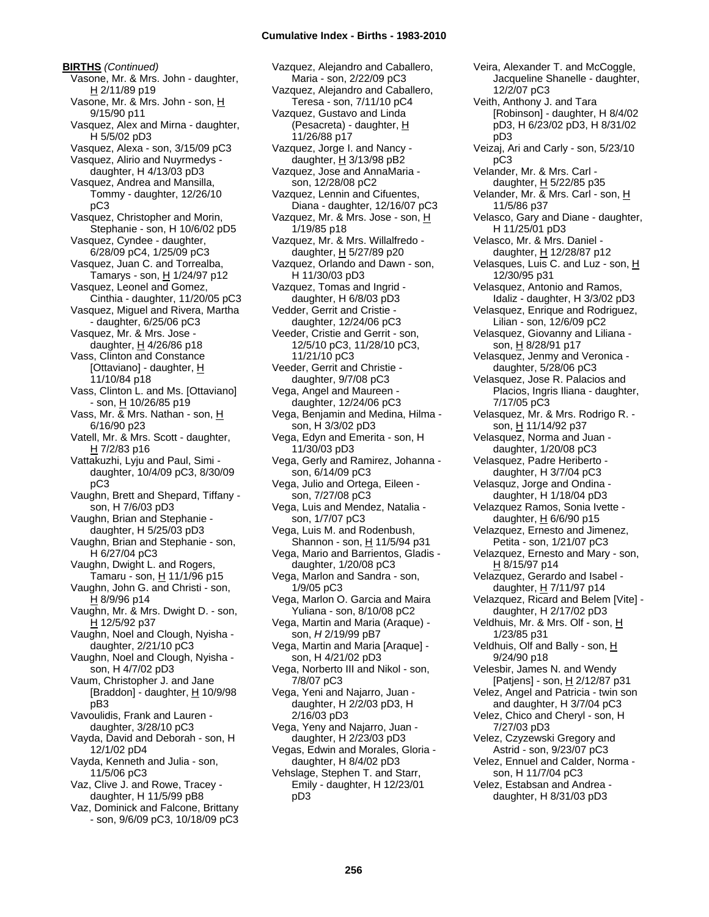**BIRTHS** *(Continued)* Vasone, Mr. & Mrs. John - daughter, H 2/11/89 p19 Vasone, Mr. & Mrs. John - son, H 9/15/90 p11 Vasquez, Alex and Mirna - daughter, H 5/5/02 pD3 Vasquez, Alexa - son, 3/15/09 pC3 Vasquez, Alirio and Nuyrmedys daughter, H 4/13/03 pD3 Vasquez, Andrea and Mansilla, Tommy - daughter, 12/26/10 pC3 Vasquez, Christopher and Morin, Stephanie - son, H 10/6/02 pD5 Vasquez, Cyndee - daughter, 6/28/09 pC4, 1/25/09 pC3 Vasquez, Juan C. and Torrealba, Tamarys - son, H 1/24/97 p12 Vasquez, Leonel and Gomez, Cinthia - daughter, 11/20/05 pC3 Vasquez, Miguel and Rivera, Martha - daughter, 6/25/06 pC3 Vasquez, Mr. & Mrs. Jose daughter,  $H$  4/26/86 p18 Vass, Clinton and Constance [Ottaviano] - daughter,  $H$ 11/10/84 p18 Vass, Clinton L. and Ms. [Ottaviano] - son, H 10/26/85 p19 Vass, Mr. & Mrs. Nathan - son, H 6/16/90 p23 Vatell, Mr. & Mrs. Scott - daughter, H 7/2/83 p16 Vattakuzhi, Lyju and Paul, Simi daughter, 10/4/09 pC3, 8/30/09 pC3 Vaughn, Brett and Shepard, Tiffany son, H 7/6/03 pD3 Vaughn, Brian and Stephanie daughter, H 5/25/03 pD3 Vaughn, Brian and Stephanie - son, H 6/27/04 pC3 Vaughn, Dwight L. and Rogers, Tamaru - son, <u>H</u> 11/1/96 p15 Vaughn, John G. and Christi - son, H 8/9/96 p14 Vaughn, Mr. & Mrs. Dwight D. - son, H 12/5/92 p37 Vaughn, Noel and Clough, Nyisha daughter, 2/21/10 pC3 Vaughn, Noel and Clough, Nyisha son, H 4/7/02 pD3 Vaum, Christopher J. and Jane [Braddon] - daughter,  $H$  10/9/98 pB3 Vavoulidis, Frank and Lauren daughter, 3/28/10 pC3 Vayda, David and Deborah - son, H 12/1/02 pD4 Vayda, Kenneth and Julia - son, 11/5/06 pC3 Vaz, Clive J. and Rowe, Tracey daughter, H 11/5/99 pB8 Vaz, Dominick and Falcone, Brittany - son, 9/6/09 pC3, 10/18/09 pC3

Vazquez, Alejandro and Caballero, Maria - son, 2/22/09 pC3 Vazquez, Alejandro and Caballero, Teresa - son, 7/11/10 pC4 Vazquez, Gustavo and Linda (Pesacreta) - daughter, H 11/26/88 p17 Vazquez, Jorge I. and Nancy daughter,  $H$  3/13/98 pB2 Vazquez, Jose and AnnaMaria son, 12/28/08 pC2 Vazquez, Lennin and Cifuentes, Diana - daughter, 12/16/07 pC3 Vazquez, Mr. & Mrs. Jose - son, H 1/19/85 p18 Vazquez, Mr. & Mrs. Willalfredo daughter, H 5/27/89 p20 Vazquez, Orlando and Dawn - son, H 11/30/03 pD3 Vazquez, Tomas and Ingrid daughter, H 6/8/03 pD3 Vedder, Gerrit and Cristie daughter, 12/24/06 pC3 Veeder, Cristie and Gerrit - son, 12/5/10 pC3, 11/28/10 pC3, 11/21/10 pC3 Veeder, Gerrit and Christie daughter, 9/7/08 pC3 Vega, Angel and Maureen daughter, 12/24/06 pC3 Vega, Benjamin and Medina, Hilma son, H 3/3/02 pD3 Vega, Edyn and Emerita - son, H 11/30/03 pD3 Vega, Gerly and Ramirez, Johanna son, 6/14/09 pC3 Vega, Julio and Ortega, Eileen son, 7/27/08 pC3 Vega, Luis and Mendez, Natalia son, 1/7/07 pC3 Vega, Luis M. and Rodenbush, Shannon - son, H 11/5/94 p31 Vega, Mario and Barrientos, Gladis daughter, 1/20/08 pC3 Vega, Marlon and Sandra - son, 1/9/05 pC3 Vega, Marlon O. Garcia and Maira Yuliana - son, 8/10/08 pC2 Vega, Martin and Maria (Araque) son, *H* 2/19/99 pB7 Vega, Martin and Maria [Araque] son, H 4/21/02 pD3 Vega, Norberto III and Nikol - son, 7/8/07 pC3 Vega, Yeni and Najarro, Juan daughter, H 2/2/03 pD3, H 2/16/03 pD3 Vega, Yeny and Najarro, Juan daughter, H 2/23/03 pD3 Vegas, Edwin and Morales, Gloria daughter, H 8/4/02 pD3 Vehslage, Stephen T. and Starr, Emily - daughter, H 12/23/01 pD3

Veira, Alexander T. and McCoggle, Jacqueline Shanelle - daughter, 12/2/07 pC3 Veith, Anthony J. and Tara [Robinson] - daughter, H 8/4/02 pD3, H 6/23/02 pD3, H 8/31/02 pD3 Veizaj, Ari and Carly - son, 5/23/10 pC3 Velander, Mr. & Mrs. Carl daughter, H 5/22/85 p35 Velander, Mr. & Mrs. Carl - son, H 11/5/86 p37 Velasco, Gary and Diane - daughter, H 11/25/01 pD3 Velasco, Mr. & Mrs. Daniel daughter, H 12/28/87 p12 Velasques, Luis C. and Luz - son,  $H$ 12/30/95 p31 Velasquez, Antonio and Ramos, Idaliz - daughter, H 3/3/02 pD3 Velasquez, Enrique and Rodriguez, Lilian - son, 12/6/09 pC2 Velasquez, Giovanny and Liliana son, H 8/28/91 p17 Velasquez, Jenmy and Veronica daughter, 5/28/06 pC3 Velasquez, Jose R. Palacios and Placios, Ingris Iliana - daughter, 7/17/05 pC3 Velasquez, Mr. & Mrs. Rodrigo R. son, H 11/14/92 p37 Velasquez, Norma and Juan daughter, 1/20/08 pC3 Velasquez, Padre Heriberto daughter, H 3/7/04 pC3 Velasquz, Jorge and Ondina daughter, H 1/18/04 pD3 Velazquez Ramos, Sonia Ivette daughter,  $H$  6/6/90 p15 Velazquez, Ernesto and Jimenez, Petita - son, 1/21/07 pC3 Velazquez, Ernesto and Mary - son, H 8/15/97 p14 Velazquez, Gerardo and Isabel daughter,  $H$  7/11/97 p14 Velazquez, Ricard and Belem [Vite] daughter, H 2/17/02 pD3 Veldhuis, Mr. & Mrs. Olf - son, H 1/23/85 p31 Veldhuis, Olf and Bally - son, H 9/24/90 p18 Velesbir, James N. and Wendy [Patjens] - son, H 2/12/87 p31 Velez, Angel and Patricia - twin son and daughter, H 3/7/04 pC3 Velez, Chico and Cheryl - son, H 7/27/03 pD3 Velez, Czyzewski Gregory and Astrid - son, 9/23/07 pC3 Velez, Ennuel and Calder, Norma son, H 11/7/04 pC3 Velez, Estabsan and Andrea daughter, H 8/31/03 pD3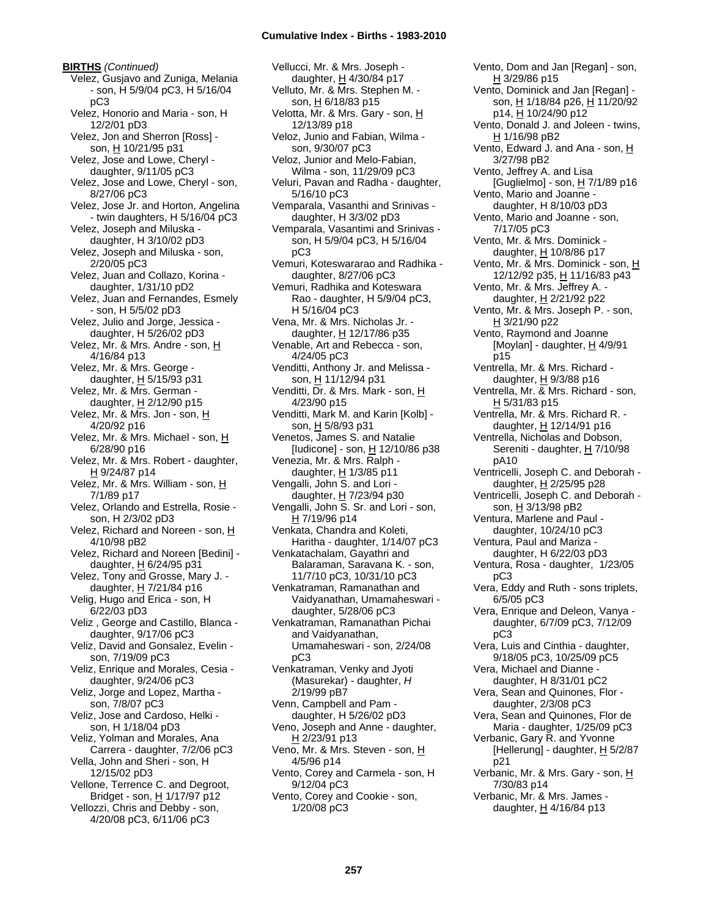**BIRTHS** *(Continued)* Velez, Gusjavo and Zuniga, Melania - son, H 5/9/04 pC3, H 5/16/04 pC3 Velez, Honorio and Maria - son, H 12/2/01 pD3 Velez, Jon and Sherron [Ross] son, H 10/21/95 p31 Velez, Jose and Lowe, Cheryl daughter, 9/11/05 pC3 Velez, Jose and Lowe, Cheryl - son, 8/27/06 pC3 Velez, Jose Jr. and Horton, Angelina - twin daughters, H 5/16/04 pC3 Velez, Joseph and Miluska daughter, H 3/10/02 pD3 Velez, Joseph and Miluska - son, 2/20/05 pC3 Velez, Juan and Collazo, Korina daughter, 1/31/10 pD2 Velez, Juan and Fernandes, Esmely - son, H 5/5/02 pD3 Velez, Julio and Jorge, Jessica daughter, H 5/26/02 pD3 Velez, Mr. & Mrs. Andre - son, H 4/16/84 p13 Velez, Mr. & Mrs. George daughter,  $H$  5/15/93 p31 Velez, Mr. & Mrs. German daughter, H 2/12/90 p15 Velez, Mr. & Mrs. Jon - son, H 4/20/92 p16 Velez, Mr. & Mrs. Michael - son, H 6/28/90 p16 Velez, Mr. & Mrs. Robert - daughter, <u>H</u> 9/24/87 p14 Velez, Mr. & Mrs. William - son, H 7/1/89 p17 Velez, Orlando and Estrella, Rosie son, H 2/3/02 pD3 Velez, Richard and Noreen - son, H 4/10/98 pB2 Velez, Richard and Noreen [Bedini] daughter, H 6/24/95 p31 Velez, Tony and Grosse, Mary J. daughter,  $H$  7/21/84 p16 Velig, Hugo and Erica - son, H 6/22/03 pD3 Veliz , George and Castillo, Blanca daughter, 9/17/06 pC3 Veliz, David and Gonsalez, Evelin son, 7/19/09 pC3 Veliz, Enrique and Morales, Cesia daughter, 9/24/06 pC3 Veliz, Jorge and Lopez, Martha son, 7/8/07 pC3 Veliz, Jose and Cardoso, Helki son, H 1/18/04 pD3 Veliz, Yolman and Morales, Ana Carrera - daughter, 7/2/06 pC3 Vella, John and Sheri - son, H 12/15/02 pD3 Vellone, Terrence C. and Degroot, Bridget - son, H 1/17/97 p12 Vellozzi, Chris and Debby - son, 4/20/08 pC3, 6/11/06 pC3

Vellucci, Mr. & Mrs. Joseph daughter, H 4/30/84 p17 Velluto, Mr. & Mrs. Stephen M. son, H 6/18/83 p15 Velotta, Mr. & Mrs. Gary - son, H 12/13/89 p18 Veloz, Junio and Fabian, Wilma son, 9/30/07 pC3 Veloz, Junior and Melo-Fabian, Wilma - son, 11/29/09 pC3 Veluri, Pavan and Radha - daughter, 5/16/10 pC3 Vemparala, Vasanthi and Srinivas daughter, H 3/3/02 pD3 Vemparala, Vasantimi and Srinivas son, H 5/9/04 pC3, H 5/16/04 pC3 Vemuri, Koteswararao and Radhika daughter, 8/27/06 pC3 Vemuri, Radhika and Koteswara Rao - daughter, H 5/9/04 pC3, H 5/16/04 pC3 Vena, Mr. & Mrs. Nicholas Jr. daughter, H 12/17/86 p35 Venable, Art and Rebecca - son, 4/24/05 pC3 Venditti, Anthony Jr. and Melissa son, H 11/12/94 p31 Venditti, Dr. & Mrs. Mark - son, H 4/23/90 p15 Venditti, Mark M. and Karin [Kolb] son, H 5/8/93 p31 Venetos, James S. and Natalie [Iudicone] - son, H 12/10/86 p38 Venezia, Mr. & Mrs. Ralph daughter,  $H$  1/3/85 p11 Vengalli, John S. and Lori daughter, H 7/23/94 p30 Vengalli, John S. Sr. and Lori - son,  $\overline{\text{H}}$  7/19/96 p14 Venkata, Chandra and Koleti, Haritha - daughter, 1/14/07 pC3 Venkatachalam, Gayathri and Balaraman, Saravana K. - son, 11/7/10 pC3, 10/31/10 pC3 Venkatraman, Ramanathan and Vaidyanathan, Umamaheswari daughter, 5/28/06 pC3 Venkatraman, Ramanathan Pichai and Vaidyanathan, Umamaheswari - son, 2/24/08 pC3 Venkatraman, Venky and Jyoti (Masurekar) - daughter, *H* 2/19/99 pB7 Venn, Campbell and Pam daughter, H 5/26/02 pD3 Veno, Joseph and Anne - daughter, H 2/23/91 p13 Veno, Mr. & Mrs. Steven - son, H 4/5/96 p14 Vento, Corey and Carmela - son, H 9/12/04 pC3 Vento, Corey and Cookie - son, 1/20/08 pC3

H 3/29/86 p15 Vento, Dominick and Jan [Regan] son, H 1/18/84 p26, H 11/20/92 p14, H 10/24/90 p12 Vento, Donald J. and Joleen - twins, H 1/16/98 pB2 Vento, Edward J. and Ana - son, H 3/27/98 pB2 Vento, Jeffrey A. and Lisa [Guglielmo] - son,  $H$  7/1/89 p16 Vento, Mario and Joanne daughter, H 8/10/03 pD3 Vento, Mario and Joanne - son, 7/17/05 pC3 Vento, Mr. & Mrs. Dominick daughter, H 10/8/86 p17 Vento, Mr. & Mrs. Dominick - son, H 12/12/92 p35, H 11/16/83 p43 Vento, Mr. & Mrs. Jeffrey A. daughter, H 2/21/92 p22 Vento, Mr. & Mrs. Joseph P. - son, H 3/21/90 p22 Vento, Raymond and Joanne [Moylan] - daughter,  $H$  4/9/91 p15 Ventrella, Mr. & Mrs. Richard daughter,  $H$  9/3/88 p16 Ventrella, Mr. & Mrs. Richard - son, H 5/31/83 p15 Ventrella, Mr. & Mrs. Richard R. daughter, H 12/14/91 p16 Ventrella, Nicholas and Dobson, Sereniti - daughter, H 7/10/98 pA10 Ventricelli, Joseph C. and Deborah daughter, H 2/25/95 p28 Ventricelli, Joseph C. and Deborah son, H 3/13/98 pB2 Ventura, Marlene and Paul daughter, 10/24/10 pC3 Ventura, Paul and Mariza daughter, H 6/22/03 pD3 Ventura, Rosa - daughter, 1/23/05 pC3 Vera, Eddy and Ruth - sons triplets, 6/5/05 pC3 Vera, Enrique and Deleon, Vanya daughter, 6/7/09 pC3, 7/12/09 pC3 Vera, Luis and Cinthia - daughter, 9/18/05 pC3, 10/25/09 pC5 Vera, Michael and Dianne daughter, H 8/31/01 pC2 Vera, Sean and Quinones, Flor daughter, 2/3/08 pC3 Vera, Sean and Quinones, Flor de Maria - daughter, 1/25/09 pC3 Verbanic, Gary R. and Yvonne [Hellerung] - daughter,  $H$  5/2/87 p21 Verbanic, Mr. & Mrs. Gary - son, H 7/30/83 p14 Verbanic, Mr. & Mrs. James daughter,  $H$  4/16/84 p13

Vento, Dom and Jan [Regan] - son,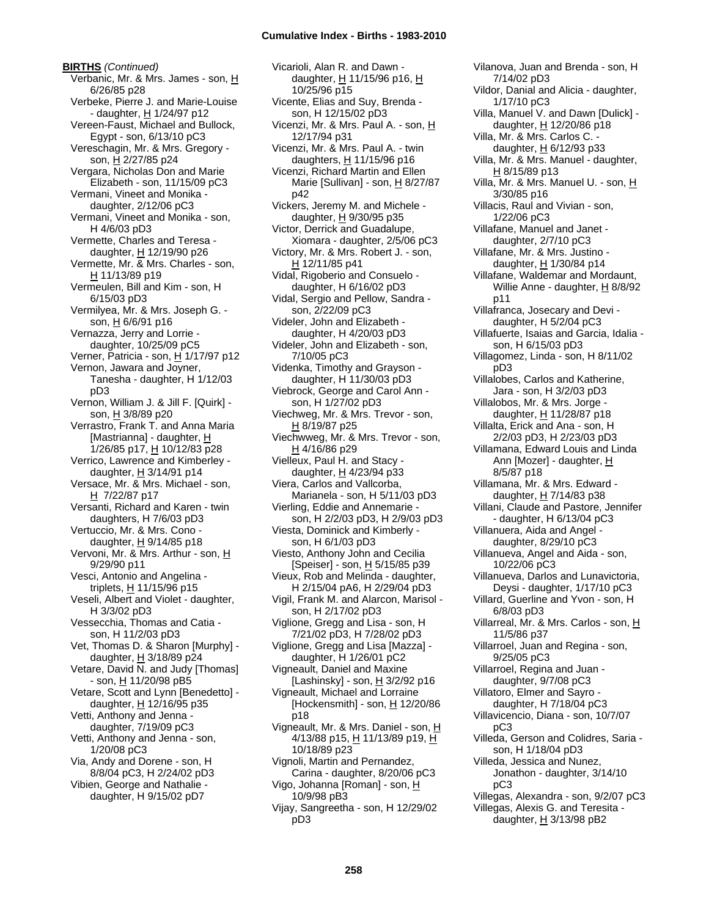**BIRTHS** *(Continued)* Verbanic, Mr. & Mrs. James - son, H 6/26/85 p28 Verbeke, Pierre J. and Marie-Louise - daughter, H 1/24/97 p12 Vereen-Faust, Michael and Bullock, Egypt - son, 6/13/10 pC3 Vereschagin, Mr. & Mrs. Gregory son, H 2/27/85 p24 Vergara, Nicholas Don and Marie Elizabeth - son, 11/15/09 pC3 Vermani, Vineet and Monika daughter, 2/12/06 pC3 Vermani, Vineet and Monika - son, H 4/6/03 pD3 Vermette, Charles and Teresa daughter, H 12/19/90 p26 Vermette, Mr. & Mrs. Charles - son, H 11/13/89 p19 Vermeulen, Bill and Kim - son, H 6/15/03 pD3 Vermilyea, Mr. & Mrs. Joseph G. son, H 6/6/91 p16 Vernazza, Jerry and Lorrie daughter, 10/25/09 pC5 Verner, Patricia - son, H 1/17/97 p12 Vernon, Jawara and Joyner, Tanesha - daughter, H 1/12/03 pD3 Vernon, William J. & Jill F. [Quirk] son, H 3/8/89 p20 Verrastro, Frank T. and Anna Maria [Mastrianna] - daughter, H 1/26/85 p17, H 10/12/83 p28 Verrico, Lawrence and Kimberley daughter,  $H$  3/14/91 p14 Versace, Mr. & Mrs. Michael - son, H 7/22/87 p17 Versanti, Richard and Karen - twin daughters, H 7/6/03 pD3 Vertuccio, Mr. & Mrs. Cono daughter,  $H$  9/14/85 p18 Vervoni, Mr. & Mrs. Arthur - son, H 9/29/90 p11 Vesci, Antonio and Angelina triplets,  $H$  11/15/96 p15 Veseli, Albert and Violet - daughter, H 3/3/02 pD3 Vessecchia, Thomas and Catia son, H 11/2/03 pD3 Vet, Thomas D. & Sharon [Murphy] daughter, H 3/18/89 p24 Vetare, David N. and Judy [Thomas] - son, H 11/20/98 pB5 Vetare, Scott and Lynn [Benedetto] daughter,  $H$  12/16/95 p35 Vetti, Anthony and Jenna daughter, 7/19/09 pC3 Vetti, Anthony and Jenna - son, 1/20/08 pC3 Via, Andy and Dorene - son, H 8/8/04 pC3, H 2/24/02 pD3 Vibien, George and Nathalie daughter, H 9/15/02 pD7

Vicarioli, Alan R. and Dawn daughter, H 11/15/96 p16, H 10/25/96 p15 Vicente, Elias and Suy, Brenda son, H 12/15/02 pD3 Vicenzi, Mr. & Mrs. Paul A. - son, H 12/17/94 p31 Vicenzi, Mr. & Mrs. Paul A. - twin daughters,  $H$  11/15/96 p16 Vicenzi, Richard Martin and Ellen Marie [Sullivan] - son, H 8/27/87 p42 Vickers, Jeremy M. and Michele daughter, H 9/30/95 p35 Victor, Derrick and Guadalupe, Xiomara - daughter, 2/5/06 pC3 Victory, Mr. & Mrs. Robert J. - son, H 12/11/85 p41 Vidal, Rigoberio and Consuelo daughter, H 6/16/02 pD3 Vidal, Sergio and Pellow, Sandra son, 2/22/09 pC3 Videler, John and Elizabeth daughter, H 4/20/03 pD3 Videler, John and Elizabeth - son, 7/10/05 pC3 Videnka, Timothy and Grayson daughter, H 11/30/03 pD3 Viebrock, George and Carol Ann son, H 1/27/02 pD3 Viechweg, Mr. & Mrs. Trevor - son, H 8/19/87 p25 Viechwweg, Mr. & Mrs. Trevor - son, H 4/16/86 p29 Vielleux, Paul H. and Stacy daughter, H 4/23/94 p33 Viera, Carlos and Vallcorba, Marianela - son, H 5/11/03 pD3 Vierling, Eddie and Annemarie son, H 2/2/03 pD3, H 2/9/03 pD3 Viesta, Dominick and Kimberly son, H 6/1/03 pD3 Viesto, Anthony John and Cecilia [Speiser] - son, H 5/15/85 p39 Vieux, Rob and Melinda - daughter, H 2/15/04 pA6, H 2/29/04 pD3 Vigil, Frank M. and Alarcon, Marisol son, H 2/17/02 pD3 Viglione, Gregg and Lisa - son, H 7/21/02 pD3, H 7/28/02 pD3 Viglione, Gregg and Lisa [Mazza] daughter, H 1/26/01 pC2 Vigneault, Daniel and Maxine [Lashinsky] - son,  $H$  3/2/92 p16 Vigneault, Michael and Lorraine [Hockensmith] - son,  $\underline{H}$  12/20/86 p18 Vigneault, Mr. & Mrs. Daniel - son, H 4/13/88 p15, H 11/13/89 p19, H 10/18/89 p23 Vignoli, Martin and Pernandez, Carina - daughter, 8/20/06 pC3 Vigo, Johanna [Roman] - son, H 10/9/98 pB3 Vijay, Sangreetha - son, H 12/29/02 pD3

Vilanova, Juan and Brenda - son, H 7/14/02 pD3 Vildor, Danial and Alicia - daughter, 1/17/10 pC3 Villa, Manuel V. and Dawn [Dulick] daughter, H 12/20/86 p18 Villa, Mr. & Mrs. Carlos C. daughter,  $H$  6/12/93 p33 Villa, Mr. & Mrs. Manuel - daughter, H 8/15/89 p13 Villa, Mr. & Mrs. Manuel U. - son, H 3/30/85 p16 Villacis, Raul and Vivian - son, 1/22/06 pC3 Villafane, Manuel and Janet daughter, 2/7/10 pC3 Villafane, Mr. & Mrs. Justino daughter,  $H$  1/30/84 p14 Villafane, Waldemar and Mordaunt, Willie Anne - daughter, H 8/8/92 p11 Villafranca, Josecary and Devi daughter, H 5/2/04 pC3 Villafuerte, Isaias and Garcia, Idalia son, H 6/15/03 pD3 Villagomez, Linda - son, H 8/11/02 pD3 Villalobes, Carlos and Katherine, Jara - son, H 3/2/03 pD3 Villalobos, Mr. & Mrs. Jorge daughter, H 11/28/87 p18 Villalta, Erick and Ana - son, H 2/2/03 pD3, H 2/23/03 pD3 Villamana, Edward Louis and Linda Ann [Mozer] - daughter, H 8/5/87 p18 Villamana, Mr. & Mrs. Edward daughter, H 7/14/83 p38 Villani, Claude and Pastore, Jennifer - daughter, H 6/13/04 pC3 Villanuera, Aida and Angel daughter, 8/29/10 pC3 Villanueva, Angel and Aida - son, 10/22/06 pC3 Villanueva, Darlos and Lunavictoria, Deysi - daughter, 1/17/10 pC3 Villard, Guerline and Yvon - son, H 6/8/03 pD3 Villarreal, Mr. & Mrs. Carlos - son, H 11/5/86 p37 Villarroel, Juan and Regina - son, 9/25/05 pC3 Villarroel, Regina and Juan daughter, 9/7/08 pC3 Villatoro, Elmer and Sayro daughter, H 7/18/04 pC3 Villavicencio, Diana - son, 10/7/07 pC3 Villeda, Gerson and Colidres, Saria son, H 1/18/04 pD3 Villeda, Jessica and Nunez, Jonathon - daughter, 3/14/10 pC3 Villegas, Alexandra - son, 9/2/07 pC3 Villegas, Alexis G. and Teresita daughter,  $H$  3/13/98 pB2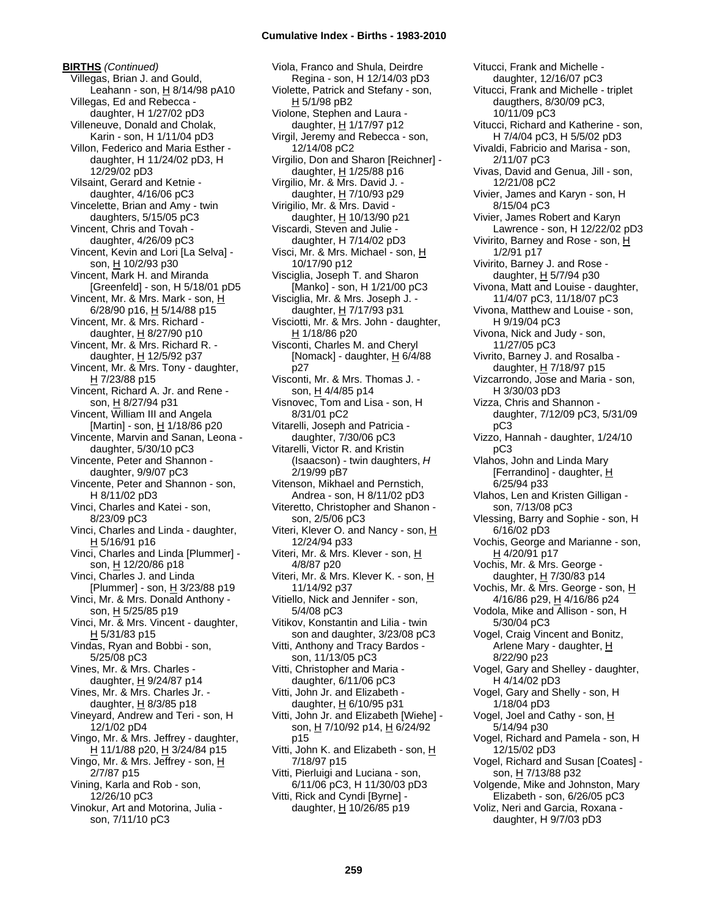**BIRTHS** *(Continued)* Villegas, Brian J. and Gould, Leahann - son, H 8/14/98 pA10 Villegas, Ed and Rebecca daughter, H 1/27/02 pD3 Villeneuve, Donald and Cholak, Karin - son, H 1/11/04 pD3 Villon, Federico and Maria Esther daughter, H 11/24/02 pD3, H 12/29/02 pD3 Vilsaint, Gerard and Ketnie daughter, 4/16/06 pC3 Vincelette, Brian and Amy - twin daughters, 5/15/05 pC3 Vincent, Chris and Tovah daughter, 4/26/09 pC3 Vincent, Kevin and Lori [La Selva] son, H 10/2/93 p30 Vincent, Mark H. and Miranda [Greenfeld] - son, H 5/18/01 pD5 Vincent, Mr. & Mrs. Mark - son, H 6/28/90 p16, H 5/14/88 p15 Vincent, Mr. & Mrs. Richard daughter, H 8/27/90 p10 Vincent, Mr. & Mrs. Richard R. daughter, H 12/5/92 p37 Vincent, Mr. & Mrs. Tony - daughter, H 7/23/88 p15 Vincent, Richard A. Jr. and Rene son, H 8/27/94 p31 Vincent, William III and Angela [Martin] - son,  $\underline{H}$  1/18/86 p20 Vincente, Marvin and Sanan, Leona daughter, 5/30/10 pC3 Vincente, Peter and Shannon daughter, 9/9/07 pC3 Vincente, Peter and Shannon - son, H 8/11/02 pD3 Vinci, Charles and Katei - son, 8/23/09 pC3 Vinci, Charles and Linda - daughter,  $H$  5/16/91 p16 Vinci, Charles and Linda [Plummer] son, H 12/20/86 p18 Vinci, Charles J. and Linda [Plummer] - son,  $\underline{H}$  3/23/88 p19 Vinci, Mr. & Mrs. Donald Anthony son, H 5/25/85 p19 Vinci, Mr. & Mrs. Vincent - daughter, H 5/31/83 p15 Vindas, Ryan and Bobbi - son, 5/25/08 pC3 Vines, Mr. & Mrs. Charles daughter,  $H$  9/24/87 p14 Vines, Mr. & Mrs. Charles Jr. daughter,  $H$  8/3/85 p18 Vineyard, Andrew and Teri - son, H 12/1/02 pD4 Vingo, Mr. & Mrs. Jeffrey - daughter, H 11/1/88 p20, H 3/24/84 p15 Vingo, Mr. & Mrs. Jeffrey - son, H 2/7/87 p15 Vining, Karla and Rob - son, 12/26/10 pC3 Vinokur, Art and Motorina, Julia son, 7/11/10 pC3

Viola, Franco and Shula, Deirdre Regina - son, H 12/14/03 pD3 Violette, Patrick and Stefany - son, H 5/1/98 pB2 Violone, Stephen and Laura daughter, H 1/17/97 p12 Virgil, Jeremy and Rebecca - son, 12/14/08 pC2 Virgilio, Don and Sharon [Reichner] daughter,  $H$  1/25/88 p16 Virgilio, Mr. & Mrs. David J. daughter,  $H$  7/10/93 p29 Virigilio, Mr. & Mrs. David daughter, H 10/13/90 p21 Viscardi, Steven and Julie daughter, H 7/14/02 pD3 Visci, Mr. & Mrs. Michael - son, H 10/17/90 p12 Visciglia, Joseph T. and Sharon [Manko] - son, H 1/21/00 pC3 Visciglia, Mr. & Mrs. Joseph J. daughter,  $H$  7/17/93 p31 Visciotti, Mr. & Mrs. John - daughter, H 1/18/86 p20 Visconti, Charles M. and Cheryl [Nomack] - daughter,  $\underline{H}$  6/4/88 p27 Visconti, Mr. & Mrs. Thomas J. son, H 4/4/85 p14 Visnovec, Tom and Lisa - son, H 8/31/01 pC2 Vitarelli, Joseph and Patricia daughter, 7/30/06 pC3 Vitarelli, Victor R. and Kristin (Isaacson) - twin daughters, *H* 2/19/99 pB7 Vitenson, Mikhael and Pernstich, Andrea - son, H 8/11/02 pD3 Viteretto, Christopher and Shanon son, 2/5/06 pC3 Viteri, Klever O. and Nancy - son, H 12/24/94 p33 Viteri, Mr. & Mrs. Klever - son, H 4/8/87 p20 Viteri, Mr. & Mrs. Klever K. - son, H 11/14/92 p37 Vitiello, Nick and Jennifer - son, 5/4/08 pC3 Vitikov, Konstantin and Lilia - twin son and daughter, 3/23/08 pC3 Vitti, Anthony and Tracy Bardos son, 11/13/05 pC3 Vitti, Christopher and Maria daughter, 6/11/06 pC3 Vitti, John Jr. and Elizabeth daughter, H 6/10/95 p31 Vitti, John Jr. and Elizabeth [Wiehe] son, H 7/10/92 p14, H 6/24/92 p15 Vitti, John K. and Elizabeth - son, H 7/18/97 p15 Vitti, Pierluigi and Luciana - son, 6/11/06 pC3, H 11/30/03 pD3 Vitti, Rick and Cyndi [Byrne] daughter,  $\underline{H}$  10/26/85 p19

Vitucci, Frank and Michelle daughter, 12/16/07 pC3 Vitucci, Frank and Michelle - triplet daugthers, 8/30/09 pC3, 10/11/09 pC3 Vitucci, Richard and Katherine - son, H 7/4/04 pC3, H 5/5/02 pD3 Vivaldi, Fabricio and Marisa - son, 2/11/07 pC3 Vivas, David and Genua, Jill - son, 12/21/08 pC2 Vivier, James and Karyn - son, H 8/15/04 pC3 Vivier, James Robert and Karyn Lawrence - son, H 12/22/02 pD3 Vivirito, Barney and Rose - son, H 1/2/91 p17 Vivirito, Barney J. and Rose daughter,  $H$  5/7/94 p30 Vivona, Matt and Louise - daughter, 11/4/07 pC3, 11/18/07 pC3 Vivona, Matthew and Louise - son, H 9/19/04 pC3 Vivona, Nick and Judy - son, 11/27/05 pC3 Vivrito, Barney J. and Rosalba daughter, H 7/18/97 p15 Vizcarrondo, Jose and Maria - son, H 3/30/03 pD3 Vizza, Chris and Shannon daughter, 7/12/09 pC3, 5/31/09 pC3 Vizzo, Hannah - daughter, 1/24/10 pC3 Vlahos, John and Linda Mary [Ferrandino] - daughter, H 6/25/94 p33 Vlahos, Len and Kristen Gilligan son, 7/13/08 pC3 Vlessing, Barry and Sophie - son, H 6/16/02 pD3 Vochis, George and Marianne - son, <u>H</u> 4/20/91 p17 Vochis, Mr. & Mrs. George daughter, H 7/30/83 p14 Vochis, Mr. & Mrs. George - son, H 4/16/86 p29, <u>H</u> 4/16/86 p24 Vodola, Mike and Allison - son, H 5/30/04 pC3 Vogel, Craig Vincent and Bonitz, Arlene Mary - daughter, H 8/22/90 p23 Vogel, Gary and Shelley - daughter, H 4/14/02 pD3 Vogel, Gary and Shelly - son, H 1/18/04 pD3 Vogel, Joel and Cathy - son, H 5/14/94 p30 Vogel, Richard and Pamela - son, H 12/15/02 pD3 Vogel, Richard and Susan [Coates] son, H 7/13/88 p32 Volgende, Mike and Johnston, Mary Elizabeth - son, 6/26/05 pC3 Voliz, Neri and Garcia, Roxana daughter, H 9/7/03 pD3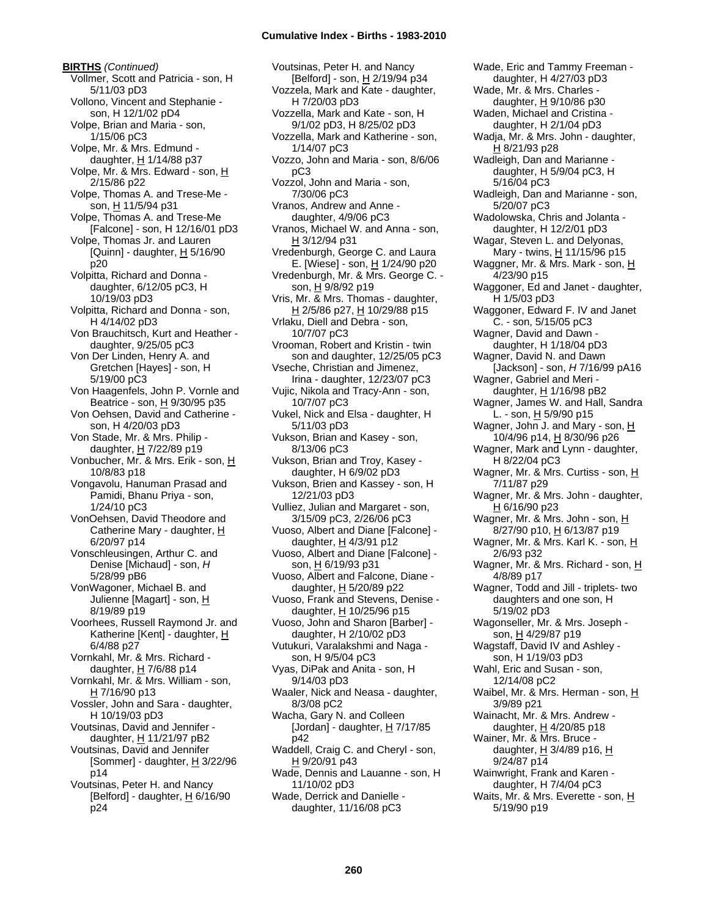**BIRTHS** *(Continued)* Vollmer, Scott and Patricia - son, H 5/11/03 pD3 Vollono, Vincent and Stephanie son, H 12/1/02 pD4 Volpe, Brian and Maria - son, 1/15/06 pC3 Volpe, Mr. & Mrs. Edmund daughter,  $H$  1/14/88 p37 Volpe, Mr. & Mrs. Edward - son, H 2/15/86 p22 Volpe, Thomas A. and Trese-Me son, H 11/5/94 p31 Volpe, Thomas A. and Trese-Me [Falcone] - son, H 12/16/01 pD3 Volpe, Thomas Jr. and Lauren [Quinn] - daughter,  $\underline{H}$  5/16/90 p20 Volpitta, Richard and Donna daughter, 6/12/05 pC3, H 10/19/03 pD3 Volpitta, Richard and Donna - son, H 4/14/02 pD3 Von Brauchitsch, Kurt and Heather daughter, 9/25/05 pC3 Von Der Linden, Henry A. and Gretchen [Hayes] - son, H 5/19/00 pC3 Von Haagenfels, John P. Vornle and Beatrice - son, H 9/30/95 p35 Von Oehsen, David and Catherine son, H 4/20/03 pD3 Von Stade, Mr. & Mrs. Philip daughter, H 7/22/89 p19 Vonbucher, Mr. & Mrs. Erik - son, H 10/8/83 p18 Vongavolu, Hanuman Prasad and Pamidi, Bhanu Priya - son, 1/24/10 pC3 VonOehsen, David Theodore and Catherine Mary - daughter, H 6/20/97 p14 Vonschleusingen, Arthur C. and Denise [Michaud] - son, *H* 5/28/99 pB6 VonWagoner, Michael B. and Julienne [Magart] - son, H 8/19/89 p19 Voorhees, Russell Raymond Jr. and Katherine [Kent] - daughter, H 6/4/88 p27 Vornkahl, Mr. & Mrs. Richard daughter,  $H$  7/6/88 p14 Vornkahl, Mr. & Mrs. William - son,  $H$  7/16/90 p13 Vossler, John and Sara - daughter, H 10/19/03 pD3 Voutsinas, David and Jennifer daughter, H 11/21/97 pB2 Voutsinas, David and Jennifer [Sommer] - daughter,  $H$  3/22/96 p14 Voutsinas, Peter H. and Nancy [Belford] - daughter,  $H$  6/16/90 p24

Voutsinas, Peter H. and Nancy [Belford] - son, H 2/19/94 p34 Vozzela, Mark and Kate - daughter, H 7/20/03 pD3 Vozzella, Mark and Kate - son, H 9/1/02 pD3, H 8/25/02 pD3 Vozzella, Mark and Katherine - son, 1/14/07 pC3 Vozzo, John and Maria - son, 8/6/06 pC3 Vozzol, John and Maria - son, 7/30/06 pC3 Vranos, Andrew and Anne daughter, 4/9/06 pC3 Vranos, Michael W. and Anna - son, H 3/12/94 p31 Vredenburgh, George C. and Laura E. [Wiese] - son, H 1/24/90 p20 Vredenburgh, Mr. & Mrs. George C. son, H 9/8/92 p19 Vris, Mr. & Mrs. Thomas - daughter, H 2/5/86 p27, H 10/29/88 p15 Vrlaku, Diell and Debra - son, 10/7/07 pC3 Vrooman, Robert and Kristin - twin son and daughter, 12/25/05 pC3 Vseche, Christian and Jimenez, Irina - daughter, 12/23/07 pC3 Vujic, Nikola and Tracy-Ann - son, 10/7/07 pC3 Vukel, Nick and Elsa - daughter, H 5/11/03 pD3 Vukson, Brian and Kasey - son, 8/13/06 pC3 Vukson, Brian and Troy, Kasey daughter, H 6/9/02 pD3 Vukson, Brien and Kassey - son, H 12/21/03 pD3 Vulliez, Julian and Margaret - son, 3/15/09 pC3, 2/26/06 pC3 Vuoso, Albert and Diane [Falcone] daughter,  $H$  4/3/91 p12 Vuoso, Albert and Diane [Falcone] son, H 6/19/93 p31 Vuoso, Albert and Falcone, Diane daughter,  $H$  5/20/89 p22 Vuoso, Frank and Stevens, Denise daughter,  $H$  10/25/96 p15 Vuoso, John and Sharon [Barber] daughter, H 2/10/02 pD3 Vutukuri, Varalakshmi and Naga son, H 9/5/04 pC3 Vyas, DiPak and Anita - son, H 9/14/03 pD3 Waaler, Nick and Neasa - daughter, 8/3/08 pC2 Wacha, Gary N. and Colleen [Jordan] - daughter,  $H$  7/17/85 p42 Waddell, Craig C. and Cheryl - son, H 9/20/91 p43 Wade, Dennis and Lauanne - son, H 11/10/02 pD3 Wade, Derrick and Danielle daughter, 11/16/08 pC3

daughter, H 4/27/03 pD3 Wade, Mr. & Mrs. Charles daughter, H 9/10/86 p30 Waden, Michael and Cristina daughter, H 2/1/04 pD3 Wadja, Mr. & Mrs. John - daughter, H 8/21/93 p28 Wadleigh, Dan and Marianne daughter, H 5/9/04 pC3, H 5/16/04 pC3 Wadleigh, Dan and Marianne - son, 5/20/07 pC3 Wadolowska, Chris and Jolanta daughter, H 12/2/01 pD3 Wagar, Steven L. and Delyonas, Mary - twins, H 11/15/96 p15 Waggner, Mr. & Mrs. Mark - son, H 4/23/90 p15 Waggoner, Ed and Janet - daughter, H 1/5/03 pD3 Waggoner, Edward F. IV and Janet C. - son, 5/15/05 pC3 Wagner, David and Dawn daughter, H 1/18/04 pD3 Wagner, David N. and Dawn [Jackson] - son, *H* 7/16/99 pA16 Wagner, Gabriel and Meri daughter, H 1/16/98 pB2 Wagner, James W. and Hall, Sandra L. - son,  $H$  5/9/90 p15 Wagner, John J. and Mary - son, H 10/4/96 p14, H 8/30/96 p26 Wagner, Mark and Lynn - daughter, H 8/22/04 pC3 Wagner, Mr. & Mrs. Curtiss - son, H 7/11/87 p29 Wagner, Mr. & Mrs. John - daughter, H 6/16/90 p23 Wagner, Mr. & Mrs. John - son, H 8/27/90 p10, H 6/13/87 p19 Wagner, Mr. & Mrs. Karl K. - son, H 2/6/93 p32 Wagner, Mr. & Mrs. Richard - son, H 4/8/89 p17 Wagner, Todd and Jill - triplets- two daughters and one son, H 5/19/02 pD3 Wagonseller, Mr. & Mrs. Joseph son, H 4/29/87 p19 Wagstaff, David IV and Ashley son, H 1/19/03 pD3 Wahl, Eric and Susan - son, 12/14/08 pC2 Waibel, Mr. & Mrs. Herman - son, H 3/9/89 p21 Wainacht, Mr. & Mrs. Andrew daughter,  $H$  4/20/85 p18 Wainer, Mr. & Mrs. Bruce daughter,  $H$  3/4/89 p16,  $H$ 9/24/87 p14 Wainwright, Frank and Karen daughter, H 7/4/04 pC3 Waits, Mr. & Mrs. Everette - son, H 5/19/90 p19

Wade, Eric and Tammy Freeman -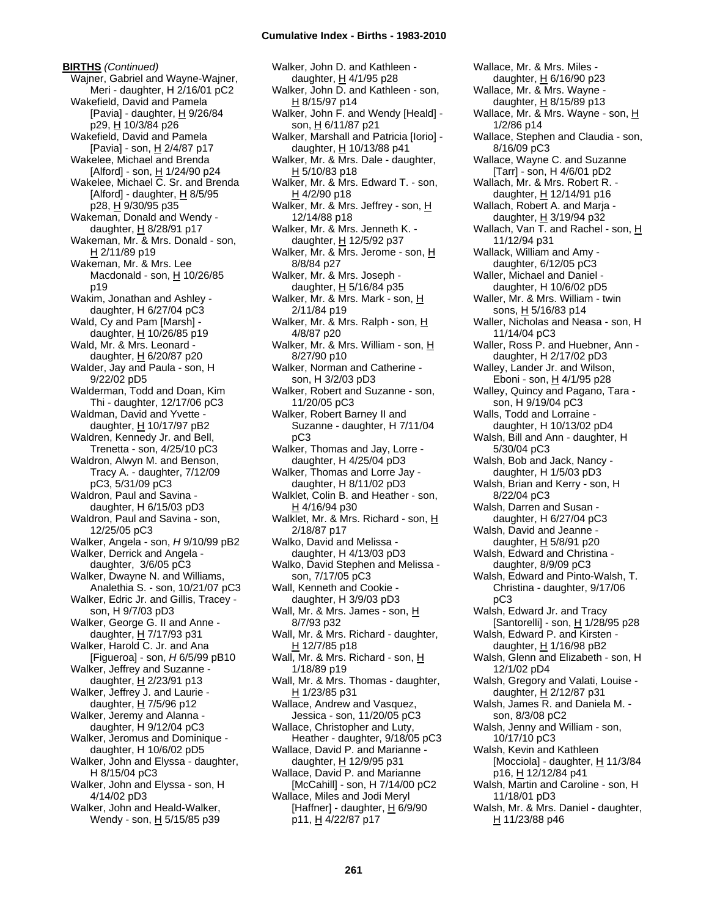**BIRTHS** *(Continued)* Wajner, Gabriel and Wayne-Wajner, Meri - daughter, H 2/16/01 pC2 Wakefield, David and Pamela [Pavia] - daughter,  $H$  9/26/84 p29, H 10/3/84 p26 Wakefield, David and Pamela [Pavia] - son, H 2/4/87 p17 Wakelee, Michael and Brenda [Alford] - son,  $\underline{H}$  1/24/90 p24 Wakelee, Michael C. Sr. and Brenda [Alford] - daughter,  $H$  8/5/95  $p28, H9/30/95 p35$ Wakeman, Donald and Wendy daughter, H 8/28/91 p17 Wakeman, Mr. & Mrs. Donald - son, H 2/11/89 p19 Wakeman, Mr. & Mrs. Lee Macdonald - son,  $H$  10/26/85 p19 Wakim, Jonathan and Ashley daughter, H 6/27/04 pC3 Wald, Cy and Pam [Marsh] daughter, H 10/26/85 p19 Wald, Mr. & Mrs. Leonard daughter, H 6/20/87 p20 Walder, Jay and Paula - son, H 9/22/02 pD5 Walderman, Todd and Doan, Kim Thi - daughter, 12/17/06 pC3 Waldman, David and Yvette daughter, H 10/17/97 pB2 Waldren, Kennedy Jr. and Bell, Trenetta - son, 4/25/10 pC3 Waldron, Alwyn M. and Benson, Tracy A. - daughter, 7/12/09 pC3, 5/31/09 pC3 Waldron, Paul and Savina daughter, H 6/15/03 pD3 Waldron, Paul and Savina - son, 12/25/05 pC3 Walker, Angela - son, *H* 9/10/99 pB2 Walker, Derrick and Angela daughter, 3/6/05 pC3 Walker, Dwayne N. and Williams, Analethia S. - son, 10/21/07 pC3 Walker, Edric Jr. and Gillis, Tracey son, H 9/7/03 pD3 Walker, George G. II and Anne daughter, H 7/17/93 p31 Walker, Harold C. Jr. and Ana [Figueroa] - son, *H* 6/5/99 pB10 Walker, Jeffrey and Suzanne daughter,  $H$  2/23/91 p13 Walker, Jeffrey J. and Laurie daughter,  $H$  7/5/96 p12 Walker, Jeremy and Alanna daughter, H 9/12/04 pC3 Walker, Jeromus and Dominique daughter, H 10/6/02 pD5 Walker, John and Elyssa - daughter, H 8/15/04 pC3 Walker, John and Elyssa - son, H 4/14/02 pD3 Walker, John and Heald-Walker, Wendy - son, H 5/15/85 p39

Walker, John D. and Kathleen daughter, H 4/1/95 p28 Walker, John D. and Kathleen - son, H 8/15/97 p14 Walker, John F. and Wendy [Heald] son, H 6/11/87 p21 Walker, Marshall and Patricia [Iorio] daughter, H 10/13/88 p41 Walker, Mr. & Mrs. Dale - daughter,  $H$  5/10/83 p18 Walker, Mr. & Mrs. Edward T. - son, H 4/2/90 p18 Walker, Mr. & Mrs. Jeffrey - son, H 12/14/88 p18 Walker, Mr. & Mrs. Jenneth K. daughter, H 12/5/92 p37 Walker, Mr. & Mrs. Jerome - son, H 8/8/84 p27 Walker, Mr. & Mrs. Joseph daughter, H 5/16/84 p35 Walker, Mr. & Mrs. Mark - son, H 2/11/84 p19 Walker, Mr. & Mrs. Ralph - son, H 4/8/87 p20 Walker, Mr. & Mrs. William - son, H 8/27/90 p10 Walker, Norman and Catherine son, H 3/2/03 pD3 Walker, Robert and Suzanne - son, 11/20/05 pC3 Walker, Robert Barney II and Suzanne - daughter, H 7/11/04 pC3 Walker, Thomas and Jay, Lorre daughter, H 4/25/04 pD3 Walker, Thomas and Lorre Jay daughter, H 8/11/02 pD3 Walklet, Colin B. and Heather - son, H 4/16/94 p30 Walklet, Mr. & Mrs. Richard - son, H 2/18/87 p17 Walko, David and Melissa daughter, H 4/13/03 pD3 Walko, David Stephen and Melissa son, 7/17/05 pC3 Wall, Kenneth and Cookie daughter, H 3/9/03 pD3 Wall, Mr. & Mrs. James - son, H 8/7/93 p32 Wall, Mr. & Mrs. Richard - daughter, H 12/7/85 p18 Wall, Mr. & Mrs. Richard - son, H 1/18/89 p19 Wall, Mr. & Mrs. Thomas - daughter, H 1/23/85 p31 Wallace, Andrew and Vasquez, Jessica - son, 11/20/05 pC3 Wallace, Christopher and Luty, Heather - daughter, 9/18/05 pC3 Wallace, David P. and Marianne daughter, H 12/9/95 p31 Wallace, David P. and Marianne [McCahill] - son, H 7/14/00 pC2 Wallace, Miles and Jodi Meryl [Haffner] - daughter,  $\underline{H}$  6/9/90 p11, H 4/22/87 p17

Wallace, Mr. & Mrs. Miles daughter, H 6/16/90 p23 Wallace, Mr. & Mrs. Wayne daughter,  $H$  8/15/89 p13 Wallace, Mr. & Mrs. Wayne - son, H 1/2/86 p14 Wallace, Stephen and Claudia - son, 8/16/09 pC3 Wallace, Wayne C. and Suzanne [Tarr] - son, H 4/6/01 pD2 Wallach, Mr. & Mrs. Robert R. daughter, H 12/14/91 p16 Wallach, Robert A. and Marja daughter, H 3/19/94 p32 Wallach, Van T. and Rachel - son, H 11/12/94 p31 Wallack, William and Amy daughter, 6/12/05 pC3 Waller, Michael and Daniel daughter, H 10/6/02 pD5 Waller, Mr. & Mrs. William - twin sons, H 5/16/83 p14 Waller, Nicholas and Neasa - son, H 11/14/04 pC3 Waller, Ross P. and Huebner, Ann daughter, H 2/17/02 pD3 Walley, Lander Jr. and Wilson, Eboni - son, H 4/1/95 p28 Walley, Quincy and Pagano, Tara son, H 9/19/04 pC3 Walls, Todd and Lorraine daughter, H 10/13/02 pD4 Walsh, Bill and Ann - daughter, H 5/30/04 pC3 Walsh, Bob and Jack, Nancy daughter, H 1/5/03 pD3 Walsh, Brian and Kerry - son, H 8/22/04 pC3 Walsh, Darren and Susan daughter, H 6/27/04 pC3 Walsh, David and Jeanne daughter, H 5/8/91 p20 Walsh, Edward and Christina daughter, 8/9/09 pC3 Walsh, Edward and Pinto-Walsh, T. Christina - daughter, 9/17/06 pC3 Walsh, Edward Jr. and Tracy [Santorelli] - son,  $H$  1/28/95 p28 Walsh, Edward P. and Kirsten daughter,  $H$  1/16/98 pB2 Walsh, Glenn and Elizabeth - son, H 12/1/02 pD4 Walsh, Gregory and Valati, Louise daughter, H 2/12/87 p31 Walsh, James R. and Daniela M. son, 8/3/08 pC2 Walsh, Jenny and William - son, 10/17/10 pC3 Walsh, Kevin and Kathleen [Mocciola] - daughter,  $H$  11/3/84 p16, H 12/12/84 p41 Walsh, Martin and Caroline - son, H 11/18/01 pD3 Walsh, Mr. & Mrs. Daniel - daughter, H 11/23/88 p46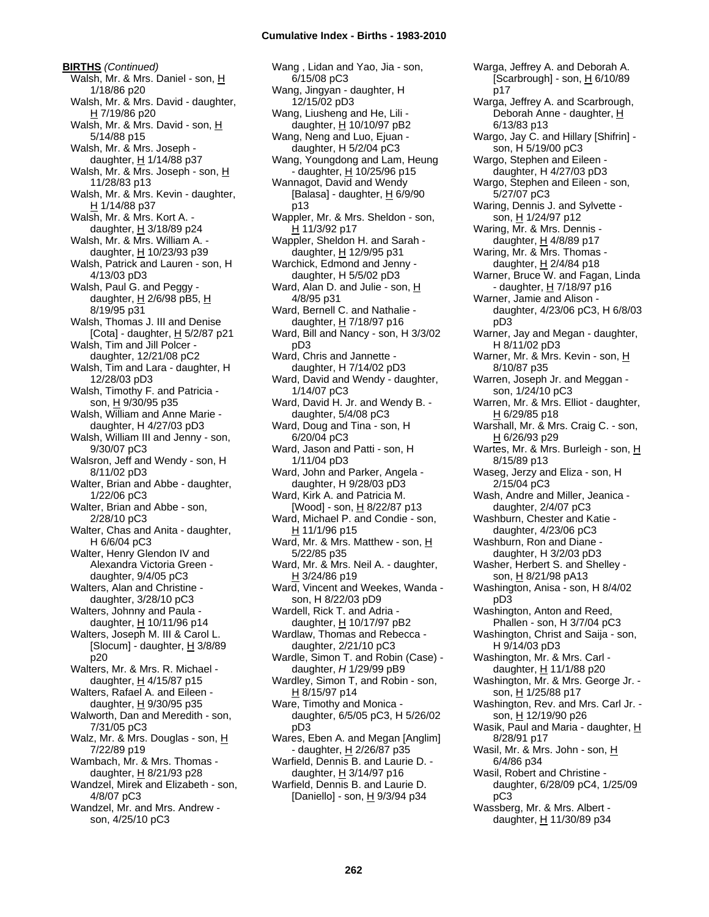**BIRTHS** *(Continued)* Walsh, Mr. & Mrs. Daniel - son, H 1/18/86 p20 Walsh, Mr. & Mrs. David - daughter, H 7/19/86 p20 Walsh, Mr. & Mrs. David - son, H 5/14/88 p15 Walsh, Mr. & Mrs. Joseph daughter,  $H$  1/14/88 p37 Walsh, Mr. & Mrs. Joseph - son, H 11/28/83 p13 Walsh, Mr. & Mrs. Kevin - daughter, H 1/14/88 p37 Walsh, Mr. & Mrs. Kort A. daughter,  $\underline{H}$  3/18/89 p24 Walsh, Mr. & Mrs. William A. daughter, H 10/23/93 p39 Walsh, Patrick and Lauren - son, H 4/13/03 pD3 Walsh, Paul G. and Peggy daughter,  $H$  2/6/98 pB5,  $H$ 8/19/95 p31 Walsh, Thomas J. III and Denise [Cota] - daughter, H 5/2/87 p21 Walsh, Tim and Jill Polcer daughter, 12/21/08 pC2 Walsh, Tim and Lara - daughter, H 12/28/03 pD3 Walsh, Timothy F. and Patricia son, H 9/30/95 p35 Walsh, William and Anne Marie daughter, H 4/27/03 pD3 Walsh, William III and Jenny - son, 9/30/07 pC3 Walsron, Jeff and Wendy - son, H 8/11/02 pD3 Walter, Brian and Abbe - daughter, 1/22/06 pC3 Walter, Brian and Abbe - son, 2/28/10 pC3 Walter, Chas and Anita - daughter, H 6/6/04 pC3 Walter, Henry Glendon IV and Alexandra Victoria Green daughter, 9/4/05 pC3 Walters, Alan and Christine daughter, 3/28/10 pC3 Walters, Johnny and Paula daughter,  $H$  10/11/96 p14 Walters, Joseph M. III & Carol L. [Slocum] - daughter, H 3/8/89 p20 Walters, Mr. & Mrs. R. Michael daughter,  $H$  4/15/87 p15 Walters, Rafael A. and Eileen daughter,  $H$  9/30/95 p35 Walworth, Dan and Meredith - son, 7/31/05 pC3 Walz, Mr. & Mrs. Douglas - son, H 7/22/89 p19 Wambach, Mr. & Mrs. Thomas daughter, H 8/21/93 p28 Wandzel, Mirek and Elizabeth - son, 4/8/07 pC3 Wandzel, Mr. and Mrs. Andrew son, 4/25/10 pC3

Wang , Lidan and Yao, Jia - son, 6/15/08 pC3 Wang, Jingyan - daughter, H 12/15/02 pD3 Wang, Liusheng and He, Lili daughter, H 10/10/97 pB2 Wang, Neng and Luo, Ejuan daughter, H 5/2/04 pC3 Wang, Youngdong and Lam, Heung - daughter, H 10/25/96 p15 Wannagot, David and Wendy [Balasa] - daughter,  $H$  6/9/90 p13 Wappler, Mr. & Mrs. Sheldon - son, H 11/3/92 p17 Wappler, Sheldon H. and Sarah daughter, H 12/9/95 p31 Warchick, Edmond and Jenny daughter, H 5/5/02 pD3 Ward, Alan D. and Julie - son, H 4/8/95 p31 Ward, Bernell C. and Nathalie daughter, H 7/18/97 p16 Ward, Bill and Nancy - son, H 3/3/02 pD3 Ward, Chris and Jannette daughter, H 7/14/02 pD3 Ward, David and Wendy - daughter, 1/14/07 pC3 Ward, David H. Jr. and Wendy B. daughter, 5/4/08 pC3 Ward, Doug and Tina - son, H 6/20/04 pC3 Ward, Jason and Patti - son, H 1/11/04 pD3 Ward, John and Parker, Angela daughter, H 9/28/03 pD3 Ward, Kirk A. and Patricia M. [Wood] - son, H 8/22/87 p13 Ward, Michael P. and Condie - son, H 11/1/96 p15 Ward, Mr. & Mrs. Matthew - son, H 5/22/85 p35 Ward, Mr. & Mrs. Neil A. - daughter, H 3/24/86 p19 Ward, Vincent and Weekes, Wanda son, H 8/22/03 pD9 Wardell, Rick T. and Adria daughter, H 10/17/97 pB2 Wardlaw, Thomas and Rebecca daughter, 2/21/10 pC3 Wardle, Simon T. and Robin (Case) daughter, *H* 1/29/99 pB9 Wardley, Simon T, and Robin - son, H 8/15/97 p14 Ware, Timothy and Monica daughter, 6/5/05 pC3, H 5/26/02 pD3 Wares, Eben A. and Megan [Anglim] - daughter, H 2/26/87 p35 Warfield, Dennis B. and Laurie D. daughter, H 3/14/97 p16 Warfield, Dennis B. and Laurie D. [Daniello] - son, H 9/3/94 p34

Warga, Jeffrey A. and Deborah A. [Scarbrough] - son, H 6/10/89 p17 Warga, Jeffrey A. and Scarbrough, Deborah Anne - daughter, H 6/13/83 p13 Wargo, Jay C. and Hillary [Shifrin] son, H 5/19/00 pC3 Wargo, Stephen and Eileen daughter, H 4/27/03 pD3 Wargo, Stephen and Eileen - son, 5/27/07 pC3 Waring, Dennis J. and Sylvette son, H 1/24/97 p12 Waring, Mr. & Mrs. Dennis daughter,  $H$  4/8/89 p17 Waring, Mr. & Mrs. Thomas daughter,  $H$  2/4/84 p18 Warner, Bruce W. and Fagan, Linda - daughter, H 7/18/97 p16 Warner, Jamie and Alison daughter, 4/23/06 pC3, H 6/8/03 pD3 Warner, Jay and Megan - daughter, H 8/11/02 pD3 Warner, Mr. & Mrs. Kevin - son, H 8/10/87 p35 Warren, Joseph Jr. and Meggan son, 1/24/10 pC3 Warren, Mr. & Mrs. Elliot - daughter,  $H$  6/29/85 p18 Warshall, Mr. & Mrs. Craig C. - son, H 6/26/93 p29 Wartes, Mr. & Mrs. Burleigh - son, H 8/15/89 p13 Waseg, Jerzy and Eliza - son, H 2/15/04 pC3 Wash, Andre and Miller, Jeanica daughter, 2/4/07 pC3 Washburn, Chester and Katie daughter, 4/23/06 pC3 Washburn, Ron and Diane daughter, H 3/2/03 pD3 Washer, Herbert S. and Shelley son, <u>H</u> 8/21/98 pA13 Washington, Anisa - son, H 8/4/02 pD3 Washington, Anton and Reed, Phallen - son, H 3/7/04 pC3 Washington, Christ and Saija - son, H 9/14/03 pD3 Washington, Mr. & Mrs. Carl daughter, H 11/1/88 p20 Washington, Mr. & Mrs. George Jr. son, H 1/25/88 p17 Washington, Rev. and Mrs. Carl Jr. son, H 12/19/90 p26 Wasik, Paul and Maria - daughter,  $H$ 8/28/91 p17 Wasil, Mr. & Mrs. John - son, H 6/4/86 p34 Wasil, Robert and Christine daughter, 6/28/09 pC4, 1/25/09 pC3 Wassberg, Mr. & Mrs. Albert daughter, H 11/30/89 p34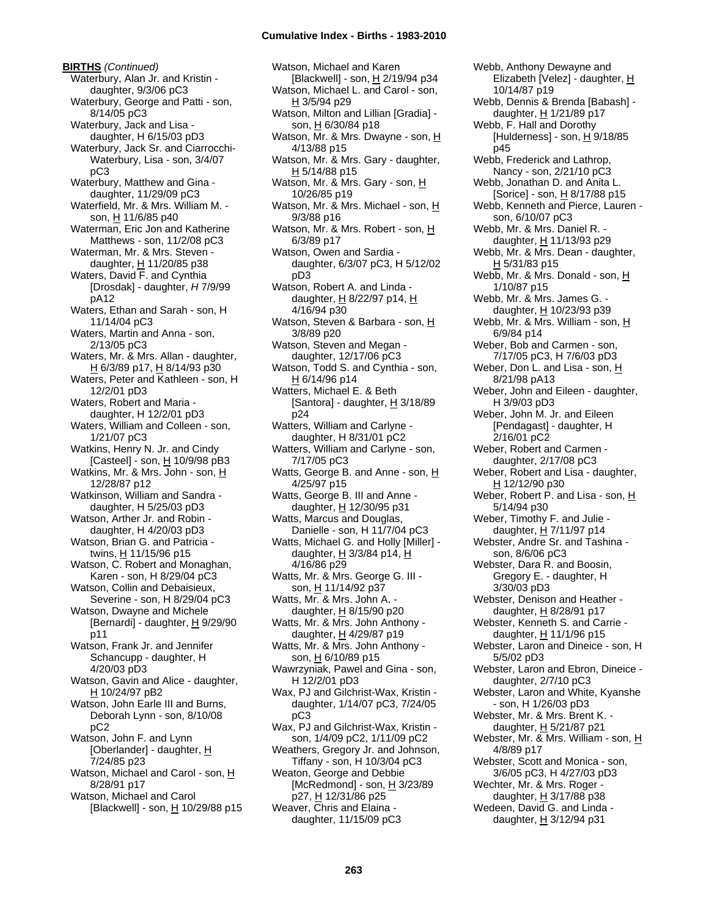**BIRTHS** *(Continued)* Waterbury, Alan Jr. and Kristin daughter, 9/3/06 pC3 Waterbury, George and Patti - son, 8/14/05 pC3 Waterbury, Jack and Lisa daughter, H 6/15/03 pD3 Waterbury, Jack Sr. and Ciarrocchi-Waterbury, Lisa - son, 3/4/07 pC3 Waterbury, Matthew and Gina daughter, 11/29/09 pC3 Waterfield, Mr. & Mrs. William M. son, H 11/6/85 p40 Waterman, Eric Jon and Katherine Matthews - son, 11/2/08 pC3 Waterman, Mr. & Mrs. Steven daughter,  $H$  11/20/85 p38 Waters, David F. and Cynthia [Drosdak] - daughter, *H* 7/9/99 pA12 Waters, Ethan and Sarah - son, H 11/14/04 pC3 Waters, Martin and Anna - son, 2/13/05 pC3 Waters, Mr. & Mrs. Allan - daughter,  $H$  6/3/89 p17,  $H$  8/14/93 p30 Waters, Peter and Kathleen - son, H 12/2/01 pD3 Waters, Robert and Maria daughter, H 12/2/01 pD3 Waters, William and Colleen - son, 1/21/07 pC3 Watkins, Henry N. Jr. and Cindy [Casteel] - son, H 10/9/98 pB3 Watkins, Mr. & Mrs. John - son, H 12/28/87 p12 Watkinson, William and Sandra daughter, H 5/25/03 pD3 Watson, Arther Jr. and Robin daughter, H 4/20/03 pD3 Watson, Brian G. and Patricia twins, H 11/15/96 p15 Watson, C. Robert and Monaghan, Karen - son, H 8/29/04 pC3 Watson, Collin and Debaisieux, Severine - son, H 8/29/04 pC3 Watson, Dwayne and Michele [Bernardi] - daughter,  $H$  9/29/90 p11 Watson, Frank Jr. and Jennifer Schancupp - daughter, H 4/20/03 pD3 Watson, Gavin and Alice - daughter, H 10/24/97 pB2 Watson, John Earle III and Burns, Deborah Lynn - son, 8/10/08 pC2 Watson, John F. and Lynn [Oberlander] - daughter, H 7/24/85 p23 Watson, Michael and Carol - son, H 8/28/91 p17 Watson, Michael and Carol [Blackwell] - son, H 10/29/88 p15 Watson, Michael and Karen [Blackwell] - son, H 2/19/94 p34 Watson, Michael L. and Carol - son, H 3/5/94 p29 Watson, Milton and Lillian [Gradia] son, H 6/30/84 p18 Watson, Mr. & Mrs. Dwayne - son, H 4/13/88 p15 Watson, Mr. & Mrs. Gary - daughter,  $H$  5/14/88 p15 Watson, Mr. & Mrs. Gary - son, H 10/26/85 p19 Watson, Mr. & Mrs. Michael - son, H 9/3/88 p16 Watson, Mr. & Mrs. Robert - son, H 6/3/89 p17 Watson, Owen and Sardia daughter, 6/3/07 pC3, H 5/12/02 pD3 Watson, Robert A. and Linda daughter, H 8/22/97 p14, H 4/16/94 p30 Watson, Steven & Barbara - son, H 3/8/89 p20 Watson, Steven and Megan daughter, 12/17/06 pC3 Watson, Todd S. and Cynthia - son, H 6/14/96 p14 Watters, Michael E. & Beth [Santora] - daughter, H 3/18/89 p24 Watters, William and Carlyne daughter, H 8/31/01 pC2 Watters, William and Carlyne - son, 7/17/05 pC3 Watts, George B. and Anne - son, H 4/25/97 p15 Watts, George B. III and Anne daughter, H 12/30/95 p31 Watts, Marcus and Douglas, Danielle - son, H 11/7/04 pC3 Watts, Michael G. and Holly [Miller] daughter,  $H$  3/3/84 p14,  $H$ 4/16/86 p29 Watts, Mr. & Mrs. George G. III son, H 11/14/92 p37 Watts, Mr. & Mrs. John A. daughter,  $H$  8/15/90 p20 Watts, Mr. & Mrs. John Anthony daughter, H 4/29/87 p19 Watts, Mr. & Mrs. John Anthony son, H 6/10/89 p15 Wawrzyniak, Pawel and Gina - son, H 12/2/01 pD3 Wax, PJ and Gilchrist-Wax, Kristin daughter, 1/14/07 pC3, 7/24/05 pC3 Wax, PJ and Gilchrist-Wax, Kristin son, 1/4/09 pC2, 1/11/09 pC2 Weathers, Gregory Jr. and Johnson, Tiffany - son, H 10/3/04 pC3 Weaton, George and Debbie [McRedmond] - son, H 3/23/89 p27, H 12/31/86 p25 Weaver, Chris and Elaina daughter, 11/15/09 pC3

Elizabeth [Velez] - daughter, H 10/14/87 p19 Webb, Dennis & Brenda [Babash] daughter, H 1/21/89 p17 Webb, F. Hall and Dorothy [Hulderness] - son,  $H$  9/18/85 p45 Webb, Frederick and Lathrop, Nancy - son, 2/21/10 pC3 Webb, Jonathan D. and Anita L. [Sorice] - son, H 8/17/88 p15 Webb, Kenneth and Pierce, Lauren son, 6/10/07 pC3 Webb, Mr. & Mrs. Daniel R. daughter, H 11/13/93 p29 Webb, Mr. & Mrs. Dean - daughter, <u>H</u> 5/31/83 p15 Webb, Mr. & Mrs. Donald - son, H 1/10/87 p15 Webb, Mr. & Mrs. James G. daughter,  $H$  10/23/93 p39 Webb, Mr. & Mrs. William - son, H 6/9/84 p14 Weber, Bob and Carmen - son, 7/17/05 pC3, H 7/6/03 pD3 Weber, Don L. and Lisa - son, H 8/21/98 pA13 Weber, John and Eileen - daughter, H 3/9/03 pD3 Weber, John M. Jr. and Eileen [Pendagast] - daughter, H 2/16/01 pC2 Weber, Robert and Carmen daughter, 2/17/08 pC3 Weber, Robert and Lisa - daughter, H 12/12/90 p30 Weber, Robert P. and Lisa - son, H 5/14/94 p30 Weber, Timothy F. and Julie daughter, H 7/11/97 p14 Webster, Andre Sr. and Tashina son, 8/6/06 pC3 Webster, Dara R. and Boosin, Gregory E. - daughter, H 3/30/03 pD3 Webster, Denison and Heather daughter, H 8/28/91 p17 Webster, Kenneth S. and Carrie daughter, H 11/1/96 p15 Webster, Laron and Dineice - son, H 5/5/02 pD3 Webster, Laron and Ebron, Dineice daughter, 2/7/10 pC3 Webster, Laron and White, Kyanshe - son, H 1/26/03 pD3 Webster, Mr. & Mrs. Brent K. daughter,  $H$  5/21/87 p21 Webster, Mr. & Mrs. William - son, H 4/8/89 p17 Webster, Scott and Monica - son, 3/6/05 pC3, H 4/27/03 pD3 Wechter, Mr. & Mrs. Roger daughter,  $H$  3/17/88 p38 Wedeen, David G. and Linda daughter, H 3/12/94 p31

Webb, Anthony Dewayne and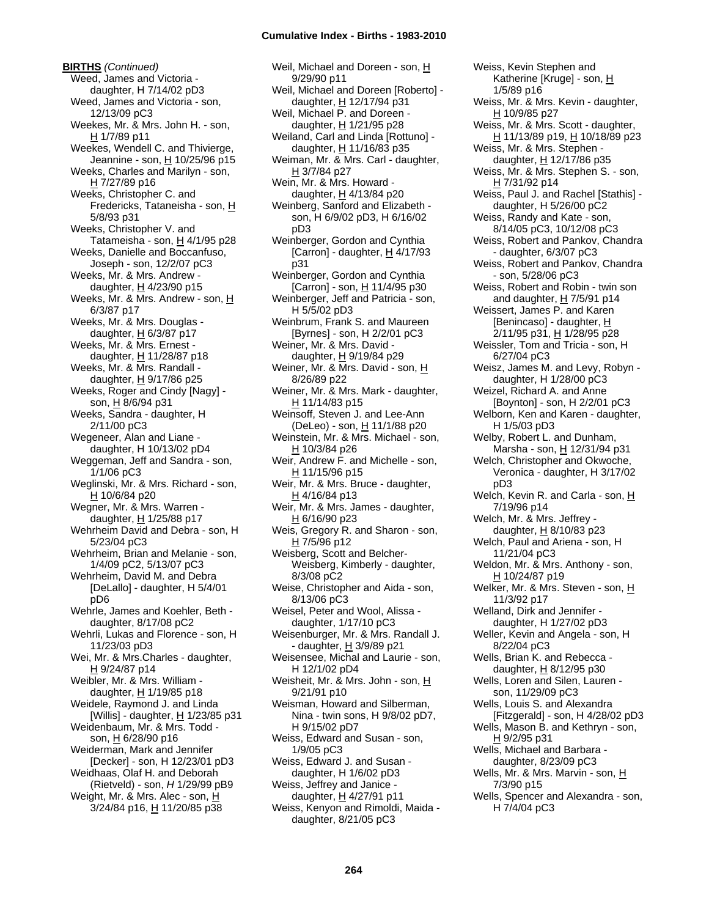**BIRTHS** *(Continued)* Weed, James and Victoria daughter, H 7/14/02 pD3 Weed, James and Victoria - son, 12/13/09 pC3 Weekes, Mr. & Mrs. John H. - son, H 1/7/89 p11 Weekes, Wendell C. and Thivierge, Jeannine - son, H 10/25/96 p15 Weeks, Charles and Marilyn - son, H 7/27/89 p16 Weeks, Christopher C. and Fredericks, Tataneisha - son, H 5/8/93 p31 Weeks, Christopher V. and Tatameisha - son,  $H$  4/1/95 p28 Weeks, Danielle and Boccanfuso, Joseph - son, 12/2/07 pC3 Weeks, Mr. & Mrs. Andrew daughter,  $H$  4/23/90 p15 Weeks, Mr. & Mrs. Andrew - son, H 6/3/87 p17 Weeks, Mr. & Mrs. Douglas daughter, H 6/3/87 p17 Weeks, Mr. & Mrs. Ernest daughter,  $H$  11/28/87 p18 Weeks, Mr. & Mrs. Randall daughter,  $H$  9/17/86 p25 Weeks, Roger and Cindy [Nagy] son, H 8/6/94 p31 Weeks, Sandra - daughter, H 2/11/00 pC3 Wegeneer, Alan and Liane daughter, H 10/13/02 pD4 Weggeman, Jeff and Sandra - son, 1/1/06 pC3 Weglinski, Mr. & Mrs. Richard - son, H 10/6/84 p20 Wegner, Mr. & Mrs. Warren daughter,  $H$  1/25/88 p17 Wehrheim David and Debra - son, H 5/23/04 pC3 Wehrheim, Brian and Melanie - son, 1/4/09 pC2, 5/13/07 pC3 Wehrheim, David M. and Debra [DeLallo] - daughter, H 5/4/01 pD6 Wehrle, James and Koehler, Beth daughter, 8/17/08 pC2 Wehrli, Lukas and Florence - son, H 11/23/03 pD3 Wei, Mr. & Mrs.Charles - daughter, H 9/24/87 p14 Weibler, Mr. & Mrs. William daughter,  $H$  1/19/85 p18 Weidele, Raymond J. and Linda [Willis] - daughter,  $H$  1/23/85 p31 Weidenbaum, Mr. & Mrs. Todd son, H 6/28/90 p16 Weiderman, Mark and Jennifer [Decker] - son, H 12/23/01 pD3 Weidhaas, Olaf H. and Deborah (Rietveld) - son, *H* 1/29/99 pB9 Weight, Mr. & Mrs. Alec - son, H 3/24/84 p16, H 11/20/85 p38

Weil, Michael and Doreen - son, H 9/29/90 p11 Weil, Michael and Doreen [Roberto] daughter,  $H$  12/17/94 p31 Weil, Michael P. and Doreen daughter, H 1/21/95 p28 Weiland, Carl and Linda [Rottuno] daughter, H 11/16/83 p35 Weiman, Mr. & Mrs. Carl - daughter, H 3/7/84 p27 Wein, Mr. & Mrs. Howard daughter,  $H$  4/13/84 p20 Weinberg, Sanford and Elizabeth son, H 6/9/02 pD3, H 6/16/02 pD3 Weinberger, Gordon and Cynthia [Carron] - daughter,  $H$  4/17/93 p31 Weinberger, Gordon and Cynthia [Carron] - son, H 11/4/95 p30 Weinberger, Jeff and Patricia - son, H 5/5/02 pD3 Weinbrum, Frank S. and Maureen [Byrnes] - son, H 2/2/01 pC3 Weiner, Mr. & Mrs. David daughter, H 9/19/84 p29 Weiner, Mr. & Mrs. David - son, H 8/26/89 p22 Weiner, Mr. & Mrs. Mark - daughter, H 11/14/83 p15 Weinsoff, Steven J. and Lee-Ann (DeLeo) - son, H 11/1/88 p20 Weinstein, Mr. & Mrs. Michael - son, H 10/3/84 p26 Weir, Andrew F. and Michelle - son, H 11/15/96 p15 Weir, Mr. & Mrs. Bruce - daughter, H 4/16/84 p13 Weir, Mr. & Mrs. James - daughter, H 6/16/90 p23 Weis, Gregory R. and Sharon - son,  $H$  7/5/96 p12 Weisberg, Scott and Belcher-Weisberg, Kimberly - daughter, 8/3/08 pC2 Weise, Christopher and Aida - son, 8/13/06 pC3 Weisel, Peter and Wool, Alissa daughter, 1/17/10 pC3 Weisenburger, Mr. & Mrs. Randall J. - daughter, H 3/9/89 p21 Weisensee, Michal and Laurie - son, H 12/1/02 pD4 Weisheit, Mr. & Mrs. John - son, H 9/21/91 p10 Weisman, Howard and Silberman, Nina - twin sons, H 9/8/02 pD7, H 9/15/02 pD7 Weiss, Edward and Susan - son, 1/9/05 pC3 Weiss, Edward J. and Susan daughter, H 1/6/02 pD3 Weiss, Jeffrey and Janice daughter, H 4/27/91 p11 Weiss, Kenyon and Rimoldi, Maida daughter, 8/21/05 pC3

Weiss, Kevin Stephen and Katherine [Kruge] - son, H 1/5/89 p16 Weiss, Mr. & Mrs. Kevin - daughter, H 10/9/85 p27 Weiss, Mr. & Mrs. Scott - daughter, H 11/13/89 p19, H 10/18/89 p23 Weiss, Mr. & Mrs. Stephen daughter, H 12/17/86 p35 Weiss, Mr. & Mrs. Stephen S. - son, H 7/31/92 p14 Weiss, Paul J. and Rachel [Stathis] daughter, H 5/26/00 pC2 Weiss, Randy and Kate - son, 8/14/05 pC3, 10/12/08 pC3 Weiss, Robert and Pankov, Chandra - daughter, 6/3/07 pC3 Weiss, Robert and Pankov, Chandra - son, 5/28/06 pC3 Weiss, Robert and Robin - twin son and daughter,  $H$  7/5/91 p14 Weissert, James P. and Karen [Benincaso] - daughter, H 2/11/95 p31, H 1/28/95 p28 Weissler, Tom and Tricia - son, H 6/27/04 pC3 Weisz, James M. and Levy, Robyn daughter, H 1/28/00 pC3 Weizel, Richard A. and Anne [Boynton] - son, H 2/2/01 pC3 Welborn, Ken and Karen - daughter, H 1/5/03 pD3 Welby, Robert L. and Dunham, Marsha - son, H 12/31/94 p31 Welch, Christopher and Okwoche, Veronica - daughter, H 3/17/02 pD3 Welch, Kevin R. and Carla - son, H 7/19/96 p14 Welch, Mr. & Mrs. Jeffrey daughter, H 8/10/83 p23 Welch, Paul and Ariena - son, H 11/21/04 pC3 Weldon, Mr. & Mrs. Anthony - son, H 10/24/87 p19 Welker, Mr. & Mrs. Steven - son, H 11/3/92 p17 Welland, Dirk and Jennifer daughter, H 1/27/02 pD3 Weller, Kevin and Angela - son, H 8/22/04 pC3 Wells, Brian K. and Rebecca daughter, H 8/12/95 p30 Wells, Loren and Silen, Lauren son, 11/29/09 pC3 Wells, Louis S. and Alexandra [Fitzgerald] - son, H 4/28/02 pD3 Wells, Mason B. and Kethryn - son, H 9/2/95 p31 Wells, Michael and Barbara daughter, 8/23/09 pC3 Wells, Mr. & Mrs. Marvin - son, H 7/3/90 p15 Wells, Spencer and Alexandra - son, H 7/4/04 pC3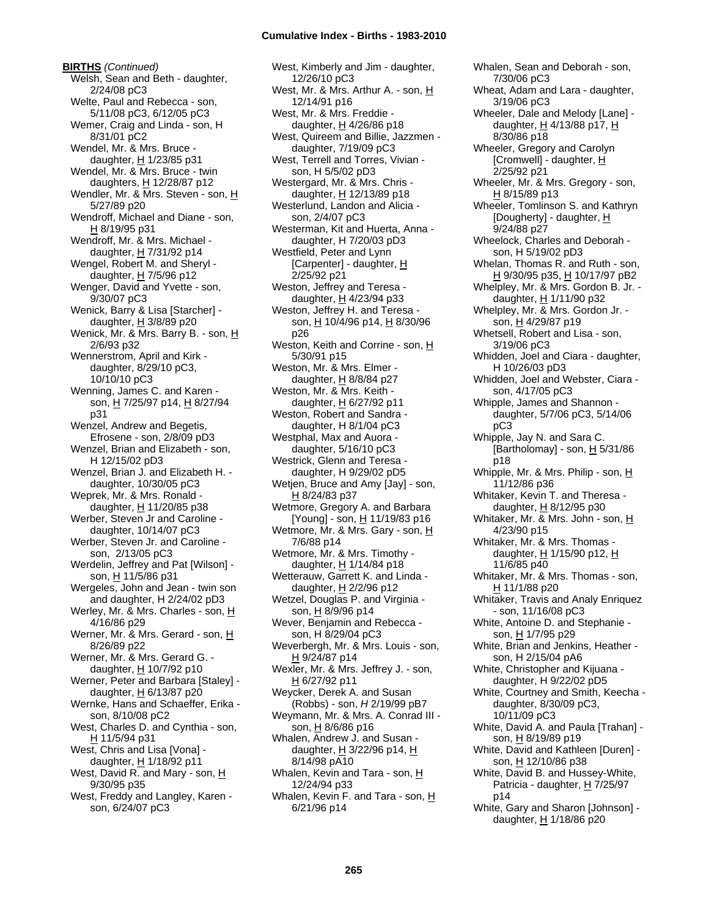**BIRTHS** *(Continued)* Welsh, Sean and Beth - daughter, 2/24/08 pC3 Welte, Paul and Rebecca - son, 5/11/08 pC3, 6/12/05 pC3 Wemer, Craig and Linda - son, H 8/31/01 pC2 Wendel, Mr. & Mrs. Bruce daughter,  $H$  1/23/85 p31 Wendel, Mr. & Mrs. Bruce - twin daughters, H 12/28/87 p12 Wendler, Mr. & Mrs. Steven - son, H 5/27/89 p20 Wendroff, Michael and Diane - son, H 8/19/95 p31 Wendroff, Mr. & Mrs. Michael daughter, H 7/31/92 p14 Wengel, Robert M. and Sheryl daughter,  $H$  7/5/96 p12 Wenger, David and Yvette - son, 9/30/07 pC3 Wenick, Barry & Lisa [Starcher] daughter, H 3/8/89 p20 Wenick, Mr. & Mrs. Barry B. - son, H 2/6/93 p32 Wennerstrom, April and Kirk daughter, 8/29/10 pC3, 10/10/10 pC3 Wenning, James C. and Karen son, H 7/25/97 p14, H 8/27/94 p31 Wenzel, Andrew and Begetis, Efrosene - son, 2/8/09 pD3 Wenzel, Brian and Elizabeth - son, H 12/15/02 pD3 Wenzel, Brian J. and Elizabeth H. daughter, 10/30/05 pC3 Weprek, Mr. & Mrs. Ronald daughter, H 11/20/85 p38 Werber, Steven Jr and Caroline daughter, 10/14/07 pC3 Werber, Steven Jr. and Caroline son, 2/13/05 pC3 Werdelin, Jeffrey and Pat [Wilson] son, H 11/5/86 p31 Wergeles, John and Jean - twin son and daughter, H 2/24/02 pD3 Werley, Mr. & Mrs. Charles - son, H 4/16/86 p29 Werner, Mr. & Mrs. Gerard - son, H 8/26/89 p22 Werner, Mr. & Mrs. Gerard G. daughter, H 10/7/92 p10 Werner, Peter and Barbara [Staley] daughter,  $H$  6/13/87 p20 Wernke, Hans and Schaeffer, Erika son, 8/10/08 pC2 West, Charles D. and Cynthia - son, H 11/5/94 p31 West, Chris and Lisa [Vona] daughter, H 1/18/92 p11 West, David R. and Mary - son, H 9/30/95 p35 West, Freddy and Langley, Karen son, 6/24/07 pC3

West, Kimberly and Jim - daughter, 12/26/10 pC3 West, Mr. & Mrs. Arthur A. - son, H 12/14/91 p16 West, Mr. & Mrs. Freddie daughter, H 4/26/86 p18 West, Quireem and Billie, Jazzmen daughter, 7/19/09 pC3 West, Terrell and Torres, Vivian son, H 5/5/02 pD3 Westergard, Mr. & Mrs. Chris daughter, H 12/13/89 p18 Westerlund, Landon and Alicia son, 2/4/07 pC3 Westerman, Kit and Huerta, Anna daughter, H 7/20/03 pD3 Westfield, Peter and Lynn [Carpenter] - daughter, H 2/25/92 p21 Weston, Jeffrey and Teresa daughter,  $H$  4/23/94 p33 Weston, Jeffrey H. and Teresa son, H 10/4/96 p14, H 8/30/96 p26 Weston, Keith and Corrine - son, H 5/30/91 p15 Weston, Mr. & Mrs. Elmer daughter,  $H$  8/8/84 p27 Weston, Mr. & Mrs. Keith daughter, H 6/27/92 p11 Weston, Robert and Sandra daughter, H 8/1/04 pC3 Westphal, Max and Auora daughter, 5/16/10 pC3 Westrick, Glenn and Teresa daughter, H 9/29/02 pD5 Wetjen, Bruce and Amy [Jay] - son, H 8/24/83 p37 Wetmore, Gregory A. and Barbara [Young] - son,  $\underline{H}$  11/19/83 p16 Wetmore, Mr. & Mrs. Gary - son, H 7/6/88 p14 Wetmore, Mr. & Mrs. Timothy daughter, H 1/14/84 p18 Wetterauw, Garrett K. and Linda daughter,  $H$  2/2/96 p12 Wetzel, Douglas P. and Virginia son, H 8/9/96 p14 Wever, Benjamin and Rebecca son, H 8/29/04 pC3 Weverbergh, Mr. & Mrs. Louis - son, H 9/24/87 p14 Wexler, Mr. & Mrs. Jeffrey J. - son, H 6/27/92 p11 Weycker, Derek A. and Susan (Robbs) - son, *H* 2/19/99 pB7 Weymann, Mr. & Mrs. A. Conrad III son, H 8/6/86 p16 Whalen, Andrew J. and Susan daughter,  $H$  3/22/96 p14,  $H$ 8/14/98 pA10 Whalen, Kevin and Tara - son, H 12/24/94 p33 Whalen, Kevin F. and Tara - son, H 6/21/96 p14

Whalen, Sean and Deborah - son, 7/30/06 pC3 Wheat, Adam and Lara - daughter, 3/19/06 pC3 Wheeler, Dale and Melody [Lane] daughter, H 4/13/88 p17, H 8/30/86 p18 Wheeler, Gregory and Carolyn [Cromwell] - daughter, H 2/25/92 p21 Wheeler, Mr. & Mrs. Gregory - son, H 8/15/89 p13 Wheeler, Tomlinson S. and Kathryn [Dougherty] - daughter, H 9/24/88 p27 Wheelock, Charles and Deborah son, H 5/19/02 pD3 Whelan, Thomas R. and Ruth - son, H 9/30/95 p35, H 10/17/97 pB2 Whelpley, Mr. & Mrs. Gordon B. Jr. daughter, H 1/11/90 p32 Whelpley, Mr. & Mrs. Gordon Jr. son, H 4/29/87 p19 Whetsell, Robert and Lisa - son, 3/19/06 pC3 Whidden, Joel and Ciara - daughter, H 10/26/03 pD3 Whidden, Joel and Webster, Ciara son, 4/17/05 pC3 Whipple, James and Shannon daughter, 5/7/06 pC3, 5/14/06 pC3 Whipple, Jay N. and Sara C. [Bartholomay] - son,  $H$  5/31/86 p18 Whipple, Mr. & Mrs. Philip - son, H 11/12/86 p36 Whitaker, Kevin T. and Theresa daughter, H 8/12/95 p30 Whitaker, Mr. & Mrs. John - son, H 4/23/90 p15 Whitaker, Mr. & Mrs. Thomas daughter,  $H$  1/15/90 p12,  $H$ 11/6/85 p40 Whitaker, Mr. & Mrs. Thomas - son, H 11/1/88 p20 Whitaker, Travis and Analy Enriquez - son, 11/16/08 pC3 White, Antoine D. and Stephanie son, H 1/7/95 p29 White, Brian and Jenkins, Heather son, H 2/15/04 pA6 White, Christopher and Kijuana daughter, H 9/22/02 pD5 White, Courtney and Smith, Keecha daughter, 8/30/09 pC3, 10/11/09 pC3 White, David A. and Paula [Trahan] son, H 8/19/89 p19 White, David and Kathleen [Duren] son, H 12/10/86 p38 White, David B. and Hussey-White, Patricia - daughter, H 7/25/97 p14 White, Gary and Sharon [Johnson] daughter, H 1/18/86 p20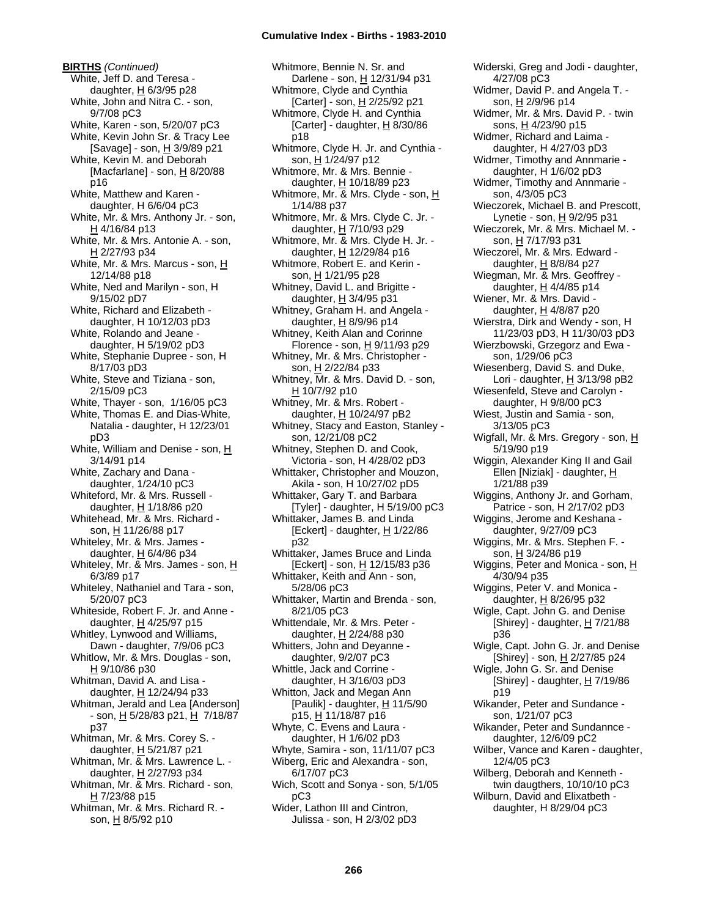**BIRTHS** *(Continued)* White, Jeff D. and Teresa daughter,  $H$  6/3/95 p28 White, John and Nitra C. - son, 9/7/08 pC3 White, Karen - son, 5/20/07 pC3 White, Kevin John Sr. & Tracy Lee [Savage] - son, H 3/9/89 p21 White, Kevin M. and Deborah [Macfarlane] - son,  $H$  8/20/88 p16 White, Matthew and Karen daughter, H 6/6/04 pC3 White, Mr. & Mrs. Anthony Jr. - son, H 4/16/84 p13 White, Mr. & Mrs. Antonie A. - son, H 2/27/93 p34 White, Mr. & Mrs. Marcus - son, H 12/14/88 p18 White, Ned and Marilyn - son, H 9/15/02 pD7 White, Richard and Elizabeth daughter, H 10/12/03 pD3 White, Rolando and Jeane daughter, H 5/19/02 pD3 White, Stephanie Dupree - son, H 8/17/03 pD3 White, Steve and Tiziana - son, 2/15/09 pC3 White, Thayer - son, 1/16/05 pC3 White, Thomas E. and Dias-White, Natalia - daughter, H 12/23/01 pD3 White, William and Denise - son, H 3/14/91 p14 White, Zachary and Dana daughter, 1/24/10 pC3 Whiteford, Mr. & Mrs. Russell daughter, H 1/18/86 p20 Whitehead, Mr. & Mrs. Richard son, H 11/26/88 p17 Whiteley, Mr. & Mrs. James daughter, H 6/4/86 p34 Whiteley, Mr. & Mrs. James - son, H 6/3/89 p17 Whiteley, Nathaniel and Tara - son, 5/20/07 pC3 Whiteside, Robert F. Jr. and Anne daughter,  $H$  4/25/97 p15 Whitley, Lynwood and Williams, Dawn - daughter, 7/9/06 pC3 Whitlow, Mr. & Mrs. Douglas - son, H 9/10/86 p30 Whitman, David A. and Lisa daughter, H 12/24/94 p33 Whitman, Jerald and Lea [Anderson] - son, H 5/28/83 p21, H 7/18/87 p37 Whitman, Mr. & Mrs. Corey S. daughter,  $H$  5/21/87 p21 Whitman, Mr. & Mrs. Lawrence L. daughter, H 2/27/93 p34 Whitman, Mr. & Mrs. Richard - son,  $H$  7/23/88 p15 Whitman, Mr. & Mrs. Richard R. son, H 8/5/92 p10

Whitmore, Bennie N. Sr. and Darlene - son, H 12/31/94 p31 Whitmore, Clyde and Cynthia [Carter] - son, H 2/25/92 p21 Whitmore, Clyde H. and Cynthia [Carter] - daughter, H 8/30/86 p18 Whitmore, Clyde H. Jr. and Cynthia son, H 1/24/97 p12 Whitmore, Mr. & Mrs. Bennie daughter, H 10/18/89 p23 Whitmore, Mr. & Mrs. Clyde - son, H 1/14/88 p37 Whitmore, Mr. & Mrs. Clyde C. Jr. daughter, H 7/10/93 p29 Whitmore, Mr. & Mrs. Clyde H. Jr. daughter, H 12/29/84 p16 Whitmore, Robert E. and Kerin son, H 1/21/95 p28 Whitney, David L. and Brigitte daughter,  $H$  3/4/95 p31 Whitney, Graham H. and Angela daughter, H 8/9/96 p14 Whitney, Keith Alan and Corinne Florence - son,  $H$  9/11/93 p29 Whitney, Mr. & Mrs. Christopher son, H 2/22/84 p33 Whitney, Mr. & Mrs. David D. - son, H 10/7/92 p10 Whitney, Mr. & Mrs. Robert daughter, H 10/24/97 pB2 Whitney, Stacy and Easton, Stanley son, 12/21/08 pC2 Whitney, Stephen D. and Cook, Victoria - son, H 4/28/02 pD3 Whittaker, Christopher and Mouzon, Akila - son, H 10/27/02 pD5 Whittaker, Gary T. and Barbara [Tyler] - daughter, H 5/19/00 pC3 Whittaker, James B. and Linda [Eckert] - daughter, H 1/22/86 p32 Whittaker, James Bruce and Linda [Eckert] - son, H 12/15/83 p36 Whittaker, Keith and Ann - son, 5/28/06 pC3 Whittaker, Martin and Brenda - son, 8/21/05 pC3 Whittendale, Mr. & Mrs. Peter daughter, H 2/24/88 p30 Whitters, John and Deyanne daughter, 9/2/07 pC3 Whittle, Jack and Corrine daughter, H 3/16/03 pD3 Whitton, Jack and Megan Ann [Paulik] - daughter,  $\underline{H}$  11/5/90 p15, H 11/18/87 p16 Whyte, C. Evens and Laura daughter, H 1/6/02 pD3 Whyte, Samira - son, 11/11/07 pC3 Wiberg, Eric and Alexandra - son, 6/17/07 pC3 Wich, Scott and Sonya - son, 5/1/05 pC3 Wider, Lathon III and Cintron, Julissa - son, H 2/3/02 pD3

Widerski, Greg and Jodi - daughter, 4/27/08 pC3 Widmer, David P. and Angela T. son, H 2/9/96 p14 Widmer, Mr. & Mrs. David P. - twin sons, H 4/23/90 p15 Widmer, Richard and Laima daughter, H 4/27/03 pD3 Widmer, Timothy and Annmarie daughter, H 1/6/02 pD3 Widmer, Timothy and Annmarie son, 4/3/05 pC3 Wieczorek, Michael B. and Prescott, Lynetie - son, H 9/2/95 p31 Wieczorek, Mr. & Mrs. Michael M. son, H 7/17/93 p31 Wieczorel, Mr. & Mrs. Edward daughter,  $H$  8/8/84 p27 Wiegman, Mr. & Mrs. Geoffrey daughter, H 4/4/85 p14 Wiener, Mr. & Mrs. David daughter,  $H$  4/8/87 p20 Wierstra, Dirk and Wendy - son, H 11/23/03 pD3, H 11/30/03 pD3 Wierzbowski, Grzegorz and Ewa son, 1/29/06 pC3 Wiesenberg, David S. and Duke, Lori - daughter,  $H$  3/13/98 pB2 Wiesenfeld, Steve and Carolyn daughter, H 9/8/00 pC3 Wiest, Justin and Samia - son, 3/13/05 pC3 Wigfall, Mr. & Mrs. Gregory - son, H 5/19/90 p19 Wiggin, Alexander King II and Gail Ellen [Niziak] - daughter, H 1/21/88 p39 Wiggins, Anthony Jr. and Gorham, Patrice - son, H 2/17/02 pD3 Wiggins, Jerome and Keshana daughter, 9/27/09 pC3 Wiggins, Mr. & Mrs. Stephen F. son, H 3/24/86 p19 Wiggins, Peter and Monica - son, H 4/30/94 p35 Wiggins, Peter V. and Monica daughter, H 8/26/95 p32 Wigle, Capt. John G. and Denise [Shirey] - daughter,  $H$  7/21/88 p36 Wigle, Capt. John G. Jr. and Denise [Shirey] - son, H 2/27/85 p24 Wigle, John G. Sr. and Denise [Shirey] - daughter,  $H$  7/19/86 p19 Wikander, Peter and Sundance son, 1/21/07 pC3 Wikander, Peter and Sundannce daughter, 12/6/09 pC2 Wilber, Vance and Karen - daughter, 12/4/05 pC3 Wilberg, Deborah and Kenneth twin daugthers, 10/10/10 pC3 Wilburn, David and Elixatbeth daughter, H 8/29/04 pC3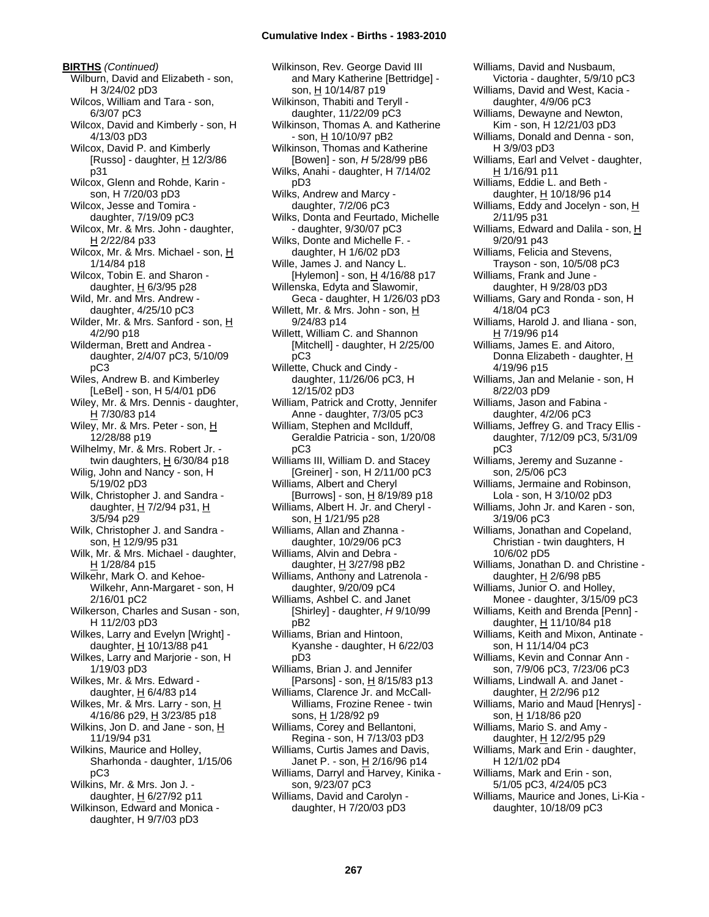**BIRTHS** *(Continued)* Wilburn, David and Elizabeth - son, H 3/24/02 pD3 Wilcos, William and Tara - son, 6/3/07 pC3 Wilcox, David and Kimberly - son, H 4/13/03 pD3 Wilcox, David P. and Kimberly [Russo] - daughter,  $\underline{H}$  12/3/86 p31 Wilcox, Glenn and Rohde, Karin son, H 7/20/03 pD3 Wilcox, Jesse and Tomira daughter, 7/19/09 pC3 Wilcox, Mr. & Mrs. John - daughter, H 2/22/84 p33 Wilcox, Mr. & Mrs. Michael - son, H 1/14/84 p18 Wilcox, Tobin E. and Sharon daughter, H 6/3/95 p28 Wild, Mr. and Mrs. Andrew daughter, 4/25/10 pC3 Wilder, Mr. & Mrs. Sanford - son, H 4/2/90 p18 Wilderman, Brett and Andrea daughter, 2/4/07 pC3, 5/10/09 pC3 Wiles, Andrew B. and Kimberley [LeBel] - son, H 5/4/01 pD6 Wiley, Mr. & Mrs. Dennis - daughter,  $H$  7/30/83 p14 Wiley, Mr. & Mrs. Peter - son, H 12/28/88 p19 Wilhelmy, Mr. & Mrs. Robert Jr. twin daughters, H 6/30/84 p18 Wilig, John and Nancy - son, H 5/19/02 pD3 Wilk, Christopher J. and Sandra daughter,  $H$  7/2/94 p31,  $H$ 3/5/94 p29 Wilk, Christopher J. and Sandra son, H 12/9/95 p31 Wilk, Mr. & Mrs. Michael - daughter, H 1/28/84 p15 Wilkehr, Mark O. and Kehoe-Wilkehr, Ann-Margaret - son, H 2/16/01 pC2 Wilkerson, Charles and Susan - son, H 11/2/03 pD3 Wilkes, Larry and Evelyn [Wright] daughter,  $H$  10/13/88 p41 Wilkes, Larry and Marjorie - son, H 1/19/03 pD3 Wilkes, Mr. & Mrs. Edward daughter,  $H$  6/4/83 p14 Wilkes, Mr. & Mrs. Larry - son, H 4/16/86 p29, H 3/23/85 p18 Wilkins, Jon D. and Jane - son,  $H$ 11/19/94 p31 Wilkins, Maurice and Holley, Sharhonda - daughter, 1/15/06 pC3 Wilkins, Mr. & Mrs. Jon J. daughter,  $H$  6/27/92 p11 Wilkinson, Edward and Monica daughter, H 9/7/03 pD3

Wilkinson, Rev. George David III and Mary Katherine [Bettridge] son, H 10/14/87 p19 Wilkinson, Thabiti and Teryll daughter, 11/22/09 pC3 Wilkinson, Thomas A. and Katherine - son, H 10/10/97 pB2 Wilkinson, Thomas and Katherine [Bowen] - son, *H* 5/28/99 pB6 Wilks, Anahi - daughter, H 7/14/02 pD3 Wilks, Andrew and Marcy daughter, 7/2/06 pC3 Wilks, Donta and Feurtado, Michelle - daughter, 9/30/07 pC3 Wilks, Donte and Michelle F. daughter, H 1/6/02 pD3 Wille, James J. and Nancy L. [Hylemon] - son,  $H$  4/16/88 p17 Willenska, Edyta and Slawomir, Geca - daughter, H 1/26/03 pD3 Willett, Mr. & Mrs. John - son, H 9/24/83 p14 Willett, William C. and Shannon [Mitchell] - daughter, H 2/25/00 pC3 Willette, Chuck and Cindy daughter, 11/26/06 pC3, H 12/15/02 pD3 William, Patrick and Crotty, Jennifer Anne - daughter, 7/3/05 pC3 William, Stephen and McIlduff, Geraldie Patricia - son, 1/20/08 pC3 Williams III, William D. and Stacey [Greiner] - son, H 2/11/00 pC3 Williams, Albert and Cheryl [Burrows] - son, H 8/19/89 p18 Williams, Albert H. Jr. and Cheryl son, H 1/21/95 p28 Williams, Allan and Zhanna daughter, 10/29/06 pC3 Williams, Alvin and Debra daughter, H 3/27/98 pB2 Williams, Anthony and Latrenola daughter, 9/20/09 pC4 Williams, Ashbel C. and Janet [Shirley] - daughter, *H* 9/10/99 pB2 Williams, Brian and Hintoon, Kyanshe - daughter, H 6/22/03 pD3 Williams, Brian J. and Jennifer [Parsons] - son,  $H_8$  8/15/83 p13 Williams, Clarence Jr. and McCall-Williams, Frozine Renee - twin sons, H 1/28/92 p9 Williams, Corey and Bellantoni, Regina - son, H 7/13/03 pD3 Williams, Curtis James and Davis, Janet P. - son, H 2/16/96 p14 Williams, Darryl and Harvey, Kinika son, 9/23/07 pC3 Williams, David and Carolyn daughter, H 7/20/03 pD3

Williams, David and Nusbaum, Victoria - daughter, 5/9/10 pC3 Williams, David and West, Kacia daughter, 4/9/06 pC3 Williams, Dewayne and Newton, Kim - son, H 12/21/03 pD3 Williams, Donald and Denna - son, H 3/9/03 pD3 Williams, Earl and Velvet - daughter, H 1/16/91 p11 Williams, Eddie L. and Beth daughter, H 10/18/96 p14 Williams, Eddy and Jocelyn - son,  $H$ 2/11/95 p31 Williams, Edward and Dalila - son, H 9/20/91 p43 Williams, Felicia and Stevens, Trayson - son, 10/5/08 pC3 Williams, Frank and June daughter, H 9/28/03 pD3 Williams, Gary and Ronda - son, H 4/18/04 pC3 Williams, Harold J. and Iliana - son, H 7/19/96 p14 Williams, James E. and Aitoro, Donna Elizabeth - daughter, H 4/19/96 p15 Williams, Jan and Melanie - son, H 8/22/03 pD9 Williams, Jason and Fabina daughter, 4/2/06 pC3 Williams, Jeffrey G. and Tracy Ellis daughter, 7/12/09 pC3, 5/31/09 pC3 Williams, Jeremy and Suzanne son, 2/5/06 pC3 Williams, Jermaine and Robinson, Lola - son, H 3/10/02 pD3 Williams, John Jr. and Karen - son, 3/19/06 pC3 Williams, Jonathan and Copeland, Christian - twin daughters, H 10/6/02 pD5 Williams, Jonathan D. and Christine daughter,  $H$  2/6/98 pB5 Williams, Junior O. and Holley, Monee - daughter, 3/15/09 pC3 Williams, Keith and Brenda [Penn] daughter, H 11/10/84 p18 Williams, Keith and Mixon, Antinate son, H 11/14/04 pC3 Williams, Kevin and Connar Ann son, 7/9/06 pC3, 7/23/06 pC3 Williams, Lindwall A. and Janet daughter,  $H$  2/2/96 p12 Williams, Mario and Maud [Henrys] son, H 1/18/86 p20 Williams, Mario S. and Amy daughter, H 12/2/95 p29 Williams, Mark and Erin - daughter, H 12/1/02 pD4 Williams, Mark and Erin - son, 5/1/05 pC3, 4/24/05 pC3 Williams, Maurice and Jones, Li-Kia daughter, 10/18/09 pC3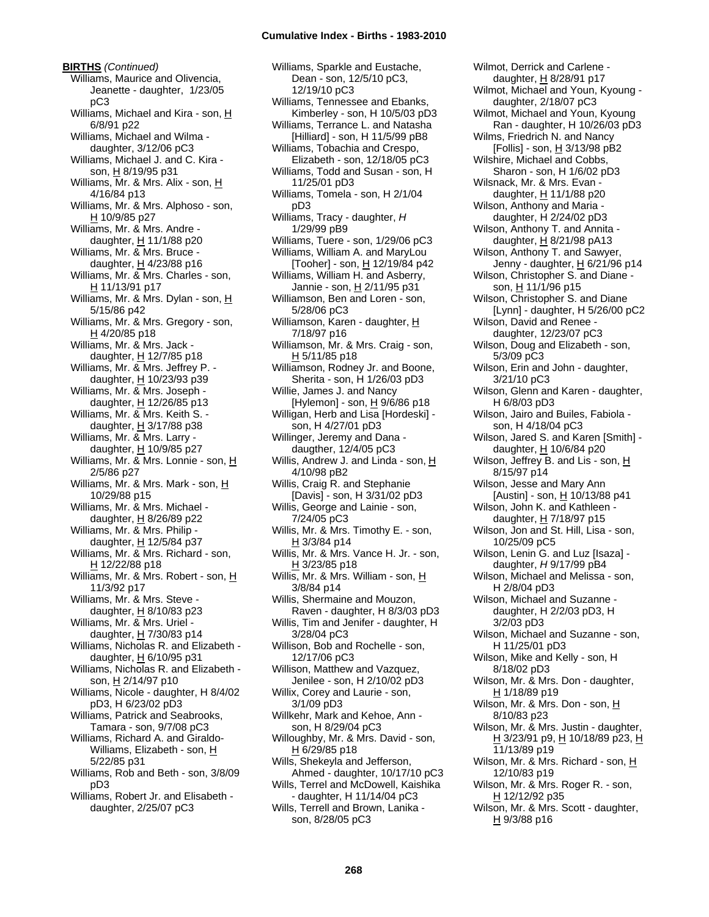**BIRTHS** *(Continued)* Williams, Maurice and Olivencia, Jeanette - daughter, 1/23/05 pC3 Williams, Michael and Kira - son, H 6/8/91 p22 Williams, Michael and Wilma daughter, 3/12/06 pC3 Williams, Michael J. and C. Kira son, H 8/19/95 p31 Williams, Mr. & Mrs. Alix - son, H 4/16/84 p13 Williams, Mr. & Mrs. Alphoso - son, H 10/9/85 p27 Williams, Mr. & Mrs. Andre daughter, H 11/1/88 p20 Williams, Mr. & Mrs. Bruce daughter,  $H$  4/23/88 p16 Williams, Mr. & Mrs. Charles - son, H 11/13/91 p17 Williams, Mr. & Mrs. Dylan - son, H 5/15/86 p42 Williams, Mr. & Mrs. Gregory - son, H 4/20/85 p18 Williams, Mr. & Mrs. Jack daughter,  $H$  12/7/85 p18 Williams, Mr. & Mrs. Jeffrey P. daughter, H 10/23/93 p39 Williams, Mr. & Mrs. Joseph daughter, H 12/26/85 p13 Williams, Mr. & Mrs. Keith S. daughter,  $H$  3/17/88 p38 Williams, Mr. & Mrs. Larry daughter, H 10/9/85 p27 Williams, Mr. & Mrs. Lonnie - son, H 2/5/86 p27 Williams, Mr. & Mrs. Mark - son, H 10/29/88 p15 Williams, Mr. & Mrs. Michael daughter, H 8/26/89 p22 Williams, Mr. & Mrs. Philip daughter, H 12/5/84 p37 Williams, Mr. & Mrs. Richard - son, H 12/22/88 p18 Williams, Mr. & Mrs. Robert - son, H 11/3/92 p17 Williams, Mr. & Mrs. Steve daughter,  $H$  8/10/83 p23 Williams, Mr. & Mrs. Uriel daughter, H 7/30/83 p14 Williams, Nicholas R. and Elizabeth daughter, H 6/10/95 p31 Williams, Nicholas R. and Elizabeth son, H 2/14/97 p10 Williams, Nicole - daughter, H 8/4/02 pD3, H 6/23/02 pD3 Williams, Patrick and Seabrooks, Tamara - son, 9/7/08 pC3 Williams, Richard A. and Giraldo-Williams, Elizabeth - son, H 5/22/85 p31 Williams, Rob and Beth - son, 3/8/09 pD3 Williams, Robert Jr. and Elisabeth -

daughter, 2/25/07 pC3

Williams, Sparkle and Eustache, Dean - son, 12/5/10 pC3, 12/19/10 pC3 Williams, Tennessee and Ebanks, Kimberley - son, H 10/5/03 pD3 Williams, Terrance L. and Natasha [Hilliard] - son, H 11/5/99 pB8 Williams, Tobachia and Crespo, Elizabeth - son, 12/18/05 pC3 Williams, Todd and Susan - son, H 11/25/01 pD3 Williams, Tomela - son, H 2/1/04 pD3 Williams, Tracy - daughter, *H* 1/29/99 pB9 Williams, Tuere - son, 1/29/06 pC3 Williams, William A. and MaryLou [Tooher] - son, H 12/19/84 p42 Williams, William H. and Asberry, Jannie - son, H 2/11/95 p31 Williamson, Ben and Loren - son, 5/28/06 pC3 Williamson, Karen - daughter, H 7/18/97 p16 Williamson, Mr. & Mrs. Craig - son, H 5/11/85 p18 Williamson, Rodney Jr. and Boone, Sherita - son, H 1/26/03 pD3 Willie, James J. and Nancy [Hylemon] - son,  $H$  9/6/86 p18 Willigan, Herb and Lisa [Hordeski] son, H 4/27/01 pD3 Willinger, Jeremy and Dana daugther, 12/4/05 pC3 Willis, Andrew J. and Linda - son, H 4/10/98 pB2 Willis, Craig R. and Stephanie [Davis] - son, H 3/31/02 pD3 Willis, George and Lainie - son, 7/24/05 pC3 Willis, Mr. & Mrs. Timothy E. - son, H 3/3/84 p14 Willis, Mr. & Mrs. Vance H. Jr. - son, H 3/23/85 p18 Willis, Mr. & Mrs. William - son, H 3/8/84 p14 Willis, Shermaine and Mouzon, Raven - daughter, H 8/3/03 pD3 Willis, Tim and Jenifer - daughter, H 3/28/04 pC3 Willison, Bob and Rochelle - son, 12/17/06 pC3 Willison, Matthew and Vazquez, Jenilee - son, H 2/10/02 pD3 Willix, Corey and Laurie - son, 3/1/09 pD3 Willkehr, Mark and Kehoe, Ann son, H 8/29/04 pC3 Willoughby, Mr. & Mrs. David - son, H 6/29/85 p18 Wills, Shekeyla and Jefferson, Ahmed - daughter, 10/17/10 pC3 Wills, Terrel and McDowell, Kaishika - daughter, H 11/14/04 pC3 Wills, Terrell and Brown, Lanika son, 8/28/05 pC3

Wilmot, Derrick and Carlene daughter, H 8/28/91 p17 Wilmot, Michael and Youn, Kyoung daughter, 2/18/07 pC3 Wilmot, Michael and Youn, Kyoung Ran - daughter, H 10/26/03 pD3 Wilms, Friedrich N. and Nancy [Follis] - son, H 3/13/98 pB2 Wilshire, Michael and Cobbs, Sharon - son, H 1/6/02 pD3 Wilsnack, Mr. & Mrs. Evan daughter, H 11/1/88 p20 Wilson, Anthony and Maria daughter, H 2/24/02 pD3 Wilson, Anthony T. and Annita daughter,  $H$  8/21/98 pA13 Wilson, Anthony T. and Sawyer, Jenny - daughter, H 6/21/96 p14 Wilson, Christopher S. and Diane son, H 11/1/96 p15 Wilson, Christopher S. and Diane [Lynn] - daughter, H 5/26/00 pC2 Wilson, David and Renee daughter, 12/23/07 pC3 Wilson, Doug and Elizabeth - son, 5/3/09 pC3 Wilson, Erin and John - daughter, 3/21/10 pC3 Wilson, Glenn and Karen - daughter, H 6/8/03 pD3 Wilson, Jairo and Builes, Fabiola son, H 4/18/04 pC3 Wilson, Jared S. and Karen [Smith] daughter, H 10/6/84 p20 Wilson, Jeffrey B. and Lis - son, H 8/15/97 p14 Wilson, Jesse and Mary Ann [Austin] - son,  $\underline{H}$  10/13/88 p41 Wilson, John K. and Kathleen daughter,  $H$  7/18/97 p15 Wilson, Jon and St. Hill, Lisa - son, 10/25/09 pC5 Wilson, Lenin G. and Luz [Isaza] daughter, *H* 9/17/99 pB4 Wilson, Michael and Melissa - son, H 2/8/04 pD3 Wilson, Michael and Suzanne daughter, H 2/2/03 pD3, H 3/2/03 pD3 Wilson, Michael and Suzanne - son, H 11/25/01 pD3 Wilson, Mike and Kelly - son, H 8/18/02 pD3 Wilson, Mr. & Mrs. Don - daughter, H 1/18/89 p19 Wilson, Mr. & Mrs. Don - son, H 8/10/83 p23 Wilson, Mr. & Mrs. Justin - daughter, <u>H</u> 3/23/91 p9, <u>H</u> 10/18/89 p23, <u>H</u> 11/13/89 p19 Wilson, Mr. & Mrs. Richard - son, H 12/10/83 p19 Wilson, Mr. & Mrs. Roger R. - son, H 12/12/92 p35 Wilson, Mr. & Mrs. Scott - daughter,

H 9/3/88 p16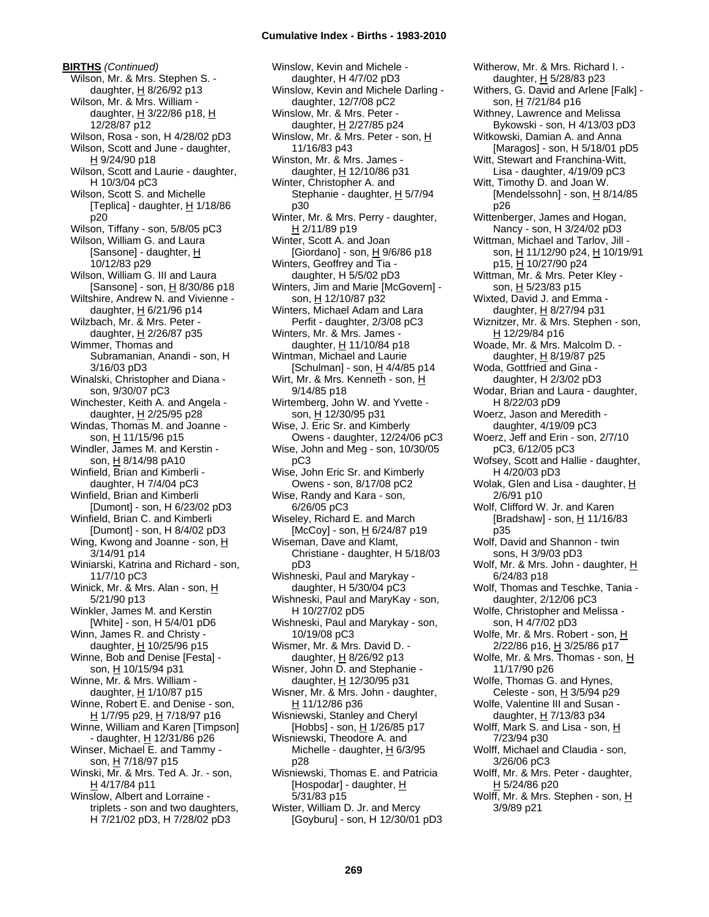**BIRTHS** *(Continued)* Wilson, Mr. & Mrs. Stephen S. daughter,  $H$  8/26/92 p13 Wilson, Mr. & Mrs. William daughter,  $H$  3/22/86 p18,  $H$ 12/28/87 p12 Wilson, Rosa - son, H 4/28/02 pD3 Wilson, Scott and June - daughter, H 9/24/90 p18 Wilson, Scott and Laurie - daughter, H 10/3/04 pC3 Wilson, Scott S. and Michelle [Teplica] - daughter,  $H$  1/18/86 p20 Wilson, Tiffany - son, 5/8/05 pC3 Wilson, William G. and Laura [Sansone] - daughter, H 10/12/83 p29 Wilson, William G. III and Laura [Sansone] - son, H 8/30/86 p18 Wiltshire, Andrew N. and Vivienne daughter,  $H$  6/21/96 p14 Wilzbach, Mr. & Mrs. Peter daughter, H 2/26/87 p35 Wimmer, Thomas and Subramanian, Anandi - son, H 3/16/03 pD3 Winalski, Christopher and Diana son, 9/30/07 pC3 Winchester, Keith A. and Angela daughter, H 2/25/95 p28 Windas, Thomas M. and Joanne son, H 11/15/96 p15 Windler, James M. and Kerstin son, H 8/14/98 pA10 Winfield, Brian and Kimberli daughter, H 7/4/04 pC3 Winfield, Brian and Kimberli [Dumont] - son, H 6/23/02 pD3 Winfield, Brian C. and Kimberli [Dumont] - son, H 8/4/02 pD3 Wing, Kwong and Joanne - son, H 3/14/91 p14 Winiarski, Katrina and Richard - son, 11/7/10 pC3 Winick, Mr. & Mrs. Alan - son, H 5/21/90 p13 Winkler, James M. and Kerstin [White] - son, H 5/4/01 pD6 Winn, James R. and Christy daughter, H 10/25/96 p15 Winne, Bob and Denise [Festa] son, H 10/15/94 p31 Winne, Mr. & Mrs. William daughter,  $H$  1/10/87 p15 Winne, Robert E. and Denise - son, H 1/7/95 p29, H 7/18/97 p16 Winne, William and Karen [Timpson] - daughter, H 12/31/86 p26 Winser, Michael E. and Tammy son, H 7/18/97 p15 Winski, Mr. & Mrs. Ted A. Jr. - son, H 4/17/84 p11 Winslow, Albert and Lorraine triplets - son and two daughters, H 7/21/02 pD3, H 7/28/02 pD3

Winslow, Kevin and Michele daughter, H 4/7/02 pD3 Winslow, Kevin and Michele Darling daughter, 12/7/08 pC2 Winslow, Mr. & Mrs. Peter daughter, H 2/27/85 p24 Winslow, Mr. & Mrs. Peter - son, H 11/16/83 p43 Winston, Mr. & Mrs. James daughter, H 12/10/86 p31 Winter, Christopher A. and Stephanie - daughter, H 5/7/94 p30 Winter, Mr. & Mrs. Perry - daughter, H 2/11/89 p19 Winter, Scott A. and Joan [Giordano] - son,  $\underline{H}$  9/6/86 p18 Winters, Geoffrey and Tia daughter, H 5/5/02 pD3 Winters, Jim and Marie [McGovern] son, H 12/10/87 p32 Winters, Michael Adam and Lara Perfit - daughter, 2/3/08 pC3 Winters, Mr. & Mrs. James daughter,  $H$  11/10/84 p18 Wintman, Michael and Laurie [Schulman] - son,  $H$  4/4/85 p14 Wirt, Mr. & Mrs. Kenneth - son, H 9/14/85 p18 Wirtemberg, John W. and Yvette son, H 12/30/95 p31 Wise, J. Eric Sr. and Kimberly Owens - daughter, 12/24/06 pC3 Wise, John and Meg - son, 10/30/05 pC3 Wise, John Eric Sr. and Kimberly Owens - son, 8/17/08 pC2 Wise, Randy and Kara - son, 6/26/05 pC3 Wiseley, Richard E. and March [McCoy] - son, H 6/24/87 p19 Wiseman, Dave and Klamt, Christiane - daughter, H 5/18/03 pD3 Wishneski, Paul and Marykay daughter, H 5/30/04 pC3 Wishneski, Paul and MaryKay - son, H 10/27/02 pD5 Wishneski, Paul and Marykay - son, 10/19/08 pC3 Wismer, Mr. & Mrs. David D. daughter, H 8/26/92 p13 Wisner, John D. and Stephanie daughter, H 12/30/95 p31 Wisner, Mr. & Mrs. John - daughter, H 11/12/86 p36 Wisniewski, Stanley and Cheryl  $[Hobbs]$  - son,  $H$  1/26/85 p17 Wisniewski, Theodore A. and Michelle - daughter,  $H_6/3/95$ p28 Wisniewski, Thomas E. and Patricia [Hospodar] - daughter, H 5/31/83 p15

Wister, William D. Jr. and Mercy [Goyburu] - son, H 12/30/01 pD3 Witherow, Mr. & Mrs. Richard I. daughter, H 5/28/83 p23 Withers, G. David and Arlene [Falk] son, H 7/21/84 p16 Withney, Lawrence and Melissa Bykowski - son, H 4/13/03 pD3 Witkowski, Damian A. and Anna [Maragos] - son, H 5/18/01 pD5 Witt, Stewart and Franchina-Witt, Lisa - daughter, 4/19/09 pC3 Witt, Timothy D. and Joan W. [Mendelssohn] - son,  $\underline{H}$  8/14/85 p26 Wittenberger, James and Hogan, Nancy - son, H 3/24/02 pD3 Wittman, Michael and Tarlov, Jill son, H 11/12/90 p24, H 10/19/91 p15, H 10/27/90 p24 Wittman, Mr. & Mrs. Peter Kley son, H 5/23/83 p15 Wixted, David J. and Emma daughter,  $H$  8/27/94 p31 Wiznitzer, Mr. & Mrs. Stephen - son, H 12/29/84 p16 Woade, Mr. & Mrs. Malcolm D. daughter, H 8/19/87 p25 Woda, Gottfried and Gina daughter, H 2/3/02 pD3 Wodar, Brian and Laura - daughter, H 8/22/03 pD9 Woerz, Jason and Meredith daughter, 4/19/09 pC3 Woerz, Jeff and Erin - son, 2/7/10 pC3, 6/12/05 pC3 Wofsey, Scott and Hallie - daughter, H 4/20/03 pD3 Wolak, Glen and Lisa - daughter, H 2/6/91 p10 Wolf, Clifford W. Jr. and Karen [Bradshaw] - son,  $H$  11/16/83 p35 Wolf, David and Shannon - twin sons, H 3/9/03 pD3 Wolf, Mr. & Mrs. John - daughter, H 6/24/83 p18 Wolf, Thomas and Teschke, Tania daughter, 2/12/06 pC3 Wolfe, Christopher and Melissa son, H 4/7/02 pD3 Wolfe, Mr. & Mrs. Robert - son, H 2/22/86 p16, H 3/25/86 p17 Wolfe, Mr. & Mrs. Thomas - son, H 11/17/90 p26 Wolfe, Thomas G. and Hynes, Celeste - son,  $H$  3/5/94 p29 Wolfe, Valentine III and Susan daughter, H 7/13/83 p34 Wolff, Mark S. and Lisa - son, H 7/23/94 p30 Wolff, Michael and Claudia - son, 3/26/06 pC3 Wolff, Mr. & Mrs. Peter - daughter, H 5/24/86 p20 Wolff, Mr. & Mrs. Stephen - son, H 3/9/89 p21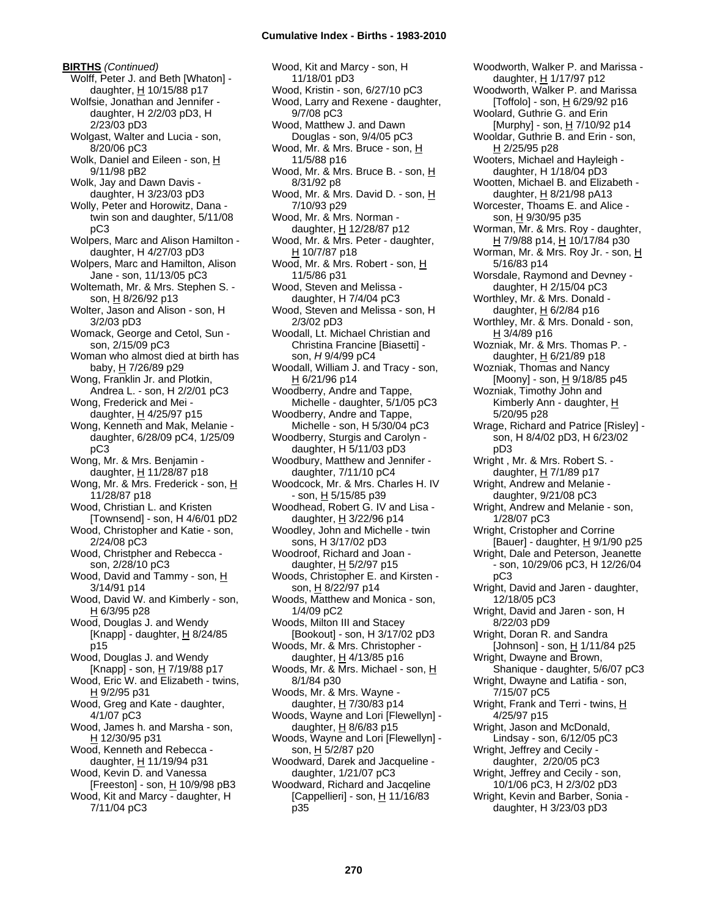**BIRTHS** *(Continued)* Wolff, Peter J. and Beth [Whaton] daughter, H 10/15/88 p17 Wolfsie, Jonathan and Jennifer daughter, H 2/2/03 pD3, H 2/23/03 pD3 Wolgast, Walter and Lucia - son, 8/20/06 pC3 Wolk, Daniel and Eileen - son, H 9/11/98 pB2 Wolk, Jay and Dawn Davis daughter, H 3/23/03 pD3 Wolly, Peter and Horowitz, Dana twin son and daughter, 5/11/08 pC3 Wolpers, Marc and Alison Hamilton daughter, H 4/27/03 pD3 Wolpers, Marc and Hamilton, Alison Jane - son, 11/13/05 pC3 Woltemath, Mr. & Mrs. Stephen S. son, H 8/26/92 p13 Wolter, Jason and Alison - son, H 3/2/03 pD3 Womack, George and Cetol, Sun son, 2/15/09 pC3 Woman who almost died at birth has baby, H 7/26/89 p29 Wong, Franklin Jr. and Plotkin, Andrea L. - son, H 2/2/01 pC3 Wong, Frederick and Mei daughter,  $H$  4/25/97 p15 Wong, Kenneth and Mak, Melanie daughter, 6/28/09 pC4, 1/25/09 pC3 Wong, Mr. & Mrs. Benjamin daughter,  $H$  11/28/87 p18 Wong, Mr. & Mrs. Frederick - son, H 11/28/87 p18 Wood, Christian L. and Kristen [Townsend] - son, H 4/6/01 pD2 Wood, Christopher and Katie - son, 2/24/08 pC3 Wood, Christpher and Rebecca son, 2/28/10 pC3 Wood, David and Tammy - son, H 3/14/91 p14 Wood, David W. and Kimberly - son,  $H$  6/3/95 p28 Wood, Douglas J. and Wendy [Knapp] - daughter,  $H_8/24/85$ p15 Wood, Douglas J. and Wendy [Knapp] - son, H 7/19/88 p17 Wood, Eric W. and Elizabeth - twins, H 9/2/95 p31 Wood, Greg and Kate - daughter, 4/1/07 pC3 Wood, James h. and Marsha - son, H 12/30/95 p31 Wood, Kenneth and Rebecca daughter, H 11/19/94 p31 Wood, Kevin D. and Vanessa [Freeston] - son, H 10/9/98 pB3 Wood, Kit and Marcy - daughter, H 7/11/04 pC3

Wood, Kit and Marcy - son, H 11/18/01 pD3 Wood, Kristin - son, 6/27/10 pC3 Wood, Larry and Rexene - daughter, 9/7/08 pC3 Wood, Matthew J. and Dawn Douglas - son, 9/4/05 pC3 Wood, Mr. & Mrs. Bruce - son, H 11/5/88 p16 Wood, Mr. & Mrs. Bruce B. - son, H 8/31/92 p8 Wood, Mr. & Mrs. David D. - son, H 7/10/93 p29 Wood, Mr. & Mrs. Norman daughter, H 12/28/87 p12 Wood, Mr. & Mrs. Peter - daughter, H 10/7/87 p18 Wood, Mr. & Mrs. Robert - son, H 11/5/86 p31 Wood, Steven and Melissa daughter, H 7/4/04 pC3 Wood, Steven and Melissa - son, H 2/3/02 pD3 Woodall, Lt. Michael Christian and Christina Francine [Biasetti] son, *H* 9/4/99 pC4 Woodall, William J. and Tracy - son,  $H$  6/21/96 p14 Woodberry, Andre and Tappe, Michelle - daughter, 5/1/05 pC3 Woodberry, Andre and Tappe, Michelle - son, H 5/30/04 pC3 Woodberry, Sturgis and Carolyn daughter, H 5/11/03 pD3 Woodbury, Matthew and Jennifer daughter, 7/11/10 pC4 Woodcock, Mr. & Mrs. Charles H. IV - son, H 5/15/85 p39 Woodhead, Robert G. IV and Lisa daughter,  $H$  3/22/96 p14 Woodley, John and Michelle - twin sons, H 3/17/02 pD3 Woodroof, Richard and Joan daughter, H 5/2/97 p15 Woods, Christopher E. and Kirsten son, H 8/22/97 p14 Woods, Matthew and Monica - son, 1/4/09 pC2 Woods, Milton III and Stacey [Bookout] - son, H 3/17/02 pD3 Woods, Mr. & Mrs. Christopher daughter, H 4/13/85 p16 Woods, Mr. & Mrs. Michael - son, H 8/1/84 p30 Woods, Mr. & Mrs. Wayne daughter, H 7/30/83 p14 Woods, Wayne and Lori [Flewellyn] daughter,  $H$  8/6/83 p15 Woods, Wayne and Lori [Flewellyn] son, H 5/2/87 p20 Woodward, Darek and Jacqueline daughter, 1/21/07 pC3 Woodward, Richard and Jacqeline [Cappellieri] - son,  $H$  11/16/83 p35

Woodworth, Walker P. and Marissa daughter, H 1/17/97 p12 Woodworth, Walker P. and Marissa [Toffolo] - son,  $\underline{H}$  6/29/92 p16 Woolard, Guthrie G. and Erin [Murphy] - son, H 7/10/92 p14 Wooldar, Guthrie B. and Erin - son, H 2/25/95 p28 Wooters, Michael and Hayleigh daughter, H 1/18/04 pD3 Wootten, Michael B. and Elizabeth daughter,  $H_8/21/98$  pA13 Worcester, Thoams E. and Alice son, H 9/30/95 p35 Worman, Mr. & Mrs. Roy - daughter, H 7/9/88 p14, H 10/17/84 p30 Worman, Mr. & Mrs. Roy Jr. - son, H 5/16/83 p14 Worsdale, Raymond and Devney daughter, H 2/15/04 pC3 Worthley, Mr. & Mrs. Donald daughter,  $H$  6/2/84 p16 Worthley, Mr. & Mrs. Donald - son, H 3/4/89 p16 Wozniak, Mr. & Mrs. Thomas P. daughter, H 6/21/89 p18 Wozniak, Thomas and Nancy [Moony] - son, H 9/18/85 p45 Wozniak, Timothy John and Kimberly Ann - daughter, H 5/20/95 p28 Wrage, Richard and Patrice [Risley] son, H 8/4/02 pD3, H 6/23/02 pD3 Wright , Mr. & Mrs. Robert S. daughter, H 7/1/89 p17 Wright, Andrew and Melanie daughter, 9/21/08 pC3 Wright, Andrew and Melanie - son, 1/28/07 pC3 Wright, Cristopher and Corrine [Bauer] - daughter,  $H$  9/1/90 p25 Wright, Dale and Peterson, Jeanette - son, 10/29/06 pC3, H 12/26/04 pC3 Wright, David and Jaren - daughter, 12/18/05 pC3 Wright, David and Jaren - son, H 8/22/03 pD9 Wright, Doran R. and Sandra [Johnson] - son,  $H$  1/11/84 p25 Wright, Dwayne and Brown, Shanique - daughter, 5/6/07 pC3 Wright, Dwayne and Latifia - son, 7/15/07 pC5 Wright, Frank and Terri - twins, H 4/25/97 p15 Wright, Jason and McDonald, Lindsay - son, 6/12/05 pC3 Wright, Jeffrey and Cecily daughter, 2/20/05 pC3 Wright, Jeffrey and Cecily - son, 10/1/06 pC3, H 2/3/02 pD3 Wright, Kevin and Barber, Sonia daughter, H 3/23/03 pD3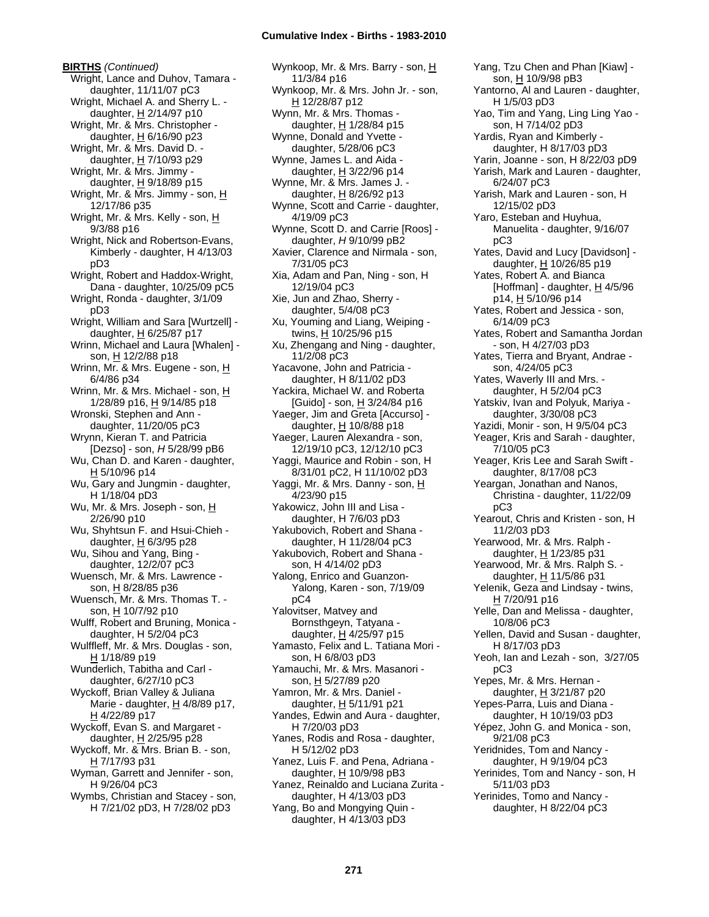**BIRTHS** *(Continued)* Wright, Lance and Duhov, Tamara daughter, 11/11/07 pC3 Wright, Michael A. and Sherry L. daughter, H 2/14/97 p10 Wright, Mr. & Mrs. Christopher daughter,  $H$  6/16/90 p23 Wright, Mr. & Mrs. David D. daughter,  $H$  7/10/93 p29 Wright, Mr. & Mrs. Jimmy daughter, H 9/18/89 p15 Wright, Mr. & Mrs. Jimmy - son, H 12/17/86 p35 Wright, Mr. & Mrs. Kelly - son, H 9/3/88 p16 Wright, Nick and Robertson-Evans, Kimberly - daughter, H 4/13/03 pD3 Wright, Robert and Haddox-Wright, Dana - daughter, 10/25/09 pC5 Wright, Ronda - daughter, 3/1/09 pD3 Wright, William and Sara [Wurtzell] daughter, H 6/25/87 p17 Wrinn, Michael and Laura [Whalen] son, H 12/2/88 p18 Wrinn, Mr. & Mrs. Eugene - son, H 6/4/86 p34 Wrinn, Mr. & Mrs. Michael - son, H 1/28/89 p16, H 9/14/85 p18 Wronski, Stephen and Ann daughter, 11/20/05 pC3 Wrynn, Kieran T. and Patricia [Dezso] - son, *H* 5/28/99 pB6 Wu, Chan D. and Karen - daughter, H 5/10/96 p14 Wu, Gary and Jungmin - daughter, H 1/18/04 pD3 Wu, Mr. & Mrs. Joseph - son, H 2/26/90 p10 Wu, Shyhtsun F. and Hsui-Chieh daughter,  $H$  6/3/95 p28 Wu, Sihou and Yang, Bing daughter, 12/2/07 pC3 Wuensch, Mr. & Mrs. Lawrence son, H 8/28/85 p36 Wuensch, Mr. & Mrs. Thomas T. son, H 10/7/92 p10 Wulff, Robert and Bruning, Monica daughter, H 5/2/04 pC3 Wulffleff, Mr. & Mrs. Douglas - son, H 1/18/89 p19 Wunderlich, Tabitha and Carl daughter, 6/27/10 pC3 Wyckoff, Brian Valley & Juliana Marie - daughter,  $H$  4/8/89 p17, H 4/22/89 p17 Wyckoff, Evan S. and Margaret daughter, H 2/25/95 p28 Wyckoff, Mr. & Mrs. Brian B. - son, H 7/17/93 p31 Wyman, Garrett and Jennifer - son, H 9/26/04 pC3 Wymbs, Christian and Stacey - son,

H 7/21/02 pD3, H 7/28/02 pD3

Wynkoop, Mr. & Mrs. Barry - son, H 11/3/84 p16 Wynkoop, Mr. & Mrs. John Jr. - son, H 12/28/87 p12 Wynn, Mr. & Mrs. Thomas daughter, H 1/28/84 p15 Wynne, Donald and Yvette daughter, 5/28/06 pC3 Wynne, James L. and Aida daughter, H 3/22/96 p14 Wynne, Mr. & Mrs. James J. daughter,  $H$  8/26/92 p13 Wynne, Scott and Carrie - daughter, 4/19/09 pC3 Wynne, Scott D. and Carrie [Roos] daughter, *H* 9/10/99 pB2 Xavier, Clarence and Nirmala - son, 7/31/05 pC3 Xia, Adam and Pan, Ning - son, H 12/19/04 pC3 Xie, Jun and Zhao, Sherry daughter, 5/4/08 pC3 Xu, Youming and Liang, Weiping twins, H 10/25/96 p15 Xu, Zhengang and Ning - daughter, 11/2/08 pC3 Yacavone, John and Patricia daughter, H 8/11/02 pD3 Yackira, Michael W. and Roberta [Guido] - son, H 3/24/84 p16 Yaeger, Jim and Greta [Accurso] daughter,  $H$  10/8/88 p18 Yaeger, Lauren Alexandra - son, 12/19/10 pC3, 12/12/10 pC3 Yaggi, Maurice and Robin - son, H 8/31/01 pC2, H 11/10/02 pD3 Yaggi, Mr. & Mrs. Danny - son, H 4/23/90 p15 Yakowicz, John III and Lisa daughter, H 7/6/03 pD3 Yakubovich, Robert and Shana daughter, H 11/28/04 pC3 Yakubovich, Robert and Shana son, H 4/14/02 pD3 Yalong, Enrico and Guanzon-Yalong, Karen - son, 7/19/09 pC4 Yalovitser, Matvey and Bornsthgeyn, Tatyana daughter,  $\underline{H}$  4/25/97 p15 Yamasto, Felix and L. Tatiana Mori son, H 6/8/03 pD3 Yamauchi, Mr. & Mrs. Masanori son, H 5/27/89 p20 Yamron, Mr. & Mrs. Daniel daughter, H 5/11/91 p21 Yandes, Edwin and Aura - daughter, H 7/20/03 pD3 Yanes, Rodis and Rosa - daughter, H 5/12/02 pD3 Yanez, Luis F. and Pena, Adriana daughter, H 10/9/98 pB3 Yanez, Reinaldo and Luciana Zurita daughter, H 4/13/03 pD3 Yang, Bo and Mongying Quin daughter, H 4/13/03 pD3

Yang, Tzu Chen and Phan [Kiaw] son, H 10/9/98 pB3 Yantorno, Al and Lauren - daughter, H 1/5/03 pD3 Yao, Tim and Yang, Ling Ling Yao son, H 7/14/02 pD3 Yardis, Ryan and Kimberly daughter, H 8/17/03 pD3 Yarin, Joanne - son, H 8/22/03 pD9 Yarish, Mark and Lauren - daughter, 6/24/07 pC3 Yarish, Mark and Lauren - son, H 12/15/02 pD3 Yaro, Esteban and Huyhua, Manuelita - daughter, 9/16/07 pC3 Yates, David and Lucy [Davidson] daughter, H 10/26/85 p19 Yates, Robert A. and Bianca [Hoffman] - daughter,  $H$  4/5/96 p14, H 5/10/96 p14 Yates, Robert and Jessica - son, 6/14/09 pC3 Yates, Robert and Samantha Jordan - son, H 4/27/03 pD3 Yates, Tierra and Bryant, Andrae son, 4/24/05 pC3 Yates, Waverly III and Mrs. daughter, H 5/2/04 pC3 Yatskiv, Ivan and Polyuk, Mariya daughter, 3/30/08 pC3 Yazidi, Monir - son, H 9/5/04 pC3 Yeager, Kris and Sarah - daughter, 7/10/05 pC3 Yeager, Kris Lee and Sarah Swift daughter, 8/17/08 pC3 Yeargan, Jonathan and Nanos, Christina - daughter, 11/22/09 pC3 Yearout, Chris and Kristen - son, H 11/2/03 pD3 Yearwood, Mr. & Mrs. Ralph daughter, H 1/23/85 p31 Yearwood, Mr. & Mrs. Ralph S. daughter, H 11/5/86 p31 Yelenik, Geza and Lindsay - twins, H 7/20/91 p16 Yelle, Dan and Melissa - daughter, 10/8/06 pC3 Yellen, David and Susan - daughter, H 8/17/03 pD3 Yeoh, Ian and Lezah - son, 3/27/05 pC3 Yepes, Mr. & Mrs. Hernan daughter,  $H$  3/21/87 p20 Yepes-Parra, Luis and Diana daughter, H 10/19/03 pD3 Yépez, John G. and Monica - son, 9/21/08 pC3 Yeridnides, Tom and Nancy daughter, H 9/19/04 pC3 Yerinides, Tom and Nancy - son, H 5/11/03 pD3 Yerinides, Tomo and Nancy daughter, H 8/22/04 pC3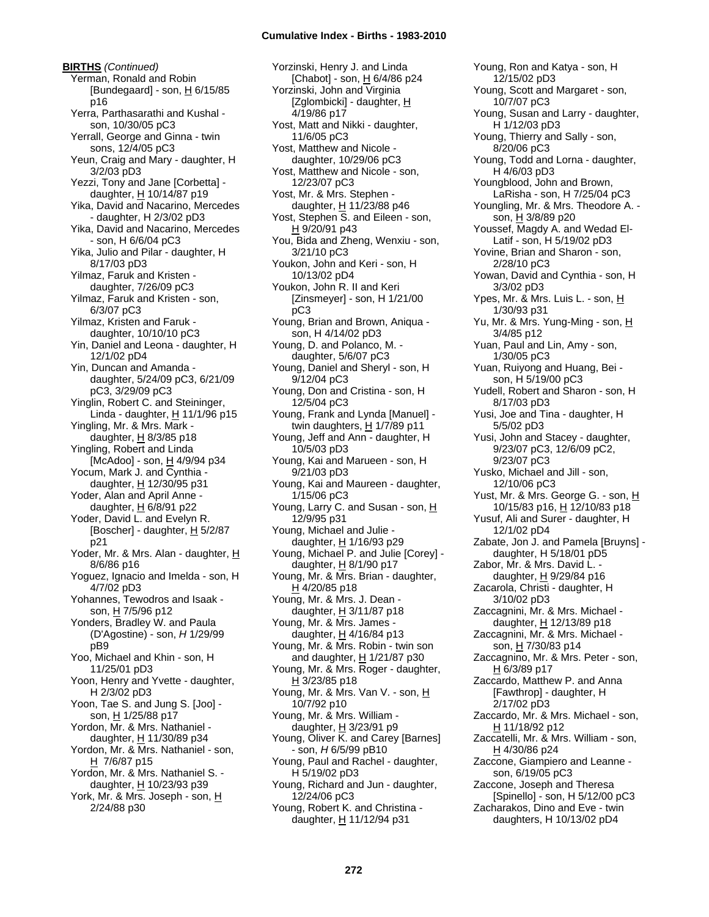**BIRTHS** *(Continued)* Yerman, Ronald and Robin [Bundegaard] - son,  $H$  6/15/85 p16 Yerra, Parthasarathi and Kushal son, 10/30/05 pC3 Yerrall, George and Ginna - twin sons, 12/4/05 pC3 Yeun, Craig and Mary - daughter, H 3/2/03 pD3 Yezzi, Tony and Jane [Corbetta] daughter,  $H$  10/14/87 p19 Yika, David and Nacarino, Mercedes - daughter, H 2/3/02 pD3 Yika, David and Nacarino, Mercedes - son, H 6/6/04 pC3 Yika, Julio and Pilar - daughter, H 8/17/03 pD3 Yilmaz, Faruk and Kristen daughter, 7/26/09 pC3 Yilmaz, Faruk and Kristen - son, 6/3/07 pC3 Yilmaz, Kristen and Faruk daughter, 10/10/10 pC3 Yin, Daniel and Leona - daughter, H 12/1/02 pD4 Yin, Duncan and Amanda daughter, 5/24/09 pC3, 6/21/09 pC3, 3/29/09 pC3 Yinglin, Robert C. and Steininger, Linda - daughter,  $H$  11/1/96 p15 Yingling, Mr. & Mrs. Mark daughter,  $H$  8/3/85 p18 Yingling, Robert and Linda [McAdoo] - son, H 4/9/94 p34 Yocum, Mark J. and Cynthia daughter, H 12/30/95 p31 Yoder, Alan and April Anne daughter,  $H$  6/8/91 p22 Yoder, David L. and Evelyn R. [Boscher] - daughter,  $\underline{H}$  5/2/87 p21 Yoder, Mr. & Mrs. Alan - daughter, H 8/6/86 p16 Yoguez, Ignacio and Imelda - son, H 4/7/02 pD3 Yohannes, Tewodros and Isaak son, H 7/5/96 p12 Yonders, Bradley W. and Paula (D'Agostine) - son, *H* 1/29/99 pB9 Yoo, Michael and Khin - son, H 11/25/01 pD3 Yoon, Henry and Yvette - daughter, H 2/3/02 pD3 Yoon, Tae S. and Jung S. [Joo] son, H 1/25/88 p17 Yordon, Mr. & Mrs. Nathaniel daughter, H 11/30/89 p34 Yordon, Mr. & Mrs. Nathaniel - son,  $H$  7/6/87 p15 Yordon, Mr. & Mrs. Nathaniel S. daughter, H 10/23/93 p39 York, Mr. & Mrs. Joseph - son, H 2/24/88 p30

Yorzinski, Henry J. and Linda [Chabot] - son, H 6/4/86 p24 Yorzinski, John and Virginia [Zglombicki] - daughter, H 4/19/86 p17 Yost, Matt and Nikki - daughter, 11/6/05 pC3 Yost, Matthew and Nicole daughter, 10/29/06 pC3 Yost, Matthew and Nicole - son, 12/23/07 pC3 Yost, Mr. & Mrs. Stephen daughter,  $H$  11/23/88 p46 Yost, Stephen S. and Eileen - son, H 9/20/91 p43 You, Bida and Zheng, Wenxiu - son, 3/21/10 pC3 Youkon, John and Keri - son, H 10/13/02 pD4 Youkon, John R. II and Keri [Zinsmeyer] - son, H 1/21/00 pC3 Young, Brian and Brown, Aniqua son, H 4/14/02 pD3 Young, D. and Polanco, M. daughter, 5/6/07 pC3 Young, Daniel and Sheryl - son, H 9/12/04 pC3 Young, Don and Cristina - son, H 12/5/04 pC3 Young, Frank and Lynda [Manuel] twin daughters,  $H$  1/7/89 p11 Young, Jeff and Ann - daughter, H 10/5/03 pD3 Young, Kai and Marueen - son, H 9/21/03 pD3 Young, Kai and Maureen - daughter, 1/15/06 pC3 Young, Larry C. and Susan - son, H 12/9/95 p31 Young, Michael and Julie daughter,  $H$  1/16/93 p29 Young, Michael P. and Julie [Corey] daughter, H 8/1/90 p17 Young, Mr. & Mrs. Brian - daughter,  $H$  4/20/85 p18 Young, Mr. & Mrs. J. Dean daughter,  $H$  3/11/87 p18 Young, Mr. & Mrs. James daughter,  $H$  4/16/84 p13 Young, Mr. & Mrs. Robin - twin son and daughter, H 1/21/87 p30 Young, Mr. & Mrs. Roger - daughter,  $H$  3/23/85 p18 Young, Mr. & Mrs. Van V. - son, H 10/7/92 p10 Young, Mr. & Mrs. William daughter,  $H$  3/23/91 p9 Young, Oliver K. and Carey [Barnes] - son, *H* 6/5/99 pB10 Young, Paul and Rachel - daughter, H 5/19/02 pD3 Young, Richard and Jun - daughter, 12/24/06 pC3 Young, Robert K. and Christina daughter, H 11/12/94 p31

Young, Ron and Katya - son, H 12/15/02 pD3 Young, Scott and Margaret - son, 10/7/07 pC3 Young, Susan and Larry - daughter, H 1/12/03 pD3 Young, Thierry and Sally - son, 8/20/06 pC3 Young, Todd and Lorna - daughter, H 4/6/03 pD3 Youngblood, John and Brown, LaRisha - son, H 7/25/04 pC3 Youngling, Mr. & Mrs. Theodore A. son, H 3/8/89 p20 Youssef, Magdy A. and Wedad El-Latif - son, H 5/19/02 pD3 Yovine, Brian and Sharon - son, 2/28/10 pC3 Yowan, David and Cynthia - son, H 3/3/02 pD3 Ypes, Mr. & Mrs. Luis L. - son, H 1/30/93 p31 Yu, Mr. & Mrs. Yung-Ming - son, H 3/4/85 p12 Yuan, Paul and Lin, Amy - son, 1/30/05 pC3 Yuan, Ruiyong and Huang, Bei son, H 5/19/00 pC3 Yudell, Robert and Sharon - son, H 8/17/03 pD3 Yusi, Joe and Tina - daughter, H 5/5/02 pD3 Yusi, John and Stacey - daughter, 9/23/07 pC3, 12/6/09 pC2, 9/23/07 pC3 Yusko, Michael and Jill - son, 12/10/06 pC3 Yust, Mr. & Mrs. George G. - son, H 10/15/83 p16, H 12/10/83 p18 Yusuf, Ali and Surer - daughter, H 12/1/02 pD4 Zabate, Jon J. and Pamela [Bruyns] daughter, H 5/18/01 pD5 Zabor, Mr. & Mrs. David L. daughter, H 9/29/84 p16 Zacarola, Christi - daughter, H 3/10/02 pD3 Zaccagnini, Mr. & Mrs. Michael daughter,  $H$  12/13/89 p18 Zaccagnini, Mr. & Mrs. Michael son, H 7/30/83 p14 Zaccagnino, Mr. & Mrs. Peter - son, H 6/3/89 p17 Zaccardo, Matthew P. and Anna [Fawthrop] - daughter, H 2/17/02 pD3 Zaccardo, Mr. & Mrs. Michael - son, H 11/18/92 p12 Zaccatelli, Mr. & Mrs. William - son, H 4/30/86 p24 Zaccone, Giampiero and Leanne son, 6/19/05 pC3 Zaccone, Joseph and Theresa [Spinello] - son, H 5/12/00 pC3 Zacharakos, Dino and Eve - twin daughters, H 10/13/02 pD4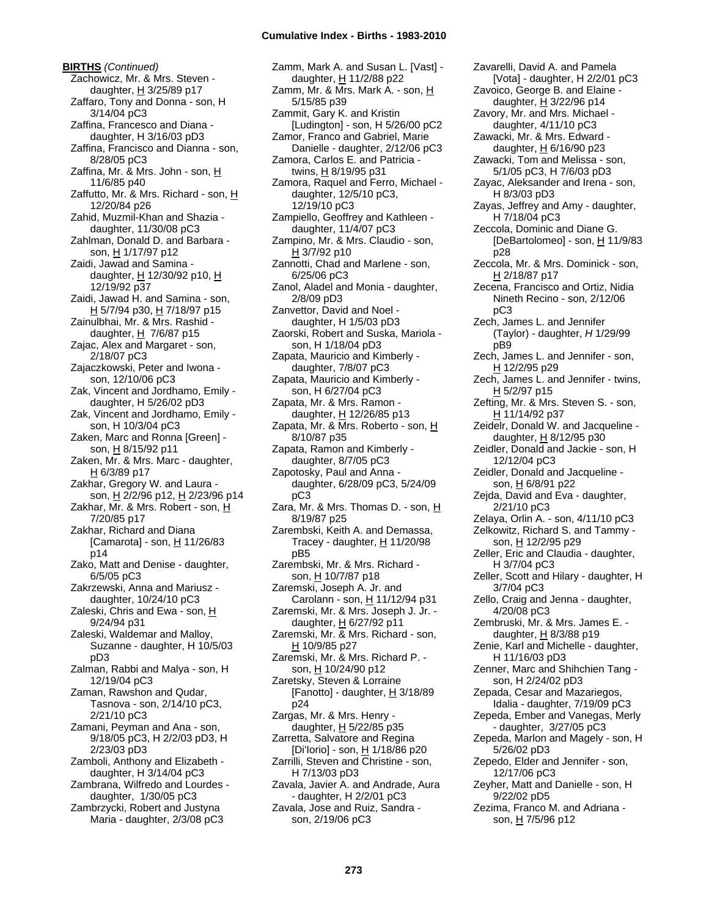**BIRTHS** *(Continued)* Zachowicz, Mr. & Mrs. Steven daughter,  $\underline{H}$  3/25/89 p17 Zaffaro, Tony and Donna - son, H 3/14/04 pC3 Zaffina, Francesco and Diana daughter, H 3/16/03 pD3 Zaffina, Francisco and Dianna - son, 8/28/05 pC3 Zaffina, Mr. & Mrs. John - son, H 11/6/85 p40 Zaffutto, Mr. & Mrs. Richard - son, H 12/20/84 p26 Zahid, Muzmil-Khan and Shazia daughter, 11/30/08 pC3 Zahlman, Donald D. and Barbara son, H 1/17/97 p12 Zaidi, Jawad and Samina daughter,  $H$  12/30/92 p10,  $H$ 12/19/92 p37 Zaidi, Jawad H. and Samina - son, H 5/7/94 p30, H 7/18/97 p15 Zainulbhai, Mr. & Mrs. Rashid daughter,  $H$  7/6/87 p15 Zajac, Alex and Margaret - son, 2/18/07 pC3 Zajaczkowski, Peter and Iwona son, 12/10/06 pC3 Zak, Vincent and Jordhamo, Emily daughter, H 5/26/02 pD3 Zak, Vincent and Jordhamo, Emily son, H 10/3/04 pC3 Zaken, Marc and Ronna [Green] son, H 8/15/92 p11 Zaken, Mr. & Mrs. Marc - daughter,  $H$  6/3/89 p17 Zakhar, Gregory W. and Laura son, H 2/2/96 p12, H 2/23/96 p14 Zakhar, Mr. & Mrs. Robert - son, H 7/20/85 p17 Zakhar, Richard and Diana [Camarota] - son,  $\underline{H}$  11/26/83 p14 Zako, Matt and Denise - daughter, 6/5/05 pC3 Zakrzewski, Anna and Mariusz daughter, 10/24/10 pC3 Zaleski, Chris and Ewa - son, H 9/24/94 p31 Zaleski, Waldemar and Malloy, Suzanne - daughter, H 10/5/03 pD3 Zalman, Rabbi and Malya - son, H 12/19/04 pC3 Zaman, Rawshon and Qudar, Tasnova - son, 2/14/10 pC3, 2/21/10 pC3 Zamani, Peyman and Ana - son, 9/18/05 pC3, H 2/2/03 pD3, H 2/23/03 pD3 Zamboli, Anthony and Elizabeth daughter, H 3/14/04 pC3 Zambrana, Wilfredo and Lourdes daughter, 1/30/05 pC3 Zambrzycki, Robert and Justyna Maria - daughter, 2/3/08 pC3

Zamm, Mark A. and Susan L. [Vast] daughter, H 11/2/88 p22 Zamm, Mr. & Mrs. Mark A. - son, H 5/15/85 p39 Zammit, Gary K. and Kristin [Ludington] - son, H 5/26/00 pC2 Zamor, Franco and Gabriel, Marie Danielle - daughter, 2/12/06 pC3 Zamora, Carlos E. and Patricia twins, H 8/19/95 p31 Zamora, Raquel and Ferro, Michael daughter, 12/5/10 pC3, 12/19/10 pC3 Zampiello, Geoffrey and Kathleen daughter, 11/4/07 pC3 Zampino, Mr. & Mrs. Claudio - son, H 3/7/92 p10 Zannotti, Chad and Marlene - son, 6/25/06 pC3 Zanol, Aladel and Monia - daughter, 2/8/09 pD3 Zanvettor, David and Noel daughter, H 1/5/03 pD3 Zaorski, Robert and Suska, Mariola son, H 1/18/04 pD3 Zapata, Mauricio and Kimberly daughter, 7/8/07 pC3 Zapata, Mauricio and Kimberly son, H 6/27/04 pC3 Zapata, Mr. & Mrs. Ramon daughter, H 12/26/85 p13 Zapata, Mr. & Mrs. Roberto - son, H 8/10/87 p35 Zapata, Ramon and Kimberly daughter, 8/7/05 pC3 Zapotosky, Paul and Anna daughter, 6/28/09 pC3, 5/24/09 pC3 Zara, Mr. & Mrs. Thomas D. - son, H 8/19/87 p25 Zarembski, Keith A. and Demassa, Tracey - daughter,  $H$  11/20/98 pB5 Zarembski, Mr. & Mrs. Richard son, <u>H</u> 10/7/87 p18 Zaremski, Joseph A. Jr. and Carolann - son, H 11/12/94 p31 Zaremski, Mr. & Mrs. Joseph J. Jr. daughter,  $H$  6/27/92 p11 Zaremski, Mr. & Mrs. Richard - son, H 10/9/85 p27 Zaremski, Mr. & Mrs. Richard P. son, H 10/24/90 p12 Zaretsky, Steven & Lorraine [Fanotto] - daughter,  $H$  3/18/89 p24 Zargas, Mr. & Mrs. Henry daughter,  $H$  5/22/85 p35 Zarretta, Salvatore and Regina [Di'Iorio] - son, H 1/18/86 p20 Zarrilli, Steven and Christine - son, H 7/13/03 pD3 Zavala, Javier A. and Andrade, Aura - daughter, H 2/2/01 pC3 Zavala, Jose and Ruiz, Sandra son, 2/19/06 pC3

Zavarelli, David A. and Pamela [Vota] - daughter, H 2/2/01 pC3 Zavoico, George B. and Elaine daughter,  $H$  3/22/96 p14 Zavory, Mr. and Mrs. Michael daughter, 4/11/10 pC3 Zawacki, Mr. & Mrs. Edward daughter, H 6/16/90 p23 Zawacki, Tom and Melissa - son, 5/1/05 pC3, H 7/6/03 pD3 Zayac, Aleksander and Irena - son, H 8/3/03 pD3 Zayas, Jeffrey and Amy - daughter, H 7/18/04 pC3 Zeccola, Dominic and Diane G. [DeBartolomeo] - son,  $H$  11/9/83 p28 Zeccola, Mr. & Mrs. Dominick - son, H 2/18/87 p17 Zecena, Francisco and Ortiz, Nidia Nineth Recino - son, 2/12/06 pC3 Zech, James L. and Jennifer (Taylor) - daughter, *H* 1/29/99 pB9 Zech, James L. and Jennifer - son, H 12/2/95 p29 Zech, James L. and Jennifer - twins, H 5/2/97 p15 Zefting, Mr. & Mrs. Steven S. - son, H 11/14/92 p37 Zeidelr, Donald W. and Jacqueline daughter,  $H$  8/12/95 p30 Zeidler, Donald and Jackie - son, H 12/12/04 pC3 Zeidler, Donald and Jacqueline son, H 6/8/91 p22 Zejda, David and Eva - daughter, 2/21/10 pC3 Zelaya, Orlin A. - son, 4/11/10 pC3 Zelkowitz, Richard S. and Tammy son, H 12/2/95 p29 Zeller, Eric and Claudia - daughter, H 3/7/04 pC3 Zeller, Scott and Hilary - daughter, H 3/7/04 pC3 Zello, Craig and Jenna - daughter, 4/20/08 pC3 Zembruski, Mr. & Mrs. James E. daughter, H 8/3/88 p19 Zenie, Karl and Michelle - daughter, H 11/16/03 pD3 Zenner, Marc and Shihchien Tang son, H 2/24/02 pD3 Zepada, Cesar and Mazariegos, Idalia - daughter, 7/19/09 pC3 Zepeda, Ember and Vanegas, Merly - daughter, 3/27/05 pC3 Zepeda, Marlon and Magely - son, H 5/26/02 pD3 Zepedo, Elder and Jennifer - son, 12/17/06 pC3 Zeyher, Matt and Danielle - son, H 9/22/02 pD5

Zezima, Franco M. and Adriana son, H 7/5/96 p12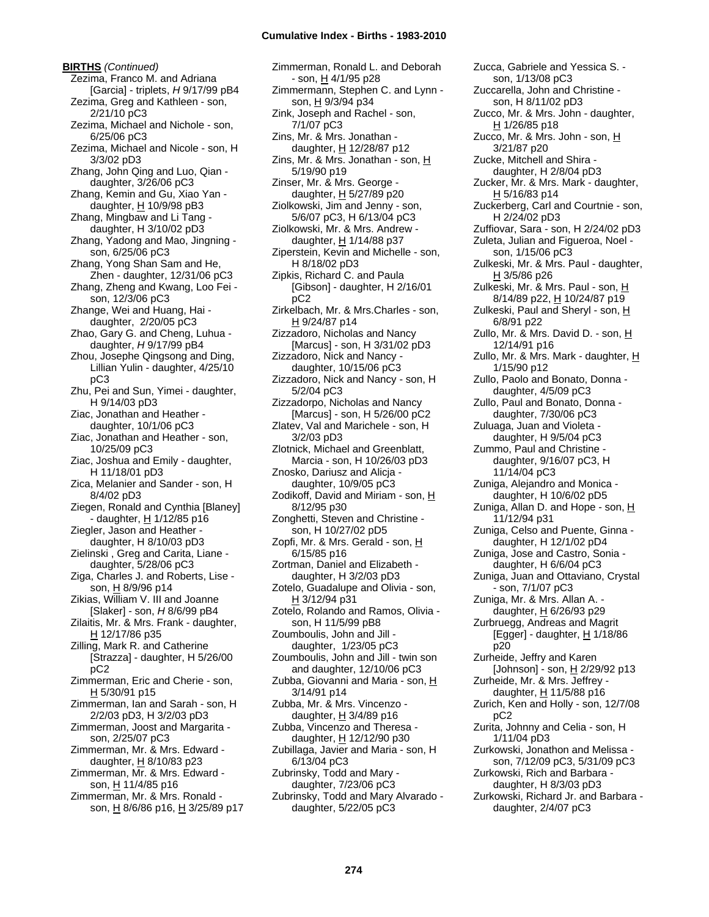**BIRTHS** *(Continued)* Zezima, Franco M. and Adriana [Garcia] - triplets, *H* 9/17/99 pB4 Zezima, Greg and Kathleen - son, 2/21/10 pC3 Zezima, Michael and Nichole - son, 6/25/06 pC3 Zezima, Michael and Nicole - son, H 3/3/02 pD3 Zhang, John Qing and Luo, Qian daughter, 3/26/06 pC3 Zhang, Kemin and Gu, Xiao Yan daughter,  $H$  10/9/98 pB3 Zhang, Mingbaw and Li Tang daughter, H 3/10/02 pD3 Zhang, Yadong and Mao, Jingning son, 6/25/06 pC3 Zhang, Yong Shan Sam and He, Zhen - daughter, 12/31/06 pC3 Zhang, Zheng and Kwang, Loo Fei son, 12/3/06 pC3 Zhange, Wei and Huang, Hai daughter, 2/20/05 pC3 Zhao, Gary G. and Cheng, Luhua daughter, *H* 9/17/99 pB4 Zhou, Josephe Qingsong and Ding, Lillian Yulin - daughter, 4/25/10 pC3 Zhu, Pei and Sun, Yimei - daughter, H 9/14/03 pD3 Ziac, Jonathan and Heather daughter, 10/1/06 pC3 Ziac, Jonathan and Heather - son, 10/25/09 pC3 Ziac, Joshua and Emily - daughter, H 11/18/01 pD3 Zica, Melanier and Sander - son, H 8/4/02 pD3 Ziegen, Ronald and Cynthia [Blaney] - daughter, H 1/12/85 p16 Ziegler, Jason and Heather daughter, H 8/10/03 pD3 Zielinski , Greg and Carita, Liane daughter, 5/28/06 pC3 Ziga, Charles J. and Roberts, Lise son, H 8/9/96 p14 Zikias, William V. III and Joanne [Slaker] - son, *H* 8/6/99 pB4 Zilaitis, Mr. & Mrs. Frank - daughter, H 12/17/86 p35 Zilling, Mark R. and Catherine [Strazza] - daughter, H 5/26/00 pC2 Zimmerman, Eric and Cherie - son,  $H$  5/30/91 p15 Zimmerman, Ian and Sarah - son, H 2/2/03 pD3, H 3/2/03 pD3 Zimmerman, Joost and Margarita son, 2/25/07 pC3 Zimmerman, Mr. & Mrs. Edward daughter,  $H$  8/10/83 p23 Zimmerman, Mr. & Mrs. Edward son, H 11/4/85 p16 Zimmerman, Mr. & Mrs. Ronald son, H 8/6/86 p16, H 3/25/89 p17 Zimmerman, Ronald L. and Deborah - son, H 4/1/95 p28 Zimmermann, Stephen C. and Lynn son, H 9/3/94 p34 Zink, Joseph and Rachel - son, 7/1/07 pC3 Zins, Mr. & Mrs. Jonathan daughter, H 12/28/87 p12 Zins, Mr. & Mrs. Jonathan - son,  $H$ 5/19/90 p19 Zinser, Mr. & Mrs. George daughter, H 5/27/89 p20 Ziolkowski, Jim and Jenny - son, 5/6/07 pC3, H 6/13/04 pC3 Ziolkowski, Mr. & Mrs. Andrew daughter, H 1/14/88 p37 Ziperstein, Kevin and Michelle - son, H 8/18/02 pD3 Zipkis, Richard C. and Paula [Gibson] - daughter, H 2/16/01 pC2 Zirkelbach, Mr. & Mrs.Charles - son, H 9/24/87 p14 Zizzadoro, Nicholas and Nancy [Marcus] - son, H 3/31/02 pD3 Zizzadoro, Nick and Nancy daughter, 10/15/06 pC3 Zizzadoro, Nick and Nancy - son, H 5/2/04 pC3 Zizzadorpo, Nicholas and Nancy [Marcus] - son, H 5/26/00 pC2 Zlatev, Val and Marichele - son, H 3/2/03 pD3 Zlotnick, Michael and Greenblatt, Marcia - son, H 10/26/03 pD3 Znosko, Dariusz and Alicja daughter, 10/9/05 pC3 Zodikoff, David and Miriam - son, H 8/12/95 p30 Zonghetti, Steven and Christine son, H 10/27/02 pD5 Zopfi, Mr. & Mrs. Gerald - son, H 6/15/85 p16 Zortman, Daniel and Elizabeth daughter, H 3/2/03 pD3 Zotelo, Guadalupe and Olivia - son, H 3/12/94 p31 Zotelo, Rolando and Ramos, Olivia son, H 11/5/99 pB8 Zoumboulis, John and Jill daughter, 1/23/05 pC3 Zoumboulis, John and Jill - twin son and daughter, 12/10/06 pC3 Zubba, Giovanni and Maria - son, H 3/14/91 p14 Zubba, Mr. & Mrs. Vincenzo daughter, H 3/4/89 p16 Zubba, Vincenzo and Theresa daughter, H 12/12/90 p30 Zubillaga, Javier and Maria - son, H 6/13/04 pC3 Zubrinsky, Todd and Mary daughter, 7/23/06 pC3 Zubrinsky, Todd and Mary Alvarado daughter, 5/22/05 pC3

Zucca, Gabriele and Yessica S. son, 1/13/08 pC3 Zuccarella, John and Christine son, H 8/11/02 pD3 Zucco, Mr. & Mrs. John - daughter, H 1/26/85 p18 Zucco, Mr. & Mrs. John - son, H 3/21/87 p20 Zucke, Mitchell and Shira daughter, H 2/8/04 pD3 Zucker, Mr. & Mrs. Mark - daughter, H 5/16/83 p14 Zuckerberg, Carl and Courtnie - son, H 2/24/02 pD3 Zuffiovar, Sara - son, H 2/24/02 pD3 Zuleta, Julian and Figueroa, Noel son, 1/15/06 pC3 Zulkeski, Mr. & Mrs. Paul - daughter, H 3/5/86 p26 Zulkeski, Mr. & Mrs. Paul - son, H 8/14/89 p22, H 10/24/87 p19 Zulkeski, Paul and Sheryl - son, H 6/8/91 p22 Zullo, Mr. & Mrs. David D. - son, H 12/14/91 p16 Zullo, Mr. & Mrs. Mark - daughter, H 1/15/90 p12 Zullo, Paolo and Bonato, Donna daughter, 4/5/09 pC3 Zullo, Paul and Bonato, Donna daughter, 7/30/06 pC3 Zuluaga, Juan and Violeta daughter, H 9/5/04 pC3 Zummo, Paul and Christine daughter, 9/16/07 pC3, H 11/14/04 pC3 Zuniga, Alejandro and Monica daughter, H 10/6/02 pD5 Zuniga, Allan D. and Hope - son, H 11/12/94 p31 Zuniga, Celso and Puente, Ginna daughter, H 12/1/02 pD4 Zuniga, Jose and Castro, Sonia daughter, H 6/6/04 pC3 Zuniga, Juan and Ottaviano, Crystal - son, 7/1/07 pC3 Zuniga, Mr. & Mrs. Allan A. daughter, H 6/26/93 p29 Zurbruegg, Andreas and Magrit [Egger] - daughter,  $\underline{H}$  1/18/86 p20 Zurheide, Jeffry and Karen [Johnson] - son, H 2/29/92 p13 Zurheide, Mr. & Mrs. Jeffrey daughter,  $H$  11/5/88 p16 Zurich, Ken and Holly - son, 12/7/08 pC2 Zurita, Johnny and Celia - son, H 1/11/04 pD3 Zurkowski, Jonathon and Melissa son, 7/12/09 pC3, 5/31/09 pC3 Zurkowski, Rich and Barbara daughter, H 8/3/03 pD3 Zurkowski, Richard Jr. and Barbara daughter, 2/4/07 pC3